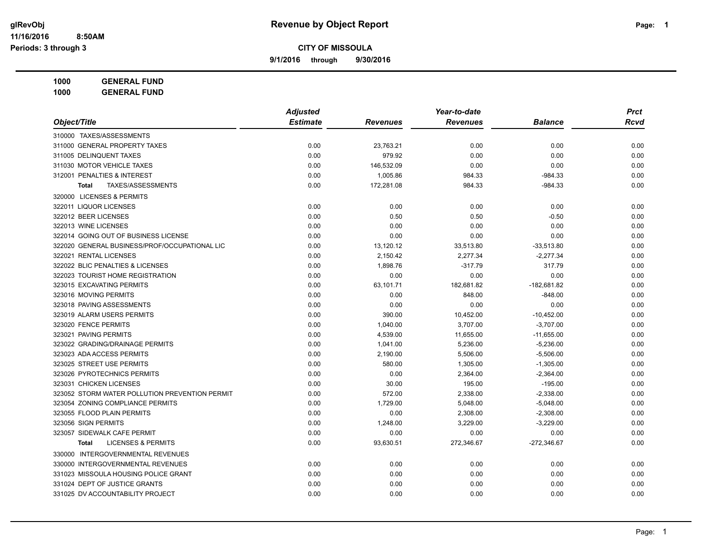#### **CITY OF MISSOULA**

**9/1/2016 through 9/30/2016**

**1000 GENERAL FUND**

 **8:50AM**

|                                                | <b>Adjusted</b> |                 | Year-to-date    |                | <b>Prct</b> |
|------------------------------------------------|-----------------|-----------------|-----------------|----------------|-------------|
| Object/Title                                   | <b>Estimate</b> | <b>Revenues</b> | <b>Revenues</b> | <b>Balance</b> | <b>Rcvd</b> |
| 310000 TAXES/ASSESSMENTS                       |                 |                 |                 |                |             |
| 311000 GENERAL PROPERTY TAXES                  | 0.00            | 23,763.21       | 0.00            | 0.00           | 0.00        |
| 311005 DELINQUENT TAXES                        | 0.00            | 979.92          | 0.00            | 0.00           | 0.00        |
| 311030 MOTOR VEHICLE TAXES                     | 0.00            | 146,532.09      | 0.00            | 0.00           | 0.00        |
| 312001 PENALTIES & INTEREST                    | 0.00            | 1,005.86        | 984.33          | $-984.33$      | 0.00        |
| TAXES/ASSESSMENTS<br>Total                     | 0.00            | 172,281.08      | 984.33          | $-984.33$      | 0.00        |
| 320000 LICENSES & PERMITS                      |                 |                 |                 |                |             |
| 322011 LIQUOR LICENSES                         | 0.00            | 0.00            | 0.00            | 0.00           | 0.00        |
| 322012 BEER LICENSES                           | 0.00            | 0.50            | 0.50            | $-0.50$        | 0.00        |
| 322013 WINE LICENSES                           | 0.00            | 0.00            | 0.00            | 0.00           | 0.00        |
| 322014 GOING OUT OF BUSINESS LICENSE           | 0.00            | 0.00            | 0.00            | 0.00           | 0.00        |
| 322020 GENERAL BUSINESS/PROF/OCCUPATIONAL LIC  | 0.00            | 13,120.12       | 33,513.80       | $-33,513.80$   | 0.00        |
| 322021 RENTAL LICENSES                         | 0.00            | 2,150.42        | 2,277.34        | $-2,277.34$    | 0.00        |
| 322022 BLIC PENALTIES & LICENSES               | 0.00            | 1,898.76        | $-317.79$       | 317.79         | 0.00        |
| 322023 TOURIST HOME REGISTRATION               | 0.00            | 0.00            | 0.00            | 0.00           | 0.00        |
| 323015 EXCAVATING PERMITS                      | 0.00            | 63,101.71       | 182,681.82      | $-182,681.82$  | 0.00        |
| 323016 MOVING PERMITS                          | 0.00            | 0.00            | 848.00          | $-848.00$      | 0.00        |
| 323018 PAVING ASSESSMENTS                      | 0.00            | 0.00            | 0.00            | 0.00           | 0.00        |
| 323019 ALARM USERS PERMITS                     | 0.00            | 390.00          | 10,452.00       | $-10,452.00$   | 0.00        |
| 323020 FENCE PERMITS                           | 0.00            | 1,040.00        | 3,707.00        | $-3,707.00$    | 0.00        |
| 323021 PAVING PERMITS                          | 0.00            | 4,539.00        | 11,655.00       | $-11,655.00$   | 0.00        |
| 323022 GRADING/DRAINAGE PERMITS                | 0.00            | 1,041.00        | 5,236.00        | $-5,236.00$    | 0.00        |
| 323023 ADA ACCESS PERMITS                      | 0.00            | 2,190.00        | 5,506.00        | $-5,506.00$    | 0.00        |
| 323025 STREET USE PERMITS                      | 0.00            | 580.00          | 1,305.00        | $-1,305.00$    | 0.00        |
| 323026 PYROTECHNICS PERMITS                    | 0.00            | 0.00            | 2,364.00        | $-2,364.00$    | 0.00        |
| 323031 CHICKEN LICENSES                        | 0.00            | 30.00           | 195.00          | $-195.00$      | 0.00        |
| 323052 STORM WATER POLLUTION PREVENTION PERMIT | 0.00            | 572.00          | 2,338.00        | $-2,338.00$    | 0.00        |
| 323054 ZONING COMPLIANCE PERMITS               | 0.00            | 1,729.00        | 5,048.00        | $-5,048.00$    | 0.00        |
| 323055 FLOOD PLAIN PERMITS                     | 0.00            | 0.00            | 2,308.00        | $-2,308.00$    | 0.00        |
| 323056 SIGN PERMITS                            | 0.00            | 1,248.00        | 3,229.00        | $-3,229.00$    | 0.00        |
| 323057 SIDEWALK CAFE PERMIT                    | 0.00            | 0.00            | 0.00            | 0.00           | 0.00        |
| <b>LICENSES &amp; PERMITS</b><br><b>Total</b>  | 0.00            | 93,630.51       | 272,346.67      | $-272,346.67$  | 0.00        |
| 330000 INTERGOVERNMENTAL REVENUES              |                 |                 |                 |                |             |
| 330000 INTERGOVERNMENTAL REVENUES              | 0.00            | 0.00            | 0.00            | 0.00           | 0.00        |
| 331023 MISSOULA HOUSING POLICE GRANT           | 0.00            | 0.00            | 0.00            | 0.00           | 0.00        |
| 331024 DEPT OF JUSTICE GRANTS                  | 0.00            | 0.00            | 0.00            | 0.00           | 0.00        |
| 331025 DV ACCOUNTABILITY PROJECT               | 0.00            | 0.00            | 0.00            | 0.00           | 0.00        |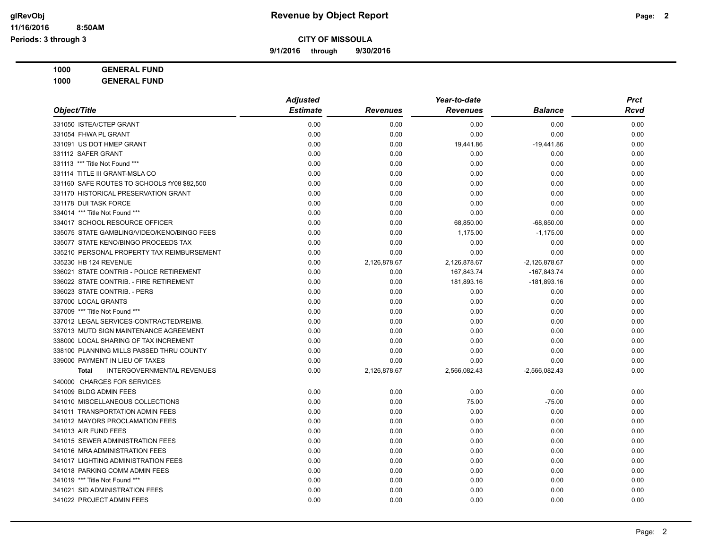**CITY OF MISSOULA**

**9/1/2016 through 9/30/2016**

 **8:50AM**

## **1000 GENERAL FUND**

|                                                   | <b>Adjusted</b> |                 | Year-to-date    |                 | <b>Prct</b> |
|---------------------------------------------------|-----------------|-----------------|-----------------|-----------------|-------------|
| Object/Title                                      | <b>Estimate</b> | <b>Revenues</b> | <b>Revenues</b> | <b>Balance</b>  | <b>Rcvd</b> |
| 331050 ISTEA/CTEP GRANT                           | 0.00            | 0.00            | 0.00            | 0.00            | 0.00        |
| 331054 FHWA PL GRANT                              | 0.00            | 0.00            | 0.00            | 0.00            | 0.00        |
| 331091 US DOT HMEP GRANT                          | 0.00            | 0.00            | 19,441.86       | $-19,441.86$    | 0.00        |
| 331112 SAFER GRANT                                | 0.00            | 0.00            | 0.00            | 0.00            | 0.00        |
| 331113 *** Title Not Found ***                    | 0.00            | 0.00            | 0.00            | 0.00            | 0.00        |
| 331114 TITLE III GRANT-MSLA CO                    | 0.00            | 0.00            | 0.00            | 0.00            | 0.00        |
| 331160 SAFE ROUTES TO SCHOOLS fY08 \$82,500       | 0.00            | 0.00            | 0.00            | 0.00            | 0.00        |
| 331170 HISTORICAL PRESERVATION GRANT              | 0.00            | 0.00            | 0.00            | 0.00            | 0.00        |
| 331178 DUI TASK FORCE                             | 0.00            | 0.00            | 0.00            | 0.00            | 0.00        |
| 334014 *** Title Not Found ***                    | 0.00            | 0.00            | 0.00            | 0.00            | 0.00        |
| 334017 SCHOOL RESOURCE OFFICER                    | 0.00            | 0.00            | 68,850.00       | $-68,850.00$    | 0.00        |
| 335075 STATE GAMBLING/VIDEO/KENO/BINGO FEES       | 0.00            | 0.00            | 1,175.00        | $-1,175.00$     | 0.00        |
| 335077 STATE KENO/BINGO PROCEEDS TAX              | 0.00            | 0.00            | 0.00            | 0.00            | 0.00        |
| 335210 PERSONAL PROPERTY TAX REIMBURSEMENT        | 0.00            | 0.00            | 0.00            | 0.00            | 0.00        |
| 335230 HB 124 REVENUE                             | 0.00            | 2,126,878.67    | 2,126,878.67    | $-2,126,878.67$ | 0.00        |
| 336021 STATE CONTRIB - POLICE RETIREMENT          | 0.00            | 0.00            | 167,843.74      | $-167,843.74$   | 0.00        |
| 336022 STATE CONTRIB. - FIRE RETIREMENT           | 0.00            | 0.00            | 181,893.16      | $-181,893.16$   | 0.00        |
| 336023 STATE CONTRIB. - PERS                      | 0.00            | 0.00            | 0.00            | 0.00            | 0.00        |
| 337000 LOCAL GRANTS                               | 0.00            | 0.00            | 0.00            | 0.00            | 0.00        |
| 337009 *** Title Not Found ***                    | 0.00            | 0.00            | 0.00            | 0.00            | 0.00        |
| 337012 LEGAL SERVICES-CONTRACTED/REIMB.           | 0.00            | 0.00            | 0.00            | 0.00            | 0.00        |
| 337013 MUTD SIGN MAINTENANCE AGREEMENT            | 0.00            | 0.00            | 0.00            | 0.00            | 0.00        |
| 338000 LOCAL SHARING OF TAX INCREMENT             | 0.00            | 0.00            | 0.00            | 0.00            | 0.00        |
| 338100 PLANNING MILLS PASSED THRU COUNTY          | 0.00            | 0.00            | 0.00            | 0.00            | 0.00        |
| 339000 PAYMENT IN LIEU OF TAXES                   | 0.00            | 0.00            | 0.00            | 0.00            | 0.00        |
| <b>INTERGOVERNMENTAL REVENUES</b><br><b>Total</b> | 0.00            | 2,126,878.67    | 2,566,082.43    | $-2,566,082.43$ | 0.00        |
| 340000 CHARGES FOR SERVICES                       |                 |                 |                 |                 |             |
| 341009 BLDG ADMIN FEES                            | 0.00            | 0.00            | 0.00            | 0.00            | 0.00        |
| 341010 MISCELLANEOUS COLLECTIONS                  | 0.00            | 0.00            | 75.00           | $-75.00$        | 0.00        |
| 341011 TRANSPORTATION ADMIN FEES                  | 0.00            | 0.00            | 0.00            | 0.00            | 0.00        |
| 341012 MAYORS PROCLAMATION FEES                   | 0.00            | 0.00            | 0.00            | 0.00            | 0.00        |
| 341013 AIR FUND FEES                              | 0.00            | 0.00            | 0.00            | 0.00            | 0.00        |
| 341015 SEWER ADMINISTRATION FEES                  | 0.00            | 0.00            | 0.00            | 0.00            | 0.00        |
| 341016 MRA ADMINISTRATION FEES                    | 0.00            | 0.00            | 0.00            | 0.00            | 0.00        |
| 341017 LIGHTING ADMINISTRATION FEES               | 0.00            | 0.00            | 0.00            | 0.00            | 0.00        |
| 341018 PARKING COMM ADMIN FEES                    | 0.00            | 0.00            | 0.00            | 0.00            | 0.00        |
| 341019 *** Title Not Found ***                    | 0.00            | 0.00            | 0.00            | 0.00            | 0.00        |
| 341021 SID ADMINISTRATION FEES                    | 0.00            | 0.00            | 0.00            | 0.00            | 0.00        |
| 341022 PROJECT ADMIN FEES                         | 0.00            | 0.00            | 0.00            | 0.00            | 0.00        |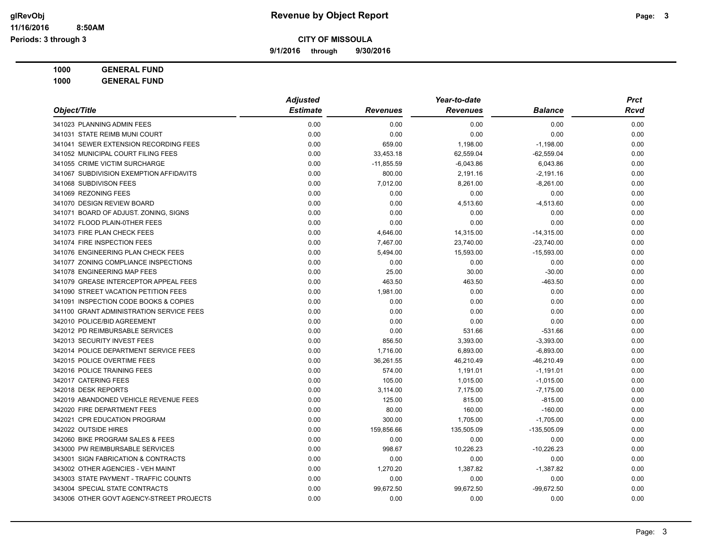**9/1/2016 through 9/30/2016**

**1000 GENERAL FUND**

|                                          | <b>Adjusted</b> |                 | Year-to-date    | <b>Prct</b>    |      |
|------------------------------------------|-----------------|-----------------|-----------------|----------------|------|
| Object/Title                             | <b>Estimate</b> | <b>Revenues</b> | <b>Revenues</b> | <b>Balance</b> | Rcvd |
| 341023 PLANNING ADMIN FEES               | 0.00            | 0.00            | 0.00            | 0.00           | 0.00 |
| 341031 STATE REIMB MUNI COURT            | 0.00            | 0.00            | 0.00            | 0.00           | 0.00 |
| 341041 SEWER EXTENSION RECORDING FEES    | 0.00            | 659.00          | 1,198.00        | $-1,198.00$    | 0.00 |
| 341052 MUNICIPAL COURT FILING FEES       | 0.00            | 33,453.18       | 62,559.04       | $-62,559.04$   | 0.00 |
| 341055 CRIME VICTIM SURCHARGE            | 0.00            | $-11,855.59$    | $-6,043.86$     | 6,043.86       | 0.00 |
| 341067 SUBDIVISION EXEMPTION AFFIDAVITS  | 0.00            | 800.00          | 2,191.16        | $-2,191.16$    | 0.00 |
| 341068 SUBDIVISON FEES                   | 0.00            | 7,012.00        | 8,261.00        | $-8,261.00$    | 0.00 |
| 341069 REZONING FEES                     | 0.00            | 0.00            | 0.00            | 0.00           | 0.00 |
| 341070 DESIGN REVIEW BOARD               | 0.00            | 0.00            | 4,513.60        | $-4,513.60$    | 0.00 |
| 341071 BOARD OF ADJUST. ZONING, SIGNS    | 0.00            | 0.00            | 0.00            | 0.00           | 0.00 |
| 341072 FLOOD PLAIN-0THER FEES            | 0.00            | 0.00            | 0.00            | 0.00           | 0.00 |
| 341073 FIRE PLAN CHECK FEES              | 0.00            | 4,646.00        | 14,315.00       | $-14,315.00$   | 0.00 |
| 341074 FIRE INSPECTION FEES              | 0.00            | 7,467.00        | 23,740.00       | $-23,740.00$   | 0.00 |
| 341076 ENGINEERING PLAN CHECK FEES       | 0.00            | 5,494.00        | 15,593.00       | $-15,593.00$   | 0.00 |
| 341077 ZONING COMPLIANCE INSPECTIONS     | 0.00            | 0.00            | 0.00            | 0.00           | 0.00 |
| 341078 ENGINEERING MAP FEES              | 0.00            | 25.00           | 30.00           | $-30.00$       | 0.00 |
| 341079 GREASE INTERCEPTOR APPEAL FEES    | 0.00            | 463.50          | 463.50          | $-463.50$      | 0.00 |
| 341090 STREET VACATION PETITION FEES     | 0.00            | 1,981.00        | 0.00            | 0.00           | 0.00 |
| 341091 INSPECTION CODE BOOKS & COPIES    | 0.00            | 0.00            | 0.00            | 0.00           | 0.00 |
| 341100 GRANT ADMINISTRATION SERVICE FEES | 0.00            | 0.00            | 0.00            | 0.00           | 0.00 |
| 342010 POLICE/BID AGREEMENT              | 0.00            | 0.00            | 0.00            | 0.00           | 0.00 |
| 342012 PD REIMBURSABLE SERVICES          | 0.00            | 0.00            | 531.66          | $-531.66$      | 0.00 |
| 342013 SECURITY INVEST FEES              | 0.00            | 856.50          | 3,393.00        | $-3,393.00$    | 0.00 |
| 342014 POLICE DEPARTMENT SERVICE FEES    | 0.00            | 1,716.00        | 6,893.00        | $-6,893.00$    | 0.00 |
| 342015 POLICE OVERTIME FEES              | 0.00            | 36,261.55       | 46,210.49       | $-46,210.49$   | 0.00 |
| 342016 POLICE TRAINING FEES              | 0.00            | 574.00          | 1,191.01        | $-1,191.01$    | 0.00 |
| 342017 CATERING FEES                     | 0.00            | 105.00          | 1,015.00        | $-1,015.00$    | 0.00 |
| 342018 DESK REPORTS                      | 0.00            | 3,114.00        | 7,175.00        | $-7,175.00$    | 0.00 |
| 342019 ABANDONED VEHICLE REVENUE FEES    | 0.00            | 125.00          | 815.00          | $-815.00$      | 0.00 |
| 342020 FIRE DEPARTMENT FEES              | 0.00            | 80.00           | 160.00          | $-160.00$      | 0.00 |
| 342021 CPR EDUCATION PROGRAM             | 0.00            | 300.00          | 1,705.00        | $-1,705.00$    | 0.00 |
| 342022 OUTSIDE HIRES                     | 0.00            | 159,856.66      | 135,505.09      | $-135,505.09$  | 0.00 |
| 342060 BIKE PROGRAM SALES & FEES         | 0.00            | 0.00            | 0.00            | 0.00           | 0.00 |
| 343000 PW REIMBURSABLE SERVICES          | 0.00            | 998.67          | 10,226.23       | $-10,226.23$   | 0.00 |
| 343001 SIGN FABRICATION & CONTRACTS      | 0.00            | 0.00            | 0.00            | 0.00           | 0.00 |
| 343002 OTHER AGENCIES - VEH MAINT        | 0.00            | 1,270.20        | 1,387.82        | $-1,387.82$    | 0.00 |
| 343003 STATE PAYMENT - TRAFFIC COUNTS    | 0.00            | 0.00            | 0.00            | 0.00           | 0.00 |
| 343004 SPECIAL STATE CONTRACTS           | 0.00            | 99,672.50       | 99,672.50       | $-99,672.50$   | 0.00 |
| 343006 OTHER GOVT AGENCY-STREET PROJECTS | 0.00            | 0.00            | 0.00            | 0.00           | 0.00 |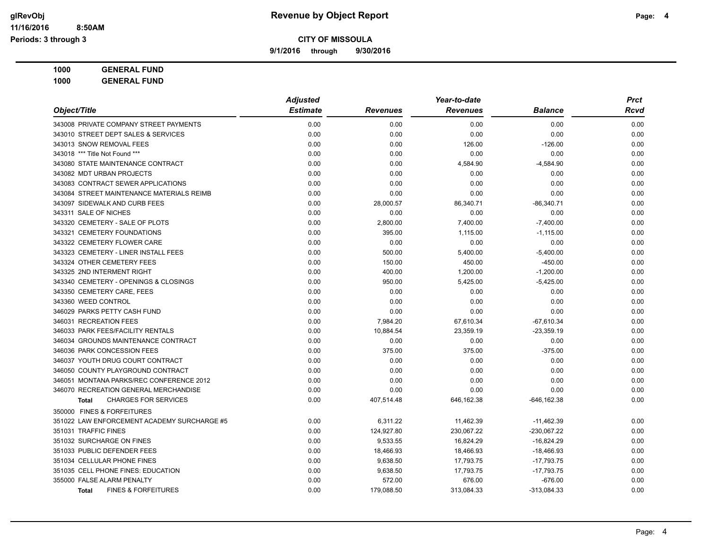**9/1/2016 through 9/30/2016**

**1000 GENERAL FUND**

|                                                | <b>Adjusted</b> |                 | Year-to-date    |                | <b>Prct</b> |
|------------------------------------------------|-----------------|-----------------|-----------------|----------------|-------------|
| Object/Title                                   | <b>Estimate</b> | <b>Revenues</b> | <b>Revenues</b> | <b>Balance</b> | Rcvd        |
| 343008 PRIVATE COMPANY STREET PAYMENTS         | 0.00            | 0.00            | 0.00            | 0.00           | 0.00        |
| 343010 STREET DEPT SALES & SERVICES            | 0.00            | 0.00            | 0.00            | 0.00           | 0.00        |
| 343013 SNOW REMOVAL FEES                       | 0.00            | 0.00            | 126.00          | $-126.00$      | 0.00        |
| 343018 *** Title Not Found ***                 | 0.00            | 0.00            | 0.00            | 0.00           | 0.00        |
| 343080 STATE MAINTENANCE CONTRACT              | 0.00            | 0.00            | 4,584.90        | $-4,584.90$    | 0.00        |
| 343082 MDT URBAN PROJECTS                      | 0.00            | 0.00            | 0.00            | 0.00           | 0.00        |
| 343083 CONTRACT SEWER APPLICATIONS             | 0.00            | 0.00            | 0.00            | 0.00           | 0.00        |
| 343084 STREET MAINTENANCE MATERIALS REIMB      | 0.00            | 0.00            | 0.00            | 0.00           | 0.00        |
| 343097 SIDEWALK AND CURB FEES                  | 0.00            | 28,000.57       | 86,340.71       | $-86,340.71$   | 0.00        |
| 343311 SALE OF NICHES                          | 0.00            | 0.00            | 0.00            | 0.00           | 0.00        |
| 343320 CEMETERY - SALE OF PLOTS                | 0.00            | 2,800.00        | 7,400.00        | $-7,400.00$    | 0.00        |
| 343321 CEMETERY FOUNDATIONS                    | 0.00            | 395.00          | 1,115.00        | $-1,115.00$    | 0.00        |
| 343322 CEMETERY FLOWER CARE                    | 0.00            | 0.00            | 0.00            | 0.00           | 0.00        |
| 343323 CEMETERY - LINER INSTALL FEES           | 0.00            | 500.00          | 5,400.00        | $-5,400.00$    | 0.00        |
| 343324 OTHER CEMETERY FEES                     | 0.00            | 150.00          | 450.00          | $-450.00$      | 0.00        |
| 343325 2ND INTERMENT RIGHT                     | 0.00            | 400.00          | 1,200.00        | $-1,200.00$    | 0.00        |
| 343340 CEMETERY - OPENINGS & CLOSINGS          | 0.00            | 950.00          | 5,425.00        | $-5,425.00$    | 0.00        |
| 343350 CEMETERY CARE, FEES                     | 0.00            | 0.00            | 0.00            | 0.00           | 0.00        |
| 343360 WEED CONTROL                            | 0.00            | 0.00            | 0.00            | 0.00           | 0.00        |
| 346029 PARKS PETTY CASH FUND                   | 0.00            | 0.00            | 0.00            | 0.00           | 0.00        |
| 346031 RECREATION FEES                         | 0.00            | 7,984.20        | 67,610.34       | $-67,610.34$   | 0.00        |
| 346033 PARK FEES/FACILITY RENTALS              | 0.00            | 10,884.54       | 23,359.19       | $-23,359.19$   | 0.00        |
| 346034 GROUNDS MAINTENANCE CONTRACT            | 0.00            | 0.00            | 0.00            | 0.00           | 0.00        |
| 346036 PARK CONCESSION FEES                    | 0.00            | 375.00          | 375.00          | $-375.00$      | 0.00        |
| 346037 YOUTH DRUG COURT CONTRACT               | 0.00            | 0.00            | 0.00            | 0.00           | 0.00        |
| 346050 COUNTY PLAYGROUND CONTRACT              | 0.00            | 0.00            | 0.00            | 0.00           | 0.00        |
| 346051 MONTANA PARKS/REC CONFERENCE 2012       | 0.00            | 0.00            | 0.00            | 0.00           | 0.00        |
| 346070 RECREATION GENERAL MERCHANDISE          | 0.00            | 0.00            | 0.00            | 0.00           | 0.00        |
| <b>CHARGES FOR SERVICES</b><br><b>Total</b>    | 0.00            | 407,514.48      | 646,162.38      | -646,162.38    | 0.00        |
| 350000 FINES & FORFEITURES                     |                 |                 |                 |                |             |
| 351022 LAW ENFORCEMENT ACADEMY SURCHARGE #5    | 0.00            | 6,311.22        | 11,462.39       | $-11,462.39$   | 0.00        |
| 351031 TRAFFIC FINES                           | 0.00            | 124,927.80      | 230,067.22      | -230,067.22    | 0.00        |
| 351032 SURCHARGE ON FINES                      | 0.00            | 9,533.55        | 16,824.29       | $-16,824.29$   | 0.00        |
| 351033 PUBLIC DEFENDER FEES                    | 0.00            | 18,466.93       | 18,466.93       | $-18,466.93$   | 0.00        |
| 351034 CELLULAR PHONE FINES                    | 0.00            | 9,638.50        | 17,793.75       | $-17,793.75$   | 0.00        |
| 351035 CELL PHONE FINES: EDUCATION             | 0.00            | 9,638.50        | 17,793.75       | $-17,793.75$   | 0.00        |
| 355000 FALSE ALARM PENALTY                     | 0.00            | 572.00          | 676.00          | $-676.00$      | 0.00        |
| <b>FINES &amp; FORFEITURES</b><br><b>Total</b> | 0.00            | 179,088.50      | 313,084.33      | $-313,084.33$  | 0.00        |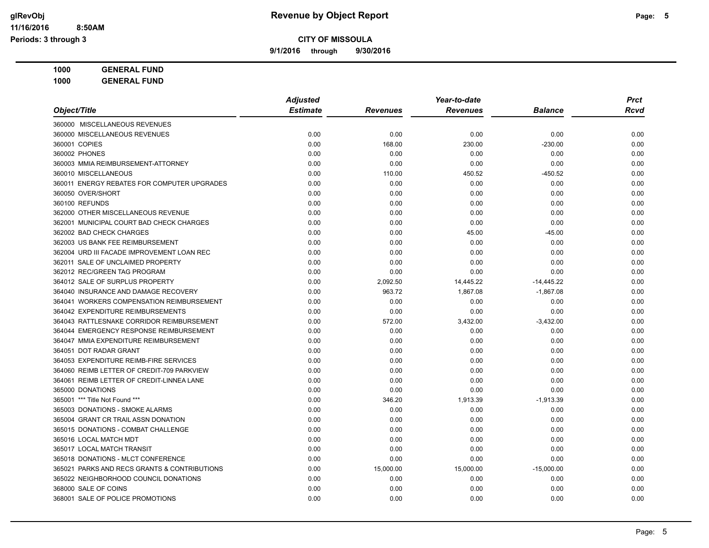**CITY OF MISSOULA**

**9/1/2016 through 9/30/2016**

**1000 GENERAL FUND**

|                                              | <b>Adjusted</b> |                 | Year-to-date    |                | <b>Prct</b> |
|----------------------------------------------|-----------------|-----------------|-----------------|----------------|-------------|
| Object/Title                                 | <b>Estimate</b> | <b>Revenues</b> | <b>Revenues</b> | <b>Balance</b> | <b>Rcvd</b> |
| 360000 MISCELLANEOUS REVENUES                |                 |                 |                 |                |             |
| 360000 MISCELLANEOUS REVENUES                | 0.00            | 0.00            | 0.00            | 0.00           | 0.00        |
| 360001 COPIES                                | 0.00            | 168.00          | 230.00          | $-230.00$      | 0.00        |
| 360002 PHONES                                | 0.00            | 0.00            | 0.00            | 0.00           | 0.00        |
| 360003 MMIA REIMBURSEMENT-ATTORNEY           | 0.00            | 0.00            | 0.00            | 0.00           | 0.00        |
| 360010 MISCELLANEOUS                         | 0.00            | 110.00          | 450.52          | -450.52        | 0.00        |
| 360011 ENERGY REBATES FOR COMPUTER UPGRADES  | 0.00            | 0.00            | 0.00            | 0.00           | 0.00        |
| 360050 OVER/SHORT                            | 0.00            | 0.00            | 0.00            | 0.00           | 0.00        |
| 360100 REFUNDS                               | 0.00            | 0.00            | 0.00            | 0.00           | 0.00        |
| 362000 OTHER MISCELLANEOUS REVENUE           | 0.00            | 0.00            | 0.00            | 0.00           | 0.00        |
| 362001 MUNICIPAL COURT BAD CHECK CHARGES     | 0.00            | 0.00            | 0.00            | 0.00           | 0.00        |
| 362002 BAD CHECK CHARGES                     | 0.00            | 0.00            | 45.00           | $-45.00$       | 0.00        |
| 362003 US BANK FEE REIMBURSEMENT             | 0.00            | 0.00            | 0.00            | 0.00           | 0.00        |
| 362004 URD III FACADE IMPROVEMENT LOAN REC   | 0.00            | 0.00            | 0.00            | 0.00           | 0.00        |
| 362011 SALE OF UNCLAIMED PROPERTY            | 0.00            | 0.00            | 0.00            | 0.00           | 0.00        |
| 362012 REC/GREEN TAG PROGRAM                 | 0.00            | 0.00            | 0.00            | 0.00           | 0.00        |
| 364012 SALE OF SURPLUS PROPERTY              | 0.00            | 2,092.50        | 14,445.22       | $-14,445.22$   | 0.00        |
| 364040 INSURANCE AND DAMAGE RECOVERY         | 0.00            | 963.72          | 1,867.08        | $-1,867.08$    | 0.00        |
| 364041 WORKERS COMPENSATION REIMBURSEMENT    | 0.00            | 0.00            | 0.00            | 0.00           | 0.00        |
| 364042 EXPENDITURE REIMBURSEMENTS            | 0.00            | 0.00            | 0.00            | 0.00           | 0.00        |
| 364043 RATTLESNAKE CORRIDOR REIMBURSEMENT    | 0.00            | 572.00          | 3,432.00        | $-3,432.00$    | 0.00        |
| 364044 EMERGENCY RESPONSE REIMBURSEMENT      | 0.00            | 0.00            | 0.00            | 0.00           | 0.00        |
| 364047 MMIA EXPENDITURE REIMBURSEMENT        | 0.00            | 0.00            | 0.00            | 0.00           | 0.00        |
| 364051 DOT RADAR GRANT                       | 0.00            | 0.00            | 0.00            | 0.00           | 0.00        |
| 364053 EXPENDITURE REIMB-FIRE SERVICES       | 0.00            | 0.00            | 0.00            | 0.00           | 0.00        |
| 364060 REIMB LETTER OF CREDIT-709 PARKVIEW   | 0.00            | 0.00            | 0.00            | 0.00           | 0.00        |
| 364061 REIMB LETTER OF CREDIT-LINNEA LANE    | 0.00            | 0.00            | 0.00            | 0.00           | 0.00        |
| 365000 DONATIONS                             | 0.00            | 0.00            | 0.00            | 0.00           | 0.00        |
| 365001 *** Title Not Found ***               | 0.00            | 346.20          | 1,913.39        | $-1,913.39$    | 0.00        |
| 365003 DONATIONS - SMOKE ALARMS              | 0.00            | 0.00            | 0.00            | 0.00           | 0.00        |
| 365004 GRANT CR TRAIL ASSN DONATION          | 0.00            | 0.00            | 0.00            | 0.00           | 0.00        |
| 365015 DONATIONS - COMBAT CHALLENGE          | 0.00            | 0.00            | 0.00            | 0.00           | 0.00        |
| 365016 LOCAL MATCH MDT                       | 0.00            | 0.00            | 0.00            | 0.00           | 0.00        |
| 365017 LOCAL MATCH TRANSIT                   | 0.00            | 0.00            | 0.00            | 0.00           | 0.00        |
| 365018 DONATIONS - MLCT CONFERENCE           | 0.00            | 0.00            | 0.00            | 0.00           | 0.00        |
| 365021 PARKS AND RECS GRANTS & CONTRIBUTIONS | 0.00            | 15,000.00       | 15,000.00       | $-15,000.00$   | 0.00        |
| 365022 NEIGHBORHOOD COUNCIL DONATIONS        | 0.00            | 0.00            | 0.00            | 0.00           | 0.00        |
| 368000 SALE OF COINS                         | 0.00            | 0.00            | 0.00            | 0.00           | 0.00        |
| 368001 SALE OF POLICE PROMOTIONS             | 0.00            | 0.00            | 0.00            | 0.00           | 0.00        |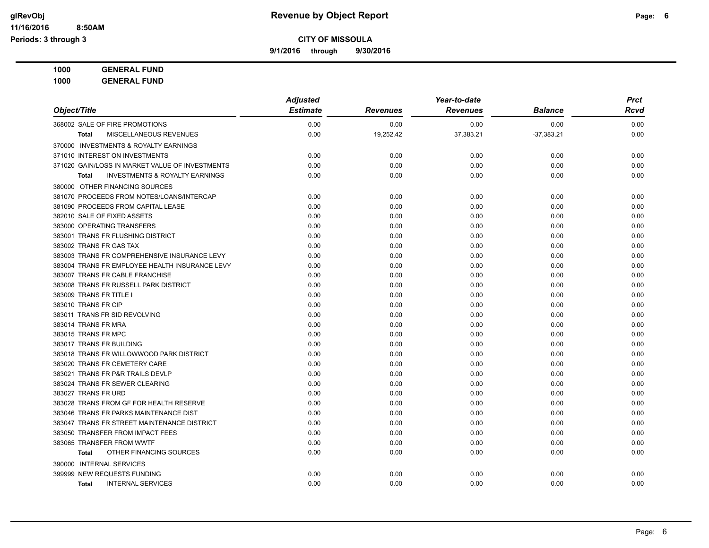**9/1/2016 through 9/30/2016**

**1000 GENERAL FUND**

|                                                           | <b>Adjusted</b> |                 |                 | <b>Prct</b>    |             |
|-----------------------------------------------------------|-----------------|-----------------|-----------------|----------------|-------------|
| Object/Title                                              | <b>Estimate</b> | <b>Revenues</b> | <b>Revenues</b> | <b>Balance</b> | <b>Rcvd</b> |
| 368002 SALE OF FIRE PROMOTIONS                            | 0.00            | 0.00            | 0.00            | 0.00           | 0.00        |
| MISCELLANEOUS REVENUES<br>Total                           | 0.00            | 19,252.42       | 37,383.21       | $-37,383.21$   | 0.00        |
| 370000 INVESTMENTS & ROYALTY EARNINGS                     |                 |                 |                 |                |             |
| 371010 INTEREST ON INVESTMENTS                            | 0.00            | 0.00            | 0.00            | 0.00           | 0.00        |
| 371020 GAIN/LOSS IN MARKET VALUE OF INVESTMENTS           | 0.00            | 0.00            | 0.00            | 0.00           | 0.00        |
| <b>INVESTMENTS &amp; ROYALTY EARNINGS</b><br><b>Total</b> | 0.00            | 0.00            | 0.00            | 0.00           | 0.00        |
| 380000 OTHER FINANCING SOURCES                            |                 |                 |                 |                |             |
| 381070 PROCEEDS FROM NOTES/LOANS/INTERCAP                 | 0.00            | 0.00            | 0.00            | 0.00           | 0.00        |
| 381090 PROCEEDS FROM CAPITAL LEASE                        | 0.00            | 0.00            | 0.00            | 0.00           | 0.00        |
| 382010 SALE OF FIXED ASSETS                               | 0.00            | 0.00            | 0.00            | 0.00           | 0.00        |
| 383000 OPERATING TRANSFERS                                | 0.00            | 0.00            | 0.00            | 0.00           | 0.00        |
| 383001 TRANS FR FLUSHING DISTRICT                         | 0.00            | 0.00            | 0.00            | 0.00           | 0.00        |
| 383002 TRANS FR GAS TAX                                   | 0.00            | 0.00            | 0.00            | 0.00           | 0.00        |
| 383003 TRANS FR COMPREHENSIVE INSURANCE LEVY              | 0.00            | 0.00            | 0.00            | 0.00           | 0.00        |
| 383004 TRANS FR EMPLOYEE HEALTH INSURANCE LEVY            | 0.00            | 0.00            | 0.00            | 0.00           | 0.00        |
| 383007 TRANS FR CABLE FRANCHISE                           | 0.00            | 0.00            | 0.00            | 0.00           | 0.00        |
| 383008 TRANS FR RUSSELL PARK DISTRICT                     | 0.00            | 0.00            | 0.00            | 0.00           | 0.00        |
| 383009 TRANS FR TITLE I                                   | 0.00            | 0.00            | 0.00            | 0.00           | 0.00        |
| 383010 TRANS FR CIP                                       | 0.00            | 0.00            | 0.00            | 0.00           | 0.00        |
| 383011 TRANS FR SID REVOLVING                             | 0.00            | 0.00            | 0.00            | 0.00           | 0.00        |
| 383014 TRANS FR MRA                                       | 0.00            | 0.00            | 0.00            | 0.00           | 0.00        |
| 383015 TRANS FR MPC                                       | 0.00            | 0.00            | 0.00            | 0.00           | 0.00        |
| 383017 TRANS FR BUILDING                                  | 0.00            | 0.00            | 0.00            | 0.00           | 0.00        |
| 383018 TRANS FR WILLOWWOOD PARK DISTRICT                  | 0.00            | 0.00            | 0.00            | 0.00           | 0.00        |
| 383020 TRANS FR CEMETERY CARE                             | 0.00            | 0.00            | 0.00            | 0.00           | 0.00        |
| 383021 TRANS FR P&R TRAILS DEVLP                          | 0.00            | 0.00            | 0.00            | 0.00           | 0.00        |
| 383024 TRANS FR SEWER CLEARING                            | 0.00            | 0.00            | 0.00            | 0.00           | 0.00        |
| 383027 TRANS FR URD                                       | 0.00            | 0.00            | 0.00            | 0.00           | 0.00        |
| 383028 TRANS FROM GF FOR HEALTH RESERVE                   | 0.00            | 0.00            | 0.00            | 0.00           | 0.00        |
| 383046 TRANS FR PARKS MAINTENANCE DIST                    | 0.00            | 0.00            | 0.00            | 0.00           | 0.00        |
| 383047 TRANS FR STREET MAINTENANCE DISTRICT               | 0.00            | 0.00            | 0.00            | 0.00           | 0.00        |
| 383050 TRANSFER FROM IMPACT FEES                          | 0.00            | 0.00            | 0.00            | 0.00           | 0.00        |
| 383065 TRANSFER FROM WWTF                                 | 0.00            | 0.00            | 0.00            | 0.00           | 0.00        |
| OTHER FINANCING SOURCES<br><b>Total</b>                   | 0.00            | 0.00            | 0.00            | 0.00           | 0.00        |
| 390000 INTERNAL SERVICES                                  |                 |                 |                 |                |             |
| 399999 NEW REQUESTS FUNDING                               | 0.00            | 0.00            | 0.00            | 0.00           | 0.00        |
| <b>INTERNAL SERVICES</b><br><b>Total</b>                  | 0.00            | 0.00            | 0.00            | 0.00           | 0.00        |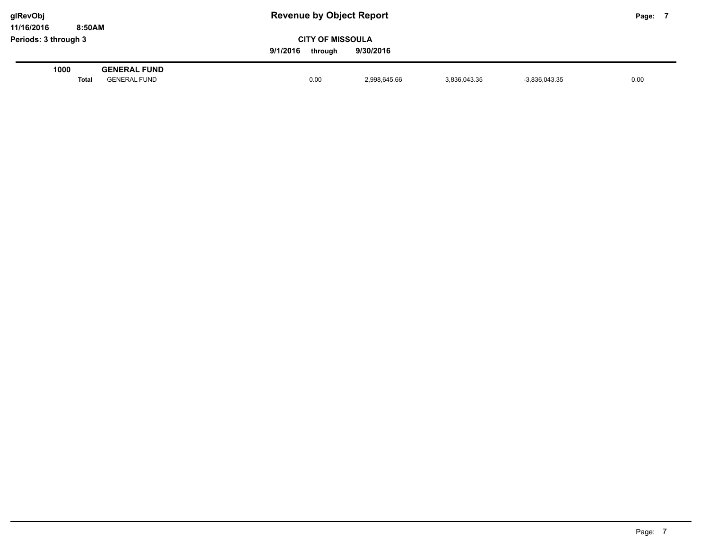| glRevObj<br>11/16/2016<br>8:50AM |                                                     | <b>Revenue by Object Report</b>                |              |              |                 | Page: |
|----------------------------------|-----------------------------------------------------|------------------------------------------------|--------------|--------------|-----------------|-------|
| Periods: 3 through 3             |                                                     | <b>CITY OF MISSOULA</b><br>9/1/2016<br>through | 9/30/2016    |              |                 |       |
| 1000                             | <b>GENERAL FUND</b><br><b>GENERAL FUND</b><br>Total | 0.00                                           | 2,998,645.66 | 3,836,043.35 | $-3,836,043.35$ | 0.00  |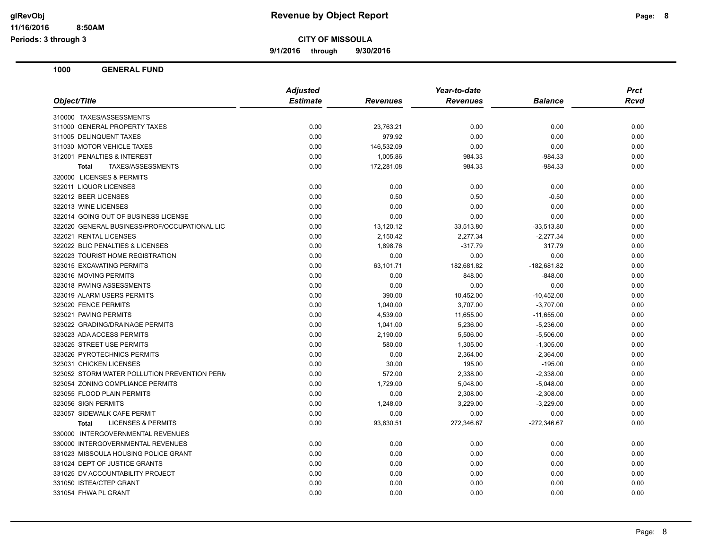**CITY OF MISSOULA**

**9/1/2016 through 9/30/2016**

|                                               | <b>Adjusted</b> |                 | Year-to-date    |                | <b>Prct</b> |
|-----------------------------------------------|-----------------|-----------------|-----------------|----------------|-------------|
| Object/Title                                  | <b>Estimate</b> | <b>Revenues</b> | <b>Revenues</b> | <b>Balance</b> | <b>Rcvd</b> |
| 310000 TAXES/ASSESSMENTS                      |                 |                 |                 |                |             |
| 311000 GENERAL PROPERTY TAXES                 | 0.00            | 23,763.21       | 0.00            | 0.00           | 0.00        |
| 311005 DELINQUENT TAXES                       | 0.00            | 979.92          | 0.00            | 0.00           | 0.00        |
| 311030 MOTOR VEHICLE TAXES                    | 0.00            | 146,532.09      | 0.00            | 0.00           | 0.00        |
| 312001 PENALTIES & INTEREST                   | 0.00            | 1,005.86        | 984.33          | $-984.33$      | 0.00        |
| TAXES/ASSESSMENTS<br><b>Total</b>             | 0.00            | 172,281.08      | 984.33          | $-984.33$      | 0.00        |
| 320000 LICENSES & PERMITS                     |                 |                 |                 |                |             |
| 322011 LIQUOR LICENSES                        | 0.00            | 0.00            | 0.00            | 0.00           | 0.00        |
| 322012 BEER LICENSES                          | 0.00            | 0.50            | 0.50            | $-0.50$        | 0.00        |
| 322013 WINE LICENSES                          | 0.00            | 0.00            | 0.00            | 0.00           | 0.00        |
| 322014 GOING OUT OF BUSINESS LICENSE          | 0.00            | 0.00            | 0.00            | 0.00           | 0.00        |
| 322020 GENERAL BUSINESS/PROF/OCCUPATIONAL LIC | 0.00            | 13,120.12       | 33,513.80       | $-33,513.80$   | 0.00        |
| 322021 RENTAL LICENSES                        | 0.00            | 2,150.42        | 2,277.34        | $-2,277.34$    | 0.00        |
| 322022 BLIC PENALTIES & LICENSES              | 0.00            | 1,898.76        | $-317.79$       | 317.79         | 0.00        |
| 322023 TOURIST HOME REGISTRATION              | 0.00            | 0.00            | 0.00            | 0.00           | 0.00        |
| 323015 EXCAVATING PERMITS                     | 0.00            | 63,101.71       | 182,681.82      | $-182,681.82$  | 0.00        |
| 323016 MOVING PERMITS                         | 0.00            | 0.00            | 848.00          | $-848.00$      | 0.00        |
| 323018 PAVING ASSESSMENTS                     | 0.00            | 0.00            | 0.00            | 0.00           | 0.00        |
| 323019 ALARM USERS PERMITS                    | 0.00            | 390.00          | 10,452.00       | $-10,452.00$   | 0.00        |
| 323020 FENCE PERMITS                          | 0.00            | 1,040.00        | 3,707.00        | $-3,707.00$    | 0.00        |
| 323021 PAVING PERMITS                         | 0.00            | 4,539.00        | 11,655.00       | $-11,655.00$   | 0.00        |
| 323022 GRADING/DRAINAGE PERMITS               | 0.00            | 1,041.00        | 5,236.00        | $-5,236.00$    | 0.00        |
| 323023 ADA ACCESS PERMITS                     | 0.00            | 2,190.00        | 5,506.00        | $-5,506.00$    | 0.00        |
| 323025 STREET USE PERMITS                     | 0.00            | 580.00          | 1,305.00        | $-1,305.00$    | 0.00        |
| 323026 PYROTECHNICS PERMITS                   | 0.00            | 0.00            | 2,364.00        | $-2,364.00$    | 0.00        |
| 323031 CHICKEN LICENSES                       | 0.00            | 30.00           | 195.00          | $-195.00$      | 0.00        |
| 323052 STORM WATER POLLUTION PREVENTION PERM  | 0.00            | 572.00          | 2,338.00        | $-2,338.00$    | 0.00        |
| 323054 ZONING COMPLIANCE PERMITS              | 0.00            | 1,729.00        | 5,048.00        | $-5,048.00$    | 0.00        |
| 323055 FLOOD PLAIN PERMITS                    | 0.00            | 0.00            | 2,308.00        | $-2,308.00$    | 0.00        |
| 323056 SIGN PERMITS                           | 0.00            | 1,248.00        | 3,229.00        | $-3,229.00$    | 0.00        |
| 323057 SIDEWALK CAFE PERMIT                   | 0.00            | 0.00            | 0.00            | 0.00           | 0.00        |
| <b>LICENSES &amp; PERMITS</b><br><b>Total</b> | 0.00            | 93,630.51       | 272,346.67      | $-272,346.67$  | 0.00        |
| 330000 INTERGOVERNMENTAL REVENUES             |                 |                 |                 |                |             |
| 330000 INTERGOVERNMENTAL REVENUES             | 0.00            | 0.00            | 0.00            | 0.00           | 0.00        |
| 331023 MISSOULA HOUSING POLICE GRANT          | 0.00            | 0.00            | 0.00            | 0.00           | 0.00        |
| 331024 DEPT OF JUSTICE GRANTS                 | 0.00            | 0.00            | 0.00            | 0.00           | 0.00        |
| 331025 DV ACCOUNTABILITY PROJECT              | 0.00            | 0.00            | 0.00            | 0.00           | 0.00        |
| 331050 ISTEA/CTEP GRANT                       | 0.00            | 0.00            | 0.00            | 0.00           | 0.00        |
| 331054 FHWA PL GRANT                          | 0.00            | 0.00            | 0.00            | 0.00           | 0.00        |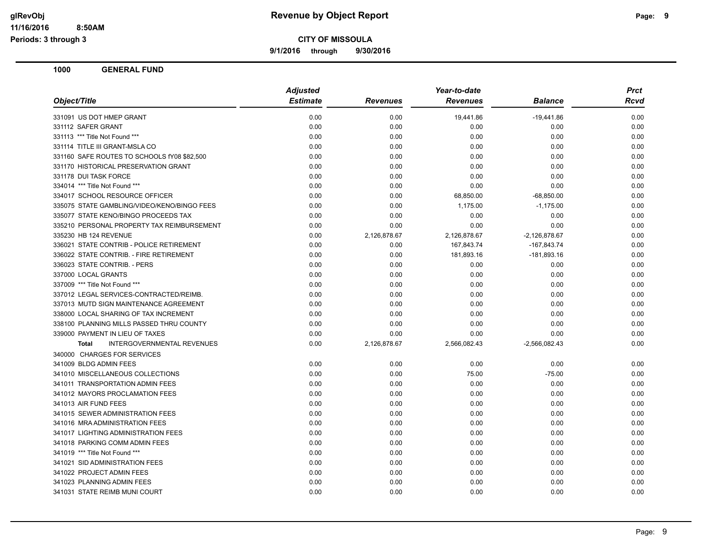**8:50AM Periods: 3 through 3**

**CITY OF MISSOULA**

**9/1/2016 through 9/30/2016**

| Object/Title                                | <b>Adjusted</b><br><b>Estimate</b> | <b>Revenues</b> | Year-to-date<br><b>Revenues</b> | <b>Balance</b>  | <b>Prct</b><br><b>Rcvd</b> |
|---------------------------------------------|------------------------------------|-----------------|---------------------------------|-----------------|----------------------------|
|                                             |                                    |                 |                                 |                 |                            |
| 331091 US DOT HMEP GRANT                    | 0.00                               | 0.00            | 19,441.86                       | $-19,441.86$    | 0.00                       |
| 331112 SAFER GRANT                          | 0.00                               | 0.00            | 0.00                            | 0.00            | 0.00                       |
| 331113 *** Title Not Found ***              | 0.00                               | 0.00            | 0.00                            | 0.00            | 0.00                       |
| 331114 TITLE III GRANT-MSLA CO              | 0.00                               | 0.00            | 0.00                            | 0.00            | 0.00                       |
| 331160 SAFE ROUTES TO SCHOOLS fY08 \$82,500 | 0.00                               | 0.00            | 0.00                            | 0.00            | 0.00                       |
| 331170 HISTORICAL PRESERVATION GRANT        | 0.00                               | 0.00            | 0.00                            | 0.00            | 0.00                       |
| 331178 DUI TASK FORCE                       | 0.00                               | 0.00            | 0.00                            | 0.00            | 0.00                       |
| 334014 *** Title Not Found ***              | 0.00                               | 0.00            | 0.00                            | 0.00            | 0.00                       |
| 334017 SCHOOL RESOURCE OFFICER              | 0.00                               | 0.00            | 68,850.00                       | $-68,850.00$    | 0.00                       |
| 335075 STATE GAMBLING/VIDEO/KENO/BINGO FEES | 0.00                               | 0.00            | 1,175.00                        | $-1,175.00$     | 0.00                       |
| 335077 STATE KENO/BINGO PROCEEDS TAX        | 0.00                               | 0.00            | 0.00                            | 0.00            | 0.00                       |
| 335210 PERSONAL PROPERTY TAX REIMBURSEMENT  | 0.00                               | 0.00            | 0.00                            | 0.00            | 0.00                       |
| 335230 HB 124 REVENUE                       | 0.00                               | 2,126,878.67    | 2,126,878.67                    | $-2,126,878.67$ | 0.00                       |
| 336021 STATE CONTRIB - POLICE RETIREMENT    | 0.00                               | 0.00            | 167,843.74                      | $-167,843.74$   | 0.00                       |
| 336022 STATE CONTRIB. - FIRE RETIREMENT     | 0.00                               | 0.00            | 181,893.16                      | $-181,893.16$   | 0.00                       |
| 336023 STATE CONTRIB. - PERS                | 0.00                               | 0.00            | 0.00                            | 0.00            | 0.00                       |
| 337000 LOCAL GRANTS                         | 0.00                               | 0.00            | 0.00                            | 0.00            | 0.00                       |
| 337009 *** Title Not Found ***              | 0.00                               | 0.00            | 0.00                            | 0.00            | 0.00                       |
| 337012 LEGAL SERVICES-CONTRACTED/REIMB.     | 0.00                               | 0.00            | 0.00                            | 0.00            | 0.00                       |
| 337013 MUTD SIGN MAINTENANCE AGREEMENT      | 0.00                               | 0.00            | 0.00                            | 0.00            | 0.00                       |
| 338000 LOCAL SHARING OF TAX INCREMENT       | 0.00                               | 0.00            | 0.00                            | 0.00            | 0.00                       |
| 338100 PLANNING MILLS PASSED THRU COUNTY    | 0.00                               | 0.00            | 0.00                            | 0.00            | 0.00                       |
| 339000 PAYMENT IN LIEU OF TAXES             | 0.00                               | 0.00            | 0.00                            | 0.00            | 0.00                       |
| <b>INTERGOVERNMENTAL REVENUES</b><br>Total  | 0.00                               | 2,126,878.67    | 2,566,082.43                    | $-2,566,082.43$ | 0.00                       |
| 340000 CHARGES FOR SERVICES                 |                                    |                 |                                 |                 |                            |
| 341009 BLDG ADMIN FEES                      | 0.00                               | 0.00            | 0.00                            | 0.00            | 0.00                       |
| 341010 MISCELLANEOUS COLLECTIONS            | 0.00                               | 0.00            | 75.00                           | $-75.00$        | 0.00                       |
| 341011 TRANSPORTATION ADMIN FEES            | 0.00                               | 0.00            | 0.00                            | 0.00            | 0.00                       |
| 341012 MAYORS PROCLAMATION FEES             | 0.00                               | 0.00            | 0.00                            | 0.00            | 0.00                       |
| 341013 AIR FUND FEES                        | 0.00                               | 0.00            | 0.00                            | 0.00            | 0.00                       |
| 341015 SEWER ADMINISTRATION FEES            | 0.00                               | 0.00            | 0.00                            | 0.00            | 0.00                       |
| 341016 MRA ADMINISTRATION FEES              | 0.00                               | 0.00            | 0.00                            | 0.00            | 0.00                       |
| 341017 LIGHTING ADMINISTRATION FEES         | 0.00                               | 0.00            | 0.00                            | 0.00            | 0.00                       |
| 341018 PARKING COMM ADMIN FEES              | 0.00                               | 0.00            | 0.00                            | 0.00            | 0.00                       |
| 341019 *** Title Not Found ***              | 0.00                               | 0.00            | 0.00                            | 0.00            | 0.00                       |
| 341021 SID ADMINISTRATION FEES              | 0.00                               | 0.00            | 0.00                            | 0.00            | 0.00                       |
| 341022 PROJECT ADMIN FEES                   | 0.00                               | 0.00            | 0.00                            | 0.00            | 0.00                       |
| 341023 PLANNING ADMIN FEES                  | 0.00                               | 0.00            | 0.00                            | 0.00            | 0.00                       |
| 341031 STATE REIMB MUNI COURT               | 0.00                               | 0.00            | 0.00                            | 0.00            | 0.00                       |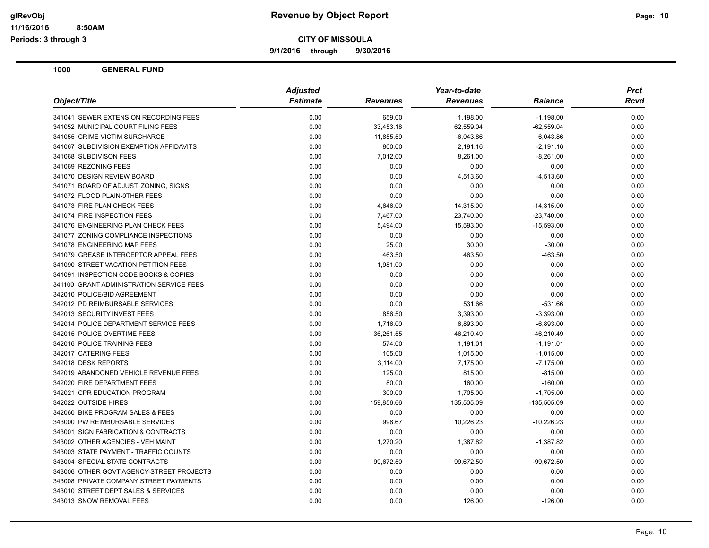**CITY OF MISSOULA**

**9/1/2016 through 9/30/2016**

|                                          | <b>Adjusted</b> |                 |                 | <b>Prct</b>    |             |
|------------------------------------------|-----------------|-----------------|-----------------|----------------|-------------|
| Object/Title                             | <b>Estimate</b> | <b>Revenues</b> | <b>Revenues</b> | <b>Balance</b> | <b>Rcvd</b> |
| 341041 SEWER EXTENSION RECORDING FEES    | 0.00            | 659.00          | 1,198.00        | $-1,198.00$    | 0.00        |
| 341052 MUNICIPAL COURT FILING FEES       | 0.00            | 33,453.18       | 62,559.04       | $-62,559.04$   | 0.00        |
| 341055 CRIME VICTIM SURCHARGE            | 0.00            | $-11,855.59$    | $-6,043.86$     | 6,043.86       | 0.00        |
| 341067 SUBDIVISION EXEMPTION AFFIDAVITS  | 0.00            | 800.00          | 2,191.16        | $-2,191.16$    | 0.00        |
| 341068 SUBDIVISON FEES                   | 0.00            | 7,012.00        | 8,261.00        | $-8,261.00$    | 0.00        |
| 341069 REZONING FEES                     | 0.00            | 0.00            | 0.00            | 0.00           | 0.00        |
| 341070 DESIGN REVIEW BOARD               | 0.00            | 0.00            | 4,513.60        | $-4,513.60$    | 0.00        |
| 341071 BOARD OF ADJUST. ZONING, SIGNS    | 0.00            | 0.00            | 0.00            | 0.00           | 0.00        |
| 341072 FLOOD PLAIN-0THER FEES            | 0.00            | 0.00            | 0.00            | 0.00           | 0.00        |
| 341073 FIRE PLAN CHECK FEES              | 0.00            | 4,646.00        | 14,315.00       | $-14,315.00$   | 0.00        |
| 341074 FIRE INSPECTION FEES              | 0.00            | 7,467.00        | 23,740.00       | $-23,740.00$   | 0.00        |
| 341076 ENGINEERING PLAN CHECK FEES       | 0.00            | 5,494.00        | 15,593.00       | $-15,593.00$   | 0.00        |
| 341077 ZONING COMPLIANCE INSPECTIONS     | 0.00            | 0.00            | 0.00            | 0.00           | 0.00        |
| 341078 ENGINEERING MAP FEES              | 0.00            | 25.00           | 30.00           | $-30.00$       | 0.00        |
| 341079 GREASE INTERCEPTOR APPEAL FEES    | 0.00            | 463.50          | 463.50          | $-463.50$      | 0.00        |
| 341090 STREET VACATION PETITION FEES     | 0.00            | 1,981.00        | 0.00            | 0.00           | 0.00        |
| 341091 INSPECTION CODE BOOKS & COPIES    | 0.00            | 0.00            | 0.00            | 0.00           | 0.00        |
| 341100 GRANT ADMINISTRATION SERVICE FEES | 0.00            | 0.00            | 0.00            | 0.00           | 0.00        |
| 342010 POLICE/BID AGREEMENT              | 0.00            | 0.00            | 0.00            | 0.00           | 0.00        |
| 342012 PD REIMBURSABLE SERVICES          | 0.00            | 0.00            | 531.66          | $-531.66$      | 0.00        |
| 342013 SECURITY INVEST FEES              | 0.00            | 856.50          | 3,393.00        | $-3,393.00$    | 0.00        |
| 342014 POLICE DEPARTMENT SERVICE FEES    | 0.00            | 1,716.00        | 6,893.00        | $-6,893.00$    | 0.00        |
| 342015 POLICE OVERTIME FEES              | 0.00            | 36,261.55       | 46,210.49       | $-46,210.49$   | 0.00        |
| 342016 POLICE TRAINING FEES              | 0.00            | 574.00          | 1,191.01        | $-1,191.01$    | 0.00        |
| 342017 CATERING FEES                     | 0.00            | 105.00          | 1,015.00        | $-1,015.00$    | 0.00        |
| 342018 DESK REPORTS                      | 0.00            | 3,114.00        | 7,175.00        | $-7,175.00$    | 0.00        |
| 342019 ABANDONED VEHICLE REVENUE FEES    | 0.00            | 125.00          | 815.00          | $-815.00$      | 0.00        |
| 342020 FIRE DEPARTMENT FEES              | 0.00            | 80.00           | 160.00          | $-160.00$      | 0.00        |
| 342021 CPR EDUCATION PROGRAM             | 0.00            | 300.00          | 1,705.00        | $-1,705.00$    | 0.00        |
| 342022 OUTSIDE HIRES                     | 0.00            | 159,856.66      | 135,505.09      | $-135,505.09$  | 0.00        |
| 342060 BIKE PROGRAM SALES & FEES         | 0.00            | 0.00            | 0.00            | 0.00           | 0.00        |
| 343000 PW REIMBURSABLE SERVICES          | 0.00            | 998.67          | 10,226.23       | $-10,226.23$   | 0.00        |
| 343001 SIGN FABRICATION & CONTRACTS      | 0.00            | 0.00            | 0.00            | 0.00           | 0.00        |
| 343002 OTHER AGENCIES - VEH MAINT        | 0.00            | 1,270.20        | 1,387.82        | $-1,387.82$    | 0.00        |
| 343003 STATE PAYMENT - TRAFFIC COUNTS    | 0.00            | 0.00            | 0.00            | 0.00           | 0.00        |
| 343004 SPECIAL STATE CONTRACTS           | 0.00            | 99,672.50       | 99,672.50       | $-99,672.50$   | 0.00        |
| 343006 OTHER GOVT AGENCY-STREET PROJECTS | 0.00            | 0.00            | 0.00            | 0.00           | 0.00        |
| 343008 PRIVATE COMPANY STREET PAYMENTS   | 0.00            | 0.00            | 0.00            | 0.00           | 0.00        |
| 343010 STREET DEPT SALES & SERVICES      | 0.00            | 0.00            | 0.00            | 0.00           | 0.00        |
| 343013 SNOW REMOVAL FEES                 | 0.00            | 0.00            | 126.00          | $-126.00$      | 0.00        |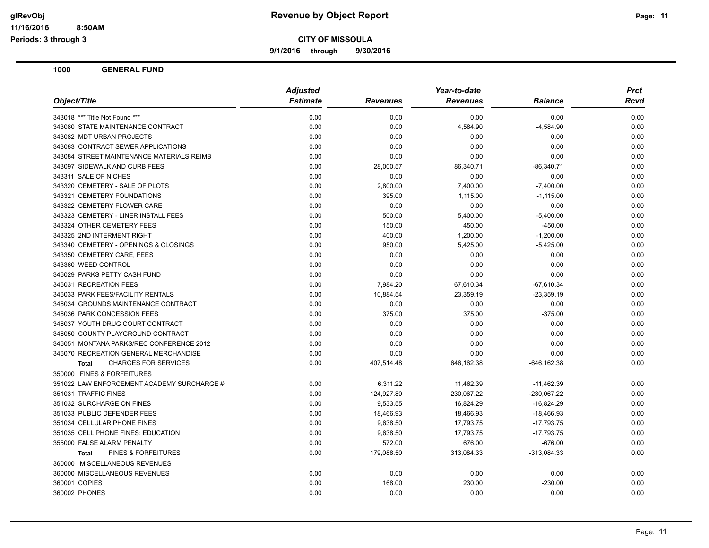**CITY OF MISSOULA**

**9/1/2016 through 9/30/2016**

| Object/Title                                   | <b>Adjusted</b><br><b>Estimate</b> | <b>Revenues</b> | Year-to-date<br><b>Revenues</b> | <b>Balance</b> | <b>Prct</b><br>Rcvd |
|------------------------------------------------|------------------------------------|-----------------|---------------------------------|----------------|---------------------|
|                                                |                                    |                 |                                 |                |                     |
| 343018 *** Title Not Found ***                 | 0.00                               | 0.00            | 0.00                            | 0.00           | 0.00                |
| 343080 STATE MAINTENANCE CONTRACT              | 0.00                               | 0.00            | 4,584.90                        | $-4,584.90$    | 0.00                |
| 343082 MDT URBAN PROJECTS                      | 0.00                               | 0.00            | 0.00                            | 0.00           | 0.00                |
| 343083 CONTRACT SEWER APPLICATIONS             | 0.00                               | 0.00            | 0.00                            | 0.00           | 0.00                |
| 343084 STREET MAINTENANCE MATERIALS REIMB      | 0.00                               | 0.00            | 0.00                            | 0.00           | 0.00                |
| 343097 SIDEWALK AND CURB FEES                  | 0.00                               | 28,000.57       | 86,340.71                       | $-86,340.71$   | 0.00                |
| 343311 SALE OF NICHES                          | 0.00                               | 0.00            | 0.00                            | 0.00           | 0.00                |
| 343320 CEMETERY - SALE OF PLOTS                | 0.00                               | 2,800.00        | 7,400.00                        | $-7,400.00$    | 0.00                |
| 343321 CEMETERY FOUNDATIONS                    | 0.00                               | 395.00          | 1,115.00                        | $-1,115.00$    | 0.00                |
| 343322 CEMETERY FLOWER CARE                    | 0.00                               | 0.00            | 0.00                            | 0.00           | 0.00                |
| 343323 CEMETERY - LINER INSTALL FEES           | 0.00                               | 500.00          | 5,400.00                        | $-5,400.00$    | 0.00                |
| 343324 OTHER CEMETERY FEES                     | 0.00                               | 150.00          | 450.00                          | $-450.00$      | 0.00                |
| 343325 2ND INTERMENT RIGHT                     | 0.00                               | 400.00          | 1,200.00                        | $-1,200.00$    | 0.00                |
| 343340 CEMETERY - OPENINGS & CLOSINGS          | 0.00                               | 950.00          | 5,425.00                        | $-5,425.00$    | 0.00                |
| 343350 CEMETERY CARE, FEES                     | 0.00                               | 0.00            | 0.00                            | 0.00           | 0.00                |
| 343360 WEED CONTROL                            | 0.00                               | 0.00            | 0.00                            | 0.00           | 0.00                |
| 346029 PARKS PETTY CASH FUND                   | 0.00                               | 0.00            | 0.00                            | 0.00           | 0.00                |
| 346031 RECREATION FEES                         | 0.00                               | 7,984.20        | 67,610.34                       | $-67,610.34$   | 0.00                |
| 346033 PARK FEES/FACILITY RENTALS              | 0.00                               | 10,884.54       | 23,359.19                       | $-23,359.19$   | 0.00                |
| 346034 GROUNDS MAINTENANCE CONTRACT            | 0.00                               | 0.00            | 0.00                            | 0.00           | 0.00                |
| 346036 PARK CONCESSION FEES                    | 0.00                               | 375.00          | 375.00                          | $-375.00$      | 0.00                |
| 346037 YOUTH DRUG COURT CONTRACT               | 0.00                               | 0.00            | 0.00                            | 0.00           | 0.00                |
| 346050 COUNTY PLAYGROUND CONTRACT              | 0.00                               | 0.00            | 0.00                            | 0.00           | 0.00                |
| 346051 MONTANA PARKS/REC CONFERENCE 2012       | 0.00                               | 0.00            | 0.00                            | 0.00           | 0.00                |
| 346070 RECREATION GENERAL MERCHANDISE          | 0.00                               | 0.00            | 0.00                            | 0.00           | 0.00                |
| <b>CHARGES FOR SERVICES</b><br><b>Total</b>    | 0.00                               | 407,514.48      | 646,162.38                      | $-646, 162.38$ | 0.00                |
| 350000 FINES & FORFEITURES                     |                                    |                 |                                 |                |                     |
| 351022 LAW ENFORCEMENT ACADEMY SURCHARGE #!    | 0.00                               | 6,311.22        | 11,462.39                       | $-11,462.39$   | 0.00                |
| 351031 TRAFFIC FINES                           | 0.00                               | 124,927.80      | 230,067.22                      | -230,067.22    | 0.00                |
| 351032 SURCHARGE ON FINES                      | 0.00                               | 9,533.55        | 16,824.29                       | $-16,824.29$   | 0.00                |
| 351033 PUBLIC DEFENDER FEES                    | 0.00                               | 18,466.93       | 18,466.93                       | $-18,466.93$   | 0.00                |
| 351034 CELLULAR PHONE FINES                    | 0.00                               | 9,638.50        | 17,793.75                       | $-17,793.75$   | 0.00                |
| 351035 CELL PHONE FINES: EDUCATION             | 0.00                               | 9,638.50        | 17,793.75                       | $-17,793.75$   | 0.00                |
| 355000 FALSE ALARM PENALTY                     | 0.00                               | 572.00          | 676.00                          | $-676.00$      | 0.00                |
| <b>FINES &amp; FORFEITURES</b><br><b>Total</b> | 0.00                               | 179,088.50      | 313,084.33                      | $-313,084.33$  | 0.00                |
| 360000 MISCELLANEOUS REVENUES                  |                                    |                 |                                 |                |                     |
| 360000 MISCELLANEOUS REVENUES                  | 0.00                               | 0.00            | 0.00                            | 0.00           | 0.00                |
| 360001 COPIES                                  | 0.00                               | 168.00          | 230.00                          | $-230.00$      | 0.00                |
| 360002 PHONES                                  | 0.00                               | 0.00            | 0.00                            | 0.00           | 0.00                |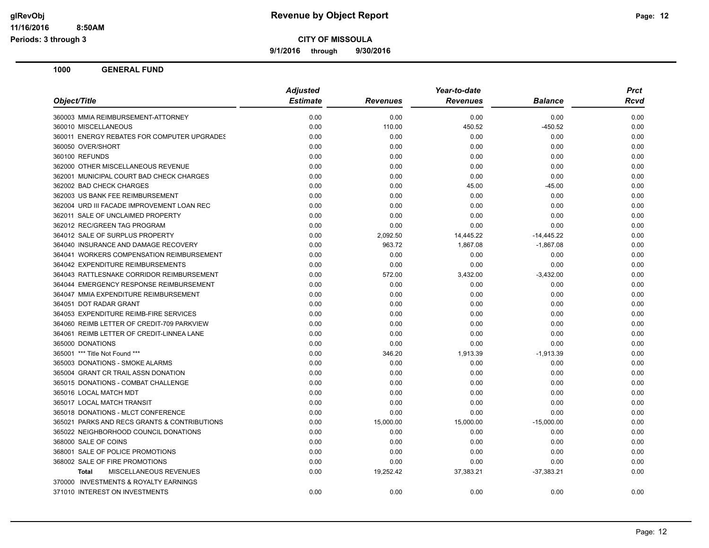**9/1/2016 through 9/30/2016**

| 0.00<br>0.00<br>360003 MMIA REIMBURSEMENT-ATTORNEY<br>0.00<br>360010 MISCELLANEOUS<br>0.00<br>110.00<br>450.52<br>360011 ENERGY REBATES FOR COMPUTER UPGRADES<br>0.00<br>0.00<br>0.00<br>360050 OVER/SHORT<br>0.00<br>0.00<br>0.00 | 0.00<br>$-450.52$<br>0.00<br>0.00<br>0.00<br>0.00<br>0.00<br>$-45.00$<br>0.00 | 0.00<br>0.00<br>0.00<br>0.00<br>0.00<br>0.00<br>0.00<br>0.00 |
|------------------------------------------------------------------------------------------------------------------------------------------------------------------------------------------------------------------------------------|-------------------------------------------------------------------------------|--------------------------------------------------------------|
|                                                                                                                                                                                                                                    |                                                                               |                                                              |
|                                                                                                                                                                                                                                    |                                                                               |                                                              |
|                                                                                                                                                                                                                                    |                                                                               |                                                              |
|                                                                                                                                                                                                                                    |                                                                               |                                                              |
| 360100 REFUNDS<br>0.00<br>0.00<br>0.00                                                                                                                                                                                             |                                                                               |                                                              |
| 362000 OTHER MISCELLANEOUS REVENUE<br>0.00<br>0.00<br>0.00                                                                                                                                                                         |                                                                               |                                                              |
| 362001 MUNICIPAL COURT BAD CHECK CHARGES<br>0.00<br>0.00<br>0.00                                                                                                                                                                   |                                                                               |                                                              |
| 362002 BAD CHECK CHARGES<br>0.00<br>0.00<br>45.00                                                                                                                                                                                  |                                                                               |                                                              |
| 362003 US BANK FEE REIMBURSEMENT<br>0.00<br>0.00<br>0.00                                                                                                                                                                           |                                                                               | 0.00                                                         |
| 362004 URD III FACADE IMPROVEMENT LOAN REC<br>0.00<br>0.00<br>0.00                                                                                                                                                                 | 0.00                                                                          | 0.00                                                         |
| 362011 SALE OF UNCLAIMED PROPERTY<br>0.00<br>0.00<br>0.00                                                                                                                                                                          | 0.00                                                                          | 0.00                                                         |
| 362012 REC/GREEN TAG PROGRAM<br>0.00<br>0.00<br>0.00                                                                                                                                                                               | 0.00                                                                          | 0.00                                                         |
| 364012 SALE OF SURPLUS PROPERTY<br>0.00<br>2,092.50<br>14,445.22                                                                                                                                                                   | $-14,445.22$                                                                  | 0.00                                                         |
| 364040 INSURANCE AND DAMAGE RECOVERY<br>963.72<br>1,867.08<br>0.00                                                                                                                                                                 | $-1,867.08$                                                                   | 0.00                                                         |
| 0.00<br>0.00<br>364041 WORKERS COMPENSATION REIMBURSEMENT<br>0.00                                                                                                                                                                  | 0.00                                                                          | 0.00                                                         |
| 364042 EXPENDITURE REIMBURSEMENTS<br>0.00<br>0.00<br>0.00                                                                                                                                                                          | 0.00                                                                          | 0.00                                                         |
| 364043 RATTLESNAKE CORRIDOR REIMBURSEMENT<br>0.00<br>572.00<br>3,432.00                                                                                                                                                            | $-3,432.00$                                                                   | 0.00                                                         |
| 364044 EMERGENCY RESPONSE REIMBURSEMENT<br>0.00<br>0.00<br>0.00                                                                                                                                                                    | 0.00                                                                          | 0.00                                                         |
| 364047 MMIA EXPENDITURE REIMBURSEMENT<br>0.00<br>0.00<br>0.00                                                                                                                                                                      | 0.00                                                                          | 0.00                                                         |
| 364051 DOT RADAR GRANT<br>0.00<br>0.00<br>0.00                                                                                                                                                                                     | 0.00                                                                          | 0.00                                                         |
| 364053 EXPENDITURE REIMB-FIRE SERVICES<br>0.00<br>0.00<br>0.00                                                                                                                                                                     | 0.00                                                                          | 0.00                                                         |
| 364060 REIMB LETTER OF CREDIT-709 PARKVIEW<br>0.00<br>0.00<br>0.00                                                                                                                                                                 | 0.00                                                                          | 0.00                                                         |
| 364061 REIMB LETTER OF CREDIT-LINNEA LANE<br>0.00<br>0.00<br>0.00                                                                                                                                                                  | 0.00                                                                          | 0.00                                                         |
| 365000 DONATIONS<br>0.00<br>0.00<br>0.00                                                                                                                                                                                           | 0.00                                                                          | 0.00                                                         |
| 365001 *** Title Not Found ***<br>346.20<br>1,913.39<br>0.00                                                                                                                                                                       | $-1,913.39$                                                                   | 0.00                                                         |
| 365003 DONATIONS - SMOKE ALARMS<br>0.00<br>0.00<br>0.00                                                                                                                                                                            | 0.00                                                                          | 0.00                                                         |
| 365004 GRANT CR TRAIL ASSN DONATION<br>0.00<br>0.00<br>0.00                                                                                                                                                                        | 0.00                                                                          | 0.00                                                         |
| 365015 DONATIONS - COMBAT CHALLENGE<br>0.00<br>0.00<br>0.00                                                                                                                                                                        | 0.00                                                                          | 0.00                                                         |
| 365016 LOCAL MATCH MDT<br>0.00<br>0.00<br>0.00                                                                                                                                                                                     | 0.00                                                                          | 0.00                                                         |
| 365017 LOCAL MATCH TRANSIT<br>0.00<br>0.00<br>0.00                                                                                                                                                                                 | 0.00                                                                          | 0.00                                                         |
| 365018 DONATIONS - MLCT CONFERENCE<br>0.00<br>0.00<br>0.00                                                                                                                                                                         | 0.00                                                                          | 0.00                                                         |
| 365021 PARKS AND RECS GRANTS & CONTRIBUTIONS<br>0.00<br>15,000.00<br>15,000.00                                                                                                                                                     | $-15,000.00$                                                                  | 0.00                                                         |
| 365022 NEIGHBORHOOD COUNCIL DONATIONS<br>0.00<br>0.00<br>0.00                                                                                                                                                                      | 0.00                                                                          | 0.00                                                         |
| 368000 SALE OF COINS<br>0.00<br>0.00<br>0.00                                                                                                                                                                                       | 0.00                                                                          | 0.00                                                         |
| 368001 SALE OF POLICE PROMOTIONS<br>0.00<br>0.00<br>0.00                                                                                                                                                                           | 0.00                                                                          | 0.00                                                         |
| 368002 SALE OF FIRE PROMOTIONS<br>0.00<br>0.00<br>0.00                                                                                                                                                                             | 0.00                                                                          | 0.00                                                         |
| MISCELLANEOUS REVENUES<br>0.00<br>19,252.42<br>37,383.21<br>Total                                                                                                                                                                  | $-37,383.21$                                                                  | 0.00                                                         |
| 370000 INVESTMENTS & ROYALTY EARNINGS                                                                                                                                                                                              |                                                                               |                                                              |
| 371010 INTEREST ON INVESTMENTS<br>0.00<br>0.00<br>0.00                                                                                                                                                                             | 0.00                                                                          | 0.00                                                         |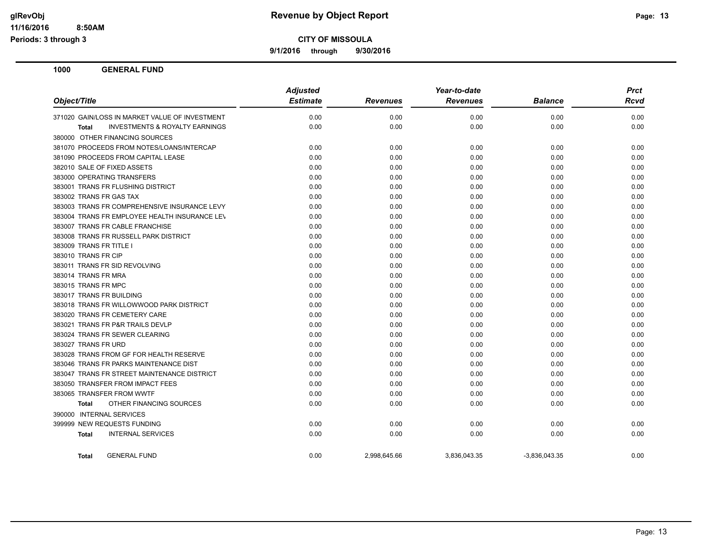**CITY OF MISSOULA**

**9/1/2016 through 9/30/2016**

 **8:50AM**

|                                                           | <b>Adjusted</b> |                 |                 | <b>Prct</b>     |             |
|-----------------------------------------------------------|-----------------|-----------------|-----------------|-----------------|-------------|
| Object/Title                                              | <b>Estimate</b> | <b>Revenues</b> | <b>Revenues</b> | <b>Balance</b>  | <b>Rcvd</b> |
| 371020 GAIN/LOSS IN MARKET VALUE OF INVESTMENT            | 0.00            | 0.00            | 0.00            | 0.00            | 0.00        |
| <b>INVESTMENTS &amp; ROYALTY EARNINGS</b><br><b>Total</b> | 0.00            | 0.00            | 0.00            | 0.00            | 0.00        |
| 380000 OTHER FINANCING SOURCES                            |                 |                 |                 |                 |             |
| 381070 PROCEEDS FROM NOTES/LOANS/INTERCAP                 | 0.00            | 0.00            | 0.00            | 0.00            | 0.00        |
| 381090 PROCEEDS FROM CAPITAL LEASE                        | 0.00            | 0.00            | 0.00            | 0.00            | 0.00        |
| 382010 SALE OF FIXED ASSETS                               | 0.00            | 0.00            | 0.00            | 0.00            | 0.00        |
| 383000 OPERATING TRANSFERS                                | 0.00            | 0.00            | 0.00            | 0.00            | 0.00        |
| 383001 TRANS FR FLUSHING DISTRICT                         | 0.00            | 0.00            | 0.00            | 0.00            | 0.00        |
| 383002 TRANS FR GAS TAX                                   | 0.00            | 0.00            | 0.00            | 0.00            | 0.00        |
| 383003 TRANS FR COMPREHENSIVE INSURANCE LEVY              | 0.00            | 0.00            | 0.00            | 0.00            | 0.00        |
| 383004 TRANS FR EMPLOYEE HEALTH INSURANCE LEV             | 0.00            | 0.00            | 0.00            | 0.00            | 0.00        |
| 383007 TRANS FR CABLE FRANCHISE                           | 0.00            | 0.00            | 0.00            | 0.00            | 0.00        |
| 383008 TRANS FR RUSSELL PARK DISTRICT                     | 0.00            | 0.00            | 0.00            | 0.00            | 0.00        |
| 383009 TRANS FR TITLE I                                   | 0.00            | 0.00            | 0.00            | 0.00            | 0.00        |
| 383010 TRANS FR CIP                                       | 0.00            | 0.00            | 0.00            | 0.00            | 0.00        |
| 383011 TRANS FR SID REVOLVING                             | 0.00            | 0.00            | 0.00            | 0.00            | 0.00        |
| 383014 TRANS FR MRA                                       | 0.00            | 0.00            | 0.00            | 0.00            | 0.00        |
| 383015 TRANS FR MPC                                       | 0.00            | 0.00            | 0.00            | 0.00            | 0.00        |
| 383017 TRANS FR BUILDING                                  | 0.00            | 0.00            | 0.00            | 0.00            | 0.00        |
| 383018 TRANS FR WILLOWWOOD PARK DISTRICT                  | 0.00            | 0.00            | 0.00            | 0.00            | 0.00        |
| 383020 TRANS FR CEMETERY CARE                             | 0.00            | 0.00            | 0.00            | 0.00            | 0.00        |
| 383021 TRANS FR P&R TRAILS DEVLP                          | 0.00            | 0.00            | 0.00            | 0.00            | 0.00        |
| 383024 TRANS FR SEWER CLEARING                            | 0.00            | 0.00            | 0.00            | 0.00            | 0.00        |
| 383027 TRANS FR URD                                       | 0.00            | 0.00            | 0.00            | 0.00            | 0.00        |
| 383028 TRANS FROM GF FOR HEALTH RESERVE                   | 0.00            | 0.00            | 0.00            | 0.00            | 0.00        |
| 383046 TRANS FR PARKS MAINTENANCE DIST                    | 0.00            | 0.00            | 0.00            | 0.00            | 0.00        |
| 383047 TRANS FR STREET MAINTENANCE DISTRICT               | 0.00            | 0.00            | 0.00            | 0.00            | 0.00        |
| 383050 TRANSFER FROM IMPACT FEES                          | 0.00            | 0.00            | 0.00            | 0.00            | 0.00        |
| 383065 TRANSFER FROM WWTF                                 | 0.00            | 0.00            | 0.00            | 0.00            | 0.00        |
| OTHER FINANCING SOURCES<br><b>Total</b>                   | 0.00            | 0.00            | 0.00            | 0.00            | 0.00        |
| 390000 INTERNAL SERVICES                                  |                 |                 |                 |                 |             |
| 399999 NEW REQUESTS FUNDING                               | 0.00            | 0.00            | 0.00            | 0.00            | 0.00        |
| <b>INTERNAL SERVICES</b><br>Total                         | 0.00            | 0.00            | 0.00            | 0.00            | 0.00        |
| <b>GENERAL FUND</b><br>Total                              | 0.00            | 2,998,645.66    | 3,836,043.35    | $-3,836,043.35$ | 0.00        |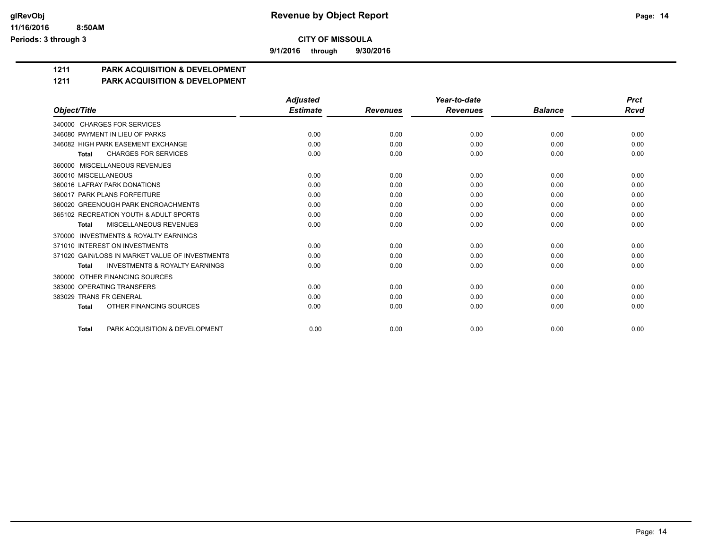**9/1/2016 through 9/30/2016**

#### **1211 PARK ACQUISITION & DEVELOPMENT**

#### **1211 PARK ACQUISITION & DEVELOPMENT**

|                                                    | <b>Adjusted</b> |                 | Year-to-date    |                | <b>Prct</b> |
|----------------------------------------------------|-----------------|-----------------|-----------------|----------------|-------------|
| Object/Title                                       | <b>Estimate</b> | <b>Revenues</b> | <b>Revenues</b> | <b>Balance</b> | <b>Rcvd</b> |
| 340000 CHARGES FOR SERVICES                        |                 |                 |                 |                |             |
| 346080 PAYMENT IN LIEU OF PARKS                    | 0.00            | 0.00            | 0.00            | 0.00           | 0.00        |
| 346082 HIGH PARK EASEMENT EXCHANGE                 | 0.00            | 0.00            | 0.00            | 0.00           | 0.00        |
| <b>CHARGES FOR SERVICES</b><br><b>Total</b>        | 0.00            | 0.00            | 0.00            | 0.00           | 0.00        |
| 360000 MISCELLANEOUS REVENUES                      |                 |                 |                 |                |             |
| 360010 MISCELLANEOUS                               | 0.00            | 0.00            | 0.00            | 0.00           | 0.00        |
| 360016 LAFRAY PARK DONATIONS                       | 0.00            | 0.00            | 0.00            | 0.00           | 0.00        |
| 360017 PARK PLANS FORFEITURE                       | 0.00            | 0.00            | 0.00            | 0.00           | 0.00        |
| 360020 GREENOUGH PARK ENCROACHMENTS                | 0.00            | 0.00            | 0.00            | 0.00           | 0.00        |
| 365102 RECREATION YOUTH & ADULT SPORTS             | 0.00            | 0.00            | 0.00            | 0.00           | 0.00        |
| <b>MISCELLANEOUS REVENUES</b><br><b>Total</b>      | 0.00            | 0.00            | 0.00            | 0.00           | 0.00        |
| 370000 INVESTMENTS & ROYALTY EARNINGS              |                 |                 |                 |                |             |
| 371010 INTEREST ON INVESTMENTS                     | 0.00            | 0.00            | 0.00            | 0.00           | 0.00        |
| 371020 GAIN/LOSS IN MARKET VALUE OF INVESTMENTS    | 0.00            | 0.00            | 0.00            | 0.00           | 0.00        |
| <b>INVESTMENTS &amp; ROYALTY EARNINGS</b><br>Total | 0.00            | 0.00            | 0.00            | 0.00           | 0.00        |
| 380000 OTHER FINANCING SOURCES                     |                 |                 |                 |                |             |
| 383000 OPERATING TRANSFERS                         | 0.00            | 0.00            | 0.00            | 0.00           | 0.00        |
| 383029 TRANS FR GENERAL                            | 0.00            | 0.00            | 0.00            | 0.00           | 0.00        |
| OTHER FINANCING SOURCES<br><b>Total</b>            | 0.00            | 0.00            | 0.00            | 0.00           | 0.00        |
| PARK ACQUISITION & DEVELOPMENT<br><b>Total</b>     | 0.00            | 0.00            | 0.00            | 0.00           | 0.00        |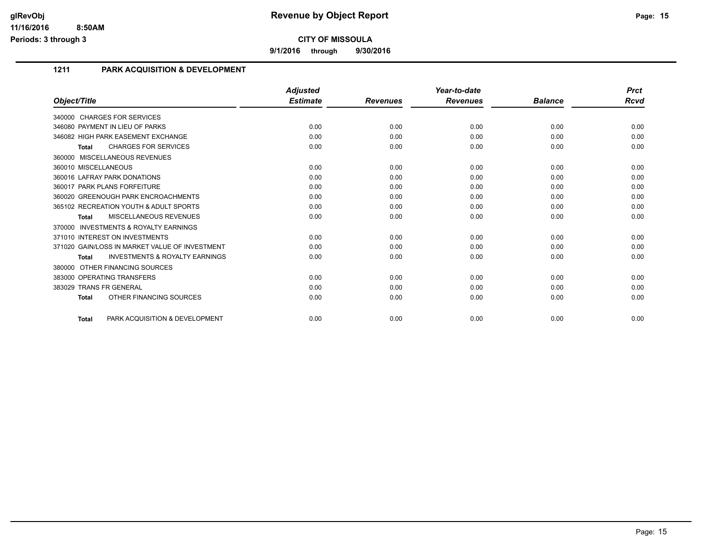**9/1/2016 through 9/30/2016**

#### **1211 PARK ACQUISITION & DEVELOPMENT**

|                                                           | <b>Adjusted</b> |                 | Year-to-date    |                | <b>Prct</b> |
|-----------------------------------------------------------|-----------------|-----------------|-----------------|----------------|-------------|
| Object/Title                                              | <b>Estimate</b> | <b>Revenues</b> | <b>Revenues</b> | <b>Balance</b> | Rcvd        |
| 340000 CHARGES FOR SERVICES                               |                 |                 |                 |                |             |
| 346080 PAYMENT IN LIEU OF PARKS                           | 0.00            | 0.00            | 0.00            | 0.00           | 0.00        |
| 346082 HIGH PARK EASEMENT EXCHANGE                        | 0.00            | 0.00            | 0.00            | 0.00           | 0.00        |
| <b>CHARGES FOR SERVICES</b><br><b>Total</b>               | 0.00            | 0.00            | 0.00            | 0.00           | 0.00        |
| 360000 MISCELLANEOUS REVENUES                             |                 |                 |                 |                |             |
| 360010 MISCELLANEOUS                                      | 0.00            | 0.00            | 0.00            | 0.00           | 0.00        |
| 360016 LAFRAY PARK DONATIONS                              | 0.00            | 0.00            | 0.00            | 0.00           | 0.00        |
| 360017 PARK PLANS FORFEITURE                              | 0.00            | 0.00            | 0.00            | 0.00           | 0.00        |
| 360020 GREENOUGH PARK ENCROACHMENTS                       | 0.00            | 0.00            | 0.00            | 0.00           | 0.00        |
| 365102 RECREATION YOUTH & ADULT SPORTS                    | 0.00            | 0.00            | 0.00            | 0.00           | 0.00        |
| <b>MISCELLANEOUS REVENUES</b><br><b>Total</b>             | 0.00            | 0.00            | 0.00            | 0.00           | 0.00        |
| <b>INVESTMENTS &amp; ROYALTY EARNINGS</b><br>370000       |                 |                 |                 |                |             |
| 371010 INTEREST ON INVESTMENTS                            | 0.00            | 0.00            | 0.00            | 0.00           | 0.00        |
| 371020 GAIN/LOSS IN MARKET VALUE OF INVESTMENT            | 0.00            | 0.00            | 0.00            | 0.00           | 0.00        |
| <b>INVESTMENTS &amp; ROYALTY EARNINGS</b><br><b>Total</b> | 0.00            | 0.00            | 0.00            | 0.00           | 0.00        |
| 380000 OTHER FINANCING SOURCES                            |                 |                 |                 |                |             |
| 383000 OPERATING TRANSFERS                                | 0.00            | 0.00            | 0.00            | 0.00           | 0.00        |
| 383029 TRANS FR GENERAL                                   | 0.00            | 0.00            | 0.00            | 0.00           | 0.00        |
| OTHER FINANCING SOURCES<br><b>Total</b>                   | 0.00            | 0.00            | 0.00            | 0.00           | 0.00        |
| PARK ACQUISITION & DEVELOPMENT<br><b>Total</b>            | 0.00            | 0.00            | 0.00            | 0.00           | 0.00        |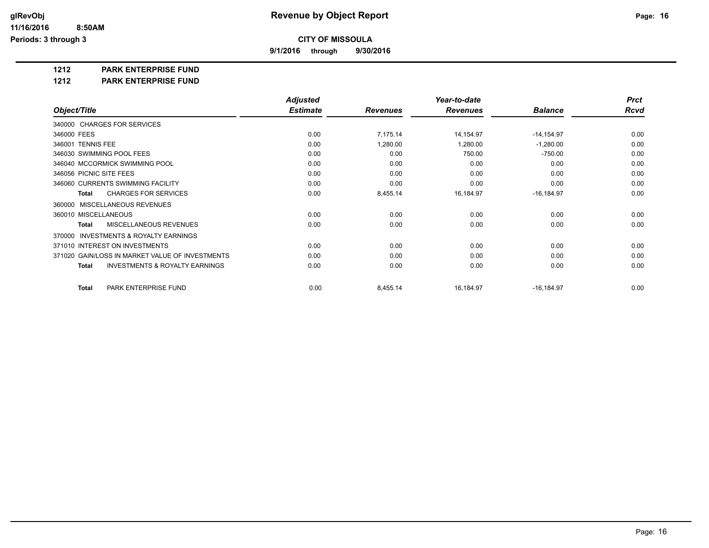**9/1/2016 through 9/30/2016**

**1212 PARK ENTERPRISE FUND**

**1212 PARK ENTERPRISE FUND**

|                                                           | <b>Adjusted</b> |                 | Year-to-date    |                | <b>Prct</b> |
|-----------------------------------------------------------|-----------------|-----------------|-----------------|----------------|-------------|
| Object/Title                                              | <b>Estimate</b> | <b>Revenues</b> | <b>Revenues</b> | <b>Balance</b> | <b>Rcvd</b> |
| 340000 CHARGES FOR SERVICES                               |                 |                 |                 |                |             |
| 346000 FEES                                               | 0.00            | 7,175.14        | 14,154.97       | $-14, 154.97$  | 0.00        |
| 346001 TENNIS FEE                                         | 0.00            | 1,280.00        | 1,280.00        | $-1,280.00$    | 0.00        |
| 346030 SWIMMING POOL FEES                                 | 0.00            | 0.00            | 750.00          | $-750.00$      | 0.00        |
| 346040 MCCORMICK SWIMMING POOL                            | 0.00            | 0.00            | 0.00            | 0.00           | 0.00        |
| 346056 PICNIC SITE FEES                                   | 0.00            | 0.00            | 0.00            | 0.00           | 0.00        |
| 346060 CURRENTS SWIMMING FACILITY                         | 0.00            | 0.00            | 0.00            | 0.00           | 0.00        |
| <b>CHARGES FOR SERVICES</b><br><b>Total</b>               | 0.00            | 8,455.14        | 16,184.97       | $-16, 184.97$  | 0.00        |
| MISCELLANEOUS REVENUES<br>360000                          |                 |                 |                 |                |             |
| 360010 MISCELLANEOUS                                      | 0.00            | 0.00            | 0.00            | 0.00           | 0.00        |
| MISCELLANEOUS REVENUES<br><b>Total</b>                    | 0.00            | 0.00            | 0.00            | 0.00           | 0.00        |
| <b>INVESTMENTS &amp; ROYALTY EARNINGS</b><br>370000       |                 |                 |                 |                |             |
| 371010 INTEREST ON INVESTMENTS                            | 0.00            | 0.00            | 0.00            | 0.00           | 0.00        |
| 371020 GAIN/LOSS IN MARKET VALUE OF INVESTMENTS           | 0.00            | 0.00            | 0.00            | 0.00           | 0.00        |
| <b>INVESTMENTS &amp; ROYALTY EARNINGS</b><br><b>Total</b> | 0.00            | 0.00            | 0.00            | 0.00           | 0.00        |
| PARK ENTERPRISE FUND<br><b>Total</b>                      | 0.00            | 8,455.14        | 16,184.97       | $-16, 184.97$  | 0.00        |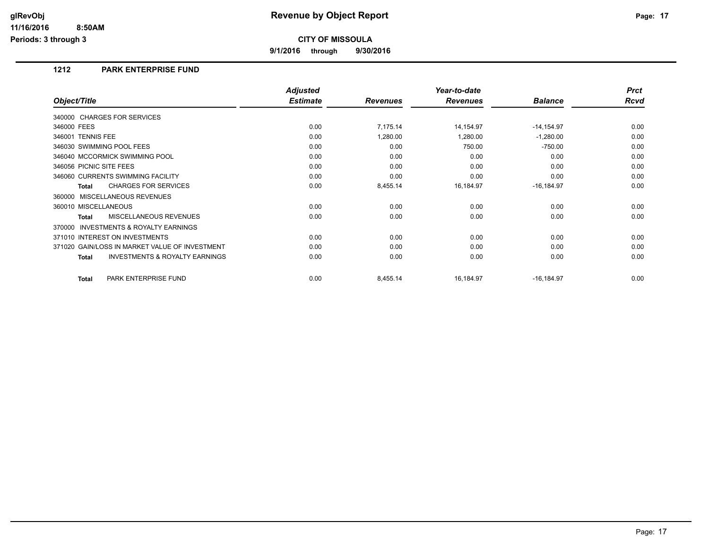**9/1/2016 through 9/30/2016**

#### **1212 PARK ENTERPRISE FUND**

|                                                           | <b>Adjusted</b> |                 | Year-to-date    |                | <b>Prct</b> |
|-----------------------------------------------------------|-----------------|-----------------|-----------------|----------------|-------------|
| Object/Title                                              | <b>Estimate</b> | <b>Revenues</b> | <b>Revenues</b> | <b>Balance</b> | <b>Rcvd</b> |
| 340000 CHARGES FOR SERVICES                               |                 |                 |                 |                |             |
| 346000 FEES                                               | 0.00            | 7,175.14        | 14,154.97       | $-14, 154.97$  | 0.00        |
| 346001 TENNIS FEE                                         | 0.00            | 1,280.00        | 1,280.00        | $-1,280.00$    | 0.00        |
| 346030 SWIMMING POOL FEES                                 | 0.00            | 0.00            | 750.00          | $-750.00$      | 0.00        |
| 346040 MCCORMICK SWIMMING POOL                            | 0.00            | 0.00            | 0.00            | 0.00           | 0.00        |
| 346056 PICNIC SITE FEES                                   | 0.00            | 0.00            | 0.00            | 0.00           | 0.00        |
| 346060 CURRENTS SWIMMING FACILITY                         | 0.00            | 0.00            | 0.00            | 0.00           | 0.00        |
| <b>CHARGES FOR SERVICES</b><br>Total                      | 0.00            | 8,455.14        | 16,184.97       | $-16, 184.97$  | 0.00        |
| 360000 MISCELLANEOUS REVENUES                             |                 |                 |                 |                |             |
| 360010 MISCELLANEOUS                                      | 0.00            | 0.00            | 0.00            | 0.00           | 0.00        |
| MISCELLANEOUS REVENUES<br>Total                           | 0.00            | 0.00            | 0.00            | 0.00           | 0.00        |
| <b>INVESTMENTS &amp; ROYALTY EARNINGS</b><br>370000       |                 |                 |                 |                |             |
| 371010 INTEREST ON INVESTMENTS                            | 0.00            | 0.00            | 0.00            | 0.00           | 0.00        |
| 371020 GAIN/LOSS IN MARKET VALUE OF INVESTMENT            | 0.00            | 0.00            | 0.00            | 0.00           | 0.00        |
| <b>INVESTMENTS &amp; ROYALTY EARNINGS</b><br><b>Total</b> | 0.00            | 0.00            | 0.00            | 0.00           | 0.00        |
| PARK ENTERPRISE FUND<br><b>Total</b>                      | 0.00            | 8,455.14        | 16,184.97       | $-16, 184.97$  | 0.00        |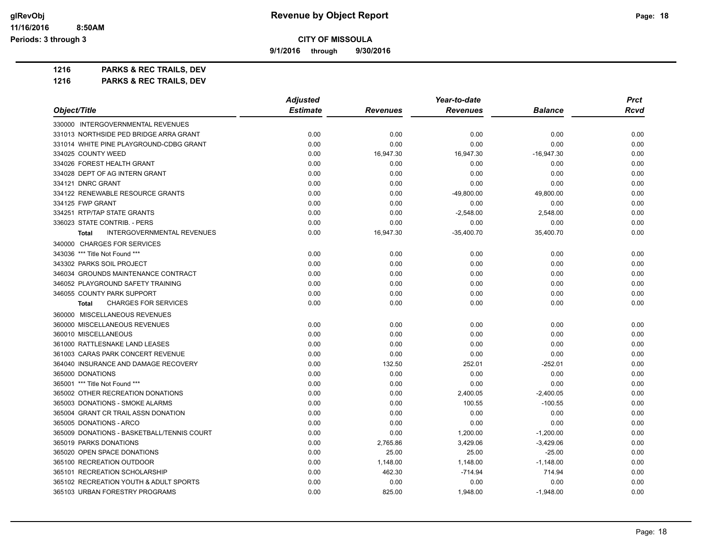**9/1/2016 through 9/30/2016**

**1216 PARKS & REC TRAILS, DEV**

|                                                   | <b>Adjusted</b> |                 | Year-to-date    |                | <b>Prct</b> |
|---------------------------------------------------|-----------------|-----------------|-----------------|----------------|-------------|
| Object/Title                                      | <b>Estimate</b> | <b>Revenues</b> | <b>Revenues</b> | <b>Balance</b> | <b>Rcvd</b> |
| 330000 INTERGOVERNMENTAL REVENUES                 |                 |                 |                 |                |             |
| 331013 NORTHSIDE PED BRIDGE ARRA GRANT            | 0.00            | 0.00            | 0.00            | 0.00           | 0.00        |
| 331014 WHITE PINE PLAYGROUND-CDBG GRANT           | 0.00            | 0.00            | 0.00            | 0.00           | 0.00        |
| 334025 COUNTY WEED                                | 0.00            | 16,947.30       | 16,947.30       | $-16,947.30$   | 0.00        |
| 334026 FOREST HEALTH GRANT                        | 0.00            | 0.00            | 0.00            | 0.00           | 0.00        |
| 334028 DEPT OF AG INTERN GRANT                    | 0.00            | 0.00            | 0.00            | 0.00           | 0.00        |
| 334121 DNRC GRANT                                 | 0.00            | 0.00            | 0.00            | 0.00           | 0.00        |
| 334122 RENEWABLE RESOURCE GRANTS                  | 0.00            | 0.00            | $-49,800.00$    | 49,800.00      | 0.00        |
| 334125 FWP GRANT                                  | 0.00            | 0.00            | 0.00            | 0.00           | 0.00        |
| 334251 RTP/TAP STATE GRANTS                       | 0.00            | 0.00            | $-2,548.00$     | 2,548.00       | 0.00        |
| 336023 STATE CONTRIB. - PERS                      | 0.00            | 0.00            | 0.00            | 0.00           | 0.00        |
| <b>INTERGOVERNMENTAL REVENUES</b><br><b>Total</b> | 0.00            | 16,947.30       | $-35,400.70$    | 35,400.70      | 0.00        |
| 340000 CHARGES FOR SERVICES                       |                 |                 |                 |                |             |
| 343036 *** Title Not Found ***                    | 0.00            | 0.00            | 0.00            | 0.00           | 0.00        |
| 343302 PARKS SOIL PROJECT                         | 0.00            | 0.00            | 0.00            | 0.00           | 0.00        |
| 346034 GROUNDS MAINTENANCE CONTRACT               | 0.00            | 0.00            | 0.00            | 0.00           | 0.00        |
| 346052 PLAYGROUND SAFETY TRAINING                 | 0.00            | 0.00            | 0.00            | 0.00           | 0.00        |
| 346055 COUNTY PARK SUPPORT                        | 0.00            | 0.00            | 0.00            | 0.00           | 0.00        |
| <b>CHARGES FOR SERVICES</b><br>Total              | 0.00            | 0.00            | 0.00            | 0.00           | 0.00        |
| 360000 MISCELLANEOUS REVENUES                     |                 |                 |                 |                |             |
| 360000 MISCELLANEOUS REVENUES                     | 0.00            | 0.00            | 0.00            | 0.00           | 0.00        |
| 360010 MISCELLANEOUS                              | 0.00            | 0.00            | 0.00            | 0.00           | 0.00        |
| 361000 RATTLESNAKE LAND LEASES                    | 0.00            | 0.00            | 0.00            | 0.00           | 0.00        |
| 361003 CARAS PARK CONCERT REVENUE                 | 0.00            | 0.00            | 0.00            | 0.00           | 0.00        |
| 364040 INSURANCE AND DAMAGE RECOVERY              | 0.00            | 132.50          | 252.01          | $-252.01$      | 0.00        |
| 365000 DONATIONS                                  | 0.00            | 0.00            | 0.00            | 0.00           | 0.00        |
| 365001 *** Title Not Found ***                    | 0.00            | 0.00            | 0.00            | 0.00           | 0.00        |
| 365002 OTHER RECREATION DONATIONS                 | 0.00            | 0.00            | 2,400.05        | $-2,400.05$    | 0.00        |
| 365003 DONATIONS - SMOKE ALARMS                   | 0.00            | 0.00            | 100.55          | $-100.55$      | 0.00        |
| 365004 GRANT CR TRAIL ASSN DONATION               | 0.00            | 0.00            | 0.00            | 0.00           | 0.00        |
| 365005 DONATIONS - ARCO                           | 0.00            | 0.00            | 0.00            | 0.00           | 0.00        |
| 365009 DONATIONS - BASKETBALL/TENNIS COURT        | 0.00            | 0.00            | 1,200.00        | $-1,200.00$    | 0.00        |
| 365019 PARKS DONATIONS                            | 0.00            | 2,765.86        | 3,429.06        | $-3,429.06$    | 0.00        |
| 365020 OPEN SPACE DONATIONS                       | 0.00            | 25.00           | 25.00           | $-25.00$       | 0.00        |
| 365100 RECREATION OUTDOOR                         | 0.00            | 1,148.00        | 1,148.00        | $-1,148.00$    | 0.00        |
| 365101 RECREATION SCHOLARSHIP                     | 0.00            | 462.30          | $-714.94$       | 714.94         | 0.00        |
| 365102 RECREATION YOUTH & ADULT SPORTS            | 0.00            | 0.00            | 0.00            | 0.00           | 0.00        |
| 365103 URBAN FORESTRY PROGRAMS                    | 0.00            | 825.00          | 1,948.00        | $-1,948.00$    | 0.00        |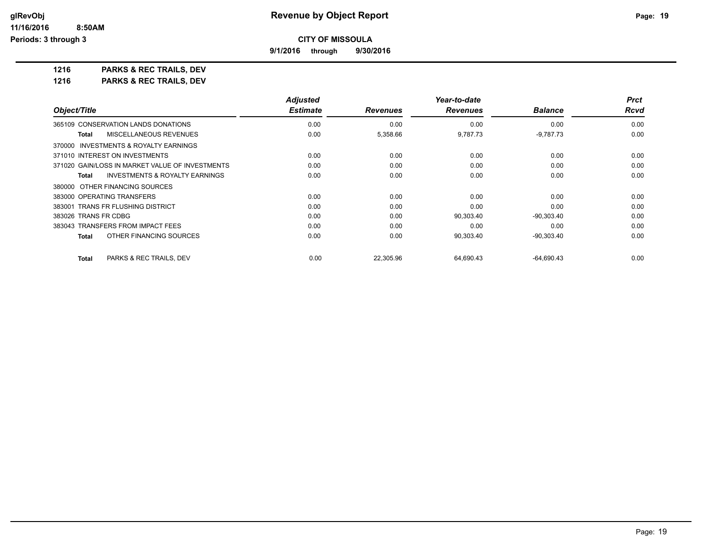**9/1/2016 through 9/30/2016**

**1216 PARKS & REC TRAILS, DEV**

|                                                     | <b>Adjusted</b> |                 | Year-to-date    |                | <b>Prct</b> |
|-----------------------------------------------------|-----------------|-----------------|-----------------|----------------|-------------|
| Object/Title                                        | <b>Estimate</b> | <b>Revenues</b> | <b>Revenues</b> | <b>Balance</b> | <b>Rcvd</b> |
| 365109 CONSERVATION LANDS DONATIONS                 | 0.00            | 0.00            | 0.00            | 0.00           | 0.00        |
| MISCELLANEOUS REVENUES<br><b>Total</b>              | 0.00            | 5,358.66        | 9,787.73        | $-9,787.73$    | 0.00        |
| <b>INVESTMENTS &amp; ROYALTY EARNINGS</b><br>370000 |                 |                 |                 |                |             |
| 371010 INTEREST ON INVESTMENTS                      | 0.00            | 0.00            | 0.00            | 0.00           | 0.00        |
| 371020 GAIN/LOSS IN MARKET VALUE OF INVESTMENTS     | 0.00            | 0.00            | 0.00            | 0.00           | 0.00        |
| <b>INVESTMENTS &amp; ROYALTY EARNINGS</b><br>Total  | 0.00            | 0.00            | 0.00            | 0.00           | 0.00        |
| 380000 OTHER FINANCING SOURCES                      |                 |                 |                 |                |             |
| 383000 OPERATING TRANSFERS                          | 0.00            | 0.00            | 0.00            | 0.00           | 0.00        |
| 383001 TRANS FR FLUSHING DISTRICT                   | 0.00            | 0.00            | 0.00            | 0.00           | 0.00        |
| 383026 TRANS FR CDBG                                | 0.00            | 0.00            | 90,303.40       | $-90,303.40$   | 0.00        |
| 383043 TRANSFERS FROM IMPACT FEES                   | 0.00            | 0.00            | 0.00            | 0.00           | 0.00        |
| OTHER FINANCING SOURCES<br><b>Total</b>             | 0.00            | 0.00            | 90,303.40       | $-90,303.40$   | 0.00        |
| PARKS & REC TRAILS, DEV<br><b>Total</b>             | 0.00            | 22,305.96       | 64,690.43       | $-64,690.43$   | 0.00        |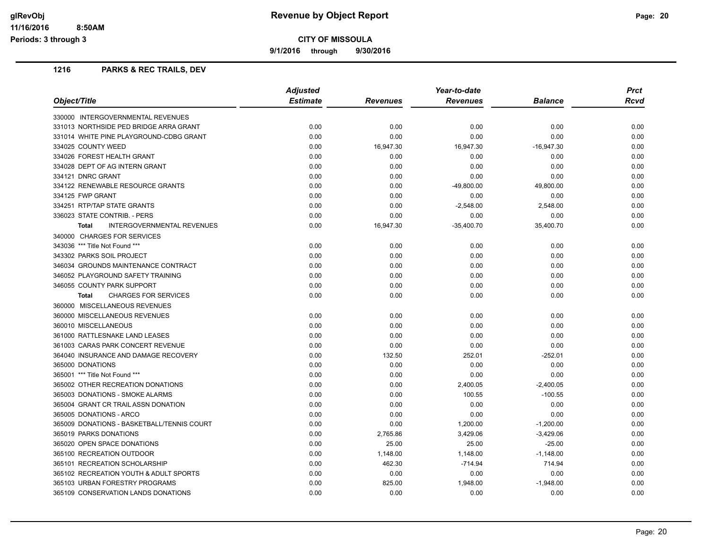**CITY OF MISSOULA**

**9/1/2016 through 9/30/2016**

| Object/Title                                      | <b>Adjusted</b> |           | Year-to-date    |                |      |
|---------------------------------------------------|-----------------|-----------|-----------------|----------------|------|
|                                                   | <b>Estimate</b> | Revenues  | <b>Revenues</b> | <b>Balance</b> | Rcvd |
| 330000 INTERGOVERNMENTAL REVENUES                 |                 |           |                 |                |      |
| 331013 NORTHSIDE PED BRIDGE ARRA GRANT            | 0.00            | 0.00      | 0.00            | 0.00           | 0.00 |
| 331014 WHITE PINE PLAYGROUND-CDBG GRANT           | 0.00            | 0.00      | 0.00            | 0.00           | 0.00 |
| 334025 COUNTY WEED                                | 0.00            | 16,947.30 | 16,947.30       | $-16,947.30$   | 0.00 |
| 334026 FOREST HEALTH GRANT                        | 0.00            | 0.00      | 0.00            | 0.00           | 0.00 |
| 334028 DEPT OF AG INTERN GRANT                    | 0.00            | 0.00      | 0.00            | 0.00           | 0.00 |
| 334121 DNRC GRANT                                 | 0.00            | 0.00      | 0.00            | 0.00           | 0.00 |
| 334122 RENEWABLE RESOURCE GRANTS                  | 0.00            | 0.00      | -49,800.00      | 49,800.00      | 0.00 |
| 334125 FWP GRANT                                  | 0.00            | 0.00      | 0.00            | 0.00           | 0.00 |
| 334251 RTP/TAP STATE GRANTS                       | 0.00            | 0.00      | $-2,548.00$     | 2,548.00       | 0.00 |
| 336023 STATE CONTRIB. - PERS                      | 0.00            | 0.00      | 0.00            | 0.00           | 0.00 |
| <b>INTERGOVERNMENTAL REVENUES</b><br><b>Total</b> | 0.00            | 16,947.30 | $-35,400.70$    | 35,400.70      | 0.00 |
| 340000 CHARGES FOR SERVICES                       |                 |           |                 |                |      |
| 343036 *** Title Not Found ***                    | 0.00            | 0.00      | 0.00            | 0.00           | 0.00 |
| 343302 PARKS SOIL PROJECT                         | 0.00            | 0.00      | 0.00            | 0.00           | 0.00 |
| 346034 GROUNDS MAINTENANCE CONTRACT               | 0.00            | 0.00      | 0.00            | 0.00           | 0.00 |
| 346052 PLAYGROUND SAFETY TRAINING                 | 0.00            | 0.00      | 0.00            | 0.00           | 0.00 |
| 346055 COUNTY PARK SUPPORT                        | 0.00            | 0.00      | 0.00            | 0.00           | 0.00 |
| <b>CHARGES FOR SERVICES</b><br><b>Total</b>       | 0.00            | 0.00      | 0.00            | 0.00           | 0.00 |
| 360000 MISCELLANEOUS REVENUES                     |                 |           |                 |                |      |
| 360000 MISCELLANEOUS REVENUES                     | 0.00            | 0.00      | 0.00            | 0.00           | 0.00 |
| 360010 MISCELLANEOUS                              | 0.00            | 0.00      | 0.00            | 0.00           | 0.00 |
| 361000 RATTLESNAKE LAND LEASES                    | 0.00            | 0.00      | 0.00            | 0.00           | 0.00 |
| 361003 CARAS PARK CONCERT REVENUE                 | 0.00            | 0.00      | 0.00            | 0.00           | 0.00 |
| 364040 INSURANCE AND DAMAGE RECOVERY              | 0.00            | 132.50    | 252.01          | $-252.01$      | 0.00 |
| 365000 DONATIONS                                  | 0.00            | 0.00      | 0.00            | 0.00           | 0.00 |
| 365001 *** Title Not Found ***                    | 0.00            | 0.00      | 0.00            | 0.00           | 0.00 |
| 365002 OTHER RECREATION DONATIONS                 | 0.00            | 0.00      | 2,400.05        | $-2,400.05$    | 0.00 |
| 365003 DONATIONS - SMOKE ALARMS                   | 0.00            | 0.00      | 100.55          | $-100.55$      | 0.00 |
| 365004 GRANT CR TRAIL ASSN DONATION               | 0.00            | 0.00      | 0.00            | 0.00           | 0.00 |
| 365005 DONATIONS - ARCO                           | 0.00            | 0.00      | 0.00            | 0.00           | 0.00 |
| 365009 DONATIONS - BASKETBALL/TENNIS COURT        | 0.00            | 0.00      | 1,200.00        | $-1,200.00$    | 0.00 |
| 365019 PARKS DONATIONS                            | 0.00            | 2,765.86  | 3,429.06        | $-3,429.06$    | 0.00 |
| 365020 OPEN SPACE DONATIONS                       | 0.00            | 25.00     | 25.00           | $-25.00$       | 0.00 |
| 365100 RECREATION OUTDOOR                         | 0.00            | 1,148.00  | 1,148.00        | $-1,148.00$    | 0.00 |
| 365101 RECREATION SCHOLARSHIP                     | 0.00            | 462.30    | $-714.94$       | 714.94         | 0.00 |
| 365102 RECREATION YOUTH & ADULT SPORTS            | 0.00            | 0.00      | 0.00            | 0.00           | 0.00 |
| 365103 URBAN FORESTRY PROGRAMS                    | 0.00            | 825.00    | 1,948.00        | $-1,948.00$    | 0.00 |
| 365109 CONSERVATION LANDS DONATIONS               | 0.00            | 0.00      | 0.00            | 0.00           | 0.00 |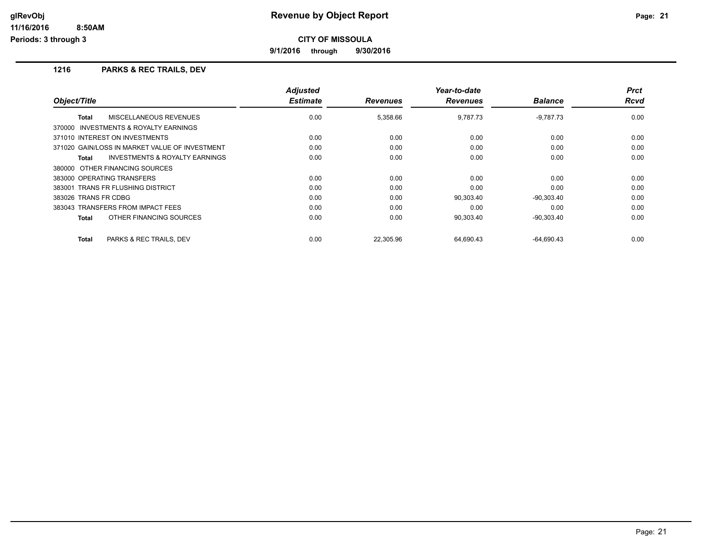**9/1/2016 through 9/30/2016**

| Object/Title                                              | <b>Adjusted</b><br><b>Estimate</b> | <b>Revenues</b> | Year-to-date<br><b>Revenues</b> | <b>Balance</b> | <b>Prct</b><br><b>Rcvd</b> |
|-----------------------------------------------------------|------------------------------------|-----------------|---------------------------------|----------------|----------------------------|
|                                                           |                                    |                 |                                 |                |                            |
| MISCELLANEOUS REVENUES<br><b>Total</b>                    | 0.00                               | 5,358.66        | 9,787.73                        | $-9,787.73$    | 0.00                       |
| 370000 INVESTMENTS & ROYALTY EARNINGS                     |                                    |                 |                                 |                |                            |
| 371010 INTEREST ON INVESTMENTS                            | 0.00                               | 0.00            | 0.00                            | 0.00           | 0.00                       |
| 371020 GAIN/LOSS IN MARKET VALUE OF INVESTMENT            | 0.00                               | 0.00            | 0.00                            | 0.00           | 0.00                       |
| <b>INVESTMENTS &amp; ROYALTY EARNINGS</b><br><b>Total</b> | 0.00                               | 0.00            | 0.00                            | 0.00           | 0.00                       |
| 380000 OTHER FINANCING SOURCES                            |                                    |                 |                                 |                |                            |
| 383000 OPERATING TRANSFERS                                | 0.00                               | 0.00            | 0.00                            | 0.00           | 0.00                       |
| 383001 TRANS FR FLUSHING DISTRICT                         | 0.00                               | 0.00            | 0.00                            | 0.00           | 0.00                       |
| 383026 TRANS FR CDBG                                      | 0.00                               | 0.00            | 90,303.40                       | $-90,303.40$   | 0.00                       |
| 383043 TRANSFERS FROM IMPACT FEES                         | 0.00                               | 0.00            | 0.00                            | 0.00           | 0.00                       |
| OTHER FINANCING SOURCES<br><b>Total</b>                   | 0.00                               | 0.00            | 90,303.40                       | $-90,303.40$   | 0.00                       |
| PARKS & REC TRAILS, DEV<br><b>Total</b>                   | 0.00                               | 22,305.96       | 64,690.43                       | $-64,690.43$   | 0.00                       |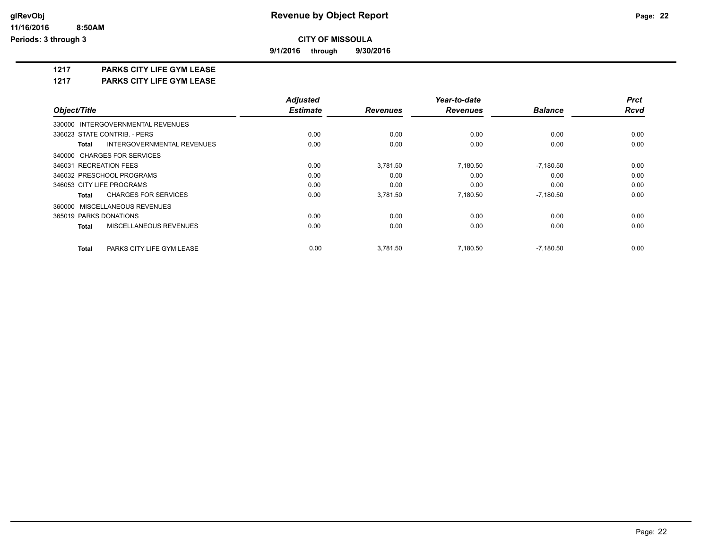**CITY OF MISSOULA**

**9/1/2016 through 9/30/2016**

#### **1217 PARKS CITY LIFE GYM LEASE**

**1217 PARKS CITY LIFE GYM LEASE**

| Object/Title                              | <b>Adjusted</b><br><b>Estimate</b> | <b>Revenues</b> | Year-to-date<br><b>Revenues</b> | <b>Balance</b> | <b>Prct</b><br><b>Rcvd</b> |
|-------------------------------------------|------------------------------------|-----------------|---------------------------------|----------------|----------------------------|
| 330000 INTERGOVERNMENTAL REVENUES         |                                    |                 |                                 |                |                            |
| 336023 STATE CONTRIB. - PERS              | 0.00                               | 0.00            | 0.00                            | 0.00           | 0.00                       |
| INTERGOVERNMENTAL REVENUES<br>Total       | 0.00                               | 0.00            | 0.00                            | 0.00           | 0.00                       |
| 340000 CHARGES FOR SERVICES               |                                    |                 |                                 |                |                            |
| 346031 RECREATION FEES                    | 0.00                               | 3,781.50        | 7,180.50                        | $-7,180.50$    | 0.00                       |
| 346032 PRESCHOOL PROGRAMS                 | 0.00                               | 0.00            | 0.00                            | 0.00           | 0.00                       |
| 346053 CITY LIFE PROGRAMS                 | 0.00                               | 0.00            | 0.00                            | 0.00           | 0.00                       |
| <b>CHARGES FOR SERVICES</b><br>Total      | 0.00                               | 3,781.50        | 7,180.50                        | $-7,180.50$    | 0.00                       |
| 360000 MISCELLANEOUS REVENUES             |                                    |                 |                                 |                |                            |
| 365019 PARKS DONATIONS                    | 0.00                               | 0.00            | 0.00                            | 0.00           | 0.00                       |
| MISCELLANEOUS REVENUES<br><b>Total</b>    | 0.00                               | 0.00            | 0.00                            | 0.00           | 0.00                       |
| PARKS CITY LIFE GYM LEASE<br><b>Total</b> | 0.00                               | 3.781.50        | 7.180.50                        | $-7.180.50$    | 0.00                       |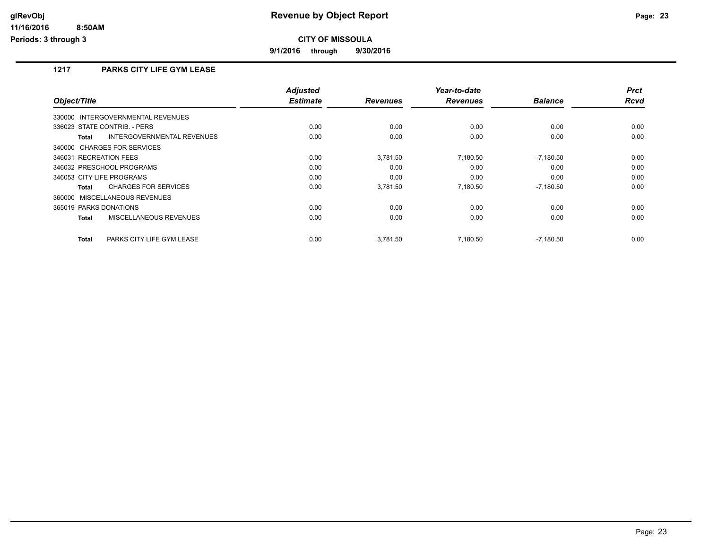**9/1/2016 through 9/30/2016**

#### **1217 PARKS CITY LIFE GYM LEASE**

| Object/Title                                | <b>Adjusted</b><br><b>Estimate</b> | <b>Revenues</b> | Year-to-date<br><b>Revenues</b> | <b>Balance</b> | <b>Prct</b><br>Rcvd |
|---------------------------------------------|------------------------------------|-----------------|---------------------------------|----------------|---------------------|
| INTERGOVERNMENTAL REVENUES<br>330000        |                                    |                 |                                 |                |                     |
| 336023 STATE CONTRIB. - PERS                | 0.00                               | 0.00            | 0.00                            | 0.00           | 0.00                |
| INTERGOVERNMENTAL REVENUES<br><b>Total</b>  | 0.00                               | 0.00            | 0.00                            | 0.00           | 0.00                |
| 340000 CHARGES FOR SERVICES                 |                                    |                 |                                 |                |                     |
| 346031 RECREATION FEES                      | 0.00                               | 3,781.50        | 7.180.50                        | $-7.180.50$    | 0.00                |
| 346032 PRESCHOOL PROGRAMS                   | 0.00                               | 0.00            | 0.00                            | 0.00           | 0.00                |
| 346053 CITY LIFE PROGRAMS                   | 0.00                               | 0.00            | 0.00                            | 0.00           | 0.00                |
| <b>CHARGES FOR SERVICES</b><br><b>Total</b> | 0.00                               | 3,781.50        | 7,180.50                        | $-7,180.50$    | 0.00                |
| 360000 MISCELLANEOUS REVENUES               |                                    |                 |                                 |                |                     |
| 365019 PARKS DONATIONS                      | 0.00                               | 0.00            | 0.00                            | 0.00           | 0.00                |
| MISCELLANEOUS REVENUES<br><b>Total</b>      | 0.00                               | 0.00            | 0.00                            | 0.00           | 0.00                |
| PARKS CITY LIFE GYM LEASE<br><b>Total</b>   | 0.00                               | 3.781.50        | 7.180.50                        | $-7,180.50$    | 0.00                |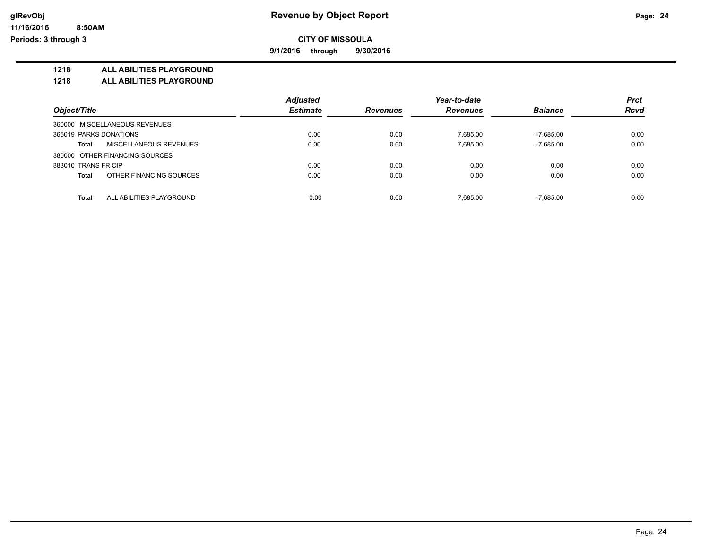**9/1/2016 through 9/30/2016**

**1218 ALL ABILITIES PLAYGROUND**

**1218 ALL ABILITIES PLAYGROUND**

|                                               | <b>Adjusted</b> |                 | Year-to-date    |                | <b>Prct</b> |
|-----------------------------------------------|-----------------|-----------------|-----------------|----------------|-------------|
| Object/Title                                  | <b>Estimate</b> | <b>Revenues</b> | <b>Revenues</b> | <b>Balance</b> | <b>Rcvd</b> |
| 360000 MISCELLANEOUS REVENUES                 |                 |                 |                 |                |             |
| 365019 PARKS DONATIONS                        | 0.00            | 0.00            | 7,685.00        | $-7.685.00$    | 0.00        |
| <b>MISCELLANEOUS REVENUES</b><br><b>Total</b> | 0.00            | 0.00            | 7.685.00        | $-7.685.00$    | 0.00        |
| 380000 OTHER FINANCING SOURCES                |                 |                 |                 |                |             |
| 383010 TRANS FR CIP                           | 0.00            | 0.00            | 0.00            | 0.00           | 0.00        |
| OTHER FINANCING SOURCES<br><b>Total</b>       | 0.00            | 0.00            | 0.00            | 0.00           | 0.00        |
|                                               |                 |                 |                 |                |             |
| <b>Total</b><br>ALL ABILITIES PLAYGROUND      | 0.00            | 0.00            | 7.685.00        | $-7.685.00$    | 0.00        |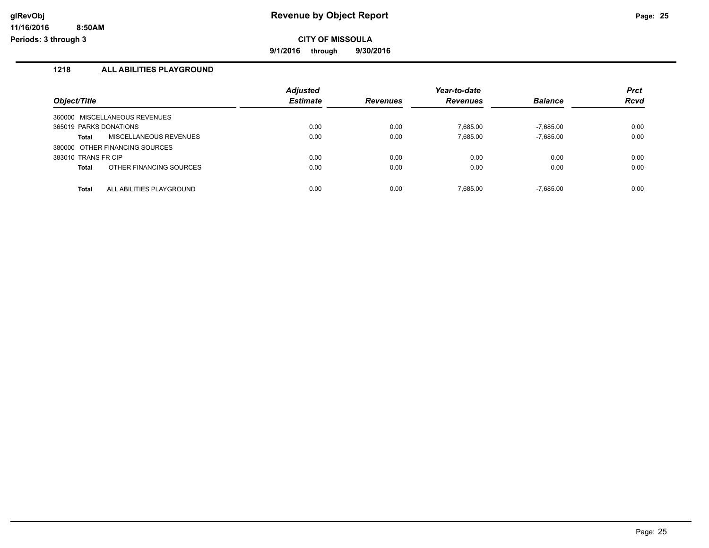**CITY OF MISSOULA**

**9/1/2016 through 9/30/2016**

#### **1218 ALL ABILITIES PLAYGROUND**

 **8:50AM**

| Object/Title                   |                          | <b>Adjusted</b><br><b>Estimate</b> | <b>Revenues</b> | Year-to-date<br><b>Revenues</b> | <b>Balance</b> | <b>Prct</b><br><b>Rcvd</b> |
|--------------------------------|--------------------------|------------------------------------|-----------------|---------------------------------|----------------|----------------------------|
| 360000 MISCELLANEOUS REVENUES  |                          |                                    |                 |                                 |                |                            |
| 365019 PARKS DONATIONS         |                          | 0.00                               | 0.00            | 7.685.00                        | $-7.685.00$    | 0.00                       |
| <b>Total</b>                   | MISCELLANEOUS REVENUES   | 0.00                               | 0.00            | 7,685.00                        | $-7,685.00$    | 0.00                       |
| 380000 OTHER FINANCING SOURCES |                          |                                    |                 |                                 |                |                            |
| 383010 TRANS FR CIP            |                          | 0.00                               | 0.00            | 0.00                            | 0.00           | 0.00                       |
| <b>Total</b>                   | OTHER FINANCING SOURCES  | 0.00                               | 0.00            | 0.00                            | 0.00           | 0.00                       |
| <b>Total</b>                   | ALL ABILITIES PLAYGROUND | 0.00                               | 0.00            | 7.685.00                        | $-7.685.00$    | 0.00                       |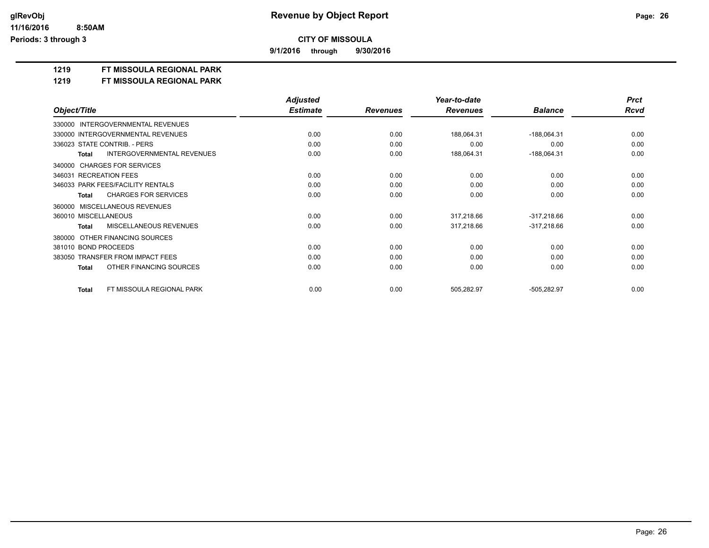**9/1/2016 through 9/30/2016**

#### **1219 FT MISSOULA REGIONAL PARK**

#### **1219 FT MISSOULA REGIONAL PARK**

|                                             | <b>Adjusted</b> |                 | Year-to-date    |                | <b>Prct</b> |
|---------------------------------------------|-----------------|-----------------|-----------------|----------------|-------------|
| Object/Title                                | <b>Estimate</b> | <b>Revenues</b> | <b>Revenues</b> | <b>Balance</b> | <b>Rcvd</b> |
| 330000 INTERGOVERNMENTAL REVENUES           |                 |                 |                 |                |             |
| 330000 INTERGOVERNMENTAL REVENUES           | 0.00            | 0.00            | 188,064.31      | $-188,064.31$  | 0.00        |
| 336023 STATE CONTRIB. - PERS                | 0.00            | 0.00            | 0.00            | 0.00           | 0.00        |
| <b>INTERGOVERNMENTAL REVENUES</b><br>Total  | 0.00            | 0.00            | 188,064.31      | $-188,064.31$  | 0.00        |
| 340000 CHARGES FOR SERVICES                 |                 |                 |                 |                |             |
| <b>RECREATION FEES</b><br>346031            | 0.00            | 0.00            | 0.00            | 0.00           | 0.00        |
| 346033 PARK FEES/FACILITY RENTALS           | 0.00            | 0.00            | 0.00            | 0.00           | 0.00        |
| <b>CHARGES FOR SERVICES</b><br><b>Total</b> | 0.00            | 0.00            | 0.00            | 0.00           | 0.00        |
| 360000 MISCELLANEOUS REVENUES               |                 |                 |                 |                |             |
| 360010 MISCELLANEOUS                        | 0.00            | 0.00            | 317,218.66      | $-317,218.66$  | 0.00        |
| MISCELLANEOUS REVENUES<br><b>Total</b>      | 0.00            | 0.00            | 317,218.66      | $-317,218.66$  | 0.00        |
| OTHER FINANCING SOURCES<br>380000           |                 |                 |                 |                |             |
| 381010 BOND PROCEEDS                        | 0.00            | 0.00            | 0.00            | 0.00           | 0.00        |
| 383050 TRANSFER FROM IMPACT FEES            | 0.00            | 0.00            | 0.00            | 0.00           | 0.00        |
| OTHER FINANCING SOURCES<br><b>Total</b>     | 0.00            | 0.00            | 0.00            | 0.00           | 0.00        |
|                                             |                 |                 |                 |                |             |
| FT MISSOULA REGIONAL PARK<br><b>Total</b>   | 0.00            | 0.00            | 505,282.97      | $-505,282.97$  | 0.00        |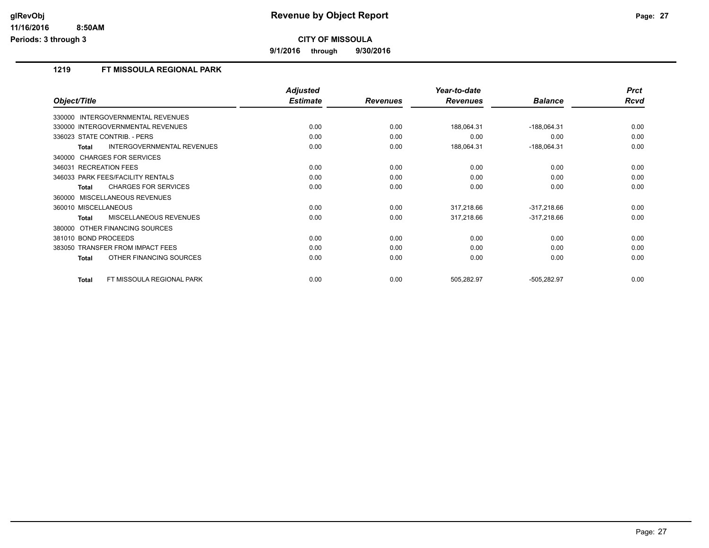**9/1/2016 through 9/30/2016**

#### **1219 FT MISSOULA REGIONAL PARK**

|                                            | <b>Adjusted</b> |                 | Year-to-date    |                | <b>Prct</b> |
|--------------------------------------------|-----------------|-----------------|-----------------|----------------|-------------|
| Object/Title                               | <b>Estimate</b> | <b>Revenues</b> | <b>Revenues</b> | <b>Balance</b> | Rcvd        |
| 330000 INTERGOVERNMENTAL REVENUES          |                 |                 |                 |                |             |
| 330000 INTERGOVERNMENTAL REVENUES          | 0.00            | 0.00            | 188,064.31      | $-188,064.31$  | 0.00        |
| 336023 STATE CONTRIB. - PERS               | 0.00            | 0.00            | 0.00            | 0.00           | 0.00        |
| <b>INTERGOVERNMENTAL REVENUES</b><br>Total | 0.00            | 0.00            | 188,064.31      | $-188,064.31$  | 0.00        |
| 340000 CHARGES FOR SERVICES                |                 |                 |                 |                |             |
| 346031 RECREATION FEES                     | 0.00            | 0.00            | 0.00            | 0.00           | 0.00        |
| 346033 PARK FEES/FACILITY RENTALS          | 0.00            | 0.00            | 0.00            | 0.00           | 0.00        |
| <b>CHARGES FOR SERVICES</b><br>Total       | 0.00            | 0.00            | 0.00            | 0.00           | 0.00        |
| 360000 MISCELLANEOUS REVENUES              |                 |                 |                 |                |             |
| 360010 MISCELLANEOUS                       | 0.00            | 0.00            | 317,218.66      | $-317,218.66$  | 0.00        |
| MISCELLANEOUS REVENUES<br>Total            | 0.00            | 0.00            | 317,218.66      | $-317,218.66$  | 0.00        |
| 380000 OTHER FINANCING SOURCES             |                 |                 |                 |                |             |
| 381010 BOND PROCEEDS                       | 0.00            | 0.00            | 0.00            | 0.00           | 0.00        |
| 383050 TRANSFER FROM IMPACT FEES           | 0.00            | 0.00            | 0.00            | 0.00           | 0.00        |
| OTHER FINANCING SOURCES<br><b>Total</b>    | 0.00            | 0.00            | 0.00            | 0.00           | 0.00        |
| FT MISSOULA REGIONAL PARK<br><b>Total</b>  | 0.00            | 0.00            | 505,282.97      | $-505,282.97$  | 0.00        |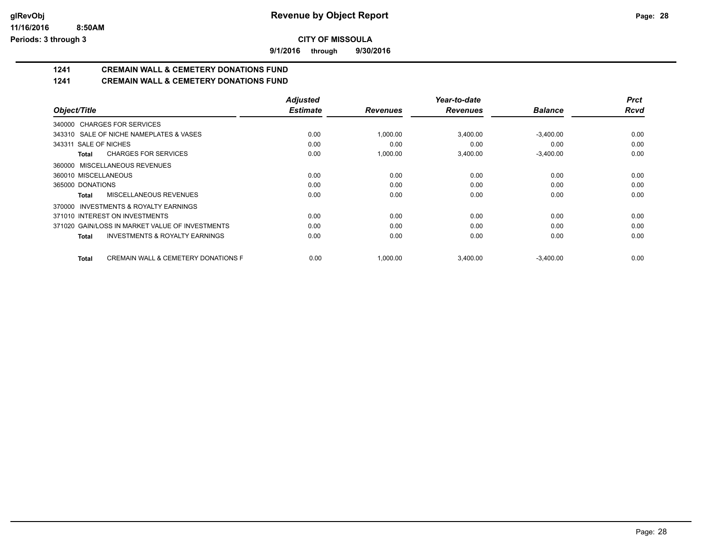#### **CITY OF MISSOULA**

**9/1/2016 through 9/30/2016**

# **1241 CREMAIN WALL & CEMETERY DONATIONS FUND**

### **1241 CREMAIN WALL & CEMETERY DONATIONS FUND**

|                                                         | <b>Adjusted</b> |                 | Year-to-date    |                | <b>Prct</b> |
|---------------------------------------------------------|-----------------|-----------------|-----------------|----------------|-------------|
| Object/Title                                            | <b>Estimate</b> | <b>Revenues</b> | <b>Revenues</b> | <b>Balance</b> | <b>Rcvd</b> |
| <b>CHARGES FOR SERVICES</b><br>340000                   |                 |                 |                 |                |             |
| 343310 SALE OF NICHE NAMEPLATES & VASES                 | 0.00            | 1,000.00        | 3,400.00        | $-3,400.00$    | 0.00        |
| 343311 SALE OF NICHES                                   | 0.00            | 0.00            | 0.00            | 0.00           | 0.00        |
| <b>CHARGES FOR SERVICES</b><br>Total                    | 0.00            | 1,000.00        | 3,400.00        | $-3,400.00$    | 0.00        |
| 360000 MISCELLANEOUS REVENUES                           |                 |                 |                 |                |             |
| 360010 MISCELLANEOUS                                    | 0.00            | 0.00            | 0.00            | 0.00           | 0.00        |
| 365000 DONATIONS                                        | 0.00            | 0.00            | 0.00            | 0.00           | 0.00        |
| MISCELLANEOUS REVENUES<br><b>Total</b>                  | 0.00            | 0.00            | 0.00            | 0.00           | 0.00        |
| 370000 INVESTMENTS & ROYALTY EARNINGS                   |                 |                 |                 |                |             |
| 371010 INTEREST ON INVESTMENTS                          | 0.00            | 0.00            | 0.00            | 0.00           | 0.00        |
| 371020 GAIN/LOSS IN MARKET VALUE OF INVESTMENTS         | 0.00            | 0.00            | 0.00            | 0.00           | 0.00        |
| <b>INVESTMENTS &amp; ROYALTY EARNINGS</b><br>Total      | 0.00            | 0.00            | 0.00            | 0.00           | 0.00        |
| <b>CREMAIN WALL &amp; CEMETERY DONATIONS F</b><br>Total | 0.00            | 1,000.00        | 3,400.00        | $-3,400.00$    | 0.00        |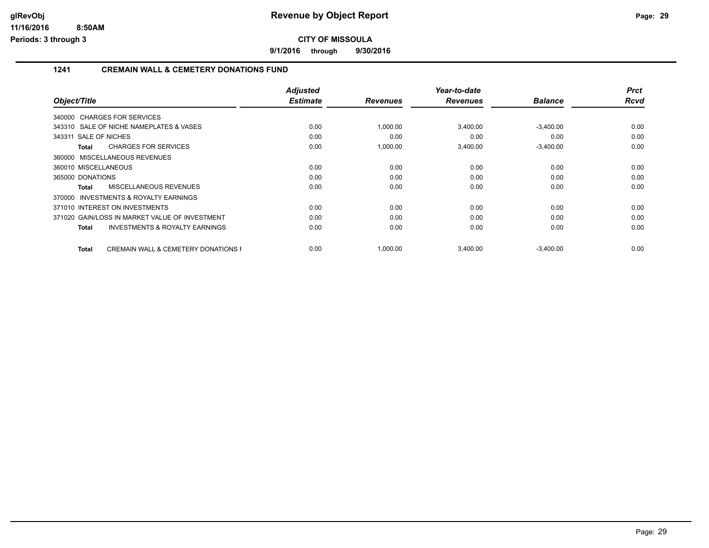#### **CITY OF MISSOULA**

**9/1/2016 through 9/30/2016**

#### **1241 CREMAIN WALL & CEMETERY DONATIONS FUND**

| Object/Title                                            | <b>Adjusted</b><br><b>Estimate</b> | <b>Revenues</b> | Year-to-date<br><b>Revenues</b> | <b>Balance</b> | <b>Prct</b><br><b>Rcvd</b> |
|---------------------------------------------------------|------------------------------------|-----------------|---------------------------------|----------------|----------------------------|
|                                                         |                                    |                 |                                 |                |                            |
| 340000 CHARGES FOR SERVICES                             |                                    |                 |                                 |                |                            |
| 343310 SALE OF NICHE NAMEPLATES & VASES                 | 0.00                               | 1,000.00        | 3,400.00                        | $-3,400.00$    | 0.00                       |
| 343311 SALE OF NICHES                                   | 0.00                               | 0.00            | 0.00                            | 0.00           | 0.00                       |
| <b>CHARGES FOR SERVICES</b><br>Total                    | 0.00                               | 1,000.00        | 3,400.00                        | $-3,400.00$    | 0.00                       |
| 360000 MISCELLANEOUS REVENUES                           |                                    |                 |                                 |                |                            |
| 360010 MISCELLANEOUS                                    | 0.00                               | 0.00            | 0.00                            | 0.00           | 0.00                       |
| 365000 DONATIONS                                        | 0.00                               | 0.00            | 0.00                            | 0.00           | 0.00                       |
| MISCELLANEOUS REVENUES<br>Total                         | 0.00                               | 0.00            | 0.00                            | 0.00           | 0.00                       |
| <b>INVESTMENTS &amp; ROYALTY EARNINGS</b><br>370000     |                                    |                 |                                 |                |                            |
| 371010 INTEREST ON INVESTMENTS                          | 0.00                               | 0.00            | 0.00                            | 0.00           | 0.00                       |
| 371020 GAIN/LOSS IN MARKET VALUE OF INVESTMENT          | 0.00                               | 0.00            | 0.00                            | 0.00           | 0.00                       |
| <b>INVESTMENTS &amp; ROYALTY EARNINGS</b><br>Total      | 0.00                               | 0.00            | 0.00                            | 0.00           | 0.00                       |
|                                                         |                                    |                 |                                 |                |                            |
| <b>CREMAIN WALL &amp; CEMETERY DONATIONS F</b><br>Total | 0.00                               | 1,000.00        | 3,400.00                        | $-3,400.00$    | 0.00                       |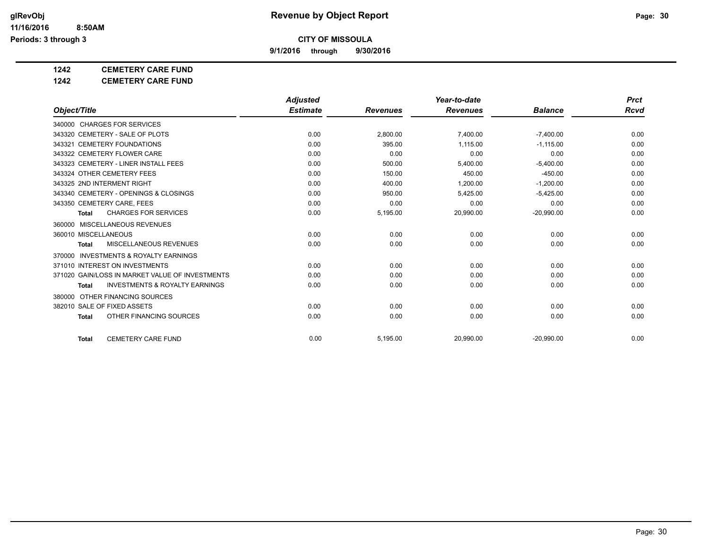**9/1/2016 through 9/30/2016**

**1242 CEMETERY CARE FUND**

**1242 CEMETERY CARE FUND**

|                                                           | <b>Adjusted</b> |                 | Year-to-date    |                | <b>Prct</b> |
|-----------------------------------------------------------|-----------------|-----------------|-----------------|----------------|-------------|
| Object/Title                                              | <b>Estimate</b> | <b>Revenues</b> | <b>Revenues</b> | <b>Balance</b> | <b>Rcvd</b> |
| 340000 CHARGES FOR SERVICES                               |                 |                 |                 |                |             |
| 343320 CEMETERY - SALE OF PLOTS                           | 0.00            | 2,800.00        | 7.400.00        | $-7,400.00$    | 0.00        |
| 343321 CEMETERY FOUNDATIONS                               | 0.00            | 395.00          | 1.115.00        | $-1.115.00$    | 0.00        |
| 343322 CEMETERY FLOWER CARE                               | 0.00            | 0.00            | 0.00            | 0.00           | 0.00        |
| 343323 CEMETERY - LINER INSTALL FEES                      | 0.00            | 500.00          | 5,400.00        | $-5,400.00$    | 0.00        |
| 343324 OTHER CEMETERY FEES                                | 0.00            | 150.00          | 450.00          | $-450.00$      | 0.00        |
| 343325 2ND INTERMENT RIGHT                                | 0.00            | 400.00          | 1.200.00        | $-1.200.00$    | 0.00        |
| 343340 CEMETERY - OPENINGS & CLOSINGS                     | 0.00            | 950.00          | 5,425.00        | $-5,425.00$    | 0.00        |
| 343350 CEMETERY CARE, FEES                                | 0.00            | 0.00            | 0.00            | 0.00           | 0.00        |
| <b>CHARGES FOR SERVICES</b><br>Total                      | 0.00            | 5,195.00        | 20,990.00       | $-20,990.00$   | 0.00        |
| 360000 MISCELLANEOUS REVENUES                             |                 |                 |                 |                |             |
| 360010 MISCELLANEOUS                                      | 0.00            | 0.00            | 0.00            | 0.00           | 0.00        |
| <b>MISCELLANEOUS REVENUES</b><br><b>Total</b>             | 0.00            | 0.00            | 0.00            | 0.00           | 0.00        |
| <b>INVESTMENTS &amp; ROYALTY EARNINGS</b><br>370000       |                 |                 |                 |                |             |
| 371010 INTEREST ON INVESTMENTS                            | 0.00            | 0.00            | 0.00            | 0.00           | 0.00        |
| 371020 GAIN/LOSS IN MARKET VALUE OF INVESTMENTS           | 0.00            | 0.00            | 0.00            | 0.00           | 0.00        |
| <b>INVESTMENTS &amp; ROYALTY EARNINGS</b><br><b>Total</b> | 0.00            | 0.00            | 0.00            | 0.00           | 0.00        |
| 380000 OTHER FINANCING SOURCES                            |                 |                 |                 |                |             |
| 382010 SALE OF FIXED ASSETS                               | 0.00            | 0.00            | 0.00            | 0.00           | 0.00        |
| OTHER FINANCING SOURCES<br>Total                          | 0.00            | 0.00            | 0.00            | 0.00           | 0.00        |
| <b>CEMETERY CARE FUND</b><br><b>Total</b>                 | 0.00            | 5.195.00        | 20.990.00       | $-20.990.00$   | 0.00        |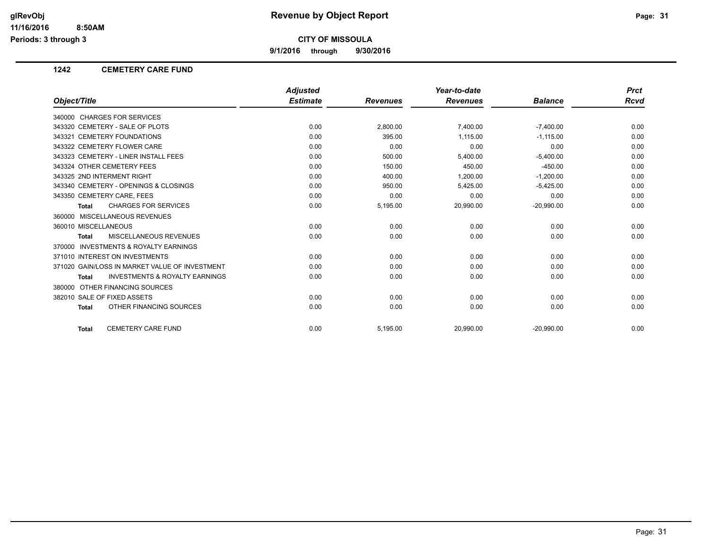**9/1/2016 through 9/30/2016**

#### **1242 CEMETERY CARE FUND**

|                                                           | <b>Adjusted</b> |                 | Year-to-date    |                | <b>Prct</b> |
|-----------------------------------------------------------|-----------------|-----------------|-----------------|----------------|-------------|
| Object/Title                                              | <b>Estimate</b> | <b>Revenues</b> | <b>Revenues</b> | <b>Balance</b> | Rcvd        |
| 340000 CHARGES FOR SERVICES                               |                 |                 |                 |                |             |
| 343320 CEMETERY - SALE OF PLOTS                           | 0.00            | 2,800.00        | 7,400.00        | $-7,400.00$    | 0.00        |
| 343321 CEMETERY FOUNDATIONS                               | 0.00            | 395.00          | 1,115.00        | $-1,115.00$    | 0.00        |
| 343322 CEMETERY FLOWER CARE                               | 0.00            | 0.00            | 0.00            | 0.00           | 0.00        |
| 343323 CEMETERY - LINER INSTALL FEES                      | 0.00            | 500.00          | 5,400.00        | $-5,400.00$    | 0.00        |
| 343324 OTHER CEMETERY FEES                                | 0.00            | 150.00          | 450.00          | $-450.00$      | 0.00        |
| 343325 2ND INTERMENT RIGHT                                | 0.00            | 400.00          | 1,200.00        | $-1,200.00$    | 0.00        |
| 343340 CEMETERY - OPENINGS & CLOSINGS                     | 0.00            | 950.00          | 5,425.00        | $-5,425.00$    | 0.00        |
| 343350 CEMETERY CARE, FEES                                | 0.00            | 0.00            | 0.00            | 0.00           | 0.00        |
| <b>CHARGES FOR SERVICES</b><br><b>Total</b>               | 0.00            | 5,195.00        | 20,990.00       | $-20,990.00$   | 0.00        |
| 360000 MISCELLANEOUS REVENUES                             |                 |                 |                 |                |             |
| 360010 MISCELLANEOUS                                      | 0.00            | 0.00            | 0.00            | 0.00           | 0.00        |
| <b>MISCELLANEOUS REVENUES</b><br><b>Total</b>             | 0.00            | 0.00            | 0.00            | 0.00           | 0.00        |
| 370000 INVESTMENTS & ROYALTY EARNINGS                     |                 |                 |                 |                |             |
| 371010 INTEREST ON INVESTMENTS                            | 0.00            | 0.00            | 0.00            | 0.00           | 0.00        |
| 371020 GAIN/LOSS IN MARKET VALUE OF INVESTMENT            | 0.00            | 0.00            | 0.00            | 0.00           | 0.00        |
| <b>INVESTMENTS &amp; ROYALTY EARNINGS</b><br><b>Total</b> | 0.00            | 0.00            | 0.00            | 0.00           | 0.00        |
| 380000 OTHER FINANCING SOURCES                            |                 |                 |                 |                |             |
| 382010 SALE OF FIXED ASSETS                               | 0.00            | 0.00            | 0.00            | 0.00           | 0.00        |
| OTHER FINANCING SOURCES<br><b>Total</b>                   | 0.00            | 0.00            | 0.00            | 0.00           | 0.00        |
| <b>CEMETERY CARE FUND</b><br><b>Total</b>                 | 0.00            | 5,195.00        | 20,990.00       | $-20,990.00$   | 0.00        |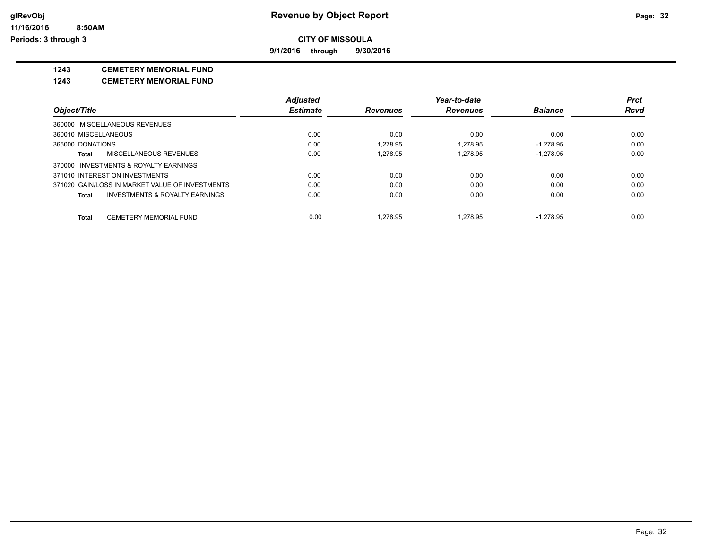**9/1/2016 through 9/30/2016**

**1243 CEMETERY MEMORIAL FUND**

**1243 CEMETERY MEMORIAL FUND**

|                                                           | <b>Adjusted</b> |                 | Year-to-date    |                | <b>Prct</b> |
|-----------------------------------------------------------|-----------------|-----------------|-----------------|----------------|-------------|
| Object/Title                                              | <b>Estimate</b> | <b>Revenues</b> | <b>Revenues</b> | <b>Balance</b> | Rcvd        |
| 360000 MISCELLANEOUS REVENUES                             |                 |                 |                 |                |             |
| 360010 MISCELLANEOUS                                      | 0.00            | 0.00            | 0.00            | 0.00           | 0.00        |
| 365000 DONATIONS                                          | 0.00            | 1.278.95        | 1.278.95        | $-1.278.95$    | 0.00        |
| MISCELLANEOUS REVENUES<br><b>Total</b>                    | 0.00            | 1.278.95        | 1,278.95        | $-1.278.95$    | 0.00        |
| 370000 INVESTMENTS & ROYALTY EARNINGS                     |                 |                 |                 |                |             |
| 371010 INTEREST ON INVESTMENTS                            | 0.00            | 0.00            | 0.00            | 0.00           | 0.00        |
| 371020 GAIN/LOSS IN MARKET VALUE OF INVESTMENTS           | 0.00            | 0.00            | 0.00            | 0.00           | 0.00        |
| <b>INVESTMENTS &amp; ROYALTY EARNINGS</b><br><b>Total</b> | 0.00            | 0.00            | 0.00            | 0.00           | 0.00        |
| <b>CEMETERY MEMORIAL FUND</b><br>Total                    | 0.00            | 1.278.95        | 1.278.95        | $-1.278.95$    | 0.00        |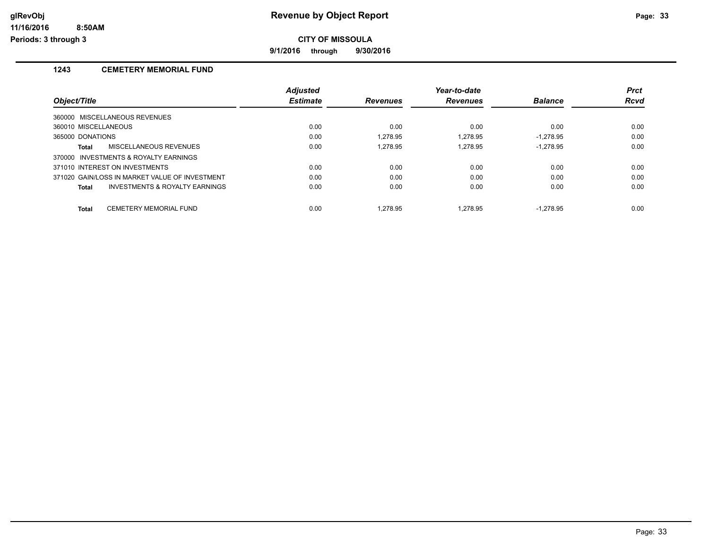**CITY OF MISSOULA**

**9/1/2016 through 9/30/2016**

#### **1243 CEMETERY MEMORIAL FUND**

 **8:50AM**

|                      |                                                | <b>Adjusted</b> |                 | Year-to-date    |                | <b>Prct</b> |
|----------------------|------------------------------------------------|-----------------|-----------------|-----------------|----------------|-------------|
| Object/Title         |                                                | <b>Estimate</b> | <b>Revenues</b> | <b>Revenues</b> | <b>Balance</b> | Rcvd        |
|                      | 360000 MISCELLANEOUS REVENUES                  |                 |                 |                 |                |             |
| 360010 MISCELLANEOUS |                                                | 0.00            | 0.00            | 0.00            | 0.00           | 0.00        |
| 365000 DONATIONS     |                                                | 0.00            | 1.278.95        | 1.278.95        | $-1.278.95$    | 0.00        |
| <b>Total</b>         | MISCELLANEOUS REVENUES                         | 0.00            | 1.278.95        | 1.278.95        | $-1.278.95$    | 0.00        |
|                      | 370000 INVESTMENTS & ROYALTY EARNINGS          |                 |                 |                 |                |             |
|                      | 371010 INTEREST ON INVESTMENTS                 | 0.00            | 0.00            | 0.00            | 0.00           | 0.00        |
|                      | 371020 GAIN/LOSS IN MARKET VALUE OF INVESTMENT | 0.00            | 0.00            | 0.00            | 0.00           | 0.00        |
| <b>Total</b>         | INVESTMENTS & ROYALTY EARNINGS                 | 0.00            | 0.00            | 0.00            | 0.00           | 0.00        |
| <b>Total</b>         | <b>CEMETERY MEMORIAL FUND</b>                  | 0.00            | 1.278.95        | 1.278.95        | $-1.278.95$    | 0.00        |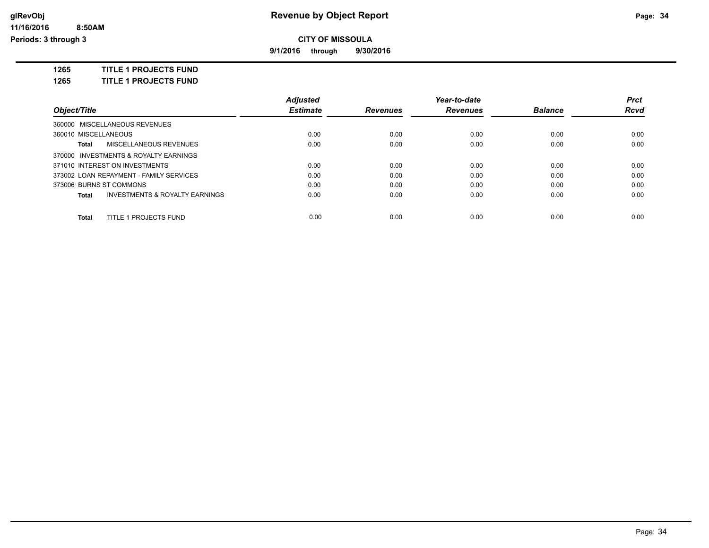**9/1/2016 through 9/30/2016**

**1265 TITLE 1 PROJECTS FUND**

**1265 TITLE 1 PROJECTS FUND**

|                                                    | <b>Adjusted</b> |                 | Year-to-date    |                | <b>Prct</b> |
|----------------------------------------------------|-----------------|-----------------|-----------------|----------------|-------------|
| Object/Title                                       | <b>Estimate</b> | <b>Revenues</b> | <b>Revenues</b> | <b>Balance</b> | Rcvd        |
| 360000 MISCELLANEOUS REVENUES                      |                 |                 |                 |                |             |
| 360010 MISCELLANEOUS                               | 0.00            | 0.00            | 0.00            | 0.00           | 0.00        |
| <b>MISCELLANEOUS REVENUES</b><br>Total             | 0.00            | 0.00            | 0.00            | 0.00           | 0.00        |
| 370000 INVESTMENTS & ROYALTY EARNINGS              |                 |                 |                 |                |             |
| 371010 INTEREST ON INVESTMENTS                     | 0.00            | 0.00            | 0.00            | 0.00           | 0.00        |
| 373002 LOAN REPAYMENT - FAMILY SERVICES            | 0.00            | 0.00            | 0.00            | 0.00           | 0.00        |
| 373006 BURNS ST COMMONS                            | 0.00            | 0.00            | 0.00            | 0.00           | 0.00        |
| <b>INVESTMENTS &amp; ROYALTY EARNINGS</b><br>Total | 0.00            | 0.00            | 0.00            | 0.00           | 0.00        |
| TITLE 1 PROJECTS FUND<br>Total                     | 0.00            | 0.00            | 0.00            | 0.00           | 0.00        |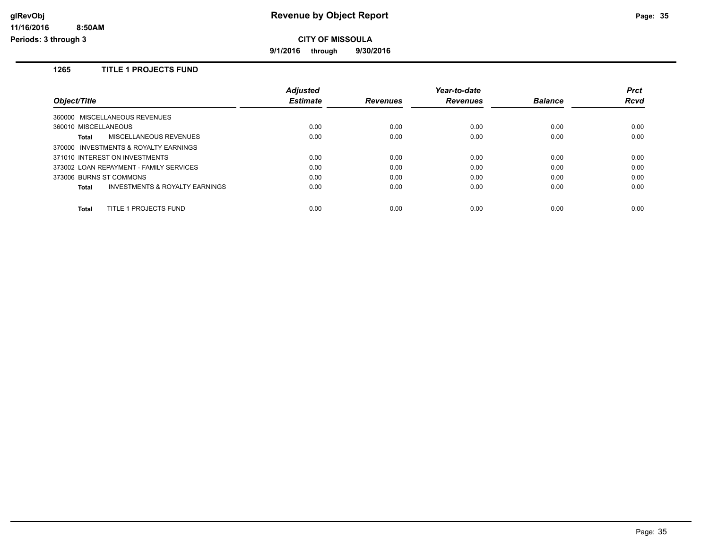**glRevObj Revenue by Object Report Page: 35** 

**11/16/2016 8:50AM Periods: 3 through 3**

**CITY OF MISSOULA**

**9/1/2016 through 9/30/2016**

#### **1265 TITLE 1 PROJECTS FUND**

|                                         | <b>Adjusted</b> |                 | Year-to-date    |                | <b>Prct</b> |
|-----------------------------------------|-----------------|-----------------|-----------------|----------------|-------------|
| Object/Title                            | <b>Estimate</b> | <b>Revenues</b> | <b>Revenues</b> | <b>Balance</b> | <b>Rcvd</b> |
| 360000 MISCELLANEOUS REVENUES           |                 |                 |                 |                |             |
| 360010 MISCELLANEOUS                    | 0.00            | 0.00            | 0.00            | 0.00           | 0.00        |
| MISCELLANEOUS REVENUES<br>Total         | 0.00            | 0.00            | 0.00            | 0.00           | 0.00        |
| 370000 INVESTMENTS & ROYALTY EARNINGS   |                 |                 |                 |                |             |
| 371010 INTEREST ON INVESTMENTS          | 0.00            | 0.00            | 0.00            | 0.00           | 0.00        |
| 373002 LOAN REPAYMENT - FAMILY SERVICES | 0.00            | 0.00            | 0.00            | 0.00           | 0.00        |
| 373006 BURNS ST COMMONS                 | 0.00            | 0.00            | 0.00            | 0.00           | 0.00        |
| Total<br>INVESTMENTS & ROYALTY EARNINGS | 0.00            | 0.00            | 0.00            | 0.00           | 0.00        |
| TITLE 1 PROJECTS FUND<br>Total          | 0.00            | 0.00            | 0.00            | 0.00           | 0.00        |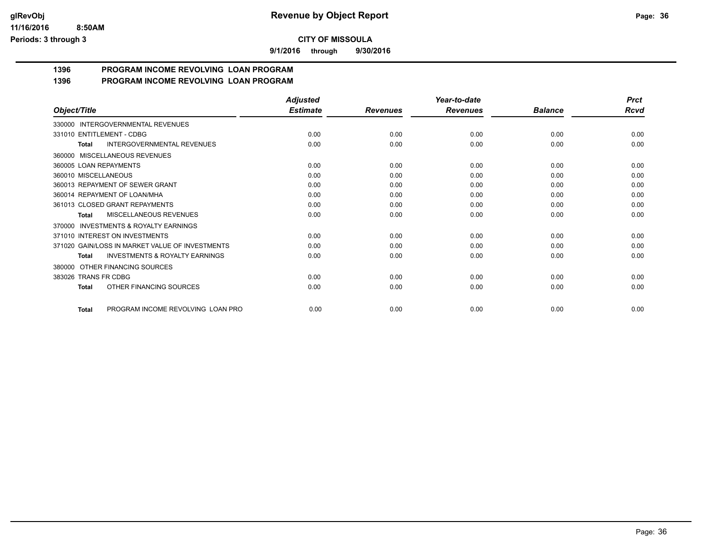**CITY OF MISSOULA**

**9/1/2016 through 9/30/2016**

# **1396 PROGRAM INCOME REVOLVING LOAN PROGRAM**

| 1396 | <b>PROGRAM INCOME REVOLVING LOAN PROGRAM</b> |  |
|------|----------------------------------------------|--|
|      |                                              |  |

| Object/Title                                              | <b>Adjusted</b><br><b>Estimate</b> |                 | Year-to-date<br><b>Revenues</b> | <b>Balance</b> | <b>Prct</b><br>Rcvd |
|-----------------------------------------------------------|------------------------------------|-----------------|---------------------------------|----------------|---------------------|
|                                                           |                                    | <b>Revenues</b> |                                 |                |                     |
| 330000 INTERGOVERNMENTAL REVENUES                         |                                    |                 |                                 |                |                     |
| 331010 ENTITLEMENT - CDBG                                 | 0.00                               | 0.00            | 0.00                            | 0.00           | 0.00                |
| <b>INTERGOVERNMENTAL REVENUES</b><br><b>Total</b>         | 0.00                               | 0.00            | 0.00                            | 0.00           | 0.00                |
| MISCELLANEOUS REVENUES<br>360000                          |                                    |                 |                                 |                |                     |
| 360005 LOAN REPAYMENTS                                    | 0.00                               | 0.00            | 0.00                            | 0.00           | 0.00                |
| 360010 MISCELLANEOUS                                      | 0.00                               | 0.00            | 0.00                            | 0.00           | 0.00                |
| 360013 REPAYMENT OF SEWER GRANT                           | 0.00                               | 0.00            | 0.00                            | 0.00           | 0.00                |
| 360014 REPAYMENT OF LOAN/MHA                              | 0.00                               | 0.00            | 0.00                            | 0.00           | 0.00                |
| 361013 CLOSED GRANT REPAYMENTS                            | 0.00                               | 0.00            | 0.00                            | 0.00           | 0.00                |
| <b>MISCELLANEOUS REVENUES</b><br>Total                    | 0.00                               | 0.00            | 0.00                            | 0.00           | 0.00                |
| <b>INVESTMENTS &amp; ROYALTY EARNINGS</b><br>370000       |                                    |                 |                                 |                |                     |
| 371010 INTEREST ON INVESTMENTS                            | 0.00                               | 0.00            | 0.00                            | 0.00           | 0.00                |
| 371020 GAIN/LOSS IN MARKET VALUE OF INVESTMENTS           | 0.00                               | 0.00            | 0.00                            | 0.00           | 0.00                |
| <b>INVESTMENTS &amp; ROYALTY EARNINGS</b><br><b>Total</b> | 0.00                               | 0.00            | 0.00                            | 0.00           | 0.00                |
| OTHER FINANCING SOURCES<br>380000                         |                                    |                 |                                 |                |                     |
| 383026 TRANS FR CDBG                                      | 0.00                               | 0.00            | 0.00                            | 0.00           | 0.00                |
| OTHER FINANCING SOURCES<br><b>Total</b>                   | 0.00                               | 0.00            | 0.00                            | 0.00           | 0.00                |
| PROGRAM INCOME REVOLVING LOAN PRO<br>Total                | 0.00                               | 0.00            | 0.00                            | 0.00           | 0.00                |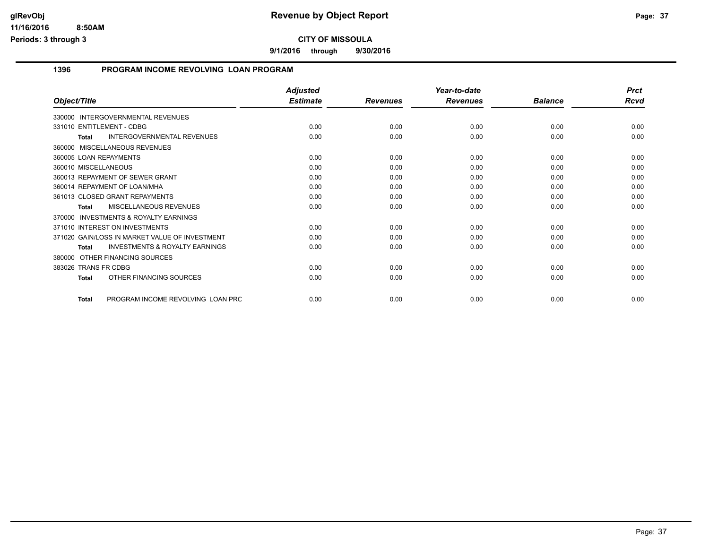**11/16/2016 8:50AM Periods: 3 through 3**

**CITY OF MISSOULA**

**9/1/2016 through 9/30/2016**

### **1396 PROGRAM INCOME REVOLVING LOAN PROGRAM**

|                                                           | <b>Adjusted</b> |                 | Year-to-date    |                | <b>Prct</b> |
|-----------------------------------------------------------|-----------------|-----------------|-----------------|----------------|-------------|
| Object/Title                                              | <b>Estimate</b> | <b>Revenues</b> | <b>Revenues</b> | <b>Balance</b> | Rcvd        |
| 330000 INTERGOVERNMENTAL REVENUES                         |                 |                 |                 |                |             |
| 331010 ENTITLEMENT - CDBG                                 | 0.00            | 0.00            | 0.00            | 0.00           | 0.00        |
| <b>INTERGOVERNMENTAL REVENUES</b><br><b>Total</b>         | 0.00            | 0.00            | 0.00            | 0.00           | 0.00        |
| 360000 MISCELLANEOUS REVENUES                             |                 |                 |                 |                |             |
| 360005 LOAN REPAYMENTS                                    | 0.00            | 0.00            | 0.00            | 0.00           | 0.00        |
| 360010 MISCELLANEOUS                                      | 0.00            | 0.00            | 0.00            | 0.00           | 0.00        |
| 360013 REPAYMENT OF SEWER GRANT                           | 0.00            | 0.00            | 0.00            | 0.00           | 0.00        |
| 360014 REPAYMENT OF LOAN/MHA                              | 0.00            | 0.00            | 0.00            | 0.00           | 0.00        |
| 361013 CLOSED GRANT REPAYMENTS                            | 0.00            | 0.00            | 0.00            | 0.00           | 0.00        |
| MISCELLANEOUS REVENUES<br><b>Total</b>                    | 0.00            | 0.00            | 0.00            | 0.00           | 0.00        |
| 370000 INVESTMENTS & ROYALTY EARNINGS                     |                 |                 |                 |                |             |
| 371010 INTEREST ON INVESTMENTS                            | 0.00            | 0.00            | 0.00            | 0.00           | 0.00        |
| 371020 GAIN/LOSS IN MARKET VALUE OF INVESTMENT            | 0.00            | 0.00            | 0.00            | 0.00           | 0.00        |
| <b>INVESTMENTS &amp; ROYALTY EARNINGS</b><br><b>Total</b> | 0.00            | 0.00            | 0.00            | 0.00           | 0.00        |
| 380000 OTHER FINANCING SOURCES                            |                 |                 |                 |                |             |
| 383026 TRANS FR CDBG                                      | 0.00            | 0.00            | 0.00            | 0.00           | 0.00        |
| OTHER FINANCING SOURCES<br><b>Total</b>                   | 0.00            | 0.00            | 0.00            | 0.00           | 0.00        |
| PROGRAM INCOME REVOLVING LOAN PRC<br><b>Total</b>         | 0.00            | 0.00            | 0.00            | 0.00           | 0.00        |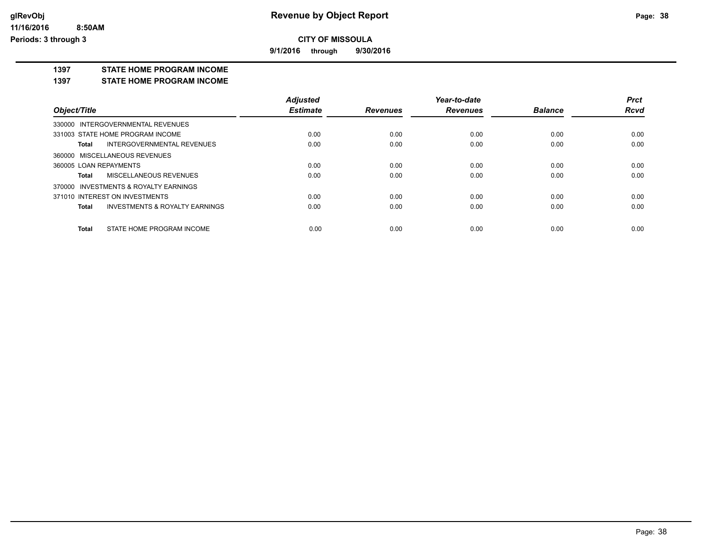**8:50AM**

**CITY OF MISSOULA**

**9/1/2016 through 9/30/2016**

### **1397 STATE HOME PROGRAM INCOME**

### **1397 STATE HOME PROGRAM INCOME**

|                                                    | <b>Adjusted</b> |                 | Year-to-date    |                | <b>Prct</b> |
|----------------------------------------------------|-----------------|-----------------|-----------------|----------------|-------------|
| Object/Title                                       | <b>Estimate</b> | <b>Revenues</b> | <b>Revenues</b> | <b>Balance</b> | <b>Rcvd</b> |
| 330000 INTERGOVERNMENTAL REVENUES                  |                 |                 |                 |                |             |
| 331003 STATE HOME PROGRAM INCOME                   | 0.00            | 0.00            | 0.00            | 0.00           | 0.00        |
| INTERGOVERNMENTAL REVENUES<br>Total                | 0.00            | 0.00            | 0.00            | 0.00           | 0.00        |
| 360000 MISCELLANEOUS REVENUES                      |                 |                 |                 |                |             |
| 360005 LOAN REPAYMENTS                             | 0.00            | 0.00            | 0.00            | 0.00           | 0.00        |
| <b>MISCELLANEOUS REVENUES</b><br>Total             | 0.00            | 0.00            | 0.00            | 0.00           | 0.00        |
| 370000 INVESTMENTS & ROYALTY EARNINGS              |                 |                 |                 |                |             |
| 371010 INTEREST ON INVESTMENTS                     | 0.00            | 0.00            | 0.00            | 0.00           | 0.00        |
| <b>INVESTMENTS &amp; ROYALTY EARNINGS</b><br>Total | 0.00            | 0.00            | 0.00            | 0.00           | 0.00        |
| STATE HOME PROGRAM INCOME<br><b>Total</b>          | 0.00            | 0.00            | 0.00            | 0.00           | 0.00        |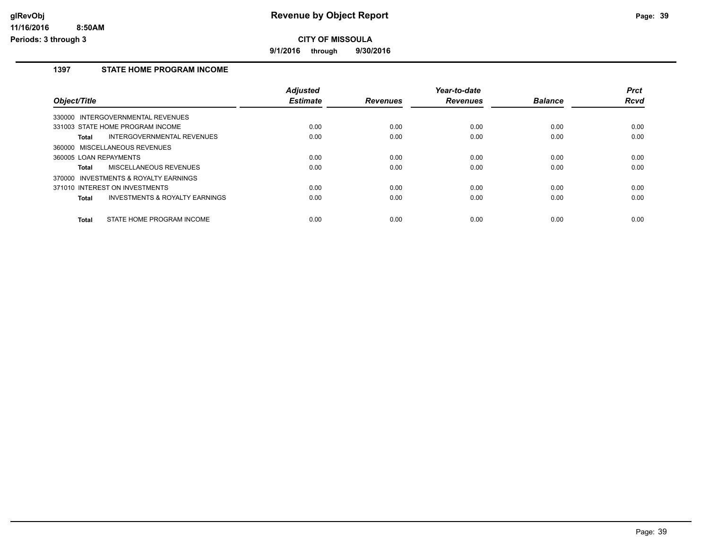**CITY OF MISSOULA**

**9/1/2016 through 9/30/2016**

### **1397 STATE HOME PROGRAM INCOME**

 **8:50AM**

| Object/Title                                              | <b>Adjusted</b><br><b>Estimate</b> | <b>Revenues</b> | Year-to-date<br><b>Revenues</b> | <b>Balance</b> | <b>Prct</b><br><b>Rcvd</b> |
|-----------------------------------------------------------|------------------------------------|-----------------|---------------------------------|----------------|----------------------------|
| INTERGOVERNMENTAL REVENUES<br>330000                      |                                    |                 |                                 |                |                            |
|                                                           |                                    |                 |                                 |                |                            |
| 331003 STATE HOME PROGRAM INCOME                          | 0.00                               | 0.00            | 0.00                            | 0.00           | 0.00                       |
| INTERGOVERNMENTAL REVENUES<br>Total                       | 0.00                               | 0.00            | 0.00                            | 0.00           | 0.00                       |
| MISCELLANEOUS REVENUES<br>360000                          |                                    |                 |                                 |                |                            |
| 360005 LOAN REPAYMENTS                                    | 0.00                               | 0.00            | 0.00                            | 0.00           | 0.00                       |
| <b>MISCELLANEOUS REVENUES</b><br><b>Total</b>             | 0.00                               | 0.00            | 0.00                            | 0.00           | 0.00                       |
| INVESTMENTS & ROYALTY EARNINGS<br>370000                  |                                    |                 |                                 |                |                            |
| 371010 INTEREST ON INVESTMENTS                            | 0.00                               | 0.00            | 0.00                            | 0.00           | 0.00                       |
| <b>INVESTMENTS &amp; ROYALTY EARNINGS</b><br><b>Total</b> | 0.00                               | 0.00            | 0.00                            | 0.00           | 0.00                       |
| STATE HOME PROGRAM INCOME<br>Total                        | 0.00                               | 0.00            | 0.00                            | 0.00           | 0.00                       |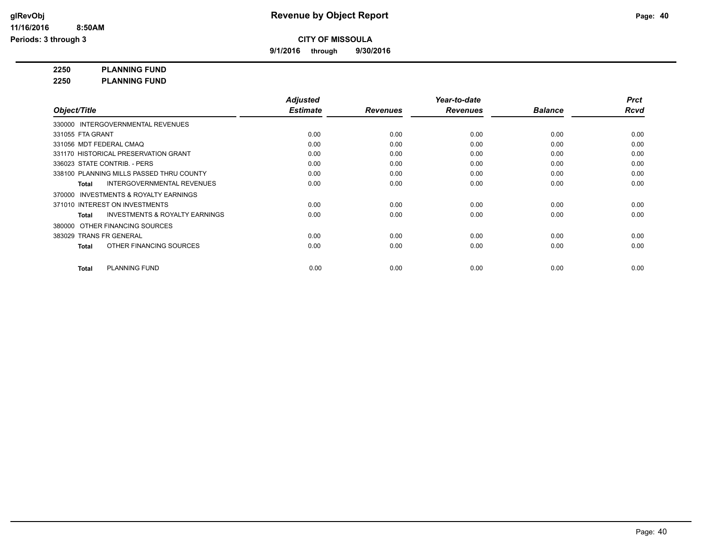**9/1/2016 through 9/30/2016**

**2250 PLANNING FUND**

**2250 PLANNING FUND**

|                                                           | <b>Adjusted</b> |                 | Year-to-date    |                | <b>Prct</b> |
|-----------------------------------------------------------|-----------------|-----------------|-----------------|----------------|-------------|
| Object/Title                                              | <b>Estimate</b> | <b>Revenues</b> | <b>Revenues</b> | <b>Balance</b> | <b>Rcvd</b> |
| 330000 INTERGOVERNMENTAL REVENUES                         |                 |                 |                 |                |             |
| 331055 FTA GRANT                                          | 0.00            | 0.00            | 0.00            | 0.00           | 0.00        |
| 331056 MDT FEDERAL CMAQ                                   | 0.00            | 0.00            | 0.00            | 0.00           | 0.00        |
| 331170 HISTORICAL PRESERVATION GRANT                      | 0.00            | 0.00            | 0.00            | 0.00           | 0.00        |
| 336023 STATE CONTRIB. - PERS                              | 0.00            | 0.00            | 0.00            | 0.00           | 0.00        |
| 338100 PLANNING MILLS PASSED THRU COUNTY                  | 0.00            | 0.00            | 0.00            | 0.00           | 0.00        |
| <b>INTERGOVERNMENTAL REVENUES</b><br><b>Total</b>         | 0.00            | 0.00            | 0.00            | 0.00           | 0.00        |
| INVESTMENTS & ROYALTY EARNINGS<br>370000                  |                 |                 |                 |                |             |
| 371010 INTEREST ON INVESTMENTS                            | 0.00            | 0.00            | 0.00            | 0.00           | 0.00        |
| <b>INVESTMENTS &amp; ROYALTY EARNINGS</b><br><b>Total</b> | 0.00            | 0.00            | 0.00            | 0.00           | 0.00        |
| OTHER FINANCING SOURCES<br>380000                         |                 |                 |                 |                |             |
| 383029 TRANS FR GENERAL                                   | 0.00            | 0.00            | 0.00            | 0.00           | 0.00        |
| OTHER FINANCING SOURCES<br><b>Total</b>                   | 0.00            | 0.00            | 0.00            | 0.00           | 0.00        |
|                                                           |                 |                 |                 |                |             |
| <b>PLANNING FUND</b><br><b>Total</b>                      | 0.00            | 0.00            | 0.00            | 0.00           | 0.00        |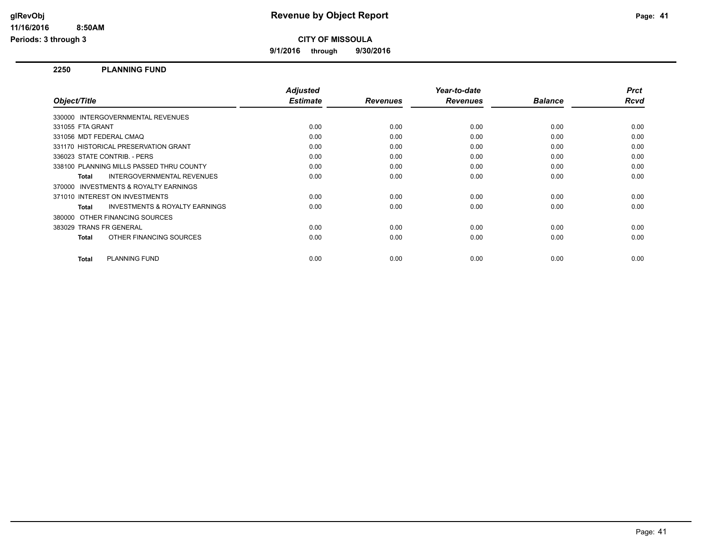**glRevObj Revenue by Object Report Page: 41** 

**11/16/2016 8:50AM Periods: 3 through 3**

**CITY OF MISSOULA**

**9/1/2016 through 9/30/2016**

### **2250 PLANNING FUND**

| Object/Title                                       | <b>Adjusted</b><br><b>Estimate</b> | <b>Revenues</b> | Year-to-date<br><b>Revenues</b> | <b>Balance</b> | <b>Prct</b><br>Rcvd |
|----------------------------------------------------|------------------------------------|-----------------|---------------------------------|----------------|---------------------|
| 330000 INTERGOVERNMENTAL REVENUES                  |                                    |                 |                                 |                |                     |
| 331055 FTA GRANT                                   | 0.00                               | 0.00            | 0.00                            | 0.00           | 0.00                |
| 331056 MDT FEDERAL CMAQ                            | 0.00                               | 0.00            | 0.00                            | 0.00           | 0.00                |
| 331170 HISTORICAL PRESERVATION GRANT               | 0.00                               | 0.00            | 0.00                            | 0.00           | 0.00                |
| 336023 STATE CONTRIB. - PERS                       | 0.00                               | 0.00            | 0.00                            | 0.00           | 0.00                |
| 338100 PLANNING MILLS PASSED THRU COUNTY           | 0.00                               | 0.00            | 0.00                            | 0.00           | 0.00                |
| <b>INTERGOVERNMENTAL REVENUES</b><br>Total         | 0.00                               | 0.00            | 0.00                            | 0.00           | 0.00                |
| 370000 INVESTMENTS & ROYALTY EARNINGS              |                                    |                 |                                 |                |                     |
| 371010 INTEREST ON INVESTMENTS                     | 0.00                               | 0.00            | 0.00                            | 0.00           | 0.00                |
| <b>INVESTMENTS &amp; ROYALTY EARNINGS</b><br>Total | 0.00                               | 0.00            | 0.00                            | 0.00           | 0.00                |
| 380000 OTHER FINANCING SOURCES                     |                                    |                 |                                 |                |                     |
| 383029 TRANS FR GENERAL                            | 0.00                               | 0.00            | 0.00                            | 0.00           | 0.00                |
| OTHER FINANCING SOURCES<br>Total                   | 0.00                               | 0.00            | 0.00                            | 0.00           | 0.00                |
|                                                    |                                    |                 |                                 |                |                     |
| <b>PLANNING FUND</b><br>Total                      | 0.00                               | 0.00            | 0.00                            | 0.00           | 0.00                |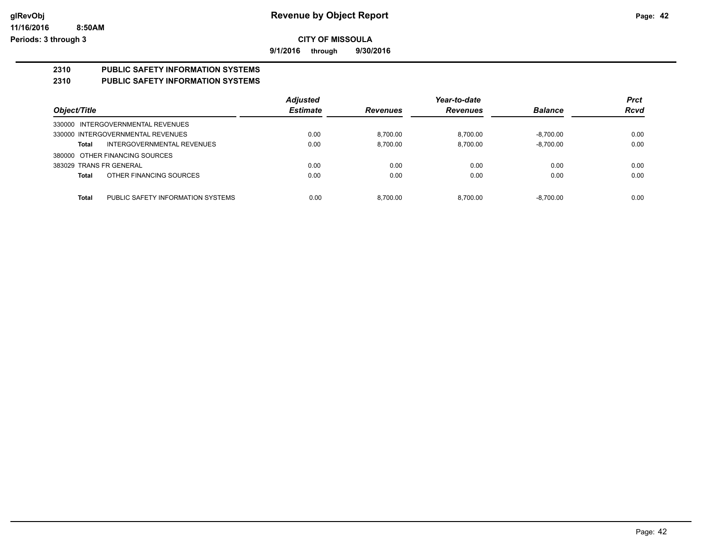**8:50AM**

**CITY OF MISSOULA**

**9/1/2016 through 9/30/2016**

### **2310 PUBLIC SAFETY INFORMATION SYSTEMS 2310 PUBLIC SAFETY INFORMATION SYSTEMS**

|                                            | <b>Adjusted</b> |                 | Year-to-date    |                | <b>Prct</b> |
|--------------------------------------------|-----------------|-----------------|-----------------|----------------|-------------|
| Object/Title                               | <b>Estimate</b> | <b>Revenues</b> | <b>Revenues</b> | <b>Balance</b> | Rcvd        |
| 330000 INTERGOVERNMENTAL REVENUES          |                 |                 |                 |                |             |
| 330000 INTERGOVERNMENTAL REVENUES          | 0.00            | 8.700.00        | 8.700.00        | $-8.700.00$    | 0.00        |
| INTERGOVERNMENTAL REVENUES<br>Total        | 0.00            | 8,700.00        | 8,700.00        | $-8.700.00$    | 0.00        |
| 380000 OTHER FINANCING SOURCES             |                 |                 |                 |                |             |
| 383029 TRANS FR GENERAL                    | 0.00            | 0.00            | 0.00            | 0.00           | 0.00        |
| OTHER FINANCING SOURCES<br>Total           | 0.00            | 0.00            | 0.00            | 0.00           | 0.00        |
|                                            |                 |                 |                 |                |             |
| PUBLIC SAFETY INFORMATION SYSTEMS<br>Total | 0.00            | 8.700.00        | 8.700.00        | -8.700.00      | 0.00        |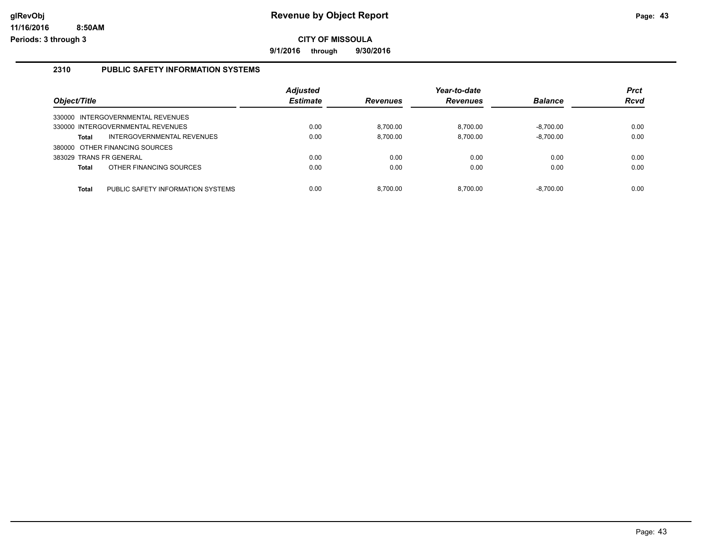**9/1/2016 through 9/30/2016**

### **2310 PUBLIC SAFETY INFORMATION SYSTEMS**

|                                   |                                   | <b>Adjusted</b> |                 | Year-to-date    |                | <b>Prct</b> |
|-----------------------------------|-----------------------------------|-----------------|-----------------|-----------------|----------------|-------------|
| Object/Title                      |                                   | <b>Estimate</b> | <b>Revenues</b> | <b>Revenues</b> | <b>Balance</b> | <b>Rcvd</b> |
| 330000 INTERGOVERNMENTAL REVENUES |                                   |                 |                 |                 |                |             |
| 330000 INTERGOVERNMENTAL REVENUES |                                   | 0.00            | 8.700.00        | 8.700.00        | $-8.700.00$    | 0.00        |
| Total                             | INTERGOVERNMENTAL REVENUES        | 0.00            | 8.700.00        | 8.700.00        | $-8.700.00$    | 0.00        |
| 380000 OTHER FINANCING SOURCES    |                                   |                 |                 |                 |                |             |
| 383029 TRANS FR GENERAL           |                                   | 0.00            | 0.00            | 0.00            | 0.00           | 0.00        |
| <b>Total</b>                      | OTHER FINANCING SOURCES           | 0.00            | 0.00            | 0.00            | 0.00           | 0.00        |
| <b>Total</b>                      | PUBLIC SAFETY INFORMATION SYSTEMS | 0.00            | 8.700.00        | 8.700.00        | $-8.700.00$    | 0.00        |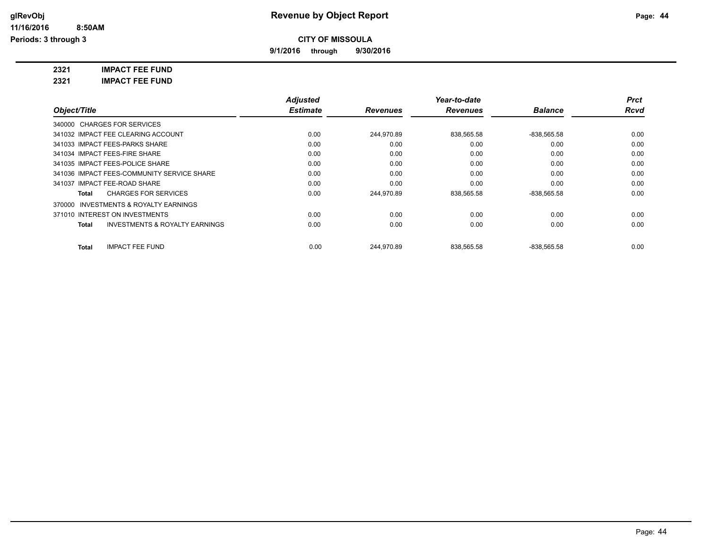**9/1/2016 through 9/30/2016**

**2321 IMPACT FEE FUND**

**2321 IMPACT FEE FUND**

|                                                           | <b>Adjusted</b> |                 | Year-to-date    |                | <b>Prct</b> |
|-----------------------------------------------------------|-----------------|-----------------|-----------------|----------------|-------------|
| Object/Title                                              | <b>Estimate</b> | <b>Revenues</b> | <b>Revenues</b> | <b>Balance</b> | Rcvd        |
| 340000 CHARGES FOR SERVICES                               |                 |                 |                 |                |             |
| 341032 IMPACT FEE CLEARING ACCOUNT                        | 0.00            | 244.970.89      | 838.565.58      | $-838.565.58$  | 0.00        |
| 341033 IMPACT FEES-PARKS SHARE                            | 0.00            | 0.00            | 0.00            | 0.00           | 0.00        |
| 341034 IMPACT FEES-FIRE SHARE                             | 0.00            | 0.00            | 0.00            | 0.00           | 0.00        |
| 341035 IMPACT FEES-POLICE SHARE                           | 0.00            | 0.00            | 0.00            | 0.00           | 0.00        |
| 341036 IMPACT FEES-COMMUNITY SERVICE SHARE                | 0.00            | 0.00            | 0.00            | 0.00           | 0.00        |
| 341037 IMPACT FEE-ROAD SHARE                              | 0.00            | 0.00            | 0.00            | 0.00           | 0.00        |
| <b>CHARGES FOR SERVICES</b><br>Total                      | 0.00            | 244,970.89      | 838,565.58      | $-838,565.58$  | 0.00        |
| 370000 INVESTMENTS & ROYALTY EARNINGS                     |                 |                 |                 |                |             |
| 371010 INTEREST ON INVESTMENTS                            | 0.00            | 0.00            | 0.00            | 0.00           | 0.00        |
| <b>INVESTMENTS &amp; ROYALTY EARNINGS</b><br><b>Total</b> | 0.00            | 0.00            | 0.00            | 0.00           | 0.00        |
| <b>IMPACT FEE FUND</b><br>Total                           | 0.00            | 244.970.89      | 838.565.58      | $-838.565.58$  | 0.00        |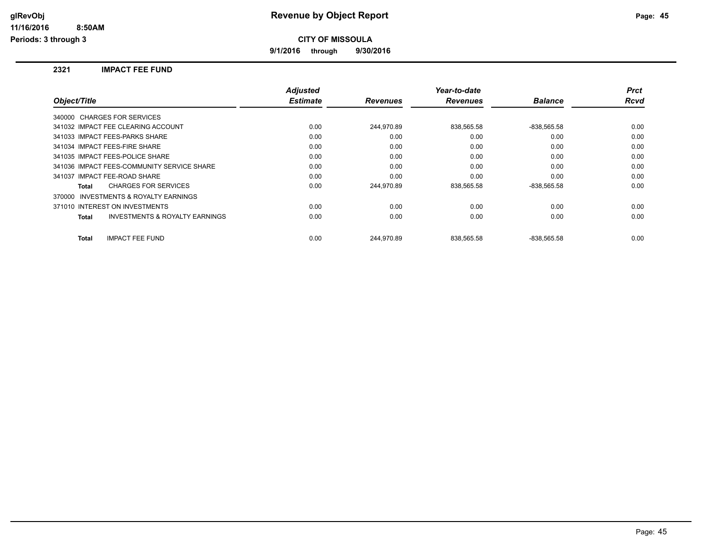**11/16/2016 8:50AM Periods: 3 through 3**

**CITY OF MISSOULA**

**9/1/2016 through 9/30/2016**

### **2321 IMPACT FEE FUND**

|                                                           | <b>Adjusted</b><br><b>Estimate</b> | <b>Revenues</b> | Year-to-date<br><b>Revenues</b> | <b>Balance</b> | <b>Prct</b><br><b>Rcvd</b> |
|-----------------------------------------------------------|------------------------------------|-----------------|---------------------------------|----------------|----------------------------|
| Object/Title                                              |                                    |                 |                                 |                |                            |
| 340000 CHARGES FOR SERVICES                               |                                    |                 |                                 |                |                            |
| 341032 IMPACT FEE CLEARING ACCOUNT                        | 0.00                               | 244.970.89      | 838,565.58                      | $-838.565.58$  | 0.00                       |
| 341033 IMPACT FEES-PARKS SHARE                            | 0.00                               | 0.00            | 0.00                            | 0.00           | 0.00                       |
| 341034 IMPACT FEES-FIRE SHARE                             | 0.00                               | 0.00            | 0.00                            | 0.00           | 0.00                       |
| 341035 IMPACT FEES-POLICE SHARE                           | 0.00                               | 0.00            | 0.00                            | 0.00           | 0.00                       |
| 341036 IMPACT FEES-COMMUNITY SERVICE SHARE                | 0.00                               | 0.00            | 0.00                            | 0.00           | 0.00                       |
| 341037 IMPACT FEE-ROAD SHARE                              | 0.00                               | 0.00            | 0.00                            | 0.00           | 0.00                       |
| <b>CHARGES FOR SERVICES</b><br>Total                      | 0.00                               | 244,970.89      | 838,565.58                      | $-838,565.58$  | 0.00                       |
| <b>INVESTMENTS &amp; ROYALTY EARNINGS</b><br>370000       |                                    |                 |                                 |                |                            |
| 371010 INTEREST ON INVESTMENTS                            | 0.00                               | 0.00            | 0.00                            | 0.00           | 0.00                       |
| <b>INVESTMENTS &amp; ROYALTY EARNINGS</b><br><b>Total</b> | 0.00                               | 0.00            | 0.00                            | 0.00           | 0.00                       |
| <b>IMPACT FEE FUND</b><br><b>Total</b>                    | 0.00                               | 244.970.89      | 838.565.58                      | $-838,565.58$  | 0.00                       |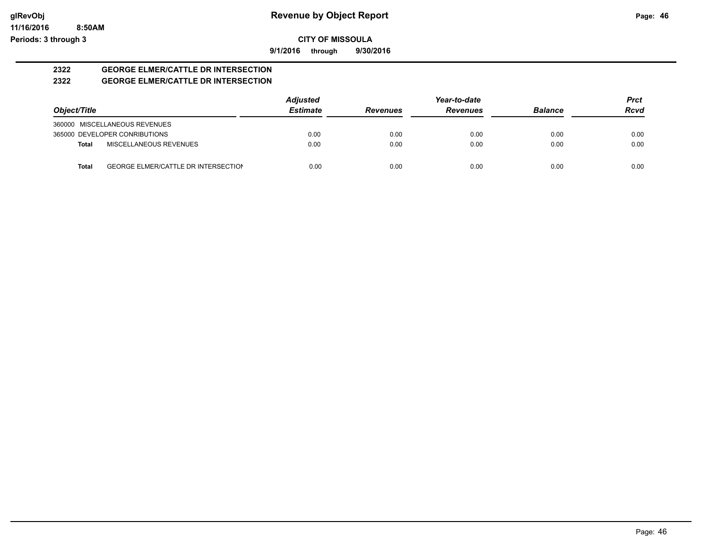**11/16/2016 8:50AM Periods: 3 through 3**

**CITY OF MISSOULA**

**9/1/2016 through 9/30/2016**

#### **2322 GEORGE ELMER/CATTLE DR INTERSECTION 2322 GEORGE ELMER/CATTLE DR INTERSECTION**

| 2322 | GEORGE ELMER/CATTLE DR INTERSECTION |  |
|------|-------------------------------------|--|
|      |                                     |  |

|                                                            | <b>Adjusted</b> |                 | Year-to-date    |                |             |
|------------------------------------------------------------|-----------------|-----------------|-----------------|----------------|-------------|
| Object/Title                                               | <b>Estimate</b> | <b>Revenues</b> | <b>Revenues</b> | <b>Balance</b> | <b>Rcvd</b> |
| 360000 MISCELLANEOUS REVENUES                              |                 |                 |                 |                |             |
| 365000 DEVELOPER CONRIBUTIONS                              | 0.00            | 0.00            | 0.00            | 0.00           | 0.00        |
| MISCELLANEOUS REVENUES<br>Total                            | 0.00            | 0.00            | 0.00            | 0.00           | 0.00        |
| <b>GEORGE ELMER/CATTLE DR INTERSECTION</b><br><b>Total</b> | 0.00            | 0.00            | 0.00            | 0.00           | 0.00        |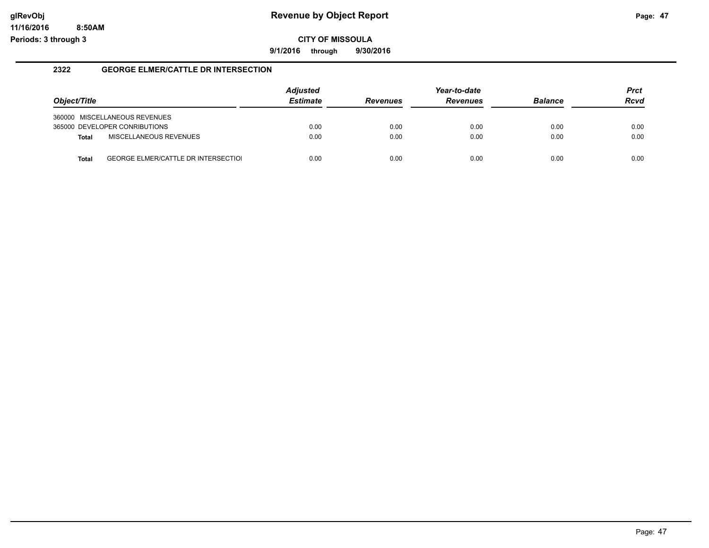**9/1/2016 through 9/30/2016**

### **2322 GEORGE ELMER/CATTLE DR INTERSECTION**

| Object/Title |                                            | <b>Adjusted</b><br><b>Estimate</b> | <b>Revenues</b> | Year-to-date<br><b>Revenues</b> | <b>Balance</b> | <b>Prct</b><br><b>Rcvd</b> |
|--------------|--------------------------------------------|------------------------------------|-----------------|---------------------------------|----------------|----------------------------|
|              | 360000 MISCELLANEOUS REVENUES              |                                    |                 |                                 |                |                            |
|              | 365000 DEVELOPER CONRIBUTIONS              | 0.00                               | 0.00            | 0.00                            | 0.00           | 0.00                       |
| <b>Total</b> | MISCELLANEOUS REVENUES                     | 0.00                               | 0.00            | 0.00                            | 0.00           | 0.00                       |
| Total        | <b>GEORGE ELMER/CATTLE DR INTERSECTIOL</b> | 0.00                               | 0.00            | 0.00                            | 0.00           | 0.00                       |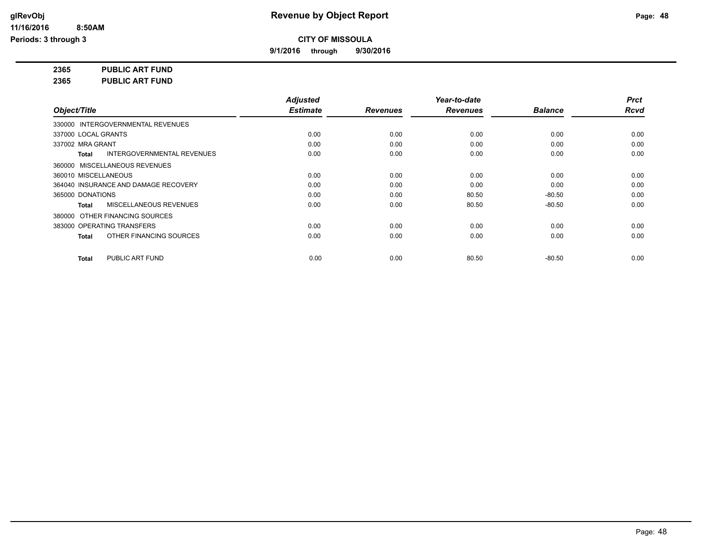**9/1/2016 through 9/30/2016**

**2365 PUBLIC ART FUND**

**2365 PUBLIC ART FUND**

|                                            | <b>Adjusted</b> |                 | Year-to-date    |                | <b>Prct</b> |
|--------------------------------------------|-----------------|-----------------|-----------------|----------------|-------------|
| Object/Title                               | <b>Estimate</b> | <b>Revenues</b> | <b>Revenues</b> | <b>Balance</b> | <b>Rcvd</b> |
| 330000 INTERGOVERNMENTAL REVENUES          |                 |                 |                 |                |             |
| 337000 LOCAL GRANTS                        | 0.00            | 0.00            | 0.00            | 0.00           | 0.00        |
| 337002 MRA GRANT                           | 0.00            | 0.00            | 0.00            | 0.00           | 0.00        |
| <b>INTERGOVERNMENTAL REVENUES</b><br>Total | 0.00            | 0.00            | 0.00            | 0.00           | 0.00        |
| 360000 MISCELLANEOUS REVENUES              |                 |                 |                 |                |             |
| 360010 MISCELLANEOUS                       | 0.00            | 0.00            | 0.00            | 0.00           | 0.00        |
| 364040 INSURANCE AND DAMAGE RECOVERY       | 0.00            | 0.00            | 0.00            | 0.00           | 0.00        |
| 365000 DONATIONS                           | 0.00            | 0.00            | 80.50           | $-80.50$       | 0.00        |
| MISCELLANEOUS REVENUES<br>Total            | 0.00            | 0.00            | 80.50           | $-80.50$       | 0.00        |
| 380000 OTHER FINANCING SOURCES             |                 |                 |                 |                |             |
| 383000 OPERATING TRANSFERS                 | 0.00            | 0.00            | 0.00            | 0.00           | 0.00        |
| OTHER FINANCING SOURCES<br>Total           | 0.00            | 0.00            | 0.00            | 0.00           | 0.00        |
|                                            |                 |                 |                 |                |             |
| PUBLIC ART FUND<br>Total                   | 0.00            | 0.00            | 80.50           | $-80.50$       | 0.00        |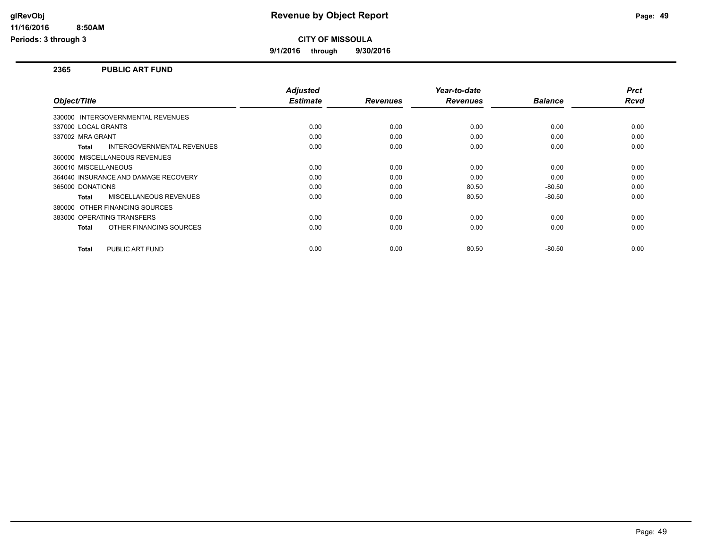**CITY OF MISSOULA**

**9/1/2016 through 9/30/2016**

### **2365 PUBLIC ART FUND**

 **8:50AM**

| Object/Title                               | <b>Adjusted</b><br><b>Estimate</b> | <b>Revenues</b> | Year-to-date<br><b>Revenues</b> | <b>Balance</b> | <b>Prct</b><br><b>Rcvd</b> |
|--------------------------------------------|------------------------------------|-----------------|---------------------------------|----------------|----------------------------|
|                                            |                                    |                 |                                 |                |                            |
| 330000 INTERGOVERNMENTAL REVENUES          |                                    |                 |                                 |                |                            |
| 337000 LOCAL GRANTS                        | 0.00                               | 0.00            | 0.00                            | 0.00           | 0.00                       |
| 337002 MRA GRANT                           | 0.00                               | 0.00            | 0.00                            | 0.00           | 0.00                       |
| INTERGOVERNMENTAL REVENUES<br><b>Total</b> | 0.00                               | 0.00            | 0.00                            | 0.00           | 0.00                       |
| 360000 MISCELLANEOUS REVENUES              |                                    |                 |                                 |                |                            |
| 360010 MISCELLANEOUS                       | 0.00                               | 0.00            | 0.00                            | 0.00           | 0.00                       |
| 364040 INSURANCE AND DAMAGE RECOVERY       | 0.00                               | 0.00            | 0.00                            | 0.00           | 0.00                       |
| 365000 DONATIONS                           | 0.00                               | 0.00            | 80.50                           | $-80.50$       | 0.00                       |
| MISCELLANEOUS REVENUES<br>Total            | 0.00                               | 0.00            | 80.50                           | $-80.50$       | 0.00                       |
| 380000 OTHER FINANCING SOURCES             |                                    |                 |                                 |                |                            |
| 383000 OPERATING TRANSFERS                 | 0.00                               | 0.00            | 0.00                            | 0.00           | 0.00                       |
| OTHER FINANCING SOURCES<br><b>Total</b>    | 0.00                               | 0.00            | 0.00                            | 0.00           | 0.00                       |
|                                            |                                    |                 |                                 |                |                            |
| PUBLIC ART FUND<br>Total                   | 0.00                               | 0.00            | 80.50                           | $-80.50$       | 0.00                       |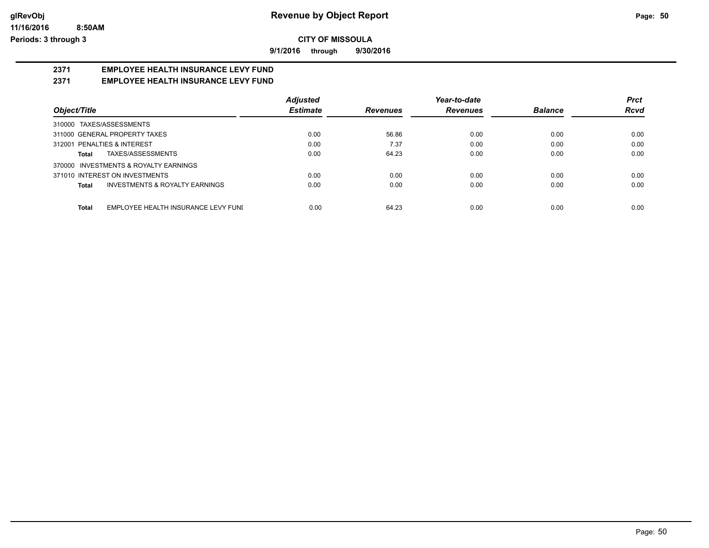**9/1/2016 through 9/30/2016**

## **2371 EMPLOYEE HEALTH INSURANCE LEVY FUND**

### **2371 EMPLOYEE HEALTH INSURANCE LEVY FUND**

|                                                     | <b>Adjusted</b> |                 | Year-to-date    |                | <b>Prct</b> |
|-----------------------------------------------------|-----------------|-----------------|-----------------|----------------|-------------|
| Object/Title                                        | <b>Estimate</b> | <b>Revenues</b> | <b>Revenues</b> | <b>Balance</b> | <b>Rcvd</b> |
| 310000 TAXES/ASSESSMENTS                            |                 |                 |                 |                |             |
| 311000 GENERAL PROPERTY TAXES                       | 0.00            | 56.86           | 0.00            | 0.00           | 0.00        |
| 312001 PENALTIES & INTEREST                         | 0.00            | 7.37            | 0.00            | 0.00           | 0.00        |
| TAXES/ASSESSMENTS<br>Total                          | 0.00            | 64.23           | 0.00            | 0.00           | 0.00        |
| 370000 INVESTMENTS & ROYALTY EARNINGS               |                 |                 |                 |                |             |
| 371010 INTEREST ON INVESTMENTS                      | 0.00            | 0.00            | 0.00            | 0.00           | 0.00        |
| <b>INVESTMENTS &amp; ROYALTY EARNINGS</b><br>Total  | 0.00            | 0.00            | 0.00            | 0.00           | 0.00        |
| EMPLOYEE HEALTH INSURANCE LEVY FUNI<br><b>Total</b> | 0.00            | 64.23           | 0.00            | 0.00           | 0.00        |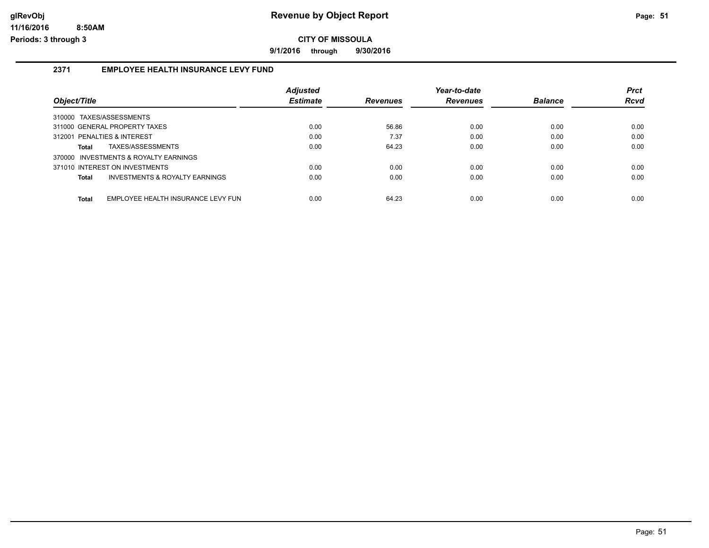**9/1/2016 through 9/30/2016**

### **2371 EMPLOYEE HEALTH INSURANCE LEVY FUND**

|                                             | <b>Adjusted</b> |                 | Year-to-date    |                | <b>Prct</b> |
|---------------------------------------------|-----------------|-----------------|-----------------|----------------|-------------|
| Object/Title                                | <b>Estimate</b> | <b>Revenues</b> | <b>Revenues</b> | <b>Balance</b> | <b>Rcvd</b> |
| 310000 TAXES/ASSESSMENTS                    |                 |                 |                 |                |             |
| 311000 GENERAL PROPERTY TAXES               | 0.00            | 56.86           | 0.00            | 0.00           | 0.00        |
| 312001 PENALTIES & INTEREST                 | 0.00            | 7.37            | 0.00            | 0.00           | 0.00        |
| TAXES/ASSESSMENTS<br>Total                  | 0.00            | 64.23           | 0.00            | 0.00           | 0.00        |
| 370000 INVESTMENTS & ROYALTY EARNINGS       |                 |                 |                 |                |             |
| 371010 INTEREST ON INVESTMENTS              | 0.00            | 0.00            | 0.00            | 0.00           | 0.00        |
| INVESTMENTS & ROYALTY EARNINGS<br>Total     | 0.00            | 0.00            | 0.00            | 0.00           | 0.00        |
|                                             |                 |                 |                 |                |             |
| Total<br>EMPLOYEE HEALTH INSURANCE LEVY FUN | 0.00            | 64.23           | 0.00            | 0.00           | 0.00        |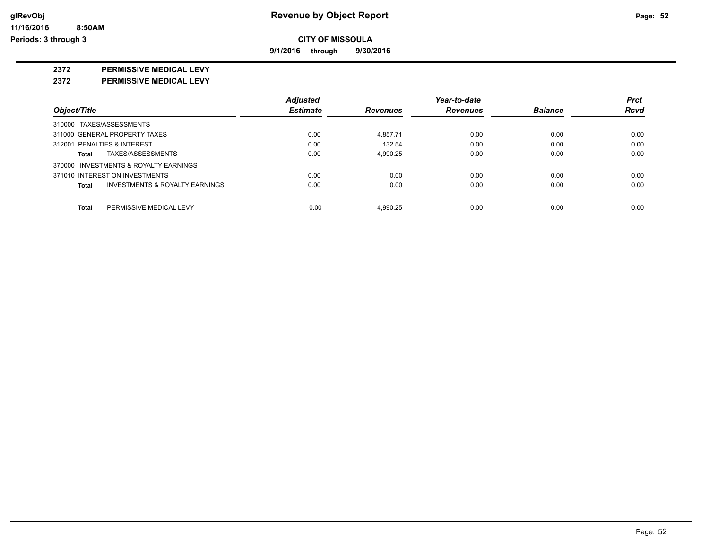**9/1/2016 through 9/30/2016**

**2372 PERMISSIVE MEDICAL LEVY**

**2372 PERMISSIVE MEDICAL LEVY**

|                                                    | <b>Adjusted</b> |                 | Year-to-date    |                | <b>Prct</b> |
|----------------------------------------------------|-----------------|-----------------|-----------------|----------------|-------------|
| Object/Title                                       | <b>Estimate</b> | <b>Revenues</b> | <b>Revenues</b> | <b>Balance</b> | <b>Rcvd</b> |
| 310000 TAXES/ASSESSMENTS                           |                 |                 |                 |                |             |
| 311000 GENERAL PROPERTY TAXES                      | 0.00            | 4.857.71        | 0.00            | 0.00           | 0.00        |
| 312001 PENALTIES & INTEREST                        | 0.00            | 132.54          | 0.00            | 0.00           | 0.00        |
| TAXES/ASSESSMENTS<br>Total                         | 0.00            | 4.990.25        | 0.00            | 0.00           | 0.00        |
| 370000 INVESTMENTS & ROYALTY EARNINGS              |                 |                 |                 |                |             |
| 371010 INTEREST ON INVESTMENTS                     | 0.00            | 0.00            | 0.00            | 0.00           | 0.00        |
| <b>INVESTMENTS &amp; ROYALTY EARNINGS</b><br>Total | 0.00            | 0.00            | 0.00            | 0.00           | 0.00        |
|                                                    |                 |                 |                 |                |             |
| PERMISSIVE MEDICAL LEVY<br>Total                   | 0.00            | 4.990.25        | 0.00            | 0.00           | 0.00        |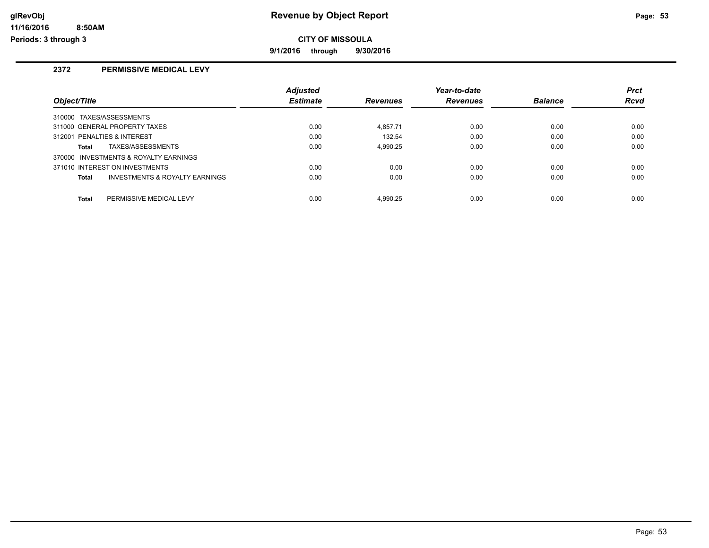**CITY OF MISSOULA**

**9/1/2016 through 9/30/2016**

### **2372 PERMISSIVE MEDICAL LEVY**

 **8:50AM**

|                                                | <b>Adjusted</b> |                 | Year-to-date    |                | <b>Prct</b> |
|------------------------------------------------|-----------------|-----------------|-----------------|----------------|-------------|
| Object/Title                                   | <b>Estimate</b> | <b>Revenues</b> | <b>Revenues</b> | <b>Balance</b> | <b>Rcvd</b> |
| 310000 TAXES/ASSESSMENTS                       |                 |                 |                 |                |             |
| 311000 GENERAL PROPERTY TAXES                  | 0.00            | 4.857.71        | 0.00            | 0.00           | 0.00        |
| 312001 PENALTIES & INTEREST                    | 0.00            | 132.54          | 0.00            | 0.00           | 0.00        |
| TAXES/ASSESSMENTS<br><b>Total</b>              | 0.00            | 4.990.25        | 0.00            | 0.00           | 0.00        |
| 370000 INVESTMENTS & ROYALTY EARNINGS          |                 |                 |                 |                |             |
| 371010 INTEREST ON INVESTMENTS                 | 0.00            | 0.00            | 0.00            | 0.00           | 0.00        |
| INVESTMENTS & ROYALTY EARNINGS<br><b>Total</b> | 0.00            | 0.00            | 0.00            | 0.00           | 0.00        |
|                                                |                 |                 |                 |                |             |
| <b>Total</b><br>PERMISSIVE MEDICAL LEVY        | 0.00            | 4.990.25        | 0.00            | 0.00           | 0.00        |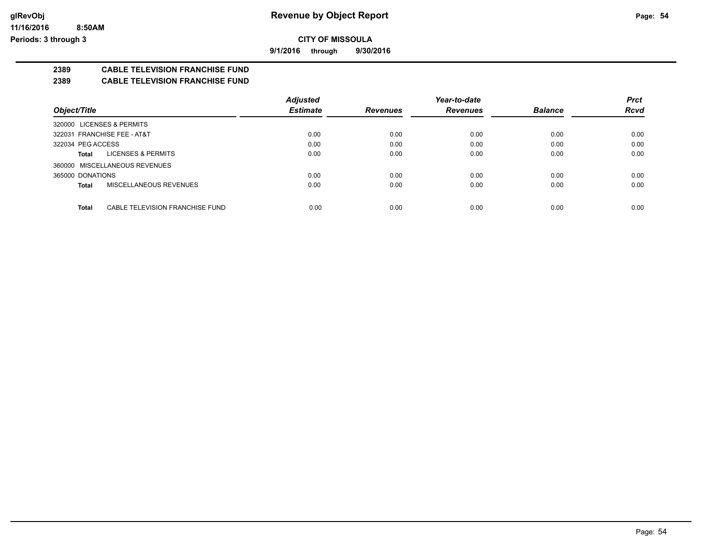**11/16/2016 8:50AM Periods: 3 through 3**

**CITY OF MISSOULA**

**9/1/2016 through 9/30/2016**

## **2389 CABLE TELEVISION FRANCHISE FUND**

### **2389 CABLE TELEVISION FRANCHISE FUND**

|                                          | <b>Adjusted</b> |                 | Year-to-date    |                | <b>Prct</b> |
|------------------------------------------|-----------------|-----------------|-----------------|----------------|-------------|
| Object/Title                             | <b>Estimate</b> | <b>Revenues</b> | <b>Revenues</b> | <b>Balance</b> | <b>Rcvd</b> |
| 320000 LICENSES & PERMITS                |                 |                 |                 |                |             |
| 322031 FRANCHISE FEE - AT&T              | 0.00            | 0.00            | 0.00            | 0.00           | 0.00        |
| 322034 PEG ACCESS                        | 0.00            | 0.00            | 0.00            | 0.00           | 0.00        |
| LICENSES & PERMITS<br>Total              | 0.00            | 0.00            | 0.00            | 0.00           | 0.00        |
| 360000 MISCELLANEOUS REVENUES            |                 |                 |                 |                |             |
| 365000 DONATIONS                         | 0.00            | 0.00            | 0.00            | 0.00           | 0.00        |
| MISCELLANEOUS REVENUES<br>Total          | 0.00            | 0.00            | 0.00            | 0.00           | 0.00        |
|                                          |                 |                 |                 |                |             |
| CABLE TELEVISION FRANCHISE FUND<br>Total | 0.00            | 0.00            | 0.00            | 0.00           | 0.00        |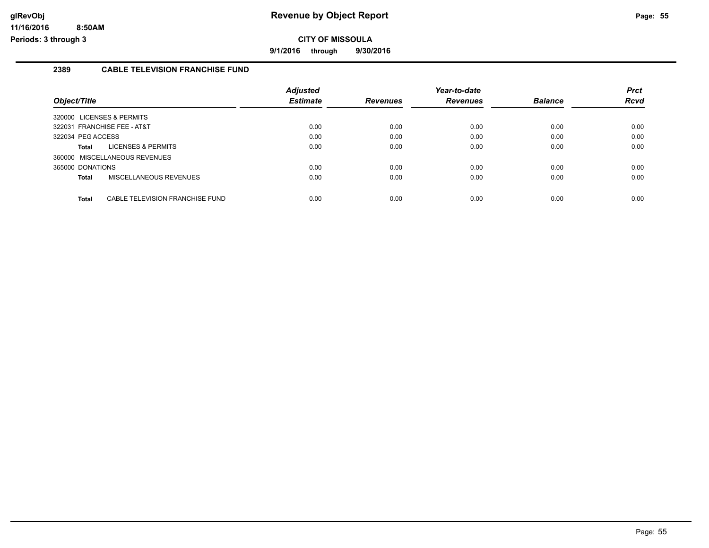**8:50AM**

**CITY OF MISSOULA**

**9/1/2016 through 9/30/2016**

### **2389 CABLE TELEVISION FRANCHISE FUND**

|                                                 | <b>Adiusted</b> |                 | Year-to-date    |                | <b>Prct</b> |
|-------------------------------------------------|-----------------|-----------------|-----------------|----------------|-------------|
| Object/Title                                    | <b>Estimate</b> | <b>Revenues</b> | <b>Revenues</b> | <b>Balance</b> | <b>Rcvd</b> |
| 320000 LICENSES & PERMITS                       |                 |                 |                 |                |             |
| 322031 FRANCHISE FEE - AT&T                     | 0.00            | 0.00            | 0.00            | 0.00           | 0.00        |
| 322034 PEG ACCESS                               | 0.00            | 0.00            | 0.00            | 0.00           | 0.00        |
| <b>LICENSES &amp; PERMITS</b><br>Total          | 0.00            | 0.00            | 0.00            | 0.00           | 0.00        |
| 360000 MISCELLANEOUS REVENUES                   |                 |                 |                 |                |             |
| 365000 DONATIONS                                | 0.00            | 0.00            | 0.00            | 0.00           | 0.00        |
| <b>MISCELLANEOUS REVENUES</b><br>Total          | 0.00            | 0.00            | 0.00            | 0.00           | 0.00        |
|                                                 |                 |                 |                 |                |             |
| <b>Total</b><br>CABLE TELEVISION FRANCHISE FUND | 0.00            | 0.00            | 0.00            | 0.00           | 0.00        |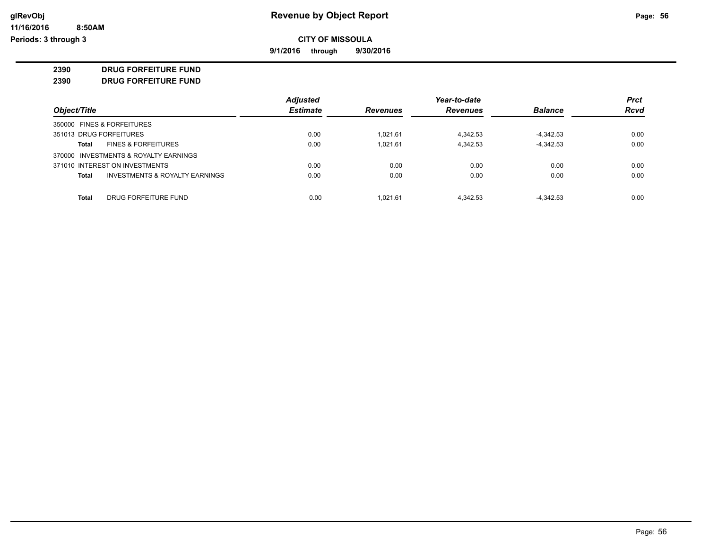**9/1/2016 through 9/30/2016**

**2390 DRUG FORFEITURE FUND**

**2390 DRUG FORFEITURE FUND**

|                                                           | <b>Adjusted</b> |                 | Year-to-date    | <b>Prct</b>    |             |
|-----------------------------------------------------------|-----------------|-----------------|-----------------|----------------|-------------|
| Object/Title                                              | <b>Estimate</b> | <b>Revenues</b> | <b>Revenues</b> | <b>Balance</b> | <b>Rcvd</b> |
| 350000 FINES & FORFEITURES                                |                 |                 |                 |                |             |
| 351013 DRUG FORFEITURES                                   | 0.00            | 1.021.61        | 4.342.53        | -4.342.53      | 0.00        |
| <b>FINES &amp; FORFEITURES</b><br><b>Total</b>            | 0.00            | 1.021.61        | 4,342.53        | $-4,342.53$    | 0.00        |
| 370000 INVESTMENTS & ROYALTY EARNINGS                     |                 |                 |                 |                |             |
| 371010 INTEREST ON INVESTMENTS                            | 0.00            | 0.00            | 0.00            | 0.00           | 0.00        |
| <b>INVESTMENTS &amp; ROYALTY EARNINGS</b><br><b>Total</b> | 0.00            | 0.00            | 0.00            | 0.00           | 0.00        |
| DRUG FORFEITURE FUND<br><b>Total</b>                      | 0.00            | 1.021.61        | 4.342.53        | $-4.342.53$    | 0.00        |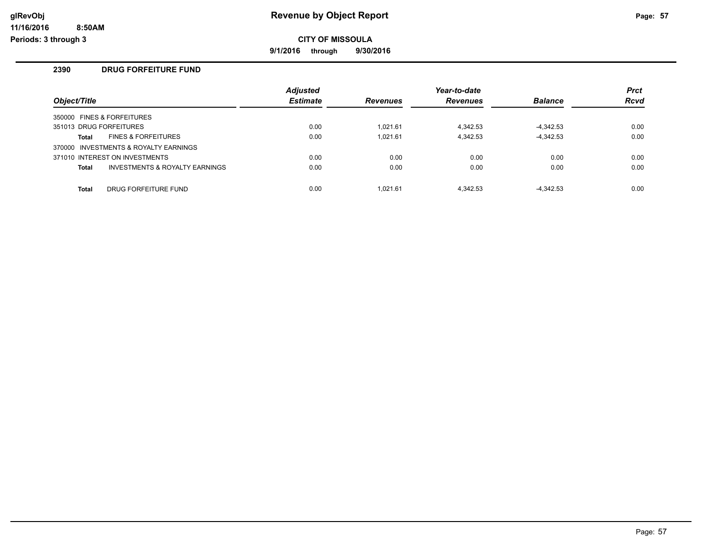**CITY OF MISSOULA**

**9/1/2016 through 9/30/2016**

### **2390 DRUG FORFEITURE FUND**

 **8:50AM**

| Object/Title                                              | <b>Adjusted</b><br><b>Estimate</b> | <b>Revenues</b> | Year-to-date<br><b>Revenues</b> | <b>Balance</b> | <b>Prct</b><br><b>Rcvd</b> |
|-----------------------------------------------------------|------------------------------------|-----------------|---------------------------------|----------------|----------------------------|
|                                                           |                                    |                 |                                 |                |                            |
| 350000 FINES & FORFEITURES                                |                                    |                 |                                 |                |                            |
| 351013 DRUG FORFEITURES                                   | 0.00                               | 1.021.61        | 4.342.53                        | $-4.342.53$    | 0.00                       |
| <b>FINES &amp; FORFEITURES</b><br>Total                   | 0.00                               | 1.021.61        | 4,342.53                        | $-4,342.53$    | 0.00                       |
| INVESTMENTS & ROYALTY EARNINGS<br>370000                  |                                    |                 |                                 |                |                            |
| 371010 INTEREST ON INVESTMENTS                            | 0.00                               | 0.00            | 0.00                            | 0.00           | 0.00                       |
| <b>INVESTMENTS &amp; ROYALTY EARNINGS</b><br><b>Total</b> | 0.00                               | 0.00            | 0.00                            | 0.00           | 0.00                       |
|                                                           |                                    |                 |                                 |                |                            |
| DRUG FORFEITURE FUND<br>Total                             | 0.00                               | 1.021.61        | 4.342.53                        | $-4.342.53$    | 0.00                       |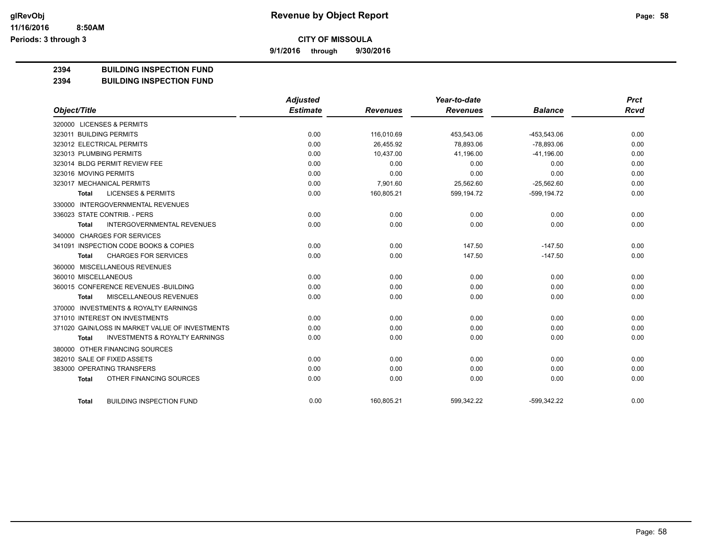**9/1/2016 through 9/30/2016**

**2394 BUILDING INSPECTION FUND**

**2394 BUILDING INSPECTION FUND**

| <b>Adjusted</b> |                 | Year-to-date    |                | <b>Prct</b>   |
|-----------------|-----------------|-----------------|----------------|---------------|
| <b>Estimate</b> | <b>Revenues</b> | <b>Revenues</b> | <b>Balance</b> | <b>Rcvd</b>   |
|                 |                 |                 |                |               |
| 0.00            | 116,010.69      | 453,543.06      | -453,543.06    | 0.00          |
| 0.00            | 26,455.92       | 78,893.06       | $-78,893.06$   | 0.00          |
| 0.00            | 10,437.00       | 41,196.00       | $-41,196.00$   | 0.00          |
| 0.00            | 0.00            | 0.00            | 0.00           | 0.00          |
| 0.00            | 0.00            | 0.00            | 0.00           | 0.00          |
| 0.00            | 7,901.60        | 25,562.60       | $-25,562.60$   | 0.00          |
| 0.00            | 160,805.21      | 599,194.72      | $-599, 194.72$ | 0.00          |
|                 |                 |                 |                |               |
| 0.00            | 0.00            | 0.00            | 0.00           | 0.00          |
| 0.00            | 0.00            | 0.00            | 0.00           | 0.00          |
|                 |                 |                 |                |               |
| 0.00            | 0.00            | 147.50          | $-147.50$      | 0.00          |
| 0.00            | 0.00            | 147.50          | $-147.50$      | 0.00          |
|                 |                 |                 |                |               |
| 0.00            | 0.00            | 0.00            | 0.00           | 0.00          |
| 0.00            | 0.00            | 0.00            | 0.00           | 0.00          |
| 0.00            | 0.00            | 0.00            | 0.00           | 0.00          |
|                 |                 |                 |                |               |
| 0.00            | 0.00            | 0.00            | 0.00           | 0.00          |
| 0.00            | 0.00            | 0.00            | 0.00           | 0.00          |
| 0.00            | 0.00            | 0.00            | 0.00           | 0.00          |
|                 |                 |                 |                |               |
| 0.00            | 0.00            | 0.00            | 0.00           | 0.00          |
| 0.00            | 0.00            | 0.00            | 0.00           | 0.00          |
| 0.00            | 0.00            | 0.00            | 0.00           | 0.00          |
|                 |                 |                 |                | 0.00          |
|                 | 0.00            | 160,805.21      | 599,342.22     | $-599,342.22$ |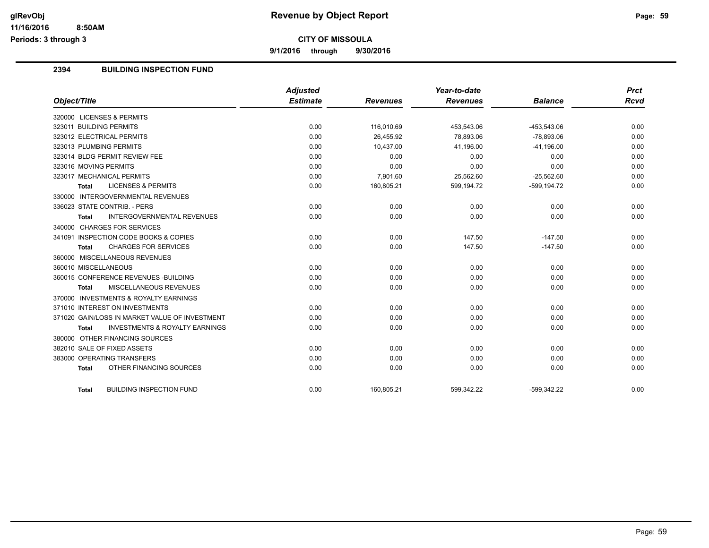**9/1/2016 through 9/30/2016**

### **2394 BUILDING INSPECTION FUND**

| Object/Title                                              | <b>Adjusted</b><br><b>Estimate</b> | <b>Revenues</b> | Year-to-date<br><b>Revenues</b> | <b>Balance</b> | <b>Prct</b><br><b>Rcvd</b> |
|-----------------------------------------------------------|------------------------------------|-----------------|---------------------------------|----------------|----------------------------|
|                                                           |                                    |                 |                                 |                |                            |
| 320000 LICENSES & PERMITS                                 |                                    |                 |                                 |                |                            |
| 323011 BUILDING PERMITS                                   | 0.00                               | 116,010.69      | 453,543.06                      | -453,543.06    | 0.00                       |
| 323012 ELECTRICAL PERMITS                                 | 0.00                               | 26.455.92       | 78.893.06                       | $-78,893.06$   | 0.00                       |
| 323013 PLUMBING PERMITS                                   | 0.00                               | 10,437.00       | 41,196.00                       | $-41,196.00$   | 0.00                       |
| 323014 BLDG PERMIT REVIEW FEE                             | 0.00                               | 0.00            | 0.00                            | 0.00           | 0.00                       |
| 323016 MOVING PERMITS                                     | 0.00                               | 0.00            | 0.00                            | 0.00           | 0.00                       |
| 323017 MECHANICAL PERMITS                                 | 0.00                               | 7,901.60        | 25,562.60                       | $-25,562.60$   | 0.00                       |
| <b>LICENSES &amp; PERMITS</b><br><b>Total</b>             | 0.00                               | 160,805.21      | 599,194.72                      | $-599, 194.72$ | 0.00                       |
| 330000 INTERGOVERNMENTAL REVENUES                         |                                    |                 |                                 |                |                            |
| 336023 STATE CONTRIB. - PERS                              | 0.00                               | 0.00            | 0.00                            | 0.00           | 0.00                       |
| <b>Total</b><br>INTERGOVERNMENTAL REVENUES                | 0.00                               | 0.00            | 0.00                            | 0.00           | 0.00                       |
| 340000 CHARGES FOR SERVICES                               |                                    |                 |                                 |                |                            |
| 341091 INSPECTION CODE BOOKS & COPIES                     | 0.00                               | 0.00            | 147.50                          | $-147.50$      | 0.00                       |
| <b>CHARGES FOR SERVICES</b><br>Total                      | 0.00                               | 0.00            | 147.50                          | $-147.50$      | 0.00                       |
| 360000 MISCELLANEOUS REVENUES                             |                                    |                 |                                 |                |                            |
| 360010 MISCELLANEOUS                                      | 0.00                               | 0.00            | 0.00                            | 0.00           | 0.00                       |
| 360015 CONFERENCE REVENUES - BUILDING                     | 0.00                               | 0.00            | 0.00                            | 0.00           | 0.00                       |
| <b>MISCELLANEOUS REVENUES</b><br>Total                    | 0.00                               | 0.00            | 0.00                            | 0.00           | 0.00                       |
| 370000 INVESTMENTS & ROYALTY EARNINGS                     |                                    |                 |                                 |                |                            |
| 371010 INTEREST ON INVESTMENTS                            | 0.00                               | 0.00            | 0.00                            | 0.00           | 0.00                       |
| 371020 GAIN/LOSS IN MARKET VALUE OF INVESTMENT            | 0.00                               | 0.00            | 0.00                            | 0.00           | 0.00                       |
| <b>INVESTMENTS &amp; ROYALTY EARNINGS</b><br><b>Total</b> | 0.00                               | 0.00            | 0.00                            | 0.00           | 0.00                       |
| 380000 OTHER FINANCING SOURCES                            |                                    |                 |                                 |                |                            |
| 382010 SALE OF FIXED ASSETS                               | 0.00                               | 0.00            | 0.00                            | 0.00           | 0.00                       |
| 383000 OPERATING TRANSFERS                                | 0.00                               | 0.00            | 0.00                            | 0.00           | 0.00                       |
| OTHER FINANCING SOURCES<br><b>Total</b>                   | 0.00                               | 0.00            | 0.00                            | 0.00           | 0.00                       |
|                                                           |                                    |                 |                                 |                |                            |
| <b>BUILDING INSPECTION FUND</b><br><b>Total</b>           | 0.00                               | 160,805.21      | 599.342.22                      | -599.342.22    | 0.00                       |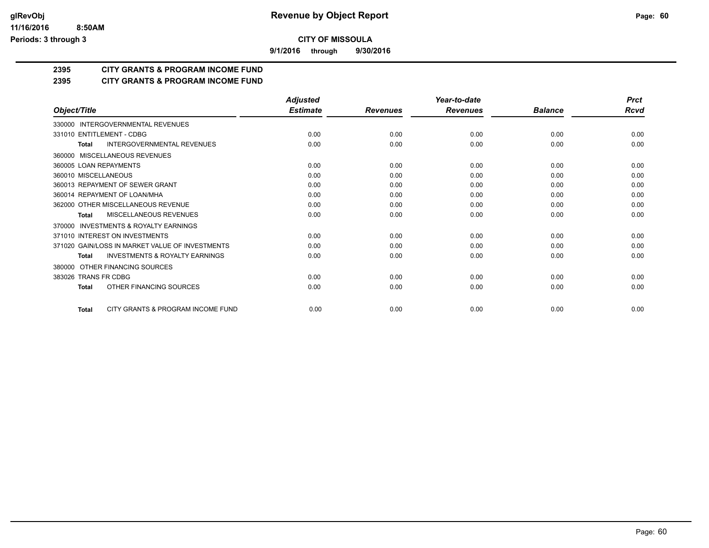**8:50AM Periods: 3 through 3**

**CITY OF MISSOULA**

**9/1/2016 through 9/30/2016**

### **2395 CITY GRANTS & PROGRAM INCOME FUND**

### **2395 CITY GRANTS & PROGRAM INCOME FUND**

|                                                           | <b>Adjusted</b> |                 | Year-to-date    |                | <b>Prct</b> |
|-----------------------------------------------------------|-----------------|-----------------|-----------------|----------------|-------------|
| Object/Title                                              | <b>Estimate</b> | <b>Revenues</b> | <b>Revenues</b> | <b>Balance</b> | <b>Rcvd</b> |
| 330000 INTERGOVERNMENTAL REVENUES                         |                 |                 |                 |                |             |
| 331010 ENTITLEMENT - CDBG                                 | 0.00            | 0.00            | 0.00            | 0.00           | 0.00        |
| <b>INTERGOVERNMENTAL REVENUES</b><br><b>Total</b>         | 0.00            | 0.00            | 0.00            | 0.00           | 0.00        |
| MISCELLANEOUS REVENUES<br>360000                          |                 |                 |                 |                |             |
| 360005 LOAN REPAYMENTS                                    | 0.00            | 0.00            | 0.00            | 0.00           | 0.00        |
| 360010 MISCELLANEOUS                                      | 0.00            | 0.00            | 0.00            | 0.00           | 0.00        |
| 360013 REPAYMENT OF SEWER GRANT                           | 0.00            | 0.00            | 0.00            | 0.00           | 0.00        |
| 360014 REPAYMENT OF LOAN/MHA                              | 0.00            | 0.00            | 0.00            | 0.00           | 0.00        |
| 362000 OTHER MISCELLANEOUS REVENUE                        | 0.00            | 0.00            | 0.00            | 0.00           | 0.00        |
| MISCELLANEOUS REVENUES<br><b>Total</b>                    | 0.00            | 0.00            | 0.00            | 0.00           | 0.00        |
| INVESTMENTS & ROYALTY EARNINGS<br>370000                  |                 |                 |                 |                |             |
| 371010 INTEREST ON INVESTMENTS                            | 0.00            | 0.00            | 0.00            | 0.00           | 0.00        |
| 371020 GAIN/LOSS IN MARKET VALUE OF INVESTMENTS           | 0.00            | 0.00            | 0.00            | 0.00           | 0.00        |
| <b>INVESTMENTS &amp; ROYALTY EARNINGS</b><br><b>Total</b> | 0.00            | 0.00            | 0.00            | 0.00           | 0.00        |
| OTHER FINANCING SOURCES<br>380000                         |                 |                 |                 |                |             |
| 383026 TRANS FR CDBG                                      | 0.00            | 0.00            | 0.00            | 0.00           | 0.00        |
| OTHER FINANCING SOURCES<br><b>Total</b>                   | 0.00            | 0.00            | 0.00            | 0.00           | 0.00        |
| CITY GRANTS & PROGRAM INCOME FUND<br>Total                | 0.00            | 0.00            | 0.00            | 0.00           | 0.00        |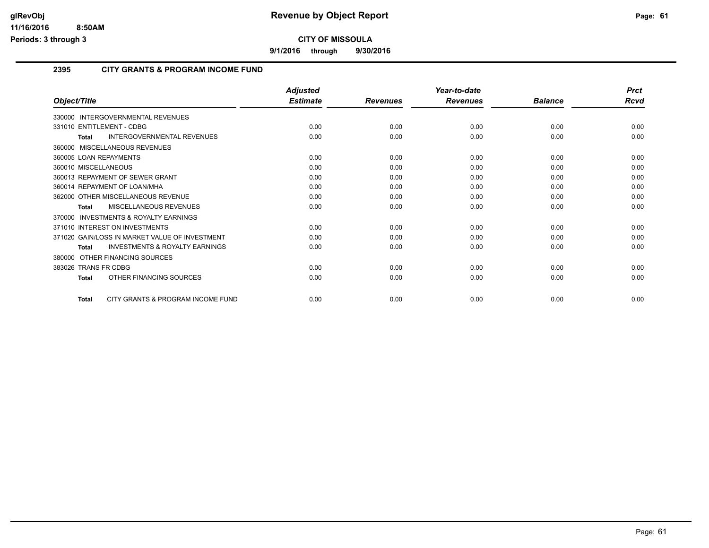**8:50AM**

**CITY OF MISSOULA**

**9/1/2016 through 9/30/2016**

### **2395 CITY GRANTS & PROGRAM INCOME FUND**

|                                                    | <b>Adjusted</b> |                 | Year-to-date    |                | <b>Prct</b> |
|----------------------------------------------------|-----------------|-----------------|-----------------|----------------|-------------|
| Object/Title                                       | <b>Estimate</b> | <b>Revenues</b> | <b>Revenues</b> | <b>Balance</b> | Rcvd        |
| 330000 INTERGOVERNMENTAL REVENUES                  |                 |                 |                 |                |             |
| 331010 ENTITLEMENT - CDBG                          | 0.00            | 0.00            | 0.00            | 0.00           | 0.00        |
| <b>INTERGOVERNMENTAL REVENUES</b><br>Total         | 0.00            | 0.00            | 0.00            | 0.00           | 0.00        |
| 360000 MISCELLANEOUS REVENUES                      |                 |                 |                 |                |             |
| 360005 LOAN REPAYMENTS                             | 0.00            | 0.00            | 0.00            | 0.00           | 0.00        |
| 360010 MISCELLANEOUS                               | 0.00            | 0.00            | 0.00            | 0.00           | 0.00        |
| 360013 REPAYMENT OF SEWER GRANT                    | 0.00            | 0.00            | 0.00            | 0.00           | 0.00        |
| 360014 REPAYMENT OF LOAN/MHA                       | 0.00            | 0.00            | 0.00            | 0.00           | 0.00        |
| 362000 OTHER MISCELLANEOUS REVENUE                 | 0.00            | 0.00            | 0.00            | 0.00           | 0.00        |
| MISCELLANEOUS REVENUES<br><b>Total</b>             | 0.00            | 0.00            | 0.00            | 0.00           | 0.00        |
| 370000 INVESTMENTS & ROYALTY EARNINGS              |                 |                 |                 |                |             |
| 371010 INTEREST ON INVESTMENTS                     | 0.00            | 0.00            | 0.00            | 0.00           | 0.00        |
| 371020 GAIN/LOSS IN MARKET VALUE OF INVESTMENT     | 0.00            | 0.00            | 0.00            | 0.00           | 0.00        |
| <b>INVESTMENTS &amp; ROYALTY EARNINGS</b><br>Total | 0.00            | 0.00            | 0.00            | 0.00           | 0.00        |
| 380000 OTHER FINANCING SOURCES                     |                 |                 |                 |                |             |
| 383026 TRANS FR CDBG                               | 0.00            | 0.00            | 0.00            | 0.00           | 0.00        |
| OTHER FINANCING SOURCES<br>Total                   | 0.00            | 0.00            | 0.00            | 0.00           | 0.00        |
| CITY GRANTS & PROGRAM INCOME FUND<br><b>Total</b>  | 0.00            | 0.00            | 0.00            | 0.00           | 0.00        |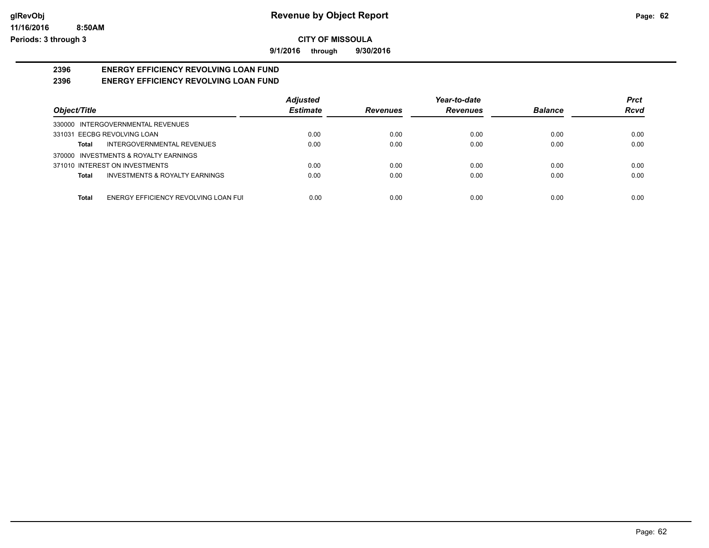**9/1/2016 through 9/30/2016**

### **2396 ENERGY EFFICIENCY REVOLVING LOAN FUND 2396 ENERGY EFFICIENCY REVOLVING LOAN FUND**

|                                               | <b>Adjusted</b> |                 | Year-to-date    |                | <b>Prct</b> |
|-----------------------------------------------|-----------------|-----------------|-----------------|----------------|-------------|
| Object/Title                                  | <b>Estimate</b> | <b>Revenues</b> | <b>Revenues</b> | <b>Balance</b> | Rcvd        |
| 330000 INTERGOVERNMENTAL REVENUES             |                 |                 |                 |                |             |
| 331031 EECBG REVOLVING LOAN                   | 0.00            | 0.00            | 0.00            | 0.00           | 0.00        |
| <b>INTERGOVERNMENTAL REVENUES</b><br>Total    | 0.00            | 0.00            | 0.00            | 0.00           | 0.00        |
| 370000 INVESTMENTS & ROYALTY EARNINGS         |                 |                 |                 |                |             |
| 371010 INTEREST ON INVESTMENTS                | 0.00            | 0.00            | 0.00            | 0.00           | 0.00        |
| INVESTMENTS & ROYALTY EARNINGS<br>Total       | 0.00            | 0.00            | 0.00            | 0.00           | 0.00        |
| ENERGY EFFICIENCY REVOLVING LOAN FUI<br>Total | 0.00            | 0.00            | 0.00            | 0.00           | 0.00        |
|                                               |                 |                 |                 |                |             |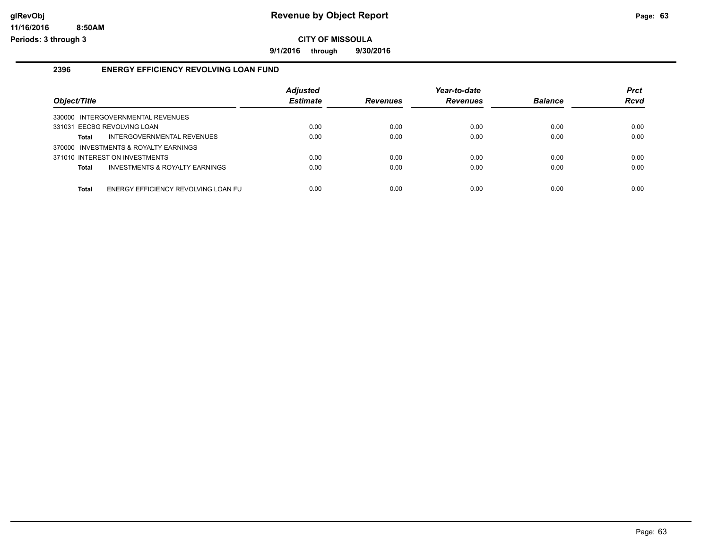**8:50AM**

**CITY OF MISSOULA**

**9/1/2016 through 9/30/2016**

### **2396 ENERGY EFFICIENCY REVOLVING LOAN FUND**

| Object/Title                                       | <b>Adjusted</b><br><b>Estimate</b> | <b>Revenues</b> | Year-to-date<br><b>Revenues</b> | <b>Balance</b> | <b>Prct</b><br><b>Rcvd</b> |
|----------------------------------------------------|------------------------------------|-----------------|---------------------------------|----------------|----------------------------|
| 330000 INTERGOVERNMENTAL REVENUES                  |                                    |                 |                                 |                |                            |
| 331031 EECBG REVOLVING LOAN                        | 0.00                               | 0.00            | 0.00                            | 0.00           | 0.00                       |
| INTERGOVERNMENTAL REVENUES<br>Total                | 0.00                               | 0.00            | 0.00                            | 0.00           | 0.00                       |
| 370000 INVESTMENTS & ROYALTY EARNINGS              |                                    |                 |                                 |                |                            |
| 371010 INTEREST ON INVESTMENTS                     | 0.00                               | 0.00            | 0.00                            | 0.00           | 0.00                       |
| <b>INVESTMENTS &amp; ROYALTY EARNINGS</b><br>Total | 0.00                               | 0.00            | 0.00                            | 0.00           | 0.00                       |
|                                                    |                                    |                 |                                 |                |                            |
| ENERGY EFFICIENCY REVOLVING LOAN FU<br>Total       | 0.00                               | 0.00            | 0.00                            | 0.00           | 0.00                       |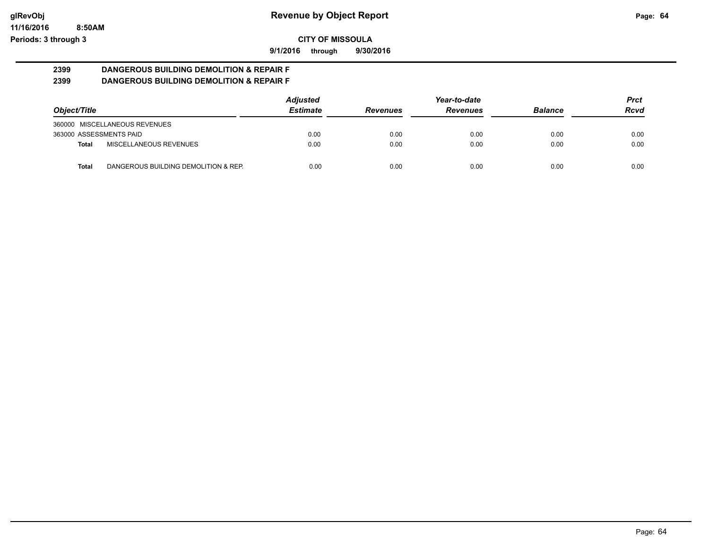**11/16/2016 8:50AM Periods: 3 through 3**

**CITY OF MISSOULA**

**9/1/2016 through 9/30/2016**

### **2399 DANGEROUS BUILDING DEMOLITION & REPAIR F 2399 DANGEROUS BUILDING DEMOLITION & REPAIR F**

|                         |                                      | <b>Adjusted</b> |                 | Year-to-date    |                | Prct |
|-------------------------|--------------------------------------|-----------------|-----------------|-----------------|----------------|------|
| Object/Title            |                                      | <b>Estimate</b> | <b>Revenues</b> | <b>Revenues</b> | <b>Balance</b> | Rcvd |
|                         | 360000 MISCELLANEOUS REVENUES        |                 |                 |                 |                |      |
| 363000 ASSESSMENTS PAID |                                      | 0.00            | 0.00            | 0.00            | 0.00           | 0.00 |
| <b>Total</b>            | MISCELLANEOUS REVENUES               | 0.00            | 0.00            | 0.00            | 0.00           | 0.00 |
| <b>Total</b>            | DANGEROUS BUILDING DEMOLITION & REP. | 0.00            | 0.00            | 0.00            | 0.00           | 0.00 |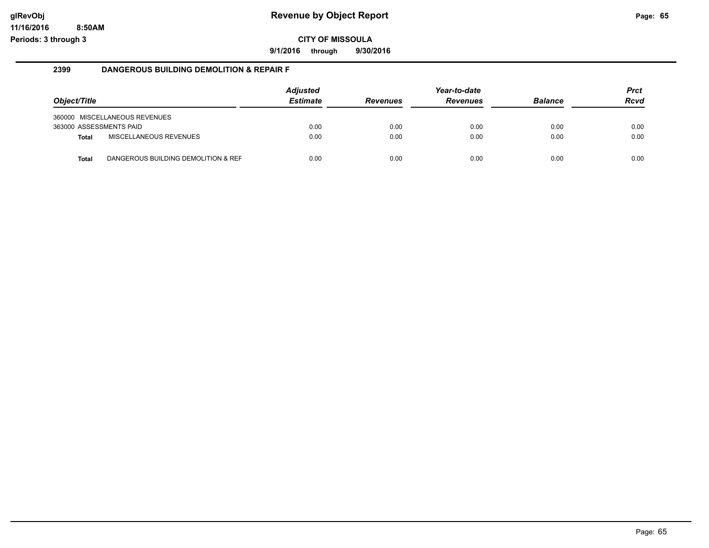**11/16/2016**

 **8:50AM Periods: 3 through 3**

#### **CITY OF MISSOULA**

**9/1/2016 through 9/30/2016**

### **2399 DANGEROUS BUILDING DEMOLITION & REPAIR F**

| Object/Title            |                                     | <b>Adjusted</b><br><b>Estimate</b> | <b>Revenues</b> | Year-to-date<br><b>Revenues</b> | <b>Balance</b> | <b>Prct</b><br>Rcvd |
|-------------------------|-------------------------------------|------------------------------------|-----------------|---------------------------------|----------------|---------------------|
|                         | 360000 MISCELLANEOUS REVENUES       |                                    |                 |                                 |                |                     |
| 363000 ASSESSMENTS PAID |                                     | 0.00                               | 0.00            | 0.00                            | 0.00           | 0.00                |
| <b>Total</b>            | MISCELLANEOUS REVENUES              | 0.00                               | 0.00            | 0.00                            | 0.00           | 0.00                |
| <b>Total</b>            | DANGEROUS BUILDING DEMOLITION & REF | 0.00                               | 0.00            | 0.00                            | 0.00           | 0.00                |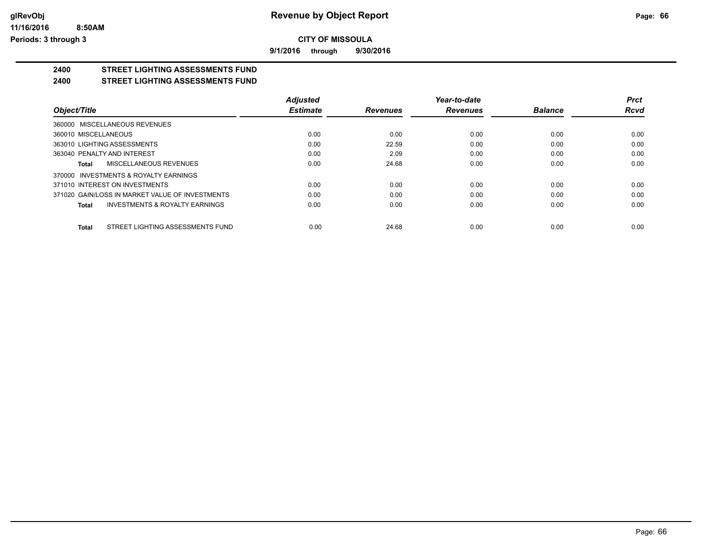**9/1/2016 through 9/30/2016**

# **2400 STREET LIGHTING ASSESSMENTS FUND**

### **2400 STREET LIGHTING ASSESSMENTS FUND**

|                                                    | <b>Adjusted</b> |                 | Year-to-date    |                | <b>Prct</b> |
|----------------------------------------------------|-----------------|-----------------|-----------------|----------------|-------------|
| Object/Title                                       | <b>Estimate</b> | <b>Revenues</b> | <b>Revenues</b> | <b>Balance</b> | <b>Rcvd</b> |
| 360000 MISCELLANEOUS REVENUES                      |                 |                 |                 |                |             |
| 360010 MISCELLANEOUS                               | 0.00            | 0.00            | 0.00            | 0.00           | 0.00        |
| 363010 LIGHTING ASSESSMENTS                        | 0.00            | 22.59           | 0.00            | 0.00           | 0.00        |
| 363040 PENALTY AND INTEREST                        | 0.00            | 2.09            | 0.00            | 0.00           | 0.00        |
| MISCELLANEOUS REVENUES<br>Total                    | 0.00            | 24.68           | 0.00            | 0.00           | 0.00        |
| 370000 INVESTMENTS & ROYALTY EARNINGS              |                 |                 |                 |                |             |
| 371010 INTEREST ON INVESTMENTS                     | 0.00            | 0.00            | 0.00            | 0.00           | 0.00        |
| 371020 GAIN/LOSS IN MARKET VALUE OF INVESTMENTS    | 0.00            | 0.00            | 0.00            | 0.00           | 0.00        |
| <b>INVESTMENTS &amp; ROYALTY EARNINGS</b><br>Total | 0.00            | 0.00            | 0.00            | 0.00           | 0.00        |
| STREET LIGHTING ASSESSMENTS FUND<br><b>Total</b>   | 0.00            | 24.68           | 0.00            | 0.00           | 0.00        |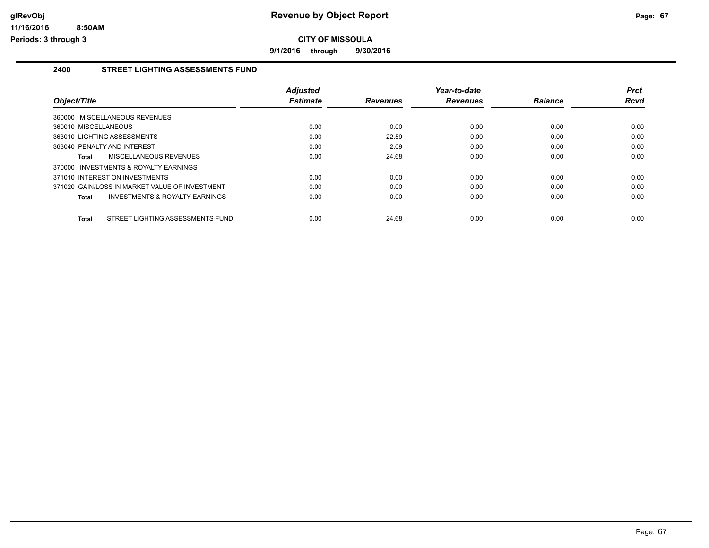**9/1/2016 through 9/30/2016**

### **2400 STREET LIGHTING ASSESSMENTS FUND**

| Object/Title                          |                                                | <b>Adjusted</b><br><b>Estimate</b> | <b>Revenues</b> | Year-to-date<br><b>Revenues</b> | <b>Balance</b> | <b>Prct</b><br>Rcvd |
|---------------------------------------|------------------------------------------------|------------------------------------|-----------------|---------------------------------|----------------|---------------------|
| 360000 MISCELLANEOUS REVENUES         |                                                |                                    |                 |                                 |                |                     |
| 360010 MISCELLANEOUS                  |                                                | 0.00                               | 0.00            | 0.00                            | 0.00           | 0.00                |
| 363010 LIGHTING ASSESSMENTS           |                                                | 0.00                               | 22.59           | 0.00                            | 0.00           | 0.00                |
| 363040 PENALTY AND INTEREST           |                                                | 0.00                               | 2.09            | 0.00                            | 0.00           | 0.00                |
| Total                                 | MISCELLANEOUS REVENUES                         | 0.00                               | 24.68           | 0.00                            | 0.00           | 0.00                |
| 370000 INVESTMENTS & ROYALTY EARNINGS |                                                |                                    |                 |                                 |                |                     |
| 371010 INTEREST ON INVESTMENTS        |                                                | 0.00                               | 0.00            | 0.00                            | 0.00           | 0.00                |
|                                       | 371020 GAIN/LOSS IN MARKET VALUE OF INVESTMENT | 0.00                               | 0.00            | 0.00                            | 0.00           | 0.00                |
| Total                                 | <b>INVESTMENTS &amp; ROYALTY EARNINGS</b>      | 0.00                               | 0.00            | 0.00                            | 0.00           | 0.00                |
| Total                                 | STREET LIGHTING ASSESSMENTS FUND               | 0.00                               | 24.68           | 0.00                            | 0.00           | 0.00                |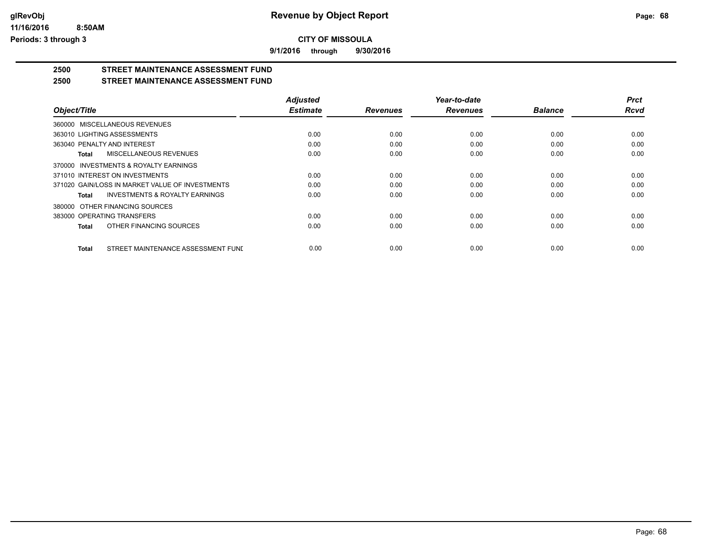**11/16/2016 8:50AM Periods: 3 through 3**

### **CITY OF MISSOULA**

**9/1/2016 through 9/30/2016**

### **2500 STREET MAINTENANCE ASSESSMENT FUND**

### **2500 STREET MAINTENANCE ASSESSMENT FUND**

|                                                    | <b>Adjusted</b> |                 | Year-to-date    |                | <b>Prct</b> |
|----------------------------------------------------|-----------------|-----------------|-----------------|----------------|-------------|
| Object/Title                                       | <b>Estimate</b> | <b>Revenues</b> | <b>Revenues</b> | <b>Balance</b> | Rcvd        |
| 360000 MISCELLANEOUS REVENUES                      |                 |                 |                 |                |             |
| 363010 LIGHTING ASSESSMENTS                        | 0.00            | 0.00            | 0.00            | 0.00           | 0.00        |
| 363040 PENALTY AND INTEREST                        | 0.00            | 0.00            | 0.00            | 0.00           | 0.00        |
| MISCELLANEOUS REVENUES<br>Total                    | 0.00            | 0.00            | 0.00            | 0.00           | 0.00        |
| 370000 INVESTMENTS & ROYALTY EARNINGS              |                 |                 |                 |                |             |
| 371010 INTEREST ON INVESTMENTS                     | 0.00            | 0.00            | 0.00            | 0.00           | 0.00        |
| 371020 GAIN/LOSS IN MARKET VALUE OF INVESTMENTS    | 0.00            | 0.00            | 0.00            | 0.00           | 0.00        |
| <b>INVESTMENTS &amp; ROYALTY EARNINGS</b><br>Total | 0.00            | 0.00            | 0.00            | 0.00           | 0.00        |
| OTHER FINANCING SOURCES<br>380000                  |                 |                 |                 |                |             |
| 383000 OPERATING TRANSFERS                         | 0.00            | 0.00            | 0.00            | 0.00           | 0.00        |
| OTHER FINANCING SOURCES<br><b>Total</b>            | 0.00            | 0.00            | 0.00            | 0.00           | 0.00        |
| STREET MAINTENANCE ASSESSMENT FUNI<br><b>Total</b> | 0.00            | 0.00            | 0.00            | 0.00           | 0.00        |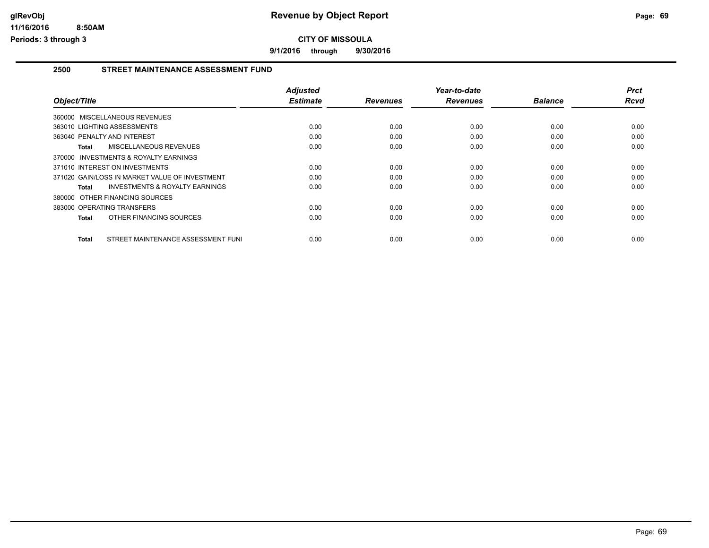**9/1/2016 through 9/30/2016**

### **2500 STREET MAINTENANCE ASSESSMENT FUND**

| Object/Title                                       | <b>Adjusted</b><br><b>Estimate</b> | <b>Revenues</b> | Year-to-date<br><b>Revenues</b> | <b>Balance</b> | <b>Prct</b><br>Rcvd |
|----------------------------------------------------|------------------------------------|-----------------|---------------------------------|----------------|---------------------|
| 360000 MISCELLANEOUS REVENUES                      |                                    |                 |                                 |                |                     |
| 363010 LIGHTING ASSESSMENTS                        | 0.00                               | 0.00            | 0.00                            | 0.00           | 0.00                |
| 363040 PENALTY AND INTEREST                        | 0.00                               | 0.00            | 0.00                            | 0.00           | 0.00                |
| MISCELLANEOUS REVENUES<br>Total                    | 0.00                               | 0.00            | 0.00                            | 0.00           | 0.00                |
| 370000 INVESTMENTS & ROYALTY EARNINGS              |                                    |                 |                                 |                |                     |
| 371010 INTEREST ON INVESTMENTS                     | 0.00                               | 0.00            | 0.00                            | 0.00           | 0.00                |
| 371020 GAIN/LOSS IN MARKET VALUE OF INVESTMENT     | 0.00                               | 0.00            | 0.00                            | 0.00           | 0.00                |
| <b>INVESTMENTS &amp; ROYALTY EARNINGS</b><br>Total | 0.00                               | 0.00            | 0.00                            | 0.00           | 0.00                |
| 380000 OTHER FINANCING SOURCES                     |                                    |                 |                                 |                |                     |
| 383000 OPERATING TRANSFERS                         | 0.00                               | 0.00            | 0.00                            | 0.00           | 0.00                |
| OTHER FINANCING SOURCES<br>Total                   | 0.00                               | 0.00            | 0.00                            | 0.00           | 0.00                |
|                                                    |                                    |                 |                                 |                |                     |
| STREET MAINTENANCE ASSESSMENT FUNI<br>Total        | 0.00                               | 0.00            | 0.00                            | 0.00           | 0.00                |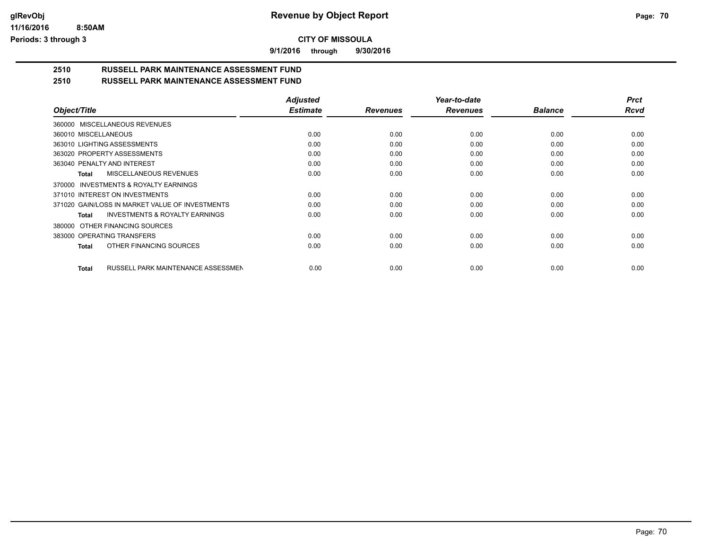**11/16/2016 8:50AM Periods: 3 through 3**

**CITY OF MISSOULA**

**9/1/2016 through 9/30/2016**

# **2510 RUSSELL PARK MAINTENANCE ASSESSMENT FUND**

| 2510 | <b>RUSSELL PARK MAINTENANCE ASSESSMENT FUND</b> |
|------|-------------------------------------------------|
|      |                                                 |

|                                                           | <b>Adjusted</b> |                 | Year-to-date    |                | <b>Prct</b> |
|-----------------------------------------------------------|-----------------|-----------------|-----------------|----------------|-------------|
| Object/Title                                              | <b>Estimate</b> | <b>Revenues</b> | <b>Revenues</b> | <b>Balance</b> | Rcvd        |
| 360000 MISCELLANEOUS REVENUES                             |                 |                 |                 |                |             |
| 360010 MISCELLANEOUS                                      | 0.00            | 0.00            | 0.00            | 0.00           | 0.00        |
| 363010 LIGHTING ASSESSMENTS                               | 0.00            | 0.00            | 0.00            | 0.00           | 0.00        |
| 363020 PROPERTY ASSESSMENTS                               | 0.00            | 0.00            | 0.00            | 0.00           | 0.00        |
| 363040 PENALTY AND INTEREST                               | 0.00            | 0.00            | 0.00            | 0.00           | 0.00        |
| MISCELLANEOUS REVENUES<br>Total                           | 0.00            | 0.00            | 0.00            | 0.00           | 0.00        |
| 370000 INVESTMENTS & ROYALTY EARNINGS                     |                 |                 |                 |                |             |
| 371010 INTEREST ON INVESTMENTS                            | 0.00            | 0.00            | 0.00            | 0.00           | 0.00        |
| 371020 GAIN/LOSS IN MARKET VALUE OF INVESTMENTS           | 0.00            | 0.00            | 0.00            | 0.00           | 0.00        |
| <b>INVESTMENTS &amp; ROYALTY EARNINGS</b><br><b>Total</b> | 0.00            | 0.00            | 0.00            | 0.00           | 0.00        |
| 380000 OTHER FINANCING SOURCES                            |                 |                 |                 |                |             |
| 383000 OPERATING TRANSFERS                                | 0.00            | 0.00            | 0.00            | 0.00           | 0.00        |
| OTHER FINANCING SOURCES<br><b>Total</b>                   | 0.00            | 0.00            | 0.00            | 0.00           | 0.00        |
|                                                           | 0.00            | 0.00            | 0.00            | 0.00           | 0.00        |
| RUSSELL PARK MAINTENANCE ASSESSMEN<br><b>Total</b>        |                 |                 |                 |                |             |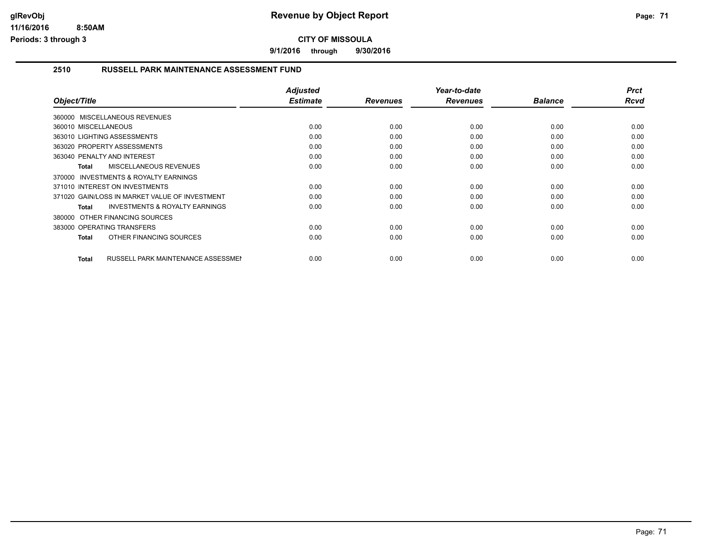**CITY OF MISSOULA**

**9/1/2016 through 9/30/2016**

### **2510 RUSSELL PARK MAINTENANCE ASSESSMENT FUND**

| Object/Title                                              | <b>Adjusted</b><br><b>Estimate</b> | <b>Revenues</b> | Year-to-date<br><b>Revenues</b> | <b>Balance</b> | <b>Prct</b><br><b>Rcvd</b> |
|-----------------------------------------------------------|------------------------------------|-----------------|---------------------------------|----------------|----------------------------|
| 360000 MISCELLANEOUS REVENUES                             |                                    |                 |                                 |                |                            |
| 360010 MISCELLANEOUS                                      | 0.00                               | 0.00            | 0.00                            | 0.00           | 0.00                       |
| 363010 LIGHTING ASSESSMENTS                               | 0.00                               | 0.00            | 0.00                            | 0.00           | 0.00                       |
| 363020 PROPERTY ASSESSMENTS                               | 0.00                               | 0.00            | 0.00                            | 0.00           | 0.00                       |
| 363040 PENALTY AND INTEREST                               | 0.00                               | 0.00            | 0.00                            | 0.00           | 0.00                       |
| MISCELLANEOUS REVENUES<br>Total                           | 0.00                               | 0.00            | 0.00                            | 0.00           | 0.00                       |
| 370000 INVESTMENTS & ROYALTY EARNINGS                     |                                    |                 |                                 |                |                            |
| 371010 INTEREST ON INVESTMENTS                            | 0.00                               | 0.00            | 0.00                            | 0.00           | 0.00                       |
| 371020 GAIN/LOSS IN MARKET VALUE OF INVESTMENT            | 0.00                               | 0.00            | 0.00                            | 0.00           | 0.00                       |
| <b>INVESTMENTS &amp; ROYALTY EARNINGS</b><br>Total        | 0.00                               | 0.00            | 0.00                            | 0.00           | 0.00                       |
| 380000 OTHER FINANCING SOURCES                            |                                    |                 |                                 |                |                            |
| 383000 OPERATING TRANSFERS                                | 0.00                               | 0.00            | 0.00                            | 0.00           | 0.00                       |
| OTHER FINANCING SOURCES<br>Total                          | 0.00                               | 0.00            | 0.00                            | 0.00           | 0.00                       |
|                                                           |                                    |                 |                                 |                |                            |
| <b>RUSSELL PARK MAINTENANCE ASSESSMEN</b><br><b>Total</b> | 0.00                               | 0.00            | 0.00                            | 0.00           | 0.00                       |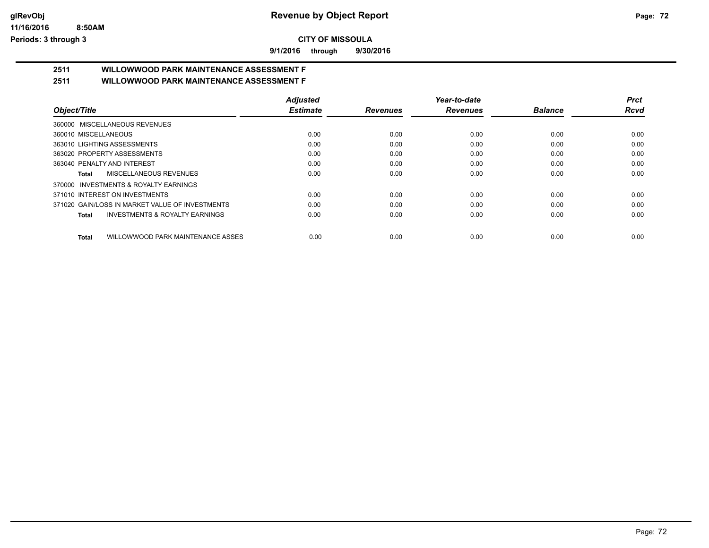**9/1/2016 through 9/30/2016**

# **2511 WILLOWWOOD PARK MAINTENANCE ASSESSMENT F**

**2511 WILLOWWOOD PARK MAINTENANCE ASSESSMENT F**

| Object/Title                                       | <b>Adjusted</b> |                 | Year-to-date    |                | Prct |
|----------------------------------------------------|-----------------|-----------------|-----------------|----------------|------|
|                                                    | <b>Estimate</b> | <b>Revenues</b> | <b>Revenues</b> | <b>Balance</b> | Rcvd |
| 360000 MISCELLANEOUS REVENUES                      |                 |                 |                 |                |      |
| 360010 MISCELLANEOUS                               | 0.00            | 0.00            | 0.00            | 0.00           | 0.00 |
| 363010 LIGHTING ASSESSMENTS                        | 0.00            | 0.00            | 0.00            | 0.00           | 0.00 |
| 363020 PROPERTY ASSESSMENTS                        | 0.00            | 0.00            | 0.00            | 0.00           | 0.00 |
| 363040 PENALTY AND INTEREST                        | 0.00            | 0.00            | 0.00            | 0.00           | 0.00 |
| MISCELLANEOUS REVENUES<br>Total                    | 0.00            | 0.00            | 0.00            | 0.00           | 0.00 |
| 370000 INVESTMENTS & ROYALTY EARNINGS              |                 |                 |                 |                |      |
| 371010 INTEREST ON INVESTMENTS                     | 0.00            | 0.00            | 0.00            | 0.00           | 0.00 |
| 371020 GAIN/LOSS IN MARKET VALUE OF INVESTMENTS    | 0.00            | 0.00            | 0.00            | 0.00           | 0.00 |
| <b>INVESTMENTS &amp; ROYALTY EARNINGS</b><br>Total | 0.00            | 0.00            | 0.00            | 0.00           | 0.00 |
| Total<br>WILLOWWOOD PARK MAINTENANCE ASSES         | 0.00            | 0.00            | 0.00            | 0.00           | 0.00 |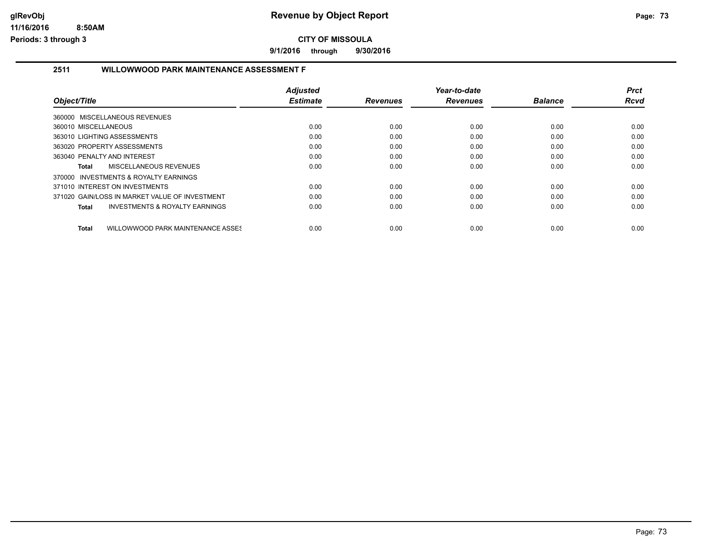**9/1/2016 through 9/30/2016**

## **2511 WILLOWWOOD PARK MAINTENANCE ASSESSMENT F**

|                                                           | <b>Adjusted</b> |                 | Year-to-date    |                | Prct        |
|-----------------------------------------------------------|-----------------|-----------------|-----------------|----------------|-------------|
| Object/Title                                              | <b>Estimate</b> | <b>Revenues</b> | <b>Revenues</b> | <b>Balance</b> | <b>Rcvd</b> |
| 360000 MISCELLANEOUS REVENUES                             |                 |                 |                 |                |             |
| 360010 MISCELLANEOUS                                      | 0.00            | 0.00            | 0.00            | 0.00           | 0.00        |
| 363010 LIGHTING ASSESSMENTS                               | 0.00            | 0.00            | 0.00            | 0.00           | 0.00        |
| 363020 PROPERTY ASSESSMENTS                               | 0.00            | 0.00            | 0.00            | 0.00           | 0.00        |
| 363040 PENALTY AND INTEREST                               | 0.00            | 0.00            | 0.00            | 0.00           | 0.00        |
| MISCELLANEOUS REVENUES<br>Total                           | 0.00            | 0.00            | 0.00            | 0.00           | 0.00        |
| 370000 INVESTMENTS & ROYALTY EARNINGS                     |                 |                 |                 |                |             |
| 371010 INTEREST ON INVESTMENTS                            | 0.00            | 0.00            | 0.00            | 0.00           | 0.00        |
| 371020 GAIN/LOSS IN MARKET VALUE OF INVESTMENT            | 0.00            | 0.00            | 0.00            | 0.00           | 0.00        |
| <b>INVESTMENTS &amp; ROYALTY EARNINGS</b><br><b>Total</b> | 0.00            | 0.00            | 0.00            | 0.00           | 0.00        |
| WILLOWWOOD PARK MAINTENANCE ASSES<br><b>Total</b>         | 0.00            | 0.00            | 0.00            | 0.00           | 0.00        |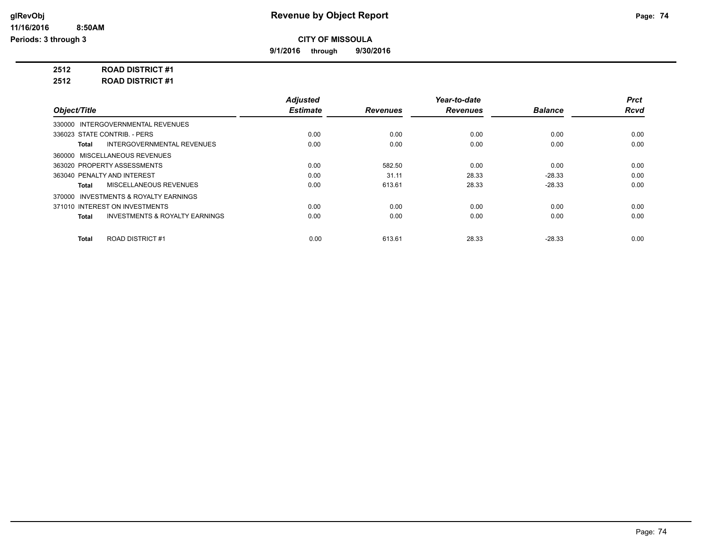**9/1/2016 through 9/30/2016**

**2512 ROAD DISTRICT #1**

**2512 ROAD DISTRICT #1**

|                                                    | <b>Adjusted</b> |                 | Year-to-date    |                | <b>Prct</b> |
|----------------------------------------------------|-----------------|-----------------|-----------------|----------------|-------------|
| Object/Title                                       | <b>Estimate</b> | <b>Revenues</b> | <b>Revenues</b> | <b>Balance</b> | <b>Rcvd</b> |
| 330000 INTERGOVERNMENTAL REVENUES                  |                 |                 |                 |                |             |
| 336023 STATE CONTRIB. - PERS                       | 0.00            | 0.00            | 0.00            | 0.00           | 0.00        |
| INTERGOVERNMENTAL REVENUES<br>Total                | 0.00            | 0.00            | 0.00            | 0.00           | 0.00        |
| 360000 MISCELLANEOUS REVENUES                      |                 |                 |                 |                |             |
| 363020 PROPERTY ASSESSMENTS                        | 0.00            | 582.50          | 0.00            | 0.00           | 0.00        |
| 363040 PENALTY AND INTEREST                        | 0.00            | 31.11           | 28.33           | $-28.33$       | 0.00        |
| MISCELLANEOUS REVENUES<br>Total                    | 0.00            | 613.61          | 28.33           | $-28.33$       | 0.00        |
| 370000 INVESTMENTS & ROYALTY EARNINGS              |                 |                 |                 |                |             |
| 371010 INTEREST ON INVESTMENTS                     | 0.00            | 0.00            | 0.00            | 0.00           | 0.00        |
| <b>INVESTMENTS &amp; ROYALTY EARNINGS</b><br>Total | 0.00            | 0.00            | 0.00            | 0.00           | 0.00        |
| <b>ROAD DISTRICT #1</b><br>Total                   | 0.00            | 613.61          | 28.33           | $-28.33$       | 0.00        |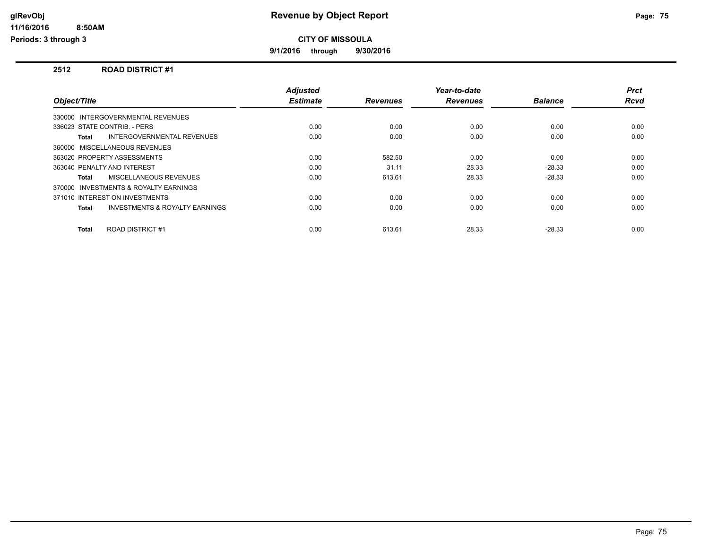**CITY OF MISSOULA**

**9/1/2016 through 9/30/2016**

#### **2512 ROAD DISTRICT #1**

|                                                    | <b>Adjusted</b> |                 | Year-to-date    |                | <b>Prct</b> |
|----------------------------------------------------|-----------------|-----------------|-----------------|----------------|-------------|
| Object/Title                                       | <b>Estimate</b> | <b>Revenues</b> | <b>Revenues</b> | <b>Balance</b> | <b>Rcvd</b> |
| 330000 INTERGOVERNMENTAL REVENUES                  |                 |                 |                 |                |             |
| 336023 STATE CONTRIB. - PERS                       | 0.00            | 0.00            | 0.00            | 0.00           | 0.00        |
| INTERGOVERNMENTAL REVENUES<br><b>Total</b>         | 0.00            | 0.00            | 0.00            | 0.00           | 0.00        |
| 360000 MISCELLANEOUS REVENUES                      |                 |                 |                 |                |             |
| 363020 PROPERTY ASSESSMENTS                        | 0.00            | 582.50          | 0.00            | 0.00           | 0.00        |
| 363040 PENALTY AND INTEREST                        | 0.00            | 31.11           | 28.33           | $-28.33$       | 0.00        |
| MISCELLANEOUS REVENUES<br><b>Total</b>             | 0.00            | 613.61          | 28.33           | $-28.33$       | 0.00        |
| 370000 INVESTMENTS & ROYALTY EARNINGS              |                 |                 |                 |                |             |
| 371010 INTEREST ON INVESTMENTS                     | 0.00            | 0.00            | 0.00            | 0.00           | 0.00        |
| <b>INVESTMENTS &amp; ROYALTY EARNINGS</b><br>Total | 0.00            | 0.00            | 0.00            | 0.00           | 0.00        |
| <b>ROAD DISTRICT #1</b><br><b>Total</b>            | 0.00            | 613.61          | 28.33           | $-28.33$       | 0.00        |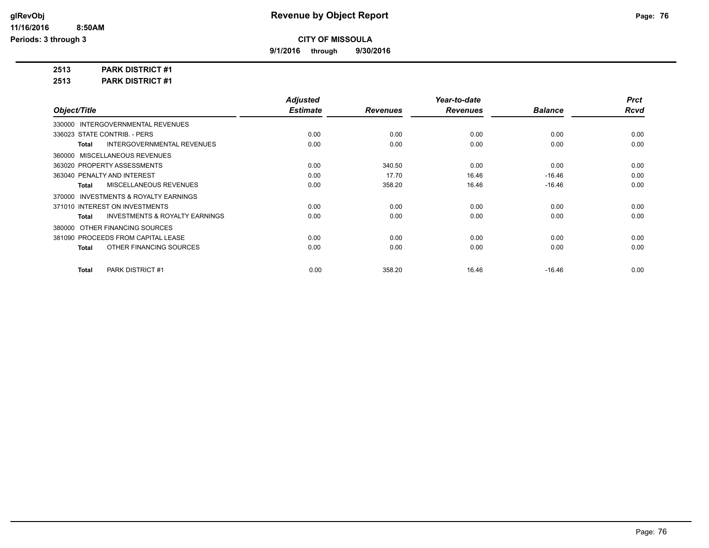**9/1/2016 through 9/30/2016**

**2513 PARK DISTRICT #1**

**2513 PARK DISTRICT #1**

|                                                     | <b>Adjusted</b> |                 | Year-to-date    |                | <b>Prct</b> |
|-----------------------------------------------------|-----------------|-----------------|-----------------|----------------|-------------|
| Object/Title                                        | <b>Estimate</b> | <b>Revenues</b> | <b>Revenues</b> | <b>Balance</b> | <b>Rcvd</b> |
| 330000 INTERGOVERNMENTAL REVENUES                   |                 |                 |                 |                |             |
| 336023 STATE CONTRIB. - PERS                        | 0.00            | 0.00            | 0.00            | 0.00           | 0.00        |
| <b>INTERGOVERNMENTAL REVENUES</b><br>Total          | 0.00            | 0.00            | 0.00            | 0.00           | 0.00        |
| 360000 MISCELLANEOUS REVENUES                       |                 |                 |                 |                |             |
| 363020 PROPERTY ASSESSMENTS                         | 0.00            | 340.50          | 0.00            | 0.00           | 0.00        |
| 363040 PENALTY AND INTEREST                         | 0.00            | 17.70           | 16.46           | $-16.46$       | 0.00        |
| <b>MISCELLANEOUS REVENUES</b><br>Total              | 0.00            | 358.20          | 16.46           | $-16.46$       | 0.00        |
| <b>INVESTMENTS &amp; ROYALTY EARNINGS</b><br>370000 |                 |                 |                 |                |             |
| 371010 INTEREST ON INVESTMENTS                      | 0.00            | 0.00            | 0.00            | 0.00           | 0.00        |
| <b>INVESTMENTS &amp; ROYALTY EARNINGS</b><br>Total  | 0.00            | 0.00            | 0.00            | 0.00           | 0.00        |
| 380000 OTHER FINANCING SOURCES                      |                 |                 |                 |                |             |
| 381090 PROCEEDS FROM CAPITAL LEASE                  | 0.00            | 0.00            | 0.00            | 0.00           | 0.00        |
| OTHER FINANCING SOURCES<br>Total                    | 0.00            | 0.00            | 0.00            | 0.00           | 0.00        |
|                                                     |                 |                 |                 |                |             |
| PARK DISTRICT #1<br><b>Total</b>                    | 0.00            | 358.20          | 16.46           | $-16.46$       | 0.00        |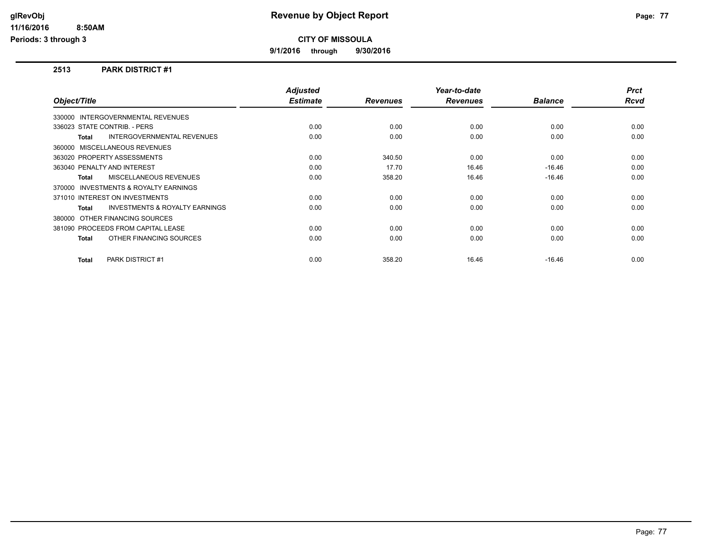**11/16/2016 8:50AM Periods: 3 through 3**

**CITY OF MISSOULA**

**9/1/2016 through 9/30/2016**

#### **2513 PARK DISTRICT #1**

|                                                           | <b>Adjusted</b><br><b>Estimate</b> |                 | Year-to-date<br><b>Revenues</b> | <b>Balance</b> | <b>Prct</b><br><b>Rcvd</b> |
|-----------------------------------------------------------|------------------------------------|-----------------|---------------------------------|----------------|----------------------------|
| Object/Title                                              |                                    | <b>Revenues</b> |                                 |                |                            |
| 330000 INTERGOVERNMENTAL REVENUES                         |                                    |                 |                                 |                |                            |
| 336023 STATE CONTRIB. - PERS                              | 0.00                               | 0.00            | 0.00                            | 0.00           | 0.00                       |
| <b>INTERGOVERNMENTAL REVENUES</b><br><b>Total</b>         | 0.00                               | 0.00            | 0.00                            | 0.00           | 0.00                       |
| 360000 MISCELLANEOUS REVENUES                             |                                    |                 |                                 |                |                            |
| 363020 PROPERTY ASSESSMENTS                               | 0.00                               | 340.50          | 0.00                            | 0.00           | 0.00                       |
| 363040 PENALTY AND INTEREST                               | 0.00                               | 17.70           | 16.46                           | $-16.46$       | 0.00                       |
| MISCELLANEOUS REVENUES<br><b>Total</b>                    | 0.00                               | 358.20          | 16.46                           | $-16.46$       | 0.00                       |
| 370000 INVESTMENTS & ROYALTY EARNINGS                     |                                    |                 |                                 |                |                            |
| 371010 INTEREST ON INVESTMENTS                            | 0.00                               | 0.00            | 0.00                            | 0.00           | 0.00                       |
| <b>INVESTMENTS &amp; ROYALTY EARNINGS</b><br><b>Total</b> | 0.00                               | 0.00            | 0.00                            | 0.00           | 0.00                       |
| 380000 OTHER FINANCING SOURCES                            |                                    |                 |                                 |                |                            |
| 381090 PROCEEDS FROM CAPITAL LEASE                        | 0.00                               | 0.00            | 0.00                            | 0.00           | 0.00                       |
| OTHER FINANCING SOURCES<br><b>Total</b>                   | 0.00                               | 0.00            | 0.00                            | 0.00           | 0.00                       |
|                                                           |                                    |                 |                                 |                |                            |
| <b>PARK DISTRICT #1</b><br><b>Total</b>                   | 0.00                               | 358.20          | 16.46                           | $-16.46$       | 0.00                       |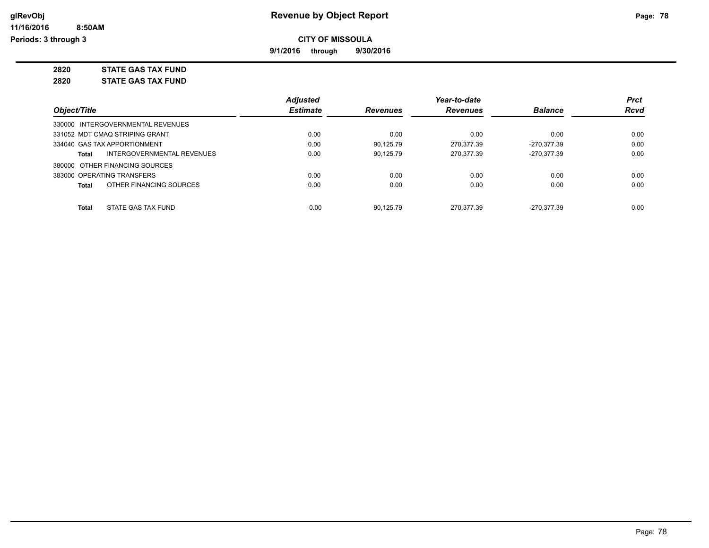**9/1/2016 through 9/30/2016**

**2820 STATE GAS TAX FUND**

**2820 STATE GAS TAX FUND**

|                                     | <b>Adjusted</b> |                 | Year-to-date    |                | <b>Prct</b> |
|-------------------------------------|-----------------|-----------------|-----------------|----------------|-------------|
| Object/Title                        | <b>Estimate</b> | <b>Revenues</b> | <b>Revenues</b> | <b>Balance</b> | Rcvd        |
| 330000 INTERGOVERNMENTAL REVENUES   |                 |                 |                 |                |             |
| 331052 MDT CMAQ STRIPING GRANT      | 0.00            | 0.00            | 0.00            | 0.00           | 0.00        |
| 334040 GAS TAX APPORTIONMENT        | 0.00            | 90.125.79       | 270.377.39      | -270.377.39    | 0.00        |
| INTERGOVERNMENTAL REVENUES<br>Total | 0.00            | 90.125.79       | 270,377.39      | $-270.377.39$  | 0.00        |
| 380000 OTHER FINANCING SOURCES      |                 |                 |                 |                |             |
| 383000 OPERATING TRANSFERS          | 0.00            | 0.00            | 0.00            | 0.00           | 0.00        |
| OTHER FINANCING SOURCES<br>Total    | 0.00            | 0.00            | 0.00            | 0.00           | 0.00        |
| <b>STATE GAS TAX FUND</b><br>Total  | 0.00            | 90.125.79       | 270.377.39      | $-270.377.39$  | 0.00        |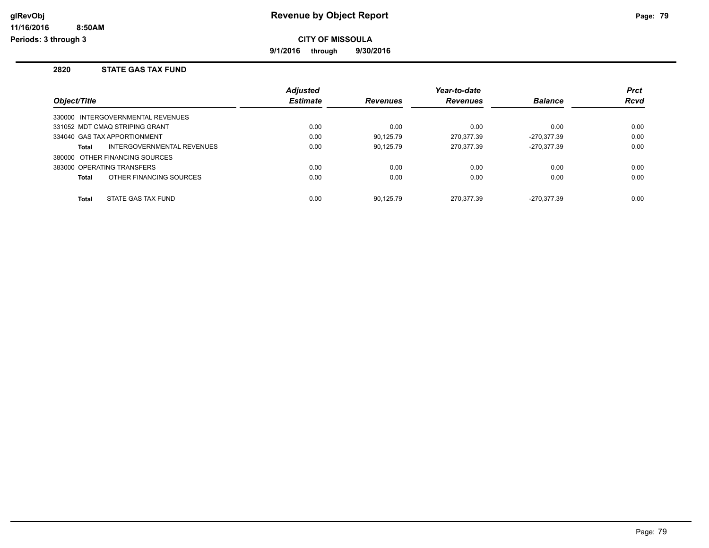**11/16/2016 8:50AM Periods: 3 through 3**

**CITY OF MISSOULA**

**9/1/2016 through 9/30/2016**

## **2820 STATE GAS TAX FUND**

|              |                                   | <b>Adjusted</b> |                 | Year-to-date    |                | <b>Prct</b> |
|--------------|-----------------------------------|-----------------|-----------------|-----------------|----------------|-------------|
| Object/Title |                                   | <b>Estimate</b> | <b>Revenues</b> | <b>Revenues</b> | <b>Balance</b> | <b>Rcvd</b> |
|              | 330000 INTERGOVERNMENTAL REVENUES |                 |                 |                 |                |             |
|              | 331052 MDT CMAQ STRIPING GRANT    | 0.00            | 0.00            | 0.00            | 0.00           | 0.00        |
|              | 334040 GAS TAX APPORTIONMENT      | 0.00            | 90.125.79       | 270.377.39      | -270.377.39    | 0.00        |
| Total        | INTERGOVERNMENTAL REVENUES        | 0.00            | 90.125.79       | 270.377.39      | -270.377.39    | 0.00        |
|              | 380000 OTHER FINANCING SOURCES    |                 |                 |                 |                |             |
|              | 383000 OPERATING TRANSFERS        | 0.00            | 0.00            | 0.00            | 0.00           | 0.00        |
| Total        | OTHER FINANCING SOURCES           | 0.00            | 0.00            | 0.00            | 0.00           | 0.00        |
| <b>Total</b> | STATE GAS TAX FUND                | 0.00            | 90.125.79       | 270.377.39      | -270.377.39    | 0.00        |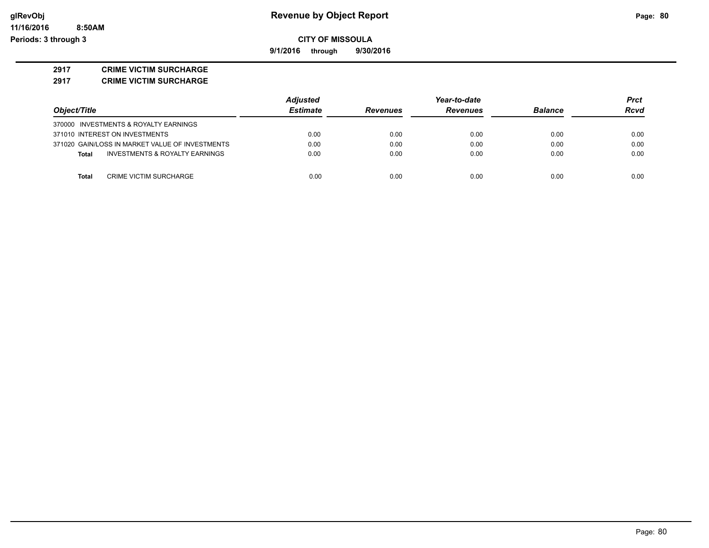**9/1/2016 through 9/30/2016**

## **2917 CRIME VICTIM SURCHARGE**

**2917 CRIME VICTIM SURCHARGE**

|                                                 | <b>Adjusted</b> |                 | Year-to-date    |                |      |
|-------------------------------------------------|-----------------|-----------------|-----------------|----------------|------|
| Object/Title                                    | <b>Estimate</b> | <b>Revenues</b> | <b>Revenues</b> | <b>Balance</b> | Rcvd |
| 370000 INVESTMENTS & ROYALTY EARNINGS           |                 |                 |                 |                |      |
| 371010 INTEREST ON INVESTMENTS                  | 0.00            | 0.00            | 0.00            | 0.00           | 0.00 |
| 371020 GAIN/LOSS IN MARKET VALUE OF INVESTMENTS | 0.00            | 0.00            | 0.00            | 0.00           | 0.00 |
| INVESTMENTS & ROYALTY EARNINGS<br><b>Total</b>  | 0.00            | 0.00            | 0.00            | 0.00           | 0.00 |
|                                                 |                 |                 |                 |                |      |
| Total<br>CRIME VICTIM SURCHARGE                 | 0.00            | 0.00            | 0.00            | 0.00           | 0.00 |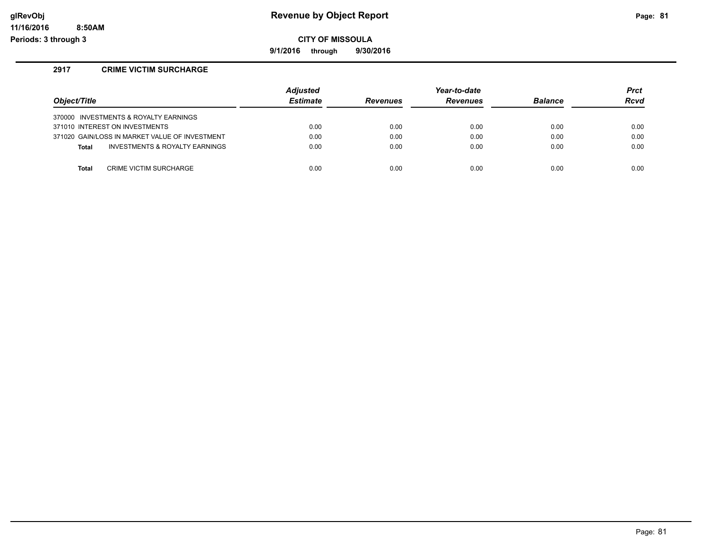**CITY OF MISSOULA**

**9/1/2016 through 9/30/2016**

#### **2917 CRIME VICTIM SURCHARGE**

 **8:50AM**

| Object/Title                                              | <b>Adjusted</b><br><b>Estimate</b> | <b>Revenues</b> | Year-to-date<br><b>Revenues</b> | <b>Balance</b> | <b>Prct</b><br><b>Rcvd</b> |
|-----------------------------------------------------------|------------------------------------|-----------------|---------------------------------|----------------|----------------------------|
| 370000 INVESTMENTS & ROYALTY EARNINGS                     |                                    |                 |                                 |                |                            |
| 371010 INTEREST ON INVESTMENTS                            | 0.00                               | 0.00            | 0.00                            | 0.00           | 0.00                       |
| 371020 GAIN/LOSS IN MARKET VALUE OF INVESTMENT            | 0.00                               | 0.00            | 0.00                            | 0.00           | 0.00                       |
| <b>INVESTMENTS &amp; ROYALTY EARNINGS</b><br><b>Total</b> | 0.00                               | 0.00            | 0.00                            | 0.00           | 0.00                       |
|                                                           |                                    |                 |                                 |                |                            |
| CRIME VICTIM SURCHARGE<br>Total                           | 0.00                               | 0.00            | 0.00                            | 0.00           | 0.00                       |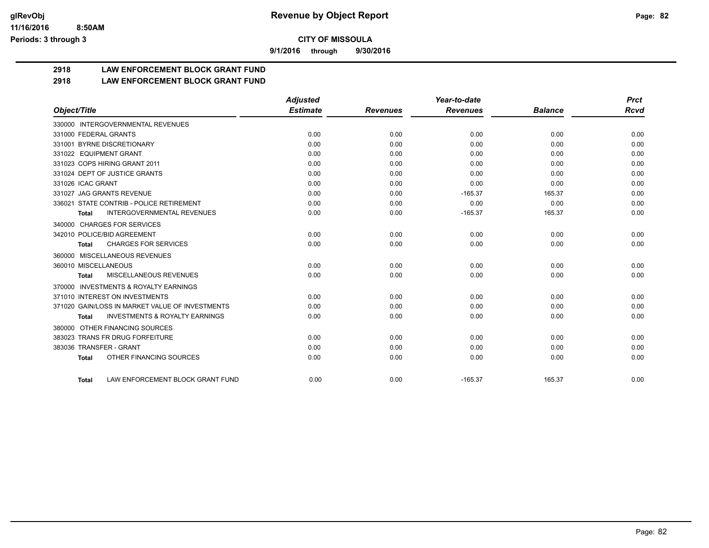**CITY OF MISSOULA**

**9/1/2016 through 9/30/2016**

# **2918 LAW ENFORCEMENT BLOCK GRANT FUND**

## **2918 LAW ENFORCEMENT BLOCK GRANT FUND**

|                                                     | <b>Adjusted</b> |                 | Year-to-date    |                | <b>Prct</b> |
|-----------------------------------------------------|-----------------|-----------------|-----------------|----------------|-------------|
| Object/Title                                        | <b>Estimate</b> | <b>Revenues</b> | <b>Revenues</b> | <b>Balance</b> | <b>Rcvd</b> |
| 330000 INTERGOVERNMENTAL REVENUES                   |                 |                 |                 |                |             |
| 331000 FEDERAL GRANTS                               | 0.00            | 0.00            | 0.00            | 0.00           | 0.00        |
| 331001 BYRNE DISCRETIONARY                          | 0.00            | 0.00            | 0.00            | 0.00           | 0.00        |
| 331022 EQUIPMENT GRANT                              | 0.00            | 0.00            | 0.00            | 0.00           | 0.00        |
| 331023 COPS HIRING GRANT 2011                       | 0.00            | 0.00            | 0.00            | 0.00           | 0.00        |
| 331024 DEPT OF JUSTICE GRANTS                       | 0.00            | 0.00            | 0.00            | 0.00           | 0.00        |
| 331026 ICAC GRANT                                   | 0.00            | 0.00            | 0.00            | 0.00           | 0.00        |
| 331027 JAG GRANTS REVENUE                           | 0.00            | 0.00            | $-165.37$       | 165.37         | 0.00        |
| 336021 STATE CONTRIB - POLICE RETIREMENT            | 0.00            | 0.00            | 0.00            | 0.00           | 0.00        |
| <b>INTERGOVERNMENTAL REVENUES</b><br><b>Total</b>   | 0.00            | 0.00            | $-165.37$       | 165.37         | 0.00        |
| 340000 CHARGES FOR SERVICES                         |                 |                 |                 |                |             |
| 342010 POLICE/BID AGREEMENT                         | 0.00            | 0.00            | 0.00            | 0.00           | 0.00        |
| <b>CHARGES FOR SERVICES</b><br>Total                | 0.00            | 0.00            | 0.00            | 0.00           | 0.00        |
| 360000 MISCELLANEOUS REVENUES                       |                 |                 |                 |                |             |
| 360010 MISCELLANEOUS                                | 0.00            | 0.00            | 0.00            | 0.00           | 0.00        |
| MISCELLANEOUS REVENUES<br>Total                     | 0.00            | 0.00            | 0.00            | 0.00           | 0.00        |
| <b>INVESTMENTS &amp; ROYALTY EARNINGS</b><br>370000 |                 |                 |                 |                |             |
| 371010 INTEREST ON INVESTMENTS                      | 0.00            | 0.00            | 0.00            | 0.00           | 0.00        |
| 371020 GAIN/LOSS IN MARKET VALUE OF INVESTMENTS     | 0.00            | 0.00            | 0.00            | 0.00           | 0.00        |
| <b>INVESTMENTS &amp; ROYALTY EARNINGS</b><br>Total  | 0.00            | 0.00            | 0.00            | 0.00           | 0.00        |
| OTHER FINANCING SOURCES<br>380000                   |                 |                 |                 |                |             |
| 383023 TRANS FR DRUG FORFEITURE                     | 0.00            | 0.00            | 0.00            | 0.00           | 0.00        |
| 383036 TRANSFER - GRANT                             | 0.00            | 0.00            | 0.00            | 0.00           | 0.00        |
| OTHER FINANCING SOURCES<br><b>Total</b>             | 0.00            | 0.00            | 0.00            | 0.00           | 0.00        |
|                                                     |                 |                 |                 |                |             |
| LAW ENFORCEMENT BLOCK GRANT FUND<br><b>Total</b>    | 0.00            | 0.00            | $-165.37$       | 165.37         | 0.00        |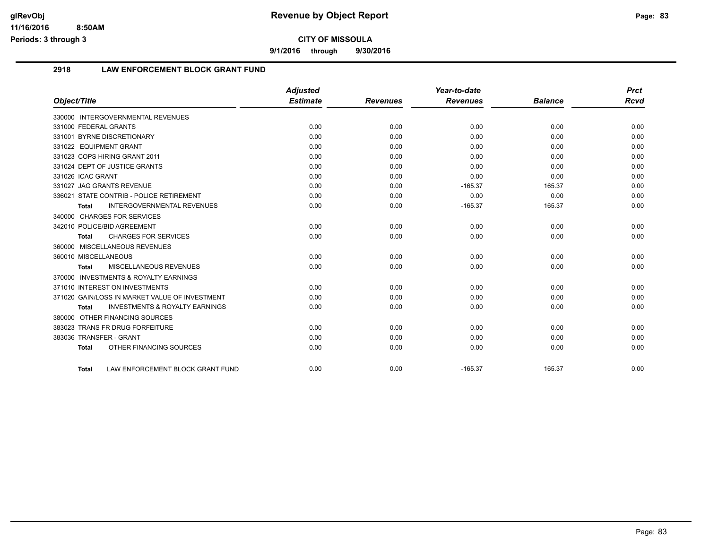**9/1/2016 through 9/30/2016**

## **2918 LAW ENFORCEMENT BLOCK GRANT FUND**

|                                                           | <b>Adjusted</b> |                 | Year-to-date    |                | <b>Prct</b> |
|-----------------------------------------------------------|-----------------|-----------------|-----------------|----------------|-------------|
| Object/Title                                              | <b>Estimate</b> | <b>Revenues</b> | <b>Revenues</b> | <b>Balance</b> | <b>Rcvd</b> |
| 330000 INTERGOVERNMENTAL REVENUES                         |                 |                 |                 |                |             |
| 331000 FEDERAL GRANTS                                     | 0.00            | 0.00            | 0.00            | 0.00           | 0.00        |
| 331001 BYRNE DISCRETIONARY                                | 0.00            | 0.00            | 0.00            | 0.00           | 0.00        |
| 331022 EQUIPMENT GRANT                                    | 0.00            | 0.00            | 0.00            | 0.00           | 0.00        |
| 331023 COPS HIRING GRANT 2011                             | 0.00            | 0.00            | 0.00            | 0.00           | 0.00        |
| 331024 DEPT OF JUSTICE GRANTS                             | 0.00            | 0.00            | 0.00            | 0.00           | 0.00        |
| 331026 ICAC GRANT                                         | 0.00            | 0.00            | 0.00            | 0.00           | 0.00        |
| 331027 JAG GRANTS REVENUE                                 | 0.00            | 0.00            | $-165.37$       | 165.37         | 0.00        |
| 336021 STATE CONTRIB - POLICE RETIREMENT                  | 0.00            | 0.00            | 0.00            | 0.00           | 0.00        |
| <b>INTERGOVERNMENTAL REVENUES</b><br>Total                | 0.00            | 0.00            | $-165.37$       | 165.37         | 0.00        |
| 340000 CHARGES FOR SERVICES                               |                 |                 |                 |                |             |
| 342010 POLICE/BID AGREEMENT                               | 0.00            | 0.00            | 0.00            | 0.00           | 0.00        |
| <b>CHARGES FOR SERVICES</b><br><b>Total</b>               | 0.00            | 0.00            | 0.00            | 0.00           | 0.00        |
| 360000 MISCELLANEOUS REVENUES                             |                 |                 |                 |                |             |
| 360010 MISCELLANEOUS                                      | 0.00            | 0.00            | 0.00            | 0.00           | 0.00        |
| MISCELLANEOUS REVENUES<br><b>Total</b>                    | 0.00            | 0.00            | 0.00            | 0.00           | 0.00        |
| 370000 INVESTMENTS & ROYALTY EARNINGS                     |                 |                 |                 |                |             |
| 371010 INTEREST ON INVESTMENTS                            | 0.00            | 0.00            | 0.00            | 0.00           | 0.00        |
| 371020 GAIN/LOSS IN MARKET VALUE OF INVESTMENT            | 0.00            | 0.00            | 0.00            | 0.00           | 0.00        |
| <b>INVESTMENTS &amp; ROYALTY EARNINGS</b><br><b>Total</b> | 0.00            | 0.00            | 0.00            | 0.00           | 0.00        |
| 380000 OTHER FINANCING SOURCES                            |                 |                 |                 |                |             |
| 383023 TRANS FR DRUG FORFEITURE                           | 0.00            | 0.00            | 0.00            | 0.00           | 0.00        |
| 383036 TRANSFER - GRANT                                   | 0.00            | 0.00            | 0.00            | 0.00           | 0.00        |
| OTHER FINANCING SOURCES<br><b>Total</b>                   | 0.00            | 0.00            | 0.00            | 0.00           | 0.00        |
| LAW ENFORCEMENT BLOCK GRANT FUND<br>Total                 | 0.00            | 0.00            | $-165.37$       | 165.37         | 0.00        |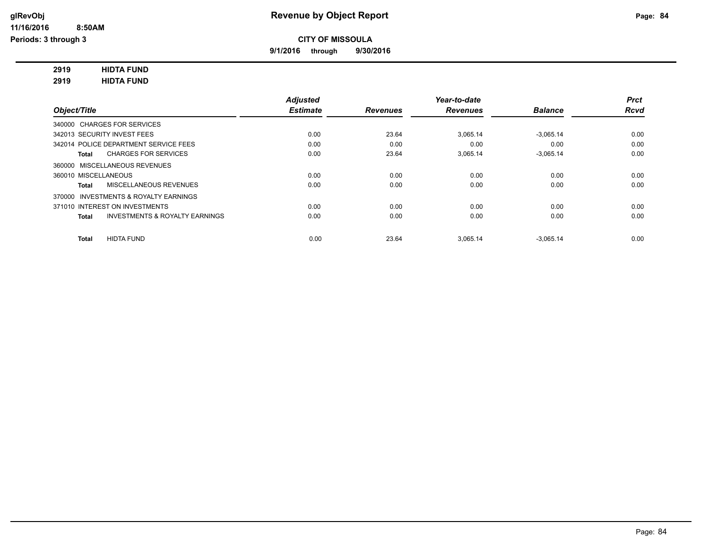**9/1/2016 through 9/30/2016**

## **2919 HIDTA FUND**

**2919 HIDTA FUND**

|                                                           | <b>Adjusted</b> |                 | Year-to-date    |                | <b>Prct</b> |
|-----------------------------------------------------------|-----------------|-----------------|-----------------|----------------|-------------|
| Object/Title                                              | <b>Estimate</b> | <b>Revenues</b> | <b>Revenues</b> | <b>Balance</b> | <b>Rcvd</b> |
| 340000 CHARGES FOR SERVICES                               |                 |                 |                 |                |             |
| 342013 SECURITY INVEST FEES                               | 0.00            | 23.64           | 3.065.14        | $-3.065.14$    | 0.00        |
| 342014 POLICE DEPARTMENT SERVICE FEES                     | 0.00            | 0.00            | 0.00            | 0.00           | 0.00        |
| <b>CHARGES FOR SERVICES</b><br>Total                      | 0.00            | 23.64           | 3,065.14        | $-3,065.14$    | 0.00        |
| 360000 MISCELLANEOUS REVENUES                             |                 |                 |                 |                |             |
| 360010 MISCELLANEOUS                                      | 0.00            | 0.00            | 0.00            | 0.00           | 0.00        |
| MISCELLANEOUS REVENUES<br><b>Total</b>                    | 0.00            | 0.00            | 0.00            | 0.00           | 0.00        |
| 370000 INVESTMENTS & ROYALTY EARNINGS                     |                 |                 |                 |                |             |
| 371010 INTEREST ON INVESTMENTS                            | 0.00            | 0.00            | 0.00            | 0.00           | 0.00        |
| <b>INVESTMENTS &amp; ROYALTY EARNINGS</b><br><b>Total</b> | 0.00            | 0.00            | 0.00            | 0.00           | 0.00        |
| <b>HIDTA FUND</b><br><b>Total</b>                         | 0.00            | 23.64           | 3.065.14        | $-3.065.14$    | 0.00        |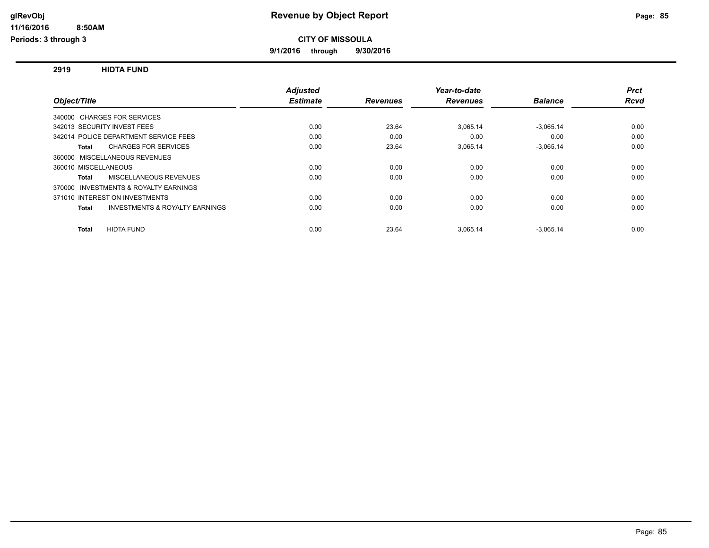**11/16/2016 8:50AM**

**Periods: 3 through 3**

**CITY OF MISSOULA**

**9/1/2016 through 9/30/2016**

**2919 HIDTA FUND**

|                                                | <b>Adjusted</b> |                 | Year-to-date    |                | <b>Prct</b> |
|------------------------------------------------|-----------------|-----------------|-----------------|----------------|-------------|
| Object/Title                                   | <b>Estimate</b> | <b>Revenues</b> | <b>Revenues</b> | <b>Balance</b> | <b>Rcvd</b> |
| 340000 CHARGES FOR SERVICES                    |                 |                 |                 |                |             |
| 342013 SECURITY INVEST FEES                    | 0.00            | 23.64           | 3,065.14        | $-3,065.14$    | 0.00        |
| 342014 POLICE DEPARTMENT SERVICE FEES          | 0.00            | 0.00            | 0.00            | 0.00           | 0.00        |
| <b>CHARGES FOR SERVICES</b><br>Total           | 0.00            | 23.64           | 3,065.14        | $-3,065.14$    | 0.00        |
| 360000 MISCELLANEOUS REVENUES                  |                 |                 |                 |                |             |
| 360010 MISCELLANEOUS                           | 0.00            | 0.00            | 0.00            | 0.00           | 0.00        |
| MISCELLANEOUS REVENUES<br><b>Total</b>         | 0.00            | 0.00            | 0.00            | 0.00           | 0.00        |
| 370000 INVESTMENTS & ROYALTY EARNINGS          |                 |                 |                 |                |             |
| 371010 INTEREST ON INVESTMENTS                 | 0.00            | 0.00            | 0.00            | 0.00           | 0.00        |
| INVESTMENTS & ROYALTY EARNINGS<br><b>Total</b> | 0.00            | 0.00            | 0.00            | 0.00           | 0.00        |
| <b>HIDTA FUND</b><br><b>Total</b>              | 0.00            | 23.64           | 3.065.14        | $-3.065.14$    | 0.00        |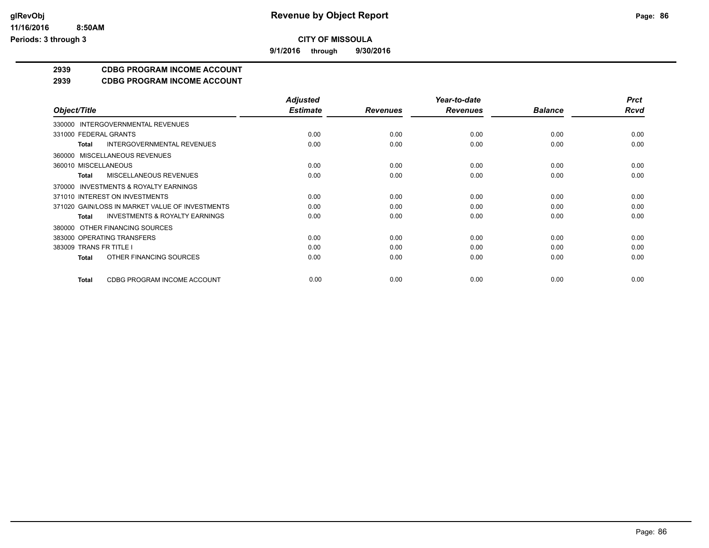**11/16/2016 8:50AM Periods: 3 through 3**

**CITY OF MISSOULA**

**9/1/2016 through 9/30/2016**

## **2939 CDBG PROGRAM INCOME ACCOUNT**

## **2939 CDBG PROGRAM INCOME ACCOUNT**

|                                                    | <b>Adjusted</b> |                 | Year-to-date    |                | <b>Prct</b> |
|----------------------------------------------------|-----------------|-----------------|-----------------|----------------|-------------|
| Object/Title                                       | <b>Estimate</b> | <b>Revenues</b> | <b>Revenues</b> | <b>Balance</b> | Rcvd        |
| 330000 INTERGOVERNMENTAL REVENUES                  |                 |                 |                 |                |             |
| 331000 FEDERAL GRANTS                              | 0.00            | 0.00            | 0.00            | 0.00           | 0.00        |
| INTERGOVERNMENTAL REVENUES<br>Total                | 0.00            | 0.00            | 0.00            | 0.00           | 0.00        |
| 360000 MISCELLANEOUS REVENUES                      |                 |                 |                 |                |             |
| 360010 MISCELLANEOUS                               | 0.00            | 0.00            | 0.00            | 0.00           | 0.00        |
| MISCELLANEOUS REVENUES<br>Total                    | 0.00            | 0.00            | 0.00            | 0.00           | 0.00        |
| 370000 INVESTMENTS & ROYALTY EARNINGS              |                 |                 |                 |                |             |
| 371010 INTEREST ON INVESTMENTS                     | 0.00            | 0.00            | 0.00            | 0.00           | 0.00        |
| 371020 GAIN/LOSS IN MARKET VALUE OF INVESTMENTS    | 0.00            | 0.00            | 0.00            | 0.00           | 0.00        |
| <b>INVESTMENTS &amp; ROYALTY EARNINGS</b><br>Total | 0.00            | 0.00            | 0.00            | 0.00           | 0.00        |
| 380000 OTHER FINANCING SOURCES                     |                 |                 |                 |                |             |
| 383000 OPERATING TRANSFERS                         | 0.00            | 0.00            | 0.00            | 0.00           | 0.00        |
| 383009 TRANS FR TITLE I                            | 0.00            | 0.00            | 0.00            | 0.00           | 0.00        |
| OTHER FINANCING SOURCES<br>Total                   | 0.00            | 0.00            | 0.00            | 0.00           | 0.00        |
|                                                    |                 |                 |                 |                |             |
| CDBG PROGRAM INCOME ACCOUNT<br>Total               | 0.00            | 0.00            | 0.00            | 0.00           | 0.00        |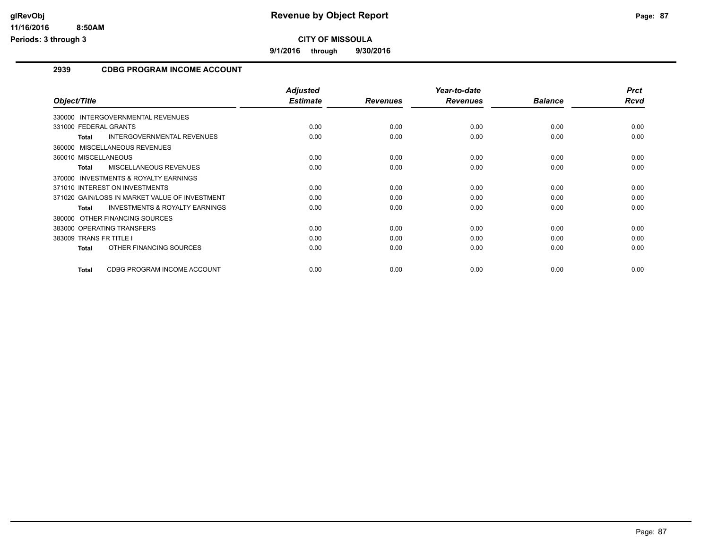**8:50AM**

**CITY OF MISSOULA**

**9/1/2016 through 9/30/2016**

## **2939 CDBG PROGRAM INCOME ACCOUNT**

| Object/Title                                              | <b>Adjusted</b><br><b>Estimate</b> | <b>Revenues</b> | Year-to-date<br><b>Revenues</b> | <b>Balance</b> | <b>Prct</b><br><b>Rcvd</b> |
|-----------------------------------------------------------|------------------------------------|-----------------|---------------------------------|----------------|----------------------------|
|                                                           |                                    |                 |                                 |                |                            |
| 330000 INTERGOVERNMENTAL REVENUES                         |                                    |                 |                                 |                |                            |
| 331000 FEDERAL GRANTS                                     | 0.00                               | 0.00            | 0.00                            | 0.00           | 0.00                       |
| INTERGOVERNMENTAL REVENUES<br><b>Total</b>                | 0.00                               | 0.00            | 0.00                            | 0.00           | 0.00                       |
| 360000 MISCELLANEOUS REVENUES                             |                                    |                 |                                 |                |                            |
| 360010 MISCELLANEOUS                                      | 0.00                               | 0.00            | 0.00                            | 0.00           | 0.00                       |
| MISCELLANEOUS REVENUES<br><b>Total</b>                    | 0.00                               | 0.00            | 0.00                            | 0.00           | 0.00                       |
| 370000 INVESTMENTS & ROYALTY EARNINGS                     |                                    |                 |                                 |                |                            |
| 371010 INTEREST ON INVESTMENTS                            | 0.00                               | 0.00            | 0.00                            | 0.00           | 0.00                       |
| 371020 GAIN/LOSS IN MARKET VALUE OF INVESTMENT            | 0.00                               | 0.00            | 0.00                            | 0.00           | 0.00                       |
| <b>INVESTMENTS &amp; ROYALTY EARNINGS</b><br><b>Total</b> | 0.00                               | 0.00            | 0.00                            | 0.00           | 0.00                       |
| 380000 OTHER FINANCING SOURCES                            |                                    |                 |                                 |                |                            |
| 383000 OPERATING TRANSFERS                                | 0.00                               | 0.00            | 0.00                            | 0.00           | 0.00                       |
| 383009 TRANS FR TITLE I                                   | 0.00                               | 0.00            | 0.00                            | 0.00           | 0.00                       |
| OTHER FINANCING SOURCES<br><b>Total</b>                   | 0.00                               | 0.00            | 0.00                            | 0.00           | 0.00                       |
| CDBG PROGRAM INCOME ACCOUNT<br><b>Total</b>               | 0.00                               | 0.00            | 0.00                            | 0.00           | 0.00                       |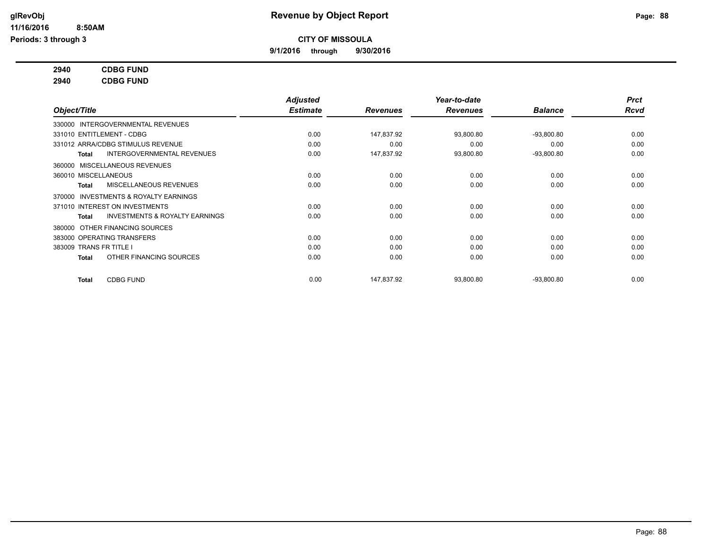**9/1/2016 through 9/30/2016**

## **2940 CDBG FUND**

**2940 CDBG FUND**

|                                                     | <b>Adjusted</b> |                 | Year-to-date    |                | <b>Prct</b> |
|-----------------------------------------------------|-----------------|-----------------|-----------------|----------------|-------------|
| Object/Title                                        | <b>Estimate</b> | <b>Revenues</b> | <b>Revenues</b> | <b>Balance</b> | Rcvd        |
| 330000 INTERGOVERNMENTAL REVENUES                   |                 |                 |                 |                |             |
| 331010 ENTITLEMENT - CDBG                           | 0.00            | 147,837.92      | 93,800.80       | $-93,800.80$   | 0.00        |
| 331012 ARRA/CDBG STIMULUS REVENUE                   | 0.00            | 0.00            | 0.00            | 0.00           | 0.00        |
| <b>INTERGOVERNMENTAL REVENUES</b><br>Total          | 0.00            | 147,837.92      | 93,800.80       | $-93,800.80$   | 0.00        |
| 360000 MISCELLANEOUS REVENUES                       |                 |                 |                 |                |             |
| 360010 MISCELLANEOUS                                | 0.00            | 0.00            | 0.00            | 0.00           | 0.00        |
| MISCELLANEOUS REVENUES<br>Total                     | 0.00            | 0.00            | 0.00            | 0.00           | 0.00        |
| <b>INVESTMENTS &amp; ROYALTY EARNINGS</b><br>370000 |                 |                 |                 |                |             |
| 371010 INTEREST ON INVESTMENTS                      | 0.00            | 0.00            | 0.00            | 0.00           | 0.00        |
| <b>INVESTMENTS &amp; ROYALTY EARNINGS</b><br>Total  | 0.00            | 0.00            | 0.00            | 0.00           | 0.00        |
| OTHER FINANCING SOURCES<br>380000                   |                 |                 |                 |                |             |
| 383000 OPERATING TRANSFERS                          | 0.00            | 0.00            | 0.00            | 0.00           | 0.00        |
| 383009 TRANS FR TITLE I                             | 0.00            | 0.00            | 0.00            | 0.00           | 0.00        |
| OTHER FINANCING SOURCES<br>Total                    | 0.00            | 0.00            | 0.00            | 0.00           | 0.00        |
| <b>CDBG FUND</b><br>Total                           | 0.00            | 147,837.92      | 93,800.80       | $-93,800.80$   | 0.00        |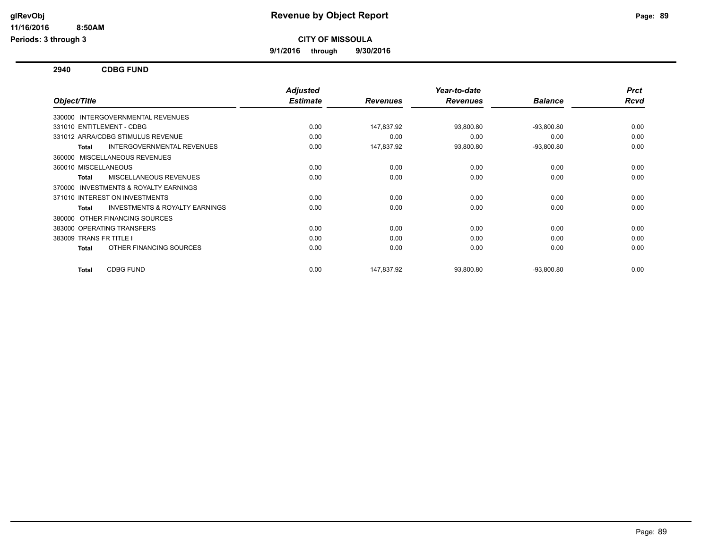**11/16/2016 8:50AM Periods: 3 through 3**

**CITY OF MISSOULA**

**9/1/2016 through 9/30/2016**

**2940 CDBG FUND**

|                                                    | <b>Adjusted</b> |                 | Year-to-date    |                | <b>Prct</b> |
|----------------------------------------------------|-----------------|-----------------|-----------------|----------------|-------------|
| Object/Title                                       | <b>Estimate</b> | <b>Revenues</b> | <b>Revenues</b> | <b>Balance</b> | Rcvd        |
| 330000 INTERGOVERNMENTAL REVENUES                  |                 |                 |                 |                |             |
| 331010 ENTITLEMENT - CDBG                          | 0.00            | 147,837.92      | 93,800.80       | $-93,800.80$   | 0.00        |
| 331012 ARRA/CDBG STIMULUS REVENUE                  | 0.00            | 0.00            | 0.00            | 0.00           | 0.00        |
| <b>INTERGOVERNMENTAL REVENUES</b><br><b>Total</b>  | 0.00            | 147,837.92      | 93,800.80       | $-93,800.80$   | 0.00        |
| MISCELLANEOUS REVENUES<br>360000                   |                 |                 |                 |                |             |
| 360010 MISCELLANEOUS                               | 0.00            | 0.00            | 0.00            | 0.00           | 0.00        |
| MISCELLANEOUS REVENUES<br><b>Total</b>             | 0.00            | 0.00            | 0.00            | 0.00           | 0.00        |
| INVESTMENTS & ROYALTY EARNINGS<br>370000           |                 |                 |                 |                |             |
| 371010 INTEREST ON INVESTMENTS                     | 0.00            | 0.00            | 0.00            | 0.00           | 0.00        |
| <b>INVESTMENTS &amp; ROYALTY EARNINGS</b><br>Total | 0.00            | 0.00            | 0.00            | 0.00           | 0.00        |
| OTHER FINANCING SOURCES<br>380000                  |                 |                 |                 |                |             |
| 383000 OPERATING TRANSFERS                         | 0.00            | 0.00            | 0.00            | 0.00           | 0.00        |
| 383009 TRANS FR TITLE I                            | 0.00            | 0.00            | 0.00            | 0.00           | 0.00        |
| OTHER FINANCING SOURCES<br><b>Total</b>            | 0.00            | 0.00            | 0.00            | 0.00           | 0.00        |
| <b>CDBG FUND</b><br>Total                          | 0.00            | 147,837.92      | 93,800.80       | $-93,800.80$   | 0.00        |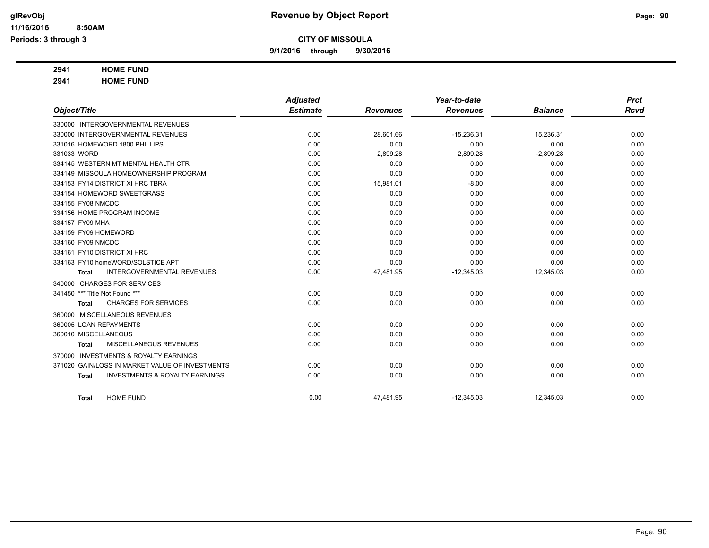**9/1/2016 through 9/30/2016**

## **2941 HOME FUND**

**2941 HOME FUND**

|                                                           | <b>Adjusted</b> |                 | Year-to-date    |                | <b>Prct</b> |
|-----------------------------------------------------------|-----------------|-----------------|-----------------|----------------|-------------|
| Object/Title                                              | <b>Estimate</b> | <b>Revenues</b> | <b>Revenues</b> | <b>Balance</b> | <b>Rcvd</b> |
| 330000 INTERGOVERNMENTAL REVENUES                         |                 |                 |                 |                |             |
| 330000 INTERGOVERNMENTAL REVENUES                         | 0.00            | 28,601.66       | $-15,236.31$    | 15,236.31      | 0.00        |
| 331016 HOMEWORD 1800 PHILLIPS                             | 0.00            | 0.00            | 0.00            | 0.00           | 0.00        |
| 331033 WORD                                               | 0.00            | 2,899.28        | 2,899.28        | $-2,899.28$    | 0.00        |
| 334145 WESTERN MT MENTAL HEALTH CTR                       | 0.00            | 0.00            | 0.00            | 0.00           | 0.00        |
| 334149 MISSOULA HOMEOWNERSHIP PROGRAM                     | 0.00            | 0.00            | 0.00            | 0.00           | 0.00        |
| 334153 FY14 DISTRICT XI HRC TBRA                          | 0.00            | 15,981.01       | $-8.00$         | 8.00           | 0.00        |
| 334154 HOMEWORD SWEETGRASS                                | 0.00            | 0.00            | 0.00            | 0.00           | 0.00        |
| 334155 FY08 NMCDC                                         | 0.00            | 0.00            | 0.00            | 0.00           | 0.00        |
| 334156 HOME PROGRAM INCOME                                | 0.00            | 0.00            | 0.00            | 0.00           | 0.00        |
| 334157 FY09 MHA                                           | 0.00            | 0.00            | 0.00            | 0.00           | 0.00        |
| 334159 FY09 HOMEWORD                                      | 0.00            | 0.00            | 0.00            | 0.00           | 0.00        |
| 334160 FY09 NMCDC                                         | 0.00            | 0.00            | 0.00            | 0.00           | 0.00        |
| 334161 FY10 DISTRICT XI HRC                               | 0.00            | 0.00            | 0.00            | 0.00           | 0.00        |
| 334163 FY10 homeWORD/SOLSTICE APT                         | 0.00            | 0.00            | 0.00            | 0.00           | 0.00        |
| <b>INTERGOVERNMENTAL REVENUES</b><br><b>Total</b>         | 0.00            | 47,481.95       | $-12,345.03$    | 12,345.03      | 0.00        |
| 340000 CHARGES FOR SERVICES                               |                 |                 |                 |                |             |
| 341450 *** Title Not Found ***                            | 0.00            | 0.00            | 0.00            | 0.00           | 0.00        |
| <b>CHARGES FOR SERVICES</b><br>Total                      | 0.00            | 0.00            | 0.00            | 0.00           | 0.00        |
| 360000 MISCELLANEOUS REVENUES                             |                 |                 |                 |                |             |
| 360005 LOAN REPAYMENTS                                    | 0.00            | 0.00            | 0.00            | 0.00           | 0.00        |
| 360010 MISCELLANEOUS                                      | 0.00            | 0.00            | 0.00            | 0.00           | 0.00        |
| MISCELLANEOUS REVENUES<br>Total                           | 0.00            | 0.00            | 0.00            | 0.00           | 0.00        |
| 370000 INVESTMENTS & ROYALTY EARNINGS                     |                 |                 |                 |                |             |
| 371020 GAIN/LOSS IN MARKET VALUE OF INVESTMENTS           | 0.00            | 0.00            | 0.00            | 0.00           | 0.00        |
| <b>INVESTMENTS &amp; ROYALTY EARNINGS</b><br><b>Total</b> | 0.00            | 0.00            | 0.00            | 0.00           | 0.00        |
| <b>HOME FUND</b><br>Total                                 | 0.00            | 47,481.95       | $-12,345.03$    | 12,345.03      | 0.00        |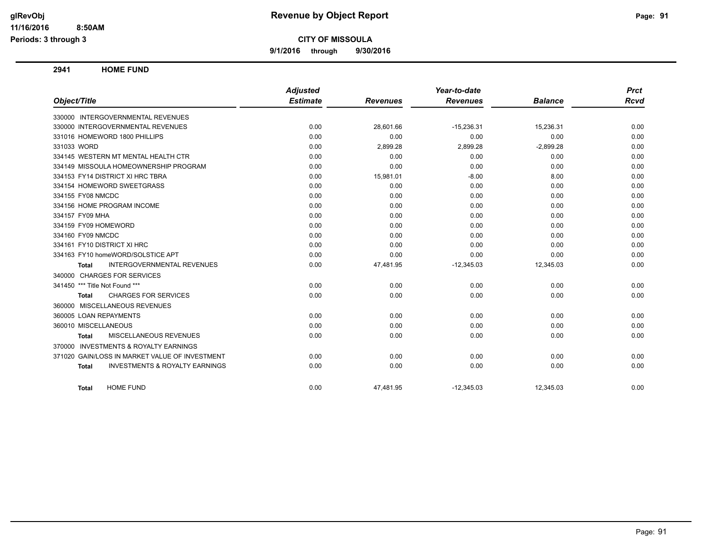**11/16/2016 8:50AM Periods: 3 through 3**

**CITY OF MISSOULA**

**9/1/2016 through 9/30/2016**

**2941 HOME FUND**

|                                                           | <b>Adjusted</b> |                 | Year-to-date    |                | <b>Prct</b> |
|-----------------------------------------------------------|-----------------|-----------------|-----------------|----------------|-------------|
| Object/Title                                              | <b>Estimate</b> | <b>Revenues</b> | <b>Revenues</b> | <b>Balance</b> | <b>Rcvd</b> |
| 330000 INTERGOVERNMENTAL REVENUES                         |                 |                 |                 |                |             |
| 330000 INTERGOVERNMENTAL REVENUES                         | 0.00            | 28,601.66       | $-15,236.31$    | 15,236.31      | 0.00        |
| 331016 HOMEWORD 1800 PHILLIPS                             | 0.00            | 0.00            | 0.00            | 0.00           | 0.00        |
| 331033 WORD                                               | 0.00            | 2,899.28        | 2,899.28        | $-2,899.28$    | 0.00        |
| 334145 WESTERN MT MENTAL HEALTH CTR                       | 0.00            | 0.00            | 0.00            | 0.00           | 0.00        |
| 334149 MISSOULA HOMEOWNERSHIP PROGRAM                     | 0.00            | 0.00            | 0.00            | 0.00           | 0.00        |
| 334153 FY14 DISTRICT XI HRC TBRA                          | 0.00            | 15,981.01       | $-8.00$         | 8.00           | 0.00        |
| 334154 HOMEWORD SWEETGRASS                                | 0.00            | 0.00            | 0.00            | 0.00           | 0.00        |
| 334155 FY08 NMCDC                                         | 0.00            | 0.00            | 0.00            | 0.00           | 0.00        |
| 334156 HOME PROGRAM INCOME                                | 0.00            | 0.00            | 0.00            | 0.00           | 0.00        |
| 334157 FY09 MHA                                           | 0.00            | 0.00            | 0.00            | 0.00           | 0.00        |
| 334159 FY09 HOMEWORD                                      | 0.00            | 0.00            | 0.00            | 0.00           | 0.00        |
| 334160 FY09 NMCDC                                         | 0.00            | 0.00            | 0.00            | 0.00           | 0.00        |
| 334161 FY10 DISTRICT XI HRC                               | 0.00            | 0.00            | 0.00            | 0.00           | 0.00        |
| 334163 FY10 homeWORD/SOLSTICE APT                         | 0.00            | 0.00            | 0.00            | 0.00           | 0.00        |
| <b>INTERGOVERNMENTAL REVENUES</b><br><b>Total</b>         | 0.00            | 47,481.95       | $-12,345.03$    | 12,345.03      | 0.00        |
| 340000 CHARGES FOR SERVICES                               |                 |                 |                 |                |             |
| 341450 *** Title Not Found ***                            | 0.00            | 0.00            | 0.00            | 0.00           | 0.00        |
| <b>CHARGES FOR SERVICES</b><br><b>Total</b>               | 0.00            | 0.00            | 0.00            | 0.00           | 0.00        |
| 360000 MISCELLANEOUS REVENUES                             |                 |                 |                 |                |             |
| 360005 LOAN REPAYMENTS                                    | 0.00            | 0.00            | 0.00            | 0.00           | 0.00        |
| 360010 MISCELLANEOUS                                      | 0.00            | 0.00            | 0.00            | 0.00           | 0.00        |
| MISCELLANEOUS REVENUES<br><b>Total</b>                    | 0.00            | 0.00            | 0.00            | 0.00           | 0.00        |
| 370000 INVESTMENTS & ROYALTY EARNINGS                     |                 |                 |                 |                |             |
| 371020 GAIN/LOSS IN MARKET VALUE OF INVESTMENT            | 0.00            | 0.00            | 0.00            | 0.00           | 0.00        |
| <b>INVESTMENTS &amp; ROYALTY EARNINGS</b><br><b>Total</b> | 0.00            | 0.00            | 0.00            | 0.00           | 0.00        |
| <b>HOME FUND</b><br>Total                                 | 0.00            | 47,481.95       | $-12,345.03$    | 12,345.03      | 0.00        |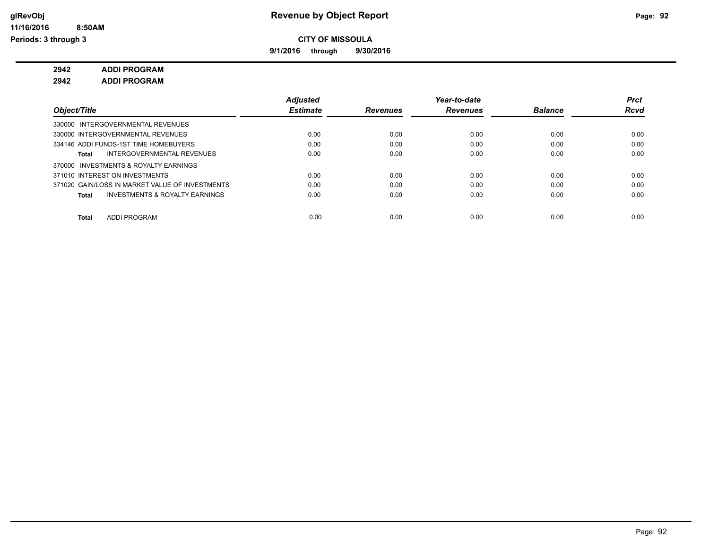**9/1/2016 through 9/30/2016**

**2942 ADDI PROGRAM**

**2942 ADDI PROGRAM**

|                                                    | Adjusted        |                 | Year-to-date    |                | <b>Prct</b> |
|----------------------------------------------------|-----------------|-----------------|-----------------|----------------|-------------|
| Object/Title                                       | <b>Estimate</b> | <b>Revenues</b> | <b>Revenues</b> | <b>Balance</b> | <b>Rcvd</b> |
| 330000 INTERGOVERNMENTAL REVENUES                  |                 |                 |                 |                |             |
| 330000 INTERGOVERNMENTAL REVENUES                  | 0.00            | 0.00            | 0.00            | 0.00           | 0.00        |
| 334146 ADDI FUNDS-1ST TIME HOMEBUYERS              | 0.00            | 0.00            | 0.00            | 0.00           | 0.00        |
| INTERGOVERNMENTAL REVENUES<br>Total                | 0.00            | 0.00            | 0.00            | 0.00           | 0.00        |
| 370000 INVESTMENTS & ROYALTY EARNINGS              |                 |                 |                 |                |             |
| 371010 INTEREST ON INVESTMENTS                     | 0.00            | 0.00            | 0.00            | 0.00           | 0.00        |
| 371020 GAIN/LOSS IN MARKET VALUE OF INVESTMENTS    | 0.00            | 0.00            | 0.00            | 0.00           | 0.00        |
| <b>INVESTMENTS &amp; ROYALTY EARNINGS</b><br>Total | 0.00            | 0.00            | 0.00            | 0.00           | 0.00        |
| <b>ADDI PROGRAM</b><br>Total                       | 0.00            | 0.00            | 0.00            | 0.00           | 0.00        |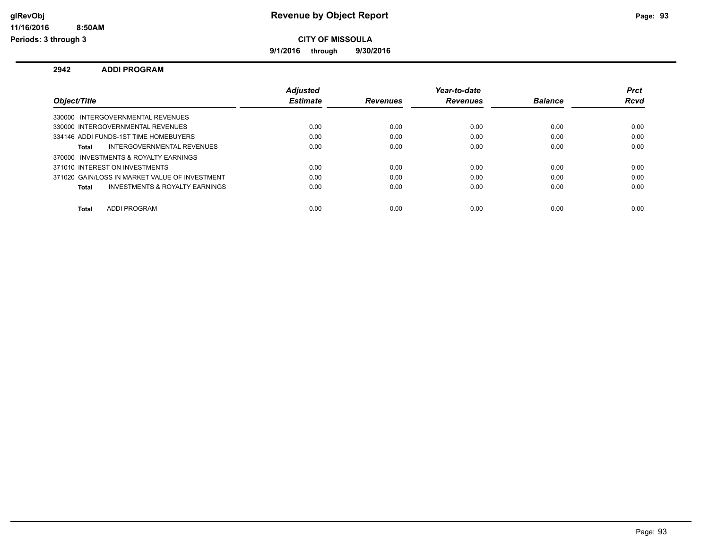**CITY OF MISSOULA**

**9/1/2016 through 9/30/2016**

#### **2942 ADDI PROGRAM**

 **8:50AM**

|                                                | Adiusted        |                 | Year-to-date    |                | <b>Prct</b> |
|------------------------------------------------|-----------------|-----------------|-----------------|----------------|-------------|
| Object/Title                                   | <b>Estimate</b> | <b>Revenues</b> | <b>Revenues</b> | <b>Balance</b> | <b>Rcvd</b> |
| 330000 INTERGOVERNMENTAL REVENUES              |                 |                 |                 |                |             |
| 330000 INTERGOVERNMENTAL REVENUES              | 0.00            | 0.00            | 0.00            | 0.00           | 0.00        |
| 334146 ADDI FUNDS-1ST TIME HOMEBUYERS          | 0.00            | 0.00            | 0.00            | 0.00           | 0.00        |
| INTERGOVERNMENTAL REVENUES<br>Total            | 0.00            | 0.00            | 0.00            | 0.00           | 0.00        |
| 370000 INVESTMENTS & ROYALTY EARNINGS          |                 |                 |                 |                |             |
| 371010 INTEREST ON INVESTMENTS                 | 0.00            | 0.00            | 0.00            | 0.00           | 0.00        |
| 371020 GAIN/LOSS IN MARKET VALUE OF INVESTMENT | 0.00            | 0.00            | 0.00            | 0.00           | 0.00        |
| Total<br>INVESTMENTS & ROYALTY EARNINGS        | 0.00            | 0.00            | 0.00            | 0.00           | 0.00        |
|                                                |                 |                 |                 |                |             |
| <b>ADDI PROGRAM</b><br><b>Total</b>            | 0.00            | 0.00            | 0.00            | 0.00           | 0.00        |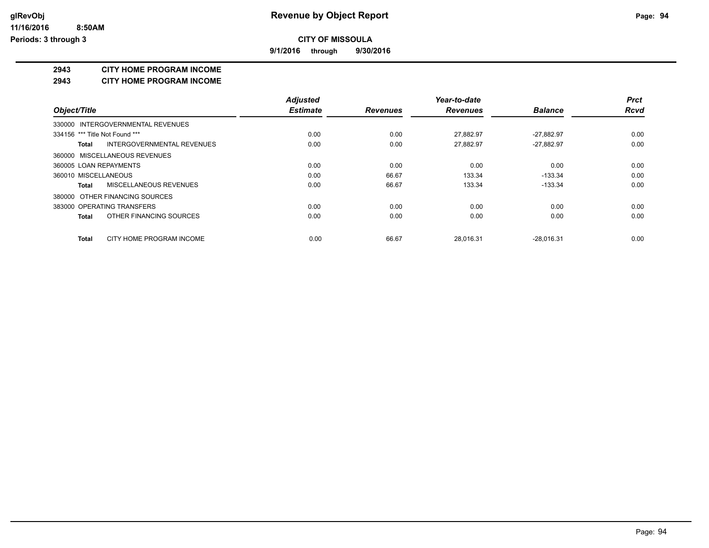**glRevObj Revenue by Object Report Page: 94** 

**11/16/2016 8:50AM Periods: 3 through 3**

**CITY OF MISSOULA**

**9/1/2016 through 9/30/2016**

#### **2943 CITY HOME PROGRAM INCOME**

#### **2943 CITY HOME PROGRAM INCOME**

|                                     | <b>Adjusted</b> |                 | Year-to-date    |                | <b>Prct</b> |
|-------------------------------------|-----------------|-----------------|-----------------|----------------|-------------|
| Object/Title                        | <b>Estimate</b> | <b>Revenues</b> | <b>Revenues</b> | <b>Balance</b> | <b>Rcvd</b> |
| 330000 INTERGOVERNMENTAL REVENUES   |                 |                 |                 |                |             |
| 334156 *** Title Not Found ***      | 0.00            | 0.00            | 27.882.97       | $-27,882.97$   | 0.00        |
| INTERGOVERNMENTAL REVENUES<br>Total | 0.00            | 0.00            | 27.882.97       | $-27.882.97$   | 0.00        |
| 360000 MISCELLANEOUS REVENUES       |                 |                 |                 |                |             |
| 360005 LOAN REPAYMENTS              | 0.00            | 0.00            | 0.00            | 0.00           | 0.00        |
| 360010 MISCELLANEOUS                | 0.00            | 66.67           | 133.34          | $-133.34$      | 0.00        |
| MISCELLANEOUS REVENUES<br>Total     | 0.00            | 66.67           | 133.34          | $-133.34$      | 0.00        |
| 380000 OTHER FINANCING SOURCES      |                 |                 |                 |                |             |
| 383000 OPERATING TRANSFERS          | 0.00            | 0.00            | 0.00            | 0.00           | 0.00        |
| OTHER FINANCING SOURCES<br>Total    | 0.00            | 0.00            | 0.00            | 0.00           | 0.00        |
| CITY HOME PROGRAM INCOME<br>Total   | 0.00            | 66.67           | 28.016.31       | $-28.016.31$   | 0.00        |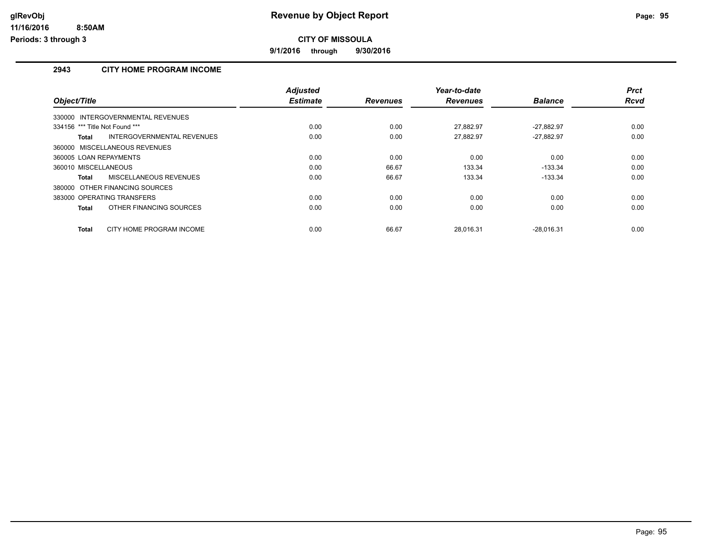**CITY OF MISSOULA**

**9/1/2016 through 9/30/2016**

## **2943 CITY HOME PROGRAM INCOME**

 **8:50AM**

| Object/Title                             | <b>Adjusted</b><br><b>Estimate</b> | <b>Revenues</b> | Year-to-date<br><b>Revenues</b> | <b>Balance</b> | <b>Prct</b><br>Rcvd |
|------------------------------------------|------------------------------------|-----------------|---------------------------------|----------------|---------------------|
| 330000 INTERGOVERNMENTAL REVENUES        |                                    |                 |                                 |                |                     |
|                                          |                                    |                 |                                 |                |                     |
| 334156 *** Title Not Found ***           | 0.00                               | 0.00            | 27,882.97                       | $-27,882.97$   | 0.00                |
| INTERGOVERNMENTAL REVENUES<br>Total      | 0.00                               | 0.00            | 27.882.97                       | $-27.882.97$   | 0.00                |
| 360000 MISCELLANEOUS REVENUES            |                                    |                 |                                 |                |                     |
| 360005 LOAN REPAYMENTS                   | 0.00                               | 0.00            | 0.00                            | 0.00           | 0.00                |
| 360010 MISCELLANEOUS                     | 0.00                               | 66.67           | 133.34                          | $-133.34$      | 0.00                |
| MISCELLANEOUS REVENUES<br>Total          | 0.00                               | 66.67           | 133.34                          | $-133.34$      | 0.00                |
| 380000 OTHER FINANCING SOURCES           |                                    |                 |                                 |                |                     |
| 383000 OPERATING TRANSFERS               | 0.00                               | 0.00            | 0.00                            | 0.00           | 0.00                |
| OTHER FINANCING SOURCES<br><b>Total</b>  | 0.00                               | 0.00            | 0.00                            | 0.00           | 0.00                |
| CITY HOME PROGRAM INCOME<br><b>Total</b> | 0.00                               | 66.67           | 28.016.31                       | $-28.016.31$   | 0.00                |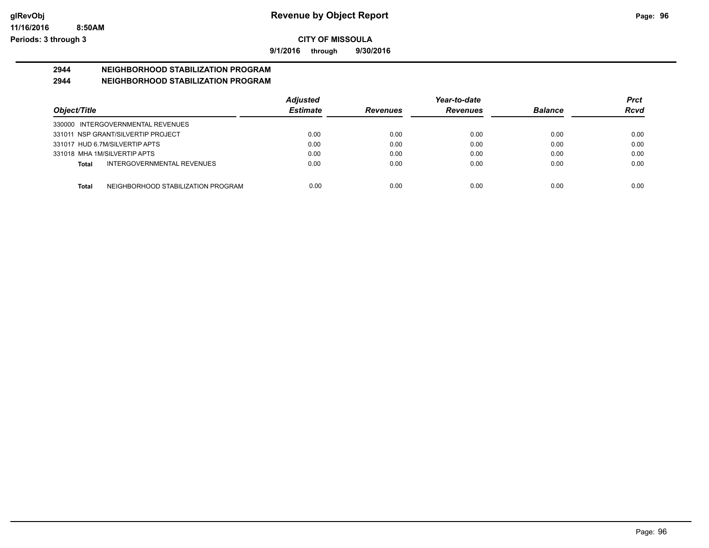**9/1/2016 through 9/30/2016**

# **2944 NEIGHBORHOOD STABILIZATION PROGRAM**

## **2944 NEIGHBORHOOD STABILIZATION PROGRAM**

|                                                    | <b>Adjusted</b> |                 | Year-to-date    |                | <b>Prct</b> |
|----------------------------------------------------|-----------------|-----------------|-----------------|----------------|-------------|
| Object/Title                                       | <b>Estimate</b> | <b>Revenues</b> | <b>Revenues</b> | <b>Balance</b> | Rcvd        |
| 330000 INTERGOVERNMENTAL REVENUES                  |                 |                 |                 |                |             |
| 331011 NSP GRANT/SILVERTIP PROJECT                 | 0.00            | 0.00            | 0.00            | 0.00           | 0.00        |
| 331017 HUD 6.7M/SILVERTIP APTS                     | 0.00            | 0.00            | 0.00            | 0.00           | 0.00        |
| 331018 MHA 1M/SILVERTIP APTS                       | 0.00            | 0.00            | 0.00            | 0.00           | 0.00        |
| INTERGOVERNMENTAL REVENUES<br><b>Total</b>         | 0.00            | 0.00            | 0.00            | 0.00           | 0.00        |
| NEIGHBORHOOD STABILIZATION PROGRAM<br><b>Total</b> | 0.00            | 0.00            | 0.00            | 0.00           | 0.00        |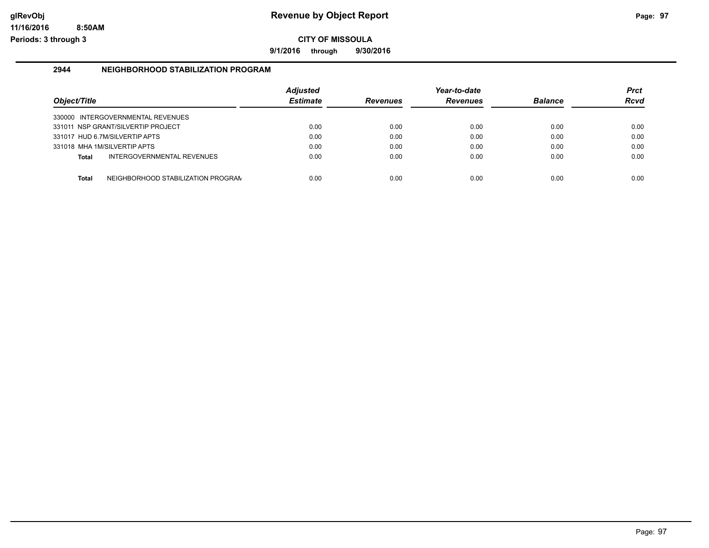**9/1/2016 through 9/30/2016**

## **2944 NEIGHBORHOOD STABILIZATION PROGRAM**

| Object/Title |                                    | <b>Adjusted</b><br><b>Estimate</b> | <b>Revenues</b> | Year-to-date<br><b>Revenues</b> | <b>Balance</b> | <b>Prct</b><br><b>Rcvd</b> |
|--------------|------------------------------------|------------------------------------|-----------------|---------------------------------|----------------|----------------------------|
|              | 330000 INTERGOVERNMENTAL REVENUES  |                                    |                 |                                 |                |                            |
|              | 331011 NSP GRANT/SILVERTIP PROJECT | 0.00                               | 0.00            | 0.00                            | 0.00           | 0.00                       |
|              | 331017 HUD 6.7M/SILVERTIP APTS     | 0.00                               | 0.00            | 0.00                            | 0.00           | 0.00                       |
|              | 331018 MHA 1M/SILVERTIP APTS       | 0.00                               | 0.00            | 0.00                            | 0.00           | 0.00                       |
| Total        | INTERGOVERNMENTAL REVENUES         | 0.00                               | 0.00            | 0.00                            | 0.00           | 0.00                       |
| <b>Total</b> | NEIGHBORHOOD STABILIZATION PROGRAN | 0.00                               | 0.00            | 0.00                            | 0.00           | 0.00                       |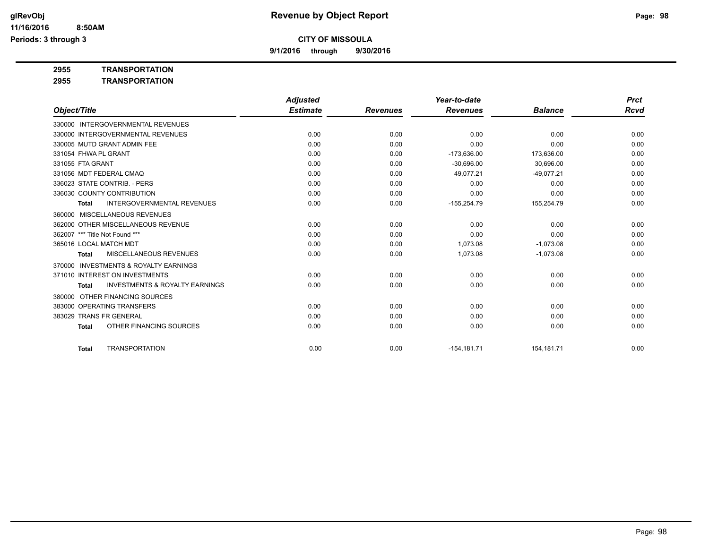**9/1/2016 through 9/30/2016**

**2955 TRANSPORTATION**

**2955 TRANSPORTATION**

|                                                           | <b>Adjusted</b> |                 | Year-to-date    |                | <b>Prct</b> |
|-----------------------------------------------------------|-----------------|-----------------|-----------------|----------------|-------------|
| Object/Title                                              | <b>Estimate</b> | <b>Revenues</b> | <b>Revenues</b> | <b>Balance</b> | <b>Rcvd</b> |
| 330000 INTERGOVERNMENTAL REVENUES                         |                 |                 |                 |                |             |
| 330000 INTERGOVERNMENTAL REVENUES                         | 0.00            | 0.00            | 0.00            | 0.00           | 0.00        |
| 330005 MUTD GRANT ADMIN FEE                               | 0.00            | 0.00            | 0.00            | 0.00           | 0.00        |
| 331054 FHWA PL GRANT                                      | 0.00            | 0.00            | $-173,636.00$   | 173.636.00     | 0.00        |
| 331055 FTA GRANT                                          | 0.00            | 0.00            | $-30,696.00$    | 30,696.00      | 0.00        |
| 331056 MDT FEDERAL CMAQ                                   | 0.00            | 0.00            | 49.077.21       | $-49.077.21$   | 0.00        |
| 336023 STATE CONTRIB. - PERS                              | 0.00            | 0.00            | 0.00            | 0.00           | 0.00        |
| 336030 COUNTY CONTRIBUTION                                | 0.00            | 0.00            | 0.00            | 0.00           | 0.00        |
| <b>INTERGOVERNMENTAL REVENUES</b><br><b>Total</b>         | 0.00            | 0.00            | $-155,254.79$   | 155,254.79     | 0.00        |
| <b>MISCELLANEOUS REVENUES</b><br>360000                   |                 |                 |                 |                |             |
| 362000 OTHER MISCELLANEOUS REVENUE                        | 0.00            | 0.00            | 0.00            | 0.00           | 0.00        |
| 362007 *** Title Not Found ***                            | 0.00            | 0.00            | 0.00            | 0.00           | 0.00        |
| 365016 LOCAL MATCH MDT                                    | 0.00            | 0.00            | 1,073.08        | $-1,073.08$    | 0.00        |
| MISCELLANEOUS REVENUES<br><b>Total</b>                    | 0.00            | 0.00            | 1,073.08        | $-1,073.08$    | 0.00        |
| <b>INVESTMENTS &amp; ROYALTY EARNINGS</b><br>370000       |                 |                 |                 |                |             |
| 371010 INTEREST ON INVESTMENTS                            | 0.00            | 0.00            | 0.00            | 0.00           | 0.00        |
| <b>INVESTMENTS &amp; ROYALTY EARNINGS</b><br><b>Total</b> | 0.00            | 0.00            | 0.00            | 0.00           | 0.00        |
| OTHER FINANCING SOURCES<br>380000                         |                 |                 |                 |                |             |
| 383000 OPERATING TRANSFERS                                | 0.00            | 0.00            | 0.00            | 0.00           | 0.00        |
| <b>TRANS FR GENERAL</b><br>383029                         | 0.00            | 0.00            | 0.00            | 0.00           | 0.00        |
| OTHER FINANCING SOURCES<br><b>Total</b>                   | 0.00            | 0.00            | 0.00            | 0.00           | 0.00        |
| <b>TRANSPORTATION</b><br><b>Total</b>                     | 0.00            | 0.00            | $-154.181.71$   | 154.181.71     | 0.00        |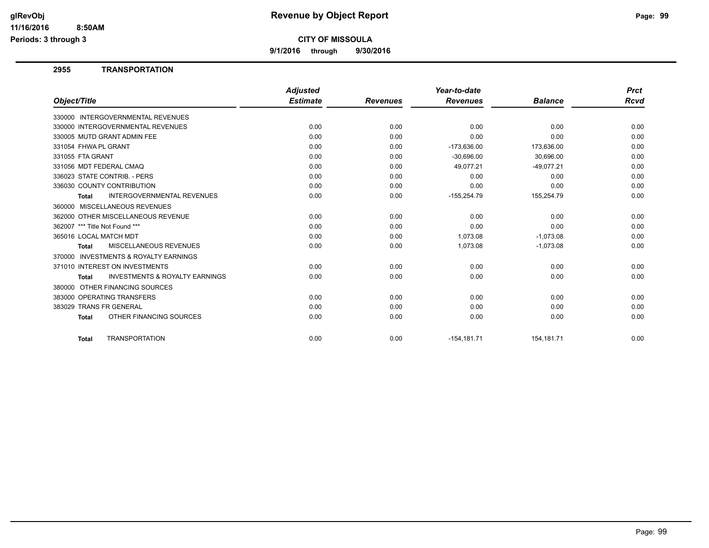**9/1/2016 through 9/30/2016**

#### **2955 TRANSPORTATION**

|                                                           | <b>Adjusted</b> |                 | Year-to-date    |                | <b>Prct</b> |
|-----------------------------------------------------------|-----------------|-----------------|-----------------|----------------|-------------|
| Object/Title                                              | <b>Estimate</b> | <b>Revenues</b> | <b>Revenues</b> | <b>Balance</b> | Rcvd        |
| 330000 INTERGOVERNMENTAL REVENUES                         |                 |                 |                 |                |             |
| 330000 INTERGOVERNMENTAL REVENUES                         | 0.00            | 0.00            | 0.00            | 0.00           | 0.00        |
| 330005 MUTD GRANT ADMIN FEE                               | 0.00            | 0.00            | 0.00            | 0.00           | 0.00        |
| 331054 FHWA PL GRANT                                      | 0.00            | 0.00            | $-173,636.00$   | 173,636.00     | 0.00        |
| 331055 FTA GRANT                                          | 0.00            | 0.00            | $-30,696.00$    | 30,696.00      | 0.00        |
| 331056 MDT FEDERAL CMAQ                                   | 0.00            | 0.00            | 49,077.21       | $-49,077.21$   | 0.00        |
| 336023 STATE CONTRIB. - PERS                              | 0.00            | 0.00            | 0.00            | 0.00           | 0.00        |
| 336030 COUNTY CONTRIBUTION                                | 0.00            | 0.00            | 0.00            | 0.00           | 0.00        |
| <b>INTERGOVERNMENTAL REVENUES</b><br><b>Total</b>         | 0.00            | 0.00            | $-155,254.79$   | 155,254.79     | 0.00        |
| 360000 MISCELLANEOUS REVENUES                             |                 |                 |                 |                |             |
| 362000 OTHER MISCELLANEOUS REVENUE                        | 0.00            | 0.00            | 0.00            | 0.00           | 0.00        |
| 362007 *** Title Not Found ***                            | 0.00            | 0.00            | 0.00            | 0.00           | 0.00        |
| 365016 LOCAL MATCH MDT                                    | 0.00            | 0.00            | 1,073.08        | $-1,073.08$    | 0.00        |
| MISCELLANEOUS REVENUES<br>Total                           | 0.00            | 0.00            | 1,073.08        | $-1,073.08$    | 0.00        |
| 370000 INVESTMENTS & ROYALTY EARNINGS                     |                 |                 |                 |                |             |
| 371010 INTEREST ON INVESTMENTS                            | 0.00            | 0.00            | 0.00            | 0.00           | 0.00        |
| <b>INVESTMENTS &amp; ROYALTY EARNINGS</b><br><b>Total</b> | 0.00            | 0.00            | 0.00            | 0.00           | 0.00        |
| 380000 OTHER FINANCING SOURCES                            |                 |                 |                 |                |             |
| 383000 OPERATING TRANSFERS                                | 0.00            | 0.00            | 0.00            | 0.00           | 0.00        |
| 383029 TRANS FR GENERAL                                   | 0.00            | 0.00            | 0.00            | 0.00           | 0.00        |
| OTHER FINANCING SOURCES<br><b>Total</b>                   | 0.00            | 0.00            | 0.00            | 0.00           | 0.00        |
| <b>TRANSPORTATION</b><br><b>Total</b>                     | 0.00            | 0.00            | $-154.181.71$   | 154.181.71     | 0.00        |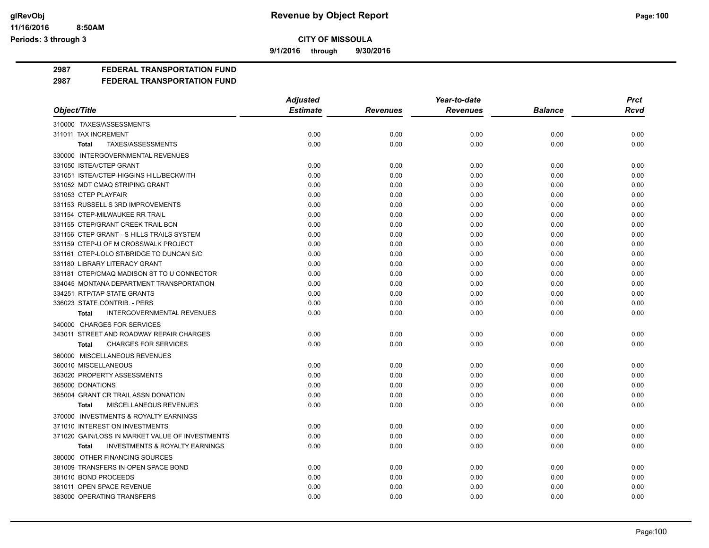**8:50AM**

**CITY OF MISSOULA**

**9/1/2016 through 9/30/2016**

**2987 FEDERAL TRANSPORTATION FUND**

|                                                           | <b>Adjusted</b> |                 | Year-to-date    |                | <b>Prct</b> |
|-----------------------------------------------------------|-----------------|-----------------|-----------------|----------------|-------------|
| Object/Title                                              | <b>Estimate</b> | <b>Revenues</b> | <b>Revenues</b> | <b>Balance</b> | Rcvd        |
| 310000 TAXES/ASSESSMENTS                                  |                 |                 |                 |                |             |
| 311011 TAX INCREMENT                                      | 0.00            | 0.00            | 0.00            | 0.00           | 0.00        |
| TAXES/ASSESSMENTS<br><b>Total</b>                         | 0.00            | 0.00            | 0.00            | 0.00           | 0.00        |
| 330000 INTERGOVERNMENTAL REVENUES                         |                 |                 |                 |                |             |
| 331050 ISTEA/CTEP GRANT                                   | 0.00            | 0.00            | 0.00            | 0.00           | 0.00        |
| 331051 ISTEA/CTEP-HIGGINS HILL/BECKWITH                   | 0.00            | 0.00            | 0.00            | 0.00           | 0.00        |
| 331052 MDT CMAQ STRIPING GRANT                            | 0.00            | 0.00            | 0.00            | 0.00           | 0.00        |
| 331053 CTEP PLAYFAIR                                      | 0.00            | 0.00            | 0.00            | 0.00           | 0.00        |
| 331153 RUSSELL S 3RD IMPROVEMENTS                         | 0.00            | 0.00            | 0.00            | 0.00           | 0.00        |
| 331154 CTEP-MILWAUKEE RR TRAIL                            | 0.00            | 0.00            | 0.00            | 0.00           | 0.00        |
| 331155 CTEP/GRANT CREEK TRAIL BCN                         | 0.00            | 0.00            | 0.00            | 0.00           | 0.00        |
| 331156 CTEP GRANT - S HILLS TRAILS SYSTEM                 | 0.00            | 0.00            | 0.00            | 0.00           | 0.00        |
| 331159 CTEP-U OF M CROSSWALK PROJECT                      | 0.00            | 0.00            | 0.00            | 0.00           | 0.00        |
| 331161 CTEP-LOLO ST/BRIDGE TO DUNCAN S/C                  | 0.00            | 0.00            | 0.00            | 0.00           | 0.00        |
| 331180 LIBRARY LITERACY GRANT                             | 0.00            | 0.00            | 0.00            | 0.00           | 0.00        |
| 331181 CTEP/CMAQ MADISON ST TO U CONNECTOR                | 0.00            | 0.00            | 0.00            | 0.00           | 0.00        |
| 334045 MONTANA DEPARTMENT TRANSPORTATION                  | 0.00            | 0.00            | 0.00            | 0.00           | 0.00        |
| 334251 RTP/TAP STATE GRANTS                               | 0.00            | 0.00            | 0.00            | 0.00           | 0.00        |
| 336023 STATE CONTRIB. - PERS                              | 0.00            | 0.00            | 0.00            | 0.00           | 0.00        |
| <b>INTERGOVERNMENTAL REVENUES</b><br><b>Total</b>         | 0.00            | 0.00            | 0.00            | 0.00           | 0.00        |
| 340000 CHARGES FOR SERVICES                               |                 |                 |                 |                |             |
| 343011 STREET AND ROADWAY REPAIR CHARGES                  | 0.00            | 0.00            | 0.00            | 0.00           | 0.00        |
| <b>CHARGES FOR SERVICES</b><br><b>Total</b>               | 0.00            | 0.00            | 0.00            | 0.00           | 0.00        |
| 360000 MISCELLANEOUS REVENUES                             |                 |                 |                 |                |             |
| 360010 MISCELLANEOUS                                      | 0.00            | 0.00            | 0.00            | 0.00           | 0.00        |
| 363020 PROPERTY ASSESSMENTS                               | 0.00            | 0.00            | 0.00            | 0.00           | 0.00        |
| 365000 DONATIONS                                          | 0.00            | 0.00            | 0.00            | 0.00           | 0.00        |
| 365004 GRANT CR TRAIL ASSN DONATION                       | 0.00            | 0.00            | 0.00            | 0.00           | 0.00        |
| MISCELLANEOUS REVENUES<br><b>Total</b>                    | 0.00            | 0.00            | 0.00            | 0.00           | 0.00        |
| 370000 INVESTMENTS & ROYALTY EARNINGS                     |                 |                 |                 |                |             |
| 371010 INTEREST ON INVESTMENTS                            | 0.00            | 0.00            | 0.00            | 0.00           | 0.00        |
| 371020 GAIN/LOSS IN MARKET VALUE OF INVESTMENTS           | 0.00            | 0.00            | 0.00            | 0.00           | 0.00        |
| <b>INVESTMENTS &amp; ROYALTY EARNINGS</b><br><b>Total</b> | 0.00            | 0.00            | 0.00            | 0.00           | 0.00        |
| 380000 OTHER FINANCING SOURCES                            |                 |                 |                 |                |             |
| 381009 TRANSFERS IN-OPEN SPACE BOND                       | 0.00            | 0.00            | 0.00            | 0.00           | 0.00        |
| 381010 BOND PROCEEDS                                      | 0.00            | 0.00            | 0.00            | 0.00           | 0.00        |
| 381011 OPEN SPACE REVENUE                                 | 0.00            | 0.00            | 0.00            | 0.00           | 0.00        |
| 383000 OPERATING TRANSFERS                                | 0.00            | 0.00            | 0.00            | 0.00           | 0.00        |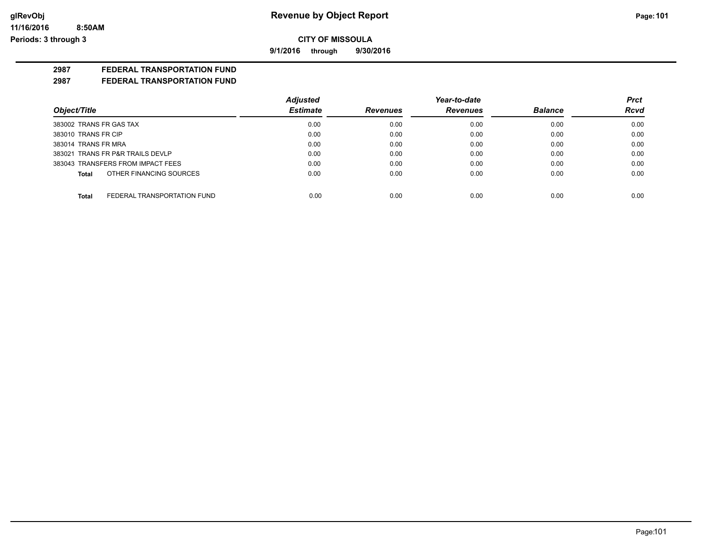**9/1/2016 through 9/30/2016**

## **2987 FEDERAL TRANSPORTATION FUND**

|                                         | <b>Adjusted</b> |                 | Year-to-date    |                | <b>Prct</b> |
|-----------------------------------------|-----------------|-----------------|-----------------|----------------|-------------|
| Object/Title                            | <b>Estimate</b> | <b>Revenues</b> | <b>Revenues</b> | <b>Balance</b> | Rcvd        |
| 383002 TRANS FR GAS TAX                 | 0.00            | 0.00            | 0.00            | 0.00           | 0.00        |
| 383010 TRANS FR CIP                     | 0.00            | 0.00            | 0.00            | 0.00           | 0.00        |
| 383014 TRANS FR MRA                     | 0.00            | 0.00            | 0.00            | 0.00           | 0.00        |
| 383021 TRANS FR P&R TRAILS DEVLP        | 0.00            | 0.00            | 0.00            | 0.00           | 0.00        |
| 383043 TRANSFERS FROM IMPACT FEES       | 0.00            | 0.00            | 0.00            | 0.00           | 0.00        |
| OTHER FINANCING SOURCES<br><b>Total</b> | 0.00            | 0.00            | 0.00            | 0.00           | 0.00        |
| FEDERAL TRANSPORTATION FUND<br>Total    | 0.00            | 0.00            | 0.00            | 0.00           | 0.00        |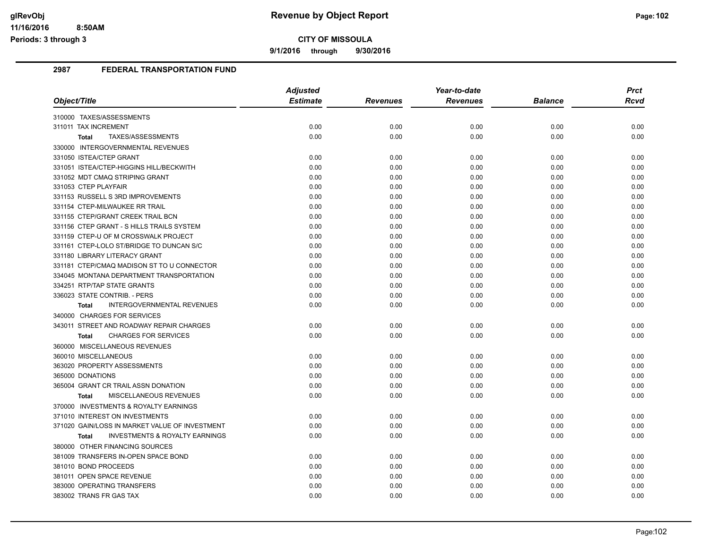**8:50AM**

**CITY OF MISSOULA**

**9/1/2016 through 9/30/2016**

|                                                           | <b>Adjusted</b> |                 | Year-to-date    |                | <b>Prct</b> |
|-----------------------------------------------------------|-----------------|-----------------|-----------------|----------------|-------------|
| Object/Title                                              | <b>Estimate</b> | <b>Revenues</b> | <b>Revenues</b> | <b>Balance</b> | <b>Rcvd</b> |
| 310000 TAXES/ASSESSMENTS                                  |                 |                 |                 |                |             |
| 311011 TAX INCREMENT                                      | 0.00            | 0.00            | 0.00            | 0.00           | 0.00        |
| TAXES/ASSESSMENTS<br><b>Total</b>                         | 0.00            | 0.00            | 0.00            | 0.00           | 0.00        |
| 330000 INTERGOVERNMENTAL REVENUES                         |                 |                 |                 |                |             |
| 331050 ISTEA/CTEP GRANT                                   | 0.00            | 0.00            | 0.00            | 0.00           | 0.00        |
| 331051 ISTEA/CTEP-HIGGINS HILL/BECKWITH                   | 0.00            | 0.00            | 0.00            | 0.00           | 0.00        |
| 331052 MDT CMAQ STRIPING GRANT                            | 0.00            | 0.00            | 0.00            | 0.00           | 0.00        |
| 331053 CTEP PLAYFAIR                                      | 0.00            | 0.00            | 0.00            | 0.00           | 0.00        |
| 331153 RUSSELL S 3RD IMPROVEMENTS                         | 0.00            | 0.00            | 0.00            | 0.00           | 0.00        |
| 331154 CTEP-MILWAUKEE RR TRAIL                            | 0.00            | 0.00            | 0.00            | 0.00           | 0.00        |
| 331155 CTEP/GRANT CREEK TRAIL BCN                         | 0.00            | 0.00            | 0.00            | 0.00           | 0.00        |
| 331156 CTEP GRANT - S HILLS TRAILS SYSTEM                 | 0.00            | 0.00            | 0.00            | 0.00           | 0.00        |
| 331159 CTEP-U OF M CROSSWALK PROJECT                      | 0.00            | 0.00            | 0.00            | 0.00           | 0.00        |
| 331161 CTEP-LOLO ST/BRIDGE TO DUNCAN S/C                  | 0.00            | 0.00            | 0.00            | 0.00           | 0.00        |
| 331180 LIBRARY LITERACY GRANT                             | 0.00            | 0.00            | 0.00            | 0.00           | 0.00        |
| 331181 CTEP/CMAQ MADISON ST TO U CONNECTOR                | 0.00            | 0.00            | 0.00            | 0.00           | 0.00        |
| 334045 MONTANA DEPARTMENT TRANSPORTATION                  | 0.00            | 0.00            | 0.00            | 0.00           | 0.00        |
| 334251 RTP/TAP STATE GRANTS                               | 0.00            | 0.00            | 0.00            | 0.00           | 0.00        |
| 336023 STATE CONTRIB. - PERS                              | 0.00            | 0.00            | 0.00            | 0.00           | 0.00        |
| INTERGOVERNMENTAL REVENUES<br><b>Total</b>                | 0.00            | 0.00            | 0.00            | 0.00           | 0.00        |
| 340000 CHARGES FOR SERVICES                               |                 |                 |                 |                |             |
| 343011 STREET AND ROADWAY REPAIR CHARGES                  | 0.00            | 0.00            | 0.00            | 0.00           | 0.00        |
| <b>CHARGES FOR SERVICES</b><br><b>Total</b>               | 0.00            | 0.00            | 0.00            | 0.00           | 0.00        |
| 360000 MISCELLANEOUS REVENUES                             |                 |                 |                 |                |             |
| 360010 MISCELLANEOUS                                      | 0.00            | 0.00            | 0.00            | 0.00           | 0.00        |
| 363020 PROPERTY ASSESSMENTS                               | 0.00            | 0.00            | 0.00            | 0.00           | 0.00        |
| 365000 DONATIONS                                          | 0.00            | 0.00            | 0.00            | 0.00           | 0.00        |
| 365004 GRANT CR TRAIL ASSN DONATION                       | 0.00            | 0.00            | 0.00            | 0.00           | 0.00        |
| MISCELLANEOUS REVENUES<br><b>Total</b>                    | 0.00            | 0.00            | 0.00            | 0.00           | 0.00        |
| 370000 INVESTMENTS & ROYALTY EARNINGS                     |                 |                 |                 |                |             |
| 371010 INTEREST ON INVESTMENTS                            | 0.00            | 0.00            | 0.00            | 0.00           | 0.00        |
| 371020 GAIN/LOSS IN MARKET VALUE OF INVESTMENT            | 0.00            | 0.00            | 0.00            | 0.00           | 0.00        |
| <b>INVESTMENTS &amp; ROYALTY EARNINGS</b><br><b>Total</b> | 0.00            | 0.00            | 0.00            | 0.00           | 0.00        |
| 380000 OTHER FINANCING SOURCES                            |                 |                 |                 |                |             |
| 381009 TRANSFERS IN-OPEN SPACE BOND                       | 0.00            | 0.00            | 0.00            | 0.00           | 0.00        |
| 381010 BOND PROCEEDS                                      | 0.00            | 0.00            | 0.00            | 0.00           | 0.00        |
| 381011 OPEN SPACE REVENUE                                 | 0.00            | 0.00            | 0.00            | 0.00           | 0.00        |
| 383000 OPERATING TRANSFERS                                | 0.00            | 0.00            | 0.00            | 0.00           | 0.00        |
| 383002 TRANS FR GAS TAX                                   | 0.00            | 0.00            | 0.00            | 0.00           | 0.00        |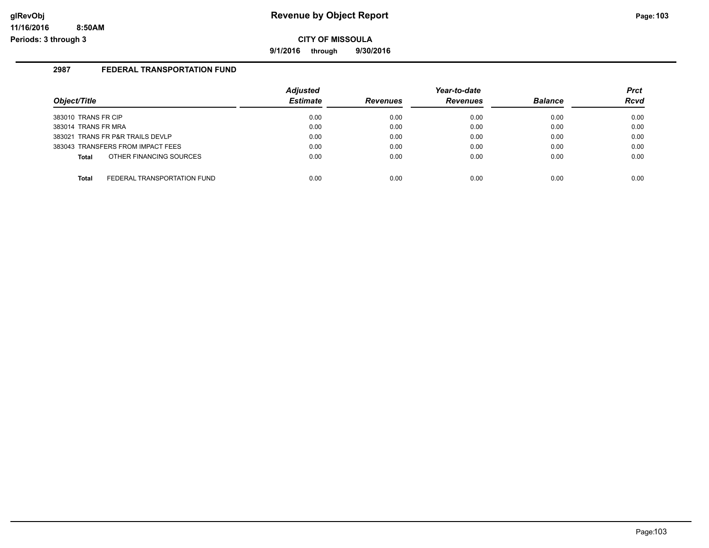**8:50AM**

**CITY OF MISSOULA**

**9/1/2016 through 9/30/2016**

| Object/Title                                | Adjusted<br><b>Estimate</b> | <b>Revenues</b> | Year-to-date<br><b>Revenues</b> | <b>Balance</b> | <b>Prct</b><br><b>Rcvd</b> |
|---------------------------------------------|-----------------------------|-----------------|---------------------------------|----------------|----------------------------|
| 383010 TRANS FR CIP                         | 0.00                        | 0.00            | 0.00                            | 0.00           | 0.00                       |
| 383014 TRANS FR MRA                         | 0.00                        | 0.00            | 0.00                            | 0.00           | 0.00                       |
| 383021 TRANS FR P&R TRAILS DEVLP            | 0.00                        | 0.00            | 0.00                            | 0.00           | 0.00                       |
| 383043 TRANSFERS FROM IMPACT FEES           | 0.00                        | 0.00            | 0.00                            | 0.00           | 0.00                       |
| OTHER FINANCING SOURCES<br><b>Total</b>     | 0.00                        | 0.00            | 0.00                            | 0.00           | 0.00                       |
| FEDERAL TRANSPORTATION FUND<br><b>Total</b> | 0.00                        | 0.00            | 0.00                            | 0.00           | 0.00                       |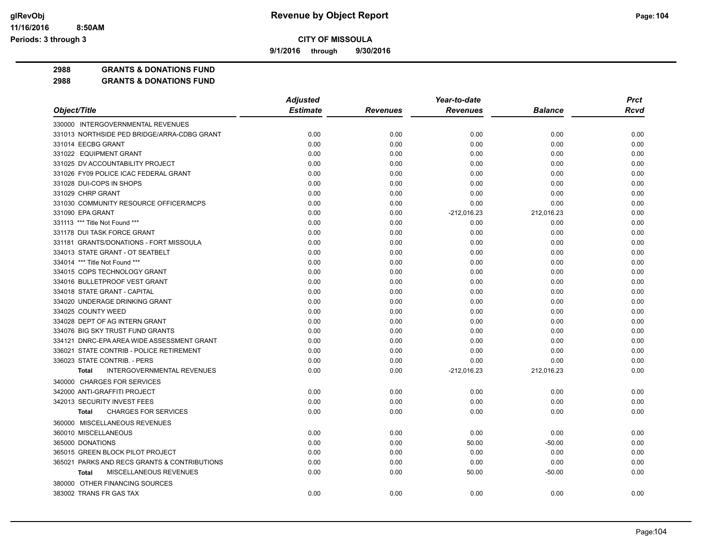**9/1/2016 through 9/30/2016**

**2988 GRANTS & DONATIONS FUND**

**2988 GRANTS & DONATIONS FUND**

|                                               | <b>Adjusted</b> |                 | Year-to-date    |                | <b>Prct</b> |
|-----------------------------------------------|-----------------|-----------------|-----------------|----------------|-------------|
| Object/Title                                  | <b>Estimate</b> | <b>Revenues</b> | <b>Revenues</b> | <b>Balance</b> | Rcvd        |
| 330000 INTERGOVERNMENTAL REVENUES             |                 |                 |                 |                |             |
| 331013 NORTHSIDE PED BRIDGE/ARRA-CDBG GRANT   | 0.00            | 0.00            | 0.00            | 0.00           | 0.00        |
| 331014 EECBG GRANT                            | 0.00            | 0.00            | 0.00            | 0.00           | 0.00        |
| 331022 EQUIPMENT GRANT                        | 0.00            | 0.00            | 0.00            | 0.00           | 0.00        |
| 331025 DV ACCOUNTABILITY PROJECT              | 0.00            | 0.00            | 0.00            | 0.00           | 0.00        |
| 331026 FY09 POLICE ICAC FEDERAL GRANT         | 0.00            | 0.00            | 0.00            | 0.00           | 0.00        |
| 331028 DUI-COPS IN SHOPS                      | 0.00            | 0.00            | 0.00            | 0.00           | 0.00        |
| 331029 CHRP GRANT                             | 0.00            | 0.00            | 0.00            | 0.00           | 0.00        |
| 331030 COMMUNITY RESOURCE OFFICER/MCPS        | 0.00            | 0.00            | 0.00            | 0.00           | 0.00        |
| 331090 EPA GRANT                              | 0.00            | 0.00            | $-212,016.23$   | 212,016.23     | 0.00        |
| 331113 *** Title Not Found ***                | 0.00            | 0.00            | 0.00            | 0.00           | 0.00        |
| 331178 DUI TASK FORCE GRANT                   | 0.00            | 0.00            | 0.00            | 0.00           | 0.00        |
| 331181 GRANTS/DONATIONS - FORT MISSOULA       | 0.00            | 0.00            | 0.00            | 0.00           | 0.00        |
| 334013 STATE GRANT - OT SEATBELT              | 0.00            | 0.00            | 0.00            | 0.00           | 0.00        |
| 334014 *** Title Not Found ***                | 0.00            | 0.00            | 0.00            | 0.00           | 0.00        |
| 334015 COPS TECHNOLOGY GRANT                  | 0.00            | 0.00            | 0.00            | 0.00           | 0.00        |
| 334016 BULLETPROOF VEST GRANT                 | 0.00            | 0.00            | 0.00            | 0.00           | 0.00        |
| 334018 STATE GRANT - CAPITAL                  | 0.00            | 0.00            | 0.00            | 0.00           | 0.00        |
| 334020 UNDERAGE DRINKING GRANT                | 0.00            | 0.00            | 0.00            | 0.00           | 0.00        |
| 334025 COUNTY WEED                            | 0.00            | 0.00            | 0.00            | 0.00           | 0.00        |
| 334028 DEPT OF AG INTERN GRANT                | 0.00            | 0.00            | 0.00            | 0.00           | 0.00        |
| 334076 BIG SKY TRUST FUND GRANTS              | 0.00            | 0.00            | 0.00            | 0.00           | 0.00        |
| 334121 DNRC-EPA AREA WIDE ASSESSMENT GRANT    | 0.00            | 0.00            | 0.00            | 0.00           | 0.00        |
| 336021 STATE CONTRIB - POLICE RETIREMENT      | 0.00            | 0.00            | 0.00            | 0.00           | 0.00        |
| 336023 STATE CONTRIB. - PERS                  | 0.00            | 0.00            | 0.00            | 0.00           | 0.00        |
| <b>INTERGOVERNMENTAL REVENUES</b><br>Total    | 0.00            | 0.00            | $-212,016.23$   | 212,016.23     | 0.00        |
| 340000 CHARGES FOR SERVICES                   |                 |                 |                 |                |             |
| 342000 ANTI-GRAFFITI PROJECT                  | 0.00            | 0.00            | 0.00            | 0.00           | 0.00        |
| 342013 SECURITY INVEST FEES                   | 0.00            | 0.00            | 0.00            | 0.00           | 0.00        |
| <b>CHARGES FOR SERVICES</b><br><b>Total</b>   | 0.00            | 0.00            | 0.00            | 0.00           | 0.00        |
| 360000 MISCELLANEOUS REVENUES                 |                 |                 |                 |                |             |
| 360010 MISCELLANEOUS                          | 0.00            | 0.00            | 0.00            | 0.00           | 0.00        |
| 365000 DONATIONS                              | 0.00            | 0.00            | 50.00           | $-50.00$       | 0.00        |
| 365015 GREEN BLOCK PILOT PROJECT              | 0.00            | 0.00            | 0.00            | 0.00           | 0.00        |
| 365021 PARKS AND RECS GRANTS & CONTRIBUTIONS  | 0.00            | 0.00            | 0.00            | 0.00           | 0.00        |
| <b>MISCELLANEOUS REVENUES</b><br><b>Total</b> | 0.00            | 0.00            | 50.00           | $-50.00$       | 0.00        |
| 380000 OTHER FINANCING SOURCES                |                 |                 |                 |                |             |
| 383002 TRANS FR GAS TAX                       | 0.00            | 0.00            | 0.00            | 0.00           | 0.00        |
|                                               |                 |                 |                 |                |             |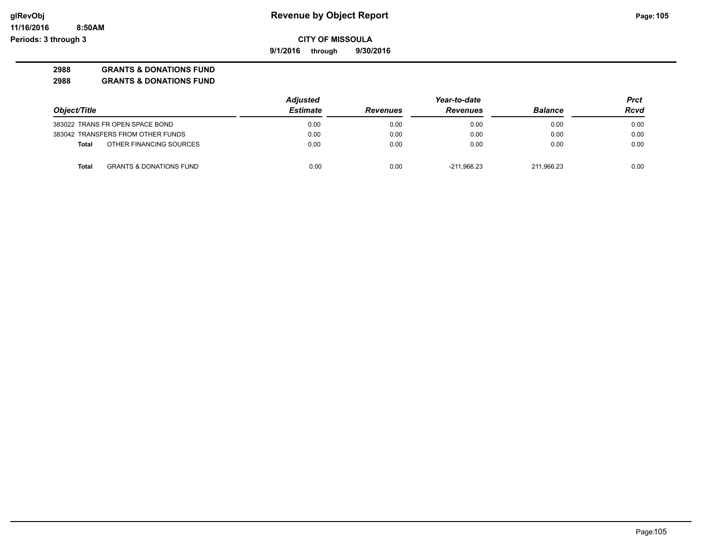**11/16/2016 8:50AM Periods: 3 through 3**

# **CITY OF MISSOULA**

**9/1/2016 through 9/30/2016**

## **2988 GRANTS & DONATIONS FUND**

**2988 GRANTS & DONATIONS FUND**

|                                                    | <b>Adjusted</b> |                 | Year-to-date    | <b>Balance</b> | Prct<br>Rcvd |
|----------------------------------------------------|-----------------|-----------------|-----------------|----------------|--------------|
| Object/Title                                       | <b>Estimate</b> | <b>Revenues</b> | <b>Revenues</b> |                |              |
| 383022 TRANS FR OPEN SPACE BOND                    | 0.00            | 0.00            | 0.00            | 0.00           | 0.00         |
| 383042 TRANSFERS FROM OTHER FUNDS                  | 0.00            | 0.00            | 0.00            | 0.00           | 0.00         |
| OTHER FINANCING SOURCES<br>Total                   | 0.00            | 0.00            | 0.00            | 0.00           | 0.00         |
| <b>GRANTS &amp; DONATIONS FUND</b><br><b>Total</b> | 0.00            | 0.00            | $-211.966.23$   | 211.966.23     | 0.00         |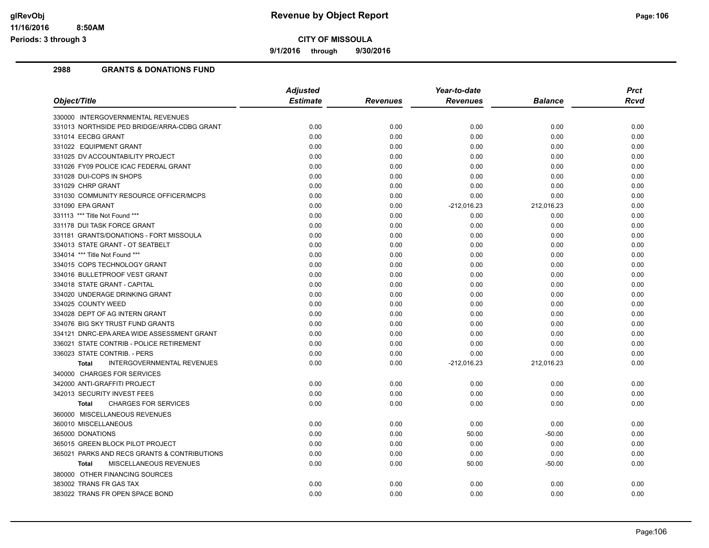**CITY OF MISSOULA**

**9/1/2016 through 9/30/2016**

## **2988 GRANTS & DONATIONS FUND**

 **8:50AM**

| Object/Title<br><b>Estimate</b><br><b>Revenues</b><br><b>Balance</b><br><b>Revenues</b><br>330000 INTERGOVERNMENTAL REVENUES<br>331013 NORTHSIDE PED BRIDGE/ARRA-CDBG GRANT<br>0.00<br>0.00<br>0.00<br>0.00<br>331014 EECBG GRANT<br>0.00<br>0.00<br>0.00<br>0.00<br>331022 EQUIPMENT GRANT<br>0.00<br>0.00<br>0.00<br>0.00<br>331025 DV ACCOUNTABILITY PROJECT<br>0.00<br>0.00<br>0.00<br>0.00<br>331026 FY09 POLICE ICAC FEDERAL GRANT<br>0.00<br>0.00<br>0.00<br>0.00<br>331028 DUI-COPS IN SHOPS<br>0.00<br>0.00<br>0.00<br>0.00<br>331029 CHRP GRANT<br>0.00<br>0.00<br>0.00<br>0.00<br>331030 COMMUNITY RESOURCE OFFICER/MCPS<br>0.00<br>0.00<br>0.00<br>0.00<br>331090 EPA GRANT<br>0.00<br>0.00<br>$-212,016.23$<br>212,016.23<br>331113 *** Title Not Found ***<br>0.00<br>0.00<br>0.00<br>0.00<br>331178 DUI TASK FORCE GRANT<br>0.00<br>0.00<br>0.00<br>0.00<br>331181 GRANTS/DONATIONS - FORT MISSOULA<br>0.00<br>0.00<br>0.00<br>0.00<br>334013 STATE GRANT - OT SEATBELT<br>0.00<br>0.00<br>0.00<br>0.00<br>334014 *** Title Not Found ***<br>0.00<br>0.00<br>0.00<br>0.00<br>334015 COPS TECHNOLOGY GRANT<br>0.00<br>0.00<br>0.00<br>0.00<br>334016 BULLETPROOF VEST GRANT<br>0.00<br>0.00<br>0.00<br>0.00<br>334018 STATE GRANT - CAPITAL<br>0.00<br>0.00<br>0.00<br>0.00<br>334020 UNDERAGE DRINKING GRANT<br>0.00<br>0.00<br>0.00<br>0.00<br>334025 COUNTY WEED<br>0.00<br>0.00<br>0.00<br>0.00 | <b>Prct</b> |
|-------------------------------------------------------------------------------------------------------------------------------------------------------------------------------------------------------------------------------------------------------------------------------------------------------------------------------------------------------------------------------------------------------------------------------------------------------------------------------------------------------------------------------------------------------------------------------------------------------------------------------------------------------------------------------------------------------------------------------------------------------------------------------------------------------------------------------------------------------------------------------------------------------------------------------------------------------------------------------------------------------------------------------------------------------------------------------------------------------------------------------------------------------------------------------------------------------------------------------------------------------------------------------------------------------------------------------------------------------------------------------------------------------------------|-------------|
|                                                                                                                                                                                                                                                                                                                                                                                                                                                                                                                                                                                                                                                                                                                                                                                                                                                                                                                                                                                                                                                                                                                                                                                                                                                                                                                                                                                                                   | Rcvd        |
|                                                                                                                                                                                                                                                                                                                                                                                                                                                                                                                                                                                                                                                                                                                                                                                                                                                                                                                                                                                                                                                                                                                                                                                                                                                                                                                                                                                                                   |             |
|                                                                                                                                                                                                                                                                                                                                                                                                                                                                                                                                                                                                                                                                                                                                                                                                                                                                                                                                                                                                                                                                                                                                                                                                                                                                                                                                                                                                                   | 0.00        |
|                                                                                                                                                                                                                                                                                                                                                                                                                                                                                                                                                                                                                                                                                                                                                                                                                                                                                                                                                                                                                                                                                                                                                                                                                                                                                                                                                                                                                   | 0.00        |
|                                                                                                                                                                                                                                                                                                                                                                                                                                                                                                                                                                                                                                                                                                                                                                                                                                                                                                                                                                                                                                                                                                                                                                                                                                                                                                                                                                                                                   | 0.00        |
|                                                                                                                                                                                                                                                                                                                                                                                                                                                                                                                                                                                                                                                                                                                                                                                                                                                                                                                                                                                                                                                                                                                                                                                                                                                                                                                                                                                                                   | 0.00        |
|                                                                                                                                                                                                                                                                                                                                                                                                                                                                                                                                                                                                                                                                                                                                                                                                                                                                                                                                                                                                                                                                                                                                                                                                                                                                                                                                                                                                                   | 0.00        |
|                                                                                                                                                                                                                                                                                                                                                                                                                                                                                                                                                                                                                                                                                                                                                                                                                                                                                                                                                                                                                                                                                                                                                                                                                                                                                                                                                                                                                   | 0.00        |
|                                                                                                                                                                                                                                                                                                                                                                                                                                                                                                                                                                                                                                                                                                                                                                                                                                                                                                                                                                                                                                                                                                                                                                                                                                                                                                                                                                                                                   | 0.00        |
|                                                                                                                                                                                                                                                                                                                                                                                                                                                                                                                                                                                                                                                                                                                                                                                                                                                                                                                                                                                                                                                                                                                                                                                                                                                                                                                                                                                                                   | 0.00        |
|                                                                                                                                                                                                                                                                                                                                                                                                                                                                                                                                                                                                                                                                                                                                                                                                                                                                                                                                                                                                                                                                                                                                                                                                                                                                                                                                                                                                                   | 0.00        |
|                                                                                                                                                                                                                                                                                                                                                                                                                                                                                                                                                                                                                                                                                                                                                                                                                                                                                                                                                                                                                                                                                                                                                                                                                                                                                                                                                                                                                   | 0.00        |
|                                                                                                                                                                                                                                                                                                                                                                                                                                                                                                                                                                                                                                                                                                                                                                                                                                                                                                                                                                                                                                                                                                                                                                                                                                                                                                                                                                                                                   | 0.00        |
|                                                                                                                                                                                                                                                                                                                                                                                                                                                                                                                                                                                                                                                                                                                                                                                                                                                                                                                                                                                                                                                                                                                                                                                                                                                                                                                                                                                                                   | 0.00        |
|                                                                                                                                                                                                                                                                                                                                                                                                                                                                                                                                                                                                                                                                                                                                                                                                                                                                                                                                                                                                                                                                                                                                                                                                                                                                                                                                                                                                                   | 0.00        |
|                                                                                                                                                                                                                                                                                                                                                                                                                                                                                                                                                                                                                                                                                                                                                                                                                                                                                                                                                                                                                                                                                                                                                                                                                                                                                                                                                                                                                   | 0.00        |
|                                                                                                                                                                                                                                                                                                                                                                                                                                                                                                                                                                                                                                                                                                                                                                                                                                                                                                                                                                                                                                                                                                                                                                                                                                                                                                                                                                                                                   | 0.00        |
|                                                                                                                                                                                                                                                                                                                                                                                                                                                                                                                                                                                                                                                                                                                                                                                                                                                                                                                                                                                                                                                                                                                                                                                                                                                                                                                                                                                                                   | 0.00        |
|                                                                                                                                                                                                                                                                                                                                                                                                                                                                                                                                                                                                                                                                                                                                                                                                                                                                                                                                                                                                                                                                                                                                                                                                                                                                                                                                                                                                                   | 0.00        |
|                                                                                                                                                                                                                                                                                                                                                                                                                                                                                                                                                                                                                                                                                                                                                                                                                                                                                                                                                                                                                                                                                                                                                                                                                                                                                                                                                                                                                   | 0.00        |
|                                                                                                                                                                                                                                                                                                                                                                                                                                                                                                                                                                                                                                                                                                                                                                                                                                                                                                                                                                                                                                                                                                                                                                                                                                                                                                                                                                                                                   | 0.00        |
| 334028 DEPT OF AG INTERN GRANT<br>0.00<br>0.00<br>0.00<br>0.00                                                                                                                                                                                                                                                                                                                                                                                                                                                                                                                                                                                                                                                                                                                                                                                                                                                                                                                                                                                                                                                                                                                                                                                                                                                                                                                                                    | 0.00        |
| 334076 BIG SKY TRUST FUND GRANTS<br>0.00<br>0.00<br>0.00<br>0.00                                                                                                                                                                                                                                                                                                                                                                                                                                                                                                                                                                                                                                                                                                                                                                                                                                                                                                                                                                                                                                                                                                                                                                                                                                                                                                                                                  | 0.00        |
| 334121 DNRC-EPA AREA WIDE ASSESSMENT GRANT<br>0.00<br>0.00<br>0.00<br>0.00                                                                                                                                                                                                                                                                                                                                                                                                                                                                                                                                                                                                                                                                                                                                                                                                                                                                                                                                                                                                                                                                                                                                                                                                                                                                                                                                        | 0.00        |
| 336021 STATE CONTRIB - POLICE RETIREMENT<br>0.00<br>0.00<br>0.00<br>0.00                                                                                                                                                                                                                                                                                                                                                                                                                                                                                                                                                                                                                                                                                                                                                                                                                                                                                                                                                                                                                                                                                                                                                                                                                                                                                                                                          | 0.00        |
| 336023 STATE CONTRIB. - PERS<br>0.00<br>0.00<br>0.00<br>0.00                                                                                                                                                                                                                                                                                                                                                                                                                                                                                                                                                                                                                                                                                                                                                                                                                                                                                                                                                                                                                                                                                                                                                                                                                                                                                                                                                      | 0.00        |
| <b>INTERGOVERNMENTAL REVENUES</b><br>0.00<br>212,016.23<br>0.00<br>$-212,016.23$<br><b>Total</b>                                                                                                                                                                                                                                                                                                                                                                                                                                                                                                                                                                                                                                                                                                                                                                                                                                                                                                                                                                                                                                                                                                                                                                                                                                                                                                                  | 0.00        |
| 340000 CHARGES FOR SERVICES                                                                                                                                                                                                                                                                                                                                                                                                                                                                                                                                                                                                                                                                                                                                                                                                                                                                                                                                                                                                                                                                                                                                                                                                                                                                                                                                                                                       |             |
| 342000 ANTI-GRAFFITI PROJECT<br>0.00<br>0.00<br>0.00<br>0.00                                                                                                                                                                                                                                                                                                                                                                                                                                                                                                                                                                                                                                                                                                                                                                                                                                                                                                                                                                                                                                                                                                                                                                                                                                                                                                                                                      | 0.00        |
| 342013 SECURITY INVEST FEES<br>0.00<br>0.00<br>0.00<br>0.00                                                                                                                                                                                                                                                                                                                                                                                                                                                                                                                                                                                                                                                                                                                                                                                                                                                                                                                                                                                                                                                                                                                                                                                                                                                                                                                                                       | 0.00        |
| 0.00<br><b>CHARGES FOR SERVICES</b><br>0.00<br>0.00<br>0.00<br>Total                                                                                                                                                                                                                                                                                                                                                                                                                                                                                                                                                                                                                                                                                                                                                                                                                                                                                                                                                                                                                                                                                                                                                                                                                                                                                                                                              | 0.00        |
| 360000 MISCELLANEOUS REVENUES                                                                                                                                                                                                                                                                                                                                                                                                                                                                                                                                                                                                                                                                                                                                                                                                                                                                                                                                                                                                                                                                                                                                                                                                                                                                                                                                                                                     |             |
| 360010 MISCELLANEOUS<br>0.00<br>0.00<br>0.00<br>0.00                                                                                                                                                                                                                                                                                                                                                                                                                                                                                                                                                                                                                                                                                                                                                                                                                                                                                                                                                                                                                                                                                                                                                                                                                                                                                                                                                              | 0.00        |
| 365000 DONATIONS<br>0.00<br>0.00<br>50.00<br>$-50.00$                                                                                                                                                                                                                                                                                                                                                                                                                                                                                                                                                                                                                                                                                                                                                                                                                                                                                                                                                                                                                                                                                                                                                                                                                                                                                                                                                             | 0.00        |
| 365015 GREEN BLOCK PILOT PROJECT<br>0.00<br>0.00<br>0.00<br>0.00                                                                                                                                                                                                                                                                                                                                                                                                                                                                                                                                                                                                                                                                                                                                                                                                                                                                                                                                                                                                                                                                                                                                                                                                                                                                                                                                                  | 0.00        |
| 365021 PARKS AND RECS GRANTS & CONTRIBUTIONS<br>0.00<br>0.00<br>0.00<br>0.00                                                                                                                                                                                                                                                                                                                                                                                                                                                                                                                                                                                                                                                                                                                                                                                                                                                                                                                                                                                                                                                                                                                                                                                                                                                                                                                                      | 0.00        |
| MISCELLANEOUS REVENUES<br>0.00<br>0.00<br>50.00<br>$-50.00$<br><b>Total</b>                                                                                                                                                                                                                                                                                                                                                                                                                                                                                                                                                                                                                                                                                                                                                                                                                                                                                                                                                                                                                                                                                                                                                                                                                                                                                                                                       | 0.00        |
| 380000 OTHER FINANCING SOURCES                                                                                                                                                                                                                                                                                                                                                                                                                                                                                                                                                                                                                                                                                                                                                                                                                                                                                                                                                                                                                                                                                                                                                                                                                                                                                                                                                                                    |             |
| 383002 TRANS FR GAS TAX<br>0.00<br>0.00<br>0.00<br>0.00                                                                                                                                                                                                                                                                                                                                                                                                                                                                                                                                                                                                                                                                                                                                                                                                                                                                                                                                                                                                                                                                                                                                                                                                                                                                                                                                                           | 0.00        |
| 383022 TRANS FR OPEN SPACE BOND<br>0.00<br>0.00<br>0.00<br>0.00                                                                                                                                                                                                                                                                                                                                                                                                                                                                                                                                                                                                                                                                                                                                                                                                                                                                                                                                                                                                                                                                                                                                                                                                                                                                                                                                                   | 0.00        |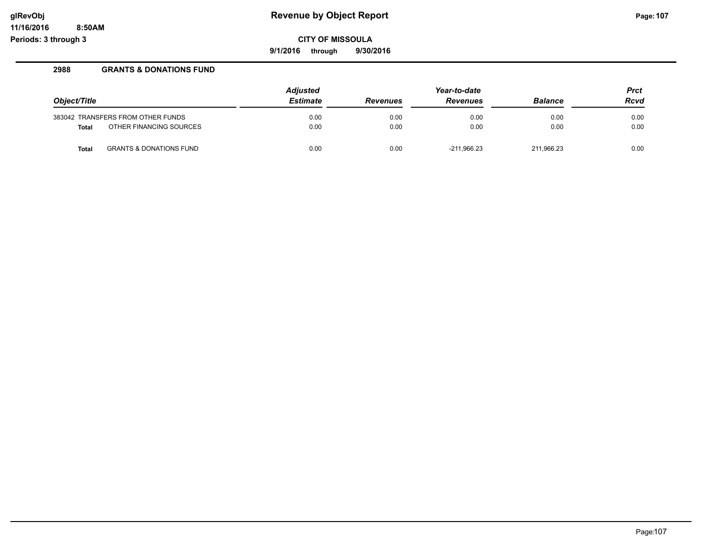**CITY OF MISSOULA**

**9/1/2016 through 9/30/2016**

#### **2988 GRANTS & DONATIONS FUND**

 **8:50AM**

|                                                    | <b>Adjusted</b> | Year-to-date    |                 |                | <b>Prct</b> |
|----------------------------------------------------|-----------------|-----------------|-----------------|----------------|-------------|
| Object/Title                                       | <b>Estimate</b> | <b>Revenues</b> | <b>Revenues</b> | <b>Balance</b> | <b>Rcvd</b> |
| 383042 TRANSFERS FROM OTHER FUNDS                  | 0.00            | 0.00            | 0.00            | 0.00           | 0.00        |
| OTHER FINANCING SOURCES<br><b>Total</b>            | 0.00            | 0.00            | 0.00            | 0.00           | 0.00        |
| <b>GRANTS &amp; DONATIONS FUND</b><br><b>Total</b> | 0.00            | 0.00            | $-211,966.23$   | 211.966.23     | 0.00        |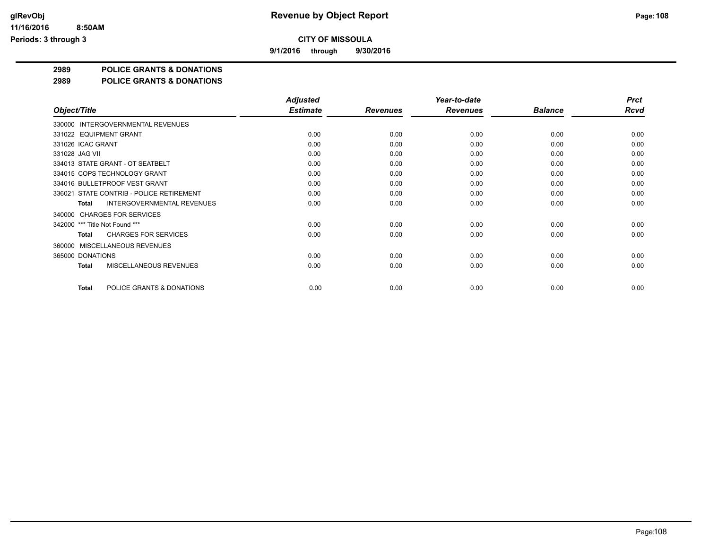**CITY OF MISSOULA**

**9/1/2016 through 9/30/2016**

**2989 POLICE GRANTS & DONATIONS**

 **8:50AM**

**2989 POLICE GRANTS & DONATIONS**

|                                             | <b>Adjusted</b> |                 | Year-to-date    |                | <b>Prct</b> |
|---------------------------------------------|-----------------|-----------------|-----------------|----------------|-------------|
| Object/Title                                | <b>Estimate</b> | <b>Revenues</b> | <b>Revenues</b> | <b>Balance</b> | <b>Rcvd</b> |
| 330000 INTERGOVERNMENTAL REVENUES           |                 |                 |                 |                |             |
| 331022 EQUIPMENT GRANT                      | 0.00            | 0.00            | 0.00            | 0.00           | 0.00        |
| 331026 ICAC GRANT                           | 0.00            | 0.00            | 0.00            | 0.00           | 0.00        |
| 331028 JAG VII                              | 0.00            | 0.00            | 0.00            | 0.00           | 0.00        |
| 334013 STATE GRANT - OT SEATBELT            | 0.00            | 0.00            | 0.00            | 0.00           | 0.00        |
| 334015 COPS TECHNOLOGY GRANT                | 0.00            | 0.00            | 0.00            | 0.00           | 0.00        |
| 334016 BULLETPROOF VEST GRANT               | 0.00            | 0.00            | 0.00            | 0.00           | 0.00        |
| 336021 STATE CONTRIB - POLICE RETIREMENT    | 0.00            | 0.00            | 0.00            | 0.00           | 0.00        |
| <b>INTERGOVERNMENTAL REVENUES</b><br>Total  | 0.00            | 0.00            | 0.00            | 0.00           | 0.00        |
| <b>CHARGES FOR SERVICES</b><br>340000       |                 |                 |                 |                |             |
| 342000 *** Title Not Found ***              | 0.00            | 0.00            | 0.00            | 0.00           | 0.00        |
| <b>CHARGES FOR SERVICES</b><br><b>Total</b> | 0.00            | 0.00            | 0.00            | 0.00           | 0.00        |
| <b>MISCELLANEOUS REVENUES</b><br>360000     |                 |                 |                 |                |             |
| 365000 DONATIONS                            | 0.00            | 0.00            | 0.00            | 0.00           | 0.00        |
| MISCELLANEOUS REVENUES<br>Total             | 0.00            | 0.00            | 0.00            | 0.00           | 0.00        |
| POLICE GRANTS & DONATIONS<br>Total          | 0.00            | 0.00            | 0.00            | 0.00           | 0.00        |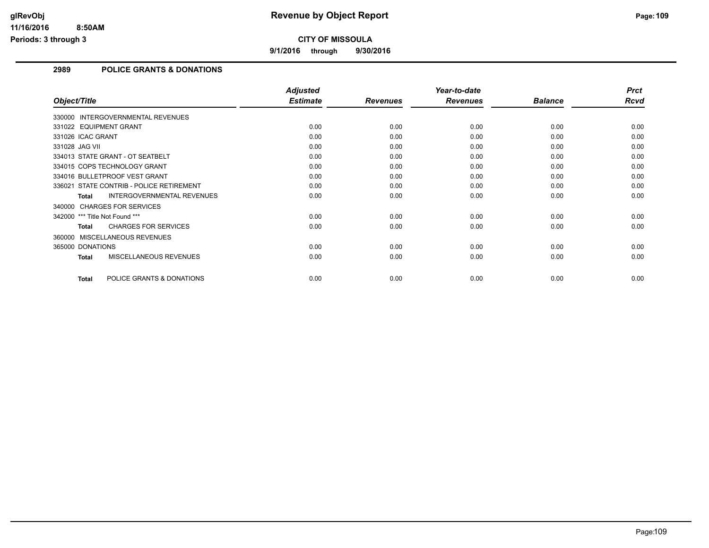**8:50AM**

**CITY OF MISSOULA**

**9/1/2016 through 9/30/2016**

### **2989 POLICE GRANTS & DONATIONS**

| Object/Title                                      | <b>Adjusted</b><br><b>Estimate</b> | <b>Revenues</b> | Year-to-date<br><b>Revenues</b> | <b>Balance</b> | <b>Prct</b><br><b>Rcvd</b> |
|---------------------------------------------------|------------------------------------|-----------------|---------------------------------|----------------|----------------------------|
| 330000 INTERGOVERNMENTAL REVENUES                 |                                    |                 |                                 |                |                            |
| 331022 EQUIPMENT GRANT                            | 0.00                               | 0.00            | 0.00                            | 0.00           | 0.00                       |
| 331026 ICAC GRANT                                 | 0.00                               | 0.00            | 0.00                            | 0.00           | 0.00                       |
| 331028 JAG VII                                    | 0.00                               | 0.00            | 0.00                            | 0.00           | 0.00                       |
| 334013 STATE GRANT - OT SEATBELT                  | 0.00                               | 0.00            | 0.00                            | 0.00           | 0.00                       |
| 334015 COPS TECHNOLOGY GRANT                      | 0.00                               | 0.00            | 0.00                            | 0.00           | 0.00                       |
| 334016 BULLETPROOF VEST GRANT                     | 0.00                               | 0.00            | 0.00                            | 0.00           | 0.00                       |
| 336021 STATE CONTRIB - POLICE RETIREMENT          | 0.00                               | 0.00            | 0.00                            | 0.00           | 0.00                       |
| <b>INTERGOVERNMENTAL REVENUES</b><br><b>Total</b> | 0.00                               | 0.00            | 0.00                            | 0.00           | 0.00                       |
| 340000 CHARGES FOR SERVICES                       |                                    |                 |                                 |                |                            |
| 342000 *** Title Not Found ***                    | 0.00                               | 0.00            | 0.00                            | 0.00           | 0.00                       |
| <b>CHARGES FOR SERVICES</b><br><b>Total</b>       | 0.00                               | 0.00            | 0.00                            | 0.00           | 0.00                       |
| 360000 MISCELLANEOUS REVENUES                     |                                    |                 |                                 |                |                            |
| 365000 DONATIONS                                  | 0.00                               | 0.00            | 0.00                            | 0.00           | 0.00                       |
| MISCELLANEOUS REVENUES<br><b>Total</b>            | 0.00                               | 0.00            | 0.00                            | 0.00           | 0.00                       |
| POLICE GRANTS & DONATIONS<br><b>Total</b>         | 0.00                               | 0.00            | 0.00                            | 0.00           | 0.00                       |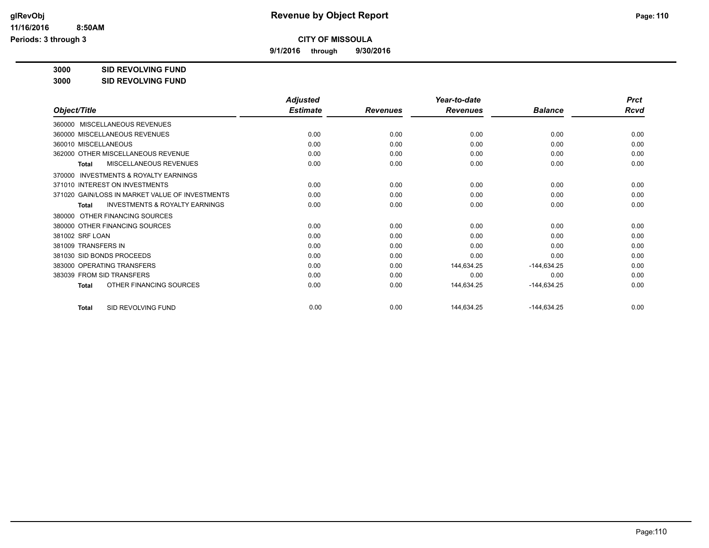**9/1/2016 through 9/30/2016**

**3000 SID REVOLVING FUND**

**3000 SID REVOLVING FUND**

|                                                     | <b>Adjusted</b> |                 | Year-to-date    |                | <b>Prct</b> |
|-----------------------------------------------------|-----------------|-----------------|-----------------|----------------|-------------|
| Object/Title                                        | <b>Estimate</b> | <b>Revenues</b> | <b>Revenues</b> | <b>Balance</b> | <b>Rcvd</b> |
| 360000 MISCELLANEOUS REVENUES                       |                 |                 |                 |                |             |
| 360000 MISCELLANEOUS REVENUES                       | 0.00            | 0.00            | 0.00            | 0.00           | 0.00        |
| 360010 MISCELLANEOUS                                | 0.00            | 0.00            | 0.00            | 0.00           | 0.00        |
| 362000 OTHER MISCELLANEOUS REVENUE                  | 0.00            | 0.00            | 0.00            | 0.00           | 0.00        |
| MISCELLANEOUS REVENUES<br>Total                     | 0.00            | 0.00            | 0.00            | 0.00           | 0.00        |
| <b>INVESTMENTS &amp; ROYALTY EARNINGS</b><br>370000 |                 |                 |                 |                |             |
| 371010 INTEREST ON INVESTMENTS                      | 0.00            | 0.00            | 0.00            | 0.00           | 0.00        |
| 371020 GAIN/LOSS IN MARKET VALUE OF INVESTMENTS     | 0.00            | 0.00            | 0.00            | 0.00           | 0.00        |
| <b>INVESTMENTS &amp; ROYALTY EARNINGS</b><br>Total  | 0.00            | 0.00            | 0.00            | 0.00           | 0.00        |
| OTHER FINANCING SOURCES<br>380000                   |                 |                 |                 |                |             |
| 380000 OTHER FINANCING SOURCES                      | 0.00            | 0.00            | 0.00            | 0.00           | 0.00        |
| 381002 SRF LOAN                                     | 0.00            | 0.00            | 0.00            | 0.00           | 0.00        |
| 381009 TRANSFERS IN                                 | 0.00            | 0.00            | 0.00            | 0.00           | 0.00        |
| 381030 SID BONDS PROCEEDS                           | 0.00            | 0.00            | 0.00            | 0.00           | 0.00        |
| 383000 OPERATING TRANSFERS                          | 0.00            | 0.00            | 144,634.25      | $-144,634.25$  | 0.00        |
| 383039 FROM SID TRANSFERS                           | 0.00            | 0.00            | 0.00            | 0.00           | 0.00        |
| OTHER FINANCING SOURCES<br><b>Total</b>             | 0.00            | 0.00            | 144,634.25      | $-144,634.25$  | 0.00        |
| SID REVOLVING FUND<br><b>Total</b>                  | 0.00            | 0.00            | 144,634.25      | $-144,634.25$  | 0.00        |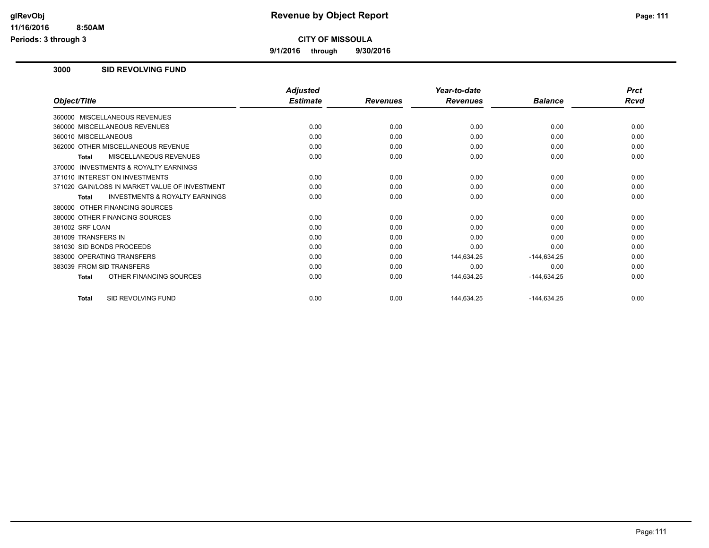**CITY OF MISSOULA**

**9/1/2016 through 9/30/2016**

#### **3000 SID REVOLVING FUND**

|                                                           | <b>Adjusted</b> |                 | Year-to-date    |                | <b>Prct</b> |
|-----------------------------------------------------------|-----------------|-----------------|-----------------|----------------|-------------|
| Object/Title                                              | <b>Estimate</b> | <b>Revenues</b> | <b>Revenues</b> | <b>Balance</b> | Rcvd        |
| 360000 MISCELLANEOUS REVENUES                             |                 |                 |                 |                |             |
| 360000 MISCELLANEOUS REVENUES                             | 0.00            | 0.00            | 0.00            | 0.00           | 0.00        |
| 360010 MISCELLANEOUS                                      | 0.00            | 0.00            | 0.00            | 0.00           | 0.00        |
| 362000 OTHER MISCELLANEOUS REVENUE                        | 0.00            | 0.00            | 0.00            | 0.00           | 0.00        |
| MISCELLANEOUS REVENUES<br><b>Total</b>                    | 0.00            | 0.00            | 0.00            | 0.00           | 0.00        |
| <b>INVESTMENTS &amp; ROYALTY EARNINGS</b><br>370000       |                 |                 |                 |                |             |
| 371010 INTEREST ON INVESTMENTS                            | 0.00            | 0.00            | 0.00            | 0.00           | 0.00        |
| 371020 GAIN/LOSS IN MARKET VALUE OF INVESTMENT            | 0.00            | 0.00            | 0.00            | 0.00           | 0.00        |
| <b>INVESTMENTS &amp; ROYALTY EARNINGS</b><br><b>Total</b> | 0.00            | 0.00            | 0.00            | 0.00           | 0.00        |
| 380000 OTHER FINANCING SOURCES                            |                 |                 |                 |                |             |
| 380000 OTHER FINANCING SOURCES                            | 0.00            | 0.00            | 0.00            | 0.00           | 0.00        |
| 381002 SRF LOAN                                           | 0.00            | 0.00            | 0.00            | 0.00           | 0.00        |
| 381009 TRANSFERS IN                                       | 0.00            | 0.00            | 0.00            | 0.00           | 0.00        |
| 381030 SID BONDS PROCEEDS                                 | 0.00            | 0.00            | 0.00            | 0.00           | 0.00        |
| 383000 OPERATING TRANSFERS                                | 0.00            | 0.00            | 144,634.25      | $-144,634.25$  | 0.00        |
| 383039 FROM SID TRANSFERS                                 | 0.00            | 0.00            | 0.00            | 0.00           | 0.00        |
| OTHER FINANCING SOURCES<br><b>Total</b>                   | 0.00            | 0.00            | 144,634.25      | $-144,634.25$  | 0.00        |
| SID REVOLVING FUND<br><b>Total</b>                        | 0.00            | 0.00            | 144,634.25      | $-144,634.25$  | 0.00        |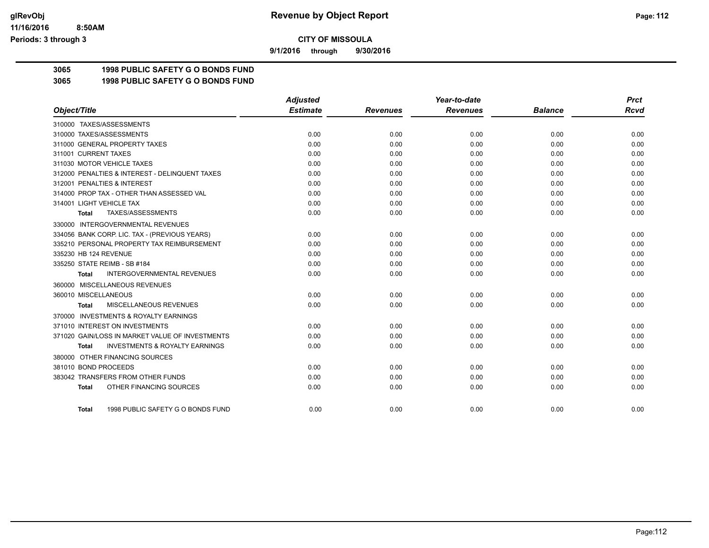**8:50AM**

**CITY OF MISSOULA**

**9/1/2016 through 9/30/2016**

## **3065 1998 PUBLIC SAFETY G O BONDS FUND**

**3065 1998 PUBLIC SAFETY G O BONDS FUND**

|                                                     | <b>Adjusted</b> |                 | Year-to-date    |                | <b>Prct</b> |
|-----------------------------------------------------|-----------------|-----------------|-----------------|----------------|-------------|
| Object/Title                                        | <b>Estimate</b> | <b>Revenues</b> | <b>Revenues</b> | <b>Balance</b> | <b>Rcvd</b> |
| 310000 TAXES/ASSESSMENTS                            |                 |                 |                 |                |             |
| 310000 TAXES/ASSESSMENTS                            | 0.00            | 0.00            | 0.00            | 0.00           | 0.00        |
| 311000 GENERAL PROPERTY TAXES                       | 0.00            | 0.00            | 0.00            | 0.00           | 0.00        |
| 311001 CURRENT TAXES                                | 0.00            | 0.00            | 0.00            | 0.00           | 0.00        |
| 311030 MOTOR VEHICLE TAXES                          | 0.00            | 0.00            | 0.00            | 0.00           | 0.00        |
| 312000 PENALTIES & INTEREST - DELINQUENT TAXES      | 0.00            | 0.00            | 0.00            | 0.00           | 0.00        |
| 312001 PENALTIES & INTEREST                         | 0.00            | 0.00            | 0.00            | 0.00           | 0.00        |
| 314000 PROP TAX - OTHER THAN ASSESSED VAL           | 0.00            | 0.00            | 0.00            | 0.00           | 0.00        |
| 314001 LIGHT VEHICLE TAX                            | 0.00            | 0.00            | 0.00            | 0.00           | 0.00        |
| TAXES/ASSESSMENTS<br><b>Total</b>                   | 0.00            | 0.00            | 0.00            | 0.00           | 0.00        |
| 330000 INTERGOVERNMENTAL REVENUES                   |                 |                 |                 |                |             |
| 334056 BANK CORP. LIC. TAX - (PREVIOUS YEARS)       | 0.00            | 0.00            | 0.00            | 0.00           | 0.00        |
| 335210 PERSONAL PROPERTY TAX REIMBURSEMENT          | 0.00            | 0.00            | 0.00            | 0.00           | 0.00        |
| 335230 HB 124 REVENUE                               | 0.00            | 0.00            | 0.00            | 0.00           | 0.00        |
| 335250 STATE REIMB - SB #184                        | 0.00            | 0.00            | 0.00            | 0.00           | 0.00        |
| <b>INTERGOVERNMENTAL REVENUES</b><br><b>Total</b>   | 0.00            | 0.00            | 0.00            | 0.00           | 0.00        |
| 360000 MISCELLANEOUS REVENUES                       |                 |                 |                 |                |             |
| 360010 MISCELLANEOUS                                | 0.00            | 0.00            | 0.00            | 0.00           | 0.00        |
| MISCELLANEOUS REVENUES<br><b>Total</b>              | 0.00            | 0.00            | 0.00            | 0.00           | 0.00        |
| <b>INVESTMENTS &amp; ROYALTY EARNINGS</b><br>370000 |                 |                 |                 |                |             |
| 371010 INTEREST ON INVESTMENTS                      | 0.00            | 0.00            | 0.00            | 0.00           | 0.00        |
| 371020 GAIN/LOSS IN MARKET VALUE OF INVESTMENTS     | 0.00            | 0.00            | 0.00            | 0.00           | 0.00        |
| <b>INVESTMENTS &amp; ROYALTY EARNINGS</b><br>Total  | 0.00            | 0.00            | 0.00            | 0.00           | 0.00        |
| 380000 OTHER FINANCING SOURCES                      |                 |                 |                 |                |             |
| 381010 BOND PROCEEDS                                | 0.00            | 0.00            | 0.00            | 0.00           | 0.00        |
| 383042 TRANSFERS FROM OTHER FUNDS                   | 0.00            | 0.00            | 0.00            | 0.00           | 0.00        |
| OTHER FINANCING SOURCES<br><b>Total</b>             | 0.00            | 0.00            | 0.00            | 0.00           | 0.00        |
| 1998 PUBLIC SAFETY G O BONDS FUND<br>Total          | 0.00            | 0.00            | 0.00            | 0.00           | 0.00        |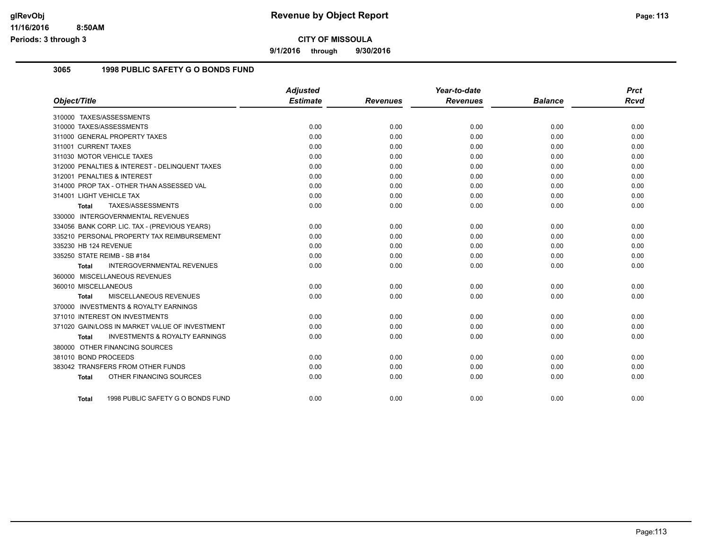**9/1/2016 through 9/30/2016**

#### **3065 1998 PUBLIC SAFETY G O BONDS FUND**

| Object/Title                                              | <b>Adjusted</b><br><b>Estimate</b> | <b>Revenues</b> | Year-to-date<br><b>Revenues</b> | <b>Balance</b> | <b>Prct</b><br>Rcvd |
|-----------------------------------------------------------|------------------------------------|-----------------|---------------------------------|----------------|---------------------|
|                                                           |                                    |                 |                                 |                |                     |
| 310000 TAXES/ASSESSMENTS                                  |                                    |                 |                                 |                |                     |
| 310000 TAXES/ASSESSMENTS                                  | 0.00                               | 0.00            | 0.00                            | 0.00           | 0.00                |
| 311000 GENERAL PROPERTY TAXES                             | 0.00                               | 0.00            | 0.00                            | 0.00           | 0.00                |
| 311001 CURRENT TAXES                                      | 0.00                               | 0.00            | 0.00                            | 0.00           | 0.00                |
| 311030 MOTOR VEHICLE TAXES                                | 0.00                               | 0.00            | 0.00                            | 0.00           | 0.00                |
| 312000 PENALTIES & INTEREST - DELINQUENT TAXES            | 0.00                               | 0.00            | 0.00                            | 0.00           | 0.00                |
| 312001 PENALTIES & INTEREST                               | 0.00                               | 0.00            | 0.00                            | 0.00           | 0.00                |
| 314000 PROP TAX - OTHER THAN ASSESSED VAL                 | 0.00                               | 0.00            | 0.00                            | 0.00           | 0.00                |
| 314001 LIGHT VEHICLE TAX                                  | 0.00                               | 0.00            | 0.00                            | 0.00           | 0.00                |
| TAXES/ASSESSMENTS<br><b>Total</b>                         | 0.00                               | 0.00            | 0.00                            | 0.00           | 0.00                |
| 330000 INTERGOVERNMENTAL REVENUES                         |                                    |                 |                                 |                |                     |
| 334056 BANK CORP. LIC. TAX - (PREVIOUS YEARS)             | 0.00                               | 0.00            | 0.00                            | 0.00           | 0.00                |
| 335210 PERSONAL PROPERTY TAX REIMBURSEMENT                | 0.00                               | 0.00            | 0.00                            | 0.00           | 0.00                |
| 335230 HB 124 REVENUE                                     | 0.00                               | 0.00            | 0.00                            | 0.00           | 0.00                |
| 335250 STATE REIMB - SB #184                              | 0.00                               | 0.00            | 0.00                            | 0.00           | 0.00                |
| <b>INTERGOVERNMENTAL REVENUES</b><br><b>Total</b>         | 0.00                               | 0.00            | 0.00                            | 0.00           | 0.00                |
| 360000 MISCELLANEOUS REVENUES                             |                                    |                 |                                 |                |                     |
| 360010 MISCELLANEOUS                                      | 0.00                               | 0.00            | 0.00                            | 0.00           | 0.00                |
| <b>MISCELLANEOUS REVENUES</b><br><b>Total</b>             | 0.00                               | 0.00            | 0.00                            | 0.00           | 0.00                |
| 370000 INVESTMENTS & ROYALTY EARNINGS                     |                                    |                 |                                 |                |                     |
| 371010 INTEREST ON INVESTMENTS                            | 0.00                               | 0.00            | 0.00                            | 0.00           | 0.00                |
| 371020 GAIN/LOSS IN MARKET VALUE OF INVESTMENT            | 0.00                               | 0.00            | 0.00                            | 0.00           | 0.00                |
| <b>INVESTMENTS &amp; ROYALTY EARNINGS</b><br><b>Total</b> | 0.00                               | 0.00            | 0.00                            | 0.00           | 0.00                |
| 380000 OTHER FINANCING SOURCES                            |                                    |                 |                                 |                |                     |
| 381010 BOND PROCEEDS                                      | 0.00                               | 0.00            | 0.00                            | 0.00           | 0.00                |
| 383042 TRANSFERS FROM OTHER FUNDS                         | 0.00                               | 0.00            | 0.00                            | 0.00           | 0.00                |
| OTHER FINANCING SOURCES<br><b>Total</b>                   | 0.00                               | 0.00            | 0.00                            | 0.00           | 0.00                |
|                                                           |                                    |                 |                                 |                |                     |
| 1998 PUBLIC SAFETY G O BONDS FUND<br>Total                | 0.00                               | 0.00            | 0.00                            | 0.00           | 0.00                |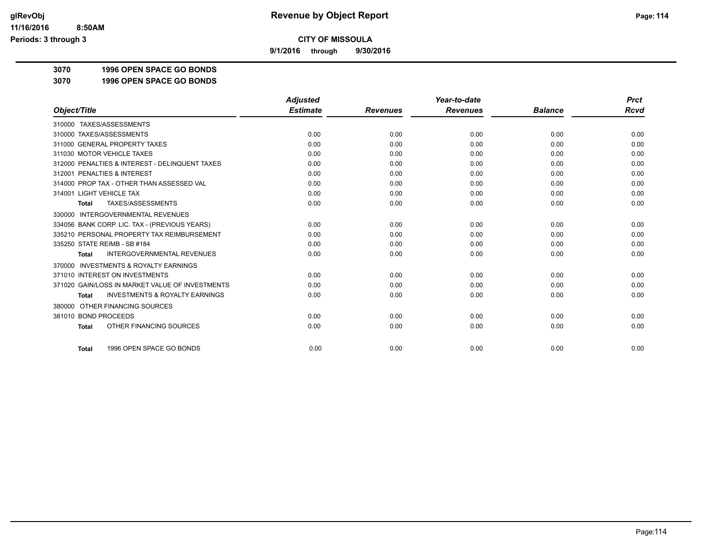**CITY OF MISSOULA**

**9/1/2016 through 9/30/2016**

**3070 1996 OPEN SPACE GO BONDS**

 **8:50AM**

**3070 1996 OPEN SPACE GO BONDS**

|                                                           | <b>Adjusted</b> |                 | Year-to-date    |                | <b>Prct</b> |
|-----------------------------------------------------------|-----------------|-----------------|-----------------|----------------|-------------|
| Object/Title                                              | <b>Estimate</b> | <b>Revenues</b> | <b>Revenues</b> | <b>Balance</b> | Rcvd        |
| 310000 TAXES/ASSESSMENTS                                  |                 |                 |                 |                |             |
| 310000 TAXES/ASSESSMENTS                                  | 0.00            | 0.00            | 0.00            | 0.00           | 0.00        |
| 311000 GENERAL PROPERTY TAXES                             | 0.00            | 0.00            | 0.00            | 0.00           | 0.00        |
| 311030 MOTOR VEHICLE TAXES                                | 0.00            | 0.00            | 0.00            | 0.00           | 0.00        |
| 312000 PENALTIES & INTEREST - DELINQUENT TAXES            | 0.00            | 0.00            | 0.00            | 0.00           | 0.00        |
| 312001 PENALTIES & INTEREST                               | 0.00            | 0.00            | 0.00            | 0.00           | 0.00        |
| 314000 PROP TAX - OTHER THAN ASSESSED VAL                 | 0.00            | 0.00            | 0.00            | 0.00           | 0.00        |
| 314001 LIGHT VEHICLE TAX                                  | 0.00            | 0.00            | 0.00            | 0.00           | 0.00        |
| TAXES/ASSESSMENTS<br><b>Total</b>                         | 0.00            | 0.00            | 0.00            | 0.00           | 0.00        |
| INTERGOVERNMENTAL REVENUES<br>330000                      |                 |                 |                 |                |             |
| 334056 BANK CORP. LIC. TAX - (PREVIOUS YEARS)             | 0.00            | 0.00            | 0.00            | 0.00           | 0.00        |
| 335210 PERSONAL PROPERTY TAX REIMBURSEMENT                | 0.00            | 0.00            | 0.00            | 0.00           | 0.00        |
| 335250 STATE REIMB - SB #184                              | 0.00            | 0.00            | 0.00            | 0.00           | 0.00        |
| <b>INTERGOVERNMENTAL REVENUES</b><br><b>Total</b>         | 0.00            | 0.00            | 0.00            | 0.00           | 0.00        |
| <b>INVESTMENTS &amp; ROYALTY EARNINGS</b><br>370000       |                 |                 |                 |                |             |
| 371010 INTEREST ON INVESTMENTS                            | 0.00            | 0.00            | 0.00            | 0.00           | 0.00        |
| 371020 GAIN/LOSS IN MARKET VALUE OF INVESTMENTS           | 0.00            | 0.00            | 0.00            | 0.00           | 0.00        |
| <b>INVESTMENTS &amp; ROYALTY EARNINGS</b><br><b>Total</b> | 0.00            | 0.00            | 0.00            | 0.00           | 0.00        |
| OTHER FINANCING SOURCES<br>380000                         |                 |                 |                 |                |             |
| 381010 BOND PROCEEDS                                      | 0.00            | 0.00            | 0.00            | 0.00           | 0.00        |
| OTHER FINANCING SOURCES<br><b>Total</b>                   | 0.00            | 0.00            | 0.00            | 0.00           | 0.00        |
| 1996 OPEN SPACE GO BONDS<br><b>Total</b>                  | 0.00            | 0.00            | 0.00            | 0.00           | 0.00        |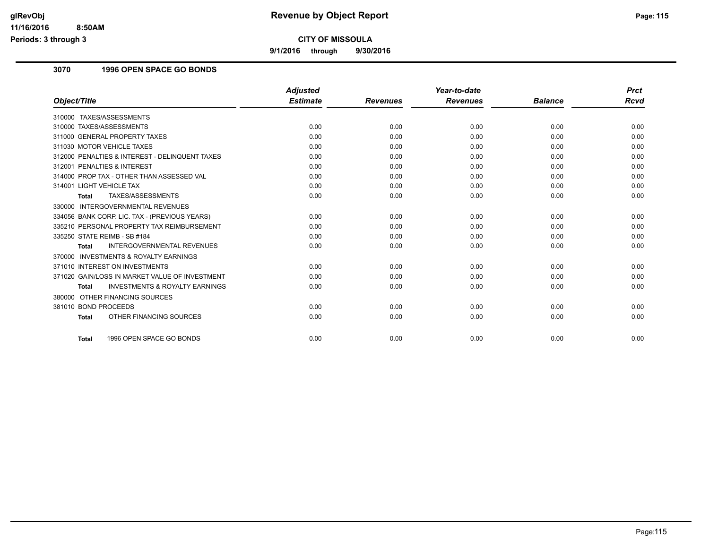**8:50AM**

**CITY OF MISSOULA**

**9/1/2016 through 9/30/2016**

#### **3070 1996 OPEN SPACE GO BONDS**

|                                                           | <b>Adjusted</b> |                 | Year-to-date    |                | <b>Prct</b> |
|-----------------------------------------------------------|-----------------|-----------------|-----------------|----------------|-------------|
| Object/Title                                              | <b>Estimate</b> | <b>Revenues</b> | <b>Revenues</b> | <b>Balance</b> | Rcvd        |
| 310000 TAXES/ASSESSMENTS                                  |                 |                 |                 |                |             |
| 310000 TAXES/ASSESSMENTS                                  | 0.00            | 0.00            | 0.00            | 0.00           | 0.00        |
| 311000 GENERAL PROPERTY TAXES                             | 0.00            | 0.00            | 0.00            | 0.00           | 0.00        |
| 311030 MOTOR VEHICLE TAXES                                | 0.00            | 0.00            | 0.00            | 0.00           | 0.00        |
| 312000 PENALTIES & INTEREST - DELINQUENT TAXES            | 0.00            | 0.00            | 0.00            | 0.00           | 0.00        |
| 312001 PENALTIES & INTEREST                               | 0.00            | 0.00            | 0.00            | 0.00           | 0.00        |
| 314000 PROP TAX - OTHER THAN ASSESSED VAL                 | 0.00            | 0.00            | 0.00            | 0.00           | 0.00        |
| 314001 LIGHT VEHICLE TAX                                  | 0.00            | 0.00            | 0.00            | 0.00           | 0.00        |
| TAXES/ASSESSMENTS<br><b>Total</b>                         | 0.00            | 0.00            | 0.00            | 0.00           | 0.00        |
| 330000 INTERGOVERNMENTAL REVENUES                         |                 |                 |                 |                |             |
| 334056 BANK CORP. LIC. TAX - (PREVIOUS YEARS)             | 0.00            | 0.00            | 0.00            | 0.00           | 0.00        |
| 335210 PERSONAL PROPERTY TAX REIMBURSEMENT                | 0.00            | 0.00            | 0.00            | 0.00           | 0.00        |
| 335250 STATE REIMB - SB #184                              | 0.00            | 0.00            | 0.00            | 0.00           | 0.00        |
| <b>INTERGOVERNMENTAL REVENUES</b><br><b>Total</b>         | 0.00            | 0.00            | 0.00            | 0.00           | 0.00        |
| 370000 INVESTMENTS & ROYALTY EARNINGS                     |                 |                 |                 |                |             |
| 371010 INTEREST ON INVESTMENTS                            | 0.00            | 0.00            | 0.00            | 0.00           | 0.00        |
| 371020 GAIN/LOSS IN MARKET VALUE OF INVESTMENT            | 0.00            | 0.00            | 0.00            | 0.00           | 0.00        |
| <b>INVESTMENTS &amp; ROYALTY EARNINGS</b><br><b>Total</b> | 0.00            | 0.00            | 0.00            | 0.00           | 0.00        |
| 380000 OTHER FINANCING SOURCES                            |                 |                 |                 |                |             |
| 381010 BOND PROCEEDS                                      | 0.00            | 0.00            | 0.00            | 0.00           | 0.00        |
| OTHER FINANCING SOURCES<br><b>Total</b>                   | 0.00            | 0.00            | 0.00            | 0.00           | 0.00        |
| 1996 OPEN SPACE GO BONDS<br><b>Total</b>                  | 0.00            | 0.00            | 0.00            | 0.00           | 0.00        |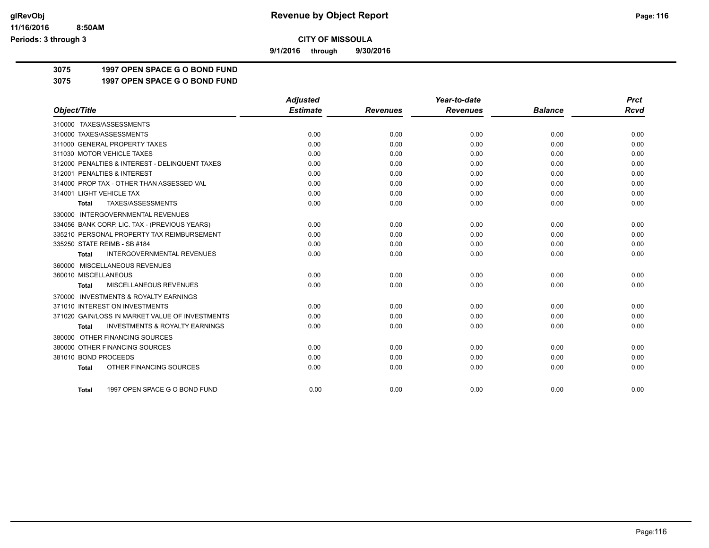**9/1/2016 through 9/30/2016**

### **3075 1997 OPEN SPACE G O BOND FUND**

#### **3075 1997 OPEN SPACE G O BOND FUND**

|                                                    | <b>Adjusted</b> |                 | Year-to-date    |                | <b>Prct</b> |
|----------------------------------------------------|-----------------|-----------------|-----------------|----------------|-------------|
| Object/Title                                       | <b>Estimate</b> | <b>Revenues</b> | <b>Revenues</b> | <b>Balance</b> | Rcvd        |
| 310000 TAXES/ASSESSMENTS                           |                 |                 |                 |                |             |
| 310000 TAXES/ASSESSMENTS                           | 0.00            | 0.00            | 0.00            | 0.00           | 0.00        |
| 311000 GENERAL PROPERTY TAXES                      | 0.00            | 0.00            | 0.00            | 0.00           | 0.00        |
| 311030 MOTOR VEHICLE TAXES                         | 0.00            | 0.00            | 0.00            | 0.00           | 0.00        |
| 312000 PENALTIES & INTEREST - DELINQUENT TAXES     | 0.00            | 0.00            | 0.00            | 0.00           | 0.00        |
| 312001 PENALTIES & INTEREST                        | 0.00            | 0.00            | 0.00            | 0.00           | 0.00        |
| 314000 PROP TAX - OTHER THAN ASSESSED VAL          | 0.00            | 0.00            | 0.00            | 0.00           | 0.00        |
| 314001 LIGHT VEHICLE TAX                           | 0.00            | 0.00            | 0.00            | 0.00           | 0.00        |
| TAXES/ASSESSMENTS<br>Total                         | 0.00            | 0.00            | 0.00            | 0.00           | 0.00        |
| 330000 INTERGOVERNMENTAL REVENUES                  |                 |                 |                 |                |             |
| 334056 BANK CORP. LIC. TAX - (PREVIOUS YEARS)      | 0.00            | 0.00            | 0.00            | 0.00           | 0.00        |
| 335210 PERSONAL PROPERTY TAX REIMBURSEMENT         | 0.00            | 0.00            | 0.00            | 0.00           | 0.00        |
| 335250 STATE REIMB - SB #184                       | 0.00            | 0.00            | 0.00            | 0.00           | 0.00        |
| <b>INTERGOVERNMENTAL REVENUES</b><br><b>Total</b>  | 0.00            | 0.00            | 0.00            | 0.00           | 0.00        |
| 360000 MISCELLANEOUS REVENUES                      |                 |                 |                 |                |             |
| 360010 MISCELLANEOUS                               | 0.00            | 0.00            | 0.00            | 0.00           | 0.00        |
| <b>MISCELLANEOUS REVENUES</b><br>Total             | 0.00            | 0.00            | 0.00            | 0.00           | 0.00        |
| 370000 INVESTMENTS & ROYALTY EARNINGS              |                 |                 |                 |                |             |
| 371010 INTEREST ON INVESTMENTS                     | 0.00            | 0.00            | 0.00            | 0.00           | 0.00        |
| 371020 GAIN/LOSS IN MARKET VALUE OF INVESTMENTS    | 0.00            | 0.00            | 0.00            | 0.00           | 0.00        |
| <b>INVESTMENTS &amp; ROYALTY EARNINGS</b><br>Total | 0.00            | 0.00            | 0.00            | 0.00           | 0.00        |
| 380000 OTHER FINANCING SOURCES                     |                 |                 |                 |                |             |
| 380000 OTHER FINANCING SOURCES                     | 0.00            | 0.00            | 0.00            | 0.00           | 0.00        |
| 381010 BOND PROCEEDS                               | 0.00            | 0.00            | 0.00            | 0.00           | 0.00        |
| OTHER FINANCING SOURCES<br><b>Total</b>            | 0.00            | 0.00            | 0.00            | 0.00           | 0.00        |
|                                                    |                 |                 |                 |                |             |
| 1997 OPEN SPACE G O BOND FUND<br><b>Total</b>      | 0.00            | 0.00            | 0.00            | 0.00           | 0.00        |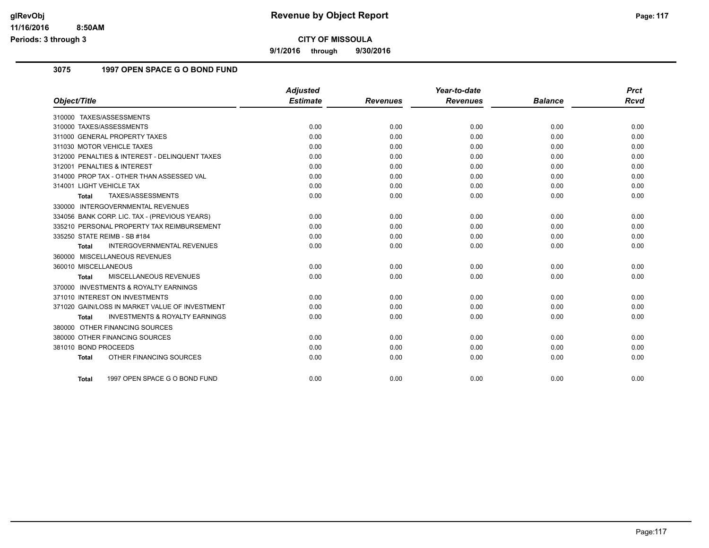**9/1/2016 through 9/30/2016**

#### **3075 1997 OPEN SPACE G O BOND FUND**

|                                                           | <b>Adjusted</b> |                 | Year-to-date    |                | <b>Prct</b> |
|-----------------------------------------------------------|-----------------|-----------------|-----------------|----------------|-------------|
| Object/Title                                              | <b>Estimate</b> | <b>Revenues</b> | <b>Revenues</b> | <b>Balance</b> | <b>Rcvd</b> |
| 310000 TAXES/ASSESSMENTS                                  |                 |                 |                 |                |             |
| 310000 TAXES/ASSESSMENTS                                  | 0.00            | 0.00            | 0.00            | 0.00           | 0.00        |
| 311000 GENERAL PROPERTY TAXES                             | 0.00            | 0.00            | 0.00            | 0.00           | 0.00        |
| 311030 MOTOR VEHICLE TAXES                                | 0.00            | 0.00            | 0.00            | 0.00           | 0.00        |
| 312000 PENALTIES & INTEREST - DELINQUENT TAXES            | 0.00            | 0.00            | 0.00            | 0.00           | 0.00        |
| 312001 PENALTIES & INTEREST                               | 0.00            | 0.00            | 0.00            | 0.00           | 0.00        |
| 314000 PROP TAX - OTHER THAN ASSESSED VAL                 | 0.00            | 0.00            | 0.00            | 0.00           | 0.00        |
| 314001 LIGHT VEHICLE TAX                                  | 0.00            | 0.00            | 0.00            | 0.00           | 0.00        |
| TAXES/ASSESSMENTS<br><b>Total</b>                         | 0.00            | 0.00            | 0.00            | 0.00           | 0.00        |
| 330000 INTERGOVERNMENTAL REVENUES                         |                 |                 |                 |                |             |
| 334056 BANK CORP. LIC. TAX - (PREVIOUS YEARS)             | 0.00            | 0.00            | 0.00            | 0.00           | 0.00        |
| 335210 PERSONAL PROPERTY TAX REIMBURSEMENT                | 0.00            | 0.00            | 0.00            | 0.00           | 0.00        |
| 335250 STATE REIMB - SB #184                              | 0.00            | 0.00            | 0.00            | 0.00           | 0.00        |
| <b>INTERGOVERNMENTAL REVENUES</b><br><b>Total</b>         | 0.00            | 0.00            | 0.00            | 0.00           | 0.00        |
| 360000 MISCELLANEOUS REVENUES                             |                 |                 |                 |                |             |
| 360010 MISCELLANEOUS                                      | 0.00            | 0.00            | 0.00            | 0.00           | 0.00        |
| MISCELLANEOUS REVENUES<br><b>Total</b>                    | 0.00            | 0.00            | 0.00            | 0.00           | 0.00        |
| 370000 INVESTMENTS & ROYALTY EARNINGS                     |                 |                 |                 |                |             |
| 371010 INTEREST ON INVESTMENTS                            | 0.00            | 0.00            | 0.00            | 0.00           | 0.00        |
| 371020 GAIN/LOSS IN MARKET VALUE OF INVESTMENT            | 0.00            | 0.00            | 0.00            | 0.00           | 0.00        |
| <b>INVESTMENTS &amp; ROYALTY EARNINGS</b><br><b>Total</b> | 0.00            | 0.00            | 0.00            | 0.00           | 0.00        |
| 380000 OTHER FINANCING SOURCES                            |                 |                 |                 |                |             |
| 380000 OTHER FINANCING SOURCES                            | 0.00            | 0.00            | 0.00            | 0.00           | 0.00        |
| 381010 BOND PROCEEDS                                      | 0.00            | 0.00            | 0.00            | 0.00           | 0.00        |
| OTHER FINANCING SOURCES<br><b>Total</b>                   | 0.00            | 0.00            | 0.00            | 0.00           | 0.00        |
|                                                           |                 |                 |                 |                |             |
| 1997 OPEN SPACE G O BOND FUND<br><b>Total</b>             | 0.00            | 0.00            | 0.00            | 0.00           | 0.00        |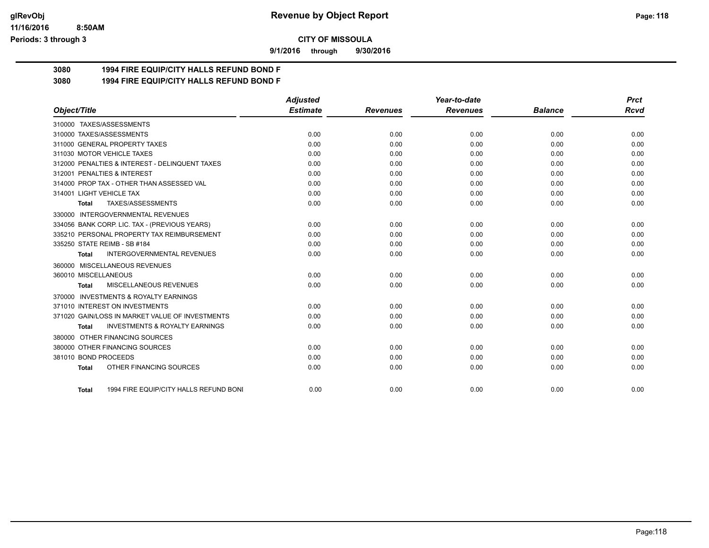**11/16/2016 8:50AM Periods: 3 through 3**

**CITY OF MISSOULA**

**9/1/2016 through 9/30/2016**

### **3080 1994 FIRE EQUIP/CITY HALLS REFUND BOND F**

**3080 1994 FIRE EQUIP/CITY HALLS REFUND BOND F**

|                              |                                                 | <b>Adjusted</b> |                 | Year-to-date    |                | <b>Prct</b> |
|------------------------------|-------------------------------------------------|-----------------|-----------------|-----------------|----------------|-------------|
| Object/Title                 |                                                 | <b>Estimate</b> | <b>Revenues</b> | <b>Revenues</b> | <b>Balance</b> | <b>Rcvd</b> |
| 310000 TAXES/ASSESSMENTS     |                                                 |                 |                 |                 |                |             |
| 310000 TAXES/ASSESSMENTS     |                                                 | 0.00            | 0.00            | 0.00            | 0.00           | 0.00        |
|                              | 311000 GENERAL PROPERTY TAXES                   | 0.00            | 0.00            | 0.00            | 0.00           | 0.00        |
| 311030 MOTOR VEHICLE TAXES   |                                                 | 0.00            | 0.00            | 0.00            | 0.00           | 0.00        |
|                              | 312000 PENALTIES & INTEREST - DELINQUENT TAXES  | 0.00            | 0.00            | 0.00            | 0.00           | 0.00        |
| 312001 PENALTIES & INTEREST  |                                                 | 0.00            | 0.00            | 0.00            | 0.00           | 0.00        |
|                              | 314000 PROP TAX - OTHER THAN ASSESSED VAL       | 0.00            | 0.00            | 0.00            | 0.00           | 0.00        |
| 314001 LIGHT VEHICLE TAX     |                                                 | 0.00            | 0.00            | 0.00            | 0.00           | 0.00        |
| Total                        | TAXES/ASSESSMENTS                               | 0.00            | 0.00            | 0.00            | 0.00           | 0.00        |
|                              | 330000 INTERGOVERNMENTAL REVENUES               |                 |                 |                 |                |             |
|                              | 334056 BANK CORP. LIC. TAX - (PREVIOUS YEARS)   | 0.00            | 0.00            | 0.00            | 0.00           | 0.00        |
|                              | 335210 PERSONAL PROPERTY TAX REIMBURSEMENT      | 0.00            | 0.00            | 0.00            | 0.00           | 0.00        |
| 335250 STATE REIMB - SB #184 |                                                 | 0.00            | 0.00            | 0.00            | 0.00           | 0.00        |
| <b>Total</b>                 | <b>INTERGOVERNMENTAL REVENUES</b>               | 0.00            | 0.00            | 0.00            | 0.00           | 0.00        |
|                              | 360000 MISCELLANEOUS REVENUES                   |                 |                 |                 |                |             |
| 360010 MISCELLANEOUS         |                                                 | 0.00            | 0.00            | 0.00            | 0.00           | 0.00        |
| Total                        | <b>MISCELLANEOUS REVENUES</b>                   | 0.00            | 0.00            | 0.00            | 0.00           | 0.00        |
| 370000                       | <b>INVESTMENTS &amp; ROYALTY EARNINGS</b>       |                 |                 |                 |                |             |
|                              | 371010 INTEREST ON INVESTMENTS                  | 0.00            | 0.00            | 0.00            | 0.00           | 0.00        |
|                              | 371020 GAIN/LOSS IN MARKET VALUE OF INVESTMENTS | 0.00            | 0.00            | 0.00            | 0.00           | 0.00        |
| Total                        | <b>INVESTMENTS &amp; ROYALTY EARNINGS</b>       | 0.00            | 0.00            | 0.00            | 0.00           | 0.00        |
|                              | 380000 OTHER FINANCING SOURCES                  |                 |                 |                 |                |             |
|                              | 380000 OTHER FINANCING SOURCES                  | 0.00            | 0.00            | 0.00            | 0.00           | 0.00        |
| 381010 BOND PROCEEDS         |                                                 | 0.00            | 0.00            | 0.00            | 0.00           | 0.00        |
| <b>Total</b>                 | OTHER FINANCING SOURCES                         | 0.00            | 0.00            | 0.00            | 0.00           | 0.00        |
|                              |                                                 |                 |                 |                 |                |             |
| <b>Total</b>                 | 1994 FIRE EQUIP/CITY HALLS REFUND BONI          | 0.00            | 0.00            | 0.00            | 0.00           | 0.00        |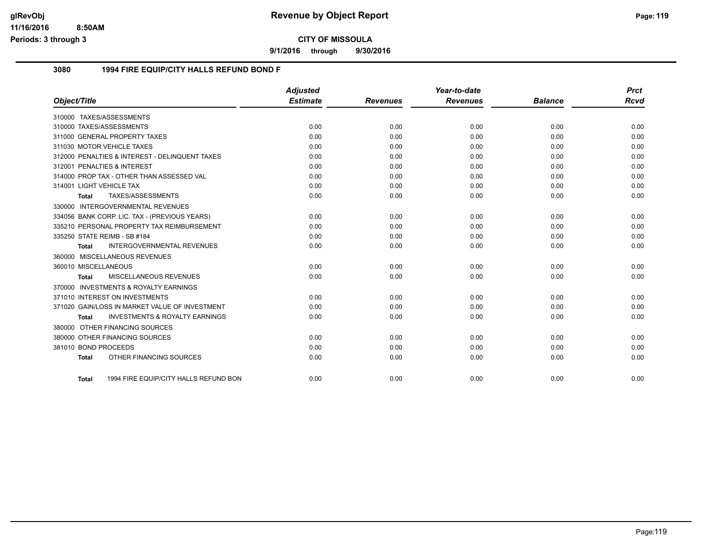**8:50AM**

**CITY OF MISSOULA**

**9/1/2016 through 9/30/2016**

#### **3080 1994 FIRE EQUIP/CITY HALLS REFUND BOND F**

|                                |                                                | <b>Adjusted</b> |                 | Year-to-date    |                | <b>Prct</b> |
|--------------------------------|------------------------------------------------|-----------------|-----------------|-----------------|----------------|-------------|
| Object/Title                   |                                                | <b>Estimate</b> | <b>Revenues</b> | <b>Revenues</b> | <b>Balance</b> | <b>Rcvd</b> |
| 310000 TAXES/ASSESSMENTS       |                                                |                 |                 |                 |                |             |
| 310000 TAXES/ASSESSMENTS       |                                                | 0.00            | 0.00            | 0.00            | 0.00           | 0.00        |
| 311000 GENERAL PROPERTY TAXES  |                                                | 0.00            | 0.00            | 0.00            | 0.00           | 0.00        |
| 311030 MOTOR VEHICLE TAXES     |                                                | 0.00            | 0.00            | 0.00            | 0.00           | 0.00        |
|                                | 312000 PENALTIES & INTEREST - DELINQUENT TAXES | 0.00            | 0.00            | 0.00            | 0.00           | 0.00        |
| 312001 PENALTIES & INTEREST    |                                                | 0.00            | 0.00            | 0.00            | 0.00           | 0.00        |
|                                | 314000 PROP TAX - OTHER THAN ASSESSED VAL      | 0.00            | 0.00            | 0.00            | 0.00           | 0.00        |
| 314001 LIGHT VEHICLE TAX       |                                                | 0.00            | 0.00            | 0.00            | 0.00           | 0.00        |
| <b>Total</b>                   | TAXES/ASSESSMENTS                              | 0.00            | 0.00            | 0.00            | 0.00           | 0.00        |
|                                | 330000 INTERGOVERNMENTAL REVENUES              |                 |                 |                 |                |             |
|                                | 334056 BANK CORP. LIC. TAX - (PREVIOUS YEARS)  | 0.00            | 0.00            | 0.00            | 0.00           | 0.00        |
|                                | 335210 PERSONAL PROPERTY TAX REIMBURSEMENT     | 0.00            | 0.00            | 0.00            | 0.00           | 0.00        |
| 335250 STATE REIMB - SB #184   |                                                | 0.00            | 0.00            | 0.00            | 0.00           | 0.00        |
| <b>Total</b>                   | <b>INTERGOVERNMENTAL REVENUES</b>              | 0.00            | 0.00            | 0.00            | 0.00           | 0.00        |
| 360000 MISCELLANEOUS REVENUES  |                                                |                 |                 |                 |                |             |
| 360010 MISCELLANEOUS           |                                                | 0.00            | 0.00            | 0.00            | 0.00           | 0.00        |
| <b>Total</b>                   | MISCELLANEOUS REVENUES                         | 0.00            | 0.00            | 0.00            | 0.00           | 0.00        |
|                                | 370000 INVESTMENTS & ROYALTY EARNINGS          |                 |                 |                 |                |             |
| 371010 INTEREST ON INVESTMENTS |                                                | 0.00            | 0.00            | 0.00            | 0.00           | 0.00        |
|                                | 371020 GAIN/LOSS IN MARKET VALUE OF INVESTMENT | 0.00            | 0.00            | 0.00            | 0.00           | 0.00        |
| <b>Total</b>                   | <b>INVESTMENTS &amp; ROYALTY EARNINGS</b>      | 0.00            | 0.00            | 0.00            | 0.00           | 0.00        |
| 380000 OTHER FINANCING SOURCES |                                                |                 |                 |                 |                |             |
| 380000 OTHER FINANCING SOURCES |                                                | 0.00            | 0.00            | 0.00            | 0.00           | 0.00        |
| 381010 BOND PROCEEDS           |                                                | 0.00            | 0.00            | 0.00            | 0.00           | 0.00        |
| <b>Total</b>                   | OTHER FINANCING SOURCES                        | 0.00            | 0.00            | 0.00            | 0.00           | 0.00        |
| Total                          | 1994 FIRE EQUIP/CITY HALLS REFUND BON          | 0.00            | 0.00            | 0.00            | 0.00           | 0.00        |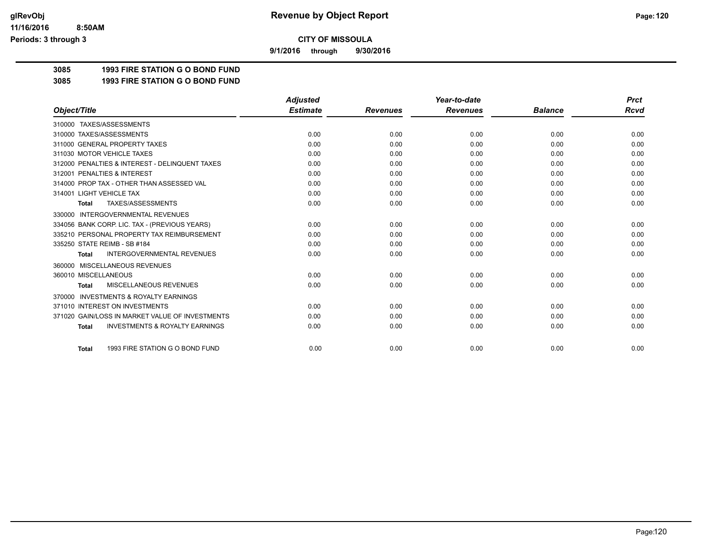**9/1/2016 through 9/30/2016**

**3085 1993 FIRE STATION G O BOND FUND**

**3085 1993 FIRE STATION G O BOND FUND**

|                                                           | <b>Adjusted</b> |                 | Year-to-date    |                | <b>Prct</b> |
|-----------------------------------------------------------|-----------------|-----------------|-----------------|----------------|-------------|
| Object/Title                                              | <b>Estimate</b> | <b>Revenues</b> | <b>Revenues</b> | <b>Balance</b> | Rcvd        |
| 310000 TAXES/ASSESSMENTS                                  |                 |                 |                 |                |             |
| 310000 TAXES/ASSESSMENTS                                  | 0.00            | 0.00            | 0.00            | 0.00           | 0.00        |
| 311000 GENERAL PROPERTY TAXES                             | 0.00            | 0.00            | 0.00            | 0.00           | 0.00        |
| 311030 MOTOR VEHICLE TAXES                                | 0.00            | 0.00            | 0.00            | 0.00           | 0.00        |
| 312000 PENALTIES & INTEREST - DELINQUENT TAXES            | 0.00            | 0.00            | 0.00            | 0.00           | 0.00        |
| 312001 PENALTIES & INTEREST                               | 0.00            | 0.00            | 0.00            | 0.00           | 0.00        |
| 314000 PROP TAX - OTHER THAN ASSESSED VAL                 | 0.00            | 0.00            | 0.00            | 0.00           | 0.00        |
| 314001 LIGHT VEHICLE TAX                                  | 0.00            | 0.00            | 0.00            | 0.00           | 0.00        |
| TAXES/ASSESSMENTS<br><b>Total</b>                         | 0.00            | 0.00            | 0.00            | 0.00           | 0.00        |
| <b>INTERGOVERNMENTAL REVENUES</b><br>330000               |                 |                 |                 |                |             |
| 334056 BANK CORP. LIC. TAX - (PREVIOUS YEARS)             | 0.00            | 0.00            | 0.00            | 0.00           | 0.00        |
| 335210 PERSONAL PROPERTY TAX REIMBURSEMENT                | 0.00            | 0.00            | 0.00            | 0.00           | 0.00        |
| 335250 STATE REIMB - SB #184                              | 0.00            | 0.00            | 0.00            | 0.00           | 0.00        |
| <b>INTERGOVERNMENTAL REVENUES</b><br><b>Total</b>         | 0.00            | 0.00            | 0.00            | 0.00           | 0.00        |
| MISCELLANEOUS REVENUES<br>360000                          |                 |                 |                 |                |             |
| 360010 MISCELLANEOUS                                      | 0.00            | 0.00            | 0.00            | 0.00           | 0.00        |
| <b>MISCELLANEOUS REVENUES</b><br><b>Total</b>             | 0.00            | 0.00            | 0.00            | 0.00           | 0.00        |
| <b>INVESTMENTS &amp; ROYALTY EARNINGS</b><br>370000       |                 |                 |                 |                |             |
| 371010 INTEREST ON INVESTMENTS                            | 0.00            | 0.00            | 0.00            | 0.00           | 0.00        |
| 371020 GAIN/LOSS IN MARKET VALUE OF INVESTMENTS           | 0.00            | 0.00            | 0.00            | 0.00           | 0.00        |
| <b>INVESTMENTS &amp; ROYALTY EARNINGS</b><br><b>Total</b> | 0.00            | 0.00            | 0.00            | 0.00           | 0.00        |
| 1993 FIRE STATION G O BOND FUND<br><b>Total</b>           | 0.00            | 0.00            | 0.00            | 0.00           | 0.00        |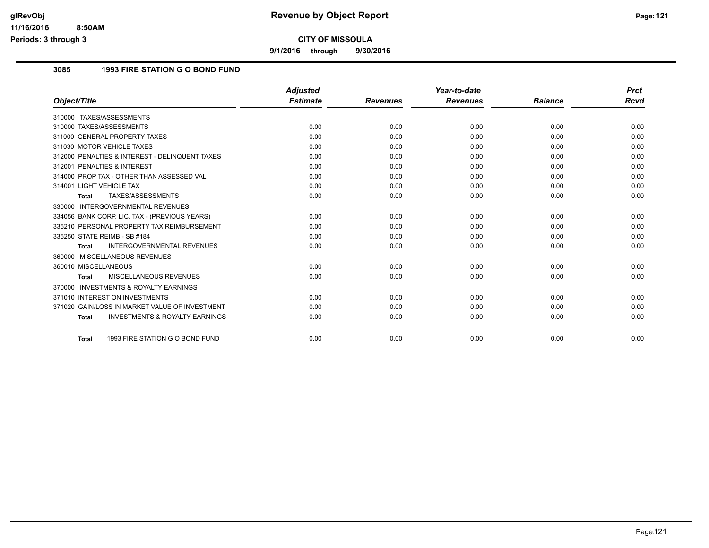**9/1/2016 through 9/30/2016**

#### **3085 1993 FIRE STATION G O BOND FUND**

|                                                           | <b>Adjusted</b> |                 | Year-to-date    |                | <b>Prct</b> |
|-----------------------------------------------------------|-----------------|-----------------|-----------------|----------------|-------------|
| Object/Title                                              | <b>Estimate</b> | <b>Revenues</b> | <b>Revenues</b> | <b>Balance</b> | Rcvd        |
| 310000 TAXES/ASSESSMENTS                                  |                 |                 |                 |                |             |
| 310000 TAXES/ASSESSMENTS                                  | 0.00            | 0.00            | 0.00            | 0.00           | 0.00        |
| 311000 GENERAL PROPERTY TAXES                             | 0.00            | 0.00            | 0.00            | 0.00           | 0.00        |
| 311030 MOTOR VEHICLE TAXES                                | 0.00            | 0.00            | 0.00            | 0.00           | 0.00        |
| 312000 PENALTIES & INTEREST - DELINQUENT TAXES            | 0.00            | 0.00            | 0.00            | 0.00           | 0.00        |
| 312001 PENALTIES & INTEREST                               | 0.00            | 0.00            | 0.00            | 0.00           | 0.00        |
| 314000 PROP TAX - OTHER THAN ASSESSED VAL                 | 0.00            | 0.00            | 0.00            | 0.00           | 0.00        |
| 314001 LIGHT VEHICLE TAX                                  | 0.00            | 0.00            | 0.00            | 0.00           | 0.00        |
| TAXES/ASSESSMENTS<br>Total                                | 0.00            | 0.00            | 0.00            | 0.00           | 0.00        |
| 330000 INTERGOVERNMENTAL REVENUES                         |                 |                 |                 |                |             |
| 334056 BANK CORP. LIC. TAX - (PREVIOUS YEARS)             | 0.00            | 0.00            | 0.00            | 0.00           | 0.00        |
| 335210 PERSONAL PROPERTY TAX REIMBURSEMENT                | 0.00            | 0.00            | 0.00            | 0.00           | 0.00        |
| 335250 STATE REIMB - SB #184                              | 0.00            | 0.00            | 0.00            | 0.00           | 0.00        |
| <b>INTERGOVERNMENTAL REVENUES</b><br><b>Total</b>         | 0.00            | 0.00            | 0.00            | 0.00           | 0.00        |
| 360000 MISCELLANEOUS REVENUES                             |                 |                 |                 |                |             |
| 360010 MISCELLANEOUS                                      | 0.00            | 0.00            | 0.00            | 0.00           | 0.00        |
| MISCELLANEOUS REVENUES<br><b>Total</b>                    | 0.00            | 0.00            | 0.00            | 0.00           | 0.00        |
| 370000 INVESTMENTS & ROYALTY EARNINGS                     |                 |                 |                 |                |             |
| 371010 INTEREST ON INVESTMENTS                            | 0.00            | 0.00            | 0.00            | 0.00           | 0.00        |
| 371020 GAIN/LOSS IN MARKET VALUE OF INVESTMENT            | 0.00            | 0.00            | 0.00            | 0.00           | 0.00        |
| <b>INVESTMENTS &amp; ROYALTY EARNINGS</b><br><b>Total</b> | 0.00            | 0.00            | 0.00            | 0.00           | 0.00        |
| 1993 FIRE STATION G O BOND FUND<br>Total                  | 0.00            | 0.00            | 0.00            | 0.00           | 0.00        |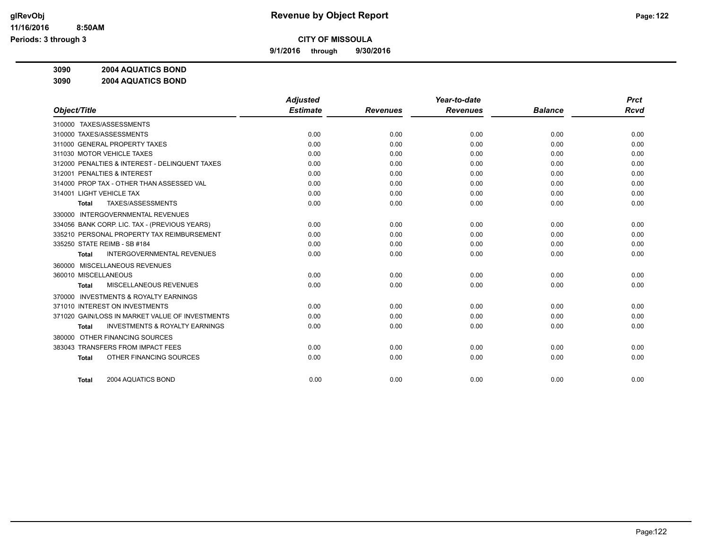**9/1/2016 through 9/30/2016**

**3090 2004 AQUATICS BOND**

**3090 2004 AQUATICS BOND**

|                                                           | <b>Adjusted</b> |                 | Year-to-date    |                | <b>Prct</b> |
|-----------------------------------------------------------|-----------------|-----------------|-----------------|----------------|-------------|
| Object/Title                                              | <b>Estimate</b> | <b>Revenues</b> | <b>Revenues</b> | <b>Balance</b> | <b>Rcvd</b> |
| 310000 TAXES/ASSESSMENTS                                  |                 |                 |                 |                |             |
| 310000 TAXES/ASSESSMENTS                                  | 0.00            | 0.00            | 0.00            | 0.00           | 0.00        |
| 311000 GENERAL PROPERTY TAXES                             | 0.00            | 0.00            | 0.00            | 0.00           | 0.00        |
| 311030 MOTOR VEHICLE TAXES                                | 0.00            | 0.00            | 0.00            | 0.00           | 0.00        |
| 312000 PENALTIES & INTEREST - DELINQUENT TAXES            | 0.00            | 0.00            | 0.00            | 0.00           | 0.00        |
| 312001 PENALTIES & INTEREST                               | 0.00            | 0.00            | 0.00            | 0.00           | 0.00        |
| 314000 PROP TAX - OTHER THAN ASSESSED VAL                 | 0.00            | 0.00            | 0.00            | 0.00           | 0.00        |
| 314001 LIGHT VEHICLE TAX                                  | 0.00            | 0.00            | 0.00            | 0.00           | 0.00        |
| TAXES/ASSESSMENTS<br><b>Total</b>                         | 0.00            | 0.00            | 0.00            | 0.00           | 0.00        |
| 330000 INTERGOVERNMENTAL REVENUES                         |                 |                 |                 |                |             |
| 334056 BANK CORP. LIC. TAX - (PREVIOUS YEARS)             | 0.00            | 0.00            | 0.00            | 0.00           | 0.00        |
| 335210 PERSONAL PROPERTY TAX REIMBURSEMENT                | 0.00            | 0.00            | 0.00            | 0.00           | 0.00        |
| 335250 STATE REIMB - SB #184                              | 0.00            | 0.00            | 0.00            | 0.00           | 0.00        |
| <b>INTERGOVERNMENTAL REVENUES</b><br>Total                | 0.00            | 0.00            | 0.00            | 0.00           | 0.00        |
| 360000 MISCELLANEOUS REVENUES                             |                 |                 |                 |                |             |
| 360010 MISCELLANEOUS                                      | 0.00            | 0.00            | 0.00            | 0.00           | 0.00        |
| MISCELLANEOUS REVENUES<br><b>Total</b>                    | 0.00            | 0.00            | 0.00            | 0.00           | 0.00        |
| 370000 INVESTMENTS & ROYALTY EARNINGS                     |                 |                 |                 |                |             |
| 371010 INTEREST ON INVESTMENTS                            | 0.00            | 0.00            | 0.00            | 0.00           | 0.00        |
| 371020 GAIN/LOSS IN MARKET VALUE OF INVESTMENTS           | 0.00            | 0.00            | 0.00            | 0.00           | 0.00        |
| <b>INVESTMENTS &amp; ROYALTY EARNINGS</b><br><b>Total</b> | 0.00            | 0.00            | 0.00            | 0.00           | 0.00        |
| 380000 OTHER FINANCING SOURCES                            |                 |                 |                 |                |             |
| 383043 TRANSFERS FROM IMPACT FEES                         | 0.00            | 0.00            | 0.00            | 0.00           | 0.00        |
| OTHER FINANCING SOURCES<br><b>Total</b>                   | 0.00            | 0.00            | 0.00            | 0.00           | 0.00        |
| 2004 AQUATICS BOND<br><b>Total</b>                        | 0.00            | 0.00            | 0.00            | 0.00           | 0.00        |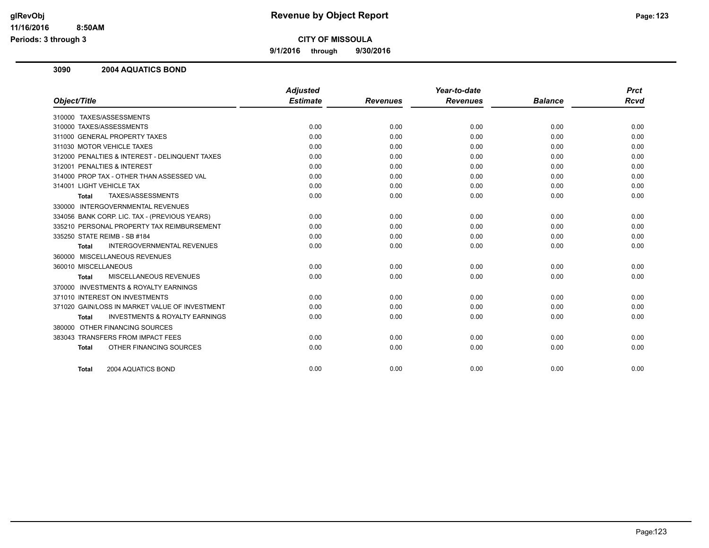**CITY OF MISSOULA**

**9/1/2016 through 9/30/2016**

#### **3090 2004 AQUATICS BOND**

 **8:50AM**

|                                                           | <b>Adjusted</b> |                 | Year-to-date    |                | <b>Prct</b> |
|-----------------------------------------------------------|-----------------|-----------------|-----------------|----------------|-------------|
| Object/Title                                              | <b>Estimate</b> | <b>Revenues</b> | <b>Revenues</b> | <b>Balance</b> | Rcvd        |
| 310000 TAXES/ASSESSMENTS                                  |                 |                 |                 |                |             |
| 310000 TAXES/ASSESSMENTS                                  | 0.00            | 0.00            | 0.00            | 0.00           | 0.00        |
| 311000 GENERAL PROPERTY TAXES                             | 0.00            | 0.00            | 0.00            | 0.00           | 0.00        |
| 311030 MOTOR VEHICLE TAXES                                | 0.00            | 0.00            | 0.00            | 0.00           | 0.00        |
| 312000 PENALTIES & INTEREST - DELINQUENT TAXES            | 0.00            | 0.00            | 0.00            | 0.00           | 0.00        |
| 312001 PENALTIES & INTEREST                               | 0.00            | 0.00            | 0.00            | 0.00           | 0.00        |
| 314000 PROP TAX - OTHER THAN ASSESSED VAL                 | 0.00            | 0.00            | 0.00            | 0.00           | 0.00        |
| 314001 LIGHT VEHICLE TAX                                  | 0.00            | 0.00            | 0.00            | 0.00           | 0.00        |
| TAXES/ASSESSMENTS<br><b>Total</b>                         | 0.00            | 0.00            | 0.00            | 0.00           | 0.00        |
| 330000 INTERGOVERNMENTAL REVENUES                         |                 |                 |                 |                |             |
| 334056 BANK CORP. LIC. TAX - (PREVIOUS YEARS)             | 0.00            | 0.00            | 0.00            | 0.00           | 0.00        |
| 335210 PERSONAL PROPERTY TAX REIMBURSEMENT                | 0.00            | 0.00            | 0.00            | 0.00           | 0.00        |
| 335250 STATE REIMB - SB #184                              | 0.00            | 0.00            | 0.00            | 0.00           | 0.00        |
| <b>INTERGOVERNMENTAL REVENUES</b><br><b>Total</b>         | 0.00            | 0.00            | 0.00            | 0.00           | 0.00        |
| 360000 MISCELLANEOUS REVENUES                             |                 |                 |                 |                |             |
| 360010 MISCELLANEOUS                                      | 0.00            | 0.00            | 0.00            | 0.00           | 0.00        |
| MISCELLANEOUS REVENUES<br><b>Total</b>                    | 0.00            | 0.00            | 0.00            | 0.00           | 0.00        |
| 370000 INVESTMENTS & ROYALTY EARNINGS                     |                 |                 |                 |                |             |
| 371010 INTEREST ON INVESTMENTS                            | 0.00            | 0.00            | 0.00            | 0.00           | 0.00        |
| 371020 GAIN/LOSS IN MARKET VALUE OF INVESTMENT            | 0.00            | 0.00            | 0.00            | 0.00           | 0.00        |
| <b>INVESTMENTS &amp; ROYALTY EARNINGS</b><br><b>Total</b> | 0.00            | 0.00            | 0.00            | 0.00           | 0.00        |
| 380000 OTHER FINANCING SOURCES                            |                 |                 |                 |                |             |
| 383043 TRANSFERS FROM IMPACT FEES                         | 0.00            | 0.00            | 0.00            | 0.00           | 0.00        |
| OTHER FINANCING SOURCES<br><b>Total</b>                   | 0.00            | 0.00            | 0.00            | 0.00           | 0.00        |
| 2004 AQUATICS BOND<br><b>Total</b>                        | 0.00            | 0.00            | 0.00            | 0.00           | 0.00        |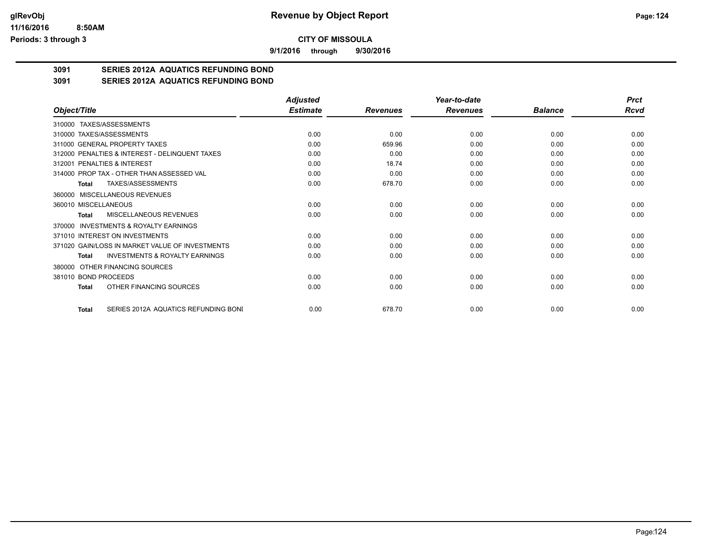**8:50AM**

**CITY OF MISSOULA**

**9/1/2016 through 9/30/2016**

## **3091 SERIES 2012A AQUATICS REFUNDING BOND**

### **3091 SERIES 2012A AQUATICS REFUNDING BOND**

|                                                           | <b>Adjusted</b> |                 | Year-to-date    |                | <b>Prct</b> |
|-----------------------------------------------------------|-----------------|-----------------|-----------------|----------------|-------------|
| Object/Title                                              | <b>Estimate</b> | <b>Revenues</b> | <b>Revenues</b> | <b>Balance</b> | Rcvd        |
| 310000 TAXES/ASSESSMENTS                                  |                 |                 |                 |                |             |
| 310000 TAXES/ASSESSMENTS                                  | 0.00            | 0.00            | 0.00            | 0.00           | 0.00        |
| 311000 GENERAL PROPERTY TAXES                             | 0.00            | 659.96          | 0.00            | 0.00           | 0.00        |
| 312000 PENALTIES & INTEREST - DELINQUENT TAXES            | 0.00            | 0.00            | 0.00            | 0.00           | 0.00        |
| 312001 PENALTIES & INTEREST                               | 0.00            | 18.74           | 0.00            | 0.00           | 0.00        |
| 314000 PROP TAX - OTHER THAN ASSESSED VAL                 | 0.00            | 0.00            | 0.00            | 0.00           | 0.00        |
| TAXES/ASSESSMENTS<br><b>Total</b>                         | 0.00            | 678.70          | 0.00            | 0.00           | 0.00        |
| MISCELLANEOUS REVENUES<br>360000                          |                 |                 |                 |                |             |
| 360010 MISCELLANEOUS                                      | 0.00            | 0.00            | 0.00            | 0.00           | 0.00        |
| MISCELLANEOUS REVENUES<br><b>Total</b>                    | 0.00            | 0.00            | 0.00            | 0.00           | 0.00        |
| <b>INVESTMENTS &amp; ROYALTY EARNINGS</b><br>370000       |                 |                 |                 |                |             |
| 371010 INTEREST ON INVESTMENTS                            | 0.00            | 0.00            | 0.00            | 0.00           | 0.00        |
| 371020 GAIN/LOSS IN MARKET VALUE OF INVESTMENTS           | 0.00            | 0.00            | 0.00            | 0.00           | 0.00        |
| <b>INVESTMENTS &amp; ROYALTY EARNINGS</b><br><b>Total</b> | 0.00            | 0.00            | 0.00            | 0.00           | 0.00        |
| OTHER FINANCING SOURCES<br>380000                         |                 |                 |                 |                |             |
| 381010 BOND PROCEEDS                                      | 0.00            | 0.00            | 0.00            | 0.00           | 0.00        |
| OTHER FINANCING SOURCES<br><b>Total</b>                   | 0.00            | 0.00            | 0.00            | 0.00           | 0.00        |
| SERIES 2012A AQUATICS REFUNDING BONI<br><b>Total</b>      | 0.00            | 678.70          | 0.00            | 0.00           | 0.00        |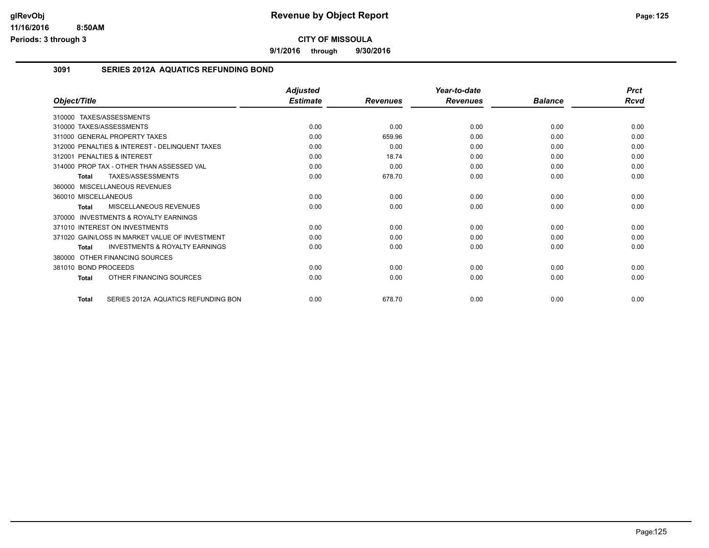**9/1/2016 through 9/30/2016**

#### **3091 SERIES 2012A AQUATICS REFUNDING BOND**

|                                                           | <b>Adjusted</b> |                 | Year-to-date    |                | <b>Prct</b> |
|-----------------------------------------------------------|-----------------|-----------------|-----------------|----------------|-------------|
| Object/Title                                              | <b>Estimate</b> | <b>Revenues</b> | <b>Revenues</b> | <b>Balance</b> | Rcvd        |
| 310000 TAXES/ASSESSMENTS                                  |                 |                 |                 |                |             |
| 310000 TAXES/ASSESSMENTS                                  | 0.00            | 0.00            | 0.00            | 0.00           | 0.00        |
| 311000 GENERAL PROPERTY TAXES                             | 0.00            | 659.96          | 0.00            | 0.00           | 0.00        |
| 312000 PENALTIES & INTEREST - DELINQUENT TAXES            | 0.00            | 0.00            | 0.00            | 0.00           | 0.00        |
| 312001 PENALTIES & INTEREST                               | 0.00            | 18.74           | 0.00            | 0.00           | 0.00        |
| 314000 PROP TAX - OTHER THAN ASSESSED VAL                 | 0.00            | 0.00            | 0.00            | 0.00           | 0.00        |
| TAXES/ASSESSMENTS<br><b>Total</b>                         | 0.00            | 678.70          | 0.00            | 0.00           | 0.00        |
| 360000 MISCELLANEOUS REVENUES                             |                 |                 |                 |                |             |
| 360010 MISCELLANEOUS                                      | 0.00            | 0.00            | 0.00            | 0.00           | 0.00        |
| MISCELLANEOUS REVENUES<br><b>Total</b>                    | 0.00            | 0.00            | 0.00            | 0.00           | 0.00        |
| 370000 INVESTMENTS & ROYALTY EARNINGS                     |                 |                 |                 |                |             |
| 371010 INTEREST ON INVESTMENTS                            | 0.00            | 0.00            | 0.00            | 0.00           | 0.00        |
| 371020 GAIN/LOSS IN MARKET VALUE OF INVESTMENT            | 0.00            | 0.00            | 0.00            | 0.00           | 0.00        |
| <b>INVESTMENTS &amp; ROYALTY EARNINGS</b><br><b>Total</b> | 0.00            | 0.00            | 0.00            | 0.00           | 0.00        |
| 380000 OTHER FINANCING SOURCES                            |                 |                 |                 |                |             |
| 381010 BOND PROCEEDS                                      | 0.00            | 0.00            | 0.00            | 0.00           | 0.00        |
| OTHER FINANCING SOURCES<br><b>Total</b>                   | 0.00            | 0.00            | 0.00            | 0.00           | 0.00        |
| SERIES 2012A AQUATICS REFUNDING BON<br><b>Total</b>       | 0.00            | 678.70          | 0.00            | 0.00           | 0.00        |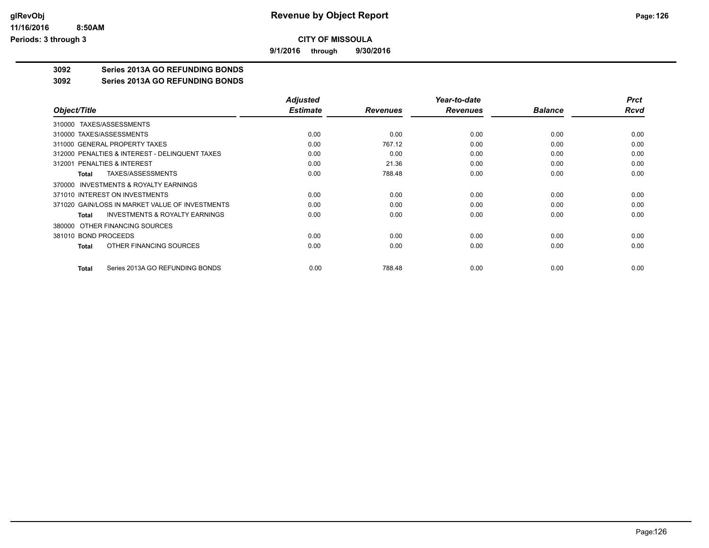**9/1/2016 through 9/30/2016**

## **3092 Series 2013A GO REFUNDING BONDS**

#### **3092 Series 2013A GO REFUNDING BONDS**

|                                                     | <b>Adjusted</b> |                 | Year-to-date    |                | <b>Prct</b> |
|-----------------------------------------------------|-----------------|-----------------|-----------------|----------------|-------------|
| Object/Title                                        | <b>Estimate</b> | <b>Revenues</b> | <b>Revenues</b> | <b>Balance</b> | <b>Rcvd</b> |
| TAXES/ASSESSMENTS<br>310000                         |                 |                 |                 |                |             |
| 310000 TAXES/ASSESSMENTS                            | 0.00            | 0.00            | 0.00            | 0.00           | 0.00        |
| 311000 GENERAL PROPERTY TAXES                       | 0.00            | 767.12          | 0.00            | 0.00           | 0.00        |
| 312000 PENALTIES & INTEREST - DELINQUENT TAXES      | 0.00            | 0.00            | 0.00            | 0.00           | 0.00        |
| 312001 PENALTIES & INTEREST                         | 0.00            | 21.36           | 0.00            | 0.00           | 0.00        |
| TAXES/ASSESSMENTS<br>Total                          | 0.00            | 788.48          | 0.00            | 0.00           | 0.00        |
| <b>INVESTMENTS &amp; ROYALTY EARNINGS</b><br>370000 |                 |                 |                 |                |             |
| 371010 INTEREST ON INVESTMENTS                      | 0.00            | 0.00            | 0.00            | 0.00           | 0.00        |
| 371020 GAIN/LOSS IN MARKET VALUE OF INVESTMENTS     | 0.00            | 0.00            | 0.00            | 0.00           | 0.00        |
| <b>INVESTMENTS &amp; ROYALTY EARNINGS</b><br>Total  | 0.00            | 0.00            | 0.00            | 0.00           | 0.00        |
| OTHER FINANCING SOURCES<br>380000                   |                 |                 |                 |                |             |
| 381010 BOND PROCEEDS                                | 0.00            | 0.00            | 0.00            | 0.00           | 0.00        |
| OTHER FINANCING SOURCES<br>Total                    | 0.00            | 0.00            | 0.00            | 0.00           | 0.00        |
| Series 2013A GO REFUNDING BONDS<br><b>Total</b>     | 0.00            | 788.48          | 0.00            | 0.00           | 0.00        |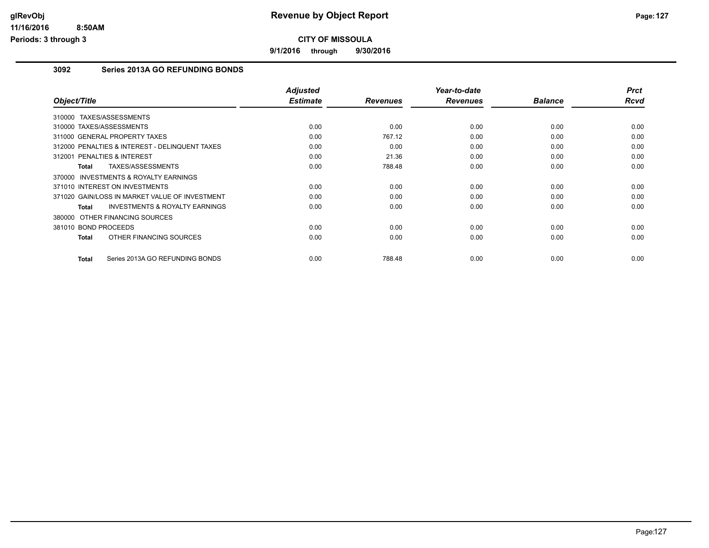**9/1/2016 through 9/30/2016**

#### **3092 Series 2013A GO REFUNDING BONDS**

| Object/Title                                        | <b>Adjusted</b><br><b>Estimate</b> | <b>Revenues</b> | Year-to-date<br><b>Revenues</b> | <b>Balance</b> | <b>Prct</b><br><b>Rcvd</b> |
|-----------------------------------------------------|------------------------------------|-----------------|---------------------------------|----------------|----------------------------|
| TAXES/ASSESSMENTS<br>310000                         |                                    |                 |                                 |                |                            |
| 310000 TAXES/ASSESSMENTS                            | 0.00                               | 0.00            | 0.00                            | 0.00           | 0.00                       |
| 311000 GENERAL PROPERTY TAXES                       | 0.00                               | 767.12          | 0.00                            | 0.00           | 0.00                       |
| 312000 PENALTIES & INTEREST - DELINQUENT TAXES      | 0.00                               | 0.00            | 0.00                            | 0.00           | 0.00                       |
| 312001 PENALTIES & INTEREST                         | 0.00                               | 21.36           | 0.00                            | 0.00           | 0.00                       |
| TAXES/ASSESSMENTS<br><b>Total</b>                   | 0.00                               | 788.48          | 0.00                            | 0.00           | 0.00                       |
| <b>INVESTMENTS &amp; ROYALTY EARNINGS</b><br>370000 |                                    |                 |                                 |                |                            |
| 371010 INTEREST ON INVESTMENTS                      | 0.00                               | 0.00            | 0.00                            | 0.00           | 0.00                       |
| 371020 GAIN/LOSS IN MARKET VALUE OF INVESTMENT      | 0.00                               | 0.00            | 0.00                            | 0.00           | 0.00                       |
| <b>INVESTMENTS &amp; ROYALTY EARNINGS</b><br>Total  | 0.00                               | 0.00            | 0.00                            | 0.00           | 0.00                       |
| 380000 OTHER FINANCING SOURCES                      |                                    |                 |                                 |                |                            |
| 381010 BOND PROCEEDS                                | 0.00                               | 0.00            | 0.00                            | 0.00           | 0.00                       |
| OTHER FINANCING SOURCES<br><b>Total</b>             | 0.00                               | 0.00            | 0.00                            | 0.00           | 0.00                       |
| Series 2013A GO REFUNDING BONDS<br><b>Total</b>     | 0.00                               | 788.48          | 0.00                            | 0.00           | 0.00                       |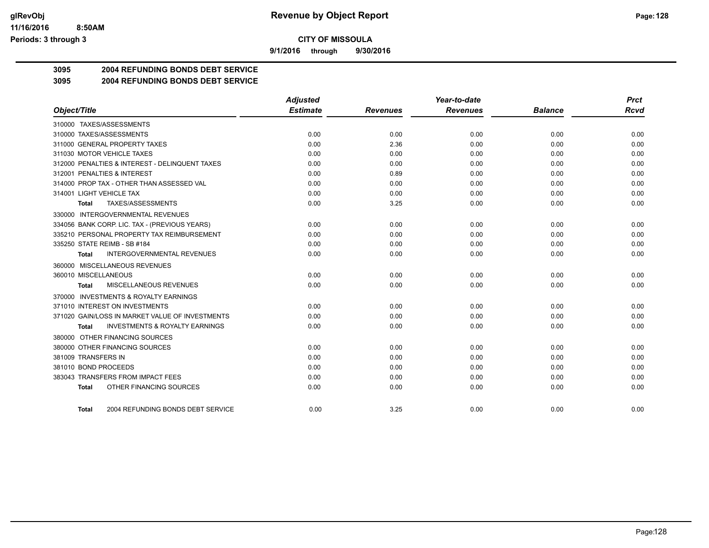**CITY OF MISSOULA**

**9/1/2016 through 9/30/2016**

# **3095 2004 REFUNDING BONDS DEBT SERVICE**

### **3095 2004 REFUNDING BONDS DEBT SERVICE**

|                                                    | <b>Adjusted</b> |                 | Year-to-date    |                | <b>Prct</b> |
|----------------------------------------------------|-----------------|-----------------|-----------------|----------------|-------------|
| Object/Title                                       | <b>Estimate</b> | <b>Revenues</b> | <b>Revenues</b> | <b>Balance</b> | <b>Rcvd</b> |
| 310000 TAXES/ASSESSMENTS                           |                 |                 |                 |                |             |
| 310000 TAXES/ASSESSMENTS                           | 0.00            | 0.00            | 0.00            | 0.00           | 0.00        |
| 311000 GENERAL PROPERTY TAXES                      | 0.00            | 2.36            | 0.00            | 0.00           | 0.00        |
| 311030 MOTOR VEHICLE TAXES                         | 0.00            | 0.00            | 0.00            | 0.00           | 0.00        |
| 312000 PENALTIES & INTEREST - DELINQUENT TAXES     | 0.00            | 0.00            | 0.00            | 0.00           | 0.00        |
| 312001 PENALTIES & INTEREST                        | 0.00            | 0.89            | 0.00            | 0.00           | 0.00        |
| 314000 PROP TAX - OTHER THAN ASSESSED VAL          | 0.00            | 0.00            | 0.00            | 0.00           | 0.00        |
| 314001 LIGHT VEHICLE TAX                           | 0.00            | 0.00            | 0.00            | 0.00           | 0.00        |
| TAXES/ASSESSMENTS<br>Total                         | 0.00            | 3.25            | 0.00            | 0.00           | 0.00        |
| 330000 INTERGOVERNMENTAL REVENUES                  |                 |                 |                 |                |             |
| 334056 BANK CORP. LIC. TAX - (PREVIOUS YEARS)      | 0.00            | 0.00            | 0.00            | 0.00           | 0.00        |
| 335210 PERSONAL PROPERTY TAX REIMBURSEMENT         | 0.00            | 0.00            | 0.00            | 0.00           | 0.00        |
| 335250 STATE REIMB - SB #184                       | 0.00            | 0.00            | 0.00            | 0.00           | 0.00        |
| <b>INTERGOVERNMENTAL REVENUES</b><br><b>Total</b>  | 0.00            | 0.00            | 0.00            | 0.00           | 0.00        |
| 360000 MISCELLANEOUS REVENUES                      |                 |                 |                 |                |             |
| 360010 MISCELLANEOUS                               | 0.00            | 0.00            | 0.00            | 0.00           | 0.00        |
| <b>MISCELLANEOUS REVENUES</b><br>Total             | 0.00            | 0.00            | 0.00            | 0.00           | 0.00        |
| 370000 INVESTMENTS & ROYALTY EARNINGS              |                 |                 |                 |                |             |
| 371010 INTEREST ON INVESTMENTS                     | 0.00            | 0.00            | 0.00            | 0.00           | 0.00        |
| 371020 GAIN/LOSS IN MARKET VALUE OF INVESTMENTS    | 0.00            | 0.00            | 0.00            | 0.00           | 0.00        |
| <b>INVESTMENTS &amp; ROYALTY EARNINGS</b><br>Total | 0.00            | 0.00            | 0.00            | 0.00           | 0.00        |
| 380000 OTHER FINANCING SOURCES                     |                 |                 |                 |                |             |
| 380000 OTHER FINANCING SOURCES                     | 0.00            | 0.00            | 0.00            | 0.00           | 0.00        |
| 381009 TRANSFERS IN                                | 0.00            | 0.00            | 0.00            | 0.00           | 0.00        |
| 381010 BOND PROCEEDS                               | 0.00            | 0.00            | 0.00            | 0.00           | 0.00        |
| 383043 TRANSFERS FROM IMPACT FEES                  | 0.00            | 0.00            | 0.00            | 0.00           | 0.00        |
| OTHER FINANCING SOURCES<br><b>Total</b>            | 0.00            | 0.00            | 0.00            | 0.00           | 0.00        |
| 2004 REFUNDING BONDS DEBT SERVICE<br>Total         | 0.00            | 3.25            | 0.00            | 0.00           | 0.00        |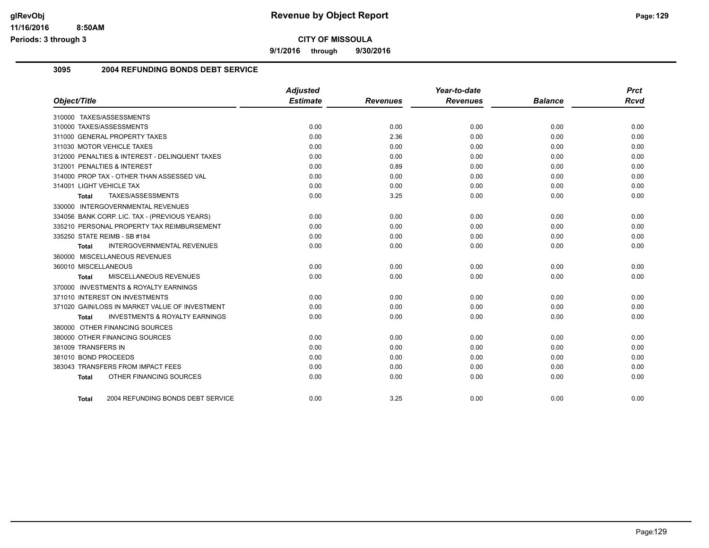**9/1/2016 through 9/30/2016**

#### **3095 2004 REFUNDING BONDS DEBT SERVICE**

|                                                           | <b>Adjusted</b> |                 | Year-to-date    |                | <b>Prct</b> |
|-----------------------------------------------------------|-----------------|-----------------|-----------------|----------------|-------------|
| Object/Title                                              | <b>Estimate</b> | <b>Revenues</b> | <b>Revenues</b> | <b>Balance</b> | <b>Rcvd</b> |
| 310000 TAXES/ASSESSMENTS                                  |                 |                 |                 |                |             |
| 310000 TAXES/ASSESSMENTS                                  | 0.00            | 0.00            | 0.00            | 0.00           | 0.00        |
| 311000 GENERAL PROPERTY TAXES                             | 0.00            | 2.36            | 0.00            | 0.00           | 0.00        |
| 311030 MOTOR VEHICLE TAXES                                | 0.00            | 0.00            | 0.00            | 0.00           | 0.00        |
| 312000 PENALTIES & INTEREST - DELINQUENT TAXES            | 0.00            | 0.00            | 0.00            | 0.00           | 0.00        |
| 312001 PENALTIES & INTEREST                               | 0.00            | 0.89            | 0.00            | 0.00           | 0.00        |
| 314000 PROP TAX - OTHER THAN ASSESSED VAL                 | 0.00            | 0.00            | 0.00            | 0.00           | 0.00        |
| 314001 LIGHT VEHICLE TAX                                  | 0.00            | 0.00            | 0.00            | 0.00           | 0.00        |
| TAXES/ASSESSMENTS<br><b>Total</b>                         | 0.00            | 3.25            | 0.00            | 0.00           | 0.00        |
| 330000 INTERGOVERNMENTAL REVENUES                         |                 |                 |                 |                |             |
| 334056 BANK CORP. LIC. TAX - (PREVIOUS YEARS)             | 0.00            | 0.00            | 0.00            | 0.00           | 0.00        |
| 335210 PERSONAL PROPERTY TAX REIMBURSEMENT                | 0.00            | 0.00            | 0.00            | 0.00           | 0.00        |
| 335250 STATE REIMB - SB #184                              | 0.00            | 0.00            | 0.00            | 0.00           | 0.00        |
| <b>INTERGOVERNMENTAL REVENUES</b><br><b>Total</b>         | 0.00            | 0.00            | 0.00            | 0.00           | 0.00        |
| 360000 MISCELLANEOUS REVENUES                             |                 |                 |                 |                |             |
| 360010 MISCELLANEOUS                                      | 0.00            | 0.00            | 0.00            | 0.00           | 0.00        |
| MISCELLANEOUS REVENUES<br><b>Total</b>                    | 0.00            | 0.00            | 0.00            | 0.00           | 0.00        |
| 370000 INVESTMENTS & ROYALTY EARNINGS                     |                 |                 |                 |                |             |
| 371010 INTEREST ON INVESTMENTS                            | 0.00            | 0.00            | 0.00            | 0.00           | 0.00        |
| 371020 GAIN/LOSS IN MARKET VALUE OF INVESTMENT            | 0.00            | 0.00            | 0.00            | 0.00           | 0.00        |
| <b>INVESTMENTS &amp; ROYALTY EARNINGS</b><br><b>Total</b> | 0.00            | 0.00            | 0.00            | 0.00           | 0.00        |
| 380000 OTHER FINANCING SOURCES                            |                 |                 |                 |                |             |
| 380000 OTHER FINANCING SOURCES                            | 0.00            | 0.00            | 0.00            | 0.00           | 0.00        |
| 381009 TRANSFERS IN                                       | 0.00            | 0.00            | 0.00            | 0.00           | 0.00        |
| 381010 BOND PROCEEDS                                      | 0.00            | 0.00            | 0.00            | 0.00           | 0.00        |
| 383043 TRANSFERS FROM IMPACT FEES                         | 0.00            | 0.00            | 0.00            | 0.00           | 0.00        |
| OTHER FINANCING SOURCES<br><b>Total</b>                   | 0.00            | 0.00            | 0.00            | 0.00           | 0.00        |
|                                                           |                 |                 |                 |                |             |
| 2004 REFUNDING BONDS DEBT SERVICE<br>Total                | 0.00            | 3.25            | 0.00            | 0.00           | 0.00        |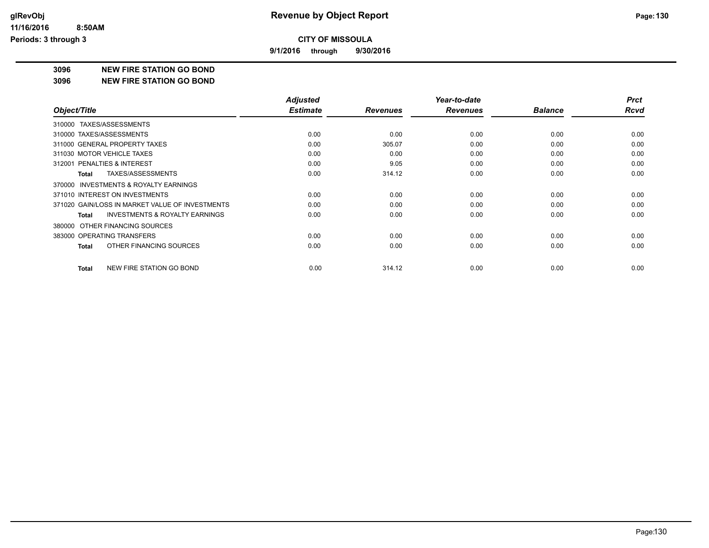**9/1/2016 through 9/30/2016**

**3096 NEW FIRE STATION GO BOND**

**3096 NEW FIRE STATION GO BOND**

|                                                    | <b>Adjusted</b> |                 | Year-to-date    |                | <b>Prct</b> |
|----------------------------------------------------|-----------------|-----------------|-----------------|----------------|-------------|
| Object/Title                                       | <b>Estimate</b> | <b>Revenues</b> | <b>Revenues</b> | <b>Balance</b> | <b>Rcvd</b> |
| 310000 TAXES/ASSESSMENTS                           |                 |                 |                 |                |             |
| 310000 TAXES/ASSESSMENTS                           | 0.00            | 0.00            | 0.00            | 0.00           | 0.00        |
| 311000 GENERAL PROPERTY TAXES                      | 0.00            | 305.07          | 0.00            | 0.00           | 0.00        |
| 311030 MOTOR VEHICLE TAXES                         | 0.00            | 0.00            | 0.00            | 0.00           | 0.00        |
| PENALTIES & INTEREST<br>312001                     | 0.00            | 9.05            | 0.00            | 0.00           | 0.00        |
| TAXES/ASSESSMENTS<br>Total                         | 0.00            | 314.12          | 0.00            | 0.00           | 0.00        |
| 370000 INVESTMENTS & ROYALTY EARNINGS              |                 |                 |                 |                |             |
| 371010 INTEREST ON INVESTMENTS                     | 0.00            | 0.00            | 0.00            | 0.00           | 0.00        |
| 371020 GAIN/LOSS IN MARKET VALUE OF INVESTMENTS    | 0.00            | 0.00            | 0.00            | 0.00           | 0.00        |
| <b>INVESTMENTS &amp; ROYALTY EARNINGS</b><br>Total | 0.00            | 0.00            | 0.00            | 0.00           | 0.00        |
| OTHER FINANCING SOURCES<br>380000                  |                 |                 |                 |                |             |
| 383000 OPERATING TRANSFERS                         | 0.00            | 0.00            | 0.00            | 0.00           | 0.00        |
| OTHER FINANCING SOURCES<br>Total                   | 0.00            | 0.00            | 0.00            | 0.00           | 0.00        |
| NEW FIRE STATION GO BOND<br><b>Total</b>           | 0.00            | 314.12          | 0.00            | 0.00           | 0.00        |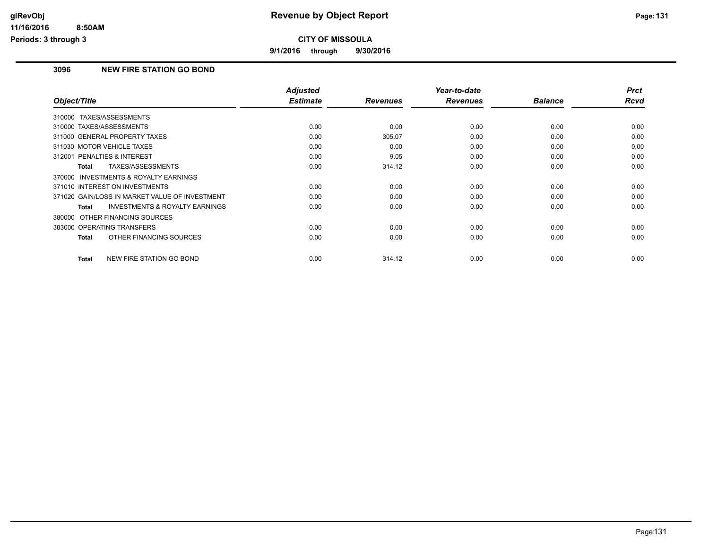**CITY OF MISSOULA**

**9/1/2016 through 9/30/2016**

#### **3096 NEW FIRE STATION GO BOND**

| Object/Title                                        | <b>Adjusted</b><br><b>Estimate</b> | <b>Revenues</b> | Year-to-date<br><b>Revenues</b> | <b>Balance</b> | <b>Prct</b><br><b>Rcvd</b> |
|-----------------------------------------------------|------------------------------------|-----------------|---------------------------------|----------------|----------------------------|
|                                                     |                                    |                 |                                 |                |                            |
| 310000 TAXES/ASSESSMENTS                            |                                    |                 |                                 |                |                            |
| 310000 TAXES/ASSESSMENTS                            | 0.00                               | 0.00            | 0.00                            | 0.00           | 0.00                       |
| 311000 GENERAL PROPERTY TAXES                       | 0.00                               | 305.07          | 0.00                            | 0.00           | 0.00                       |
| 311030 MOTOR VEHICLE TAXES                          | 0.00                               | 0.00            | 0.00                            | 0.00           | 0.00                       |
| PENALTIES & INTEREST<br>312001                      | 0.00                               | 9.05            | 0.00                            | 0.00           | 0.00                       |
| TAXES/ASSESSMENTS<br>Total                          | 0.00                               | 314.12          | 0.00                            | 0.00           | 0.00                       |
| <b>INVESTMENTS &amp; ROYALTY EARNINGS</b><br>370000 |                                    |                 |                                 |                |                            |
| 371010 INTEREST ON INVESTMENTS                      | 0.00                               | 0.00            | 0.00                            | 0.00           | 0.00                       |
| 371020 GAIN/LOSS IN MARKET VALUE OF INVESTMENT      | 0.00                               | 0.00            | 0.00                            | 0.00           | 0.00                       |
| <b>INVESTMENTS &amp; ROYALTY EARNINGS</b><br>Total  | 0.00                               | 0.00            | 0.00                            | 0.00           | 0.00                       |
| 380000 OTHER FINANCING SOURCES                      |                                    |                 |                                 |                |                            |
| 383000 OPERATING TRANSFERS                          | 0.00                               | 0.00            | 0.00                            | 0.00           | 0.00                       |
| OTHER FINANCING SOURCES<br>Total                    | 0.00                               | 0.00            | 0.00                            | 0.00           | 0.00                       |
|                                                     |                                    |                 |                                 |                |                            |
| NEW FIRE STATION GO BOND<br>Total                   | 0.00                               | 314.12          | 0.00                            | 0.00           | 0.00                       |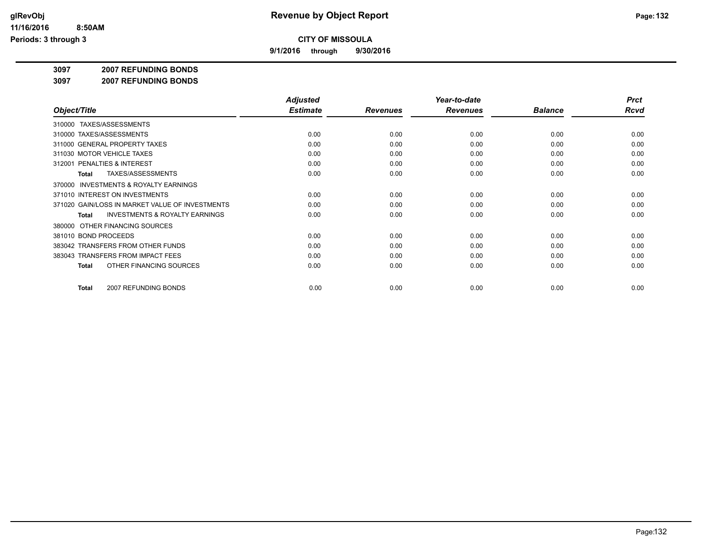**9/1/2016 through 9/30/2016**

**3097 2007 REFUNDING BONDS**

**3097 2007 REFUNDING BONDS**

|                                                     | <b>Adjusted</b> |                 | Year-to-date    |                | <b>Prct</b> |
|-----------------------------------------------------|-----------------|-----------------|-----------------|----------------|-------------|
| Object/Title                                        | <b>Estimate</b> | <b>Revenues</b> | <b>Revenues</b> | <b>Balance</b> | <b>Rcvd</b> |
| 310000 TAXES/ASSESSMENTS                            |                 |                 |                 |                |             |
| 310000 TAXES/ASSESSMENTS                            | 0.00            | 0.00            | 0.00            | 0.00           | 0.00        |
| 311000 GENERAL PROPERTY TAXES                       | 0.00            | 0.00            | 0.00            | 0.00           | 0.00        |
| 311030 MOTOR VEHICLE TAXES                          | 0.00            | 0.00            | 0.00            | 0.00           | 0.00        |
| PENALTIES & INTEREST<br>312001                      | 0.00            | 0.00            | 0.00            | 0.00           | 0.00        |
| TAXES/ASSESSMENTS<br>Total                          | 0.00            | 0.00            | 0.00            | 0.00           | 0.00        |
| <b>INVESTMENTS &amp; ROYALTY EARNINGS</b><br>370000 |                 |                 |                 |                |             |
| 371010 INTEREST ON INVESTMENTS                      | 0.00            | 0.00            | 0.00            | 0.00           | 0.00        |
| 371020 GAIN/LOSS IN MARKET VALUE OF INVESTMENTS     | 0.00            | 0.00            | 0.00            | 0.00           | 0.00        |
| <b>INVESTMENTS &amp; ROYALTY EARNINGS</b><br>Total  | 0.00            | 0.00            | 0.00            | 0.00           | 0.00        |
| OTHER FINANCING SOURCES<br>380000                   |                 |                 |                 |                |             |
| 381010 BOND PROCEEDS                                | 0.00            | 0.00            | 0.00            | 0.00           | 0.00        |
| 383042 TRANSFERS FROM OTHER FUNDS                   | 0.00            | 0.00            | 0.00            | 0.00           | 0.00        |
| 383043 TRANSFERS FROM IMPACT FEES                   | 0.00            | 0.00            | 0.00            | 0.00           | 0.00        |
| OTHER FINANCING SOURCES<br><b>Total</b>             | 0.00            | 0.00            | 0.00            | 0.00           | 0.00        |
| 2007 REFUNDING BONDS<br>Total                       | 0.00            | 0.00            | 0.00            | 0.00           | 0.00        |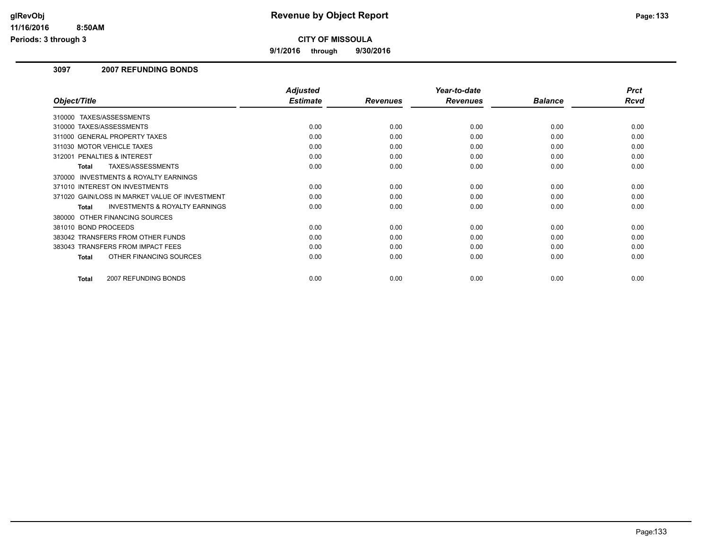**9/1/2016 through 9/30/2016**

#### **3097 2007 REFUNDING BONDS**

|                                                           | <b>Adjusted</b> |                 | Year-to-date    |                | <b>Prct</b> |
|-----------------------------------------------------------|-----------------|-----------------|-----------------|----------------|-------------|
| Object/Title                                              | <b>Estimate</b> | <b>Revenues</b> | <b>Revenues</b> | <b>Balance</b> | Rcvd        |
| 310000 TAXES/ASSESSMENTS                                  |                 |                 |                 |                |             |
| 310000 TAXES/ASSESSMENTS                                  | 0.00            | 0.00            | 0.00            | 0.00           | 0.00        |
| 311000 GENERAL PROPERTY TAXES                             | 0.00            | 0.00            | 0.00            | 0.00           | 0.00        |
| 311030 MOTOR VEHICLE TAXES                                | 0.00            | 0.00            | 0.00            | 0.00           | 0.00        |
| PENALTIES & INTEREST<br>312001                            | 0.00            | 0.00            | 0.00            | 0.00           | 0.00        |
| TAXES/ASSESSMENTS<br>Total                                | 0.00            | 0.00            | 0.00            | 0.00           | 0.00        |
| 370000 INVESTMENTS & ROYALTY EARNINGS                     |                 |                 |                 |                |             |
| 371010 INTEREST ON INVESTMENTS                            | 0.00            | 0.00            | 0.00            | 0.00           | 0.00        |
| 371020 GAIN/LOSS IN MARKET VALUE OF INVESTMENT            | 0.00            | 0.00            | 0.00            | 0.00           | 0.00        |
| <b>INVESTMENTS &amp; ROYALTY EARNINGS</b><br><b>Total</b> | 0.00            | 0.00            | 0.00            | 0.00           | 0.00        |
| 380000 OTHER FINANCING SOURCES                            |                 |                 |                 |                |             |
| 381010 BOND PROCEEDS                                      | 0.00            | 0.00            | 0.00            | 0.00           | 0.00        |
| 383042 TRANSFERS FROM OTHER FUNDS                         | 0.00            | 0.00            | 0.00            | 0.00           | 0.00        |
| 383043 TRANSFERS FROM IMPACT FEES                         | 0.00            | 0.00            | 0.00            | 0.00           | 0.00        |
| OTHER FINANCING SOURCES<br><b>Total</b>                   | 0.00            | 0.00            | 0.00            | 0.00           | 0.00        |
| 2007 REFUNDING BONDS<br><b>Total</b>                      | 0.00            | 0.00            | 0.00            | 0.00           | 0.00        |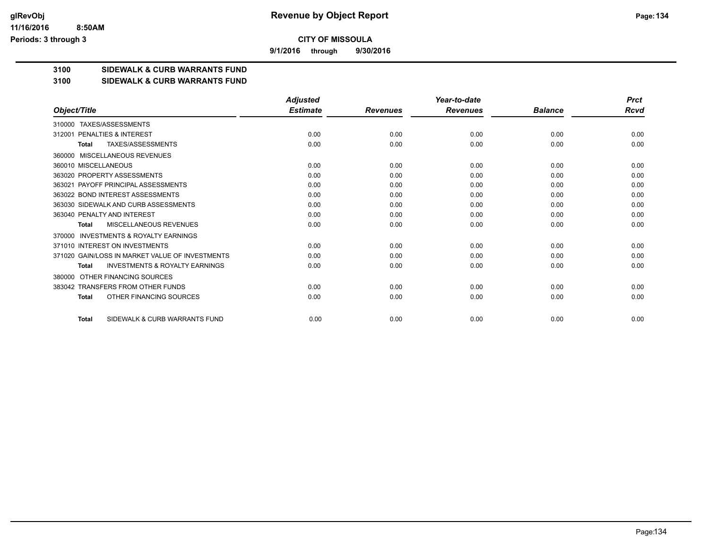**11/16/2016 8:50AM Periods: 3 through 3**

**CITY OF MISSOULA**

**9/1/2016 through 9/30/2016**

### **3100 SIDEWALK & CURB WARRANTS FUND**

#### **3100 SIDEWALK & CURB WARRANTS FUND**

|                                                     | <b>Adjusted</b> |                 | Year-to-date    |                | <b>Prct</b> |
|-----------------------------------------------------|-----------------|-----------------|-----------------|----------------|-------------|
| Object/Title                                        | <b>Estimate</b> | <b>Revenues</b> | <b>Revenues</b> | <b>Balance</b> | <b>Rcvd</b> |
| TAXES/ASSESSMENTS<br>310000                         |                 |                 |                 |                |             |
| 312001 PENALTIES & INTEREST                         | 0.00            | 0.00            | 0.00            | 0.00           | 0.00        |
| <b>TAXES/ASSESSMENTS</b><br><b>Total</b>            | 0.00            | 0.00            | 0.00            | 0.00           | 0.00        |
| MISCELLANEOUS REVENUES<br>360000                    |                 |                 |                 |                |             |
| 360010 MISCELLANEOUS                                | 0.00            | 0.00            | 0.00            | 0.00           | 0.00        |
| 363020 PROPERTY ASSESSMENTS                         | 0.00            | 0.00            | 0.00            | 0.00           | 0.00        |
| PAYOFF PRINCIPAL ASSESSMENTS<br>363021              | 0.00            | 0.00            | 0.00            | 0.00           | 0.00        |
| 363022 BOND INTEREST ASSESSMENTS                    | 0.00            | 0.00            | 0.00            | 0.00           | 0.00        |
| 363030 SIDEWALK AND CURB ASSESSMENTS                | 0.00            | 0.00            | 0.00            | 0.00           | 0.00        |
| 363040 PENALTY AND INTEREST                         | 0.00            | 0.00            | 0.00            | 0.00           | 0.00        |
| MISCELLANEOUS REVENUES<br>Total                     | 0.00            | 0.00            | 0.00            | 0.00           | 0.00        |
| <b>INVESTMENTS &amp; ROYALTY EARNINGS</b><br>370000 |                 |                 |                 |                |             |
| 371010 INTEREST ON INVESTMENTS                      | 0.00            | 0.00            | 0.00            | 0.00           | 0.00        |
| 371020 GAIN/LOSS IN MARKET VALUE OF INVESTMENTS     | 0.00            | 0.00            | 0.00            | 0.00           | 0.00        |
| <b>INVESTMENTS &amp; ROYALTY EARNINGS</b><br>Total  | 0.00            | 0.00            | 0.00            | 0.00           | 0.00        |
| OTHER FINANCING SOURCES<br>380000                   |                 |                 |                 |                |             |
| 383042 TRANSFERS FROM OTHER FUNDS                   | 0.00            | 0.00            | 0.00            | 0.00           | 0.00        |
| OTHER FINANCING SOURCES<br><b>Total</b>             | 0.00            | 0.00            | 0.00            | 0.00           | 0.00        |
| SIDEWALK & CURB WARRANTS FUND<br><b>Total</b>       | 0.00            | 0.00            | 0.00            | 0.00           | 0.00        |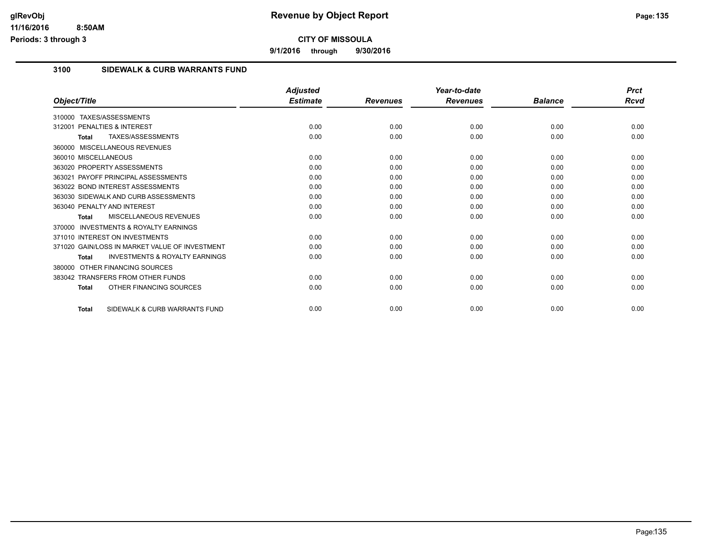**9/1/2016 through 9/30/2016**

#### **3100 SIDEWALK & CURB WARRANTS FUND**

|                                                           | <b>Adjusted</b> |                 | Year-to-date    |                | <b>Prct</b> |
|-----------------------------------------------------------|-----------------|-----------------|-----------------|----------------|-------------|
| Object/Title                                              | <b>Estimate</b> | <b>Revenues</b> | <b>Revenues</b> | <b>Balance</b> | Rcvd        |
| TAXES/ASSESSMENTS<br>310000                               |                 |                 |                 |                |             |
| <b>PENALTIES &amp; INTEREST</b><br>312001                 | 0.00            | 0.00            | 0.00            | 0.00           | 0.00        |
| TAXES/ASSESSMENTS<br>Total                                | 0.00            | 0.00            | 0.00            | 0.00           | 0.00        |
| 360000 MISCELLANEOUS REVENUES                             |                 |                 |                 |                |             |
| 360010 MISCELLANEOUS                                      | 0.00            | 0.00            | 0.00            | 0.00           | 0.00        |
| 363020 PROPERTY ASSESSMENTS                               | 0.00            | 0.00            | 0.00            | 0.00           | 0.00        |
| 363021 PAYOFF PRINCIPAL ASSESSMENTS                       | 0.00            | 0.00            | 0.00            | 0.00           | 0.00        |
| 363022 BOND INTEREST ASSESSMENTS                          | 0.00            | 0.00            | 0.00            | 0.00           | 0.00        |
| 363030 SIDEWALK AND CURB ASSESSMENTS                      | 0.00            | 0.00            | 0.00            | 0.00           | 0.00        |
| 363040 PENALTY AND INTEREST                               | 0.00            | 0.00            | 0.00            | 0.00           | 0.00        |
| MISCELLANEOUS REVENUES<br>Total                           | 0.00            | 0.00            | 0.00            | 0.00           | 0.00        |
| <b>INVESTMENTS &amp; ROYALTY EARNINGS</b><br>370000       |                 |                 |                 |                |             |
| 371010 INTEREST ON INVESTMENTS                            | 0.00            | 0.00            | 0.00            | 0.00           | 0.00        |
| 371020 GAIN/LOSS IN MARKET VALUE OF INVESTMENT            | 0.00            | 0.00            | 0.00            | 0.00           | 0.00        |
| <b>INVESTMENTS &amp; ROYALTY EARNINGS</b><br><b>Total</b> | 0.00            | 0.00            | 0.00            | 0.00           | 0.00        |
| OTHER FINANCING SOURCES<br>380000                         |                 |                 |                 |                |             |
| 383042 TRANSFERS FROM OTHER FUNDS                         | 0.00            | 0.00            | 0.00            | 0.00           | 0.00        |
| OTHER FINANCING SOURCES<br><b>Total</b>                   | 0.00            | 0.00            | 0.00            | 0.00           | 0.00        |
| SIDEWALK & CURB WARRANTS FUND<br><b>Total</b>             | 0.00            | 0.00            | 0.00            | 0.00           | 0.00        |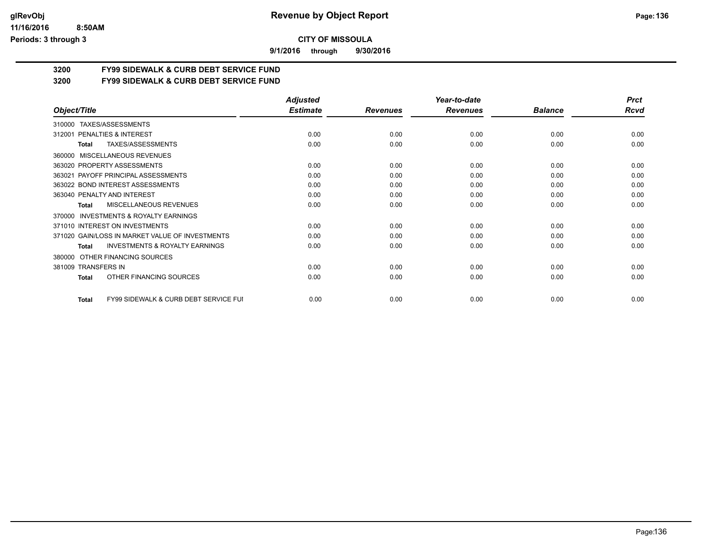**11/16/2016 8:50AM Periods: 3 through 3**

**CITY OF MISSOULA**

**9/1/2016 through 9/30/2016**

## **3200 FY99 SIDEWALK & CURB DEBT SERVICE FUND**

**3200 FY99 SIDEWALK & CURB DEBT SERVICE FUND**

|                                                                  | <b>Adjusted</b> |                 | Year-to-date    |                | <b>Prct</b> |
|------------------------------------------------------------------|-----------------|-----------------|-----------------|----------------|-------------|
| Object/Title                                                     | <b>Estimate</b> | <b>Revenues</b> | <b>Revenues</b> | <b>Balance</b> | Rcvd        |
| TAXES/ASSESSMENTS<br>310000                                      |                 |                 |                 |                |             |
| <b>PENALTIES &amp; INTEREST</b><br>312001                        | 0.00            | 0.00            | 0.00            | 0.00           | 0.00        |
| TAXES/ASSESSMENTS<br><b>Total</b>                                | 0.00            | 0.00            | 0.00            | 0.00           | 0.00        |
| MISCELLANEOUS REVENUES<br>360000                                 |                 |                 |                 |                |             |
| 363020 PROPERTY ASSESSMENTS                                      | 0.00            | 0.00            | 0.00            | 0.00           | 0.00        |
| 363021 PAYOFF PRINCIPAL ASSESSMENTS                              | 0.00            | 0.00            | 0.00            | 0.00           | 0.00        |
| 363022 BOND INTEREST ASSESSMENTS                                 | 0.00            | 0.00            | 0.00            | 0.00           | 0.00        |
| 363040 PENALTY AND INTEREST                                      | 0.00            | 0.00            | 0.00            | 0.00           | 0.00        |
| MISCELLANEOUS REVENUES<br><b>Total</b>                           | 0.00            | 0.00            | 0.00            | 0.00           | 0.00        |
| <b>INVESTMENTS &amp; ROYALTY EARNINGS</b><br>370000              |                 |                 |                 |                |             |
| 371010 INTEREST ON INVESTMENTS                                   | 0.00            | 0.00            | 0.00            | 0.00           | 0.00        |
| 371020 GAIN/LOSS IN MARKET VALUE OF INVESTMENTS                  | 0.00            | 0.00            | 0.00            | 0.00           | 0.00        |
| <b>INVESTMENTS &amp; ROYALTY EARNINGS</b><br><b>Total</b>        | 0.00            | 0.00            | 0.00            | 0.00           | 0.00        |
| OTHER FINANCING SOURCES<br>380000                                |                 |                 |                 |                |             |
| 381009 TRANSFERS IN                                              | 0.00            | 0.00            | 0.00            | 0.00           | 0.00        |
| OTHER FINANCING SOURCES<br>Total                                 | 0.00            | 0.00            | 0.00            | 0.00           | 0.00        |
| <b>FY99 SIDEWALK &amp; CURB DEBT SERVICE FUI</b><br><b>Total</b> | 0.00            | 0.00            | 0.00            | 0.00           | 0.00        |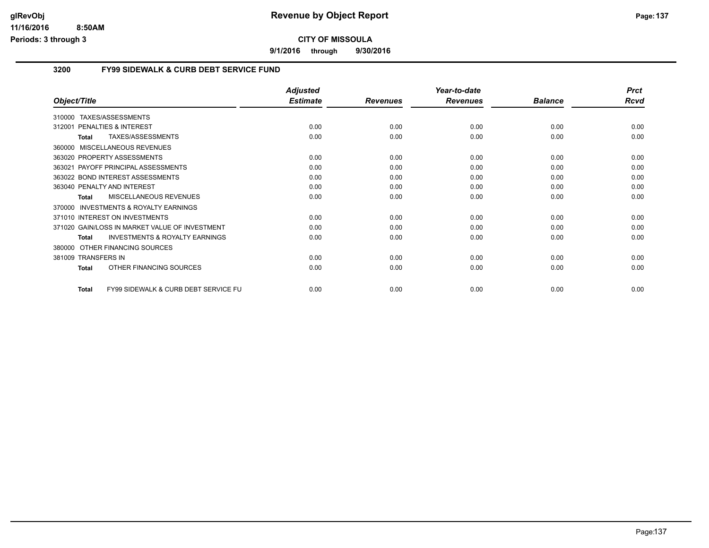**8:50AM**

**CITY OF MISSOULA**

**9/1/2016 through 9/30/2016**

#### **3200 FY99 SIDEWALK & CURB DEBT SERVICE FUND**

|                                                                 | <b>Adjusted</b> |                 | Year-to-date    |                | <b>Prct</b> |
|-----------------------------------------------------------------|-----------------|-----------------|-----------------|----------------|-------------|
| Object/Title                                                    | <b>Estimate</b> | <b>Revenues</b> | <b>Revenues</b> | <b>Balance</b> | <b>Rcvd</b> |
| TAXES/ASSESSMENTS<br>310000                                     |                 |                 |                 |                |             |
| <b>PENALTIES &amp; INTEREST</b><br>312001                       | 0.00            | 0.00            | 0.00            | 0.00           | 0.00        |
| TAXES/ASSESSMENTS<br>Total                                      | 0.00            | 0.00            | 0.00            | 0.00           | 0.00        |
| <b>MISCELLANEOUS REVENUES</b><br>360000                         |                 |                 |                 |                |             |
| 363020 PROPERTY ASSESSMENTS                                     | 0.00            | 0.00            | 0.00            | 0.00           | 0.00        |
| PAYOFF PRINCIPAL ASSESSMENTS<br>363021                          | 0.00            | 0.00            | 0.00            | 0.00           | 0.00        |
| 363022 BOND INTEREST ASSESSMENTS                                | 0.00            | 0.00            | 0.00            | 0.00           | 0.00        |
| 363040 PENALTY AND INTEREST                                     | 0.00            | 0.00            | 0.00            | 0.00           | 0.00        |
| <b>MISCELLANEOUS REVENUES</b><br>Total                          | 0.00            | 0.00            | 0.00            | 0.00           | 0.00        |
| INVESTMENTS & ROYALTY EARNINGS<br>370000                        |                 |                 |                 |                |             |
| 371010 INTEREST ON INVESTMENTS                                  | 0.00            | 0.00            | 0.00            | 0.00           | 0.00        |
| 371020 GAIN/LOSS IN MARKET VALUE OF INVESTMENT                  | 0.00            | 0.00            | 0.00            | 0.00           | 0.00        |
| <b>INVESTMENTS &amp; ROYALTY EARNINGS</b><br><b>Total</b>       | 0.00            | 0.00            | 0.00            | 0.00           | 0.00        |
| OTHER FINANCING SOURCES<br>380000                               |                 |                 |                 |                |             |
| 381009 TRANSFERS IN                                             | 0.00            | 0.00            | 0.00            | 0.00           | 0.00        |
| OTHER FINANCING SOURCES<br><b>Total</b>                         | 0.00            | 0.00            | 0.00            | 0.00           | 0.00        |
| <b>FY99 SIDEWALK &amp; CURB DEBT SERVICE FU</b><br><b>Total</b> | 0.00            | 0.00            | 0.00            | 0.00           | 0.00        |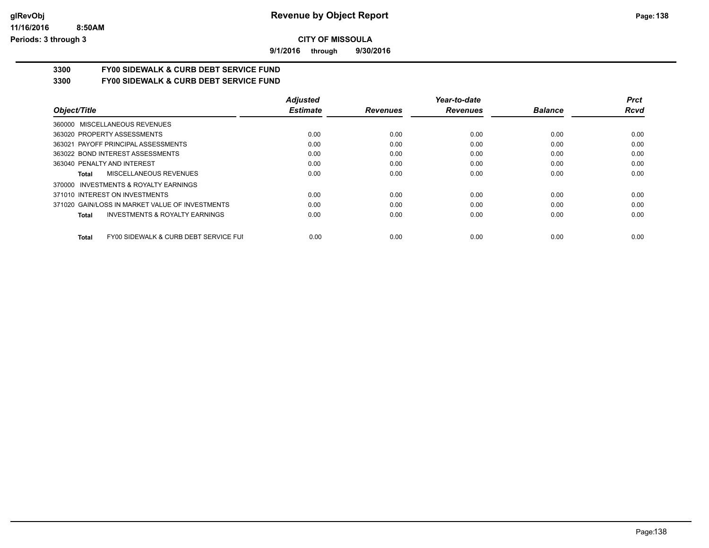**11/16/2016 8:50AM Periods: 3 through 3**

**CITY OF MISSOULA**

**9/1/2016 through 9/30/2016**

# **3300 FY00 SIDEWALK & CURB DEBT SERVICE FUND**

**3300 FY00 SIDEWALK & CURB DEBT SERVICE FUND**

|                                                    | <b>Adjusted</b> |                 | Year-to-date    |                | <b>Prct</b> |
|----------------------------------------------------|-----------------|-----------------|-----------------|----------------|-------------|
| Object/Title                                       | <b>Estimate</b> | <b>Revenues</b> | <b>Revenues</b> | <b>Balance</b> | <b>Rcvd</b> |
| 360000 MISCELLANEOUS REVENUES                      |                 |                 |                 |                |             |
| 363020 PROPERTY ASSESSMENTS                        | 0.00            | 0.00            | 0.00            | 0.00           | 0.00        |
| 363021 PAYOFF PRINCIPAL ASSESSMENTS                | 0.00            | 0.00            | 0.00            | 0.00           | 0.00        |
| 363022 BOND INTEREST ASSESSMENTS                   | 0.00            | 0.00            | 0.00            | 0.00           | 0.00        |
| 363040 PENALTY AND INTEREST                        | 0.00            | 0.00            | 0.00            | 0.00           | 0.00        |
| MISCELLANEOUS REVENUES<br>Total                    | 0.00            | 0.00            | 0.00            | 0.00           | 0.00        |
| 370000 INVESTMENTS & ROYALTY EARNINGS              |                 |                 |                 |                |             |
| 371010 INTEREST ON INVESTMENTS                     | 0.00            | 0.00            | 0.00            | 0.00           | 0.00        |
| 371020 GAIN/LOSS IN MARKET VALUE OF INVESTMENTS    | 0.00            | 0.00            | 0.00            | 0.00           | 0.00        |
| <b>INVESTMENTS &amp; ROYALTY EARNINGS</b><br>Total | 0.00            | 0.00            | 0.00            | 0.00           | 0.00        |
| FY00 SIDEWALK & CURB DEBT SERVICE FUI<br>Total     | 0.00            | 0.00            | 0.00            | 0.00           | 0.00        |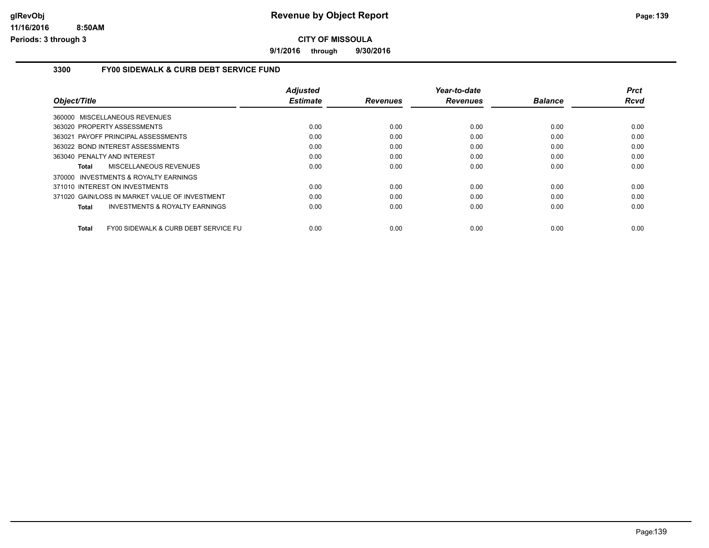**9/1/2016 through 9/30/2016**

#### **3300 FY00 SIDEWALK & CURB DEBT SERVICE FUND**

|                                                      | <b>Adjusted</b> |                 | Year-to-date    |                | <b>Prct</b> |
|------------------------------------------------------|-----------------|-----------------|-----------------|----------------|-------------|
| Object/Title                                         | <b>Estimate</b> | <b>Revenues</b> | <b>Revenues</b> | <b>Balance</b> | <b>Rcvd</b> |
| 360000 MISCELLANEOUS REVENUES                        |                 |                 |                 |                |             |
| 363020 PROPERTY ASSESSMENTS                          | 0.00            | 0.00            | 0.00            | 0.00           | 0.00        |
| 363021 PAYOFF PRINCIPAL ASSESSMENTS                  | 0.00            | 0.00            | 0.00            | 0.00           | 0.00        |
| 363022 BOND INTEREST ASSESSMENTS                     | 0.00            | 0.00            | 0.00            | 0.00           | 0.00        |
| 363040 PENALTY AND INTEREST                          | 0.00            | 0.00            | 0.00            | 0.00           | 0.00        |
| <b>MISCELLANEOUS REVENUES</b><br>Total               | 0.00            | 0.00            | 0.00            | 0.00           | 0.00        |
| 370000 INVESTMENTS & ROYALTY EARNINGS                |                 |                 |                 |                |             |
| 371010 INTEREST ON INVESTMENTS                       | 0.00            | 0.00            | 0.00            | 0.00           | 0.00        |
| 371020 GAIN/LOSS IN MARKET VALUE OF INVESTMENT       | 0.00            | 0.00            | 0.00            | 0.00           | 0.00        |
| <b>INVESTMENTS &amp; ROYALTY EARNINGS</b><br>Total   | 0.00            | 0.00            | 0.00            | 0.00           | 0.00        |
| FY00 SIDEWALK & CURB DEBT SERVICE FU<br><b>Total</b> | 0.00            | 0.00            | 0.00            | 0.00           | 0.00        |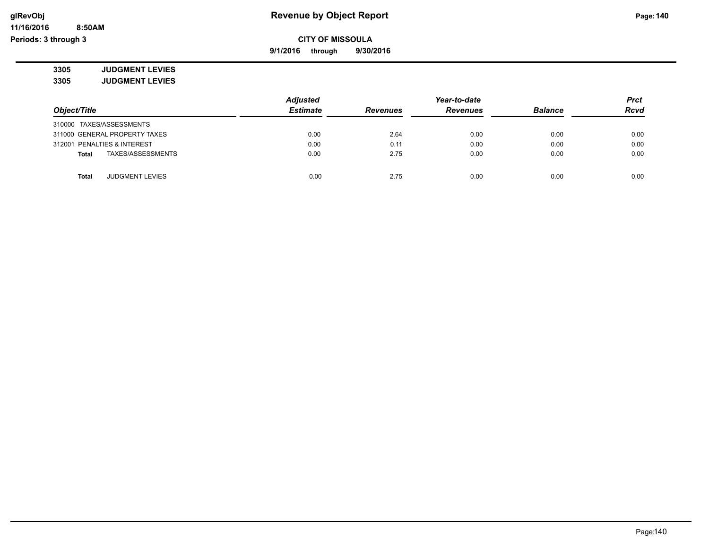**9/1/2016 through 9/30/2016**

**3305 JUDGMENT LEVIES**

| 3305 | <b>JUDGMENT LEVIES</b> |
|------|------------------------|
|      |                        |

|                             |                               | <b>Adjusted</b> |                 | Year-to-date    |                | <b>Prct</b> |
|-----------------------------|-------------------------------|-----------------|-----------------|-----------------|----------------|-------------|
| Object/Title                |                               | <b>Estimate</b> | <b>Revenues</b> | <b>Revenues</b> | <b>Balance</b> | <b>Rcvd</b> |
| 310000 TAXES/ASSESSMENTS    |                               |                 |                 |                 |                |             |
|                             | 311000 GENERAL PROPERTY TAXES | 0.00            | 2.64            | 0.00            | 0.00           | 0.00        |
| 312001 PENALTIES & INTEREST |                               | 0.00            | 0.11            | 0.00            | 0.00           | 0.00        |
| Total                       | TAXES/ASSESSMENTS             | 0.00            | 2.75            | 0.00            | 0.00           | 0.00        |
|                             |                               |                 |                 |                 |                |             |
| <b>Total</b>                | <b>JUDGMENT LEVIES</b>        | 0.00            | 2.75            | 0.00            | 0.00           | 0.00        |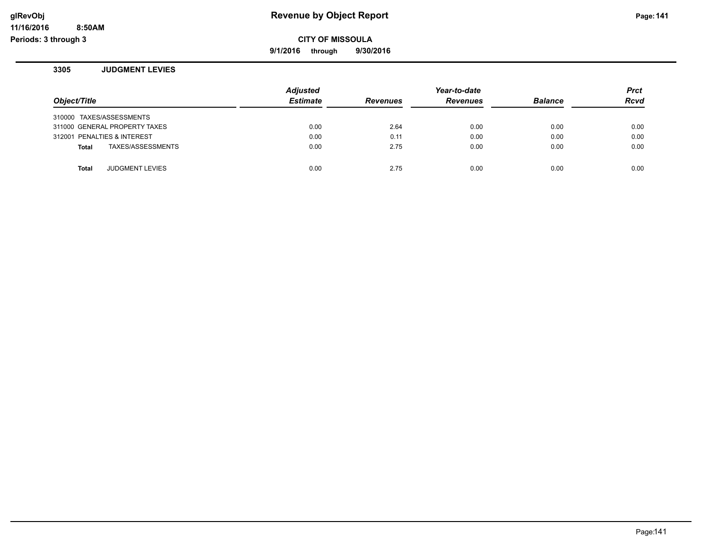**CITY OF MISSOULA**

**9/1/2016 through 9/30/2016**

## **3305 JUDGMENT LEVIES**

 **8:50AM**

| Object/Title                           | <b>Adjusted</b><br><b>Estimate</b> | <b>Revenues</b> | Year-to-date<br><b>Revenues</b> | <b>Balance</b> | <b>Prct</b><br><b>Rcvd</b> |
|----------------------------------------|------------------------------------|-----------------|---------------------------------|----------------|----------------------------|
| 310000 TAXES/ASSESSMENTS               |                                    |                 |                                 |                |                            |
| 311000 GENERAL PROPERTY TAXES          | 0.00                               | 2.64            | 0.00                            | 0.00           | 0.00                       |
| 312001 PENALTIES & INTEREST            | 0.00                               | 0.11            | 0.00                            | 0.00           | 0.00                       |
| TAXES/ASSESSMENTS<br><b>Total</b>      | 0.00                               | 2.75            | 0.00                            | 0.00           | 0.00                       |
| <b>JUDGMENT LEVIES</b><br><b>Total</b> | 0.00                               | 2.75            | 0.00                            | 0.00           | 0.00                       |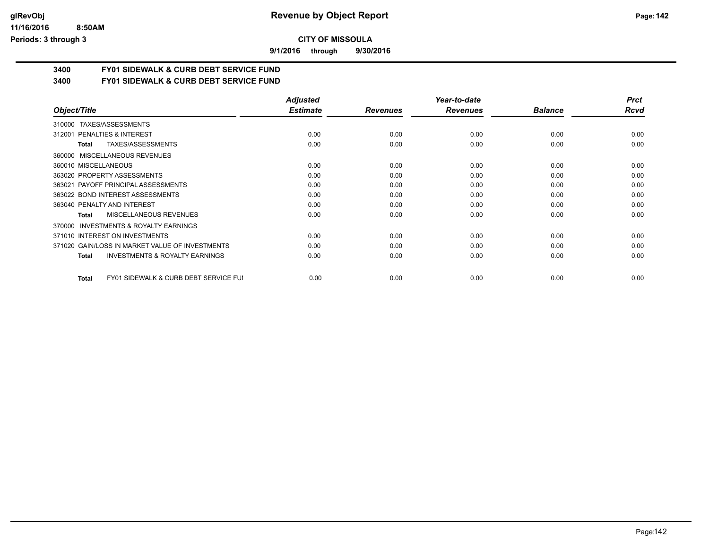**11/16/2016 8:50AM Periods: 3 through 3**

**CITY OF MISSOULA**

**9/1/2016 through 9/30/2016**

# **3400 FY01 SIDEWALK & CURB DEBT SERVICE FUND**

## **3400 FY01 SIDEWALK & CURB DEBT SERVICE FUND**

|                                                                  | <b>Adjusted</b> |                 | Year-to-date    |                | <b>Prct</b> |
|------------------------------------------------------------------|-----------------|-----------------|-----------------|----------------|-------------|
| Object/Title                                                     | <b>Estimate</b> | <b>Revenues</b> | <b>Revenues</b> | <b>Balance</b> | Rcvd        |
| 310000 TAXES/ASSESSMENTS                                         |                 |                 |                 |                |             |
| 312001 PENALTIES & INTEREST                                      | 0.00            | 0.00            | 0.00            | 0.00           | 0.00        |
| TAXES/ASSESSMENTS<br>Total                                       | 0.00            | 0.00            | 0.00            | 0.00           | 0.00        |
| 360000 MISCELLANEOUS REVENUES                                    |                 |                 |                 |                |             |
| 360010 MISCELLANEOUS                                             | 0.00            | 0.00            | 0.00            | 0.00           | 0.00        |
| 363020 PROPERTY ASSESSMENTS                                      | 0.00            | 0.00            | 0.00            | 0.00           | 0.00        |
| 363021 PAYOFF PRINCIPAL ASSESSMENTS                              | 0.00            | 0.00            | 0.00            | 0.00           | 0.00        |
| 363022 BOND INTEREST ASSESSMENTS                                 | 0.00            | 0.00            | 0.00            | 0.00           | 0.00        |
| 363040 PENALTY AND INTEREST                                      | 0.00            | 0.00            | 0.00            | 0.00           | 0.00        |
| MISCELLANEOUS REVENUES<br>Total                                  | 0.00            | 0.00            | 0.00            | 0.00           | 0.00        |
| <b>INVESTMENTS &amp; ROYALTY EARNINGS</b><br>370000              |                 |                 |                 |                |             |
| 371010 INTEREST ON INVESTMENTS                                   | 0.00            | 0.00            | 0.00            | 0.00           | 0.00        |
| 371020 GAIN/LOSS IN MARKET VALUE OF INVESTMENTS                  | 0.00            | 0.00            | 0.00            | 0.00           | 0.00        |
| <b>INVESTMENTS &amp; ROYALTY EARNINGS</b><br>Total               | 0.00            | 0.00            | 0.00            | 0.00           | 0.00        |
| <b>FY01 SIDEWALK &amp; CURB DEBT SERVICE FUI</b><br><b>Total</b> | 0.00            | 0.00            | 0.00            | 0.00           | 0.00        |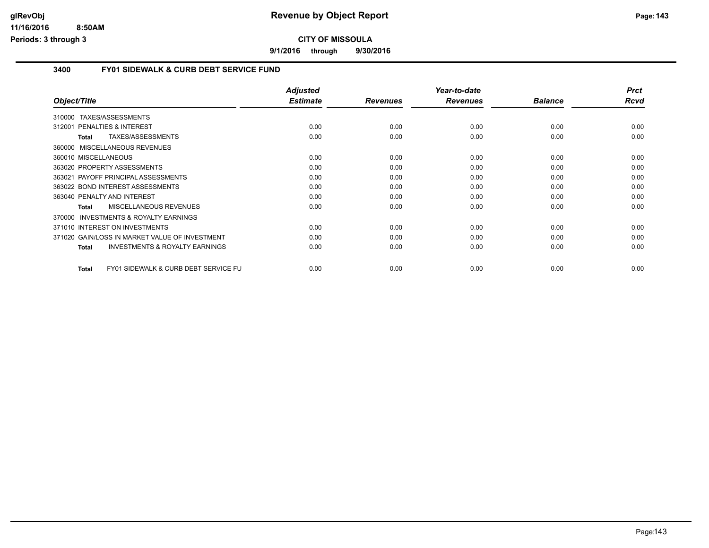**8:50AM**

**CITY OF MISSOULA**

**9/1/2016 through 9/30/2016**

#### **3400 FY01 SIDEWALK & CURB DEBT SERVICE FUND**

|                                                           | <b>Adjusted</b> |                 | Year-to-date    |                | <b>Prct</b> |
|-----------------------------------------------------------|-----------------|-----------------|-----------------|----------------|-------------|
| Object/Title                                              | <b>Estimate</b> | <b>Revenues</b> | <b>Revenues</b> | <b>Balance</b> | <b>Rcvd</b> |
| 310000 TAXES/ASSESSMENTS                                  |                 |                 |                 |                |             |
| PENALTIES & INTEREST<br>312001                            | 0.00            | 0.00            | 0.00            | 0.00           | 0.00        |
| TAXES/ASSESSMENTS<br><b>Total</b>                         | 0.00            | 0.00            | 0.00            | 0.00           | 0.00        |
| 360000 MISCELLANEOUS REVENUES                             |                 |                 |                 |                |             |
| 360010 MISCELLANEOUS                                      | 0.00            | 0.00            | 0.00            | 0.00           | 0.00        |
| 363020 PROPERTY ASSESSMENTS                               | 0.00            | 0.00            | 0.00            | 0.00           | 0.00        |
| PAYOFF PRINCIPAL ASSESSMENTS<br>363021                    | 0.00            | 0.00            | 0.00            | 0.00           | 0.00        |
| 363022 BOND INTEREST ASSESSMENTS                          | 0.00            | 0.00            | 0.00            | 0.00           | 0.00        |
| 363040 PENALTY AND INTEREST                               | 0.00            | 0.00            | 0.00            | 0.00           | 0.00        |
| <b>MISCELLANEOUS REVENUES</b><br>Total                    | 0.00            | 0.00            | 0.00            | 0.00           | 0.00        |
| INVESTMENTS & ROYALTY EARNINGS<br>370000                  |                 |                 |                 |                |             |
| 371010 INTEREST ON INVESTMENTS                            | 0.00            | 0.00            | 0.00            | 0.00           | 0.00        |
| 371020 GAIN/LOSS IN MARKET VALUE OF INVESTMENT            | 0.00            | 0.00            | 0.00            | 0.00           | 0.00        |
| <b>INVESTMENTS &amp; ROYALTY EARNINGS</b><br><b>Total</b> | 0.00            | 0.00            | 0.00            | 0.00           | 0.00        |
| FY01 SIDEWALK & CURB DEBT SERVICE FU<br><b>Total</b>      | 0.00            | 0.00            | 0.00            | 0.00           | 0.00        |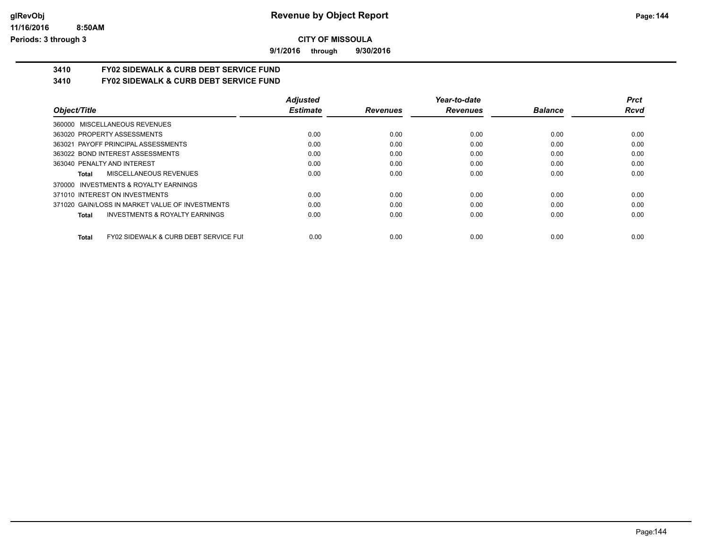**11/16/2016 8:50AM Periods: 3 through 3**

**CITY OF MISSOULA**

**9/1/2016 through 9/30/2016**

# **3410 FY02 SIDEWALK & CURB DEBT SERVICE FUND**

## **3410 FY02 SIDEWALK & CURB DEBT SERVICE FUND**

| Object/Title                                                     | <b>Adjusted</b> |                 | Year-to-date    |                | <b>Prct</b> |
|------------------------------------------------------------------|-----------------|-----------------|-----------------|----------------|-------------|
|                                                                  | <b>Estimate</b> | <b>Revenues</b> | <b>Revenues</b> | <b>Balance</b> | Rcvd        |
| 360000 MISCELLANEOUS REVENUES                                    |                 |                 |                 |                |             |
| 363020 PROPERTY ASSESSMENTS                                      | 0.00            | 0.00            | 0.00            | 0.00           | 0.00        |
| 363021 PAYOFF PRINCIPAL ASSESSMENTS                              | 0.00            | 0.00            | 0.00            | 0.00           | 0.00        |
| 363022 BOND INTEREST ASSESSMENTS                                 | 0.00            | 0.00            | 0.00            | 0.00           | 0.00        |
| 363040 PENALTY AND INTEREST                                      | 0.00            | 0.00            | 0.00            | 0.00           | 0.00        |
| MISCELLANEOUS REVENUES<br>Total                                  | 0.00            | 0.00            | 0.00            | 0.00           | 0.00        |
| INVESTMENTS & ROYALTY EARNINGS<br>370000                         |                 |                 |                 |                |             |
| 371010 INTEREST ON INVESTMENTS                                   | 0.00            | 0.00            | 0.00            | 0.00           | 0.00        |
| 371020 GAIN/LOSS IN MARKET VALUE OF INVESTMENTS                  | 0.00            | 0.00            | 0.00            | 0.00           | 0.00        |
| <b>INVESTMENTS &amp; ROYALTY EARNINGS</b><br>Total               | 0.00            | 0.00            | 0.00            | 0.00           | 0.00        |
| <b>FY02 SIDEWALK &amp; CURB DEBT SERVICE FUI</b><br><b>Total</b> | 0.00            | 0.00            | 0.00            | 0.00           | 0.00        |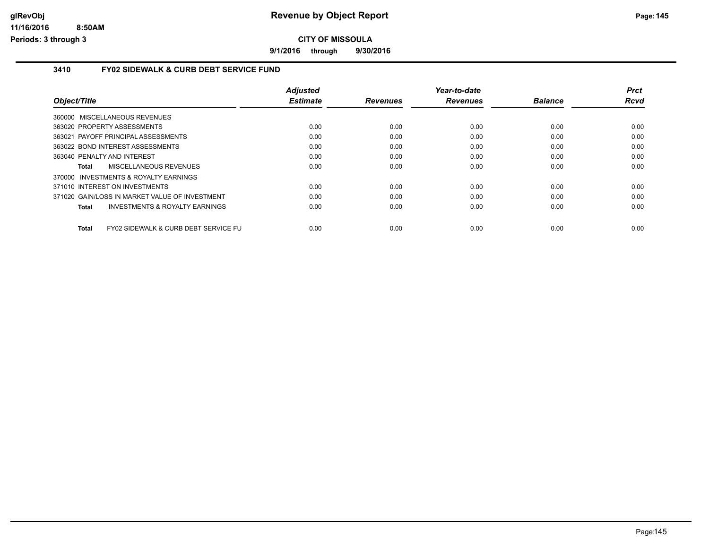**9/1/2016 through 9/30/2016**

## **3410 FY02 SIDEWALK & CURB DEBT SERVICE FUND**

|                                                      | <b>Adjusted</b> |                 | Year-to-date    |                | <b>Prct</b> |
|------------------------------------------------------|-----------------|-----------------|-----------------|----------------|-------------|
| Object/Title                                         | <b>Estimate</b> | <b>Revenues</b> | <b>Revenues</b> | <b>Balance</b> | <b>Rcvd</b> |
| 360000 MISCELLANEOUS REVENUES                        |                 |                 |                 |                |             |
| 363020 PROPERTY ASSESSMENTS                          | 0.00            | 0.00            | 0.00            | 0.00           | 0.00        |
| 363021 PAYOFF PRINCIPAL ASSESSMENTS                  | 0.00            | 0.00            | 0.00            | 0.00           | 0.00        |
| 363022 BOND INTEREST ASSESSMENTS                     | 0.00            | 0.00            | 0.00            | 0.00           | 0.00        |
| 363040 PENALTY AND INTEREST                          | 0.00            | 0.00            | 0.00            | 0.00           | 0.00        |
| <b>MISCELLANEOUS REVENUES</b><br>Total               | 0.00            | 0.00            | 0.00            | 0.00           | 0.00        |
| 370000 INVESTMENTS & ROYALTY EARNINGS                |                 |                 |                 |                |             |
| 371010 INTEREST ON INVESTMENTS                       | 0.00            | 0.00            | 0.00            | 0.00           | 0.00        |
| 371020 GAIN/LOSS IN MARKET VALUE OF INVESTMENT       | 0.00            | 0.00            | 0.00            | 0.00           | 0.00        |
| <b>INVESTMENTS &amp; ROYALTY EARNINGS</b><br>Total   | 0.00            | 0.00            | 0.00            | 0.00           | 0.00        |
| FY02 SIDEWALK & CURB DEBT SERVICE FU<br><b>Total</b> | 0.00            | 0.00            | 0.00            | 0.00           | 0.00        |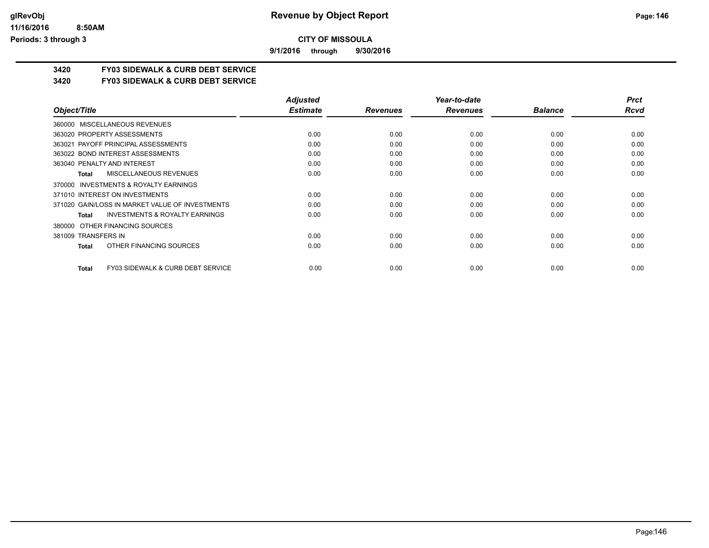**8:50AM**

**CITY OF MISSOULA**

**9/1/2016 through 9/30/2016**

# **3420 FY03 SIDEWALK & CURB DEBT SERVICE**

## **3420 FY03 SIDEWALK & CURB DEBT SERVICE**

|                                                     | <b>Adjusted</b> |                 | Year-to-date    |                | <b>Prct</b> |
|-----------------------------------------------------|-----------------|-----------------|-----------------|----------------|-------------|
| Object/Title                                        | <b>Estimate</b> | <b>Revenues</b> | <b>Revenues</b> | <b>Balance</b> | <b>Rcvd</b> |
| 360000 MISCELLANEOUS REVENUES                       |                 |                 |                 |                |             |
| 363020 PROPERTY ASSESSMENTS                         | 0.00            | 0.00            | 0.00            | 0.00           | 0.00        |
| 363021 PAYOFF PRINCIPAL ASSESSMENTS                 | 0.00            | 0.00            | 0.00            | 0.00           | 0.00        |
| 363022 BOND INTEREST ASSESSMENTS                    | 0.00            | 0.00            | 0.00            | 0.00           | 0.00        |
| 363040 PENALTY AND INTEREST                         | 0.00            | 0.00            | 0.00            | 0.00           | 0.00        |
| MISCELLANEOUS REVENUES<br><b>Total</b>              | 0.00            | 0.00            | 0.00            | 0.00           | 0.00        |
| <b>INVESTMENTS &amp; ROYALTY EARNINGS</b><br>370000 |                 |                 |                 |                |             |
| 371010 INTEREST ON INVESTMENTS                      | 0.00            | 0.00            | 0.00            | 0.00           | 0.00        |
| 371020 GAIN/LOSS IN MARKET VALUE OF INVESTMENTS     | 0.00            | 0.00            | 0.00            | 0.00           | 0.00        |
| <b>INVESTMENTS &amp; ROYALTY EARNINGS</b><br>Total  | 0.00            | 0.00            | 0.00            | 0.00           | 0.00        |
| OTHER FINANCING SOURCES<br>380000                   |                 |                 |                 |                |             |
| 381009 TRANSFERS IN                                 | 0.00            | 0.00            | 0.00            | 0.00           | 0.00        |
| OTHER FINANCING SOURCES<br><b>Total</b>             | 0.00            | 0.00            | 0.00            | 0.00           | 0.00        |
| FY03 SIDEWALK & CURB DEBT SERVICE<br><b>Total</b>   | 0.00            | 0.00            | 0.00            | 0.00           | 0.00        |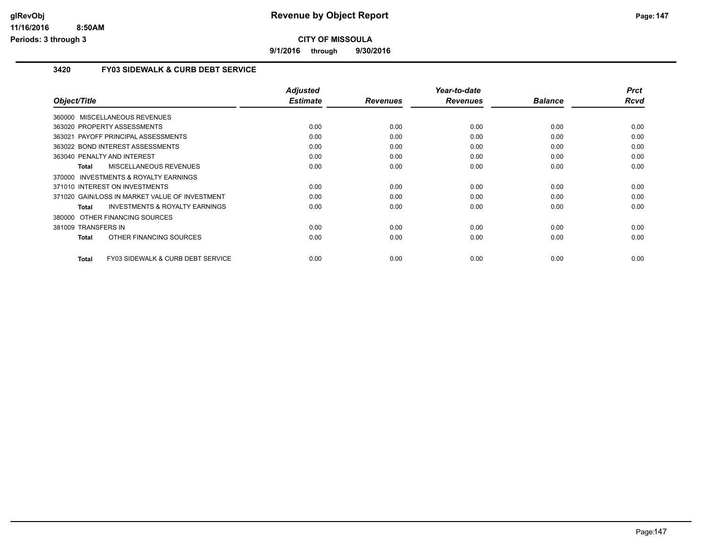**CITY OF MISSOULA**

**9/1/2016 through 9/30/2016**

## **3420 FY03 SIDEWALK & CURB DEBT SERVICE**

| Object/Title                                        | <b>Adjusted</b><br><b>Estimate</b> | <b>Revenues</b> | Year-to-date<br><b>Revenues</b> | <b>Balance</b> | <b>Prct</b><br>Rcvd |
|-----------------------------------------------------|------------------------------------|-----------------|---------------------------------|----------------|---------------------|
| 360000 MISCELLANEOUS REVENUES                       |                                    |                 |                                 |                |                     |
| 363020 PROPERTY ASSESSMENTS                         | 0.00                               | 0.00            | 0.00                            | 0.00           | 0.00                |
| 363021 PAYOFF PRINCIPAL ASSESSMENTS                 | 0.00                               | 0.00            | 0.00                            | 0.00           | 0.00                |
| 363022 BOND INTEREST ASSESSMENTS                    | 0.00                               | 0.00            | 0.00                            | 0.00           | 0.00                |
| 363040 PENALTY AND INTEREST                         | 0.00                               | 0.00            | 0.00                            | 0.00           | 0.00                |
| <b>MISCELLANEOUS REVENUES</b><br>Total              | 0.00                               | 0.00            | 0.00                            | 0.00           | 0.00                |
| <b>INVESTMENTS &amp; ROYALTY EARNINGS</b><br>370000 |                                    |                 |                                 |                |                     |
| 371010 INTEREST ON INVESTMENTS                      | 0.00                               | 0.00            | 0.00                            | 0.00           | 0.00                |
| 371020 GAIN/LOSS IN MARKET VALUE OF INVESTMENT      | 0.00                               | 0.00            | 0.00                            | 0.00           | 0.00                |
| <b>INVESTMENTS &amp; ROYALTY EARNINGS</b><br>Total  | 0.00                               | 0.00            | 0.00                            | 0.00           | 0.00                |
| 380000 OTHER FINANCING SOURCES                      |                                    |                 |                                 |                |                     |
| 381009 TRANSFERS IN                                 | 0.00                               | 0.00            | 0.00                            | 0.00           | 0.00                |
| OTHER FINANCING SOURCES<br><b>Total</b>             | 0.00                               | 0.00            | 0.00                            | 0.00           | 0.00                |
| FY03 SIDEWALK & CURB DEBT SERVICE<br>Total          | 0.00                               | 0.00            | 0.00                            | 0.00           | 0.00                |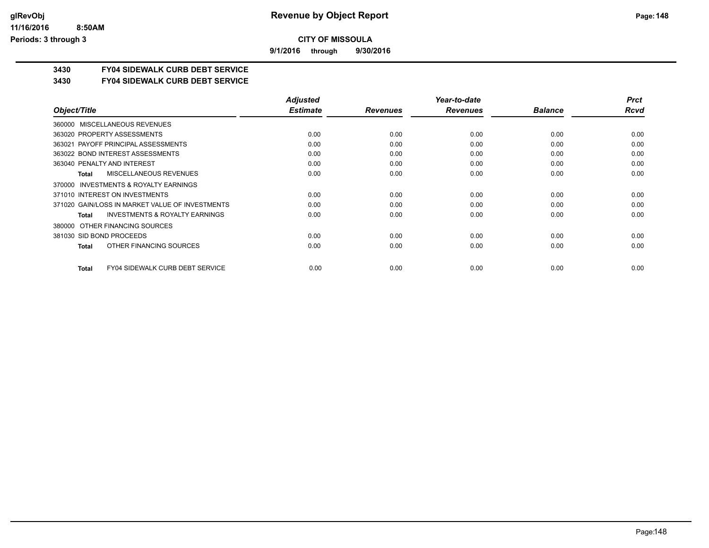**9/1/2016 through 9/30/2016**

# **3430 FY04 SIDEWALK CURB DEBT SERVICE**

### **3430 FY04 SIDEWALK CURB DEBT SERVICE**

|                                                    | <b>Adjusted</b> |                 | Year-to-date    |                | <b>Prct</b> |
|----------------------------------------------------|-----------------|-----------------|-----------------|----------------|-------------|
| Object/Title                                       | <b>Estimate</b> | <b>Revenues</b> | <b>Revenues</b> | <b>Balance</b> | Rcvd        |
| 360000 MISCELLANEOUS REVENUES                      |                 |                 |                 |                |             |
| 363020 PROPERTY ASSESSMENTS                        | 0.00            | 0.00            | 0.00            | 0.00           | 0.00        |
| 363021 PAYOFF PRINCIPAL ASSESSMENTS                | 0.00            | 0.00            | 0.00            | 0.00           | 0.00        |
| 363022 BOND INTEREST ASSESSMENTS                   | 0.00            | 0.00            | 0.00            | 0.00           | 0.00        |
| 363040 PENALTY AND INTEREST                        | 0.00            | 0.00            | 0.00            | 0.00           | 0.00        |
| MISCELLANEOUS REVENUES<br>Total                    | 0.00            | 0.00            | 0.00            | 0.00           | 0.00        |
| 370000 INVESTMENTS & ROYALTY EARNINGS              |                 |                 |                 |                |             |
| 371010 INTEREST ON INVESTMENTS                     | 0.00            | 0.00            | 0.00            | 0.00           | 0.00        |
| 371020 GAIN/LOSS IN MARKET VALUE OF INVESTMENTS    | 0.00            | 0.00            | 0.00            | 0.00           | 0.00        |
| <b>INVESTMENTS &amp; ROYALTY EARNINGS</b><br>Total | 0.00            | 0.00            | 0.00            | 0.00           | 0.00        |
| OTHER FINANCING SOURCES<br>380000                  |                 |                 |                 |                |             |
| 381030 SID BOND PROCEEDS                           | 0.00            | 0.00            | 0.00            | 0.00           | 0.00        |
| OTHER FINANCING SOURCES<br>Total                   | 0.00            | 0.00            | 0.00            | 0.00           | 0.00        |
| FY04 SIDEWALK CURB DEBT SERVICE<br><b>Total</b>    | 0.00            | 0.00            | 0.00            | 0.00           | 0.00        |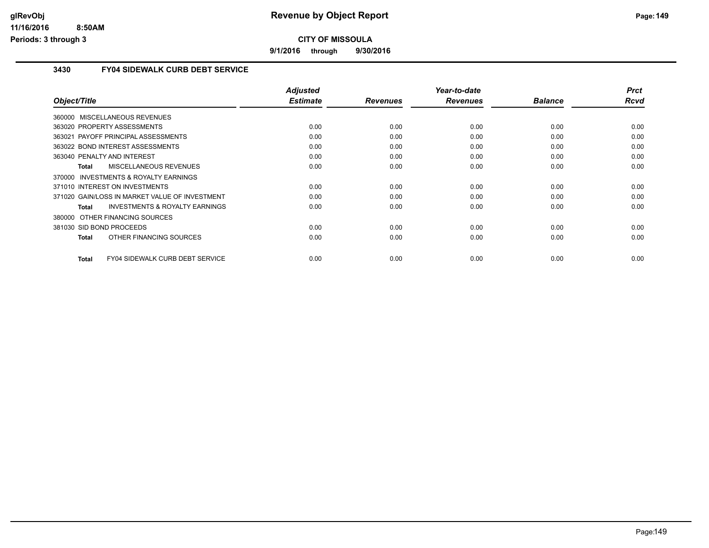**9/1/2016 through 9/30/2016**

## **3430 FY04 SIDEWALK CURB DEBT SERVICE**

| Object/Title                                           | <b>Adjusted</b><br><b>Estimate</b> | <b>Revenues</b> | Year-to-date<br><b>Revenues</b> | <b>Balance</b> | <b>Prct</b><br><b>Rcvd</b> |
|--------------------------------------------------------|------------------------------------|-----------------|---------------------------------|----------------|----------------------------|
| 360000 MISCELLANEOUS REVENUES                          |                                    |                 |                                 |                |                            |
|                                                        |                                    |                 |                                 |                |                            |
| 363020 PROPERTY ASSESSMENTS                            | 0.00                               | 0.00            | 0.00                            | 0.00           | 0.00                       |
| 363021 PAYOFF PRINCIPAL ASSESSMENTS                    | 0.00                               | 0.00            | 0.00                            | 0.00           | 0.00                       |
| 363022 BOND INTEREST ASSESSMENTS                       | 0.00                               | 0.00            | 0.00                            | 0.00           | 0.00                       |
| 363040 PENALTY AND INTEREST                            | 0.00                               | 0.00            | 0.00                            | 0.00           | 0.00                       |
| <b>MISCELLANEOUS REVENUES</b><br>Total                 | 0.00                               | 0.00            | 0.00                            | 0.00           | 0.00                       |
| <b>INVESTMENTS &amp; ROYALTY EARNINGS</b><br>370000    |                                    |                 |                                 |                |                            |
| 371010 INTEREST ON INVESTMENTS                         | 0.00                               | 0.00            | 0.00                            | 0.00           | 0.00                       |
| 371020 GAIN/LOSS IN MARKET VALUE OF INVESTMENT         | 0.00                               | 0.00            | 0.00                            | 0.00           | 0.00                       |
| <b>INVESTMENTS &amp; ROYALTY EARNINGS</b><br>Total     | 0.00                               | 0.00            | 0.00                            | 0.00           | 0.00                       |
| 380000 OTHER FINANCING SOURCES                         |                                    |                 |                                 |                |                            |
| 381030 SID BOND PROCEEDS                               | 0.00                               | 0.00            | 0.00                            | 0.00           | 0.00                       |
| OTHER FINANCING SOURCES<br><b>Total</b>                | 0.00                               | 0.00            | 0.00                            | 0.00           | 0.00                       |
| <b>FY04 SIDEWALK CURB DEBT SERVICE</b><br><b>Total</b> | 0.00                               | 0.00            | 0.00                            | 0.00           | 0.00                       |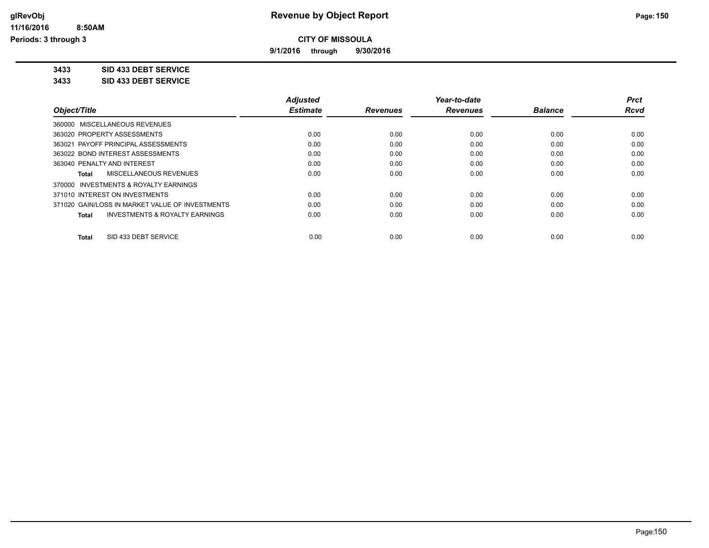**9/1/2016 through 9/30/2016**

**3433 SID 433 DEBT SERVICE**

**3433 SID 433 DEBT SERVICE**

|                                                    | <b>Adjusted</b> |                 | Year-to-date    |                | <b>Prct</b> |
|----------------------------------------------------|-----------------|-----------------|-----------------|----------------|-------------|
| Object/Title                                       | <b>Estimate</b> | <b>Revenues</b> | <b>Revenues</b> | <b>Balance</b> | Rcvd        |
| 360000 MISCELLANEOUS REVENUES                      |                 |                 |                 |                |             |
| 363020 PROPERTY ASSESSMENTS                        | 0.00            | 0.00            | 0.00            | 0.00           | 0.00        |
| 363021 PAYOFF PRINCIPAL ASSESSMENTS                | 0.00            | 0.00            | 0.00            | 0.00           | 0.00        |
| 363022 BOND INTEREST ASSESSMENTS                   | 0.00            | 0.00            | 0.00            | 0.00           | 0.00        |
| 363040 PENALTY AND INTEREST                        | 0.00            | 0.00            | 0.00            | 0.00           | 0.00        |
| MISCELLANEOUS REVENUES<br>Total                    | 0.00            | 0.00            | 0.00            | 0.00           | 0.00        |
| 370000 INVESTMENTS & ROYALTY EARNINGS              |                 |                 |                 |                |             |
| 371010 INTEREST ON INVESTMENTS                     | 0.00            | 0.00            | 0.00            | 0.00           | 0.00        |
| 371020 GAIN/LOSS IN MARKET VALUE OF INVESTMENTS    | 0.00            | 0.00            | 0.00            | 0.00           | 0.00        |
| <b>INVESTMENTS &amp; ROYALTY EARNINGS</b><br>Total | 0.00            | 0.00            | 0.00            | 0.00           | 0.00        |
| SID 433 DEBT SERVICE<br><b>Total</b>               | 0.00            | 0.00            | 0.00            | 0.00           | 0.00        |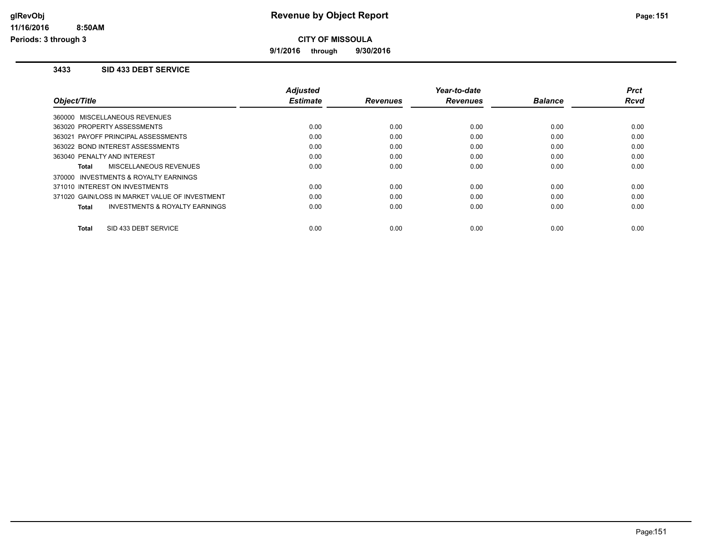**9/1/2016 through 9/30/2016**

#### **3433 SID 433 DEBT SERVICE**

|                                                           | <b>Adjusted</b> |                 | Year-to-date    |                | <b>Prct</b> |
|-----------------------------------------------------------|-----------------|-----------------|-----------------|----------------|-------------|
| Object/Title                                              | <b>Estimate</b> | <b>Revenues</b> | <b>Revenues</b> | <b>Balance</b> | <b>Rcvd</b> |
| 360000 MISCELLANEOUS REVENUES                             |                 |                 |                 |                |             |
| 363020 PROPERTY ASSESSMENTS                               | 0.00            | 0.00            | 0.00            | 0.00           | 0.00        |
| 363021 PAYOFF PRINCIPAL ASSESSMENTS                       | 0.00            | 0.00            | 0.00            | 0.00           | 0.00        |
| 363022 BOND INTEREST ASSESSMENTS                          | 0.00            | 0.00            | 0.00            | 0.00           | 0.00        |
| 363040 PENALTY AND INTEREST                               | 0.00            | 0.00            | 0.00            | 0.00           | 0.00        |
| MISCELLANEOUS REVENUES<br><b>Total</b>                    | 0.00            | 0.00            | 0.00            | 0.00           | 0.00        |
| INVESTMENTS & ROYALTY EARNINGS<br>370000                  |                 |                 |                 |                |             |
| 371010 INTEREST ON INVESTMENTS                            | 0.00            | 0.00            | 0.00            | 0.00           | 0.00        |
| 371020 GAIN/LOSS IN MARKET VALUE OF INVESTMENT            | 0.00            | 0.00            | 0.00            | 0.00           | 0.00        |
| <b>INVESTMENTS &amp; ROYALTY EARNINGS</b><br><b>Total</b> | 0.00            | 0.00            | 0.00            | 0.00           | 0.00        |
|                                                           |                 |                 |                 |                |             |
| SID 433 DEBT SERVICE<br><b>Total</b>                      | 0.00            | 0.00            | 0.00            | 0.00           | 0.00        |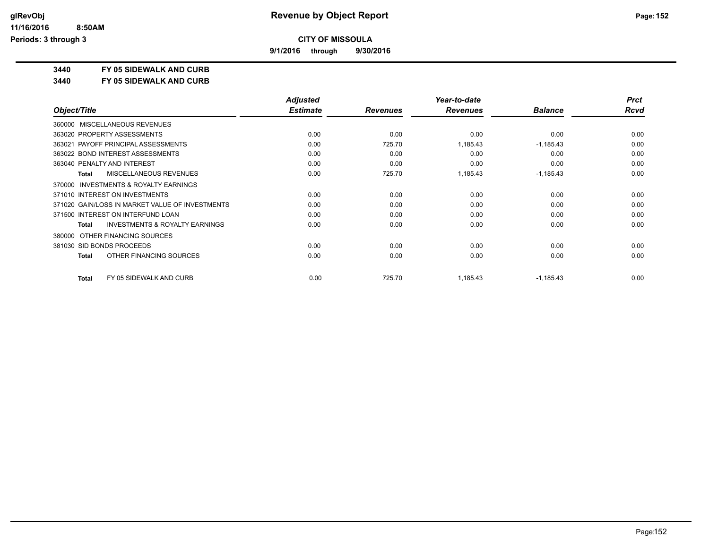**9/1/2016 through 9/30/2016**

**3440 FY 05 SIDEWALK AND CURB**

**3440 FY 05 SIDEWALK AND CURB**

|                                                    | <b>Adjusted</b> |                 | Year-to-date    |                | <b>Prct</b> |
|----------------------------------------------------|-----------------|-----------------|-----------------|----------------|-------------|
| Object/Title                                       | <b>Estimate</b> | <b>Revenues</b> | <b>Revenues</b> | <b>Balance</b> | Rcvd        |
| 360000 MISCELLANEOUS REVENUES                      |                 |                 |                 |                |             |
| 363020 PROPERTY ASSESSMENTS                        | 0.00            | 0.00            | 0.00            | 0.00           | 0.00        |
| 363021 PAYOFF PRINCIPAL ASSESSMENTS                | 0.00            | 725.70          | 1,185.43        | $-1,185.43$    | 0.00        |
| 363022 BOND INTEREST ASSESSMENTS                   | 0.00            | 0.00            | 0.00            | 0.00           | 0.00        |
| 363040 PENALTY AND INTEREST                        | 0.00            | 0.00            | 0.00            | 0.00           | 0.00        |
| <b>MISCELLANEOUS REVENUES</b><br><b>Total</b>      | 0.00            | 725.70          | 1,185.43        | $-1,185.43$    | 0.00        |
| 370000 INVESTMENTS & ROYALTY EARNINGS              |                 |                 |                 |                |             |
| 371010 INTEREST ON INVESTMENTS                     | 0.00            | 0.00            | 0.00            | 0.00           | 0.00        |
| 371020 GAIN/LOSS IN MARKET VALUE OF INVESTMENTS    | 0.00            | 0.00            | 0.00            | 0.00           | 0.00        |
| 371500 INTEREST ON INTERFUND LOAN                  | 0.00            | 0.00            | 0.00            | 0.00           | 0.00        |
| <b>INVESTMENTS &amp; ROYALTY EARNINGS</b><br>Total | 0.00            | 0.00            | 0.00            | 0.00           | 0.00        |
| OTHER FINANCING SOURCES<br>380000                  |                 |                 |                 |                |             |
| 381030 SID BONDS PROCEEDS                          | 0.00            | 0.00            | 0.00            | 0.00           | 0.00        |
| OTHER FINANCING SOURCES<br>Total                   | 0.00            | 0.00            | 0.00            | 0.00           | 0.00        |
| FY 05 SIDEWALK AND CURB<br><b>Total</b>            | 0.00            | 725.70          | 1,185.43        | $-1,185.43$    | 0.00        |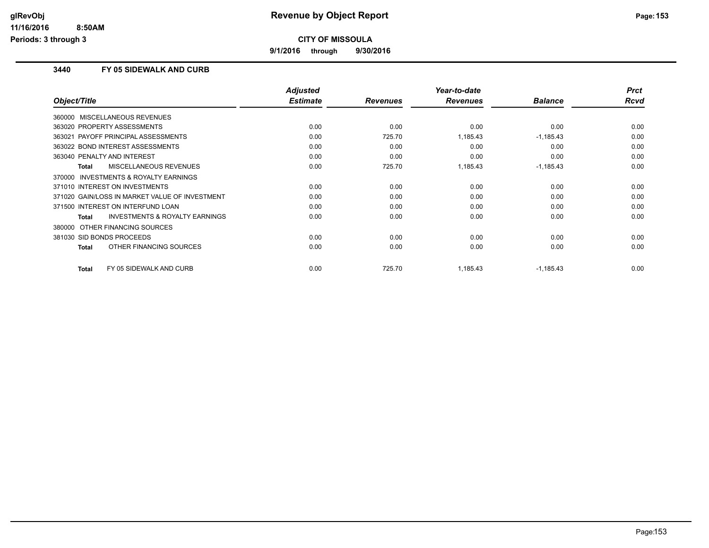**CITY OF MISSOULA**

**9/1/2016 through 9/30/2016**

## **3440 FY 05 SIDEWALK AND CURB**

 **8:50AM**

|                                                     | <b>Adjusted</b> |                 | Year-to-date    |                | <b>Prct</b> |
|-----------------------------------------------------|-----------------|-----------------|-----------------|----------------|-------------|
| Object/Title                                        | <b>Estimate</b> | <b>Revenues</b> | <b>Revenues</b> | <b>Balance</b> | Rcvd        |
| 360000 MISCELLANEOUS REVENUES                       |                 |                 |                 |                |             |
| 363020 PROPERTY ASSESSMENTS                         | 0.00            | 0.00            | 0.00            | 0.00           | 0.00        |
| 363021 PAYOFF PRINCIPAL ASSESSMENTS                 | 0.00            | 725.70          | 1,185.43        | $-1,185.43$    | 0.00        |
| 363022 BOND INTEREST ASSESSMENTS                    | 0.00            | 0.00            | 0.00            | 0.00           | 0.00        |
| 363040 PENALTY AND INTEREST                         | 0.00            | 0.00            | 0.00            | 0.00           | 0.00        |
| MISCELLANEOUS REVENUES<br>Total                     | 0.00            | 725.70          | 1,185.43        | $-1,185.43$    | 0.00        |
| <b>INVESTMENTS &amp; ROYALTY EARNINGS</b><br>370000 |                 |                 |                 |                |             |
| 371010 INTEREST ON INVESTMENTS                      | 0.00            | 0.00            | 0.00            | 0.00           | 0.00        |
| 371020 GAIN/LOSS IN MARKET VALUE OF INVESTMENT      | 0.00            | 0.00            | 0.00            | 0.00           | 0.00        |
| 371500 INTEREST ON INTERFUND LOAN                   | 0.00            | 0.00            | 0.00            | 0.00           | 0.00        |
| <b>INVESTMENTS &amp; ROYALTY EARNINGS</b><br>Total  | 0.00            | 0.00            | 0.00            | 0.00           | 0.00        |
| 380000 OTHER FINANCING SOURCES                      |                 |                 |                 |                |             |
| 381030 SID BONDS PROCEEDS                           | 0.00            | 0.00            | 0.00            | 0.00           | 0.00        |
| OTHER FINANCING SOURCES<br>Total                    | 0.00            | 0.00            | 0.00            | 0.00           | 0.00        |
|                                                     |                 |                 |                 |                |             |
| FY 05 SIDEWALK AND CURB<br>Total                    | 0.00            | 725.70          | 1,185.43        | $-1,185.43$    | 0.00        |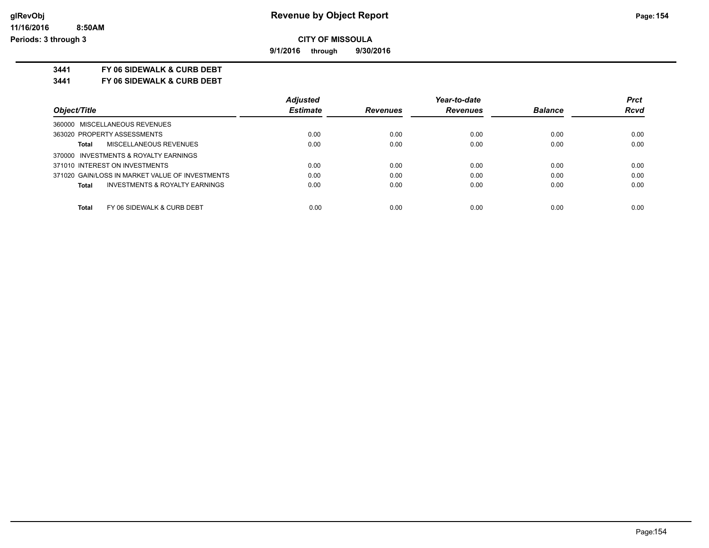**glRevObj Revenue by Object Report Page:154** 

**CITY OF MISSOULA**

**9/1/2016 through 9/30/2016**

**3441 FY 06 SIDEWALK & CURB DEBT**

 **8:50AM**

**3441 FY 06 SIDEWALK & CURB DEBT**

|                                                           | <b>Adjusted</b> |                 | Year-to-date    |                | <b>Prct</b> |
|-----------------------------------------------------------|-----------------|-----------------|-----------------|----------------|-------------|
| Object/Title                                              | <b>Estimate</b> | <b>Revenues</b> | <b>Revenues</b> | <b>Balance</b> | <b>Rcvd</b> |
| 360000 MISCELLANEOUS REVENUES                             |                 |                 |                 |                |             |
| 363020 PROPERTY ASSESSMENTS                               | 0.00            | 0.00            | 0.00            | 0.00           | 0.00        |
| MISCELLANEOUS REVENUES<br><b>Total</b>                    | 0.00            | 0.00            | 0.00            | 0.00           | 0.00        |
| 370000 INVESTMENTS & ROYALTY EARNINGS                     |                 |                 |                 |                |             |
| 371010 INTEREST ON INVESTMENTS                            | 0.00            | 0.00            | 0.00            | 0.00           | 0.00        |
| 371020 GAIN/LOSS IN MARKET VALUE OF INVESTMENTS           | 0.00            | 0.00            | 0.00            | 0.00           | 0.00        |
| <b>INVESTMENTS &amp; ROYALTY EARNINGS</b><br><b>Total</b> | 0.00            | 0.00            | 0.00            | 0.00           | 0.00        |
|                                                           |                 |                 |                 |                |             |
| <b>Total</b><br>FY 06 SIDEWALK & CURB DEBT                | 0.00            | 0.00            | 0.00            | 0.00           | 0.00        |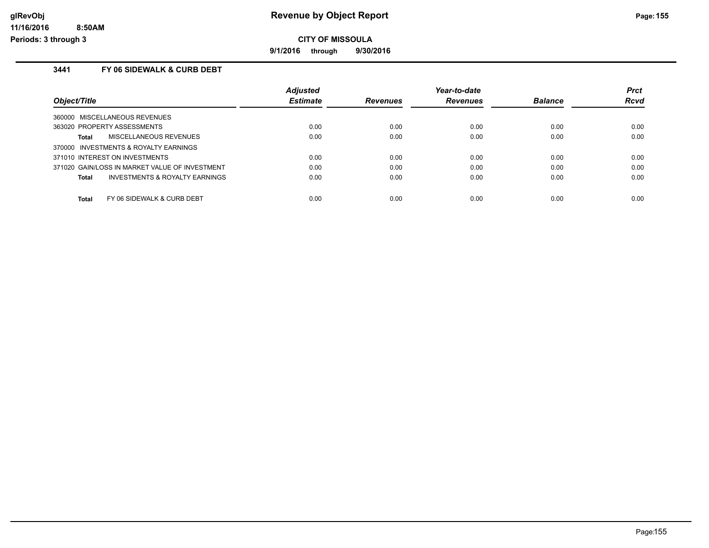**CITY OF MISSOULA**

**9/1/2016 through 9/30/2016**

## **3441 FY 06 SIDEWALK & CURB DEBT**

 **8:50AM**

|                                                    | <b>Adjusted</b> |                 | Year-to-date    |                | Prct        |
|----------------------------------------------------|-----------------|-----------------|-----------------|----------------|-------------|
| Object/Title                                       | <b>Estimate</b> | <b>Revenues</b> | <b>Revenues</b> | <b>Balance</b> | <b>Rcvd</b> |
| 360000 MISCELLANEOUS REVENUES                      |                 |                 |                 |                |             |
| 363020 PROPERTY ASSESSMENTS                        | 0.00            | 0.00            | 0.00            | 0.00           | 0.00        |
| MISCELLANEOUS REVENUES<br>Total                    | 0.00            | 0.00            | 0.00            | 0.00           | 0.00        |
| 370000 INVESTMENTS & ROYALTY EARNINGS              |                 |                 |                 |                |             |
| 371010 INTEREST ON INVESTMENTS                     | 0.00            | 0.00            | 0.00            | 0.00           | 0.00        |
| 371020 GAIN/LOSS IN MARKET VALUE OF INVESTMENT     | 0.00            | 0.00            | 0.00            | 0.00           | 0.00        |
| <b>INVESTMENTS &amp; ROYALTY EARNINGS</b><br>Total | 0.00            | 0.00            | 0.00            | 0.00           | 0.00        |
|                                                    |                 |                 |                 |                |             |
| Total<br>FY 06 SIDEWALK & CURB DEBT                | 0.00            | 0.00            | 0.00            | 0.00           | 0.00        |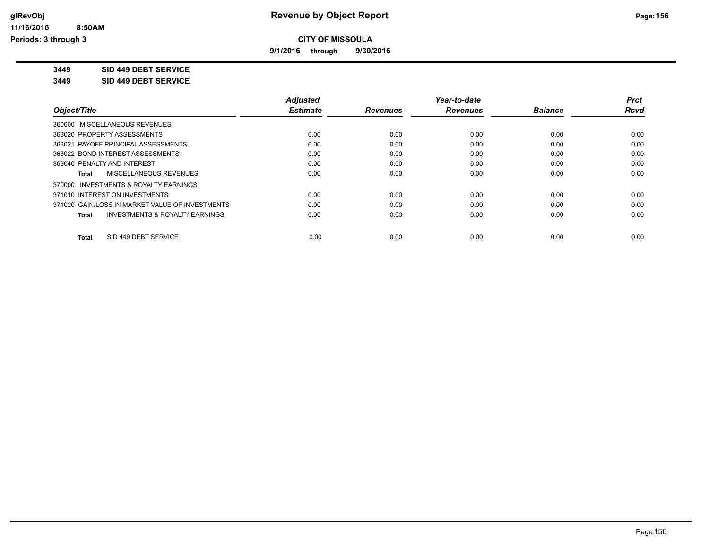**9/1/2016 through 9/30/2016**

**3449 SID 449 DEBT SERVICE**

**3449 SID 449 DEBT SERVICE**

|                                                    | <b>Adjusted</b> |                 | Year-to-date    |                | <b>Prct</b> |
|----------------------------------------------------|-----------------|-----------------|-----------------|----------------|-------------|
| Object/Title                                       | <b>Estimate</b> | <b>Revenues</b> | <b>Revenues</b> | <b>Balance</b> | Rcvd        |
| 360000 MISCELLANEOUS REVENUES                      |                 |                 |                 |                |             |
| 363020 PROPERTY ASSESSMENTS                        | 0.00            | 0.00            | 0.00            | 0.00           | 0.00        |
| 363021 PAYOFF PRINCIPAL ASSESSMENTS                | 0.00            | 0.00            | 0.00            | 0.00           | 0.00        |
| 363022 BOND INTEREST ASSESSMENTS                   | 0.00            | 0.00            | 0.00            | 0.00           | 0.00        |
| 363040 PENALTY AND INTEREST                        | 0.00            | 0.00            | 0.00            | 0.00           | 0.00        |
| <b>MISCELLANEOUS REVENUES</b><br>Total             | 0.00            | 0.00            | 0.00            | 0.00           | 0.00        |
| 370000 INVESTMENTS & ROYALTY EARNINGS              |                 |                 |                 |                |             |
| 371010 INTEREST ON INVESTMENTS                     | 0.00            | 0.00            | 0.00            | 0.00           | 0.00        |
| 371020 GAIN/LOSS IN MARKET VALUE OF INVESTMENTS    | 0.00            | 0.00            | 0.00            | 0.00           | 0.00        |
| <b>INVESTMENTS &amp; ROYALTY EARNINGS</b><br>Total | 0.00            | 0.00            | 0.00            | 0.00           | 0.00        |
| SID 449 DEBT SERVICE<br><b>Total</b>               | 0.00            | 0.00            | 0.00            | 0.00           | 0.00        |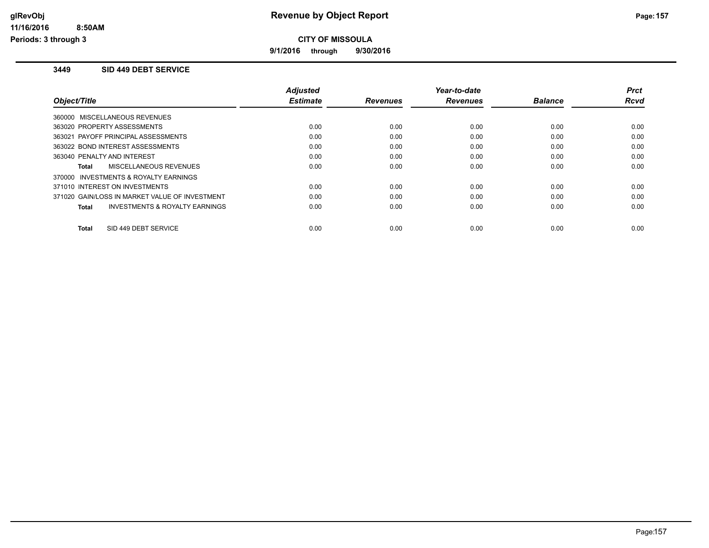**9/1/2016 through 9/30/2016**

#### **3449 SID 449 DEBT SERVICE**

|                                                     | <b>Adjusted</b> |                 | Year-to-date    |                | <b>Prct</b> |
|-----------------------------------------------------|-----------------|-----------------|-----------------|----------------|-------------|
| Object/Title                                        | <b>Estimate</b> | <b>Revenues</b> | <b>Revenues</b> | <b>Balance</b> | <b>Rcvd</b> |
| 360000 MISCELLANEOUS REVENUES                       |                 |                 |                 |                |             |
| 363020 PROPERTY ASSESSMENTS                         | 0.00            | 0.00            | 0.00            | 0.00           | 0.00        |
| 363021 PAYOFF PRINCIPAL ASSESSMENTS                 | 0.00            | 0.00            | 0.00            | 0.00           | 0.00        |
| 363022 BOND INTEREST ASSESSMENTS                    | 0.00            | 0.00            | 0.00            | 0.00           | 0.00        |
| 363040 PENALTY AND INTEREST                         | 0.00            | 0.00            | 0.00            | 0.00           | 0.00        |
| MISCELLANEOUS REVENUES<br>Total                     | 0.00            | 0.00            | 0.00            | 0.00           | 0.00        |
| <b>INVESTMENTS &amp; ROYALTY EARNINGS</b><br>370000 |                 |                 |                 |                |             |
| 371010 INTEREST ON INVESTMENTS                      | 0.00            | 0.00            | 0.00            | 0.00           | 0.00        |
| 371020 GAIN/LOSS IN MARKET VALUE OF INVESTMENT      | 0.00            | 0.00            | 0.00            | 0.00           | 0.00        |
| <b>INVESTMENTS &amp; ROYALTY EARNINGS</b><br>Total  | 0.00            | 0.00            | 0.00            | 0.00           | 0.00        |
|                                                     |                 |                 |                 |                |             |
| SID 449 DEBT SERVICE<br>Total                       | 0.00            | 0.00            | 0.00            | 0.00           | 0.00        |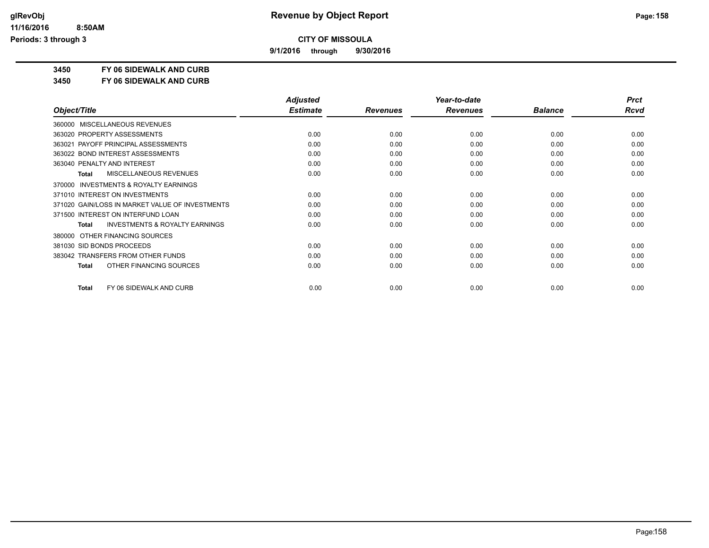**9/1/2016 through 9/30/2016**

**3450 FY 06 SIDEWALK AND CURB**

**3450 FY 06 SIDEWALK AND CURB**

|                                                           | <b>Adjusted</b> |                 | Year-to-date    |                | <b>Prct</b> |
|-----------------------------------------------------------|-----------------|-----------------|-----------------|----------------|-------------|
| Object/Title                                              | <b>Estimate</b> | <b>Revenues</b> | <b>Revenues</b> | <b>Balance</b> | <b>Rcvd</b> |
| 360000 MISCELLANEOUS REVENUES                             |                 |                 |                 |                |             |
| 363020 PROPERTY ASSESSMENTS                               | 0.00            | 0.00            | 0.00            | 0.00           | 0.00        |
| 363021 PAYOFF PRINCIPAL ASSESSMENTS                       | 0.00            | 0.00            | 0.00            | 0.00           | 0.00        |
| 363022 BOND INTEREST ASSESSMENTS                          | 0.00            | 0.00            | 0.00            | 0.00           | 0.00        |
| 363040 PENALTY AND INTEREST                               | 0.00            | 0.00            | 0.00            | 0.00           | 0.00        |
| MISCELLANEOUS REVENUES<br><b>Total</b>                    | 0.00            | 0.00            | 0.00            | 0.00           | 0.00        |
| <b>INVESTMENTS &amp; ROYALTY EARNINGS</b><br>370000       |                 |                 |                 |                |             |
| 371010 INTEREST ON INVESTMENTS                            | 0.00            | 0.00            | 0.00            | 0.00           | 0.00        |
| 371020 GAIN/LOSS IN MARKET VALUE OF INVESTMENTS           | 0.00            | 0.00            | 0.00            | 0.00           | 0.00        |
| 371500 INTEREST ON INTERFUND LOAN                         | 0.00            | 0.00            | 0.00            | 0.00           | 0.00        |
| <b>INVESTMENTS &amp; ROYALTY EARNINGS</b><br><b>Total</b> | 0.00            | 0.00            | 0.00            | 0.00           | 0.00        |
| OTHER FINANCING SOURCES<br>380000                         |                 |                 |                 |                |             |
| 381030 SID BONDS PROCEEDS                                 | 0.00            | 0.00            | 0.00            | 0.00           | 0.00        |
| 383042 TRANSFERS FROM OTHER FUNDS                         | 0.00            | 0.00            | 0.00            | 0.00           | 0.00        |
| OTHER FINANCING SOURCES<br><b>Total</b>                   | 0.00            | 0.00            | 0.00            | 0.00           | 0.00        |
| FY 06 SIDEWALK AND CURB<br><b>Total</b>                   | 0.00            | 0.00            | 0.00            | 0.00           | 0.00        |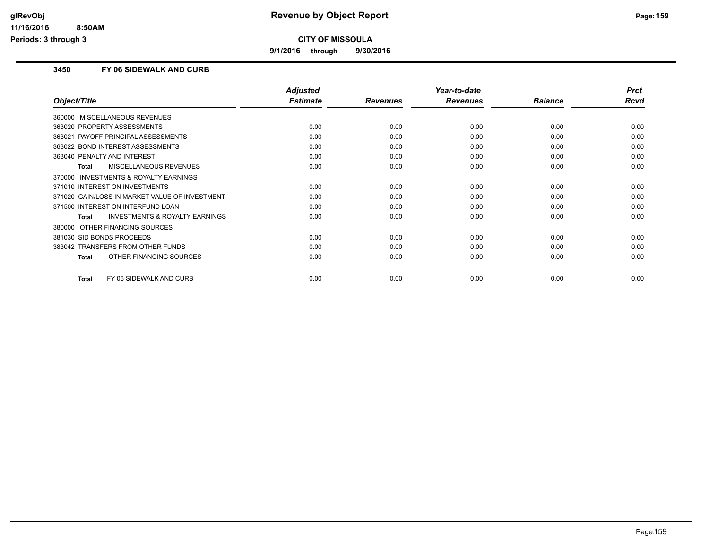**CITY OF MISSOULA**

**9/1/2016 through 9/30/2016**

## **3450 FY 06 SIDEWALK AND CURB**

 **8:50AM**

|                                                           | <b>Adjusted</b> |                 | Year-to-date    |                | <b>Prct</b> |
|-----------------------------------------------------------|-----------------|-----------------|-----------------|----------------|-------------|
| Object/Title                                              | <b>Estimate</b> | <b>Revenues</b> | <b>Revenues</b> | <b>Balance</b> | Rcvd        |
| 360000 MISCELLANEOUS REVENUES                             |                 |                 |                 |                |             |
| 363020 PROPERTY ASSESSMENTS                               | 0.00            | 0.00            | 0.00            | 0.00           | 0.00        |
| 363021 PAYOFF PRINCIPAL ASSESSMENTS                       | 0.00            | 0.00            | 0.00            | 0.00           | 0.00        |
| 363022 BOND INTEREST ASSESSMENTS                          | 0.00            | 0.00            | 0.00            | 0.00           | 0.00        |
| 363040 PENALTY AND INTEREST                               | 0.00            | 0.00            | 0.00            | 0.00           | 0.00        |
| <b>MISCELLANEOUS REVENUES</b><br><b>Total</b>             | 0.00            | 0.00            | 0.00            | 0.00           | 0.00        |
| 370000 INVESTMENTS & ROYALTY EARNINGS                     |                 |                 |                 |                |             |
| 371010 INTEREST ON INVESTMENTS                            | 0.00            | 0.00            | 0.00            | 0.00           | 0.00        |
| 371020 GAIN/LOSS IN MARKET VALUE OF INVESTMENT            | 0.00            | 0.00            | 0.00            | 0.00           | 0.00        |
| 371500 INTEREST ON INTERFUND LOAN                         | 0.00            | 0.00            | 0.00            | 0.00           | 0.00        |
| <b>INVESTMENTS &amp; ROYALTY EARNINGS</b><br><b>Total</b> | 0.00            | 0.00            | 0.00            | 0.00           | 0.00        |
| 380000 OTHER FINANCING SOURCES                            |                 |                 |                 |                |             |
| 381030 SID BONDS PROCEEDS                                 | 0.00            | 0.00            | 0.00            | 0.00           | 0.00        |
| 383042 TRANSFERS FROM OTHER FUNDS                         | 0.00            | 0.00            | 0.00            | 0.00           | 0.00        |
| OTHER FINANCING SOURCES<br><b>Total</b>                   | 0.00            | 0.00            | 0.00            | 0.00           | 0.00        |
| FY 06 SIDEWALK AND CURB<br><b>Total</b>                   | 0.00            | 0.00            | 0.00            | 0.00           | 0.00        |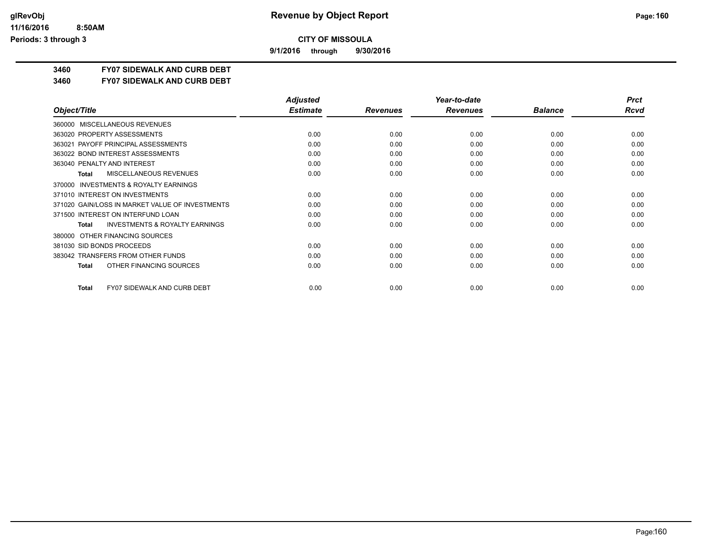**9/1/2016 through 9/30/2016**

**3460 FY07 SIDEWALK AND CURB DEBT**

#### **3460 FY07 SIDEWALK AND CURB DEBT**

|                                                           | <b>Adjusted</b> |                 | Year-to-date    |                | <b>Prct</b> |
|-----------------------------------------------------------|-----------------|-----------------|-----------------|----------------|-------------|
| Object/Title                                              | <b>Estimate</b> | <b>Revenues</b> | <b>Revenues</b> | <b>Balance</b> | Rcvd        |
| 360000 MISCELLANEOUS REVENUES                             |                 |                 |                 |                |             |
| 363020 PROPERTY ASSESSMENTS                               | 0.00            | 0.00            | 0.00            | 0.00           | 0.00        |
| PAYOFF PRINCIPAL ASSESSMENTS<br>363021                    | 0.00            | 0.00            | 0.00            | 0.00           | 0.00        |
| 363022 BOND INTEREST ASSESSMENTS                          | 0.00            | 0.00            | 0.00            | 0.00           | 0.00        |
| 363040 PENALTY AND INTEREST                               | 0.00            | 0.00            | 0.00            | 0.00           | 0.00        |
| <b>MISCELLANEOUS REVENUES</b><br><b>Total</b>             | 0.00            | 0.00            | 0.00            | 0.00           | 0.00        |
| <b>INVESTMENTS &amp; ROYALTY EARNINGS</b><br>370000       |                 |                 |                 |                |             |
| 371010 INTEREST ON INVESTMENTS                            | 0.00            | 0.00            | 0.00            | 0.00           | 0.00        |
| 371020 GAIN/LOSS IN MARKET VALUE OF INVESTMENTS           | 0.00            | 0.00            | 0.00            | 0.00           | 0.00        |
| 371500 INTEREST ON INTERFUND LOAN                         | 0.00            | 0.00            | 0.00            | 0.00           | 0.00        |
| <b>INVESTMENTS &amp; ROYALTY EARNINGS</b><br><b>Total</b> | 0.00            | 0.00            | 0.00            | 0.00           | 0.00        |
| OTHER FINANCING SOURCES<br>380000                         |                 |                 |                 |                |             |
| 381030 SID BONDS PROCEEDS                                 | 0.00            | 0.00            | 0.00            | 0.00           | 0.00        |
| 383042 TRANSFERS FROM OTHER FUNDS                         | 0.00            | 0.00            | 0.00            | 0.00           | 0.00        |
| OTHER FINANCING SOURCES<br><b>Total</b>                   | 0.00            | 0.00            | 0.00            | 0.00           | 0.00        |
| <b>FY07 SIDEWALK AND CURB DEBT</b><br>Total               | 0.00            | 0.00            | 0.00            | 0.00           | 0.00        |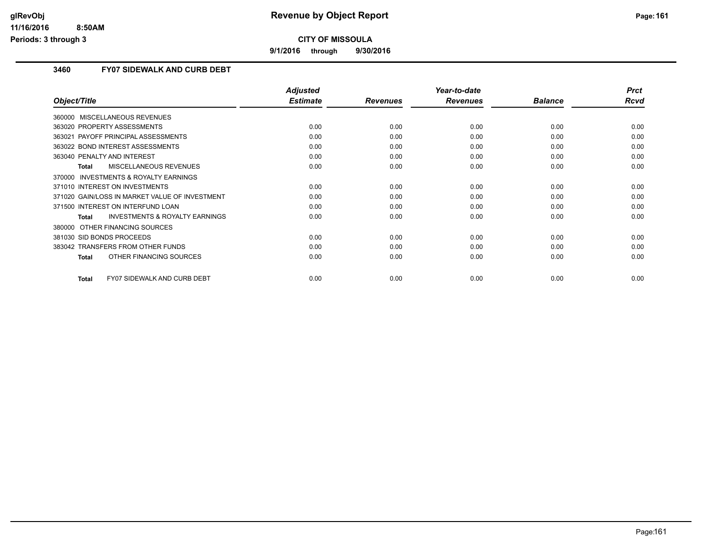**CITY OF MISSOULA**

**9/1/2016 through 9/30/2016**

## **3460 FY07 SIDEWALK AND CURB DEBT**

 **8:50AM**

|                                                           | <b>Adjusted</b> |                 | Year-to-date    |                | <b>Prct</b> |
|-----------------------------------------------------------|-----------------|-----------------|-----------------|----------------|-------------|
| Object/Title                                              | <b>Estimate</b> | <b>Revenues</b> | <b>Revenues</b> | <b>Balance</b> | Rcvd        |
| 360000 MISCELLANEOUS REVENUES                             |                 |                 |                 |                |             |
| 363020 PROPERTY ASSESSMENTS                               | 0.00            | 0.00            | 0.00            | 0.00           | 0.00        |
| 363021 PAYOFF PRINCIPAL ASSESSMENTS                       | 0.00            | 0.00            | 0.00            | 0.00           | 0.00        |
| 363022 BOND INTEREST ASSESSMENTS                          | 0.00            | 0.00            | 0.00            | 0.00           | 0.00        |
| 363040 PENALTY AND INTEREST                               | 0.00            | 0.00            | 0.00            | 0.00           | 0.00        |
| <b>MISCELLANEOUS REVENUES</b><br>Total                    | 0.00            | 0.00            | 0.00            | 0.00           | 0.00        |
| 370000 INVESTMENTS & ROYALTY EARNINGS                     |                 |                 |                 |                |             |
| 371010 INTEREST ON INVESTMENTS                            | 0.00            | 0.00            | 0.00            | 0.00           | 0.00        |
| 371020 GAIN/LOSS IN MARKET VALUE OF INVESTMENT            | 0.00            | 0.00            | 0.00            | 0.00           | 0.00        |
| 371500 INTEREST ON INTERFUND LOAN                         | 0.00            | 0.00            | 0.00            | 0.00           | 0.00        |
| <b>INVESTMENTS &amp; ROYALTY EARNINGS</b><br><b>Total</b> | 0.00            | 0.00            | 0.00            | 0.00           | 0.00        |
| 380000 OTHER FINANCING SOURCES                            |                 |                 |                 |                |             |
| 381030 SID BONDS PROCEEDS                                 | 0.00            | 0.00            | 0.00            | 0.00           | 0.00        |
| 383042 TRANSFERS FROM OTHER FUNDS                         | 0.00            | 0.00            | 0.00            | 0.00           | 0.00        |
| OTHER FINANCING SOURCES<br><b>Total</b>                   | 0.00            | 0.00            | 0.00            | 0.00           | 0.00        |
| <b>FY07 SIDEWALK AND CURB DEBT</b><br>Total               | 0.00            | 0.00            | 0.00            | 0.00           | 0.00        |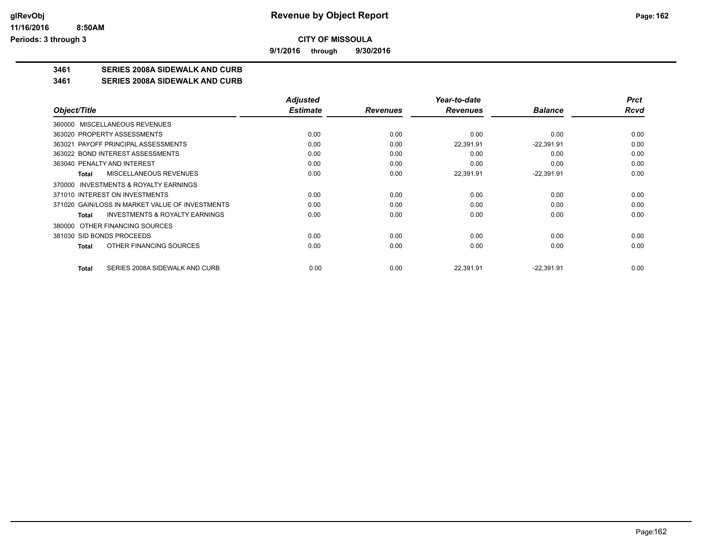**9/1/2016 through 9/30/2016**

# **3461 SERIES 2008A SIDEWALK AND CURB**

### **3461 SERIES 2008A SIDEWALK AND CURB**

|                                                           | <b>Adjusted</b> |                 | Year-to-date    |                | <b>Prct</b> |
|-----------------------------------------------------------|-----------------|-----------------|-----------------|----------------|-------------|
| Object/Title                                              | <b>Estimate</b> | <b>Revenues</b> | <b>Revenues</b> | <b>Balance</b> | <b>Rcvd</b> |
| MISCELLANEOUS REVENUES<br>360000                          |                 |                 |                 |                |             |
| 363020 PROPERTY ASSESSMENTS                               | 0.00            | 0.00            | 0.00            | 0.00           | 0.00        |
| 363021 PAYOFF PRINCIPAL ASSESSMENTS                       | 0.00            | 0.00            | 22,391.91       | $-22,391.91$   | 0.00        |
| 363022 BOND INTEREST ASSESSMENTS                          | 0.00            | 0.00            | 0.00            | 0.00           | 0.00        |
| 363040 PENALTY AND INTEREST                               | 0.00            | 0.00            | 0.00            | 0.00           | 0.00        |
| MISCELLANEOUS REVENUES<br><b>Total</b>                    | 0.00            | 0.00            | 22,391.91       | $-22,391.91$   | 0.00        |
| 370000 INVESTMENTS & ROYALTY EARNINGS                     |                 |                 |                 |                |             |
| 371010 INTEREST ON INVESTMENTS                            | 0.00            | 0.00            | 0.00            | 0.00           | 0.00        |
| 371020 GAIN/LOSS IN MARKET VALUE OF INVESTMENTS           | 0.00            | 0.00            | 0.00            | 0.00           | 0.00        |
| <b>INVESTMENTS &amp; ROYALTY EARNINGS</b><br><b>Total</b> | 0.00            | 0.00            | 0.00            | 0.00           | 0.00        |
| OTHER FINANCING SOURCES<br>380000                         |                 |                 |                 |                |             |
| 381030 SID BONDS PROCEEDS                                 | 0.00            | 0.00            | 0.00            | 0.00           | 0.00        |
| OTHER FINANCING SOURCES<br><b>Total</b>                   | 0.00            | 0.00            | 0.00            | 0.00           | 0.00        |
| SERIES 2008A SIDEWALK AND CURB<br><b>Total</b>            | 0.00            | 0.00            | 22,391.91       | $-22,391.91$   | 0.00        |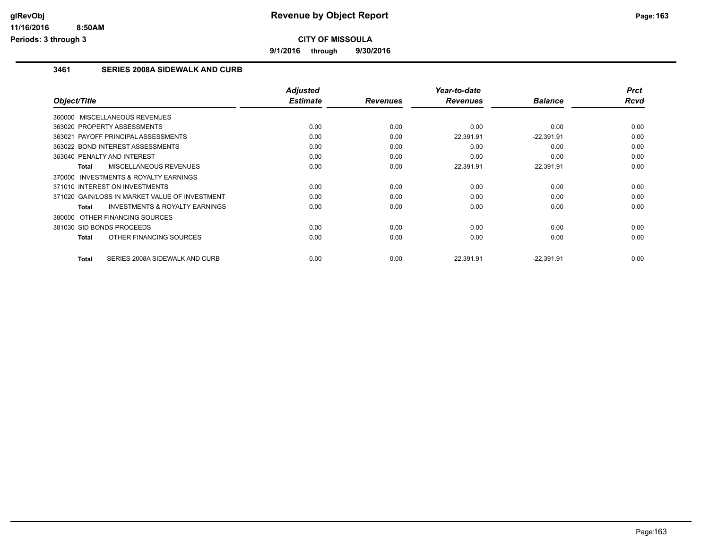**9/1/2016 through 9/30/2016**

## **3461 SERIES 2008A SIDEWALK AND CURB**

| Object/Title                                       | <b>Adjusted</b><br><b>Estimate</b> | <b>Revenues</b> | Year-to-date<br><b>Revenues</b> | <b>Balance</b> | <b>Prct</b><br>Rcvd |
|----------------------------------------------------|------------------------------------|-----------------|---------------------------------|----------------|---------------------|
| 360000 MISCELLANEOUS REVENUES                      |                                    |                 |                                 |                |                     |
| 363020 PROPERTY ASSESSMENTS                        | 0.00                               | 0.00            | 0.00                            | 0.00           | 0.00                |
| 363021 PAYOFF PRINCIPAL ASSESSMENTS                | 0.00                               | 0.00            | 22,391.91                       | $-22,391.91$   | 0.00                |
| 363022 BOND INTEREST ASSESSMENTS                   | 0.00                               | 0.00            | 0.00                            | 0.00           | 0.00                |
| 363040 PENALTY AND INTEREST                        | 0.00                               | 0.00            | 0.00                            | 0.00           | 0.00                |
| MISCELLANEOUS REVENUES                             | 0.00                               | 0.00            |                                 |                | 0.00                |
| Total                                              |                                    |                 | 22,391.91                       | $-22,391.91$   |                     |
| 370000 INVESTMENTS & ROYALTY EARNINGS              |                                    |                 |                                 |                |                     |
| 371010 INTEREST ON INVESTMENTS                     | 0.00                               | 0.00            | 0.00                            | 0.00           | 0.00                |
| 371020 GAIN/LOSS IN MARKET VALUE OF INVESTMENT     | 0.00                               | 0.00            | 0.00                            | 0.00           | 0.00                |
| <b>INVESTMENTS &amp; ROYALTY EARNINGS</b><br>Total | 0.00                               | 0.00            | 0.00                            | 0.00           | 0.00                |
| 380000 OTHER FINANCING SOURCES                     |                                    |                 |                                 |                |                     |
| 381030 SID BONDS PROCEEDS                          | 0.00                               | 0.00            | 0.00                            | 0.00           | 0.00                |
| OTHER FINANCING SOURCES<br>Total                   | 0.00                               | 0.00            | 0.00                            | 0.00           | 0.00                |
|                                                    |                                    |                 |                                 |                |                     |
| SERIES 2008A SIDEWALK AND CURB<br>Total            | 0.00                               | 0.00            | 22,391.91                       | $-22,391.91$   | 0.00                |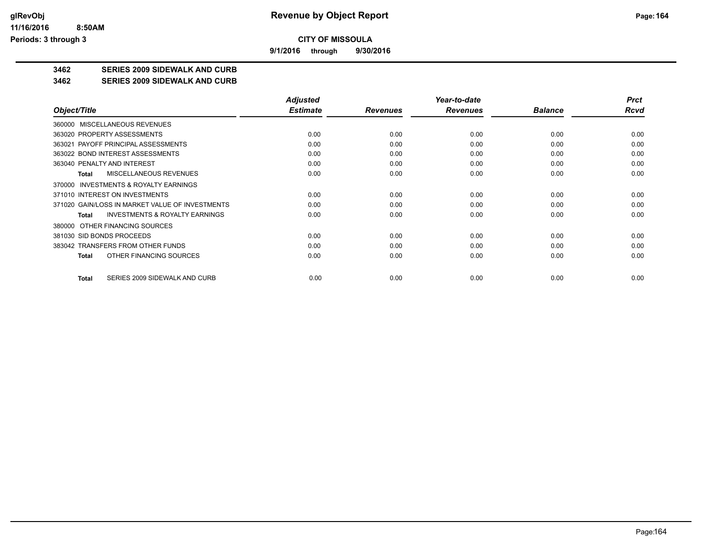**9/1/2016 through 9/30/2016**

# **3462 SERIES 2009 SIDEWALK AND CURB**

#### **3462 SERIES 2009 SIDEWALK AND CURB**

|                                                           | <b>Adjusted</b> |                 | Year-to-date    |                | <b>Prct</b> |
|-----------------------------------------------------------|-----------------|-----------------|-----------------|----------------|-------------|
| Object/Title                                              | <b>Estimate</b> | <b>Revenues</b> | <b>Revenues</b> | <b>Balance</b> | Rcvd        |
| MISCELLANEOUS REVENUES<br>360000                          |                 |                 |                 |                |             |
| 363020 PROPERTY ASSESSMENTS                               | 0.00            | 0.00            | 0.00            | 0.00           | 0.00        |
| 363021 PAYOFF PRINCIPAL ASSESSMENTS                       | 0.00            | 0.00            | 0.00            | 0.00           | 0.00        |
| 363022 BOND INTEREST ASSESSMENTS                          | 0.00            | 0.00            | 0.00            | 0.00           | 0.00        |
| 363040 PENALTY AND INTEREST                               | 0.00            | 0.00            | 0.00            | 0.00           | 0.00        |
| <b>MISCELLANEOUS REVENUES</b><br><b>Total</b>             | 0.00            | 0.00            | 0.00            | 0.00           | 0.00        |
| INVESTMENTS & ROYALTY EARNINGS<br>370000                  |                 |                 |                 |                |             |
| 371010 INTEREST ON INVESTMENTS                            | 0.00            | 0.00            | 0.00            | 0.00           | 0.00        |
| 371020 GAIN/LOSS IN MARKET VALUE OF INVESTMENTS           | 0.00            | 0.00            | 0.00            | 0.00           | 0.00        |
| <b>INVESTMENTS &amp; ROYALTY EARNINGS</b><br><b>Total</b> | 0.00            | 0.00            | 0.00            | 0.00           | 0.00        |
| OTHER FINANCING SOURCES<br>380000                         |                 |                 |                 |                |             |
| 381030 SID BONDS PROCEEDS                                 | 0.00            | 0.00            | 0.00            | 0.00           | 0.00        |
| 383042 TRANSFERS FROM OTHER FUNDS                         | 0.00            | 0.00            | 0.00            | 0.00           | 0.00        |
| OTHER FINANCING SOURCES<br><b>Total</b>                   | 0.00            | 0.00            | 0.00            | 0.00           | 0.00        |
| SERIES 2009 SIDEWALK AND CURB<br><b>Total</b>             | 0.00            | 0.00            | 0.00            | 0.00           | 0.00        |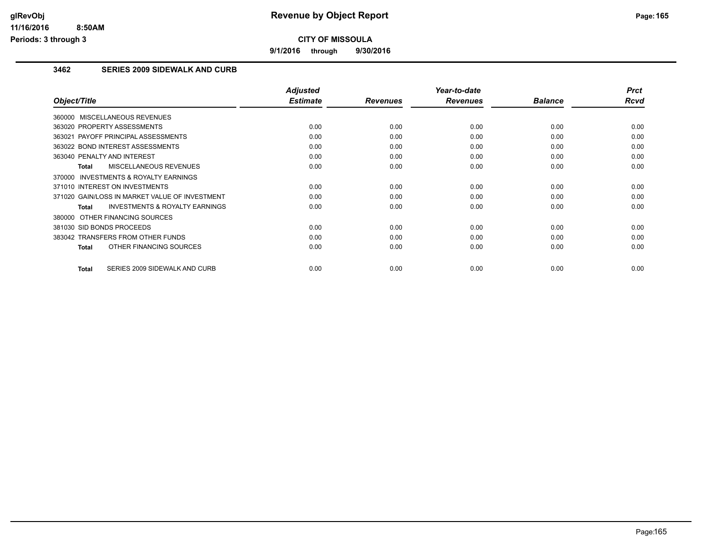**9/1/2016 through 9/30/2016**

## **3462 SERIES 2009 SIDEWALK AND CURB**

|                                                     | <b>Adjusted</b> |                 | Year-to-date    |                | <b>Prct</b> |
|-----------------------------------------------------|-----------------|-----------------|-----------------|----------------|-------------|
| Object/Title                                        | <b>Estimate</b> | <b>Revenues</b> | <b>Revenues</b> | <b>Balance</b> | Rcvd        |
| 360000 MISCELLANEOUS REVENUES                       |                 |                 |                 |                |             |
| 363020 PROPERTY ASSESSMENTS                         | 0.00            | 0.00            | 0.00            | 0.00           | 0.00        |
| 363021 PAYOFF PRINCIPAL ASSESSMENTS                 | 0.00            | 0.00            | 0.00            | 0.00           | 0.00        |
| 363022 BOND INTEREST ASSESSMENTS                    | 0.00            | 0.00            | 0.00            | 0.00           | 0.00        |
| 363040 PENALTY AND INTEREST                         | 0.00            | 0.00            | 0.00            | 0.00           | 0.00        |
| <b>MISCELLANEOUS REVENUES</b><br>Total              | 0.00            | 0.00            | 0.00            | 0.00           | 0.00        |
| <b>INVESTMENTS &amp; ROYALTY EARNINGS</b><br>370000 |                 |                 |                 |                |             |
| 371010 INTEREST ON INVESTMENTS                      | 0.00            | 0.00            | 0.00            | 0.00           | 0.00        |
| 371020 GAIN/LOSS IN MARKET VALUE OF INVESTMENT      | 0.00            | 0.00            | 0.00            | 0.00           | 0.00        |
| <b>INVESTMENTS &amp; ROYALTY EARNINGS</b><br>Total  | 0.00            | 0.00            | 0.00            | 0.00           | 0.00        |
| 380000 OTHER FINANCING SOURCES                      |                 |                 |                 |                |             |
| 381030 SID BONDS PROCEEDS                           | 0.00            | 0.00            | 0.00            | 0.00           | 0.00        |
| 383042 TRANSFERS FROM OTHER FUNDS                   | 0.00            | 0.00            | 0.00            | 0.00           | 0.00        |
| OTHER FINANCING SOURCES<br>Total                    | 0.00            | 0.00            | 0.00            | 0.00           | 0.00        |
| SERIES 2009 SIDEWALK AND CURB<br><b>Total</b>       | 0.00            | 0.00            | 0.00            | 0.00           | 0.00        |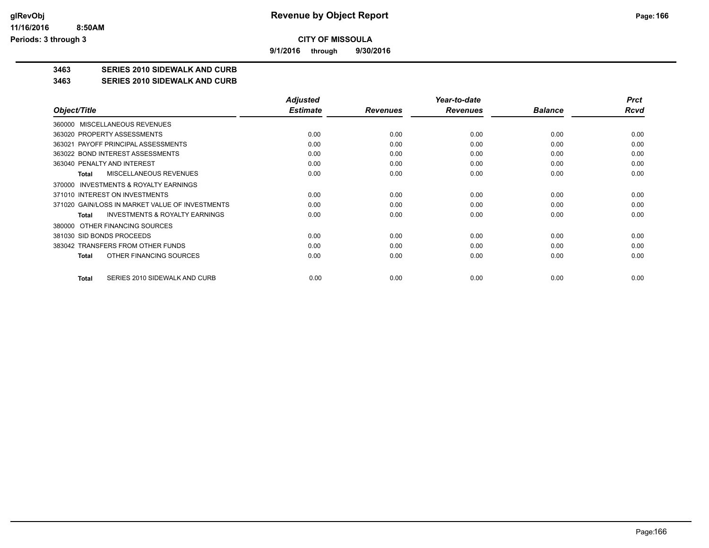**9/1/2016 through 9/30/2016**

# **3463 SERIES 2010 SIDEWALK AND CURB**

#### **3463 SERIES 2010 SIDEWALK AND CURB**

|                                                    | <b>Adjusted</b> |                 | Year-to-date    |                | <b>Prct</b> |
|----------------------------------------------------|-----------------|-----------------|-----------------|----------------|-------------|
| Object/Title                                       | <b>Estimate</b> | <b>Revenues</b> | <b>Revenues</b> | <b>Balance</b> | Rcvd        |
| 360000 MISCELLANEOUS REVENUES                      |                 |                 |                 |                |             |
| 363020 PROPERTY ASSESSMENTS                        | 0.00            | 0.00            | 0.00            | 0.00           | 0.00        |
| 363021 PAYOFF PRINCIPAL ASSESSMENTS                | 0.00            | 0.00            | 0.00            | 0.00           | 0.00        |
| 363022 BOND INTEREST ASSESSMENTS                   | 0.00            | 0.00            | 0.00            | 0.00           | 0.00        |
| 363040 PENALTY AND INTEREST                        | 0.00            | 0.00            | 0.00            | 0.00           | 0.00        |
| <b>MISCELLANEOUS REVENUES</b><br>Total             | 0.00            | 0.00            | 0.00            | 0.00           | 0.00        |
| INVESTMENTS & ROYALTY EARNINGS<br>370000           |                 |                 |                 |                |             |
| 371010 INTEREST ON INVESTMENTS                     | 0.00            | 0.00            | 0.00            | 0.00           | 0.00        |
| 371020 GAIN/LOSS IN MARKET VALUE OF INVESTMENTS    | 0.00            | 0.00            | 0.00            | 0.00           | 0.00        |
| <b>INVESTMENTS &amp; ROYALTY EARNINGS</b><br>Total | 0.00            | 0.00            | 0.00            | 0.00           | 0.00        |
| 380000 OTHER FINANCING SOURCES                     |                 |                 |                 |                |             |
| 381030 SID BONDS PROCEEDS                          | 0.00            | 0.00            | 0.00            | 0.00           | 0.00        |
| 383042 TRANSFERS FROM OTHER FUNDS                  | 0.00            | 0.00            | 0.00            | 0.00           | 0.00        |
| OTHER FINANCING SOURCES<br>Total                   | 0.00            | 0.00            | 0.00            | 0.00           | 0.00        |
| SERIES 2010 SIDEWALK AND CURB<br><b>Total</b>      | 0.00            | 0.00            | 0.00            | 0.00           | 0.00        |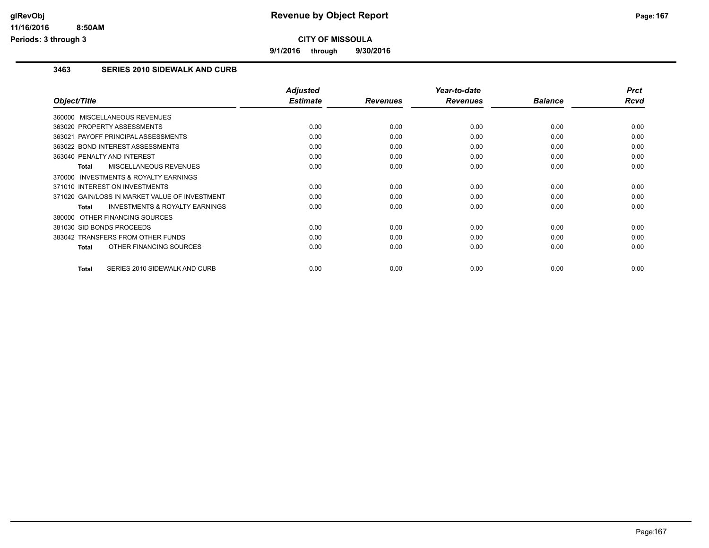**9/1/2016 through 9/30/2016**

## **3463 SERIES 2010 SIDEWALK AND CURB**

|                                                     | <b>Adjusted</b> |                 | Year-to-date    |                | <b>Prct</b> |
|-----------------------------------------------------|-----------------|-----------------|-----------------|----------------|-------------|
| Object/Title                                        | <b>Estimate</b> | <b>Revenues</b> | <b>Revenues</b> | <b>Balance</b> | Rcvd        |
| 360000 MISCELLANEOUS REVENUES                       |                 |                 |                 |                |             |
| 363020 PROPERTY ASSESSMENTS                         | 0.00            | 0.00            | 0.00            | 0.00           | 0.00        |
| 363021 PAYOFF PRINCIPAL ASSESSMENTS                 | 0.00            | 0.00            | 0.00            | 0.00           | 0.00        |
| 363022 BOND INTEREST ASSESSMENTS                    | 0.00            | 0.00            | 0.00            | 0.00           | 0.00        |
| 363040 PENALTY AND INTEREST                         | 0.00            | 0.00            | 0.00            | 0.00           | 0.00        |
| <b>MISCELLANEOUS REVENUES</b><br>Total              | 0.00            | 0.00            | 0.00            | 0.00           | 0.00        |
| <b>INVESTMENTS &amp; ROYALTY EARNINGS</b><br>370000 |                 |                 |                 |                |             |
| 371010 INTEREST ON INVESTMENTS                      | 0.00            | 0.00            | 0.00            | 0.00           | 0.00        |
| 371020 GAIN/LOSS IN MARKET VALUE OF INVESTMENT      | 0.00            | 0.00            | 0.00            | 0.00           | 0.00        |
| <b>INVESTMENTS &amp; ROYALTY EARNINGS</b><br>Total  | 0.00            | 0.00            | 0.00            | 0.00           | 0.00        |
| 380000 OTHER FINANCING SOURCES                      |                 |                 |                 |                |             |
| 381030 SID BONDS PROCEEDS                           | 0.00            | 0.00            | 0.00            | 0.00           | 0.00        |
| 383042 TRANSFERS FROM OTHER FUNDS                   | 0.00            | 0.00            | 0.00            | 0.00           | 0.00        |
| OTHER FINANCING SOURCES<br>Total                    | 0.00            | 0.00            | 0.00            | 0.00           | 0.00        |
| SERIES 2010 SIDEWALK AND CURB<br><b>Total</b>       | 0.00            | 0.00            | 0.00            | 0.00           | 0.00        |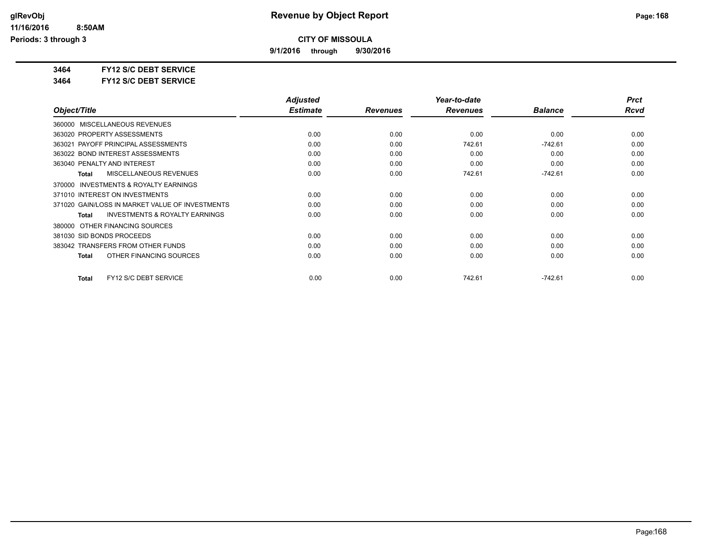**9/1/2016 through 9/30/2016**

**3464 FY12 S/C DEBT SERVICE**

**3464 FY12 S/C DEBT SERVICE**

|                                                    | <b>Adjusted</b> |                 | Year-to-date    |                | <b>Prct</b> |
|----------------------------------------------------|-----------------|-----------------|-----------------|----------------|-------------|
| Object/Title                                       | <b>Estimate</b> | <b>Revenues</b> | <b>Revenues</b> | <b>Balance</b> | Rcvd        |
| 360000 MISCELLANEOUS REVENUES                      |                 |                 |                 |                |             |
| 363020 PROPERTY ASSESSMENTS                        | 0.00            | 0.00            | 0.00            | 0.00           | 0.00        |
| 363021 PAYOFF PRINCIPAL ASSESSMENTS                | 0.00            | 0.00            | 742.61          | $-742.61$      | 0.00        |
| 363022 BOND INTEREST ASSESSMENTS                   | 0.00            | 0.00            | 0.00            | 0.00           | 0.00        |
| 363040 PENALTY AND INTEREST                        | 0.00            | 0.00            | 0.00            | 0.00           | 0.00        |
| <b>MISCELLANEOUS REVENUES</b><br>Total             | 0.00            | 0.00            | 742.61          | $-742.61$      | 0.00        |
| 370000 INVESTMENTS & ROYALTY EARNINGS              |                 |                 |                 |                |             |
| 371010 INTEREST ON INVESTMENTS                     | 0.00            | 0.00            | 0.00            | 0.00           | 0.00        |
| 371020 GAIN/LOSS IN MARKET VALUE OF INVESTMENTS    | 0.00            | 0.00            | 0.00            | 0.00           | 0.00        |
| <b>INVESTMENTS &amp; ROYALTY EARNINGS</b><br>Total | 0.00            | 0.00            | 0.00            | 0.00           | 0.00        |
| OTHER FINANCING SOURCES<br>380000                  |                 |                 |                 |                |             |
| 381030 SID BONDS PROCEEDS                          | 0.00            | 0.00            | 0.00            | 0.00           | 0.00        |
| 383042 TRANSFERS FROM OTHER FUNDS                  | 0.00            | 0.00            | 0.00            | 0.00           | 0.00        |
| OTHER FINANCING SOURCES<br><b>Total</b>            | 0.00            | 0.00            | 0.00            | 0.00           | 0.00        |
| FY12 S/C DEBT SERVICE<br><b>Total</b>              | 0.00            | 0.00            | 742.61          | $-742.61$      | 0.00        |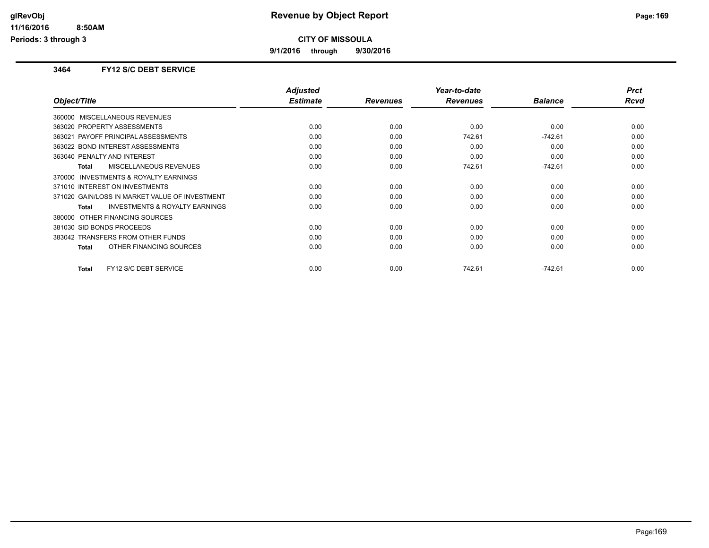**CITY OF MISSOULA**

**9/1/2016 through 9/30/2016**

#### **3464 FY12 S/C DEBT SERVICE**

|                                                     | <b>Adjusted</b> |                 | Year-to-date    |                | <b>Prct</b> |
|-----------------------------------------------------|-----------------|-----------------|-----------------|----------------|-------------|
| Object/Title                                        | <b>Estimate</b> | <b>Revenues</b> | <b>Revenues</b> | <b>Balance</b> | Rcvd        |
| 360000 MISCELLANEOUS REVENUES                       |                 |                 |                 |                |             |
| 363020 PROPERTY ASSESSMENTS                         | 0.00            | 0.00            | 0.00            | 0.00           | 0.00        |
| 363021 PAYOFF PRINCIPAL ASSESSMENTS                 | 0.00            | 0.00            | 742.61          | $-742.61$      | 0.00        |
| 363022 BOND INTEREST ASSESSMENTS                    | 0.00            | 0.00            | 0.00            | 0.00           | 0.00        |
| 363040 PENALTY AND INTEREST                         | 0.00            | 0.00            | 0.00            | 0.00           | 0.00        |
| MISCELLANEOUS REVENUES<br>Total                     | 0.00            | 0.00            | 742.61          | $-742.61$      | 0.00        |
| <b>INVESTMENTS &amp; ROYALTY EARNINGS</b><br>370000 |                 |                 |                 |                |             |
| 371010 INTEREST ON INVESTMENTS                      | 0.00            | 0.00            | 0.00            | 0.00           | 0.00        |
| 371020 GAIN/LOSS IN MARKET VALUE OF INVESTMENT      | 0.00            | 0.00            | 0.00            | 0.00           | 0.00        |
| <b>INVESTMENTS &amp; ROYALTY EARNINGS</b><br>Total  | 0.00            | 0.00            | 0.00            | 0.00           | 0.00        |
| 380000 OTHER FINANCING SOURCES                      |                 |                 |                 |                |             |
| 381030 SID BONDS PROCEEDS                           | 0.00            | 0.00            | 0.00            | 0.00           | 0.00        |
| 383042 TRANSFERS FROM OTHER FUNDS                   | 0.00            | 0.00            | 0.00            | 0.00           | 0.00        |
| OTHER FINANCING SOURCES<br>Total                    | 0.00            | 0.00            | 0.00            | 0.00           | 0.00        |
| FY12 S/C DEBT SERVICE<br>Total                      | 0.00            | 0.00            | 742.61          | $-742.61$      | 0.00        |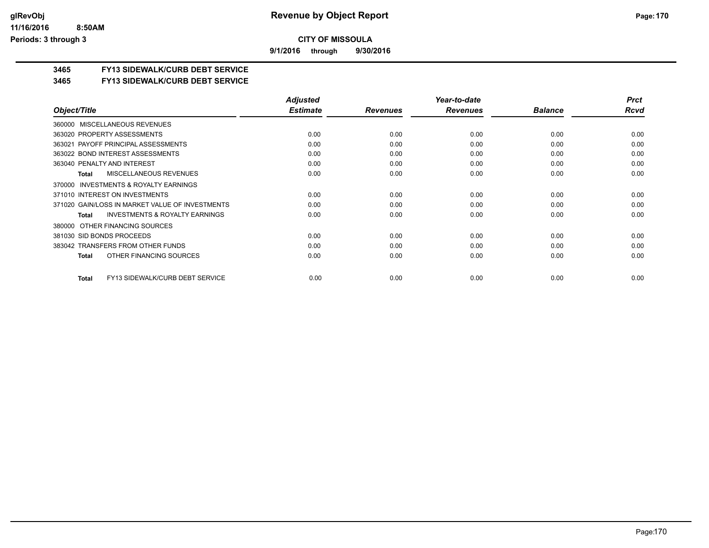**9/1/2016 through 9/30/2016**

## **3465 FY13 SIDEWALK/CURB DEBT SERVICE**

#### **3465 FY13 SIDEWALK/CURB DEBT SERVICE**

|                                                           | <b>Adjusted</b> |                 | Year-to-date    |                | <b>Prct</b> |
|-----------------------------------------------------------|-----------------|-----------------|-----------------|----------------|-------------|
| Object/Title                                              | <b>Estimate</b> | <b>Revenues</b> | <b>Revenues</b> | <b>Balance</b> | Rcvd        |
| <b>MISCELLANEOUS REVENUES</b><br>360000                   |                 |                 |                 |                |             |
| 363020 PROPERTY ASSESSMENTS                               | 0.00            | 0.00            | 0.00            | 0.00           | 0.00        |
| 363021 PAYOFF PRINCIPAL ASSESSMENTS                       | 0.00            | 0.00            | 0.00            | 0.00           | 0.00        |
| 363022 BOND INTEREST ASSESSMENTS                          | 0.00            | 0.00            | 0.00            | 0.00           | 0.00        |
| 363040 PENALTY AND INTEREST                               | 0.00            | 0.00            | 0.00            | 0.00           | 0.00        |
| MISCELLANEOUS REVENUES<br><b>Total</b>                    | 0.00            | 0.00            | 0.00            | 0.00           | 0.00        |
| INVESTMENTS & ROYALTY EARNINGS<br>370000                  |                 |                 |                 |                |             |
| 371010 INTEREST ON INVESTMENTS                            | 0.00            | 0.00            | 0.00            | 0.00           | 0.00        |
| 371020 GAIN/LOSS IN MARKET VALUE OF INVESTMENTS           | 0.00            | 0.00            | 0.00            | 0.00           | 0.00        |
| <b>INVESTMENTS &amp; ROYALTY EARNINGS</b><br><b>Total</b> | 0.00            | 0.00            | 0.00            | 0.00           | 0.00        |
| OTHER FINANCING SOURCES<br>380000                         |                 |                 |                 |                |             |
| 381030 SID BONDS PROCEEDS                                 | 0.00            | 0.00            | 0.00            | 0.00           | 0.00        |
| 383042 TRANSFERS FROM OTHER FUNDS                         | 0.00            | 0.00            | 0.00            | 0.00           | 0.00        |
| OTHER FINANCING SOURCES<br><b>Total</b>                   | 0.00            | 0.00            | 0.00            | 0.00           | 0.00        |
| FY13 SIDEWALK/CURB DEBT SERVICE<br><b>Total</b>           | 0.00            | 0.00            | 0.00            | 0.00           | 0.00        |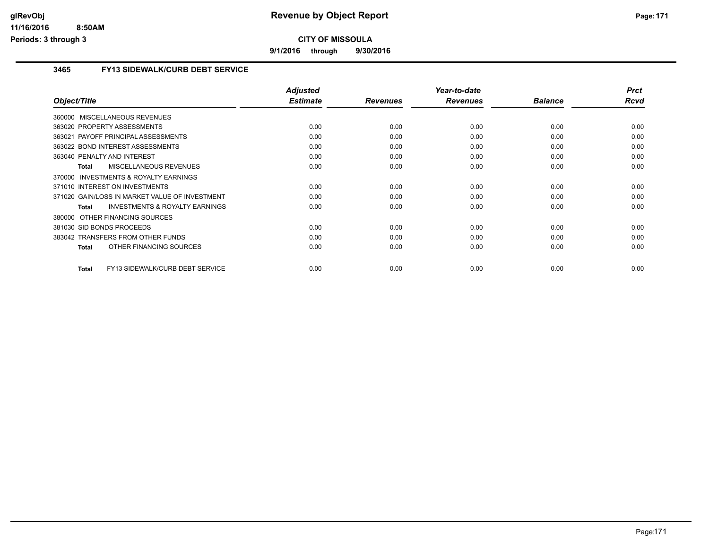**9/1/2016 through 9/30/2016**

## **3465 FY13 SIDEWALK/CURB DEBT SERVICE**

| Object/Title                                              | <b>Adjusted</b><br><b>Estimate</b> | <b>Revenues</b> | Year-to-date<br><b>Revenues</b> | <b>Balance</b> | <b>Prct</b><br>Rcvd |
|-----------------------------------------------------------|------------------------------------|-----------------|---------------------------------|----------------|---------------------|
|                                                           |                                    |                 |                                 |                |                     |
| 360000 MISCELLANEOUS REVENUES                             |                                    |                 |                                 |                |                     |
| 363020 PROPERTY ASSESSMENTS                               | 0.00                               | 0.00            | 0.00                            | 0.00           | 0.00                |
| 363021 PAYOFF PRINCIPAL ASSESSMENTS                       | 0.00                               | 0.00            | 0.00                            | 0.00           | 0.00                |
| 363022 BOND INTEREST ASSESSMENTS                          | 0.00                               | 0.00            | 0.00                            | 0.00           | 0.00                |
| 363040 PENALTY AND INTEREST                               | 0.00                               | 0.00            | 0.00                            | 0.00           | 0.00                |
| <b>MISCELLANEOUS REVENUES</b><br><b>Total</b>             | 0.00                               | 0.00            | 0.00                            | 0.00           | 0.00                |
| <b>INVESTMENTS &amp; ROYALTY EARNINGS</b><br>370000       |                                    |                 |                                 |                |                     |
| 371010 INTEREST ON INVESTMENTS                            | 0.00                               | 0.00            | 0.00                            | 0.00           | 0.00                |
| 371020 GAIN/LOSS IN MARKET VALUE OF INVESTMENT            | 0.00                               | 0.00            | 0.00                            | 0.00           | 0.00                |
| <b>INVESTMENTS &amp; ROYALTY EARNINGS</b><br><b>Total</b> | 0.00                               | 0.00            | 0.00                            | 0.00           | 0.00                |
| 380000 OTHER FINANCING SOURCES                            |                                    |                 |                                 |                |                     |
| 381030 SID BONDS PROCEEDS                                 | 0.00                               | 0.00            | 0.00                            | 0.00           | 0.00                |
| 383042 TRANSFERS FROM OTHER FUNDS                         | 0.00                               | 0.00            | 0.00                            | 0.00           | 0.00                |
| OTHER FINANCING SOURCES<br><b>Total</b>                   | 0.00                               | 0.00            | 0.00                            | 0.00           | 0.00                |
|                                                           |                                    |                 |                                 |                |                     |
| FY13 SIDEWALK/CURB DEBT SERVICE<br><b>Total</b>           | 0.00                               | 0.00            | 0.00                            | 0.00           | 0.00                |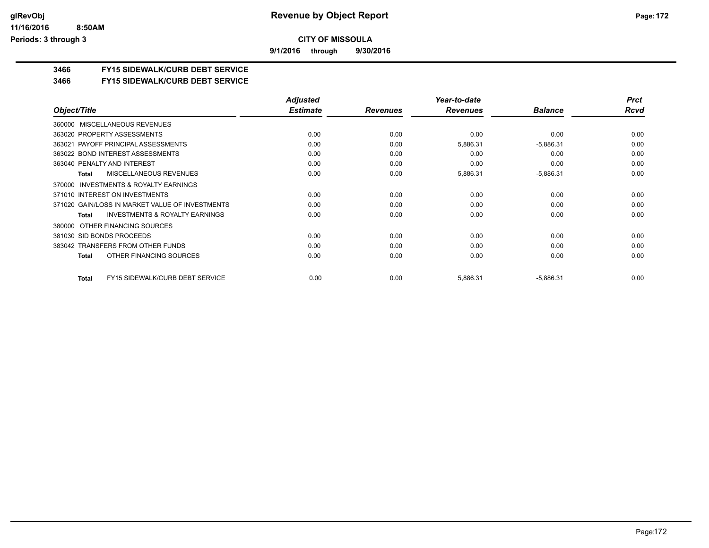**9/1/2016 through 9/30/2016**

## **3466 FY15 SIDEWALK/CURB DEBT SERVICE**

#### **3466 FY15 SIDEWALK/CURB DEBT SERVICE**

|                                                    | <b>Adjusted</b> |                 | Year-to-date    |                | <b>Prct</b> |
|----------------------------------------------------|-----------------|-----------------|-----------------|----------------|-------------|
| Object/Title                                       | <b>Estimate</b> | <b>Revenues</b> | <b>Revenues</b> | <b>Balance</b> | Rcvd        |
| MISCELLANEOUS REVENUES<br>360000                   |                 |                 |                 |                |             |
| 363020 PROPERTY ASSESSMENTS                        | 0.00            | 0.00            | 0.00            | 0.00           | 0.00        |
| 363021 PAYOFF PRINCIPAL ASSESSMENTS                | 0.00            | 0.00            | 5,886.31        | $-5,886.31$    | 0.00        |
| 363022 BOND INTEREST ASSESSMENTS                   | 0.00            | 0.00            | 0.00            | 0.00           | 0.00        |
| 363040 PENALTY AND INTEREST                        | 0.00            | 0.00            | 0.00            | 0.00           | 0.00        |
| <b>MISCELLANEOUS REVENUES</b><br><b>Total</b>      | 0.00            | 0.00            | 5,886.31        | $-5,886.31$    | 0.00        |
| INVESTMENTS & ROYALTY EARNINGS<br>370000           |                 |                 |                 |                |             |
| 371010 INTEREST ON INVESTMENTS                     | 0.00            | 0.00            | 0.00            | 0.00           | 0.00        |
| 371020 GAIN/LOSS IN MARKET VALUE OF INVESTMENTS    | 0.00            | 0.00            | 0.00            | 0.00           | 0.00        |
| <b>INVESTMENTS &amp; ROYALTY EARNINGS</b><br>Total | 0.00            | 0.00            | 0.00            | 0.00           | 0.00        |
| 380000 OTHER FINANCING SOURCES                     |                 |                 |                 |                |             |
| 381030 SID BONDS PROCEEDS                          | 0.00            | 0.00            | 0.00            | 0.00           | 0.00        |
| 383042 TRANSFERS FROM OTHER FUNDS                  | 0.00            | 0.00            | 0.00            | 0.00           | 0.00        |
| OTHER FINANCING SOURCES<br>Total                   | 0.00            | 0.00            | 0.00            | 0.00           | 0.00        |
| FY15 SIDEWALK/CURB DEBT SERVICE<br>Total           | 0.00            | 0.00            | 5,886.31        | $-5,886.31$    | 0.00        |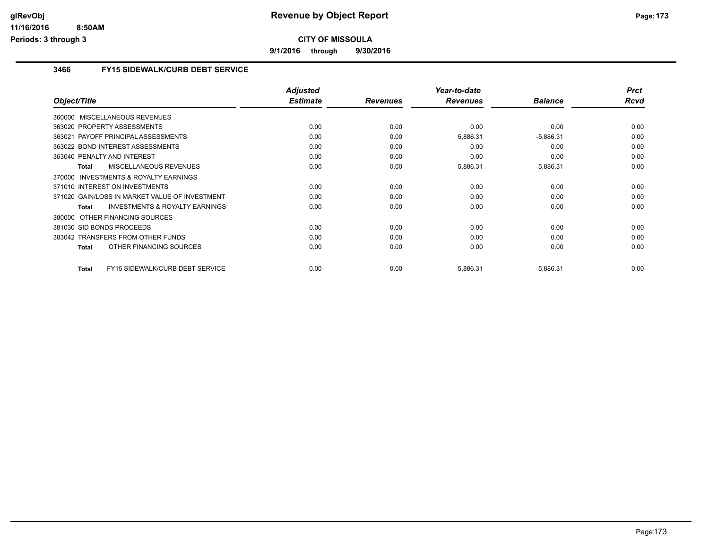**9/1/2016 through 9/30/2016**

## **3466 FY15 SIDEWALK/CURB DEBT SERVICE**

|                                                    | <b>Adjusted</b> |                 | Year-to-date    |                | <b>Prct</b> |
|----------------------------------------------------|-----------------|-----------------|-----------------|----------------|-------------|
| Object/Title                                       | <b>Estimate</b> | <b>Revenues</b> | <b>Revenues</b> | <b>Balance</b> | Rcvd        |
| 360000 MISCELLANEOUS REVENUES                      |                 |                 |                 |                |             |
| 363020 PROPERTY ASSESSMENTS                        | 0.00            | 0.00            | 0.00            | 0.00           | 0.00        |
| 363021 PAYOFF PRINCIPAL ASSESSMENTS                | 0.00            | 0.00            | 5,886.31        | $-5,886.31$    | 0.00        |
| 363022 BOND INTEREST ASSESSMENTS                   | 0.00            | 0.00            | 0.00            | 0.00           | 0.00        |
| 363040 PENALTY AND INTEREST                        | 0.00            | 0.00            | 0.00            | 0.00           | 0.00        |
| <b>MISCELLANEOUS REVENUES</b><br>Total             | 0.00            | 0.00            | 5,886.31        | $-5,886.31$    | 0.00        |
| INVESTMENTS & ROYALTY EARNINGS<br>370000           |                 |                 |                 |                |             |
| 371010 INTEREST ON INVESTMENTS                     | 0.00            | 0.00            | 0.00            | 0.00           | 0.00        |
| 371020 GAIN/LOSS IN MARKET VALUE OF INVESTMENT     | 0.00            | 0.00            | 0.00            | 0.00           | 0.00        |
| <b>INVESTMENTS &amp; ROYALTY EARNINGS</b><br>Total | 0.00            | 0.00            | 0.00            | 0.00           | 0.00        |
| OTHER FINANCING SOURCES<br>380000                  |                 |                 |                 |                |             |
| 381030 SID BONDS PROCEEDS                          | 0.00            | 0.00            | 0.00            | 0.00           | 0.00        |
| 383042 TRANSFERS FROM OTHER FUNDS                  | 0.00            | 0.00            | 0.00            | 0.00           | 0.00        |
| OTHER FINANCING SOURCES<br><b>Total</b>            | 0.00            | 0.00            | 0.00            | 0.00           | 0.00        |
|                                                    |                 |                 |                 |                |             |
| FY15 SIDEWALK/CURB DEBT SERVICE<br><b>Total</b>    | 0.00            | 0.00            | 5,886.31        | $-5,886.31$    | 0.00        |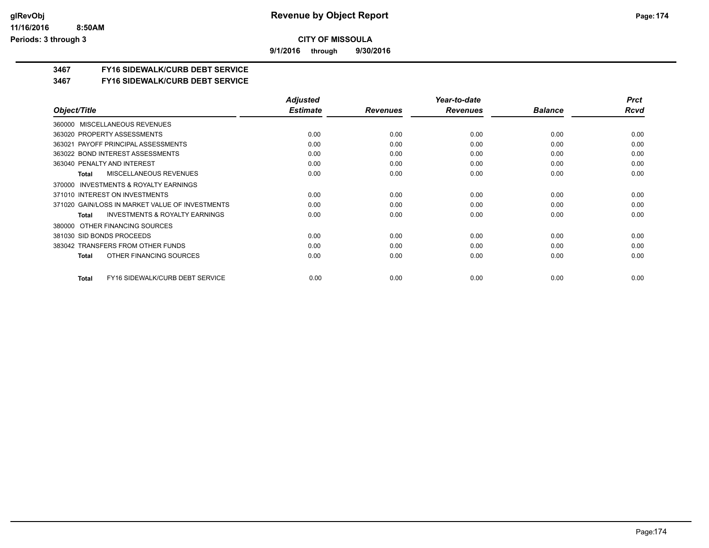**9/1/2016 through 9/30/2016**

## **3467 FY16 SIDEWALK/CURB DEBT SERVICE**

#### **3467 FY16 SIDEWALK/CURB DEBT SERVICE**

|                                                    | <b>Adjusted</b> |                 | Year-to-date    |                | <b>Prct</b> |
|----------------------------------------------------|-----------------|-----------------|-----------------|----------------|-------------|
| Object/Title                                       | <b>Estimate</b> | <b>Revenues</b> | <b>Revenues</b> | <b>Balance</b> | Rcvd        |
| 360000 MISCELLANEOUS REVENUES                      |                 |                 |                 |                |             |
| 363020 PROPERTY ASSESSMENTS                        | 0.00            | 0.00            | 0.00            | 0.00           | 0.00        |
| 363021 PAYOFF PRINCIPAL ASSESSMENTS                | 0.00            | 0.00            | 0.00            | 0.00           | 0.00        |
| 363022 BOND INTEREST ASSESSMENTS                   | 0.00            | 0.00            | 0.00            | 0.00           | 0.00        |
| 363040 PENALTY AND INTEREST                        | 0.00            | 0.00            | 0.00            | 0.00           | 0.00        |
| <b>MISCELLANEOUS REVENUES</b><br>Total             | 0.00            | 0.00            | 0.00            | 0.00           | 0.00        |
| INVESTMENTS & ROYALTY EARNINGS<br>370000           |                 |                 |                 |                |             |
| 371010 INTEREST ON INVESTMENTS                     | 0.00            | 0.00            | 0.00            | 0.00           | 0.00        |
| 371020 GAIN/LOSS IN MARKET VALUE OF INVESTMENTS    | 0.00            | 0.00            | 0.00            | 0.00           | 0.00        |
| <b>INVESTMENTS &amp; ROYALTY EARNINGS</b><br>Total | 0.00            | 0.00            | 0.00            | 0.00           | 0.00        |
| 380000 OTHER FINANCING SOURCES                     |                 |                 |                 |                |             |
| 381030 SID BONDS PROCEEDS                          | 0.00            | 0.00            | 0.00            | 0.00           | 0.00        |
| 383042 TRANSFERS FROM OTHER FUNDS                  | 0.00            | 0.00            | 0.00            | 0.00           | 0.00        |
| OTHER FINANCING SOURCES<br>Total                   | 0.00            | 0.00            | 0.00            | 0.00           | 0.00        |
| FY16 SIDEWALK/CURB DEBT SERVICE<br>Total           | 0.00            | 0.00            | 0.00            | 0.00           | 0.00        |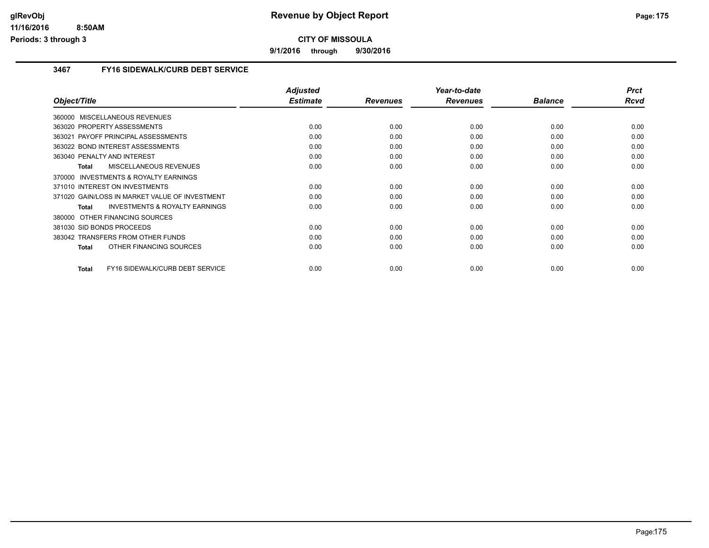**9/1/2016 through 9/30/2016**

## **3467 FY16 SIDEWALK/CURB DEBT SERVICE**

|                                                     | <b>Adjusted</b> |                 | Year-to-date    |                | <b>Prct</b> |
|-----------------------------------------------------|-----------------|-----------------|-----------------|----------------|-------------|
| Object/Title                                        | <b>Estimate</b> | <b>Revenues</b> | <b>Revenues</b> | <b>Balance</b> | <b>Rcvd</b> |
| 360000 MISCELLANEOUS REVENUES                       |                 |                 |                 |                |             |
| 363020 PROPERTY ASSESSMENTS                         | 0.00            | 0.00            | 0.00            | 0.00           | 0.00        |
| 363021 PAYOFF PRINCIPAL ASSESSMENTS                 | 0.00            | 0.00            | 0.00            | 0.00           | 0.00        |
| 363022 BOND INTEREST ASSESSMENTS                    | 0.00            | 0.00            | 0.00            | 0.00           | 0.00        |
| 363040 PENALTY AND INTEREST                         | 0.00            | 0.00            | 0.00            | 0.00           | 0.00        |
| MISCELLANEOUS REVENUES<br>Total                     | 0.00            | 0.00            | 0.00            | 0.00           | 0.00        |
| <b>INVESTMENTS &amp; ROYALTY EARNINGS</b><br>370000 |                 |                 |                 |                |             |
| 371010 INTEREST ON INVESTMENTS                      | 0.00            | 0.00            | 0.00            | 0.00           | 0.00        |
| 371020 GAIN/LOSS IN MARKET VALUE OF INVESTMENT      | 0.00            | 0.00            | 0.00            | 0.00           | 0.00        |
| <b>INVESTMENTS &amp; ROYALTY EARNINGS</b><br>Total  | 0.00            | 0.00            | 0.00            | 0.00           | 0.00        |
| 380000 OTHER FINANCING SOURCES                      |                 |                 |                 |                |             |
| 381030 SID BONDS PROCEEDS                           | 0.00            | 0.00            | 0.00            | 0.00           | 0.00        |
| 383042 TRANSFERS FROM OTHER FUNDS                   | 0.00            | 0.00            | 0.00            | 0.00           | 0.00        |
| OTHER FINANCING SOURCES<br>Total                    | 0.00            | 0.00            | 0.00            | 0.00           | 0.00        |
| FY16 SIDEWALK/CURB DEBT SERVICE<br>Total            | 0.00            | 0.00            | 0.00            | 0.00           | 0.00        |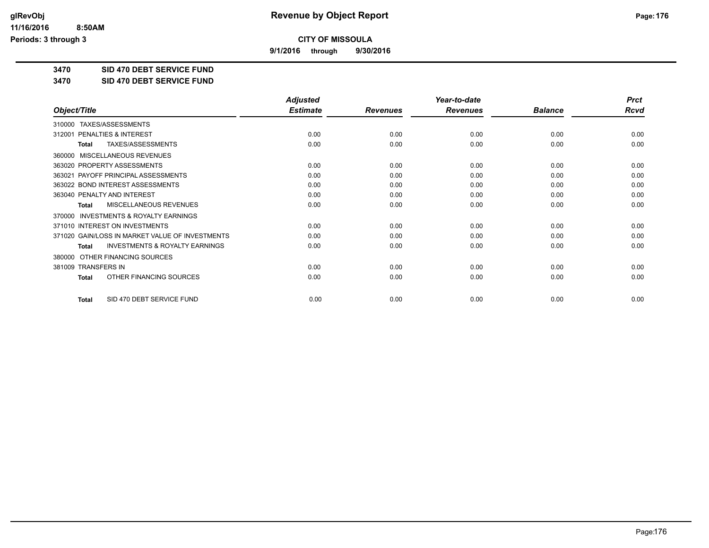**CITY OF MISSOULA**

**9/1/2016 through 9/30/2016**

**3470 SID 470 DEBT SERVICE FUND**

 **8:50AM**

**3470 SID 470 DEBT SERVICE FUND**

|                                                           | <b>Adjusted</b> |                 | Year-to-date    |                | <b>Prct</b> |
|-----------------------------------------------------------|-----------------|-----------------|-----------------|----------------|-------------|
| Object/Title                                              | <b>Estimate</b> | <b>Revenues</b> | <b>Revenues</b> | <b>Balance</b> | <b>Rcvd</b> |
| TAXES/ASSESSMENTS<br>310000                               |                 |                 |                 |                |             |
| PENALTIES & INTEREST<br>312001                            | 0.00            | 0.00            | 0.00            | 0.00           | 0.00        |
| TAXES/ASSESSMENTS<br><b>Total</b>                         | 0.00            | 0.00            | 0.00            | 0.00           | 0.00        |
| MISCELLANEOUS REVENUES<br>360000                          |                 |                 |                 |                |             |
| 363020 PROPERTY ASSESSMENTS                               | 0.00            | 0.00            | 0.00            | 0.00           | 0.00        |
| PAYOFF PRINCIPAL ASSESSMENTS<br>363021                    | 0.00            | 0.00            | 0.00            | 0.00           | 0.00        |
| 363022 BOND INTEREST ASSESSMENTS                          | 0.00            | 0.00            | 0.00            | 0.00           | 0.00        |
| 363040 PENALTY AND INTEREST                               | 0.00            | 0.00            | 0.00            | 0.00           | 0.00        |
| MISCELLANEOUS REVENUES<br><b>Total</b>                    | 0.00            | 0.00            | 0.00            | 0.00           | 0.00        |
| <b>INVESTMENTS &amp; ROYALTY EARNINGS</b><br>370000       |                 |                 |                 |                |             |
| 371010 INTEREST ON INVESTMENTS                            | 0.00            | 0.00            | 0.00            | 0.00           | 0.00        |
| 371020 GAIN/LOSS IN MARKET VALUE OF INVESTMENTS           | 0.00            | 0.00            | 0.00            | 0.00           | 0.00        |
| <b>INVESTMENTS &amp; ROYALTY EARNINGS</b><br><b>Total</b> | 0.00            | 0.00            | 0.00            | 0.00           | 0.00        |
| OTHER FINANCING SOURCES<br>380000                         |                 |                 |                 |                |             |
| 381009 TRANSFERS IN                                       | 0.00            | 0.00            | 0.00            | 0.00           | 0.00        |
| OTHER FINANCING SOURCES<br><b>Total</b>                   | 0.00            | 0.00            | 0.00            | 0.00           | 0.00        |
| SID 470 DEBT SERVICE FUND<br><b>Total</b>                 | 0.00            | 0.00            | 0.00            | 0.00           | 0.00        |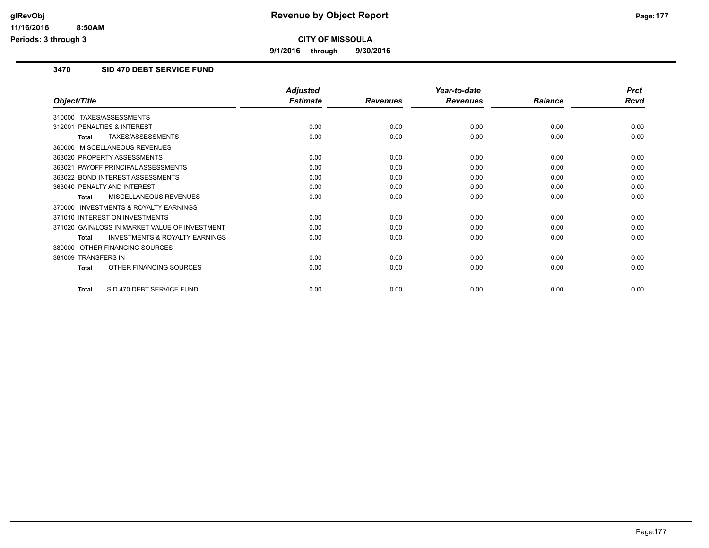**CITY OF MISSOULA**

**9/1/2016 through 9/30/2016**

## **3470 SID 470 DEBT SERVICE FUND**

 **8:50AM**

|                                                           | <b>Adjusted</b> |                 | Year-to-date    |                | <b>Prct</b> |
|-----------------------------------------------------------|-----------------|-----------------|-----------------|----------------|-------------|
| Object/Title                                              | <b>Estimate</b> | <b>Revenues</b> | <b>Revenues</b> | <b>Balance</b> | <b>Rcvd</b> |
| TAXES/ASSESSMENTS<br>310000                               |                 |                 |                 |                |             |
| PENALTIES & INTEREST<br>312001                            | 0.00            | 0.00            | 0.00            | 0.00           | 0.00        |
| TAXES/ASSESSMENTS<br><b>Total</b>                         | 0.00            | 0.00            | 0.00            | 0.00           | 0.00        |
| 360000 MISCELLANEOUS REVENUES                             |                 |                 |                 |                |             |
| 363020 PROPERTY ASSESSMENTS                               | 0.00            | 0.00            | 0.00            | 0.00           | 0.00        |
| 363021 PAYOFF PRINCIPAL ASSESSMENTS                       | 0.00            | 0.00            | 0.00            | 0.00           | 0.00        |
| 363022 BOND INTEREST ASSESSMENTS                          | 0.00            | 0.00            | 0.00            | 0.00           | 0.00        |
| 363040 PENALTY AND INTEREST                               | 0.00            | 0.00            | 0.00            | 0.00           | 0.00        |
| MISCELLANEOUS REVENUES<br>Total                           | 0.00            | 0.00            | 0.00            | 0.00           | 0.00        |
| 370000 INVESTMENTS & ROYALTY EARNINGS                     |                 |                 |                 |                |             |
| 371010 INTEREST ON INVESTMENTS                            | 0.00            | 0.00            | 0.00            | 0.00           | 0.00        |
| 371020 GAIN/LOSS IN MARKET VALUE OF INVESTMENT            | 0.00            | 0.00            | 0.00            | 0.00           | 0.00        |
| <b>INVESTMENTS &amp; ROYALTY EARNINGS</b><br><b>Total</b> | 0.00            | 0.00            | 0.00            | 0.00           | 0.00        |
| 380000 OTHER FINANCING SOURCES                            |                 |                 |                 |                |             |
| 381009 TRANSFERS IN                                       | 0.00            | 0.00            | 0.00            | 0.00           | 0.00        |
| OTHER FINANCING SOURCES<br>Total                          | 0.00            | 0.00            | 0.00            | 0.00           | 0.00        |
| SID 470 DEBT SERVICE FUND<br><b>Total</b>                 | 0.00            | 0.00            | 0.00            | 0.00           | 0.00        |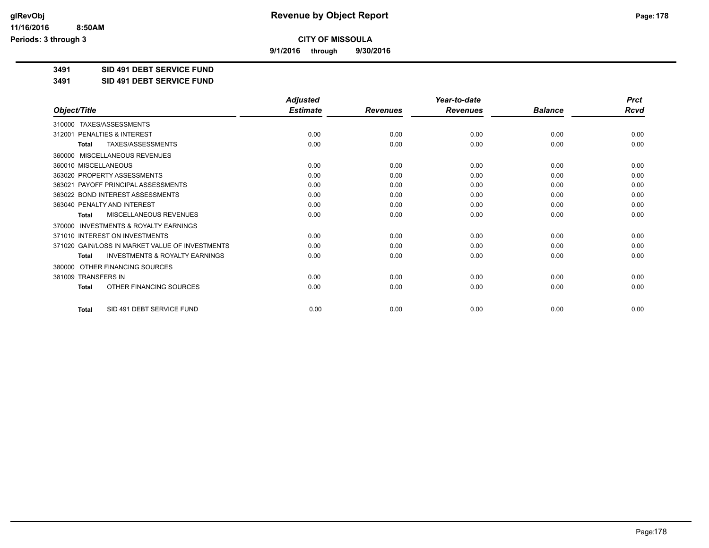**CITY OF MISSOULA**

**9/1/2016 through 9/30/2016**

**3491 SID 491 DEBT SERVICE FUND**

 **8:50AM**

**3491 SID 491 DEBT SERVICE FUND**

|                                                           | <b>Adjusted</b> |                 | Year-to-date    |                | <b>Prct</b> |
|-----------------------------------------------------------|-----------------|-----------------|-----------------|----------------|-------------|
| Object/Title                                              | <b>Estimate</b> | <b>Revenues</b> | <b>Revenues</b> | <b>Balance</b> | <b>Rcvd</b> |
| TAXES/ASSESSMENTS<br>310000                               |                 |                 |                 |                |             |
| PENALTIES & INTEREST<br>312001                            | 0.00            | 0.00            | 0.00            | 0.00           | 0.00        |
| TAXES/ASSESSMENTS<br><b>Total</b>                         | 0.00            | 0.00            | 0.00            | 0.00           | 0.00        |
| MISCELLANEOUS REVENUES<br>360000                          |                 |                 |                 |                |             |
| 360010 MISCELLANEOUS                                      | 0.00            | 0.00            | 0.00            | 0.00           | 0.00        |
| 363020 PROPERTY ASSESSMENTS                               | 0.00            | 0.00            | 0.00            | 0.00           | 0.00        |
| 363021 PAYOFF PRINCIPAL ASSESSMENTS                       | 0.00            | 0.00            | 0.00            | 0.00           | 0.00        |
| 363022 BOND INTEREST ASSESSMENTS                          | 0.00            | 0.00            | 0.00            | 0.00           | 0.00        |
| 363040 PENALTY AND INTEREST                               | 0.00            | 0.00            | 0.00            | 0.00           | 0.00        |
| MISCELLANEOUS REVENUES<br><b>Total</b>                    | 0.00            | 0.00            | 0.00            | 0.00           | 0.00        |
| <b>INVESTMENTS &amp; ROYALTY EARNINGS</b><br>370000       |                 |                 |                 |                |             |
| 371010 INTEREST ON INVESTMENTS                            | 0.00            | 0.00            | 0.00            | 0.00           | 0.00        |
| 371020 GAIN/LOSS IN MARKET VALUE OF INVESTMENTS           | 0.00            | 0.00            | 0.00            | 0.00           | 0.00        |
| <b>INVESTMENTS &amp; ROYALTY EARNINGS</b><br><b>Total</b> | 0.00            | 0.00            | 0.00            | 0.00           | 0.00        |
| OTHER FINANCING SOURCES<br>380000                         |                 |                 |                 |                |             |
| 381009 TRANSFERS IN                                       | 0.00            | 0.00            | 0.00            | 0.00           | 0.00        |
| OTHER FINANCING SOURCES<br><b>Total</b>                   | 0.00            | 0.00            | 0.00            | 0.00           | 0.00        |
| SID 491 DEBT SERVICE FUND<br><b>Total</b>                 | 0.00            | 0.00            | 0.00            | 0.00           | 0.00        |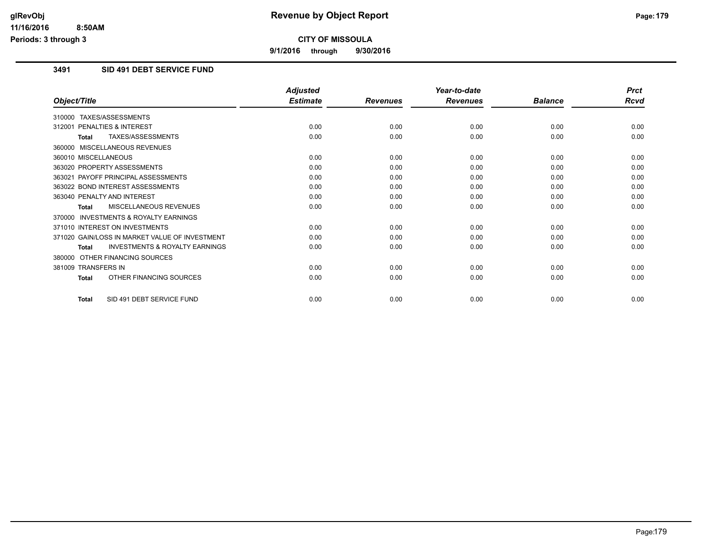**CITY OF MISSOULA**

**9/1/2016 through 9/30/2016**

## **3491 SID 491 DEBT SERVICE FUND**

 **8:50AM**

|                                                           | <b>Adjusted</b> |                 | Year-to-date    |                | <b>Prct</b> |
|-----------------------------------------------------------|-----------------|-----------------|-----------------|----------------|-------------|
| Object/Title                                              | <b>Estimate</b> | <b>Revenues</b> | <b>Revenues</b> | <b>Balance</b> | <b>Rcvd</b> |
| 310000 TAXES/ASSESSMENTS                                  |                 |                 |                 |                |             |
| PENALTIES & INTEREST<br>312001                            | 0.00            | 0.00            | 0.00            | 0.00           | 0.00        |
| TAXES/ASSESSMENTS<br><b>Total</b>                         | 0.00            | 0.00            | 0.00            | 0.00           | 0.00        |
| 360000 MISCELLANEOUS REVENUES                             |                 |                 |                 |                |             |
| 360010 MISCELLANEOUS                                      | 0.00            | 0.00            | 0.00            | 0.00           | 0.00        |
| 363020 PROPERTY ASSESSMENTS                               | 0.00            | 0.00            | 0.00            | 0.00           | 0.00        |
| 363021 PAYOFF PRINCIPAL ASSESSMENTS                       | 0.00            | 0.00            | 0.00            | 0.00           | 0.00        |
| 363022 BOND INTEREST ASSESSMENTS                          | 0.00            | 0.00            | 0.00            | 0.00           | 0.00        |
| 363040 PENALTY AND INTEREST                               | 0.00            | 0.00            | 0.00            | 0.00           | 0.00        |
| MISCELLANEOUS REVENUES<br><b>Total</b>                    | 0.00            | 0.00            | 0.00            | 0.00           | 0.00        |
| <b>INVESTMENTS &amp; ROYALTY EARNINGS</b><br>370000       |                 |                 |                 |                |             |
| 371010 INTEREST ON INVESTMENTS                            | 0.00            | 0.00            | 0.00            | 0.00           | 0.00        |
| 371020 GAIN/LOSS IN MARKET VALUE OF INVESTMENT            | 0.00            | 0.00            | 0.00            | 0.00           | 0.00        |
| <b>INVESTMENTS &amp; ROYALTY EARNINGS</b><br><b>Total</b> | 0.00            | 0.00            | 0.00            | 0.00           | 0.00        |
| OTHER FINANCING SOURCES<br>380000                         |                 |                 |                 |                |             |
| 381009 TRANSFERS IN                                       | 0.00            | 0.00            | 0.00            | 0.00           | 0.00        |
| OTHER FINANCING SOURCES<br><b>Total</b>                   | 0.00            | 0.00            | 0.00            | 0.00           | 0.00        |
| SID 491 DEBT SERVICE FUND<br><b>Total</b>                 | 0.00            | 0.00            | 0.00            | 0.00           | 0.00        |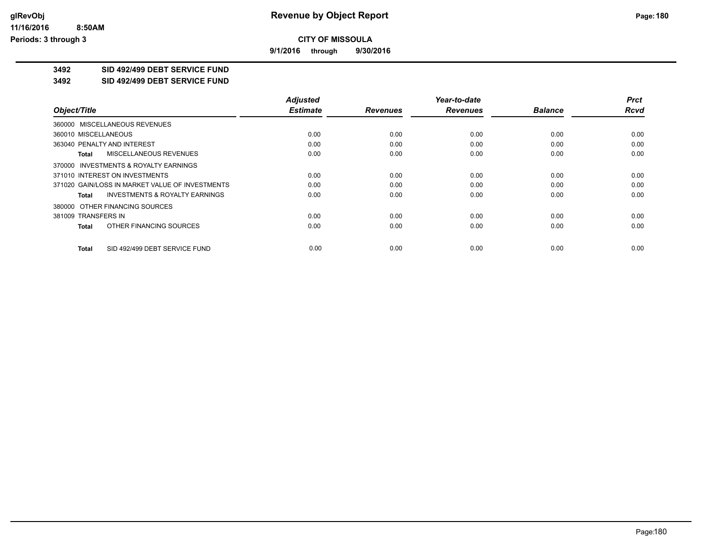**9/1/2016 through 9/30/2016**

**3492 SID 492/499 DEBT SERVICE FUND**

**3492 SID 492/499 DEBT SERVICE FUND**

|                                                    | <b>Adjusted</b> |                 | Year-to-date    |                | <b>Prct</b> |
|----------------------------------------------------|-----------------|-----------------|-----------------|----------------|-------------|
| Object/Title                                       | <b>Estimate</b> | <b>Revenues</b> | <b>Revenues</b> | <b>Balance</b> | <b>Rcvd</b> |
| 360000 MISCELLANEOUS REVENUES                      |                 |                 |                 |                |             |
| 360010 MISCELLANEOUS                               | 0.00            | 0.00            | 0.00            | 0.00           | 0.00        |
| 363040 PENALTY AND INTEREST                        | 0.00            | 0.00            | 0.00            | 0.00           | 0.00        |
| MISCELLANEOUS REVENUES<br>Total                    | 0.00            | 0.00            | 0.00            | 0.00           | 0.00        |
| 370000 INVESTMENTS & ROYALTY EARNINGS              |                 |                 |                 |                |             |
| 371010 INTEREST ON INVESTMENTS                     | 0.00            | 0.00            | 0.00            | 0.00           | 0.00        |
| 371020 GAIN/LOSS IN MARKET VALUE OF INVESTMENTS    | 0.00            | 0.00            | 0.00            | 0.00           | 0.00        |
| <b>INVESTMENTS &amp; ROYALTY EARNINGS</b><br>Total | 0.00            | 0.00            | 0.00            | 0.00           | 0.00        |
| 380000 OTHER FINANCING SOURCES                     |                 |                 |                 |                |             |
| 381009 TRANSFERS IN                                | 0.00            | 0.00            | 0.00            | 0.00           | 0.00        |
| OTHER FINANCING SOURCES<br><b>Total</b>            | 0.00            | 0.00            | 0.00            | 0.00           | 0.00        |
| SID 492/499 DEBT SERVICE FUND<br><b>Total</b>      | 0.00            | 0.00            | 0.00            | 0.00           | 0.00        |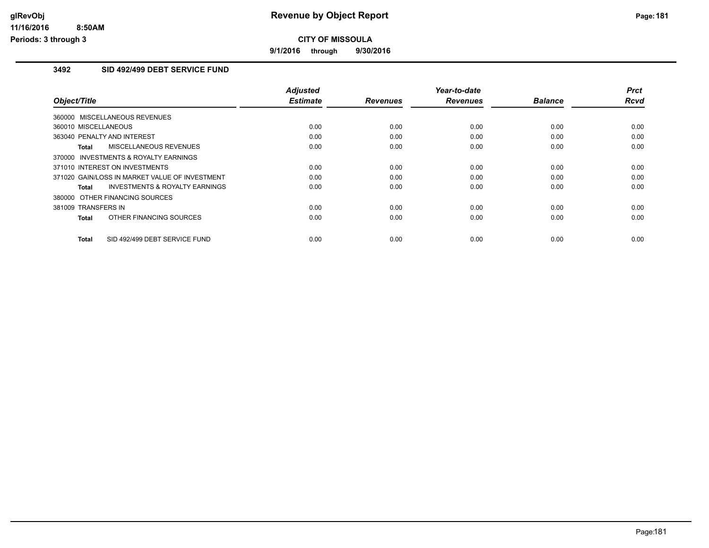**CITY OF MISSOULA**

**9/1/2016 through 9/30/2016**

## **3492 SID 492/499 DEBT SERVICE FUND**

| Object/Title                                        | <b>Adjusted</b><br><b>Estimate</b> | <b>Revenues</b> | Year-to-date<br><b>Revenues</b> | <b>Balance</b> | <b>Prct</b><br><b>Rcvd</b> |
|-----------------------------------------------------|------------------------------------|-----------------|---------------------------------|----------------|----------------------------|
|                                                     |                                    |                 |                                 |                |                            |
| 360000 MISCELLANEOUS REVENUES                       |                                    |                 |                                 |                |                            |
| 360010 MISCELLANEOUS                                | 0.00                               | 0.00            | 0.00                            | 0.00           | 0.00                       |
| 363040 PENALTY AND INTEREST                         | 0.00                               | 0.00            | 0.00                            | 0.00           | 0.00                       |
| MISCELLANEOUS REVENUES<br><b>Total</b>              | 0.00                               | 0.00            | 0.00                            | 0.00           | 0.00                       |
| <b>INVESTMENTS &amp; ROYALTY EARNINGS</b><br>370000 |                                    |                 |                                 |                |                            |
| 371010 INTEREST ON INVESTMENTS                      | 0.00                               | 0.00            | 0.00                            | 0.00           | 0.00                       |
| 371020 GAIN/LOSS IN MARKET VALUE OF INVESTMENT      | 0.00                               | 0.00            | 0.00                            | 0.00           | 0.00                       |
| <b>INVESTMENTS &amp; ROYALTY EARNINGS</b><br>Total  | 0.00                               | 0.00            | 0.00                            | 0.00           | 0.00                       |
| 380000 OTHER FINANCING SOURCES                      |                                    |                 |                                 |                |                            |
| 381009 TRANSFERS IN                                 | 0.00                               | 0.00            | 0.00                            | 0.00           | 0.00                       |
| OTHER FINANCING SOURCES<br>Total                    | 0.00                               | 0.00            | 0.00                            | 0.00           | 0.00                       |
| SID 492/499 DEBT SERVICE FUND<br><b>Total</b>       | 0.00                               | 0.00            | 0.00                            | 0.00           | 0.00                       |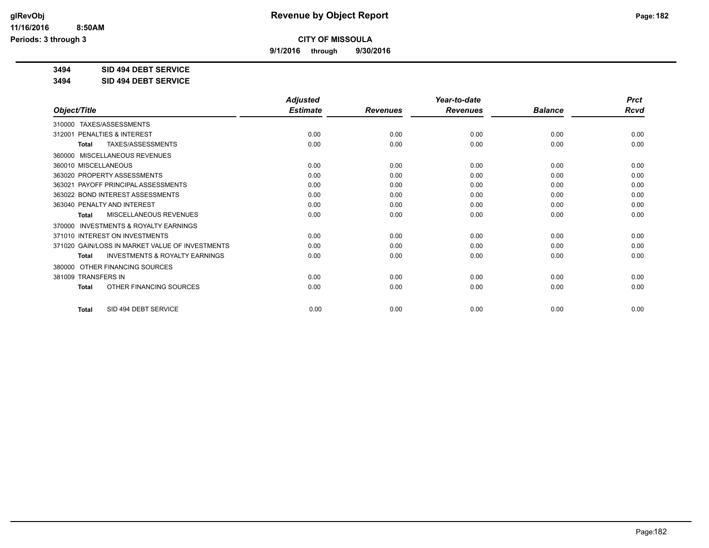**CITY OF MISSOULA**

**9/1/2016 through 9/30/2016**

**3494 SID 494 DEBT SERVICE**

**3494 SID 494 DEBT SERVICE**

|                                                           | <b>Adjusted</b> |                 | Year-to-date    |                | <b>Prct</b> |
|-----------------------------------------------------------|-----------------|-----------------|-----------------|----------------|-------------|
| Object/Title                                              | <b>Estimate</b> | <b>Revenues</b> | <b>Revenues</b> | <b>Balance</b> | <b>Rcvd</b> |
| TAXES/ASSESSMENTS<br>310000                               |                 |                 |                 |                |             |
| PENALTIES & INTEREST<br>312001                            | 0.00            | 0.00            | 0.00            | 0.00           | 0.00        |
| TAXES/ASSESSMENTS<br>Total                                | 0.00            | 0.00            | 0.00            | 0.00           | 0.00        |
| MISCELLANEOUS REVENUES<br>360000                          |                 |                 |                 |                |             |
| 360010 MISCELLANEOUS                                      | 0.00            | 0.00            | 0.00            | 0.00           | 0.00        |
| 363020 PROPERTY ASSESSMENTS                               | 0.00            | 0.00            | 0.00            | 0.00           | 0.00        |
| 363021 PAYOFF PRINCIPAL ASSESSMENTS                       | 0.00            | 0.00            | 0.00            | 0.00           | 0.00        |
| 363022 BOND INTEREST ASSESSMENTS                          | 0.00            | 0.00            | 0.00            | 0.00           | 0.00        |
| 363040 PENALTY AND INTEREST                               | 0.00            | 0.00            | 0.00            | 0.00           | 0.00        |
| MISCELLANEOUS REVENUES<br><b>Total</b>                    | 0.00            | 0.00            | 0.00            | 0.00           | 0.00        |
| <b>INVESTMENTS &amp; ROYALTY EARNINGS</b><br>370000       |                 |                 |                 |                |             |
| 371010 INTEREST ON INVESTMENTS                            | 0.00            | 0.00            | 0.00            | 0.00           | 0.00        |
| 371020 GAIN/LOSS IN MARKET VALUE OF INVESTMENTS           | 0.00            | 0.00            | 0.00            | 0.00           | 0.00        |
| <b>INVESTMENTS &amp; ROYALTY EARNINGS</b><br><b>Total</b> | 0.00            | 0.00            | 0.00            | 0.00           | 0.00        |
| OTHER FINANCING SOURCES<br>380000                         |                 |                 |                 |                |             |
| 381009 TRANSFERS IN                                       | 0.00            | 0.00            | 0.00            | 0.00           | 0.00        |
| OTHER FINANCING SOURCES<br>Total                          | 0.00            | 0.00            | 0.00            | 0.00           | 0.00        |
| SID 494 DEBT SERVICE<br><b>Total</b>                      | 0.00            | 0.00            | 0.00            | 0.00           | 0.00        |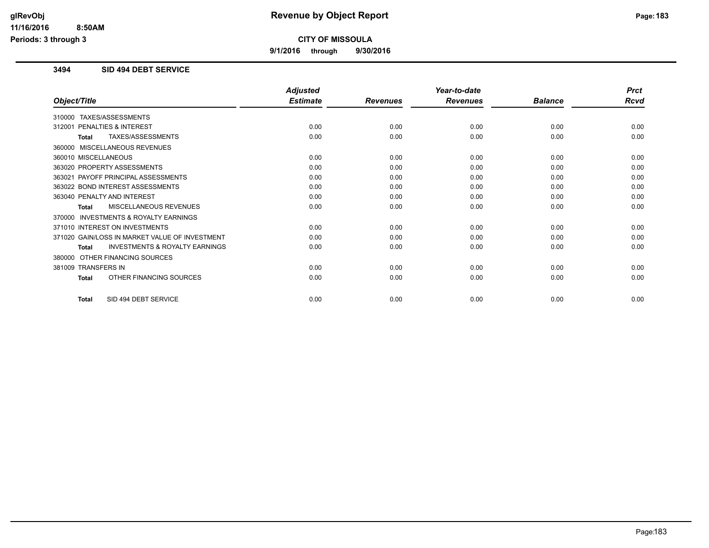**CITY OF MISSOULA**

**9/1/2016 through 9/30/2016**

#### **3494 SID 494 DEBT SERVICE**

|                                                           | <b>Adjusted</b> |                 | Year-to-date    |                | <b>Prct</b> |
|-----------------------------------------------------------|-----------------|-----------------|-----------------|----------------|-------------|
| Object/Title                                              | <b>Estimate</b> | <b>Revenues</b> | <b>Revenues</b> | <b>Balance</b> | <b>Rcvd</b> |
| 310000 TAXES/ASSESSMENTS                                  |                 |                 |                 |                |             |
| PENALTIES & INTEREST<br>312001                            | 0.00            | 0.00            | 0.00            | 0.00           | 0.00        |
| TAXES/ASSESSMENTS<br><b>Total</b>                         | 0.00            | 0.00            | 0.00            | 0.00           | 0.00        |
| 360000 MISCELLANEOUS REVENUES                             |                 |                 |                 |                |             |
| 360010 MISCELLANEOUS                                      | 0.00            | 0.00            | 0.00            | 0.00           | 0.00        |
| 363020 PROPERTY ASSESSMENTS                               | 0.00            | 0.00            | 0.00            | 0.00           | 0.00        |
| 363021 PAYOFF PRINCIPAL ASSESSMENTS                       | 0.00            | 0.00            | 0.00            | 0.00           | 0.00        |
| 363022 BOND INTEREST ASSESSMENTS                          | 0.00            | 0.00            | 0.00            | 0.00           | 0.00        |
| 363040 PENALTY AND INTEREST                               | 0.00            | 0.00            | 0.00            | 0.00           | 0.00        |
| MISCELLANEOUS REVENUES<br><b>Total</b>                    | 0.00            | 0.00            | 0.00            | 0.00           | 0.00        |
| <b>INVESTMENTS &amp; ROYALTY EARNINGS</b><br>370000       |                 |                 |                 |                |             |
| 371010 INTEREST ON INVESTMENTS                            | 0.00            | 0.00            | 0.00            | 0.00           | 0.00        |
| 371020 GAIN/LOSS IN MARKET VALUE OF INVESTMENT            | 0.00            | 0.00            | 0.00            | 0.00           | 0.00        |
| <b>INVESTMENTS &amp; ROYALTY EARNINGS</b><br><b>Total</b> | 0.00            | 0.00            | 0.00            | 0.00           | 0.00        |
| OTHER FINANCING SOURCES<br>380000                         |                 |                 |                 |                |             |
| 381009 TRANSFERS IN                                       | 0.00            | 0.00            | 0.00            | 0.00           | 0.00        |
| OTHER FINANCING SOURCES<br><b>Total</b>                   | 0.00            | 0.00            | 0.00            | 0.00           | 0.00        |
| SID 494 DEBT SERVICE<br><b>Total</b>                      | 0.00            | 0.00            | 0.00            | 0.00           | 0.00        |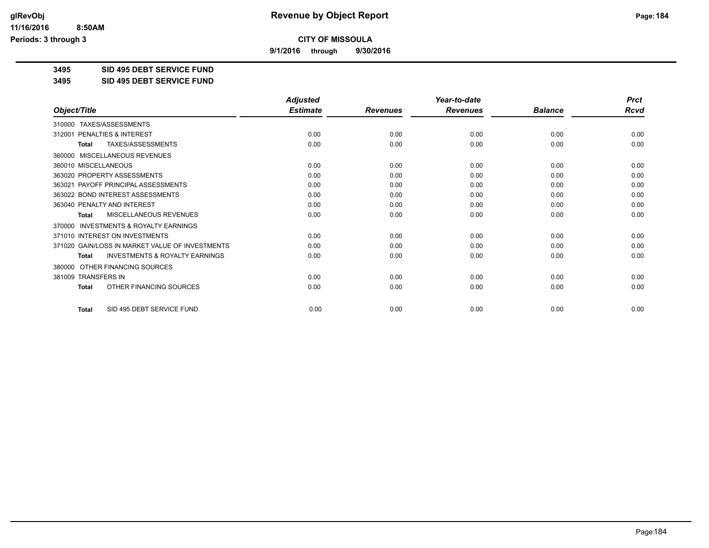**11/16/2016 8:50AM Periods: 3 through 3**

**CITY OF MISSOULA**

**9/1/2016 through 9/30/2016**

**3495 SID 495 DEBT SERVICE FUND**

**3495 SID 495 DEBT SERVICE FUND**

|                                                           | <b>Adjusted</b> |                 | Year-to-date    |                | <b>Prct</b> |
|-----------------------------------------------------------|-----------------|-----------------|-----------------|----------------|-------------|
| Object/Title                                              | <b>Estimate</b> | <b>Revenues</b> | <b>Revenues</b> | <b>Balance</b> | Rcvd        |
| TAXES/ASSESSMENTS<br>310000                               |                 |                 |                 |                |             |
| <b>PENALTIES &amp; INTEREST</b><br>312001                 | 0.00            | 0.00            | 0.00            | 0.00           | 0.00        |
| TAXES/ASSESSMENTS<br><b>Total</b>                         | 0.00            | 0.00            | 0.00            | 0.00           | 0.00        |
| 360000 MISCELLANEOUS REVENUES                             |                 |                 |                 |                |             |
| 360010 MISCELLANEOUS                                      | 0.00            | 0.00            | 0.00            | 0.00           | 0.00        |
| 363020 PROPERTY ASSESSMENTS                               | 0.00            | 0.00            | 0.00            | 0.00           | 0.00        |
| 363021 PAYOFF PRINCIPAL ASSESSMENTS                       | 0.00            | 0.00            | 0.00            | 0.00           | 0.00        |
| 363022 BOND INTEREST ASSESSMENTS                          | 0.00            | 0.00            | 0.00            | 0.00           | 0.00        |
| 363040 PENALTY AND INTEREST                               | 0.00            | 0.00            | 0.00            | 0.00           | 0.00        |
| MISCELLANEOUS REVENUES<br><b>Total</b>                    | 0.00            | 0.00            | 0.00            | 0.00           | 0.00        |
| <b>INVESTMENTS &amp; ROYALTY EARNINGS</b><br>370000       |                 |                 |                 |                |             |
| 371010 INTEREST ON INVESTMENTS                            | 0.00            | 0.00            | 0.00            | 0.00           | 0.00        |
| 371020 GAIN/LOSS IN MARKET VALUE OF INVESTMENTS           | 0.00            | 0.00            | 0.00            | 0.00           | 0.00        |
| <b>INVESTMENTS &amp; ROYALTY EARNINGS</b><br><b>Total</b> | 0.00            | 0.00            | 0.00            | 0.00           | 0.00        |
| OTHER FINANCING SOURCES<br>380000                         |                 |                 |                 |                |             |
| 381009 TRANSFERS IN                                       | 0.00            | 0.00            | 0.00            | 0.00           | 0.00        |
| OTHER FINANCING SOURCES<br><b>Total</b>                   | 0.00            | 0.00            | 0.00            | 0.00           | 0.00        |
| SID 495 DEBT SERVICE FUND<br><b>Total</b>                 | 0.00            | 0.00            | 0.00            | 0.00           | 0.00        |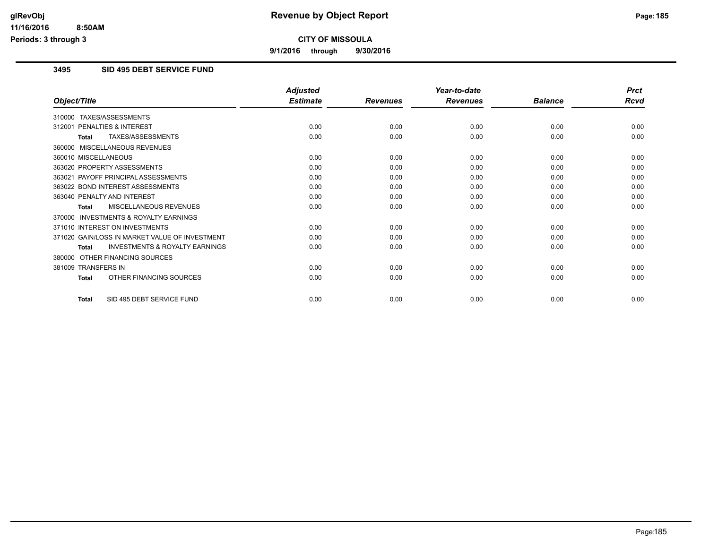**CITY OF MISSOULA**

**9/1/2016 through 9/30/2016**

## **3495 SID 495 DEBT SERVICE FUND**

|                                                    | <b>Adjusted</b> |                 | Year-to-date    |                | <b>Prct</b> |
|----------------------------------------------------|-----------------|-----------------|-----------------|----------------|-------------|
| Object/Title                                       | <b>Estimate</b> | <b>Revenues</b> | <b>Revenues</b> | <b>Balance</b> | <b>Rcvd</b> |
| 310000 TAXES/ASSESSMENTS                           |                 |                 |                 |                |             |
| 312001 PENALTIES & INTEREST                        | 0.00            | 0.00            | 0.00            | 0.00           | 0.00        |
| TAXES/ASSESSMENTS<br>Total                         | 0.00            | 0.00            | 0.00            | 0.00           | 0.00        |
| 360000 MISCELLANEOUS REVENUES                      |                 |                 |                 |                |             |
| 360010 MISCELLANEOUS                               | 0.00            | 0.00            | 0.00            | 0.00           | 0.00        |
| 363020 PROPERTY ASSESSMENTS                        | 0.00            | 0.00            | 0.00            | 0.00           | 0.00        |
| 363021 PAYOFF PRINCIPAL ASSESSMENTS                | 0.00            | 0.00            | 0.00            | 0.00           | 0.00        |
| 363022 BOND INTEREST ASSESSMENTS                   | 0.00            | 0.00            | 0.00            | 0.00           | 0.00        |
| 363040 PENALTY AND INTEREST                        | 0.00            | 0.00            | 0.00            | 0.00           | 0.00        |
| MISCELLANEOUS REVENUES<br>Total                    | 0.00            | 0.00            | 0.00            | 0.00           | 0.00        |
| 370000 INVESTMENTS & ROYALTY EARNINGS              |                 |                 |                 |                |             |
| 371010 INTEREST ON INVESTMENTS                     | 0.00            | 0.00            | 0.00            | 0.00           | 0.00        |
| 371020 GAIN/LOSS IN MARKET VALUE OF INVESTMENT     | 0.00            | 0.00            | 0.00            | 0.00           | 0.00        |
| <b>INVESTMENTS &amp; ROYALTY EARNINGS</b><br>Total | 0.00            | 0.00            | 0.00            | 0.00           | 0.00        |
| 380000 OTHER FINANCING SOURCES                     |                 |                 |                 |                |             |
| 381009 TRANSFERS IN                                | 0.00            | 0.00            | 0.00            | 0.00           | 0.00        |
| OTHER FINANCING SOURCES<br>Total                   | 0.00            | 0.00            | 0.00            | 0.00           | 0.00        |
| SID 495 DEBT SERVICE FUND<br><b>Total</b>          | 0.00            | 0.00            | 0.00            | 0.00           | 0.00        |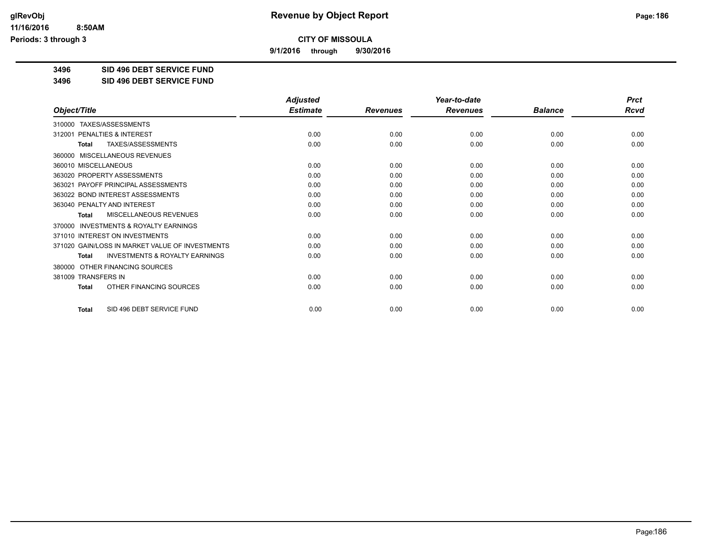**CITY OF MISSOULA**

**9/1/2016 through 9/30/2016**

**3496 SID 496 DEBT SERVICE FUND**

 **8:50AM**

**3496 SID 496 DEBT SERVICE FUND**

|                                                           | <b>Adjusted</b> |                 | Year-to-date    |                | <b>Prct</b> |
|-----------------------------------------------------------|-----------------|-----------------|-----------------|----------------|-------------|
| Object/Title                                              | <b>Estimate</b> | <b>Revenues</b> | <b>Revenues</b> | <b>Balance</b> | <b>Rcvd</b> |
| TAXES/ASSESSMENTS<br>310000                               |                 |                 |                 |                |             |
| PENALTIES & INTEREST<br>312001                            | 0.00            | 0.00            | 0.00            | 0.00           | 0.00        |
| TAXES/ASSESSMENTS<br>Total                                | 0.00            | 0.00            | 0.00            | 0.00           | 0.00        |
| MISCELLANEOUS REVENUES<br>360000                          |                 |                 |                 |                |             |
| 360010 MISCELLANEOUS                                      | 0.00            | 0.00            | 0.00            | 0.00           | 0.00        |
| 363020 PROPERTY ASSESSMENTS                               | 0.00            | 0.00            | 0.00            | 0.00           | 0.00        |
| 363021 PAYOFF PRINCIPAL ASSESSMENTS                       | 0.00            | 0.00            | 0.00            | 0.00           | 0.00        |
| 363022 BOND INTEREST ASSESSMENTS                          | 0.00            | 0.00            | 0.00            | 0.00           | 0.00        |
| 363040 PENALTY AND INTEREST                               | 0.00            | 0.00            | 0.00            | 0.00           | 0.00        |
| MISCELLANEOUS REVENUES<br><b>Total</b>                    | 0.00            | 0.00            | 0.00            | 0.00           | 0.00        |
| <b>INVESTMENTS &amp; ROYALTY EARNINGS</b><br>370000       |                 |                 |                 |                |             |
| 371010 INTEREST ON INVESTMENTS                            | 0.00            | 0.00            | 0.00            | 0.00           | 0.00        |
| 371020 GAIN/LOSS IN MARKET VALUE OF INVESTMENTS           | 0.00            | 0.00            | 0.00            | 0.00           | 0.00        |
| <b>INVESTMENTS &amp; ROYALTY EARNINGS</b><br><b>Total</b> | 0.00            | 0.00            | 0.00            | 0.00           | 0.00        |
| OTHER FINANCING SOURCES<br>380000                         |                 |                 |                 |                |             |
| 381009 TRANSFERS IN                                       | 0.00            | 0.00            | 0.00            | 0.00           | 0.00        |
| OTHER FINANCING SOURCES<br>Total                          | 0.00            | 0.00            | 0.00            | 0.00           | 0.00        |
| SID 496 DEBT SERVICE FUND<br><b>Total</b>                 | 0.00            | 0.00            | 0.00            | 0.00           | 0.00        |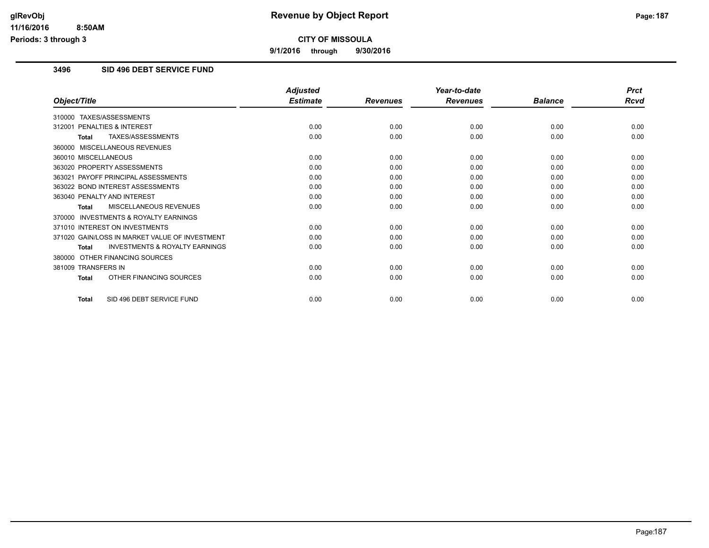**CITY OF MISSOULA**

**9/1/2016 through 9/30/2016**

### **3496 SID 496 DEBT SERVICE FUND**

|                                                           | <b>Adjusted</b> |                 | Year-to-date    |                | <b>Prct</b> |
|-----------------------------------------------------------|-----------------|-----------------|-----------------|----------------|-------------|
| Object/Title                                              | <b>Estimate</b> | <b>Revenues</b> | <b>Revenues</b> | <b>Balance</b> | <b>Rcvd</b> |
| 310000 TAXES/ASSESSMENTS                                  |                 |                 |                 |                |             |
| PENALTIES & INTEREST<br>312001                            | 0.00            | 0.00            | 0.00            | 0.00           | 0.00        |
| TAXES/ASSESSMENTS<br><b>Total</b>                         | 0.00            | 0.00            | 0.00            | 0.00           | 0.00        |
| 360000 MISCELLANEOUS REVENUES                             |                 |                 |                 |                |             |
| 360010 MISCELLANEOUS                                      | 0.00            | 0.00            | 0.00            | 0.00           | 0.00        |
| 363020 PROPERTY ASSESSMENTS                               | 0.00            | 0.00            | 0.00            | 0.00           | 0.00        |
| 363021 PAYOFF PRINCIPAL ASSESSMENTS                       | 0.00            | 0.00            | 0.00            | 0.00           | 0.00        |
| 363022 BOND INTEREST ASSESSMENTS                          | 0.00            | 0.00            | 0.00            | 0.00           | 0.00        |
| 363040 PENALTY AND INTEREST                               | 0.00            | 0.00            | 0.00            | 0.00           | 0.00        |
| MISCELLANEOUS REVENUES<br><b>Total</b>                    | 0.00            | 0.00            | 0.00            | 0.00           | 0.00        |
| <b>INVESTMENTS &amp; ROYALTY EARNINGS</b><br>370000       |                 |                 |                 |                |             |
| 371010 INTEREST ON INVESTMENTS                            | 0.00            | 0.00            | 0.00            | 0.00           | 0.00        |
| 371020 GAIN/LOSS IN MARKET VALUE OF INVESTMENT            | 0.00            | 0.00            | 0.00            | 0.00           | 0.00        |
| <b>INVESTMENTS &amp; ROYALTY EARNINGS</b><br><b>Total</b> | 0.00            | 0.00            | 0.00            | 0.00           | 0.00        |
| OTHER FINANCING SOURCES<br>380000                         |                 |                 |                 |                |             |
| 381009 TRANSFERS IN                                       | 0.00            | 0.00            | 0.00            | 0.00           | 0.00        |
| OTHER FINANCING SOURCES<br><b>Total</b>                   | 0.00            | 0.00            | 0.00            | 0.00           | 0.00        |
| SID 496 DEBT SERVICE FUND<br><b>Total</b>                 | 0.00            | 0.00            | 0.00            | 0.00           | 0.00        |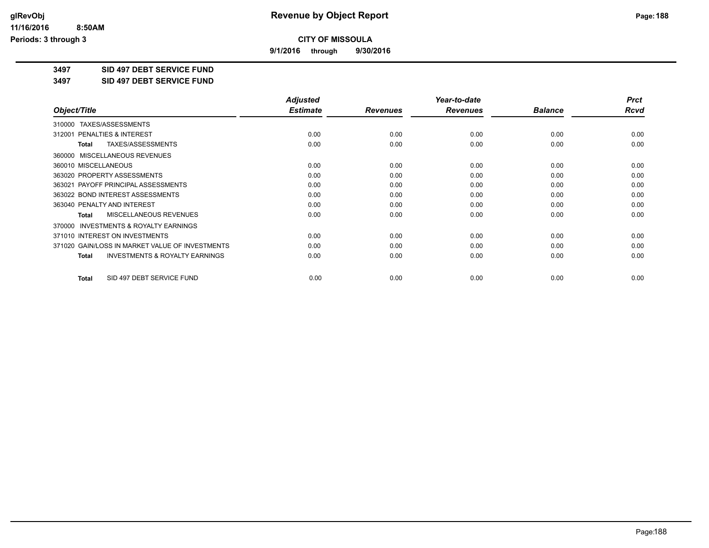**CITY OF MISSOULA**

**9/1/2016 through 9/30/2016**

**3497 SID 497 DEBT SERVICE FUND**

 **8:50AM**

**3497 SID 497 DEBT SERVICE FUND**

|                                                           | <b>Adjusted</b> |                 | Year-to-date    |                | <b>Prct</b> |
|-----------------------------------------------------------|-----------------|-----------------|-----------------|----------------|-------------|
| Object/Title                                              | <b>Estimate</b> | <b>Revenues</b> | <b>Revenues</b> | <b>Balance</b> | Rcvd        |
| TAXES/ASSESSMENTS<br>310000                               |                 |                 |                 |                |             |
| 312001 PENALTIES & INTEREST                               | 0.00            | 0.00            | 0.00            | 0.00           | 0.00        |
| TAXES/ASSESSMENTS<br>Total                                | 0.00            | 0.00            | 0.00            | 0.00           | 0.00        |
| MISCELLANEOUS REVENUES<br>360000                          |                 |                 |                 |                |             |
| 360010 MISCELLANEOUS                                      | 0.00            | 0.00            | 0.00            | 0.00           | 0.00        |
| 363020 PROPERTY ASSESSMENTS                               | 0.00            | 0.00            | 0.00            | 0.00           | 0.00        |
| 363021 PAYOFF PRINCIPAL ASSESSMENTS                       | 0.00            | 0.00            | 0.00            | 0.00           | 0.00        |
| 363022 BOND INTEREST ASSESSMENTS                          | 0.00            | 0.00            | 0.00            | 0.00           | 0.00        |
| 363040 PENALTY AND INTEREST                               | 0.00            | 0.00            | 0.00            | 0.00           | 0.00        |
| <b>MISCELLANEOUS REVENUES</b><br>Total                    | 0.00            | 0.00            | 0.00            | 0.00           | 0.00        |
| INVESTMENTS & ROYALTY EARNINGS<br>370000                  |                 |                 |                 |                |             |
| 371010 INTEREST ON INVESTMENTS                            | 0.00            | 0.00            | 0.00            | 0.00           | 0.00        |
| 371020 GAIN/LOSS IN MARKET VALUE OF INVESTMENTS           | 0.00            | 0.00            | 0.00            | 0.00           | 0.00        |
| <b>INVESTMENTS &amp; ROYALTY EARNINGS</b><br><b>Total</b> | 0.00            | 0.00            | 0.00            | 0.00           | 0.00        |
| SID 497 DEBT SERVICE FUND<br><b>Total</b>                 | 0.00            | 0.00            | 0.00            | 0.00           | 0.00        |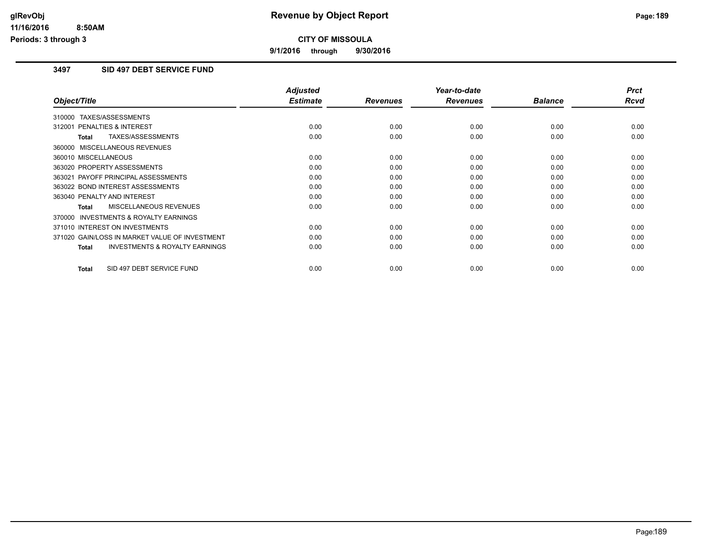**CITY OF MISSOULA**

**9/1/2016 through 9/30/2016**

### **3497 SID 497 DEBT SERVICE FUND**

|                                                    | <b>Adjusted</b> |                 | Year-to-date    |                | <b>Prct</b> |
|----------------------------------------------------|-----------------|-----------------|-----------------|----------------|-------------|
| Object/Title                                       | <b>Estimate</b> | <b>Revenues</b> | <b>Revenues</b> | <b>Balance</b> | Rcvd        |
| 310000 TAXES/ASSESSMENTS                           |                 |                 |                 |                |             |
| 312001 PENALTIES & INTEREST                        | 0.00            | 0.00            | 0.00            | 0.00           | 0.00        |
| TAXES/ASSESSMENTS<br>Total                         | 0.00            | 0.00            | 0.00            | 0.00           | 0.00        |
| 360000 MISCELLANEOUS REVENUES                      |                 |                 |                 |                |             |
| 360010 MISCELLANEOUS                               | 0.00            | 0.00            | 0.00            | 0.00           | 0.00        |
| 363020 PROPERTY ASSESSMENTS                        | 0.00            | 0.00            | 0.00            | 0.00           | 0.00        |
| 363021 PAYOFF PRINCIPAL ASSESSMENTS                | 0.00            | 0.00            | 0.00            | 0.00           | 0.00        |
| 363022 BOND INTEREST ASSESSMENTS                   | 0.00            | 0.00            | 0.00            | 0.00           | 0.00        |
| 363040 PENALTY AND INTEREST                        | 0.00            | 0.00            | 0.00            | 0.00           | 0.00        |
| MISCELLANEOUS REVENUES<br>Total                    | 0.00            | 0.00            | 0.00            | 0.00           | 0.00        |
| 370000 INVESTMENTS & ROYALTY EARNINGS              |                 |                 |                 |                |             |
| 371010 INTEREST ON INVESTMENTS                     | 0.00            | 0.00            | 0.00            | 0.00           | 0.00        |
| 371020 GAIN/LOSS IN MARKET VALUE OF INVESTMENT     | 0.00            | 0.00            | 0.00            | 0.00           | 0.00        |
| <b>INVESTMENTS &amp; ROYALTY EARNINGS</b><br>Total | 0.00            | 0.00            | 0.00            | 0.00           | 0.00        |
| SID 497 DEBT SERVICE FUND<br>Total                 | 0.00            | 0.00            | 0.00            | 0.00           | 0.00        |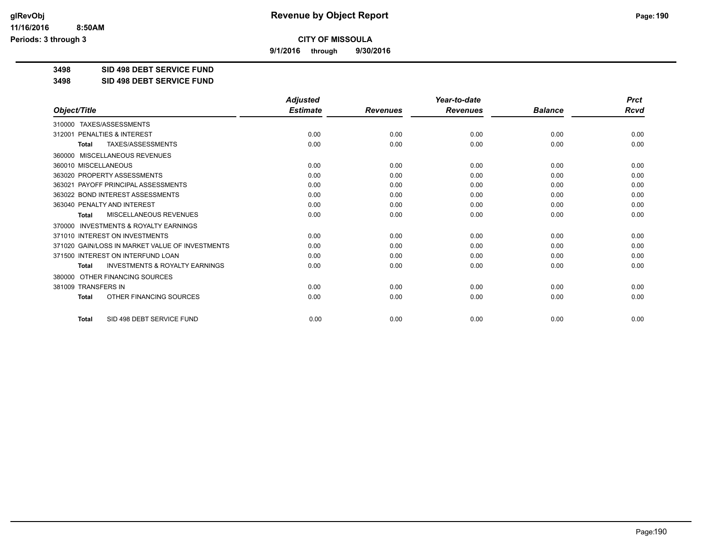**CITY OF MISSOULA**

**9/1/2016 through 9/30/2016**

**3498 SID 498 DEBT SERVICE FUND**

 **8:50AM**

**3498 SID 498 DEBT SERVICE FUND**

|                                                           | <b>Adjusted</b> |                 | Year-to-date    |                | <b>Prct</b> |
|-----------------------------------------------------------|-----------------|-----------------|-----------------|----------------|-------------|
| Object/Title                                              | <b>Estimate</b> | <b>Revenues</b> | <b>Revenues</b> | <b>Balance</b> | <b>Rcvd</b> |
| TAXES/ASSESSMENTS<br>310000                               |                 |                 |                 |                |             |
| 312001 PENALTIES & INTEREST                               | 0.00            | 0.00            | 0.00            | 0.00           | 0.00        |
| <b>TAXES/ASSESSMENTS</b><br><b>Total</b>                  | 0.00            | 0.00            | 0.00            | 0.00           | 0.00        |
| MISCELLANEOUS REVENUES<br>360000                          |                 |                 |                 |                |             |
| 360010 MISCELLANEOUS                                      | 0.00            | 0.00            | 0.00            | 0.00           | 0.00        |
| 363020 PROPERTY ASSESSMENTS                               | 0.00            | 0.00            | 0.00            | 0.00           | 0.00        |
| 363021 PAYOFF PRINCIPAL ASSESSMENTS                       | 0.00            | 0.00            | 0.00            | 0.00           | 0.00        |
| 363022 BOND INTEREST ASSESSMENTS                          | 0.00            | 0.00            | 0.00            | 0.00           | 0.00        |
| 363040 PENALTY AND INTEREST                               | 0.00            | 0.00            | 0.00            | 0.00           | 0.00        |
| <b>MISCELLANEOUS REVENUES</b><br><b>Total</b>             | 0.00            | 0.00            | 0.00            | 0.00           | 0.00        |
| <b>INVESTMENTS &amp; ROYALTY EARNINGS</b><br>370000       |                 |                 |                 |                |             |
| 371010 INTEREST ON INVESTMENTS                            | 0.00            | 0.00            | 0.00            | 0.00           | 0.00        |
| 371020 GAIN/LOSS IN MARKET VALUE OF INVESTMENTS           | 0.00            | 0.00            | 0.00            | 0.00           | 0.00        |
| 371500 INTEREST ON INTERFUND LOAN                         | 0.00            | 0.00            | 0.00            | 0.00           | 0.00        |
| <b>INVESTMENTS &amp; ROYALTY EARNINGS</b><br><b>Total</b> | 0.00            | 0.00            | 0.00            | 0.00           | 0.00        |
| OTHER FINANCING SOURCES<br>380000                         |                 |                 |                 |                |             |
| 381009 TRANSFERS IN                                       | 0.00            | 0.00            | 0.00            | 0.00           | 0.00        |
| OTHER FINANCING SOURCES<br><b>Total</b>                   | 0.00            | 0.00            | 0.00            | 0.00           | 0.00        |
| SID 498 DEBT SERVICE FUND<br>Total                        | 0.00            | 0.00            | 0.00            | 0.00           | 0.00        |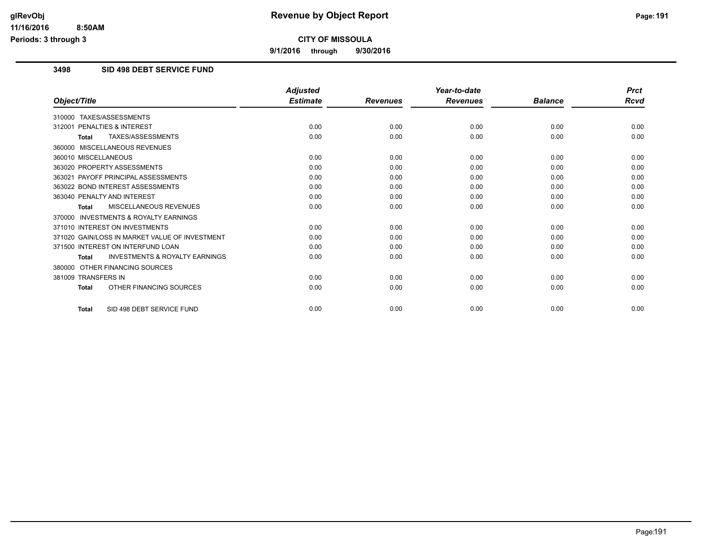**CITY OF MISSOULA**

**9/1/2016 through 9/30/2016**

#### **3498 SID 498 DEBT SERVICE FUND**

|                                                           | <b>Adjusted</b> |                 | Year-to-date    |                | <b>Prct</b> |
|-----------------------------------------------------------|-----------------|-----------------|-----------------|----------------|-------------|
| Object/Title                                              | <b>Estimate</b> | <b>Revenues</b> | <b>Revenues</b> | <b>Balance</b> | <b>Rcvd</b> |
| TAXES/ASSESSMENTS<br>310000                               |                 |                 |                 |                |             |
| <b>PENALTIES &amp; INTEREST</b><br>312001                 | 0.00            | 0.00            | 0.00            | 0.00           | 0.00        |
| TAXES/ASSESSMENTS<br><b>Total</b>                         | 0.00            | 0.00            | 0.00            | 0.00           | 0.00        |
| 360000 MISCELLANEOUS REVENUES                             |                 |                 |                 |                |             |
| 360010 MISCELLANEOUS                                      | 0.00            | 0.00            | 0.00            | 0.00           | 0.00        |
| 363020 PROPERTY ASSESSMENTS                               | 0.00            | 0.00            | 0.00            | 0.00           | 0.00        |
| 363021 PAYOFF PRINCIPAL ASSESSMENTS                       | 0.00            | 0.00            | 0.00            | 0.00           | 0.00        |
| 363022 BOND INTEREST ASSESSMENTS                          | 0.00            | 0.00            | 0.00            | 0.00           | 0.00        |
| 363040 PENALTY AND INTEREST                               | 0.00            | 0.00            | 0.00            | 0.00           | 0.00        |
| MISCELLANEOUS REVENUES<br><b>Total</b>                    | 0.00            | 0.00            | 0.00            | 0.00           | 0.00        |
| <b>INVESTMENTS &amp; ROYALTY EARNINGS</b><br>370000       |                 |                 |                 |                |             |
| 371010 INTEREST ON INVESTMENTS                            | 0.00            | 0.00            | 0.00            | 0.00           | 0.00        |
| 371020 GAIN/LOSS IN MARKET VALUE OF INVESTMENT            | 0.00            | 0.00            | 0.00            | 0.00           | 0.00        |
| 371500 INTEREST ON INTERFUND LOAN                         | 0.00            | 0.00            | 0.00            | 0.00           | 0.00        |
| <b>INVESTMENTS &amp; ROYALTY EARNINGS</b><br><b>Total</b> | 0.00            | 0.00            | 0.00            | 0.00           | 0.00        |
| OTHER FINANCING SOURCES<br>380000                         |                 |                 |                 |                |             |
| 381009 TRANSFERS IN                                       | 0.00            | 0.00            | 0.00            | 0.00           | 0.00        |
| OTHER FINANCING SOURCES<br><b>Total</b>                   | 0.00            | 0.00            | 0.00            | 0.00           | 0.00        |
| SID 498 DEBT SERVICE FUND<br><b>Total</b>                 | 0.00            | 0.00            | 0.00            | 0.00           | 0.00        |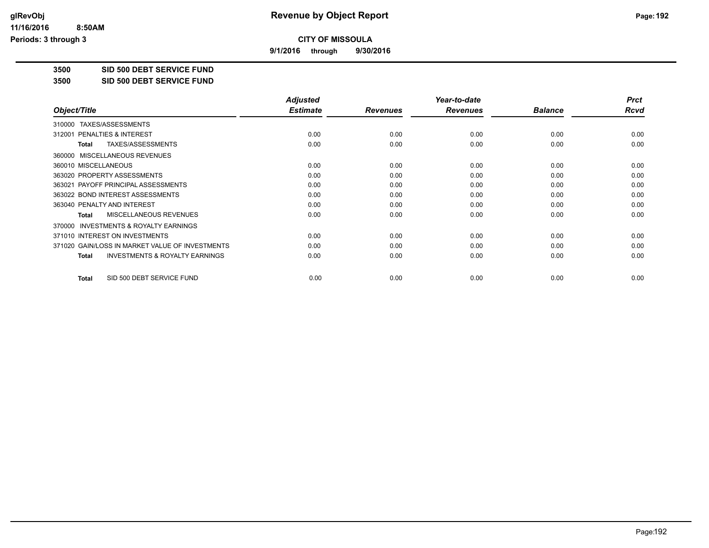**8:50AM Periods: 3 through 3**

**CITY OF MISSOULA**

**9/1/2016 through 9/30/2016**

**3500 SID 500 DEBT SERVICE FUND**

**3500 SID 500 DEBT SERVICE FUND**

|                                                           | <b>Adjusted</b> |                 | Year-to-date    |                | <b>Prct</b> |
|-----------------------------------------------------------|-----------------|-----------------|-----------------|----------------|-------------|
| Object/Title                                              | <b>Estimate</b> | <b>Revenues</b> | <b>Revenues</b> | <b>Balance</b> | Rcvd        |
| 310000 TAXES/ASSESSMENTS                                  |                 |                 |                 |                |             |
| 312001 PENALTIES & INTEREST                               | 0.00            | 0.00            | 0.00            | 0.00           | 0.00        |
| TAXES/ASSESSMENTS<br><b>Total</b>                         | 0.00            | 0.00            | 0.00            | 0.00           | 0.00        |
| MISCELLANEOUS REVENUES<br>360000                          |                 |                 |                 |                |             |
| 360010 MISCELLANEOUS                                      | 0.00            | 0.00            | 0.00            | 0.00           | 0.00        |
| 363020 PROPERTY ASSESSMENTS                               | 0.00            | 0.00            | 0.00            | 0.00           | 0.00        |
| 363021 PAYOFF PRINCIPAL ASSESSMENTS                       | 0.00            | 0.00            | 0.00            | 0.00           | 0.00        |
| 363022 BOND INTEREST ASSESSMENTS                          | 0.00            | 0.00            | 0.00            | 0.00           | 0.00        |
| 363040 PENALTY AND INTEREST                               | 0.00            | 0.00            | 0.00            | 0.00           | 0.00        |
| <b>MISCELLANEOUS REVENUES</b><br>Total                    | 0.00            | 0.00            | 0.00            | 0.00           | 0.00        |
| 370000 INVESTMENTS & ROYALTY EARNINGS                     |                 |                 |                 |                |             |
| 371010 INTEREST ON INVESTMENTS                            | 0.00            | 0.00            | 0.00            | 0.00           | 0.00        |
| 371020 GAIN/LOSS IN MARKET VALUE OF INVESTMENTS           | 0.00            | 0.00            | 0.00            | 0.00           | 0.00        |
| <b>INVESTMENTS &amp; ROYALTY EARNINGS</b><br><b>Total</b> | 0.00            | 0.00            | 0.00            | 0.00           | 0.00        |
| SID 500 DEBT SERVICE FUND<br><b>Total</b>                 | 0.00            | 0.00            | 0.00            | 0.00           | 0.00        |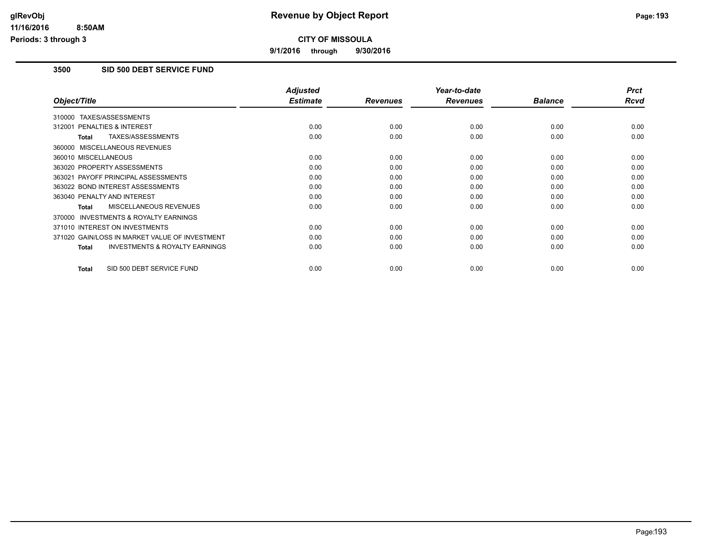**CITY OF MISSOULA**

**9/1/2016 through 9/30/2016**

## **3500 SID 500 DEBT SERVICE FUND**

|                                                     | <b>Adjusted</b> |                 | Year-to-date    |                | <b>Prct</b> |
|-----------------------------------------------------|-----------------|-----------------|-----------------|----------------|-------------|
| Object/Title                                        | <b>Estimate</b> | <b>Revenues</b> | <b>Revenues</b> | <b>Balance</b> | Rcvd        |
| 310000 TAXES/ASSESSMENTS                            |                 |                 |                 |                |             |
| 312001 PENALTIES & INTEREST                         | 0.00            | 0.00            | 0.00            | 0.00           | 0.00        |
| TAXES/ASSESSMENTS<br><b>Total</b>                   | 0.00            | 0.00            | 0.00            | 0.00           | 0.00        |
| 360000 MISCELLANEOUS REVENUES                       |                 |                 |                 |                |             |
| 360010 MISCELLANEOUS                                | 0.00            | 0.00            | 0.00            | 0.00           | 0.00        |
| 363020 PROPERTY ASSESSMENTS                         | 0.00            | 0.00            | 0.00            | 0.00           | 0.00        |
| 363021 PAYOFF PRINCIPAL ASSESSMENTS                 | 0.00            | 0.00            | 0.00            | 0.00           | 0.00        |
| 363022 BOND INTEREST ASSESSMENTS                    | 0.00            | 0.00            | 0.00            | 0.00           | 0.00        |
| 363040 PENALTY AND INTEREST                         | 0.00            | 0.00            | 0.00            | 0.00           | 0.00        |
| <b>MISCELLANEOUS REVENUES</b><br>Total              | 0.00            | 0.00            | 0.00            | 0.00           | 0.00        |
| <b>INVESTMENTS &amp; ROYALTY EARNINGS</b><br>370000 |                 |                 |                 |                |             |
| 371010 INTEREST ON INVESTMENTS                      | 0.00            | 0.00            | 0.00            | 0.00           | 0.00        |
| 371020 GAIN/LOSS IN MARKET VALUE OF INVESTMENT      | 0.00            | 0.00            | 0.00            | 0.00           | 0.00        |
| <b>INVESTMENTS &amp; ROYALTY EARNINGS</b><br>Total  | 0.00            | 0.00            | 0.00            | 0.00           | 0.00        |
| SID 500 DEBT SERVICE FUND<br><b>Total</b>           | 0.00            | 0.00            | 0.00            | 0.00           | 0.00        |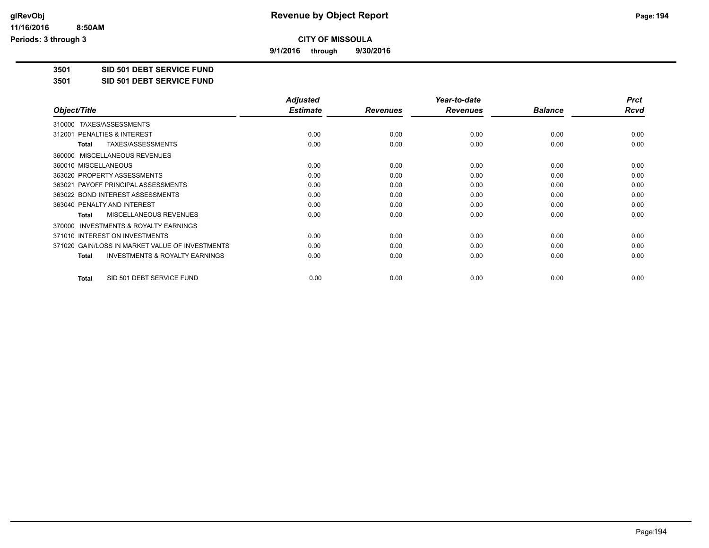**CITY OF MISSOULA**

**9/1/2016 through 9/30/2016**

**3501 SID 501 DEBT SERVICE FUND**

**3501 SID 501 DEBT SERVICE FUND**

|                                                           | <b>Adjusted</b> |                 | Year-to-date    |                | <b>Prct</b> |
|-----------------------------------------------------------|-----------------|-----------------|-----------------|----------------|-------------|
| Object/Title                                              | <b>Estimate</b> | <b>Revenues</b> | <b>Revenues</b> | <b>Balance</b> | Rcvd        |
| 310000 TAXES/ASSESSMENTS                                  |                 |                 |                 |                |             |
| 312001 PENALTIES & INTEREST                               | 0.00            | 0.00            | 0.00            | 0.00           | 0.00        |
| TAXES/ASSESSMENTS<br>Total                                | 0.00            | 0.00            | 0.00            | 0.00           | 0.00        |
| MISCELLANEOUS REVENUES<br>360000                          |                 |                 |                 |                |             |
| 360010 MISCELLANEOUS                                      | 0.00            | 0.00            | 0.00            | 0.00           | 0.00        |
| 363020 PROPERTY ASSESSMENTS                               | 0.00            | 0.00            | 0.00            | 0.00           | 0.00        |
| 363021 PAYOFF PRINCIPAL ASSESSMENTS                       | 0.00            | 0.00            | 0.00            | 0.00           | 0.00        |
| 363022 BOND INTEREST ASSESSMENTS                          | 0.00            | 0.00            | 0.00            | 0.00           | 0.00        |
| 363040 PENALTY AND INTEREST                               | 0.00            | 0.00            | 0.00            | 0.00           | 0.00        |
| <b>MISCELLANEOUS REVENUES</b><br>Total                    | 0.00            | 0.00            | 0.00            | 0.00           | 0.00        |
| INVESTMENTS & ROYALTY EARNINGS<br>370000                  |                 |                 |                 |                |             |
| 371010 INTEREST ON INVESTMENTS                            | 0.00            | 0.00            | 0.00            | 0.00           | 0.00        |
| 371020 GAIN/LOSS IN MARKET VALUE OF INVESTMENTS           | 0.00            | 0.00            | 0.00            | 0.00           | 0.00        |
| <b>INVESTMENTS &amp; ROYALTY EARNINGS</b><br><b>Total</b> | 0.00            | 0.00            | 0.00            | 0.00           | 0.00        |
| SID 501 DEBT SERVICE FUND<br><b>Total</b>                 | 0.00            | 0.00            | 0.00            | 0.00           | 0.00        |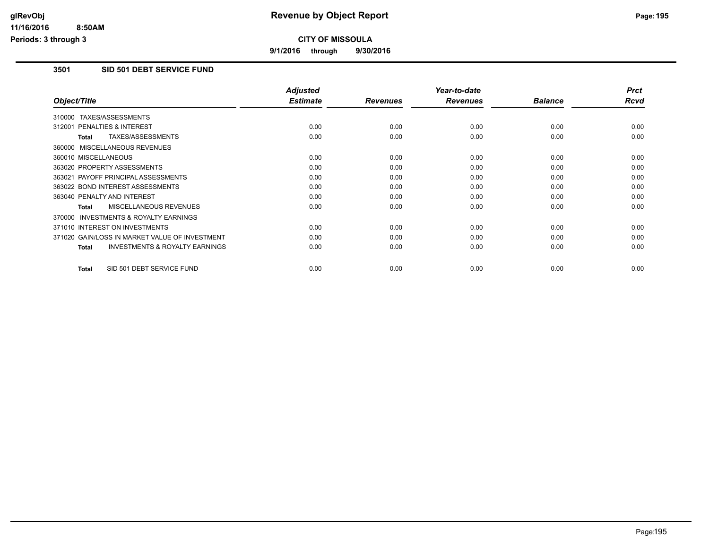**CITY OF MISSOULA**

**9/1/2016 through 9/30/2016**

# **3501 SID 501 DEBT SERVICE FUND**

| Object/Title                                        | <b>Adjusted</b><br><b>Estimate</b> | <b>Revenues</b> | Year-to-date<br><b>Revenues</b> | <b>Balance</b> | <b>Prct</b><br>Rcvd |
|-----------------------------------------------------|------------------------------------|-----------------|---------------------------------|----------------|---------------------|
|                                                     |                                    |                 |                                 |                |                     |
| 310000 TAXES/ASSESSMENTS                            |                                    |                 |                                 |                |                     |
| 312001 PENALTIES & INTEREST                         | 0.00                               | 0.00            | 0.00                            | 0.00           | 0.00                |
| TAXES/ASSESSMENTS<br>Total                          | 0.00                               | 0.00            | 0.00                            | 0.00           | 0.00                |
| 360000 MISCELLANEOUS REVENUES                       |                                    |                 |                                 |                |                     |
| 360010 MISCELLANEOUS                                | 0.00                               | 0.00            | 0.00                            | 0.00           | 0.00                |
| 363020 PROPERTY ASSESSMENTS                         | 0.00                               | 0.00            | 0.00                            | 0.00           | 0.00                |
| 363021 PAYOFF PRINCIPAL ASSESSMENTS                 | 0.00                               | 0.00            | 0.00                            | 0.00           | 0.00                |
| 363022 BOND INTEREST ASSESSMENTS                    | 0.00                               | 0.00            | 0.00                            | 0.00           | 0.00                |
| 363040 PENALTY AND INTEREST                         | 0.00                               | 0.00            | 0.00                            | 0.00           | 0.00                |
| <b>MISCELLANEOUS REVENUES</b><br>Total              | 0.00                               | 0.00            | 0.00                            | 0.00           | 0.00                |
| <b>INVESTMENTS &amp; ROYALTY EARNINGS</b><br>370000 |                                    |                 |                                 |                |                     |
| 371010 INTEREST ON INVESTMENTS                      | 0.00                               | 0.00            | 0.00                            | 0.00           | 0.00                |
| 371020 GAIN/LOSS IN MARKET VALUE OF INVESTMENT      | 0.00                               | 0.00            | 0.00                            | 0.00           | 0.00                |
| <b>INVESTMENTS &amp; ROYALTY EARNINGS</b><br>Total  | 0.00                               | 0.00            | 0.00                            | 0.00           | 0.00                |
| SID 501 DEBT SERVICE FUND<br><b>Total</b>           | 0.00                               | 0.00            | 0.00                            | 0.00           | 0.00                |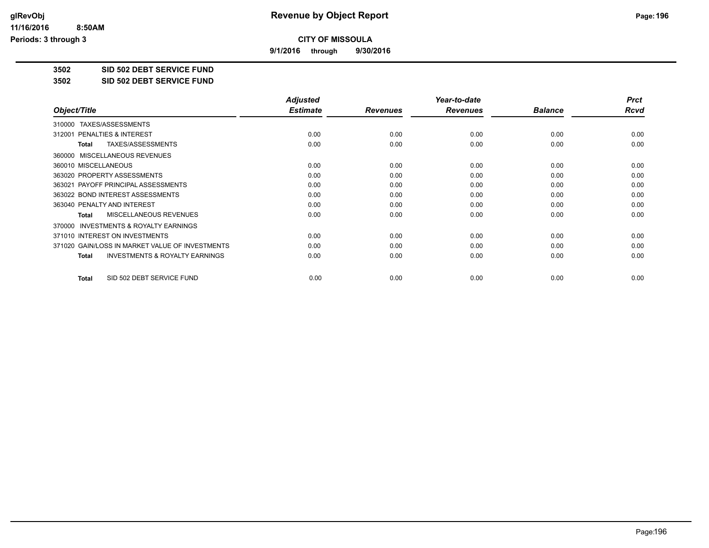**CITY OF MISSOULA**

**9/1/2016 through 9/30/2016**

**3502 SID 502 DEBT SERVICE FUND**

**3502 SID 502 DEBT SERVICE FUND**

|                                                           | <b>Adjusted</b> |                 | Year-to-date    |                | <b>Prct</b> |
|-----------------------------------------------------------|-----------------|-----------------|-----------------|----------------|-------------|
| Object/Title                                              | <b>Estimate</b> | <b>Revenues</b> | <b>Revenues</b> | <b>Balance</b> | Rcvd        |
| 310000 TAXES/ASSESSMENTS                                  |                 |                 |                 |                |             |
| PENALTIES & INTEREST<br>312001                            | 0.00            | 0.00            | 0.00            | 0.00           | 0.00        |
| TAXES/ASSESSMENTS<br><b>Total</b>                         | 0.00            | 0.00            | 0.00            | 0.00           | 0.00        |
| 360000 MISCELLANEOUS REVENUES                             |                 |                 |                 |                |             |
| 360010 MISCELLANEOUS                                      | 0.00            | 0.00            | 0.00            | 0.00           | 0.00        |
| 363020 PROPERTY ASSESSMENTS                               | 0.00            | 0.00            | 0.00            | 0.00           | 0.00        |
| 363021 PAYOFF PRINCIPAL ASSESSMENTS                       | 0.00            | 0.00            | 0.00            | 0.00           | 0.00        |
| 363022 BOND INTEREST ASSESSMENTS                          | 0.00            | 0.00            | 0.00            | 0.00           | 0.00        |
| 363040 PENALTY AND INTEREST                               | 0.00            | 0.00            | 0.00            | 0.00           | 0.00        |
| <b>MISCELLANEOUS REVENUES</b><br><b>Total</b>             | 0.00            | 0.00            | 0.00            | 0.00           | 0.00        |
| <b>INVESTMENTS &amp; ROYALTY EARNINGS</b><br>370000       |                 |                 |                 |                |             |
| 371010 INTEREST ON INVESTMENTS                            | 0.00            | 0.00            | 0.00            | 0.00           | 0.00        |
| 371020 GAIN/LOSS IN MARKET VALUE OF INVESTMENTS           | 0.00            | 0.00            | 0.00            | 0.00           | 0.00        |
| <b>INVESTMENTS &amp; ROYALTY EARNINGS</b><br><b>Total</b> | 0.00            | 0.00            | 0.00            | 0.00           | 0.00        |
| SID 502 DEBT SERVICE FUND<br><b>Total</b>                 | 0.00            | 0.00            | 0.00            | 0.00           | 0.00        |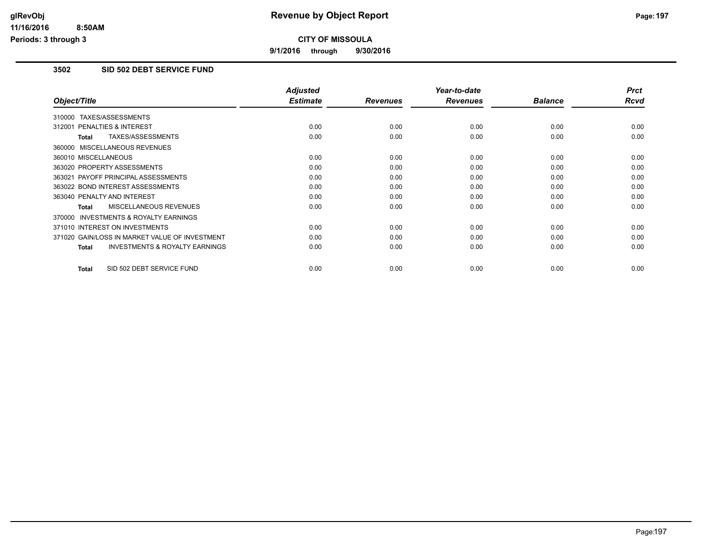**CITY OF MISSOULA**

**9/1/2016 through 9/30/2016**

# **3502 SID 502 DEBT SERVICE FUND**

|                                                           | <b>Adjusted</b> |                 | Year-to-date    |                | <b>Prct</b> |
|-----------------------------------------------------------|-----------------|-----------------|-----------------|----------------|-------------|
| Object/Title                                              | <b>Estimate</b> | <b>Revenues</b> | <b>Revenues</b> | <b>Balance</b> | Rcvd        |
| 310000 TAXES/ASSESSMENTS                                  |                 |                 |                 |                |             |
| 312001 PENALTIES & INTEREST                               | 0.00            | 0.00            | 0.00            | 0.00           | 0.00        |
| TAXES/ASSESSMENTS<br><b>Total</b>                         | 0.00            | 0.00            | 0.00            | 0.00           | 0.00        |
| 360000 MISCELLANEOUS REVENUES                             |                 |                 |                 |                |             |
| 360010 MISCELLANEOUS                                      | 0.00            | 0.00            | 0.00            | 0.00           | 0.00        |
| 363020 PROPERTY ASSESSMENTS                               | 0.00            | 0.00            | 0.00            | 0.00           | 0.00        |
| 363021 PAYOFF PRINCIPAL ASSESSMENTS                       | 0.00            | 0.00            | 0.00            | 0.00           | 0.00        |
| 363022 BOND INTEREST ASSESSMENTS                          | 0.00            | 0.00            | 0.00            | 0.00           | 0.00        |
| 363040 PENALTY AND INTEREST                               | 0.00            | 0.00            | 0.00            | 0.00           | 0.00        |
| <b>MISCELLANEOUS REVENUES</b><br><b>Total</b>             | 0.00            | 0.00            | 0.00            | 0.00           | 0.00        |
| <b>INVESTMENTS &amp; ROYALTY EARNINGS</b><br>370000       |                 |                 |                 |                |             |
| 371010 INTEREST ON INVESTMENTS                            | 0.00            | 0.00            | 0.00            | 0.00           | 0.00        |
| 371020 GAIN/LOSS IN MARKET VALUE OF INVESTMENT            | 0.00            | 0.00            | 0.00            | 0.00           | 0.00        |
| <b>INVESTMENTS &amp; ROYALTY EARNINGS</b><br><b>Total</b> | 0.00            | 0.00            | 0.00            | 0.00           | 0.00        |
| SID 502 DEBT SERVICE FUND<br><b>Total</b>                 | 0.00            | 0.00            | 0.00            | 0.00           | 0.00        |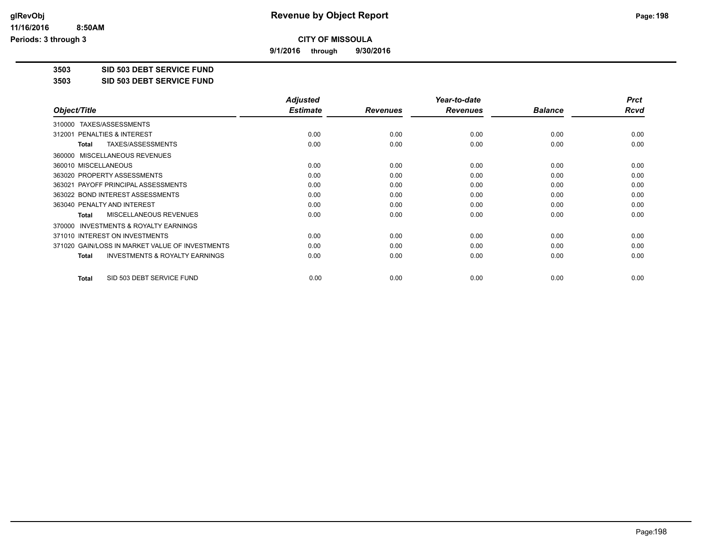**CITY OF MISSOULA**

**9/1/2016 through 9/30/2016**

**3503 SID 503 DEBT SERVICE FUND**

**3503 SID 503 DEBT SERVICE FUND**

|                                                           | <b>Adjusted</b> |                 | Year-to-date    |                | <b>Prct</b> |
|-----------------------------------------------------------|-----------------|-----------------|-----------------|----------------|-------------|
| Object/Title                                              | <b>Estimate</b> | <b>Revenues</b> | <b>Revenues</b> | <b>Balance</b> | Rcvd        |
| 310000 TAXES/ASSESSMENTS                                  |                 |                 |                 |                |             |
| 312001 PENALTIES & INTEREST                               | 0.00            | 0.00            | 0.00            | 0.00           | 0.00        |
| TAXES/ASSESSMENTS<br>Total                                | 0.00            | 0.00            | 0.00            | 0.00           | 0.00        |
| MISCELLANEOUS REVENUES<br>360000                          |                 |                 |                 |                |             |
| 360010 MISCELLANEOUS                                      | 0.00            | 0.00            | 0.00            | 0.00           | 0.00        |
| 363020 PROPERTY ASSESSMENTS                               | 0.00            | 0.00            | 0.00            | 0.00           | 0.00        |
| 363021 PAYOFF PRINCIPAL ASSESSMENTS                       | 0.00            | 0.00            | 0.00            | 0.00           | 0.00        |
| 363022 BOND INTEREST ASSESSMENTS                          | 0.00            | 0.00            | 0.00            | 0.00           | 0.00        |
| 363040 PENALTY AND INTEREST                               | 0.00            | 0.00            | 0.00            | 0.00           | 0.00        |
| <b>MISCELLANEOUS REVENUES</b><br>Total                    | 0.00            | 0.00            | 0.00            | 0.00           | 0.00        |
| INVESTMENTS & ROYALTY EARNINGS<br>370000                  |                 |                 |                 |                |             |
| 371010 INTEREST ON INVESTMENTS                            | 0.00            | 0.00            | 0.00            | 0.00           | 0.00        |
| 371020 GAIN/LOSS IN MARKET VALUE OF INVESTMENTS           | 0.00            | 0.00            | 0.00            | 0.00           | 0.00        |
| <b>INVESTMENTS &amp; ROYALTY EARNINGS</b><br><b>Total</b> | 0.00            | 0.00            | 0.00            | 0.00           | 0.00        |
| SID 503 DEBT SERVICE FUND<br><b>Total</b>                 | 0.00            | 0.00            | 0.00            | 0.00           | 0.00        |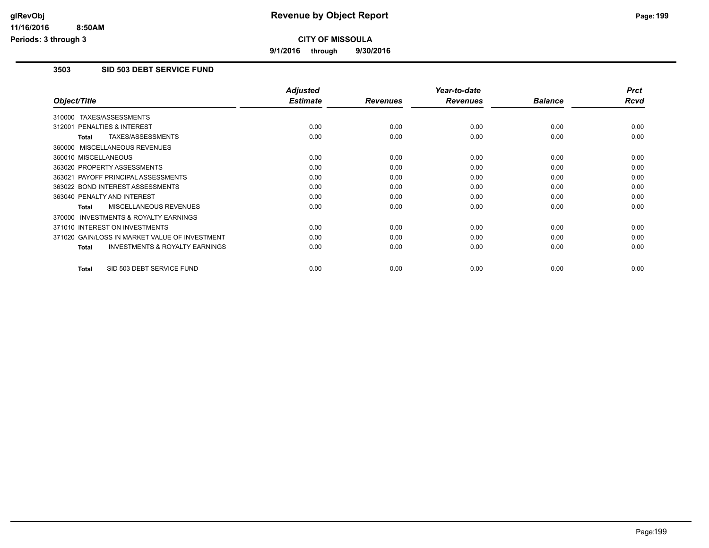**CITY OF MISSOULA**

**9/1/2016 through 9/30/2016**

## **3503 SID 503 DEBT SERVICE FUND**

| Object/Title                                       | <b>Adjusted</b><br><b>Estimate</b> | <b>Revenues</b> | Year-to-date<br><b>Revenues</b> | <b>Balance</b> | <b>Prct</b><br><b>Rcvd</b> |
|----------------------------------------------------|------------------------------------|-----------------|---------------------------------|----------------|----------------------------|
|                                                    |                                    |                 |                                 |                |                            |
| 310000 TAXES/ASSESSMENTS                           |                                    |                 |                                 |                |                            |
| 312001 PENALTIES & INTEREST                        | 0.00                               | 0.00            | 0.00                            | 0.00           | 0.00                       |
| TAXES/ASSESSMENTS<br>Total                         | 0.00                               | 0.00            | 0.00                            | 0.00           | 0.00                       |
| 360000 MISCELLANEOUS REVENUES                      |                                    |                 |                                 |                |                            |
| 360010 MISCELLANEOUS                               | 0.00                               | 0.00            | 0.00                            | 0.00           | 0.00                       |
| 363020 PROPERTY ASSESSMENTS                        | 0.00                               | 0.00            | 0.00                            | 0.00           | 0.00                       |
| 363021 PAYOFF PRINCIPAL ASSESSMENTS                | 0.00                               | 0.00            | 0.00                            | 0.00           | 0.00                       |
| 363022 BOND INTEREST ASSESSMENTS                   | 0.00                               | 0.00            | 0.00                            | 0.00           | 0.00                       |
| 363040 PENALTY AND INTEREST                        | 0.00                               | 0.00            | 0.00                            | 0.00           | 0.00                       |
| MISCELLANEOUS REVENUES<br>Total                    | 0.00                               | 0.00            | 0.00                            | 0.00           | 0.00                       |
| INVESTMENTS & ROYALTY EARNINGS<br>370000           |                                    |                 |                                 |                |                            |
| 371010 INTEREST ON INVESTMENTS                     | 0.00                               | 0.00            | 0.00                            | 0.00           | 0.00                       |
| 371020 GAIN/LOSS IN MARKET VALUE OF INVESTMENT     | 0.00                               | 0.00            | 0.00                            | 0.00           | 0.00                       |
| <b>INVESTMENTS &amp; ROYALTY EARNINGS</b><br>Total | 0.00                               | 0.00            | 0.00                            | 0.00           | 0.00                       |
|                                                    |                                    |                 |                                 |                |                            |
| SID 503 DEBT SERVICE FUND<br><b>Total</b>          | 0.00                               | 0.00            | 0.00                            | 0.00           | 0.00                       |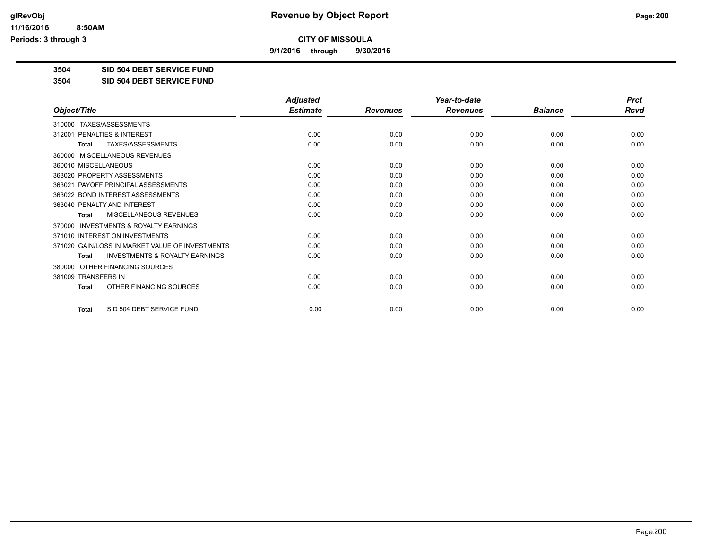**CITY OF MISSOULA**

**9/1/2016 through 9/30/2016**

**3504 SID 504 DEBT SERVICE FUND**

**3504 SID 504 DEBT SERVICE FUND**

|                                                           | <b>Adjusted</b> |                 | Year-to-date    |                | <b>Prct</b> |
|-----------------------------------------------------------|-----------------|-----------------|-----------------|----------------|-------------|
| Object/Title                                              | <b>Estimate</b> | <b>Revenues</b> | <b>Revenues</b> | <b>Balance</b> | Rcvd        |
| TAXES/ASSESSMENTS<br>310000                               |                 |                 |                 |                |             |
| PENALTIES & INTEREST<br>312001                            | 0.00            | 0.00            | 0.00            | 0.00           | 0.00        |
| TAXES/ASSESSMENTS<br>Total                                | 0.00            | 0.00            | 0.00            | 0.00           | 0.00        |
| MISCELLANEOUS REVENUES<br>360000                          |                 |                 |                 |                |             |
| 360010 MISCELLANEOUS                                      | 0.00            | 0.00            | 0.00            | 0.00           | 0.00        |
| 363020 PROPERTY ASSESSMENTS                               | 0.00            | 0.00            | 0.00            | 0.00           | 0.00        |
| 363021 PAYOFF PRINCIPAL ASSESSMENTS                       | 0.00            | 0.00            | 0.00            | 0.00           | 0.00        |
| 363022 BOND INTEREST ASSESSMENTS                          | 0.00            | 0.00            | 0.00            | 0.00           | 0.00        |
| 363040 PENALTY AND INTEREST                               | 0.00            | 0.00            | 0.00            | 0.00           | 0.00        |
| MISCELLANEOUS REVENUES<br><b>Total</b>                    | 0.00            | 0.00            | 0.00            | 0.00           | 0.00        |
| <b>INVESTMENTS &amp; ROYALTY EARNINGS</b><br>370000       |                 |                 |                 |                |             |
| 371010 INTEREST ON INVESTMENTS                            | 0.00            | 0.00            | 0.00            | 0.00           | 0.00        |
| 371020 GAIN/LOSS IN MARKET VALUE OF INVESTMENTS           | 0.00            | 0.00            | 0.00            | 0.00           | 0.00        |
| <b>INVESTMENTS &amp; ROYALTY EARNINGS</b><br><b>Total</b> | 0.00            | 0.00            | 0.00            | 0.00           | 0.00        |
| OTHER FINANCING SOURCES<br>380000                         |                 |                 |                 |                |             |
| 381009 TRANSFERS IN                                       | 0.00            | 0.00            | 0.00            | 0.00           | 0.00        |
| OTHER FINANCING SOURCES<br><b>Total</b>                   | 0.00            | 0.00            | 0.00            | 0.00           | 0.00        |
| SID 504 DEBT SERVICE FUND<br><b>Total</b>                 | 0.00            | 0.00            | 0.00            | 0.00           | 0.00        |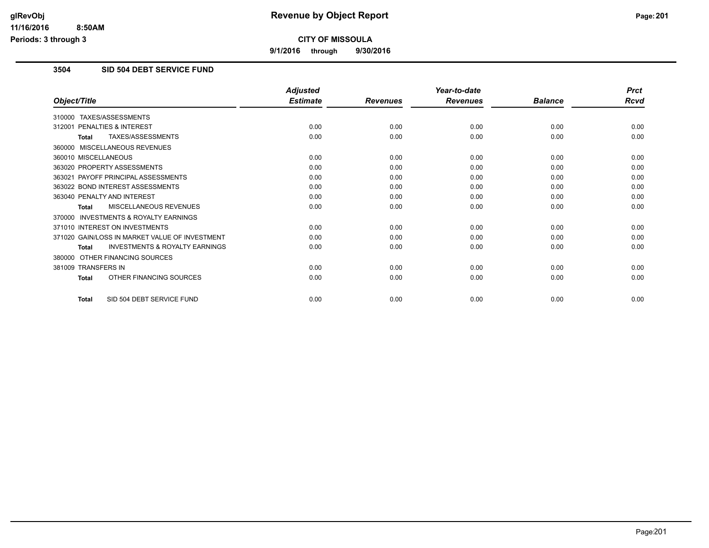**CITY OF MISSOULA**

**9/1/2016 through 9/30/2016**

## **3504 SID 504 DEBT SERVICE FUND**

|                                                    | <b>Adjusted</b> |                 | Year-to-date    |                | <b>Prct</b> |
|----------------------------------------------------|-----------------|-----------------|-----------------|----------------|-------------|
| Object/Title                                       | <b>Estimate</b> | <b>Revenues</b> | <b>Revenues</b> | <b>Balance</b> | <b>Rcvd</b> |
| 310000 TAXES/ASSESSMENTS                           |                 |                 |                 |                |             |
| PENALTIES & INTEREST<br>312001                     | 0.00            | 0.00            | 0.00            | 0.00           | 0.00        |
| TAXES/ASSESSMENTS<br>Total                         | 0.00            | 0.00            | 0.00            | 0.00           | 0.00        |
| 360000 MISCELLANEOUS REVENUES                      |                 |                 |                 |                |             |
| 360010 MISCELLANEOUS                               | 0.00            | 0.00            | 0.00            | 0.00           | 0.00        |
| 363020 PROPERTY ASSESSMENTS                        | 0.00            | 0.00            | 0.00            | 0.00           | 0.00        |
| 363021 PAYOFF PRINCIPAL ASSESSMENTS                | 0.00            | 0.00            | 0.00            | 0.00           | 0.00        |
| 363022 BOND INTEREST ASSESSMENTS                   | 0.00            | 0.00            | 0.00            | 0.00           | 0.00        |
| 363040 PENALTY AND INTEREST                        | 0.00            | 0.00            | 0.00            | 0.00           | 0.00        |
| MISCELLANEOUS REVENUES<br><b>Total</b>             | 0.00            | 0.00            | 0.00            | 0.00           | 0.00        |
| 370000 INVESTMENTS & ROYALTY EARNINGS              |                 |                 |                 |                |             |
| 371010 INTEREST ON INVESTMENTS                     | 0.00            | 0.00            | 0.00            | 0.00           | 0.00        |
| 371020 GAIN/LOSS IN MARKET VALUE OF INVESTMENT     | 0.00            | 0.00            | 0.00            | 0.00           | 0.00        |
| <b>INVESTMENTS &amp; ROYALTY EARNINGS</b><br>Total | 0.00            | 0.00            | 0.00            | 0.00           | 0.00        |
| 380000 OTHER FINANCING SOURCES                     |                 |                 |                 |                |             |
| 381009 TRANSFERS IN                                | 0.00            | 0.00            | 0.00            | 0.00           | 0.00        |
| OTHER FINANCING SOURCES<br>Total                   | 0.00            | 0.00            | 0.00            | 0.00           | 0.00        |
| SID 504 DEBT SERVICE FUND<br><b>Total</b>          | 0.00            | 0.00            | 0.00            | 0.00           | 0.00        |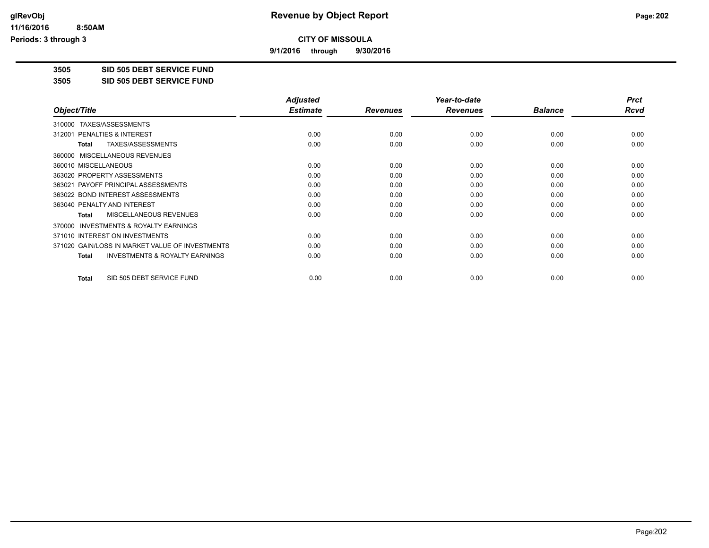**CITY OF MISSOULA**

**9/1/2016 through 9/30/2016**

**3505 SID 505 DEBT SERVICE FUND**

**3505 SID 505 DEBT SERVICE FUND**

|                                                           | <b>Adjusted</b> |                 | Year-to-date    |                | <b>Prct</b> |
|-----------------------------------------------------------|-----------------|-----------------|-----------------|----------------|-------------|
| Object/Title                                              | <b>Estimate</b> | <b>Revenues</b> | <b>Revenues</b> | <b>Balance</b> | Rcvd        |
| 310000 TAXES/ASSESSMENTS                                  |                 |                 |                 |                |             |
| 312001 PENALTIES & INTEREST                               | 0.00            | 0.00            | 0.00            | 0.00           | 0.00        |
| TAXES/ASSESSMENTS<br><b>Total</b>                         | 0.00            | 0.00            | 0.00            | 0.00           | 0.00        |
| MISCELLANEOUS REVENUES<br>360000                          |                 |                 |                 |                |             |
| 360010 MISCELLANEOUS                                      | 0.00            | 0.00            | 0.00            | 0.00           | 0.00        |
| 363020 PROPERTY ASSESSMENTS                               | 0.00            | 0.00            | 0.00            | 0.00           | 0.00        |
| 363021 PAYOFF PRINCIPAL ASSESSMENTS                       | 0.00            | 0.00            | 0.00            | 0.00           | 0.00        |
| 363022 BOND INTEREST ASSESSMENTS                          | 0.00            | 0.00            | 0.00            | 0.00           | 0.00        |
| 363040 PENALTY AND INTEREST                               | 0.00            | 0.00            | 0.00            | 0.00           | 0.00        |
| <b>MISCELLANEOUS REVENUES</b><br>Total                    | 0.00            | 0.00            | 0.00            | 0.00           | 0.00        |
| 370000 INVESTMENTS & ROYALTY EARNINGS                     |                 |                 |                 |                |             |
| 371010 INTEREST ON INVESTMENTS                            | 0.00            | 0.00            | 0.00            | 0.00           | 0.00        |
| 371020 GAIN/LOSS IN MARKET VALUE OF INVESTMENTS           | 0.00            | 0.00            | 0.00            | 0.00           | 0.00        |
| <b>INVESTMENTS &amp; ROYALTY EARNINGS</b><br><b>Total</b> | 0.00            | 0.00            | 0.00            | 0.00           | 0.00        |
| SID 505 DEBT SERVICE FUND<br><b>Total</b>                 | 0.00            | 0.00            | 0.00            | 0.00           | 0.00        |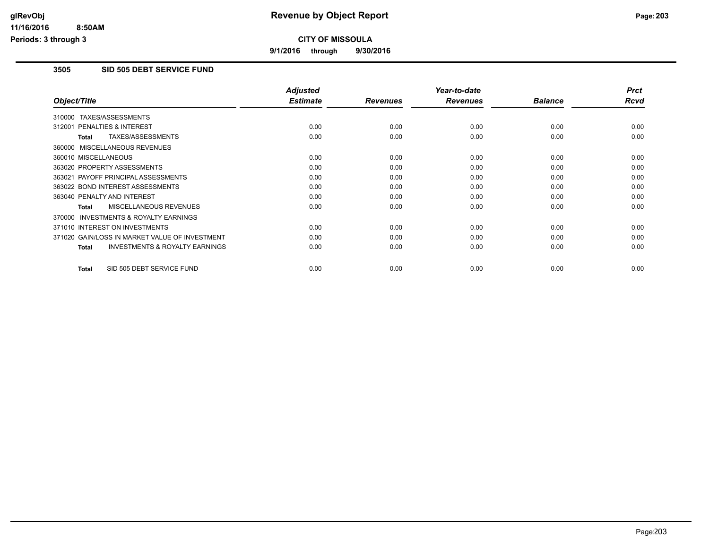**CITY OF MISSOULA**

**9/1/2016 through 9/30/2016**

## **3505 SID 505 DEBT SERVICE FUND**

|                                                           | <b>Adjusted</b> |                 | Year-to-date    |                | <b>Prct</b> |
|-----------------------------------------------------------|-----------------|-----------------|-----------------|----------------|-------------|
| Object/Title                                              | <b>Estimate</b> | <b>Revenues</b> | <b>Revenues</b> | <b>Balance</b> | <b>Rcvd</b> |
| 310000 TAXES/ASSESSMENTS                                  |                 |                 |                 |                |             |
| 312001 PENALTIES & INTEREST                               | 0.00            | 0.00            | 0.00            | 0.00           | 0.00        |
| TAXES/ASSESSMENTS<br>Total                                | 0.00            | 0.00            | 0.00            | 0.00           | 0.00        |
| 360000 MISCELLANEOUS REVENUES                             |                 |                 |                 |                |             |
| 360010 MISCELLANEOUS                                      | 0.00            | 0.00            | 0.00            | 0.00           | 0.00        |
| 363020 PROPERTY ASSESSMENTS                               | 0.00            | 0.00            | 0.00            | 0.00           | 0.00        |
| 363021 PAYOFF PRINCIPAL ASSESSMENTS                       | 0.00            | 0.00            | 0.00            | 0.00           | 0.00        |
| 363022 BOND INTEREST ASSESSMENTS                          | 0.00            | 0.00            | 0.00            | 0.00           | 0.00        |
| 363040 PENALTY AND INTEREST                               | 0.00            | 0.00            | 0.00            | 0.00           | 0.00        |
| MISCELLANEOUS REVENUES<br>Total                           | 0.00            | 0.00            | 0.00            | 0.00           | 0.00        |
| 370000 INVESTMENTS & ROYALTY EARNINGS                     |                 |                 |                 |                |             |
| 371010 INTEREST ON INVESTMENTS                            | 0.00            | 0.00            | 0.00            | 0.00           | 0.00        |
| 371020 GAIN/LOSS IN MARKET VALUE OF INVESTMENT            | 0.00            | 0.00            | 0.00            | 0.00           | 0.00        |
| <b>INVESTMENTS &amp; ROYALTY EARNINGS</b><br><b>Total</b> | 0.00            | 0.00            | 0.00            | 0.00           | 0.00        |
|                                                           |                 |                 |                 |                |             |
| SID 505 DEBT SERVICE FUND<br>Total                        | 0.00            | 0.00            | 0.00            | 0.00           | 0.00        |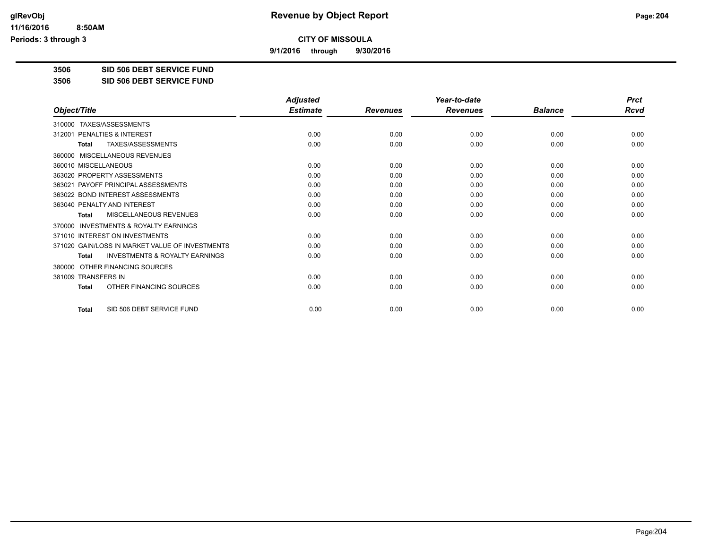**CITY OF MISSOULA**

**9/1/2016 through 9/30/2016**

**3506 SID 506 DEBT SERVICE FUND**

 **8:50AM**

**3506 SID 506 DEBT SERVICE FUND**

|                                                           | <b>Adjusted</b> |                 | Year-to-date    |                | <b>Prct</b> |
|-----------------------------------------------------------|-----------------|-----------------|-----------------|----------------|-------------|
| Object/Title                                              | <b>Estimate</b> | <b>Revenues</b> | <b>Revenues</b> | <b>Balance</b> | <b>Rcvd</b> |
| TAXES/ASSESSMENTS<br>310000                               |                 |                 |                 |                |             |
| PENALTIES & INTEREST<br>312001                            | 0.00            | 0.00            | 0.00            | 0.00           | 0.00        |
| TAXES/ASSESSMENTS<br>Total                                | 0.00            | 0.00            | 0.00            | 0.00           | 0.00        |
| MISCELLANEOUS REVENUES<br>360000                          |                 |                 |                 |                |             |
| 360010 MISCELLANEOUS                                      | 0.00            | 0.00            | 0.00            | 0.00           | 0.00        |
| 363020 PROPERTY ASSESSMENTS                               | 0.00            | 0.00            | 0.00            | 0.00           | 0.00        |
| 363021 PAYOFF PRINCIPAL ASSESSMENTS                       | 0.00            | 0.00            | 0.00            | 0.00           | 0.00        |
| 363022 BOND INTEREST ASSESSMENTS                          | 0.00            | 0.00            | 0.00            | 0.00           | 0.00        |
| 363040 PENALTY AND INTEREST                               | 0.00            | 0.00            | 0.00            | 0.00           | 0.00        |
| <b>MISCELLANEOUS REVENUES</b><br>Total                    | 0.00            | 0.00            | 0.00            | 0.00           | 0.00        |
| <b>INVESTMENTS &amp; ROYALTY EARNINGS</b><br>370000       |                 |                 |                 |                |             |
| 371010 INTEREST ON INVESTMENTS                            | 0.00            | 0.00            | 0.00            | 0.00           | 0.00        |
| 371020 GAIN/LOSS IN MARKET VALUE OF INVESTMENTS           | 0.00            | 0.00            | 0.00            | 0.00           | 0.00        |
| <b>INVESTMENTS &amp; ROYALTY EARNINGS</b><br><b>Total</b> | 0.00            | 0.00            | 0.00            | 0.00           | 0.00        |
| OTHER FINANCING SOURCES<br>380000                         |                 |                 |                 |                |             |
| 381009 TRANSFERS IN                                       | 0.00            | 0.00            | 0.00            | 0.00           | 0.00        |
| OTHER FINANCING SOURCES<br><b>Total</b>                   | 0.00            | 0.00            | 0.00            | 0.00           | 0.00        |
| SID 506 DEBT SERVICE FUND<br><b>Total</b>                 | 0.00            | 0.00            | 0.00            | 0.00           | 0.00        |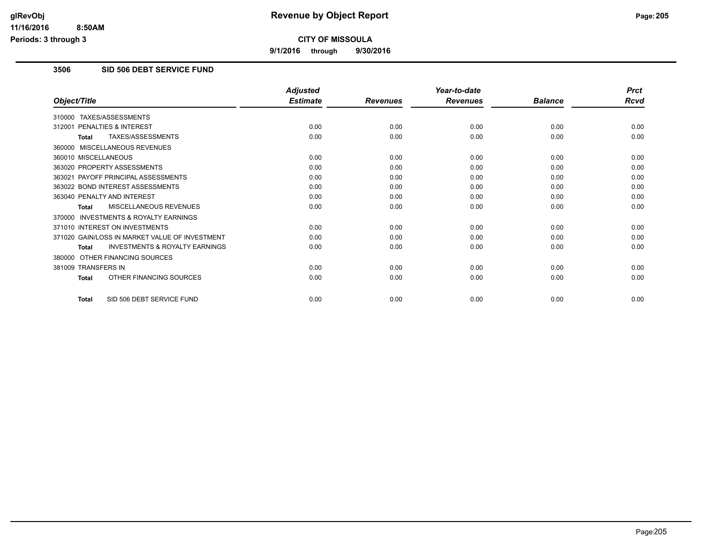**CITY OF MISSOULA**

**9/1/2016 through 9/30/2016**

## **3506 SID 506 DEBT SERVICE FUND**

|                                                    | <b>Adjusted</b> |                 | Year-to-date    |                | <b>Prct</b> |
|----------------------------------------------------|-----------------|-----------------|-----------------|----------------|-------------|
| Object/Title                                       | <b>Estimate</b> | <b>Revenues</b> | <b>Revenues</b> | <b>Balance</b> | Rcvd        |
| 310000 TAXES/ASSESSMENTS                           |                 |                 |                 |                |             |
| 312001 PENALTIES & INTEREST                        | 0.00            | 0.00            | 0.00            | 0.00           | 0.00        |
| TAXES/ASSESSMENTS<br><b>Total</b>                  | 0.00            | 0.00            | 0.00            | 0.00           | 0.00        |
| 360000 MISCELLANEOUS REVENUES                      |                 |                 |                 |                |             |
| 360010 MISCELLANEOUS                               | 0.00            | 0.00            | 0.00            | 0.00           | 0.00        |
| 363020 PROPERTY ASSESSMENTS                        | 0.00            | 0.00            | 0.00            | 0.00           | 0.00        |
| 363021 PAYOFF PRINCIPAL ASSESSMENTS                | 0.00            | 0.00            | 0.00            | 0.00           | 0.00        |
| 363022 BOND INTEREST ASSESSMENTS                   | 0.00            | 0.00            | 0.00            | 0.00           | 0.00        |
| 363040 PENALTY AND INTEREST                        | 0.00            | 0.00            | 0.00            | 0.00           | 0.00        |
| MISCELLANEOUS REVENUES<br><b>Total</b>             | 0.00            | 0.00            | 0.00            | 0.00           | 0.00        |
| 370000 INVESTMENTS & ROYALTY EARNINGS              |                 |                 |                 |                |             |
| 371010 INTEREST ON INVESTMENTS                     | 0.00            | 0.00            | 0.00            | 0.00           | 0.00        |
| 371020 GAIN/LOSS IN MARKET VALUE OF INVESTMENT     | 0.00            | 0.00            | 0.00            | 0.00           | 0.00        |
| <b>INVESTMENTS &amp; ROYALTY EARNINGS</b><br>Total | 0.00            | 0.00            | 0.00            | 0.00           | 0.00        |
| 380000 OTHER FINANCING SOURCES                     |                 |                 |                 |                |             |
| 381009 TRANSFERS IN                                | 0.00            | 0.00            | 0.00            | 0.00           | 0.00        |
| OTHER FINANCING SOURCES<br>Total                   | 0.00            | 0.00            | 0.00            | 0.00           | 0.00        |
| SID 506 DEBT SERVICE FUND<br><b>Total</b>          | 0.00            | 0.00            | 0.00            | 0.00           | 0.00        |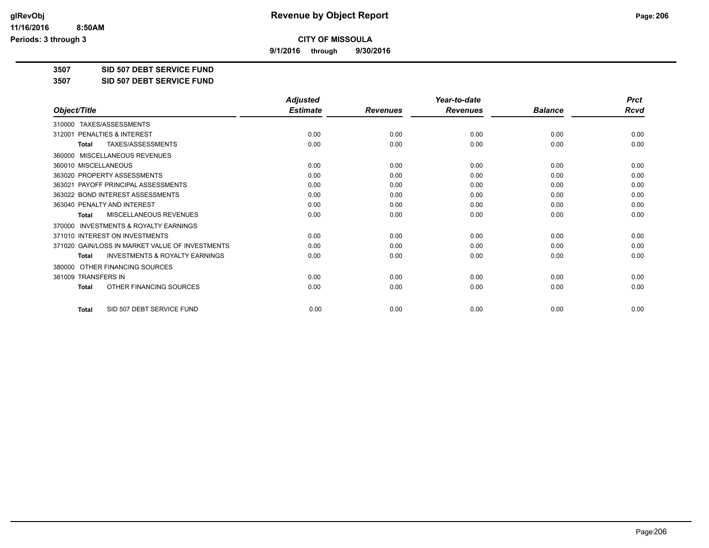**CITY OF MISSOULA**

**9/1/2016 through 9/30/2016**

**3507 SID 507 DEBT SERVICE FUND**

**3507 SID 507 DEBT SERVICE FUND**

|                                                           | <b>Adjusted</b> |                 | Year-to-date    |                | <b>Prct</b> |
|-----------------------------------------------------------|-----------------|-----------------|-----------------|----------------|-------------|
| Object/Title                                              | <b>Estimate</b> | <b>Revenues</b> | <b>Revenues</b> | <b>Balance</b> | <b>Rcvd</b> |
| TAXES/ASSESSMENTS<br>310000                               |                 |                 |                 |                |             |
| PENALTIES & INTEREST<br>312001                            | 0.00            | 0.00            | 0.00            | 0.00           | 0.00        |
| TAXES/ASSESSMENTS<br><b>Total</b>                         | 0.00            | 0.00            | 0.00            | 0.00           | 0.00        |
| MISCELLANEOUS REVENUES<br>360000                          |                 |                 |                 |                |             |
| 360010 MISCELLANEOUS                                      | 0.00            | 0.00            | 0.00            | 0.00           | 0.00        |
| 363020 PROPERTY ASSESSMENTS                               | 0.00            | 0.00            | 0.00            | 0.00           | 0.00        |
| 363021 PAYOFF PRINCIPAL ASSESSMENTS                       | 0.00            | 0.00            | 0.00            | 0.00           | 0.00        |
| 363022 BOND INTEREST ASSESSMENTS                          | 0.00            | 0.00            | 0.00            | 0.00           | 0.00        |
| 363040 PENALTY AND INTEREST                               | 0.00            | 0.00            | 0.00            | 0.00           | 0.00        |
| MISCELLANEOUS REVENUES<br><b>Total</b>                    | 0.00            | 0.00            | 0.00            | 0.00           | 0.00        |
| <b>INVESTMENTS &amp; ROYALTY EARNINGS</b><br>370000       |                 |                 |                 |                |             |
| 371010 INTEREST ON INVESTMENTS                            | 0.00            | 0.00            | 0.00            | 0.00           | 0.00        |
| 371020 GAIN/LOSS IN MARKET VALUE OF INVESTMENTS           | 0.00            | 0.00            | 0.00            | 0.00           | 0.00        |
| <b>INVESTMENTS &amp; ROYALTY EARNINGS</b><br><b>Total</b> | 0.00            | 0.00            | 0.00            | 0.00           | 0.00        |
| OTHER FINANCING SOURCES<br>380000                         |                 |                 |                 |                |             |
| 381009 TRANSFERS IN                                       | 0.00            | 0.00            | 0.00            | 0.00           | 0.00        |
| OTHER FINANCING SOURCES<br><b>Total</b>                   | 0.00            | 0.00            | 0.00            | 0.00           | 0.00        |
| SID 507 DEBT SERVICE FUND<br><b>Total</b>                 | 0.00            | 0.00            | 0.00            | 0.00           | 0.00        |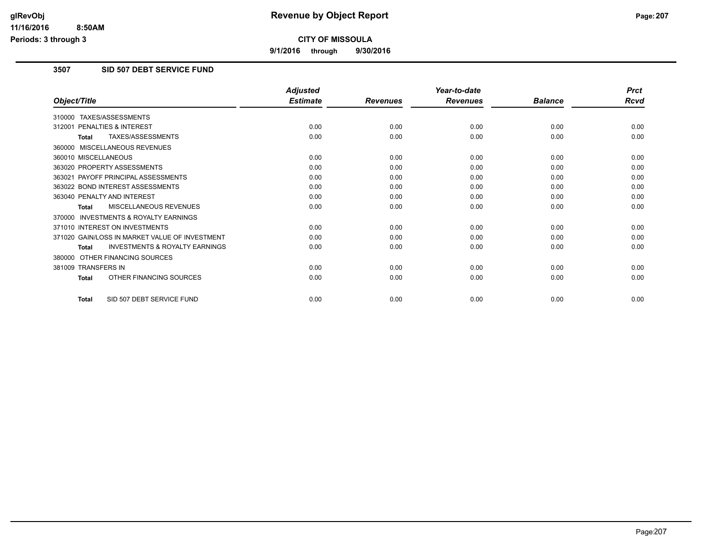**CITY OF MISSOULA**

**9/1/2016 through 9/30/2016**

## **3507 SID 507 DEBT SERVICE FUND**

|                                                    | <b>Adjusted</b> |                 | Year-to-date    |                | <b>Prct</b> |
|----------------------------------------------------|-----------------|-----------------|-----------------|----------------|-------------|
| Object/Title                                       | <b>Estimate</b> | <b>Revenues</b> | <b>Revenues</b> | <b>Balance</b> | <b>Rcvd</b> |
| 310000 TAXES/ASSESSMENTS                           |                 |                 |                 |                |             |
| PENALTIES & INTEREST<br>312001                     | 0.00            | 0.00            | 0.00            | 0.00           | 0.00        |
| TAXES/ASSESSMENTS<br>Total                         | 0.00            | 0.00            | 0.00            | 0.00           | 0.00        |
| 360000 MISCELLANEOUS REVENUES                      |                 |                 |                 |                |             |
| 360010 MISCELLANEOUS                               | 0.00            | 0.00            | 0.00            | 0.00           | 0.00        |
| 363020 PROPERTY ASSESSMENTS                        | 0.00            | 0.00            | 0.00            | 0.00           | 0.00        |
| 363021 PAYOFF PRINCIPAL ASSESSMENTS                | 0.00            | 0.00            | 0.00            | 0.00           | 0.00        |
| 363022 BOND INTEREST ASSESSMENTS                   | 0.00            | 0.00            | 0.00            | 0.00           | 0.00        |
| 363040 PENALTY AND INTEREST                        | 0.00            | 0.00            | 0.00            | 0.00           | 0.00        |
| MISCELLANEOUS REVENUES<br><b>Total</b>             | 0.00            | 0.00            | 0.00            | 0.00           | 0.00        |
| 370000 INVESTMENTS & ROYALTY EARNINGS              |                 |                 |                 |                |             |
| 371010 INTEREST ON INVESTMENTS                     | 0.00            | 0.00            | 0.00            | 0.00           | 0.00        |
| 371020 GAIN/LOSS IN MARKET VALUE OF INVESTMENT     | 0.00            | 0.00            | 0.00            | 0.00           | 0.00        |
| <b>INVESTMENTS &amp; ROYALTY EARNINGS</b><br>Total | 0.00            | 0.00            | 0.00            | 0.00           | 0.00        |
| 380000 OTHER FINANCING SOURCES                     |                 |                 |                 |                |             |
| 381009 TRANSFERS IN                                | 0.00            | 0.00            | 0.00            | 0.00           | 0.00        |
| OTHER FINANCING SOURCES<br>Total                   | 0.00            | 0.00            | 0.00            | 0.00           | 0.00        |
| SID 507 DEBT SERVICE FUND<br><b>Total</b>          | 0.00            | 0.00            | 0.00            | 0.00           | 0.00        |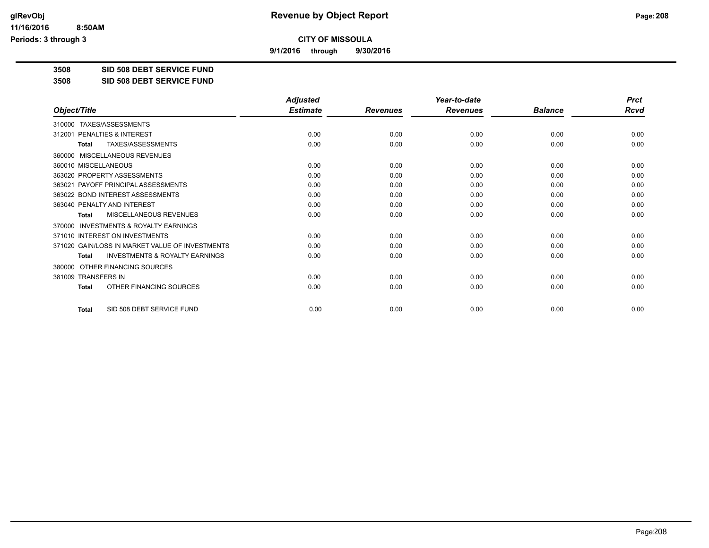**CITY OF MISSOULA**

**9/1/2016 through 9/30/2016**

**3508 SID 508 DEBT SERVICE FUND**

 **8:50AM**

**3508 SID 508 DEBT SERVICE FUND**

|                                                           | <b>Adjusted</b> |                 | Year-to-date    |                | <b>Prct</b> |
|-----------------------------------------------------------|-----------------|-----------------|-----------------|----------------|-------------|
| Object/Title                                              | <b>Estimate</b> | <b>Revenues</b> | <b>Revenues</b> | <b>Balance</b> | <b>Rcvd</b> |
| TAXES/ASSESSMENTS<br>310000                               |                 |                 |                 |                |             |
| PENALTIES & INTEREST<br>312001                            | 0.00            | 0.00            | 0.00            | 0.00           | 0.00        |
| TAXES/ASSESSMENTS<br><b>Total</b>                         | 0.00            | 0.00            | 0.00            | 0.00           | 0.00        |
| MISCELLANEOUS REVENUES<br>360000                          |                 |                 |                 |                |             |
| 360010 MISCELLANEOUS                                      | 0.00            | 0.00            | 0.00            | 0.00           | 0.00        |
| 363020 PROPERTY ASSESSMENTS                               | 0.00            | 0.00            | 0.00            | 0.00           | 0.00        |
| 363021 PAYOFF PRINCIPAL ASSESSMENTS                       | 0.00            | 0.00            | 0.00            | 0.00           | 0.00        |
| 363022 BOND INTEREST ASSESSMENTS                          | 0.00            | 0.00            | 0.00            | 0.00           | 0.00        |
| 363040 PENALTY AND INTEREST                               | 0.00            | 0.00            | 0.00            | 0.00           | 0.00        |
| MISCELLANEOUS REVENUES<br><b>Total</b>                    | 0.00            | 0.00            | 0.00            | 0.00           | 0.00        |
| <b>INVESTMENTS &amp; ROYALTY EARNINGS</b><br>370000       |                 |                 |                 |                |             |
| 371010 INTEREST ON INVESTMENTS                            | 0.00            | 0.00            | 0.00            | 0.00           | 0.00        |
| 371020 GAIN/LOSS IN MARKET VALUE OF INVESTMENTS           | 0.00            | 0.00            | 0.00            | 0.00           | 0.00        |
| <b>INVESTMENTS &amp; ROYALTY EARNINGS</b><br><b>Total</b> | 0.00            | 0.00            | 0.00            | 0.00           | 0.00        |
| OTHER FINANCING SOURCES<br>380000                         |                 |                 |                 |                |             |
| 381009 TRANSFERS IN                                       | 0.00            | 0.00            | 0.00            | 0.00           | 0.00        |
| OTHER FINANCING SOURCES<br><b>Total</b>                   | 0.00            | 0.00            | 0.00            | 0.00           | 0.00        |
| SID 508 DEBT SERVICE FUND<br><b>Total</b>                 | 0.00            | 0.00            | 0.00            | 0.00           | 0.00        |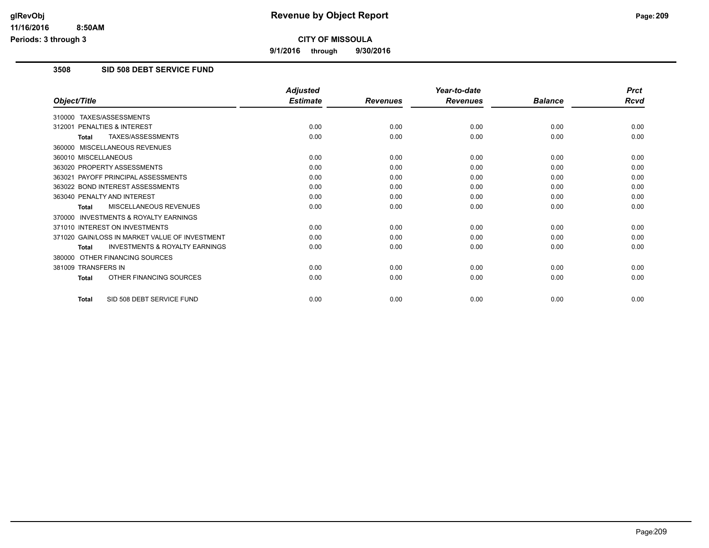**CITY OF MISSOULA**

**9/1/2016 through 9/30/2016**

### **3508 SID 508 DEBT SERVICE FUND**

|                                                           | <b>Adjusted</b> |                 | Year-to-date    |                | <b>Prct</b> |
|-----------------------------------------------------------|-----------------|-----------------|-----------------|----------------|-------------|
| Object/Title                                              | <b>Estimate</b> | <b>Revenues</b> | <b>Revenues</b> | <b>Balance</b> | <b>Rcvd</b> |
| 310000 TAXES/ASSESSMENTS                                  |                 |                 |                 |                |             |
| PENALTIES & INTEREST<br>312001                            | 0.00            | 0.00            | 0.00            | 0.00           | 0.00        |
| TAXES/ASSESSMENTS<br><b>Total</b>                         | 0.00            | 0.00            | 0.00            | 0.00           | 0.00        |
| 360000 MISCELLANEOUS REVENUES                             |                 |                 |                 |                |             |
| 360010 MISCELLANEOUS                                      | 0.00            | 0.00            | 0.00            | 0.00           | 0.00        |
| 363020 PROPERTY ASSESSMENTS                               | 0.00            | 0.00            | 0.00            | 0.00           | 0.00        |
| 363021 PAYOFF PRINCIPAL ASSESSMENTS                       | 0.00            | 0.00            | 0.00            | 0.00           | 0.00        |
| 363022 BOND INTEREST ASSESSMENTS                          | 0.00            | 0.00            | 0.00            | 0.00           | 0.00        |
| 363040 PENALTY AND INTEREST                               | 0.00            | 0.00            | 0.00            | 0.00           | 0.00        |
| MISCELLANEOUS REVENUES<br><b>Total</b>                    | 0.00            | 0.00            | 0.00            | 0.00           | 0.00        |
| INVESTMENTS & ROYALTY EARNINGS<br>370000                  |                 |                 |                 |                |             |
| 371010 INTEREST ON INVESTMENTS                            | 0.00            | 0.00            | 0.00            | 0.00           | 0.00        |
| 371020 GAIN/LOSS IN MARKET VALUE OF INVESTMENT            | 0.00            | 0.00            | 0.00            | 0.00           | 0.00        |
| <b>INVESTMENTS &amp; ROYALTY EARNINGS</b><br><b>Total</b> | 0.00            | 0.00            | 0.00            | 0.00           | 0.00        |
| 380000 OTHER FINANCING SOURCES                            |                 |                 |                 |                |             |
| 381009 TRANSFERS IN                                       | 0.00            | 0.00            | 0.00            | 0.00           | 0.00        |
| OTHER FINANCING SOURCES<br><b>Total</b>                   | 0.00            | 0.00            | 0.00            | 0.00           | 0.00        |
| SID 508 DEBT SERVICE FUND<br><b>Total</b>                 | 0.00            | 0.00            | 0.00            | 0.00           | 0.00        |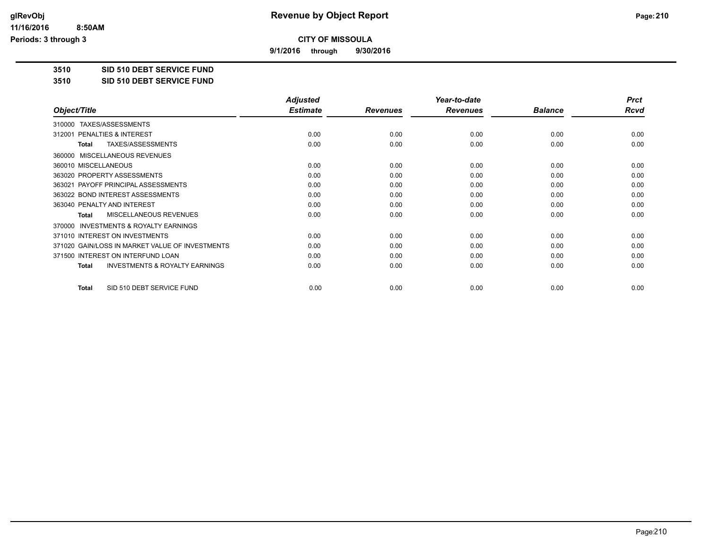**CITY OF MISSOULA**

**9/1/2016 through 9/30/2016**

**3510 SID 510 DEBT SERVICE FUND**

 **8:50AM**

**3510 SID 510 DEBT SERVICE FUND**

|                                                           | <b>Adjusted</b> |                 | Year-to-date    |                | <b>Prct</b> |
|-----------------------------------------------------------|-----------------|-----------------|-----------------|----------------|-------------|
| Object/Title                                              | <b>Estimate</b> | <b>Revenues</b> | <b>Revenues</b> | <b>Balance</b> | <b>Rcvd</b> |
| TAXES/ASSESSMENTS<br>310000                               |                 |                 |                 |                |             |
| 312001 PENALTIES & INTEREST                               | 0.00            | 0.00            | 0.00            | 0.00           | 0.00        |
| TAXES/ASSESSMENTS<br><b>Total</b>                         | 0.00            | 0.00            | 0.00            | 0.00           | 0.00        |
| MISCELLANEOUS REVENUES<br>360000                          |                 |                 |                 |                |             |
| 360010 MISCELLANEOUS                                      | 0.00            | 0.00            | 0.00            | 0.00           | 0.00        |
| 363020 PROPERTY ASSESSMENTS                               | 0.00            | 0.00            | 0.00            | 0.00           | 0.00        |
| 363021 PAYOFF PRINCIPAL ASSESSMENTS                       | 0.00            | 0.00            | 0.00            | 0.00           | 0.00        |
| 363022 BOND INTEREST ASSESSMENTS                          | 0.00            | 0.00            | 0.00            | 0.00           | 0.00        |
| 363040 PENALTY AND INTEREST                               | 0.00            | 0.00            | 0.00            | 0.00           | 0.00        |
| <b>MISCELLANEOUS REVENUES</b><br>Total                    | 0.00            | 0.00            | 0.00            | 0.00           | 0.00        |
| <b>INVESTMENTS &amp; ROYALTY EARNINGS</b><br>370000       |                 |                 |                 |                |             |
| 371010 INTEREST ON INVESTMENTS                            | 0.00            | 0.00            | 0.00            | 0.00           | 0.00        |
| 371020 GAIN/LOSS IN MARKET VALUE OF INVESTMENTS           | 0.00            | 0.00            | 0.00            | 0.00           | 0.00        |
| 371500 INTEREST ON INTERFUND LOAN                         | 0.00            | 0.00            | 0.00            | 0.00           | 0.00        |
| <b>INVESTMENTS &amp; ROYALTY EARNINGS</b><br><b>Total</b> | 0.00            | 0.00            | 0.00            | 0.00           | 0.00        |
| SID 510 DEBT SERVICE FUND<br>Total                        | 0.00            | 0.00            | 0.00            | 0.00           | 0.00        |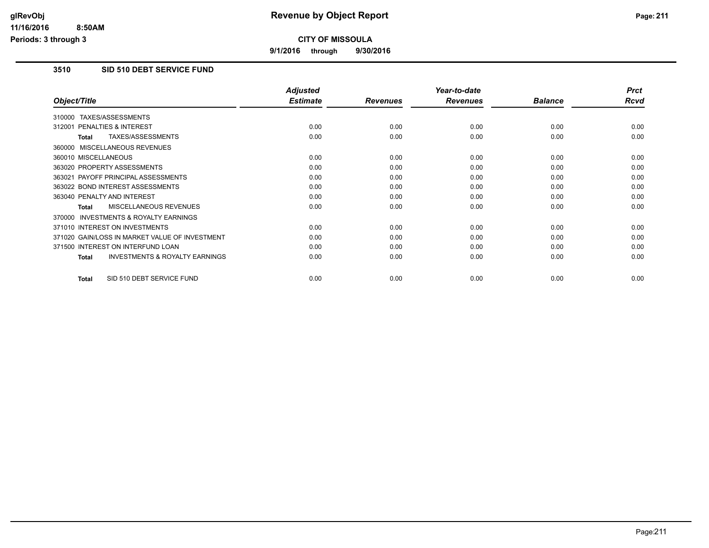**CITY OF MISSOULA**

**9/1/2016 through 9/30/2016**

# **3510 SID 510 DEBT SERVICE FUND**

|                                                           | <b>Adjusted</b> |                 | Year-to-date    |                | <b>Prct</b> |
|-----------------------------------------------------------|-----------------|-----------------|-----------------|----------------|-------------|
| Object/Title                                              | <b>Estimate</b> | <b>Revenues</b> | <b>Revenues</b> | <b>Balance</b> | Rcvd        |
| TAXES/ASSESSMENTS<br>310000                               |                 |                 |                 |                |             |
| 312001 PENALTIES & INTEREST                               | 0.00            | 0.00            | 0.00            | 0.00           | 0.00        |
| TAXES/ASSESSMENTS<br>Total                                | 0.00            | 0.00            | 0.00            | 0.00           | 0.00        |
| 360000 MISCELLANEOUS REVENUES                             |                 |                 |                 |                |             |
| 360010 MISCELLANEOUS                                      | 0.00            | 0.00            | 0.00            | 0.00           | 0.00        |
| 363020 PROPERTY ASSESSMENTS                               | 0.00            | 0.00            | 0.00            | 0.00           | 0.00        |
| 363021 PAYOFF PRINCIPAL ASSESSMENTS                       | 0.00            | 0.00            | 0.00            | 0.00           | 0.00        |
| 363022 BOND INTEREST ASSESSMENTS                          | 0.00            | 0.00            | 0.00            | 0.00           | 0.00        |
| 363040 PENALTY AND INTEREST                               | 0.00            | 0.00            | 0.00            | 0.00           | 0.00        |
| MISCELLANEOUS REVENUES<br><b>Total</b>                    | 0.00            | 0.00            | 0.00            | 0.00           | 0.00        |
| <b>INVESTMENTS &amp; ROYALTY EARNINGS</b><br>370000       |                 |                 |                 |                |             |
| 371010 INTEREST ON INVESTMENTS                            | 0.00            | 0.00            | 0.00            | 0.00           | 0.00        |
| 371020 GAIN/LOSS IN MARKET VALUE OF INVESTMENT            | 0.00            | 0.00            | 0.00            | 0.00           | 0.00        |
| 371500 INTEREST ON INTERFUND LOAN                         | 0.00            | 0.00            | 0.00            | 0.00           | 0.00        |
| <b>INVESTMENTS &amp; ROYALTY EARNINGS</b><br><b>Total</b> | 0.00            | 0.00            | 0.00            | 0.00           | 0.00        |
| SID 510 DEBT SERVICE FUND<br><b>Total</b>                 | 0.00            | 0.00            | 0.00            | 0.00           | 0.00        |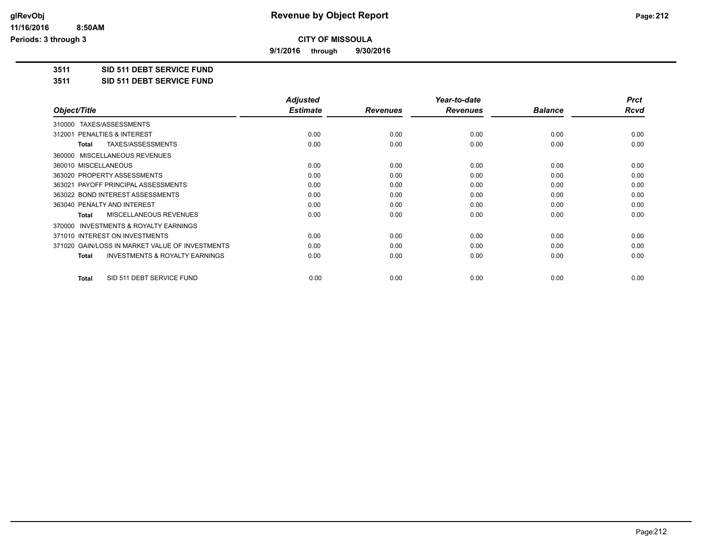**CITY OF MISSOULA**

**9/1/2016 through 9/30/2016**

**3511 SID 511 DEBT SERVICE FUND**

**3511 SID 511 DEBT SERVICE FUND**

|                                                    | <b>Adjusted</b> |                 | Year-to-date    |                | <b>Prct</b> |
|----------------------------------------------------|-----------------|-----------------|-----------------|----------------|-------------|
| Object/Title                                       | <b>Estimate</b> | <b>Revenues</b> | <b>Revenues</b> | <b>Balance</b> | Rcvd        |
| TAXES/ASSESSMENTS<br>310000                        |                 |                 |                 |                |             |
| <b>PENALTIES &amp; INTEREST</b><br>312001          | 0.00            | 0.00            | 0.00            | 0.00           | 0.00        |
| TAXES/ASSESSMENTS<br>Total                         | 0.00            | 0.00            | 0.00            | 0.00           | 0.00        |
| 360000 MISCELLANEOUS REVENUES                      |                 |                 |                 |                |             |
| 360010 MISCELLANEOUS                               | 0.00            | 0.00            | 0.00            | 0.00           | 0.00        |
| 363020 PROPERTY ASSESSMENTS                        | 0.00            | 0.00            | 0.00            | 0.00           | 0.00        |
| 363021 PAYOFF PRINCIPAL ASSESSMENTS                | 0.00            | 0.00            | 0.00            | 0.00           | 0.00        |
| 363022 BOND INTEREST ASSESSMENTS                   | 0.00            | 0.00            | 0.00            | 0.00           | 0.00        |
| 363040 PENALTY AND INTEREST                        | 0.00            | 0.00            | 0.00            | 0.00           | 0.00        |
| MISCELLANEOUS REVENUES<br>Total                    | 0.00            | 0.00            | 0.00            | 0.00           | 0.00        |
| 370000 INVESTMENTS & ROYALTY EARNINGS              |                 |                 |                 |                |             |
| 371010 INTEREST ON INVESTMENTS                     | 0.00            | 0.00            | 0.00            | 0.00           | 0.00        |
| 371020 GAIN/LOSS IN MARKET VALUE OF INVESTMENTS    | 0.00            | 0.00            | 0.00            | 0.00           | 0.00        |
| <b>INVESTMENTS &amp; ROYALTY EARNINGS</b><br>Total | 0.00            | 0.00            | 0.00            | 0.00           | 0.00        |
| SID 511 DEBT SERVICE FUND<br><b>Total</b>          | 0.00            | 0.00            | 0.00            | 0.00           | 0.00        |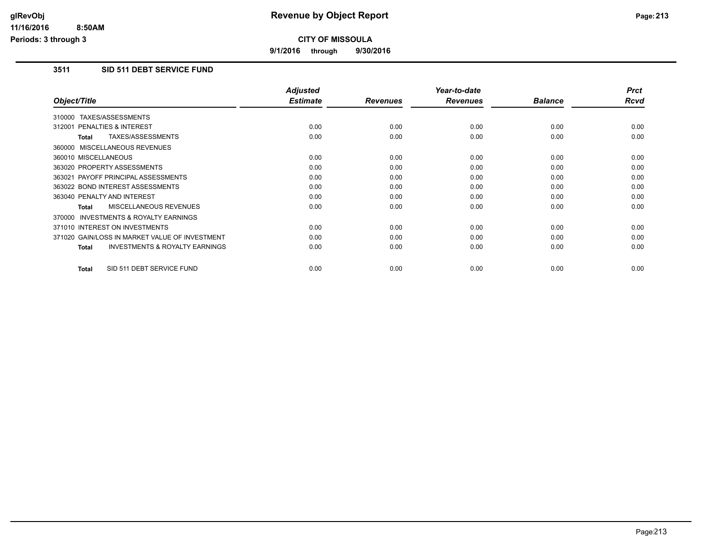**CITY OF MISSOULA**

**9/1/2016 through 9/30/2016**

# **3511 SID 511 DEBT SERVICE FUND**

|                                                           | <b>Adjusted</b> |                 | Year-to-date    |                | <b>Prct</b> |
|-----------------------------------------------------------|-----------------|-----------------|-----------------|----------------|-------------|
| Object/Title                                              | <b>Estimate</b> | <b>Revenues</b> | <b>Revenues</b> | <b>Balance</b> | Rcvd        |
| TAXES/ASSESSMENTS<br>310000                               |                 |                 |                 |                |             |
| 312001 PENALTIES & INTEREST                               | 0.00            | 0.00            | 0.00            | 0.00           | 0.00        |
| TAXES/ASSESSMENTS<br><b>Total</b>                         | 0.00            | 0.00            | 0.00            | 0.00           | 0.00        |
| 360000 MISCELLANEOUS REVENUES                             |                 |                 |                 |                |             |
| 360010 MISCELLANEOUS                                      | 0.00            | 0.00            | 0.00            | 0.00           | 0.00        |
| 363020 PROPERTY ASSESSMENTS                               | 0.00            | 0.00            | 0.00            | 0.00           | 0.00        |
| 363021 PAYOFF PRINCIPAL ASSESSMENTS                       | 0.00            | 0.00            | 0.00            | 0.00           | 0.00        |
| 363022 BOND INTEREST ASSESSMENTS                          | 0.00            | 0.00            | 0.00            | 0.00           | 0.00        |
| 363040 PENALTY AND INTEREST                               | 0.00            | 0.00            | 0.00            | 0.00           | 0.00        |
| <b>MISCELLANEOUS REVENUES</b><br><b>Total</b>             | 0.00            | 0.00            | 0.00            | 0.00           | 0.00        |
| 370000 INVESTMENTS & ROYALTY EARNINGS                     |                 |                 |                 |                |             |
| 371010 INTEREST ON INVESTMENTS                            | 0.00            | 0.00            | 0.00            | 0.00           | 0.00        |
| 371020 GAIN/LOSS IN MARKET VALUE OF INVESTMENT            | 0.00            | 0.00            | 0.00            | 0.00           | 0.00        |
| <b>INVESTMENTS &amp; ROYALTY EARNINGS</b><br><b>Total</b> | 0.00            | 0.00            | 0.00            | 0.00           | 0.00        |
| SID 511 DEBT SERVICE FUND<br><b>Total</b>                 | 0.00            | 0.00            | 0.00            | 0.00           | 0.00        |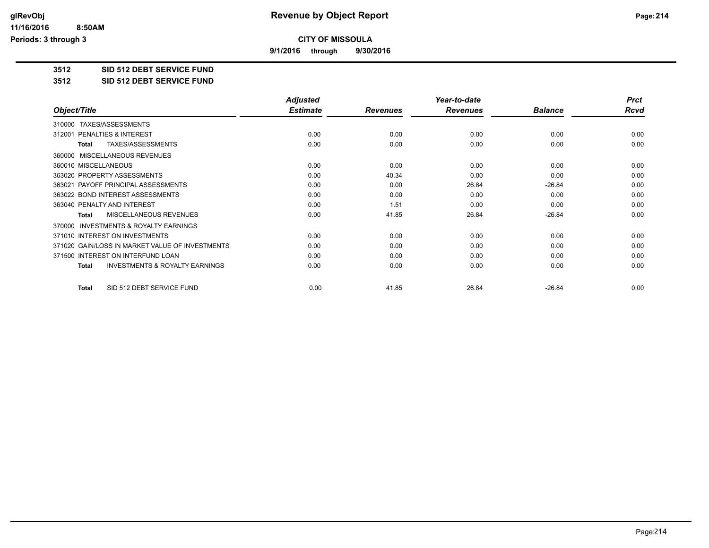**CITY OF MISSOULA**

**9/1/2016 through 9/30/2016**

**3512 SID 512 DEBT SERVICE FUND**

**3512 SID 512 DEBT SERVICE FUND**

|                                                           | <b>Adjusted</b> |                 | Year-to-date    |                | <b>Prct</b> |
|-----------------------------------------------------------|-----------------|-----------------|-----------------|----------------|-------------|
| Object/Title                                              | <b>Estimate</b> | <b>Revenues</b> | <b>Revenues</b> | <b>Balance</b> | <b>Rcvd</b> |
| TAXES/ASSESSMENTS<br>310000                               |                 |                 |                 |                |             |
| PENALTIES & INTEREST<br>312001                            | 0.00            | 0.00            | 0.00            | 0.00           | 0.00        |
| TAXES/ASSESSMENTS<br><b>Total</b>                         | 0.00            | 0.00            | 0.00            | 0.00           | 0.00        |
| MISCELLANEOUS REVENUES<br>360000                          |                 |                 |                 |                |             |
| 360010 MISCELLANEOUS                                      | 0.00            | 0.00            | 0.00            | 0.00           | 0.00        |
| 363020 PROPERTY ASSESSMENTS                               | 0.00            | 40.34           | 0.00            | 0.00           | 0.00        |
| 363021 PAYOFF PRINCIPAL ASSESSMENTS                       | 0.00            | 0.00            | 26.84           | $-26.84$       | 0.00        |
| 363022 BOND INTEREST ASSESSMENTS                          | 0.00            | 0.00            | 0.00            | 0.00           | 0.00        |
| 363040 PENALTY AND INTEREST                               | 0.00            | 1.51            | 0.00            | 0.00           | 0.00        |
| <b>MISCELLANEOUS REVENUES</b><br><b>Total</b>             | 0.00            | 41.85           | 26.84           | $-26.84$       | 0.00        |
| <b>INVESTMENTS &amp; ROYALTY EARNINGS</b><br>370000       |                 |                 |                 |                |             |
| 371010 INTEREST ON INVESTMENTS                            | 0.00            | 0.00            | 0.00            | 0.00           | 0.00        |
| 371020 GAIN/LOSS IN MARKET VALUE OF INVESTMENTS           | 0.00            | 0.00            | 0.00            | 0.00           | 0.00        |
| 371500 INTEREST ON INTERFUND LOAN                         | 0.00            | 0.00            | 0.00            | 0.00           | 0.00        |
| <b>INVESTMENTS &amp; ROYALTY EARNINGS</b><br><b>Total</b> | 0.00            | 0.00            | 0.00            | 0.00           | 0.00        |
| SID 512 DEBT SERVICE FUND<br>Total                        | 0.00            | 41.85           | 26.84           | $-26.84$       | 0.00        |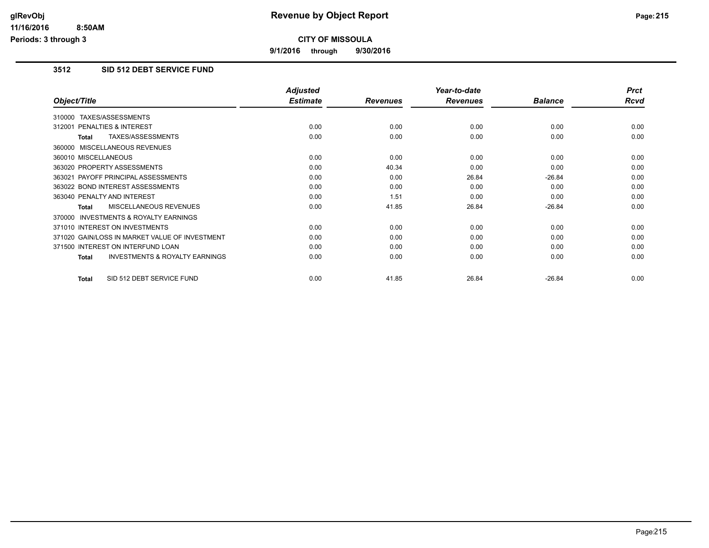**CITY OF MISSOULA**

**9/1/2016 through 9/30/2016**

# **3512 SID 512 DEBT SERVICE FUND**

|                                                           | <b>Adjusted</b> |                 | Year-to-date    |                | <b>Prct</b> |
|-----------------------------------------------------------|-----------------|-----------------|-----------------|----------------|-------------|
| Object/Title                                              | <b>Estimate</b> | <b>Revenues</b> | <b>Revenues</b> | <b>Balance</b> | <b>Rcvd</b> |
| TAXES/ASSESSMENTS<br>310000                               |                 |                 |                 |                |             |
| 312001 PENALTIES & INTEREST                               | 0.00            | 0.00            | 0.00            | 0.00           | 0.00        |
| <b>TAXES/ASSESSMENTS</b><br><b>Total</b>                  | 0.00            | 0.00            | 0.00            | 0.00           | 0.00        |
| 360000 MISCELLANEOUS REVENUES                             |                 |                 |                 |                |             |
| 360010 MISCELLANEOUS                                      | 0.00            | 0.00            | 0.00            | 0.00           | 0.00        |
| 363020 PROPERTY ASSESSMENTS                               | 0.00            | 40.34           | 0.00            | 0.00           | 0.00        |
| 363021 PAYOFF PRINCIPAL ASSESSMENTS                       | 0.00            | 0.00            | 26.84           | $-26.84$       | 0.00        |
| 363022 BOND INTEREST ASSESSMENTS                          | 0.00            | 0.00            | 0.00            | 0.00           | 0.00        |
| 363040 PENALTY AND INTEREST                               | 0.00            | 1.51            | 0.00            | 0.00           | 0.00        |
| MISCELLANEOUS REVENUES<br><b>Total</b>                    | 0.00            | 41.85           | 26.84           | $-26.84$       | 0.00        |
| <b>INVESTMENTS &amp; ROYALTY EARNINGS</b><br>370000       |                 |                 |                 |                |             |
| 371010 INTEREST ON INVESTMENTS                            | 0.00            | 0.00            | 0.00            | 0.00           | 0.00        |
| 371020 GAIN/LOSS IN MARKET VALUE OF INVESTMENT            | 0.00            | 0.00            | 0.00            | 0.00           | 0.00        |
| 371500 INTEREST ON INTERFUND LOAN                         | 0.00            | 0.00            | 0.00            | 0.00           | 0.00        |
| <b>INVESTMENTS &amp; ROYALTY EARNINGS</b><br><b>Total</b> | 0.00            | 0.00            | 0.00            | 0.00           | 0.00        |
| SID 512 DEBT SERVICE FUND<br><b>Total</b>                 | 0.00            | 41.85           | 26.84           | $-26.84$       | 0.00        |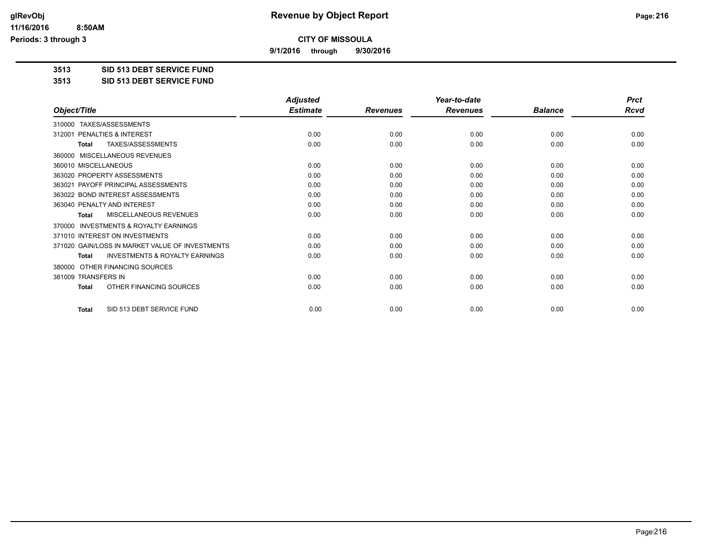**CITY OF MISSOULA**

**9/1/2016 through 9/30/2016**

**3513 SID 513 DEBT SERVICE FUND**

**3513 SID 513 DEBT SERVICE FUND**

|                                                           | <b>Adjusted</b> |                 | Year-to-date    |                | <b>Prct</b> |
|-----------------------------------------------------------|-----------------|-----------------|-----------------|----------------|-------------|
| Object/Title                                              | <b>Estimate</b> | <b>Revenues</b> | <b>Revenues</b> | <b>Balance</b> | <b>Rcvd</b> |
| TAXES/ASSESSMENTS<br>310000                               |                 |                 |                 |                |             |
| PENALTIES & INTEREST<br>312001                            | 0.00            | 0.00            | 0.00            | 0.00           | 0.00        |
| TAXES/ASSESSMENTS<br>Total                                | 0.00            | 0.00            | 0.00            | 0.00           | 0.00        |
| MISCELLANEOUS REVENUES<br>360000                          |                 |                 |                 |                |             |
| 360010 MISCELLANEOUS                                      | 0.00            | 0.00            | 0.00            | 0.00           | 0.00        |
| 363020 PROPERTY ASSESSMENTS                               | 0.00            | 0.00            | 0.00            | 0.00           | 0.00        |
| 363021 PAYOFF PRINCIPAL ASSESSMENTS                       | 0.00            | 0.00            | 0.00            | 0.00           | 0.00        |
| 363022 BOND INTEREST ASSESSMENTS                          | 0.00            | 0.00            | 0.00            | 0.00           | 0.00        |
| 363040 PENALTY AND INTEREST                               | 0.00            | 0.00            | 0.00            | 0.00           | 0.00        |
| MISCELLANEOUS REVENUES<br><b>Total</b>                    | 0.00            | 0.00            | 0.00            | 0.00           | 0.00        |
| <b>INVESTMENTS &amp; ROYALTY EARNINGS</b><br>370000       |                 |                 |                 |                |             |
| 371010 INTEREST ON INVESTMENTS                            | 0.00            | 0.00            | 0.00            | 0.00           | 0.00        |
| 371020 GAIN/LOSS IN MARKET VALUE OF INVESTMENTS           | 0.00            | 0.00            | 0.00            | 0.00           | 0.00        |
| <b>INVESTMENTS &amp; ROYALTY EARNINGS</b><br><b>Total</b> | 0.00            | 0.00            | 0.00            | 0.00           | 0.00        |
| OTHER FINANCING SOURCES<br>380000                         |                 |                 |                 |                |             |
| 381009 TRANSFERS IN                                       | 0.00            | 0.00            | 0.00            | 0.00           | 0.00        |
| OTHER FINANCING SOURCES<br>Total                          | 0.00            | 0.00            | 0.00            | 0.00           | 0.00        |
| SID 513 DEBT SERVICE FUND<br><b>Total</b>                 | 0.00            | 0.00            | 0.00            | 0.00           | 0.00        |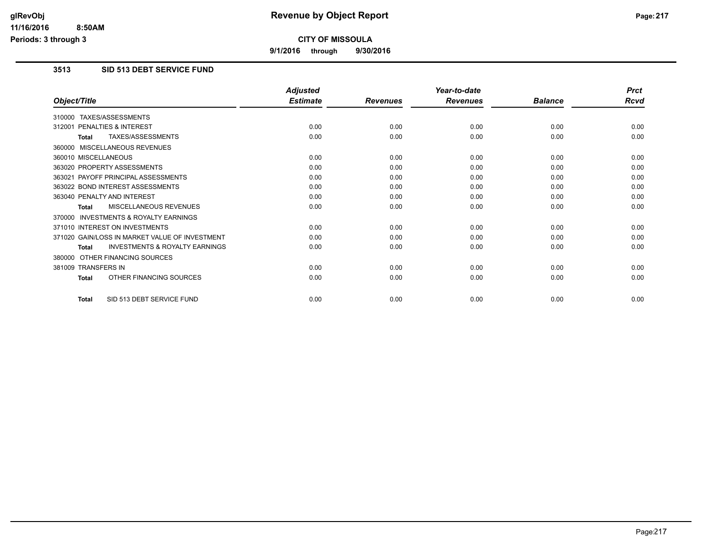**CITY OF MISSOULA**

**9/1/2016 through 9/30/2016**

## **3513 SID 513 DEBT SERVICE FUND**

|                                                           | <b>Adjusted</b> |                 | Year-to-date    |                | <b>Prct</b> |
|-----------------------------------------------------------|-----------------|-----------------|-----------------|----------------|-------------|
| Object/Title                                              | <b>Estimate</b> | <b>Revenues</b> | <b>Revenues</b> | <b>Balance</b> | <b>Rcvd</b> |
| 310000 TAXES/ASSESSMENTS                                  |                 |                 |                 |                |             |
| PENALTIES & INTEREST<br>312001                            | 0.00            | 0.00            | 0.00            | 0.00           | 0.00        |
| TAXES/ASSESSMENTS<br><b>Total</b>                         | 0.00            | 0.00            | 0.00            | 0.00           | 0.00        |
| 360000 MISCELLANEOUS REVENUES                             |                 |                 |                 |                |             |
| 360010 MISCELLANEOUS                                      | 0.00            | 0.00            | 0.00            | 0.00           | 0.00        |
| 363020 PROPERTY ASSESSMENTS                               | 0.00            | 0.00            | 0.00            | 0.00           | 0.00        |
| 363021 PAYOFF PRINCIPAL ASSESSMENTS                       | 0.00            | 0.00            | 0.00            | 0.00           | 0.00        |
| 363022 BOND INTEREST ASSESSMENTS                          | 0.00            | 0.00            | 0.00            | 0.00           | 0.00        |
| 363040 PENALTY AND INTEREST                               | 0.00            | 0.00            | 0.00            | 0.00           | 0.00        |
| MISCELLANEOUS REVENUES<br><b>Total</b>                    | 0.00            | 0.00            | 0.00            | 0.00           | 0.00        |
| <b>INVESTMENTS &amp; ROYALTY EARNINGS</b><br>370000       |                 |                 |                 |                |             |
| 371010 INTEREST ON INVESTMENTS                            | 0.00            | 0.00            | 0.00            | 0.00           | 0.00        |
| 371020 GAIN/LOSS IN MARKET VALUE OF INVESTMENT            | 0.00            | 0.00            | 0.00            | 0.00           | 0.00        |
| <b>INVESTMENTS &amp; ROYALTY EARNINGS</b><br><b>Total</b> | 0.00            | 0.00            | 0.00            | 0.00           | 0.00        |
| 380000 OTHER FINANCING SOURCES                            |                 |                 |                 |                |             |
| 381009 TRANSFERS IN                                       | 0.00            | 0.00            | 0.00            | 0.00           | 0.00        |
| OTHER FINANCING SOURCES<br><b>Total</b>                   | 0.00            | 0.00            | 0.00            | 0.00           | 0.00        |
| SID 513 DEBT SERVICE FUND<br><b>Total</b>                 | 0.00            | 0.00            | 0.00            | 0.00           | 0.00        |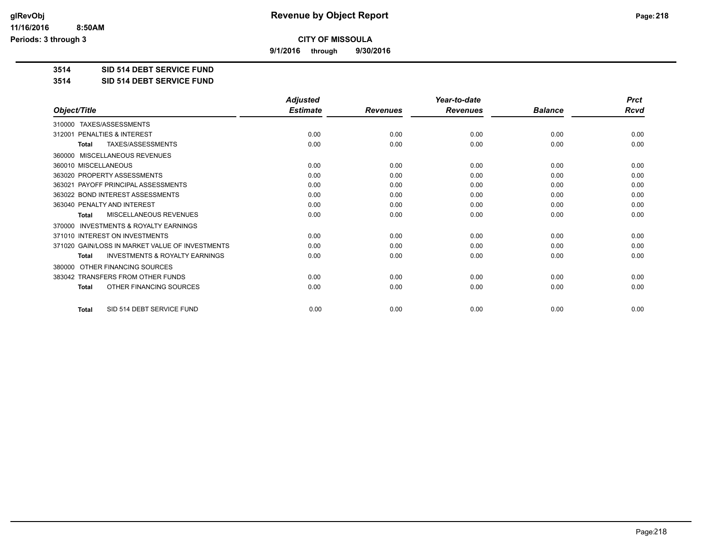**glRevObj Revenue by Object Report Page:218** 

**11/16/2016 8:50AM Periods: 3 through 3**

**CITY OF MISSOULA**

**9/1/2016 through 9/30/2016**

**3514 SID 514 DEBT SERVICE FUND**

**3514 SID 514 DEBT SERVICE FUND**

|                                                           | <b>Adjusted</b> |                 | Year-to-date    |                | <b>Prct</b> |
|-----------------------------------------------------------|-----------------|-----------------|-----------------|----------------|-------------|
| Object/Title                                              | <b>Estimate</b> | <b>Revenues</b> | <b>Revenues</b> | <b>Balance</b> | <b>Rcvd</b> |
| TAXES/ASSESSMENTS<br>310000                               |                 |                 |                 |                |             |
| PENALTIES & INTEREST<br>312001                            | 0.00            | 0.00            | 0.00            | 0.00           | 0.00        |
| TAXES/ASSESSMENTS<br>Total                                | 0.00            | 0.00            | 0.00            | 0.00           | 0.00        |
| MISCELLANEOUS REVENUES<br>360000                          |                 |                 |                 |                |             |
| 360010 MISCELLANEOUS                                      | 0.00            | 0.00            | 0.00            | 0.00           | 0.00        |
| 363020 PROPERTY ASSESSMENTS                               | 0.00            | 0.00            | 0.00            | 0.00           | 0.00        |
| 363021 PAYOFF PRINCIPAL ASSESSMENTS                       | 0.00            | 0.00            | 0.00            | 0.00           | 0.00        |
| 363022 BOND INTEREST ASSESSMENTS                          | 0.00            | 0.00            | 0.00            | 0.00           | 0.00        |
| 363040 PENALTY AND INTEREST                               | 0.00            | 0.00            | 0.00            | 0.00           | 0.00        |
| MISCELLANEOUS REVENUES<br><b>Total</b>                    | 0.00            | 0.00            | 0.00            | 0.00           | 0.00        |
| <b>INVESTMENTS &amp; ROYALTY EARNINGS</b><br>370000       |                 |                 |                 |                |             |
| 371010 INTEREST ON INVESTMENTS                            | 0.00            | 0.00            | 0.00            | 0.00           | 0.00        |
| 371020 GAIN/LOSS IN MARKET VALUE OF INVESTMENTS           | 0.00            | 0.00            | 0.00            | 0.00           | 0.00        |
| <b>INVESTMENTS &amp; ROYALTY EARNINGS</b><br><b>Total</b> | 0.00            | 0.00            | 0.00            | 0.00           | 0.00        |
| OTHER FINANCING SOURCES<br>380000                         |                 |                 |                 |                |             |
| 383042 TRANSFERS FROM OTHER FUNDS                         | 0.00            | 0.00            | 0.00            | 0.00           | 0.00        |
| OTHER FINANCING SOURCES<br><b>Total</b>                   | 0.00            | 0.00            | 0.00            | 0.00           | 0.00        |
| SID 514 DEBT SERVICE FUND<br><b>Total</b>                 | 0.00            | 0.00            | 0.00            | 0.00           | 0.00        |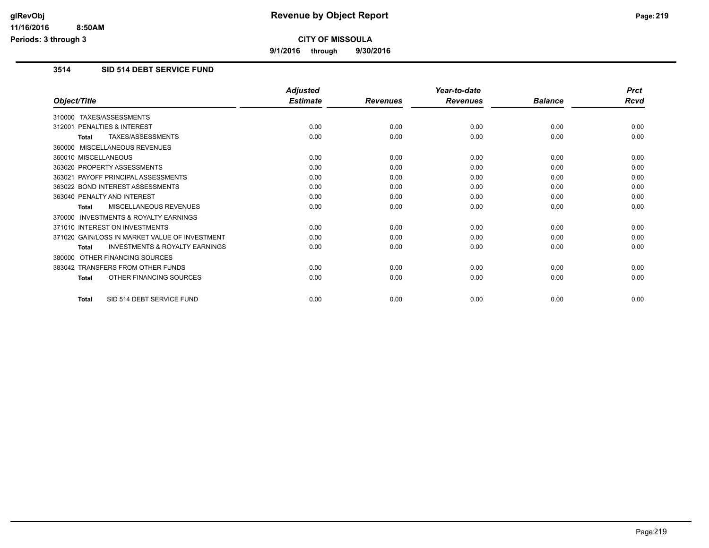**CITY OF MISSOULA**

**9/1/2016 through 9/30/2016**

### **3514 SID 514 DEBT SERVICE FUND**

|                                                           | <b>Adjusted</b> |                 | Year-to-date    |                | <b>Prct</b> |
|-----------------------------------------------------------|-----------------|-----------------|-----------------|----------------|-------------|
| Object/Title                                              | <b>Estimate</b> | <b>Revenues</b> | <b>Revenues</b> | <b>Balance</b> | Rcvd        |
| 310000 TAXES/ASSESSMENTS                                  |                 |                 |                 |                |             |
| PENALTIES & INTEREST<br>312001                            | 0.00            | 0.00            | 0.00            | 0.00           | 0.00        |
| TAXES/ASSESSMENTS<br><b>Total</b>                         | 0.00            | 0.00            | 0.00            | 0.00           | 0.00        |
| 360000 MISCELLANEOUS REVENUES                             |                 |                 |                 |                |             |
| 360010 MISCELLANEOUS                                      | 0.00            | 0.00            | 0.00            | 0.00           | 0.00        |
| 363020 PROPERTY ASSESSMENTS                               | 0.00            | 0.00            | 0.00            | 0.00           | 0.00        |
| 363021 PAYOFF PRINCIPAL ASSESSMENTS                       | 0.00            | 0.00            | 0.00            | 0.00           | 0.00        |
| 363022 BOND INTEREST ASSESSMENTS                          | 0.00            | 0.00            | 0.00            | 0.00           | 0.00        |
| 363040 PENALTY AND INTEREST                               | 0.00            | 0.00            | 0.00            | 0.00           | 0.00        |
| MISCELLANEOUS REVENUES<br><b>Total</b>                    | 0.00            | 0.00            | 0.00            | 0.00           | 0.00        |
| <b>INVESTMENTS &amp; ROYALTY EARNINGS</b><br>370000       |                 |                 |                 |                |             |
| 371010 INTEREST ON INVESTMENTS                            | 0.00            | 0.00            | 0.00            | 0.00           | 0.00        |
| 371020 GAIN/LOSS IN MARKET VALUE OF INVESTMENT            | 0.00            | 0.00            | 0.00            | 0.00           | 0.00        |
| <b>INVESTMENTS &amp; ROYALTY EARNINGS</b><br><b>Total</b> | 0.00            | 0.00            | 0.00            | 0.00           | 0.00        |
| OTHER FINANCING SOURCES<br>380000                         |                 |                 |                 |                |             |
| 383042 TRANSFERS FROM OTHER FUNDS                         | 0.00            | 0.00            | 0.00            | 0.00           | 0.00        |
| OTHER FINANCING SOURCES<br><b>Total</b>                   | 0.00            | 0.00            | 0.00            | 0.00           | 0.00        |
| SID 514 DEBT SERVICE FUND<br><b>Total</b>                 | 0.00            | 0.00            | 0.00            | 0.00           | 0.00        |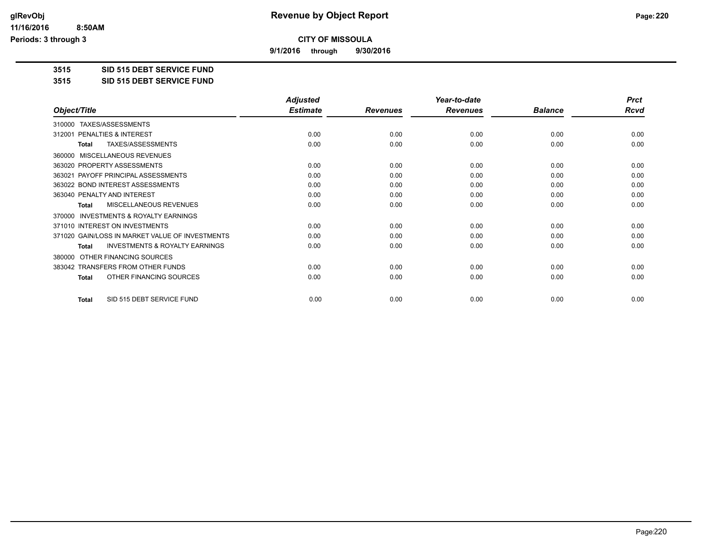**9/1/2016 through 9/30/2016**

**3515 SID 515 DEBT SERVICE FUND**

**3515 SID 515 DEBT SERVICE FUND**

|                                                           | <b>Adjusted</b> |                 | Year-to-date    |                | <b>Prct</b> |
|-----------------------------------------------------------|-----------------|-----------------|-----------------|----------------|-------------|
| Object/Title                                              | <b>Estimate</b> | <b>Revenues</b> | <b>Revenues</b> | <b>Balance</b> | <b>Rcvd</b> |
| TAXES/ASSESSMENTS<br>310000                               |                 |                 |                 |                |             |
| PENALTIES & INTEREST<br>312001                            | 0.00            | 0.00            | 0.00            | 0.00           | 0.00        |
| TAXES/ASSESSMENTS<br>Total                                | 0.00            | 0.00            | 0.00            | 0.00           | 0.00        |
| MISCELLANEOUS REVENUES<br>360000                          |                 |                 |                 |                |             |
| 363020 PROPERTY ASSESSMENTS                               | 0.00            | 0.00            | 0.00            | 0.00           | 0.00        |
| 363021 PAYOFF PRINCIPAL ASSESSMENTS                       | 0.00            | 0.00            | 0.00            | 0.00           | 0.00        |
| 363022 BOND INTEREST ASSESSMENTS                          | 0.00            | 0.00            | 0.00            | 0.00           | 0.00        |
| 363040 PENALTY AND INTEREST                               | 0.00            | 0.00            | 0.00            | 0.00           | 0.00        |
| <b>MISCELLANEOUS REVENUES</b><br><b>Total</b>             | 0.00            | 0.00            | 0.00            | 0.00           | 0.00        |
| <b>INVESTMENTS &amp; ROYALTY EARNINGS</b><br>370000       |                 |                 |                 |                |             |
| 371010 INTEREST ON INVESTMENTS                            | 0.00            | 0.00            | 0.00            | 0.00           | 0.00        |
| 371020 GAIN/LOSS IN MARKET VALUE OF INVESTMENTS           | 0.00            | 0.00            | 0.00            | 0.00           | 0.00        |
| <b>INVESTMENTS &amp; ROYALTY EARNINGS</b><br><b>Total</b> | 0.00            | 0.00            | 0.00            | 0.00           | 0.00        |
| OTHER FINANCING SOURCES<br>380000                         |                 |                 |                 |                |             |
| 383042 TRANSFERS FROM OTHER FUNDS                         | 0.00            | 0.00            | 0.00            | 0.00           | 0.00        |
| OTHER FINANCING SOURCES<br><b>Total</b>                   | 0.00            | 0.00            | 0.00            | 0.00           | 0.00        |
|                                                           |                 |                 |                 |                |             |
| SID 515 DEBT SERVICE FUND<br><b>Total</b>                 | 0.00            | 0.00            | 0.00            | 0.00           | 0.00        |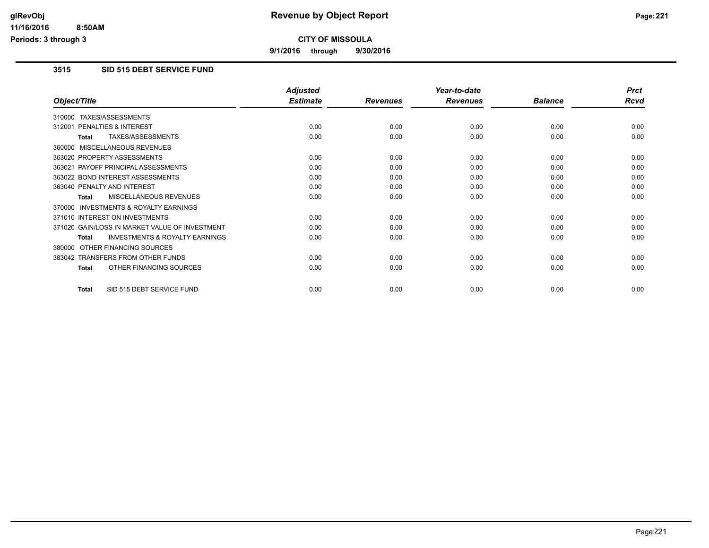**CITY OF MISSOULA**

**9/1/2016 through 9/30/2016**

### **3515 SID 515 DEBT SERVICE FUND**

|                                                           | <b>Adjusted</b> |                 | Year-to-date    |                | <b>Prct</b> |
|-----------------------------------------------------------|-----------------|-----------------|-----------------|----------------|-------------|
| Object/Title                                              | <b>Estimate</b> | <b>Revenues</b> | <b>Revenues</b> | <b>Balance</b> | <b>Rcvd</b> |
| TAXES/ASSESSMENTS<br>310000                               |                 |                 |                 |                |             |
| 312001 PENALTIES & INTEREST                               | 0.00            | 0.00            | 0.00            | 0.00           | 0.00        |
| <b>TAXES/ASSESSMENTS</b><br><b>Total</b>                  | 0.00            | 0.00            | 0.00            | 0.00           | 0.00        |
| MISCELLANEOUS REVENUES<br>360000                          |                 |                 |                 |                |             |
| 363020 PROPERTY ASSESSMENTS                               | 0.00            | 0.00            | 0.00            | 0.00           | 0.00        |
| 363021 PAYOFF PRINCIPAL ASSESSMENTS                       | 0.00            | 0.00            | 0.00            | 0.00           | 0.00        |
| 363022 BOND INTEREST ASSESSMENTS                          | 0.00            | 0.00            | 0.00            | 0.00           | 0.00        |
| 363040 PENALTY AND INTEREST                               | 0.00            | 0.00            | 0.00            | 0.00           | 0.00        |
| MISCELLANEOUS REVENUES<br><b>Total</b>                    | 0.00            | 0.00            | 0.00            | 0.00           | 0.00        |
| <b>INVESTMENTS &amp; ROYALTY EARNINGS</b><br>370000       |                 |                 |                 |                |             |
| 371010 INTEREST ON INVESTMENTS                            | 0.00            | 0.00            | 0.00            | 0.00           | 0.00        |
| 371020 GAIN/LOSS IN MARKET VALUE OF INVESTMENT            | 0.00            | 0.00            | 0.00            | 0.00           | 0.00        |
| <b>INVESTMENTS &amp; ROYALTY EARNINGS</b><br><b>Total</b> | 0.00            | 0.00            | 0.00            | 0.00           | 0.00        |
| OTHER FINANCING SOURCES<br>380000                         |                 |                 |                 |                |             |
| 383042 TRANSFERS FROM OTHER FUNDS                         | 0.00            | 0.00            | 0.00            | 0.00           | 0.00        |
| OTHER FINANCING SOURCES<br><b>Total</b>                   | 0.00            | 0.00            | 0.00            | 0.00           | 0.00        |
| SID 515 DEBT SERVICE FUND<br><b>Total</b>                 | 0.00            | 0.00            | 0.00            | 0.00           | 0.00        |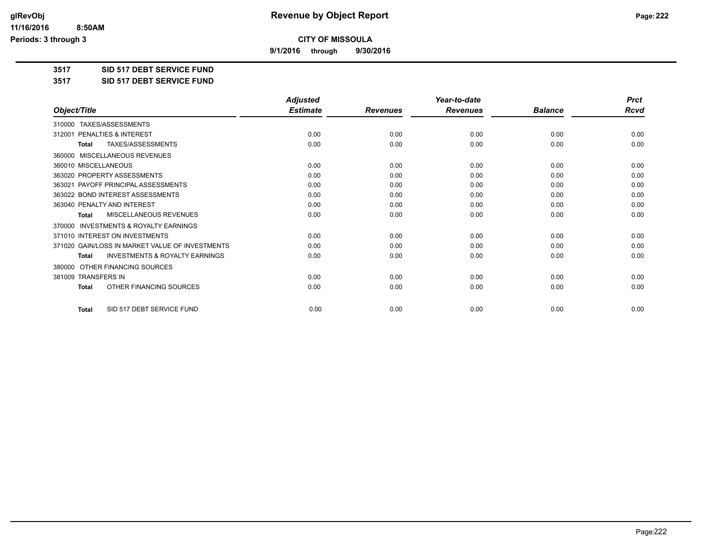**11/16/2016 8:50AM**

**Periods: 3 through 3**

**CITY OF MISSOULA**

**9/1/2016 through 9/30/2016**

**3517 SID 517 DEBT SERVICE FUND**

**3517 SID 517 DEBT SERVICE FUND**

|                                                           | <b>Adjusted</b> |                 | Year-to-date    |                | <b>Prct</b> |
|-----------------------------------------------------------|-----------------|-----------------|-----------------|----------------|-------------|
| Object/Title                                              | <b>Estimate</b> | <b>Revenues</b> | <b>Revenues</b> | <b>Balance</b> | <b>Rcvd</b> |
| TAXES/ASSESSMENTS<br>310000                               |                 |                 |                 |                |             |
| PENALTIES & INTEREST<br>312001                            | 0.00            | 0.00            | 0.00            | 0.00           | 0.00        |
| <b>TAXES/ASSESSMENTS</b><br><b>Total</b>                  | 0.00            | 0.00            | 0.00            | 0.00           | 0.00        |
| MISCELLANEOUS REVENUES<br>360000                          |                 |                 |                 |                |             |
| 360010 MISCELLANEOUS                                      | 0.00            | 0.00            | 0.00            | 0.00           | 0.00        |
| 363020 PROPERTY ASSESSMENTS                               | 0.00            | 0.00            | 0.00            | 0.00           | 0.00        |
| 363021 PAYOFF PRINCIPAL ASSESSMENTS                       | 0.00            | 0.00            | 0.00            | 0.00           | 0.00        |
| 363022 BOND INTEREST ASSESSMENTS                          | 0.00            | 0.00            | 0.00            | 0.00           | 0.00        |
| 363040 PENALTY AND INTEREST                               | 0.00            | 0.00            | 0.00            | 0.00           | 0.00        |
| MISCELLANEOUS REVENUES<br><b>Total</b>                    | 0.00            | 0.00            | 0.00            | 0.00           | 0.00        |
| <b>INVESTMENTS &amp; ROYALTY EARNINGS</b><br>370000       |                 |                 |                 |                |             |
| 371010 INTEREST ON INVESTMENTS                            | 0.00            | 0.00            | 0.00            | 0.00           | 0.00        |
| 371020 GAIN/LOSS IN MARKET VALUE OF INVESTMENTS           | 0.00            | 0.00            | 0.00            | 0.00           | 0.00        |
| <b>INVESTMENTS &amp; ROYALTY EARNINGS</b><br><b>Total</b> | 0.00            | 0.00            | 0.00            | 0.00           | 0.00        |
| OTHER FINANCING SOURCES<br>380000                         |                 |                 |                 |                |             |
| 381009 TRANSFERS IN                                       | 0.00            | 0.00            | 0.00            | 0.00           | 0.00        |
| OTHER FINANCING SOURCES<br><b>Total</b>                   | 0.00            | 0.00            | 0.00            | 0.00           | 0.00        |
| SID 517 DEBT SERVICE FUND<br><b>Total</b>                 | 0.00            | 0.00            | 0.00            | 0.00           | 0.00        |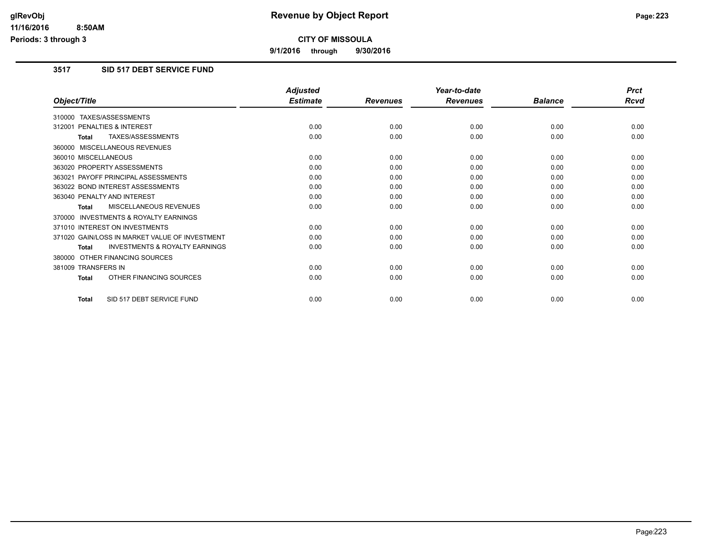**CITY OF MISSOULA**

**9/1/2016 through 9/30/2016**

## **3517 SID 517 DEBT SERVICE FUND**

|                                                           | <b>Adjusted</b> |                 | Year-to-date    |                | <b>Prct</b> |
|-----------------------------------------------------------|-----------------|-----------------|-----------------|----------------|-------------|
| Object/Title                                              | <b>Estimate</b> | <b>Revenues</b> | <b>Revenues</b> | <b>Balance</b> | <b>Rcvd</b> |
| 310000 TAXES/ASSESSMENTS                                  |                 |                 |                 |                |             |
| 312001 PENALTIES & INTEREST                               | 0.00            | 0.00            | 0.00            | 0.00           | 0.00        |
| TAXES/ASSESSMENTS<br><b>Total</b>                         | 0.00            | 0.00            | 0.00            | 0.00           | 0.00        |
| 360000 MISCELLANEOUS REVENUES                             |                 |                 |                 |                |             |
| 360010 MISCELLANEOUS                                      | 0.00            | 0.00            | 0.00            | 0.00           | 0.00        |
| 363020 PROPERTY ASSESSMENTS                               | 0.00            | 0.00            | 0.00            | 0.00           | 0.00        |
| 363021 PAYOFF PRINCIPAL ASSESSMENTS                       | 0.00            | 0.00            | 0.00            | 0.00           | 0.00        |
| 363022 BOND INTEREST ASSESSMENTS                          | 0.00            | 0.00            | 0.00            | 0.00           | 0.00        |
| 363040 PENALTY AND INTEREST                               | 0.00            | 0.00            | 0.00            | 0.00           | 0.00        |
| MISCELLANEOUS REVENUES<br><b>Total</b>                    | 0.00            | 0.00            | 0.00            | 0.00           | 0.00        |
| INVESTMENTS & ROYALTY EARNINGS<br>370000                  |                 |                 |                 |                |             |
| 371010 INTEREST ON INVESTMENTS                            | 0.00            | 0.00            | 0.00            | 0.00           | 0.00        |
| 371020 GAIN/LOSS IN MARKET VALUE OF INVESTMENT            | 0.00            | 0.00            | 0.00            | 0.00           | 0.00        |
| <b>INVESTMENTS &amp; ROYALTY EARNINGS</b><br><b>Total</b> | 0.00            | 0.00            | 0.00            | 0.00           | 0.00        |
| 380000 OTHER FINANCING SOURCES                            |                 |                 |                 |                |             |
| 381009 TRANSFERS IN                                       | 0.00            | 0.00            | 0.00            | 0.00           | 0.00        |
| OTHER FINANCING SOURCES<br><b>Total</b>                   | 0.00            | 0.00            | 0.00            | 0.00           | 0.00        |
| SID 517 DEBT SERVICE FUND<br><b>Total</b>                 | 0.00            | 0.00            | 0.00            | 0.00           | 0.00        |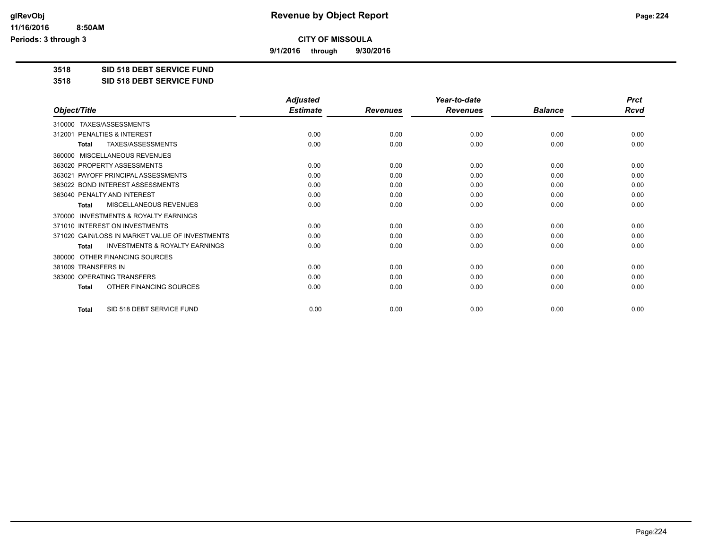**CITY OF MISSOULA**

**9/1/2016 through 9/30/2016**

**3518 SID 518 DEBT SERVICE FUND**

**3518 SID 518 DEBT SERVICE FUND**

|                                                           | <b>Adjusted</b> |                 | Year-to-date    |                | <b>Prct</b> |
|-----------------------------------------------------------|-----------------|-----------------|-----------------|----------------|-------------|
| Object/Title                                              | <b>Estimate</b> | <b>Revenues</b> | <b>Revenues</b> | <b>Balance</b> | <b>Rcvd</b> |
| TAXES/ASSESSMENTS<br>310000                               |                 |                 |                 |                |             |
| PENALTIES & INTEREST<br>312001                            | 0.00            | 0.00            | 0.00            | 0.00           | 0.00        |
| <b>TAXES/ASSESSMENTS</b><br>Total                         | 0.00            | 0.00            | 0.00            | 0.00           | 0.00        |
| MISCELLANEOUS REVENUES<br>360000                          |                 |                 |                 |                |             |
| 363020 PROPERTY ASSESSMENTS                               | 0.00            | 0.00            | 0.00            | 0.00           | 0.00        |
| 363021 PAYOFF PRINCIPAL ASSESSMENTS                       | 0.00            | 0.00            | 0.00            | 0.00           | 0.00        |
| 363022 BOND INTEREST ASSESSMENTS                          | 0.00            | 0.00            | 0.00            | 0.00           | 0.00        |
| 363040 PENALTY AND INTEREST                               | 0.00            | 0.00            | 0.00            | 0.00           | 0.00        |
| MISCELLANEOUS REVENUES<br><b>Total</b>                    | 0.00            | 0.00            | 0.00            | 0.00           | 0.00        |
| <b>INVESTMENTS &amp; ROYALTY EARNINGS</b><br>370000       |                 |                 |                 |                |             |
| 371010 INTEREST ON INVESTMENTS                            | 0.00            | 0.00            | 0.00            | 0.00           | 0.00        |
| 371020 GAIN/LOSS IN MARKET VALUE OF INVESTMENTS           | 0.00            | 0.00            | 0.00            | 0.00           | 0.00        |
| <b>INVESTMENTS &amp; ROYALTY EARNINGS</b><br><b>Total</b> | 0.00            | 0.00            | 0.00            | 0.00           | 0.00        |
| OTHER FINANCING SOURCES<br>380000                         |                 |                 |                 |                |             |
| 381009 TRANSFERS IN                                       | 0.00            | 0.00            | 0.00            | 0.00           | 0.00        |
| 383000 OPERATING TRANSFERS                                | 0.00            | 0.00            | 0.00            | 0.00           | 0.00        |
| OTHER FINANCING SOURCES<br><b>Total</b>                   | 0.00            | 0.00            | 0.00            | 0.00           | 0.00        |
| SID 518 DEBT SERVICE FUND<br><b>Total</b>                 | 0.00            | 0.00            | 0.00            | 0.00           | 0.00        |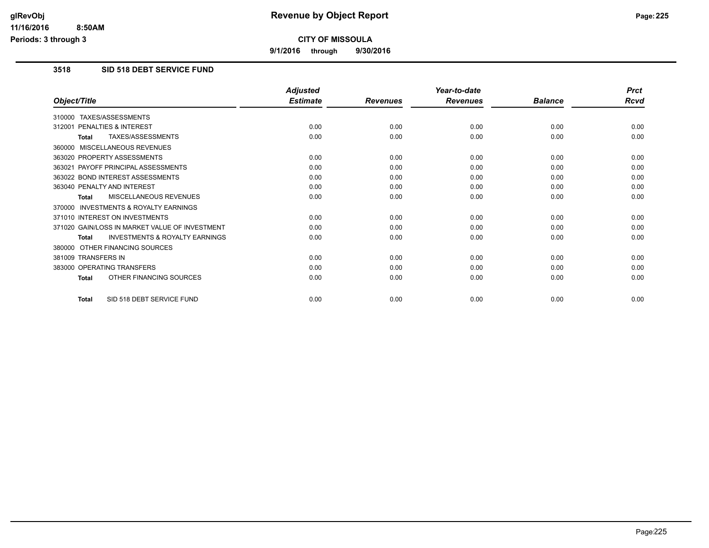**CITY OF MISSOULA**

**9/1/2016 through 9/30/2016**

### **3518 SID 518 DEBT SERVICE FUND**

|                                                           | <b>Adjusted</b> |                 | Year-to-date    |                | <b>Prct</b> |
|-----------------------------------------------------------|-----------------|-----------------|-----------------|----------------|-------------|
| Object/Title                                              | <b>Estimate</b> | <b>Revenues</b> | <b>Revenues</b> | <b>Balance</b> | <b>Rcvd</b> |
| 310000 TAXES/ASSESSMENTS                                  |                 |                 |                 |                |             |
| PENALTIES & INTEREST<br>312001                            | 0.00            | 0.00            | 0.00            | 0.00           | 0.00        |
| <b>TAXES/ASSESSMENTS</b><br><b>Total</b>                  | 0.00            | 0.00            | 0.00            | 0.00           | 0.00        |
| MISCELLANEOUS REVENUES<br>360000                          |                 |                 |                 |                |             |
| 363020 PROPERTY ASSESSMENTS                               | 0.00            | 0.00            | 0.00            | 0.00           | 0.00        |
| 363021 PAYOFF PRINCIPAL ASSESSMENTS                       | 0.00            | 0.00            | 0.00            | 0.00           | 0.00        |
| 363022 BOND INTEREST ASSESSMENTS                          | 0.00            | 0.00            | 0.00            | 0.00           | 0.00        |
| 363040 PENALTY AND INTEREST                               | 0.00            | 0.00            | 0.00            | 0.00           | 0.00        |
| MISCELLANEOUS REVENUES<br><b>Total</b>                    | 0.00            | 0.00            | 0.00            | 0.00           | 0.00        |
| <b>INVESTMENTS &amp; ROYALTY EARNINGS</b><br>370000       |                 |                 |                 |                |             |
| 371010 INTEREST ON INVESTMENTS                            | 0.00            | 0.00            | 0.00            | 0.00           | 0.00        |
| 371020 GAIN/LOSS IN MARKET VALUE OF INVESTMENT            | 0.00            | 0.00            | 0.00            | 0.00           | 0.00        |
| <b>INVESTMENTS &amp; ROYALTY EARNINGS</b><br><b>Total</b> | 0.00            | 0.00            | 0.00            | 0.00           | 0.00        |
| 380000 OTHER FINANCING SOURCES                            |                 |                 |                 |                |             |
| 381009 TRANSFERS IN                                       | 0.00            | 0.00            | 0.00            | 0.00           | 0.00        |
| 383000 OPERATING TRANSFERS                                | 0.00            | 0.00            | 0.00            | 0.00           | 0.00        |
| OTHER FINANCING SOURCES<br><b>Total</b>                   | 0.00            | 0.00            | 0.00            | 0.00           | 0.00        |
| SID 518 DEBT SERVICE FUND<br><b>Total</b>                 | 0.00            | 0.00            | 0.00            | 0.00           | 0.00        |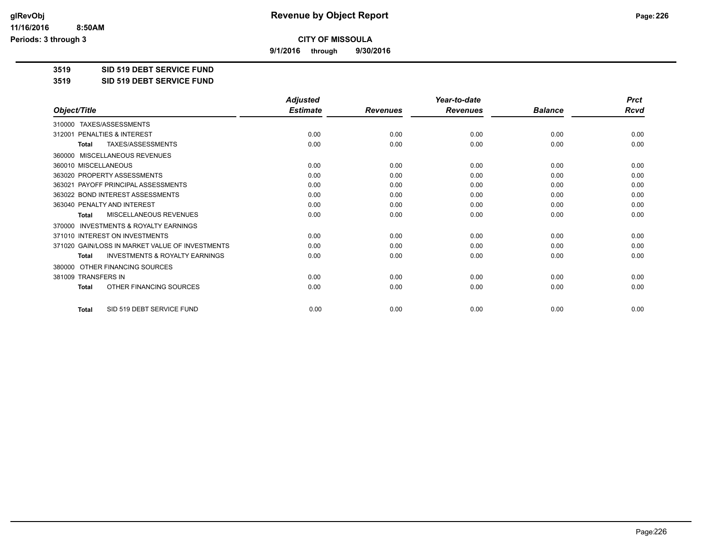**CITY OF MISSOULA**

**9/1/2016 through 9/30/2016**

**3519 SID 519 DEBT SERVICE FUND**

 **8:50AM**

**3519 SID 519 DEBT SERVICE FUND**

|                                                           | <b>Adjusted</b> |                 | Year-to-date    |                | <b>Prct</b> |
|-----------------------------------------------------------|-----------------|-----------------|-----------------|----------------|-------------|
| Object/Title                                              | <b>Estimate</b> | <b>Revenues</b> | <b>Revenues</b> | <b>Balance</b> | Rcvd        |
| TAXES/ASSESSMENTS<br>310000                               |                 |                 |                 |                |             |
| PENALTIES & INTEREST<br>312001                            | 0.00            | 0.00            | 0.00            | 0.00           | 0.00        |
| TAXES/ASSESSMENTS<br><b>Total</b>                         | 0.00            | 0.00            | 0.00            | 0.00           | 0.00        |
| MISCELLANEOUS REVENUES<br>360000                          |                 |                 |                 |                |             |
| 360010 MISCELLANEOUS                                      | 0.00            | 0.00            | 0.00            | 0.00           | 0.00        |
| 363020 PROPERTY ASSESSMENTS                               | 0.00            | 0.00            | 0.00            | 0.00           | 0.00        |
| 363021 PAYOFF PRINCIPAL ASSESSMENTS                       | 0.00            | 0.00            | 0.00            | 0.00           | 0.00        |
| 363022 BOND INTEREST ASSESSMENTS                          | 0.00            | 0.00            | 0.00            | 0.00           | 0.00        |
| 363040 PENALTY AND INTEREST                               | 0.00            | 0.00            | 0.00            | 0.00           | 0.00        |
| MISCELLANEOUS REVENUES<br><b>Total</b>                    | 0.00            | 0.00            | 0.00            | 0.00           | 0.00        |
| <b>INVESTMENTS &amp; ROYALTY EARNINGS</b><br>370000       |                 |                 |                 |                |             |
| 371010 INTEREST ON INVESTMENTS                            | 0.00            | 0.00            | 0.00            | 0.00           | 0.00        |
| 371020 GAIN/LOSS IN MARKET VALUE OF INVESTMENTS           | 0.00            | 0.00            | 0.00            | 0.00           | 0.00        |
| <b>INVESTMENTS &amp; ROYALTY EARNINGS</b><br><b>Total</b> | 0.00            | 0.00            | 0.00            | 0.00           | 0.00        |
| OTHER FINANCING SOURCES<br>380000                         |                 |                 |                 |                |             |
| 381009 TRANSFERS IN                                       | 0.00            | 0.00            | 0.00            | 0.00           | 0.00        |
| OTHER FINANCING SOURCES<br><b>Total</b>                   | 0.00            | 0.00            | 0.00            | 0.00           | 0.00        |
| SID 519 DEBT SERVICE FUND<br><b>Total</b>                 | 0.00            | 0.00            | 0.00            | 0.00           | 0.00        |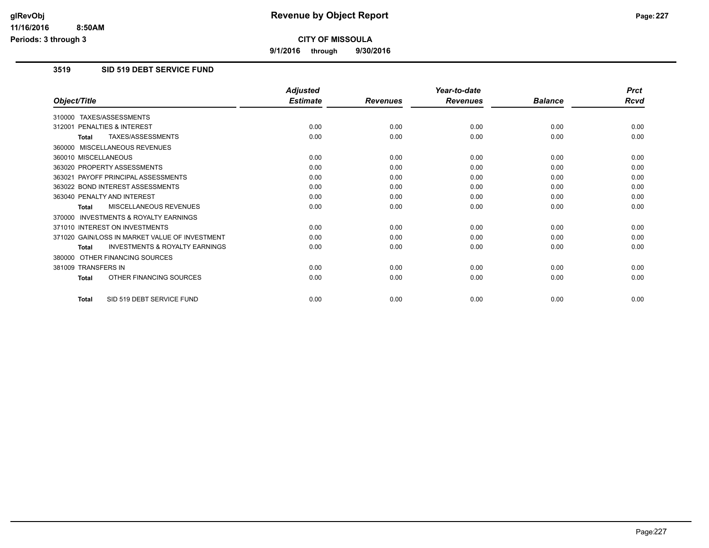**11/16/2016 8:50AM Periods: 3 through 3**

**CITY OF MISSOULA**

**9/1/2016 through 9/30/2016**

### **3519 SID 519 DEBT SERVICE FUND**

|                                                           | <b>Adjusted</b> |                 | Year-to-date    |                | <b>Prct</b> |
|-----------------------------------------------------------|-----------------|-----------------|-----------------|----------------|-------------|
| Object/Title                                              | <b>Estimate</b> | <b>Revenues</b> | <b>Revenues</b> | <b>Balance</b> | Rcvd        |
| 310000 TAXES/ASSESSMENTS                                  |                 |                 |                 |                |             |
| PENALTIES & INTEREST<br>312001                            | 0.00            | 0.00            | 0.00            | 0.00           | 0.00        |
| TAXES/ASSESSMENTS<br><b>Total</b>                         | 0.00            | 0.00            | 0.00            | 0.00           | 0.00        |
| 360000 MISCELLANEOUS REVENUES                             |                 |                 |                 |                |             |
| 360010 MISCELLANEOUS                                      | 0.00            | 0.00            | 0.00            | 0.00           | 0.00        |
| 363020 PROPERTY ASSESSMENTS                               | 0.00            | 0.00            | 0.00            | 0.00           | 0.00        |
| 363021 PAYOFF PRINCIPAL ASSESSMENTS                       | 0.00            | 0.00            | 0.00            | 0.00           | 0.00        |
| 363022 BOND INTEREST ASSESSMENTS                          | 0.00            | 0.00            | 0.00            | 0.00           | 0.00        |
| 363040 PENALTY AND INTEREST                               | 0.00            | 0.00            | 0.00            | 0.00           | 0.00        |
| MISCELLANEOUS REVENUES<br><b>Total</b>                    | 0.00            | 0.00            | 0.00            | 0.00           | 0.00        |
| <b>INVESTMENTS &amp; ROYALTY EARNINGS</b><br>370000       |                 |                 |                 |                |             |
| 371010 INTEREST ON INVESTMENTS                            | 0.00            | 0.00            | 0.00            | 0.00           | 0.00        |
| 371020 GAIN/LOSS IN MARKET VALUE OF INVESTMENT            | 0.00            | 0.00            | 0.00            | 0.00           | 0.00        |
| <b>INVESTMENTS &amp; ROYALTY EARNINGS</b><br><b>Total</b> | 0.00            | 0.00            | 0.00            | 0.00           | 0.00        |
| 380000 OTHER FINANCING SOURCES                            |                 |                 |                 |                |             |
| 381009 TRANSFERS IN                                       | 0.00            | 0.00            | 0.00            | 0.00           | 0.00        |
| OTHER FINANCING SOURCES<br><b>Total</b>                   | 0.00            | 0.00            | 0.00            | 0.00           | 0.00        |
| SID 519 DEBT SERVICE FUND<br><b>Total</b>                 | 0.00            | 0.00            | 0.00            | 0.00           | 0.00        |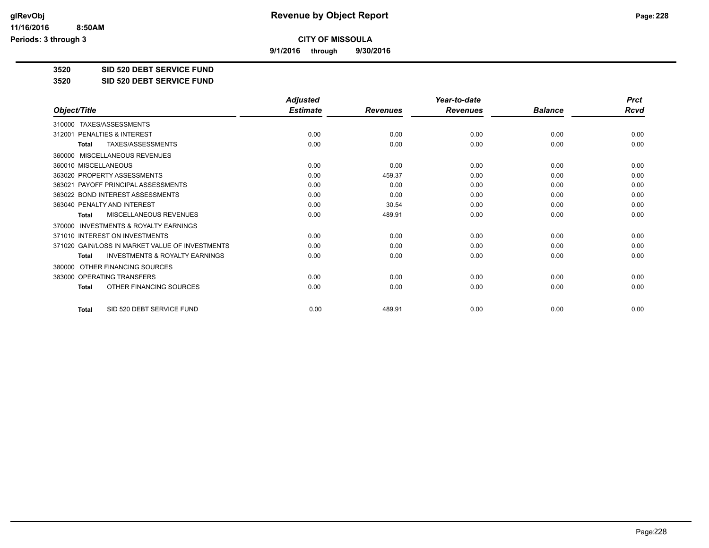**CITY OF MISSOULA**

**9/1/2016 through 9/30/2016**

**3520 SID 520 DEBT SERVICE FUND**

 **8:50AM**

**3520 SID 520 DEBT SERVICE FUND**

|                                                           | <b>Adjusted</b> |                 | Year-to-date    |                | <b>Prct</b> |
|-----------------------------------------------------------|-----------------|-----------------|-----------------|----------------|-------------|
| Object/Title                                              | <b>Estimate</b> | <b>Revenues</b> | <b>Revenues</b> | <b>Balance</b> | <b>Rcvd</b> |
| TAXES/ASSESSMENTS<br>310000                               |                 |                 |                 |                |             |
| PENALTIES & INTEREST<br>312001                            | 0.00            | 0.00            | 0.00            | 0.00           | 0.00        |
| TAXES/ASSESSMENTS<br><b>Total</b>                         | 0.00            | 0.00            | 0.00            | 0.00           | 0.00        |
| MISCELLANEOUS REVENUES<br>360000                          |                 |                 |                 |                |             |
| 360010 MISCELLANEOUS                                      | 0.00            | 0.00            | 0.00            | 0.00           | 0.00        |
| 363020 PROPERTY ASSESSMENTS                               | 0.00            | 459.37          | 0.00            | 0.00           | 0.00        |
| 363021 PAYOFF PRINCIPAL ASSESSMENTS                       | 0.00            | 0.00            | 0.00            | 0.00           | 0.00        |
| 363022 BOND INTEREST ASSESSMENTS                          | 0.00            | 0.00            | 0.00            | 0.00           | 0.00        |
| 363040 PENALTY AND INTEREST                               | 0.00            | 30.54           | 0.00            | 0.00           | 0.00        |
| <b>MISCELLANEOUS REVENUES</b><br><b>Total</b>             | 0.00            | 489.91          | 0.00            | 0.00           | 0.00        |
| <b>INVESTMENTS &amp; ROYALTY EARNINGS</b><br>370000       |                 |                 |                 |                |             |
| 371010 INTEREST ON INVESTMENTS                            | 0.00            | 0.00            | 0.00            | 0.00           | 0.00        |
| 371020 GAIN/LOSS IN MARKET VALUE OF INVESTMENTS           | 0.00            | 0.00            | 0.00            | 0.00           | 0.00        |
| <b>INVESTMENTS &amp; ROYALTY EARNINGS</b><br><b>Total</b> | 0.00            | 0.00            | 0.00            | 0.00           | 0.00        |
| OTHER FINANCING SOURCES<br>380000                         |                 |                 |                 |                |             |
| 383000 OPERATING TRANSFERS                                | 0.00            | 0.00            | 0.00            | 0.00           | 0.00        |
| OTHER FINANCING SOURCES<br>Total                          | 0.00            | 0.00            | 0.00            | 0.00           | 0.00        |
| SID 520 DEBT SERVICE FUND<br><b>Total</b>                 | 0.00            | 489.91          | 0.00            | 0.00           | 0.00        |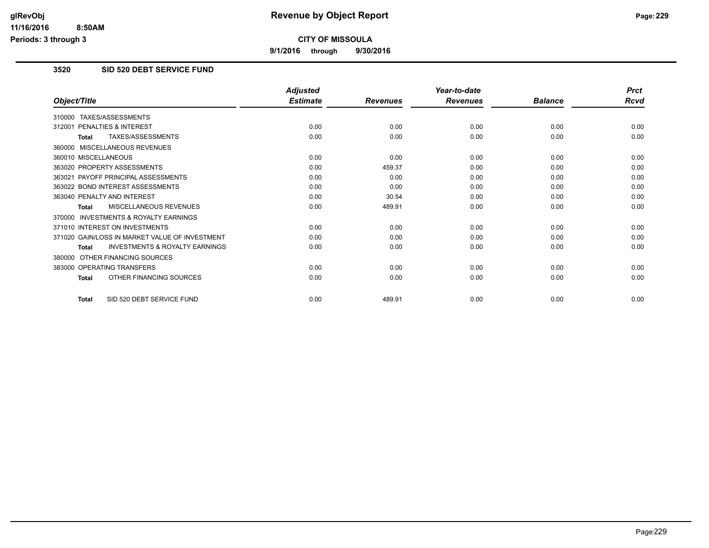**CITY OF MISSOULA**

**9/1/2016 through 9/30/2016**

## **3520 SID 520 DEBT SERVICE FUND**

|                                                     | <b>Adjusted</b> |                 | Year-to-date    |                | <b>Prct</b> |
|-----------------------------------------------------|-----------------|-----------------|-----------------|----------------|-------------|
| Object/Title                                        | <b>Estimate</b> | <b>Revenues</b> | <b>Revenues</b> | <b>Balance</b> | <b>Rcvd</b> |
| 310000 TAXES/ASSESSMENTS                            |                 |                 |                 |                |             |
| 312001 PENALTIES & INTEREST                         | 0.00            | 0.00            | 0.00            | 0.00           | 0.00        |
| TAXES/ASSESSMENTS<br><b>Total</b>                   | 0.00            | 0.00            | 0.00            | 0.00           | 0.00        |
| 360000 MISCELLANEOUS REVENUES                       |                 |                 |                 |                |             |
| 360010 MISCELLANEOUS                                | 0.00            | 0.00            | 0.00            | 0.00           | 0.00        |
| 363020 PROPERTY ASSESSMENTS                         | 0.00            | 459.37          | 0.00            | 0.00           | 0.00        |
| 363021 PAYOFF PRINCIPAL ASSESSMENTS                 | 0.00            | 0.00            | 0.00            | 0.00           | 0.00        |
| 363022 BOND INTEREST ASSESSMENTS                    | 0.00            | 0.00            | 0.00            | 0.00           | 0.00        |
| 363040 PENALTY AND INTEREST                         | 0.00            | 30.54           | 0.00            | 0.00           | 0.00        |
| MISCELLANEOUS REVENUES<br><b>Total</b>              | 0.00            | 489.91          | 0.00            | 0.00           | 0.00        |
| <b>INVESTMENTS &amp; ROYALTY EARNINGS</b><br>370000 |                 |                 |                 |                |             |
| 371010 INTEREST ON INVESTMENTS                      | 0.00            | 0.00            | 0.00            | 0.00           | 0.00        |
| 371020 GAIN/LOSS IN MARKET VALUE OF INVESTMENT      | 0.00            | 0.00            | 0.00            | 0.00           | 0.00        |
| <b>INVESTMENTS &amp; ROYALTY EARNINGS</b><br>Total  | 0.00            | 0.00            | 0.00            | 0.00           | 0.00        |
| OTHER FINANCING SOURCES<br>380000                   |                 |                 |                 |                |             |
| 383000 OPERATING TRANSFERS                          | 0.00            | 0.00            | 0.00            | 0.00           | 0.00        |
| OTHER FINANCING SOURCES<br><b>Total</b>             | 0.00            | 0.00            | 0.00            | 0.00           | 0.00        |
| SID 520 DEBT SERVICE FUND<br><b>Total</b>           | 0.00            | 489.91          | 0.00            | 0.00           | 0.00        |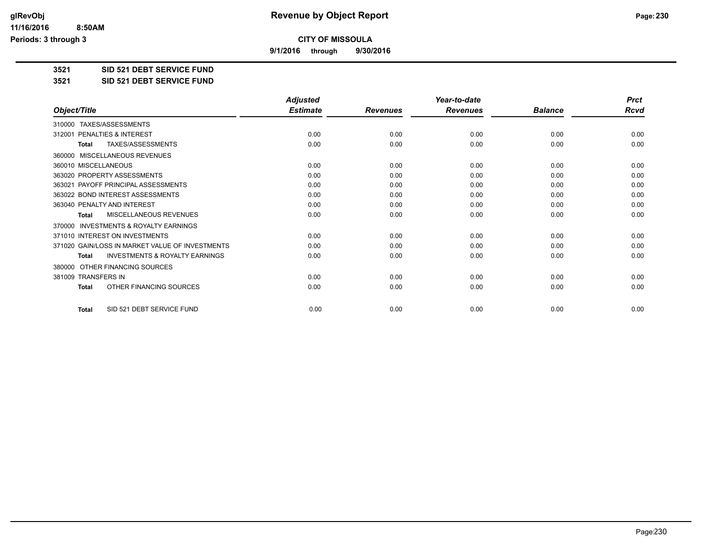**9/1/2016 through 9/30/2016**

**3521 SID 521 DEBT SERVICE FUND**

**3521 SID 521 DEBT SERVICE FUND**

|                                                           | <b>Adjusted</b> |                 | Year-to-date    |                | <b>Prct</b> |
|-----------------------------------------------------------|-----------------|-----------------|-----------------|----------------|-------------|
| Object/Title                                              | <b>Estimate</b> | <b>Revenues</b> | <b>Revenues</b> | <b>Balance</b> | <b>Rcvd</b> |
| <b>TAXES/ASSESSMENTS</b><br>310000                        |                 |                 |                 |                |             |
| PENALTIES & INTEREST<br>312001                            | 0.00            | 0.00            | 0.00            | 0.00           | 0.00        |
| TAXES/ASSESSMENTS<br>Total                                | 0.00            | 0.00            | 0.00            | 0.00           | 0.00        |
| MISCELLANEOUS REVENUES<br>360000                          |                 |                 |                 |                |             |
| 360010 MISCELLANEOUS                                      | 0.00            | 0.00            | 0.00            | 0.00           | 0.00        |
| 363020 PROPERTY ASSESSMENTS                               | 0.00            | 0.00            | 0.00            | 0.00           | 0.00        |
| 363021 PAYOFF PRINCIPAL ASSESSMENTS                       | 0.00            | 0.00            | 0.00            | 0.00           | 0.00        |
| 363022 BOND INTEREST ASSESSMENTS                          | 0.00            | 0.00            | 0.00            | 0.00           | 0.00        |
| 363040 PENALTY AND INTEREST                               | 0.00            | 0.00            | 0.00            | 0.00           | 0.00        |
| MISCELLANEOUS REVENUES<br><b>Total</b>                    | 0.00            | 0.00            | 0.00            | 0.00           | 0.00        |
| <b>INVESTMENTS &amp; ROYALTY EARNINGS</b><br>370000       |                 |                 |                 |                |             |
| 371010 INTEREST ON INVESTMENTS                            | 0.00            | 0.00            | 0.00            | 0.00           | 0.00        |
| 371020 GAIN/LOSS IN MARKET VALUE OF INVESTMENTS           | 0.00            | 0.00            | 0.00            | 0.00           | 0.00        |
| <b>INVESTMENTS &amp; ROYALTY EARNINGS</b><br><b>Total</b> | 0.00            | 0.00            | 0.00            | 0.00           | 0.00        |
| OTHER FINANCING SOURCES<br>380000                         |                 |                 |                 |                |             |
| 381009 TRANSFERS IN                                       | 0.00            | 0.00            | 0.00            | 0.00           | 0.00        |
| OTHER FINANCING SOURCES<br><b>Total</b>                   | 0.00            | 0.00            | 0.00            | 0.00           | 0.00        |
| SID 521 DEBT SERVICE FUND<br><b>Total</b>                 | 0.00            | 0.00            | 0.00            | 0.00           | 0.00        |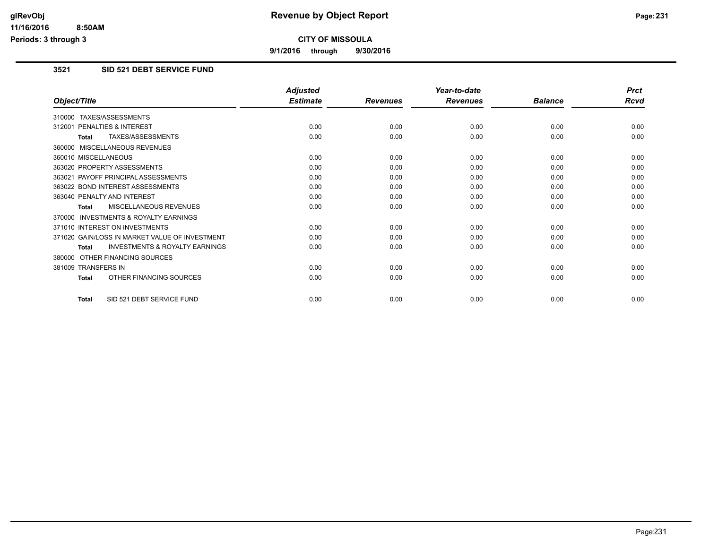**CITY OF MISSOULA**

**9/1/2016 through 9/30/2016**

### **3521 SID 521 DEBT SERVICE FUND**

|                                                           | <b>Adjusted</b> |                 | Year-to-date    |                | <b>Prct</b> |
|-----------------------------------------------------------|-----------------|-----------------|-----------------|----------------|-------------|
| Object/Title                                              | <b>Estimate</b> | <b>Revenues</b> | <b>Revenues</b> | <b>Balance</b> | <b>Rcvd</b> |
| 310000 TAXES/ASSESSMENTS                                  |                 |                 |                 |                |             |
| 312001 PENALTIES & INTEREST                               | 0.00            | 0.00            | 0.00            | 0.00           | 0.00        |
| TAXES/ASSESSMENTS<br><b>Total</b>                         | 0.00            | 0.00            | 0.00            | 0.00           | 0.00        |
| 360000 MISCELLANEOUS REVENUES                             |                 |                 |                 |                |             |
| 360010 MISCELLANEOUS                                      | 0.00            | 0.00            | 0.00            | 0.00           | 0.00        |
| 363020 PROPERTY ASSESSMENTS                               | 0.00            | 0.00            | 0.00            | 0.00           | 0.00        |
| 363021 PAYOFF PRINCIPAL ASSESSMENTS                       | 0.00            | 0.00            | 0.00            | 0.00           | 0.00        |
| 363022 BOND INTEREST ASSESSMENTS                          | 0.00            | 0.00            | 0.00            | 0.00           | 0.00        |
| 363040 PENALTY AND INTEREST                               | 0.00            | 0.00            | 0.00            | 0.00           | 0.00        |
| MISCELLANEOUS REVENUES<br><b>Total</b>                    | 0.00            | 0.00            | 0.00            | 0.00           | 0.00        |
| <b>INVESTMENTS &amp; ROYALTY EARNINGS</b><br>370000       |                 |                 |                 |                |             |
| 371010 INTEREST ON INVESTMENTS                            | 0.00            | 0.00            | 0.00            | 0.00           | 0.00        |
| 371020 GAIN/LOSS IN MARKET VALUE OF INVESTMENT            | 0.00            | 0.00            | 0.00            | 0.00           | 0.00        |
| <b>INVESTMENTS &amp; ROYALTY EARNINGS</b><br><b>Total</b> | 0.00            | 0.00            | 0.00            | 0.00           | 0.00        |
| 380000 OTHER FINANCING SOURCES                            |                 |                 |                 |                |             |
| 381009 TRANSFERS IN                                       | 0.00            | 0.00            | 0.00            | 0.00           | 0.00        |
| OTHER FINANCING SOURCES<br><b>Total</b>                   | 0.00            | 0.00            | 0.00            | 0.00           | 0.00        |
| SID 521 DEBT SERVICE FUND<br><b>Total</b>                 | 0.00            | 0.00            | 0.00            | 0.00           | 0.00        |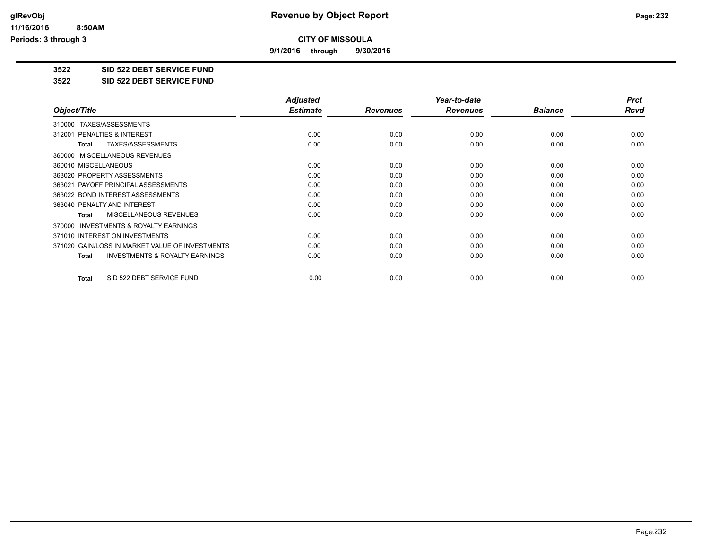**9/1/2016 through 9/30/2016**

**3522 SID 522 DEBT SERVICE FUND**

**3522 SID 522 DEBT SERVICE FUND**

|                                                           | <b>Adjusted</b> |                 | Year-to-date    |                | <b>Prct</b> |
|-----------------------------------------------------------|-----------------|-----------------|-----------------|----------------|-------------|
| Object/Title                                              | <b>Estimate</b> | <b>Revenues</b> | <b>Revenues</b> | <b>Balance</b> | Rcvd        |
| 310000 TAXES/ASSESSMENTS                                  |                 |                 |                 |                |             |
| <b>PENALTIES &amp; INTEREST</b><br>312001                 | 0.00            | 0.00            | 0.00            | 0.00           | 0.00        |
| TAXES/ASSESSMENTS<br>Total                                | 0.00            | 0.00            | 0.00            | 0.00           | 0.00        |
| 360000 MISCELLANEOUS REVENUES                             |                 |                 |                 |                |             |
| 360010 MISCELLANEOUS                                      | 0.00            | 0.00            | 0.00            | 0.00           | 0.00        |
| 363020 PROPERTY ASSESSMENTS                               | 0.00            | 0.00            | 0.00            | 0.00           | 0.00        |
| 363021 PAYOFF PRINCIPAL ASSESSMENTS                       | 0.00            | 0.00            | 0.00            | 0.00           | 0.00        |
| 363022 BOND INTEREST ASSESSMENTS                          | 0.00            | 0.00            | 0.00            | 0.00           | 0.00        |
| 363040 PENALTY AND INTEREST                               | 0.00            | 0.00            | 0.00            | 0.00           | 0.00        |
| <b>MISCELLANEOUS REVENUES</b><br><b>Total</b>             | 0.00            | 0.00            | 0.00            | 0.00           | 0.00        |
| INVESTMENTS & ROYALTY EARNINGS<br>370000                  |                 |                 |                 |                |             |
| 371010 INTEREST ON INVESTMENTS                            | 0.00            | 0.00            | 0.00            | 0.00           | 0.00        |
| 371020 GAIN/LOSS IN MARKET VALUE OF INVESTMENTS           | 0.00            | 0.00            | 0.00            | 0.00           | 0.00        |
| <b>INVESTMENTS &amp; ROYALTY EARNINGS</b><br><b>Total</b> | 0.00            | 0.00            | 0.00            | 0.00           | 0.00        |
| SID 522 DEBT SERVICE FUND<br><b>Total</b>                 | 0.00            | 0.00            | 0.00            | 0.00           | 0.00        |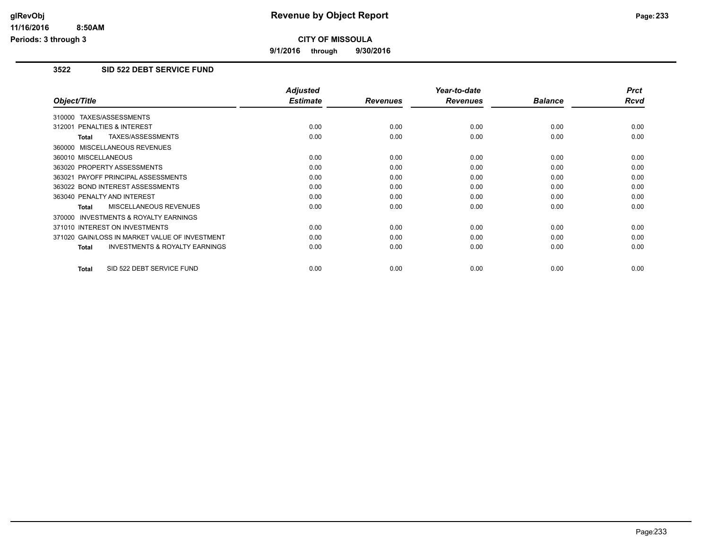**CITY OF MISSOULA**

**9/1/2016 through 9/30/2016**

#### **3522 SID 522 DEBT SERVICE FUND**

|                                                           | <b>Adjusted</b> |                 | Year-to-date    |                | <b>Prct</b> |
|-----------------------------------------------------------|-----------------|-----------------|-----------------|----------------|-------------|
| Object/Title                                              | <b>Estimate</b> | <b>Revenues</b> | <b>Revenues</b> | <b>Balance</b> | Rcvd        |
| 310000 TAXES/ASSESSMENTS                                  |                 |                 |                 |                |             |
| 312001 PENALTIES & INTEREST                               | 0.00            | 0.00            | 0.00            | 0.00           | 0.00        |
| TAXES/ASSESSMENTS<br><b>Total</b>                         | 0.00            | 0.00            | 0.00            | 0.00           | 0.00        |
| 360000 MISCELLANEOUS REVENUES                             |                 |                 |                 |                |             |
| 360010 MISCELLANEOUS                                      | 0.00            | 0.00            | 0.00            | 0.00           | 0.00        |
| 363020 PROPERTY ASSESSMENTS                               | 0.00            | 0.00            | 0.00            | 0.00           | 0.00        |
| 363021 PAYOFF PRINCIPAL ASSESSMENTS                       | 0.00            | 0.00            | 0.00            | 0.00           | 0.00        |
| 363022 BOND INTEREST ASSESSMENTS                          | 0.00            | 0.00            | 0.00            | 0.00           | 0.00        |
| 363040 PENALTY AND INTEREST                               | 0.00            | 0.00            | 0.00            | 0.00           | 0.00        |
| <b>MISCELLANEOUS REVENUES</b><br>Total                    | 0.00            | 0.00            | 0.00            | 0.00           | 0.00        |
| INVESTMENTS & ROYALTY EARNINGS<br>370000                  |                 |                 |                 |                |             |
| 371010 INTEREST ON INVESTMENTS                            | 0.00            | 0.00            | 0.00            | 0.00           | 0.00        |
| 371020 GAIN/LOSS IN MARKET VALUE OF INVESTMENT            | 0.00            | 0.00            | 0.00            | 0.00           | 0.00        |
| <b>INVESTMENTS &amp; ROYALTY EARNINGS</b><br><b>Total</b> | 0.00            | 0.00            | 0.00            | 0.00           | 0.00        |
| SID 522 DEBT SERVICE FUND<br><b>Total</b>                 | 0.00            | 0.00            | 0.00            | 0.00           | 0.00        |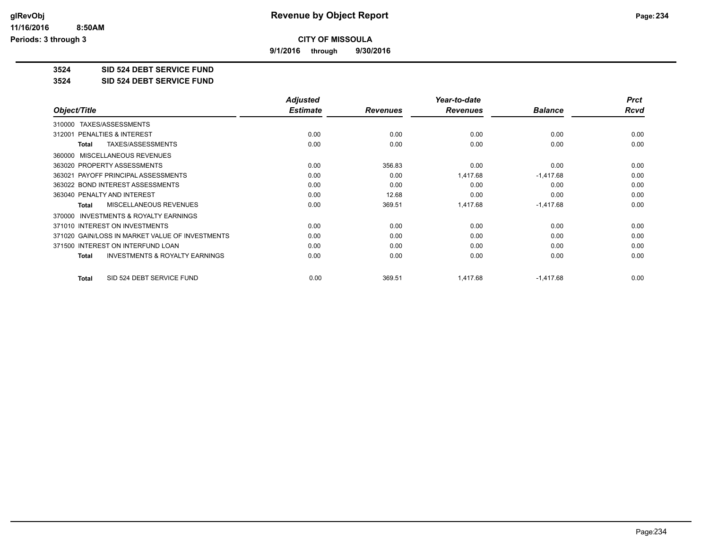**9/1/2016 through 9/30/2016**

**3524 SID 524 DEBT SERVICE FUND**

**3524 SID 524 DEBT SERVICE FUND**

|                                                           | <b>Adjusted</b> |                 | Year-to-date    |                | <b>Prct</b> |
|-----------------------------------------------------------|-----------------|-----------------|-----------------|----------------|-------------|
| Object/Title                                              | <b>Estimate</b> | <b>Revenues</b> | <b>Revenues</b> | <b>Balance</b> | Rcvd        |
| 310000 TAXES/ASSESSMENTS                                  |                 |                 |                 |                |             |
| <b>PENALTIES &amp; INTEREST</b><br>312001                 | 0.00            | 0.00            | 0.00            | 0.00           | 0.00        |
| TAXES/ASSESSMENTS<br><b>Total</b>                         | 0.00            | 0.00            | 0.00            | 0.00           | 0.00        |
| 360000 MISCELLANEOUS REVENUES                             |                 |                 |                 |                |             |
| 363020 PROPERTY ASSESSMENTS                               | 0.00            | 356.83          | 0.00            | 0.00           | 0.00        |
| 363021 PAYOFF PRINCIPAL ASSESSMENTS                       | 0.00            | 0.00            | 1,417.68        | $-1,417.68$    | 0.00        |
| 363022 BOND INTEREST ASSESSMENTS                          | 0.00            | 0.00            | 0.00            | 0.00           | 0.00        |
| 363040 PENALTY AND INTEREST                               | 0.00            | 12.68           | 0.00            | 0.00           | 0.00        |
| MISCELLANEOUS REVENUES<br><b>Total</b>                    | 0.00            | 369.51          | 1,417.68        | $-1,417.68$    | 0.00        |
| INVESTMENTS & ROYALTY EARNINGS<br>370000                  |                 |                 |                 |                |             |
| 371010 INTEREST ON INVESTMENTS                            | 0.00            | 0.00            | 0.00            | 0.00           | 0.00        |
| 371020 GAIN/LOSS IN MARKET VALUE OF INVESTMENTS           | 0.00            | 0.00            | 0.00            | 0.00           | 0.00        |
| 371500 INTEREST ON INTERFUND LOAN                         | 0.00            | 0.00            | 0.00            | 0.00           | 0.00        |
| <b>INVESTMENTS &amp; ROYALTY EARNINGS</b><br><b>Total</b> | 0.00            | 0.00            | 0.00            | 0.00           | 0.00        |
| SID 524 DEBT SERVICE FUND<br><b>Total</b>                 | 0.00            | 369.51          | 1,417.68        | $-1,417.68$    | 0.00        |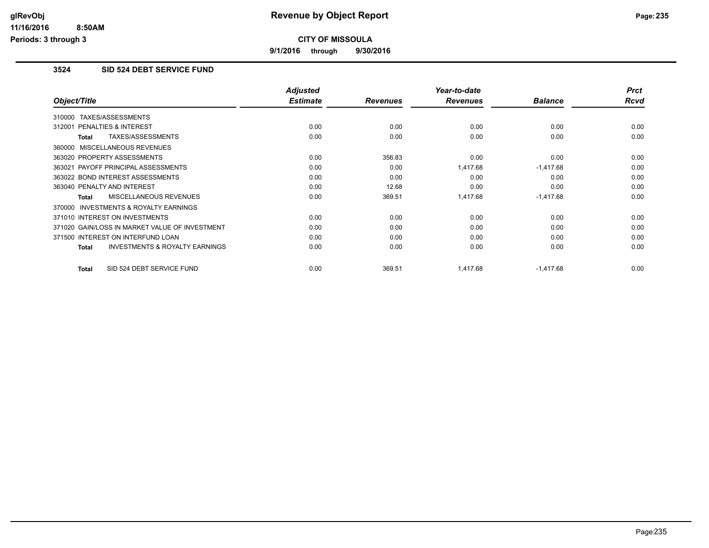**CITY OF MISSOULA**

**9/1/2016 through 9/30/2016**

#### **3524 SID 524 DEBT SERVICE FUND**

|                                                           | <b>Adjusted</b> |                 | Year-to-date    |                | <b>Prct</b> |
|-----------------------------------------------------------|-----------------|-----------------|-----------------|----------------|-------------|
| Object/Title                                              | <b>Estimate</b> | <b>Revenues</b> | <b>Revenues</b> | <b>Balance</b> | Rcvd        |
| TAXES/ASSESSMENTS<br>310000                               |                 |                 |                 |                |             |
| 312001 PENALTIES & INTEREST                               | 0.00            | 0.00            | 0.00            | 0.00           | 0.00        |
| TAXES/ASSESSMENTS<br>Total                                | 0.00            | 0.00            | 0.00            | 0.00           | 0.00        |
| 360000 MISCELLANEOUS REVENUES                             |                 |                 |                 |                |             |
| 363020 PROPERTY ASSESSMENTS                               | 0.00            | 356.83          | 0.00            | 0.00           | 0.00        |
| 363021 PAYOFF PRINCIPAL ASSESSMENTS                       | 0.00            | 0.00            | 1,417.68        | $-1,417.68$    | 0.00        |
| 363022 BOND INTEREST ASSESSMENTS                          | 0.00            | 0.00            | 0.00            | 0.00           | 0.00        |
| 363040 PENALTY AND INTEREST                               | 0.00            | 12.68           | 0.00            | 0.00           | 0.00        |
| <b>MISCELLANEOUS REVENUES</b><br><b>Total</b>             | 0.00            | 369.51          | 1,417.68        | $-1,417.68$    | 0.00        |
| INVESTMENTS & ROYALTY EARNINGS<br>370000                  |                 |                 |                 |                |             |
| 371010 INTEREST ON INVESTMENTS                            | 0.00            | 0.00            | 0.00            | 0.00           | 0.00        |
| 371020 GAIN/LOSS IN MARKET VALUE OF INVESTMENT            | 0.00            | 0.00            | 0.00            | 0.00           | 0.00        |
| 371500 INTEREST ON INTERFUND LOAN                         | 0.00            | 0.00            | 0.00            | 0.00           | 0.00        |
| <b>INVESTMENTS &amp; ROYALTY EARNINGS</b><br><b>Total</b> | 0.00            | 0.00            | 0.00            | 0.00           | 0.00        |
| SID 524 DEBT SERVICE FUND<br><b>Total</b>                 | 0.00            | 369.51          | 1.417.68        | $-1,417.68$    | 0.00        |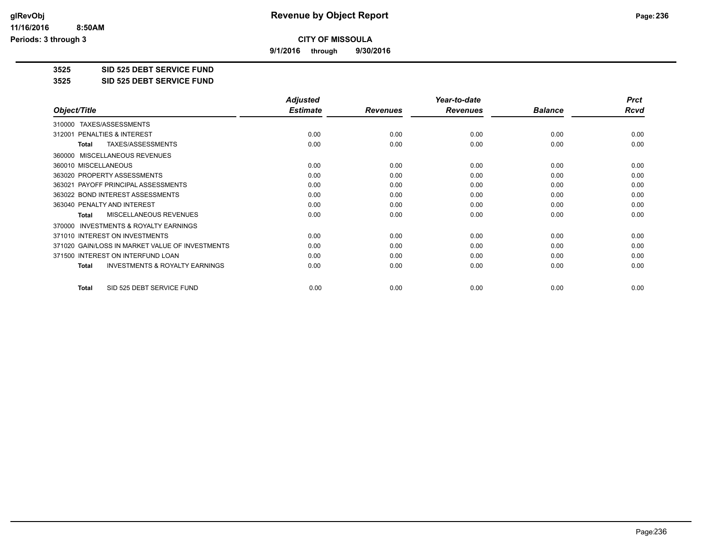**9/1/2016 through 9/30/2016**

**3525 SID 525 DEBT SERVICE FUND**

**3525 SID 525 DEBT SERVICE FUND**

|                                                           | <b>Adjusted</b> |                 | Year-to-date    |                | <b>Prct</b> |
|-----------------------------------------------------------|-----------------|-----------------|-----------------|----------------|-------------|
| Object/Title                                              | <b>Estimate</b> | <b>Revenues</b> | <b>Revenues</b> | <b>Balance</b> | <b>Rcvd</b> |
| TAXES/ASSESSMENTS<br>310000                               |                 |                 |                 |                |             |
| PENALTIES & INTEREST<br>312001                            | 0.00            | 0.00            | 0.00            | 0.00           | 0.00        |
| TAXES/ASSESSMENTS<br><b>Total</b>                         | 0.00            | 0.00            | 0.00            | 0.00           | 0.00        |
| MISCELLANEOUS REVENUES<br>360000                          |                 |                 |                 |                |             |
| 360010 MISCELLANEOUS                                      | 0.00            | 0.00            | 0.00            | 0.00           | 0.00        |
| 363020 PROPERTY ASSESSMENTS                               | 0.00            | 0.00            | 0.00            | 0.00           | 0.00        |
| 363021 PAYOFF PRINCIPAL ASSESSMENTS                       | 0.00            | 0.00            | 0.00            | 0.00           | 0.00        |
| 363022 BOND INTEREST ASSESSMENTS                          | 0.00            | 0.00            | 0.00            | 0.00           | 0.00        |
| 363040 PENALTY AND INTEREST                               | 0.00            | 0.00            | 0.00            | 0.00           | 0.00        |
| <b>MISCELLANEOUS REVENUES</b><br>Total                    | 0.00            | 0.00            | 0.00            | 0.00           | 0.00        |
| <b>INVESTMENTS &amp; ROYALTY EARNINGS</b><br>370000       |                 |                 |                 |                |             |
| 371010 INTEREST ON INVESTMENTS                            | 0.00            | 0.00            | 0.00            | 0.00           | 0.00        |
| 371020 GAIN/LOSS IN MARKET VALUE OF INVESTMENTS           | 0.00            | 0.00            | 0.00            | 0.00           | 0.00        |
| 371500 INTEREST ON INTERFUND LOAN                         | 0.00            | 0.00            | 0.00            | 0.00           | 0.00        |
| <b>INVESTMENTS &amp; ROYALTY EARNINGS</b><br><b>Total</b> | 0.00            | 0.00            | 0.00            | 0.00           | 0.00        |
| SID 525 DEBT SERVICE FUND<br>Total                        | 0.00            | 0.00            | 0.00            | 0.00           | 0.00        |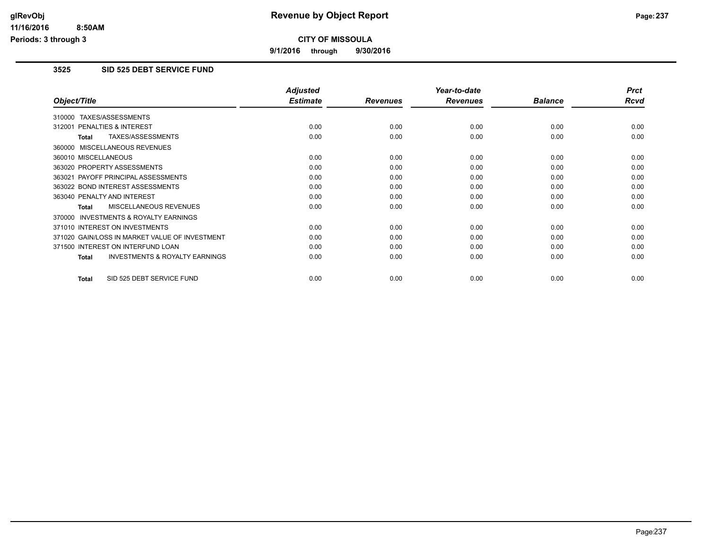**CITY OF MISSOULA**

**9/1/2016 through 9/30/2016**

## **3525 SID 525 DEBT SERVICE FUND**

|                                                           | <b>Adjusted</b> |                 | Year-to-date    |                | <b>Prct</b> |
|-----------------------------------------------------------|-----------------|-----------------|-----------------|----------------|-------------|
| Object/Title                                              | <b>Estimate</b> | <b>Revenues</b> | <b>Revenues</b> | <b>Balance</b> | <b>Rcvd</b> |
| TAXES/ASSESSMENTS<br>310000                               |                 |                 |                 |                |             |
| <b>PENALTIES &amp; INTEREST</b><br>312001                 | 0.00            | 0.00            | 0.00            | 0.00           | 0.00        |
| TAXES/ASSESSMENTS<br>Total                                | 0.00            | 0.00            | 0.00            | 0.00           | 0.00        |
| 360000 MISCELLANEOUS REVENUES                             |                 |                 |                 |                |             |
| 360010 MISCELLANEOUS                                      | 0.00            | 0.00            | 0.00            | 0.00           | 0.00        |
| 363020 PROPERTY ASSESSMENTS                               | 0.00            | 0.00            | 0.00            | 0.00           | 0.00        |
| 363021 PAYOFF PRINCIPAL ASSESSMENTS                       | 0.00            | 0.00            | 0.00            | 0.00           | 0.00        |
| 363022 BOND INTEREST ASSESSMENTS                          | 0.00            | 0.00            | 0.00            | 0.00           | 0.00        |
| 363040 PENALTY AND INTEREST                               | 0.00            | 0.00            | 0.00            | 0.00           | 0.00        |
| MISCELLANEOUS REVENUES<br>Total                           | 0.00            | 0.00            | 0.00            | 0.00           | 0.00        |
| 370000 INVESTMENTS & ROYALTY EARNINGS                     |                 |                 |                 |                |             |
| 371010 INTEREST ON INVESTMENTS                            | 0.00            | 0.00            | 0.00            | 0.00           | 0.00        |
| 371020 GAIN/LOSS IN MARKET VALUE OF INVESTMENT            | 0.00            | 0.00            | 0.00            | 0.00           | 0.00        |
| 371500 INTEREST ON INTERFUND LOAN                         | 0.00            | 0.00            | 0.00            | 0.00           | 0.00        |
| <b>INVESTMENTS &amp; ROYALTY EARNINGS</b><br><b>Total</b> | 0.00            | 0.00            | 0.00            | 0.00           | 0.00        |
| SID 525 DEBT SERVICE FUND<br>Total                        | 0.00            | 0.00            | 0.00            | 0.00           | 0.00        |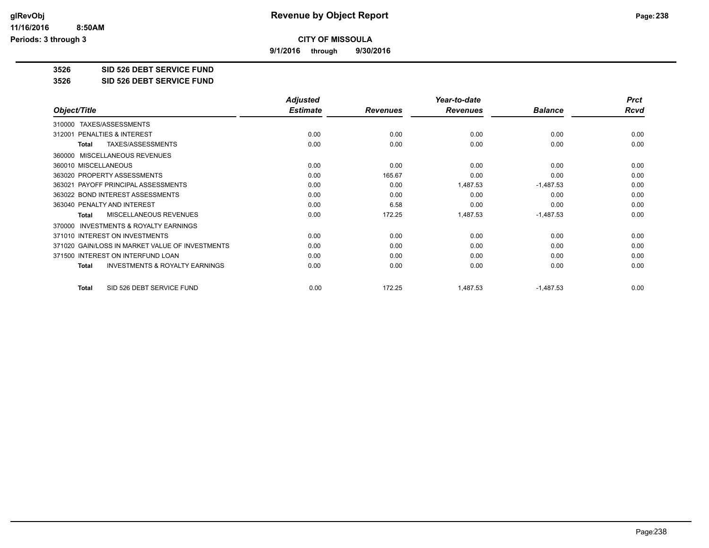**CITY OF MISSOULA**

**9/1/2016 through 9/30/2016**

**3526 SID 526 DEBT SERVICE FUND**

**3526 SID 526 DEBT SERVICE FUND**

|                                                           | <b>Adjusted</b> |                 | Year-to-date    |                | <b>Prct</b> |
|-----------------------------------------------------------|-----------------|-----------------|-----------------|----------------|-------------|
| Object/Title                                              | <b>Estimate</b> | <b>Revenues</b> | <b>Revenues</b> | <b>Balance</b> | Rcvd        |
| TAXES/ASSESSMENTS<br>310000                               |                 |                 |                 |                |             |
| PENALTIES & INTEREST<br>312001                            | 0.00            | 0.00            | 0.00            | 0.00           | 0.00        |
| <b>TAXES/ASSESSMENTS</b><br><b>Total</b>                  | 0.00            | 0.00            | 0.00            | 0.00           | 0.00        |
| MISCELLANEOUS REVENUES<br>360000                          |                 |                 |                 |                |             |
| 360010 MISCELLANEOUS                                      | 0.00            | 0.00            | 0.00            | 0.00           | 0.00        |
| 363020 PROPERTY ASSESSMENTS                               | 0.00            | 165.67          | 0.00            | 0.00           | 0.00        |
| 363021 PAYOFF PRINCIPAL ASSESSMENTS                       | 0.00            | 0.00            | 1,487.53        | $-1,487.53$    | 0.00        |
| 363022 BOND INTEREST ASSESSMENTS                          | 0.00            | 0.00            | 0.00            | 0.00           | 0.00        |
| 363040 PENALTY AND INTEREST                               | 0.00            | 6.58            | 0.00            | 0.00           | 0.00        |
| MISCELLANEOUS REVENUES<br><b>Total</b>                    | 0.00            | 172.25          | 1,487.53        | $-1,487.53$    | 0.00        |
| <b>INVESTMENTS &amp; ROYALTY EARNINGS</b><br>370000       |                 |                 |                 |                |             |
| 371010 INTEREST ON INVESTMENTS                            | 0.00            | 0.00            | 0.00            | 0.00           | 0.00        |
| 371020 GAIN/LOSS IN MARKET VALUE OF INVESTMENTS           | 0.00            | 0.00            | 0.00            | 0.00           | 0.00        |
| 371500 INTEREST ON INTERFUND LOAN                         | 0.00            | 0.00            | 0.00            | 0.00           | 0.00        |
| <b>INVESTMENTS &amp; ROYALTY EARNINGS</b><br><b>Total</b> | 0.00            | 0.00            | 0.00            | 0.00           | 0.00        |
| SID 526 DEBT SERVICE FUND<br>Total                        | 0.00            | 172.25          | 1,487.53        | $-1,487.53$    | 0.00        |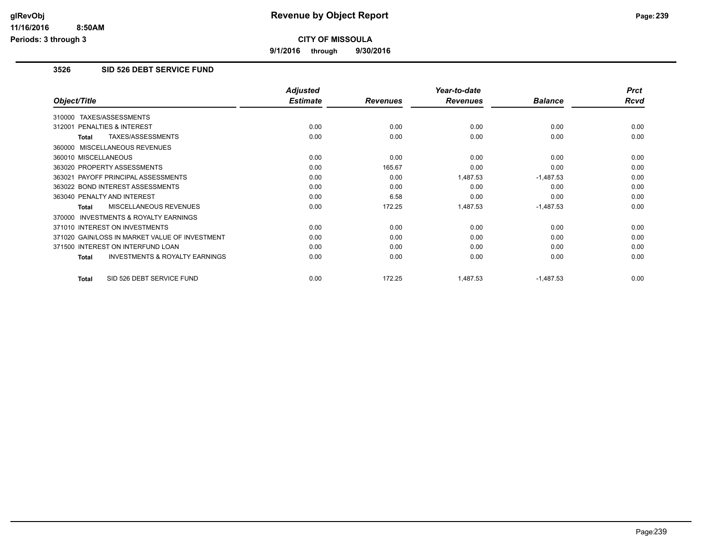**CITY OF MISSOULA**

**9/1/2016 through 9/30/2016**

### **3526 SID 526 DEBT SERVICE FUND**

|                                                           | <b>Adjusted</b> |                 | Year-to-date    |                | <b>Prct</b> |
|-----------------------------------------------------------|-----------------|-----------------|-----------------|----------------|-------------|
| Object/Title                                              | <b>Estimate</b> | <b>Revenues</b> | <b>Revenues</b> | <b>Balance</b> | Rcvd        |
| TAXES/ASSESSMENTS<br>310000                               |                 |                 |                 |                |             |
| 312001 PENALTIES & INTEREST                               | 0.00            | 0.00            | 0.00            | 0.00           | 0.00        |
| TAXES/ASSESSMENTS<br><b>Total</b>                         | 0.00            | 0.00            | 0.00            | 0.00           | 0.00        |
| 360000 MISCELLANEOUS REVENUES                             |                 |                 |                 |                |             |
| 360010 MISCELLANEOUS                                      | 0.00            | 0.00            | 0.00            | 0.00           | 0.00        |
| 363020 PROPERTY ASSESSMENTS                               | 0.00            | 165.67          | 0.00            | 0.00           | 0.00        |
| 363021 PAYOFF PRINCIPAL ASSESSMENTS                       | 0.00            | 0.00            | 1,487.53        | $-1,487.53$    | 0.00        |
| 363022 BOND INTEREST ASSESSMENTS                          | 0.00            | 0.00            | 0.00            | 0.00           | 0.00        |
| 363040 PENALTY AND INTEREST                               | 0.00            | 6.58            | 0.00            | 0.00           | 0.00        |
| <b>MISCELLANEOUS REVENUES</b><br><b>Total</b>             | 0.00            | 172.25          | 1,487.53        | $-1,487.53$    | 0.00        |
| 370000 INVESTMENTS & ROYALTY EARNINGS                     |                 |                 |                 |                |             |
| 371010 INTEREST ON INVESTMENTS                            | 0.00            | 0.00            | 0.00            | 0.00           | 0.00        |
| 371020 GAIN/LOSS IN MARKET VALUE OF INVESTMENT            | 0.00            | 0.00            | 0.00            | 0.00           | 0.00        |
| 371500 INTEREST ON INTERFUND LOAN                         | 0.00            | 0.00            | 0.00            | 0.00           | 0.00        |
| <b>INVESTMENTS &amp; ROYALTY EARNINGS</b><br><b>Total</b> | 0.00            | 0.00            | 0.00            | 0.00           | 0.00        |
| SID 526 DEBT SERVICE FUND<br>Total                        | 0.00            | 172.25          | 1,487.53        | $-1,487.53$    | 0.00        |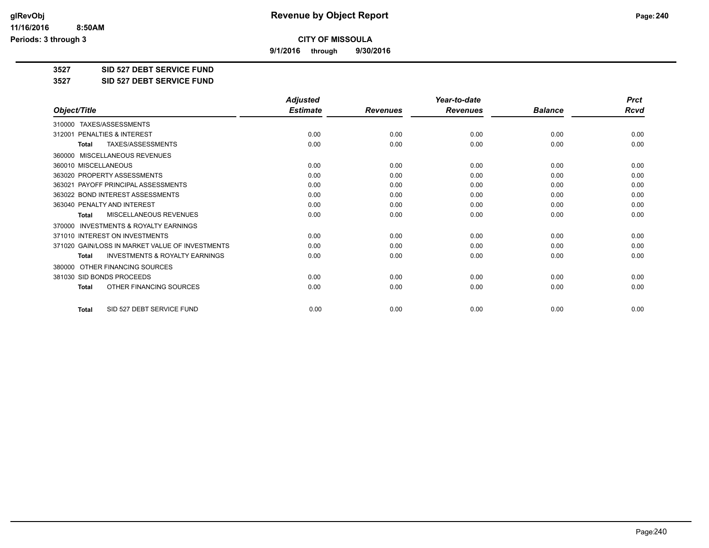**glRevObj Revenue by Object Report Page:240** 

**11/16/2016 8:50AM Periods: 3 through 3**

**CITY OF MISSOULA**

**9/1/2016 through 9/30/2016**

**3527 SID 527 DEBT SERVICE FUND**

**3527 SID 527 DEBT SERVICE FUND**

|                                                           | <b>Adjusted</b> |                 | Year-to-date    |                | <b>Prct</b> |
|-----------------------------------------------------------|-----------------|-----------------|-----------------|----------------|-------------|
| Object/Title                                              | <b>Estimate</b> | <b>Revenues</b> | <b>Revenues</b> | <b>Balance</b> | <b>Rcvd</b> |
| <b>TAXES/ASSESSMENTS</b><br>310000                        |                 |                 |                 |                |             |
| PENALTIES & INTEREST<br>312001                            | 0.00            | 0.00            | 0.00            | 0.00           | 0.00        |
| TAXES/ASSESSMENTS<br>Total                                | 0.00            | 0.00            | 0.00            | 0.00           | 0.00        |
| MISCELLANEOUS REVENUES<br>360000                          |                 |                 |                 |                |             |
| 360010 MISCELLANEOUS                                      | 0.00            | 0.00            | 0.00            | 0.00           | 0.00        |
| 363020 PROPERTY ASSESSMENTS                               | 0.00            | 0.00            | 0.00            | 0.00           | 0.00        |
| 363021 PAYOFF PRINCIPAL ASSESSMENTS                       | 0.00            | 0.00            | 0.00            | 0.00           | 0.00        |
| 363022 BOND INTEREST ASSESSMENTS                          | 0.00            | 0.00            | 0.00            | 0.00           | 0.00        |
| 363040 PENALTY AND INTEREST                               | 0.00            | 0.00            | 0.00            | 0.00           | 0.00        |
| MISCELLANEOUS REVENUES<br><b>Total</b>                    | 0.00            | 0.00            | 0.00            | 0.00           | 0.00        |
| <b>INVESTMENTS &amp; ROYALTY EARNINGS</b><br>370000       |                 |                 |                 |                |             |
| 371010 INTEREST ON INVESTMENTS                            | 0.00            | 0.00            | 0.00            | 0.00           | 0.00        |
| 371020 GAIN/LOSS IN MARKET VALUE OF INVESTMENTS           | 0.00            | 0.00            | 0.00            | 0.00           | 0.00        |
| <b>INVESTMENTS &amp; ROYALTY EARNINGS</b><br><b>Total</b> | 0.00            | 0.00            | 0.00            | 0.00           | 0.00        |
| OTHER FINANCING SOURCES<br>380000                         |                 |                 |                 |                |             |
| 381030 SID BONDS PROCEEDS                                 | 0.00            | 0.00            | 0.00            | 0.00           | 0.00        |
| OTHER FINANCING SOURCES<br><b>Total</b>                   | 0.00            | 0.00            | 0.00            | 0.00           | 0.00        |
| SID 527 DEBT SERVICE FUND<br><b>Total</b>                 | 0.00            | 0.00            | 0.00            | 0.00           | 0.00        |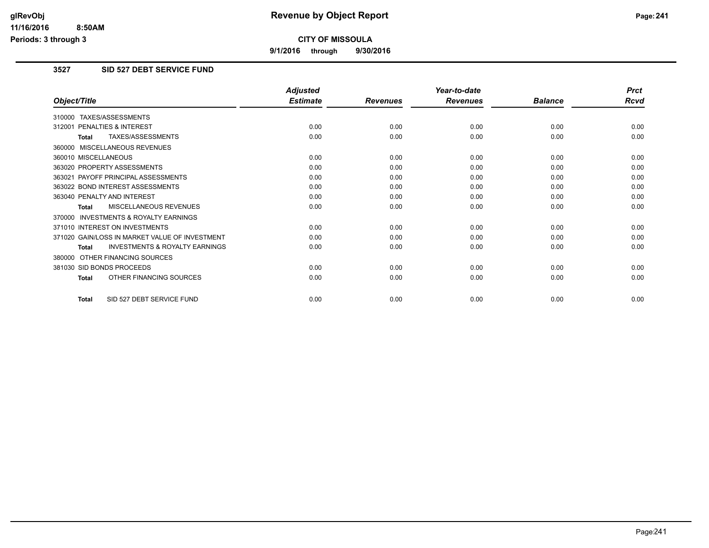**CITY OF MISSOULA**

**9/1/2016 through 9/30/2016**

### **3527 SID 527 DEBT SERVICE FUND**

|                                                           | <b>Adjusted</b> |                 | Year-to-date    |                | <b>Prct</b> |
|-----------------------------------------------------------|-----------------|-----------------|-----------------|----------------|-------------|
| Object/Title                                              | <b>Estimate</b> | <b>Revenues</b> | <b>Revenues</b> | <b>Balance</b> | Rcvd        |
| 310000 TAXES/ASSESSMENTS                                  |                 |                 |                 |                |             |
| PENALTIES & INTEREST<br>312001                            | 0.00            | 0.00            | 0.00            | 0.00           | 0.00        |
| TAXES/ASSESSMENTS<br><b>Total</b>                         | 0.00            | 0.00            | 0.00            | 0.00           | 0.00        |
| 360000 MISCELLANEOUS REVENUES                             |                 |                 |                 |                |             |
| 360010 MISCELLANEOUS                                      | 0.00            | 0.00            | 0.00            | 0.00           | 0.00        |
| 363020 PROPERTY ASSESSMENTS                               | 0.00            | 0.00            | 0.00            | 0.00           | 0.00        |
| 363021 PAYOFF PRINCIPAL ASSESSMENTS                       | 0.00            | 0.00            | 0.00            | 0.00           | 0.00        |
| 363022 BOND INTEREST ASSESSMENTS                          | 0.00            | 0.00            | 0.00            | 0.00           | 0.00        |
| 363040 PENALTY AND INTEREST                               | 0.00            | 0.00            | 0.00            | 0.00           | 0.00        |
| MISCELLANEOUS REVENUES<br><b>Total</b>                    | 0.00            | 0.00            | 0.00            | 0.00           | 0.00        |
| <b>INVESTMENTS &amp; ROYALTY EARNINGS</b><br>370000       |                 |                 |                 |                |             |
| 371010 INTEREST ON INVESTMENTS                            | 0.00            | 0.00            | 0.00            | 0.00           | 0.00        |
| 371020 GAIN/LOSS IN MARKET VALUE OF INVESTMENT            | 0.00            | 0.00            | 0.00            | 0.00           | 0.00        |
| <b>INVESTMENTS &amp; ROYALTY EARNINGS</b><br><b>Total</b> | 0.00            | 0.00            | 0.00            | 0.00           | 0.00        |
| OTHER FINANCING SOURCES<br>380000                         |                 |                 |                 |                |             |
| 381030 SID BONDS PROCEEDS                                 | 0.00            | 0.00            | 0.00            | 0.00           | 0.00        |
| OTHER FINANCING SOURCES<br><b>Total</b>                   | 0.00            | 0.00            | 0.00            | 0.00           | 0.00        |
| SID 527 DEBT SERVICE FUND<br><b>Total</b>                 | 0.00            | 0.00            | 0.00            | 0.00           | 0.00        |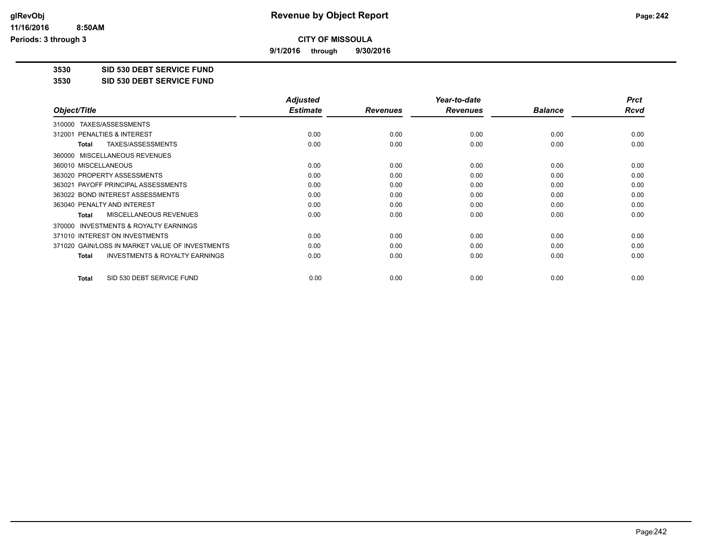**CITY OF MISSOULA**

**9/1/2016 through 9/30/2016**

**3530 SID 530 DEBT SERVICE FUND**

 **8:50AM**

**3530 SID 530 DEBT SERVICE FUND**

|                                                           | <b>Adjusted</b> |                 | Year-to-date    |                | <b>Prct</b> |
|-----------------------------------------------------------|-----------------|-----------------|-----------------|----------------|-------------|
| Object/Title                                              | <b>Estimate</b> | <b>Revenues</b> | <b>Revenues</b> | <b>Balance</b> | Rcvd        |
| 310000 TAXES/ASSESSMENTS                                  |                 |                 |                 |                |             |
| 312001 PENALTIES & INTEREST                               | 0.00            | 0.00            | 0.00            | 0.00           | 0.00        |
| TAXES/ASSESSMENTS<br><b>Total</b>                         | 0.00            | 0.00            | 0.00            | 0.00           | 0.00        |
| MISCELLANEOUS REVENUES<br>360000                          |                 |                 |                 |                |             |
| 360010 MISCELLANEOUS                                      | 0.00            | 0.00            | 0.00            | 0.00           | 0.00        |
| 363020 PROPERTY ASSESSMENTS                               | 0.00            | 0.00            | 0.00            | 0.00           | 0.00        |
| 363021 PAYOFF PRINCIPAL ASSESSMENTS                       | 0.00            | 0.00            | 0.00            | 0.00           | 0.00        |
| 363022 BOND INTEREST ASSESSMENTS                          | 0.00            | 0.00            | 0.00            | 0.00           | 0.00        |
| 363040 PENALTY AND INTEREST                               | 0.00            | 0.00            | 0.00            | 0.00           | 0.00        |
| <b>MISCELLANEOUS REVENUES</b><br>Total                    | 0.00            | 0.00            | 0.00            | 0.00           | 0.00        |
| 370000 INVESTMENTS & ROYALTY EARNINGS                     |                 |                 |                 |                |             |
| 371010 INTEREST ON INVESTMENTS                            | 0.00            | 0.00            | 0.00            | 0.00           | 0.00        |
| 371020 GAIN/LOSS IN MARKET VALUE OF INVESTMENTS           | 0.00            | 0.00            | 0.00            | 0.00           | 0.00        |
| <b>INVESTMENTS &amp; ROYALTY EARNINGS</b><br><b>Total</b> | 0.00            | 0.00            | 0.00            | 0.00           | 0.00        |
| SID 530 DEBT SERVICE FUND<br><b>Total</b>                 | 0.00            | 0.00            | 0.00            | 0.00           | 0.00        |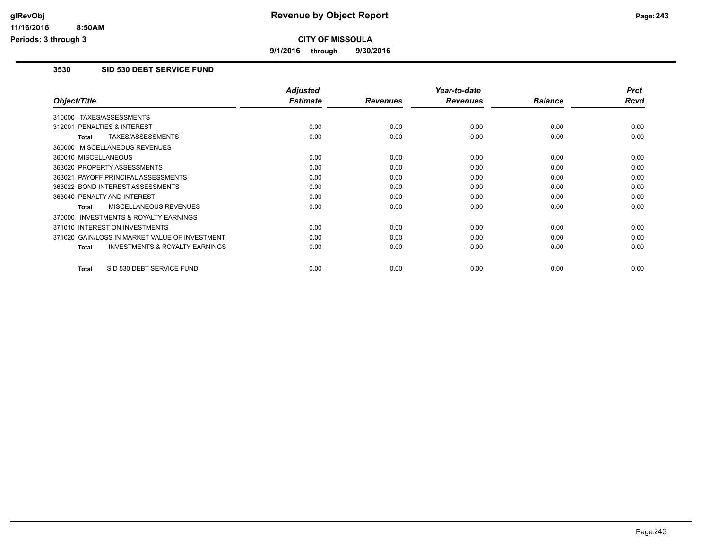**CITY OF MISSOULA**

**9/1/2016 through 9/30/2016**

### **3530 SID 530 DEBT SERVICE FUND**

|                                                           | <b>Adjusted</b> |                 | Year-to-date    |                | <b>Prct</b> |
|-----------------------------------------------------------|-----------------|-----------------|-----------------|----------------|-------------|
| Object/Title                                              | <b>Estimate</b> | <b>Revenues</b> | <b>Revenues</b> | <b>Balance</b> | <b>Rcvd</b> |
| 310000 TAXES/ASSESSMENTS                                  |                 |                 |                 |                |             |
| 312001 PENALTIES & INTEREST                               | 0.00            | 0.00            | 0.00            | 0.00           | 0.00        |
| <b>TAXES/ASSESSMENTS</b><br><b>Total</b>                  | 0.00            | 0.00            | 0.00            | 0.00           | 0.00        |
| 360000 MISCELLANEOUS REVENUES                             |                 |                 |                 |                |             |
| 360010 MISCELLANEOUS                                      | 0.00            | 0.00            | 0.00            | 0.00           | 0.00        |
| 363020 PROPERTY ASSESSMENTS                               | 0.00            | 0.00            | 0.00            | 0.00           | 0.00        |
| 363021 PAYOFF PRINCIPAL ASSESSMENTS                       | 0.00            | 0.00            | 0.00            | 0.00           | 0.00        |
| 363022 BOND INTEREST ASSESSMENTS                          | 0.00            | 0.00            | 0.00            | 0.00           | 0.00        |
| 363040 PENALTY AND INTEREST                               | 0.00            | 0.00            | 0.00            | 0.00           | 0.00        |
| MISCELLANEOUS REVENUES<br>Total                           | 0.00            | 0.00            | 0.00            | 0.00           | 0.00        |
| <b>INVESTMENTS &amp; ROYALTY EARNINGS</b><br>370000       |                 |                 |                 |                |             |
| 371010 INTEREST ON INVESTMENTS                            | 0.00            | 0.00            | 0.00            | 0.00           | 0.00        |
| 371020 GAIN/LOSS IN MARKET VALUE OF INVESTMENT            | 0.00            | 0.00            | 0.00            | 0.00           | 0.00        |
| <b>INVESTMENTS &amp; ROYALTY EARNINGS</b><br><b>Total</b> | 0.00            | 0.00            | 0.00            | 0.00           | 0.00        |
|                                                           |                 |                 |                 |                |             |
| SID 530 DEBT SERVICE FUND<br><b>Total</b>                 | 0.00            | 0.00            | 0.00            | 0.00           | 0.00        |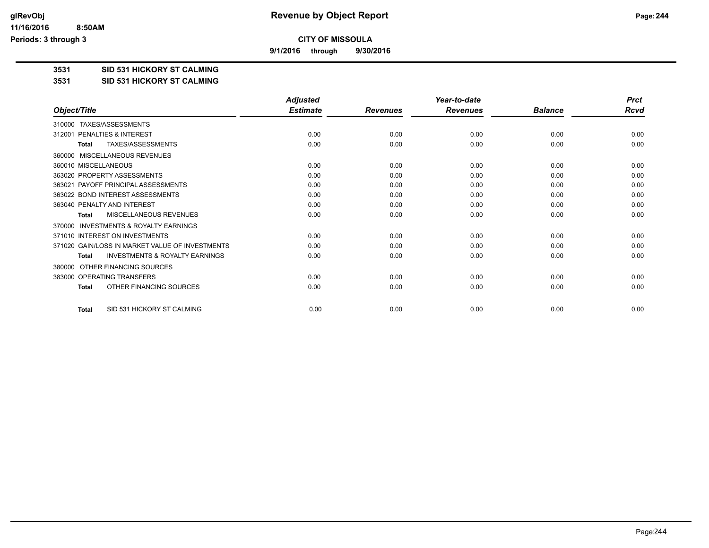**9/1/2016 through 9/30/2016**

**3531 SID 531 HICKORY ST CALMING**

**3531 SID 531 HICKORY ST CALMING**

|                                                           | <b>Adjusted</b> |                 | Year-to-date    |                | <b>Prct</b><br>Rcvd |
|-----------------------------------------------------------|-----------------|-----------------|-----------------|----------------|---------------------|
| Object/Title                                              | <b>Estimate</b> | <b>Revenues</b> | <b>Revenues</b> | <b>Balance</b> |                     |
| TAXES/ASSESSMENTS<br>310000                               |                 |                 |                 |                |                     |
| PENALTIES & INTEREST<br>312001                            | 0.00            | 0.00            | 0.00            | 0.00           | 0.00                |
| TAXES/ASSESSMENTS<br>Total                                | 0.00            | 0.00            | 0.00            | 0.00           | 0.00                |
| MISCELLANEOUS REVENUES<br>360000                          |                 |                 |                 |                |                     |
| 360010 MISCELLANEOUS                                      | 0.00            | 0.00            | 0.00            | 0.00           | 0.00                |
| 363020 PROPERTY ASSESSMENTS                               | 0.00            | 0.00            | 0.00            | 0.00           | 0.00                |
| 363021 PAYOFF PRINCIPAL ASSESSMENTS                       | 0.00            | 0.00            | 0.00            | 0.00           | 0.00                |
| 363022 BOND INTEREST ASSESSMENTS                          | 0.00            | 0.00            | 0.00            | 0.00           | 0.00                |
| 363040 PENALTY AND INTEREST                               | 0.00            | 0.00            | 0.00            | 0.00           | 0.00                |
| <b>MISCELLANEOUS REVENUES</b><br>Total                    | 0.00            | 0.00            | 0.00            | 0.00           | 0.00                |
| INVESTMENTS & ROYALTY EARNINGS<br>370000                  |                 |                 |                 |                |                     |
| 371010 INTEREST ON INVESTMENTS                            | 0.00            | 0.00            | 0.00            | 0.00           | 0.00                |
| 371020 GAIN/LOSS IN MARKET VALUE OF INVESTMENTS           | 0.00            | 0.00            | 0.00            | 0.00           | 0.00                |
| <b>INVESTMENTS &amp; ROYALTY EARNINGS</b><br><b>Total</b> | 0.00            | 0.00            | 0.00            | 0.00           | 0.00                |
| OTHER FINANCING SOURCES<br>380000                         |                 |                 |                 |                |                     |
| 383000 OPERATING TRANSFERS                                | 0.00            | 0.00            | 0.00            | 0.00           | 0.00                |
| OTHER FINANCING SOURCES<br><b>Total</b>                   | 0.00            | 0.00            | 0.00            | 0.00           | 0.00                |
| SID 531 HICKORY ST CALMING<br><b>Total</b>                | 0.00            | 0.00            | 0.00            | 0.00           | 0.00                |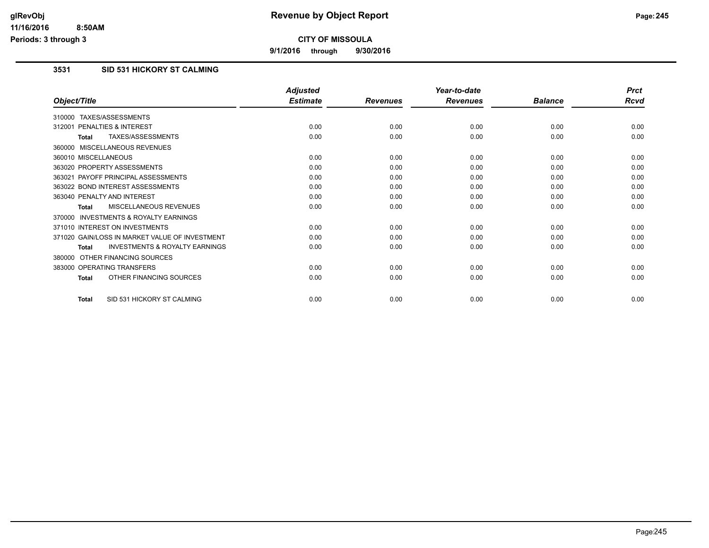**9/1/2016 through 9/30/2016**

## **3531 SID 531 HICKORY ST CALMING**

|                                                           | <b>Adjusted</b> |                 | Year-to-date    |                | <b>Prct</b> |
|-----------------------------------------------------------|-----------------|-----------------|-----------------|----------------|-------------|
| Object/Title                                              | <b>Estimate</b> | <b>Revenues</b> | <b>Revenues</b> | <b>Balance</b> | <b>Rcvd</b> |
| 310000 TAXES/ASSESSMENTS                                  |                 |                 |                 |                |             |
| PENALTIES & INTEREST<br>312001                            | 0.00            | 0.00            | 0.00            | 0.00           | 0.00        |
| TAXES/ASSESSMENTS<br><b>Total</b>                         | 0.00            | 0.00            | 0.00            | 0.00           | 0.00        |
| 360000 MISCELLANEOUS REVENUES                             |                 |                 |                 |                |             |
| 360010 MISCELLANEOUS                                      | 0.00            | 0.00            | 0.00            | 0.00           | 0.00        |
| 363020 PROPERTY ASSESSMENTS                               | 0.00            | 0.00            | 0.00            | 0.00           | 0.00        |
| 363021 PAYOFF PRINCIPAL ASSESSMENTS                       | 0.00            | 0.00            | 0.00            | 0.00           | 0.00        |
| 363022 BOND INTEREST ASSESSMENTS                          | 0.00            | 0.00            | 0.00            | 0.00           | 0.00        |
| 363040 PENALTY AND INTEREST                               | 0.00            | 0.00            | 0.00            | 0.00           | 0.00        |
| <b>MISCELLANEOUS REVENUES</b><br><b>Total</b>             | 0.00            | 0.00            | 0.00            | 0.00           | 0.00        |
| 370000 INVESTMENTS & ROYALTY EARNINGS                     |                 |                 |                 |                |             |
| 371010 INTEREST ON INVESTMENTS                            | 0.00            | 0.00            | 0.00            | 0.00           | 0.00        |
| 371020 GAIN/LOSS IN MARKET VALUE OF INVESTMENT            | 0.00            | 0.00            | 0.00            | 0.00           | 0.00        |
| <b>INVESTMENTS &amp; ROYALTY EARNINGS</b><br><b>Total</b> | 0.00            | 0.00            | 0.00            | 0.00           | 0.00        |
| 380000 OTHER FINANCING SOURCES                            |                 |                 |                 |                |             |
| 383000 OPERATING TRANSFERS                                | 0.00            | 0.00            | 0.00            | 0.00           | 0.00        |
| OTHER FINANCING SOURCES<br><b>Total</b>                   | 0.00            | 0.00            | 0.00            | 0.00           | 0.00        |
| SID 531 HICKORY ST CALMING<br><b>Total</b>                | 0.00            | 0.00            | 0.00            | 0.00           | 0.00        |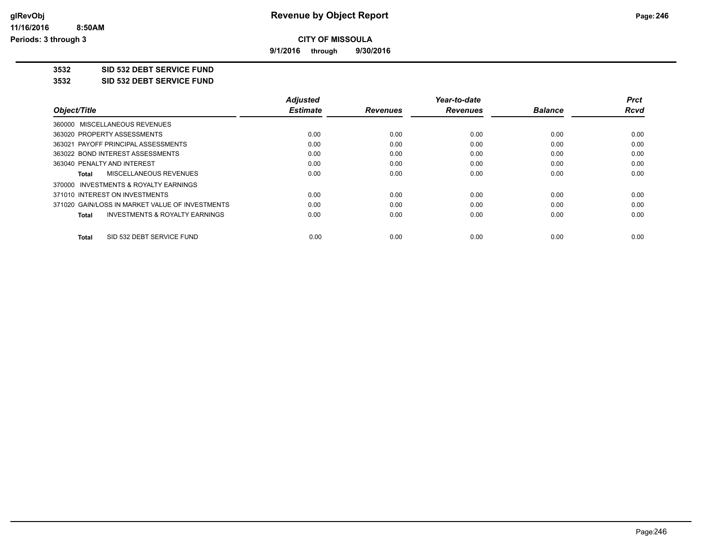**9/1/2016 through 9/30/2016**

**3532 SID 532 DEBT SERVICE FUND**

**3532 SID 532 DEBT SERVICE FUND**

|                                                 | <b>Adiusted</b> |                 | Year-to-date    |                | <b>Prct</b> |
|-------------------------------------------------|-----------------|-----------------|-----------------|----------------|-------------|
| Object/Title                                    | <b>Estimate</b> | <b>Revenues</b> | <b>Revenues</b> | <b>Balance</b> | Rcvd        |
| 360000 MISCELLANEOUS REVENUES                   |                 |                 |                 |                |             |
| 363020 PROPERTY ASSESSMENTS                     | 0.00            | 0.00            | 0.00            | 0.00           | 0.00        |
| 363021 PAYOFF PRINCIPAL ASSESSMENTS             | 0.00            | 0.00            | 0.00            | 0.00           | 0.00        |
| 363022 BOND INTEREST ASSESSMENTS                | 0.00            | 0.00            | 0.00            | 0.00           | 0.00        |
| 363040 PENALTY AND INTEREST                     | 0.00            | 0.00            | 0.00            | 0.00           | 0.00        |
| MISCELLANEOUS REVENUES<br>Total                 | 0.00            | 0.00            | 0.00            | 0.00           | 0.00        |
| 370000 INVESTMENTS & ROYALTY EARNINGS           |                 |                 |                 |                |             |
| 371010 INTEREST ON INVESTMENTS                  | 0.00            | 0.00            | 0.00            | 0.00           | 0.00        |
| 371020 GAIN/LOSS IN MARKET VALUE OF INVESTMENTS | 0.00            | 0.00            | 0.00            | 0.00           | 0.00        |
| INVESTMENTS & ROYALTY EARNINGS<br>Total         | 0.00            | 0.00            | 0.00            | 0.00           | 0.00        |
| SID 532 DEBT SERVICE FUND<br>Total              | 0.00            | 0.00            | 0.00            | 0.00           | 0.00        |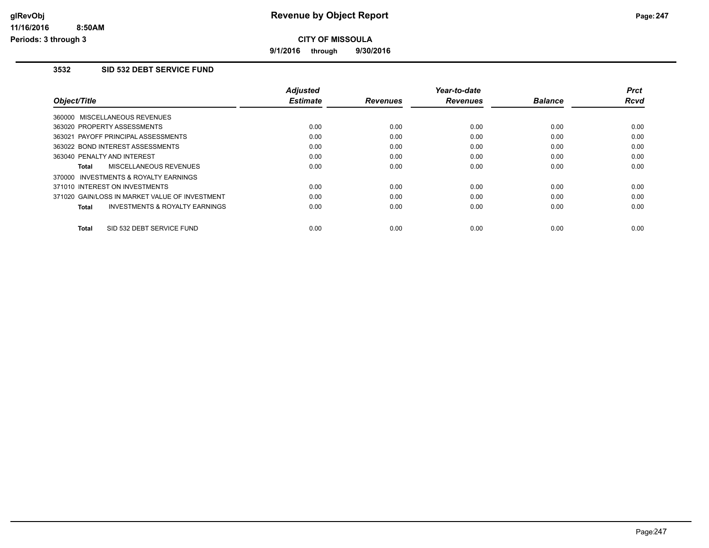**9/1/2016 through 9/30/2016**

### **3532 SID 532 DEBT SERVICE FUND**

|                                                           | <b>Adiusted</b> |                 | Year-to-date    |                | <b>Prct</b> |
|-----------------------------------------------------------|-----------------|-----------------|-----------------|----------------|-------------|
| Object/Title                                              | <b>Estimate</b> | <b>Revenues</b> | <b>Revenues</b> | <b>Balance</b> | <b>Rcvd</b> |
| 360000 MISCELLANEOUS REVENUES                             |                 |                 |                 |                |             |
| 363020 PROPERTY ASSESSMENTS                               | 0.00            | 0.00            | 0.00            | 0.00           | 0.00        |
| 363021 PAYOFF PRINCIPAL ASSESSMENTS                       | 0.00            | 0.00            | 0.00            | 0.00           | 0.00        |
| 363022 BOND INTEREST ASSESSMENTS                          | 0.00            | 0.00            | 0.00            | 0.00           | 0.00        |
| 363040 PENALTY AND INTEREST                               | 0.00            | 0.00            | 0.00            | 0.00           | 0.00        |
| <b>MISCELLANEOUS REVENUES</b><br><b>Total</b>             | 0.00            | 0.00            | 0.00            | 0.00           | 0.00        |
| 370000 INVESTMENTS & ROYALTY EARNINGS                     |                 |                 |                 |                |             |
| 371010 INTEREST ON INVESTMENTS                            | 0.00            | 0.00            | 0.00            | 0.00           | 0.00        |
| 371020 GAIN/LOSS IN MARKET VALUE OF INVESTMENT            | 0.00            | 0.00            | 0.00            | 0.00           | 0.00        |
| <b>INVESTMENTS &amp; ROYALTY EARNINGS</b><br><b>Total</b> | 0.00            | 0.00            | 0.00            | 0.00           | 0.00        |
|                                                           |                 |                 |                 |                |             |
| SID 532 DEBT SERVICE FUND<br><b>Total</b>                 | 0.00            | 0.00            | 0.00            | 0.00           | 0.00        |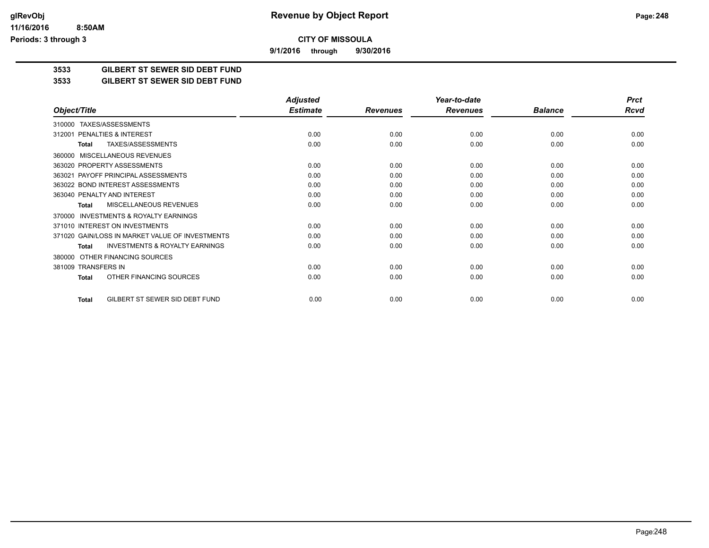**9/1/2016 through 9/30/2016**

# **3533 GILBERT ST SEWER SID DEBT FUND**

#### **3533 GILBERT ST SEWER SID DEBT FUND**

|                                                           | <b>Adjusted</b> |                 | Year-to-date    |                | <b>Prct</b> |
|-----------------------------------------------------------|-----------------|-----------------|-----------------|----------------|-------------|
| Object/Title                                              | <b>Estimate</b> | <b>Revenues</b> | <b>Revenues</b> | <b>Balance</b> | <b>Rcvd</b> |
| TAXES/ASSESSMENTS<br>310000                               |                 |                 |                 |                |             |
| PENALTIES & INTEREST<br>312001                            | 0.00            | 0.00            | 0.00            | 0.00           | 0.00        |
| TAXES/ASSESSMENTS<br>Total                                | 0.00            | 0.00            | 0.00            | 0.00           | 0.00        |
| MISCELLANEOUS REVENUES<br>360000                          |                 |                 |                 |                |             |
| 363020 PROPERTY ASSESSMENTS                               | 0.00            | 0.00            | 0.00            | 0.00           | 0.00        |
| 363021 PAYOFF PRINCIPAL ASSESSMENTS                       | 0.00            | 0.00            | 0.00            | 0.00           | 0.00        |
| 363022 BOND INTEREST ASSESSMENTS                          | 0.00            | 0.00            | 0.00            | 0.00           | 0.00        |
| 363040 PENALTY AND INTEREST                               | 0.00            | 0.00            | 0.00            | 0.00           | 0.00        |
| <b>MISCELLANEOUS REVENUES</b><br><b>Total</b>             | 0.00            | 0.00            | 0.00            | 0.00           | 0.00        |
| <b>INVESTMENTS &amp; ROYALTY EARNINGS</b><br>370000       |                 |                 |                 |                |             |
| 371010 INTEREST ON INVESTMENTS                            | 0.00            | 0.00            | 0.00            | 0.00           | 0.00        |
| 371020 GAIN/LOSS IN MARKET VALUE OF INVESTMENTS           | 0.00            | 0.00            | 0.00            | 0.00           | 0.00        |
| <b>INVESTMENTS &amp; ROYALTY EARNINGS</b><br><b>Total</b> | 0.00            | 0.00            | 0.00            | 0.00           | 0.00        |
| OTHER FINANCING SOURCES<br>380000                         |                 |                 |                 |                |             |
| 381009 TRANSFERS IN                                       | 0.00            | 0.00            | 0.00            | 0.00           | 0.00        |
| OTHER FINANCING SOURCES<br><b>Total</b>                   | 0.00            | 0.00            | 0.00            | 0.00           | 0.00        |
| GILBERT ST SEWER SID DEBT FUND<br><b>Total</b>            | 0.00            | 0.00            | 0.00            | 0.00           | 0.00        |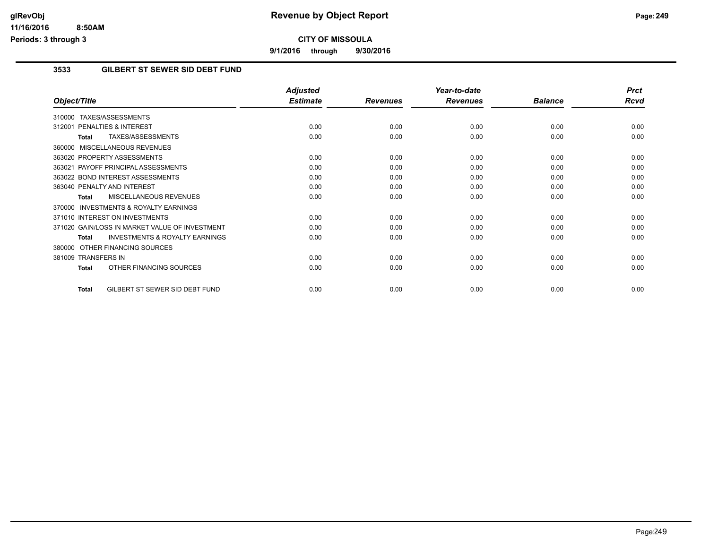**9/1/2016 through 9/30/2016**

#### **3533 GILBERT ST SEWER SID DEBT FUND**

|                                                           | <b>Adjusted</b> |                 | Year-to-date    |                | <b>Prct</b> |
|-----------------------------------------------------------|-----------------|-----------------|-----------------|----------------|-------------|
| Object/Title                                              | <b>Estimate</b> | <b>Revenues</b> | <b>Revenues</b> | <b>Balance</b> | <b>Rcvd</b> |
| TAXES/ASSESSMENTS<br>310000                               |                 |                 |                 |                |             |
| 312001 PENALTIES & INTEREST                               | 0.00            | 0.00            | 0.00            | 0.00           | 0.00        |
| TAXES/ASSESSMENTS<br><b>Total</b>                         | 0.00            | 0.00            | 0.00            | 0.00           | 0.00        |
| 360000 MISCELLANEOUS REVENUES                             |                 |                 |                 |                |             |
| 363020 PROPERTY ASSESSMENTS                               | 0.00            | 0.00            | 0.00            | 0.00           | 0.00        |
| 363021 PAYOFF PRINCIPAL ASSESSMENTS                       | 0.00            | 0.00            | 0.00            | 0.00           | 0.00        |
| 363022 BOND INTEREST ASSESSMENTS                          | 0.00            | 0.00            | 0.00            | 0.00           | 0.00        |
| 363040 PENALTY AND INTEREST                               | 0.00            | 0.00            | 0.00            | 0.00           | 0.00        |
| <b>MISCELLANEOUS REVENUES</b><br><b>Total</b>             | 0.00            | 0.00            | 0.00            | 0.00           | 0.00        |
| <b>INVESTMENTS &amp; ROYALTY EARNINGS</b><br>370000       |                 |                 |                 |                |             |
| 371010 INTEREST ON INVESTMENTS                            | 0.00            | 0.00            | 0.00            | 0.00           | 0.00        |
| 371020 GAIN/LOSS IN MARKET VALUE OF INVESTMENT            | 0.00            | 0.00            | 0.00            | 0.00           | 0.00        |
| <b>INVESTMENTS &amp; ROYALTY EARNINGS</b><br><b>Total</b> | 0.00            | 0.00            | 0.00            | 0.00           | 0.00        |
| OTHER FINANCING SOURCES<br>380000                         |                 |                 |                 |                |             |
| 381009 TRANSFERS IN                                       | 0.00            | 0.00            | 0.00            | 0.00           | 0.00        |
| OTHER FINANCING SOURCES<br><b>Total</b>                   | 0.00            | 0.00            | 0.00            | 0.00           | 0.00        |
| GILBERT ST SEWER SID DEBT FUND<br><b>Total</b>            | 0.00            | 0.00            | 0.00            | 0.00           | 0.00        |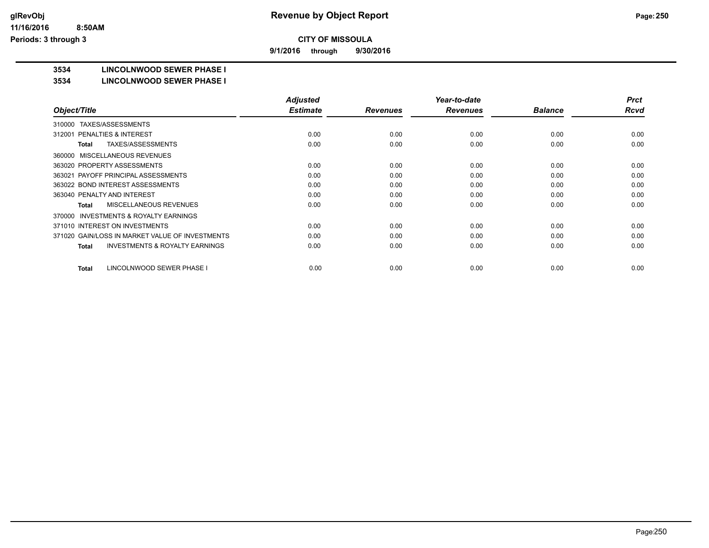**9/1/2016 through 9/30/2016**

## **3534 LINCOLNWOOD SEWER PHASE I**

#### **3534 LINCOLNWOOD SEWER PHASE I**

|                                                           | <b>Adjusted</b> |                 | Year-to-date    |                | <b>Prct</b> |
|-----------------------------------------------------------|-----------------|-----------------|-----------------|----------------|-------------|
| Object/Title                                              | <b>Estimate</b> | <b>Revenues</b> | <b>Revenues</b> | <b>Balance</b> | <b>Rcvd</b> |
| TAXES/ASSESSMENTS<br>310000                               |                 |                 |                 |                |             |
| <b>PENALTIES &amp; INTEREST</b><br>312001                 | 0.00            | 0.00            | 0.00            | 0.00           | 0.00        |
| TAXES/ASSESSMENTS<br><b>Total</b>                         | 0.00            | 0.00            | 0.00            | 0.00           | 0.00        |
| MISCELLANEOUS REVENUES<br>360000                          |                 |                 |                 |                |             |
| 363020 PROPERTY ASSESSMENTS                               | 0.00            | 0.00            | 0.00            | 0.00           | 0.00        |
| 363021 PAYOFF PRINCIPAL ASSESSMENTS                       | 0.00            | 0.00            | 0.00            | 0.00           | 0.00        |
| 363022 BOND INTEREST ASSESSMENTS                          | 0.00            | 0.00            | 0.00            | 0.00           | 0.00        |
| 363040 PENALTY AND INTEREST                               | 0.00            | 0.00            | 0.00            | 0.00           | 0.00        |
| <b>MISCELLANEOUS REVENUES</b><br><b>Total</b>             | 0.00            | 0.00            | 0.00            | 0.00           | 0.00        |
| <b>INVESTMENTS &amp; ROYALTY EARNINGS</b><br>370000       |                 |                 |                 |                |             |
| 371010 INTEREST ON INVESTMENTS                            | 0.00            | 0.00            | 0.00            | 0.00           | 0.00        |
| 371020 GAIN/LOSS IN MARKET VALUE OF INVESTMENTS           | 0.00            | 0.00            | 0.00            | 0.00           | 0.00        |
| <b>INVESTMENTS &amp; ROYALTY EARNINGS</b><br><b>Total</b> | 0.00            | 0.00            | 0.00            | 0.00           | 0.00        |
| LINCOLNWOOD SEWER PHASE I<br><b>Total</b>                 | 0.00            | 0.00            | 0.00            | 0.00           | 0.00        |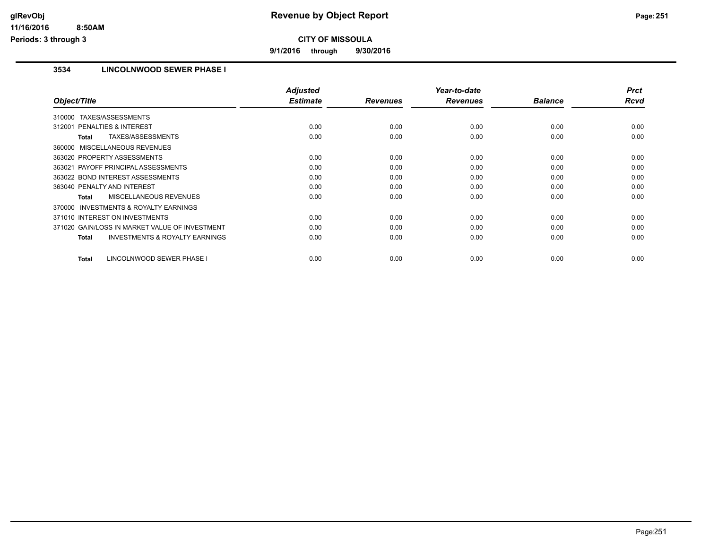**9/1/2016 through 9/30/2016**

### **3534 LINCOLNWOOD SEWER PHASE I**

| Object/Title                                              | <b>Adjusted</b><br><b>Estimate</b> | <b>Revenues</b> | Year-to-date<br><b>Revenues</b> | <b>Balance</b> | <b>Prct</b><br>Rcvd |
|-----------------------------------------------------------|------------------------------------|-----------------|---------------------------------|----------------|---------------------|
|                                                           |                                    |                 |                                 |                |                     |
| 310000 TAXES/ASSESSMENTS                                  |                                    |                 |                                 |                |                     |
| 312001 PENALTIES & INTEREST                               | 0.00                               | 0.00            | 0.00                            | 0.00           | 0.00                |
| TAXES/ASSESSMENTS<br>Total                                | 0.00                               | 0.00            | 0.00                            | 0.00           | 0.00                |
| 360000 MISCELLANEOUS REVENUES                             |                                    |                 |                                 |                |                     |
| 363020 PROPERTY ASSESSMENTS                               | 0.00                               | 0.00            | 0.00                            | 0.00           | 0.00                |
| 363021 PAYOFF PRINCIPAL ASSESSMENTS                       | 0.00                               | 0.00            | 0.00                            | 0.00           | 0.00                |
| 363022 BOND INTEREST ASSESSMENTS                          | 0.00                               | 0.00            | 0.00                            | 0.00           | 0.00                |
| 363040 PENALTY AND INTEREST                               | 0.00                               | 0.00            | 0.00                            | 0.00           | 0.00                |
| MISCELLANEOUS REVENUES<br><b>Total</b>                    | 0.00                               | 0.00            | 0.00                            | 0.00           | 0.00                |
| <b>INVESTMENTS &amp; ROYALTY EARNINGS</b><br>370000       |                                    |                 |                                 |                |                     |
| 371010 INTEREST ON INVESTMENTS                            | 0.00                               | 0.00            | 0.00                            | 0.00           | 0.00                |
| 371020 GAIN/LOSS IN MARKET VALUE OF INVESTMENT            | 0.00                               | 0.00            | 0.00                            | 0.00           | 0.00                |
| <b>INVESTMENTS &amp; ROYALTY EARNINGS</b><br><b>Total</b> | 0.00                               | 0.00            | 0.00                            | 0.00           | 0.00                |
|                                                           |                                    |                 |                                 |                |                     |
| LINCOLNWOOD SEWER PHASE I<br><b>Total</b>                 | 0.00                               | 0.00            | 0.00                            | 0.00           | 0.00                |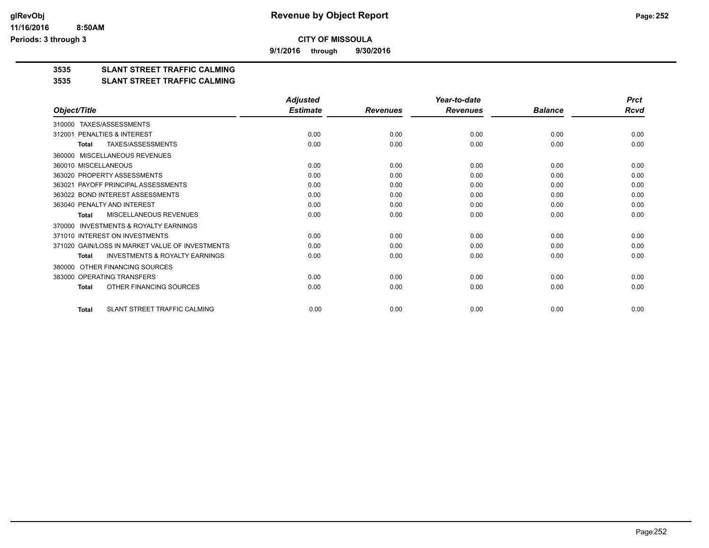**9/1/2016 through 9/30/2016**

# **3535 SLANT STREET TRAFFIC CALMING**

#### **3535 SLANT STREET TRAFFIC CALMING**

|                                                           | <b>Adjusted</b> |                 | Year-to-date    |                | <b>Prct</b> |
|-----------------------------------------------------------|-----------------|-----------------|-----------------|----------------|-------------|
| Object/Title                                              | <b>Estimate</b> | <b>Revenues</b> | <b>Revenues</b> | <b>Balance</b> | Rcvd        |
| TAXES/ASSESSMENTS<br>310000                               |                 |                 |                 |                |             |
| <b>PENALTIES &amp; INTEREST</b><br>312001                 | 0.00            | 0.00            | 0.00            | 0.00           | 0.00        |
| TAXES/ASSESSMENTS<br><b>Total</b>                         | 0.00            | 0.00            | 0.00            | 0.00           | 0.00        |
| MISCELLANEOUS REVENUES<br>360000                          |                 |                 |                 |                |             |
| 360010 MISCELLANEOUS                                      | 0.00            | 0.00            | 0.00            | 0.00           | 0.00        |
| 363020 PROPERTY ASSESSMENTS                               | 0.00            | 0.00            | 0.00            | 0.00           | 0.00        |
| 363021 PAYOFF PRINCIPAL ASSESSMENTS                       | 0.00            | 0.00            | 0.00            | 0.00           | 0.00        |
| 363022 BOND INTEREST ASSESSMENTS                          | 0.00            | 0.00            | 0.00            | 0.00           | 0.00        |
| 363040 PENALTY AND INTEREST                               | 0.00            | 0.00            | 0.00            | 0.00           | 0.00        |
| MISCELLANEOUS REVENUES<br><b>Total</b>                    | 0.00            | 0.00            | 0.00            | 0.00           | 0.00        |
| <b>INVESTMENTS &amp; ROYALTY EARNINGS</b><br>370000       |                 |                 |                 |                |             |
| 371010 INTEREST ON INVESTMENTS                            | 0.00            | 0.00            | 0.00            | 0.00           | 0.00        |
| 371020 GAIN/LOSS IN MARKET VALUE OF INVESTMENTS           | 0.00            | 0.00            | 0.00            | 0.00           | 0.00        |
| <b>INVESTMENTS &amp; ROYALTY EARNINGS</b><br><b>Total</b> | 0.00            | 0.00            | 0.00            | 0.00           | 0.00        |
| OTHER FINANCING SOURCES<br>380000                         |                 |                 |                 |                |             |
| 383000 OPERATING TRANSFERS                                | 0.00            | 0.00            | 0.00            | 0.00           | 0.00        |
| OTHER FINANCING SOURCES<br><b>Total</b>                   | 0.00            | 0.00            | 0.00            | 0.00           | 0.00        |
| SLANT STREET TRAFFIC CALMING<br><b>Total</b>              | 0.00            | 0.00            | 0.00            | 0.00           | 0.00        |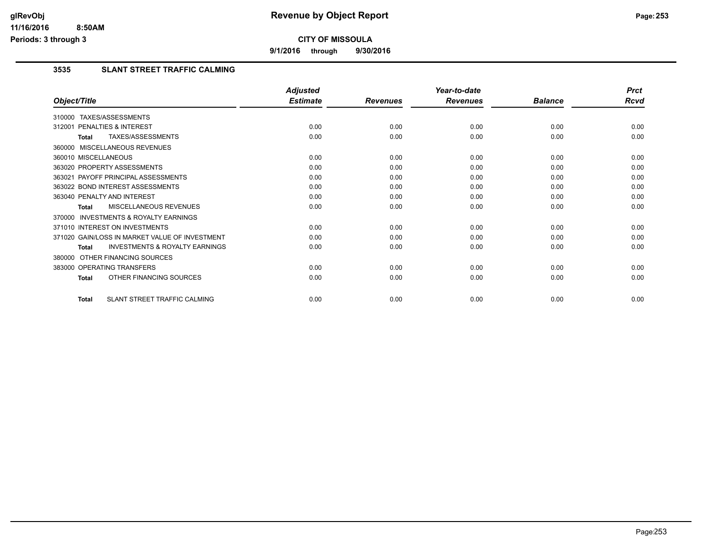**9/1/2016 through 9/30/2016**

# **3535 SLANT STREET TRAFFIC CALMING**

|                                                           | <b>Adjusted</b> |                 | Year-to-date    |                | <b>Prct</b> |
|-----------------------------------------------------------|-----------------|-----------------|-----------------|----------------|-------------|
| Object/Title                                              | <b>Estimate</b> | <b>Revenues</b> | <b>Revenues</b> | <b>Balance</b> | Rcvd        |
| 310000 TAXES/ASSESSMENTS                                  |                 |                 |                 |                |             |
| 312001 PENALTIES & INTEREST                               | 0.00            | 0.00            | 0.00            | 0.00           | 0.00        |
| TAXES/ASSESSMENTS<br><b>Total</b>                         | 0.00            | 0.00            | 0.00            | 0.00           | 0.00        |
| 360000 MISCELLANEOUS REVENUES                             |                 |                 |                 |                |             |
| 360010 MISCELLANEOUS                                      | 0.00            | 0.00            | 0.00            | 0.00           | 0.00        |
| 363020 PROPERTY ASSESSMENTS                               | 0.00            | 0.00            | 0.00            | 0.00           | 0.00        |
| 363021 PAYOFF PRINCIPAL ASSESSMENTS                       | 0.00            | 0.00            | 0.00            | 0.00           | 0.00        |
| 363022 BOND INTEREST ASSESSMENTS                          | 0.00            | 0.00            | 0.00            | 0.00           | 0.00        |
| 363040 PENALTY AND INTEREST                               | 0.00            | 0.00            | 0.00            | 0.00           | 0.00        |
| MISCELLANEOUS REVENUES<br><b>Total</b>                    | 0.00            | 0.00            | 0.00            | 0.00           | 0.00        |
| <b>INVESTMENTS &amp; ROYALTY EARNINGS</b><br>370000       |                 |                 |                 |                |             |
| 371010 INTEREST ON INVESTMENTS                            | 0.00            | 0.00            | 0.00            | 0.00           | 0.00        |
| 371020 GAIN/LOSS IN MARKET VALUE OF INVESTMENT            | 0.00            | 0.00            | 0.00            | 0.00           | 0.00        |
| <b>INVESTMENTS &amp; ROYALTY EARNINGS</b><br><b>Total</b> | 0.00            | 0.00            | 0.00            | 0.00           | 0.00        |
| OTHER FINANCING SOURCES<br>380000                         |                 |                 |                 |                |             |
| 383000 OPERATING TRANSFERS                                | 0.00            | 0.00            | 0.00            | 0.00           | 0.00        |
| OTHER FINANCING SOURCES<br><b>Total</b>                   | 0.00            | 0.00            | 0.00            | 0.00           | 0.00        |
| <b>Total</b><br>SLANT STREET TRAFFIC CALMING              | 0.00            | 0.00            | 0.00            | 0.00           | 0.00        |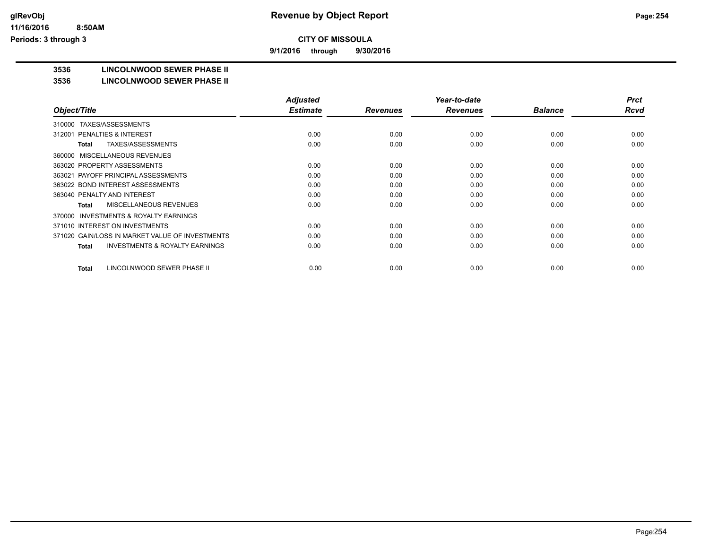**9/1/2016 through 9/30/2016**

# **3536 LINCOLNWOOD SEWER PHASE II**

#### **3536 LINCOLNWOOD SEWER PHASE II**

|                                                     | <b>Adjusted</b> |                 | Year-to-date    |                | <b>Prct</b> |
|-----------------------------------------------------|-----------------|-----------------|-----------------|----------------|-------------|
| Object/Title                                        | <b>Estimate</b> | <b>Revenues</b> | <b>Revenues</b> | <b>Balance</b> | <b>Rcvd</b> |
| TAXES/ASSESSMENTS<br>310000                         |                 |                 |                 |                |             |
| PENALTIES & INTEREST<br>312001                      | 0.00            | 0.00            | 0.00            | 0.00           | 0.00        |
| TAXES/ASSESSMENTS<br>Total                          | 0.00            | 0.00            | 0.00            | 0.00           | 0.00        |
| MISCELLANEOUS REVENUES<br>360000                    |                 |                 |                 |                |             |
| 363020 PROPERTY ASSESSMENTS                         | 0.00            | 0.00            | 0.00            | 0.00           | 0.00        |
| 363021 PAYOFF PRINCIPAL ASSESSMENTS                 | 0.00            | 0.00            | 0.00            | 0.00           | 0.00        |
| 363022 BOND INTEREST ASSESSMENTS                    | 0.00            | 0.00            | 0.00            | 0.00           | 0.00        |
| 363040 PENALTY AND INTEREST                         | 0.00            | 0.00            | 0.00            | 0.00           | 0.00        |
| <b>MISCELLANEOUS REVENUES</b><br>Total              | 0.00            | 0.00            | 0.00            | 0.00           | 0.00        |
| <b>INVESTMENTS &amp; ROYALTY EARNINGS</b><br>370000 |                 |                 |                 |                |             |
| 371010 INTEREST ON INVESTMENTS                      | 0.00            | 0.00            | 0.00            | 0.00           | 0.00        |
| 371020 GAIN/LOSS IN MARKET VALUE OF INVESTMENTS     | 0.00            | 0.00            | 0.00            | 0.00           | 0.00        |
| <b>INVESTMENTS &amp; ROYALTY EARNINGS</b><br>Total  | 0.00            | 0.00            | 0.00            | 0.00           | 0.00        |
|                                                     |                 |                 |                 |                |             |
| LINCOLNWOOD SEWER PHASE II<br><b>Total</b>          | 0.00            | 0.00            | 0.00            | 0.00           | 0.00        |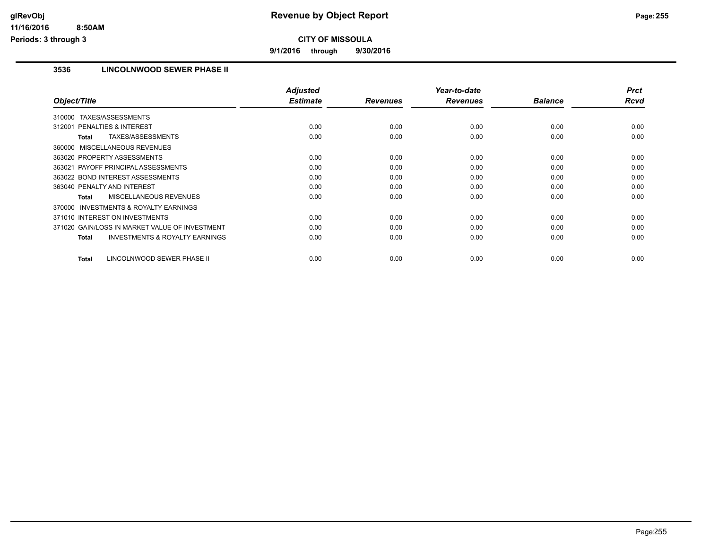**9/1/2016 through 9/30/2016**

# **3536 LINCOLNWOOD SEWER PHASE II**

| Object/Title                                              | <b>Adjusted</b><br><b>Estimate</b> | <b>Revenues</b> | Year-to-date<br><b>Revenues</b> | <b>Balance</b> | <b>Prct</b><br><b>Rcvd</b> |
|-----------------------------------------------------------|------------------------------------|-----------------|---------------------------------|----------------|----------------------------|
|                                                           |                                    |                 |                                 |                |                            |
| TAXES/ASSESSMENTS<br>310000                               |                                    |                 |                                 |                |                            |
| 312001 PENALTIES & INTEREST                               | 0.00                               | 0.00            | 0.00                            | 0.00           | 0.00                       |
| TAXES/ASSESSMENTS<br>Total                                | 0.00                               | 0.00            | 0.00                            | 0.00           | 0.00                       |
| 360000 MISCELLANEOUS REVENUES                             |                                    |                 |                                 |                |                            |
| 363020 PROPERTY ASSESSMENTS                               | 0.00                               | 0.00            | 0.00                            | 0.00           | 0.00                       |
| 363021 PAYOFF PRINCIPAL ASSESSMENTS                       | 0.00                               | 0.00            | 0.00                            | 0.00           | 0.00                       |
| 363022 BOND INTEREST ASSESSMENTS                          | 0.00                               | 0.00            | 0.00                            | 0.00           | 0.00                       |
| 363040 PENALTY AND INTEREST                               | 0.00                               | 0.00            | 0.00                            | 0.00           | 0.00                       |
| MISCELLANEOUS REVENUES<br>Total                           | 0.00                               | 0.00            | 0.00                            | 0.00           | 0.00                       |
| <b>INVESTMENTS &amp; ROYALTY EARNINGS</b><br>370000       |                                    |                 |                                 |                |                            |
| 371010 INTEREST ON INVESTMENTS                            | 0.00                               | 0.00            | 0.00                            | 0.00           | 0.00                       |
| 371020 GAIN/LOSS IN MARKET VALUE OF INVESTMENT            | 0.00                               | 0.00            | 0.00                            | 0.00           | 0.00                       |
| <b>INVESTMENTS &amp; ROYALTY EARNINGS</b><br><b>Total</b> | 0.00                               | 0.00            | 0.00                            | 0.00           | 0.00                       |
|                                                           |                                    |                 |                                 |                |                            |
| LINCOLNWOOD SEWER PHASE II<br><b>Total</b>                | 0.00                               | 0.00            | 0.00                            | 0.00           | 0.00                       |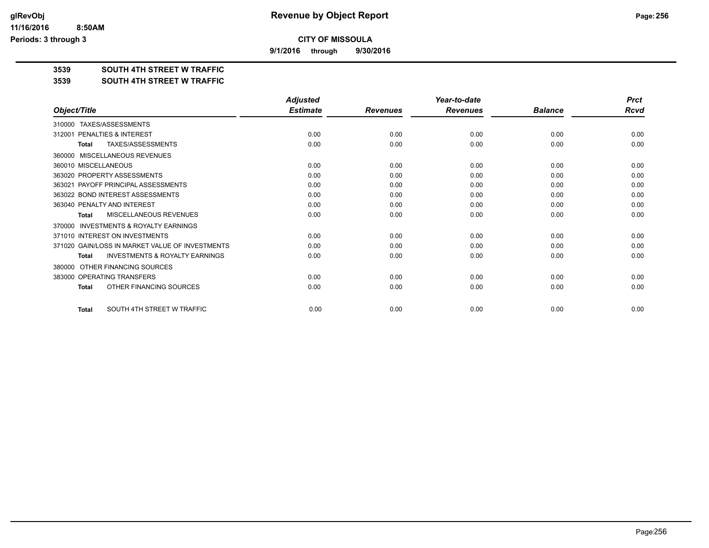**9/1/2016 through 9/30/2016**

## **3539 SOUTH 4TH STREET W TRAFFIC**

#### **3539 SOUTH 4TH STREET W TRAFFIC**

|                                                           | <b>Adjusted</b> |                 | Year-to-date    |                | <b>Prct</b> |
|-----------------------------------------------------------|-----------------|-----------------|-----------------|----------------|-------------|
| Object/Title                                              | <b>Estimate</b> | <b>Revenues</b> | <b>Revenues</b> | <b>Balance</b> | Rcvd        |
| TAXES/ASSESSMENTS<br>310000                               |                 |                 |                 |                |             |
| PENALTIES & INTEREST<br>312001                            | 0.00            | 0.00            | 0.00            | 0.00           | 0.00        |
| TAXES/ASSESSMENTS<br><b>Total</b>                         | 0.00            | 0.00            | 0.00            | 0.00           | 0.00        |
| MISCELLANEOUS REVENUES<br>360000                          |                 |                 |                 |                |             |
| 360010 MISCELLANEOUS                                      | 0.00            | 0.00            | 0.00            | 0.00           | 0.00        |
| 363020 PROPERTY ASSESSMENTS                               | 0.00            | 0.00            | 0.00            | 0.00           | 0.00        |
| 363021 PAYOFF PRINCIPAL ASSESSMENTS                       | 0.00            | 0.00            | 0.00            | 0.00           | 0.00        |
| 363022 BOND INTEREST ASSESSMENTS                          | 0.00            | 0.00            | 0.00            | 0.00           | 0.00        |
| 363040 PENALTY AND INTEREST                               | 0.00            | 0.00            | 0.00            | 0.00           | 0.00        |
| MISCELLANEOUS REVENUES<br><b>Total</b>                    | 0.00            | 0.00            | 0.00            | 0.00           | 0.00        |
| <b>INVESTMENTS &amp; ROYALTY EARNINGS</b><br>370000       |                 |                 |                 |                |             |
| 371010 INTEREST ON INVESTMENTS                            | 0.00            | 0.00            | 0.00            | 0.00           | 0.00        |
| 371020 GAIN/LOSS IN MARKET VALUE OF INVESTMENTS           | 0.00            | 0.00            | 0.00            | 0.00           | 0.00        |
| <b>INVESTMENTS &amp; ROYALTY EARNINGS</b><br><b>Total</b> | 0.00            | 0.00            | 0.00            | 0.00           | 0.00        |
| OTHER FINANCING SOURCES<br>380000                         |                 |                 |                 |                |             |
| 383000 OPERATING TRANSFERS                                | 0.00            | 0.00            | 0.00            | 0.00           | 0.00        |
| OTHER FINANCING SOURCES<br><b>Total</b>                   | 0.00            | 0.00            | 0.00            | 0.00           | 0.00        |
| SOUTH 4TH STREET W TRAFFIC<br><b>Total</b>                | 0.00            | 0.00            | 0.00            | 0.00           | 0.00        |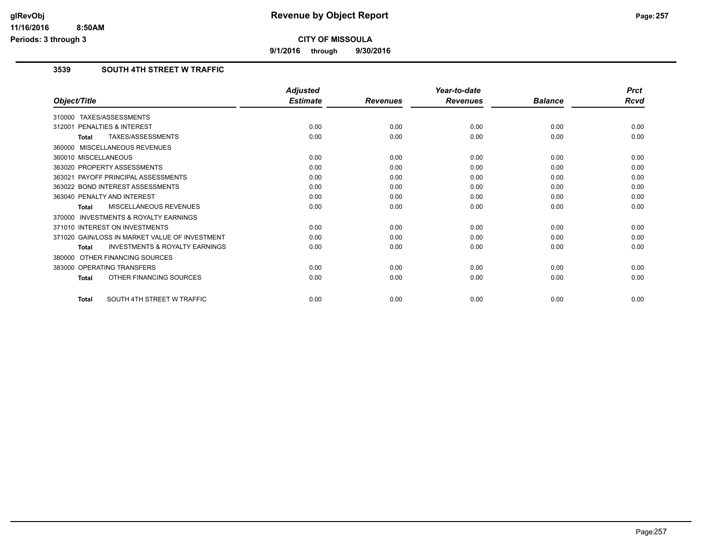**9/1/2016 through 9/30/2016**

# **3539 SOUTH 4TH STREET W TRAFFIC**

|                                                     | <b>Adjusted</b> |                 | Year-to-date    |                | <b>Prct</b> |
|-----------------------------------------------------|-----------------|-----------------|-----------------|----------------|-------------|
| Object/Title                                        | <b>Estimate</b> | <b>Revenues</b> | <b>Revenues</b> | <b>Balance</b> | Rcvd        |
| 310000 TAXES/ASSESSMENTS                            |                 |                 |                 |                |             |
| 312001 PENALTIES & INTEREST                         | 0.00            | 0.00            | 0.00            | 0.00           | 0.00        |
| TAXES/ASSESSMENTS<br><b>Total</b>                   | 0.00            | 0.00            | 0.00            | 0.00           | 0.00        |
| 360000 MISCELLANEOUS REVENUES                       |                 |                 |                 |                |             |
| 360010 MISCELLANEOUS                                | 0.00            | 0.00            | 0.00            | 0.00           | 0.00        |
| 363020 PROPERTY ASSESSMENTS                         | 0.00            | 0.00            | 0.00            | 0.00           | 0.00        |
| 363021 PAYOFF PRINCIPAL ASSESSMENTS                 | 0.00            | 0.00            | 0.00            | 0.00           | 0.00        |
| 363022 BOND INTEREST ASSESSMENTS                    | 0.00            | 0.00            | 0.00            | 0.00           | 0.00        |
| 363040 PENALTY AND INTEREST                         | 0.00            | 0.00            | 0.00            | 0.00           | 0.00        |
| MISCELLANEOUS REVENUES<br><b>Total</b>              | 0.00            | 0.00            | 0.00            | 0.00           | 0.00        |
| <b>INVESTMENTS &amp; ROYALTY EARNINGS</b><br>370000 |                 |                 |                 |                |             |
| 371010 INTEREST ON INVESTMENTS                      | 0.00            | 0.00            | 0.00            | 0.00           | 0.00        |
| 371020 GAIN/LOSS IN MARKET VALUE OF INVESTMENT      | 0.00            | 0.00            | 0.00            | 0.00           | 0.00        |
| <b>INVESTMENTS &amp; ROYALTY EARNINGS</b><br>Total  | 0.00            | 0.00            | 0.00            | 0.00           | 0.00        |
| OTHER FINANCING SOURCES<br>380000                   |                 |                 |                 |                |             |
| 383000 OPERATING TRANSFERS                          | 0.00            | 0.00            | 0.00            | 0.00           | 0.00        |
| OTHER FINANCING SOURCES<br><b>Total</b>             | 0.00            | 0.00            | 0.00            | 0.00           | 0.00        |
| SOUTH 4TH STREET W TRAFFIC<br><b>Total</b>          | 0.00            | 0.00            | 0.00            | 0.00           | 0.00        |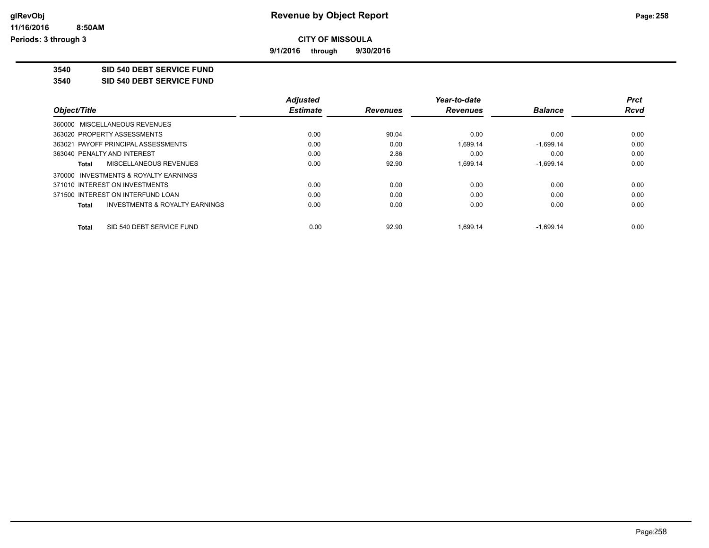**9/1/2016 through 9/30/2016**

**3540 SID 540 DEBT SERVICE FUND**

**3540 SID 540 DEBT SERVICE FUND**

|                                                | <b>Adjusted</b> |                 | Year-to-date    |                | <b>Prct</b> |
|------------------------------------------------|-----------------|-----------------|-----------------|----------------|-------------|
| Object/Title                                   | <b>Estimate</b> | <b>Revenues</b> | <b>Revenues</b> | <b>Balance</b> | Rcvd        |
| 360000 MISCELLANEOUS REVENUES                  |                 |                 |                 |                |             |
| 363020 PROPERTY ASSESSMENTS                    | 0.00            | 90.04           | 0.00            | 0.00           | 0.00        |
| 363021 PAYOFF PRINCIPAL ASSESSMENTS            | 0.00            | 0.00            | 1,699.14        | $-1,699.14$    | 0.00        |
| 363040 PENALTY AND INTEREST                    | 0.00            | 2.86            | 0.00            | 0.00           | 0.00        |
| <b>MISCELLANEOUS REVENUES</b><br>Total         | 0.00            | 92.90           | 1,699.14        | $-1,699.14$    | 0.00        |
| 370000 INVESTMENTS & ROYALTY EARNINGS          |                 |                 |                 |                |             |
| 371010 INTEREST ON INVESTMENTS                 | 0.00            | 0.00            | 0.00            | 0.00           | 0.00        |
| 371500 INTEREST ON INTERFUND LOAN              | 0.00            | 0.00            | 0.00            | 0.00           | 0.00        |
| INVESTMENTS & ROYALTY EARNINGS<br><b>Total</b> | 0.00            | 0.00            | 0.00            | 0.00           | 0.00        |
| SID 540 DEBT SERVICE FUND<br>Total             | 0.00            | 92.90           | 1.699.14        | $-1.699.14$    | 0.00        |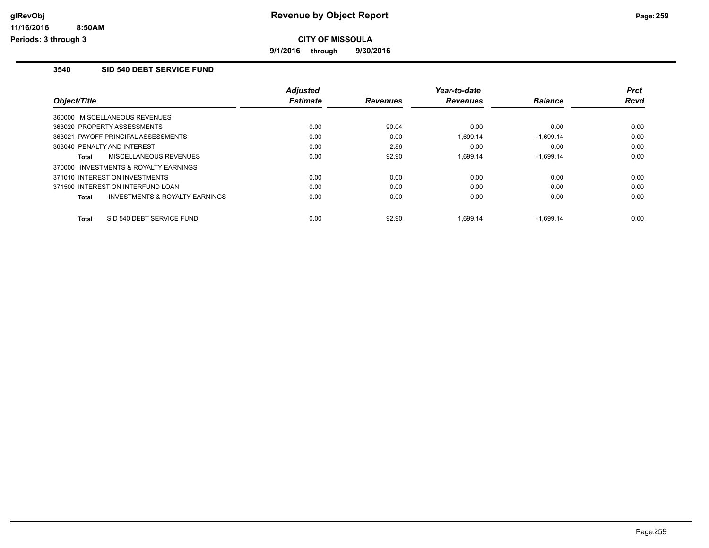**CITY OF MISSOULA**

**9/1/2016 through 9/30/2016**

# **3540 SID 540 DEBT SERVICE FUND**

 **8:50AM**

| Object/Title                                       | <b>Adjusted</b><br><b>Estimate</b> | <b>Revenues</b> | Year-to-date<br><b>Revenues</b> | <b>Balance</b> | <b>Prct</b><br><b>Rcvd</b> |
|----------------------------------------------------|------------------------------------|-----------------|---------------------------------|----------------|----------------------------|
| 360000 MISCELLANEOUS REVENUES                      |                                    |                 |                                 |                |                            |
| 363020 PROPERTY ASSESSMENTS                        | 0.00                               | 90.04           | 0.00                            | 0.00           | 0.00                       |
| 363021 PAYOFF PRINCIPAL ASSESSMENTS                | 0.00                               | 0.00            | 1.699.14                        | $-1,699.14$    | 0.00                       |
| 363040 PENALTY AND INTEREST                        | 0.00                               | 2.86            | 0.00                            | 0.00           | 0.00                       |
| <b>MISCELLANEOUS REVENUES</b><br>Total             | 0.00                               | 92.90           | 1,699.14                        | $-1,699.14$    | 0.00                       |
| 370000 INVESTMENTS & ROYALTY EARNINGS              |                                    |                 |                                 |                |                            |
| 371010 INTEREST ON INVESTMENTS                     | 0.00                               | 0.00            | 0.00                            | 0.00           | 0.00                       |
| 371500 INTEREST ON INTERFUND LOAN                  | 0.00                               | 0.00            | 0.00                            | 0.00           | 0.00                       |
| <b>INVESTMENTS &amp; ROYALTY EARNINGS</b><br>Total | 0.00                               | 0.00            | 0.00                            | 0.00           | 0.00                       |
| SID 540 DEBT SERVICE FUND<br>Total                 | 0.00                               | 92.90           | 1.699.14                        | $-1.699.14$    | 0.00                       |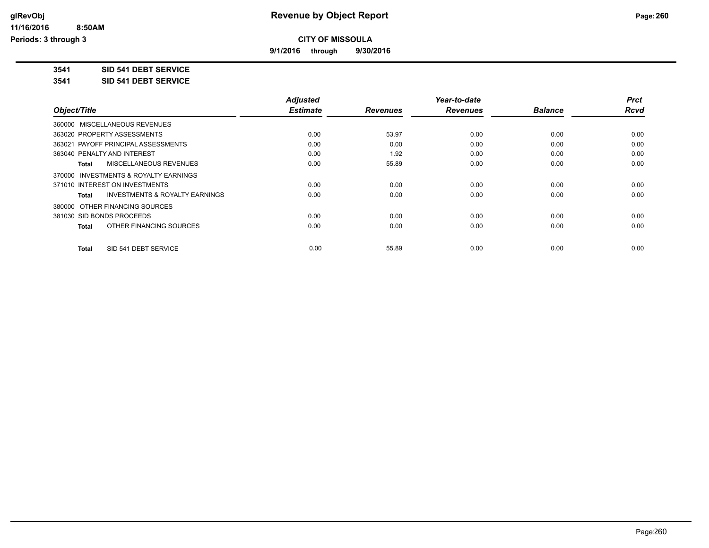**9/1/2016 through 9/30/2016**

**3541 SID 541 DEBT SERVICE**

**3541 SID 541 DEBT SERVICE**

|                                         | <b>Adjusted</b> |                 | Year-to-date    |                | <b>Prct</b> |
|-----------------------------------------|-----------------|-----------------|-----------------|----------------|-------------|
| Object/Title                            | <b>Estimate</b> | <b>Revenues</b> | <b>Revenues</b> | <b>Balance</b> | <b>Rcvd</b> |
| 360000 MISCELLANEOUS REVENUES           |                 |                 |                 |                |             |
| 363020 PROPERTY ASSESSMENTS             | 0.00            | 53.97           | 0.00            | 0.00           | 0.00        |
| 363021 PAYOFF PRINCIPAL ASSESSMENTS     | 0.00            | 0.00            | 0.00            | 0.00           | 0.00        |
| 363040 PENALTY AND INTEREST             | 0.00            | 1.92            | 0.00            | 0.00           | 0.00        |
| MISCELLANEOUS REVENUES<br>Total         | 0.00            | 55.89           | 0.00            | 0.00           | 0.00        |
| 370000 INVESTMENTS & ROYALTY EARNINGS   |                 |                 |                 |                |             |
| 371010 INTEREST ON INVESTMENTS          | 0.00            | 0.00            | 0.00            | 0.00           | 0.00        |
| INVESTMENTS & ROYALTY EARNINGS<br>Total | 0.00            | 0.00            | 0.00            | 0.00           | 0.00        |
| 380000 OTHER FINANCING SOURCES          |                 |                 |                 |                |             |
| 381030 SID BONDS PROCEEDS               | 0.00            | 0.00            | 0.00            | 0.00           | 0.00        |
| OTHER FINANCING SOURCES<br>Total        | 0.00            | 0.00            | 0.00            | 0.00           | 0.00        |
| SID 541 DEBT SERVICE<br>Total           | 0.00            | 55.89           | 0.00            | 0.00           | 0.00        |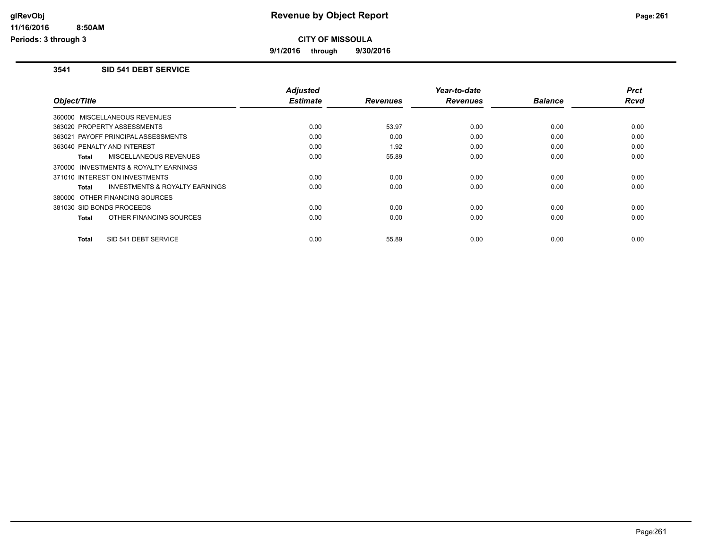**9/1/2016 through 9/30/2016**

## **3541 SID 541 DEBT SERVICE**

| Object/Title                            | <b>Adjusted</b><br><b>Estimate</b> | <b>Revenues</b> | Year-to-date<br><b>Revenues</b> | <b>Balance</b> | <b>Prct</b><br>Rcvd |
|-----------------------------------------|------------------------------------|-----------------|---------------------------------|----------------|---------------------|
|                                         |                                    |                 |                                 |                |                     |
| 360000 MISCELLANEOUS REVENUES           |                                    |                 |                                 |                |                     |
| 363020 PROPERTY ASSESSMENTS             | 0.00                               | 53.97           | 0.00                            | 0.00           | 0.00                |
| 363021 PAYOFF PRINCIPAL ASSESSMENTS     | 0.00                               | 0.00            | 0.00                            | 0.00           | 0.00                |
| 363040 PENALTY AND INTEREST             | 0.00                               | 1.92            | 0.00                            | 0.00           | 0.00                |
| MISCELLANEOUS REVENUES<br>Total         | 0.00                               | 55.89           | 0.00                            | 0.00           | 0.00                |
| 370000 INVESTMENTS & ROYALTY EARNINGS   |                                    |                 |                                 |                |                     |
| 371010 INTEREST ON INVESTMENTS          | 0.00                               | 0.00            | 0.00                            | 0.00           | 0.00                |
| INVESTMENTS & ROYALTY EARNINGS<br>Total | 0.00                               | 0.00            | 0.00                            | 0.00           | 0.00                |
| 380000 OTHER FINANCING SOURCES          |                                    |                 |                                 |                |                     |
| 381030 SID BONDS PROCEEDS               | 0.00                               | 0.00            | 0.00                            | 0.00           | 0.00                |
| OTHER FINANCING SOURCES<br><b>Total</b> | 0.00                               | 0.00            | 0.00                            | 0.00           | 0.00                |
| SID 541 DEBT SERVICE<br><b>Total</b>    | 0.00                               | 55.89           | 0.00                            | 0.00           | 0.00                |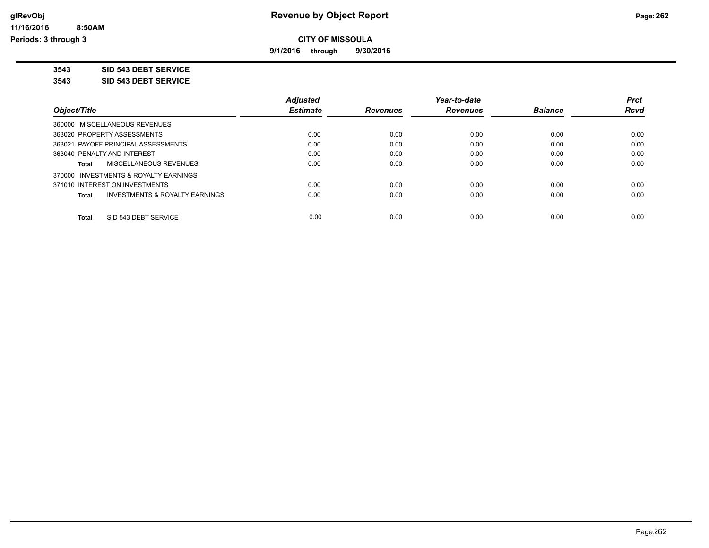**9/1/2016 through 9/30/2016**

**3543 SID 543 DEBT SERVICE**

**3543 SID 543 DEBT SERVICE**

|                                                           | <b>Adjusted</b> |                 | Year-to-date    |                | <b>Prct</b> |
|-----------------------------------------------------------|-----------------|-----------------|-----------------|----------------|-------------|
| Object/Title                                              | <b>Estimate</b> | <b>Revenues</b> | <b>Revenues</b> | <b>Balance</b> | <b>Rcvd</b> |
| 360000 MISCELLANEOUS REVENUES                             |                 |                 |                 |                |             |
| 363020 PROPERTY ASSESSMENTS                               | 0.00            | 0.00            | 0.00            | 0.00           | 0.00        |
| 363021 PAYOFF PRINCIPAL ASSESSMENTS                       | 0.00            | 0.00            | 0.00            | 0.00           | 0.00        |
| 363040 PENALTY AND INTEREST                               | 0.00            | 0.00            | 0.00            | 0.00           | 0.00        |
| MISCELLANEOUS REVENUES<br>Total                           | 0.00            | 0.00            | 0.00            | 0.00           | 0.00        |
| 370000 INVESTMENTS & ROYALTY EARNINGS                     |                 |                 |                 |                |             |
| 371010 INTEREST ON INVESTMENTS                            | 0.00            | 0.00            | 0.00            | 0.00           | 0.00        |
| <b>INVESTMENTS &amp; ROYALTY EARNINGS</b><br><b>Total</b> | 0.00            | 0.00            | 0.00            | 0.00           | 0.00        |
| SID 543 DEBT SERVICE<br><b>Total</b>                      | 0.00            | 0.00            | 0.00            | 0.00           | 0.00        |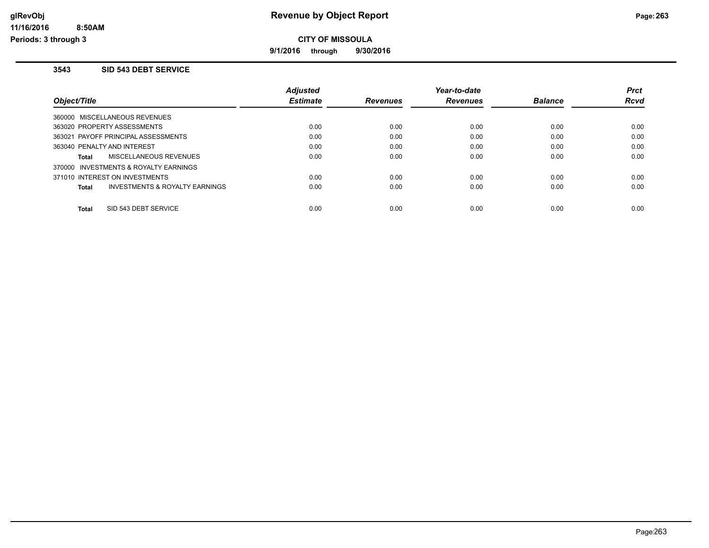**9/1/2016 through 9/30/2016**

### **3543 SID 543 DEBT SERVICE**

|                                          | <b>Adjusted</b> |                 | Year-to-date    |                | <b>Prct</b> |
|------------------------------------------|-----------------|-----------------|-----------------|----------------|-------------|
| Object/Title                             | <b>Estimate</b> | <b>Revenues</b> | <b>Revenues</b> | <b>Balance</b> | <b>Rcvd</b> |
| 360000 MISCELLANEOUS REVENUES            |                 |                 |                 |                |             |
| 363020 PROPERTY ASSESSMENTS              | 0.00            | 0.00            | 0.00            | 0.00           | 0.00        |
| 363021 PAYOFF PRINCIPAL ASSESSMENTS      | 0.00            | 0.00            | 0.00            | 0.00           | 0.00        |
| 363040 PENALTY AND INTEREST              | 0.00            | 0.00            | 0.00            | 0.00           | 0.00        |
| MISCELLANEOUS REVENUES<br>Total          | 0.00            | 0.00            | 0.00            | 0.00           | 0.00        |
| INVESTMENTS & ROYALTY EARNINGS<br>370000 |                 |                 |                 |                |             |
| 371010 INTEREST ON INVESTMENTS           | 0.00            | 0.00            | 0.00            | 0.00           | 0.00        |
| INVESTMENTS & ROYALTY EARNINGS<br>Total  | 0.00            | 0.00            | 0.00            | 0.00           | 0.00        |
| SID 543 DEBT SERVICE<br><b>Total</b>     | 0.00            | 0.00            | 0.00            | 0.00           | 0.00        |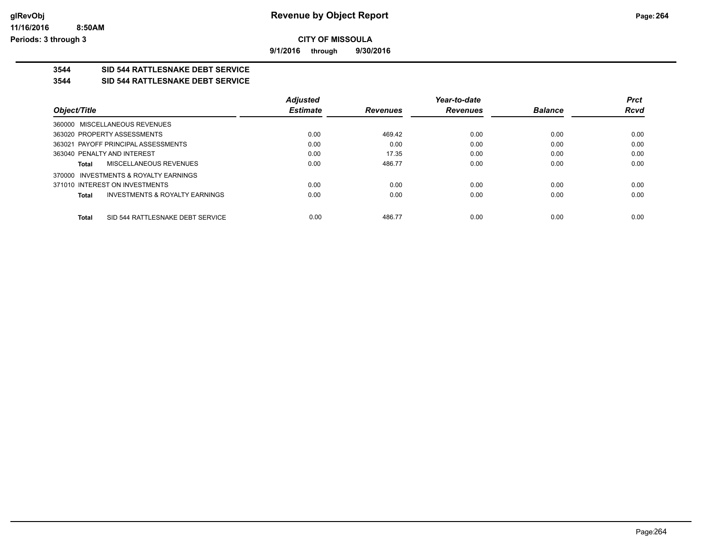**9/1/2016 through 9/30/2016**

# **3544 SID 544 RATTLESNAKE DEBT SERVICE**

# **3544 SID 544 RATTLESNAKE DEBT SERVICE**

|                                                           | <b>Adjusted</b> |                 | Year-to-date    |                | <b>Prct</b> |
|-----------------------------------------------------------|-----------------|-----------------|-----------------|----------------|-------------|
| Object/Title                                              | <b>Estimate</b> | <b>Revenues</b> | <b>Revenues</b> | <b>Balance</b> | <b>Rcvd</b> |
| 360000 MISCELLANEOUS REVENUES                             |                 |                 |                 |                |             |
| 363020 PROPERTY ASSESSMENTS                               | 0.00            | 469.42          | 0.00            | 0.00           | 0.00        |
| 363021 PAYOFF PRINCIPAL ASSESSMENTS                       | 0.00            | 0.00            | 0.00            | 0.00           | 0.00        |
| 363040 PENALTY AND INTEREST                               | 0.00            | 17.35           | 0.00            | 0.00           | 0.00        |
| MISCELLANEOUS REVENUES<br>Total                           | 0.00            | 486.77          | 0.00            | 0.00           | 0.00        |
| 370000 INVESTMENTS & ROYALTY EARNINGS                     |                 |                 |                 |                |             |
| 371010 INTEREST ON INVESTMENTS                            | 0.00            | 0.00            | 0.00            | 0.00           | 0.00        |
| <b>INVESTMENTS &amp; ROYALTY EARNINGS</b><br><b>Total</b> | 0.00            | 0.00            | 0.00            | 0.00           | 0.00        |
| SID 544 RATTLESNAKE DEBT SERVICE<br><b>Total</b>          | 0.00            | 486.77          | 0.00            | 0.00           | 0.00        |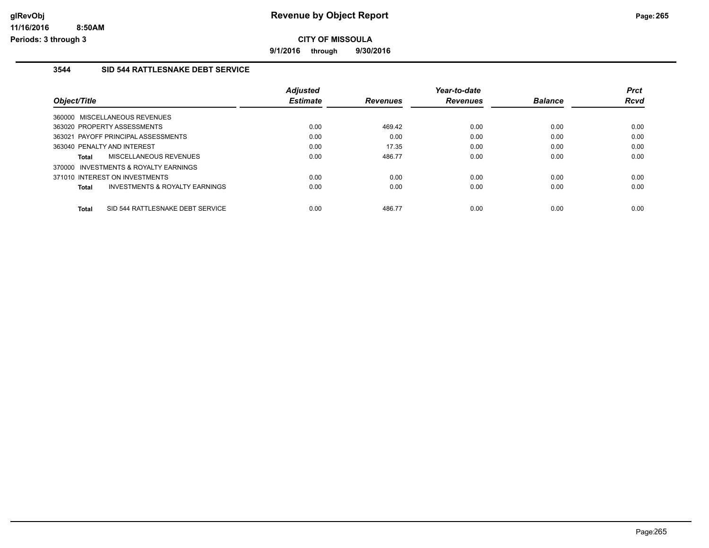**9/1/2016 through 9/30/2016**

# **3544 SID 544 RATTLESNAKE DEBT SERVICE**

|                                                  |                 | <b>Adjusted</b> |                 | Year-to-date   |      | <b>Prct</b> |
|--------------------------------------------------|-----------------|-----------------|-----------------|----------------|------|-------------|
| Object/Title                                     | <b>Estimate</b> | <b>Revenues</b> | <b>Revenues</b> | <b>Balance</b> | Rcvd |             |
| 360000 MISCELLANEOUS REVENUES                    |                 |                 |                 |                |      |             |
| 363020 PROPERTY ASSESSMENTS                      |                 | 0.00            | 469.42          | 0.00           | 0.00 | 0.00        |
| 363021 PAYOFF PRINCIPAL ASSESSMENTS              |                 | 0.00            | 0.00            | 0.00           | 0.00 | 0.00        |
| 363040 PENALTY AND INTEREST                      |                 | 0.00            | 17.35           | 0.00           | 0.00 | 0.00        |
| MISCELLANEOUS REVENUES<br>Total                  |                 | 0.00            | 486.77          | 0.00           | 0.00 | 0.00        |
| 370000 INVESTMENTS & ROYALTY EARNINGS            |                 |                 |                 |                |      |             |
| 371010 INTEREST ON INVESTMENTS                   |                 | 0.00            | 0.00            | 0.00           | 0.00 | 0.00        |
| INVESTMENTS & ROYALTY EARNINGS<br>Total          |                 | 0.00            | 0.00            | 0.00           | 0.00 | 0.00        |
| SID 544 RATTLESNAKE DEBT SERVICE<br><b>Total</b> |                 | 0.00            | 486.77          | 0.00           | 0.00 | 0.00        |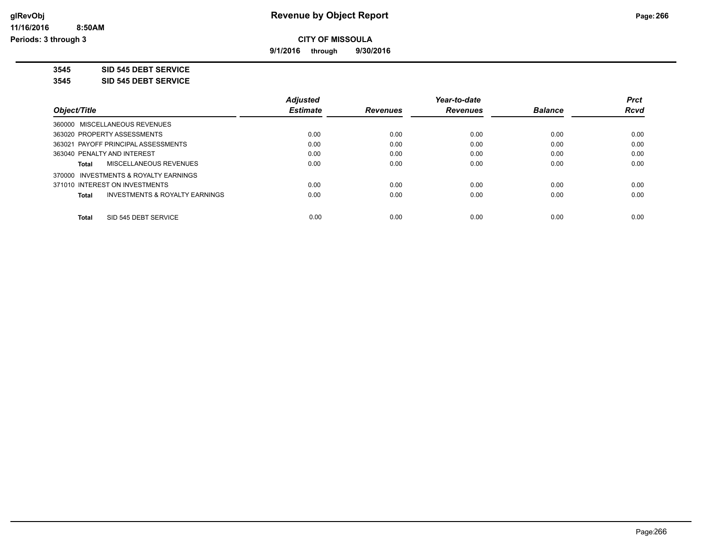**9/1/2016 through 9/30/2016**

**3545 SID 545 DEBT SERVICE**

**3545 SID 545 DEBT SERVICE**

|                                                           | <b>Adjusted</b> |                 | Year-to-date    |                | <b>Prct</b> |
|-----------------------------------------------------------|-----------------|-----------------|-----------------|----------------|-------------|
| Object/Title                                              | <b>Estimate</b> | <b>Revenues</b> | <b>Revenues</b> | <b>Balance</b> | <b>Rcvd</b> |
| 360000 MISCELLANEOUS REVENUES                             |                 |                 |                 |                |             |
| 363020 PROPERTY ASSESSMENTS                               | 0.00            | 0.00            | 0.00            | 0.00           | 0.00        |
| 363021 PAYOFF PRINCIPAL ASSESSMENTS                       | 0.00            | 0.00            | 0.00            | 0.00           | 0.00        |
| 363040 PENALTY AND INTEREST                               | 0.00            | 0.00            | 0.00            | 0.00           | 0.00        |
| MISCELLANEOUS REVENUES<br>Total                           | 0.00            | 0.00            | 0.00            | 0.00           | 0.00        |
| 370000 INVESTMENTS & ROYALTY EARNINGS                     |                 |                 |                 |                |             |
| 371010 INTEREST ON INVESTMENTS                            | 0.00            | 0.00            | 0.00            | 0.00           | 0.00        |
| <b>INVESTMENTS &amp; ROYALTY EARNINGS</b><br><b>Total</b> | 0.00            | 0.00            | 0.00            | 0.00           | 0.00        |
| SID 545 DEBT SERVICE<br><b>Total</b>                      | 0.00            | 0.00            | 0.00            | 0.00           | 0.00        |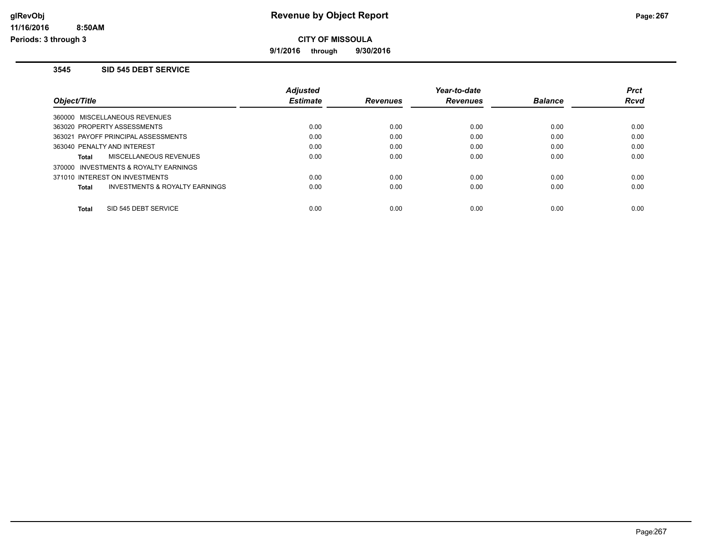**9/1/2016 through 9/30/2016**

#### **3545 SID 545 DEBT SERVICE**

|                                         | <b>Adjusted</b> |                 | Year-to-date    |                | <b>Prct</b> |
|-----------------------------------------|-----------------|-----------------|-----------------|----------------|-------------|
| Object/Title                            | <b>Estimate</b> | <b>Revenues</b> | <b>Revenues</b> | <b>Balance</b> | Rcvd        |
| 360000 MISCELLANEOUS REVENUES           |                 |                 |                 |                |             |
| 363020 PROPERTY ASSESSMENTS             | 0.00            | 0.00            | 0.00            | 0.00           | 0.00        |
| 363021 PAYOFF PRINCIPAL ASSESSMENTS     | 0.00            | 0.00            | 0.00            | 0.00           | 0.00        |
| 363040 PENALTY AND INTEREST             | 0.00            | 0.00            | 0.00            | 0.00           | 0.00        |
| MISCELLANEOUS REVENUES<br>Total         | 0.00            | 0.00            | 0.00            | 0.00           | 0.00        |
| 370000 INVESTMENTS & ROYALTY EARNINGS   |                 |                 |                 |                |             |
| 371010 INTEREST ON INVESTMENTS          | 0.00            | 0.00            | 0.00            | 0.00           | 0.00        |
| INVESTMENTS & ROYALTY EARNINGS<br>Total | 0.00            | 0.00            | 0.00            | 0.00           | 0.00        |
|                                         |                 |                 |                 |                |             |
| SID 545 DEBT SERVICE<br><b>Total</b>    | 0.00            | 0.00            | 0.00            | 0.00           | 0.00        |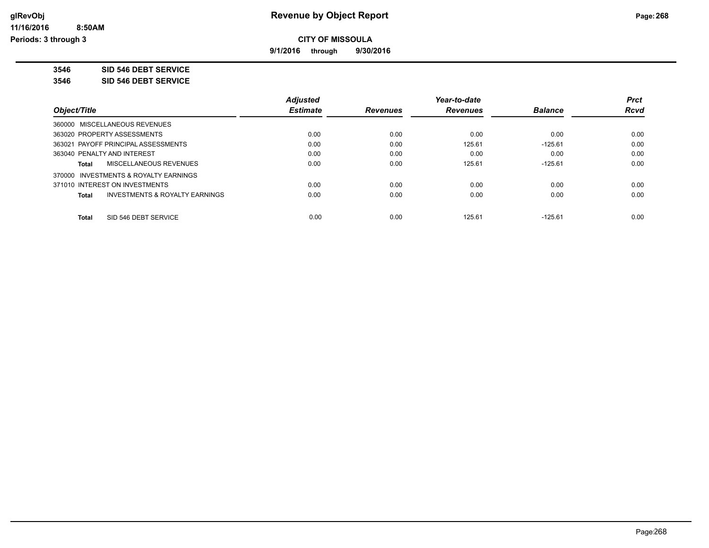**9/1/2016 through 9/30/2016**

**3546 SID 546 DEBT SERVICE**

**3546 SID 546 DEBT SERVICE**

|                                                    | <b>Adjusted</b> |                 | Year-to-date    |                | <b>Prct</b> |
|----------------------------------------------------|-----------------|-----------------|-----------------|----------------|-------------|
| Object/Title                                       | <b>Estimate</b> | <b>Revenues</b> | <b>Revenues</b> | <b>Balance</b> | <b>Rcvd</b> |
| 360000 MISCELLANEOUS REVENUES                      |                 |                 |                 |                |             |
| 363020 PROPERTY ASSESSMENTS                        | 0.00            | 0.00            | 0.00            | 0.00           | 0.00        |
| 363021 PAYOFF PRINCIPAL ASSESSMENTS                | 0.00            | 0.00            | 125.61          | $-125.61$      | 0.00        |
| 363040 PENALTY AND INTEREST                        | 0.00            | 0.00            | 0.00            | 0.00           | 0.00        |
| MISCELLANEOUS REVENUES<br>Total                    | 0.00            | 0.00            | 125.61          | $-125.61$      | 0.00        |
| 370000 INVESTMENTS & ROYALTY EARNINGS              |                 |                 |                 |                |             |
| 371010 INTEREST ON INVESTMENTS                     | 0.00            | 0.00            | 0.00            | 0.00           | 0.00        |
| <b>INVESTMENTS &amp; ROYALTY EARNINGS</b><br>Total | 0.00            | 0.00            | 0.00            | 0.00           | 0.00        |
| SID 546 DEBT SERVICE<br><b>Total</b>               | 0.00            | 0.00            | 125.61          | $-125.61$      | 0.00        |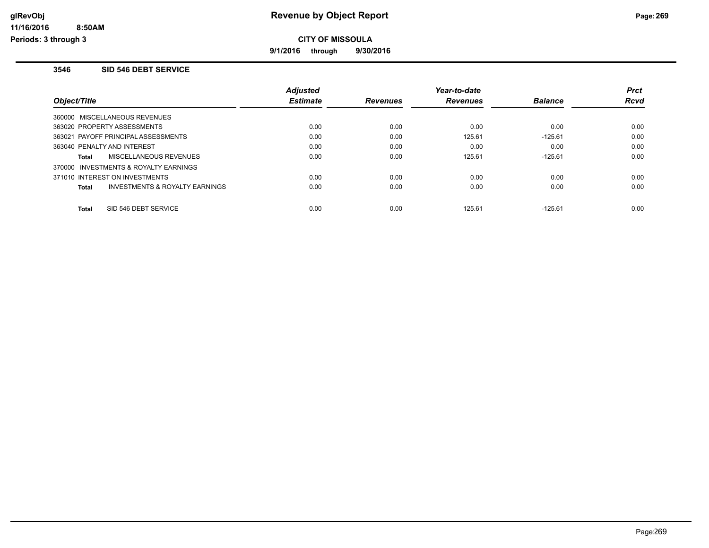**CITY OF MISSOULA**

**9/1/2016 through 9/30/2016**

#### **3546 SID 546 DEBT SERVICE**

|                                         | <b>Adjusted</b> |                 | Year-to-date    |                | <b>Prct</b> |
|-----------------------------------------|-----------------|-----------------|-----------------|----------------|-------------|
| Object/Title                            | <b>Estimate</b> | <b>Revenues</b> | <b>Revenues</b> | <b>Balance</b> | Rcvd        |
| 360000 MISCELLANEOUS REVENUES           |                 |                 |                 |                |             |
| 363020 PROPERTY ASSESSMENTS             | 0.00            | 0.00            | 0.00            | 0.00           | 0.00        |
| 363021 PAYOFF PRINCIPAL ASSESSMENTS     | 0.00            | 0.00            | 125.61          | $-125.61$      | 0.00        |
| 363040 PENALTY AND INTEREST             | 0.00            | 0.00            | 0.00            | 0.00           | 0.00        |
| MISCELLANEOUS REVENUES<br>Total         | 0.00            | 0.00            | 125.61          | $-125.61$      | 0.00        |
| 370000 INVESTMENTS & ROYALTY EARNINGS   |                 |                 |                 |                |             |
| 371010 INTEREST ON INVESTMENTS          | 0.00            | 0.00            | 0.00            | 0.00           | 0.00        |
| INVESTMENTS & ROYALTY EARNINGS<br>Total | 0.00            | 0.00            | 0.00            | 0.00           | 0.00        |
| SID 546 DEBT SERVICE<br><b>Total</b>    | 0.00            | 0.00            | 125.61          | $-125.61$      | 0.00        |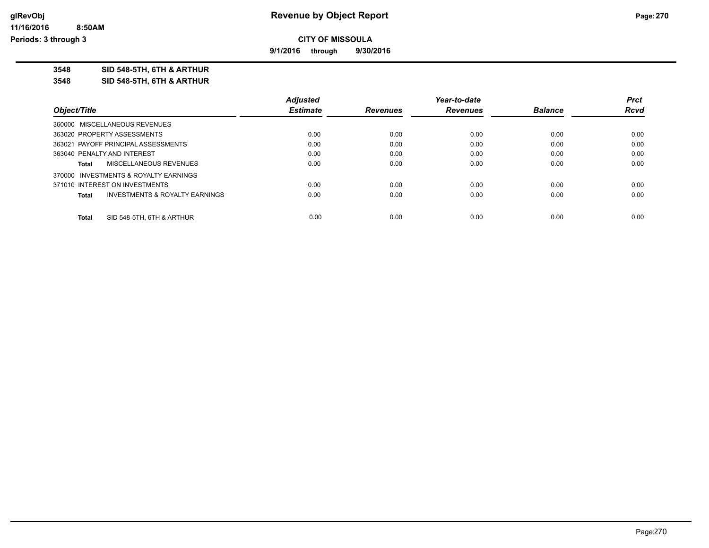**9/1/2016 through 9/30/2016**

**3548 SID 548-5TH, 6TH & ARTHUR**

**3548 SID 548-5TH, 6TH & ARTHUR**

|                                                    | <b>Adjusted</b> |                 | Year-to-date    |                | <b>Prct</b> |
|----------------------------------------------------|-----------------|-----------------|-----------------|----------------|-------------|
| Object/Title                                       | <b>Estimate</b> | <b>Revenues</b> | <b>Revenues</b> | <b>Balance</b> | <b>Rcvd</b> |
| 360000 MISCELLANEOUS REVENUES                      |                 |                 |                 |                |             |
| 363020 PROPERTY ASSESSMENTS                        | 0.00            | 0.00            | 0.00            | 0.00           | 0.00        |
| 363021 PAYOFF PRINCIPAL ASSESSMENTS                | 0.00            | 0.00            | 0.00            | 0.00           | 0.00        |
| 363040 PENALTY AND INTEREST                        | 0.00            | 0.00            | 0.00            | 0.00           | 0.00        |
| <b>MISCELLANEOUS REVENUES</b><br>Total             | 0.00            | 0.00            | 0.00            | 0.00           | 0.00        |
| 370000 INVESTMENTS & ROYALTY EARNINGS              |                 |                 |                 |                |             |
| 371010 INTEREST ON INVESTMENTS                     | 0.00            | 0.00            | 0.00            | 0.00           | 0.00        |
| <b>INVESTMENTS &amp; ROYALTY EARNINGS</b><br>Total | 0.00            | 0.00            | 0.00            | 0.00           | 0.00        |
| SID 548-5TH, 6TH & ARTHUR<br><b>Total</b>          | 0.00            | 0.00            | 0.00            | 0.00           | 0.00        |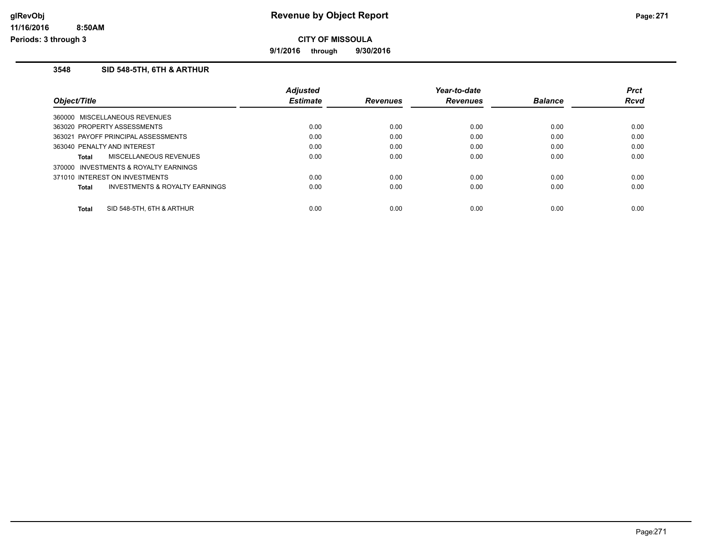**CITY OF MISSOULA**

**9/1/2016 through 9/30/2016**

# **3548 SID 548-5TH, 6TH & ARTHUR**

 **8:50AM**

|                             |                                       | <b>Adjusted</b> |                 | Year-to-date   |      | <b>Prct</b> |
|-----------------------------|---------------------------------------|-----------------|-----------------|----------------|------|-------------|
| Object/Title                | <b>Estimate</b>                       | <b>Revenues</b> | <b>Revenues</b> | <b>Balance</b> | Rcvd |             |
|                             | 360000 MISCELLANEOUS REVENUES         |                 |                 |                |      |             |
|                             | 363020 PROPERTY ASSESSMENTS           | 0.00            | 0.00            | 0.00           | 0.00 | 0.00        |
|                             | 363021 PAYOFF PRINCIPAL ASSESSMENTS   | 0.00            | 0.00            | 0.00           | 0.00 | 0.00        |
| 363040 PENALTY AND INTEREST |                                       | 0.00            | 0.00            | 0.00           | 0.00 | 0.00        |
| Total                       | MISCELLANEOUS REVENUES                | 0.00            | 0.00            | 0.00           | 0.00 | 0.00        |
|                             | 370000 INVESTMENTS & ROYALTY EARNINGS |                 |                 |                |      |             |
|                             | 371010 INTEREST ON INVESTMENTS        | 0.00            | 0.00            | 0.00           | 0.00 | 0.00        |
| Total                       | INVESTMENTS & ROYALTY EARNINGS        | 0.00            | 0.00            | 0.00           | 0.00 | 0.00        |
| <b>Total</b>                | SID 548-5TH, 6TH & ARTHUR             | 0.00            | 0.00            | 0.00           | 0.00 | 0.00        |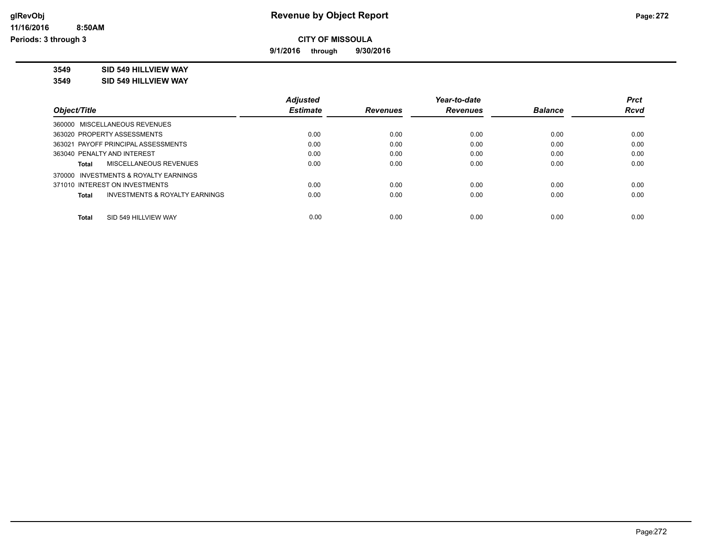**9/1/2016 through 9/30/2016**

**3549 SID 549 HILLVIEW WAY**

**3549 SID 549 HILLVIEW WAY**

|                                                    | <b>Adjusted</b> |                 | Year-to-date    |                | <b>Prct</b> |
|----------------------------------------------------|-----------------|-----------------|-----------------|----------------|-------------|
| Object/Title                                       | <b>Estimate</b> | <b>Revenues</b> | <b>Revenues</b> | <b>Balance</b> | <b>Rcvd</b> |
| 360000 MISCELLANEOUS REVENUES                      |                 |                 |                 |                |             |
| 363020 PROPERTY ASSESSMENTS                        | 0.00            | 0.00            | 0.00            | 0.00           | 0.00        |
| 363021 PAYOFF PRINCIPAL ASSESSMENTS                | 0.00            | 0.00            | 0.00            | 0.00           | 0.00        |
| 363040 PENALTY AND INTEREST                        | 0.00            | 0.00            | 0.00            | 0.00           | 0.00        |
| MISCELLANEOUS REVENUES<br>Total                    | 0.00            | 0.00            | 0.00            | 0.00           | 0.00        |
| 370000 INVESTMENTS & ROYALTY EARNINGS              |                 |                 |                 |                |             |
| 371010 INTEREST ON INVESTMENTS                     | 0.00            | 0.00            | 0.00            | 0.00           | 0.00        |
| <b>INVESTMENTS &amp; ROYALTY EARNINGS</b><br>Total | 0.00            | 0.00            | 0.00            | 0.00           | 0.00        |
| SID 549 HILLVIEW WAY<br>Total                      | 0.00            | 0.00            | 0.00            | 0.00           | 0.00        |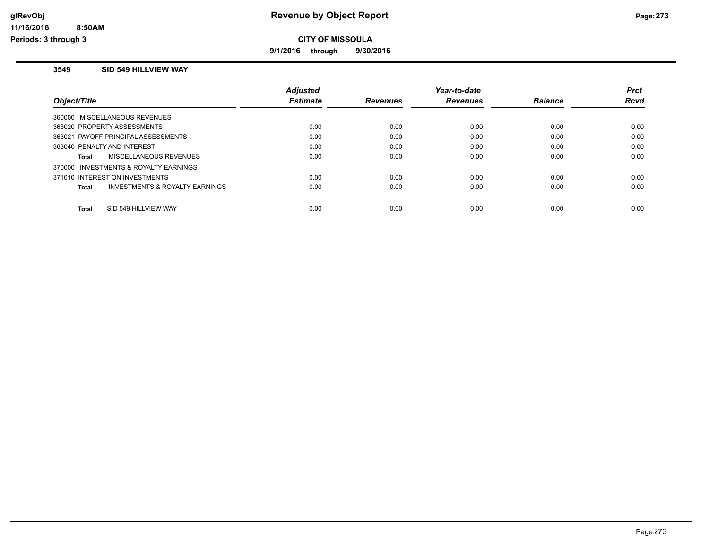**9/1/2016 through 9/30/2016**

#### **3549 SID 549 HILLVIEW WAY**

|                                         | <b>Adjusted</b> |                 | Year-to-date    |                | <b>Prct</b> |
|-----------------------------------------|-----------------|-----------------|-----------------|----------------|-------------|
| Object/Title                            | <b>Estimate</b> | <b>Revenues</b> | <b>Revenues</b> | <b>Balance</b> | Rcvd        |
| 360000 MISCELLANEOUS REVENUES           |                 |                 |                 |                |             |
| 363020 PROPERTY ASSESSMENTS             | 0.00            | 0.00            | 0.00            | 0.00           | 0.00        |
| 363021 PAYOFF PRINCIPAL ASSESSMENTS     | 0.00            | 0.00            | 0.00            | 0.00           | 0.00        |
| 363040 PENALTY AND INTEREST             | 0.00            | 0.00            | 0.00            | 0.00           | 0.00        |
| MISCELLANEOUS REVENUES<br>Total         | 0.00            | 0.00            | 0.00            | 0.00           | 0.00        |
| 370000 INVESTMENTS & ROYALTY EARNINGS   |                 |                 |                 |                |             |
| 371010 INTEREST ON INVESTMENTS          | 0.00            | 0.00            | 0.00            | 0.00           | 0.00        |
| INVESTMENTS & ROYALTY EARNINGS<br>Total | 0.00            | 0.00            | 0.00            | 0.00           | 0.00        |
|                                         |                 |                 |                 |                |             |
| SID 549 HILLVIEW WAY<br><b>Total</b>    | 0.00            | 0.00            | 0.00            | 0.00           | 0.00        |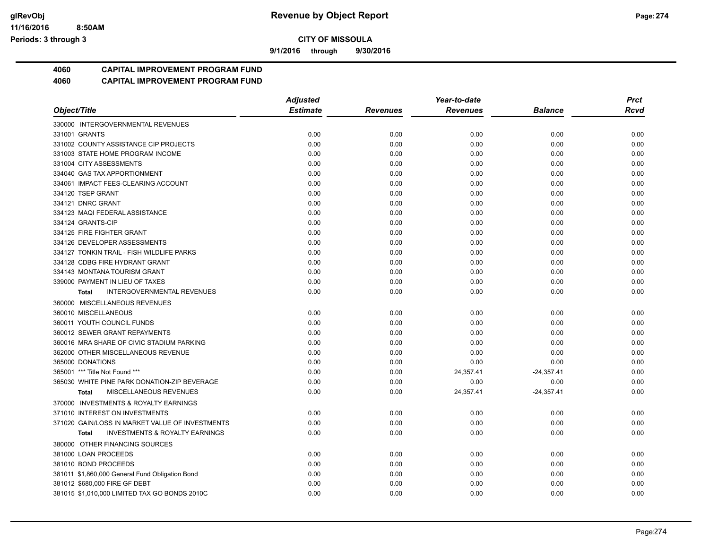**11/16/2016 8:50AM Periods: 3 through 3**

**CITY OF MISSOULA**

**9/1/2016 through 9/30/2016**

# **4060 CAPITAL IMPROVEMENT PROGRAM FUND**

|                                                    | <b>Adjusted</b> |                 | Year-to-date    |                | <b>Prct</b> |
|----------------------------------------------------|-----------------|-----------------|-----------------|----------------|-------------|
| Object/Title                                       | <b>Estimate</b> | <b>Revenues</b> | <b>Revenues</b> | <b>Balance</b> | <b>Rcvd</b> |
| 330000 INTERGOVERNMENTAL REVENUES                  |                 |                 |                 |                |             |
| 331001 GRANTS                                      | 0.00            | 0.00            | 0.00            | 0.00           | 0.00        |
| 331002 COUNTY ASSISTANCE CIP PROJECTS              | 0.00            | 0.00            | 0.00            | 0.00           | 0.00        |
| 331003 STATE HOME PROGRAM INCOME                   | 0.00            | 0.00            | 0.00            | 0.00           | 0.00        |
| 331004 CITY ASSESSMENTS                            | 0.00            | 0.00            | 0.00            | 0.00           | 0.00        |
| 334040 GAS TAX APPORTIONMENT                       | 0.00            | 0.00            | 0.00            | 0.00           | 0.00        |
| 334061 IMPACT FEES-CLEARING ACCOUNT                | 0.00            | 0.00            | 0.00            | 0.00           | 0.00        |
| 334120 TSEP GRANT                                  | 0.00            | 0.00            | 0.00            | 0.00           | 0.00        |
| 334121 DNRC GRANT                                  | 0.00            | 0.00            | 0.00            | 0.00           | 0.00        |
| 334123 MAQI FEDERAL ASSISTANCE                     | 0.00            | 0.00            | 0.00            | 0.00           | 0.00        |
| 334124 GRANTS-CIP                                  | 0.00            | 0.00            | 0.00            | 0.00           | 0.00        |
| 334125 FIRE FIGHTER GRANT                          | 0.00            | 0.00            | 0.00            | 0.00           | 0.00        |
| 334126 DEVELOPER ASSESSMENTS                       | 0.00            | 0.00            | 0.00            | 0.00           | 0.00        |
| 334127 TONKIN TRAIL - FISH WILDLIFE PARKS          | 0.00            | 0.00            | 0.00            | 0.00           | 0.00        |
| 334128 CDBG FIRE HYDRANT GRANT                     | 0.00            | 0.00            | 0.00            | 0.00           | 0.00        |
| 334143 MONTANA TOURISM GRANT                       | 0.00            | 0.00            | 0.00            | 0.00           | 0.00        |
| 339000 PAYMENT IN LIEU OF TAXES                    | 0.00            | 0.00            | 0.00            | 0.00           | 0.00        |
| <b>INTERGOVERNMENTAL REVENUES</b><br><b>Total</b>  | 0.00            | 0.00            | 0.00            | 0.00           | 0.00        |
| 360000 MISCELLANEOUS REVENUES                      |                 |                 |                 |                |             |
| 360010 MISCELLANEOUS                               | 0.00            | 0.00            | 0.00            | 0.00           | 0.00        |
| 360011 YOUTH COUNCIL FUNDS                         | 0.00            | 0.00            | 0.00            | 0.00           | 0.00        |
| 360012 SEWER GRANT REPAYMENTS                      | 0.00            | 0.00            | 0.00            | 0.00           | 0.00        |
| 360016 MRA SHARE OF CIVIC STADIUM PARKING          | 0.00            | 0.00            | 0.00            | 0.00           | 0.00        |
| 362000 OTHER MISCELLANEOUS REVENUE                 | 0.00            | 0.00            | 0.00            | 0.00           | 0.00        |
| 365000 DONATIONS                                   | 0.00            | 0.00            | 0.00            | 0.00           | 0.00        |
| 365001 *** Title Not Found ***                     | 0.00            | 0.00            | 24,357.41       | $-24,357.41$   | 0.00        |
| 365030 WHITE PINE PARK DONATION-ZIP BEVERAGE       | 0.00            | 0.00            | 0.00            | 0.00           | 0.00        |
| MISCELLANEOUS REVENUES<br>Total                    | 0.00            | 0.00            | 24,357.41       | $-24,357.41$   | 0.00        |
| 370000 INVESTMENTS & ROYALTY EARNINGS              |                 |                 |                 |                |             |
| 371010 INTEREST ON INVESTMENTS                     | 0.00            | 0.00            | 0.00            | 0.00           | 0.00        |
| 371020 GAIN/LOSS IN MARKET VALUE OF INVESTMENTS    | 0.00            | 0.00            | 0.00            | 0.00           | 0.00        |
| <b>INVESTMENTS &amp; ROYALTY EARNINGS</b><br>Total | 0.00            | 0.00            | 0.00            | 0.00           | 0.00        |
| 380000 OTHER FINANCING SOURCES                     |                 |                 |                 |                |             |
| 381000 LOAN PROCEEDS                               | 0.00            | 0.00            | 0.00            | 0.00           | 0.00        |
| 381010 BOND PROCEEDS                               | 0.00            | 0.00            | 0.00            | 0.00           | 0.00        |
| 381011 \$1,860,000 General Fund Obligation Bond    | 0.00            | 0.00            | 0.00            | 0.00           | 0.00        |
| 381012 \$680,000 FIRE GF DEBT                      | 0.00            | 0.00            | 0.00            | 0.00           | 0.00        |
| 381015 \$1,010,000 LIMITED TAX GO BONDS 2010C      | 0.00            | 0.00            | 0.00            | 0.00           | 0.00        |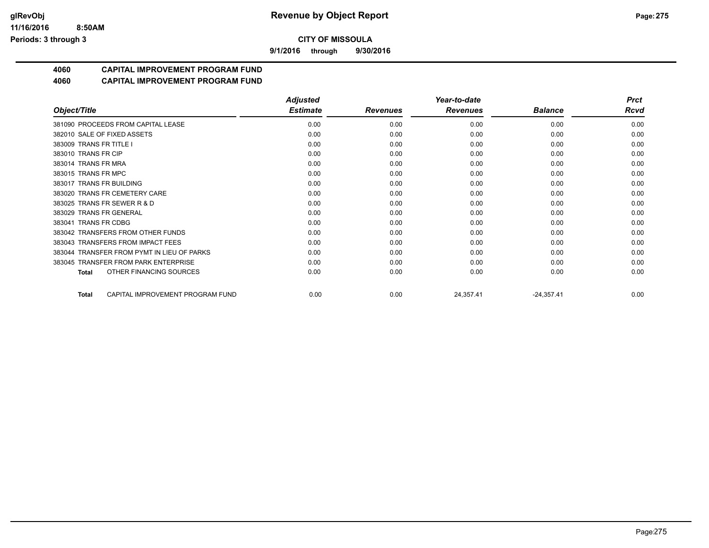**8:50AM**

**glRevObj Revenue by Object Report Page:275** 

**CITY OF MISSOULA**

**9/1/2016 through 9/30/2016**

# **4060 CAPITAL IMPROVEMENT PROGRAM FUND**

|                                                  | <b>Adjusted</b> |                 | Year-to-date    |                | Prct |
|--------------------------------------------------|-----------------|-----------------|-----------------|----------------|------|
| Object/Title                                     | <b>Estimate</b> | <b>Revenues</b> | <b>Revenues</b> | <b>Balance</b> | Rcvd |
| 381090 PROCEEDS FROM CAPITAL LEASE               | 0.00            | 0.00            | 0.00            | 0.00           | 0.00 |
| 382010 SALE OF FIXED ASSETS                      | 0.00            | 0.00            | 0.00            | 0.00           | 0.00 |
| 383009 TRANS FR TITLE I                          | 0.00            | 0.00            | 0.00            | 0.00           | 0.00 |
| 383010 TRANS FR CIP                              | 0.00            | 0.00            | 0.00            | 0.00           | 0.00 |
| 383014 TRANS FR MRA                              | 0.00            | 0.00            | 0.00            | 0.00           | 0.00 |
| 383015 TRANS FR MPC                              | 0.00            | 0.00            | 0.00            | 0.00           | 0.00 |
| 383017 TRANS FR BUILDING                         | 0.00            | 0.00            | 0.00            | 0.00           | 0.00 |
| 383020 TRANS FR CEMETERY CARE                    | 0.00            | 0.00            | 0.00            | 0.00           | 0.00 |
| 383025 TRANS FR SEWER R & D                      | 0.00            | 0.00            | 0.00            | 0.00           | 0.00 |
| 383029 TRANS FR GENERAL                          | 0.00            | 0.00            | 0.00            | 0.00           | 0.00 |
| 383041 TRANS FR CDBG                             | 0.00            | 0.00            | 0.00            | 0.00           | 0.00 |
| 383042 TRANSFERS FROM OTHER FUNDS                | 0.00            | 0.00            | 0.00            | 0.00           | 0.00 |
| 383043 TRANSFERS FROM IMPACT FEES                | 0.00            | 0.00            | 0.00            | 0.00           | 0.00 |
| 383044 TRANSFER FROM PYMT IN LIEU OF PARKS       | 0.00            | 0.00            | 0.00            | 0.00           | 0.00 |
| 383045 TRANSFER FROM PARK ENTERPRISE             | 0.00            | 0.00            | 0.00            | 0.00           | 0.00 |
| OTHER FINANCING SOURCES<br><b>Total</b>          | 0.00            | 0.00            | 0.00            | 0.00           | 0.00 |
| CAPITAL IMPROVEMENT PROGRAM FUND<br><b>Total</b> | 0.00            | 0.00            | 24,357.41       | $-24,357.41$   | 0.00 |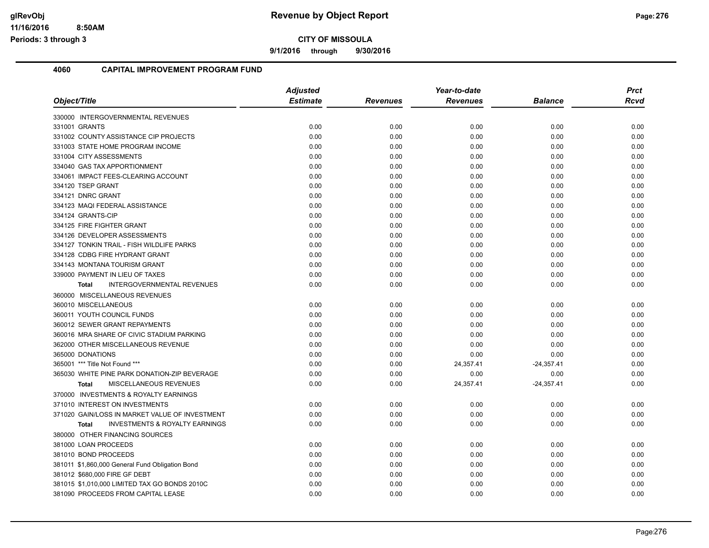**9/1/2016 through 9/30/2016**

|                                                    | <b>Adjusted</b> |                 | Year-to-date    |                | <b>Prct</b> |
|----------------------------------------------------|-----------------|-----------------|-----------------|----------------|-------------|
| Object/Title                                       | <b>Estimate</b> | <b>Revenues</b> | <b>Revenues</b> | <b>Balance</b> | <b>Rcvd</b> |
| 330000 INTERGOVERNMENTAL REVENUES                  |                 |                 |                 |                |             |
| 331001 GRANTS                                      | 0.00            | 0.00            | 0.00            | 0.00           | 0.00        |
| 331002 COUNTY ASSISTANCE CIP PROJECTS              | 0.00            | 0.00            | 0.00            | 0.00           | 0.00        |
| 331003 STATE HOME PROGRAM INCOME                   | 0.00            | 0.00            | 0.00            | 0.00           | 0.00        |
| 331004 CITY ASSESSMENTS                            | 0.00            | 0.00            | 0.00            | 0.00           | 0.00        |
| 334040 GAS TAX APPORTIONMENT                       | 0.00            | 0.00            | 0.00            | 0.00           | 0.00        |
| 334061 IMPACT FEES-CLEARING ACCOUNT                | 0.00            | 0.00            | 0.00            | 0.00           | 0.00        |
| 334120 TSEP GRANT                                  | 0.00            | 0.00            | 0.00            | 0.00           | 0.00        |
| 334121 DNRC GRANT                                  | 0.00            | 0.00            | 0.00            | 0.00           | 0.00        |
| 334123 MAQI FEDERAL ASSISTANCE                     | 0.00            | 0.00            | 0.00            | 0.00           | 0.00        |
| 334124 GRANTS-CIP                                  | 0.00            | 0.00            | 0.00            | 0.00           | 0.00        |
| 334125 FIRE FIGHTER GRANT                          | 0.00            | 0.00            | 0.00            | 0.00           | 0.00        |
| 334126 DEVELOPER ASSESSMENTS                       | 0.00            | 0.00            | 0.00            | 0.00           | 0.00        |
| 334127 TONKIN TRAIL - FISH WILDLIFE PARKS          | 0.00            | 0.00            | 0.00            | 0.00           | 0.00        |
| 334128 CDBG FIRE HYDRANT GRANT                     | 0.00            | 0.00            | 0.00            | 0.00           | 0.00        |
| 334143 MONTANA TOURISM GRANT                       | 0.00            | 0.00            | 0.00            | 0.00           | 0.00        |
| 339000 PAYMENT IN LIEU OF TAXES                    | 0.00            | 0.00            | 0.00            | 0.00           | 0.00        |
| <b>INTERGOVERNMENTAL REVENUES</b><br><b>Total</b>  | 0.00            | 0.00            | 0.00            | 0.00           | 0.00        |
| 360000 MISCELLANEOUS REVENUES                      |                 |                 |                 |                |             |
| 360010 MISCELLANEOUS                               | 0.00            | 0.00            | 0.00            | 0.00           | 0.00        |
| 360011 YOUTH COUNCIL FUNDS                         | 0.00            | 0.00            | 0.00            | 0.00           | 0.00        |
| 360012 SEWER GRANT REPAYMENTS                      | 0.00            | 0.00            | 0.00            | 0.00           | 0.00        |
| 360016 MRA SHARE OF CIVIC STADIUM PARKING          | 0.00            | 0.00            | 0.00            | 0.00           | 0.00        |
| 362000 OTHER MISCELLANEOUS REVENUE                 | 0.00            | 0.00            | 0.00            | 0.00           | 0.00        |
| 365000 DONATIONS                                   | 0.00            | 0.00            | 0.00            | 0.00           | 0.00        |
| 365001 *** Title Not Found ***                     | 0.00            | 0.00            | 24,357.41       | $-24,357.41$   | 0.00        |
| 365030 WHITE PINE PARK DONATION-ZIP BEVERAGE       | 0.00            | 0.00            | 0.00            | 0.00           | 0.00        |
| <b>MISCELLANEOUS REVENUES</b><br><b>Total</b>      | 0.00            | 0.00            | 24,357.41       | $-24,357.41$   | 0.00        |
| 370000 INVESTMENTS & ROYALTY EARNINGS              |                 |                 |                 |                |             |
| 371010 INTEREST ON INVESTMENTS                     | 0.00            | 0.00            | 0.00            | 0.00           | 0.00        |
| 371020 GAIN/LOSS IN MARKET VALUE OF INVESTMENT     | 0.00            | 0.00            | 0.00            | 0.00           | 0.00        |
| <b>INVESTMENTS &amp; ROYALTY EARNINGS</b><br>Total | 0.00            | 0.00            | 0.00            | 0.00           | 0.00        |
| 380000 OTHER FINANCING SOURCES                     |                 |                 |                 |                |             |
| 381000 LOAN PROCEEDS                               | 0.00            | 0.00            | 0.00            | 0.00           | 0.00        |
| 381010 BOND PROCEEDS                               | 0.00            | 0.00            | 0.00            | 0.00           | 0.00        |
| 381011 \$1,860,000 General Fund Obligation Bond    | 0.00            | 0.00            | 0.00            | 0.00           | 0.00        |
| 381012 \$680,000 FIRE GF DEBT                      | 0.00            | 0.00            | 0.00            | 0.00           | 0.00        |
| 381015 \$1,010,000 LIMITED TAX GO BONDS 2010C      | 0.00            | 0.00            | 0.00            | 0.00           | 0.00        |
| 381090 PROCEEDS FROM CAPITAL LEASE                 | 0.00            | 0.00            | 0.00            | 0.00           | 0.00        |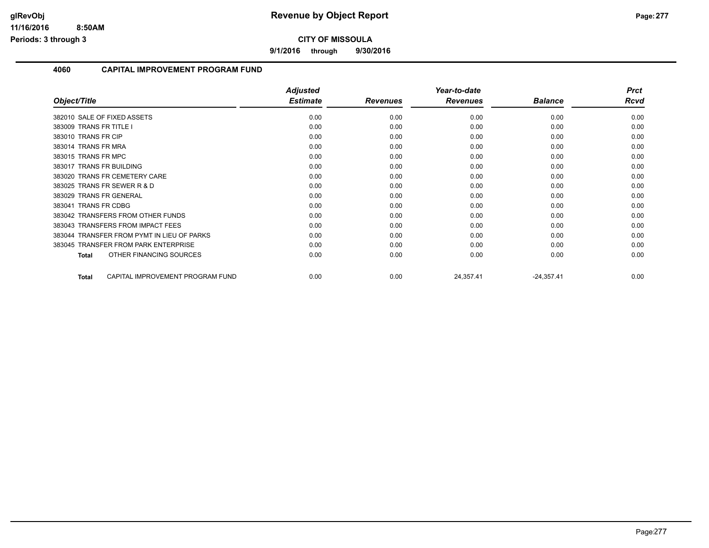**8:50AM**

**CITY OF MISSOULA**

**9/1/2016 through 9/30/2016**

|                                            | <b>Adjusted</b> |                 | Year-to-date    |                | <b>Prct</b> |
|--------------------------------------------|-----------------|-----------------|-----------------|----------------|-------------|
| Object/Title                               | <b>Estimate</b> | <b>Revenues</b> | <b>Revenues</b> | <b>Balance</b> | Rcvd        |
| 382010 SALE OF FIXED ASSETS                | 0.00            | 0.00            | 0.00            | 0.00           | 0.00        |
| 383009 TRANS FR TITLE I                    | 0.00            | 0.00            | 0.00            | 0.00           | 0.00        |
| 383010 TRANS FR CIP                        | 0.00            | 0.00            | 0.00            | 0.00           | 0.00        |
| 383014 TRANS FR MRA                        | 0.00            | 0.00            | 0.00            | 0.00           | 0.00        |
| 383015 TRANS FR MPC                        | 0.00            | 0.00            | 0.00            | 0.00           | 0.00        |
| 383017 TRANS FR BUILDING                   | 0.00            | 0.00            | 0.00            | 0.00           | 0.00        |
| 383020 TRANS FR CEMETERY CARE              | 0.00            | 0.00            | 0.00            | 0.00           | 0.00        |
| 383025 TRANS FR SEWER R & D                | 0.00            | 0.00            | 0.00            | 0.00           | 0.00        |
| 383029 TRANS FR GENERAL                    | 0.00            | 0.00            | 0.00            | 0.00           | 0.00        |
| 383041 TRANS FR CDBG                       | 0.00            | 0.00            | 0.00            | 0.00           | 0.00        |
| 383042 TRANSFERS FROM OTHER FUNDS          | 0.00            | 0.00            | 0.00            | 0.00           | 0.00        |
| 383043 TRANSFERS FROM IMPACT FEES          | 0.00            | 0.00            | 0.00            | 0.00           | 0.00        |
| 383044 TRANSFER FROM PYMT IN LIEU OF PARKS | 0.00            | 0.00            | 0.00            | 0.00           | 0.00        |
| 383045 TRANSFER FROM PARK ENTERPRISE       | 0.00            | 0.00            | 0.00            | 0.00           | 0.00        |
| OTHER FINANCING SOURCES<br><b>Total</b>    | 0.00            | 0.00            | 0.00            | 0.00           | 0.00        |
| CAPITAL IMPROVEMENT PROGRAM FUND<br>Total  | 0.00            | 0.00            | 24,357.41       | $-24,357.41$   | 0.00        |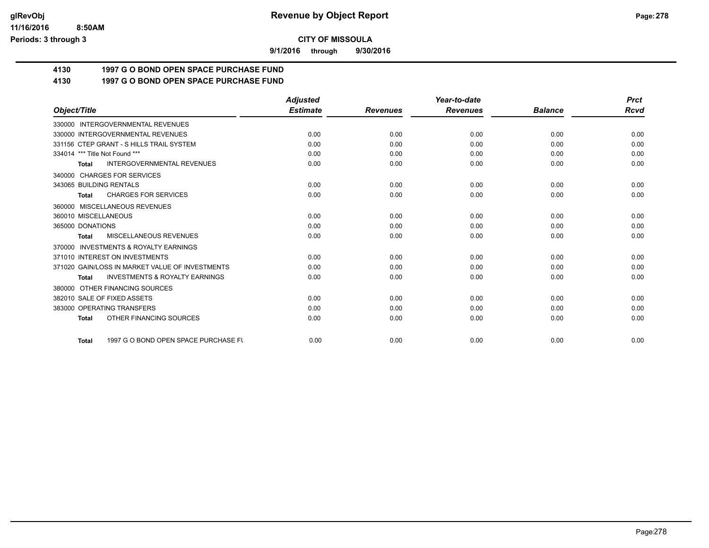**11/16/2016 8:50AM Periods: 3 through 3**

**CITY OF MISSOULA**

**9/1/2016 through 9/30/2016**

# **4130 1997 G O BOND OPEN SPACE PURCHASE FUND**

# **4130 1997 G O BOND OPEN SPACE PURCHASE FUND**

|                                                           | <b>Adjusted</b> |                 | Year-to-date    |                | <b>Prct</b> |
|-----------------------------------------------------------|-----------------|-----------------|-----------------|----------------|-------------|
| Object/Title                                              | <b>Estimate</b> | <b>Revenues</b> | <b>Revenues</b> | <b>Balance</b> | <b>Rcvd</b> |
| 330000 INTERGOVERNMENTAL REVENUES                         |                 |                 |                 |                |             |
| 330000 INTERGOVERNMENTAL REVENUES                         | 0.00            | 0.00            | 0.00            | 0.00           | 0.00        |
| 331156 CTEP GRANT - S HILLS TRAIL SYSTEM                  | 0.00            | 0.00            | 0.00            | 0.00           | 0.00        |
| 334014 *** Title Not Found ***                            | 0.00            | 0.00            | 0.00            | 0.00           | 0.00        |
| <b>INTERGOVERNMENTAL REVENUES</b><br><b>Total</b>         | 0.00            | 0.00            | 0.00            | 0.00           | 0.00        |
| 340000 CHARGES FOR SERVICES                               |                 |                 |                 |                |             |
| 343065 BUILDING RENTALS                                   | 0.00            | 0.00            | 0.00            | 0.00           | 0.00        |
| <b>CHARGES FOR SERVICES</b><br><b>Total</b>               | 0.00            | 0.00            | 0.00            | 0.00           | 0.00        |
| 360000 MISCELLANEOUS REVENUES                             |                 |                 |                 |                |             |
| 360010 MISCELLANEOUS                                      | 0.00            | 0.00            | 0.00            | 0.00           | 0.00        |
| 365000 DONATIONS                                          | 0.00            | 0.00            | 0.00            | 0.00           | 0.00        |
| MISCELLANEOUS REVENUES<br><b>Total</b>                    | 0.00            | 0.00            | 0.00            | 0.00           | 0.00        |
| <b>INVESTMENTS &amp; ROYALTY EARNINGS</b><br>370000       |                 |                 |                 |                |             |
| 371010 INTEREST ON INVESTMENTS                            | 0.00            | 0.00            | 0.00            | 0.00           | 0.00        |
| 371020 GAIN/LOSS IN MARKET VALUE OF INVESTMENTS           | 0.00            | 0.00            | 0.00            | 0.00           | 0.00        |
| <b>INVESTMENTS &amp; ROYALTY EARNINGS</b><br><b>Total</b> | 0.00            | 0.00            | 0.00            | 0.00           | 0.00        |
| OTHER FINANCING SOURCES<br>380000                         |                 |                 |                 |                |             |
| 382010 SALE OF FIXED ASSETS                               | 0.00            | 0.00            | 0.00            | 0.00           | 0.00        |
| 383000 OPERATING TRANSFERS                                | 0.00            | 0.00            | 0.00            | 0.00           | 0.00        |
| OTHER FINANCING SOURCES<br><b>Total</b>                   | 0.00            | 0.00            | 0.00            | 0.00           | 0.00        |
| 1997 G O BOND OPEN SPACE PURCHASE FU<br><b>Total</b>      | 0.00            | 0.00            | 0.00            | 0.00           | 0.00        |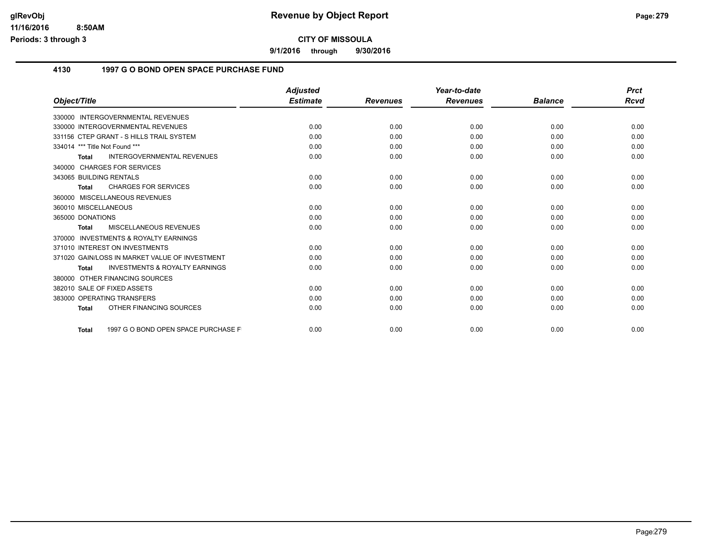**9/1/2016 through 9/30/2016**

## **4130 1997 G O BOND OPEN SPACE PURCHASE FUND**

|                                                           | <b>Adjusted</b> |                 | Year-to-date    |                | <b>Prct</b> |
|-----------------------------------------------------------|-----------------|-----------------|-----------------|----------------|-------------|
| Object/Title                                              | <b>Estimate</b> | <b>Revenues</b> | <b>Revenues</b> | <b>Balance</b> | <b>Rcvd</b> |
| 330000 INTERGOVERNMENTAL REVENUES                         |                 |                 |                 |                |             |
| 330000 INTERGOVERNMENTAL REVENUES                         | 0.00            | 0.00            | 0.00            | 0.00           | 0.00        |
| 331156 CTEP GRANT - S HILLS TRAIL SYSTEM                  | 0.00            | 0.00            | 0.00            | 0.00           | 0.00        |
| 334014 *** Title Not Found ***                            | 0.00            | 0.00            | 0.00            | 0.00           | 0.00        |
| <b>INTERGOVERNMENTAL REVENUES</b><br><b>Total</b>         | 0.00            | 0.00            | 0.00            | 0.00           | 0.00        |
| 340000 CHARGES FOR SERVICES                               |                 |                 |                 |                |             |
| 343065 BUILDING RENTALS                                   | 0.00            | 0.00            | 0.00            | 0.00           | 0.00        |
| <b>CHARGES FOR SERVICES</b><br>Total                      | 0.00            | 0.00            | 0.00            | 0.00           | 0.00        |
| 360000 MISCELLANEOUS REVENUES                             |                 |                 |                 |                |             |
| 360010 MISCELLANEOUS                                      | 0.00            | 0.00            | 0.00            | 0.00           | 0.00        |
| 365000 DONATIONS                                          | 0.00            | 0.00            | 0.00            | 0.00           | 0.00        |
| MISCELLANEOUS REVENUES<br>Total                           | 0.00            | 0.00            | 0.00            | 0.00           | 0.00        |
| 370000 INVESTMENTS & ROYALTY EARNINGS                     |                 |                 |                 |                |             |
| 371010 INTEREST ON INVESTMENTS                            | 0.00            | 0.00            | 0.00            | 0.00           | 0.00        |
| 371020 GAIN/LOSS IN MARKET VALUE OF INVESTMENT            | 0.00            | 0.00            | 0.00            | 0.00           | 0.00        |
| <b>INVESTMENTS &amp; ROYALTY EARNINGS</b><br><b>Total</b> | 0.00            | 0.00            | 0.00            | 0.00           | 0.00        |
| 380000 OTHER FINANCING SOURCES                            |                 |                 |                 |                |             |
| 382010 SALE OF FIXED ASSETS                               | 0.00            | 0.00            | 0.00            | 0.00           | 0.00        |
| 383000 OPERATING TRANSFERS                                | 0.00            | 0.00            | 0.00            | 0.00           | 0.00        |
| OTHER FINANCING SOURCES<br>Total                          | 0.00            | 0.00            | 0.00            | 0.00           | 0.00        |
| 1997 G O BOND OPEN SPACE PURCHASE F<br><b>Total</b>       | 0.00            | 0.00            | 0.00            | 0.00           | 0.00        |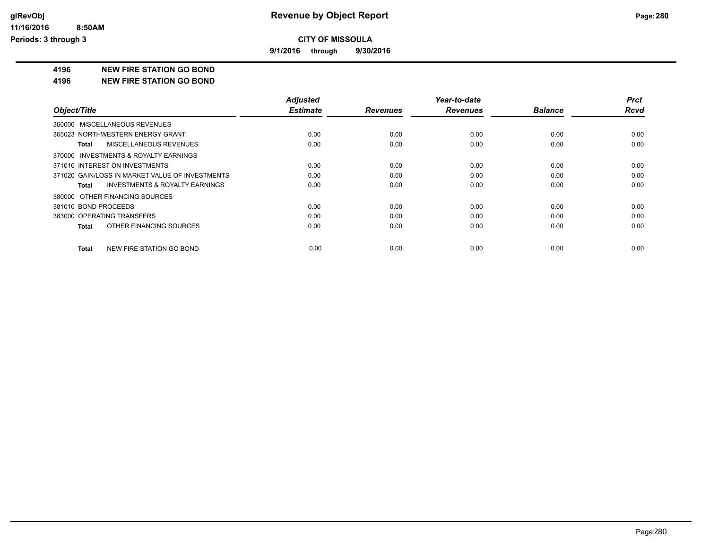**9/1/2016 through 9/30/2016**

## **4196 NEW FIRE STATION GO BOND**

#### **4196 NEW FIRE STATION GO BOND**

|                                                    | <b>Adjusted</b> |                 | Year-to-date    |                | <b>Prct</b> |
|----------------------------------------------------|-----------------|-----------------|-----------------|----------------|-------------|
| Object/Title                                       | <b>Estimate</b> | <b>Revenues</b> | <b>Revenues</b> | <b>Balance</b> | <b>Rcvd</b> |
| 360000 MISCELLANEOUS REVENUES                      |                 |                 |                 |                |             |
| 365023 NORTHWESTERN ENERGY GRANT                   | 0.00            | 0.00            | 0.00            | 0.00           | 0.00        |
| MISCELLANEOUS REVENUES<br>Total                    | 0.00            | 0.00            | 0.00            | 0.00           | 0.00        |
| 370000 INVESTMENTS & ROYALTY EARNINGS              |                 |                 |                 |                |             |
| 371010 INTEREST ON INVESTMENTS                     | 0.00            | 0.00            | 0.00            | 0.00           | 0.00        |
| 371020 GAIN/LOSS IN MARKET VALUE OF INVESTMENTS    | 0.00            | 0.00            | 0.00            | 0.00           | 0.00        |
| <b>INVESTMENTS &amp; ROYALTY EARNINGS</b><br>Total | 0.00            | 0.00            | 0.00            | 0.00           | 0.00        |
| 380000 OTHER FINANCING SOURCES                     |                 |                 |                 |                |             |
| 381010 BOND PROCEEDS                               | 0.00            | 0.00            | 0.00            | 0.00           | 0.00        |
| 383000 OPERATING TRANSFERS                         | 0.00            | 0.00            | 0.00            | 0.00           | 0.00        |
| OTHER FINANCING SOURCES<br>Total                   | 0.00            | 0.00            | 0.00            | 0.00           | 0.00        |
| NEW FIRE STATION GO BOND<br>Total                  | 0.00            | 0.00            | 0.00            | 0.00           | 0.00        |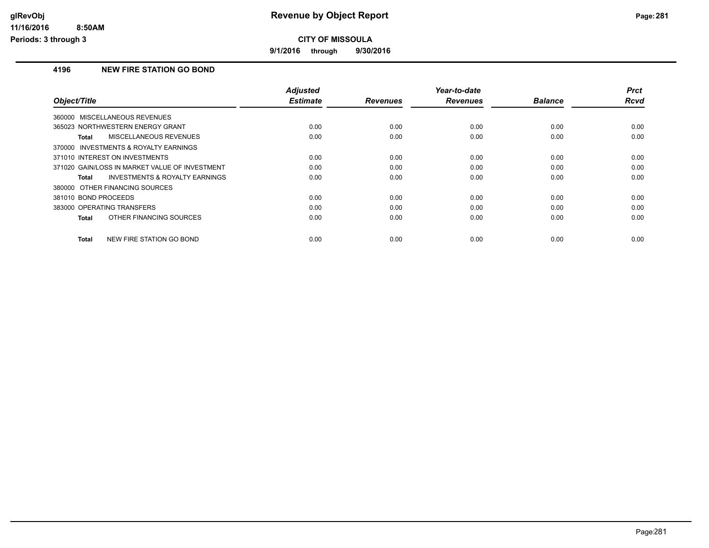**CITY OF MISSOULA**

**9/1/2016 through 9/30/2016**

# **4196 NEW FIRE STATION GO BOND**

 **8:50AM**

| Object/Title                                   | <b>Adjusted</b><br><b>Estimate</b> | <b>Revenues</b> | Year-to-date<br><b>Revenues</b> | <b>Balance</b> | <b>Prct</b><br><b>Rcvd</b> |
|------------------------------------------------|------------------------------------|-----------------|---------------------------------|----------------|----------------------------|
| 360000 MISCELLANEOUS REVENUES                  |                                    |                 |                                 |                |                            |
| 365023 NORTHWESTERN ENERGY GRANT               | 0.00                               | 0.00            | 0.00                            | 0.00           | 0.00                       |
| <b>MISCELLANEOUS REVENUES</b><br>Total         | 0.00                               | 0.00            | 0.00                            | 0.00           | 0.00                       |
| 370000 INVESTMENTS & ROYALTY EARNINGS          |                                    |                 |                                 |                |                            |
| 371010 INTEREST ON INVESTMENTS                 | 0.00                               | 0.00            | 0.00                            | 0.00           | 0.00                       |
| 371020 GAIN/LOSS IN MARKET VALUE OF INVESTMENT | 0.00                               | 0.00            | 0.00                            | 0.00           | 0.00                       |
| INVESTMENTS & ROYALTY EARNINGS<br>Total        | 0.00                               | 0.00            | 0.00                            | 0.00           | 0.00                       |
| 380000 OTHER FINANCING SOURCES                 |                                    |                 |                                 |                |                            |
| 381010 BOND PROCEEDS                           | 0.00                               | 0.00            | 0.00                            | 0.00           | 0.00                       |
| 383000 OPERATING TRANSFERS                     | 0.00                               | 0.00            | 0.00                            | 0.00           | 0.00                       |
| OTHER FINANCING SOURCES<br>Total               | 0.00                               | 0.00            | 0.00                            | 0.00           | 0.00                       |
| <b>NEW FIRE STATION GO BOND</b><br>Total       | 0.00                               | 0.00            | 0.00                            | 0.00           | 0.00                       |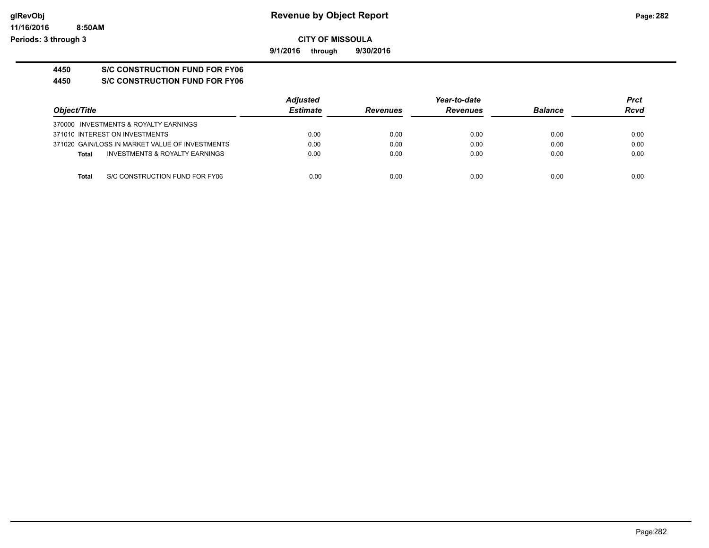**glRevObj Revenue by Object Report Page:282** 

**CITY OF MISSOULA**

**9/1/2016 through 9/30/2016**

# **4450 S/C CONSTRUCTION FUND FOR FY06**

 **8:50AM**

**4450 S/C CONSTRUCTION FUND FOR FY06**

|                                                           | <b>Adjusted</b> |                 | Year-to-date    |                | <b>Prct</b> |
|-----------------------------------------------------------|-----------------|-----------------|-----------------|----------------|-------------|
| Object/Title                                              | <b>Estimate</b> | <b>Revenues</b> | <b>Revenues</b> | <b>Balance</b> | <b>Rcvd</b> |
| 370000 INVESTMENTS & ROYALTY EARNINGS                     |                 |                 |                 |                |             |
| 371010 INTEREST ON INVESTMENTS                            | 0.00            | 0.00            | 0.00            | 0.00           | 0.00        |
| 371020 GAIN/LOSS IN MARKET VALUE OF INVESTMENTS           | 0.00            | 0.00            | 0.00            | 0.00           | 0.00        |
| <b>INVESTMENTS &amp; ROYALTY EARNINGS</b><br><b>Total</b> | 0.00            | 0.00            | 0.00            | 0.00           | 0.00        |
|                                                           |                 |                 |                 |                |             |
| S/C CONSTRUCTION FUND FOR FY06<br><b>Total</b>            | 0.00            | 0.00            | 0.00            | 0.00           | 0.00        |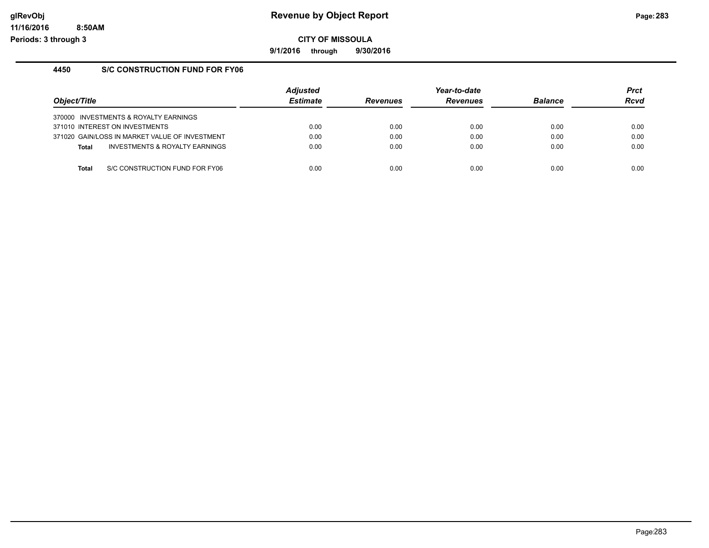**8:50AM**

**CITY OF MISSOULA**

**9/1/2016 through 9/30/2016**

## **4450 S/C CONSTRUCTION FUND FOR FY06**

| Object/Title |                                                | <b>Adjusted</b><br><b>Estimate</b> | <b>Revenues</b> | Year-to-date<br><b>Revenues</b> | <b>Balance</b> | <b>Prct</b><br>Rcvd |
|--------------|------------------------------------------------|------------------------------------|-----------------|---------------------------------|----------------|---------------------|
|              | 370000 INVESTMENTS & ROYALTY EARNINGS          |                                    |                 |                                 |                |                     |
|              | 371010 INTEREST ON INVESTMENTS                 | 0.00                               | 0.00            | 0.00                            | 0.00           | 0.00                |
|              | 371020 GAIN/LOSS IN MARKET VALUE OF INVESTMENT | 0.00                               | 0.00            | 0.00                            | 0.00           | 0.00                |
| Total        | <b>INVESTMENTS &amp; ROYALTY EARNINGS</b>      | 0.00                               | 0.00            | 0.00                            | 0.00           | 0.00                |
|              |                                                |                                    |                 |                                 |                |                     |
| Total        | S/C CONSTRUCTION FUND FOR FY06                 | 0.00                               | 0.00            | 0.00                            | 0.00           | 0.00                |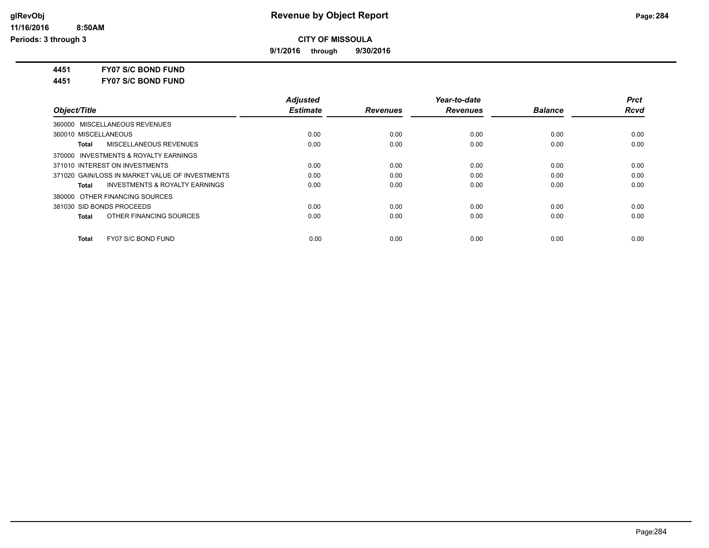**9/1/2016 through 9/30/2016**

**4451 FY07 S/C BOND FUND**

**4451 FY07 S/C BOND FUND**

| Object/Title                                       | <b>Adjusted</b><br><b>Estimate</b> | <b>Revenues</b> | Year-to-date<br><b>Revenues</b> | <b>Balance</b> | <b>Prct</b><br><b>Rcvd</b> |
|----------------------------------------------------|------------------------------------|-----------------|---------------------------------|----------------|----------------------------|
| 360000 MISCELLANEOUS REVENUES                      |                                    |                 |                                 |                |                            |
| 360010 MISCELLANEOUS                               | 0.00                               | 0.00            | 0.00                            | 0.00           | 0.00                       |
| MISCELLANEOUS REVENUES<br>Total                    | 0.00                               | 0.00            | 0.00                            | 0.00           | 0.00                       |
| 370000 INVESTMENTS & ROYALTY EARNINGS              |                                    |                 |                                 |                |                            |
| 371010 INTEREST ON INVESTMENTS                     | 0.00                               | 0.00            | 0.00                            | 0.00           | 0.00                       |
| 371020 GAIN/LOSS IN MARKET VALUE OF INVESTMENTS    | 0.00                               | 0.00            | 0.00                            | 0.00           | 0.00                       |
| <b>INVESTMENTS &amp; ROYALTY EARNINGS</b><br>Total | 0.00                               | 0.00            | 0.00                            | 0.00           | 0.00                       |
| 380000 OTHER FINANCING SOURCES                     |                                    |                 |                                 |                |                            |
| 381030 SID BONDS PROCEEDS                          | 0.00                               | 0.00            | 0.00                            | 0.00           | 0.00                       |
| OTHER FINANCING SOURCES<br><b>Total</b>            | 0.00                               | 0.00            | 0.00                            | 0.00           | 0.00                       |
| FY07 S/C BOND FUND<br><b>Total</b>                 | 0.00                               | 0.00            | 0.00                            | 0.00           | 0.00                       |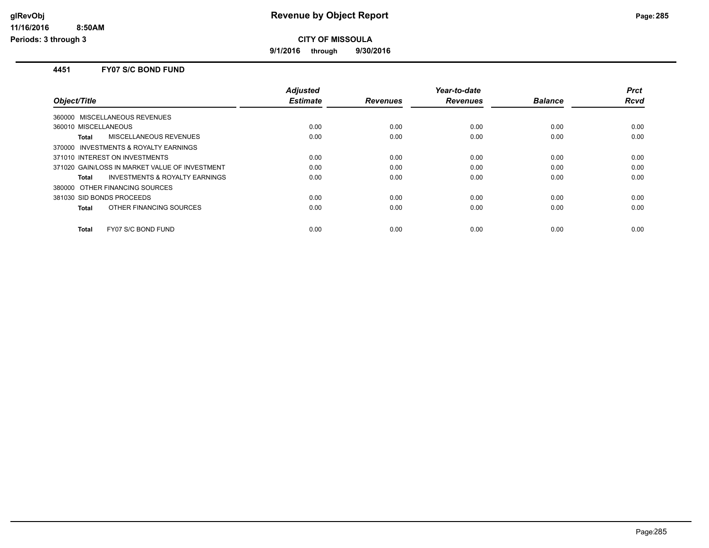**CITY OF MISSOULA**

**9/1/2016 through 9/30/2016**

#### **4451 FY07 S/C BOND FUND**

 **8:50AM**

| Object/Title                                       | <b>Adjusted</b><br><b>Estimate</b> | <b>Revenues</b> | Year-to-date<br><b>Revenues</b> | <b>Balance</b> | <b>Prct</b><br><b>Rcvd</b> |
|----------------------------------------------------|------------------------------------|-----------------|---------------------------------|----------------|----------------------------|
| 360000 MISCELLANEOUS REVENUES                      |                                    |                 |                                 |                |                            |
| 360010 MISCELLANEOUS                               | 0.00                               | 0.00            | 0.00                            | 0.00           | 0.00                       |
| MISCELLANEOUS REVENUES<br>Total                    | 0.00                               | 0.00            | 0.00                            | 0.00           | 0.00                       |
| 370000 INVESTMENTS & ROYALTY EARNINGS              |                                    |                 |                                 |                |                            |
| 371010 INTEREST ON INVESTMENTS                     | 0.00                               | 0.00            | 0.00                            | 0.00           | 0.00                       |
| 371020 GAIN/LOSS IN MARKET VALUE OF INVESTMENT     | 0.00                               | 0.00            | 0.00                            | 0.00           | 0.00                       |
| <b>INVESTMENTS &amp; ROYALTY EARNINGS</b><br>Total | 0.00                               | 0.00            | 0.00                            | 0.00           | 0.00                       |
| 380000 OTHER FINANCING SOURCES                     |                                    |                 |                                 |                |                            |
| 381030 SID BONDS PROCEEDS                          | 0.00                               | 0.00            | 0.00                            | 0.00           | 0.00                       |
| OTHER FINANCING SOURCES<br>Total                   | 0.00                               | 0.00            | 0.00                            | 0.00           | 0.00                       |
| FY07 S/C BOND FUND<br><b>Total</b>                 | 0.00                               | 0.00            | 0.00                            | 0.00           | 0.00                       |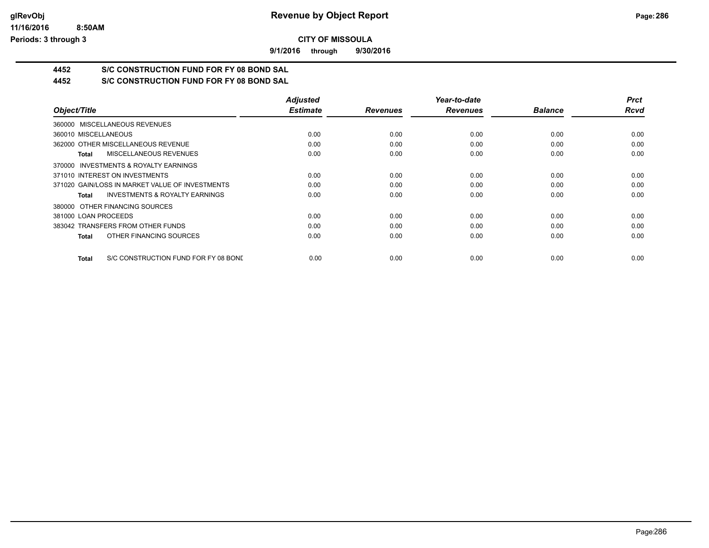**11/16/2016 8:50AM Periods: 3 through 3**

**CITY OF MISSOULA**

**9/1/2016 through 9/30/2016**

# **4452 S/C CONSTRUCTION FUND FOR FY 08 BOND SAL**

# **4452 S/C CONSTRUCTION FUND FOR FY 08 BOND SAL**

|                                                      | <b>Adjusted</b> |                 | Year-to-date    |                | <b>Prct</b> |
|------------------------------------------------------|-----------------|-----------------|-----------------|----------------|-------------|
| Object/Title                                         | <b>Estimate</b> | <b>Revenues</b> | <b>Revenues</b> | <b>Balance</b> | <b>Rcvd</b> |
| 360000 MISCELLANEOUS REVENUES                        |                 |                 |                 |                |             |
| 360010 MISCELLANEOUS                                 | 0.00            | 0.00            | 0.00            | 0.00           | 0.00        |
| 362000 OTHER MISCELLANEOUS REVENUE                   | 0.00            | 0.00            | 0.00            | 0.00           | 0.00        |
| MISCELLANEOUS REVENUES<br><b>Total</b>               | 0.00            | 0.00            | 0.00            | 0.00           | 0.00        |
| INVESTMENTS & ROYALTY EARNINGS<br>370000             |                 |                 |                 |                |             |
| 371010 INTEREST ON INVESTMENTS                       | 0.00            | 0.00            | 0.00            | 0.00           | 0.00        |
| 371020 GAIN/LOSS IN MARKET VALUE OF INVESTMENTS      | 0.00            | 0.00            | 0.00            | 0.00           | 0.00        |
| <b>INVESTMENTS &amp; ROYALTY EARNINGS</b><br>Total   | 0.00            | 0.00            | 0.00            | 0.00           | 0.00        |
| 380000 OTHER FINANCING SOURCES                       |                 |                 |                 |                |             |
| 381000 LOAN PROCEEDS                                 | 0.00            | 0.00            | 0.00            | 0.00           | 0.00        |
| 383042 TRANSFERS FROM OTHER FUNDS                    | 0.00            | 0.00            | 0.00            | 0.00           | 0.00        |
| OTHER FINANCING SOURCES<br>Total                     | 0.00            | 0.00            | 0.00            | 0.00           | 0.00        |
| S/C CONSTRUCTION FUND FOR FY 08 BOND<br><b>Total</b> | 0.00            | 0.00            | 0.00            | 0.00           | 0.00        |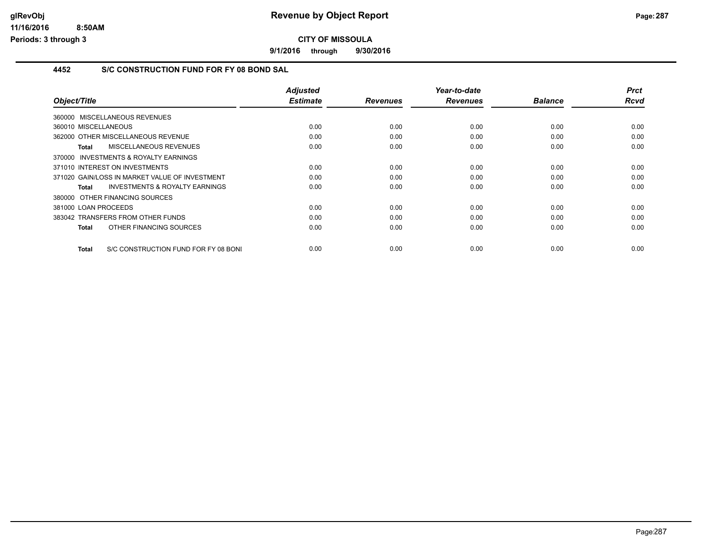**9/1/2016 through 9/30/2016**

# **4452 S/C CONSTRUCTION FUND FOR FY 08 BOND SAL**

| Object/Title                                              | <b>Adjusted</b><br><b>Estimate</b> | <b>Revenues</b> | Year-to-date<br><b>Revenues</b> | <b>Balance</b> | <b>Prct</b><br><b>Rcvd</b> |
|-----------------------------------------------------------|------------------------------------|-----------------|---------------------------------|----------------|----------------------------|
|                                                           |                                    |                 |                                 |                |                            |
| 360000 MISCELLANEOUS REVENUES                             |                                    |                 |                                 |                |                            |
| 360010 MISCELLANEOUS                                      | 0.00                               | 0.00            | 0.00                            | 0.00           | 0.00                       |
| 362000 OTHER MISCELLANEOUS REVENUE                        | 0.00                               | 0.00            | 0.00                            | 0.00           | 0.00                       |
| MISCELLANEOUS REVENUES<br><b>Total</b>                    | 0.00                               | 0.00            | 0.00                            | 0.00           | 0.00                       |
| 370000 INVESTMENTS & ROYALTY EARNINGS                     |                                    |                 |                                 |                |                            |
| 371010 INTEREST ON INVESTMENTS                            | 0.00                               | 0.00            | 0.00                            | 0.00           | 0.00                       |
| 371020 GAIN/LOSS IN MARKET VALUE OF INVESTMENT            | 0.00                               | 0.00            | 0.00                            | 0.00           | 0.00                       |
| <b>INVESTMENTS &amp; ROYALTY EARNINGS</b><br><b>Total</b> | 0.00                               | 0.00            | 0.00                            | 0.00           | 0.00                       |
| 380000 OTHER FINANCING SOURCES                            |                                    |                 |                                 |                |                            |
| 381000 LOAN PROCEEDS                                      | 0.00                               | 0.00            | 0.00                            | 0.00           | 0.00                       |
| 383042 TRANSFERS FROM OTHER FUNDS                         | 0.00                               | 0.00            | 0.00                            | 0.00           | 0.00                       |
| OTHER FINANCING SOURCES<br><b>Total</b>                   | 0.00                               | 0.00            | 0.00                            | 0.00           | 0.00                       |
|                                                           |                                    |                 |                                 |                |                            |
| S/C CONSTRUCTION FUND FOR FY 08 BONI<br><b>Total</b>      | 0.00                               | 0.00            | 0.00                            | 0.00           | 0.00                       |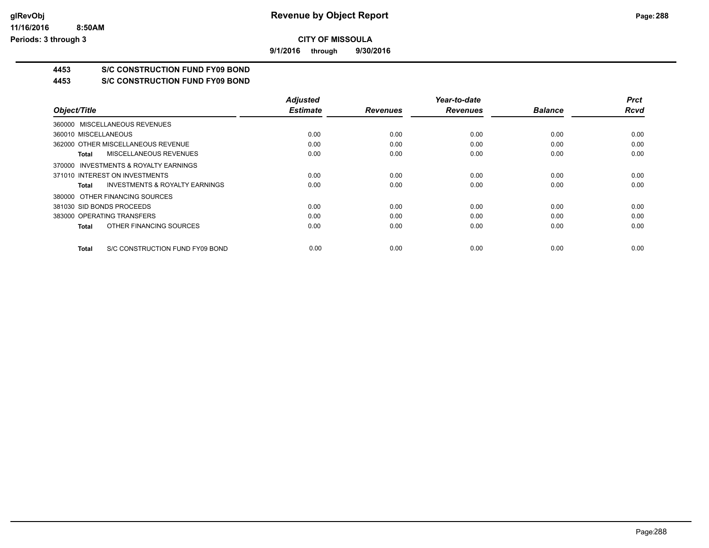**9/1/2016 through 9/30/2016**

# **4453 S/C CONSTRUCTION FUND FY09 BOND**

# **4453 S/C CONSTRUCTION FUND FY09 BOND**

|                                                    | <b>Adjusted</b> |                 | Year-to-date    |                | <b>Prct</b> |
|----------------------------------------------------|-----------------|-----------------|-----------------|----------------|-------------|
| Object/Title                                       | <b>Estimate</b> | <b>Revenues</b> | <b>Revenues</b> | <b>Balance</b> | <b>Rcvd</b> |
| 360000 MISCELLANEOUS REVENUES                      |                 |                 |                 |                |             |
| 360010 MISCELLANEOUS                               | 0.00            | 0.00            | 0.00            | 0.00           | 0.00        |
| 362000 OTHER MISCELLANEOUS REVENUE                 | 0.00            | 0.00            | 0.00            | 0.00           | 0.00        |
| MISCELLANEOUS REVENUES<br>Total                    | 0.00            | 0.00            | 0.00            | 0.00           | 0.00        |
| 370000 INVESTMENTS & ROYALTY EARNINGS              |                 |                 |                 |                |             |
| 371010 INTEREST ON INVESTMENTS                     | 0.00            | 0.00            | 0.00            | 0.00           | 0.00        |
| <b>INVESTMENTS &amp; ROYALTY EARNINGS</b><br>Total | 0.00            | 0.00            | 0.00            | 0.00           | 0.00        |
| 380000 OTHER FINANCING SOURCES                     |                 |                 |                 |                |             |
| 381030 SID BONDS PROCEEDS                          | 0.00            | 0.00            | 0.00            | 0.00           | 0.00        |
| 383000 OPERATING TRANSFERS                         | 0.00            | 0.00            | 0.00            | 0.00           | 0.00        |
| OTHER FINANCING SOURCES<br>Total                   | 0.00            | 0.00            | 0.00            | 0.00           | 0.00        |
| S/C CONSTRUCTION FUND FY09 BOND<br><b>Total</b>    | 0.00            | 0.00            | 0.00            | 0.00           | 0.00        |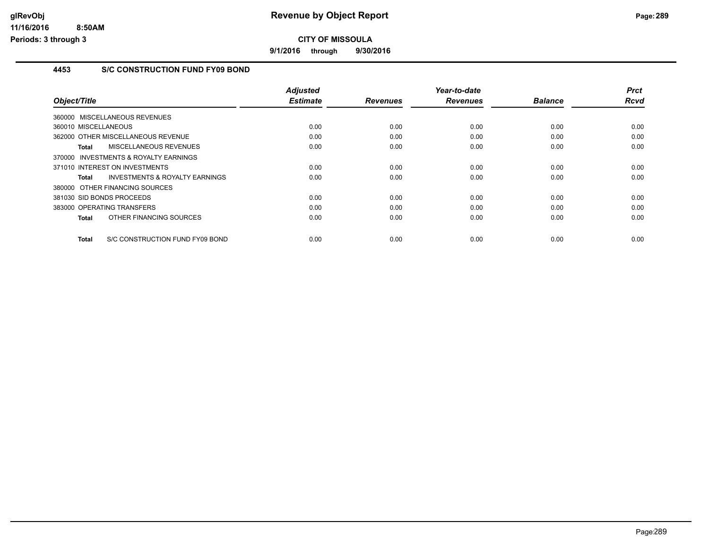**8:50AM**

**CITY OF MISSOULA**

**9/1/2016 through 9/30/2016**

# **4453 S/C CONSTRUCTION FUND FY09 BOND**

| Object/Title                                       | <b>Adjusted</b><br><b>Estimate</b> | <b>Revenues</b> | Year-to-date<br><b>Revenues</b> | <b>Balance</b> | <b>Prct</b><br>Rcvd |
|----------------------------------------------------|------------------------------------|-----------------|---------------------------------|----------------|---------------------|
|                                                    |                                    |                 |                                 |                |                     |
| 360000 MISCELLANEOUS REVENUES                      |                                    |                 |                                 |                |                     |
| 360010 MISCELLANEOUS                               | 0.00                               | 0.00            | 0.00                            | 0.00           | 0.00                |
| 362000 OTHER MISCELLANEOUS REVENUE                 | 0.00                               | 0.00            | 0.00                            | 0.00           | 0.00                |
| <b>MISCELLANEOUS REVENUES</b><br>Total             | 0.00                               | 0.00            | 0.00                            | 0.00           | 0.00                |
| INVESTMENTS & ROYALTY EARNINGS<br>370000           |                                    |                 |                                 |                |                     |
| 371010 INTEREST ON INVESTMENTS                     | 0.00                               | 0.00            | 0.00                            | 0.00           | 0.00                |
| <b>INVESTMENTS &amp; ROYALTY EARNINGS</b><br>Total | 0.00                               | 0.00            | 0.00                            | 0.00           | 0.00                |
| 380000 OTHER FINANCING SOURCES                     |                                    |                 |                                 |                |                     |
| 381030 SID BONDS PROCEEDS                          | 0.00                               | 0.00            | 0.00                            | 0.00           | 0.00                |
| 383000 OPERATING TRANSFERS                         | 0.00                               | 0.00            | 0.00                            | 0.00           | 0.00                |
| OTHER FINANCING SOURCES<br>Total                   | 0.00                               | 0.00            | 0.00                            | 0.00           | 0.00                |
| S/C CONSTRUCTION FUND FY09 BOND<br><b>Total</b>    | 0.00                               | 0.00            | 0.00                            | 0.00           | 0.00                |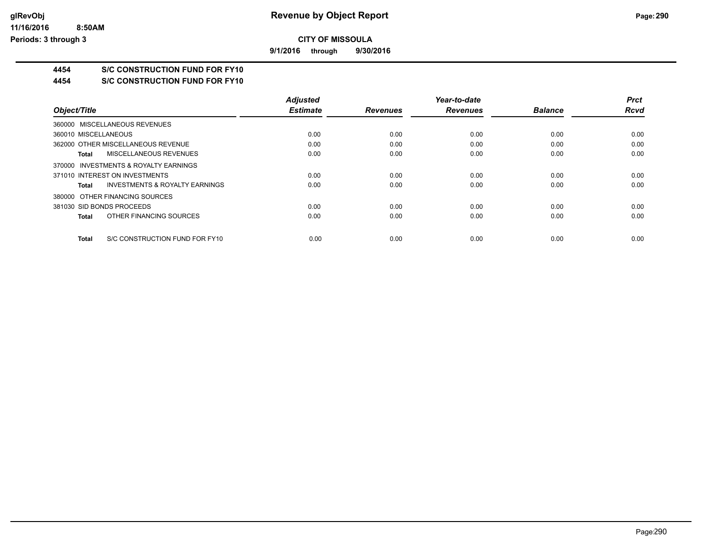**11/16/2016 8:50AM Periods: 3 through 3**

**CITY OF MISSOULA**

**9/1/2016 through 9/30/2016**

# **4454 S/C CONSTRUCTION FUND FOR FY10**

**4454 S/C CONSTRUCTION FUND FOR FY10**

|                                                    | <b>Adjusted</b> |                 | Year-to-date    |                | <b>Prct</b> |
|----------------------------------------------------|-----------------|-----------------|-----------------|----------------|-------------|
| Object/Title                                       | <b>Estimate</b> | <b>Revenues</b> | <b>Revenues</b> | <b>Balance</b> | <b>Rcvd</b> |
| 360000 MISCELLANEOUS REVENUES                      |                 |                 |                 |                |             |
| 360010 MISCELLANEOUS                               | 0.00            | 0.00            | 0.00            | 0.00           | 0.00        |
| 362000 OTHER MISCELLANEOUS REVENUE                 | 0.00            | 0.00            | 0.00            | 0.00           | 0.00        |
| MISCELLANEOUS REVENUES<br>Total                    | 0.00            | 0.00            | 0.00            | 0.00           | 0.00        |
| 370000 INVESTMENTS & ROYALTY EARNINGS              |                 |                 |                 |                |             |
| 371010 INTEREST ON INVESTMENTS                     | 0.00            | 0.00            | 0.00            | 0.00           | 0.00        |
| <b>INVESTMENTS &amp; ROYALTY EARNINGS</b><br>Total | 0.00            | 0.00            | 0.00            | 0.00           | 0.00        |
| 380000 OTHER FINANCING SOURCES                     |                 |                 |                 |                |             |
| 381030 SID BONDS PROCEEDS                          | 0.00            | 0.00            | 0.00            | 0.00           | 0.00        |
| OTHER FINANCING SOURCES<br>Total                   | 0.00            | 0.00            | 0.00            | 0.00           | 0.00        |
| S/C CONSTRUCTION FUND FOR FY10<br>Total            | 0.00            | 0.00            | 0.00            | 0.00           | 0.00        |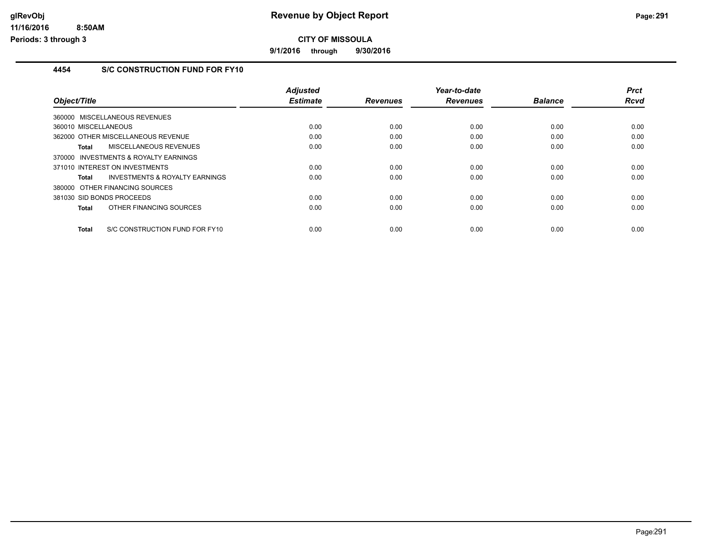**8:50AM**

**CITY OF MISSOULA**

**9/1/2016 through 9/30/2016**

# **4454 S/C CONSTRUCTION FUND FOR FY10**

|                                                    | <b>Adjusted</b> |                 | Year-to-date    |                | <b>Prct</b> |
|----------------------------------------------------|-----------------|-----------------|-----------------|----------------|-------------|
| Object/Title                                       | <b>Estimate</b> | <b>Revenues</b> | <b>Revenues</b> | <b>Balance</b> | <b>Rcvd</b> |
| 360000 MISCELLANEOUS REVENUES                      |                 |                 |                 |                |             |
| 360010 MISCELLANEOUS                               | 0.00            | 0.00            | 0.00            | 0.00           | 0.00        |
| 362000 OTHER MISCELLANEOUS REVENUE                 | 0.00            | 0.00            | 0.00            | 0.00           | 0.00        |
| MISCELLANEOUS REVENUES<br>Total                    | 0.00            | 0.00            | 0.00            | 0.00           | 0.00        |
| 370000 INVESTMENTS & ROYALTY EARNINGS              |                 |                 |                 |                |             |
| 371010 INTEREST ON INVESTMENTS                     | 0.00            | 0.00            | 0.00            | 0.00           | 0.00        |
| <b>INVESTMENTS &amp; ROYALTY EARNINGS</b><br>Total | 0.00            | 0.00            | 0.00            | 0.00           | 0.00        |
| 380000 OTHER FINANCING SOURCES                     |                 |                 |                 |                |             |
| 381030 SID BONDS PROCEEDS                          | 0.00            | 0.00            | 0.00            | 0.00           | 0.00        |
| OTHER FINANCING SOURCES<br>Total                   | 0.00            | 0.00            | 0.00            | 0.00           | 0.00        |
| S/C CONSTRUCTION FUND FOR FY10<br><b>Total</b>     | 0.00            | 0.00            | 0.00            | 0.00           | 0.00        |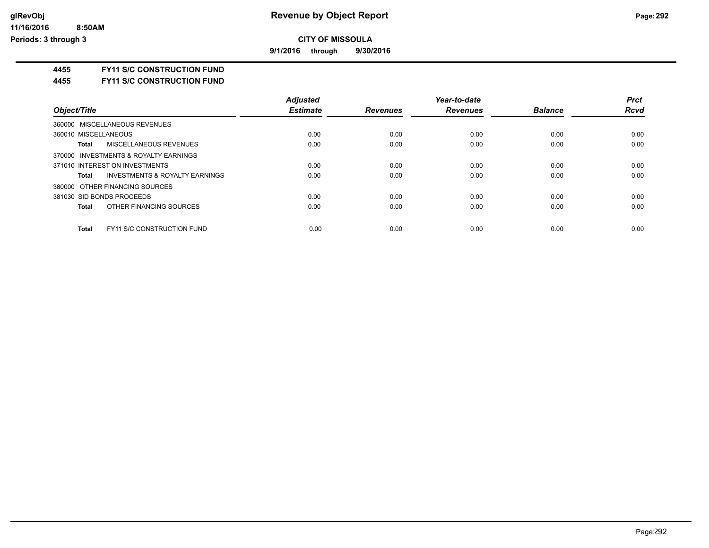**CITY OF MISSOULA**

**9/1/2016 through 9/30/2016**

# **4455 FY11 S/C CONSTRUCTION FUND**

 **8:50AM**

#### **4455 FY11 S/C CONSTRUCTION FUND**

|                                                    | <b>Adjusted</b> |                 | Year-to-date    |                | <b>Prct</b> |
|----------------------------------------------------|-----------------|-----------------|-----------------|----------------|-------------|
| Object/Title                                       | <b>Estimate</b> | <b>Revenues</b> | <b>Revenues</b> | <b>Balance</b> | <b>Rcvd</b> |
| 360000 MISCELLANEOUS REVENUES                      |                 |                 |                 |                |             |
| 360010 MISCELLANEOUS                               | 0.00            | 0.00            | 0.00            | 0.00           | 0.00        |
| MISCELLANEOUS REVENUES<br>Total                    | 0.00            | 0.00            | 0.00            | 0.00           | 0.00        |
| 370000 INVESTMENTS & ROYALTY EARNINGS              |                 |                 |                 |                |             |
| 371010 INTEREST ON INVESTMENTS                     | 0.00            | 0.00            | 0.00            | 0.00           | 0.00        |
| <b>INVESTMENTS &amp; ROYALTY EARNINGS</b><br>Total | 0.00            | 0.00            | 0.00            | 0.00           | 0.00        |
| 380000 OTHER FINANCING SOURCES                     |                 |                 |                 |                |             |
| 381030 SID BONDS PROCEEDS                          | 0.00            | 0.00            | 0.00            | 0.00           | 0.00        |
| OTHER FINANCING SOURCES<br><b>Total</b>            | 0.00            | 0.00            | 0.00            | 0.00           | 0.00        |
| <b>FY11 S/C CONSTRUCTION FUND</b><br><b>Total</b>  | 0.00            | 0.00            | 0.00            | 0.00           | 0.00        |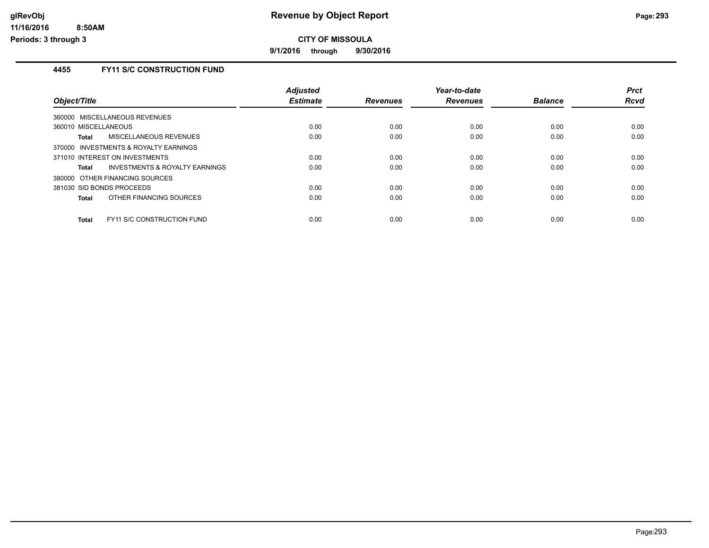**CITY OF MISSOULA**

**9/1/2016 through 9/30/2016**

# **4455 FY11 S/C CONSTRUCTION FUND**

 **8:50AM**

| Object/Title                                       | <b>Adjusted</b><br><b>Estimate</b> | <b>Revenues</b> | Year-to-date<br><b>Revenues</b> | <b>Balance</b> | <b>Prct</b><br><b>Rcvd</b> |
|----------------------------------------------------|------------------------------------|-----------------|---------------------------------|----------------|----------------------------|
| 360000 MISCELLANEOUS REVENUES                      |                                    |                 |                                 |                |                            |
| 360010 MISCELLANEOUS                               | 0.00                               | 0.00            | 0.00                            | 0.00           | 0.00                       |
| MISCELLANEOUS REVENUES<br>Total                    | 0.00                               | 0.00            | 0.00                            | 0.00           | 0.00                       |
| 370000 INVESTMENTS & ROYALTY EARNINGS              |                                    |                 |                                 |                |                            |
| 371010 INTEREST ON INVESTMENTS                     | 0.00                               | 0.00            | 0.00                            | 0.00           | 0.00                       |
| <b>INVESTMENTS &amp; ROYALTY EARNINGS</b><br>Total | 0.00                               | 0.00            | 0.00                            | 0.00           | 0.00                       |
| 380000 OTHER FINANCING SOURCES                     |                                    |                 |                                 |                |                            |
| 381030 SID BONDS PROCEEDS                          | 0.00                               | 0.00            | 0.00                            | 0.00           | 0.00                       |
| OTHER FINANCING SOURCES<br><b>Total</b>            | 0.00                               | 0.00            | 0.00                            | 0.00           | 0.00                       |
| <b>FY11 S/C CONSTRUCTION FUND</b><br><b>Total</b>  | 0.00                               | 0.00            | 0.00                            | 0.00           | 0.00                       |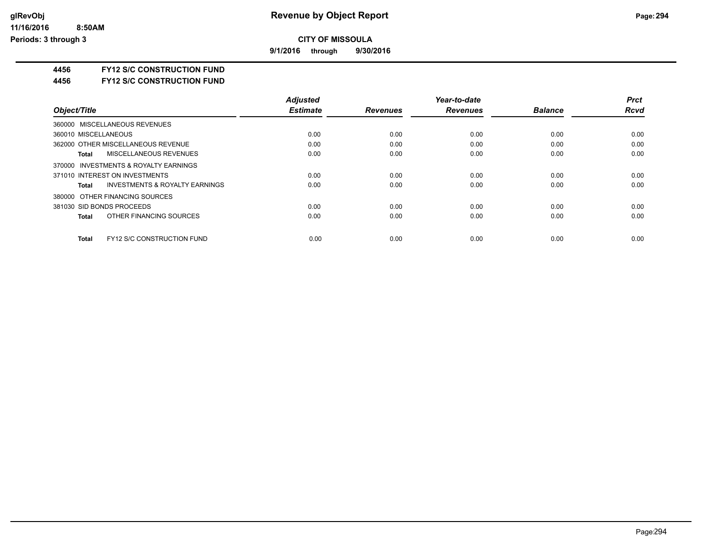**8:50AM**

**CITY OF MISSOULA**

**9/1/2016 through 9/30/2016**

# **4456 FY12 S/C CONSTRUCTION FUND**

#### **4456 FY12 S/C CONSTRUCTION FUND**

|                                         | <b>Adjusted</b> |                 | Year-to-date    |                | <b>Prct</b> |
|-----------------------------------------|-----------------|-----------------|-----------------|----------------|-------------|
| Object/Title                            | <b>Estimate</b> | <b>Revenues</b> | <b>Revenues</b> | <b>Balance</b> | <b>Rcvd</b> |
| 360000 MISCELLANEOUS REVENUES           |                 |                 |                 |                |             |
| 360010 MISCELLANEOUS                    | 0.00            | 0.00            | 0.00            | 0.00           | 0.00        |
| 362000 OTHER MISCELLANEOUS REVENUE      | 0.00            | 0.00            | 0.00            | 0.00           | 0.00        |
| <b>MISCELLANEOUS REVENUES</b><br>Total  | 0.00            | 0.00            | 0.00            | 0.00           | 0.00        |
| 370000 INVESTMENTS & ROYALTY EARNINGS   |                 |                 |                 |                |             |
| 371010 INTEREST ON INVESTMENTS          | 0.00            | 0.00            | 0.00            | 0.00           | 0.00        |
| INVESTMENTS & ROYALTY EARNINGS<br>Total | 0.00            | 0.00            | 0.00            | 0.00           | 0.00        |
| 380000 OTHER FINANCING SOURCES          |                 |                 |                 |                |             |
| 381030 SID BONDS PROCEEDS               | 0.00            | 0.00            | 0.00            | 0.00           | 0.00        |
| OTHER FINANCING SOURCES<br>Total        | 0.00            | 0.00            | 0.00            | 0.00           | 0.00        |
| FY12 S/C CONSTRUCTION FUND<br>Total     | 0.00            | 0.00            | 0.00            | 0.00           | 0.00        |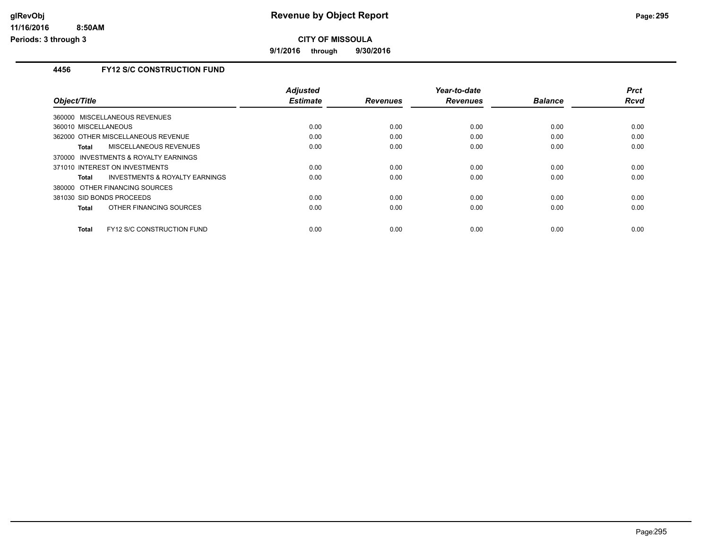**CITY OF MISSOULA**

**9/1/2016 through 9/30/2016**

# **4456 FY12 S/C CONSTRUCTION FUND**

 **8:50AM**

|      | <b>Rcvd</b>                                                                                               |
|------|-----------------------------------------------------------------------------------------------------------|
|      |                                                                                                           |
|      |                                                                                                           |
| 0.00 | 0.00                                                                                                      |
| 0.00 | 0.00                                                                                                      |
| 0.00 | 0.00                                                                                                      |
|      |                                                                                                           |
| 0.00 | 0.00                                                                                                      |
| 0.00 | 0.00                                                                                                      |
|      |                                                                                                           |
| 0.00 | 0.00                                                                                                      |
| 0.00 | 0.00                                                                                                      |
|      | 0.00                                                                                                      |
|      | <b>Balance</b><br><b>Revenues</b><br>0.00<br>0.00<br>0.00<br>0.00<br>0.00<br>0.00<br>0.00<br>0.00<br>0.00 |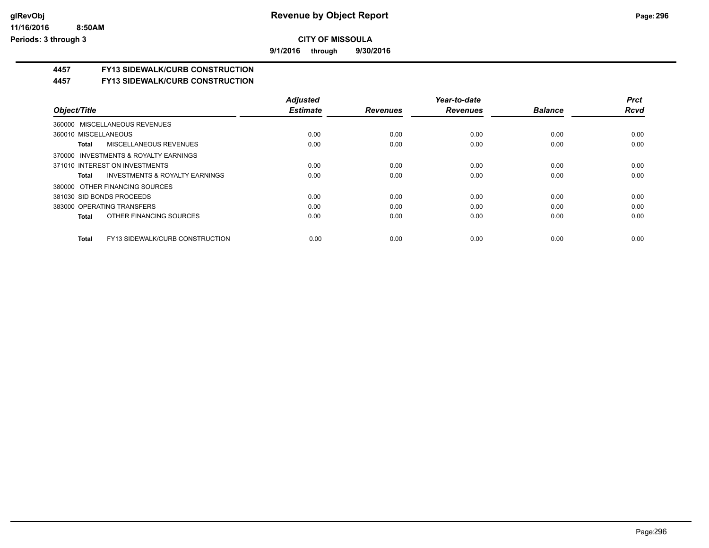**8:50AM**

**glRevObj Revenue by Object Report Page:296** 

**CITY OF MISSOULA**

**9/1/2016 through 9/30/2016**

# **4457 FY13 SIDEWALK/CURB CONSTRUCTION**

## **4457 FY13 SIDEWALK/CURB CONSTRUCTION**

|                                                    | <b>Adjusted</b> |                 | Year-to-date    |                | <b>Prct</b> |
|----------------------------------------------------|-----------------|-----------------|-----------------|----------------|-------------|
| Object/Title                                       | <b>Estimate</b> | <b>Revenues</b> | <b>Revenues</b> | <b>Balance</b> | <b>Rcvd</b> |
| 360000 MISCELLANEOUS REVENUES                      |                 |                 |                 |                |             |
| 360010 MISCELLANEOUS                               | 0.00            | 0.00            | 0.00            | 0.00           | 0.00        |
| <b>MISCELLANEOUS REVENUES</b><br>Total             | 0.00            | 0.00            | 0.00            | 0.00           | 0.00        |
| 370000 INVESTMENTS & ROYALTY EARNINGS              |                 |                 |                 |                |             |
| 371010 INTEREST ON INVESTMENTS                     | 0.00            | 0.00            | 0.00            | 0.00           | 0.00        |
| <b>INVESTMENTS &amp; ROYALTY EARNINGS</b><br>Total | 0.00            | 0.00            | 0.00            | 0.00           | 0.00        |
| 380000 OTHER FINANCING SOURCES                     |                 |                 |                 |                |             |
| 381030 SID BONDS PROCEEDS                          | 0.00            | 0.00            | 0.00            | 0.00           | 0.00        |
| 383000 OPERATING TRANSFERS                         | 0.00            | 0.00            | 0.00            | 0.00           | 0.00        |
| OTHER FINANCING SOURCES<br>Total                   | 0.00            | 0.00            | 0.00            | 0.00           | 0.00        |
| FY13 SIDEWALK/CURB CONSTRUCTION<br>Total           | 0.00            | 0.00            | 0.00            | 0.00           | 0.00        |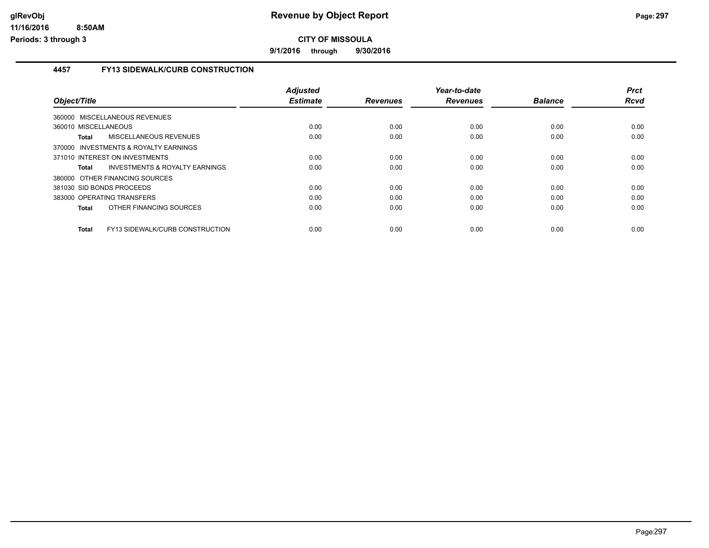**8:50AM**

**CITY OF MISSOULA**

**9/1/2016 through 9/30/2016**

# **4457 FY13 SIDEWALK/CURB CONSTRUCTION**

|                                                    | <b>Adjusted</b> |                 | Year-to-date    |                | <b>Prct</b> |
|----------------------------------------------------|-----------------|-----------------|-----------------|----------------|-------------|
| Object/Title                                       | <b>Estimate</b> | <b>Revenues</b> | <b>Revenues</b> | <b>Balance</b> | <b>Rcvd</b> |
| 360000 MISCELLANEOUS REVENUES                      |                 |                 |                 |                |             |
| 360010 MISCELLANEOUS                               | 0.00            | 0.00            | 0.00            | 0.00           | 0.00        |
| MISCELLANEOUS REVENUES<br><b>Total</b>             | 0.00            | 0.00            | 0.00            | 0.00           | 0.00        |
| 370000 INVESTMENTS & ROYALTY EARNINGS              |                 |                 |                 |                |             |
| 371010 INTEREST ON INVESTMENTS                     | 0.00            | 0.00            | 0.00            | 0.00           | 0.00        |
| <b>INVESTMENTS &amp; ROYALTY EARNINGS</b><br>Total | 0.00            | 0.00            | 0.00            | 0.00           | 0.00        |
| 380000 OTHER FINANCING SOURCES                     |                 |                 |                 |                |             |
| 381030 SID BONDS PROCEEDS                          | 0.00            | 0.00            | 0.00            | 0.00           | 0.00        |
| 383000 OPERATING TRANSFERS                         | 0.00            | 0.00            | 0.00            | 0.00           | 0.00        |
| OTHER FINANCING SOURCES<br><b>Total</b>            | 0.00            | 0.00            | 0.00            | 0.00           | 0.00        |
| <b>Total</b><br>FY13 SIDEWALK/CURB CONSTRUCTION    | 0.00            | 0.00            | 0.00            | 0.00           | 0.00        |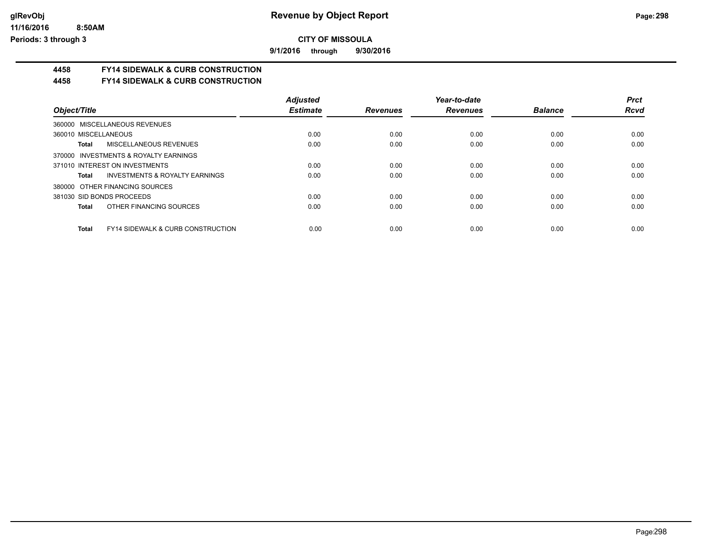**8:50AM**

**glRevObj Revenue by Object Report Page:298** 

**CITY OF MISSOULA**

**9/1/2016 through 9/30/2016**

# **4458 FY14 SIDEWALK & CURB CONSTRUCTION**

# **4458 FY14 SIDEWALK & CURB CONSTRUCTION**

|                                                              | <b>Adjusted</b> |                 | Year-to-date    |                | <b>Prct</b> |
|--------------------------------------------------------------|-----------------|-----------------|-----------------|----------------|-------------|
| Object/Title                                                 | <b>Estimate</b> | <b>Revenues</b> | <b>Revenues</b> | <b>Balance</b> | <b>Rcvd</b> |
| 360000 MISCELLANEOUS REVENUES                                |                 |                 |                 |                |             |
| 360010 MISCELLANEOUS                                         | 0.00            | 0.00            | 0.00            | 0.00           | 0.00        |
| <b>MISCELLANEOUS REVENUES</b><br>Total                       | 0.00            | 0.00            | 0.00            | 0.00           | 0.00        |
| 370000 INVESTMENTS & ROYALTY EARNINGS                        |                 |                 |                 |                |             |
| 371010 INTEREST ON INVESTMENTS                               | 0.00            | 0.00            | 0.00            | 0.00           | 0.00        |
| <b>INVESTMENTS &amp; ROYALTY EARNINGS</b><br>Total           | 0.00            | 0.00            | 0.00            | 0.00           | 0.00        |
| 380000 OTHER FINANCING SOURCES                               |                 |                 |                 |                |             |
| 381030 SID BONDS PROCEEDS                                    | 0.00            | 0.00            | 0.00            | 0.00           | 0.00        |
| OTHER FINANCING SOURCES<br>Total                             | 0.00            | 0.00            | 0.00            | 0.00           | 0.00        |
|                                                              |                 |                 |                 |                |             |
| <b>FY14 SIDEWALK &amp; CURB CONSTRUCTION</b><br><b>Total</b> | 0.00            | 0.00            | 0.00            | 0.00           | 0.00        |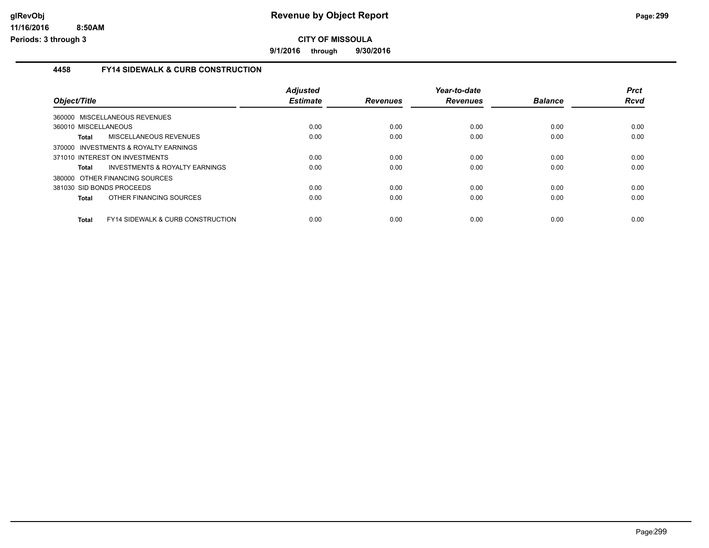**8:50AM**

**CITY OF MISSOULA**

**9/1/2016 through 9/30/2016**

# **4458 FY14 SIDEWALK & CURB CONSTRUCTION**

| Object/Title                          |                                              | <b>Adjusted</b><br><b>Estimate</b> | <b>Revenues</b> | Year-to-date<br><b>Revenues</b> | <b>Balance</b> | <b>Prct</b><br><b>Rcvd</b> |
|---------------------------------------|----------------------------------------------|------------------------------------|-----------------|---------------------------------|----------------|----------------------------|
| 360000 MISCELLANEOUS REVENUES         |                                              |                                    |                 |                                 |                |                            |
| 360010 MISCELLANEOUS                  |                                              | 0.00                               | 0.00            | 0.00                            | 0.00           | 0.00                       |
| <b>Total</b>                          | MISCELLANEOUS REVENUES                       | 0.00                               | 0.00            | 0.00                            | 0.00           | 0.00                       |
| 370000 INVESTMENTS & ROYALTY EARNINGS |                                              |                                    |                 |                                 |                |                            |
| 371010 INTEREST ON INVESTMENTS        |                                              | 0.00                               | 0.00            | 0.00                            | 0.00           | 0.00                       |
| <b>Total</b>                          | INVESTMENTS & ROYALTY EARNINGS               | 0.00                               | 0.00            | 0.00                            | 0.00           | 0.00                       |
| 380000 OTHER FINANCING SOURCES        |                                              |                                    |                 |                                 |                |                            |
| 381030 SID BONDS PROCEEDS             |                                              | 0.00                               | 0.00            | 0.00                            | 0.00           | 0.00                       |
| <b>Total</b>                          | OTHER FINANCING SOURCES                      | 0.00                               | 0.00            | 0.00                            | 0.00           | 0.00                       |
| <b>Total</b>                          | <b>FY14 SIDEWALK &amp; CURB CONSTRUCTION</b> | 0.00                               | 0.00            | 0.00                            | 0.00           | 0.00                       |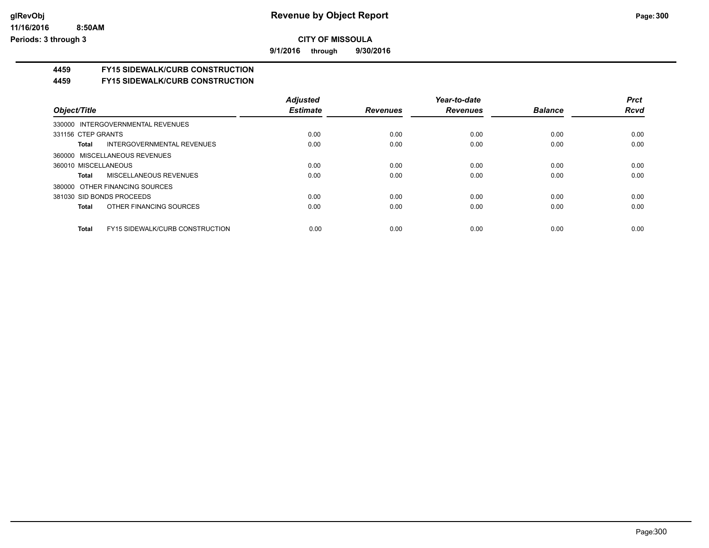**8:50AM**

**glRevObj Revenue by Object Report Page:300** 

**CITY OF MISSOULA**

**9/1/2016 through 9/30/2016**

# **4459 FY15 SIDEWALK/CURB CONSTRUCTION**

**4459 FY15 SIDEWALK/CURB CONSTRUCTION**

|                                                 | <b>Adjusted</b> |                 | Year-to-date    |                | <b>Prct</b> |
|-------------------------------------------------|-----------------|-----------------|-----------------|----------------|-------------|
| Object/Title                                    | <b>Estimate</b> | <b>Revenues</b> | <b>Revenues</b> | <b>Balance</b> | <b>Rcvd</b> |
| 330000 INTERGOVERNMENTAL REVENUES               |                 |                 |                 |                |             |
| 331156 CTEP GRANTS                              | 0.00            | 0.00            | 0.00            | 0.00           | 0.00        |
| INTERGOVERNMENTAL REVENUES<br>Total             | 0.00            | 0.00            | 0.00            | 0.00           | 0.00        |
| 360000 MISCELLANEOUS REVENUES                   |                 |                 |                 |                |             |
| 360010 MISCELLANEOUS                            | 0.00            | 0.00            | 0.00            | 0.00           | 0.00        |
| MISCELLANEOUS REVENUES<br>Total                 | 0.00            | 0.00            | 0.00            | 0.00           | 0.00        |
| 380000 OTHER FINANCING SOURCES                  |                 |                 |                 |                |             |
| 381030 SID BONDS PROCEEDS                       | 0.00            | 0.00            | 0.00            | 0.00           | 0.00        |
| OTHER FINANCING SOURCES<br>Total                | 0.00            | 0.00            | 0.00            | 0.00           | 0.00        |
| <b>FY15 SIDEWALK/CURB CONSTRUCTION</b><br>Total | 0.00            | 0.00            | 0.00            | 0.00           | 0.00        |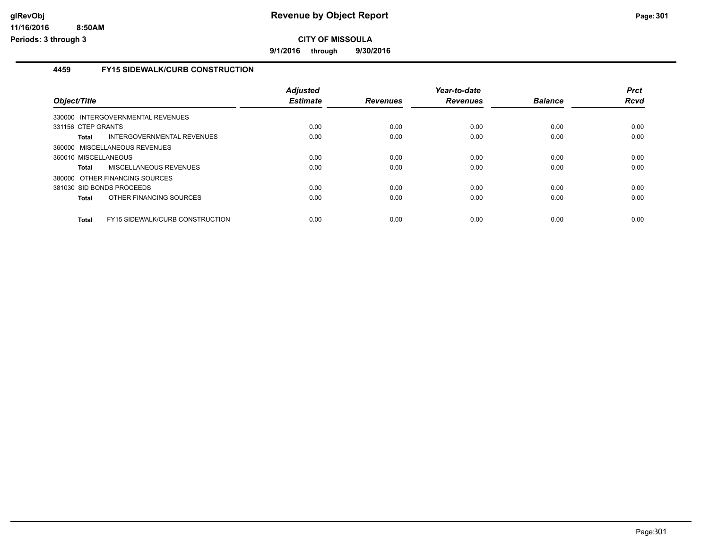**8:50AM**

**CITY OF MISSOULA**

**9/1/2016 through 9/30/2016**

# **4459 FY15 SIDEWALK/CURB CONSTRUCTION**

| Object/Title                                    | <b>Adjusted</b><br><b>Estimate</b> | <b>Revenues</b> | Year-to-date<br><b>Revenues</b> | <b>Balance</b> | <b>Prct</b><br><b>Rcvd</b> |
|-------------------------------------------------|------------------------------------|-----------------|---------------------------------|----------------|----------------------------|
| 330000 INTERGOVERNMENTAL REVENUES               |                                    |                 |                                 |                |                            |
| 331156 CTEP GRANTS                              | 0.00                               | 0.00            | 0.00                            | 0.00           | 0.00                       |
| INTERGOVERNMENTAL REVENUES<br><b>Total</b>      | 0.00                               | 0.00            | 0.00                            | 0.00           | 0.00                       |
| 360000 MISCELLANEOUS REVENUES                   |                                    |                 |                                 |                |                            |
| 360010 MISCELLANEOUS                            | 0.00                               | 0.00            | 0.00                            | 0.00           | 0.00                       |
| MISCELLANEOUS REVENUES<br><b>Total</b>          | 0.00                               | 0.00            | 0.00                            | 0.00           | 0.00                       |
| 380000 OTHER FINANCING SOURCES                  |                                    |                 |                                 |                |                            |
| 381030 SID BONDS PROCEEDS                       | 0.00                               | 0.00            | 0.00                            | 0.00           | 0.00                       |
| OTHER FINANCING SOURCES<br><b>Total</b>         | 0.00                               | 0.00            | 0.00                            | 0.00           | 0.00                       |
| FY15 SIDEWALK/CURB CONSTRUCTION<br><b>Total</b> | 0.00                               | 0.00            | 0.00                            | 0.00           | 0.00                       |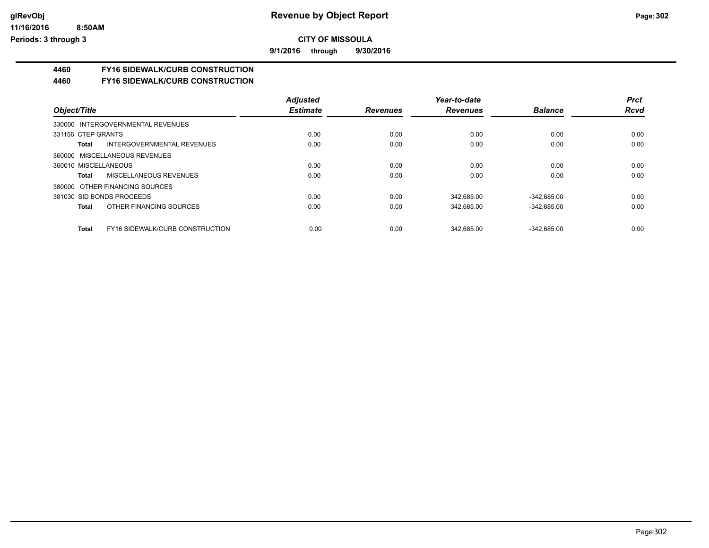**11/16/2016 8:50AM Periods: 3 through 3**

**CITY OF MISSOULA**

**9/1/2016 through 9/30/2016**

# **4460 FY16 SIDEWALK/CURB CONSTRUCTION**

**4460 FY16 SIDEWALK/CURB CONSTRUCTION**

|                                                 | <b>Adjusted</b> |                 | Year-to-date    |                | <b>Prct</b> |
|-------------------------------------------------|-----------------|-----------------|-----------------|----------------|-------------|
| Object/Title                                    | <b>Estimate</b> | <b>Revenues</b> | <b>Revenues</b> | <b>Balance</b> | <b>Rcvd</b> |
| 330000 INTERGOVERNMENTAL REVENUES               |                 |                 |                 |                |             |
| 331156 CTEP GRANTS                              | 0.00            | 0.00            | 0.00            | 0.00           | 0.00        |
| INTERGOVERNMENTAL REVENUES<br>Total             | 0.00            | 0.00            | 0.00            | 0.00           | 0.00        |
| 360000 MISCELLANEOUS REVENUES                   |                 |                 |                 |                |             |
| 360010 MISCELLANEOUS                            | 0.00            | 0.00            | 0.00            | 0.00           | 0.00        |
| MISCELLANEOUS REVENUES<br>Total                 | 0.00            | 0.00            | 0.00            | 0.00           | 0.00        |
| 380000 OTHER FINANCING SOURCES                  |                 |                 |                 |                |             |
| 381030 SID BONDS PROCEEDS                       | 0.00            | 0.00            | 342.685.00      | $-342.685.00$  | 0.00        |
| OTHER FINANCING SOURCES<br>Total                | 0.00            | 0.00            | 342.685.00      | $-342.685.00$  | 0.00        |
| <b>FY16 SIDEWALK/CURB CONSTRUCTION</b><br>Total | 0.00            | 0.00            | 342.685.00      | $-342.685.00$  | 0.00        |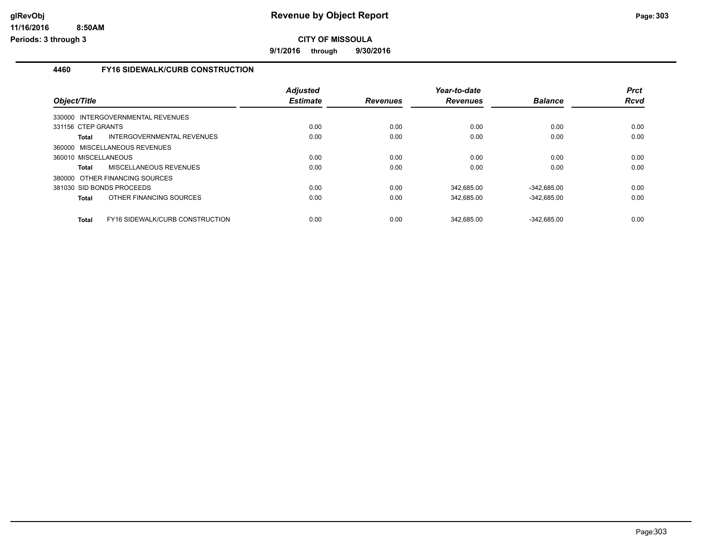**8:50AM**

**CITY OF MISSOULA**

**9/1/2016 through 9/30/2016**

## **4460 FY16 SIDEWALK/CURB CONSTRUCTION**

| Object/Title                                    | <b>Adjusted</b><br><b>Estimate</b> | <b>Revenues</b> | Year-to-date<br><b>Revenues</b> | <b>Balance</b> | <b>Prct</b><br><b>Rcvd</b> |
|-------------------------------------------------|------------------------------------|-----------------|---------------------------------|----------------|----------------------------|
| 330000 INTERGOVERNMENTAL REVENUES               |                                    |                 |                                 |                |                            |
| 331156 CTEP GRANTS                              | 0.00                               | 0.00            | 0.00                            | 0.00           | 0.00                       |
| INTERGOVERNMENTAL REVENUES<br><b>Total</b>      | 0.00                               | 0.00            | 0.00                            | 0.00           | 0.00                       |
| 360000 MISCELLANEOUS REVENUES                   |                                    |                 |                                 |                |                            |
| 360010 MISCELLANEOUS                            | 0.00                               | 0.00            | 0.00                            | 0.00           | 0.00                       |
| MISCELLANEOUS REVENUES<br><b>Total</b>          | 0.00                               | 0.00            | 0.00                            | 0.00           | 0.00                       |
| 380000 OTHER FINANCING SOURCES                  |                                    |                 |                                 |                |                            |
| 381030 SID BONDS PROCEEDS                       | 0.00                               | 0.00            | 342.685.00                      | $-342.685.00$  | 0.00                       |
| OTHER FINANCING SOURCES<br><b>Total</b>         | 0.00                               | 0.00            | 342,685.00                      | $-342,685.00$  | 0.00                       |
| FY16 SIDEWALK/CURB CONSTRUCTION<br><b>Total</b> | 0.00                               | 0.00            | 342.685.00                      | $-342.685.00$  | 0.00                       |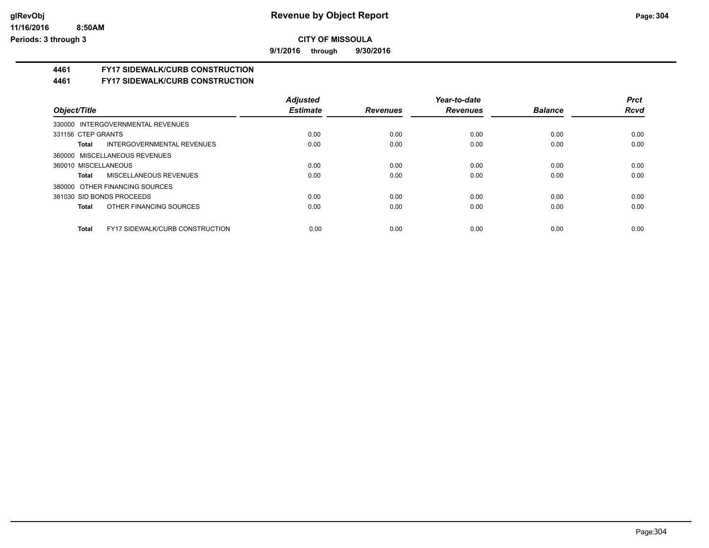**8:50AM**

**glRevObj Revenue by Object Report Page:304** 

**CITY OF MISSOULA**

**9/1/2016 through 9/30/2016**

# **4461 FY17 SIDEWALK/CURB CONSTRUCTION**

**4461 FY17 SIDEWALK/CURB CONSTRUCTION**

| <b>Adjusted</b> |                 | Year-to-date    |                | <b>Prct</b> |
|-----------------|-----------------|-----------------|----------------|-------------|
| <b>Estimate</b> | <b>Revenues</b> | <b>Revenues</b> | <b>Balance</b> | <b>Rcvd</b> |
|                 |                 |                 |                |             |
| 0.00            | 0.00            | 0.00            | 0.00           | 0.00        |
| 0.00            | 0.00            | 0.00            | 0.00           | 0.00        |
|                 |                 |                 |                |             |
| 0.00            | 0.00            | 0.00            | 0.00           | 0.00        |
| 0.00            | 0.00            | 0.00            | 0.00           | 0.00        |
|                 |                 |                 |                |             |
| 0.00            | 0.00            | 0.00            | 0.00           | 0.00        |
| 0.00            | 0.00            | 0.00            | 0.00           | 0.00        |
|                 |                 |                 |                | 0.00        |
|                 | 0.00            | 0.00            | 0.00           | 0.00        |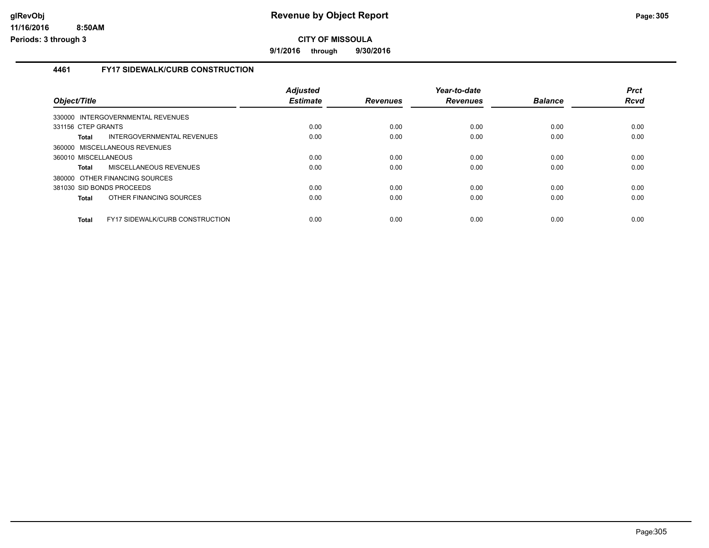**8:50AM**

**CITY OF MISSOULA**

**9/1/2016 through 9/30/2016**

# **4461 FY17 SIDEWALK/CURB CONSTRUCTION**

| Object/Title                                    | <b>Adjusted</b><br><b>Estimate</b> | <b>Revenues</b> | Year-to-date<br><b>Revenues</b> | <b>Balance</b> | <b>Prct</b><br><b>Rcvd</b> |
|-------------------------------------------------|------------------------------------|-----------------|---------------------------------|----------------|----------------------------|
| 330000 INTERGOVERNMENTAL REVENUES               |                                    |                 |                                 |                |                            |
| 331156 CTEP GRANTS                              | 0.00                               | 0.00            | 0.00                            | 0.00           | 0.00                       |
| INTERGOVERNMENTAL REVENUES<br><b>Total</b>      | 0.00                               | 0.00            | 0.00                            | 0.00           | 0.00                       |
| 360000 MISCELLANEOUS REVENUES                   |                                    |                 |                                 |                |                            |
| 360010 MISCELLANEOUS                            | 0.00                               | 0.00            | 0.00                            | 0.00           | 0.00                       |
| MISCELLANEOUS REVENUES<br><b>Total</b>          | 0.00                               | 0.00            | 0.00                            | 0.00           | 0.00                       |
| 380000 OTHER FINANCING SOURCES                  |                                    |                 |                                 |                |                            |
| 381030 SID BONDS PROCEEDS                       | 0.00                               | 0.00            | 0.00                            | 0.00           | 0.00                       |
| OTHER FINANCING SOURCES<br><b>Total</b>         | 0.00                               | 0.00            | 0.00                            | 0.00           | 0.00                       |
| FY17 SIDEWALK/CURB CONSTRUCTION<br><b>Total</b> | 0.00                               | 0.00            | 0.00                            | 0.00           | 0.00                       |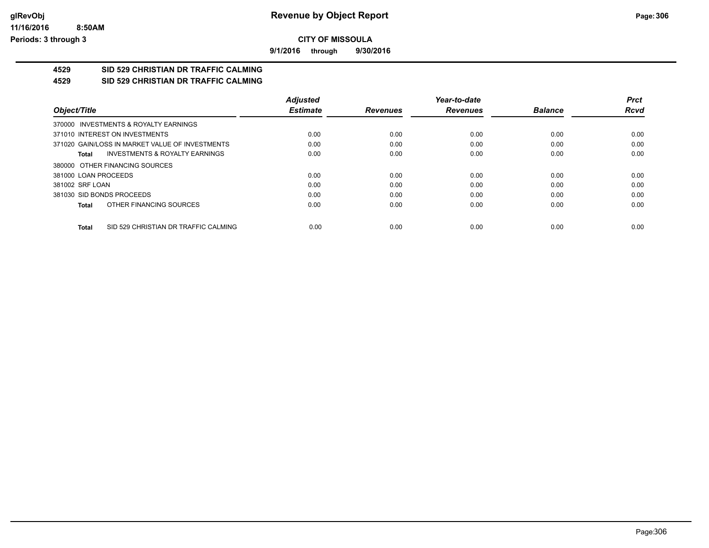**8:50AM**

**glRevObj Revenue by Object Report Page:306** 

**CITY OF MISSOULA**

**9/1/2016 through 9/30/2016**

#### **4529 SID 529 CHRISTIAN DR TRAFFIC CALMING 4529 SID 529 CHRISTIAN DR TRAFFIC CALMING**

|                                                      | <b>Adjusted</b> |                 | Year-to-date    |                | <b>Prct</b> |
|------------------------------------------------------|-----------------|-----------------|-----------------|----------------|-------------|
| Object/Title                                         | <b>Estimate</b> | <b>Revenues</b> | <b>Revenues</b> | <b>Balance</b> | <b>Rcvd</b> |
| INVESTMENTS & ROYALTY EARNINGS<br>370000             |                 |                 |                 |                |             |
| 371010 INTEREST ON INVESTMENTS                       | 0.00            | 0.00            | 0.00            | 0.00           | 0.00        |
| 371020 GAIN/LOSS IN MARKET VALUE OF INVESTMENTS      | 0.00            | 0.00            | 0.00            | 0.00           | 0.00        |
| <b>INVESTMENTS &amp; ROYALTY EARNINGS</b><br>Total   | 0.00            | 0.00            | 0.00            | 0.00           | 0.00        |
| 380000 OTHER FINANCING SOURCES                       |                 |                 |                 |                |             |
| 381000 LOAN PROCEEDS                                 | 0.00            | 0.00            | 0.00            | 0.00           | 0.00        |
| 381002 SRF LOAN                                      | 0.00            | 0.00            | 0.00            | 0.00           | 0.00        |
| 381030 SID BONDS PROCEEDS                            | 0.00            | 0.00            | 0.00            | 0.00           | 0.00        |
| OTHER FINANCING SOURCES<br>Total                     | 0.00            | 0.00            | 0.00            | 0.00           | 0.00        |
|                                                      |                 |                 |                 |                |             |
| SID 529 CHRISTIAN DR TRAFFIC CALMING<br><b>Total</b> | 0.00            | 0.00            | 0.00            | 0.00           | 0.00        |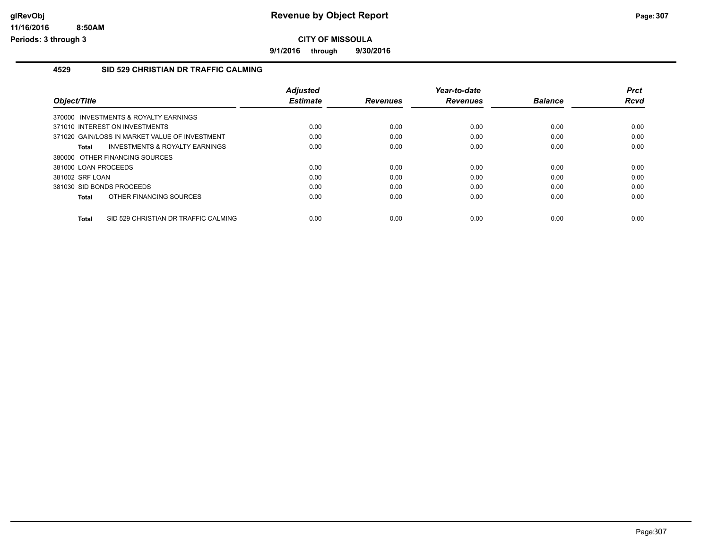**8:50AM**

**CITY OF MISSOULA**

**9/1/2016 through 9/30/2016**

## **4529 SID 529 CHRISTIAN DR TRAFFIC CALMING**

| Object/Title                                   | <b>Adjusted</b><br><b>Estimate</b> | Revenues | Year-to-date<br><b>Revenues</b> | <b>Balance</b> | <b>Prct</b><br>Rcvd |
|------------------------------------------------|------------------------------------|----------|---------------------------------|----------------|---------------------|
| 370000 INVESTMENTS & ROYALTY EARNINGS          |                                    |          |                                 |                |                     |
| 371010 INTEREST ON INVESTMENTS                 | 0.00                               | 0.00     | 0.00                            | 0.00           | 0.00                |
| 371020 GAIN/LOSS IN MARKET VALUE OF INVESTMENT | 0.00                               | 0.00     | 0.00                            | 0.00           | 0.00                |
| INVESTMENTS & ROYALTY EARNINGS<br>Total        | 0.00                               | 0.00     | 0.00                            | 0.00           | 0.00                |
| 380000 OTHER FINANCING SOURCES                 |                                    |          |                                 |                |                     |
| 381000 LOAN PROCEEDS                           | 0.00                               | 0.00     | 0.00                            | 0.00           | 0.00                |
| 381002 SRF LOAN                                | 0.00                               | 0.00     | 0.00                            | 0.00           | 0.00                |
| 381030 SID BONDS PROCEEDS                      | 0.00                               | 0.00     | 0.00                            | 0.00           | 0.00                |
| OTHER FINANCING SOURCES<br>Total               | 0.00                               | 0.00     | 0.00                            | 0.00           | 0.00                |
| SID 529 CHRISTIAN DR TRAFFIC CALMING<br>Total  | 0.00                               | 0.00     | 0.00                            | 0.00           | 0.00                |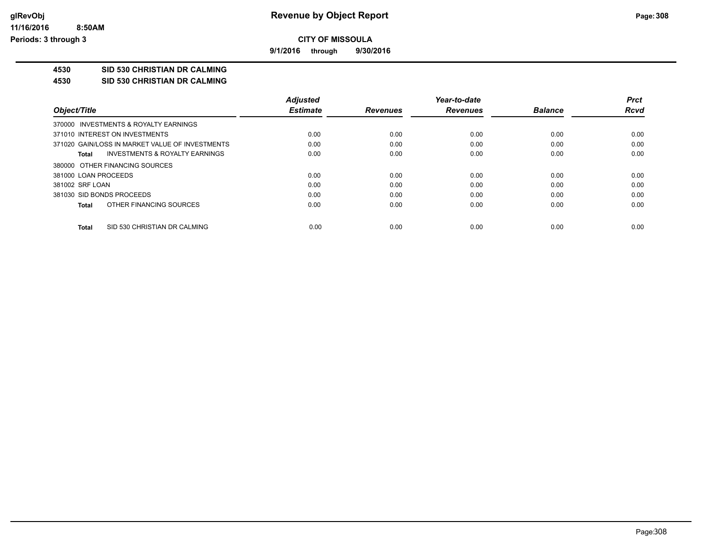**CITY OF MISSOULA**

**9/1/2016 through 9/30/2016**

# **4530 SID 530 CHRISTIAN DR CALMING**

 **8:50AM**

#### **4530 SID 530 CHRISTIAN DR CALMING**

|                                       |                                                 | <b>Adjusted</b> |                 | Year-to-date    |                | <b>Prct</b> |
|---------------------------------------|-------------------------------------------------|-----------------|-----------------|-----------------|----------------|-------------|
| Object/Title                          |                                                 | <b>Estimate</b> | <b>Revenues</b> | <b>Revenues</b> | <b>Balance</b> | <b>Rcvd</b> |
| 370000 INVESTMENTS & ROYALTY EARNINGS |                                                 |                 |                 |                 |                |             |
| 371010 INTEREST ON INVESTMENTS        |                                                 | 0.00            | 0.00            | 0.00            | 0.00           | 0.00        |
|                                       | 371020 GAIN/LOSS IN MARKET VALUE OF INVESTMENTS | 0.00            | 0.00            | 0.00            | 0.00           | 0.00        |
| Total                                 | INVESTMENTS & ROYALTY EARNINGS                  | 0.00            | 0.00            | 0.00            | 0.00           | 0.00        |
| 380000 OTHER FINANCING SOURCES        |                                                 |                 |                 |                 |                |             |
| 381000 LOAN PROCEEDS                  |                                                 | 0.00            | 0.00            | 0.00            | 0.00           | 0.00        |
| 381002 SRF LOAN                       |                                                 | 0.00            | 0.00            | 0.00            | 0.00           | 0.00        |
| 381030 SID BONDS PROCEEDS             |                                                 | 0.00            | 0.00            | 0.00            | 0.00           | 0.00        |
| Total                                 | OTHER FINANCING SOURCES                         | 0.00            | 0.00            | 0.00            | 0.00           | 0.00        |
| Total                                 | SID 530 CHRISTIAN DR CALMING                    | 0.00            | 0.00            | 0.00            | 0.00           | 0.00        |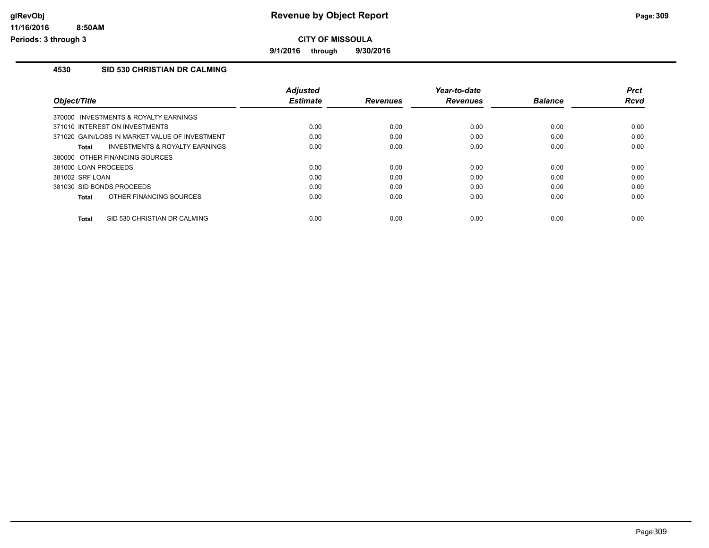**CITY OF MISSOULA**

**9/1/2016 through 9/30/2016**

#### **4530 SID 530 CHRISTIAN DR CALMING**

 **8:50AM**

| Object/Title                                   | <b>Adjusted</b><br><b>Estimate</b> | <b>Revenues</b> | Year-to-date<br><b>Revenues</b> | <b>Balance</b> | <b>Prct</b><br>Rcvd |
|------------------------------------------------|------------------------------------|-----------------|---------------------------------|----------------|---------------------|
| 370000 INVESTMENTS & ROYALTY EARNINGS          |                                    |                 |                                 |                |                     |
| 371010 INTEREST ON INVESTMENTS                 | 0.00                               | 0.00            | 0.00                            | 0.00           | 0.00                |
| 371020 GAIN/LOSS IN MARKET VALUE OF INVESTMENT | 0.00                               | 0.00            | 0.00                            | 0.00           | 0.00                |
| INVESTMENTS & ROYALTY EARNINGS<br>Total        | 0.00                               | 0.00            | 0.00                            | 0.00           | 0.00                |
| 380000 OTHER FINANCING SOURCES                 |                                    |                 |                                 |                |                     |
| 381000 LOAN PROCEEDS                           | 0.00                               | 0.00            | 0.00                            | 0.00           | 0.00                |
| 381002 SRF LOAN                                | 0.00                               | 0.00            | 0.00                            | 0.00           | 0.00                |
| 381030 SID BONDS PROCEEDS                      | 0.00                               | 0.00            | 0.00                            | 0.00           | 0.00                |
| OTHER FINANCING SOURCES<br><b>Total</b>        | 0.00                               | 0.00            | 0.00                            | 0.00           | 0.00                |
| SID 530 CHRISTIAN DR CALMING<br><b>Total</b>   | 0.00                               | 0.00            | 0.00                            | 0.00           | 0.00                |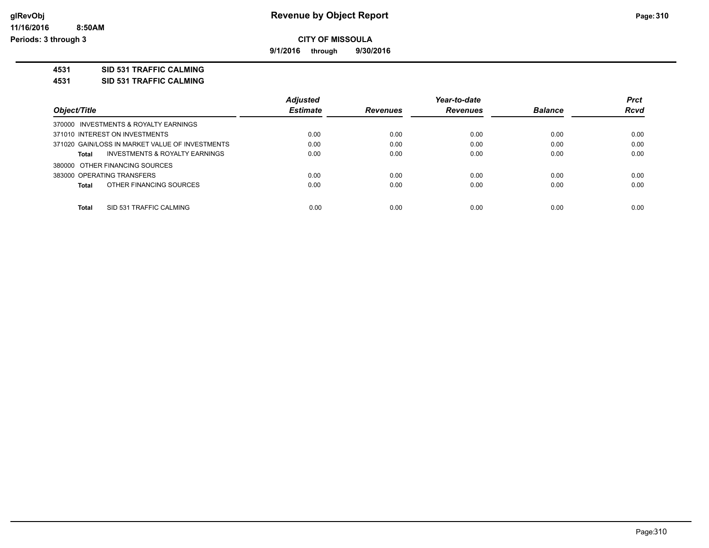**9/1/2016 through 9/30/2016**

#### **4531 SID 531 TRAFFIC CALMING**

**4531 SID 531 TRAFFIC CALMING**

|                                                 | <b>Adjusted</b> |                 | Year-to-date    |                | <b>Prct</b> |
|-------------------------------------------------|-----------------|-----------------|-----------------|----------------|-------------|
| Object/Title                                    | <b>Estimate</b> | <b>Revenues</b> | <b>Revenues</b> | <b>Balance</b> | <b>Rcvd</b> |
| 370000 INVESTMENTS & ROYALTY EARNINGS           |                 |                 |                 |                |             |
| 371010 INTEREST ON INVESTMENTS                  | 0.00            | 0.00            | 0.00            | 0.00           | 0.00        |
| 371020 GAIN/LOSS IN MARKET VALUE OF INVESTMENTS | 0.00            | 0.00            | 0.00            | 0.00           | 0.00        |
| INVESTMENTS & ROYALTY EARNINGS<br>Total         | 0.00            | 0.00            | 0.00            | 0.00           | 0.00        |
| 380000 OTHER FINANCING SOURCES                  |                 |                 |                 |                |             |
| 383000 OPERATING TRANSFERS                      | 0.00            | 0.00            | 0.00            | 0.00           | 0.00        |
| OTHER FINANCING SOURCES<br>Total                | 0.00            | 0.00            | 0.00            | 0.00           | 0.00        |
|                                                 |                 |                 |                 |                |             |
| <b>Total</b><br>SID 531 TRAFFIC CALMING         | 0.00            | 0.00            | 0.00            | 0.00           | 0.00        |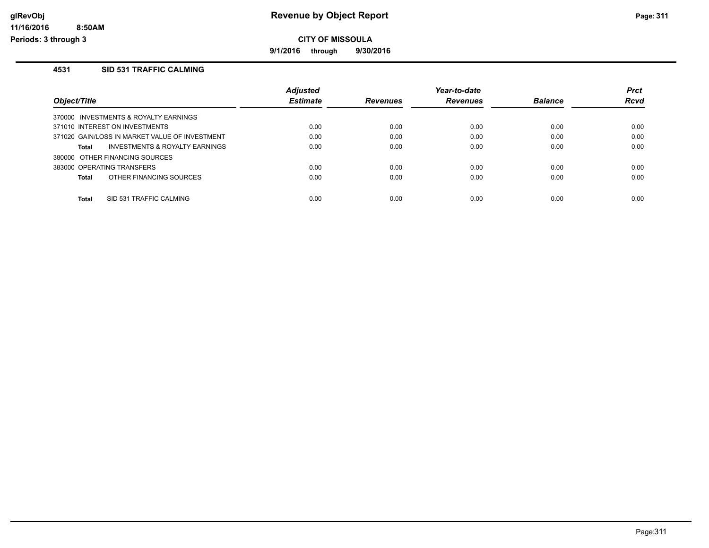**CITY OF MISSOULA**

**9/1/2016 through 9/30/2016**

#### **4531 SID 531 TRAFFIC CALMING**

 **8:50AM**

|                                                | <b>Adjusted</b> |                 | Year-to-date    |                | <b>Prct</b> |
|------------------------------------------------|-----------------|-----------------|-----------------|----------------|-------------|
| Object/Title                                   | <b>Estimate</b> | <b>Revenues</b> | <b>Revenues</b> | <b>Balance</b> | <b>Rcvd</b> |
| 370000 INVESTMENTS & ROYALTY EARNINGS          |                 |                 |                 |                |             |
| 371010 INTEREST ON INVESTMENTS                 | 0.00            | 0.00            | 0.00            | 0.00           | 0.00        |
| 371020 GAIN/LOSS IN MARKET VALUE OF INVESTMENT | 0.00            | 0.00            | 0.00            | 0.00           | 0.00        |
| INVESTMENTS & ROYALTY EARNINGS<br>Total        | 0.00            | 0.00            | 0.00            | 0.00           | 0.00        |
| 380000 OTHER FINANCING SOURCES                 |                 |                 |                 |                |             |
| 383000 OPERATING TRANSFERS                     | 0.00            | 0.00            | 0.00            | 0.00           | 0.00        |
| OTHER FINANCING SOURCES<br><b>Total</b>        | 0.00            | 0.00            | 0.00            | 0.00           | 0.00        |
|                                                |                 |                 |                 |                |             |
| <b>Total</b><br>SID 531 TRAFFIC CALMING        | 0.00            | 0.00            | 0.00            | 0.00           | 0.00        |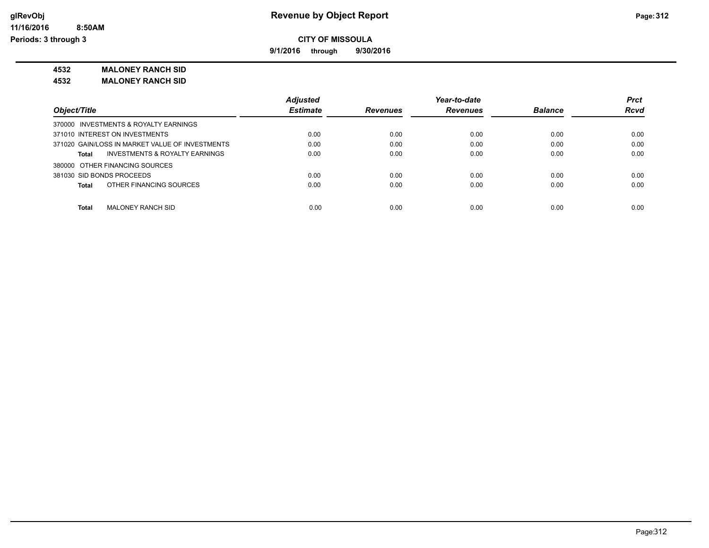**9/1/2016 through 9/30/2016**

**4532 MALONEY RANCH SID**

**4532 MALONEY RANCH SID**

|                                                    | <b>Adjusted</b> |                 | Year-to-date    |                | <b>Prct</b> |
|----------------------------------------------------|-----------------|-----------------|-----------------|----------------|-------------|
| Object/Title                                       | <b>Estimate</b> | <b>Revenues</b> | <b>Revenues</b> | <b>Balance</b> | <b>Rcvd</b> |
| 370000 INVESTMENTS & ROYALTY EARNINGS              |                 |                 |                 |                |             |
| 371010 INTEREST ON INVESTMENTS                     | 0.00            | 0.00            | 0.00            | 0.00           | 0.00        |
| 371020 GAIN/LOSS IN MARKET VALUE OF INVESTMENTS    | 0.00            | 0.00            | 0.00            | 0.00           | 0.00        |
| <b>INVESTMENTS &amp; ROYALTY EARNINGS</b><br>Total | 0.00            | 0.00            | 0.00            | 0.00           | 0.00        |
| 380000 OTHER FINANCING SOURCES                     |                 |                 |                 |                |             |
| 381030 SID BONDS PROCEEDS                          | 0.00            | 0.00            | 0.00            | 0.00           | 0.00        |
| OTHER FINANCING SOURCES<br><b>Total</b>            | 0.00            | 0.00            | 0.00            | 0.00           | 0.00        |
| <b>Total</b><br>MALONEY RANCH SID                  | 0.00            | 0.00            | 0.00            | 0.00           | 0.00        |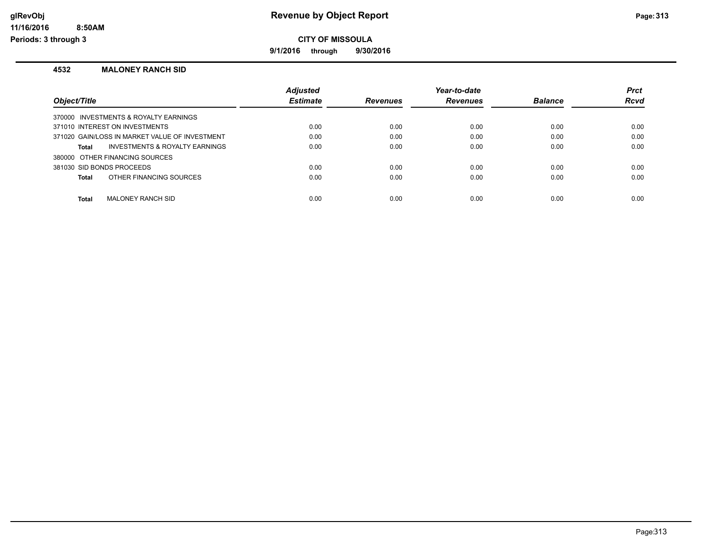**CITY OF MISSOULA**

**9/1/2016 through 9/30/2016**

#### **4532 MALONEY RANCH SID**

 **8:50AM**

|                                                |                                | <b>Adjusted</b> |                 | Year-to-date    |                | <b>Prct</b> |
|------------------------------------------------|--------------------------------|-----------------|-----------------|-----------------|----------------|-------------|
| Object/Title                                   |                                | <b>Estimate</b> | <b>Revenues</b> | <b>Revenues</b> | <b>Balance</b> | <b>Rcvd</b> |
| 370000 INVESTMENTS & ROYALTY EARNINGS          |                                |                 |                 |                 |                |             |
| 371010 INTEREST ON INVESTMENTS                 |                                | 0.00            | 0.00            | 0.00            | 0.00           | 0.00        |
| 371020 GAIN/LOSS IN MARKET VALUE OF INVESTMENT |                                | 0.00            | 0.00            | 0.00            | 0.00           | 0.00        |
| Total                                          | INVESTMENTS & ROYALTY EARNINGS | 0.00            | 0.00            | 0.00            | 0.00           | 0.00        |
| 380000 OTHER FINANCING SOURCES                 |                                |                 |                 |                 |                |             |
| 381030 SID BONDS PROCEEDS                      |                                | 0.00            | 0.00            | 0.00            | 0.00           | 0.00        |
| Total                                          | OTHER FINANCING SOURCES        | 0.00            | 0.00            | 0.00            | 0.00           | 0.00        |
| Total                                          | MALONEY RANCH SID              | 0.00            | 0.00            | 0.00            | 0.00           | 0.00        |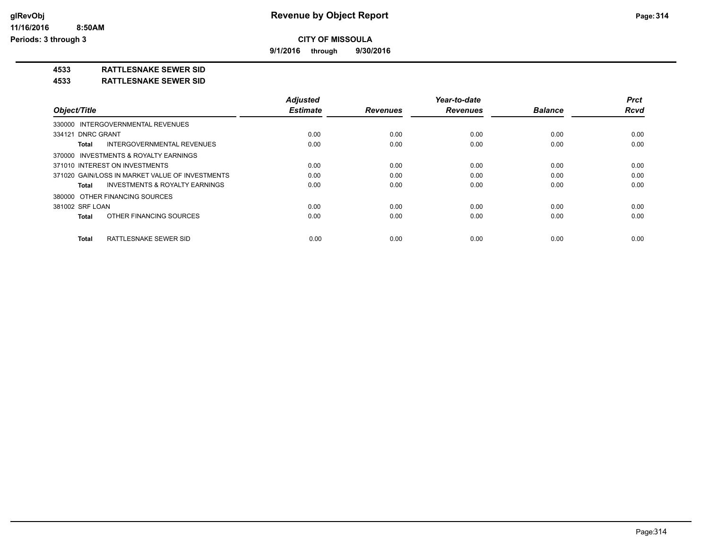**9/1/2016 through 9/30/2016**

#### **4533 RATTLESNAKE SEWER SID**

**4533 RATTLESNAKE SEWER SID**

|                                                 | <b>Adjusted</b> |                 | Year-to-date    |                | <b>Prct</b> |
|-------------------------------------------------|-----------------|-----------------|-----------------|----------------|-------------|
| Object/Title                                    | <b>Estimate</b> | <b>Revenues</b> | <b>Revenues</b> | <b>Balance</b> | <b>Rcvd</b> |
| 330000 INTERGOVERNMENTAL REVENUES               |                 |                 |                 |                |             |
| 334121 DNRC GRANT                               | 0.00            | 0.00            | 0.00            | 0.00           | 0.00        |
| INTERGOVERNMENTAL REVENUES<br>Total             | 0.00            | 0.00            | 0.00            | 0.00           | 0.00        |
| 370000 INVESTMENTS & ROYALTY EARNINGS           |                 |                 |                 |                |             |
| 371010 INTEREST ON INVESTMENTS                  | 0.00            | 0.00            | 0.00            | 0.00           | 0.00        |
| 371020 GAIN/LOSS IN MARKET VALUE OF INVESTMENTS | 0.00            | 0.00            | 0.00            | 0.00           | 0.00        |
| INVESTMENTS & ROYALTY EARNINGS<br>Total         | 0.00            | 0.00            | 0.00            | 0.00           | 0.00        |
| 380000 OTHER FINANCING SOURCES                  |                 |                 |                 |                |             |
| 381002 SRF LOAN                                 | 0.00            | 0.00            | 0.00            | 0.00           | 0.00        |
| OTHER FINANCING SOURCES<br>Total                | 0.00            | 0.00            | 0.00            | 0.00           | 0.00        |
| RATTLESNAKE SEWER SID<br>Total                  | 0.00            | 0.00            | 0.00            | 0.00           | 0.00        |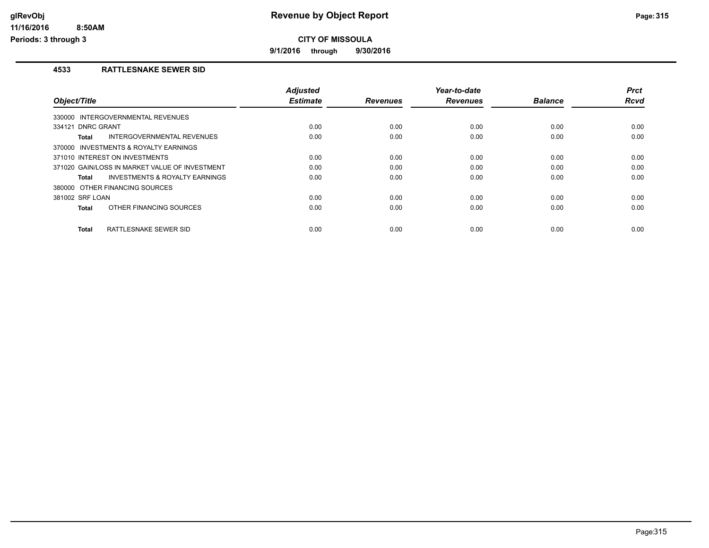**CITY OF MISSOULA**

**9/1/2016 through 9/30/2016**

#### **4533 RATTLESNAKE SEWER SID**

| Object/Title                                       | <b>Adjusted</b><br><b>Estimate</b> | <b>Revenues</b> | Year-to-date<br><b>Revenues</b> | <b>Balance</b> | <b>Prct</b><br><b>Rcvd</b> |
|----------------------------------------------------|------------------------------------|-----------------|---------------------------------|----------------|----------------------------|
|                                                    |                                    |                 |                                 |                |                            |
| 330000 INTERGOVERNMENTAL REVENUES                  |                                    |                 |                                 |                |                            |
| 334121 DNRC GRANT                                  | 0.00                               | 0.00            | 0.00                            | 0.00           | 0.00                       |
| INTERGOVERNMENTAL REVENUES<br>Total                | 0.00                               | 0.00            | 0.00                            | 0.00           | 0.00                       |
| 370000 INVESTMENTS & ROYALTY EARNINGS              |                                    |                 |                                 |                |                            |
| 371010 INTEREST ON INVESTMENTS                     | 0.00                               | 0.00            | 0.00                            | 0.00           | 0.00                       |
| 371020 GAIN/LOSS IN MARKET VALUE OF INVESTMENT     | 0.00                               | 0.00            | 0.00                            | 0.00           | 0.00                       |
| <b>INVESTMENTS &amp; ROYALTY EARNINGS</b><br>Total | 0.00                               | 0.00            | 0.00                            | 0.00           | 0.00                       |
| 380000 OTHER FINANCING SOURCES                     |                                    |                 |                                 |                |                            |
| 381002 SRF LOAN                                    | 0.00                               | 0.00            | 0.00                            | 0.00           | 0.00                       |
| OTHER FINANCING SOURCES<br>Total                   | 0.00                               | 0.00            | 0.00                            | 0.00           | 0.00                       |
| RATTLESNAKE SEWER SID<br>Total                     | 0.00                               | 0.00            | 0.00                            | 0.00           | 0.00                       |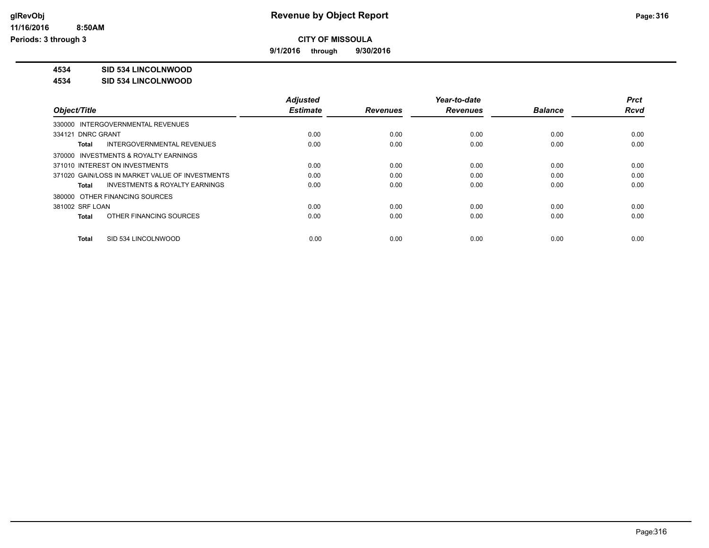**9/1/2016 through 9/30/2016**

# **4534 SID 534 LINCOLNWOOD**

#### **4534 SID 534 LINCOLNWOOD**

|                                                    | <b>Adjusted</b> |                 | Year-to-date    |                | Prct        |
|----------------------------------------------------|-----------------|-----------------|-----------------|----------------|-------------|
| Object/Title                                       | <b>Estimate</b> | <b>Revenues</b> | <b>Revenues</b> | <b>Balance</b> | <b>Rcvd</b> |
| 330000 INTERGOVERNMENTAL REVENUES                  |                 |                 |                 |                |             |
| 334121 DNRC GRANT                                  | 0.00            | 0.00            | 0.00            | 0.00           | 0.00        |
| INTERGOVERNMENTAL REVENUES<br>Total                | 0.00            | 0.00            | 0.00            | 0.00           | 0.00        |
| 370000 INVESTMENTS & ROYALTY EARNINGS              |                 |                 |                 |                |             |
| 371010 INTEREST ON INVESTMENTS                     | 0.00            | 0.00            | 0.00            | 0.00           | 0.00        |
| 371020 GAIN/LOSS IN MARKET VALUE OF INVESTMENTS    | 0.00            | 0.00            | 0.00            | 0.00           | 0.00        |
| <b>INVESTMENTS &amp; ROYALTY EARNINGS</b><br>Total | 0.00            | 0.00            | 0.00            | 0.00           | 0.00        |
| 380000 OTHER FINANCING SOURCES                     |                 |                 |                 |                |             |
| 381002 SRF LOAN                                    | 0.00            | 0.00            | 0.00            | 0.00           | 0.00        |
| OTHER FINANCING SOURCES<br>Total                   | 0.00            | 0.00            | 0.00            | 0.00           | 0.00        |
| SID 534 LINCOLNWOOD<br>Total                       | 0.00            | 0.00            | 0.00            | 0.00           | 0.00        |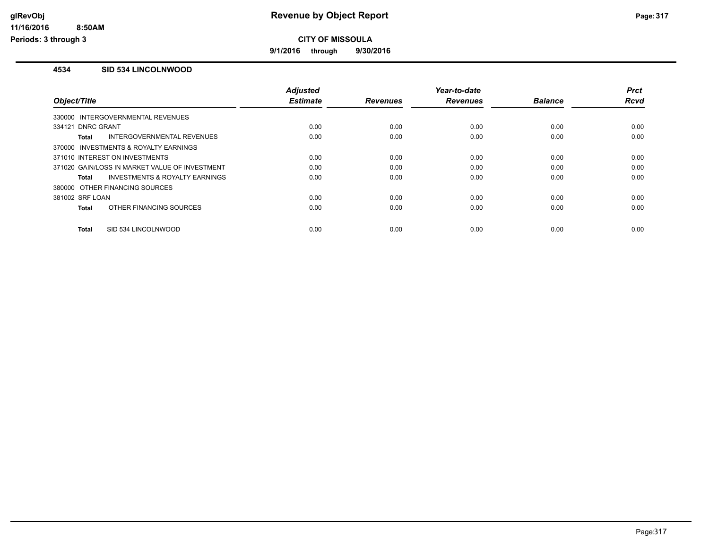**9/1/2016 through 9/30/2016**

#### **4534 SID 534 LINCOLNWOOD**

|                                                    | <b>Adjusted</b> |                 | Year-to-date    |                | <b>Prct</b> |
|----------------------------------------------------|-----------------|-----------------|-----------------|----------------|-------------|
| Object/Title                                       | <b>Estimate</b> | <b>Revenues</b> | <b>Revenues</b> | <b>Balance</b> | <b>Rcvd</b> |
| INTERGOVERNMENTAL REVENUES<br>330000               |                 |                 |                 |                |             |
| 334121 DNRC GRANT                                  | 0.00            | 0.00            | 0.00            | 0.00           | 0.00        |
| INTERGOVERNMENTAL REVENUES<br>Total                | 0.00            | 0.00            | 0.00            | 0.00           | 0.00        |
| 370000 INVESTMENTS & ROYALTY EARNINGS              |                 |                 |                 |                |             |
| 371010 INTEREST ON INVESTMENTS                     | 0.00            | 0.00            | 0.00            | 0.00           | 0.00        |
| 371020 GAIN/LOSS IN MARKET VALUE OF INVESTMENT     | 0.00            | 0.00            | 0.00            | 0.00           | 0.00        |
| <b>INVESTMENTS &amp; ROYALTY EARNINGS</b><br>Total | 0.00            | 0.00            | 0.00            | 0.00           | 0.00        |
| 380000 OTHER FINANCING SOURCES                     |                 |                 |                 |                |             |
| 381002 SRF LOAN                                    | 0.00            | 0.00            | 0.00            | 0.00           | 0.00        |
| OTHER FINANCING SOURCES<br><b>Total</b>            | 0.00            | 0.00            | 0.00            | 0.00           | 0.00        |
| SID 534 LINCOLNWOOD<br><b>Total</b>                | 0.00            | 0.00            | 0.00            | 0.00           | 0.00        |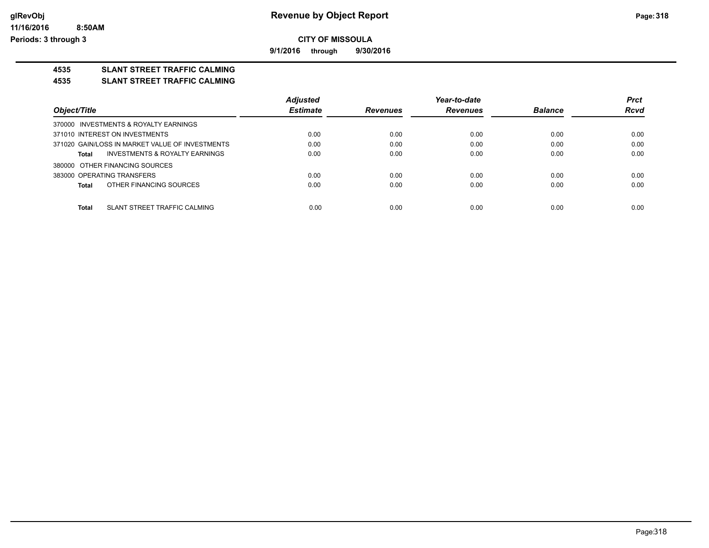**9/1/2016 through 9/30/2016**

# **4535 SLANT STREET TRAFFIC CALMING**

## **4535 SLANT STREET TRAFFIC CALMING**

| <b>Adjusted</b> |                 | Year-to-date    |                | <b>Prct</b> |
|-----------------|-----------------|-----------------|----------------|-------------|
| <b>Estimate</b> | <b>Revenues</b> | <b>Revenues</b> | <b>Balance</b> | <b>Rcvd</b> |
|                 |                 |                 |                |             |
| 0.00            | 0.00            | 0.00            | 0.00           | 0.00        |
| 0.00            | 0.00            | 0.00            | 0.00           | 0.00        |
| 0.00            | 0.00            | 0.00            | 0.00           | 0.00        |
|                 |                 |                 |                |             |
| 0.00            | 0.00            | 0.00            | 0.00           | 0.00        |
| 0.00            | 0.00            | 0.00            | 0.00           | 0.00        |
|                 |                 |                 |                | 0.00        |
|                 | 0.00            | 0.00            | 0.00           | 0.00        |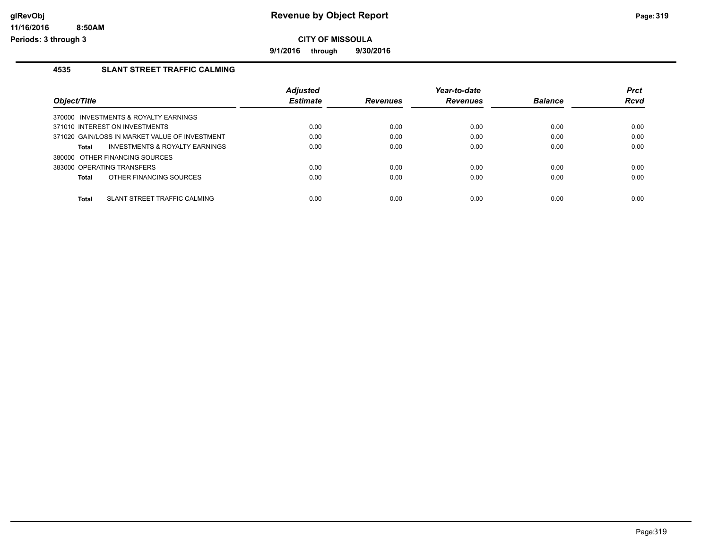**8:50AM**

**CITY OF MISSOULA**

**9/1/2016 through 9/30/2016**

# **4535 SLANT STREET TRAFFIC CALMING**

|                                                | <b>Adjusted</b> |                 | Year-to-date    |                | <b>Prct</b> |
|------------------------------------------------|-----------------|-----------------|-----------------|----------------|-------------|
| Object/Title                                   | <b>Estimate</b> | <b>Revenues</b> | <b>Revenues</b> | <b>Balance</b> | <b>Rcvd</b> |
| 370000 INVESTMENTS & ROYALTY EARNINGS          |                 |                 |                 |                |             |
| 371010 INTEREST ON INVESTMENTS                 | 0.00            | 0.00            | 0.00            | 0.00           | 0.00        |
| 371020 GAIN/LOSS IN MARKET VALUE OF INVESTMENT | 0.00            | 0.00            | 0.00            | 0.00           | 0.00        |
| INVESTMENTS & ROYALTY EARNINGS<br>Total        | 0.00            | 0.00            | 0.00            | 0.00           | 0.00        |
| 380000 OTHER FINANCING SOURCES                 |                 |                 |                 |                |             |
| 383000 OPERATING TRANSFERS                     | 0.00            | 0.00            | 0.00            | 0.00           | 0.00        |
| OTHER FINANCING SOURCES<br>Total               | 0.00            | 0.00            | 0.00            | 0.00           | 0.00        |
|                                                |                 |                 |                 |                |             |
| Total<br>SLANT STREET TRAFFIC CALMING          | 0.00            | 0.00            | 0.00            | 0.00           | 0.00        |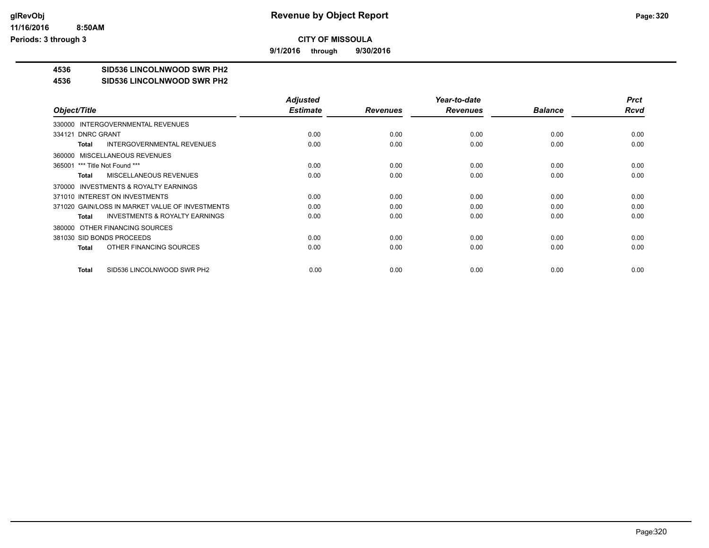**9/1/2016 through 9/30/2016**

# **4536 SID536 LINCOLNWOOD SWR PH2**

#### **4536 SID536 LINCOLNWOOD SWR PH2**

|                                                    | <b>Adjusted</b> |                 | Year-to-date    |                | <b>Prct</b> |
|----------------------------------------------------|-----------------|-----------------|-----------------|----------------|-------------|
| Object/Title                                       | <b>Estimate</b> | <b>Revenues</b> | <b>Revenues</b> | <b>Balance</b> | Rcvd        |
| 330000 INTERGOVERNMENTAL REVENUES                  |                 |                 |                 |                |             |
| 334121 DNRC GRANT                                  | 0.00            | 0.00            | 0.00            | 0.00           | 0.00        |
| <b>INTERGOVERNMENTAL REVENUES</b><br>Total         | 0.00            | 0.00            | 0.00            | 0.00           | 0.00        |
| 360000 MISCELLANEOUS REVENUES                      |                 |                 |                 |                |             |
| 365001 *** Title Not Found ***                     | 0.00            | 0.00            | 0.00            | 0.00           | 0.00        |
| <b>MISCELLANEOUS REVENUES</b><br>Total             | 0.00            | 0.00            | 0.00            | 0.00           | 0.00        |
| 370000 INVESTMENTS & ROYALTY EARNINGS              |                 |                 |                 |                |             |
| 371010 INTEREST ON INVESTMENTS                     | 0.00            | 0.00            | 0.00            | 0.00           | 0.00        |
| 371020 GAIN/LOSS IN MARKET VALUE OF INVESTMENTS    | 0.00            | 0.00            | 0.00            | 0.00           | 0.00        |
| <b>INVESTMENTS &amp; ROYALTY EARNINGS</b><br>Total | 0.00            | 0.00            | 0.00            | 0.00           | 0.00        |
| 380000 OTHER FINANCING SOURCES                     |                 |                 |                 |                |             |
| 381030 SID BONDS PROCEEDS                          | 0.00            | 0.00            | 0.00            | 0.00           | 0.00        |
| OTHER FINANCING SOURCES<br>Total                   | 0.00            | 0.00            | 0.00            | 0.00           | 0.00        |
|                                                    |                 |                 |                 |                |             |
| SID536 LINCOLNWOOD SWR PH2<br>Total                | 0.00            | 0.00            | 0.00            | 0.00           | 0.00        |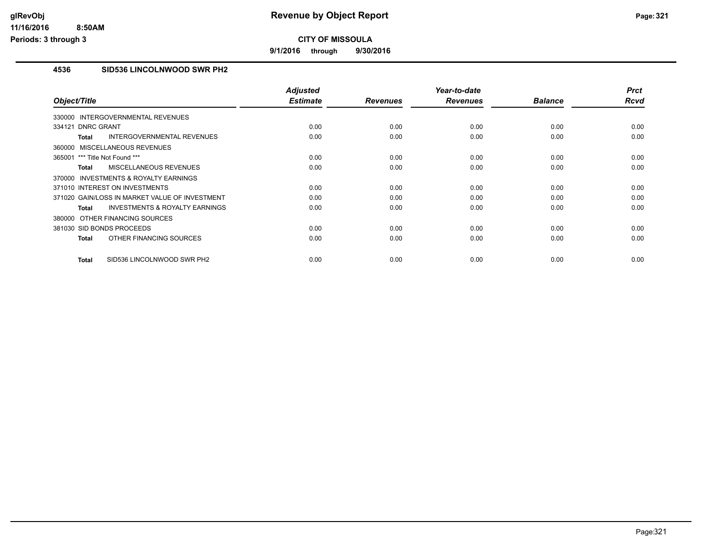**CITY OF MISSOULA**

**9/1/2016 through 9/30/2016**

# **4536 SID536 LINCOLNWOOD SWR PH2**

| Object/Title                                              | <b>Adjusted</b><br><b>Estimate</b> | <b>Revenues</b> | Year-to-date<br><b>Revenues</b> | <b>Balance</b> | <b>Prct</b><br><b>Rcvd</b> |
|-----------------------------------------------------------|------------------------------------|-----------------|---------------------------------|----------------|----------------------------|
|                                                           |                                    |                 |                                 |                |                            |
| 330000 INTERGOVERNMENTAL REVENUES                         |                                    |                 |                                 |                |                            |
| 334121 DNRC GRANT                                         | 0.00                               | 0.00            | 0.00                            | 0.00           | 0.00                       |
| <b>INTERGOVERNMENTAL REVENUES</b><br><b>Total</b>         | 0.00                               | 0.00            | 0.00                            | 0.00           | 0.00                       |
| 360000 MISCELLANEOUS REVENUES                             |                                    |                 |                                 |                |                            |
| 365001 *** Title Not Found ***                            | 0.00                               | 0.00            | 0.00                            | 0.00           | 0.00                       |
| MISCELLANEOUS REVENUES<br><b>Total</b>                    | 0.00                               | 0.00            | 0.00                            | 0.00           | 0.00                       |
| 370000 INVESTMENTS & ROYALTY EARNINGS                     |                                    |                 |                                 |                |                            |
| 371010 INTEREST ON INVESTMENTS                            | 0.00                               | 0.00            | 0.00                            | 0.00           | 0.00                       |
| 371020 GAIN/LOSS IN MARKET VALUE OF INVESTMENT            | 0.00                               | 0.00            | 0.00                            | 0.00           | 0.00                       |
| <b>INVESTMENTS &amp; ROYALTY EARNINGS</b><br><b>Total</b> | 0.00                               | 0.00            | 0.00                            | 0.00           | 0.00                       |
| 380000 OTHER FINANCING SOURCES                            |                                    |                 |                                 |                |                            |
| 381030 SID BONDS PROCEEDS                                 | 0.00                               | 0.00            | 0.00                            | 0.00           | 0.00                       |
| OTHER FINANCING SOURCES<br><b>Total</b>                   | 0.00                               | 0.00            | 0.00                            | 0.00           | 0.00                       |
| SID536 LINCOLNWOOD SWR PH2<br><b>Total</b>                | 0.00                               | 0.00            | 0.00                            | 0.00           | 0.00                       |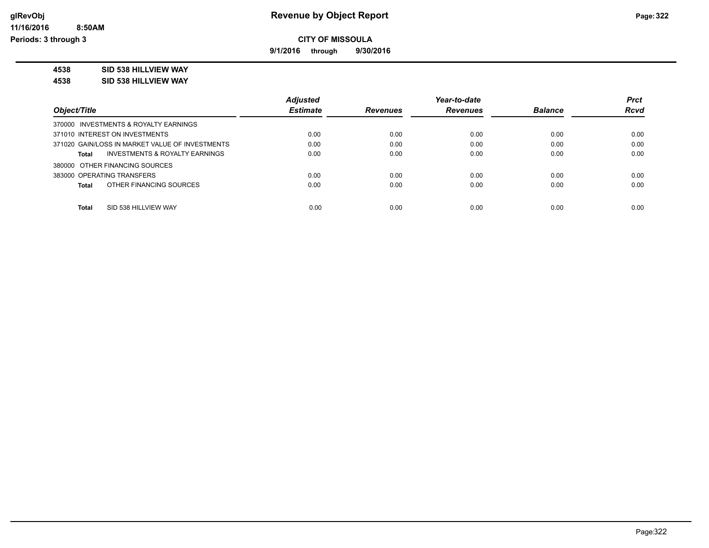**9/1/2016 through 9/30/2016**

#### **4538 SID 538 HILLVIEW WAY**

**4538 SID 538 HILLVIEW WAY**

|                                                 | <b>Adjusted</b> |                 | Year-to-date    |                | <b>Prct</b> |
|-------------------------------------------------|-----------------|-----------------|-----------------|----------------|-------------|
| Object/Title                                    | <b>Estimate</b> | <b>Revenues</b> | <b>Revenues</b> | <b>Balance</b> | <b>Rcvd</b> |
| 370000 INVESTMENTS & ROYALTY EARNINGS           |                 |                 |                 |                |             |
| 371010 INTEREST ON INVESTMENTS                  | 0.00            | 0.00            | 0.00            | 0.00           | 0.00        |
| 371020 GAIN/LOSS IN MARKET VALUE OF INVESTMENTS | 0.00            | 0.00            | 0.00            | 0.00           | 0.00        |
| INVESTMENTS & ROYALTY EARNINGS<br>Total         | 0.00            | 0.00            | 0.00            | 0.00           | 0.00        |
| 380000 OTHER FINANCING SOURCES                  |                 |                 |                 |                |             |
| 383000 OPERATING TRANSFERS                      | 0.00            | 0.00            | 0.00            | 0.00           | 0.00        |
| OTHER FINANCING SOURCES<br>Total                | 0.00            | 0.00            | 0.00            | 0.00           | 0.00        |
|                                                 |                 |                 |                 |                |             |
| Total<br>SID 538 HILLVIEW WAY                   | 0.00            | 0.00            | 0.00            | 0.00           | 0.00        |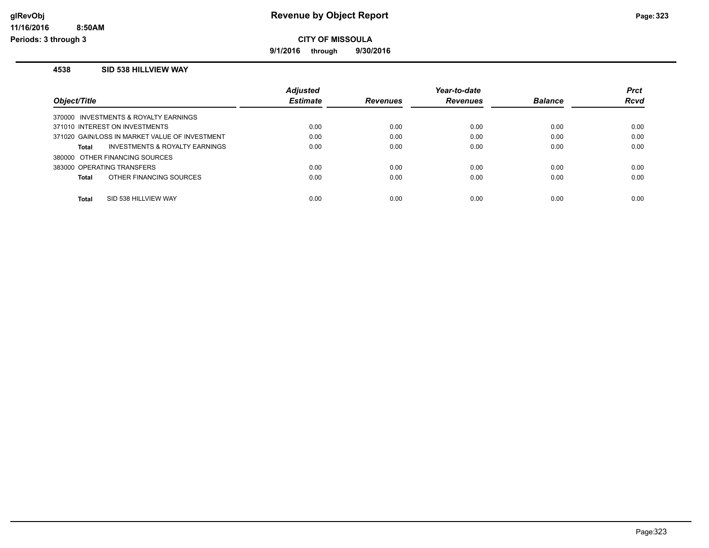**CITY OF MISSOULA**

**9/1/2016 through 9/30/2016**

#### **4538 SID 538 HILLVIEW WAY**

|                                                | <b>Adjusted</b> |                 | Year-to-date    |                | <b>Prct</b> |
|------------------------------------------------|-----------------|-----------------|-----------------|----------------|-------------|
| Object/Title                                   | <b>Estimate</b> | <b>Revenues</b> | <b>Revenues</b> | <b>Balance</b> | <b>Rcvd</b> |
| 370000 INVESTMENTS & ROYALTY EARNINGS          |                 |                 |                 |                |             |
| 371010 INTEREST ON INVESTMENTS                 | 0.00            | 0.00            | 0.00            | 0.00           | 0.00        |
| 371020 GAIN/LOSS IN MARKET VALUE OF INVESTMENT | 0.00            | 0.00            | 0.00            | 0.00           | 0.00        |
| INVESTMENTS & ROYALTY EARNINGS<br>Total        | 0.00            | 0.00            | 0.00            | 0.00           | 0.00        |
| 380000 OTHER FINANCING SOURCES                 |                 |                 |                 |                |             |
| 383000 OPERATING TRANSFERS                     | 0.00            | 0.00            | 0.00            | 0.00           | 0.00        |
| OTHER FINANCING SOURCES<br>Total               | 0.00            | 0.00            | 0.00            | 0.00           | 0.00        |
|                                                |                 |                 |                 |                |             |
| <b>Total</b><br>SID 538 HILLVIEW WAY           | 0.00            | 0.00            | 0.00            | 0.00           | 0.00        |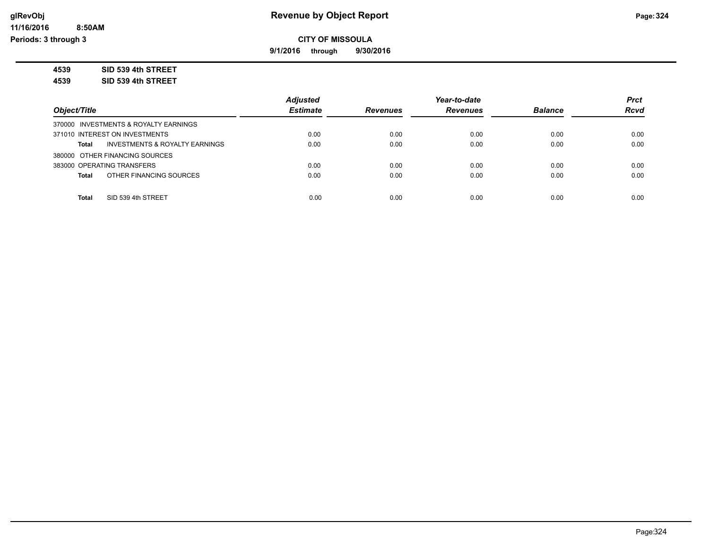**9/1/2016 through 9/30/2016**

**4539 SID 539 4th STREET**

**4539 SID 539 4th STREET**

|                                                           | <b>Adjusted</b> |                 | Year-to-date    |                | <b>Prct</b> |
|-----------------------------------------------------------|-----------------|-----------------|-----------------|----------------|-------------|
| Object/Title                                              | <b>Estimate</b> | <b>Revenues</b> | <b>Revenues</b> | <b>Balance</b> | <b>Rcvd</b> |
| 370000 INVESTMENTS & ROYALTY EARNINGS                     |                 |                 |                 |                |             |
| 371010 INTEREST ON INVESTMENTS                            | 0.00            | 0.00            | 0.00            | 0.00           | 0.00        |
| <b>INVESTMENTS &amp; ROYALTY EARNINGS</b><br><b>Total</b> | 0.00            | 0.00            | 0.00            | 0.00           | 0.00        |
| 380000 OTHER FINANCING SOURCES                            |                 |                 |                 |                |             |
| 383000 OPERATING TRANSFERS                                | 0.00            | 0.00            | 0.00            | 0.00           | 0.00        |
| OTHER FINANCING SOURCES<br><b>Total</b>                   | 0.00            | 0.00            | 0.00            | 0.00           | 0.00        |
| SID 539 4th STREET<br><b>Total</b>                        | 0.00            | 0.00            | 0.00            | 0.00           | 0.00        |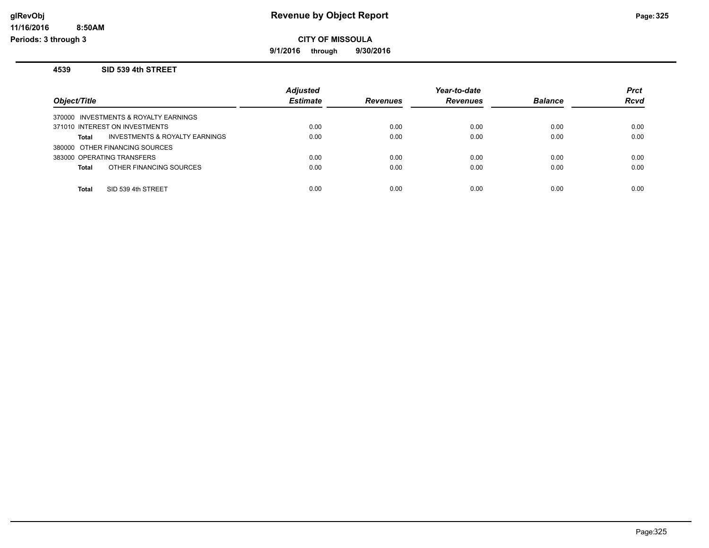**CITY OF MISSOULA**

**9/1/2016 through 9/30/2016**

#### **4539 SID 539 4th STREET**

| Object/Title                                       | <b>Adjusted</b><br><b>Estimate</b> | <b>Revenues</b> | Year-to-date<br><b>Revenues</b> | <b>Balance</b> | <b>Prct</b><br><b>Rcvd</b> |
|----------------------------------------------------|------------------------------------|-----------------|---------------------------------|----------------|----------------------------|
| 370000 INVESTMENTS & ROYALTY EARNINGS              |                                    |                 |                                 |                |                            |
| 371010 INTEREST ON INVESTMENTS                     | 0.00                               | 0.00            | 0.00                            | 0.00           | 0.00                       |
| <b>INVESTMENTS &amp; ROYALTY EARNINGS</b><br>Total | 0.00                               | 0.00            | 0.00                            | 0.00           | 0.00                       |
| 380000 OTHER FINANCING SOURCES                     |                                    |                 |                                 |                |                            |
| 383000 OPERATING TRANSFERS                         | 0.00                               | 0.00            | 0.00                            | 0.00           | 0.00                       |
| OTHER FINANCING SOURCES<br><b>Total</b>            | 0.00                               | 0.00            | 0.00                            | 0.00           | 0.00                       |
|                                                    |                                    |                 |                                 |                |                            |
| SID 539 4th STREET<br><b>Total</b>                 | 0.00                               | 0.00            | 0.00                            | 0.00           | 0.00                       |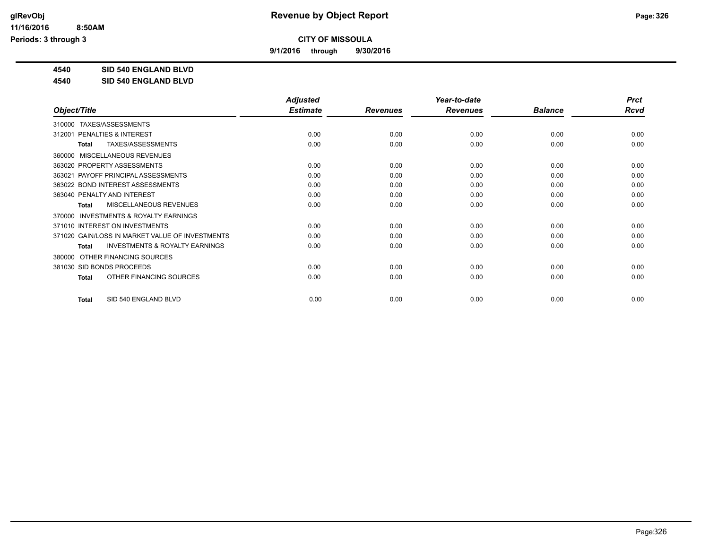**9/1/2016 through 9/30/2016**

**4540 SID 540 ENGLAND BLVD**

**4540 SID 540 ENGLAND BLVD**

|                                                           | <b>Adjusted</b> |                 | Year-to-date    |                | <b>Prct</b> |
|-----------------------------------------------------------|-----------------|-----------------|-----------------|----------------|-------------|
| Object/Title                                              | <b>Estimate</b> | <b>Revenues</b> | <b>Revenues</b> | <b>Balance</b> | <b>Rcvd</b> |
| TAXES/ASSESSMENTS<br>310000                               |                 |                 |                 |                |             |
| PENALTIES & INTEREST<br>312001                            | 0.00            | 0.00            | 0.00            | 0.00           | 0.00        |
| TAXES/ASSESSMENTS<br><b>Total</b>                         | 0.00            | 0.00            | 0.00            | 0.00           | 0.00        |
| MISCELLANEOUS REVENUES<br>360000                          |                 |                 |                 |                |             |
| 363020 PROPERTY ASSESSMENTS                               | 0.00            | 0.00            | 0.00            | 0.00           | 0.00        |
| 363021 PAYOFF PRINCIPAL ASSESSMENTS                       | 0.00            | 0.00            | 0.00            | 0.00           | 0.00        |
| 363022 BOND INTEREST ASSESSMENTS                          | 0.00            | 0.00            | 0.00            | 0.00           | 0.00        |
| 363040 PENALTY AND INTEREST                               | 0.00            | 0.00            | 0.00            | 0.00           | 0.00        |
| <b>MISCELLANEOUS REVENUES</b><br><b>Total</b>             | 0.00            | 0.00            | 0.00            | 0.00           | 0.00        |
| <b>INVESTMENTS &amp; ROYALTY EARNINGS</b><br>370000       |                 |                 |                 |                |             |
| 371010 INTEREST ON INVESTMENTS                            | 0.00            | 0.00            | 0.00            | 0.00           | 0.00        |
| 371020 GAIN/LOSS IN MARKET VALUE OF INVESTMENTS           | 0.00            | 0.00            | 0.00            | 0.00           | 0.00        |
| <b>INVESTMENTS &amp; ROYALTY EARNINGS</b><br><b>Total</b> | 0.00            | 0.00            | 0.00            | 0.00           | 0.00        |
| OTHER FINANCING SOURCES<br>380000                         |                 |                 |                 |                |             |
| 381030 SID BONDS PROCEEDS                                 | 0.00            | 0.00            | 0.00            | 0.00           | 0.00        |
| OTHER FINANCING SOURCES<br><b>Total</b>                   | 0.00            | 0.00            | 0.00            | 0.00           | 0.00        |
|                                                           |                 |                 |                 |                |             |
| SID 540 ENGLAND BLVD<br><b>Total</b>                      | 0.00            | 0.00            | 0.00            | 0.00           | 0.00        |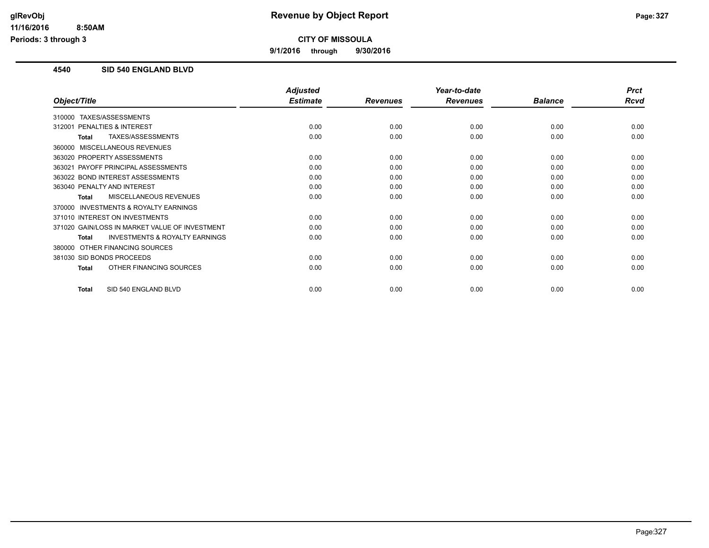**CITY OF MISSOULA**

**9/1/2016 through 9/30/2016**

#### **4540 SID 540 ENGLAND BLVD**

|                                                           | <b>Adjusted</b> |                 | Year-to-date    |                | <b>Prct</b> |
|-----------------------------------------------------------|-----------------|-----------------|-----------------|----------------|-------------|
| Object/Title                                              | <b>Estimate</b> | <b>Revenues</b> | <b>Revenues</b> | <b>Balance</b> | <b>Rcvd</b> |
| <b>TAXES/ASSESSMENTS</b><br>310000                        |                 |                 |                 |                |             |
| 312001 PENALTIES & INTEREST                               | 0.00            | 0.00            | 0.00            | 0.00           | 0.00        |
| TAXES/ASSESSMENTS<br><b>Total</b>                         | 0.00            | 0.00            | 0.00            | 0.00           | 0.00        |
| MISCELLANEOUS REVENUES<br>360000                          |                 |                 |                 |                |             |
| 363020 PROPERTY ASSESSMENTS                               | 0.00            | 0.00            | 0.00            | 0.00           | 0.00        |
| 363021 PAYOFF PRINCIPAL ASSESSMENTS                       | 0.00            | 0.00            | 0.00            | 0.00           | 0.00        |
| 363022 BOND INTEREST ASSESSMENTS                          | 0.00            | 0.00            | 0.00            | 0.00           | 0.00        |
| 363040 PENALTY AND INTEREST                               | 0.00            | 0.00            | 0.00            | 0.00           | 0.00        |
| <b>MISCELLANEOUS REVENUES</b><br><b>Total</b>             | 0.00            | 0.00            | 0.00            | 0.00           | 0.00        |
| <b>INVESTMENTS &amp; ROYALTY EARNINGS</b><br>370000       |                 |                 |                 |                |             |
| 371010 INTEREST ON INVESTMENTS                            | 0.00            | 0.00            | 0.00            | 0.00           | 0.00        |
| 371020 GAIN/LOSS IN MARKET VALUE OF INVESTMENT            | 0.00            | 0.00            | 0.00            | 0.00           | 0.00        |
| <b>INVESTMENTS &amp; ROYALTY EARNINGS</b><br><b>Total</b> | 0.00            | 0.00            | 0.00            | 0.00           | 0.00        |
| OTHER FINANCING SOURCES<br>380000                         |                 |                 |                 |                |             |
| 381030 SID BONDS PROCEEDS                                 | 0.00            | 0.00            | 0.00            | 0.00           | 0.00        |
| OTHER FINANCING SOURCES<br><b>Total</b>                   | 0.00            | 0.00            | 0.00            | 0.00           | 0.00        |
| SID 540 ENGLAND BLVD<br><b>Total</b>                      | 0.00            | 0.00            | 0.00            | 0.00           | 0.00        |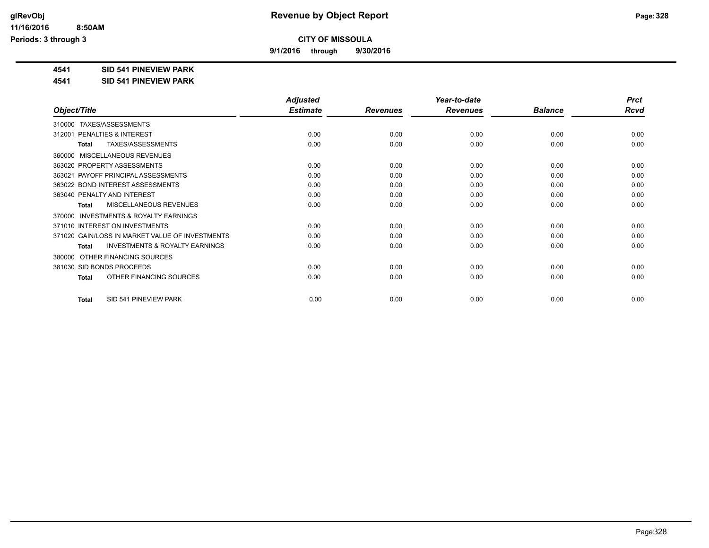**9/1/2016 through 9/30/2016**

**4541 SID 541 PINEVIEW PARK**

**4541 SID 541 PINEVIEW PARK**

|                                                           | <b>Adjusted</b> |                 | Year-to-date    |                | <b>Prct</b> |
|-----------------------------------------------------------|-----------------|-----------------|-----------------|----------------|-------------|
| Object/Title                                              | <b>Estimate</b> | <b>Revenues</b> | <b>Revenues</b> | <b>Balance</b> | <b>Rcvd</b> |
| TAXES/ASSESSMENTS<br>310000                               |                 |                 |                 |                |             |
| <b>PENALTIES &amp; INTEREST</b><br>312001                 | 0.00            | 0.00            | 0.00            | 0.00           | 0.00        |
| TAXES/ASSESSMENTS<br><b>Total</b>                         | 0.00            | 0.00            | 0.00            | 0.00           | 0.00        |
| MISCELLANEOUS REVENUES<br>360000                          |                 |                 |                 |                |             |
| 363020 PROPERTY ASSESSMENTS                               | 0.00            | 0.00            | 0.00            | 0.00           | 0.00        |
| PAYOFF PRINCIPAL ASSESSMENTS<br>363021                    | 0.00            | 0.00            | 0.00            | 0.00           | 0.00        |
| 363022 BOND INTEREST ASSESSMENTS                          | 0.00            | 0.00            | 0.00            | 0.00           | 0.00        |
| 363040 PENALTY AND INTEREST                               | 0.00            | 0.00            | 0.00            | 0.00           | 0.00        |
| <b>MISCELLANEOUS REVENUES</b><br><b>Total</b>             | 0.00            | 0.00            | 0.00            | 0.00           | 0.00        |
| <b>INVESTMENTS &amp; ROYALTY EARNINGS</b><br>370000       |                 |                 |                 |                |             |
| 371010 INTEREST ON INVESTMENTS                            | 0.00            | 0.00            | 0.00            | 0.00           | 0.00        |
| 371020 GAIN/LOSS IN MARKET VALUE OF INVESTMENTS           | 0.00            | 0.00            | 0.00            | 0.00           | 0.00        |
| <b>INVESTMENTS &amp; ROYALTY EARNINGS</b><br><b>Total</b> | 0.00            | 0.00            | 0.00            | 0.00           | 0.00        |
| OTHER FINANCING SOURCES<br>380000                         |                 |                 |                 |                |             |
| 381030 SID BONDS PROCEEDS                                 | 0.00            | 0.00            | 0.00            | 0.00           | 0.00        |
| OTHER FINANCING SOURCES<br><b>Total</b>                   | 0.00            | 0.00            | 0.00            | 0.00           | 0.00        |
|                                                           |                 |                 |                 |                |             |
| SID 541 PINEVIEW PARK<br><b>Total</b>                     | 0.00            | 0.00            | 0.00            | 0.00           | 0.00        |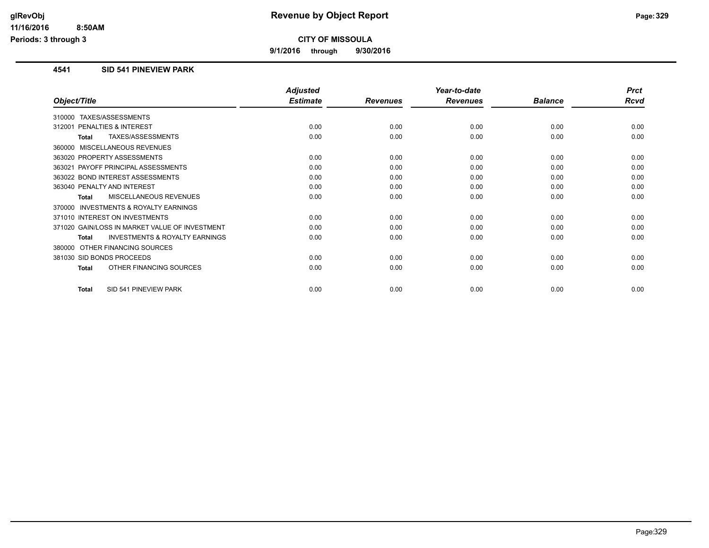**CITY OF MISSOULA**

**9/1/2016 through 9/30/2016**

#### **4541 SID 541 PINEVIEW PARK**

|                                                    | <b>Adjusted</b> |                 | Year-to-date    |                | <b>Prct</b> |
|----------------------------------------------------|-----------------|-----------------|-----------------|----------------|-------------|
| Object/Title                                       | <b>Estimate</b> | <b>Revenues</b> | <b>Revenues</b> | <b>Balance</b> | <b>Rcvd</b> |
| TAXES/ASSESSMENTS<br>310000                        |                 |                 |                 |                |             |
| 312001 PENALTIES & INTEREST                        | 0.00            | 0.00            | 0.00            | 0.00           | 0.00        |
| TAXES/ASSESSMENTS<br><b>Total</b>                  | 0.00            | 0.00            | 0.00            | 0.00           | 0.00        |
| 360000 MISCELLANEOUS REVENUES                      |                 |                 |                 |                |             |
| 363020 PROPERTY ASSESSMENTS                        | 0.00            | 0.00            | 0.00            | 0.00           | 0.00        |
| 363021 PAYOFF PRINCIPAL ASSESSMENTS                | 0.00            | 0.00            | 0.00            | 0.00           | 0.00        |
| 363022 BOND INTEREST ASSESSMENTS                   | 0.00            | 0.00            | 0.00            | 0.00           | 0.00        |
| 363040 PENALTY AND INTEREST                        | 0.00            | 0.00            | 0.00            | 0.00           | 0.00        |
| <b>MISCELLANEOUS REVENUES</b><br>Total             | 0.00            | 0.00            | 0.00            | 0.00           | 0.00        |
| 370000 INVESTMENTS & ROYALTY EARNINGS              |                 |                 |                 |                |             |
| 371010 INTEREST ON INVESTMENTS                     | 0.00            | 0.00            | 0.00            | 0.00           | 0.00        |
| 371020 GAIN/LOSS IN MARKET VALUE OF INVESTMENT     | 0.00            | 0.00            | 0.00            | 0.00           | 0.00        |
| <b>INVESTMENTS &amp; ROYALTY EARNINGS</b><br>Total | 0.00            | 0.00            | 0.00            | 0.00           | 0.00        |
| 380000 OTHER FINANCING SOURCES                     |                 |                 |                 |                |             |
| 381030 SID BONDS PROCEEDS                          | 0.00            | 0.00            | 0.00            | 0.00           | 0.00        |
| OTHER FINANCING SOURCES<br><b>Total</b>            | 0.00            | 0.00            | 0.00            | 0.00           | 0.00        |
| SID 541 PINEVIEW PARK<br><b>Total</b>              | 0.00            | 0.00            | 0.00            | 0.00           | 0.00        |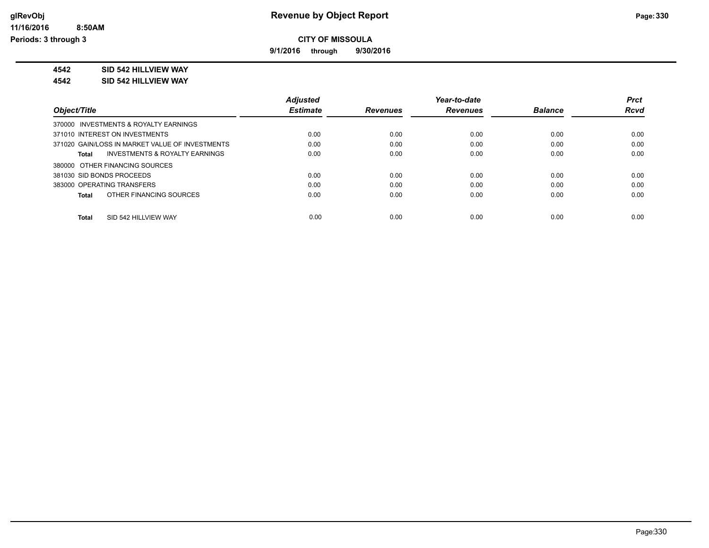**9/1/2016 through 9/30/2016**

#### **4542 SID 542 HILLVIEW WAY**

**4542 SID 542 HILLVIEW WAY**

|                                                    | <b>Adjusted</b> |                 | Year-to-date    |                | <b>Prct</b> |
|----------------------------------------------------|-----------------|-----------------|-----------------|----------------|-------------|
| Object/Title                                       | <b>Estimate</b> | <b>Revenues</b> | <b>Revenues</b> | <b>Balance</b> | <b>Rcvd</b> |
| 370000 INVESTMENTS & ROYALTY EARNINGS              |                 |                 |                 |                |             |
| 371010 INTEREST ON INVESTMENTS                     | 0.00            | 0.00            | 0.00            | 0.00           | 0.00        |
| 371020 GAIN/LOSS IN MARKET VALUE OF INVESTMENTS    | 0.00            | 0.00            | 0.00            | 0.00           | 0.00        |
| <b>INVESTMENTS &amp; ROYALTY EARNINGS</b><br>Total | 0.00            | 0.00            | 0.00            | 0.00           | 0.00        |
| 380000 OTHER FINANCING SOURCES                     |                 |                 |                 |                |             |
| 381030 SID BONDS PROCEEDS                          | 0.00            | 0.00            | 0.00            | 0.00           | 0.00        |
| 383000 OPERATING TRANSFERS                         | 0.00            | 0.00            | 0.00            | 0.00           | 0.00        |
| OTHER FINANCING SOURCES<br><b>Total</b>            | 0.00            | 0.00            | 0.00            | 0.00           | 0.00        |
|                                                    |                 |                 |                 |                |             |
| SID 542 HILLVIEW WAY<br><b>Total</b>               | 0.00            | 0.00            | 0.00            | 0.00           | 0.00        |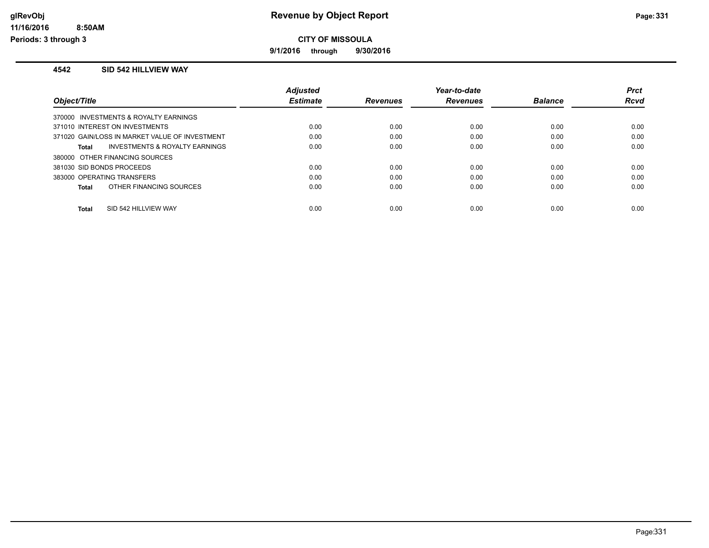**9/1/2016 through 9/30/2016**

#### **4542 SID 542 HILLVIEW WAY**

|                                                | <b>Adjusted</b> |                 | Year-to-date    |                | <b>Prct</b> |
|------------------------------------------------|-----------------|-----------------|-----------------|----------------|-------------|
| Object/Title                                   | <b>Estimate</b> | <b>Revenues</b> | <b>Revenues</b> | <b>Balance</b> | Rcvd        |
| 370000 INVESTMENTS & ROYALTY EARNINGS          |                 |                 |                 |                |             |
| 371010 INTEREST ON INVESTMENTS                 | 0.00            | 0.00            | 0.00            | 0.00           | 0.00        |
| 371020 GAIN/LOSS IN MARKET VALUE OF INVESTMENT | 0.00            | 0.00            | 0.00            | 0.00           | 0.00        |
| INVESTMENTS & ROYALTY EARNINGS<br>Total        | 0.00            | 0.00            | 0.00            | 0.00           | 0.00        |
| 380000 OTHER FINANCING SOURCES                 |                 |                 |                 |                |             |
| 381030 SID BONDS PROCEEDS                      | 0.00            | 0.00            | 0.00            | 0.00           | 0.00        |
| 383000 OPERATING TRANSFERS                     | 0.00            | 0.00            | 0.00            | 0.00           | 0.00        |
| OTHER FINANCING SOURCES<br>Total               | 0.00            | 0.00            | 0.00            | 0.00           | 0.00        |
|                                                |                 |                 |                 |                |             |
| SID 542 HILLVIEW WAY<br><b>Total</b>           | 0.00            | 0.00            | 0.00            | 0.00           | 0.00        |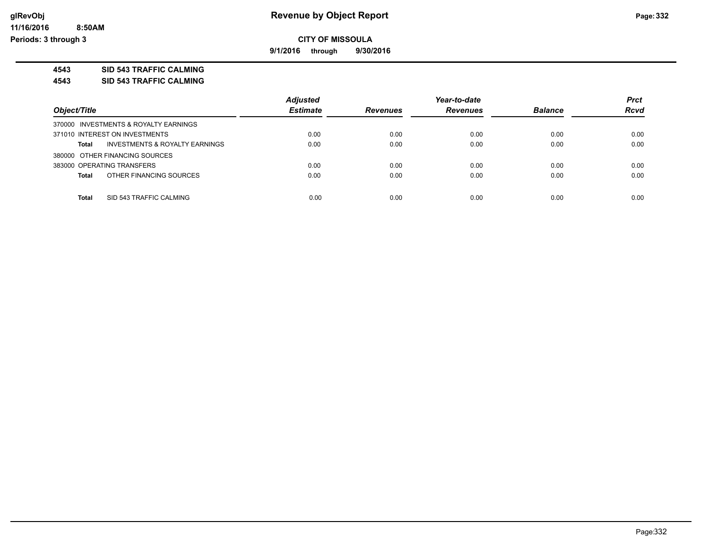**9/1/2016 through 9/30/2016**

#### **4543 SID 543 TRAFFIC CALMING**

#### **4543 SID 543 TRAFFIC CALMING**

|                                                           | <b>Adjusted</b> |                 | Year-to-date    |                | <b>Prct</b> |
|-----------------------------------------------------------|-----------------|-----------------|-----------------|----------------|-------------|
| Object/Title                                              | <b>Estimate</b> | <b>Revenues</b> | <b>Revenues</b> | <b>Balance</b> | <b>Rcvd</b> |
| 370000 INVESTMENTS & ROYALTY EARNINGS                     |                 |                 |                 |                |             |
| 371010 INTEREST ON INVESTMENTS                            | 0.00            | 0.00            | 0.00            | 0.00           | 0.00        |
| <b>INVESTMENTS &amp; ROYALTY EARNINGS</b><br><b>Total</b> | 0.00            | 0.00            | 0.00            | 0.00           | 0.00        |
| 380000 OTHER FINANCING SOURCES                            |                 |                 |                 |                |             |
| 383000 OPERATING TRANSFERS                                | 0.00            | 0.00            | 0.00            | 0.00           | 0.00        |
| OTHER FINANCING SOURCES<br>Total                          | 0.00            | 0.00            | 0.00            | 0.00           | 0.00        |
|                                                           |                 |                 |                 |                |             |
| SID 543 TRAFFIC CALMING<br><b>Total</b>                   | 0.00            | 0.00            | 0.00            | 0.00           | 0.00        |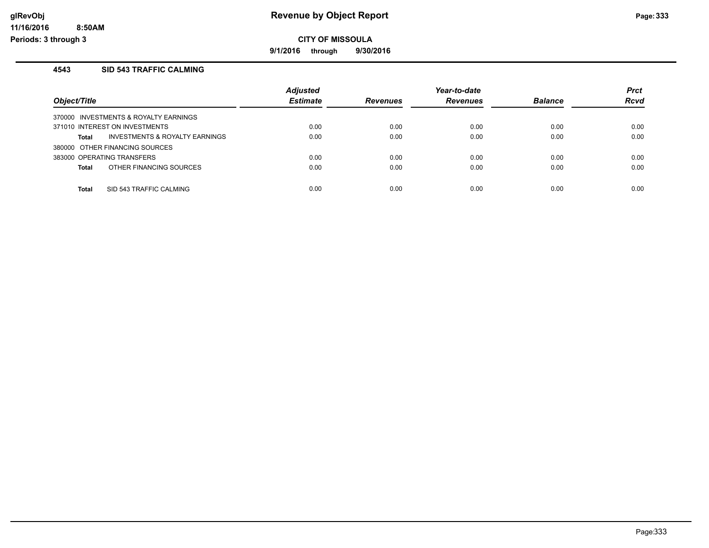**CITY OF MISSOULA**

**9/1/2016 through 9/30/2016**

#### **4543 SID 543 TRAFFIC CALMING**

|                                                    | <b>Adjusted</b> |                 | Year-to-date    |                | <b>Prct</b> |
|----------------------------------------------------|-----------------|-----------------|-----------------|----------------|-------------|
| Object/Title                                       | <b>Estimate</b> | <b>Revenues</b> | <b>Revenues</b> | <b>Balance</b> | <b>Rcvd</b> |
| 370000 INVESTMENTS & ROYALTY EARNINGS              |                 |                 |                 |                |             |
| 371010 INTEREST ON INVESTMENTS                     | 0.00            | 0.00            | 0.00            | 0.00           | 0.00        |
| <b>INVESTMENTS &amp; ROYALTY EARNINGS</b><br>Total | 0.00            | 0.00            | 0.00            | 0.00           | 0.00        |
| 380000 OTHER FINANCING SOURCES                     |                 |                 |                 |                |             |
| 383000 OPERATING TRANSFERS                         | 0.00            | 0.00            | 0.00            | 0.00           | 0.00        |
| OTHER FINANCING SOURCES<br><b>Total</b>            | 0.00            | 0.00            | 0.00            | 0.00           | 0.00        |
|                                                    |                 |                 |                 |                |             |
| SID 543 TRAFFIC CALMING<br><b>Total</b>            | 0.00            | 0.00            | 0.00            | 0.00           | 0.00        |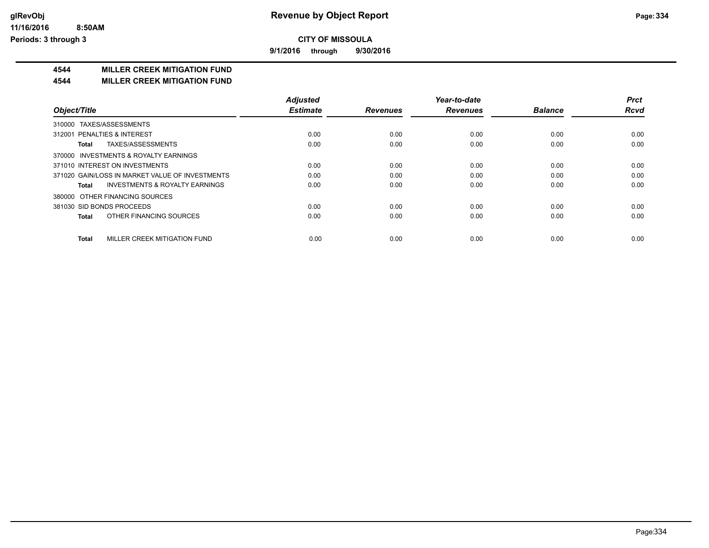**glRevObj Revenue by Object Report Page:334** 

**CITY OF MISSOULA**

**9/1/2016 through 9/30/2016**

#### **4544 MILLER CREEK MITIGATION FUND**

 **8:50AM**

#### **4544 MILLER CREEK MITIGATION FUND**

|                                                    | <b>Adjusted</b> |                 | Year-to-date    |                | <b>Prct</b> |
|----------------------------------------------------|-----------------|-----------------|-----------------|----------------|-------------|
| Object/Title                                       | <b>Estimate</b> | <b>Revenues</b> | <b>Revenues</b> | <b>Balance</b> | <b>Rcvd</b> |
| TAXES/ASSESSMENTS<br>310000                        |                 |                 |                 |                |             |
| <b>PENALTIES &amp; INTEREST</b><br>312001          | 0.00            | 0.00            | 0.00            | 0.00           | 0.00        |
| TAXES/ASSESSMENTS<br>Total                         | 0.00            | 0.00            | 0.00            | 0.00           | 0.00        |
| 370000 INVESTMENTS & ROYALTY EARNINGS              |                 |                 |                 |                |             |
| 371010 INTEREST ON INVESTMENTS                     | 0.00            | 0.00            | 0.00            | 0.00           | 0.00        |
| 371020 GAIN/LOSS IN MARKET VALUE OF INVESTMENTS    | 0.00            | 0.00            | 0.00            | 0.00           | 0.00        |
| <b>INVESTMENTS &amp; ROYALTY EARNINGS</b><br>Total | 0.00            | 0.00            | 0.00            | 0.00           | 0.00        |
| 380000 OTHER FINANCING SOURCES                     |                 |                 |                 |                |             |
| 381030 SID BONDS PROCEEDS                          | 0.00            | 0.00            | 0.00            | 0.00           | 0.00        |
| OTHER FINANCING SOURCES<br>Total                   | 0.00            | 0.00            | 0.00            | 0.00           | 0.00        |
| MILLER CREEK MITIGATION FUND<br><b>Total</b>       | 0.00            | 0.00            | 0.00            | 0.00           | 0.00        |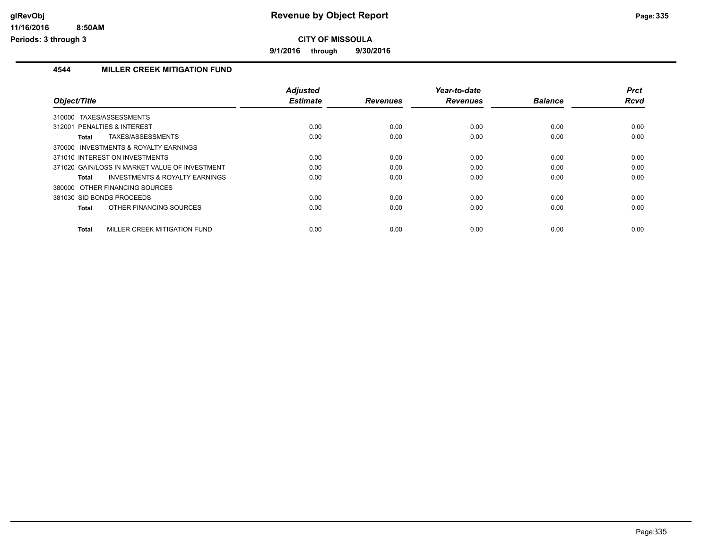**CITY OF MISSOULA**

**9/1/2016 through 9/30/2016**

#### **4544 MILLER CREEK MITIGATION FUND**

| Object/Title                                       | <b>Adjusted</b><br><b>Estimate</b> | <b>Revenues</b> | Year-to-date<br><b>Revenues</b> | <b>Balance</b> | <b>Prct</b><br><b>Rcvd</b> |
|----------------------------------------------------|------------------------------------|-----------------|---------------------------------|----------------|----------------------------|
|                                                    |                                    |                 |                                 |                |                            |
| TAXES/ASSESSMENTS<br>310000                        |                                    |                 |                                 |                |                            |
| 312001 PENALTIES & INTEREST                        | 0.00                               | 0.00            | 0.00                            | 0.00           | 0.00                       |
| TAXES/ASSESSMENTS<br>Total                         | 0.00                               | 0.00            | 0.00                            | 0.00           | 0.00                       |
| 370000 INVESTMENTS & ROYALTY EARNINGS              |                                    |                 |                                 |                |                            |
| 371010 INTEREST ON INVESTMENTS                     | 0.00                               | 0.00            | 0.00                            | 0.00           | 0.00                       |
| 371020 GAIN/LOSS IN MARKET VALUE OF INVESTMENT     | 0.00                               | 0.00            | 0.00                            | 0.00           | 0.00                       |
| <b>INVESTMENTS &amp; ROYALTY EARNINGS</b><br>Total | 0.00                               | 0.00            | 0.00                            | 0.00           | 0.00                       |
| 380000 OTHER FINANCING SOURCES                     |                                    |                 |                                 |                |                            |
| 381030 SID BONDS PROCEEDS                          | 0.00                               | 0.00            | 0.00                            | 0.00           | 0.00                       |
| OTHER FINANCING SOURCES<br>Total                   | 0.00                               | 0.00            | 0.00                            | 0.00           | 0.00                       |
| MILLER CREEK MITIGATION FUND<br><b>Total</b>       | 0.00                               | 0.00            | 0.00                            | 0.00           | 0.00                       |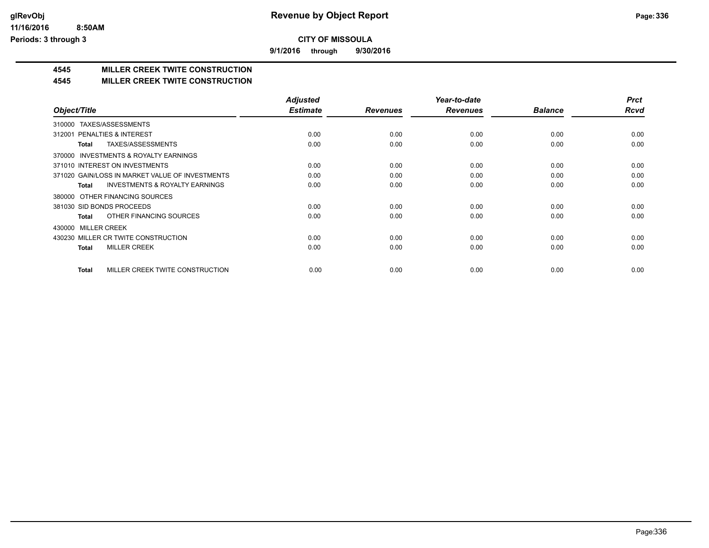**8:50AM**

**CITY OF MISSOULA**

**9/1/2016 through 9/30/2016**

## **4545 MILLER CREEK TWITE CONSTRUCTION**

#### **4545 MILLER CREEK TWITE CONSTRUCTION**

|                                                     | <b>Adjusted</b> |                 | Year-to-date    |                | <b>Prct</b> |
|-----------------------------------------------------|-----------------|-----------------|-----------------|----------------|-------------|
| Object/Title                                        | <b>Estimate</b> | <b>Revenues</b> | <b>Revenues</b> | <b>Balance</b> | <b>Rcvd</b> |
| TAXES/ASSESSMENTS<br>310000                         |                 |                 |                 |                |             |
| 312001 PENALTIES & INTEREST                         | 0.00            | 0.00            | 0.00            | 0.00           | 0.00        |
| <b>TAXES/ASSESSMENTS</b><br><b>Total</b>            | 0.00            | 0.00            | 0.00            | 0.00           | 0.00        |
| <b>INVESTMENTS &amp; ROYALTY EARNINGS</b><br>370000 |                 |                 |                 |                |             |
| 371010 INTEREST ON INVESTMENTS                      | 0.00            | 0.00            | 0.00            | 0.00           | 0.00        |
| 371020 GAIN/LOSS IN MARKET VALUE OF INVESTMENTS     | 0.00            | 0.00            | 0.00            | 0.00           | 0.00        |
| <b>INVESTMENTS &amp; ROYALTY EARNINGS</b><br>Total  | 0.00            | 0.00            | 0.00            | 0.00           | 0.00        |
| OTHER FINANCING SOURCES<br>380000                   |                 |                 |                 |                |             |
| 381030 SID BONDS PROCEEDS                           | 0.00            | 0.00            | 0.00            | 0.00           | 0.00        |
| OTHER FINANCING SOURCES<br>Total                    | 0.00            | 0.00            | 0.00            | 0.00           | 0.00        |
| <b>MILLER CREEK</b><br>430000                       |                 |                 |                 |                |             |
| 430230 MILLER CR TWITE CONSTRUCTION                 | 0.00            | 0.00            | 0.00            | 0.00           | 0.00        |
| <b>MILLER CREEK</b><br>Total                        | 0.00            | 0.00            | 0.00            | 0.00           | 0.00        |
|                                                     |                 |                 |                 |                |             |
| MILLER CREEK TWITE CONSTRUCTION<br><b>Total</b>     | 0.00            | 0.00            | 0.00            | 0.00           | 0.00        |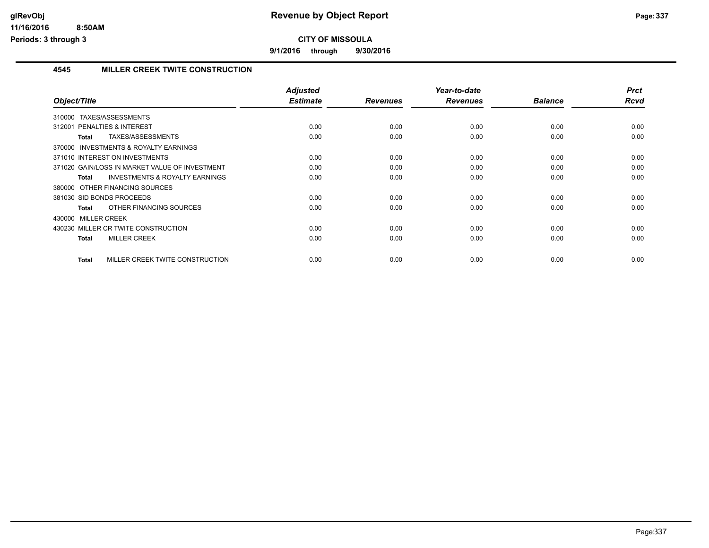**8:50AM**

**CITY OF MISSOULA**

**9/1/2016 through 9/30/2016**

#### **4545 MILLER CREEK TWITE CONSTRUCTION**

| Object/Title                                              | <b>Adjusted</b><br><b>Estimate</b> | <b>Revenues</b> | Year-to-date<br><b>Revenues</b> | <b>Balance</b> | <b>Prct</b><br><b>Rcvd</b> |
|-----------------------------------------------------------|------------------------------------|-----------------|---------------------------------|----------------|----------------------------|
| TAXES/ASSESSMENTS<br>310000                               |                                    |                 |                                 |                |                            |
| 312001 PENALTIES & INTEREST                               | 0.00                               | 0.00            | 0.00                            | 0.00           | 0.00                       |
| TAXES/ASSESSMENTS<br><b>Total</b>                         | 0.00                               | 0.00            | 0.00                            | 0.00           | 0.00                       |
| 370000 INVESTMENTS & ROYALTY EARNINGS                     |                                    |                 |                                 |                |                            |
| 371010 INTEREST ON INVESTMENTS                            | 0.00                               | 0.00            | 0.00                            | 0.00           | 0.00                       |
| 371020 GAIN/LOSS IN MARKET VALUE OF INVESTMENT            | 0.00                               | 0.00            | 0.00                            | 0.00           | 0.00                       |
| <b>INVESTMENTS &amp; ROYALTY EARNINGS</b><br><b>Total</b> | 0.00                               | 0.00            | 0.00                            | 0.00           | 0.00                       |
| 380000 OTHER FINANCING SOURCES                            |                                    |                 |                                 |                |                            |
| 381030 SID BONDS PROCEEDS                                 | 0.00                               | 0.00            | 0.00                            | 0.00           | 0.00                       |
| OTHER FINANCING SOURCES<br><b>Total</b>                   | 0.00                               | 0.00            | 0.00                            | 0.00           | 0.00                       |
| 430000 MILLER CREEK                                       |                                    |                 |                                 |                |                            |
| 430230 MILLER CR TWITE CONSTRUCTION                       | 0.00                               | 0.00            | 0.00                            | 0.00           | 0.00                       |
| <b>MILLER CREEK</b><br><b>Total</b>                       | 0.00                               | 0.00            | 0.00                            | 0.00           | 0.00                       |
|                                                           |                                    |                 |                                 |                |                            |
| MILLER CREEK TWITE CONSTRUCTION<br><b>Total</b>           | 0.00                               | 0.00            | 0.00                            | 0.00           | 0.00                       |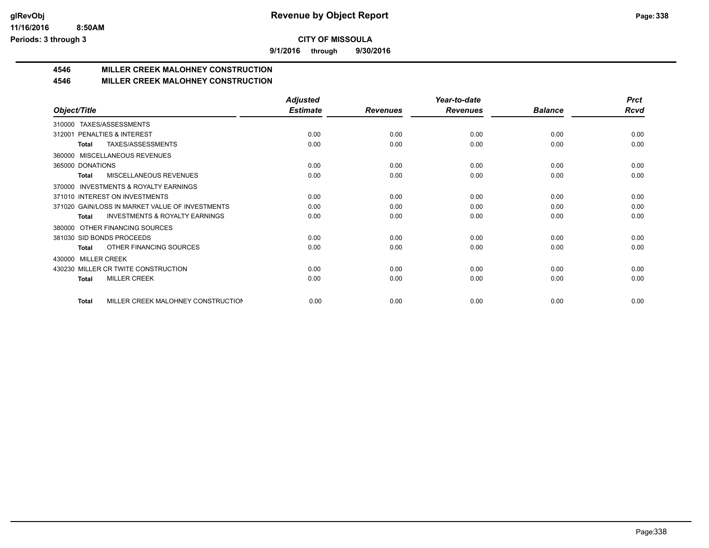**9/1/2016 through 9/30/2016**

## **4546 MILLER CREEK MALOHNEY CONSTRUCTION**

#### **4546 MILLER CREEK MALOHNEY CONSTRUCTION**

|                                                     | <b>Adjusted</b> |                 | Year-to-date    |                | <b>Prct</b> |
|-----------------------------------------------------|-----------------|-----------------|-----------------|----------------|-------------|
| Object/Title                                        | <b>Estimate</b> | <b>Revenues</b> | <b>Revenues</b> | <b>Balance</b> | <b>Rcvd</b> |
| TAXES/ASSESSMENTS<br>310000                         |                 |                 |                 |                |             |
| PENALTIES & INTEREST<br>312001                      | 0.00            | 0.00            | 0.00            | 0.00           | 0.00        |
| TAXES/ASSESSMENTS<br>Total                          | 0.00            | 0.00            | 0.00            | 0.00           | 0.00        |
| MISCELLANEOUS REVENUES<br>360000                    |                 |                 |                 |                |             |
| 365000 DONATIONS                                    | 0.00            | 0.00            | 0.00            | 0.00           | 0.00        |
| MISCELLANEOUS REVENUES<br><b>Total</b>              | 0.00            | 0.00            | 0.00            | 0.00           | 0.00        |
| <b>INVESTMENTS &amp; ROYALTY EARNINGS</b><br>370000 |                 |                 |                 |                |             |
| 371010 INTEREST ON INVESTMENTS                      | 0.00            | 0.00            | 0.00            | 0.00           | 0.00        |
| 371020 GAIN/LOSS IN MARKET VALUE OF INVESTMENTS     | 0.00            | 0.00            | 0.00            | 0.00           | 0.00        |
| <b>INVESTMENTS &amp; ROYALTY EARNINGS</b><br>Total  | 0.00            | 0.00            | 0.00            | 0.00           | 0.00        |
| OTHER FINANCING SOURCES<br>380000                   |                 |                 |                 |                |             |
| 381030 SID BONDS PROCEEDS                           | 0.00            | 0.00            | 0.00            | 0.00           | 0.00        |
| OTHER FINANCING SOURCES<br>Total                    | 0.00            | 0.00            | 0.00            | 0.00           | 0.00        |
| <b>MILLER CREEK</b><br>430000                       |                 |                 |                 |                |             |
| 430230 MILLER CR TWITE CONSTRUCTION                 | 0.00            | 0.00            | 0.00            | 0.00           | 0.00        |
| <b>MILLER CREEK</b><br><b>Total</b>                 | 0.00            | 0.00            | 0.00            | 0.00           | 0.00        |
|                                                     |                 |                 |                 |                |             |
| MILLER CREEK MALOHNEY CONSTRUCTION<br><b>Total</b>  | 0.00            | 0.00            | 0.00            | 0.00           | 0.00        |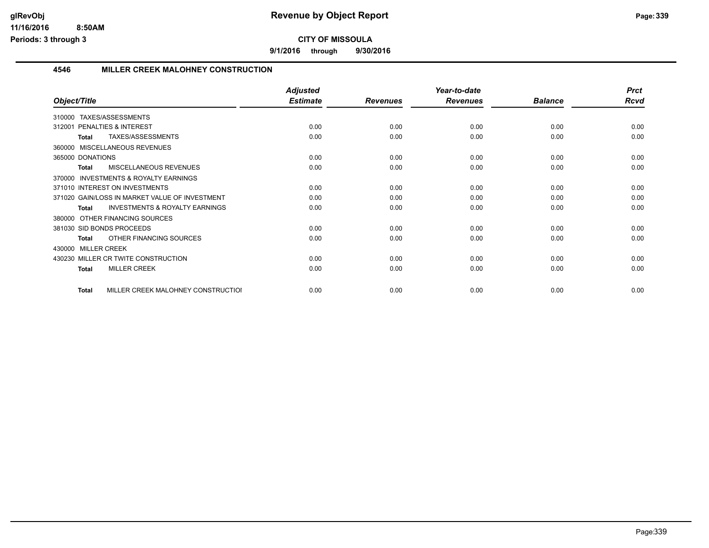**8:50AM**

**CITY OF MISSOULA**

**9/1/2016 through 9/30/2016**

#### **4546 MILLER CREEK MALOHNEY CONSTRUCTION**

|                                                     | <b>Adjusted</b> |                 | Year-to-date    |                | <b>Prct</b> |
|-----------------------------------------------------|-----------------|-----------------|-----------------|----------------|-------------|
| Object/Title                                        | <b>Estimate</b> | <b>Revenues</b> | <b>Revenues</b> | <b>Balance</b> | <b>Rcvd</b> |
| TAXES/ASSESSMENTS<br>310000                         |                 |                 |                 |                |             |
| 312001 PENALTIES & INTEREST                         | 0.00            | 0.00            | 0.00            | 0.00           | 0.00        |
| TAXES/ASSESSMENTS<br><b>Total</b>                   | 0.00            | 0.00            | 0.00            | 0.00           | 0.00        |
| 360000 MISCELLANEOUS REVENUES                       |                 |                 |                 |                |             |
| 365000 DONATIONS                                    | 0.00            | 0.00            | 0.00            | 0.00           | 0.00        |
| MISCELLANEOUS REVENUES<br>Total                     | 0.00            | 0.00            | 0.00            | 0.00           | 0.00        |
| <b>INVESTMENTS &amp; ROYALTY EARNINGS</b><br>370000 |                 |                 |                 |                |             |
| 371010 INTEREST ON INVESTMENTS                      | 0.00            | 0.00            | 0.00            | 0.00           | 0.00        |
| 371020 GAIN/LOSS IN MARKET VALUE OF INVESTMENT      | 0.00            | 0.00            | 0.00            | 0.00           | 0.00        |
| <b>INVESTMENTS &amp; ROYALTY EARNINGS</b><br>Total  | 0.00            | 0.00            | 0.00            | 0.00           | 0.00        |
| OTHER FINANCING SOURCES<br>380000                   |                 |                 |                 |                |             |
| 381030 SID BONDS PROCEEDS                           | 0.00            | 0.00            | 0.00            | 0.00           | 0.00        |
| OTHER FINANCING SOURCES<br><b>Total</b>             | 0.00            | 0.00            | 0.00            | 0.00           | 0.00        |
| 430000 MILLER CREEK                                 |                 |                 |                 |                |             |
| 430230 MILLER CR TWITE CONSTRUCTION                 | 0.00            | 0.00            | 0.00            | 0.00           | 0.00        |
| <b>MILLER CREEK</b><br><b>Total</b>                 | 0.00            | 0.00            | 0.00            | 0.00           | 0.00        |
| MILLER CREEK MALOHNEY CONSTRUCTIOI<br><b>Total</b>  | 0.00            | 0.00            | 0.00            | 0.00           | 0.00        |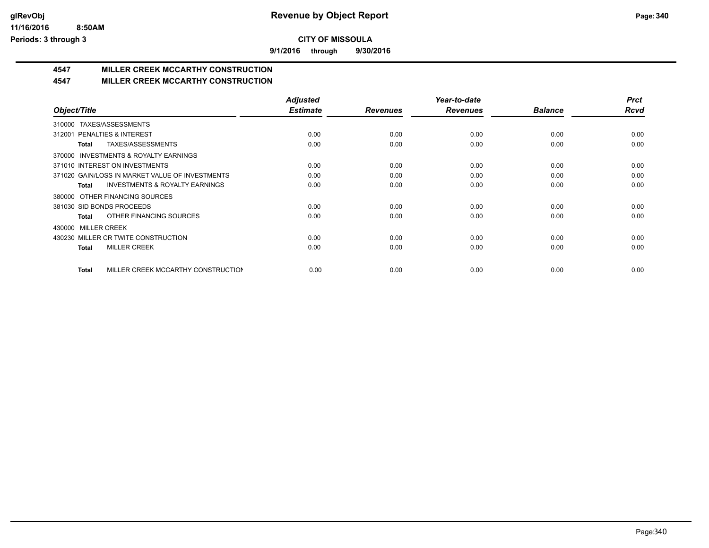**8:50AM**

**glRevObj Revenue by Object Report Page:340** 

**CITY OF MISSOULA**

**9/1/2016 through 9/30/2016**

## **4547 MILLER CREEK MCCARTHY CONSTRUCTION**

#### **4547 MILLER CREEK MCCARTHY CONSTRUCTION**

|                                                           | <b>Adjusted</b> |                 | Year-to-date    |                | <b>Prct</b> |
|-----------------------------------------------------------|-----------------|-----------------|-----------------|----------------|-------------|
| Object/Title                                              | <b>Estimate</b> | <b>Revenues</b> | <b>Revenues</b> | <b>Balance</b> | <b>Rcvd</b> |
| TAXES/ASSESSMENTS<br>310000                               |                 |                 |                 |                |             |
| <b>PENALTIES &amp; INTEREST</b><br>312001                 | 0.00            | 0.00            | 0.00            | 0.00           | 0.00        |
| <b>TAXES/ASSESSMENTS</b><br>Total                         | 0.00            | 0.00            | 0.00            | 0.00           | 0.00        |
| <b>INVESTMENTS &amp; ROYALTY EARNINGS</b><br>370000       |                 |                 |                 |                |             |
| 371010 INTEREST ON INVESTMENTS                            | 0.00            | 0.00            | 0.00            | 0.00           | 0.00        |
| 371020 GAIN/LOSS IN MARKET VALUE OF INVESTMENTS           | 0.00            | 0.00            | 0.00            | 0.00           | 0.00        |
| <b>INVESTMENTS &amp; ROYALTY EARNINGS</b><br><b>Total</b> | 0.00            | 0.00            | 0.00            | 0.00           | 0.00        |
| OTHER FINANCING SOURCES<br>380000                         |                 |                 |                 |                |             |
| 381030 SID BONDS PROCEEDS                                 | 0.00            | 0.00            | 0.00            | 0.00           | 0.00        |
| OTHER FINANCING SOURCES<br>Total                          | 0.00            | 0.00            | 0.00            | 0.00           | 0.00        |
| <b>MILLER CREEK</b><br>430000                             |                 |                 |                 |                |             |
| 430230 MILLER CR TWITE CONSTRUCTION                       | 0.00            | 0.00            | 0.00            | 0.00           | 0.00        |
| <b>MILLER CREEK</b><br>Total                              | 0.00            | 0.00            | 0.00            | 0.00           | 0.00        |
|                                                           |                 |                 |                 |                |             |
| MILLER CREEK MCCARTHY CONSTRUCTION<br><b>Total</b>        | 0.00            | 0.00            | 0.00            | 0.00           | 0.00        |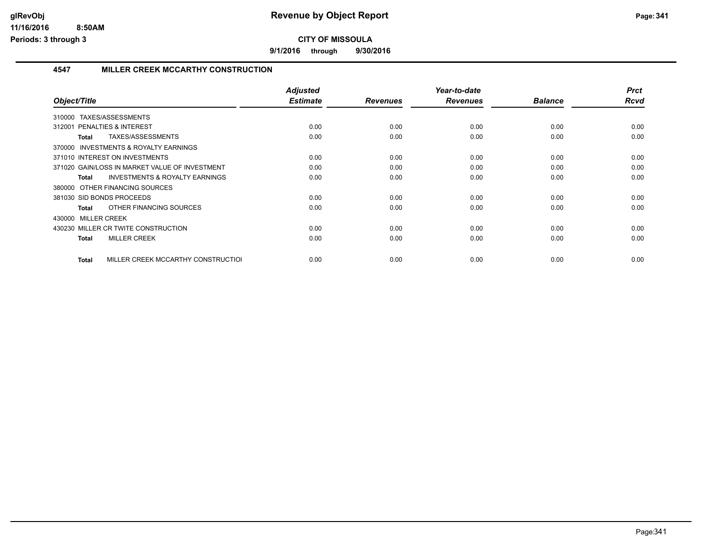**8:50AM**

**CITY OF MISSOULA**

**9/1/2016 through 9/30/2016**

#### **4547 MILLER CREEK MCCARTHY CONSTRUCTION**

| Object/Title                                              | <b>Adjusted</b><br><b>Estimate</b> | <b>Revenues</b> | Year-to-date<br><b>Revenues</b> | <b>Balance</b> | <b>Prct</b><br><b>Rcvd</b> |
|-----------------------------------------------------------|------------------------------------|-----------------|---------------------------------|----------------|----------------------------|
| TAXES/ASSESSMENTS<br>310000                               |                                    |                 |                                 |                |                            |
| 312001 PENALTIES & INTEREST                               | 0.00                               | 0.00            | 0.00                            | 0.00           | 0.00                       |
| TAXES/ASSESSMENTS<br><b>Total</b>                         | 0.00                               | 0.00            | 0.00                            | 0.00           | 0.00                       |
| INVESTMENTS & ROYALTY EARNINGS<br>370000                  |                                    |                 |                                 |                |                            |
| 371010 INTEREST ON INVESTMENTS                            | 0.00                               | 0.00            | 0.00                            | 0.00           | 0.00                       |
| 371020 GAIN/LOSS IN MARKET VALUE OF INVESTMENT            | 0.00                               | 0.00            | 0.00                            | 0.00           | 0.00                       |
| <b>INVESTMENTS &amp; ROYALTY EARNINGS</b><br><b>Total</b> | 0.00                               | 0.00            | 0.00                            | 0.00           | 0.00                       |
| 380000 OTHER FINANCING SOURCES                            |                                    |                 |                                 |                |                            |
| 381030 SID BONDS PROCEEDS                                 | 0.00                               | 0.00            | 0.00                            | 0.00           | 0.00                       |
| OTHER FINANCING SOURCES<br><b>Total</b>                   | 0.00                               | 0.00            | 0.00                            | 0.00           | 0.00                       |
| 430000 MILLER CREEK                                       |                                    |                 |                                 |                |                            |
| 430230 MILLER CR TWITE CONSTRUCTION                       | 0.00                               | 0.00            | 0.00                            | 0.00           | 0.00                       |
| <b>MILLER CREEK</b><br><b>Total</b>                       | 0.00                               | 0.00            | 0.00                            | 0.00           | 0.00                       |
| MILLER CREEK MCCARTHY CONSTRUCTIOL<br><b>Total</b>        | 0.00                               | 0.00            | 0.00                            | 0.00           | 0.00                       |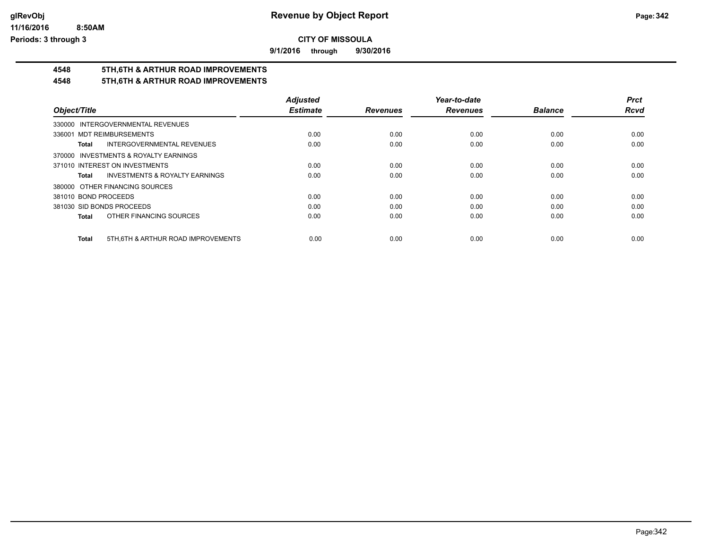**glRevObj Revenue by Object Report Page:342** 

**CITY OF MISSOULA**

**9/1/2016 through 9/30/2016**

## **4548 5TH,6TH & ARTHUR ROAD IMPROVEMENTS**

 **8:50AM**

#### **4548 5TH,6TH & ARTHUR ROAD IMPROVEMENTS**

|                                                    | <b>Adjusted</b><br><b>Estimate</b> |                 | Year-to-date    | <b>Balance</b> | <b>Prct</b><br><b>Rcvd</b> |
|----------------------------------------------------|------------------------------------|-----------------|-----------------|----------------|----------------------------|
| Object/Title                                       |                                    | <b>Revenues</b> | <b>Revenues</b> |                |                            |
| 330000 INTERGOVERNMENTAL REVENUES                  |                                    |                 |                 |                |                            |
| <b>MDT REIMBURSEMENTS</b><br>336001                | 0.00                               | 0.00            | 0.00            | 0.00           | 0.00                       |
| INTERGOVERNMENTAL REVENUES<br>Total                | 0.00                               | 0.00            | 0.00            | 0.00           | 0.00                       |
| 370000 INVESTMENTS & ROYALTY EARNINGS              |                                    |                 |                 |                |                            |
| 371010 INTEREST ON INVESTMENTS                     | 0.00                               | 0.00            | 0.00            | 0.00           | 0.00                       |
| <b>INVESTMENTS &amp; ROYALTY EARNINGS</b><br>Total | 0.00                               | 0.00            | 0.00            | 0.00           | 0.00                       |
| 380000 OTHER FINANCING SOURCES                     |                                    |                 |                 |                |                            |
| 381010 BOND PROCEEDS                               | 0.00                               | 0.00            | 0.00            | 0.00           | 0.00                       |
| 381030 SID BONDS PROCEEDS                          | 0.00                               | 0.00            | 0.00            | 0.00           | 0.00                       |
| OTHER FINANCING SOURCES<br>Total                   | 0.00                               | 0.00            | 0.00            | 0.00           | 0.00                       |
| 5TH.6TH & ARTHUR ROAD IMPROVEMENTS<br>Total        | 0.00                               | 0.00            | 0.00            | 0.00           | 0.00                       |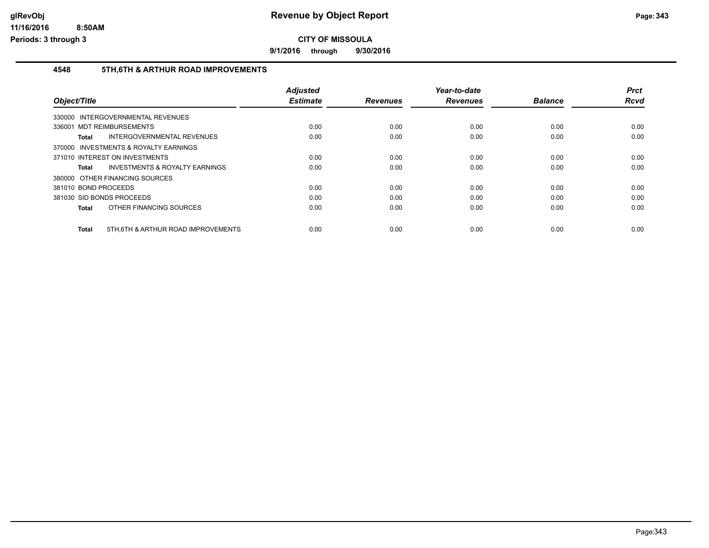**8:50AM**

**CITY OF MISSOULA**

**9/1/2016 through 9/30/2016**

#### **4548 5TH,6TH & ARTHUR ROAD IMPROVEMENTS**

|                                                     | <b>Adjusted</b> |                 | Year-to-date    |                | <b>Prct</b> |
|-----------------------------------------------------|-----------------|-----------------|-----------------|----------------|-------------|
| Object/Title                                        | <b>Estimate</b> | <b>Revenues</b> | <b>Revenues</b> | <b>Balance</b> | <b>Rcvd</b> |
| 330000 INTERGOVERNMENTAL REVENUES                   |                 |                 |                 |                |             |
| 336001 MDT REIMBURSEMENTS                           | 0.00            | 0.00            | 0.00            | 0.00           | 0.00        |
| INTERGOVERNMENTAL REVENUES<br><b>Total</b>          | 0.00            | 0.00            | 0.00            | 0.00           | 0.00        |
| 370000 INVESTMENTS & ROYALTY EARNINGS               |                 |                 |                 |                |             |
| 371010 INTEREST ON INVESTMENTS                      | 0.00            | 0.00            | 0.00            | 0.00           | 0.00        |
| INVESTMENTS & ROYALTY EARNINGS<br>Total             | 0.00            | 0.00            | 0.00            | 0.00           | 0.00        |
| 380000 OTHER FINANCING SOURCES                      |                 |                 |                 |                |             |
| 381010 BOND PROCEEDS                                | 0.00            | 0.00            | 0.00            | 0.00           | 0.00        |
| 381030 SID BONDS PROCEEDS                           | 0.00            | 0.00            | 0.00            | 0.00           | 0.00        |
| OTHER FINANCING SOURCES<br>Total                    | 0.00            | 0.00            | 0.00            | 0.00           | 0.00        |
| <b>Total</b><br>5TH, 6TH & ARTHUR ROAD IMPROVEMENTS | 0.00            | 0.00            | 0.00            | 0.00           | 0.00        |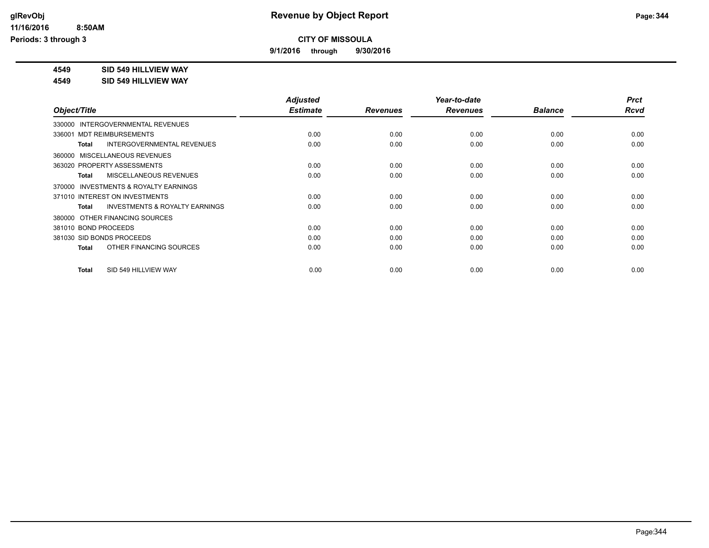**9/1/2016 through 9/30/2016**

#### **4549 SID 549 HILLVIEW WAY**

**4549 SID 549 HILLVIEW WAY**

|                                                    | <b>Adjusted</b> |                 | Year-to-date    |                | <b>Prct</b> |
|----------------------------------------------------|-----------------|-----------------|-----------------|----------------|-------------|
| Object/Title                                       | <b>Estimate</b> | <b>Revenues</b> | <b>Revenues</b> | <b>Balance</b> | <b>Rcvd</b> |
| INTERGOVERNMENTAL REVENUES<br>330000               |                 |                 |                 |                |             |
| <b>MDT REIMBURSEMENTS</b><br>336001                | 0.00            | 0.00            | 0.00            | 0.00           | 0.00        |
| <b>INTERGOVERNMENTAL REVENUES</b><br>Total         | 0.00            | 0.00            | 0.00            | 0.00           | 0.00        |
| 360000 MISCELLANEOUS REVENUES                      |                 |                 |                 |                |             |
| 363020 PROPERTY ASSESSMENTS                        | 0.00            | 0.00            | 0.00            | 0.00           | 0.00        |
| <b>MISCELLANEOUS REVENUES</b><br>Total             | 0.00            | 0.00            | 0.00            | 0.00           | 0.00        |
| 370000 INVESTMENTS & ROYALTY EARNINGS              |                 |                 |                 |                |             |
| 371010 INTEREST ON INVESTMENTS                     | 0.00            | 0.00            | 0.00            | 0.00           | 0.00        |
| <b>INVESTMENTS &amp; ROYALTY EARNINGS</b><br>Total | 0.00            | 0.00            | 0.00            | 0.00           | 0.00        |
| 380000 OTHER FINANCING SOURCES                     |                 |                 |                 |                |             |
| 381010 BOND PROCEEDS                               | 0.00            | 0.00            | 0.00            | 0.00           | 0.00        |
| 381030 SID BONDS PROCEEDS                          | 0.00            | 0.00            | 0.00            | 0.00           | 0.00        |
| OTHER FINANCING SOURCES<br>Total                   | 0.00            | 0.00            | 0.00            | 0.00           | 0.00        |
| SID 549 HILLVIEW WAY<br><b>Total</b>               | 0.00            | 0.00            | 0.00            | 0.00           | 0.00        |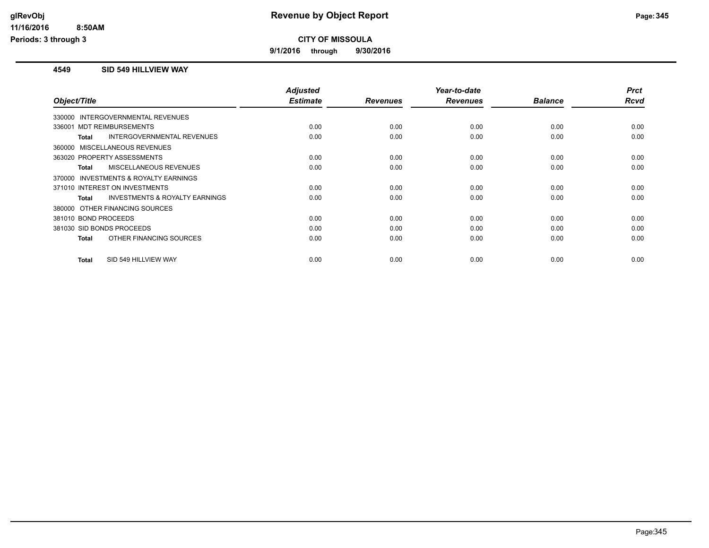**CITY OF MISSOULA**

**9/1/2016 through 9/30/2016**

#### **4549 SID 549 HILLVIEW WAY**

| Object/Title                                              | <b>Adjusted</b><br><b>Estimate</b> | <b>Revenues</b> | Year-to-date<br><b>Revenues</b> | <b>Balance</b> | <b>Prct</b><br><b>Rcvd</b> |
|-----------------------------------------------------------|------------------------------------|-----------------|---------------------------------|----------------|----------------------------|
| 330000 INTERGOVERNMENTAL REVENUES                         |                                    |                 |                                 |                |                            |
| 336001 MDT REIMBURSEMENTS                                 | 0.00                               | 0.00            | 0.00                            | 0.00           | 0.00                       |
| INTERGOVERNMENTAL REVENUES<br><b>Total</b>                | 0.00                               | 0.00            | 0.00                            | 0.00           | 0.00                       |
| MISCELLANEOUS REVENUES<br>360000                          |                                    |                 |                                 |                |                            |
| 363020 PROPERTY ASSESSMENTS                               | 0.00                               | 0.00            | 0.00                            | 0.00           | 0.00                       |
| MISCELLANEOUS REVENUES<br><b>Total</b>                    | 0.00                               | 0.00            | 0.00                            | 0.00           | 0.00                       |
| 370000 INVESTMENTS & ROYALTY EARNINGS                     |                                    |                 |                                 |                |                            |
| 371010 INTEREST ON INVESTMENTS                            | 0.00                               | 0.00            | 0.00                            | 0.00           | 0.00                       |
| <b>INVESTMENTS &amp; ROYALTY EARNINGS</b><br><b>Total</b> | 0.00                               | 0.00            | 0.00                            | 0.00           | 0.00                       |
| 380000 OTHER FINANCING SOURCES                            |                                    |                 |                                 |                |                            |
| 381010 BOND PROCEEDS                                      | 0.00                               | 0.00            | 0.00                            | 0.00           | 0.00                       |
| 381030 SID BONDS PROCEEDS                                 | 0.00                               | 0.00            | 0.00                            | 0.00           | 0.00                       |
| OTHER FINANCING SOURCES<br><b>Total</b>                   | 0.00                               | 0.00            | 0.00                            | 0.00           | 0.00                       |
| SID 549 HILLVIEW WAY<br><b>Total</b>                      | 0.00                               | 0.00            | 0.00                            | 0.00           | 0.00                       |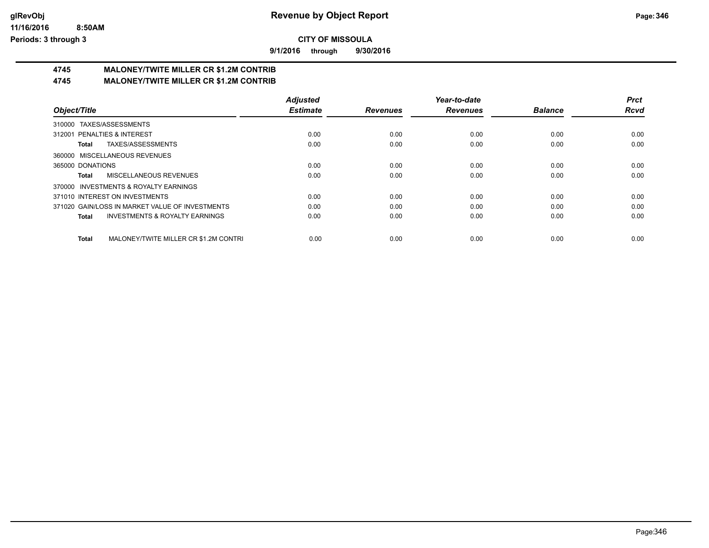**11/16/2016 8:50AM Periods: 3 through 3**

**CITY OF MISSOULA**

**9/1/2016 through 9/30/2016**

## **4745 MALONEY/TWITE MILLER CR \$1.2M CONTRIB**

### **4745 MALONEY/TWITE MILLER CR \$1.2M CONTRIB**

|                                                    | <b>Adjusted</b> |                 | Year-to-date    |                | <b>Prct</b> |
|----------------------------------------------------|-----------------|-----------------|-----------------|----------------|-------------|
| Object/Title                                       | <b>Estimate</b> | <b>Revenues</b> | <b>Revenues</b> | <b>Balance</b> | <b>Rcvd</b> |
| 310000 TAXES/ASSESSMENTS                           |                 |                 |                 |                |             |
| 312001 PENALTIES & INTEREST                        | 0.00            | 0.00            | 0.00            | 0.00           | 0.00        |
| TAXES/ASSESSMENTS<br>Total                         | 0.00            | 0.00            | 0.00            | 0.00           | 0.00        |
| 360000 MISCELLANEOUS REVENUES                      |                 |                 |                 |                |             |
| 365000 DONATIONS                                   | 0.00            | 0.00            | 0.00            | 0.00           | 0.00        |
| MISCELLANEOUS REVENUES<br>Total                    | 0.00            | 0.00            | 0.00            | 0.00           | 0.00        |
| 370000 INVESTMENTS & ROYALTY EARNINGS              |                 |                 |                 |                |             |
| 371010 INTEREST ON INVESTMENTS                     | 0.00            | 0.00            | 0.00            | 0.00           | 0.00        |
| 371020 GAIN/LOSS IN MARKET VALUE OF INVESTMENTS    | 0.00            | 0.00            | 0.00            | 0.00           | 0.00        |
| <b>INVESTMENTS &amp; ROYALTY EARNINGS</b><br>Total | 0.00            | 0.00            | 0.00            | 0.00           | 0.00        |
| MALONEY/TWITE MILLER CR \$1.2M CONTRI<br>Total     | 0.00            | 0.00            | 0.00            | 0.00           | 0.00        |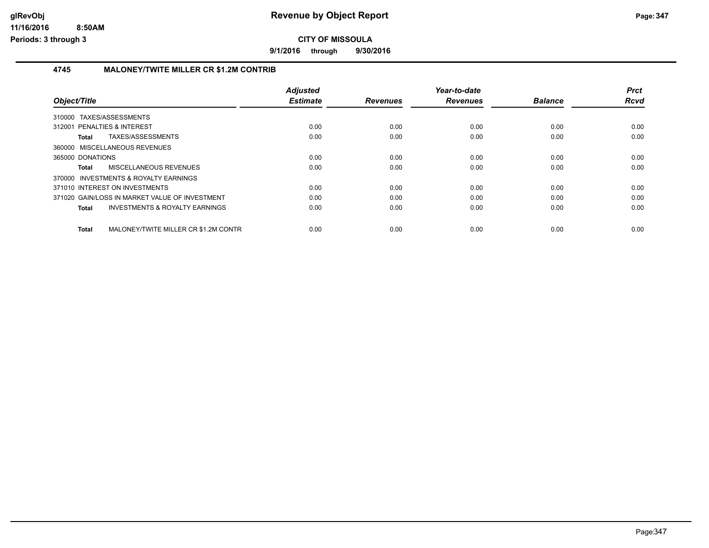**8:50AM**

**CITY OF MISSOULA**

**9/1/2016 through 9/30/2016**

#### **4745 MALONEY/TWITE MILLER CR \$1.2M CONTRIB**

| Object/Title                                       | <b>Adjusted</b><br><b>Estimate</b> | <b>Revenues</b> | Year-to-date<br><b>Revenues</b> | <b>Balance</b> | <b>Prct</b><br><b>Rcvd</b> |
|----------------------------------------------------|------------------------------------|-----------------|---------------------------------|----------------|----------------------------|
| 310000 TAXES/ASSESSMENTS                           |                                    |                 |                                 |                |                            |
| 312001 PENALTIES & INTEREST                        | 0.00                               | 0.00            | 0.00                            | 0.00           | 0.00                       |
| TAXES/ASSESSMENTS<br>Total                         | 0.00                               | 0.00            | 0.00                            | 0.00           | 0.00                       |
| 360000 MISCELLANEOUS REVENUES                      |                                    |                 |                                 |                |                            |
| 365000 DONATIONS                                   | 0.00                               | 0.00            | 0.00                            | 0.00           | 0.00                       |
| MISCELLANEOUS REVENUES<br>Total                    | 0.00                               | 0.00            | 0.00                            | 0.00           | 0.00                       |
| 370000 INVESTMENTS & ROYALTY EARNINGS              |                                    |                 |                                 |                |                            |
| 371010 INTEREST ON INVESTMENTS                     | 0.00                               | 0.00            | 0.00                            | 0.00           | 0.00                       |
| 371020 GAIN/LOSS IN MARKET VALUE OF INVESTMENT     | 0.00                               | 0.00            | 0.00                            | 0.00           | 0.00                       |
| <b>INVESTMENTS &amp; ROYALTY EARNINGS</b><br>Total | 0.00                               | 0.00            | 0.00                            | 0.00           | 0.00                       |
| MALONEY/TWITE MILLER CR \$1.2M CONTR<br>Total      | 0.00                               | 0.00            | 0.00                            | 0.00           | 0.00                       |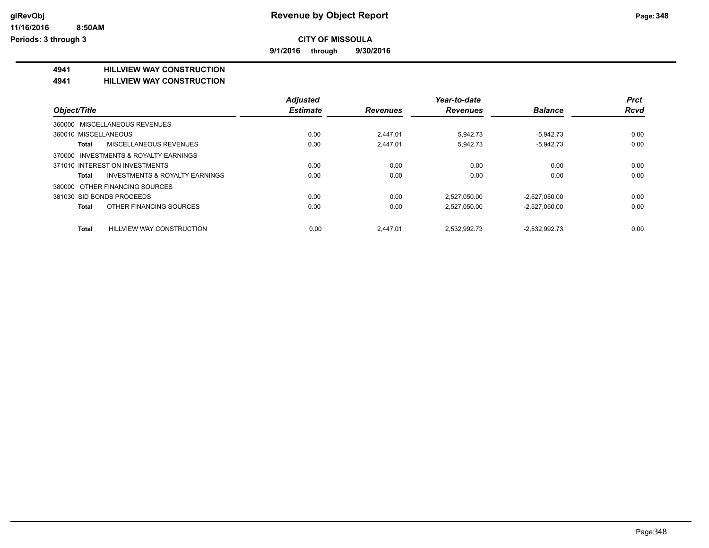**CITY OF MISSOULA**

**9/1/2016 through 9/30/2016**

#### **4941 HILLVIEW WAY CONSTRUCTION**

#### **4941 HILLVIEW WAY CONSTRUCTION**

|                                           | <b>Adjusted</b> |                 | Year-to-date    |                 | <b>Prct</b> |
|-------------------------------------------|-----------------|-----------------|-----------------|-----------------|-------------|
| Object/Title                              | <b>Estimate</b> | <b>Revenues</b> | <b>Revenues</b> | <b>Balance</b>  | <b>Rcvd</b> |
| 360000 MISCELLANEOUS REVENUES             |                 |                 |                 |                 |             |
| 360010 MISCELLANEOUS                      | 0.00            | 2.447.01        | 5.942.73        | $-5.942.73$     | 0.00        |
| MISCELLANEOUS REVENUES<br>Total           | 0.00            | 2.447.01        | 5,942.73        | $-5,942.73$     | 0.00        |
| INVESTMENTS & ROYALTY EARNINGS<br>370000  |                 |                 |                 |                 |             |
| 371010 INTEREST ON INVESTMENTS            | 0.00            | 0.00            | 0.00            | 0.00            | 0.00        |
| INVESTMENTS & ROYALTY EARNINGS<br>Total   | 0.00            | 0.00            | 0.00            | 0.00            | 0.00        |
| 380000 OTHER FINANCING SOURCES            |                 |                 |                 |                 |             |
| 381030 SID BONDS PROCEEDS                 | 0.00            | 0.00            | 2,527,050.00    | $-2,527,050.00$ | 0.00        |
| OTHER FINANCING SOURCES<br>Total          | 0.00            | 0.00            | 2.527.050.00    | $-2,527,050.00$ | 0.00        |
|                                           |                 |                 |                 |                 |             |
| <b>HILLVIEW WAY CONSTRUCTION</b><br>Total | 0.00            | 2.447.01        | 2.532.992.73    | $-2.532.992.73$ | 0.00        |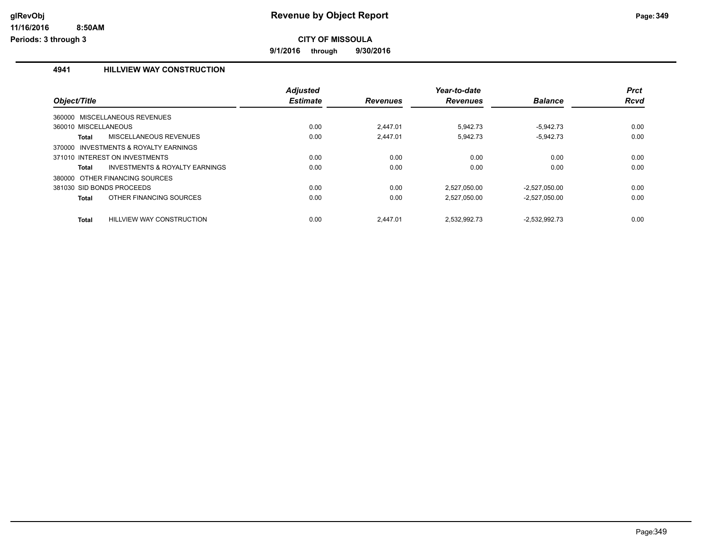**CITY OF MISSOULA**

**9/1/2016 through 9/30/2016**

#### **4941 HILLVIEW WAY CONSTRUCTION**

| Object/Title                                        | <b>Adjusted</b><br><b>Estimate</b> | <b>Revenues</b> | Year-to-date<br><b>Revenues</b> | <b>Balance</b>  | <b>Prct</b><br><b>Rcvd</b> |
|-----------------------------------------------------|------------------------------------|-----------------|---------------------------------|-----------------|----------------------------|
| MISCELLANEOUS REVENUES<br>360000                    |                                    |                 |                                 |                 |                            |
|                                                     |                                    |                 |                                 |                 |                            |
| 360010 MISCELLANEOUS                                | 0.00                               | 2.447.01        | 5.942.73                        | $-5.942.73$     | 0.00                       |
| MISCELLANEOUS REVENUES<br>Total                     | 0.00                               | 2.447.01        | 5.942.73                        | $-5.942.73$     | 0.00                       |
| <b>INVESTMENTS &amp; ROYALTY EARNINGS</b><br>370000 |                                    |                 |                                 |                 |                            |
| 371010 INTEREST ON INVESTMENTS                      | 0.00                               | 0.00            | 0.00                            | 0.00            | 0.00                       |
| INVESTMENTS & ROYALTY EARNINGS<br><b>Total</b>      | 0.00                               | 0.00            | 0.00                            | 0.00            | 0.00                       |
| OTHER FINANCING SOURCES<br>380000                   |                                    |                 |                                 |                 |                            |
| 381030 SID BONDS PROCEEDS                           | 0.00                               | 0.00            | 2.527.050.00                    | $-2,527,050.00$ | 0.00                       |
| OTHER FINANCING SOURCES<br><b>Total</b>             | 0.00                               | 0.00            | 2.527.050.00                    | $-2,527,050.00$ | 0.00                       |
| HILLVIEW WAY CONSTRUCTION<br><b>Total</b>           | 0.00                               | 2.447.01        | 2.532.992.73                    | $-2.532.992.73$ | 0.00                       |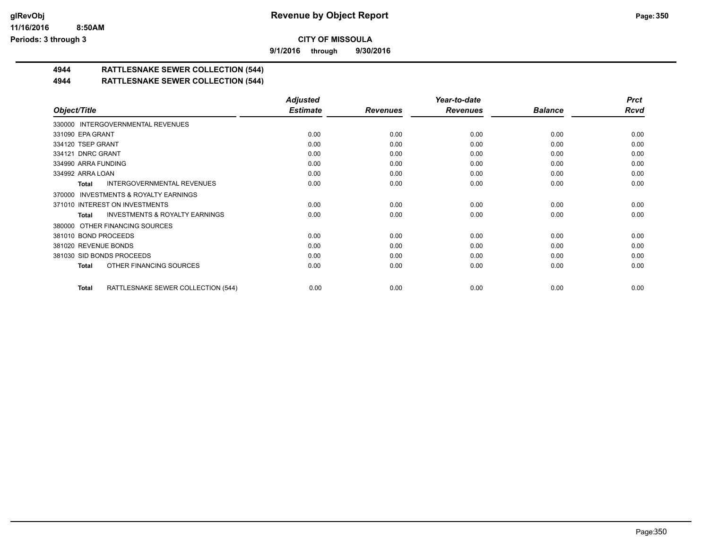**11/16/2016 8:50AM**

**Periods: 3 through 3**

**CITY OF MISSOULA**

**9/1/2016 through 9/30/2016**

## **4944 RATTLESNAKE SEWER COLLECTION (544)**

### **4944 RATTLESNAKE SEWER COLLECTION (544)**

|                                                     | <b>Adjusted</b> |                 | Year-to-date    |                | <b>Prct</b> |
|-----------------------------------------------------|-----------------|-----------------|-----------------|----------------|-------------|
| Object/Title                                        | <b>Estimate</b> | <b>Revenues</b> | <b>Revenues</b> | <b>Balance</b> | <b>Rcvd</b> |
| 330000 INTERGOVERNMENTAL REVENUES                   |                 |                 |                 |                |             |
| 331090 EPA GRANT                                    | 0.00            | 0.00            | 0.00            | 0.00           | 0.00        |
| 334120 TSEP GRANT                                   | 0.00            | 0.00            | 0.00            | 0.00           | 0.00        |
| 334121 DNRC GRANT                                   | 0.00            | 0.00            | 0.00            | 0.00           | 0.00        |
| 334990 ARRA FUNDING                                 | 0.00            | 0.00            | 0.00            | 0.00           | 0.00        |
| 334992 ARRA LOAN                                    | 0.00            | 0.00            | 0.00            | 0.00           | 0.00        |
| <b>INTERGOVERNMENTAL REVENUES</b><br>Total          | 0.00            | 0.00            | 0.00            | 0.00           | 0.00        |
| <b>INVESTMENTS &amp; ROYALTY EARNINGS</b><br>370000 |                 |                 |                 |                |             |
| 371010 INTEREST ON INVESTMENTS                      | 0.00            | 0.00            | 0.00            | 0.00           | 0.00        |
| <b>INVESTMENTS &amp; ROYALTY EARNINGS</b><br>Total  | 0.00            | 0.00            | 0.00            | 0.00           | 0.00        |
| 380000 OTHER FINANCING SOURCES                      |                 |                 |                 |                |             |
| 381010 BOND PROCEEDS                                | 0.00            | 0.00            | 0.00            | 0.00           | 0.00        |
| 381020 REVENUE BONDS                                | 0.00            | 0.00            | 0.00            | 0.00           | 0.00        |
| 381030 SID BONDS PROCEEDS                           | 0.00            | 0.00            | 0.00            | 0.00           | 0.00        |
| OTHER FINANCING SOURCES<br>Total                    | 0.00            | 0.00            | 0.00            | 0.00           | 0.00        |
| RATTLESNAKE SEWER COLLECTION (544)<br>Total         | 0.00            | 0.00            | 0.00            | 0.00           | 0.00        |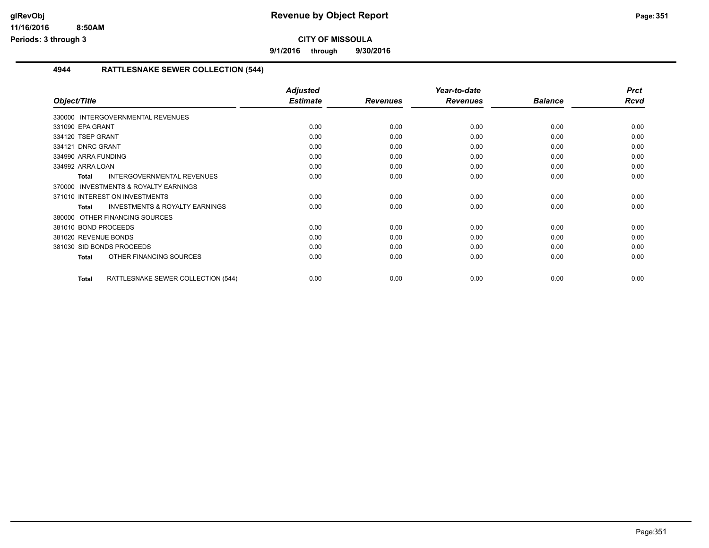**9/1/2016 through 9/30/2016**

#### **4944 RATTLESNAKE SEWER COLLECTION (544)**

|                                                     | <b>Adjusted</b> |                 | Year-to-date    |                | <b>Prct</b> |
|-----------------------------------------------------|-----------------|-----------------|-----------------|----------------|-------------|
| Object/Title                                        | <b>Estimate</b> | <b>Revenues</b> | <b>Revenues</b> | <b>Balance</b> | <b>Rcvd</b> |
| 330000 INTERGOVERNMENTAL REVENUES                   |                 |                 |                 |                |             |
| 331090 EPA GRANT                                    | 0.00            | 0.00            | 0.00            | 0.00           | 0.00        |
| 334120 TSEP GRANT                                   | 0.00            | 0.00            | 0.00            | 0.00           | 0.00        |
| 334121 DNRC GRANT                                   | 0.00            | 0.00            | 0.00            | 0.00           | 0.00        |
| 334990 ARRA FUNDING                                 | 0.00            | 0.00            | 0.00            | 0.00           | 0.00        |
| 334992 ARRA LOAN                                    | 0.00            | 0.00            | 0.00            | 0.00           | 0.00        |
| <b>INTERGOVERNMENTAL REVENUES</b><br><b>Total</b>   | 0.00            | 0.00            | 0.00            | 0.00           | 0.00        |
| <b>INVESTMENTS &amp; ROYALTY EARNINGS</b><br>370000 |                 |                 |                 |                |             |
| 371010 INTEREST ON INVESTMENTS                      | 0.00            | 0.00            | 0.00            | 0.00           | 0.00        |
| <b>INVESTMENTS &amp; ROYALTY EARNINGS</b><br>Total  | 0.00            | 0.00            | 0.00            | 0.00           | 0.00        |
| 380000 OTHER FINANCING SOURCES                      |                 |                 |                 |                |             |
| 381010 BOND PROCEEDS                                | 0.00            | 0.00            | 0.00            | 0.00           | 0.00        |
| 381020 REVENUE BONDS                                | 0.00            | 0.00            | 0.00            | 0.00           | 0.00        |
| 381030 SID BONDS PROCEEDS                           | 0.00            | 0.00            | 0.00            | 0.00           | 0.00        |
| OTHER FINANCING SOURCES<br><b>Total</b>             | 0.00            | 0.00            | 0.00            | 0.00           | 0.00        |
| RATTLESNAKE SEWER COLLECTION (544)<br>Total         | 0.00            | 0.00            | 0.00            | 0.00           | 0.00        |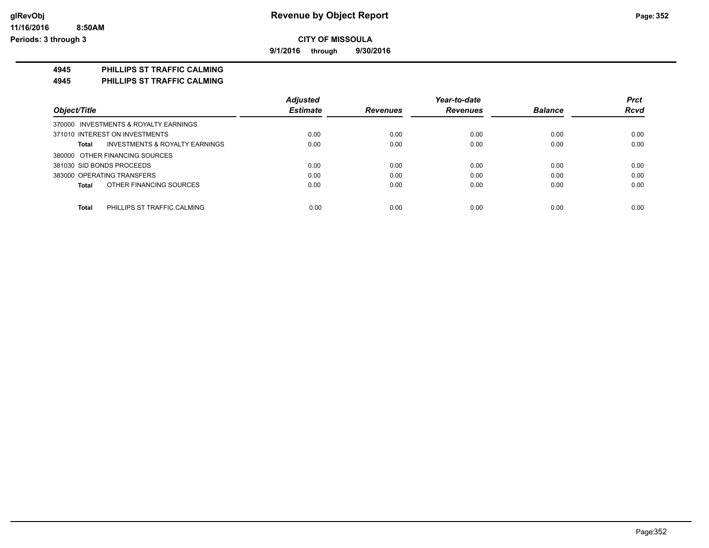**8:50AM**

**CITY OF MISSOULA**

**9/1/2016 through 9/30/2016**

#### **4945 PHILLIPS ST TRAFFIC CALMING**

**4945 PHILLIPS ST TRAFFIC CALMING**

|                                                | <b>Adjusted</b> |                 | Year-to-date    |                | <b>Prct</b> |
|------------------------------------------------|-----------------|-----------------|-----------------|----------------|-------------|
| Object/Title                                   | <b>Estimate</b> | <b>Revenues</b> | <b>Revenues</b> | <b>Balance</b> | <b>Rcvd</b> |
| 370000 INVESTMENTS & ROYALTY EARNINGS          |                 |                 |                 |                |             |
| 371010 INTEREST ON INVESTMENTS                 | 0.00            | 0.00            | 0.00            | 0.00           | 0.00        |
| INVESTMENTS & ROYALTY EARNINGS<br><b>Total</b> | 0.00            | 0.00            | 0.00            | 0.00           | 0.00        |
| 380000 OTHER FINANCING SOURCES                 |                 |                 |                 |                |             |
| 381030 SID BONDS PROCEEDS                      | 0.00            | 0.00            | 0.00            | 0.00           | 0.00        |
| 383000 OPERATING TRANSFERS                     | 0.00            | 0.00            | 0.00            | 0.00           | 0.00        |
| OTHER FINANCING SOURCES<br><b>Total</b>        | 0.00            | 0.00            | 0.00            | 0.00           | 0.00        |
|                                                |                 |                 |                 |                |             |
| <b>Total</b><br>PHILLIPS ST TRAFFIC CALMING    | 0.00            | 0.00            | 0.00            | 0.00           | 0.00        |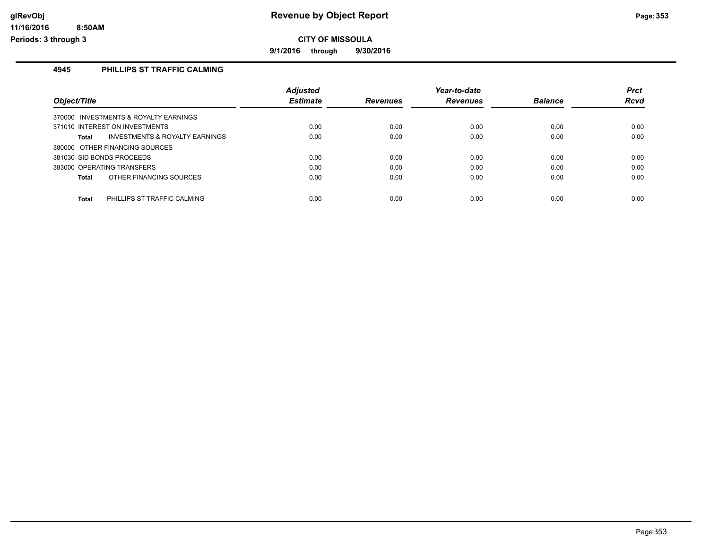**CITY OF MISSOULA**

**9/1/2016 through 9/30/2016**

#### **4945 PHILLIPS ST TRAFFIC CALMING**

|                                                           | <b>Adjusted</b> |                 | Year-to-date    |                | <b>Prct</b> |
|-----------------------------------------------------------|-----------------|-----------------|-----------------|----------------|-------------|
| Object/Title                                              | <b>Estimate</b> | <b>Revenues</b> | <b>Revenues</b> | <b>Balance</b> | <b>Rcvd</b> |
| INVESTMENTS & ROYALTY EARNINGS<br>370000                  |                 |                 |                 |                |             |
| 371010 INTEREST ON INVESTMENTS                            | 0.00            | 0.00            | 0.00            | 0.00           | 0.00        |
| <b>INVESTMENTS &amp; ROYALTY EARNINGS</b><br><b>Total</b> | 0.00            | 0.00            | 0.00            | 0.00           | 0.00        |
| 380000 OTHER FINANCING SOURCES                            |                 |                 |                 |                |             |
| 381030 SID BONDS PROCEEDS                                 | 0.00            | 0.00            | 0.00            | 0.00           | 0.00        |
| 383000 OPERATING TRANSFERS                                | 0.00            | 0.00            | 0.00            | 0.00           | 0.00        |
| OTHER FINANCING SOURCES<br>Total                          | 0.00            | 0.00            | 0.00            | 0.00           | 0.00        |
| Total<br>PHILLIPS ST TRAFFIC CALMING                      | 0.00            | 0.00            | 0.00            | 0.00           | 0.00        |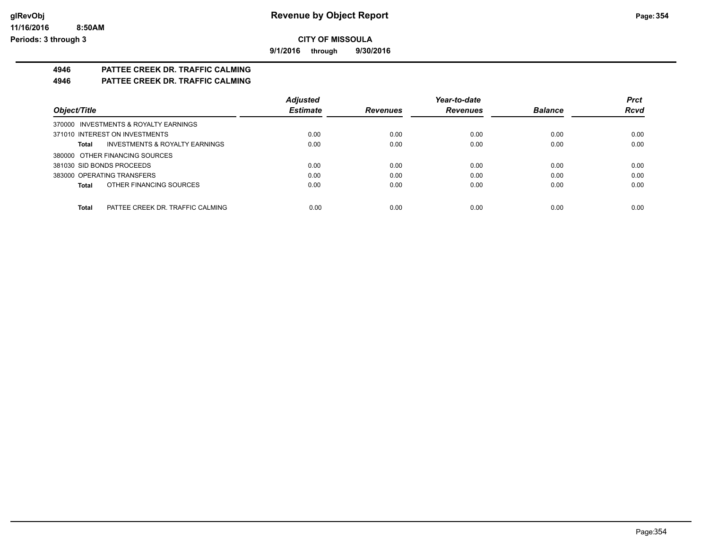**9/1/2016 through 9/30/2016**

# **4946 PATTEE CREEK DR. TRAFFIC CALMING**

## **4946 PATTEE CREEK DR. TRAFFIC CALMING**

|                                                    | <b>Adjusted</b> |                 | Year-to-date    |                | <b>Prct</b> |
|----------------------------------------------------|-----------------|-----------------|-----------------|----------------|-------------|
| Object/Title                                       | <b>Estimate</b> | <b>Revenues</b> | <b>Revenues</b> | <b>Balance</b> | <b>Rcvd</b> |
| 370000 INVESTMENTS & ROYALTY EARNINGS              |                 |                 |                 |                |             |
| 371010 INTEREST ON INVESTMENTS                     | 0.00            | 0.00            | 0.00            | 0.00           | 0.00        |
| <b>INVESTMENTS &amp; ROYALTY EARNINGS</b><br>Total | 0.00            | 0.00            | 0.00            | 0.00           | 0.00        |
| 380000 OTHER FINANCING SOURCES                     |                 |                 |                 |                |             |
| 381030 SID BONDS PROCEEDS                          | 0.00            | 0.00            | 0.00            | 0.00           | 0.00        |
| 383000 OPERATING TRANSFERS                         | 0.00            | 0.00            | 0.00            | 0.00           | 0.00        |
| OTHER FINANCING SOURCES<br>Total                   | 0.00            | 0.00            | 0.00            | 0.00           | 0.00        |
|                                                    |                 |                 |                 |                |             |
| Total<br>PATTEE CREEK DR. TRAFFIC CALMING          | 0.00            | 0.00            | 0.00            | 0.00           | 0.00        |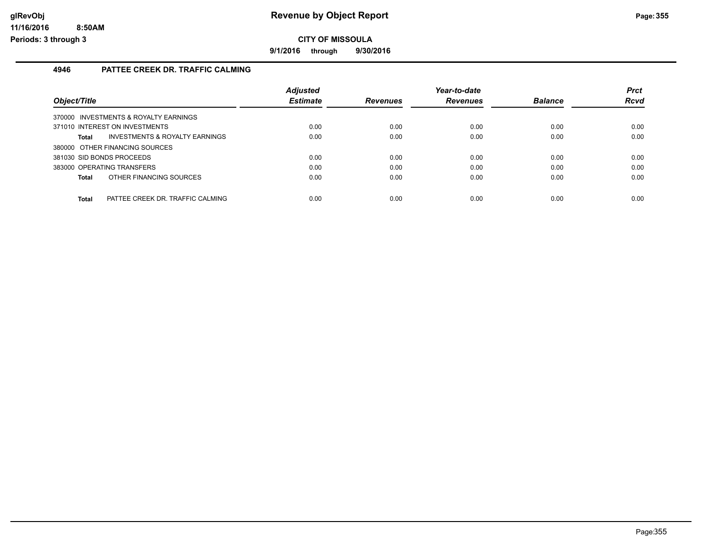**8:50AM**

**CITY OF MISSOULA**

**9/1/2016 through 9/30/2016**

#### **4946 PATTEE CREEK DR. TRAFFIC CALMING**

|                                                    | <b>Adjusted</b> |                 | Year-to-date    |                | <b>Prct</b> |
|----------------------------------------------------|-----------------|-----------------|-----------------|----------------|-------------|
| Object/Title                                       | <b>Estimate</b> | <b>Revenues</b> | <b>Revenues</b> | <b>Balance</b> | <b>Rcvd</b> |
| 370000 INVESTMENTS & ROYALTY EARNINGS              |                 |                 |                 |                |             |
| 371010 INTEREST ON INVESTMENTS                     | 0.00            | 0.00            | 0.00            | 0.00           | 0.00        |
| <b>INVESTMENTS &amp; ROYALTY EARNINGS</b><br>Total | 0.00            | 0.00            | 0.00            | 0.00           | 0.00        |
| 380000 OTHER FINANCING SOURCES                     |                 |                 |                 |                |             |
| 381030 SID BONDS PROCEEDS                          | 0.00            | 0.00            | 0.00            | 0.00           | 0.00        |
| 383000 OPERATING TRANSFERS                         | 0.00            | 0.00            | 0.00            | 0.00           | 0.00        |
| OTHER FINANCING SOURCES<br>Total                   | 0.00            | 0.00            | 0.00            | 0.00           | 0.00        |
|                                                    |                 |                 |                 |                |             |
| <b>Total</b><br>PATTEE CREEK DR. TRAFFIC CALMING   | 0.00            | 0.00            | 0.00            | 0.00           | 0.00        |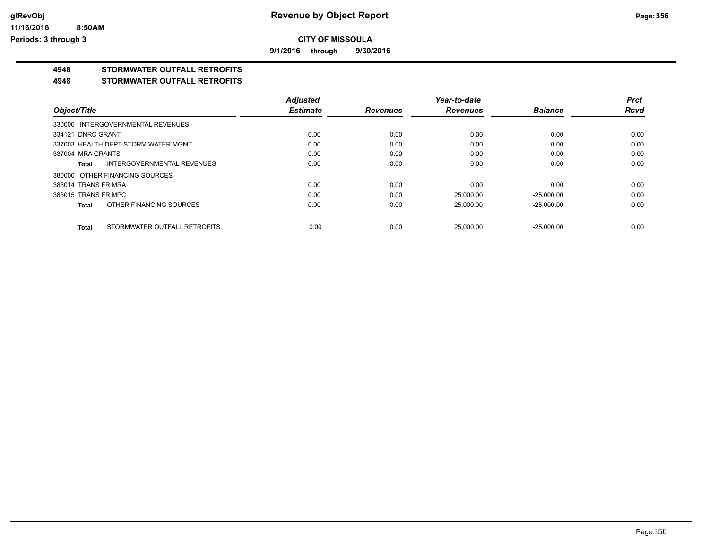**9/1/2016 through 9/30/2016**

### **4948 STORMWATER OUTFALL RETROFITS**

#### **4948 STORMWATER OUTFALL RETROFITS**

|                     |                                     | <b>Adjusted</b> |                 | Year-to-date    |                | <b>Prct</b> |
|---------------------|-------------------------------------|-----------------|-----------------|-----------------|----------------|-------------|
| Object/Title        |                                     | <b>Estimate</b> | <b>Revenues</b> | <b>Revenues</b> | <b>Balance</b> | <b>Rcvd</b> |
|                     | 330000 INTERGOVERNMENTAL REVENUES   |                 |                 |                 |                |             |
| 334121 DNRC GRANT   |                                     | 0.00            | 0.00            | 0.00            | 0.00           | 0.00        |
|                     | 337003 HEALTH DEPT-STORM WATER MGMT | 0.00            | 0.00            | 0.00            | 0.00           | 0.00        |
| 337004 MRA GRANTS   |                                     | 0.00            | 0.00            | 0.00            | 0.00           | 0.00        |
| Total               | INTERGOVERNMENTAL REVENUES          | 0.00            | 0.00            | 0.00            | 0.00           | 0.00        |
|                     | 380000 OTHER FINANCING SOURCES      |                 |                 |                 |                |             |
| 383014 TRANS FR MRA |                                     | 0.00            | 0.00            | 0.00            | 0.00           | 0.00        |
| 383015 TRANS FR MPC |                                     | 0.00            | 0.00            | 25,000.00       | $-25,000.00$   | 0.00        |
| <b>Total</b>        | OTHER FINANCING SOURCES             | 0.00            | 0.00            | 25,000.00       | $-25.000.00$   | 0.00        |
| <b>Total</b>        | STORMWATER OUTFALL RETROFITS        | 0.00            | 0.00            | 25.000.00       | $-25.000.00$   | 0.00        |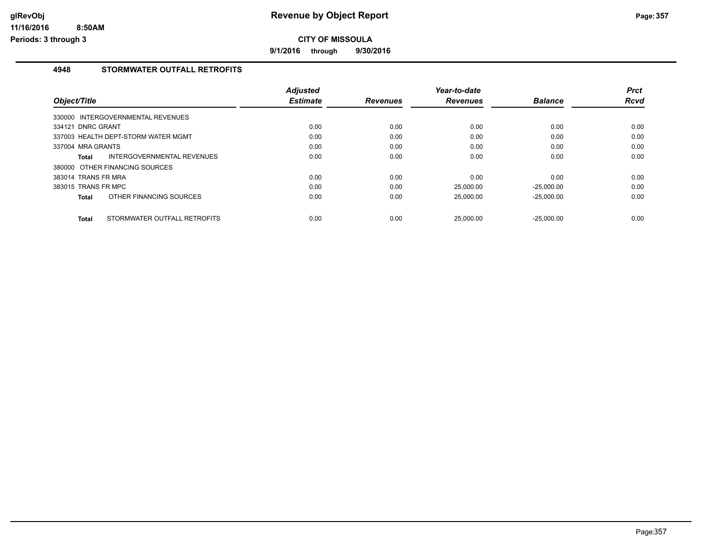**9/1/2016 through 9/30/2016**

#### **4948 STORMWATER OUTFALL RETROFITS**

| Object/Title                   |                                     | <b>Adjusted</b><br><b>Estimate</b> | <b>Revenues</b> | Year-to-date<br><b>Revenues</b> | <b>Balance</b> | <b>Prct</b><br><b>Rcvd</b> |
|--------------------------------|-------------------------------------|------------------------------------|-----------------|---------------------------------|----------------|----------------------------|
|                                | 330000 INTERGOVERNMENTAL REVENUES   |                                    |                 |                                 |                |                            |
| 334121 DNRC GRANT              |                                     | 0.00                               | 0.00            | 0.00                            | 0.00           | 0.00                       |
|                                | 337003 HEALTH DEPT-STORM WATER MGMT | 0.00                               | 0.00            | 0.00                            | 0.00           | 0.00                       |
| 337004 MRA GRANTS              |                                     | 0.00                               | 0.00            | 0.00                            | 0.00           | 0.00                       |
| Total                          | INTERGOVERNMENTAL REVENUES          | 0.00                               | 0.00            | 0.00                            | 0.00           | 0.00                       |
| 380000 OTHER FINANCING SOURCES |                                     |                                    |                 |                                 |                |                            |
| 383014 TRANS FR MRA            |                                     | 0.00                               | 0.00            | 0.00                            | 0.00           | 0.00                       |
| 383015 TRANS FR MPC            |                                     | 0.00                               | 0.00            | 25,000.00                       | $-25.000.00$   | 0.00                       |
| Total                          | OTHER FINANCING SOURCES             | 0.00                               | 0.00            | 25,000.00                       | $-25,000.00$   | 0.00                       |
| Total                          | STORMWATER OUTFALL RETROFITS        | 0.00                               | 0.00            | 25.000.00                       | $-25.000.00$   | 0.00                       |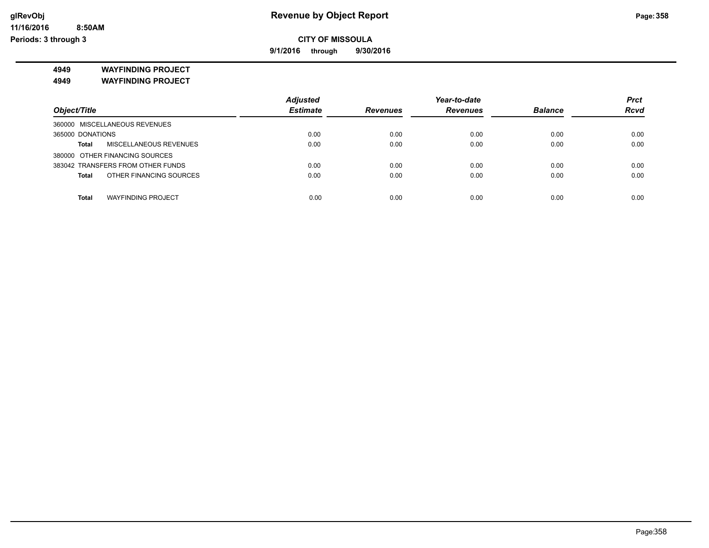**9/1/2016 through 9/30/2016**

**4949 WAYFINDING PROJECT**

**4949 WAYFINDING PROJECT**

|                                           | <b>Adjusted</b> |                 | Year-to-date    |                | <b>Prct</b> |
|-------------------------------------------|-----------------|-----------------|-----------------|----------------|-------------|
| Object/Title                              | <b>Estimate</b> | <b>Revenues</b> | <b>Revenues</b> | <b>Balance</b> | <b>Rcvd</b> |
| 360000 MISCELLANEOUS REVENUES             |                 |                 |                 |                |             |
| 365000 DONATIONS                          | 0.00            | 0.00            | 0.00            | 0.00           | 0.00        |
| MISCELLANEOUS REVENUES<br>Total           | 0.00            | 0.00            | 0.00            | 0.00           | 0.00        |
| 380000 OTHER FINANCING SOURCES            |                 |                 |                 |                |             |
| 383042 TRANSFERS FROM OTHER FUNDS         | 0.00            | 0.00            | 0.00            | 0.00           | 0.00        |
| OTHER FINANCING SOURCES<br>Total          | 0.00            | 0.00            | 0.00            | 0.00           | 0.00        |
|                                           |                 |                 |                 |                |             |
| <b>WAYFINDING PROJECT</b><br><b>Total</b> | 0.00            | 0.00            | 0.00            | 0.00           | 0.00        |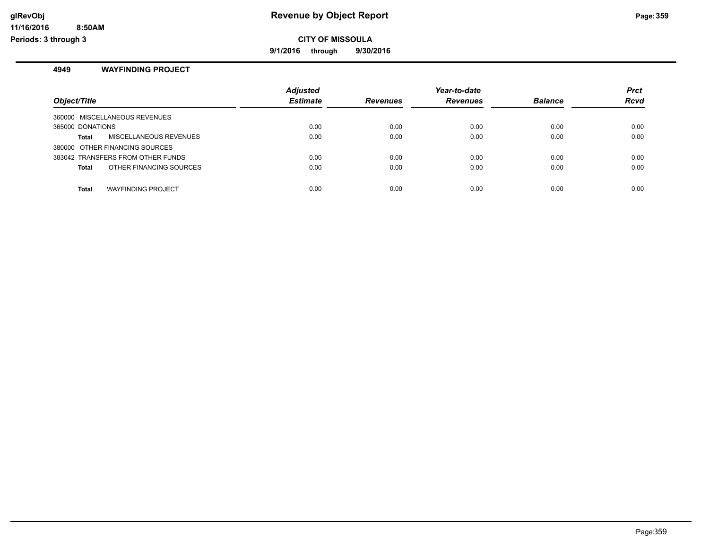**CITY OF MISSOULA**

**9/1/2016 through 9/30/2016**

#### **4949 WAYFINDING PROJECT**

| Object/Title                              | <b>Adjusted</b><br><b>Estimate</b> | <b>Revenues</b> | Year-to-date<br><b>Revenues</b> | <b>Balance</b> | <b>Prct</b><br><b>Rcvd</b> |
|-------------------------------------------|------------------------------------|-----------------|---------------------------------|----------------|----------------------------|
| 360000 MISCELLANEOUS REVENUES             |                                    |                 |                                 |                |                            |
| 365000 DONATIONS                          | 0.00                               | 0.00            | 0.00                            | 0.00           | 0.00                       |
| MISCELLANEOUS REVENUES<br>Total           | 0.00                               | 0.00            | 0.00                            | 0.00           | 0.00                       |
| 380000 OTHER FINANCING SOURCES            |                                    |                 |                                 |                |                            |
| 383042 TRANSFERS FROM OTHER FUNDS         | 0.00                               | 0.00            | 0.00                            | 0.00           | 0.00                       |
| OTHER FINANCING SOURCES<br>Total          | 0.00                               | 0.00            | 0.00                            | 0.00           | 0.00                       |
|                                           |                                    |                 |                                 |                |                            |
| <b>WAYFINDING PROJECT</b><br><b>Total</b> | 0.00                               | 0.00            | 0.00                            | 0.00           | 0.00                       |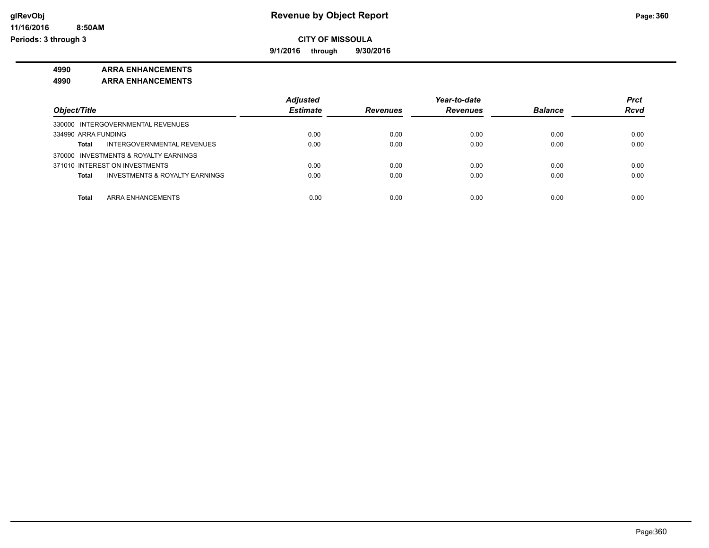**9/1/2016 through 9/30/2016**

#### **4990 ARRA ENHANCEMENTS**

**4990 ARRA ENHANCEMENTS**

|                                                           | <b>Adjusted</b> |                 | Year-to-date    |                | <b>Prct</b> |
|-----------------------------------------------------------|-----------------|-----------------|-----------------|----------------|-------------|
| Object/Title                                              | <b>Estimate</b> | <b>Revenues</b> | <b>Revenues</b> | <b>Balance</b> | <b>Rcvd</b> |
| 330000 INTERGOVERNMENTAL REVENUES                         |                 |                 |                 |                |             |
| 334990 ARRA FUNDING                                       | 0.00            | 0.00            | 0.00            | 0.00           | 0.00        |
| INTERGOVERNMENTAL REVENUES<br>Total                       | 0.00            | 0.00            | 0.00            | 0.00           | 0.00        |
| 370000 INVESTMENTS & ROYALTY EARNINGS                     |                 |                 |                 |                |             |
| 371010 INTEREST ON INVESTMENTS                            | 0.00            | 0.00            | 0.00            | 0.00           | 0.00        |
| <b>INVESTMENTS &amp; ROYALTY EARNINGS</b><br><b>Total</b> | 0.00            | 0.00            | 0.00            | 0.00           | 0.00        |
|                                                           |                 |                 |                 |                |             |
| ARRA ENHANCEMENTS<br><b>Total</b>                         | 0.00            | 0.00            | 0.00            | 0.00           | 0.00        |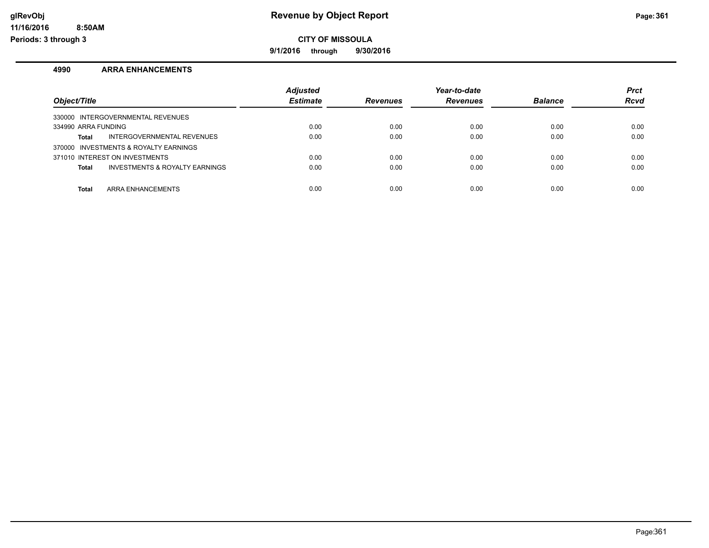**CITY OF MISSOULA**

**9/1/2016 through 9/30/2016**

#### **4990 ARRA ENHANCEMENTS**

 **8:50AM**

| Object/Title                                              | <b>Adjusted</b><br><b>Estimate</b> | <b>Revenues</b> | Year-to-date<br><b>Revenues</b> | <b>Balance</b> | <b>Prct</b><br><b>Rcvd</b> |
|-----------------------------------------------------------|------------------------------------|-----------------|---------------------------------|----------------|----------------------------|
| 330000 INTERGOVERNMENTAL REVENUES                         |                                    |                 |                                 |                |                            |
| 334990 ARRA FUNDING                                       | 0.00                               | 0.00            | 0.00                            | 0.00           | 0.00                       |
| INTERGOVERNMENTAL REVENUES<br>Total                       | 0.00                               | 0.00            | 0.00                            | 0.00           | 0.00                       |
| 370000 INVESTMENTS & ROYALTY EARNINGS                     |                                    |                 |                                 |                |                            |
| 371010 INTEREST ON INVESTMENTS                            | 0.00                               | 0.00            | 0.00                            | 0.00           | 0.00                       |
| <b>INVESTMENTS &amp; ROYALTY EARNINGS</b><br><b>Total</b> | 0.00                               | 0.00            | 0.00                            | 0.00           | 0.00                       |
|                                                           |                                    |                 |                                 |                |                            |
| ARRA ENHANCEMENTS<br><b>Total</b>                         | 0.00                               | 0.00            | 0.00                            | 0.00           | 0.00                       |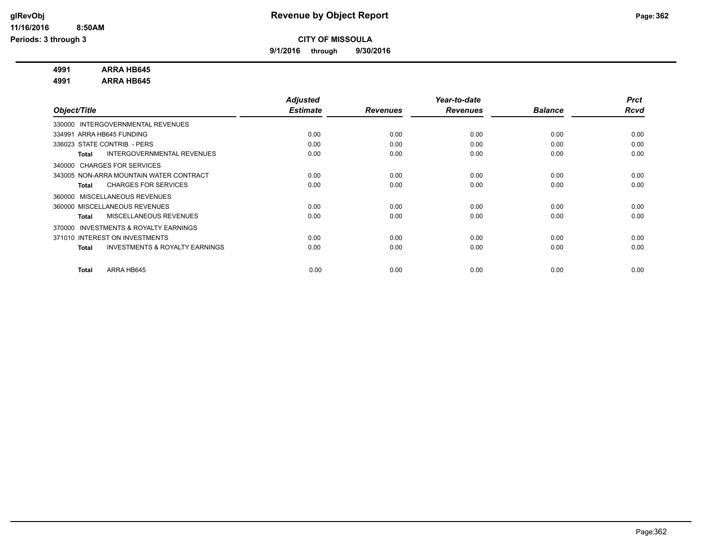**9/1/2016 through 9/30/2016**

#### **4991 ARRA HB645**

**4991 ARRA HB645**

|                                                    | <b>Adjusted</b> |                 | Year-to-date    |                | <b>Prct</b> |
|----------------------------------------------------|-----------------|-----------------|-----------------|----------------|-------------|
| Object/Title                                       | <b>Estimate</b> | <b>Revenues</b> | <b>Revenues</b> | <b>Balance</b> | <b>Rcvd</b> |
| 330000 INTERGOVERNMENTAL REVENUES                  |                 |                 |                 |                |             |
| 334991 ARRA HB645 FUNDING                          | 0.00            | 0.00            | 0.00            | 0.00           | 0.00        |
| 336023 STATE CONTRIB. - PERS                       | 0.00            | 0.00            | 0.00            | 0.00           | 0.00        |
| <b>INTERGOVERNMENTAL REVENUES</b><br>Total         | 0.00            | 0.00            | 0.00            | 0.00           | 0.00        |
| 340000 CHARGES FOR SERVICES                        |                 |                 |                 |                |             |
| 343005 NON-ARRA MOUNTAIN WATER CONTRACT            | 0.00            | 0.00            | 0.00            | 0.00           | 0.00        |
| <b>CHARGES FOR SERVICES</b><br>Total               | 0.00            | 0.00            | 0.00            | 0.00           | 0.00        |
| 360000 MISCELLANEOUS REVENUES                      |                 |                 |                 |                |             |
| 360000 MISCELLANEOUS REVENUES                      | 0.00            | 0.00            | 0.00            | 0.00           | 0.00        |
| MISCELLANEOUS REVENUES<br><b>Total</b>             | 0.00            | 0.00            | 0.00            | 0.00           | 0.00        |
| 370000 INVESTMENTS & ROYALTY EARNINGS              |                 |                 |                 |                |             |
| 371010 INTEREST ON INVESTMENTS                     | 0.00            | 0.00            | 0.00            | 0.00           | 0.00        |
| <b>INVESTMENTS &amp; ROYALTY EARNINGS</b><br>Total | 0.00            | 0.00            | 0.00            | 0.00           | 0.00        |
|                                                    |                 |                 |                 |                |             |
| ARRA HB645<br><b>Total</b>                         | 0.00            | 0.00            | 0.00            | 0.00           | 0.00        |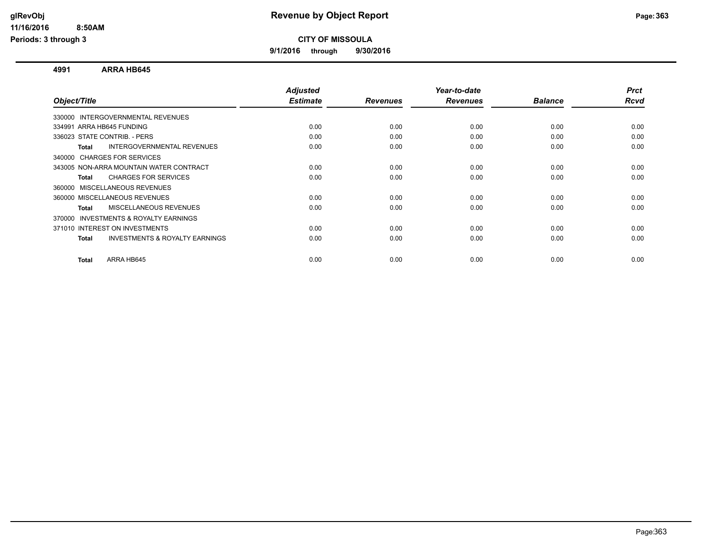**CITY OF MISSOULA**

**9/1/2016 through 9/30/2016**

**4991 ARRA HB645**

| Object/Title                                              | <b>Adjusted</b><br><b>Estimate</b> | <b>Revenues</b> | Year-to-date<br><b>Revenues</b> | <b>Balance</b> | <b>Prct</b><br><b>Rcvd</b> |
|-----------------------------------------------------------|------------------------------------|-----------------|---------------------------------|----------------|----------------------------|
|                                                           |                                    |                 |                                 |                |                            |
| 330000 INTERGOVERNMENTAL REVENUES                         |                                    |                 |                                 |                |                            |
| 334991 ARRA HB645 FUNDING                                 | 0.00                               | 0.00            | 0.00                            | 0.00           | 0.00                       |
| 336023 STATE CONTRIB. - PERS                              | 0.00                               | 0.00            | 0.00                            | 0.00           | 0.00                       |
| <b>INTERGOVERNMENTAL REVENUES</b><br>Total                | 0.00                               | 0.00            | 0.00                            | 0.00           | 0.00                       |
| 340000 CHARGES FOR SERVICES                               |                                    |                 |                                 |                |                            |
| 343005 NON-ARRA MOUNTAIN WATER CONTRACT                   | 0.00                               | 0.00            | 0.00                            | 0.00           | 0.00                       |
| <b>CHARGES FOR SERVICES</b><br>Total                      | 0.00                               | 0.00            | 0.00                            | 0.00           | 0.00                       |
| 360000 MISCELLANEOUS REVENUES                             |                                    |                 |                                 |                |                            |
| 360000 MISCELLANEOUS REVENUES                             | 0.00                               | 0.00            | 0.00                            | 0.00           | 0.00                       |
| MISCELLANEOUS REVENUES<br>Total                           | 0.00                               | 0.00            | 0.00                            | 0.00           | 0.00                       |
| 370000 INVESTMENTS & ROYALTY EARNINGS                     |                                    |                 |                                 |                |                            |
| 371010 INTEREST ON INVESTMENTS                            | 0.00                               | 0.00            | 0.00                            | 0.00           | 0.00                       |
| <b>INVESTMENTS &amp; ROYALTY EARNINGS</b><br><b>Total</b> | 0.00                               | 0.00            | 0.00                            | 0.00           | 0.00                       |
|                                                           |                                    |                 |                                 |                |                            |
| ARRA HB645<br>Total                                       | 0.00                               | 0.00            | 0.00                            | 0.00           | 0.00                       |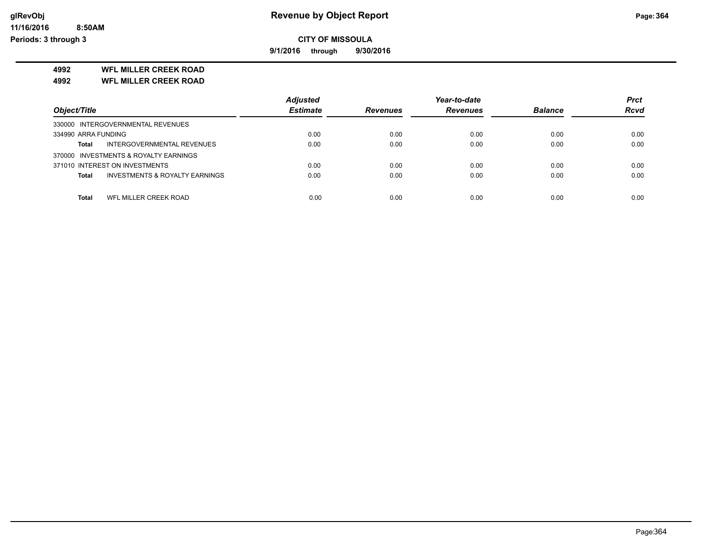**9/1/2016 through 9/30/2016**

#### **4992 WFL MILLER CREEK ROAD**

**4992 WFL MILLER CREEK ROAD**

|                                                           | <b>Adjusted</b> |                 | Year-to-date    |                | <b>Prct</b> |
|-----------------------------------------------------------|-----------------|-----------------|-----------------|----------------|-------------|
| Object/Title                                              | <b>Estimate</b> | <b>Revenues</b> | <b>Revenues</b> | <b>Balance</b> | <b>Rcvd</b> |
| 330000 INTERGOVERNMENTAL REVENUES                         |                 |                 |                 |                |             |
| 334990 ARRA FUNDING                                       | 0.00            | 0.00            | 0.00            | 0.00           | 0.00        |
| INTERGOVERNMENTAL REVENUES<br>Total                       | 0.00            | 0.00            | 0.00            | 0.00           | 0.00        |
| 370000 INVESTMENTS & ROYALTY EARNINGS                     |                 |                 |                 |                |             |
| 371010 INTEREST ON INVESTMENTS                            | 0.00            | 0.00            | 0.00            | 0.00           | 0.00        |
| <b>INVESTMENTS &amp; ROYALTY EARNINGS</b><br><b>Total</b> | 0.00            | 0.00            | 0.00            | 0.00           | 0.00        |
|                                                           |                 |                 |                 |                |             |
| WFL MILLER CREEK ROAD<br><b>Total</b>                     | 0.00            | 0.00            | 0.00            | 0.00           | 0.00        |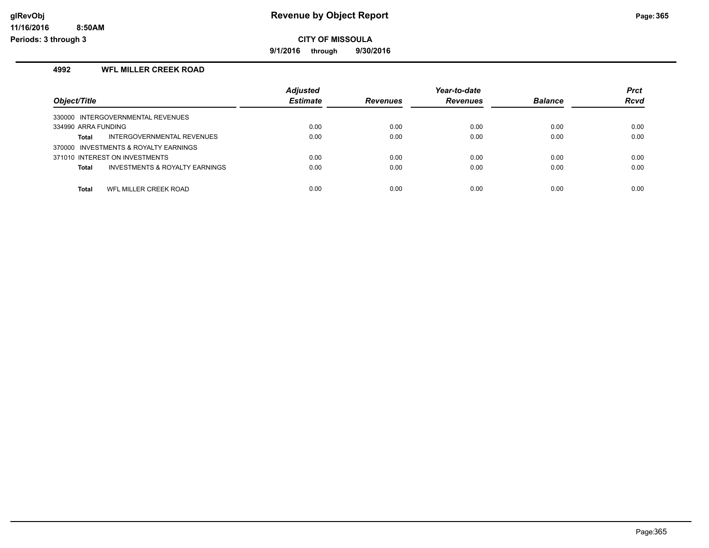**CITY OF MISSOULA**

**9/1/2016 through 9/30/2016**

#### **4992 WFL MILLER CREEK ROAD**

 **8:50AM**

| Object/Title                                              | <b>Adjusted</b><br><b>Estimate</b> | <b>Revenues</b> | Year-to-date<br><b>Revenues</b> | <b>Balance</b> | <b>Prct</b><br><b>Rcvd</b> |
|-----------------------------------------------------------|------------------------------------|-----------------|---------------------------------|----------------|----------------------------|
| 330000 INTERGOVERNMENTAL REVENUES                         |                                    |                 |                                 |                |                            |
| 334990 ARRA FUNDING                                       | 0.00                               | 0.00            | 0.00                            | 0.00           | 0.00                       |
| INTERGOVERNMENTAL REVENUES<br>Total                       | 0.00                               | 0.00            | 0.00                            | 0.00           | 0.00                       |
| 370000 INVESTMENTS & ROYALTY EARNINGS                     |                                    |                 |                                 |                |                            |
| 371010 INTEREST ON INVESTMENTS                            | 0.00                               | 0.00            | 0.00                            | 0.00           | 0.00                       |
| <b>INVESTMENTS &amp; ROYALTY EARNINGS</b><br><b>Total</b> | 0.00                               | 0.00            | 0.00                            | 0.00           | 0.00                       |
| WFL MILLER CREEK ROAD<br>Total                            | 0.00                               | 0.00            | 0.00                            | 0.00           | 0.00                       |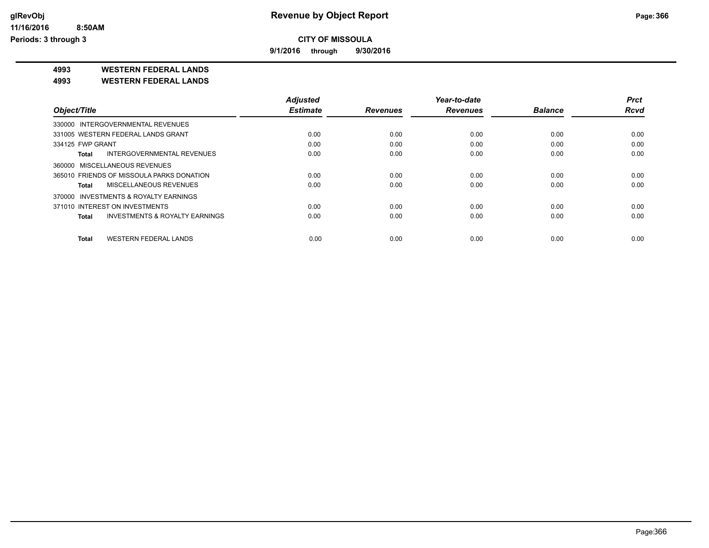**9/1/2016 through 9/30/2016**

**4993 WESTERN FEDERAL LANDS**

**4993 WESTERN FEDERAL LANDS**

| Object/Title                                              | <b>Adjusted</b><br><b>Estimate</b> | <b>Revenues</b> | Year-to-date<br><b>Revenues</b> | <b>Balance</b> | <b>Prct</b><br><b>Rcvd</b> |
|-----------------------------------------------------------|------------------------------------|-----------------|---------------------------------|----------------|----------------------------|
| 330000 INTERGOVERNMENTAL REVENUES                         |                                    |                 |                                 |                |                            |
| 331005 WESTERN FEDERAL LANDS GRANT                        | 0.00                               | 0.00            | 0.00                            | 0.00           | 0.00                       |
| 334125 FWP GRANT                                          | 0.00                               | 0.00            | 0.00                            | 0.00           | 0.00                       |
| INTERGOVERNMENTAL REVENUES<br>Total                       | 0.00                               | 0.00            | 0.00                            | 0.00           | 0.00                       |
| 360000 MISCELLANEOUS REVENUES                             |                                    |                 |                                 |                |                            |
| 365010 FRIENDS OF MISSOULA PARKS DONATION                 | 0.00                               | 0.00            | 0.00                            | 0.00           | 0.00                       |
| MISCELLANEOUS REVENUES<br>Total                           | 0.00                               | 0.00            | 0.00                            | 0.00           | 0.00                       |
| 370000 INVESTMENTS & ROYALTY EARNINGS                     |                                    |                 |                                 |                |                            |
| 371010 INTEREST ON INVESTMENTS                            | 0.00                               | 0.00            | 0.00                            | 0.00           | 0.00                       |
| <b>INVESTMENTS &amp; ROYALTY EARNINGS</b><br><b>Total</b> | 0.00                               | 0.00            | 0.00                            | 0.00           | 0.00                       |
| <b>WESTERN FEDERAL LANDS</b><br><b>Total</b>              | 0.00                               | 0.00            | 0.00                            | 0.00           | 0.00                       |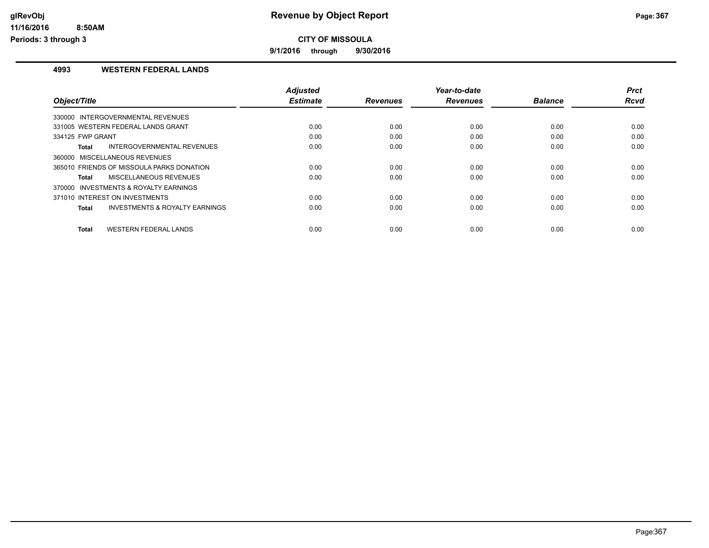**9/1/2016 through 9/30/2016**

### **4993 WESTERN FEDERAL LANDS**

| Object/Title                                 | <b>Adjusted</b><br><b>Estimate</b> | <b>Revenues</b> | Year-to-date<br><b>Revenues</b> | <b>Balance</b> | <b>Prct</b><br>Rcvd |
|----------------------------------------------|------------------------------------|-----------------|---------------------------------|----------------|---------------------|
|                                              |                                    |                 |                                 |                |                     |
| 330000 INTERGOVERNMENTAL REVENUES            |                                    |                 |                                 |                |                     |
| 331005 WESTERN FEDERAL LANDS GRANT           | 0.00                               | 0.00            | 0.00                            | 0.00           | 0.00                |
| 334125 FWP GRANT                             | 0.00                               | 0.00            | 0.00                            | 0.00           | 0.00                |
| INTERGOVERNMENTAL REVENUES<br>Total          | 0.00                               | 0.00            | 0.00                            | 0.00           | 0.00                |
| 360000 MISCELLANEOUS REVENUES                |                                    |                 |                                 |                |                     |
| 365010 FRIENDS OF MISSOULA PARKS DONATION    | 0.00                               | 0.00            | 0.00                            | 0.00           | 0.00                |
| MISCELLANEOUS REVENUES<br>Total              | 0.00                               | 0.00            | 0.00                            | 0.00           | 0.00                |
| 370000 INVESTMENTS & ROYALTY EARNINGS        |                                    |                 |                                 |                |                     |
| 371010 INTEREST ON INVESTMENTS               | 0.00                               | 0.00            | 0.00                            | 0.00           | 0.00                |
| INVESTMENTS & ROYALTY EARNINGS<br>Total      | 0.00                               | 0.00            | 0.00                            | 0.00           | 0.00                |
|                                              |                                    |                 |                                 |                |                     |
| <b>WESTERN FEDERAL LANDS</b><br><b>Total</b> | 0.00                               | 0.00            | 0.00                            | 0.00           | 0.00                |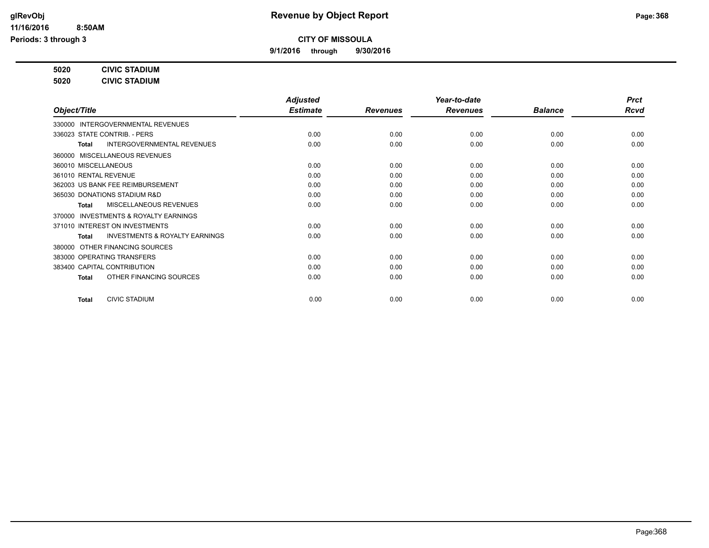**9/1/2016 through 9/30/2016**

**Periods: 3 through 3**

#### **5020 CIVIC STADIUM**

 **8:50AM**

**5020 CIVIC STADIUM**

|                                                           | <b>Adjusted</b> |                 | Year-to-date    |                | <b>Prct</b> |
|-----------------------------------------------------------|-----------------|-----------------|-----------------|----------------|-------------|
| Object/Title                                              | <b>Estimate</b> | <b>Revenues</b> | <b>Revenues</b> | <b>Balance</b> | <b>Rcvd</b> |
| INTERGOVERNMENTAL REVENUES<br>330000                      |                 |                 |                 |                |             |
| 336023 STATE CONTRIB. - PERS                              | 0.00            | 0.00            | 0.00            | 0.00           | 0.00        |
| <b>INTERGOVERNMENTAL REVENUES</b><br><b>Total</b>         | 0.00            | 0.00            | 0.00            | 0.00           | 0.00        |
| MISCELLANEOUS REVENUES<br>360000                          |                 |                 |                 |                |             |
| 360010 MISCELLANEOUS                                      | 0.00            | 0.00            | 0.00            | 0.00           | 0.00        |
| 361010 RENTAL REVENUE                                     | 0.00            | 0.00            | 0.00            | 0.00           | 0.00        |
| 362003 US BANK FEE REIMBURSEMENT                          | 0.00            | 0.00            | 0.00            | 0.00           | 0.00        |
| 365030 DONATIONS STADIUM R&D                              | 0.00            | 0.00            | 0.00            | 0.00           | 0.00        |
| MISCELLANEOUS REVENUES<br><b>Total</b>                    | 0.00            | 0.00            | 0.00            | 0.00           | 0.00        |
| <b>INVESTMENTS &amp; ROYALTY EARNINGS</b><br>370000       |                 |                 |                 |                |             |
| 371010 INTEREST ON INVESTMENTS                            | 0.00            | 0.00            | 0.00            | 0.00           | 0.00        |
| <b>INVESTMENTS &amp; ROYALTY EARNINGS</b><br><b>Total</b> | 0.00            | 0.00            | 0.00            | 0.00           | 0.00        |
| OTHER FINANCING SOURCES<br>380000                         |                 |                 |                 |                |             |
| 383000 OPERATING TRANSFERS                                | 0.00            | 0.00            | 0.00            | 0.00           | 0.00        |
| 383400 CAPITAL CONTRIBUTION                               | 0.00            | 0.00            | 0.00            | 0.00           | 0.00        |
| OTHER FINANCING SOURCES<br><b>Total</b>                   | 0.00            | 0.00            | 0.00            | 0.00           | 0.00        |
|                                                           |                 |                 |                 |                |             |
| <b>CIVIC STADIUM</b><br><b>Total</b>                      | 0.00            | 0.00            | 0.00            | 0.00           | 0.00        |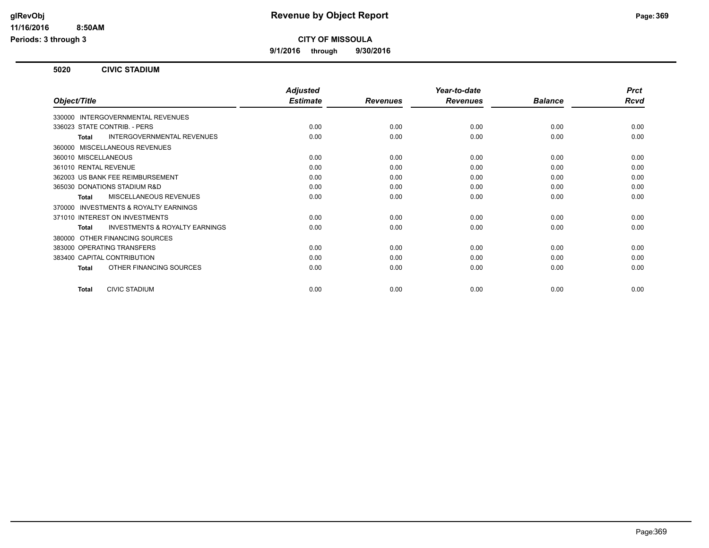**CITY OF MISSOULA**

**9/1/2016 through 9/30/2016**

#### **5020 CIVIC STADIUM**

|                                                    | <b>Adjusted</b> |                 | Year-to-date    |                | <b>Prct</b> |
|----------------------------------------------------|-----------------|-----------------|-----------------|----------------|-------------|
| Object/Title                                       | <b>Estimate</b> | <b>Revenues</b> | <b>Revenues</b> | <b>Balance</b> | <b>Rcvd</b> |
| 330000 INTERGOVERNMENTAL REVENUES                  |                 |                 |                 |                |             |
| 336023 STATE CONTRIB. - PERS                       | 0.00            | 0.00            | 0.00            | 0.00           | 0.00        |
| <b>INTERGOVERNMENTAL REVENUES</b><br><b>Total</b>  | 0.00            | 0.00            | 0.00            | 0.00           | 0.00        |
| 360000 MISCELLANEOUS REVENUES                      |                 |                 |                 |                |             |
| 360010 MISCELLANEOUS                               | 0.00            | 0.00            | 0.00            | 0.00           | 0.00        |
| 361010 RENTAL REVENUE                              | 0.00            | 0.00            | 0.00            | 0.00           | 0.00        |
| 362003 US BANK FEE REIMBURSEMENT                   | 0.00            | 0.00            | 0.00            | 0.00           | 0.00        |
| 365030 DONATIONS STADIUM R&D                       | 0.00            | 0.00            | 0.00            | 0.00           | 0.00        |
| MISCELLANEOUS REVENUES<br>Total                    | 0.00            | 0.00            | 0.00            | 0.00           | 0.00        |
| 370000 INVESTMENTS & ROYALTY EARNINGS              |                 |                 |                 |                |             |
| 371010 INTEREST ON INVESTMENTS                     | 0.00            | 0.00            | 0.00            | 0.00           | 0.00        |
| <b>INVESTMENTS &amp; ROYALTY EARNINGS</b><br>Total | 0.00            | 0.00            | 0.00            | 0.00           | 0.00        |
| 380000 OTHER FINANCING SOURCES                     |                 |                 |                 |                |             |
| 383000 OPERATING TRANSFERS                         | 0.00            | 0.00            | 0.00            | 0.00           | 0.00        |
| 383400 CAPITAL CONTRIBUTION                        | 0.00            | 0.00            | 0.00            | 0.00           | 0.00        |
| OTHER FINANCING SOURCES<br>Total                   | 0.00            | 0.00            | 0.00            | 0.00           | 0.00        |
| <b>CIVIC STADIUM</b><br><b>Total</b>               | 0.00            | 0.00            | 0.00            | 0.00           | 0.00        |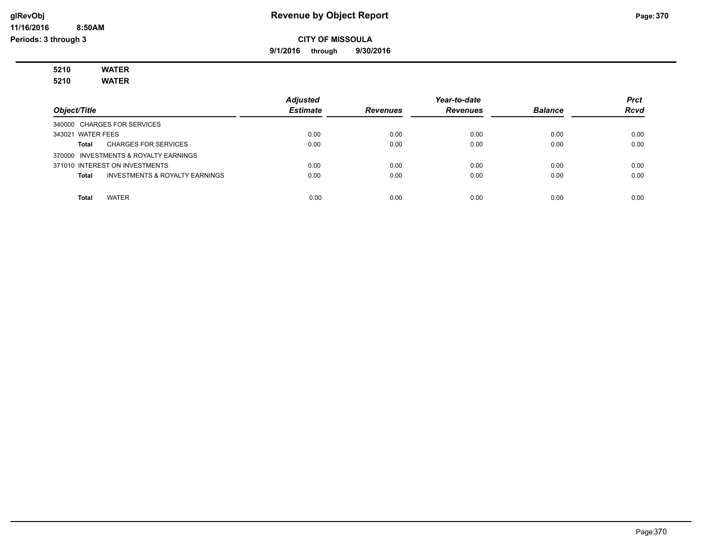**9/1/2016 through 9/30/2016**

# **5210 WATER**

**5210 WATER**

|                                                           | <b>Adjusted</b> |                 | Year-to-date    |                | <b>Prct</b> |
|-----------------------------------------------------------|-----------------|-----------------|-----------------|----------------|-------------|
| Object/Title                                              | <b>Estimate</b> | <b>Revenues</b> | <b>Revenues</b> | <b>Balance</b> | <b>Rcvd</b> |
| 340000 CHARGES FOR SERVICES                               |                 |                 |                 |                |             |
| 343021 WATER FEES                                         | 0.00            | 0.00            | 0.00            | 0.00           | 0.00        |
| <b>CHARGES FOR SERVICES</b><br><b>Total</b>               | 0.00            | 0.00            | 0.00            | 0.00           | 0.00        |
| 370000 INVESTMENTS & ROYALTY EARNINGS                     |                 |                 |                 |                |             |
| 371010 INTEREST ON INVESTMENTS                            | 0.00            | 0.00            | 0.00            | 0.00           | 0.00        |
| <b>INVESTMENTS &amp; ROYALTY EARNINGS</b><br><b>Total</b> | 0.00            | 0.00            | 0.00            | 0.00           | 0.00        |
| <b>WATER</b><br><b>Total</b>                              | 0.00            | 0.00            | 0.00            | 0.00           | 0.00        |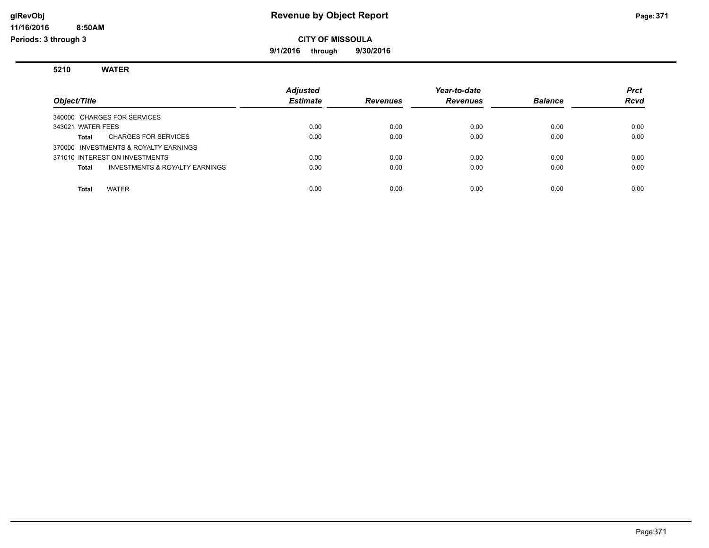**CITY OF MISSOULA**

**9/1/2016 through 9/30/2016**

**5210 WATER**

| Object/Title                                       | <b>Adjusted</b><br><b>Estimate</b> | <b>Revenues</b> | Year-to-date<br><b>Revenues</b> | <b>Balance</b> | <b>Prct</b><br><b>Rcvd</b> |
|----------------------------------------------------|------------------------------------|-----------------|---------------------------------|----------------|----------------------------|
| 340000 CHARGES FOR SERVICES                        |                                    |                 |                                 |                |                            |
| 343021 WATER FEES                                  | 0.00                               | 0.00            | 0.00                            | 0.00           | 0.00                       |
| <b>CHARGES FOR SERVICES</b><br>Total               | 0.00                               | 0.00            | 0.00                            | 0.00           | 0.00                       |
| 370000 INVESTMENTS & ROYALTY EARNINGS              |                                    |                 |                                 |                |                            |
| 371010 INTEREST ON INVESTMENTS                     | 0.00                               | 0.00            | 0.00                            | 0.00           | 0.00                       |
| <b>INVESTMENTS &amp; ROYALTY EARNINGS</b><br>Total | 0.00                               | 0.00            | 0.00                            | 0.00           | 0.00                       |
|                                                    |                                    |                 |                                 |                |                            |
| <b>WATER</b><br>Total                              | 0.00                               | 0.00            | 0.00                            | 0.00           | 0.00                       |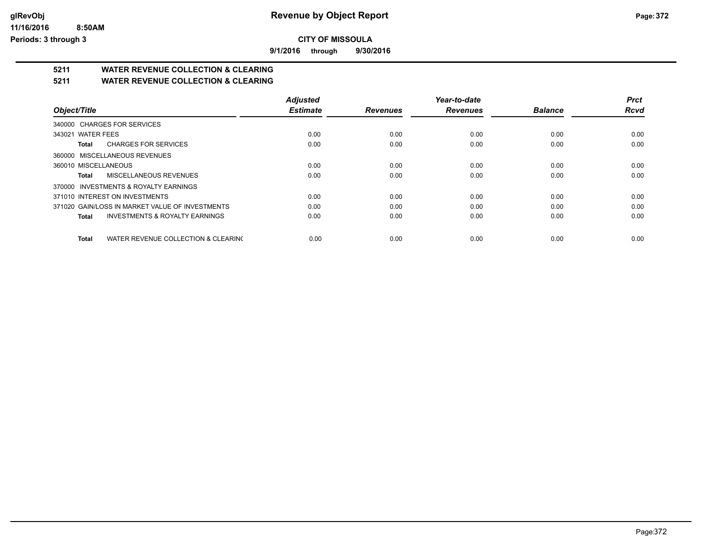**CITY OF MISSOULA**

**9/1/2016 through 9/30/2016**

# **5211 WATER REVENUE COLLECTION & CLEARING**

**5211 WATER REVENUE COLLECTION & CLEARING**

|                                                           | <b>Adjusted</b> |                 | Year-to-date    |                | <b>Prct</b> |
|-----------------------------------------------------------|-----------------|-----------------|-----------------|----------------|-------------|
| Object/Title                                              | <b>Estimate</b> | <b>Revenues</b> | <b>Revenues</b> | <b>Balance</b> | <b>Rcvd</b> |
| 340000 CHARGES FOR SERVICES                               |                 |                 |                 |                |             |
| WATER FEES<br>343021                                      | 0.00            | 0.00            | 0.00            | 0.00           | 0.00        |
| <b>CHARGES FOR SERVICES</b><br>Total                      | 0.00            | 0.00            | 0.00            | 0.00           | 0.00        |
| 360000 MISCELLANEOUS REVENUES                             |                 |                 |                 |                |             |
| 360010 MISCELLANEOUS                                      | 0.00            | 0.00            | 0.00            | 0.00           | 0.00        |
| MISCELLANEOUS REVENUES<br>Total                           | 0.00            | 0.00            | 0.00            | 0.00           | 0.00        |
| 370000 INVESTMENTS & ROYALTY EARNINGS                     |                 |                 |                 |                |             |
| 371010 INTEREST ON INVESTMENTS                            | 0.00            | 0.00            | 0.00            | 0.00           | 0.00        |
| 371020 GAIN/LOSS IN MARKET VALUE OF INVESTMENTS           | 0.00            | 0.00            | 0.00            | 0.00           | 0.00        |
| <b>INVESTMENTS &amp; ROYALTY EARNINGS</b><br><b>Total</b> | 0.00            | 0.00            | 0.00            | 0.00           | 0.00        |
| WATER REVENUE COLLECTION & CLEARING<br>Total              | 0.00            | 0.00            | 0.00            | 0.00           | 0.00        |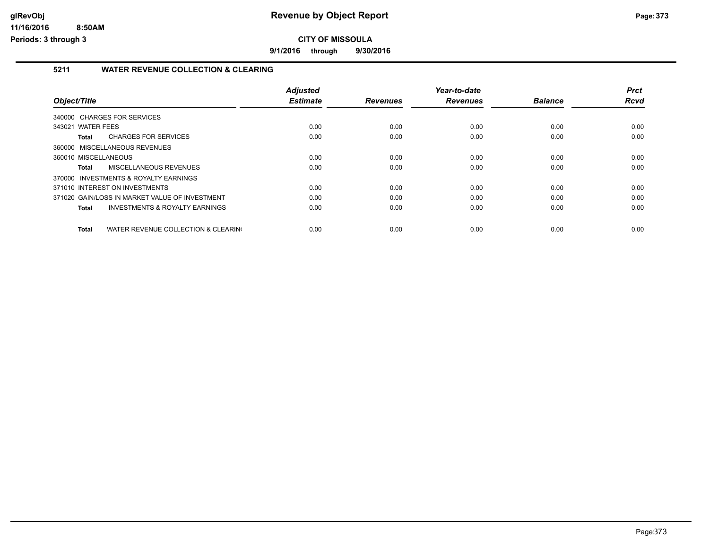**8:50AM**

**CITY OF MISSOULA**

**9/1/2016 through 9/30/2016**

## **5211 WATER REVENUE COLLECTION & CLEARING**

|                                                           | <b>Adjusted</b> |                 | Year-to-date    |                | <b>Prct</b> |
|-----------------------------------------------------------|-----------------|-----------------|-----------------|----------------|-------------|
| Object/Title                                              | <b>Estimate</b> | <b>Revenues</b> | <b>Revenues</b> | <b>Balance</b> | <b>Rcvd</b> |
| 340000 CHARGES FOR SERVICES                               |                 |                 |                 |                |             |
| 343021 WATER FEES                                         | 0.00            | 0.00            | 0.00            | 0.00           | 0.00        |
| <b>CHARGES FOR SERVICES</b><br><b>Total</b>               | 0.00            | 0.00            | 0.00            | 0.00           | 0.00        |
| 360000 MISCELLANEOUS REVENUES                             |                 |                 |                 |                |             |
| 360010 MISCELLANEOUS                                      | 0.00            | 0.00            | 0.00            | 0.00           | 0.00        |
| MISCELLANEOUS REVENUES<br>Total                           | 0.00            | 0.00            | 0.00            | 0.00           | 0.00        |
| 370000 INVESTMENTS & ROYALTY EARNINGS                     |                 |                 |                 |                |             |
| 371010 INTEREST ON INVESTMENTS                            | 0.00            | 0.00            | 0.00            | 0.00           | 0.00        |
| 371020 GAIN/LOSS IN MARKET VALUE OF INVESTMENT            | 0.00            | 0.00            | 0.00            | 0.00           | 0.00        |
| <b>INVESTMENTS &amp; ROYALTY EARNINGS</b><br><b>Total</b> | 0.00            | 0.00            | 0.00            | 0.00           | 0.00        |
| WATER REVENUE COLLECTION & CLEARING<br><b>Total</b>       | 0.00            | 0.00            | 0.00            | 0.00           | 0.00        |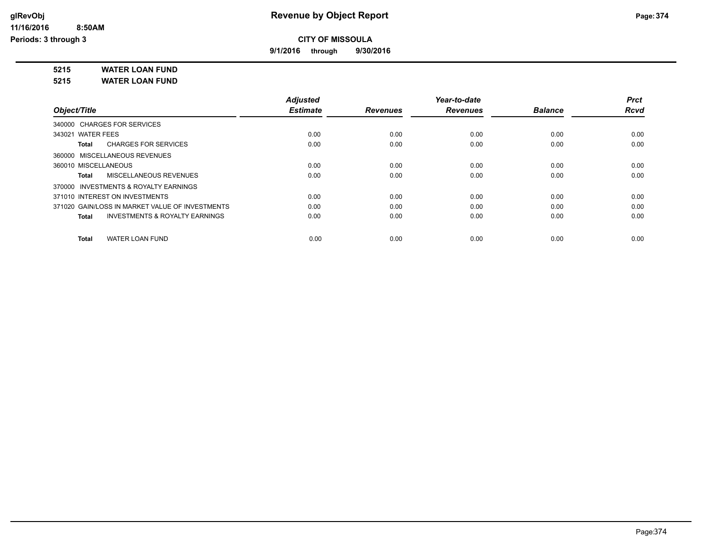**9/1/2016 through 9/30/2016**

**5215 WATER LOAN FUND**

**5215 WATER LOAN FUND**

|                                                    | <b>Adjusted</b> |                 | Year-to-date    |                | <b>Prct</b> |
|----------------------------------------------------|-----------------|-----------------|-----------------|----------------|-------------|
| Object/Title                                       | <b>Estimate</b> | <b>Revenues</b> | <b>Revenues</b> | <b>Balance</b> | <b>Rcvd</b> |
| 340000 CHARGES FOR SERVICES                        |                 |                 |                 |                |             |
| <b>WATER FEES</b><br>343021                        | 0.00            | 0.00            | 0.00            | 0.00           | 0.00        |
| <b>CHARGES FOR SERVICES</b><br>Total               | 0.00            | 0.00            | 0.00            | 0.00           | 0.00        |
| 360000 MISCELLANEOUS REVENUES                      |                 |                 |                 |                |             |
| 360010 MISCELLANEOUS                               | 0.00            | 0.00            | 0.00            | 0.00           | 0.00        |
| MISCELLANEOUS REVENUES<br>Total                    | 0.00            | 0.00            | 0.00            | 0.00           | 0.00        |
| 370000 INVESTMENTS & ROYALTY EARNINGS              |                 |                 |                 |                |             |
| 371010 INTEREST ON INVESTMENTS                     | 0.00            | 0.00            | 0.00            | 0.00           | 0.00        |
| 371020 GAIN/LOSS IN MARKET VALUE OF INVESTMENTS    | 0.00            | 0.00            | 0.00            | 0.00           | 0.00        |
| <b>INVESTMENTS &amp; ROYALTY EARNINGS</b><br>Total | 0.00            | 0.00            | 0.00            | 0.00           | 0.00        |
| <b>WATER LOAN FUND</b><br><b>Total</b>             | 0.00            | 0.00            | 0.00            | 0.00           | 0.00        |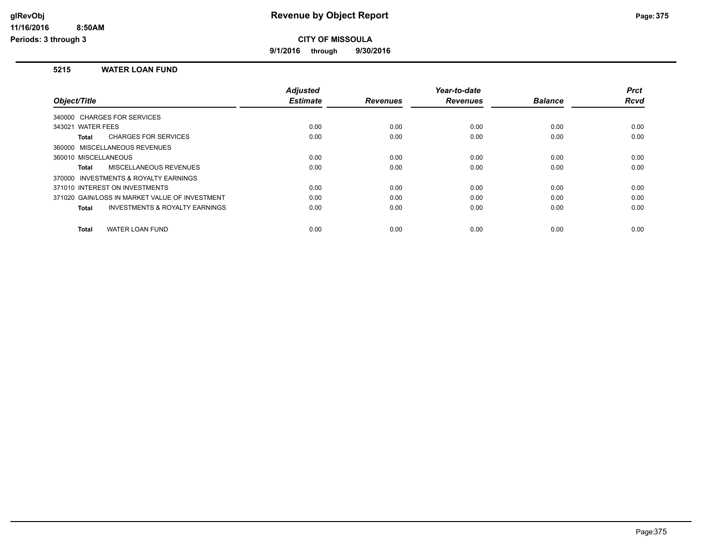**9/1/2016 through 9/30/2016**

#### **5215 WATER LOAN FUND**

|                                                           | <b>Adjusted</b> |                 | Year-to-date    |                | <b>Prct</b> |
|-----------------------------------------------------------|-----------------|-----------------|-----------------|----------------|-------------|
| Object/Title                                              | <b>Estimate</b> | <b>Revenues</b> | <b>Revenues</b> | <b>Balance</b> | <b>Rcvd</b> |
| 340000 CHARGES FOR SERVICES                               |                 |                 |                 |                |             |
| 343021 WATER FEES                                         | 0.00            | 0.00            | 0.00            | 0.00           | 0.00        |
| <b>CHARGES FOR SERVICES</b><br><b>Total</b>               | 0.00            | 0.00            | 0.00            | 0.00           | 0.00        |
| 360000 MISCELLANEOUS REVENUES                             |                 |                 |                 |                |             |
| 360010 MISCELLANEOUS                                      | 0.00            | 0.00            | 0.00            | 0.00           | 0.00        |
| MISCELLANEOUS REVENUES<br>Total                           | 0.00            | 0.00            | 0.00            | 0.00           | 0.00        |
| 370000 INVESTMENTS & ROYALTY EARNINGS                     |                 |                 |                 |                |             |
| 371010 INTEREST ON INVESTMENTS                            | 0.00            | 0.00            | 0.00            | 0.00           | 0.00        |
| 371020 GAIN/LOSS IN MARKET VALUE OF INVESTMENT            | 0.00            | 0.00            | 0.00            | 0.00           | 0.00        |
| <b>INVESTMENTS &amp; ROYALTY EARNINGS</b><br><b>Total</b> | 0.00            | 0.00            | 0.00            | 0.00           | 0.00        |
|                                                           |                 |                 |                 |                |             |
| <b>WATER LOAN FUND</b><br><b>Total</b>                    | 0.00            | 0.00            | 0.00            | 0.00           | 0.00        |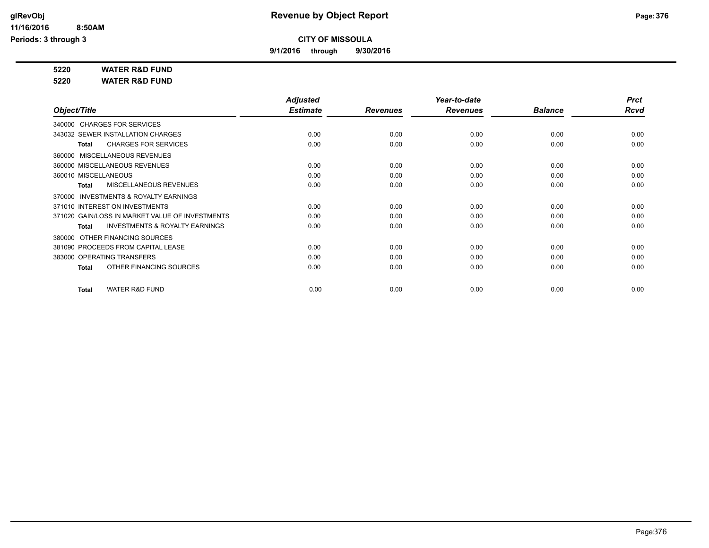**9/1/2016 through 9/30/2016**

**5220 WATER R&D FUND**

**5220 WATER R&D FUND**

|                                                           | <b>Adjusted</b> |                 | Year-to-date    |                | <b>Prct</b> |
|-----------------------------------------------------------|-----------------|-----------------|-----------------|----------------|-------------|
| Object/Title                                              | <b>Estimate</b> | <b>Revenues</b> | <b>Revenues</b> | <b>Balance</b> | <b>Rcvd</b> |
| 340000 CHARGES FOR SERVICES                               |                 |                 |                 |                |             |
| 343032 SEWER INSTALLATION CHARGES                         | 0.00            | 0.00            | 0.00            | 0.00           | 0.00        |
| <b>CHARGES FOR SERVICES</b><br><b>Total</b>               | 0.00            | 0.00            | 0.00            | 0.00           | 0.00        |
| MISCELLANEOUS REVENUES<br>360000                          |                 |                 |                 |                |             |
| 360000 MISCELLANEOUS REVENUES                             | 0.00            | 0.00            | 0.00            | 0.00           | 0.00        |
| 360010 MISCELLANEOUS                                      | 0.00            | 0.00            | 0.00            | 0.00           | 0.00        |
| <b>MISCELLANEOUS REVENUES</b><br><b>Total</b>             | 0.00            | 0.00            | 0.00            | 0.00           | 0.00        |
| <b>INVESTMENTS &amp; ROYALTY EARNINGS</b><br>370000       |                 |                 |                 |                |             |
| 371010 INTEREST ON INVESTMENTS                            | 0.00            | 0.00            | 0.00            | 0.00           | 0.00        |
| 371020 GAIN/LOSS IN MARKET VALUE OF INVESTMENTS           | 0.00            | 0.00            | 0.00            | 0.00           | 0.00        |
| <b>INVESTMENTS &amp; ROYALTY EARNINGS</b><br><b>Total</b> | 0.00            | 0.00            | 0.00            | 0.00           | 0.00        |
| OTHER FINANCING SOURCES<br>380000                         |                 |                 |                 |                |             |
| 381090 PROCEEDS FROM CAPITAL LEASE                        | 0.00            | 0.00            | 0.00            | 0.00           | 0.00        |
| 383000 OPERATING TRANSFERS                                | 0.00            | 0.00            | 0.00            | 0.00           | 0.00        |
| OTHER FINANCING SOURCES<br><b>Total</b>                   | 0.00            | 0.00            | 0.00            | 0.00           | 0.00        |
| <b>WATER R&amp;D FUND</b><br>Total                        | 0.00            | 0.00            | 0.00            | 0.00           | 0.00        |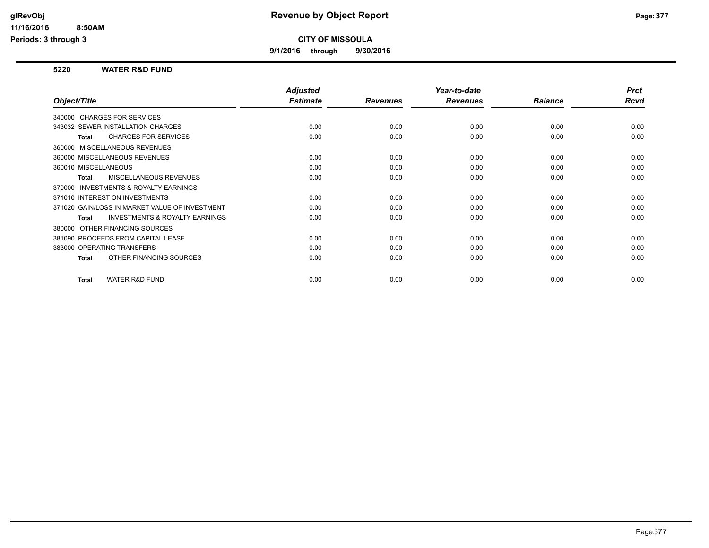**9/1/2016 through 9/30/2016**

#### **5220 WATER R&D FUND**

|                                                           | <b>Adjusted</b> |                 | Year-to-date    |                | <b>Prct</b> |
|-----------------------------------------------------------|-----------------|-----------------|-----------------|----------------|-------------|
| Object/Title                                              | <b>Estimate</b> | <b>Revenues</b> | <b>Revenues</b> | <b>Balance</b> | <b>Rcvd</b> |
| 340000 CHARGES FOR SERVICES                               |                 |                 |                 |                |             |
| 343032 SEWER INSTALLATION CHARGES                         | 0.00            | 0.00            | 0.00            | 0.00           | 0.00        |
| <b>CHARGES FOR SERVICES</b><br><b>Total</b>               | 0.00            | 0.00            | 0.00            | 0.00           | 0.00        |
| 360000 MISCELLANEOUS REVENUES                             |                 |                 |                 |                |             |
| 360000 MISCELLANEOUS REVENUES                             | 0.00            | 0.00            | 0.00            | 0.00           | 0.00        |
| 360010 MISCELLANEOUS                                      | 0.00            | 0.00            | 0.00            | 0.00           | 0.00        |
| <b>MISCELLANEOUS REVENUES</b><br><b>Total</b>             | 0.00            | 0.00            | 0.00            | 0.00           | 0.00        |
| <b>INVESTMENTS &amp; ROYALTY EARNINGS</b><br>370000       |                 |                 |                 |                |             |
| 371010 INTEREST ON INVESTMENTS                            | 0.00            | 0.00            | 0.00            | 0.00           | 0.00        |
| 371020 GAIN/LOSS IN MARKET VALUE OF INVESTMENT            | 0.00            | 0.00            | 0.00            | 0.00           | 0.00        |
| <b>INVESTMENTS &amp; ROYALTY EARNINGS</b><br><b>Total</b> | 0.00            | 0.00            | 0.00            | 0.00           | 0.00        |
| 380000 OTHER FINANCING SOURCES                            |                 |                 |                 |                |             |
| 381090 PROCEEDS FROM CAPITAL LEASE                        | 0.00            | 0.00            | 0.00            | 0.00           | 0.00        |
| 383000 OPERATING TRANSFERS                                | 0.00            | 0.00            | 0.00            | 0.00           | 0.00        |
| OTHER FINANCING SOURCES<br><b>Total</b>                   | 0.00            | 0.00            | 0.00            | 0.00           | 0.00        |
|                                                           |                 |                 |                 |                |             |
| <b>WATER R&amp;D FUND</b><br><b>Total</b>                 | 0.00            | 0.00            | 0.00            | 0.00           | 0.00        |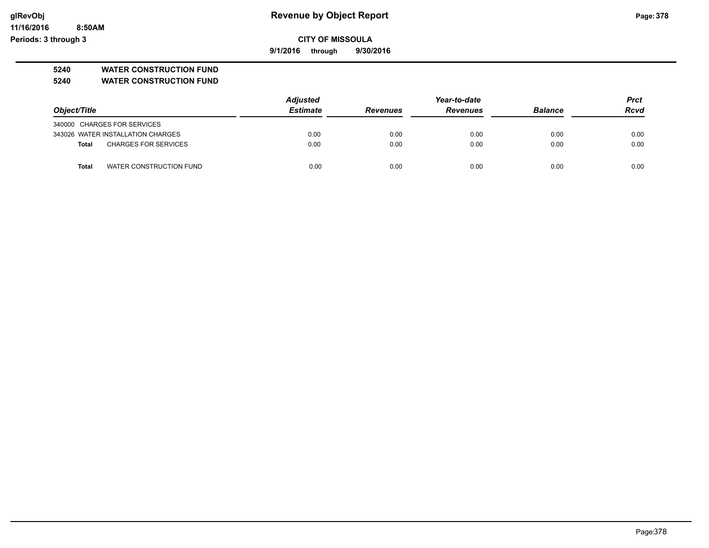**11/16/2016**

**Periods: 3 through 3**

**CITY OF MISSOULA**

**9/1/2016 through 9/30/2016**

# **5240 WATER CONSTRUCTION FUND**

 **8:50AM**

**5240 WATER CONSTRUCTION FUND**

|                                             | <b>Adjusted</b> |                 | Prct            |                |             |
|---------------------------------------------|-----------------|-----------------|-----------------|----------------|-------------|
| Object/Title                                | <b>Estimate</b> | <b>Revenues</b> | <b>Revenues</b> | <b>Balance</b> | <b>Rcvd</b> |
| 340000 CHARGES FOR SERVICES                 |                 |                 |                 |                |             |
| 343026 WATER INSTALLATION CHARGES           | 0.00            | 0.00            | 0.00            | 0.00           | 0.00        |
| <b>CHARGES FOR SERVICES</b><br><b>Total</b> | 0.00            | 0.00            | 0.00            | 0.00           | 0.00        |
| WATER CONSTRUCTION FUND<br><b>Total</b>     | 0.00            | 0.00            | 0.00            | 0.00           | 0.00        |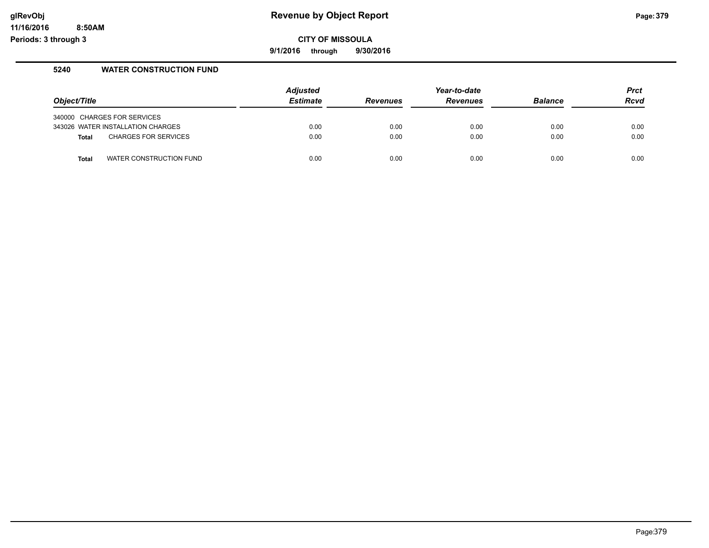**CITY OF MISSOULA**

**9/1/2016 through 9/30/2016**

### **5240 WATER CONSTRUCTION FUND**

 **8:50AM**

|                                   |                             | <b>Adjusted</b> |                 | Prct            |                |             |
|-----------------------------------|-----------------------------|-----------------|-----------------|-----------------|----------------|-------------|
| Object/Title                      |                             | <b>Estimate</b> | <b>Revenues</b> | <b>Revenues</b> | <b>Balance</b> | <b>Rcvd</b> |
| 340000 CHARGES FOR SERVICES       |                             |                 |                 |                 |                |             |
| 343026 WATER INSTALLATION CHARGES |                             | 0.00            | 0.00            | 0.00            | 0.00           | 0.00        |
| <b>Total</b>                      | <b>CHARGES FOR SERVICES</b> | 0.00            | 0.00            | 0.00            | 0.00           | 0.00        |
| Total                             | WATER CONSTRUCTION FUND     | 0.00            | 0.00            | 0.00            | 0.00           | 0.00        |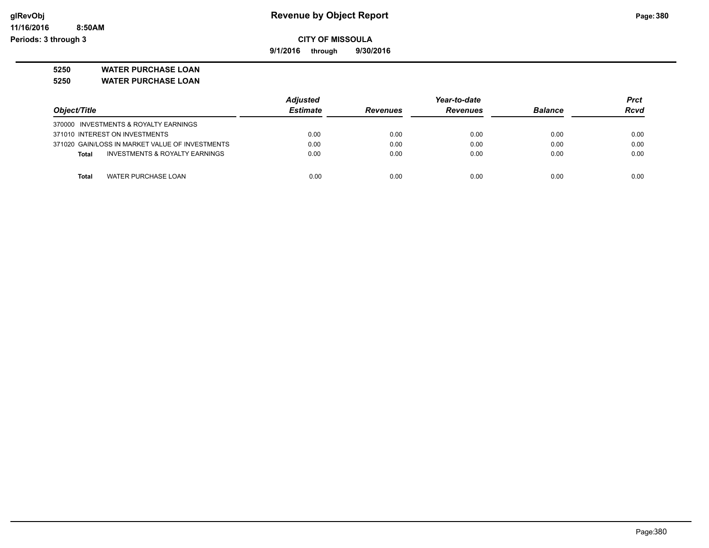**9/1/2016 through 9/30/2016**

# **5250 WATER PURCHASE LOAN**

**5250 WATER PURCHASE LOAN**

|                                                           | <b>Adjusted</b> |                 | Year-to-date    |                |      |
|-----------------------------------------------------------|-----------------|-----------------|-----------------|----------------|------|
| Object/Title                                              | <b>Estimate</b> | <b>Revenues</b> | <b>Revenues</b> | <b>Balance</b> | Rcvd |
| 370000 INVESTMENTS & ROYALTY EARNINGS                     |                 |                 |                 |                |      |
| 371010 INTEREST ON INVESTMENTS                            | 0.00            | 0.00            | 0.00            | 0.00           | 0.00 |
| 371020 GAIN/LOSS IN MARKET VALUE OF INVESTMENTS           | 0.00            | 0.00            | 0.00            | 0.00           | 0.00 |
| <b>INVESTMENTS &amp; ROYALTY EARNINGS</b><br><b>Total</b> | 0.00            | 0.00            | 0.00            | 0.00           | 0.00 |
|                                                           |                 |                 |                 |                |      |
| WATER PURCHASE LOAN<br><b>Total</b>                       | 0.00            | 0.00            | 0.00            | 0.00           | 0.00 |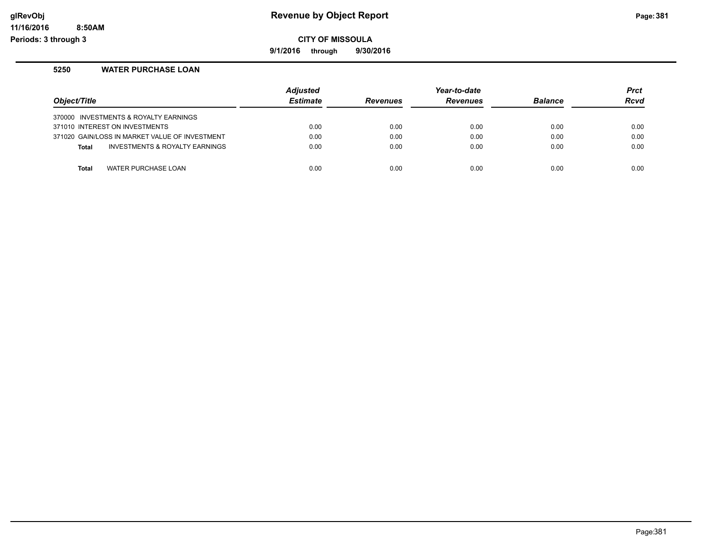**CITY OF MISSOULA**

**9/1/2016 through 9/30/2016**

#### **5250 WATER PURCHASE LOAN**

 **8:50AM**

| Object/Title                          |                                                | <b>Adjusted</b><br><b>Estimate</b> | <b>Revenues</b> | Year-to-date<br><b>Revenues</b> | <b>Balance</b> | <b>Prct</b><br><b>Rcvd</b> |
|---------------------------------------|------------------------------------------------|------------------------------------|-----------------|---------------------------------|----------------|----------------------------|
| 370000 INVESTMENTS & ROYALTY EARNINGS |                                                |                                    |                 |                                 |                |                            |
| 371010 INTEREST ON INVESTMENTS        |                                                | 0.00                               | 0.00            | 0.00                            | 0.00           | 0.00                       |
|                                       | 371020 GAIN/LOSS IN MARKET VALUE OF INVESTMENT | 0.00                               | 0.00            | 0.00                            | 0.00           | 0.00                       |
| <b>Total</b>                          | INVESTMENTS & ROYALTY EARNINGS                 | 0.00                               | 0.00            | 0.00                            | 0.00           | 0.00                       |
|                                       |                                                |                                    |                 |                                 |                |                            |
| Total                                 | WATER PURCHASE LOAN                            | 0.00                               | 0.00            | 0.00                            | 0.00           | 0.00                       |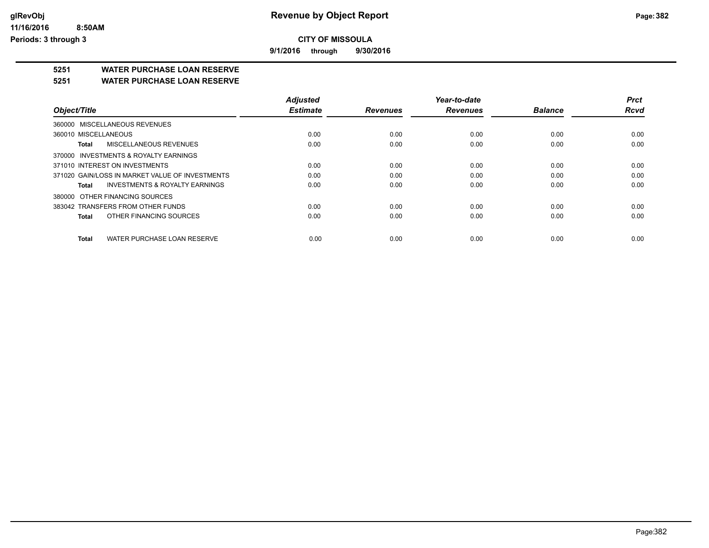**9/1/2016 through 9/30/2016**

# **5251 WATER PURCHASE LOAN RESERVE**

### **5251 WATER PURCHASE LOAN RESERVE**

|                                                    | <b>Adjusted</b> |                 | Year-to-date    |                | <b>Prct</b> |
|----------------------------------------------------|-----------------|-----------------|-----------------|----------------|-------------|
| Object/Title                                       | <b>Estimate</b> | <b>Revenues</b> | <b>Revenues</b> | <b>Balance</b> | <b>Rcvd</b> |
| 360000 MISCELLANEOUS REVENUES                      |                 |                 |                 |                |             |
| 360010 MISCELLANEOUS                               | 0.00            | 0.00            | 0.00            | 0.00           | 0.00        |
| MISCELLANEOUS REVENUES<br>Total                    | 0.00            | 0.00            | 0.00            | 0.00           | 0.00        |
| 370000 INVESTMENTS & ROYALTY EARNINGS              |                 |                 |                 |                |             |
| 371010 INTEREST ON INVESTMENTS                     | 0.00            | 0.00            | 0.00            | 0.00           | 0.00        |
| 371020 GAIN/LOSS IN MARKET VALUE OF INVESTMENTS    | 0.00            | 0.00            | 0.00            | 0.00           | 0.00        |
| <b>INVESTMENTS &amp; ROYALTY EARNINGS</b><br>Total | 0.00            | 0.00            | 0.00            | 0.00           | 0.00        |
| 380000 OTHER FINANCING SOURCES                     |                 |                 |                 |                |             |
| 383042 TRANSFERS FROM OTHER FUNDS                  | 0.00            | 0.00            | 0.00            | 0.00           | 0.00        |
| OTHER FINANCING SOURCES<br>Total                   | 0.00            | 0.00            | 0.00            | 0.00           | 0.00        |
| WATER PURCHASE LOAN RESERVE<br>Total               | 0.00            | 0.00            | 0.00            | 0.00           | 0.00        |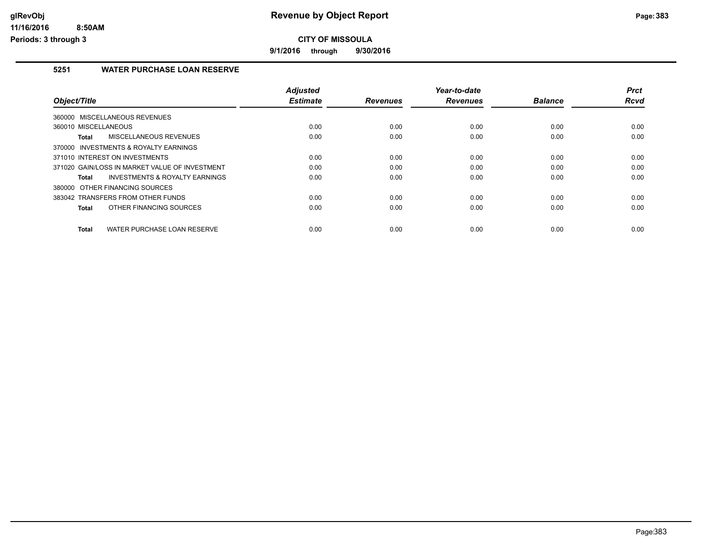**9/1/2016 through 9/30/2016**

# **5251 WATER PURCHASE LOAN RESERVE**

| Object/Title                                       | <b>Adjusted</b><br><b>Estimate</b> | <b>Revenues</b> | Year-to-date<br><b>Revenues</b> | <b>Balance</b> | <b>Prct</b><br><b>Rcvd</b> |
|----------------------------------------------------|------------------------------------|-----------------|---------------------------------|----------------|----------------------------|
|                                                    |                                    |                 |                                 |                |                            |
| 360000 MISCELLANEOUS REVENUES                      |                                    |                 |                                 |                |                            |
| 360010 MISCELLANEOUS                               | 0.00                               | 0.00            | 0.00                            | 0.00           | 0.00                       |
| <b>MISCELLANEOUS REVENUES</b><br>Total             | 0.00                               | 0.00            | 0.00                            | 0.00           | 0.00                       |
| 370000 INVESTMENTS & ROYALTY EARNINGS              |                                    |                 |                                 |                |                            |
| 371010 INTEREST ON INVESTMENTS                     | 0.00                               | 0.00            | 0.00                            | 0.00           | 0.00                       |
| 371020 GAIN/LOSS IN MARKET VALUE OF INVESTMENT     | 0.00                               | 0.00            | 0.00                            | 0.00           | 0.00                       |
| <b>INVESTMENTS &amp; ROYALTY EARNINGS</b><br>Total | 0.00                               | 0.00            | 0.00                            | 0.00           | 0.00                       |
| 380000 OTHER FINANCING SOURCES                     |                                    |                 |                                 |                |                            |
| 383042 TRANSFERS FROM OTHER FUNDS                  | 0.00                               | 0.00            | 0.00                            | 0.00           | 0.00                       |
| OTHER FINANCING SOURCES<br>Total                   | 0.00                               | 0.00            | 0.00                            | 0.00           | 0.00                       |
| WATER PURCHASE LOAN RESERVE<br><b>Total</b>        | 0.00                               | 0.00            | 0.00                            | 0.00           | 0.00                       |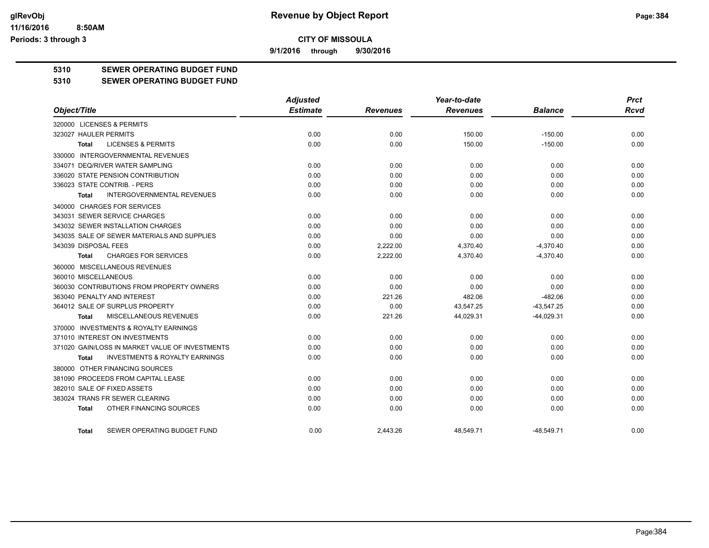**CITY OF MISSOULA**

**9/1/2016 through 9/30/2016**

# **5310 SEWER OPERATING BUDGET FUND**

### **5310 SEWER OPERATING BUDGET FUND**

|                                                    | <b>Adjusted</b> |                 | Year-to-date    |                | <b>Prct</b> |
|----------------------------------------------------|-----------------|-----------------|-----------------|----------------|-------------|
| Object/Title                                       | <b>Estimate</b> | <b>Revenues</b> | <b>Revenues</b> | <b>Balance</b> | Rcvd        |
| 320000 LICENSES & PERMITS                          |                 |                 |                 |                |             |
| 323027 HAULER PERMITS                              | 0.00            | 0.00            | 150.00          | $-150.00$      | 0.00        |
| <b>LICENSES &amp; PERMITS</b><br>Total             | 0.00            | 0.00            | 150.00          | $-150.00$      | 0.00        |
| 330000 INTERGOVERNMENTAL REVENUES                  |                 |                 |                 |                |             |
| 334071 DEQ/RIVER WATER SAMPLING                    | 0.00            | 0.00            | 0.00            | 0.00           | 0.00        |
| 336020 STATE PENSION CONTRIBUTION                  | 0.00            | 0.00            | 0.00            | 0.00           | 0.00        |
| 336023 STATE CONTRIB. - PERS                       | 0.00            | 0.00            | 0.00            | 0.00           | 0.00        |
| <b>INTERGOVERNMENTAL REVENUES</b><br><b>Total</b>  | 0.00            | 0.00            | 0.00            | 0.00           | 0.00        |
| 340000 CHARGES FOR SERVICES                        |                 |                 |                 |                |             |
| 343031 SEWER SERVICE CHARGES                       | 0.00            | 0.00            | 0.00            | 0.00           | 0.00        |
| 343032 SEWER INSTALLATION CHARGES                  | 0.00            | 0.00            | 0.00            | 0.00           | 0.00        |
| 343035 SALE OF SEWER MATERIALS AND SUPPLIES        | 0.00            | 0.00            | 0.00            | 0.00           | 0.00        |
| 343039 DISPOSAL FEES                               | 0.00            | 2,222.00        | 4,370.40        | $-4,370.40$    | 0.00        |
| <b>CHARGES FOR SERVICES</b><br><b>Total</b>        | 0.00            | 2,222.00        | 4,370.40        | $-4,370.40$    | 0.00        |
| 360000 MISCELLANEOUS REVENUES                      |                 |                 |                 |                |             |
| 360010 MISCELLANEOUS                               | 0.00            | 0.00            | 0.00            | 0.00           | 0.00        |
| 360030 CONTRIBUTIONS FROM PROPERTY OWNERS          | 0.00            | 0.00            | 0.00            | 0.00           | 0.00        |
| 363040 PENALTY AND INTEREST                        | 0.00            | 221.26          | 482.06          | $-482.06$      | 0.00        |
| 364012 SALE OF SURPLUS PROPERTY                    | 0.00            | 0.00            | 43,547.25       | $-43,547.25$   | 0.00        |
| MISCELLANEOUS REVENUES<br><b>Total</b>             | 0.00            | 221.26          | 44,029.31       | $-44,029.31$   | 0.00        |
| 370000 INVESTMENTS & ROYALTY EARNINGS              |                 |                 |                 |                |             |
| 371010 INTEREST ON INVESTMENTS                     | 0.00            | 0.00            | 0.00            | 0.00           | 0.00        |
| 371020 GAIN/LOSS IN MARKET VALUE OF INVESTMENTS    | 0.00            | 0.00            | 0.00            | 0.00           | 0.00        |
| <b>INVESTMENTS &amp; ROYALTY EARNINGS</b><br>Total | 0.00            | 0.00            | 0.00            | 0.00           | 0.00        |
| 380000 OTHER FINANCING SOURCES                     |                 |                 |                 |                |             |
| 381090 PROCEEDS FROM CAPITAL LEASE                 | 0.00            | 0.00            | 0.00            | 0.00           | 0.00        |
| 382010 SALE OF FIXED ASSETS                        | 0.00            | 0.00            | 0.00            | 0.00           | 0.00        |
| 383024 TRANS FR SEWER CLEARING                     | 0.00            | 0.00            | 0.00            | 0.00           | 0.00        |
| OTHER FINANCING SOURCES<br><b>Total</b>            | 0.00            | 0.00            | 0.00            | 0.00           | 0.00        |
| SEWER OPERATING BUDGET FUND<br>Total               | 0.00            | 2.443.26        | 48.549.71       | -48.549.71     | 0.00        |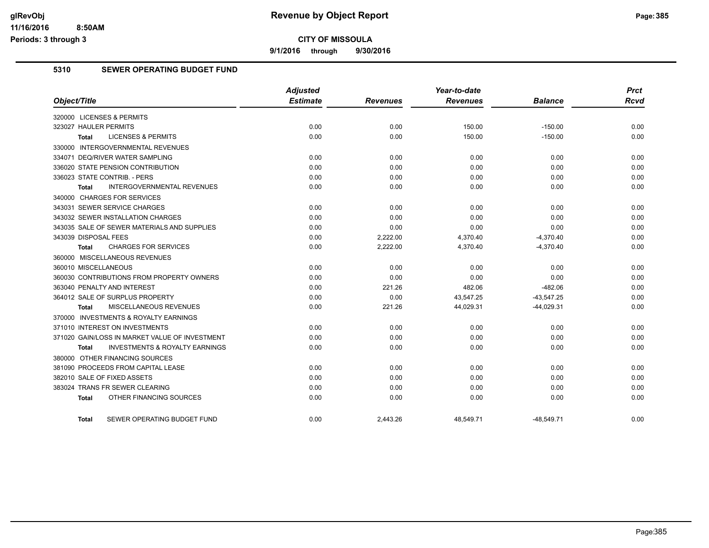**8:50AM**

**CITY OF MISSOULA**

**9/1/2016 through 9/30/2016**

### **5310 SEWER OPERATING BUDGET FUND**

| Object/Title                                              | <b>Adjusted</b><br><b>Estimate</b> |                 | Year-to-date<br><b>Revenues</b> | <b>Balance</b> | <b>Prct</b><br><b>Rcvd</b> |
|-----------------------------------------------------------|------------------------------------|-----------------|---------------------------------|----------------|----------------------------|
|                                                           |                                    | <b>Revenues</b> |                                 |                |                            |
| 320000 LICENSES & PERMITS                                 |                                    |                 |                                 |                |                            |
| 323027 HAULER PERMITS                                     | 0.00                               | 0.00            | 150.00                          | $-150.00$      | 0.00                       |
| <b>LICENSES &amp; PERMITS</b><br>Total                    | 0.00                               | 0.00            | 150.00                          | $-150.00$      | 0.00                       |
| 330000 INTERGOVERNMENTAL REVENUES                         |                                    |                 |                                 |                |                            |
| 334071 DEQ/RIVER WATER SAMPLING                           | 0.00                               | 0.00            | 0.00                            | 0.00           | 0.00                       |
| 336020 STATE PENSION CONTRIBUTION                         | 0.00                               | 0.00            | 0.00                            | 0.00           | 0.00                       |
| 336023 STATE CONTRIB. - PERS                              | 0.00                               | 0.00            | 0.00                            | 0.00           | 0.00                       |
| <b>Total</b><br><b>INTERGOVERNMENTAL REVENUES</b>         | 0.00                               | 0.00            | 0.00                            | 0.00           | 0.00                       |
| 340000 CHARGES FOR SERVICES                               |                                    |                 |                                 |                |                            |
| 343031 SEWER SERVICE CHARGES                              | 0.00                               | 0.00            | 0.00                            | 0.00           | 0.00                       |
| 343032 SEWER INSTALLATION CHARGES                         | 0.00                               | 0.00            | 0.00                            | 0.00           | 0.00                       |
| 343035 SALE OF SEWER MATERIALS AND SUPPLIES               | 0.00                               | 0.00            | 0.00                            | 0.00           | 0.00                       |
| 343039 DISPOSAL FEES                                      | 0.00                               | 2,222.00        | 4,370.40                        | $-4,370.40$    | 0.00                       |
| <b>CHARGES FOR SERVICES</b><br><b>Total</b>               | 0.00                               | 2,222.00        | 4,370.40                        | $-4,370.40$    | 0.00                       |
| 360000 MISCELLANEOUS REVENUES                             |                                    |                 |                                 |                |                            |
| 360010 MISCELLANEOUS                                      | 0.00                               | 0.00            | 0.00                            | 0.00           | 0.00                       |
| 360030 CONTRIBUTIONS FROM PROPERTY OWNERS                 | 0.00                               | 0.00            | 0.00                            | 0.00           | 0.00                       |
| 363040 PENALTY AND INTEREST                               | 0.00                               | 221.26          | 482.06                          | $-482.06$      | 0.00                       |
| 364012 SALE OF SURPLUS PROPERTY                           | 0.00                               | 0.00            | 43,547.25                       | $-43,547.25$   | 0.00                       |
| MISCELLANEOUS REVENUES<br>Total                           | 0.00                               | 221.26          | 44,029.31                       | $-44,029.31$   | 0.00                       |
| 370000 INVESTMENTS & ROYALTY EARNINGS                     |                                    |                 |                                 |                |                            |
| 371010 INTEREST ON INVESTMENTS                            | 0.00                               | 0.00            | 0.00                            | 0.00           | 0.00                       |
| 371020 GAIN/LOSS IN MARKET VALUE OF INVESTMENT            | 0.00                               | 0.00            | 0.00                            | 0.00           | 0.00                       |
| <b>INVESTMENTS &amp; ROYALTY EARNINGS</b><br><b>Total</b> | 0.00                               | 0.00            | 0.00                            | 0.00           | 0.00                       |
| 380000 OTHER FINANCING SOURCES                            |                                    |                 |                                 |                |                            |
| 381090 PROCEEDS FROM CAPITAL LEASE                        | 0.00                               | 0.00            | 0.00                            | 0.00           | 0.00                       |
| 382010 SALE OF FIXED ASSETS                               | 0.00                               | 0.00            | 0.00                            | 0.00           | 0.00                       |
| 383024 TRANS FR SEWER CLEARING                            | 0.00                               | 0.00            | 0.00                            | 0.00           | 0.00                       |
| OTHER FINANCING SOURCES<br><b>Total</b>                   | 0.00                               | 0.00            | 0.00                            | 0.00           | 0.00                       |
|                                                           |                                    |                 |                                 |                |                            |
| SEWER OPERATING BUDGET FUND<br><b>Total</b>               | 0.00                               | 2.443.26        | 48.549.71                       | $-48.549.71$   | 0.00                       |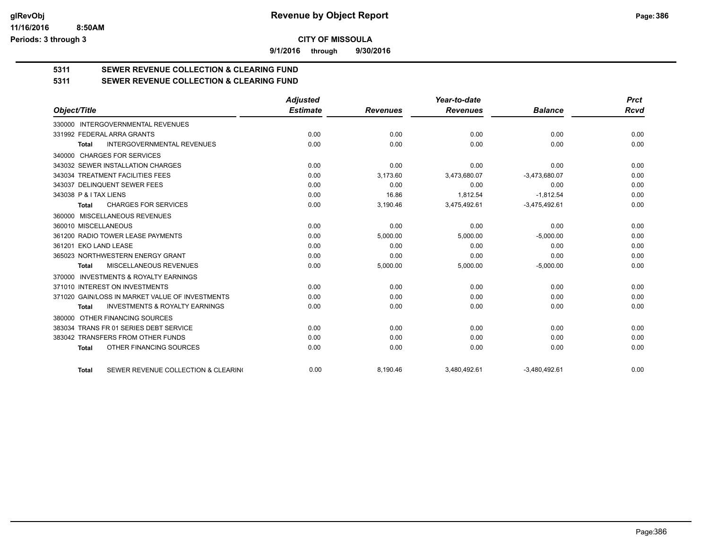**9/1/2016 through 9/30/2016**

# **5311 SEWER REVENUE COLLECTION & CLEARING FUND**

| 5311 | <b>SEWER REVENUE COLLECTION &amp; CLEARING FUND</b> |  |
|------|-----------------------------------------------------|--|
|      |                                                     |  |

|                                                           | <b>Adjusted</b> |                 | Year-to-date    |                 | <b>Prct</b> |
|-----------------------------------------------------------|-----------------|-----------------|-----------------|-----------------|-------------|
| Object/Title                                              | <b>Estimate</b> | <b>Revenues</b> | <b>Revenues</b> | <b>Balance</b>  | <b>Rcvd</b> |
| 330000 INTERGOVERNMENTAL REVENUES                         |                 |                 |                 |                 |             |
| 331992 FEDERAL ARRA GRANTS                                | 0.00            | 0.00            | 0.00            | 0.00            | 0.00        |
| <b>INTERGOVERNMENTAL REVENUES</b><br><b>Total</b>         | 0.00            | 0.00            | 0.00            | 0.00            | 0.00        |
| 340000 CHARGES FOR SERVICES                               |                 |                 |                 |                 |             |
| 343032 SEWER INSTALLATION CHARGES                         | 0.00            | 0.00            | 0.00            | 0.00            | 0.00        |
| 343034 TREATMENT FACILITIES FEES                          | 0.00            | 3,173.60        | 3,473,680.07    | $-3,473,680.07$ | 0.00        |
| 343037 DELINQUENT SEWER FEES                              | 0.00            | 0.00            | 0.00            | 0.00            | 0.00        |
| 343038 P & I TAX LIENS                                    | 0.00            | 16.86           | 1,812.54        | $-1,812.54$     | 0.00        |
| <b>CHARGES FOR SERVICES</b><br>Total                      | 0.00            | 3,190.46        | 3,475,492.61    | $-3,475,492.61$ | 0.00        |
| 360000 MISCELLANEOUS REVENUES                             |                 |                 |                 |                 |             |
| 360010 MISCELLANEOUS                                      | 0.00            | 0.00            | 0.00            | 0.00            | 0.00        |
| 361200 RADIO TOWER LEASE PAYMENTS                         | 0.00            | 5,000.00        | 5,000.00        | $-5,000.00$     | 0.00        |
| 361201 EKO LAND LEASE                                     | 0.00            | 0.00            | 0.00            | 0.00            | 0.00        |
| 365023 NORTHWESTERN ENERGY GRANT                          | 0.00            | 0.00            | 0.00            | 0.00            | 0.00        |
| MISCELLANEOUS REVENUES<br><b>Total</b>                    | 0.00            | 5,000.00        | 5,000.00        | $-5,000.00$     | 0.00        |
| <b>INVESTMENTS &amp; ROYALTY EARNINGS</b><br>370000       |                 |                 |                 |                 |             |
| 371010 INTEREST ON INVESTMENTS                            | 0.00            | 0.00            | 0.00            | 0.00            | 0.00        |
| 371020 GAIN/LOSS IN MARKET VALUE OF INVESTMENTS           | 0.00            | 0.00            | 0.00            | 0.00            | 0.00        |
| <b>INVESTMENTS &amp; ROYALTY EARNINGS</b><br><b>Total</b> | 0.00            | 0.00            | 0.00            | 0.00            | 0.00        |
| OTHER FINANCING SOURCES<br>380000                         |                 |                 |                 |                 |             |
| 383034 TRANS FR 01 SERIES DEBT SERVICE                    | 0.00            | 0.00            | 0.00            | 0.00            | 0.00        |
| 383042 TRANSFERS FROM OTHER FUNDS                         | 0.00            | 0.00            | 0.00            | 0.00            | 0.00        |
| OTHER FINANCING SOURCES<br><b>Total</b>                   | 0.00            | 0.00            | 0.00            | 0.00            | 0.00        |
| SEWER REVENUE COLLECTION & CLEARING<br>Total              | 0.00            | 8,190.46        | 3,480,492.61    | $-3,480,492.61$ | 0.00        |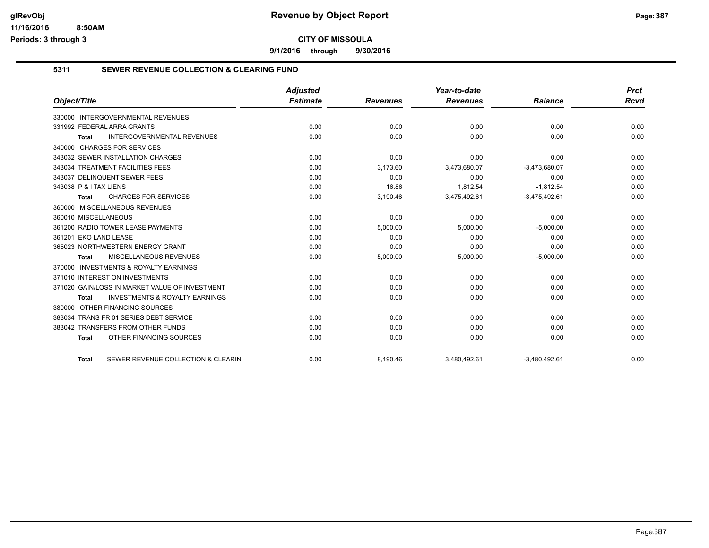**CITY OF MISSOULA**

**9/1/2016 through 9/30/2016**

## **5311 SEWER REVENUE COLLECTION & CLEARING FUND**

|                                                           | <b>Adjusted</b> |                 | Year-to-date    |                 | <b>Prct</b> |
|-----------------------------------------------------------|-----------------|-----------------|-----------------|-----------------|-------------|
| Object/Title                                              | <b>Estimate</b> | <b>Revenues</b> | <b>Revenues</b> | <b>Balance</b>  | <b>Rcvd</b> |
| <b>INTERGOVERNMENTAL REVENUES</b><br>330000               |                 |                 |                 |                 |             |
| 331992 FEDERAL ARRA GRANTS                                | 0.00            | 0.00            | 0.00            | 0.00            | 0.00        |
| <b>INTERGOVERNMENTAL REVENUES</b><br><b>Total</b>         | 0.00            | 0.00            | 0.00            | 0.00            | 0.00        |
| 340000 CHARGES FOR SERVICES                               |                 |                 |                 |                 |             |
| 343032 SEWER INSTALLATION CHARGES                         | 0.00            | 0.00            | 0.00            | 0.00            | 0.00        |
| 343034 TREATMENT FACILITIES FEES                          | 0.00            | 3,173.60        | 3,473,680.07    | $-3,473,680.07$ | 0.00        |
| 343037 DELINQUENT SEWER FEES                              | 0.00            | 0.00            | 0.00            | 0.00            | 0.00        |
| 343038 P & I TAX LIENS                                    | 0.00            | 16.86           | 1.812.54        | $-1.812.54$     | 0.00        |
| <b>CHARGES FOR SERVICES</b><br><b>Total</b>               | 0.00            | 3,190.46        | 3,475,492.61    | $-3,475,492.61$ | 0.00        |
| 360000 MISCELLANEOUS REVENUES                             |                 |                 |                 |                 |             |
| 360010 MISCELLANEOUS                                      | 0.00            | 0.00            | 0.00            | 0.00            | 0.00        |
| 361200 RADIO TOWER LEASE PAYMENTS                         | 0.00            | 5,000.00        | 5,000.00        | $-5,000.00$     | 0.00        |
| 361201 EKO LAND LEASE                                     | 0.00            | 0.00            | 0.00            | 0.00            | 0.00        |
| 365023 NORTHWESTERN ENERGY GRANT                          | 0.00            | 0.00            | 0.00            | 0.00            | 0.00        |
| MISCELLANEOUS REVENUES<br><b>Total</b>                    | 0.00            | 5,000.00        | 5,000.00        | $-5,000.00$     | 0.00        |
| 370000 INVESTMENTS & ROYALTY EARNINGS                     |                 |                 |                 |                 |             |
| 371010 INTEREST ON INVESTMENTS                            | 0.00            | 0.00            | 0.00            | 0.00            | 0.00        |
| 371020 GAIN/LOSS IN MARKET VALUE OF INVESTMENT            | 0.00            | 0.00            | 0.00            | 0.00            | 0.00        |
| <b>INVESTMENTS &amp; ROYALTY EARNINGS</b><br><b>Total</b> | 0.00            | 0.00            | 0.00            | 0.00            | 0.00        |
| OTHER FINANCING SOURCES<br>380000                         |                 |                 |                 |                 |             |
| 383034 TRANS FR 01 SERIES DEBT SERVICE                    | 0.00            | 0.00            | 0.00            | 0.00            | 0.00        |
| 383042 TRANSFERS FROM OTHER FUNDS                         | 0.00            | 0.00            | 0.00            | 0.00            | 0.00        |
| OTHER FINANCING SOURCES<br><b>Total</b>                   | 0.00            | 0.00            | 0.00            | 0.00            | 0.00        |
| SEWER REVENUE COLLECTION & CLEARIN<br><b>Total</b>        | 0.00            | 8,190.46        | 3,480,492.61    | $-3,480,492.61$ | 0.00        |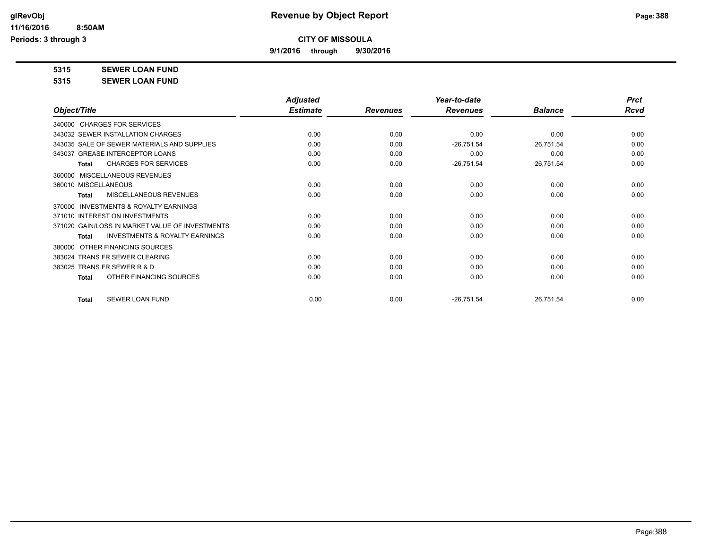**9/1/2016 through 9/30/2016**

**5315 SEWER LOAN FUND**

**5315 SEWER LOAN FUND**

|                                                           | <b>Adjusted</b> |                 | Year-to-date    |                | <b>Prct</b> |
|-----------------------------------------------------------|-----------------|-----------------|-----------------|----------------|-------------|
| Object/Title                                              | <b>Estimate</b> | <b>Revenues</b> | <b>Revenues</b> | <b>Balance</b> | <b>Rcvd</b> |
| <b>CHARGES FOR SERVICES</b><br>340000                     |                 |                 |                 |                |             |
| 343032 SEWER INSTALLATION CHARGES                         | 0.00            | 0.00            | 0.00            | 0.00           | 0.00        |
| 343035 SALE OF SEWER MATERIALS AND SUPPLIES               | 0.00            | 0.00            | $-26,751.54$    | 26,751.54      | 0.00        |
| 343037 GREASE INTERCEPTOR LOANS                           | 0.00            | 0.00            | 0.00            | 0.00           | 0.00        |
| <b>CHARGES FOR SERVICES</b><br><b>Total</b>               | 0.00            | 0.00            | $-26,751.54$    | 26,751.54      | 0.00        |
| MISCELLANEOUS REVENUES<br>360000                          |                 |                 |                 |                |             |
| 360010 MISCELLANEOUS                                      | 0.00            | 0.00            | 0.00            | 0.00           | 0.00        |
| MISCELLANEOUS REVENUES<br><b>Total</b>                    | 0.00            | 0.00            | 0.00            | 0.00           | 0.00        |
| <b>INVESTMENTS &amp; ROYALTY EARNINGS</b><br>370000       |                 |                 |                 |                |             |
| 371010 INTEREST ON INVESTMENTS                            | 0.00            | 0.00            | 0.00            | 0.00           | 0.00        |
| 371020 GAIN/LOSS IN MARKET VALUE OF INVESTMENTS           | 0.00            | 0.00            | 0.00            | 0.00           | 0.00        |
| <b>INVESTMENTS &amp; ROYALTY EARNINGS</b><br><b>Total</b> | 0.00            | 0.00            | 0.00            | 0.00           | 0.00        |
| OTHER FINANCING SOURCES<br>380000                         |                 |                 |                 |                |             |
| 383024 TRANS FR SEWER CLEARING                            | 0.00            | 0.00            | 0.00            | 0.00           | 0.00        |
| 383025 TRANS FR SEWER R & D                               | 0.00            | 0.00            | 0.00            | 0.00           | 0.00        |
| OTHER FINANCING SOURCES<br>Total                          | 0.00            | 0.00            | 0.00            | 0.00           | 0.00        |
| <b>SEWER LOAN FUND</b><br><b>Total</b>                    | 0.00            | 0.00            | $-26,751.54$    | 26,751.54      | 0.00        |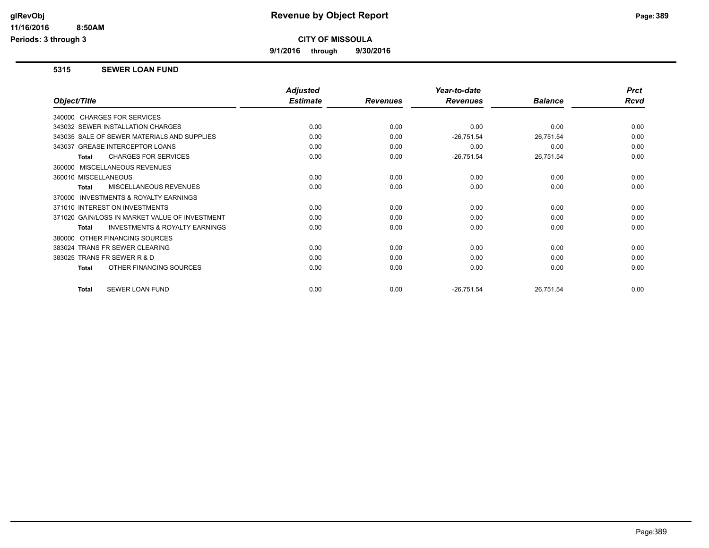**CITY OF MISSOULA**

**9/1/2016 through 9/30/2016**

#### **5315 SEWER LOAN FUND**

 **8:50AM**

|                                                           | <b>Adjusted</b> |                 | Year-to-date    |                | <b>Prct</b> |
|-----------------------------------------------------------|-----------------|-----------------|-----------------|----------------|-------------|
| Object/Title                                              | <b>Estimate</b> | <b>Revenues</b> | <b>Revenues</b> | <b>Balance</b> | <b>Rcvd</b> |
| 340000 CHARGES FOR SERVICES                               |                 |                 |                 |                |             |
| 343032 SEWER INSTALLATION CHARGES                         | 0.00            | 0.00            | 0.00            | 0.00           | 0.00        |
| 343035 SALE OF SEWER MATERIALS AND SUPPLIES               | 0.00            | 0.00            | $-26,751.54$    | 26,751.54      | 0.00        |
| 343037 GREASE INTERCEPTOR LOANS                           | 0.00            | 0.00            | 0.00            | 0.00           | 0.00        |
| <b>CHARGES FOR SERVICES</b><br><b>Total</b>               | 0.00            | 0.00            | $-26,751.54$    | 26,751.54      | 0.00        |
| 360000 MISCELLANEOUS REVENUES                             |                 |                 |                 |                |             |
| 360010 MISCELLANEOUS                                      | 0.00            | 0.00            | 0.00            | 0.00           | 0.00        |
| <b>MISCELLANEOUS REVENUES</b><br><b>Total</b>             | 0.00            | 0.00            | 0.00            | 0.00           | 0.00        |
| <b>INVESTMENTS &amp; ROYALTY EARNINGS</b><br>370000       |                 |                 |                 |                |             |
| 371010 INTEREST ON INVESTMENTS                            | 0.00            | 0.00            | 0.00            | 0.00           | 0.00        |
| 371020 GAIN/LOSS IN MARKET VALUE OF INVESTMENT            | 0.00            | 0.00            | 0.00            | 0.00           | 0.00        |
| <b>INVESTMENTS &amp; ROYALTY EARNINGS</b><br><b>Total</b> | 0.00            | 0.00            | 0.00            | 0.00           | 0.00        |
| OTHER FINANCING SOURCES<br>380000                         |                 |                 |                 |                |             |
| 383024 TRANS FR SEWER CLEARING                            | 0.00            | 0.00            | 0.00            | 0.00           | 0.00        |
| 383025 TRANS FR SEWER R & D                               | 0.00            | 0.00            | 0.00            | 0.00           | 0.00        |
| OTHER FINANCING SOURCES<br><b>Total</b>                   | 0.00            | 0.00            | 0.00            | 0.00           | 0.00        |
| SEWER LOAN FUND<br><b>Total</b>                           | 0.00            | 0.00            | $-26,751.54$    | 26,751.54      | 0.00        |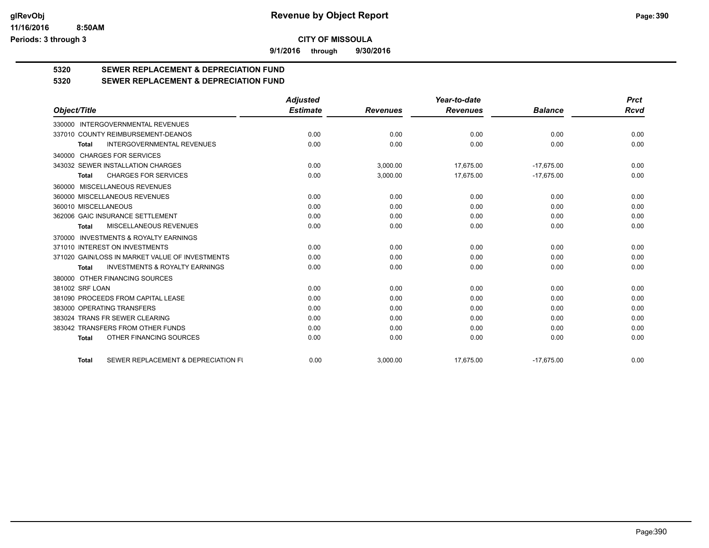**CITY OF MISSOULA**

**9/1/2016 through 9/30/2016**

# **5320 SEWER REPLACEMENT & DEPRECIATION FUND**

# **5320 SEWER REPLACEMENT & DEPRECIATION FUND**

|                                                     | <b>Adjusted</b> |                 | Year-to-date    |                | <b>Prct</b> |
|-----------------------------------------------------|-----------------|-----------------|-----------------|----------------|-------------|
| Object/Title                                        | <b>Estimate</b> | <b>Revenues</b> | <b>Revenues</b> | <b>Balance</b> | <b>Rcvd</b> |
| 330000 INTERGOVERNMENTAL REVENUES                   |                 |                 |                 |                |             |
| 337010 COUNTY REIMBURSEMENT-DEANOS                  | 0.00            | 0.00            | 0.00            | 0.00           | 0.00        |
| <b>INTERGOVERNMENTAL REVENUES</b><br>Total          | 0.00            | 0.00            | 0.00            | 0.00           | 0.00        |
| 340000 CHARGES FOR SERVICES                         |                 |                 |                 |                |             |
| 343032 SEWER INSTALLATION CHARGES                   | 0.00            | 3,000.00        | 17.675.00       | $-17.675.00$   | 0.00        |
| <b>CHARGES FOR SERVICES</b><br>Total                | 0.00            | 3,000.00        | 17,675.00       | $-17,675.00$   | 0.00        |
| 360000 MISCELLANEOUS REVENUES                       |                 |                 |                 |                |             |
| 360000 MISCELLANEOUS REVENUES                       | 0.00            | 0.00            | 0.00            | 0.00           | 0.00        |
| 360010 MISCELLANEOUS                                | 0.00            | 0.00            | 0.00            | 0.00           | 0.00        |
| 362006 GAIC INSURANCE SETTLEMENT                    | 0.00            | 0.00            | 0.00            | 0.00           | 0.00        |
| MISCELLANEOUS REVENUES<br>Total                     | 0.00            | 0.00            | 0.00            | 0.00           | 0.00        |
| 370000 INVESTMENTS & ROYALTY EARNINGS               |                 |                 |                 |                |             |
| 371010 INTEREST ON INVESTMENTS                      | 0.00            | 0.00            | 0.00            | 0.00           | 0.00        |
| 371020 GAIN/LOSS IN MARKET VALUE OF INVESTMENTS     | 0.00            | 0.00            | 0.00            | 0.00           | 0.00        |
| <b>INVESTMENTS &amp; ROYALTY EARNINGS</b><br>Total  | 0.00            | 0.00            | 0.00            | 0.00           | 0.00        |
| 380000 OTHER FINANCING SOURCES                      |                 |                 |                 |                |             |
| 381002 SRF LOAN                                     | 0.00            | 0.00            | 0.00            | 0.00           | 0.00        |
| 381090 PROCEEDS FROM CAPITAL LEASE                  | 0.00            | 0.00            | 0.00            | 0.00           | 0.00        |
| 383000 OPERATING TRANSFERS                          | 0.00            | 0.00            | 0.00            | 0.00           | 0.00        |
| 383024 TRANS FR SEWER CLEARING                      | 0.00            | 0.00            | 0.00            | 0.00           | 0.00        |
| 383042 TRANSFERS FROM OTHER FUNDS                   | 0.00            | 0.00            | 0.00            | 0.00           | 0.00        |
| OTHER FINANCING SOURCES<br>Total                    | 0.00            | 0.00            | 0.00            | 0.00           | 0.00        |
| SEWER REPLACEMENT & DEPRECIATION FU<br><b>Total</b> | 0.00            | 3,000.00        | 17,675.00       | $-17,675.00$   | 0.00        |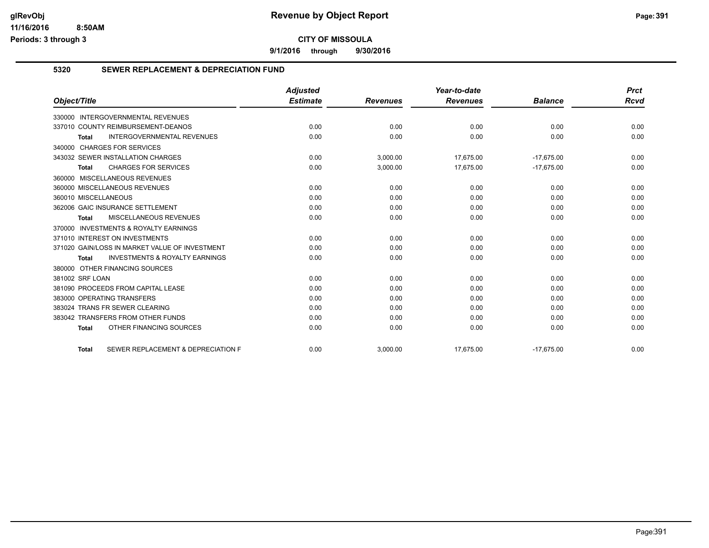#### **CITY OF MISSOULA**

**9/1/2016 through 9/30/2016**

## **5320 SEWER REPLACEMENT & DEPRECIATION FUND**

|                                                           | <b>Adjusted</b> |                 | Year-to-date    |                | <b>Prct</b> |
|-----------------------------------------------------------|-----------------|-----------------|-----------------|----------------|-------------|
| Object/Title                                              | <b>Estimate</b> | <b>Revenues</b> | <b>Revenues</b> | <b>Balance</b> | <b>Rcvd</b> |
| 330000 INTERGOVERNMENTAL REVENUES                         |                 |                 |                 |                |             |
| 337010 COUNTY REIMBURSEMENT-DEANOS                        | 0.00            | 0.00            | 0.00            | 0.00           | 0.00        |
| <b>INTERGOVERNMENTAL REVENUES</b><br><b>Total</b>         | 0.00            | 0.00            | 0.00            | 0.00           | 0.00        |
| 340000 CHARGES FOR SERVICES                               |                 |                 |                 |                |             |
| 343032 SEWER INSTALLATION CHARGES                         | 0.00            | 3,000.00        | 17,675.00       | $-17,675.00$   | 0.00        |
| <b>CHARGES FOR SERVICES</b><br><b>Total</b>               | 0.00            | 3,000.00        | 17,675.00       | $-17,675.00$   | 0.00        |
| 360000 MISCELLANEOUS REVENUES                             |                 |                 |                 |                |             |
| 360000 MISCELLANEOUS REVENUES                             | 0.00            | 0.00            | 0.00            | 0.00           | 0.00        |
| 360010 MISCELLANEOUS                                      | 0.00            | 0.00            | 0.00            | 0.00           | 0.00        |
| 362006 GAIC INSURANCE SETTLEMENT                          | 0.00            | 0.00            | 0.00            | 0.00           | 0.00        |
| <b>MISCELLANEOUS REVENUES</b><br>Total                    | 0.00            | 0.00            | 0.00            | 0.00           | 0.00        |
| <b>INVESTMENTS &amp; ROYALTY EARNINGS</b><br>370000       |                 |                 |                 |                |             |
| 371010 INTEREST ON INVESTMENTS                            | 0.00            | 0.00            | 0.00            | 0.00           | 0.00        |
| 371020 GAIN/LOSS IN MARKET VALUE OF INVESTMENT            | 0.00            | 0.00            | 0.00            | 0.00           | 0.00        |
| <b>INVESTMENTS &amp; ROYALTY EARNINGS</b><br><b>Total</b> | 0.00            | 0.00            | 0.00            | 0.00           | 0.00        |
| 380000 OTHER FINANCING SOURCES                            |                 |                 |                 |                |             |
| 381002 SRF LOAN                                           | 0.00            | 0.00            | 0.00            | 0.00           | 0.00        |
| 381090 PROCEEDS FROM CAPITAL LEASE                        | 0.00            | 0.00            | 0.00            | 0.00           | 0.00        |
| 383000 OPERATING TRANSFERS                                | 0.00            | 0.00            | 0.00            | 0.00           | 0.00        |
| 383024 TRANS FR SEWER CLEARING                            | 0.00            | 0.00            | 0.00            | 0.00           | 0.00        |
| 383042 TRANSFERS FROM OTHER FUNDS                         | 0.00            | 0.00            | 0.00            | 0.00           | 0.00        |
| OTHER FINANCING SOURCES<br><b>Total</b>                   | 0.00            | 0.00            | 0.00            | 0.00           | 0.00        |
| SEWER REPLACEMENT & DEPRECIATION F<br><b>Total</b>        | 0.00            | 3.000.00        | 17.675.00       | $-17.675.00$   | 0.00        |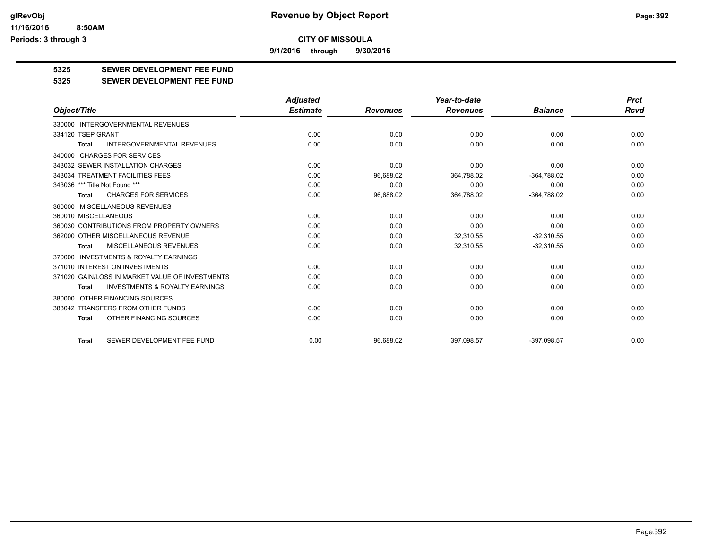**9/1/2016 through 9/30/2016**

**5325 SEWER DEVELOPMENT FEE FUND**

**5325 SEWER DEVELOPMENT FEE FUND**

|                                                           | <b>Adjusted</b> |                 | Year-to-date    |                | <b>Prct</b> |
|-----------------------------------------------------------|-----------------|-----------------|-----------------|----------------|-------------|
| Object/Title                                              | <b>Estimate</b> | <b>Revenues</b> | <b>Revenues</b> | <b>Balance</b> | Rcvd        |
| 330000 INTERGOVERNMENTAL REVENUES                         |                 |                 |                 |                |             |
| 334120 TSEP GRANT                                         | 0.00            | 0.00            | 0.00            | 0.00           | 0.00        |
| <b>INTERGOVERNMENTAL REVENUES</b><br><b>Total</b>         | 0.00            | 0.00            | 0.00            | 0.00           | 0.00        |
| 340000 CHARGES FOR SERVICES                               |                 |                 |                 |                |             |
| 343032 SEWER INSTALLATION CHARGES                         | 0.00            | 0.00            | 0.00            | 0.00           | 0.00        |
| 343034 TREATMENT FACILITIES FEES                          | 0.00            | 96,688.02       | 364,788.02      | $-364,788.02$  | 0.00        |
| 343036 *** Title Not Found ***                            | 0.00            | 0.00            | 0.00            | 0.00           | 0.00        |
| <b>CHARGES FOR SERVICES</b><br><b>Total</b>               | 0.00            | 96,688.02       | 364,788.02      | $-364,788.02$  | 0.00        |
| 360000 MISCELLANEOUS REVENUES                             |                 |                 |                 |                |             |
| 360010 MISCELLANEOUS                                      | 0.00            | 0.00            | 0.00            | 0.00           | 0.00        |
| 360030 CONTRIBUTIONS FROM PROPERTY OWNERS                 | 0.00            | 0.00            | 0.00            | 0.00           | 0.00        |
| 362000 OTHER MISCELLANEOUS REVENUE                        | 0.00            | 0.00            | 32,310.55       | $-32,310.55$   | 0.00        |
| MISCELLANEOUS REVENUES<br>Total                           | 0.00            | 0.00            | 32,310.55       | $-32,310.55$   | 0.00        |
| <b>INVESTMENTS &amp; ROYALTY EARNINGS</b><br>370000       |                 |                 |                 |                |             |
| 371010 INTEREST ON INVESTMENTS                            | 0.00            | 0.00            | 0.00            | 0.00           | 0.00        |
| 371020 GAIN/LOSS IN MARKET VALUE OF INVESTMENTS           | 0.00            | 0.00            | 0.00            | 0.00           | 0.00        |
| <b>INVESTMENTS &amp; ROYALTY EARNINGS</b><br><b>Total</b> | 0.00            | 0.00            | 0.00            | 0.00           | 0.00        |
| 380000 OTHER FINANCING SOURCES                            |                 |                 |                 |                |             |
| 383042 TRANSFERS FROM OTHER FUNDS                         | 0.00            | 0.00            | 0.00            | 0.00           | 0.00        |
| OTHER FINANCING SOURCES<br>Total                          | 0.00            | 0.00            | 0.00            | 0.00           | 0.00        |
| SEWER DEVELOPMENT FEE FUND<br><b>Total</b>                | 0.00            | 96,688.02       | 397.098.57      | -397.098.57    | 0.00        |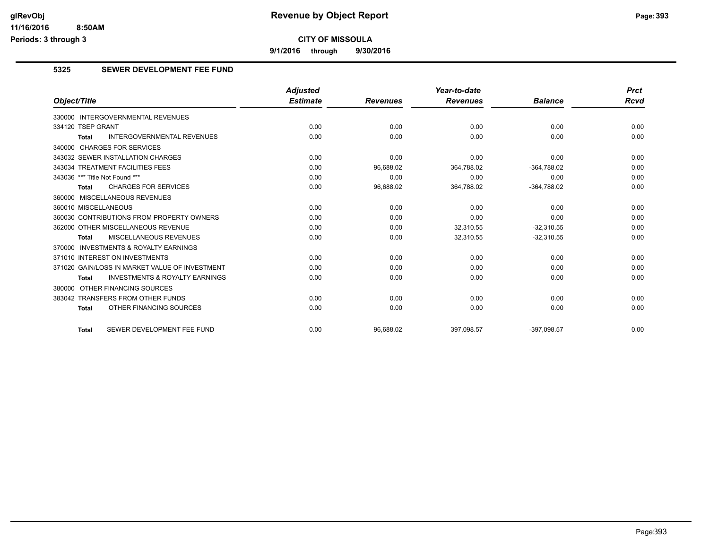**8:50AM**

**CITY OF MISSOULA**

**9/1/2016 through 9/30/2016**

# **5325 SEWER DEVELOPMENT FEE FUND**

|                                                           | <b>Adjusted</b> |                 | Year-to-date    |                | <b>Prct</b> |
|-----------------------------------------------------------|-----------------|-----------------|-----------------|----------------|-------------|
| Object/Title                                              | <b>Estimate</b> | <b>Revenues</b> | <b>Revenues</b> | <b>Balance</b> | Rcvd        |
| 330000 INTERGOVERNMENTAL REVENUES                         |                 |                 |                 |                |             |
| 334120 TSEP GRANT                                         | 0.00            | 0.00            | 0.00            | 0.00           | 0.00        |
| <b>INTERGOVERNMENTAL REVENUES</b><br><b>Total</b>         | 0.00            | 0.00            | 0.00            | 0.00           | 0.00        |
| 340000 CHARGES FOR SERVICES                               |                 |                 |                 |                |             |
| 343032 SEWER INSTALLATION CHARGES                         | 0.00            | 0.00            | 0.00            | 0.00           | 0.00        |
| 343034 TREATMENT FACILITIES FEES                          | 0.00            | 96,688.02       | 364,788.02      | $-364,788.02$  | 0.00        |
| 343036 *** Title Not Found ***                            | 0.00            | 0.00            | 0.00            | 0.00           | 0.00        |
| <b>CHARGES FOR SERVICES</b><br><b>Total</b>               | 0.00            | 96,688.02       | 364,788.02      | $-364,788.02$  | 0.00        |
| 360000 MISCELLANEOUS REVENUES                             |                 |                 |                 |                |             |
| 360010 MISCELLANEOUS                                      | 0.00            | 0.00            | 0.00            | 0.00           | 0.00        |
| 360030 CONTRIBUTIONS FROM PROPERTY OWNERS                 | 0.00            | 0.00            | 0.00            | 0.00           | 0.00        |
| 362000 OTHER MISCELLANEOUS REVENUE                        | 0.00            | 0.00            | 32.310.55       | $-32,310.55$   | 0.00        |
| <b>MISCELLANEOUS REVENUES</b><br><b>Total</b>             | 0.00            | 0.00            | 32,310.55       | $-32,310.55$   | 0.00        |
| 370000 INVESTMENTS & ROYALTY EARNINGS                     |                 |                 |                 |                |             |
| 371010 INTEREST ON INVESTMENTS                            | 0.00            | 0.00            | 0.00            | 0.00           | 0.00        |
| 371020 GAIN/LOSS IN MARKET VALUE OF INVESTMENT            | 0.00            | 0.00            | 0.00            | 0.00           | 0.00        |
| <b>INVESTMENTS &amp; ROYALTY EARNINGS</b><br><b>Total</b> | 0.00            | 0.00            | 0.00            | 0.00           | 0.00        |
| 380000 OTHER FINANCING SOURCES                            |                 |                 |                 |                |             |
| 383042 TRANSFERS FROM OTHER FUNDS                         | 0.00            | 0.00            | 0.00            | 0.00           | 0.00        |
| OTHER FINANCING SOURCES<br><b>Total</b>                   | 0.00            | 0.00            | 0.00            | 0.00           | 0.00        |
| SEWER DEVELOPMENT FEE FUND<br><b>Total</b>                | 0.00            | 96.688.02       | 397.098.57      | $-397.098.57$  | 0.00        |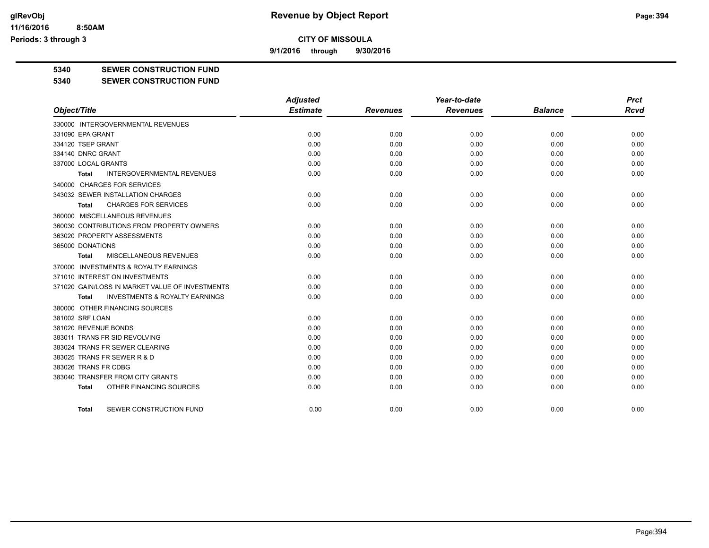**9/1/2016 through 9/30/2016**

**5340 SEWER CONSTRUCTION FUND**

**5340 SEWER CONSTRUCTION FUND**

|                                                    | <b>Adjusted</b> |                 | Year-to-date    |                | <b>Prct</b> |
|----------------------------------------------------|-----------------|-----------------|-----------------|----------------|-------------|
| Object/Title                                       | <b>Estimate</b> | <b>Revenues</b> | <b>Revenues</b> | <b>Balance</b> | <b>Rcvd</b> |
| 330000 INTERGOVERNMENTAL REVENUES                  |                 |                 |                 |                |             |
| 331090 EPA GRANT                                   | 0.00            | 0.00            | 0.00            | 0.00           | 0.00        |
| 334120 TSEP GRANT                                  | 0.00            | 0.00            | 0.00            | 0.00           | 0.00        |
| 334140 DNRC GRANT                                  | 0.00            | 0.00            | 0.00            | 0.00           | 0.00        |
| 337000 LOCAL GRANTS                                | 0.00            | 0.00            | 0.00            | 0.00           | 0.00        |
| <b>INTERGOVERNMENTAL REVENUES</b><br><b>Total</b>  | 0.00            | 0.00            | 0.00            | 0.00           | 0.00        |
| 340000 CHARGES FOR SERVICES                        |                 |                 |                 |                |             |
| 343032 SEWER INSTALLATION CHARGES                  | 0.00            | 0.00            | 0.00            | 0.00           | 0.00        |
| <b>CHARGES FOR SERVICES</b><br>Total               | 0.00            | 0.00            | 0.00            | 0.00           | 0.00        |
| 360000 MISCELLANEOUS REVENUES                      |                 |                 |                 |                |             |
| 360030 CONTRIBUTIONS FROM PROPERTY OWNERS          | 0.00            | 0.00            | 0.00            | 0.00           | 0.00        |
| 363020 PROPERTY ASSESSMENTS                        | 0.00            | 0.00            | 0.00            | 0.00           | 0.00        |
| 365000 DONATIONS                                   | 0.00            | 0.00            | 0.00            | 0.00           | 0.00        |
| <b>MISCELLANEOUS REVENUES</b><br><b>Total</b>      | 0.00            | 0.00            | 0.00            | 0.00           | 0.00        |
| 370000 INVESTMENTS & ROYALTY EARNINGS              |                 |                 |                 |                |             |
| 371010 INTEREST ON INVESTMENTS                     | 0.00            | 0.00            | 0.00            | 0.00           | 0.00        |
| 371020 GAIN/LOSS IN MARKET VALUE OF INVESTMENTS    | 0.00            | 0.00            | 0.00            | 0.00           | 0.00        |
| <b>INVESTMENTS &amp; ROYALTY EARNINGS</b><br>Total | 0.00            | 0.00            | 0.00            | 0.00           | 0.00        |
| 380000 OTHER FINANCING SOURCES                     |                 |                 |                 |                |             |
| 381002 SRF LOAN                                    | 0.00            | 0.00            | 0.00            | 0.00           | 0.00        |
| 381020 REVENUE BONDS                               | 0.00            | 0.00            | 0.00            | 0.00           | 0.00        |
| 383011 TRANS FR SID REVOLVING                      | 0.00            | 0.00            | 0.00            | 0.00           | 0.00        |
| 383024 TRANS FR SEWER CLEARING                     | 0.00            | 0.00            | 0.00            | 0.00           | 0.00        |
| 383025 TRANS FR SEWER R & D                        | 0.00            | 0.00            | 0.00            | 0.00           | 0.00        |
| 383026 TRANS FR CDBG                               | 0.00            | 0.00            | 0.00            | 0.00           | 0.00        |
| 383040 TRANSFER FROM CITY GRANTS                   | 0.00            | 0.00            | 0.00            | 0.00           | 0.00        |
| OTHER FINANCING SOURCES<br><b>Total</b>            | 0.00            | 0.00            | 0.00            | 0.00           | 0.00        |
| SEWER CONSTRUCTION FUND<br>Total                   | 0.00            | 0.00            | 0.00            | 0.00           | 0.00        |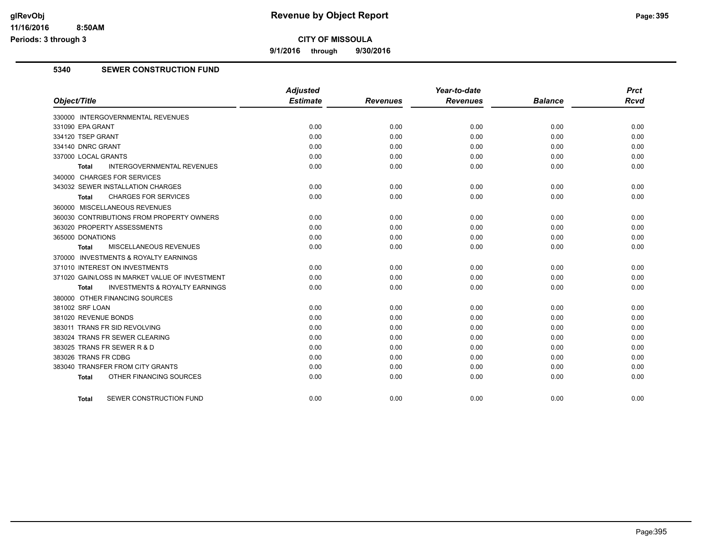**CITY OF MISSOULA**

**9/1/2016 through 9/30/2016**

## **5340 SEWER CONSTRUCTION FUND**

|                                                    | <b>Adjusted</b> |                 | Year-to-date    |                | <b>Prct</b> |
|----------------------------------------------------|-----------------|-----------------|-----------------|----------------|-------------|
| Object/Title                                       | <b>Estimate</b> | <b>Revenues</b> | <b>Revenues</b> | <b>Balance</b> | <b>Rcvd</b> |
| 330000 INTERGOVERNMENTAL REVENUES                  |                 |                 |                 |                |             |
| 331090 EPA GRANT                                   | 0.00            | 0.00            | 0.00            | 0.00           | 0.00        |
| 334120 TSEP GRANT                                  | 0.00            | 0.00            | 0.00            | 0.00           | 0.00        |
| 334140 DNRC GRANT                                  | 0.00            | 0.00            | 0.00            | 0.00           | 0.00        |
| 337000 LOCAL GRANTS                                | 0.00            | 0.00            | 0.00            | 0.00           | 0.00        |
| <b>INTERGOVERNMENTAL REVENUES</b><br>Total         | 0.00            | 0.00            | 0.00            | 0.00           | 0.00        |
| 340000 CHARGES FOR SERVICES                        |                 |                 |                 |                |             |
| 343032 SEWER INSTALLATION CHARGES                  | 0.00            | 0.00            | 0.00            | 0.00           | 0.00        |
| <b>CHARGES FOR SERVICES</b><br><b>Total</b>        | 0.00            | 0.00            | 0.00            | 0.00           | 0.00        |
| 360000 MISCELLANEOUS REVENUES                      |                 |                 |                 |                |             |
| 360030 CONTRIBUTIONS FROM PROPERTY OWNERS          | 0.00            | 0.00            | 0.00            | 0.00           | 0.00        |
| 363020 PROPERTY ASSESSMENTS                        | 0.00            | 0.00            | 0.00            | 0.00           | 0.00        |
| 365000 DONATIONS                                   | 0.00            | 0.00            | 0.00            | 0.00           | 0.00        |
| MISCELLANEOUS REVENUES<br>Total                    | 0.00            | 0.00            | 0.00            | 0.00           | 0.00        |
| 370000 INVESTMENTS & ROYALTY EARNINGS              |                 |                 |                 |                |             |
| 371010 INTEREST ON INVESTMENTS                     | 0.00            | 0.00            | 0.00            | 0.00           | 0.00        |
| 371020 GAIN/LOSS IN MARKET VALUE OF INVESTMENT     | 0.00            | 0.00            | 0.00            | 0.00           | 0.00        |
| <b>INVESTMENTS &amp; ROYALTY EARNINGS</b><br>Total | 0.00            | 0.00            | 0.00            | 0.00           | 0.00        |
| 380000 OTHER FINANCING SOURCES                     |                 |                 |                 |                |             |
| 381002 SRF LOAN                                    | 0.00            | 0.00            | 0.00            | 0.00           | 0.00        |
| 381020 REVENUE BONDS                               | 0.00            | 0.00            | 0.00            | 0.00           | 0.00        |
| 383011 TRANS FR SID REVOLVING                      | 0.00            | 0.00            | 0.00            | 0.00           | 0.00        |
| 383024 TRANS FR SEWER CLEARING                     | 0.00            | 0.00            | 0.00            | 0.00           | 0.00        |
| 383025 TRANS FR SEWER R & D                        | 0.00            | 0.00            | 0.00            | 0.00           | 0.00        |
| 383026 TRANS FR CDBG                               | 0.00            | 0.00            | 0.00            | 0.00           | 0.00        |
| 383040 TRANSFER FROM CITY GRANTS                   | 0.00            | 0.00            | 0.00            | 0.00           | 0.00        |
| OTHER FINANCING SOURCES<br><b>Total</b>            | 0.00            | 0.00            | 0.00            | 0.00           | 0.00        |
| SEWER CONSTRUCTION FUND<br>Total                   | 0.00            | 0.00            | 0.00            | 0.00           | 0.00        |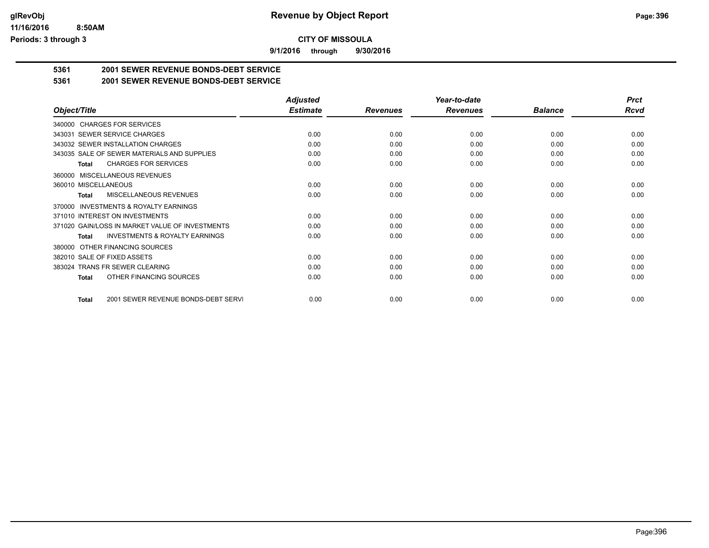**CITY OF MISSOULA**

**9/1/2016 through 9/30/2016**

# **5361 2001 SEWER REVENUE BONDS-DEBT SERVICE**

# **5361 2001 SEWER REVENUE BONDS-DEBT SERVICE**

| Object/Title                                        | <b>Adjusted</b><br><b>Estimate</b> |                 | Year-to-date<br><b>Revenues</b> | <b>Balance</b> | <b>Prct</b><br><b>Rcvd</b> |
|-----------------------------------------------------|------------------------------------|-----------------|---------------------------------|----------------|----------------------------|
|                                                     |                                    | <b>Revenues</b> |                                 |                |                            |
| 340000 CHARGES FOR SERVICES                         |                                    |                 |                                 |                |                            |
| 343031 SEWER SERVICE CHARGES                        | 0.00                               | 0.00            | 0.00                            | 0.00           | 0.00                       |
| 343032 SEWER INSTALLATION CHARGES                   | 0.00                               | 0.00            | 0.00                            | 0.00           | 0.00                       |
| 343035 SALE OF SEWER MATERIALS AND SUPPLIES         | 0.00                               | 0.00            | 0.00                            | 0.00           | 0.00                       |
| <b>CHARGES FOR SERVICES</b><br><b>Total</b>         | 0.00                               | 0.00            | 0.00                            | 0.00           | 0.00                       |
| MISCELLANEOUS REVENUES<br>360000                    |                                    |                 |                                 |                |                            |
| 360010 MISCELLANEOUS                                | 0.00                               | 0.00            | 0.00                            | 0.00           | 0.00                       |
| <b>MISCELLANEOUS REVENUES</b><br><b>Total</b>       | 0.00                               | 0.00            | 0.00                            | 0.00           | 0.00                       |
| INVESTMENTS & ROYALTY EARNINGS<br>370000            |                                    |                 |                                 |                |                            |
| 371010 INTEREST ON INVESTMENTS                      | 0.00                               | 0.00            | 0.00                            | 0.00           | 0.00                       |
| 371020 GAIN/LOSS IN MARKET VALUE OF INVESTMENTS     | 0.00                               | 0.00            | 0.00                            | 0.00           | 0.00                       |
| <b>INVESTMENTS &amp; ROYALTY EARNINGS</b><br>Total  | 0.00                               | 0.00            | 0.00                            | 0.00           | 0.00                       |
| OTHER FINANCING SOURCES<br>380000                   |                                    |                 |                                 |                |                            |
| 382010 SALE OF FIXED ASSETS                         | 0.00                               | 0.00            | 0.00                            | 0.00           | 0.00                       |
| 383024 TRANS FR SEWER CLEARING                      | 0.00                               | 0.00            | 0.00                            | 0.00           | 0.00                       |
| OTHER FINANCING SOURCES<br><b>Total</b>             | 0.00                               | 0.00            | 0.00                            | 0.00           | 0.00                       |
| 2001 SEWER REVENUE BONDS-DEBT SERVI<br><b>Total</b> | 0.00                               | 0.00            | 0.00                            | 0.00           | 0.00                       |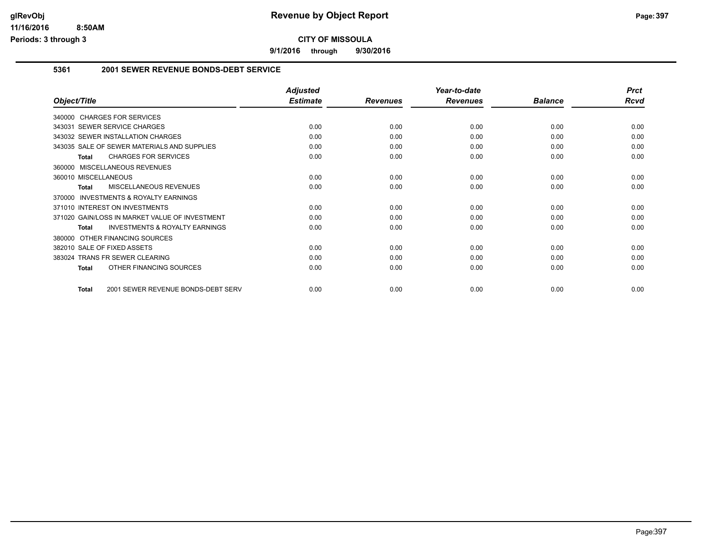**8:50AM**

**CITY OF MISSOULA**

**9/1/2016 through 9/30/2016**

## **5361 2001 SEWER REVENUE BONDS-DEBT SERVICE**

|                                                           | <b>Adjusted</b> |                 | Year-to-date    |                | <b>Prct</b> |
|-----------------------------------------------------------|-----------------|-----------------|-----------------|----------------|-------------|
| Object/Title                                              | <b>Estimate</b> | <b>Revenues</b> | <b>Revenues</b> | <b>Balance</b> | <b>Rcvd</b> |
| 340000 CHARGES FOR SERVICES                               |                 |                 |                 |                |             |
| SEWER SERVICE CHARGES<br>343031                           | 0.00            | 0.00            | 0.00            | 0.00           | 0.00        |
| 343032 SEWER INSTALLATION CHARGES                         | 0.00            | 0.00            | 0.00            | 0.00           | 0.00        |
| 343035 SALE OF SEWER MATERIALS AND SUPPLIES               | 0.00            | 0.00            | 0.00            | 0.00           | 0.00        |
| <b>CHARGES FOR SERVICES</b><br>Total                      | 0.00            | 0.00            | 0.00            | 0.00           | 0.00        |
| 360000 MISCELLANEOUS REVENUES                             |                 |                 |                 |                |             |
| 360010 MISCELLANEOUS                                      | 0.00            | 0.00            | 0.00            | 0.00           | 0.00        |
| MISCELLANEOUS REVENUES<br><b>Total</b>                    | 0.00            | 0.00            | 0.00            | 0.00           | 0.00        |
| INVESTMENTS & ROYALTY EARNINGS<br>370000                  |                 |                 |                 |                |             |
| 371010 INTEREST ON INVESTMENTS                            | 0.00            | 0.00            | 0.00            | 0.00           | 0.00        |
| 371020 GAIN/LOSS IN MARKET VALUE OF INVESTMENT            | 0.00            | 0.00            | 0.00            | 0.00           | 0.00        |
| <b>INVESTMENTS &amp; ROYALTY EARNINGS</b><br><b>Total</b> | 0.00            | 0.00            | 0.00            | 0.00           | 0.00        |
| OTHER FINANCING SOURCES<br>380000                         |                 |                 |                 |                |             |
| 382010 SALE OF FIXED ASSETS                               | 0.00            | 0.00            | 0.00            | 0.00           | 0.00        |
| 383024 TRANS FR SEWER CLEARING                            | 0.00            | 0.00            | 0.00            | 0.00           | 0.00        |
| OTHER FINANCING SOURCES<br><b>Total</b>                   | 0.00            | 0.00            | 0.00            | 0.00           | 0.00        |
| 2001 SEWER REVENUE BONDS-DEBT SERV<br><b>Total</b>        | 0.00            | 0.00            | 0.00            | 0.00           | 0.00        |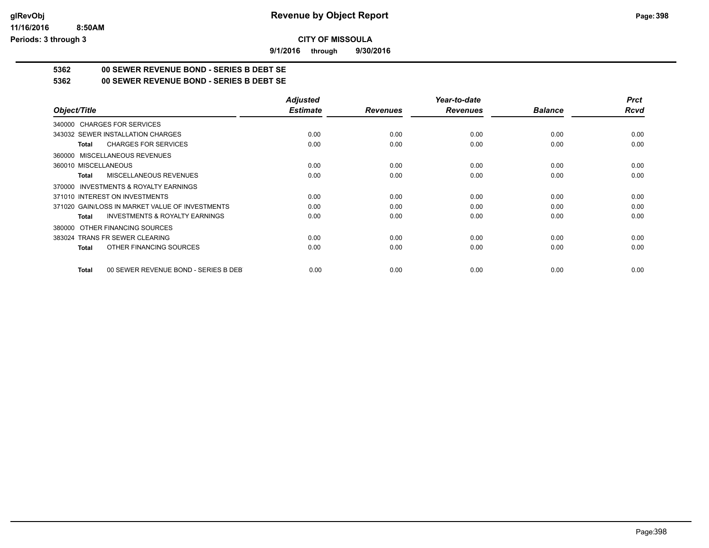**CITY OF MISSOULA**

**9/1/2016 through 9/30/2016**

## **5362 00 SEWER REVENUE BOND - SERIES B DEBT SE**

**5362 00 SEWER REVENUE BOND - SERIES B DEBT SE**

|                                                      | <b>Adjusted</b> |                 | Year-to-date    |                | <b>Prct</b> |
|------------------------------------------------------|-----------------|-----------------|-----------------|----------------|-------------|
| Object/Title                                         | <b>Estimate</b> | <b>Revenues</b> | <b>Revenues</b> | <b>Balance</b> | <b>Rcvd</b> |
| 340000 CHARGES FOR SERVICES                          |                 |                 |                 |                |             |
| 343032 SEWER INSTALLATION CHARGES                    | 0.00            | 0.00            | 0.00            | 0.00           | 0.00        |
| <b>CHARGES FOR SERVICES</b><br>Total                 | 0.00            | 0.00            | 0.00            | 0.00           | 0.00        |
| 360000 MISCELLANEOUS REVENUES                        |                 |                 |                 |                |             |
| 360010 MISCELLANEOUS                                 | 0.00            | 0.00            | 0.00            | 0.00           | 0.00        |
| <b>MISCELLANEOUS REVENUES</b><br>Total               | 0.00            | 0.00            | 0.00            | 0.00           | 0.00        |
| 370000 INVESTMENTS & ROYALTY EARNINGS                |                 |                 |                 |                |             |
| 371010 INTEREST ON INVESTMENTS                       | 0.00            | 0.00            | 0.00            | 0.00           | 0.00        |
| 371020 GAIN/LOSS IN MARKET VALUE OF INVESTMENTS      | 0.00            | 0.00            | 0.00            | 0.00           | 0.00        |
| <b>INVESTMENTS &amp; ROYALTY EARNINGS</b><br>Total   | 0.00            | 0.00            | 0.00            | 0.00           | 0.00        |
| 380000 OTHER FINANCING SOURCES                       |                 |                 |                 |                |             |
| 383024 TRANS FR SEWER CLEARING                       | 0.00            | 0.00            | 0.00            | 0.00           | 0.00        |
| OTHER FINANCING SOURCES<br>Total                     | 0.00            | 0.00            | 0.00            | 0.00           | 0.00        |
|                                                      |                 |                 |                 |                |             |
| 00 SEWER REVENUE BOND - SERIES B DEB<br><b>Total</b> | 0.00            | 0.00            | 0.00            | 0.00           | 0.00        |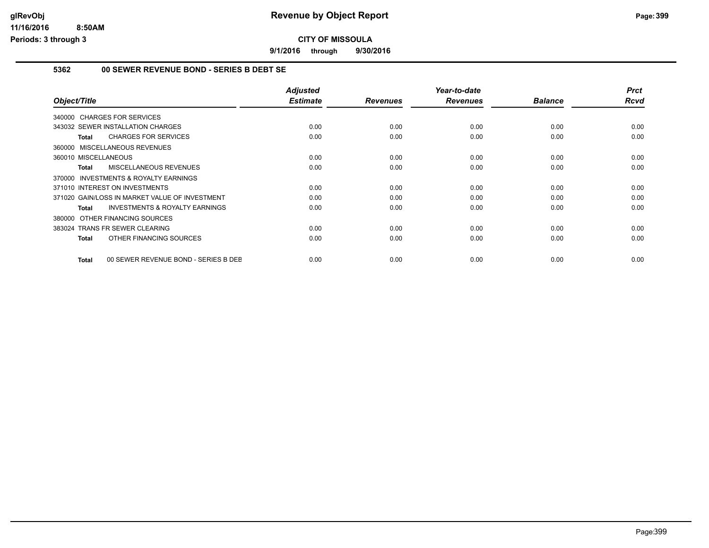**CITY OF MISSOULA**

**9/1/2016 through 9/30/2016**

## **5362 00 SEWER REVENUE BOND - SERIES B DEBT SE**

| Object/Title                                         | <b>Adjusted</b><br><b>Estimate</b> | <b>Revenues</b> | Year-to-date<br><b>Revenues</b> | <b>Balance</b> | <b>Prct</b><br><b>Rcvd</b> |
|------------------------------------------------------|------------------------------------|-----------------|---------------------------------|----------------|----------------------------|
| 340000 CHARGES FOR SERVICES                          |                                    |                 |                                 |                |                            |
| 343032 SEWER INSTALLATION CHARGES                    | 0.00                               | 0.00            | 0.00                            | 0.00           | 0.00                       |
| <b>CHARGES FOR SERVICES</b><br>Total                 | 0.00                               | 0.00            | 0.00                            | 0.00           | 0.00                       |
| 360000 MISCELLANEOUS REVENUES                        |                                    |                 |                                 |                |                            |
| 360010 MISCELLANEOUS                                 | 0.00                               | 0.00            | 0.00                            | 0.00           | 0.00                       |
| <b>MISCELLANEOUS REVENUES</b><br><b>Total</b>        | 0.00                               | 0.00            | 0.00                            | 0.00           | 0.00                       |
| 370000 INVESTMENTS & ROYALTY EARNINGS                |                                    |                 |                                 |                |                            |
| 371010 INTEREST ON INVESTMENTS                       | 0.00                               | 0.00            | 0.00                            | 0.00           | 0.00                       |
| 371020 GAIN/LOSS IN MARKET VALUE OF INVESTMENT       | 0.00                               | 0.00            | 0.00                            | 0.00           | 0.00                       |
| <b>INVESTMENTS &amp; ROYALTY EARNINGS</b><br>Total   | 0.00                               | 0.00            | 0.00                            | 0.00           | 0.00                       |
| 380000 OTHER FINANCING SOURCES                       |                                    |                 |                                 |                |                            |
| 383024 TRANS FR SEWER CLEARING                       | 0.00                               | 0.00            | 0.00                            | 0.00           | 0.00                       |
| OTHER FINANCING SOURCES<br><b>Total</b>              | 0.00                               | 0.00            | 0.00                            | 0.00           | 0.00                       |
| 00 SEWER REVENUE BOND - SERIES B DEE<br><b>Total</b> | 0.00                               | 0.00            | 0.00                            | 0.00           | 0.00                       |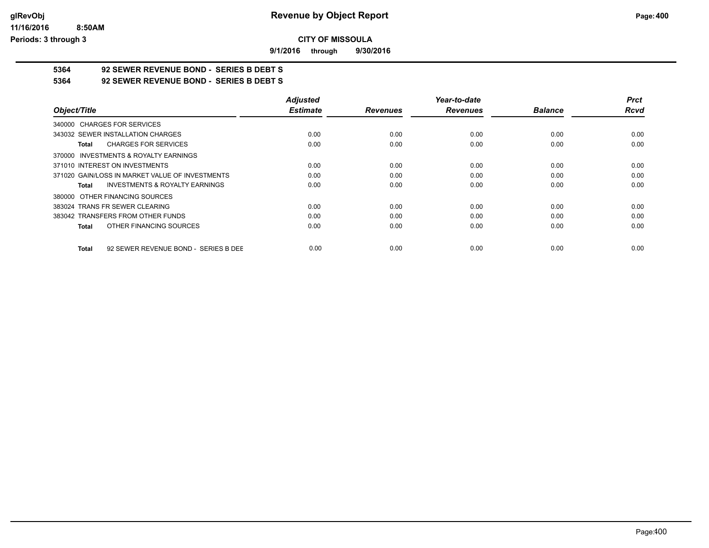**CITY OF MISSOULA**

**9/1/2016 through 9/30/2016**

# **5364 92 SEWER REVENUE BOND - SERIES B DEBT S**

**5364 92 SEWER REVENUE BOND - SERIES B DEBT S**

|                                                    | <b>Adjusted</b> |                 | Year-to-date    |                | <b>Prct</b> |
|----------------------------------------------------|-----------------|-----------------|-----------------|----------------|-------------|
| Object/Title                                       | <b>Estimate</b> | <b>Revenues</b> | <b>Revenues</b> | <b>Balance</b> | <b>Rcvd</b> |
| 340000 CHARGES FOR SERVICES                        |                 |                 |                 |                |             |
| 343032 SEWER INSTALLATION CHARGES                  | 0.00            | 0.00            | 0.00            | 0.00           | 0.00        |
| <b>CHARGES FOR SERVICES</b><br>Total               | 0.00            | 0.00            | 0.00            | 0.00           | 0.00        |
| 370000 INVESTMENTS & ROYALTY EARNINGS              |                 |                 |                 |                |             |
| 371010 INTEREST ON INVESTMENTS                     | 0.00            | 0.00            | 0.00            | 0.00           | 0.00        |
| 371020 GAIN/LOSS IN MARKET VALUE OF INVESTMENTS    | 0.00            | 0.00            | 0.00            | 0.00           | 0.00        |
| <b>INVESTMENTS &amp; ROYALTY EARNINGS</b><br>Total | 0.00            | 0.00            | 0.00            | 0.00           | 0.00        |
| 380000 OTHER FINANCING SOURCES                     |                 |                 |                 |                |             |
| 383024 TRANS FR SEWER CLEARING                     | 0.00            | 0.00            | 0.00            | 0.00           | 0.00        |
| 383042 TRANSFERS FROM OTHER FUNDS                  | 0.00            | 0.00            | 0.00            | 0.00           | 0.00        |
| OTHER FINANCING SOURCES<br>Total                   | 0.00            | 0.00            | 0.00            | 0.00           | 0.00        |
| 92 SEWER REVENUE BOND - SERIES B DEE<br>Total      | 0.00            | 0.00            | 0.00            | 0.00           | 0.00        |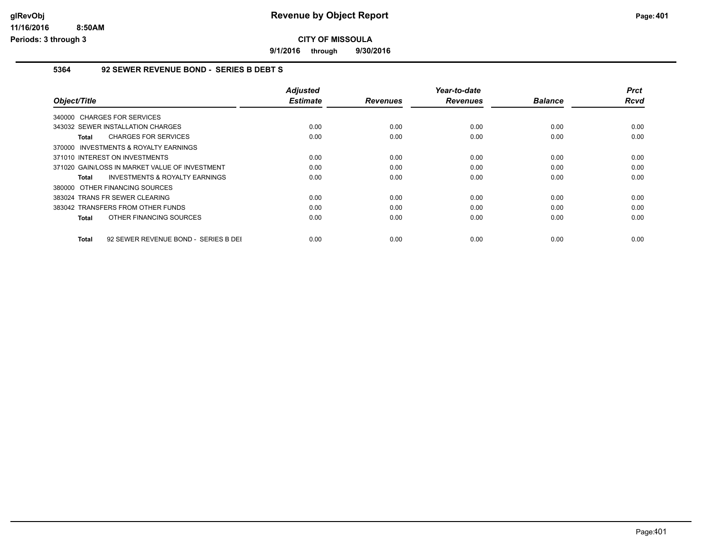**8:50AM**

**CITY OF MISSOULA**

**9/1/2016 through 9/30/2016**

## **5364 92 SEWER REVENUE BOND - SERIES B DEBT S**

| Object/Title                                       | <b>Adjusted</b><br><b>Estimate</b> | <b>Revenues</b> | Year-to-date<br><b>Revenues</b> | <b>Balance</b> | <b>Prct</b><br><b>Rcvd</b> |
|----------------------------------------------------|------------------------------------|-----------------|---------------------------------|----------------|----------------------------|
|                                                    |                                    |                 |                                 |                |                            |
| 340000 CHARGES FOR SERVICES                        |                                    |                 |                                 |                |                            |
| 343032 SEWER INSTALLATION CHARGES                  | 0.00                               | 0.00            | 0.00                            | 0.00           | 0.00                       |
| <b>CHARGES FOR SERVICES</b><br>Total               | 0.00                               | 0.00            | 0.00                            | 0.00           | 0.00                       |
| 370000 INVESTMENTS & ROYALTY EARNINGS              |                                    |                 |                                 |                |                            |
| 371010 INTEREST ON INVESTMENTS                     | 0.00                               | 0.00            | 0.00                            | 0.00           | 0.00                       |
| 371020 GAIN/LOSS IN MARKET VALUE OF INVESTMENT     | 0.00                               | 0.00            | 0.00                            | 0.00           | 0.00                       |
| <b>INVESTMENTS &amp; ROYALTY EARNINGS</b><br>Total | 0.00                               | 0.00            | 0.00                            | 0.00           | 0.00                       |
| 380000 OTHER FINANCING SOURCES                     |                                    |                 |                                 |                |                            |
| 383024 TRANS FR SEWER CLEARING                     | 0.00                               | 0.00            | 0.00                            | 0.00           | 0.00                       |
| 383042 TRANSFERS FROM OTHER FUNDS                  | 0.00                               | 0.00            | 0.00                            | 0.00           | 0.00                       |
| OTHER FINANCING SOURCES<br>Total                   | 0.00                               | 0.00            | 0.00                            | 0.00           | 0.00                       |
| 92 SEWER REVENUE BOND - SERIES B DEI<br>Total      | 0.00                               | 0.00            | 0.00                            | 0.00           | 0.00                       |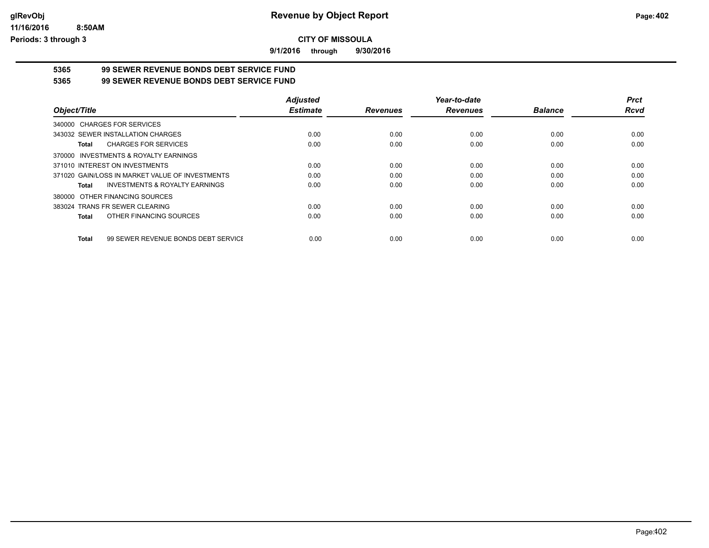**9/1/2016 through 9/30/2016**

# **5365 99 SEWER REVENUE BONDS DEBT SERVICE FUND**

## **5365 99 SEWER REVENUE BONDS DEBT SERVICE FUND**

|                                                     | <b>Adjusted</b> |                 | Year-to-date    |                | <b>Prct</b> |
|-----------------------------------------------------|-----------------|-----------------|-----------------|----------------|-------------|
| Object/Title                                        | <b>Estimate</b> | <b>Revenues</b> | <b>Revenues</b> | <b>Balance</b> | <b>Rcvd</b> |
| 340000 CHARGES FOR SERVICES                         |                 |                 |                 |                |             |
| 343032 SEWER INSTALLATION CHARGES                   | 0.00            | 0.00            | 0.00            | 0.00           | 0.00        |
| <b>CHARGES FOR SERVICES</b><br>Total                | 0.00            | 0.00            | 0.00            | 0.00           | 0.00        |
| 370000 INVESTMENTS & ROYALTY EARNINGS               |                 |                 |                 |                |             |
| 371010 INTEREST ON INVESTMENTS                      | 0.00            | 0.00            | 0.00            | 0.00           | 0.00        |
| 371020 GAIN/LOSS IN MARKET VALUE OF INVESTMENTS     | 0.00            | 0.00            | 0.00            | 0.00           | 0.00        |
| <b>INVESTMENTS &amp; ROYALTY EARNINGS</b><br>Total  | 0.00            | 0.00            | 0.00            | 0.00           | 0.00        |
| 380000 OTHER FINANCING SOURCES                      |                 |                 |                 |                |             |
| 383024 TRANS FR SEWER CLEARING                      | 0.00            | 0.00            | 0.00            | 0.00           | 0.00        |
| OTHER FINANCING SOURCES<br>Total                    | 0.00            | 0.00            | 0.00            | 0.00           | 0.00        |
| 99 SEWER REVENUE BONDS DEBT SERVICE<br><b>Total</b> | 0.00            | 0.00            | 0.00            | 0.00           | 0.00        |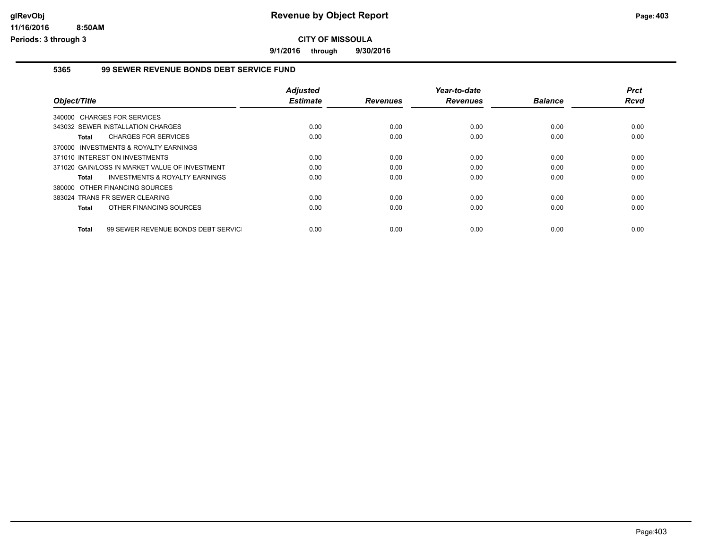**9/1/2016 through 9/30/2016**

## **5365 99 SEWER REVENUE BONDS DEBT SERVICE FUND**

| Object/Title                                       | <b>Adjusted</b><br><b>Estimate</b> | <b>Revenues</b> | Year-to-date<br><b>Revenues</b> | <b>Balance</b> | <b>Prct</b><br>Rcvd |
|----------------------------------------------------|------------------------------------|-----------------|---------------------------------|----------------|---------------------|
| 340000 CHARGES FOR SERVICES                        |                                    |                 |                                 |                |                     |
| 343032 SEWER INSTALLATION CHARGES                  | 0.00                               | 0.00            | 0.00                            | 0.00           | 0.00                |
| <b>CHARGES FOR SERVICES</b><br>Total               | 0.00                               | 0.00            | 0.00                            | 0.00           | 0.00                |
| 370000 INVESTMENTS & ROYALTY EARNINGS              |                                    |                 |                                 |                |                     |
| 371010 INTEREST ON INVESTMENTS                     | 0.00                               | 0.00            | 0.00                            | 0.00           | 0.00                |
| 371020 GAIN/LOSS IN MARKET VALUE OF INVESTMENT     | 0.00                               | 0.00            | 0.00                            | 0.00           | 0.00                |
| <b>INVESTMENTS &amp; ROYALTY EARNINGS</b><br>Total | 0.00                               | 0.00            | 0.00                            | 0.00           | 0.00                |
| 380000 OTHER FINANCING SOURCES                     |                                    |                 |                                 |                |                     |
| 383024 TRANS FR SEWER CLEARING                     | 0.00                               | 0.00            | 0.00                            | 0.00           | 0.00                |
| OTHER FINANCING SOURCES<br>Total                   | 0.00                               | 0.00            | 0.00                            | 0.00           | 0.00                |
| 99 SEWER REVENUE BONDS DEBT SERVIC<br><b>Total</b> | 0.00                               | 0.00            | 0.00                            | 0.00           | 0.00                |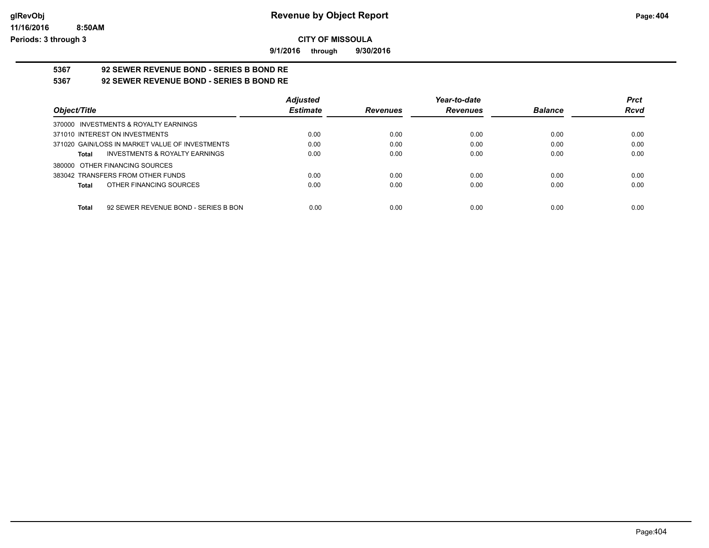**CITY OF MISSOULA**

**9/1/2016 through 9/30/2016**

## **5367 92 SEWER REVENUE BOND - SERIES B BOND RE**

**5367 92 SEWER REVENUE BOND - SERIES B BOND RE**

|                                                    | <b>Adjusted</b> |                 | Year-to-date    |                | <b>Prct</b> |
|----------------------------------------------------|-----------------|-----------------|-----------------|----------------|-------------|
| Object/Title                                       | <b>Estimate</b> | <b>Revenues</b> | <b>Revenues</b> | <b>Balance</b> | <b>Rcvd</b> |
| 370000 INVESTMENTS & ROYALTY EARNINGS              |                 |                 |                 |                |             |
| 371010 INTEREST ON INVESTMENTS                     | 0.00            | 0.00            | 0.00            | 0.00           | 0.00        |
| 371020 GAIN/LOSS IN MARKET VALUE OF INVESTMENTS    | 0.00            | 0.00            | 0.00            | 0.00           | 0.00        |
| <b>INVESTMENTS &amp; ROYALTY EARNINGS</b><br>Total | 0.00            | 0.00            | 0.00            | 0.00           | 0.00        |
| 380000 OTHER FINANCING SOURCES                     |                 |                 |                 |                |             |
| 383042 TRANSFERS FROM OTHER FUNDS                  | 0.00            | 0.00            | 0.00            | 0.00           | 0.00        |
| OTHER FINANCING SOURCES<br>Total                   | 0.00            | 0.00            | 0.00            | 0.00           | 0.00        |
|                                                    |                 |                 |                 |                |             |
| 92 SEWER REVENUE BOND - SERIES B BON<br>Total      | 0.00            | 0.00            | 0.00            | 0.00           | 0.00        |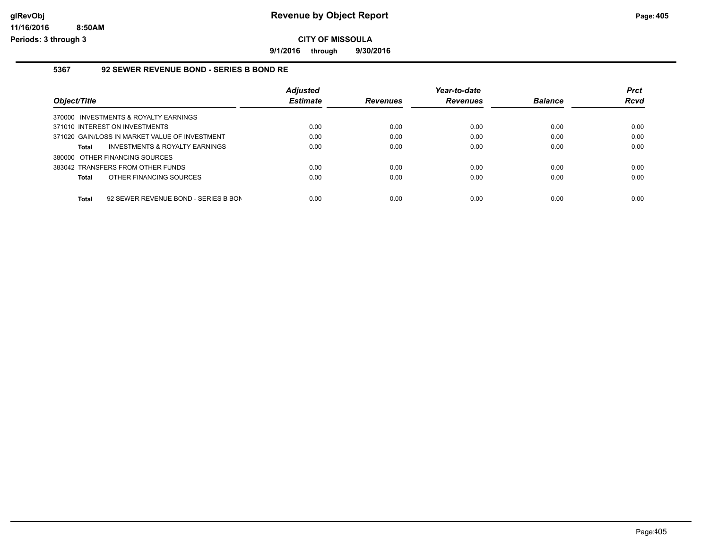**8:50AM**

**CITY OF MISSOULA**

**9/1/2016 through 9/30/2016**

## **5367 92 SEWER REVENUE BOND - SERIES B BOND RE**

|                                                      | <b>Adjusted</b> |                 | Year-to-date    |                | <b>Prct</b> |
|------------------------------------------------------|-----------------|-----------------|-----------------|----------------|-------------|
| Object/Title                                         | <b>Estimate</b> | <b>Revenues</b> | <b>Revenues</b> | <b>Balance</b> | <b>Rcvd</b> |
| 370000 INVESTMENTS & ROYALTY EARNINGS                |                 |                 |                 |                |             |
| 371010 INTEREST ON INVESTMENTS                       | 0.00            | 0.00            | 0.00            | 0.00           | 0.00        |
| 371020 GAIN/LOSS IN MARKET VALUE OF INVESTMENT       | 0.00            | 0.00            | 0.00            | 0.00           | 0.00        |
| INVESTMENTS & ROYALTY EARNINGS<br>Total              | 0.00            | 0.00            | 0.00            | 0.00           | 0.00        |
| 380000 OTHER FINANCING SOURCES                       |                 |                 |                 |                |             |
| 383042 TRANSFERS FROM OTHER FUNDS                    | 0.00            | 0.00            | 0.00            | 0.00           | 0.00        |
| OTHER FINANCING SOURCES<br>Total                     | 0.00            | 0.00            | 0.00            | 0.00           | 0.00        |
|                                                      |                 |                 |                 |                |             |
| <b>Total</b><br>92 SEWER REVENUE BOND - SERIES B BON | 0.00            | 0.00            | 0.00            | 0.00           | 0.00        |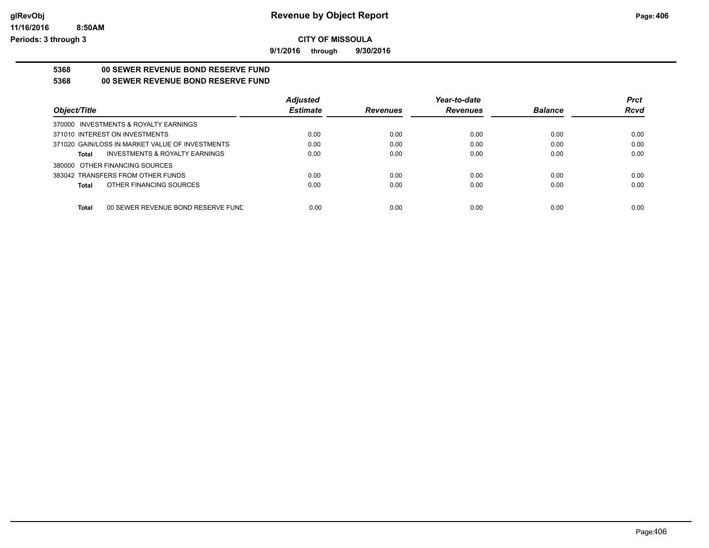## **CITY OF MISSOULA**

**9/1/2016 through 9/30/2016**

# **5368 00 SEWER REVENUE BOND RESERVE FUND**

## **5368 00 SEWER REVENUE BOND RESERVE FUND**

|                                                    | <b>Adjusted</b> |                 | Year-to-date    |                | <b>Prct</b> |
|----------------------------------------------------|-----------------|-----------------|-----------------|----------------|-------------|
| Object/Title                                       | <b>Estimate</b> | <b>Revenues</b> | <b>Revenues</b> | <b>Balance</b> | <b>Rcvd</b> |
| 370000 INVESTMENTS & ROYALTY EARNINGS              |                 |                 |                 |                |             |
| 371010 INTEREST ON INVESTMENTS                     | 0.00            | 0.00            | 0.00            | 0.00           | 0.00        |
| 371020 GAIN/LOSS IN MARKET VALUE OF INVESTMENTS    | 0.00            | 0.00            | 0.00            | 0.00           | 0.00        |
| INVESTMENTS & ROYALTY EARNINGS<br>Total            | 0.00            | 0.00            | 0.00            | 0.00           | 0.00        |
| 380000 OTHER FINANCING SOURCES                     |                 |                 |                 |                |             |
| 383042 TRANSFERS FROM OTHER FUNDS                  | 0.00            | 0.00            | 0.00            | 0.00           | 0.00        |
| OTHER FINANCING SOURCES<br>Total                   | 0.00            | 0.00            | 0.00            | 0.00           | 0.00        |
|                                                    |                 |                 |                 |                |             |
| <b>Total</b><br>00 SEWER REVENUE BOND RESERVE FUND | 0.00            | 0.00            | 0.00            | 0.00           | 0.00        |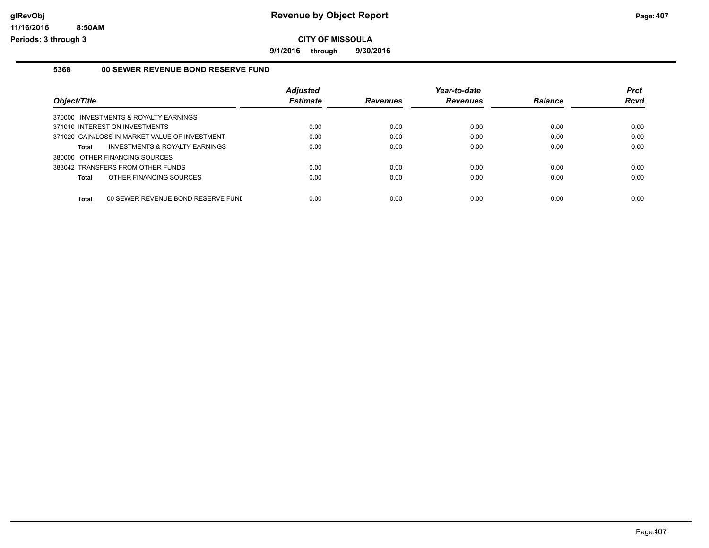**8:50AM**

#### **CITY OF MISSOULA**

**9/1/2016 through 9/30/2016**

## **5368 00 SEWER REVENUE BOND RESERVE FUND**

| Object/Title                                       | <b>Adjusted</b><br><b>Estimate</b> | <b>Revenues</b> | Year-to-date<br><b>Revenues</b> | <b>Balance</b> | <b>Prct</b><br><b>Rcvd</b> |
|----------------------------------------------------|------------------------------------|-----------------|---------------------------------|----------------|----------------------------|
| 370000 INVESTMENTS & ROYALTY EARNINGS              |                                    |                 |                                 |                |                            |
| 371010 INTEREST ON INVESTMENTS                     | 0.00                               | 0.00            | 0.00                            | 0.00           | 0.00                       |
| 371020 GAIN/LOSS IN MARKET VALUE OF INVESTMENT     | 0.00                               | 0.00            | 0.00                            | 0.00           | 0.00                       |
| INVESTMENTS & ROYALTY EARNINGS<br><b>Total</b>     | 0.00                               | 0.00            | 0.00                            | 0.00           | 0.00                       |
| 380000 OTHER FINANCING SOURCES                     |                                    |                 |                                 |                |                            |
| 383042 TRANSFERS FROM OTHER FUNDS                  | 0.00                               | 0.00            | 0.00                            | 0.00           | 0.00                       |
| OTHER FINANCING SOURCES<br><b>Total</b>            | 0.00                               | 0.00            | 0.00                            | 0.00           | 0.00                       |
|                                                    |                                    |                 |                                 |                |                            |
| <b>Total</b><br>00 SEWER REVENUE BOND RESERVE FUNI | 0.00                               | 0.00            | 0.00                            | 0.00           | 0.00                       |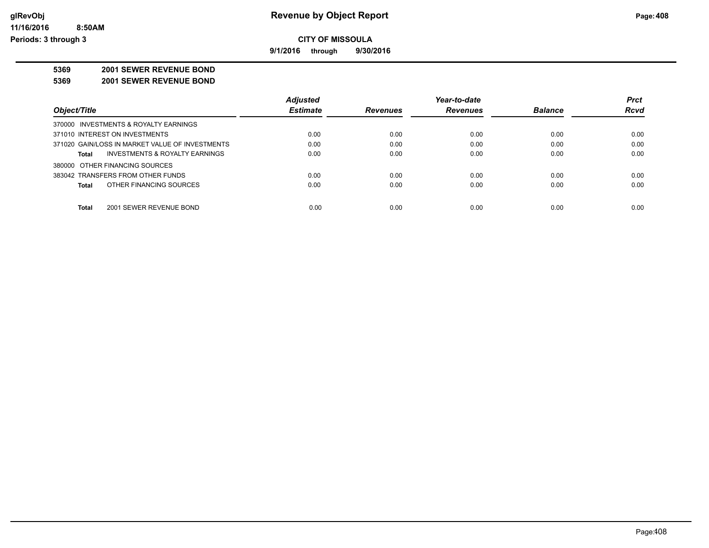**9/1/2016 through 9/30/2016**

#### **5369 2001 SEWER REVENUE BOND**

**5369 2001 SEWER REVENUE BOND**

|                                                 | <b>Adjusted</b> |                 | Year-to-date    |                | <b>Prct</b> |
|-------------------------------------------------|-----------------|-----------------|-----------------|----------------|-------------|
| Object/Title                                    | <b>Estimate</b> | <b>Revenues</b> | <b>Revenues</b> | <b>Balance</b> | <b>Rcvd</b> |
| 370000 INVESTMENTS & ROYALTY EARNINGS           |                 |                 |                 |                |             |
| 371010 INTEREST ON INVESTMENTS                  | 0.00            | 0.00            | 0.00            | 0.00           | 0.00        |
| 371020 GAIN/LOSS IN MARKET VALUE OF INVESTMENTS | 0.00            | 0.00            | 0.00            | 0.00           | 0.00        |
| INVESTMENTS & ROYALTY EARNINGS<br>Total         | 0.00            | 0.00            | 0.00            | 0.00           | 0.00        |
| 380000 OTHER FINANCING SOURCES                  |                 |                 |                 |                |             |
| 383042 TRANSFERS FROM OTHER FUNDS               | 0.00            | 0.00            | 0.00            | 0.00           | 0.00        |
| OTHER FINANCING SOURCES<br><b>Total</b>         | 0.00            | 0.00            | 0.00            | 0.00           | 0.00        |
| <b>Total</b><br>2001 SEWER REVENUE BOND         | 0.00            | 0.00            | 0.00            | 0.00           | 0.00        |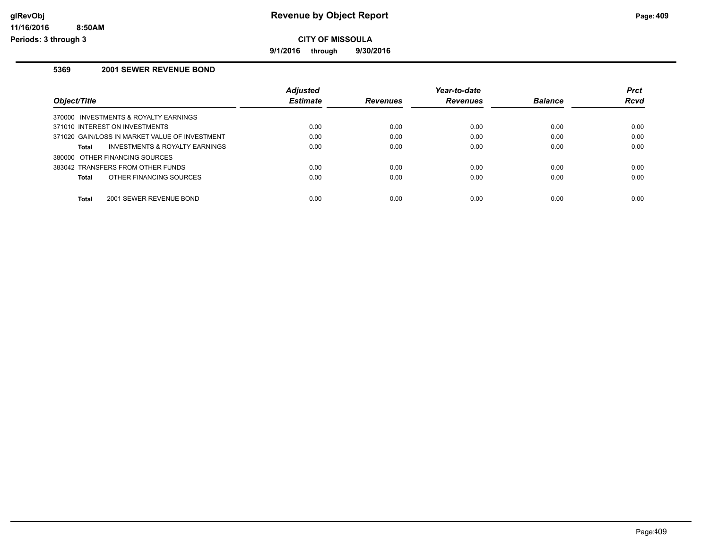**CITY OF MISSOULA**

**9/1/2016 through 9/30/2016**

#### **5369 2001 SEWER REVENUE BOND**

 **8:50AM**

|                                                | <b>Adjusted</b> |                 | Year-to-date    |                | <b>Prct</b> |
|------------------------------------------------|-----------------|-----------------|-----------------|----------------|-------------|
| Object/Title                                   | <b>Estimate</b> | <b>Revenues</b> | <b>Revenues</b> | <b>Balance</b> | <b>Rcvd</b> |
| INVESTMENTS & ROYALTY EARNINGS<br>370000       |                 |                 |                 |                |             |
| 371010 INTEREST ON INVESTMENTS                 | 0.00            | 0.00            | 0.00            | 0.00           | 0.00        |
| 371020 GAIN/LOSS IN MARKET VALUE OF INVESTMENT | 0.00            | 0.00            | 0.00            | 0.00           | 0.00        |
| INVESTMENTS & ROYALTY EARNINGS<br>Total        | 0.00            | 0.00            | 0.00            | 0.00           | 0.00        |
| 380000 OTHER FINANCING SOURCES                 |                 |                 |                 |                |             |
| 383042 TRANSFERS FROM OTHER FUNDS              | 0.00            | 0.00            | 0.00            | 0.00           | 0.00        |
| OTHER FINANCING SOURCES<br>Total               | 0.00            | 0.00            | 0.00            | 0.00           | 0.00        |
| Total<br>2001 SEWER REVENUE BOND               | 0.00            | 0.00            | 0.00            | 0.00           | 0.00        |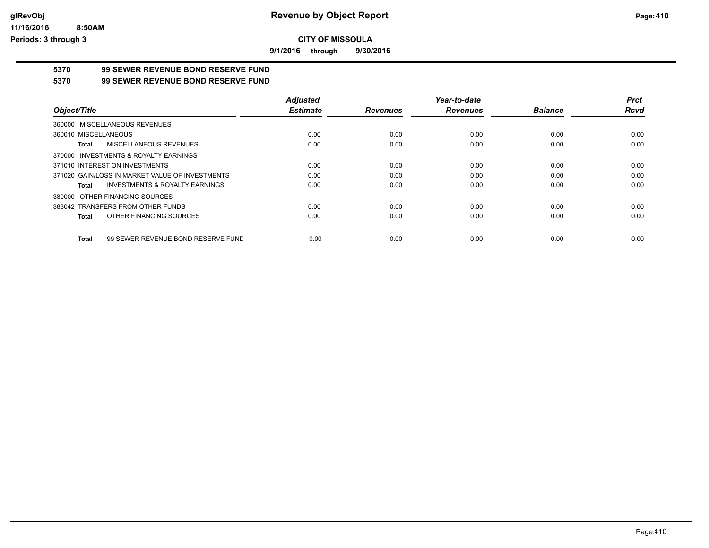**11/16/2016**

**CITY OF MISSOULA**

**9/1/2016 through 9/30/2016**

## **5370 99 SEWER REVENUE BOND RESERVE FUND**

## **5370 99 SEWER REVENUE BOND RESERVE FUND**

|                                                    | <b>Adjusted</b> |                 | Year-to-date    |                | <b>Prct</b> |
|----------------------------------------------------|-----------------|-----------------|-----------------|----------------|-------------|
| Object/Title                                       | <b>Estimate</b> | <b>Revenues</b> | <b>Revenues</b> | <b>Balance</b> | <b>Rcvd</b> |
| 360000 MISCELLANEOUS REVENUES                      |                 |                 |                 |                |             |
| 360010 MISCELLANEOUS                               | 0.00            | 0.00            | 0.00            | 0.00           | 0.00        |
| MISCELLANEOUS REVENUES<br>Total                    | 0.00            | 0.00            | 0.00            | 0.00           | 0.00        |
| 370000 INVESTMENTS & ROYALTY EARNINGS              |                 |                 |                 |                |             |
| 371010 INTEREST ON INVESTMENTS                     | 0.00            | 0.00            | 0.00            | 0.00           | 0.00        |
| 371020 GAIN/LOSS IN MARKET VALUE OF INVESTMENTS    | 0.00            | 0.00            | 0.00            | 0.00           | 0.00        |
| <b>INVESTMENTS &amp; ROYALTY EARNINGS</b><br>Total | 0.00            | 0.00            | 0.00            | 0.00           | 0.00        |
| 380000 OTHER FINANCING SOURCES                     |                 |                 |                 |                |             |
| 383042 TRANSFERS FROM OTHER FUNDS                  | 0.00            | 0.00            | 0.00            | 0.00           | 0.00        |
| OTHER FINANCING SOURCES<br>Total                   | 0.00            | 0.00            | 0.00            | 0.00           | 0.00        |
| 99 SEWER REVENUE BOND RESERVE FUND<br><b>Total</b> | 0.00            | 0.00            | 0.00            | 0.00           | 0.00        |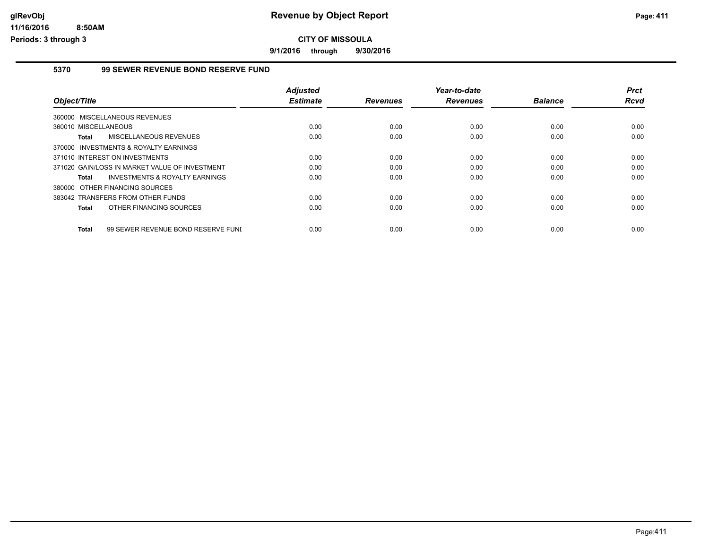**9/1/2016 through 9/30/2016**

## **5370 99 SEWER REVENUE BOND RESERVE FUND**

|                                                    | <b>Adjusted</b> |                 | Year-to-date    |                | <b>Prct</b> |
|----------------------------------------------------|-----------------|-----------------|-----------------|----------------|-------------|
| Object/Title                                       | <b>Estimate</b> | <b>Revenues</b> | <b>Revenues</b> | <b>Balance</b> | <b>Rcvd</b> |
| 360000 MISCELLANEOUS REVENUES                      |                 |                 |                 |                |             |
| 360010 MISCELLANEOUS                               | 0.00            | 0.00            | 0.00            | 0.00           | 0.00        |
| MISCELLANEOUS REVENUES<br><b>Total</b>             | 0.00            | 0.00            | 0.00            | 0.00           | 0.00        |
| 370000 INVESTMENTS & ROYALTY EARNINGS              |                 |                 |                 |                |             |
| 371010 INTEREST ON INVESTMENTS                     | 0.00            | 0.00            | 0.00            | 0.00           | 0.00        |
| 371020 GAIN/LOSS IN MARKET VALUE OF INVESTMENT     | 0.00            | 0.00            | 0.00            | 0.00           | 0.00        |
| <b>INVESTMENTS &amp; ROYALTY EARNINGS</b><br>Total | 0.00            | 0.00            | 0.00            | 0.00           | 0.00        |
| 380000 OTHER FINANCING SOURCES                     |                 |                 |                 |                |             |
| 383042 TRANSFERS FROM OTHER FUNDS                  | 0.00            | 0.00            | 0.00            | 0.00           | 0.00        |
| OTHER FINANCING SOURCES<br><b>Total</b>            | 0.00            | 0.00            | 0.00            | 0.00           | 0.00        |
| <b>Total</b><br>99 SEWER REVENUE BOND RESERVE FUNI | 0.00            | 0.00            | 0.00            | 0.00           | 0.00        |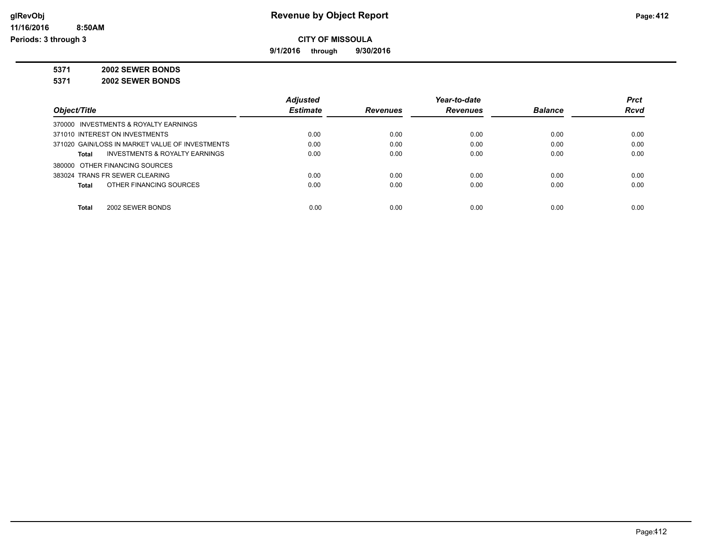**9/1/2016 through 9/30/2016**

**5371 2002 SEWER BONDS**

**5371 2002 SEWER BONDS**

|                                                 | <b>Adjusted</b> |                 | Year-to-date    |                | <b>Prct</b> |
|-------------------------------------------------|-----------------|-----------------|-----------------|----------------|-------------|
| Object/Title                                    | <b>Estimate</b> | <b>Revenues</b> | <b>Revenues</b> | <b>Balance</b> | <b>Rcvd</b> |
| 370000 INVESTMENTS & ROYALTY EARNINGS           |                 |                 |                 |                |             |
| 371010 INTEREST ON INVESTMENTS                  | 0.00            | 0.00            | 0.00            | 0.00           | 0.00        |
| 371020 GAIN/LOSS IN MARKET VALUE OF INVESTMENTS | 0.00            | 0.00            | 0.00            | 0.00           | 0.00        |
| INVESTMENTS & ROYALTY EARNINGS<br>Total         | 0.00            | 0.00            | 0.00            | 0.00           | 0.00        |
| 380000 OTHER FINANCING SOURCES                  |                 |                 |                 |                |             |
| 383024 TRANS FR SEWER CLEARING                  | 0.00            | 0.00            | 0.00            | 0.00           | 0.00        |
| OTHER FINANCING SOURCES<br>Total                | 0.00            | 0.00            | 0.00            | 0.00           | 0.00        |
|                                                 |                 |                 |                 |                |             |
| Total<br>2002 SEWER BONDS                       | 0.00            | 0.00            | 0.00            | 0.00           | 0.00        |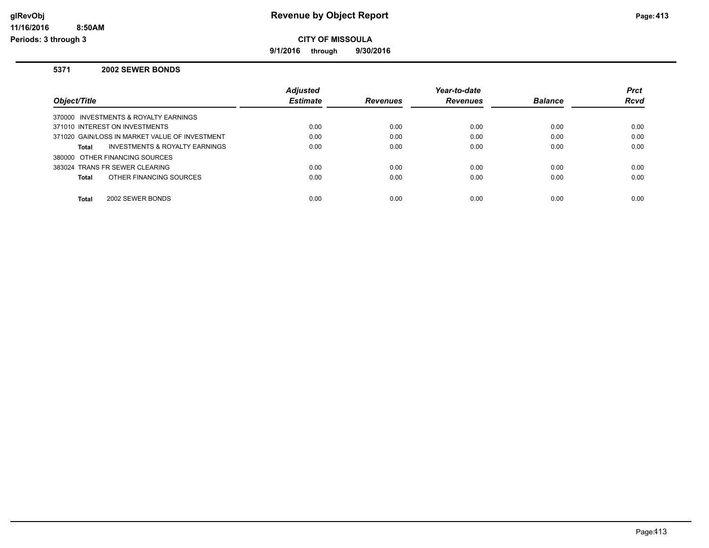**CITY OF MISSOULA**

**9/1/2016 through 9/30/2016**

#### **5371 2002 SEWER BONDS**

 **8:50AM**

|                                                | <b>Adjusted</b> |                 | Year-to-date    |                | <b>Prct</b> |
|------------------------------------------------|-----------------|-----------------|-----------------|----------------|-------------|
| Object/Title                                   | <b>Estimate</b> | <b>Revenues</b> | <b>Revenues</b> | <b>Balance</b> | <b>Rcvd</b> |
| 370000 INVESTMENTS & ROYALTY EARNINGS          |                 |                 |                 |                |             |
| 371010 INTEREST ON INVESTMENTS                 | 0.00            | 0.00            | 0.00            | 0.00           | 0.00        |
| 371020 GAIN/LOSS IN MARKET VALUE OF INVESTMENT | 0.00            | 0.00            | 0.00            | 0.00           | 0.00        |
| INVESTMENTS & ROYALTY EARNINGS<br>Total        | 0.00            | 0.00            | 0.00            | 0.00           | 0.00        |
| 380000 OTHER FINANCING SOURCES                 |                 |                 |                 |                |             |
| 383024 TRANS FR SEWER CLEARING                 | 0.00            | 0.00            | 0.00            | 0.00           | 0.00        |
| OTHER FINANCING SOURCES<br>Total               | 0.00            | 0.00            | 0.00            | 0.00           | 0.00        |
|                                                |                 |                 |                 |                |             |
| Total<br>2002 SEWER BONDS                      | 0.00            | 0.00            | 0.00            | 0.00           | 0.00        |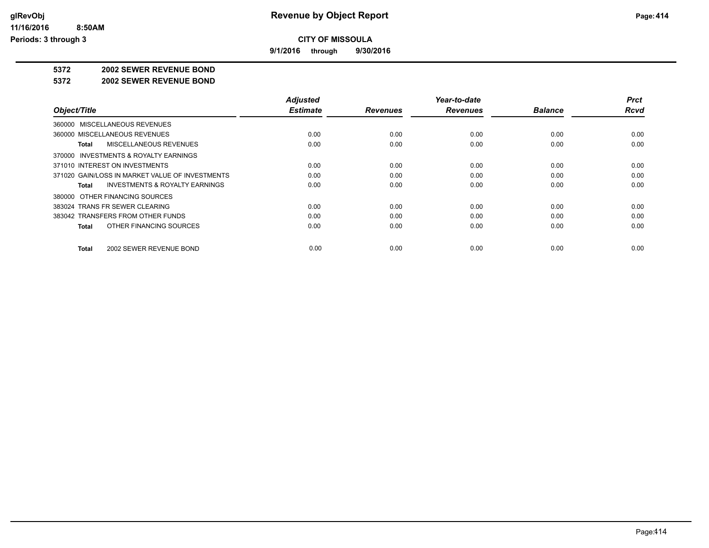**9/1/2016 through 9/30/2016**

#### **5372 2002 SEWER REVENUE BOND**

#### **5372 2002 SEWER REVENUE BOND**

|                                                 | <b>Adjusted</b> |                 | Year-to-date    |                | <b>Prct</b> |
|-------------------------------------------------|-----------------|-----------------|-----------------|----------------|-------------|
| Object/Title                                    | <b>Estimate</b> | <b>Revenues</b> | <b>Revenues</b> | <b>Balance</b> | <b>Rcvd</b> |
| 360000 MISCELLANEOUS REVENUES                   |                 |                 |                 |                |             |
| 360000 MISCELLANEOUS REVENUES                   | 0.00            | 0.00            | 0.00            | 0.00           | 0.00        |
| MISCELLANEOUS REVENUES<br>Total                 | 0.00            | 0.00            | 0.00            | 0.00           | 0.00        |
| 370000 INVESTMENTS & ROYALTY EARNINGS           |                 |                 |                 |                |             |
| 371010 INTEREST ON INVESTMENTS                  | 0.00            | 0.00            | 0.00            | 0.00           | 0.00        |
| 371020 GAIN/LOSS IN MARKET VALUE OF INVESTMENTS | 0.00            | 0.00            | 0.00            | 0.00           | 0.00        |
| INVESTMENTS & ROYALTY EARNINGS<br>Total         | 0.00            | 0.00            | 0.00            | 0.00           | 0.00        |
| 380000 OTHER FINANCING SOURCES                  |                 |                 |                 |                |             |
| 383024 TRANS FR SEWER CLEARING                  | 0.00            | 0.00            | 0.00            | 0.00           | 0.00        |
| 383042 TRANSFERS FROM OTHER FUNDS               | 0.00            | 0.00            | 0.00            | 0.00           | 0.00        |
| OTHER FINANCING SOURCES<br>Total                | 0.00            | 0.00            | 0.00            | 0.00           | 0.00        |
| 2002 SEWER REVENUE BOND<br>Total                | 0.00            | 0.00            | 0.00            | 0.00           | 0.00        |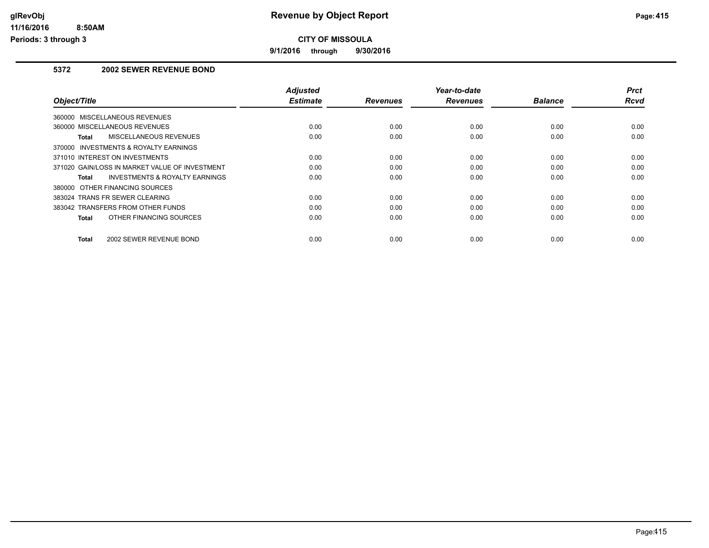**CITY OF MISSOULA**

**9/1/2016 through 9/30/2016**

## **5372 2002 SEWER REVENUE BOND**

| Object/Title                                       | <b>Adjusted</b><br><b>Estimate</b> | <b>Revenues</b> | Year-to-date<br><b>Revenues</b> | <b>Balance</b> | <b>Prct</b><br><b>Rcvd</b> |
|----------------------------------------------------|------------------------------------|-----------------|---------------------------------|----------------|----------------------------|
| 360000 MISCELLANEOUS REVENUES                      |                                    |                 |                                 |                |                            |
| 360000 MISCELLANEOUS REVENUES                      | 0.00                               | 0.00            | 0.00                            | 0.00           | 0.00                       |
| MISCELLANEOUS REVENUES<br><b>Total</b>             | 0.00                               | 0.00            | 0.00                            | 0.00           | 0.00                       |
| 370000 INVESTMENTS & ROYALTY EARNINGS              |                                    |                 |                                 |                |                            |
| 371010 INTEREST ON INVESTMENTS                     | 0.00                               | 0.00            | 0.00                            | 0.00           | 0.00                       |
| 371020 GAIN/LOSS IN MARKET VALUE OF INVESTMENT     | 0.00                               | 0.00            | 0.00                            | 0.00           | 0.00                       |
| <b>INVESTMENTS &amp; ROYALTY EARNINGS</b><br>Total | 0.00                               | 0.00            | 0.00                            | 0.00           | 0.00                       |
| 380000 OTHER FINANCING SOURCES                     |                                    |                 |                                 |                |                            |
| 383024 TRANS FR SEWER CLEARING                     | 0.00                               | 0.00            | 0.00                            | 0.00           | 0.00                       |
| 383042 TRANSFERS FROM OTHER FUNDS                  | 0.00                               | 0.00            | 0.00                            | 0.00           | 0.00                       |
| OTHER FINANCING SOURCES<br>Total                   | 0.00                               | 0.00            | 0.00                            | 0.00           | 0.00                       |
| 2002 SEWER REVENUE BOND<br><b>Total</b>            | 0.00                               | 0.00            | 0.00                            | 0.00           | 0.00                       |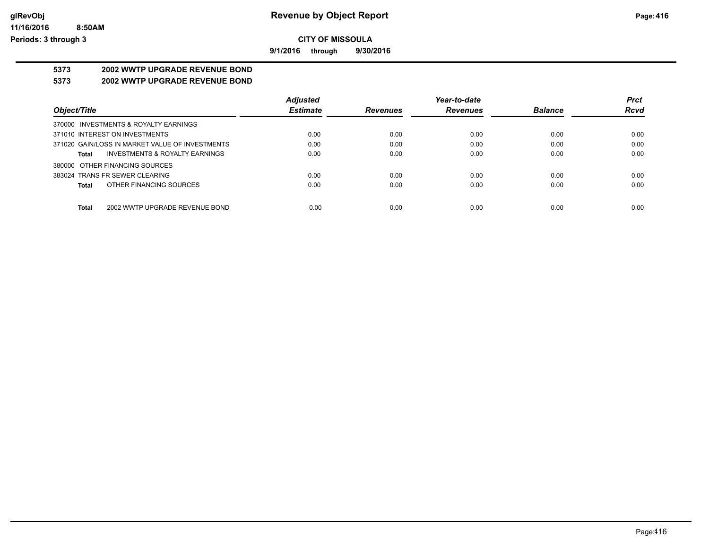**CITY OF MISSOULA**

**9/1/2016 through 9/30/2016**

## **5373 2002 WWTP UPGRADE REVENUE BOND**

## **5373 2002 WWTP UPGRADE REVENUE BOND**

|                                                 | <b>Adjusted</b> |                 | Year-to-date    |                | <b>Prct</b> |
|-------------------------------------------------|-----------------|-----------------|-----------------|----------------|-------------|
| Object/Title                                    | <b>Estimate</b> | <b>Revenues</b> | <b>Revenues</b> | <b>Balance</b> | <b>Rcvd</b> |
| 370000 INVESTMENTS & ROYALTY EARNINGS           |                 |                 |                 |                |             |
| 371010 INTEREST ON INVESTMENTS                  | 0.00            | 0.00            | 0.00            | 0.00           | 0.00        |
| 371020 GAIN/LOSS IN MARKET VALUE OF INVESTMENTS | 0.00            | 0.00            | 0.00            | 0.00           | 0.00        |
| INVESTMENTS & ROYALTY EARNINGS<br>Total         | 0.00            | 0.00            | 0.00            | 0.00           | 0.00        |
| 380000 OTHER FINANCING SOURCES                  |                 |                 |                 |                |             |
| 383024 TRANS FR SEWER CLEARING                  | 0.00            | 0.00            | 0.00            | 0.00           | 0.00        |
| OTHER FINANCING SOURCES<br>Total                | 0.00            | 0.00            | 0.00            | 0.00           | 0.00        |
|                                                 |                 |                 |                 |                |             |
| Total<br>2002 WWTP UPGRADE REVENUE BOND         | 0.00            | 0.00            | 0.00            | 0.00           | 0.00        |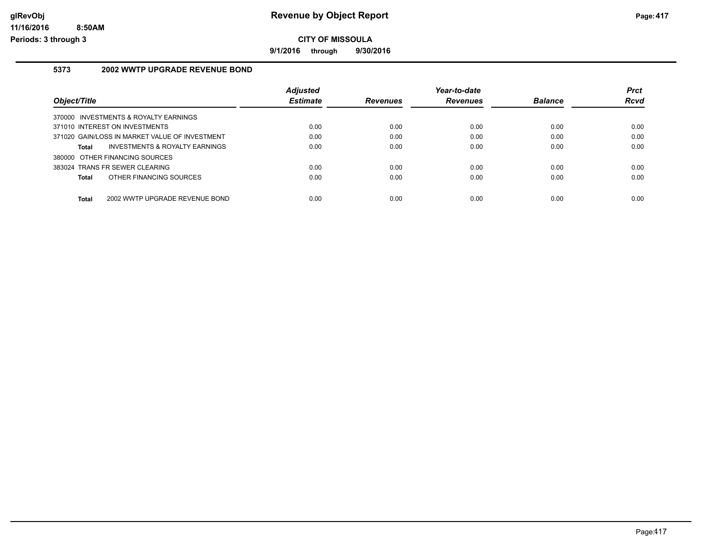**8:50AM**

**CITY OF MISSOULA**

**9/1/2016 through 9/30/2016**

## **5373 2002 WWTP UPGRADE REVENUE BOND**

|                                                | <b>Adjusted</b> |                 | Year-to-date    |                | <b>Prct</b> |
|------------------------------------------------|-----------------|-----------------|-----------------|----------------|-------------|
| Object/Title                                   | <b>Estimate</b> | <b>Revenues</b> | <b>Revenues</b> | <b>Balance</b> | <b>Rcvd</b> |
| 370000 INVESTMENTS & ROYALTY EARNINGS          |                 |                 |                 |                |             |
| 371010 INTEREST ON INVESTMENTS                 | 0.00            | 0.00            | 0.00            | 0.00           | 0.00        |
| 371020 GAIN/LOSS IN MARKET VALUE OF INVESTMENT | 0.00            | 0.00            | 0.00            | 0.00           | 0.00        |
| INVESTMENTS & ROYALTY EARNINGS<br>Total        | 0.00            | 0.00            | 0.00            | 0.00           | 0.00        |
| 380000 OTHER FINANCING SOURCES                 |                 |                 |                 |                |             |
| 383024 TRANS FR SEWER CLEARING                 | 0.00            | 0.00            | 0.00            | 0.00           | 0.00        |
| OTHER FINANCING SOURCES<br>Total               | 0.00            | 0.00            | 0.00            | 0.00           | 0.00        |
|                                                |                 |                 |                 |                |             |
| Total<br>2002 WWTP UPGRADE REVENUE BOND        | 0.00            | 0.00            | 0.00            | 0.00           | 0.00        |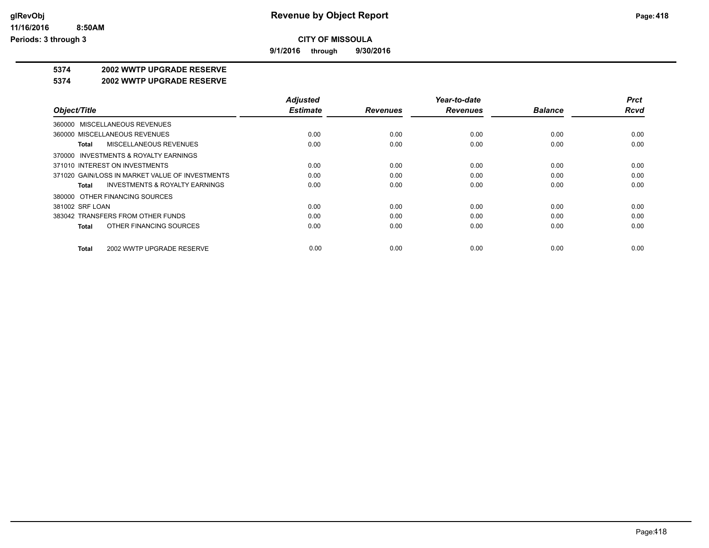**CITY OF MISSOULA**

**9/1/2016 through 9/30/2016**

**5374 2002 WWTP UPGRADE RESERVE**

 **8:50AM**

#### **5374 2002 WWTP UPGRADE RESERVE**

|                                                    | <b>Adjusted</b><br><b>Estimate</b> |                 | Year-to-date    | <b>Balance</b> | <b>Prct</b><br><b>Rcvd</b> |
|----------------------------------------------------|------------------------------------|-----------------|-----------------|----------------|----------------------------|
| Object/Title                                       |                                    | <b>Revenues</b> | <b>Revenues</b> |                |                            |
| 360000 MISCELLANEOUS REVENUES                      |                                    |                 |                 |                |                            |
| 360000 MISCELLANEOUS REVENUES                      | 0.00                               | 0.00            | 0.00            | 0.00           | 0.00                       |
| MISCELLANEOUS REVENUES<br>Total                    | 0.00                               | 0.00            | 0.00            | 0.00           | 0.00                       |
| 370000 INVESTMENTS & ROYALTY EARNINGS              |                                    |                 |                 |                |                            |
| 371010 INTEREST ON INVESTMENTS                     | 0.00                               | 0.00            | 0.00            | 0.00           | 0.00                       |
| 371020 GAIN/LOSS IN MARKET VALUE OF INVESTMENTS    | 0.00                               | 0.00            | 0.00            | 0.00           | 0.00                       |
| <b>INVESTMENTS &amp; ROYALTY EARNINGS</b><br>Total | 0.00                               | 0.00            | 0.00            | 0.00           | 0.00                       |
| 380000 OTHER FINANCING SOURCES                     |                                    |                 |                 |                |                            |
| 381002 SRF LOAN                                    | 0.00                               | 0.00            | 0.00            | 0.00           | 0.00                       |
| 383042 TRANSFERS FROM OTHER FUNDS                  | 0.00                               | 0.00            | 0.00            | 0.00           | 0.00                       |
| OTHER FINANCING SOURCES<br>Total                   | 0.00                               | 0.00            | 0.00            | 0.00           | 0.00                       |
| 2002 WWTP UPGRADE RESERVE<br>Total                 | 0.00                               | 0.00            | 0.00            | 0.00           | 0.00                       |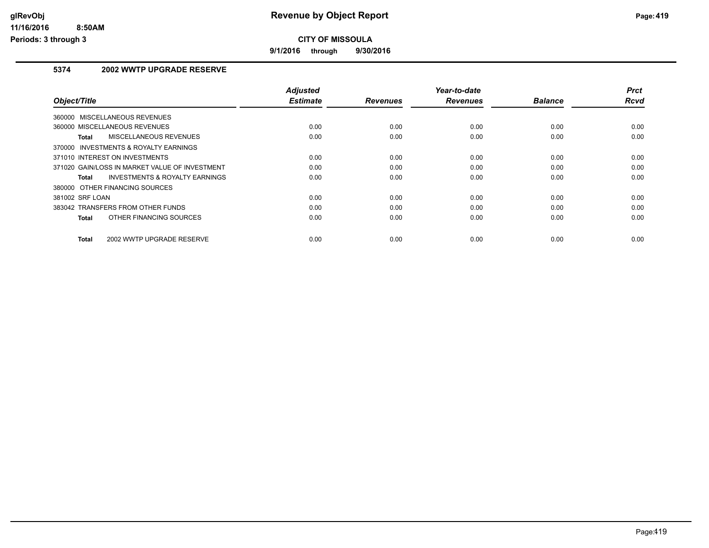**CITY OF MISSOULA**

**9/1/2016 through 9/30/2016**

## **5374 2002 WWTP UPGRADE RESERVE**

 **8:50AM**

| Object/Title                                       | <b>Adjusted</b><br><b>Estimate</b> | <b>Revenues</b> | Year-to-date<br><b>Revenues</b> | <b>Balance</b> | <b>Prct</b><br><b>Rcvd</b> |
|----------------------------------------------------|------------------------------------|-----------------|---------------------------------|----------------|----------------------------|
| 360000 MISCELLANEOUS REVENUES                      |                                    |                 |                                 |                |                            |
| 360000 MISCELLANEOUS REVENUES                      | 0.00                               | 0.00            | 0.00                            | 0.00           | 0.00                       |
| MISCELLANEOUS REVENUES<br><b>Total</b>             | 0.00                               | 0.00            | 0.00                            | 0.00           | 0.00                       |
| 370000 INVESTMENTS & ROYALTY EARNINGS              |                                    |                 |                                 |                |                            |
| 371010 INTEREST ON INVESTMENTS                     | 0.00                               | 0.00            | 0.00                            | 0.00           | 0.00                       |
| 371020 GAIN/LOSS IN MARKET VALUE OF INVESTMENT     | 0.00                               | 0.00            | 0.00                            | 0.00           | 0.00                       |
| <b>INVESTMENTS &amp; ROYALTY EARNINGS</b><br>Total | 0.00                               | 0.00            | 0.00                            | 0.00           | 0.00                       |
| 380000 OTHER FINANCING SOURCES                     |                                    |                 |                                 |                |                            |
| 381002 SRF LOAN                                    | 0.00                               | 0.00            | 0.00                            | 0.00           | 0.00                       |
| 383042 TRANSFERS FROM OTHER FUNDS                  | 0.00                               | 0.00            | 0.00                            | 0.00           | 0.00                       |
| OTHER FINANCING SOURCES<br><b>Total</b>            | 0.00                               | 0.00            | 0.00                            | 0.00           | 0.00                       |
| 2002 WWTP UPGRADE RESERVE<br><b>Total</b>          | 0.00                               | 0.00            | 0.00                            | 0.00           | 0.00                       |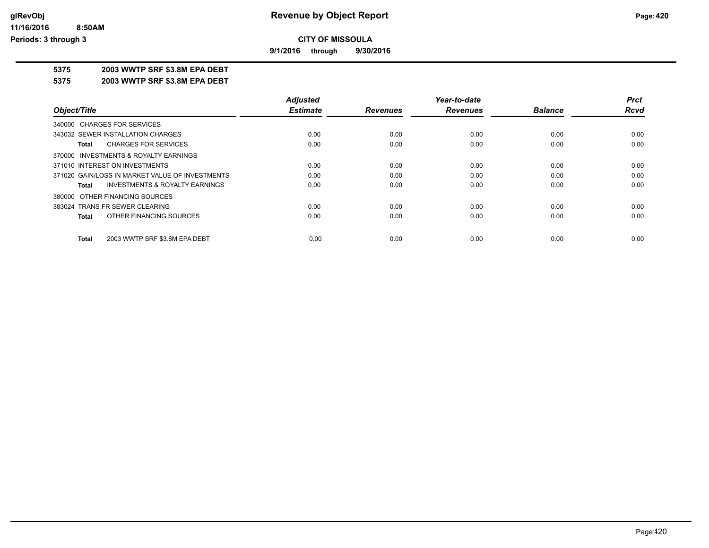**8:50AM**

**CITY OF MISSOULA**

**9/1/2016 through 9/30/2016**

**5375 2003 WWTP SRF \$3.8M EPA DEBT**

**5375 2003 WWTP SRF \$3.8M EPA DEBT**

|                                                    | <b>Adjusted</b> |                 | Year-to-date    |                | <b>Prct</b> |
|----------------------------------------------------|-----------------|-----------------|-----------------|----------------|-------------|
| Object/Title                                       | <b>Estimate</b> | <b>Revenues</b> | <b>Revenues</b> | <b>Balance</b> | <b>Rcvd</b> |
| 340000 CHARGES FOR SERVICES                        |                 |                 |                 |                |             |
| 343032 SEWER INSTALLATION CHARGES                  | 0.00            | 0.00            | 0.00            | 0.00           | 0.00        |
| <b>CHARGES FOR SERVICES</b><br>Total               | 0.00            | 0.00            | 0.00            | 0.00           | 0.00        |
| 370000 INVESTMENTS & ROYALTY EARNINGS              |                 |                 |                 |                |             |
| 371010 INTEREST ON INVESTMENTS                     | 0.00            | 0.00            | 0.00            | 0.00           | 0.00        |
| 371020 GAIN/LOSS IN MARKET VALUE OF INVESTMENTS    | 0.00            | 0.00            | 0.00            | 0.00           | 0.00        |
| <b>INVESTMENTS &amp; ROYALTY EARNINGS</b><br>Total | 0.00            | 0.00            | 0.00            | 0.00           | 0.00        |
| 380000 OTHER FINANCING SOURCES                     |                 |                 |                 |                |             |
| 383024 TRANS FR SEWER CLEARING                     | 0.00            | 0.00            | 0.00            | 0.00           | 0.00        |
| OTHER FINANCING SOURCES<br>Total                   | 0.00            | 0.00            | 0.00            | 0.00           | 0.00        |
| 2003 WWTP SRF \$3.8M EPA DEBT<br>Total             | 0.00            | 0.00            | 0.00            | 0.00           | 0.00        |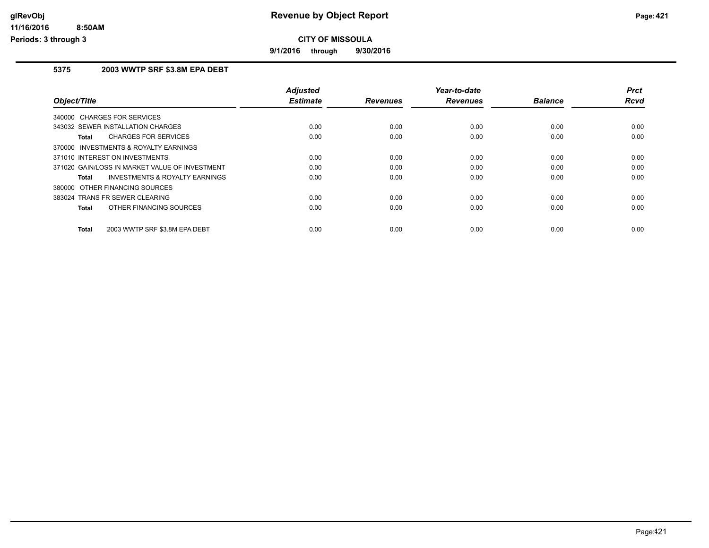**8:50AM**

**CITY OF MISSOULA**

**9/1/2016 through 9/30/2016**

## **5375 2003 WWTP SRF \$3.8M EPA DEBT**

| Object/Title                                   | <b>Adjusted</b><br><b>Estimate</b> | <b>Revenues</b> | Year-to-date<br><b>Revenues</b> | <b>Balance</b> | <b>Prct</b><br><b>Rcvd</b> |
|------------------------------------------------|------------------------------------|-----------------|---------------------------------|----------------|----------------------------|
|                                                |                                    |                 |                                 |                |                            |
| 340000 CHARGES FOR SERVICES                    |                                    |                 |                                 |                |                            |
| 343032 SEWER INSTALLATION CHARGES              | 0.00                               | 0.00            | 0.00                            | 0.00           | 0.00                       |
| <b>CHARGES FOR SERVICES</b><br>Total           | 0.00                               | 0.00            | 0.00                            | 0.00           | 0.00                       |
| 370000 INVESTMENTS & ROYALTY EARNINGS          |                                    |                 |                                 |                |                            |
| 371010 INTEREST ON INVESTMENTS                 | 0.00                               | 0.00            | 0.00                            | 0.00           | 0.00                       |
| 371020 GAIN/LOSS IN MARKET VALUE OF INVESTMENT | 0.00                               | 0.00            | 0.00                            | 0.00           | 0.00                       |
| INVESTMENTS & ROYALTY EARNINGS<br>Total        | 0.00                               | 0.00            | 0.00                            | 0.00           | 0.00                       |
| 380000 OTHER FINANCING SOURCES                 |                                    |                 |                                 |                |                            |
| 383024 TRANS FR SEWER CLEARING                 | 0.00                               | 0.00            | 0.00                            | 0.00           | 0.00                       |
| OTHER FINANCING SOURCES<br>Total               | 0.00                               | 0.00            | 0.00                            | 0.00           | 0.00                       |
| 2003 WWTP SRF \$3.8M EPA DEBT<br><b>Total</b>  | 0.00                               | 0.00            | 0.00                            | 0.00           | 0.00                       |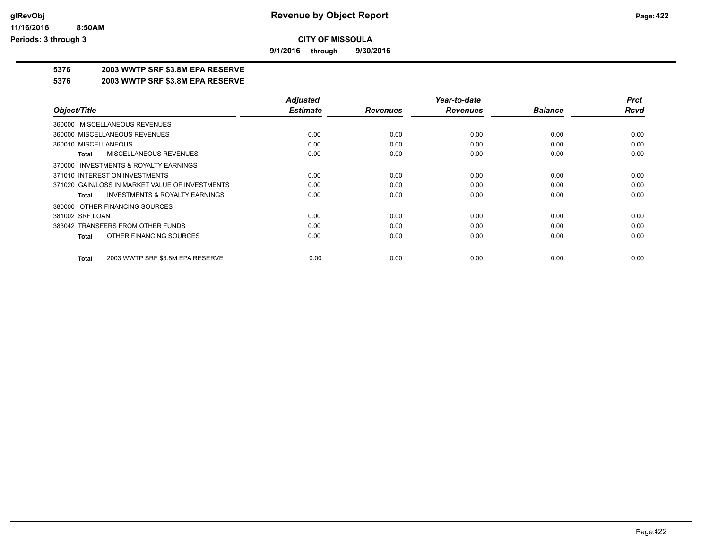**CITY OF MISSOULA**

**9/1/2016 through 9/30/2016**

## **5376 2003 WWTP SRF \$3.8M EPA RESERVE**

### **5376 2003 WWTP SRF \$3.8M EPA RESERVE**

|                                                    | <b>Adjusted</b> |                 | Year-to-date    |                | <b>Prct</b> |
|----------------------------------------------------|-----------------|-----------------|-----------------|----------------|-------------|
| Object/Title                                       | <b>Estimate</b> | <b>Revenues</b> | <b>Revenues</b> | <b>Balance</b> | <b>Rcvd</b> |
| 360000 MISCELLANEOUS REVENUES                      |                 |                 |                 |                |             |
| 360000 MISCELLANEOUS REVENUES                      | 0.00            | 0.00            | 0.00            | 0.00           | 0.00        |
| 360010 MISCELLANEOUS                               | 0.00            | 0.00            | 0.00            | 0.00           | 0.00        |
| MISCELLANEOUS REVENUES<br>Total                    | 0.00            | 0.00            | 0.00            | 0.00           | 0.00        |
| 370000 INVESTMENTS & ROYALTY EARNINGS              |                 |                 |                 |                |             |
| 371010 INTEREST ON INVESTMENTS                     | 0.00            | 0.00            | 0.00            | 0.00           | 0.00        |
| 371020 GAIN/LOSS IN MARKET VALUE OF INVESTMENTS    | 0.00            | 0.00            | 0.00            | 0.00           | 0.00        |
| <b>INVESTMENTS &amp; ROYALTY EARNINGS</b><br>Total | 0.00            | 0.00            | 0.00            | 0.00           | 0.00        |
| 380000 OTHER FINANCING SOURCES                     |                 |                 |                 |                |             |
| 381002 SRF LOAN                                    | 0.00            | 0.00            | 0.00            | 0.00           | 0.00        |
| 383042 TRANSFERS FROM OTHER FUNDS                  | 0.00            | 0.00            | 0.00            | 0.00           | 0.00        |
| OTHER FINANCING SOURCES<br>Total                   | 0.00            | 0.00            | 0.00            | 0.00           | 0.00        |
| 2003 WWTP SRF \$3.8M EPA RESERVE<br>Total          | 0.00            | 0.00            | 0.00            | 0.00           | 0.00        |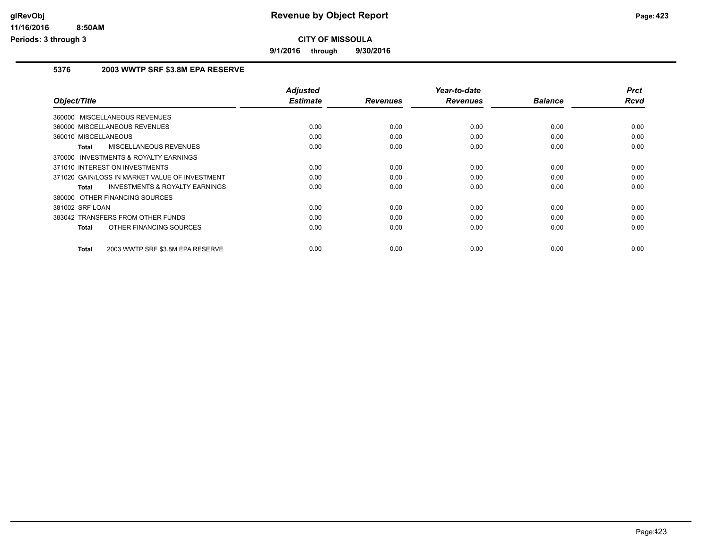**9/1/2016 through 9/30/2016**

## **5376 2003 WWTP SRF \$3.8M EPA RESERVE**

| Object/Title                                              | <b>Adjusted</b><br><b>Estimate</b> | <b>Revenues</b> | Year-to-date<br><b>Revenues</b> | <b>Balance</b> | <b>Prct</b><br>Rcvd |
|-----------------------------------------------------------|------------------------------------|-----------------|---------------------------------|----------------|---------------------|
|                                                           |                                    |                 |                                 |                |                     |
| 360000 MISCELLANEOUS REVENUES                             |                                    |                 |                                 |                |                     |
| 360000 MISCELLANEOUS REVENUES                             | 0.00                               | 0.00            | 0.00                            | 0.00           | 0.00                |
| 360010 MISCELLANEOUS                                      | 0.00                               | 0.00            | 0.00                            | 0.00           | 0.00                |
| <b>MISCELLANEOUS REVENUES</b><br><b>Total</b>             | 0.00                               | 0.00            | 0.00                            | 0.00           | 0.00                |
| INVESTMENTS & ROYALTY EARNINGS<br>370000                  |                                    |                 |                                 |                |                     |
| 371010 INTEREST ON INVESTMENTS                            | 0.00                               | 0.00            | 0.00                            | 0.00           | 0.00                |
| 371020 GAIN/LOSS IN MARKET VALUE OF INVESTMENT            | 0.00                               | 0.00            | 0.00                            | 0.00           | 0.00                |
| <b>INVESTMENTS &amp; ROYALTY EARNINGS</b><br><b>Total</b> | 0.00                               | 0.00            | 0.00                            | 0.00           | 0.00                |
| 380000 OTHER FINANCING SOURCES                            |                                    |                 |                                 |                |                     |
| 381002 SRF LOAN                                           | 0.00                               | 0.00            | 0.00                            | 0.00           | 0.00                |
| 383042 TRANSFERS FROM OTHER FUNDS                         | 0.00                               | 0.00            | 0.00                            | 0.00           | 0.00                |
| OTHER FINANCING SOURCES<br><b>Total</b>                   | 0.00                               | 0.00            | 0.00                            | 0.00           | 0.00                |
|                                                           |                                    |                 |                                 |                |                     |
| 2003 WWTP SRF \$3.8M EPA RESERVE<br><b>Total</b>          | 0.00                               | 0.00            | 0.00                            | 0.00           | 0.00                |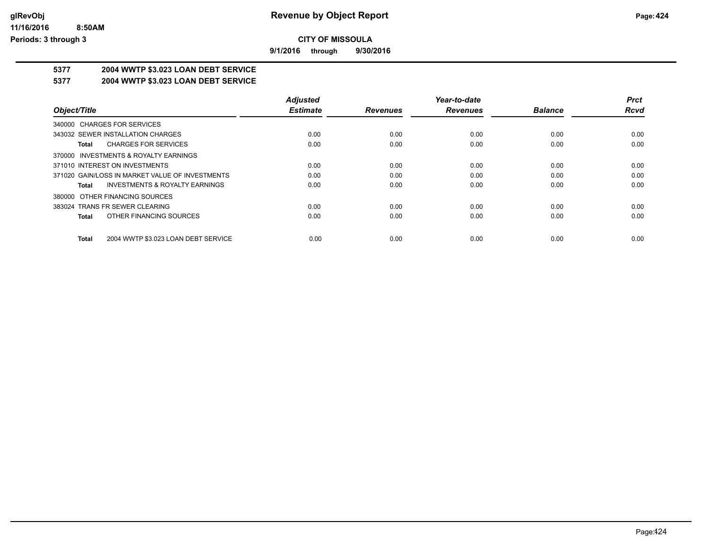**8:50AM**

**CITY OF MISSOULA**

**9/1/2016 through 9/30/2016**

# **5377 2004 WWTP \$3.023 LOAN DEBT SERVICE**

## **5377 2004 WWTP \$3.023 LOAN DEBT SERVICE**

|                                                    | <b>Adjusted</b> |                 | Year-to-date    |                | <b>Prct</b> |
|----------------------------------------------------|-----------------|-----------------|-----------------|----------------|-------------|
| Object/Title                                       | <b>Estimate</b> | <b>Revenues</b> | <b>Revenues</b> | <b>Balance</b> | <b>Rcvd</b> |
| 340000 CHARGES FOR SERVICES                        |                 |                 |                 |                |             |
| 343032 SEWER INSTALLATION CHARGES                  | 0.00            | 0.00            | 0.00            | 0.00           | 0.00        |
| <b>CHARGES FOR SERVICES</b><br>Total               | 0.00            | 0.00            | 0.00            | 0.00           | 0.00        |
| 370000 INVESTMENTS & ROYALTY EARNINGS              |                 |                 |                 |                |             |
| 371010 INTEREST ON INVESTMENTS                     | 0.00            | 0.00            | 0.00            | 0.00           | 0.00        |
| 371020 GAIN/LOSS IN MARKET VALUE OF INVESTMENTS    | 0.00            | 0.00            | 0.00            | 0.00           | 0.00        |
| <b>INVESTMENTS &amp; ROYALTY EARNINGS</b><br>Total | 0.00            | 0.00            | 0.00            | 0.00           | 0.00        |
| 380000 OTHER FINANCING SOURCES                     |                 |                 |                 |                |             |
| 383024 TRANS FR SEWER CLEARING                     | 0.00            | 0.00            | 0.00            | 0.00           | 0.00        |
| OTHER FINANCING SOURCES<br>Total                   | 0.00            | 0.00            | 0.00            | 0.00           | 0.00        |
| 2004 WWTP \$3.023 LOAN DEBT SERVICE<br>Total       | 0.00            | 0.00            | 0.00            | 0.00           | 0.00        |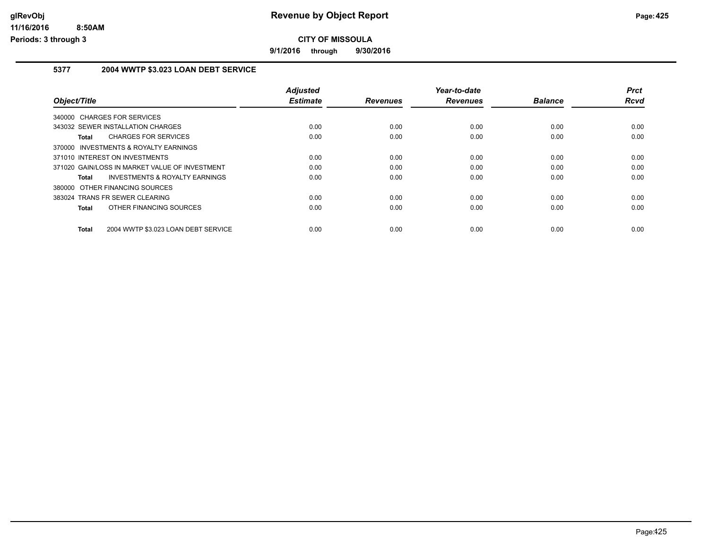**9/1/2016 through 9/30/2016**

## **5377 2004 WWTP \$3.023 LOAN DEBT SERVICE**

|                                                     | <b>Adjusted</b> |                 | Year-to-date    |                | <b>Prct</b> |
|-----------------------------------------------------|-----------------|-----------------|-----------------|----------------|-------------|
| Object/Title                                        | <b>Estimate</b> | <b>Revenues</b> | <b>Revenues</b> | <b>Balance</b> | <b>Rcvd</b> |
| 340000 CHARGES FOR SERVICES                         |                 |                 |                 |                |             |
| 343032 SEWER INSTALLATION CHARGES                   | 0.00            | 0.00            | 0.00            | 0.00           | 0.00        |
| <b>CHARGES FOR SERVICES</b><br><b>Total</b>         | 0.00            | 0.00            | 0.00            | 0.00           | 0.00        |
| 370000 INVESTMENTS & ROYALTY EARNINGS               |                 |                 |                 |                |             |
| 371010 INTEREST ON INVESTMENTS                      | 0.00            | 0.00            | 0.00            | 0.00           | 0.00        |
| 371020 GAIN/LOSS IN MARKET VALUE OF INVESTMENT      | 0.00            | 0.00            | 0.00            | 0.00           | 0.00        |
| <b>INVESTMENTS &amp; ROYALTY EARNINGS</b><br>Total  | 0.00            | 0.00            | 0.00            | 0.00           | 0.00        |
| 380000 OTHER FINANCING SOURCES                      |                 |                 |                 |                |             |
| 383024 TRANS FR SEWER CLEARING                      | 0.00            | 0.00            | 0.00            | 0.00           | 0.00        |
| OTHER FINANCING SOURCES<br><b>Total</b>             | 0.00            | 0.00            | 0.00            | 0.00           | 0.00        |
| <b>Total</b><br>2004 WWTP \$3.023 LOAN DEBT SERVICE | 0.00            | 0.00            | 0.00            | 0.00           | 0.00        |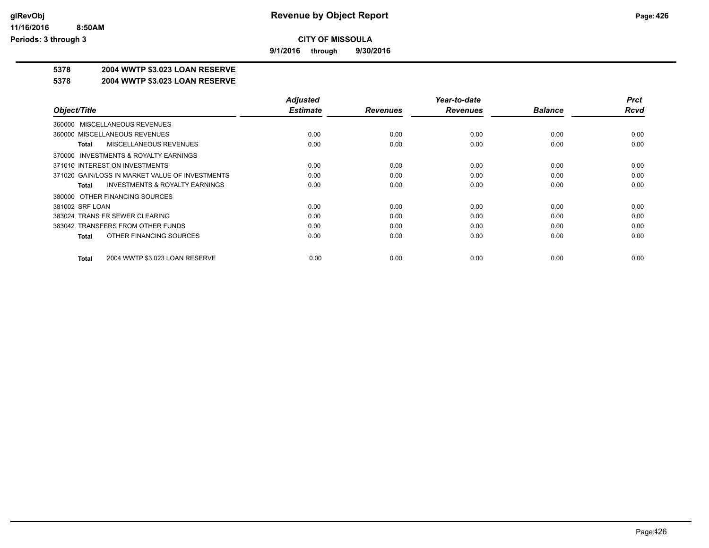**9/1/2016 through 9/30/2016**

## **5378 2004 WWTP \$3.023 LOAN RESERVE**

## **5378 2004 WWTP \$3.023 LOAN RESERVE**

|                                                    | <b>Adjusted</b> |                 | Year-to-date    |                | <b>Prct</b> |
|----------------------------------------------------|-----------------|-----------------|-----------------|----------------|-------------|
| Object/Title                                       | <b>Estimate</b> | <b>Revenues</b> | <b>Revenues</b> | <b>Balance</b> | <b>Rcvd</b> |
| 360000 MISCELLANEOUS REVENUES                      |                 |                 |                 |                |             |
| 360000 MISCELLANEOUS REVENUES                      | 0.00            | 0.00            | 0.00            | 0.00           | 0.00        |
| MISCELLANEOUS REVENUES<br>Total                    | 0.00            | 0.00            | 0.00            | 0.00           | 0.00        |
| 370000 INVESTMENTS & ROYALTY EARNINGS              |                 |                 |                 |                |             |
| 371010 INTEREST ON INVESTMENTS                     | 0.00            | 0.00            | 0.00            | 0.00           | 0.00        |
| 371020 GAIN/LOSS IN MARKET VALUE OF INVESTMENTS    | 0.00            | 0.00            | 0.00            | 0.00           | 0.00        |
| <b>INVESTMENTS &amp; ROYALTY EARNINGS</b><br>Total | 0.00            | 0.00            | 0.00            | 0.00           | 0.00        |
| 380000 OTHER FINANCING SOURCES                     |                 |                 |                 |                |             |
| 381002 SRF LOAN                                    | 0.00            | 0.00            | 0.00            | 0.00           | 0.00        |
| 383024 TRANS FR SEWER CLEARING                     | 0.00            | 0.00            | 0.00            | 0.00           | 0.00        |
| 383042 TRANSFERS FROM OTHER FUNDS                  | 0.00            | 0.00            | 0.00            | 0.00           | 0.00        |
| OTHER FINANCING SOURCES<br>Total                   | 0.00            | 0.00            | 0.00            | 0.00           | 0.00        |
|                                                    |                 |                 |                 |                |             |
| 2004 WWTP \$3.023 LOAN RESERVE<br>Total            | 0.00            | 0.00            | 0.00            | 0.00           | 0.00        |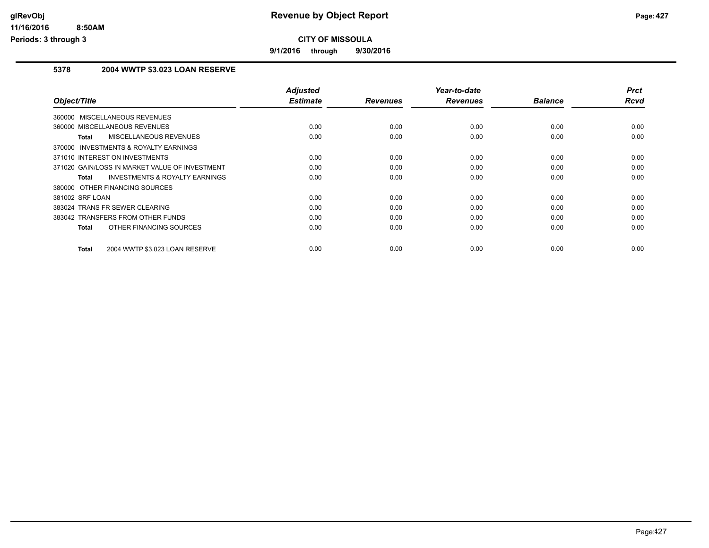**9/1/2016 through 9/30/2016**

## **5378 2004 WWTP \$3.023 LOAN RESERVE**

| Object/Title                                       | <b>Adjusted</b><br><b>Estimate</b> | <b>Revenues</b> | Year-to-date<br><b>Revenues</b> | <b>Balance</b> | <b>Prct</b><br><b>Rcvd</b> |
|----------------------------------------------------|------------------------------------|-----------------|---------------------------------|----------------|----------------------------|
|                                                    |                                    |                 |                                 |                |                            |
| <b>MISCELLANEOUS REVENUES</b><br>360000            |                                    |                 |                                 |                |                            |
| 360000 MISCELLANEOUS REVENUES                      | 0.00                               | 0.00            | 0.00                            | 0.00           | 0.00                       |
| MISCELLANEOUS REVENUES<br><b>Total</b>             | 0.00                               | 0.00            | 0.00                            | 0.00           | 0.00                       |
| INVESTMENTS & ROYALTY EARNINGS<br>370000           |                                    |                 |                                 |                |                            |
| 371010 INTEREST ON INVESTMENTS                     | 0.00                               | 0.00            | 0.00                            | 0.00           | 0.00                       |
| 371020 GAIN/LOSS IN MARKET VALUE OF INVESTMENT     | 0.00                               | 0.00            | 0.00                            | 0.00           | 0.00                       |
| <b>INVESTMENTS &amp; ROYALTY EARNINGS</b><br>Total | 0.00                               | 0.00            | 0.00                            | 0.00           | 0.00                       |
| 380000 OTHER FINANCING SOURCES                     |                                    |                 |                                 |                |                            |
| 381002 SRF LOAN                                    | 0.00                               | 0.00            | 0.00                            | 0.00           | 0.00                       |
| 383024 TRANS FR SEWER CLEARING                     | 0.00                               | 0.00            | 0.00                            | 0.00           | 0.00                       |
| 383042 TRANSFERS FROM OTHER FUNDS                  | 0.00                               | 0.00            | 0.00                            | 0.00           | 0.00                       |
| OTHER FINANCING SOURCES<br><b>Total</b>            | 0.00                               | 0.00            | 0.00                            | 0.00           | 0.00                       |
| 2004 WWTP \$3.023 LOAN RESERVE<br><b>Total</b>     | 0.00                               | 0.00            | 0.00                            | 0.00           | 0.00                       |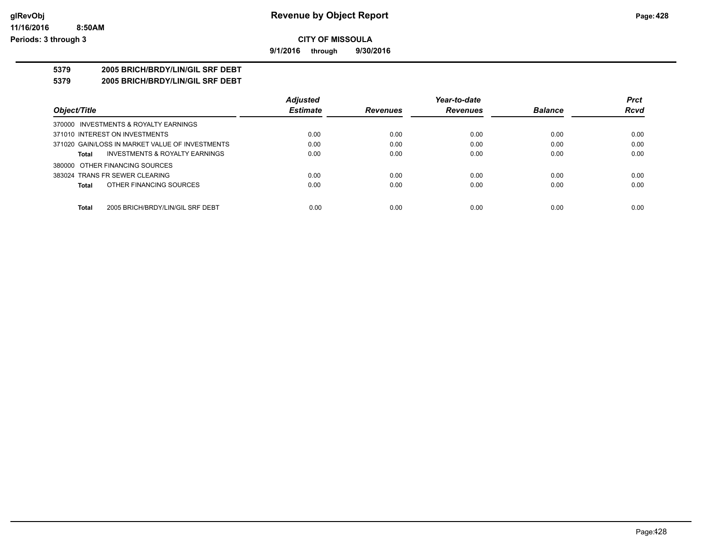**9/1/2016 through 9/30/2016**

## **5379 2005 BRICH/BRDY/LIN/GIL SRF DEBT**

## **5379 2005 BRICH/BRDY/LIN/GIL SRF DEBT**

|                                                 | <b>Adjusted</b> |                 | Year-to-date    |                | <b>Prct</b> |
|-------------------------------------------------|-----------------|-----------------|-----------------|----------------|-------------|
| Object/Title                                    | <b>Estimate</b> | <b>Revenues</b> | <b>Revenues</b> | <b>Balance</b> | <b>Rcvd</b> |
| 370000 INVESTMENTS & ROYALTY EARNINGS           |                 |                 |                 |                |             |
| 371010 INTEREST ON INVESTMENTS                  | 0.00            | 0.00            | 0.00            | 0.00           | 0.00        |
| 371020 GAIN/LOSS IN MARKET VALUE OF INVESTMENTS | 0.00            | 0.00            | 0.00            | 0.00           | 0.00        |
| INVESTMENTS & ROYALTY EARNINGS<br><b>Total</b>  | 0.00            | 0.00            | 0.00            | 0.00           | 0.00        |
| 380000 OTHER FINANCING SOURCES                  |                 |                 |                 |                |             |
| 383024 TRANS FR SEWER CLEARING                  | 0.00            | 0.00            | 0.00            | 0.00           | 0.00        |
| OTHER FINANCING SOURCES<br><b>Total</b>         | 0.00            | 0.00            | 0.00            | 0.00           | 0.00        |
| 2005 BRICH/BRDY/LIN/GIL SRF DEBT                | 0.00            | 0.00            | 0.00            | 0.00           | 0.00        |
| <b>Total</b>                                    |                 |                 |                 |                |             |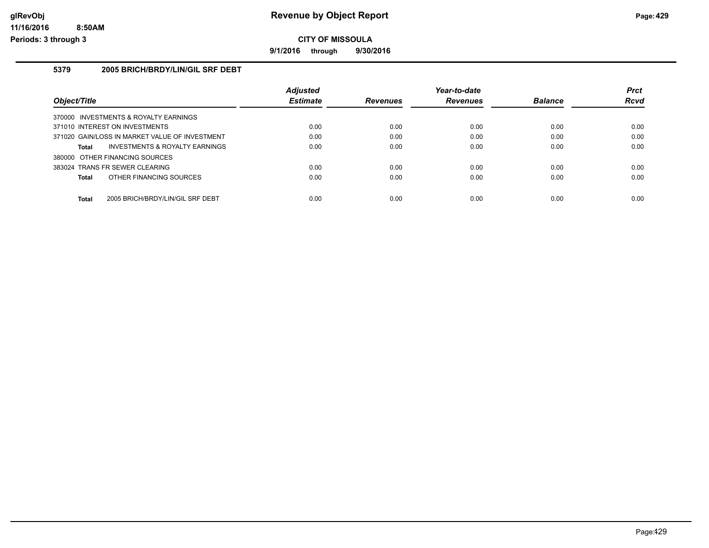**8:50AM**

**CITY OF MISSOULA**

**9/1/2016 through 9/30/2016**

## **5379 2005 BRICH/BRDY/LIN/GIL SRF DEBT**

|                                                  | <b>Adjusted</b> |                 | Year-to-date    |                | <b>Prct</b> |
|--------------------------------------------------|-----------------|-----------------|-----------------|----------------|-------------|
| Object/Title                                     | <b>Estimate</b> | <b>Revenues</b> | <b>Revenues</b> | <b>Balance</b> | <b>Rcvd</b> |
| 370000 INVESTMENTS & ROYALTY EARNINGS            |                 |                 |                 |                |             |
| 371010 INTEREST ON INVESTMENTS                   | 0.00            | 0.00            | 0.00            | 0.00           | 0.00        |
| 371020 GAIN/LOSS IN MARKET VALUE OF INVESTMENT   | 0.00            | 0.00            | 0.00            | 0.00           | 0.00        |
| INVESTMENTS & ROYALTY EARNINGS<br>Total          | 0.00            | 0.00            | 0.00            | 0.00           | 0.00        |
| 380000 OTHER FINANCING SOURCES                   |                 |                 |                 |                |             |
| 383024 TRANS FR SEWER CLEARING                   | 0.00            | 0.00            | 0.00            | 0.00           | 0.00        |
| OTHER FINANCING SOURCES<br>Total                 | 0.00            | 0.00            | 0.00            | 0.00           | 0.00        |
| <b>Total</b><br>2005 BRICH/BRDY/LIN/GIL SRF DEBT | 0.00            | 0.00            | 0.00            | 0.00           | 0.00        |
|                                                  |                 |                 |                 |                |             |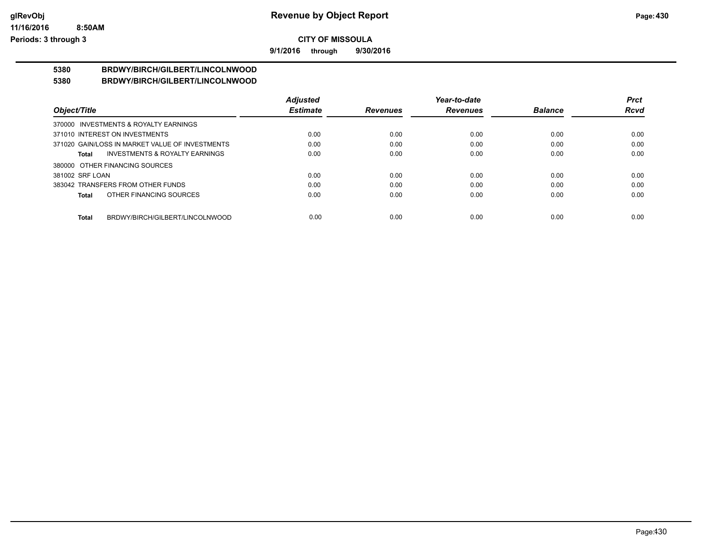**CITY OF MISSOULA**

**9/1/2016 through 9/30/2016**

### **5380 BRDWY/BIRCH/GILBERT/LINCOLNWOOD 5380 BRDWY/BIRCH/GILBERT/LINCOLNWOOD**

|                                                 | <b>Adjusted</b> |                 | Year-to-date    |                | <b>Prct</b> |
|-------------------------------------------------|-----------------|-----------------|-----------------|----------------|-------------|
| Object/Title                                    | <b>Estimate</b> | <b>Revenues</b> | <b>Revenues</b> | <b>Balance</b> | <b>Rcvd</b> |
| 370000 INVESTMENTS & ROYALTY EARNINGS           |                 |                 |                 |                |             |
| 371010 INTEREST ON INVESTMENTS                  | 0.00            | 0.00            | 0.00            | 0.00           | 0.00        |
| 371020 GAIN/LOSS IN MARKET VALUE OF INVESTMENTS | 0.00            | 0.00            | 0.00            | 0.00           | 0.00        |
| INVESTMENTS & ROYALTY EARNINGS<br>Total         | 0.00            | 0.00            | 0.00            | 0.00           | 0.00        |
| 380000 OTHER FINANCING SOURCES                  |                 |                 |                 |                |             |
| 381002 SRF LOAN                                 | 0.00            | 0.00            | 0.00            | 0.00           | 0.00        |
| 383042 TRANSFERS FROM OTHER FUNDS               | 0.00            | 0.00            | 0.00            | 0.00           | 0.00        |
| OTHER FINANCING SOURCES<br><b>Total</b>         | 0.00            | 0.00            | 0.00            | 0.00           | 0.00        |
|                                                 |                 |                 |                 |                |             |
| BRDWY/BIRCH/GILBERT/LINCOLNWOOD<br><b>Total</b> | 0.00            | 0.00            | 0.00            | 0.00           | 0.00        |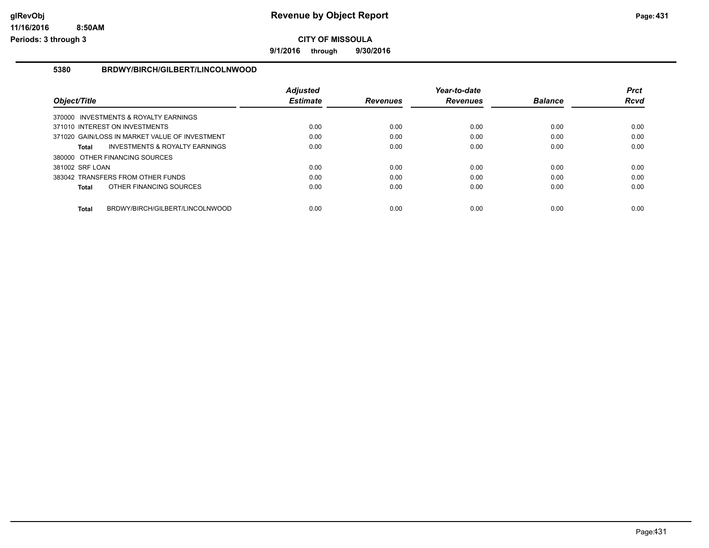**8:50AM**

**CITY OF MISSOULA**

**9/1/2016 through 9/30/2016**

## **5380 BRDWY/BIRCH/GILBERT/LINCOLNWOOD**

|                                                 | <b>Adjusted</b> |                 | Year-to-date    |                | <b>Prct</b> |
|-------------------------------------------------|-----------------|-----------------|-----------------|----------------|-------------|
| Object/Title                                    | <b>Estimate</b> | <b>Revenues</b> | <b>Revenues</b> | <b>Balance</b> | Rcvd        |
| 370000 INVESTMENTS & ROYALTY EARNINGS           |                 |                 |                 |                |             |
| 371010 INTEREST ON INVESTMENTS                  | 0.00            | 0.00            | 0.00            | 0.00           | 0.00        |
| 371020 GAIN/LOSS IN MARKET VALUE OF INVESTMENT  | 0.00            | 0.00            | 0.00            | 0.00           | 0.00        |
| INVESTMENTS & ROYALTY EARNINGS<br>Total         | 0.00            | 0.00            | 0.00            | 0.00           | 0.00        |
| 380000 OTHER FINANCING SOURCES                  |                 |                 |                 |                |             |
| 381002 SRF LOAN                                 | 0.00            | 0.00            | 0.00            | 0.00           | 0.00        |
| 383042 TRANSFERS FROM OTHER FUNDS               | 0.00            | 0.00            | 0.00            | 0.00           | 0.00        |
| OTHER FINANCING SOURCES<br><b>Total</b>         | 0.00            | 0.00            | 0.00            | 0.00           | 0.00        |
|                                                 |                 |                 |                 |                |             |
| BRDWY/BIRCH/GILBERT/LINCOLNWOOD<br><b>Total</b> | 0.00            | 0.00            | 0.00            | 0.00           | 0.00        |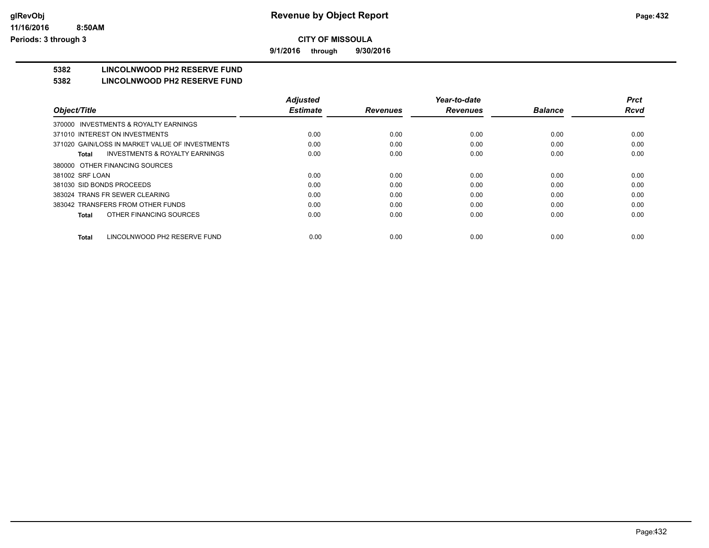**9/1/2016 through 9/30/2016**

## **5382 LINCOLNWOOD PH2 RESERVE FUND**

## **5382 LINCOLNWOOD PH2 RESERVE FUND**

|                                                    | <b>Adiusted</b> |                 | Year-to-date    |                | <b>Prct</b> |
|----------------------------------------------------|-----------------|-----------------|-----------------|----------------|-------------|
| Object/Title                                       | <b>Estimate</b> | <b>Revenues</b> | <b>Revenues</b> | <b>Balance</b> | <b>Rcvd</b> |
| INVESTMENTS & ROYALTY EARNINGS<br>370000           |                 |                 |                 |                |             |
| 371010 INTEREST ON INVESTMENTS                     | 0.00            | 0.00            | 0.00            | 0.00           | 0.00        |
| 371020 GAIN/LOSS IN MARKET VALUE OF INVESTMENTS    | 0.00            | 0.00            | 0.00            | 0.00           | 0.00        |
| <b>INVESTMENTS &amp; ROYALTY EARNINGS</b><br>Total | 0.00            | 0.00            | 0.00            | 0.00           | 0.00        |
| 380000 OTHER FINANCING SOURCES                     |                 |                 |                 |                |             |
| 381002 SRF LOAN                                    | 0.00            | 0.00            | 0.00            | 0.00           | 0.00        |
| 381030 SID BONDS PROCEEDS                          | 0.00            | 0.00            | 0.00            | 0.00           | 0.00        |
| 383024 TRANS FR SEWER CLEARING                     | 0.00            | 0.00            | 0.00            | 0.00           | 0.00        |
| 383042 TRANSFERS FROM OTHER FUNDS                  | 0.00            | 0.00            | 0.00            | 0.00           | 0.00        |
| OTHER FINANCING SOURCES<br>Total                   | 0.00            | 0.00            | 0.00            | 0.00           | 0.00        |
| LINCOLNWOOD PH2 RESERVE FUND<br><b>Total</b>       | 0.00            | 0.00            | 0.00            | 0.00           | 0.00        |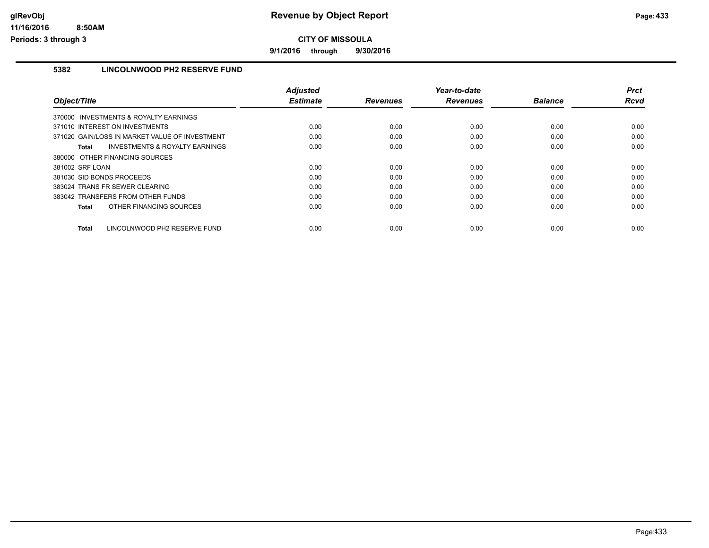**9/1/2016 through 9/30/2016**

#### **5382 LINCOLNWOOD PH2 RESERVE FUND**

|                                                | <b>Adjusted</b> |                 | Year-to-date    |                | <b>Prct</b> |
|------------------------------------------------|-----------------|-----------------|-----------------|----------------|-------------|
| Object/Title                                   | <b>Estimate</b> | <b>Revenues</b> | <b>Revenues</b> | <b>Balance</b> | <b>Rcvd</b> |
| 370000 INVESTMENTS & ROYALTY EARNINGS          |                 |                 |                 |                |             |
| 371010 INTEREST ON INVESTMENTS                 | 0.00            | 0.00            | 0.00            | 0.00           | 0.00        |
| 371020 GAIN/LOSS IN MARKET VALUE OF INVESTMENT | 0.00            | 0.00            | 0.00            | 0.00           | 0.00        |
| INVESTMENTS & ROYALTY EARNINGS<br>Total        | 0.00            | 0.00            | 0.00            | 0.00           | 0.00        |
| 380000 OTHER FINANCING SOURCES                 |                 |                 |                 |                |             |
| 381002 SRF LOAN                                | 0.00            | 0.00            | 0.00            | 0.00           | 0.00        |
| 381030 SID BONDS PROCEEDS                      | 0.00            | 0.00            | 0.00            | 0.00           | 0.00        |
| 383024 TRANS FR SEWER CLEARING                 | 0.00            | 0.00            | 0.00            | 0.00           | 0.00        |
| 383042 TRANSFERS FROM OTHER FUNDS              | 0.00            | 0.00            | 0.00            | 0.00           | 0.00        |
| OTHER FINANCING SOURCES<br>Total               | 0.00            | 0.00            | 0.00            | 0.00           | 0.00        |
|                                                |                 |                 |                 |                |             |
| LINCOLNWOOD PH2 RESERVE FUND<br>Total          | 0.00            | 0.00            | 0.00            | 0.00           | 0.00        |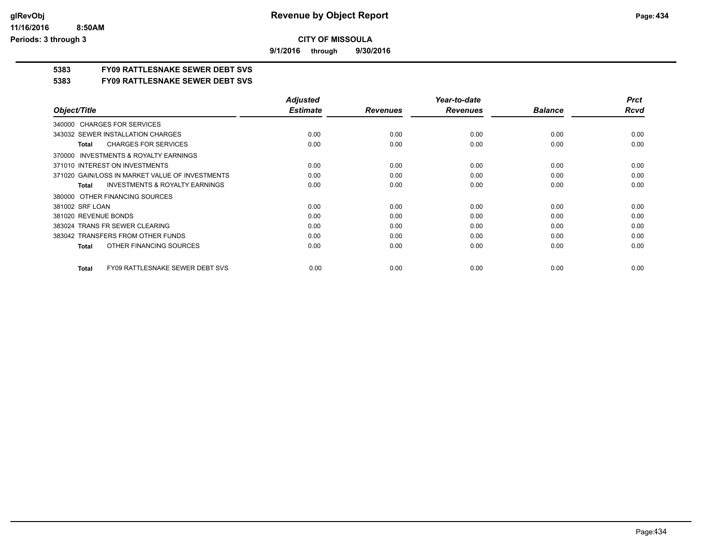**9/1/2016 through 9/30/2016**

#### **5383 FY09 RATTLESNAKE SEWER DEBT SVS**

#### **5383 FY09 RATTLESNAKE SEWER DEBT SVS**

|                                                        | <b>Adjusted</b> |                 | Year-to-date    |                | <b>Prct</b> |
|--------------------------------------------------------|-----------------|-----------------|-----------------|----------------|-------------|
| Object/Title                                           | <b>Estimate</b> | <b>Revenues</b> | <b>Revenues</b> | <b>Balance</b> | <b>Rcvd</b> |
| 340000 CHARGES FOR SERVICES                            |                 |                 |                 |                |             |
| 343032 SEWER INSTALLATION CHARGES                      | 0.00            | 0.00            | 0.00            | 0.00           | 0.00        |
| <b>CHARGES FOR SERVICES</b><br>Total                   | 0.00            | 0.00            | 0.00            | 0.00           | 0.00        |
| <b>INVESTMENTS &amp; ROYALTY EARNINGS</b><br>370000    |                 |                 |                 |                |             |
| 371010 INTEREST ON INVESTMENTS                         | 0.00            | 0.00            | 0.00            | 0.00           | 0.00        |
| 371020 GAIN/LOSS IN MARKET VALUE OF INVESTMENTS        | 0.00            | 0.00            | 0.00            | 0.00           | 0.00        |
| <b>INVESTMENTS &amp; ROYALTY EARNINGS</b><br>Total     | 0.00            | 0.00            | 0.00            | 0.00           | 0.00        |
| OTHER FINANCING SOURCES<br>380000                      |                 |                 |                 |                |             |
| 381002 SRF LOAN                                        | 0.00            | 0.00            | 0.00            | 0.00           | 0.00        |
| 381020 REVENUE BONDS                                   | 0.00            | 0.00            | 0.00            | 0.00           | 0.00        |
| 383024 TRANS FR SEWER CLEARING                         | 0.00            | 0.00            | 0.00            | 0.00           | 0.00        |
| 383042 TRANSFERS FROM OTHER FUNDS                      | 0.00            | 0.00            | 0.00            | 0.00           | 0.00        |
| OTHER FINANCING SOURCES<br>Total                       | 0.00            | 0.00            | 0.00            | 0.00           | 0.00        |
| <b>FY09 RATTLESNAKE SEWER DEBT SVS</b><br><b>Total</b> | 0.00            | 0.00            | 0.00            | 0.00           | 0.00        |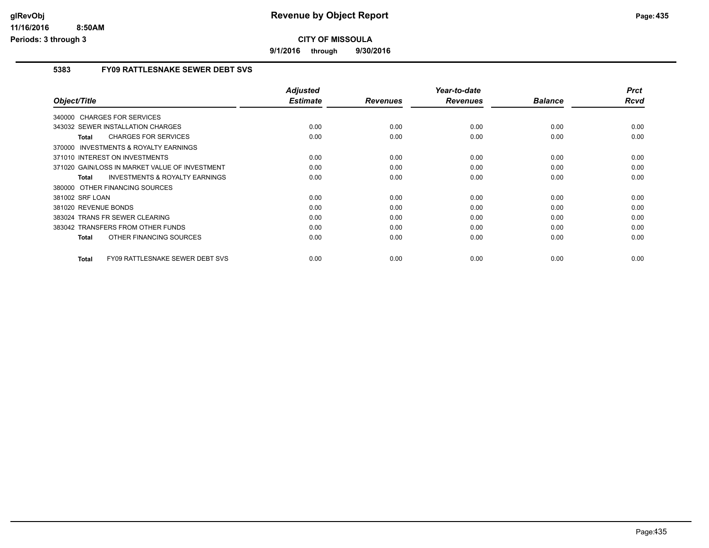**8:50AM**

**CITY OF MISSOULA**

**9/1/2016 through 9/30/2016**

#### **5383 FY09 RATTLESNAKE SEWER DEBT SVS**

| Object/Title                                              | <b>Adjusted</b><br><b>Estimate</b> | <b>Revenues</b> | Year-to-date<br><b>Revenues</b> | <b>Balance</b> | <b>Prct</b><br>Rcvd |
|-----------------------------------------------------------|------------------------------------|-----------------|---------------------------------|----------------|---------------------|
| 340000 CHARGES FOR SERVICES                               |                                    |                 |                                 |                |                     |
| 343032 SEWER INSTALLATION CHARGES                         | 0.00                               | 0.00            | 0.00                            | 0.00           | 0.00                |
|                                                           |                                    |                 |                                 |                |                     |
| <b>CHARGES FOR SERVICES</b><br><b>Total</b>               | 0.00                               | 0.00            | 0.00                            | 0.00           | 0.00                |
| 370000 INVESTMENTS & ROYALTY EARNINGS                     |                                    |                 |                                 |                |                     |
| 371010 INTEREST ON INVESTMENTS                            | 0.00                               | 0.00            | 0.00                            | 0.00           | 0.00                |
| 371020 GAIN/LOSS IN MARKET VALUE OF INVESTMENT            | 0.00                               | 0.00            | 0.00                            | 0.00           | 0.00                |
| <b>INVESTMENTS &amp; ROYALTY EARNINGS</b><br><b>Total</b> | 0.00                               | 0.00            | 0.00                            | 0.00           | 0.00                |
| 380000 OTHER FINANCING SOURCES                            |                                    |                 |                                 |                |                     |
| 381002 SRF LOAN                                           | 0.00                               | 0.00            | 0.00                            | 0.00           | 0.00                |
| 381020 REVENUE BONDS                                      | 0.00                               | 0.00            | 0.00                            | 0.00           | 0.00                |
| 383024 TRANS FR SEWER CLEARING                            | 0.00                               | 0.00            | 0.00                            | 0.00           | 0.00                |
| 383042 TRANSFERS FROM OTHER FUNDS                         | 0.00                               | 0.00            | 0.00                            | 0.00           | 0.00                |
| OTHER FINANCING SOURCES<br><b>Total</b>                   | 0.00                               | 0.00            | 0.00                            | 0.00           | 0.00                |
| FY09 RATTLESNAKE SEWER DEBT SVS<br><b>Total</b>           | 0.00                               | 0.00            | 0.00                            | 0.00           | 0.00                |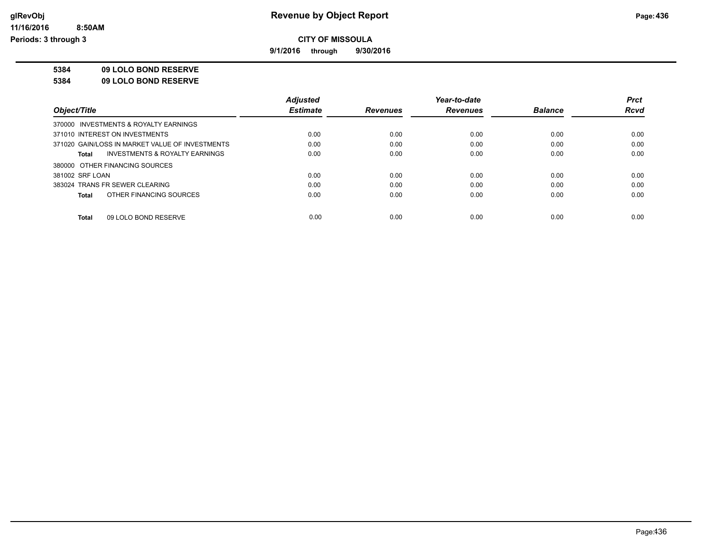**9/1/2016 through 9/30/2016**

**5384 09 LOLO BOND RESERVE**

**5384 09 LOLO BOND RESERVE**

|                                                    | <b>Adjusted</b> |                 | Year-to-date    |                | <b>Prct</b> |
|----------------------------------------------------|-----------------|-----------------|-----------------|----------------|-------------|
| Obiect/Title                                       | <b>Estimate</b> | <b>Revenues</b> | <b>Revenues</b> | <b>Balance</b> | Rcvd        |
| 370000 INVESTMENTS & ROYALTY EARNINGS              |                 |                 |                 |                |             |
| 371010 INTEREST ON INVESTMENTS                     | 0.00            | 0.00            | 0.00            | 0.00           | 0.00        |
| 371020 GAIN/LOSS IN MARKET VALUE OF INVESTMENTS    | 0.00            | 0.00            | 0.00            | 0.00           | 0.00        |
| <b>INVESTMENTS &amp; ROYALTY EARNINGS</b><br>Total | 0.00            | 0.00            | 0.00            | 0.00           | 0.00        |
| 380000 OTHER FINANCING SOURCES                     |                 |                 |                 |                |             |
| 381002 SRF LOAN                                    | 0.00            | 0.00            | 0.00            | 0.00           | 0.00        |
| 383024 TRANS FR SEWER CLEARING                     | 0.00            | 0.00            | 0.00            | 0.00           | 0.00        |
| OTHER FINANCING SOURCES<br>Total                   | 0.00            | 0.00            | 0.00            | 0.00           | 0.00        |
| 09 LOLO BOND RESERVE<br><b>Total</b>               | 0.00            | 0.00            | 0.00            | 0.00           | 0.00        |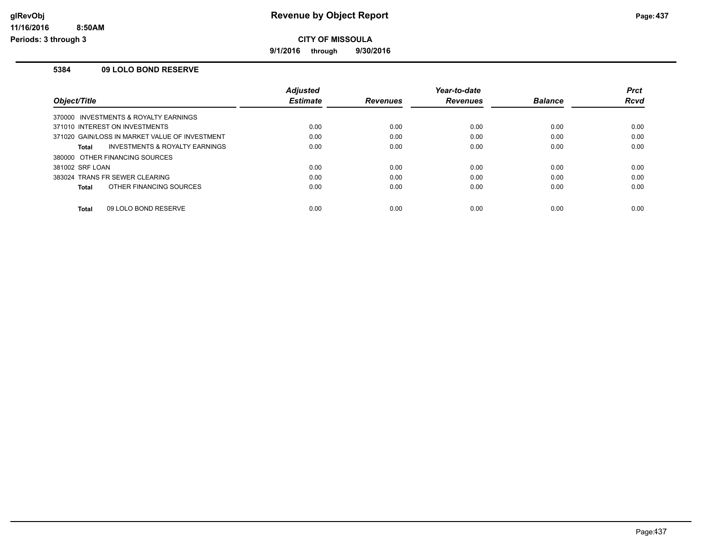**CITY OF MISSOULA**

**9/1/2016 through 9/30/2016**

#### **5384 09 LOLO BOND RESERVE**

 **8:50AM**

|                                                | <b>Adjusted</b> |                 | Year-to-date    |                | <b>Prct</b> |
|------------------------------------------------|-----------------|-----------------|-----------------|----------------|-------------|
| Object/Title                                   | <b>Estimate</b> | <b>Revenues</b> | <b>Revenues</b> | <b>Balance</b> | Rcvd        |
| 370000 INVESTMENTS & ROYALTY EARNINGS          |                 |                 |                 |                |             |
| 371010 INTEREST ON INVESTMENTS                 | 0.00            | 0.00            | 0.00            | 0.00           | 0.00        |
| 371020 GAIN/LOSS IN MARKET VALUE OF INVESTMENT | 0.00            | 0.00            | 0.00            | 0.00           | 0.00        |
| INVESTMENTS & ROYALTY EARNINGS<br>Total        | 0.00            | 0.00            | 0.00            | 0.00           | 0.00        |
| 380000 OTHER FINANCING SOURCES                 |                 |                 |                 |                |             |
| 381002 SRF LOAN                                | 0.00            | 0.00            | 0.00            | 0.00           | 0.00        |
| 383024 TRANS FR SEWER CLEARING                 | 0.00            | 0.00            | 0.00            | 0.00           | 0.00        |
| OTHER FINANCING SOURCES<br>Total               | 0.00            | 0.00            | 0.00            | 0.00           | 0.00        |
|                                                |                 |                 |                 |                |             |
| 09 LOLO BOND RESERVE<br><b>Total</b>           | 0.00            | 0.00            | 0.00            | 0.00           | 0.00        |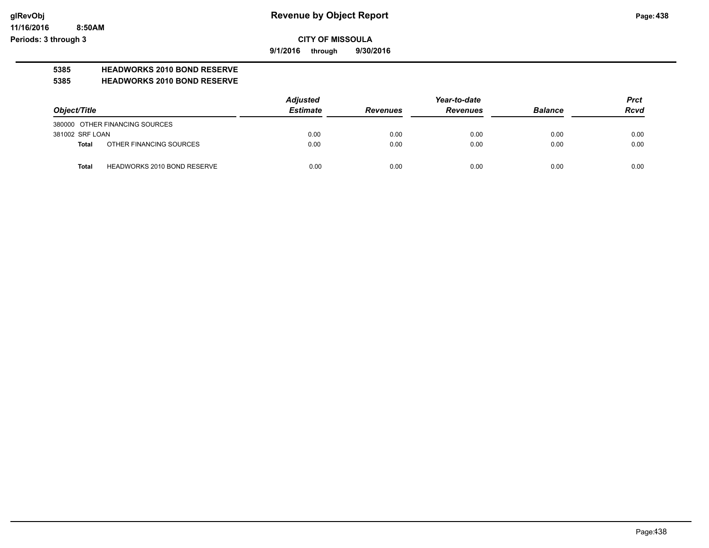**9/1/2016 through 9/30/2016**

## **5385 HEADWORKS 2010 BOND RESERVE**

#### **5385 HEADWORKS 2010 BOND RESERVE**

|                 |                                    | <b>Adjusted</b> |                 | Year-to-date    |                | <b>Prct</b> |
|-----------------|------------------------------------|-----------------|-----------------|-----------------|----------------|-------------|
| Object/Title    |                                    | <b>Estimate</b> | <b>Revenues</b> | <b>Revenues</b> | <b>Balance</b> | <b>Rcvd</b> |
|                 | 380000 OTHER FINANCING SOURCES     |                 |                 |                 |                |             |
| 381002 SRF LOAN |                                    | 0.00            | 0.00            | 0.00            | 0.00           | 0.00        |
| <b>Total</b>    | OTHER FINANCING SOURCES            | 0.00            | 0.00            | 0.00            | 0.00           | 0.00        |
| <b>Total</b>    | <b>HEADWORKS 2010 BOND RESERVE</b> | 0.00            | 0.00            | 0.00            | 0.00           | 0.00        |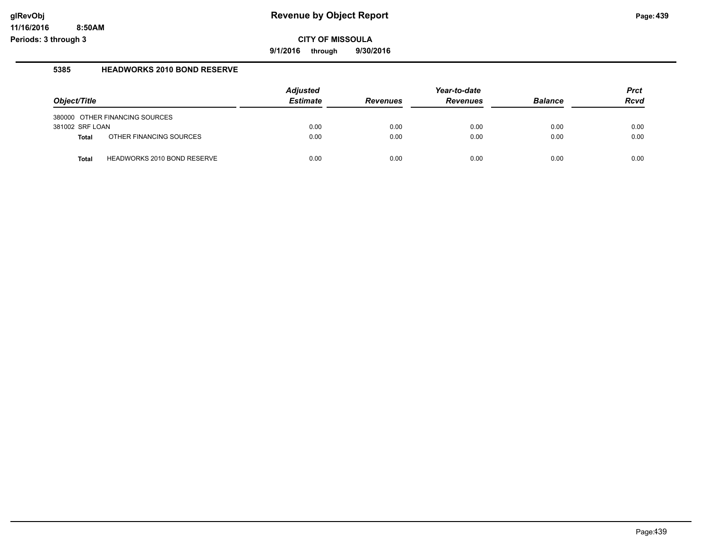**9/1/2016 through 9/30/2016**

#### **5385 HEADWORKS 2010 BOND RESERVE**

| Object/Title    |                                | <b>Adjusted</b><br><b>Estimate</b> | <b>Revenues</b> | Year-to-date<br><b>Revenues</b> | <b>Balance</b> | Prct<br>Rcvd |
|-----------------|--------------------------------|------------------------------------|-----------------|---------------------------------|----------------|--------------|
|                 | 380000 OTHER FINANCING SOURCES |                                    |                 |                                 |                |              |
| 381002 SRF LOAN |                                | 0.00                               | 0.00            | 0.00                            | 0.00           | 0.00         |
| Total           | OTHER FINANCING SOURCES        | 0.00                               | 0.00            | 0.00                            | 0.00           | 0.00         |
| <b>Total</b>    | HEADWORKS 2010 BOND RESERVE    | 0.00                               | 0.00            | 0.00                            | 0.00           | 0.00         |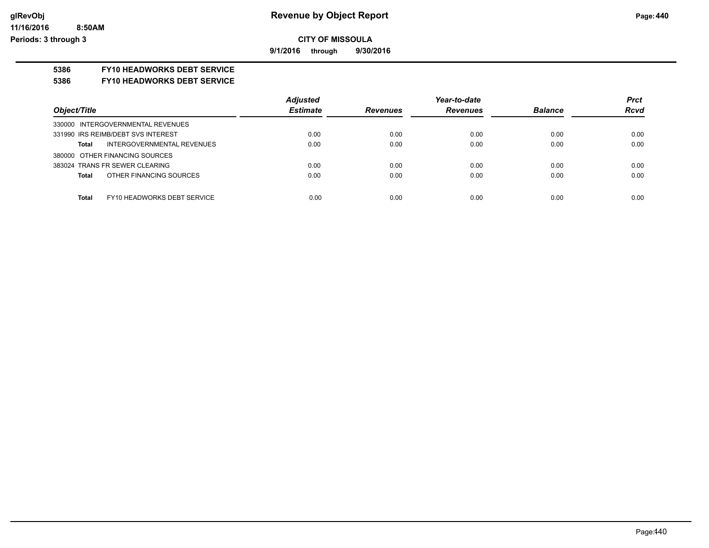**9/1/2016 through 9/30/2016**

#### **5386 FY10 HEADWORKS DEBT SERVICE**

#### **5386 FY10 HEADWORKS DEBT SERVICE**

|                                             | <b>Adjusted</b> |                 | Year-to-date    |                | <b>Prct</b> |
|---------------------------------------------|-----------------|-----------------|-----------------|----------------|-------------|
| Object/Title                                | <b>Estimate</b> | <b>Revenues</b> | <b>Revenues</b> | <b>Balance</b> | <b>Rcvd</b> |
| 330000 INTERGOVERNMENTAL REVENUES           |                 |                 |                 |                |             |
| 331990 IRS REIMB/DEBT SVS INTEREST          | 0.00            | 0.00            | 0.00            | 0.00           | 0.00        |
| INTERGOVERNMENTAL REVENUES<br><b>Total</b>  | 0.00            | 0.00            | 0.00            | 0.00           | 0.00        |
| 380000 OTHER FINANCING SOURCES              |                 |                 |                 |                |             |
| 383024 TRANS FR SEWER CLEARING              | 0.00            | 0.00            | 0.00            | 0.00           | 0.00        |
| OTHER FINANCING SOURCES<br><b>Total</b>     | 0.00            | 0.00            | 0.00            | 0.00           | 0.00        |
|                                             |                 |                 |                 |                |             |
| FY10 HEADWORKS DEBT SERVICE<br><b>Total</b> | 0.00            | 0.00            | 0.00            | 0.00           | 0.00        |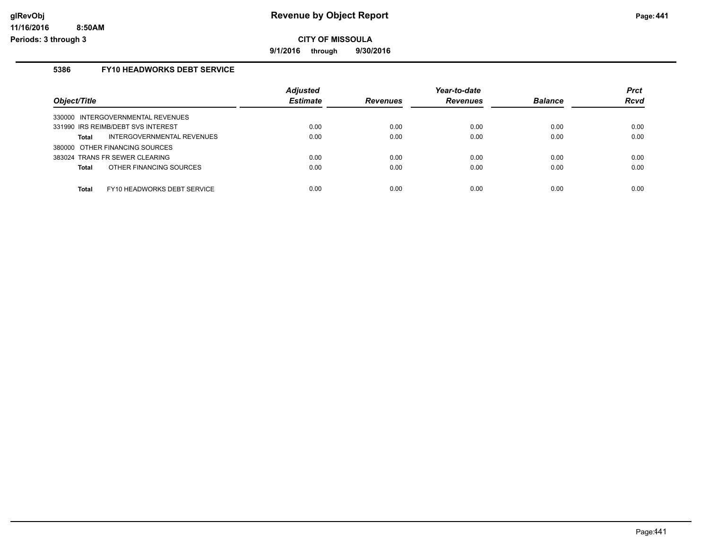**8:50AM**

**CITY OF MISSOULA**

**9/1/2016 through 9/30/2016**

#### **5386 FY10 HEADWORKS DEBT SERVICE**

| Object/Title                            | <b>Adjusted</b><br><b>Estimate</b> | <b>Revenues</b> | Year-to-date<br><b>Revenues</b> | <b>Balance</b> | <b>Prct</b><br><b>Rcvd</b> |
|-----------------------------------------|------------------------------------|-----------------|---------------------------------|----------------|----------------------------|
| 330000 INTERGOVERNMENTAL REVENUES       |                                    |                 |                                 |                |                            |
| 331990 IRS REIMB/DEBT SVS INTEREST      | 0.00                               | 0.00            | 0.00                            | 0.00           | 0.00                       |
| INTERGOVERNMENTAL REVENUES<br>Total     | 0.00                               | 0.00            | 0.00                            | 0.00           | 0.00                       |
| 380000 OTHER FINANCING SOURCES          |                                    |                 |                                 |                |                            |
| 383024 TRANS FR SEWER CLEARING          | 0.00                               | 0.00            | 0.00                            | 0.00           | 0.00                       |
| OTHER FINANCING SOURCES<br><b>Total</b> | 0.00                               | 0.00            | 0.00                            | 0.00           | 0.00                       |
| FY10 HEADWORKS DEBT SERVICE<br>Total    | 0.00                               | 0.00            | 0.00                            | 0.00           | 0.00                       |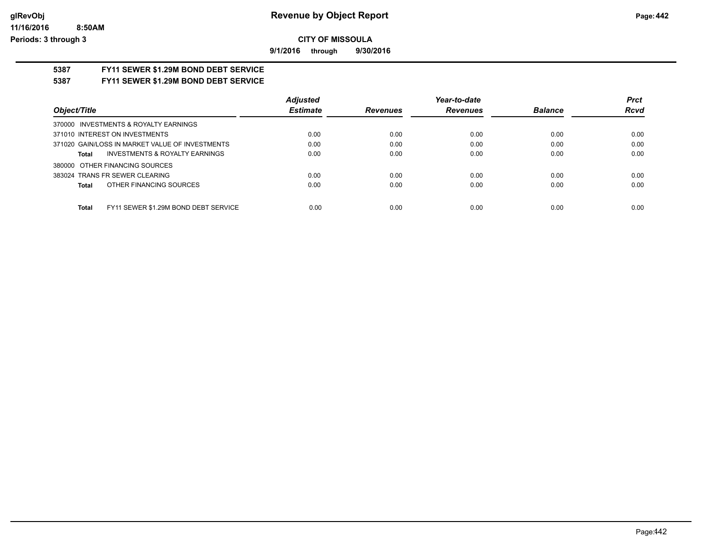**11/16/2016 8:50AM Periods: 3 through 3**

**CITY OF MISSOULA**

**9/1/2016 through 9/30/2016**

## **5387 FY11 SEWER \$1.29M BOND DEBT SERVICE**

### **5387 FY11 SEWER \$1.29M BOND DEBT SERVICE**

|                                                 | <b>Adjusted</b> |                 | Year-to-date    |                | <b>Prct</b> |
|-------------------------------------------------|-----------------|-----------------|-----------------|----------------|-------------|
| Object/Title                                    | <b>Estimate</b> | <b>Revenues</b> | <b>Revenues</b> | <b>Balance</b> | <b>Rcvd</b> |
| 370000 INVESTMENTS & ROYALTY EARNINGS           |                 |                 |                 |                |             |
| 371010 INTEREST ON INVESTMENTS                  | 0.00            | 0.00            | 0.00            | 0.00           | 0.00        |
| 371020 GAIN/LOSS IN MARKET VALUE OF INVESTMENTS | 0.00            | 0.00            | 0.00            | 0.00           | 0.00        |
| INVESTMENTS & ROYALTY EARNINGS<br>Total         | 0.00            | 0.00            | 0.00            | 0.00           | 0.00        |
| 380000 OTHER FINANCING SOURCES                  |                 |                 |                 |                |             |
| 383024 TRANS FR SEWER CLEARING                  | 0.00            | 0.00            | 0.00            | 0.00           | 0.00        |
| OTHER FINANCING SOURCES<br>Total                | 0.00            | 0.00            | 0.00            | 0.00           | 0.00        |
|                                                 |                 |                 |                 |                |             |
| Total<br>FY11 SEWER \$1.29M BOND DEBT SERVICE   | 0.00            | 0.00            | 0.00            | 0.00           | 0.00        |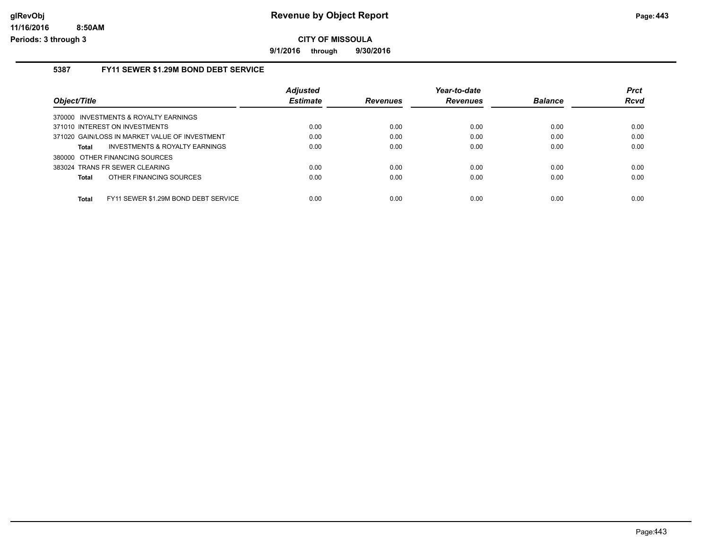**CITY OF MISSOULA**

**9/1/2016 through 9/30/2016**

#### **5387 FY11 SEWER \$1.29M BOND DEBT SERVICE**

| Object/Title                                         | <b>Adjusted</b><br><b>Estimate</b> | <b>Revenues</b> | Year-to-date<br><b>Revenues</b> | <b>Balance</b> | <b>Prct</b><br><b>Rcvd</b> |
|------------------------------------------------------|------------------------------------|-----------------|---------------------------------|----------------|----------------------------|
|                                                      |                                    |                 |                                 |                |                            |
| 370000 INVESTMENTS & ROYALTY EARNINGS                |                                    |                 |                                 |                |                            |
| 371010 INTEREST ON INVESTMENTS                       | 0.00                               | 0.00            | 0.00                            | 0.00           | 0.00                       |
| 371020 GAIN/LOSS IN MARKET VALUE OF INVESTMENT       | 0.00                               | 0.00            | 0.00                            | 0.00           | 0.00                       |
| INVESTMENTS & ROYALTY EARNINGS<br>Total              | 0.00                               | 0.00            | 0.00                            | 0.00           | 0.00                       |
| 380000 OTHER FINANCING SOURCES                       |                                    |                 |                                 |                |                            |
| 383024 TRANS FR SEWER CLEARING                       | 0.00                               | 0.00            | 0.00                            | 0.00           | 0.00                       |
| OTHER FINANCING SOURCES<br>Total                     | 0.00                               | 0.00            | 0.00                            | 0.00           | 0.00                       |
|                                                      |                                    |                 |                                 |                |                            |
| <b>Total</b><br>FY11 SEWER \$1.29M BOND DEBT SERVICE | 0.00                               | 0.00            | 0.00                            | 0.00           | 0.00                       |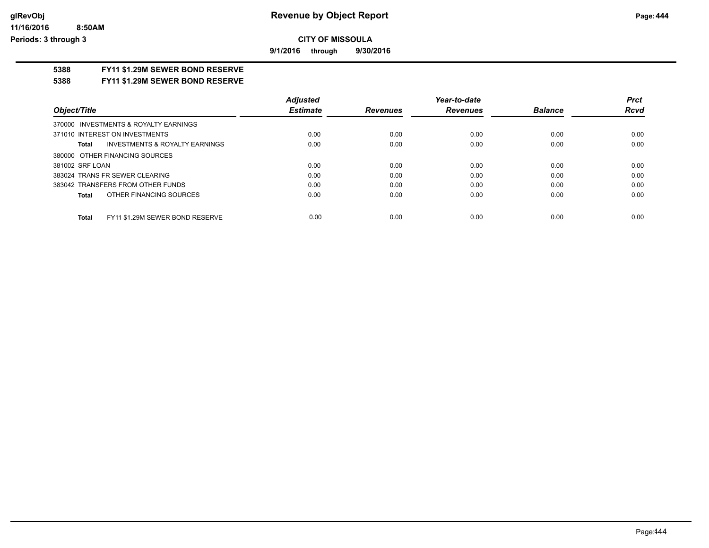**9/1/2016 through 9/30/2016**

#### **5388 FY11 \$1.29M SEWER BOND RESERVE**

**5388 FY11 \$1.29M SEWER BOND RESERVE**

|                                                    | <b>Adjusted</b> |                 | Year-to-date    |                | <b>Prct</b> |
|----------------------------------------------------|-----------------|-----------------|-----------------|----------------|-------------|
| Object/Title                                       | <b>Estimate</b> | <b>Revenues</b> | <b>Revenues</b> | <b>Balance</b> | <b>Rcvd</b> |
| 370000 INVESTMENTS & ROYALTY EARNINGS              |                 |                 |                 |                |             |
| 371010 INTEREST ON INVESTMENTS                     | 0.00            | 0.00            | 0.00            | 0.00           | 0.00        |
| <b>INVESTMENTS &amp; ROYALTY EARNINGS</b><br>Total | 0.00            | 0.00            | 0.00            | 0.00           | 0.00        |
| 380000 OTHER FINANCING SOURCES                     |                 |                 |                 |                |             |
| 381002 SRF LOAN                                    | 0.00            | 0.00            | 0.00            | 0.00           | 0.00        |
| 383024 TRANS FR SEWER CLEARING                     | 0.00            | 0.00            | 0.00            | 0.00           | 0.00        |
| 383042 TRANSFERS FROM OTHER FUNDS                  | 0.00            | 0.00            | 0.00            | 0.00           | 0.00        |
| OTHER FINANCING SOURCES<br>Total                   | 0.00            | 0.00            | 0.00            | 0.00           | 0.00        |
| FY11 \$1.29M SEWER BOND RESERVE<br>Total           | 0.00            | 0.00            | 0.00            | 0.00           | 0.00        |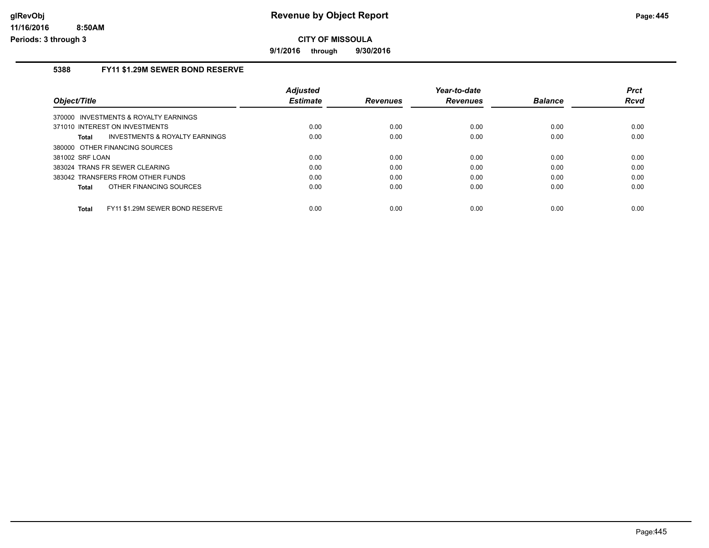**9/1/2016 through 9/30/2016**

#### **5388 FY11 \$1.29M SEWER BOND RESERVE**

|                                                 | <b>Adjusted</b> |                 | Year-to-date    |                | <b>Prct</b> |
|-------------------------------------------------|-----------------|-----------------|-----------------|----------------|-------------|
| Object/Title                                    | <b>Estimate</b> | <b>Revenues</b> | <b>Revenues</b> | <b>Balance</b> | <b>Rcvd</b> |
| 370000 INVESTMENTS & ROYALTY EARNINGS           |                 |                 |                 |                |             |
| 371010 INTEREST ON INVESTMENTS                  | 0.00            | 0.00            | 0.00            | 0.00           | 0.00        |
| INVESTMENTS & ROYALTY EARNINGS<br>Total         | 0.00            | 0.00            | 0.00            | 0.00           | 0.00        |
| 380000 OTHER FINANCING SOURCES                  |                 |                 |                 |                |             |
| 381002 SRF LOAN                                 | 0.00            | 0.00            | 0.00            | 0.00           | 0.00        |
| 383024 TRANS FR SEWER CLEARING                  | 0.00            | 0.00            | 0.00            | 0.00           | 0.00        |
| 383042 TRANSFERS FROM OTHER FUNDS               | 0.00            | 0.00            | 0.00            | 0.00           | 0.00        |
| OTHER FINANCING SOURCES<br>Total                | 0.00            | 0.00            | 0.00            | 0.00           | 0.00        |
| FY11 \$1.29M SEWER BOND RESERVE<br><b>Total</b> | 0.00            | 0.00            | 0.00            | 0.00           | 0.00        |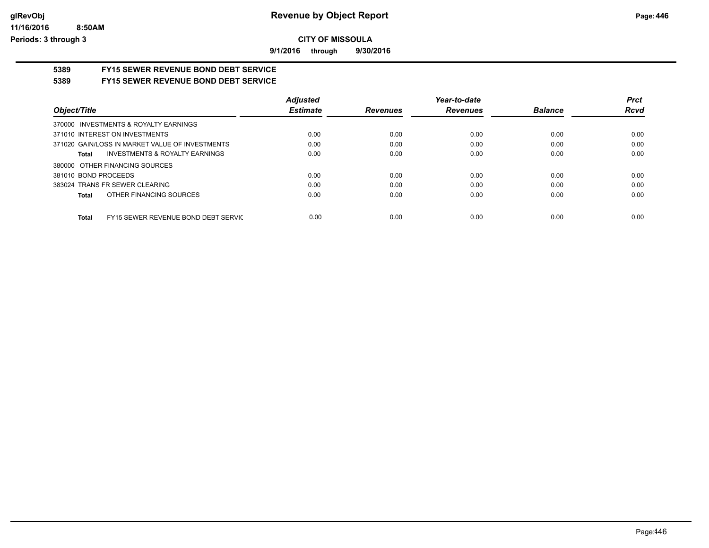**11/16/2016 8:50AM Periods: 3 through 3**

**CITY OF MISSOULA**

**9/1/2016 through 9/30/2016**

# **5389 FY15 SEWER REVENUE BOND DEBT SERVICE**

### **5389 FY15 SEWER REVENUE BOND DEBT SERVICE**

|                                                     | <b>Adjusted</b> |                 | Year-to-date    |                | <b>Prct</b> |
|-----------------------------------------------------|-----------------|-----------------|-----------------|----------------|-------------|
| Object/Title                                        | <b>Estimate</b> | <b>Revenues</b> | <b>Revenues</b> | <b>Balance</b> | <b>Rcvd</b> |
| 370000 INVESTMENTS & ROYALTY EARNINGS               |                 |                 |                 |                |             |
| 371010 INTEREST ON INVESTMENTS                      | 0.00            | 0.00            | 0.00            | 0.00           | 0.00        |
| 371020 GAIN/LOSS IN MARKET VALUE OF INVESTMENTS     | 0.00            | 0.00            | 0.00            | 0.00           | 0.00        |
| <b>INVESTMENTS &amp; ROYALTY EARNINGS</b><br>Total  | 0.00            | 0.00            | 0.00            | 0.00           | 0.00        |
| 380000 OTHER FINANCING SOURCES                      |                 |                 |                 |                |             |
| 381010 BOND PROCEEDS                                | 0.00            | 0.00            | 0.00            | 0.00           | 0.00        |
| 383024 TRANS FR SEWER CLEARING                      | 0.00            | 0.00            | 0.00            | 0.00           | 0.00        |
| OTHER FINANCING SOURCES<br>Total                    | 0.00            | 0.00            | 0.00            | 0.00           | 0.00        |
| FY15 SEWER REVENUE BOND DEBT SERVIC<br><b>Total</b> | 0.00            | 0.00            | 0.00            | 0.00           | 0.00        |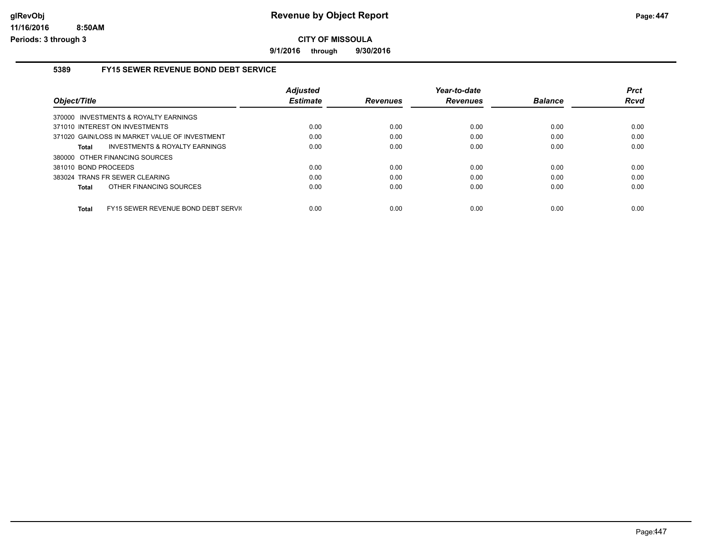**8:50AM**

**CITY OF MISSOULA**

**9/1/2016 through 9/30/2016**

#### **5389 FY15 SEWER REVENUE BOND DEBT SERVICE**

|                                                     | <b>Adjusted</b> |                 | Year-to-date    |                | <b>Prct</b> |
|-----------------------------------------------------|-----------------|-----------------|-----------------|----------------|-------------|
| Object/Title                                        | <b>Estimate</b> | <b>Revenues</b> | <b>Revenues</b> | <b>Balance</b> | <b>Rcvd</b> |
| 370000 INVESTMENTS & ROYALTY EARNINGS               |                 |                 |                 |                |             |
| 371010 INTEREST ON INVESTMENTS                      | 0.00            | 0.00            | 0.00            | 0.00           | 0.00        |
| 371020 GAIN/LOSS IN MARKET VALUE OF INVESTMENT      | 0.00            | 0.00            | 0.00            | 0.00           | 0.00        |
| <b>INVESTMENTS &amp; ROYALTY EARNINGS</b><br>Total  | 0.00            | 0.00            | 0.00            | 0.00           | 0.00        |
| 380000 OTHER FINANCING SOURCES                      |                 |                 |                 |                |             |
| 381010 BOND PROCEEDS                                | 0.00            | 0.00            | 0.00            | 0.00           | 0.00        |
| 383024 TRANS FR SEWER CLEARING                      | 0.00            | 0.00            | 0.00            | 0.00           | 0.00        |
| OTHER FINANCING SOURCES<br><b>Total</b>             | 0.00            | 0.00            | 0.00            | 0.00           | 0.00        |
|                                                     |                 |                 |                 |                |             |
| FY15 SEWER REVENUE BOND DEBT SERVIC<br><b>Total</b> | 0.00            | 0.00            | 0.00            | 0.00           | 0.00        |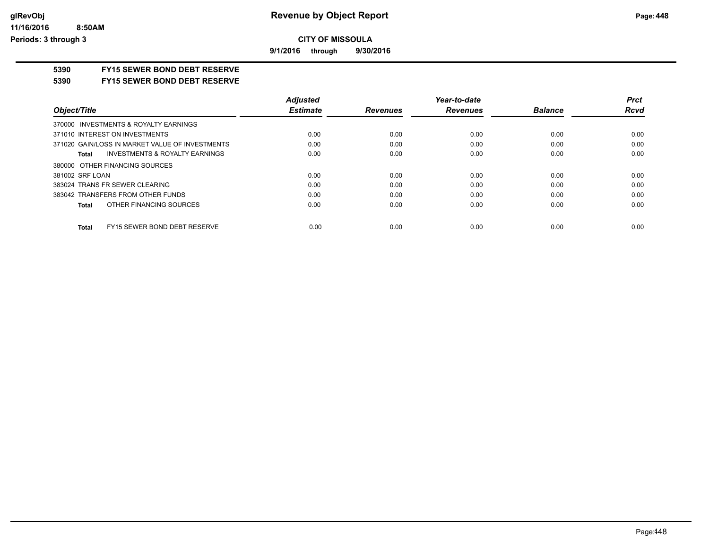**9/1/2016 through 9/30/2016**

#### **5390 FY15 SEWER BOND DEBT RESERVE**

#### **5390 FY15 SEWER BOND DEBT RESERVE**

|                                                    | <b>Adjusted</b> |                 | Year-to-date    |                | <b>Prct</b> |
|----------------------------------------------------|-----------------|-----------------|-----------------|----------------|-------------|
| Object/Title                                       | <b>Estimate</b> | <b>Revenues</b> | <b>Revenues</b> | <b>Balance</b> | <b>Rcvd</b> |
| 370000 INVESTMENTS & ROYALTY EARNINGS              |                 |                 |                 |                |             |
| 371010 INTEREST ON INVESTMENTS                     | 0.00            | 0.00            | 0.00            | 0.00           | 0.00        |
| 371020 GAIN/LOSS IN MARKET VALUE OF INVESTMENTS    | 0.00            | 0.00            | 0.00            | 0.00           | 0.00        |
| <b>INVESTMENTS &amp; ROYALTY EARNINGS</b><br>Total | 0.00            | 0.00            | 0.00            | 0.00           | 0.00        |
| 380000 OTHER FINANCING SOURCES                     |                 |                 |                 |                |             |
| 381002 SRF LOAN                                    | 0.00            | 0.00            | 0.00            | 0.00           | 0.00        |
| 383024 TRANS FR SEWER CLEARING                     | 0.00            | 0.00            | 0.00            | 0.00           | 0.00        |
| 383042 TRANSFERS FROM OTHER FUNDS                  | 0.00            | 0.00            | 0.00            | 0.00           | 0.00        |
| OTHER FINANCING SOURCES<br>Total                   | 0.00            | 0.00            | 0.00            | 0.00           | 0.00        |
| FY15 SEWER BOND DEBT RESERVE<br>Total              | 0.00            | 0.00            | 0.00            | 0.00           | 0.00        |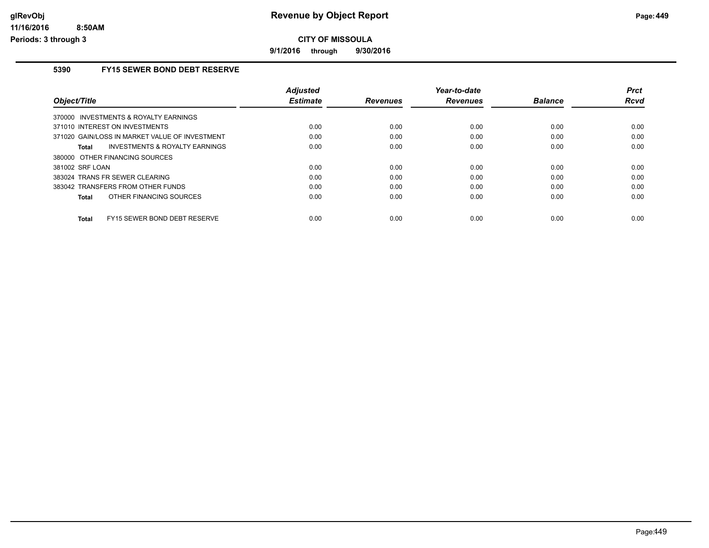**8:50AM**

**CITY OF MISSOULA**

**9/1/2016 through 9/30/2016**

#### **5390 FY15 SEWER BOND DEBT RESERVE**

| Object/Title                                       | <b>Adiusted</b><br><b>Estimate</b> | <b>Revenues</b> | Year-to-date<br><b>Revenues</b> | <b>Balance</b> | <b>Prct</b><br><b>Rcvd</b> |
|----------------------------------------------------|------------------------------------|-----------------|---------------------------------|----------------|----------------------------|
| 370000 INVESTMENTS & ROYALTY EARNINGS              |                                    |                 |                                 |                |                            |
| 371010 INTEREST ON INVESTMENTS                     | 0.00                               | 0.00            | 0.00                            | 0.00           | 0.00                       |
| 371020 GAIN/LOSS IN MARKET VALUE OF INVESTMENT     | 0.00                               | 0.00            | 0.00                            | 0.00           | 0.00                       |
| <b>INVESTMENTS &amp; ROYALTY EARNINGS</b><br>Total | 0.00                               | 0.00            | 0.00                            | 0.00           | 0.00                       |
| 380000 OTHER FINANCING SOURCES                     |                                    |                 |                                 |                |                            |
| 381002 SRF LOAN                                    | 0.00                               | 0.00            | 0.00                            | 0.00           | 0.00                       |
| 383024 TRANS FR SEWER CLEARING                     | 0.00                               | 0.00            | 0.00                            | 0.00           | 0.00                       |
| 383042 TRANSFERS FROM OTHER FUNDS                  | 0.00                               | 0.00            | 0.00                            | 0.00           | 0.00                       |
| OTHER FINANCING SOURCES<br>Total                   | 0.00                               | 0.00            | 0.00                            | 0.00           | 0.00                       |
| FY15 SEWER BOND DEBT RESERVE<br>Total              | 0.00                               | 0.00            | 0.00                            | 0.00           | 0.00                       |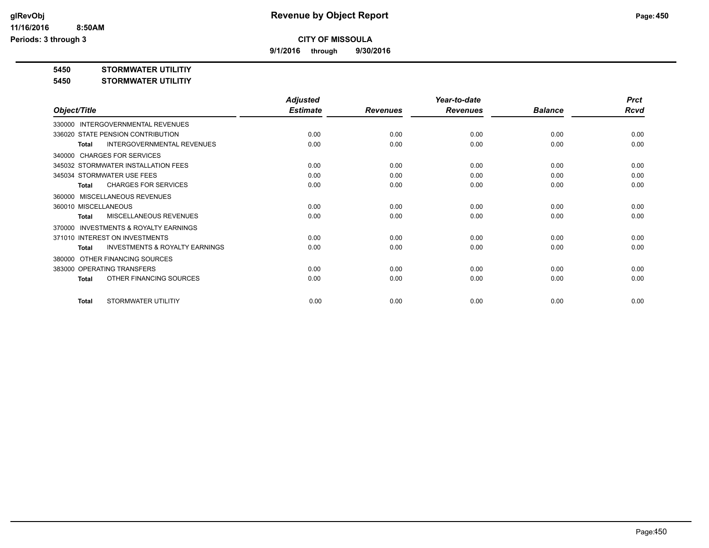**9/1/2016 through 9/30/2016**

#### **5450 STORMWATER UTILITIY**

#### **5450 STORMWATER UTILITIY**

|                                                    | <b>Adjusted</b> |                 | Year-to-date    |                | <b>Prct</b> |
|----------------------------------------------------|-----------------|-----------------|-----------------|----------------|-------------|
| Object/Title                                       | <b>Estimate</b> | <b>Revenues</b> | <b>Revenues</b> | <b>Balance</b> | <b>Rcvd</b> |
| 330000 INTERGOVERNMENTAL REVENUES                  |                 |                 |                 |                |             |
| 336020 STATE PENSION CONTRIBUTION                  | 0.00            | 0.00            | 0.00            | 0.00           | 0.00        |
| <b>INTERGOVERNMENTAL REVENUES</b><br><b>Total</b>  | 0.00            | 0.00            | 0.00            | 0.00           | 0.00        |
| 340000 CHARGES FOR SERVICES                        |                 |                 |                 |                |             |
| 345032 STORMWATER INSTALLATION FEES                | 0.00            | 0.00            | 0.00            | 0.00           | 0.00        |
| 345034 STORMWATER USE FEES                         | 0.00            | 0.00            | 0.00            | 0.00           | 0.00        |
| <b>CHARGES FOR SERVICES</b><br>Total               | 0.00            | 0.00            | 0.00            | 0.00           | 0.00        |
| 360000 MISCELLANEOUS REVENUES                      |                 |                 |                 |                |             |
| 360010 MISCELLANEOUS                               | 0.00            | 0.00            | 0.00            | 0.00           | 0.00        |
| MISCELLANEOUS REVENUES<br><b>Total</b>             | 0.00            | 0.00            | 0.00            | 0.00           | 0.00        |
| INVESTMENTS & ROYALTY EARNINGS<br>370000           |                 |                 |                 |                |             |
| 371010 INTEREST ON INVESTMENTS                     | 0.00            | 0.00            | 0.00            | 0.00           | 0.00        |
| <b>INVESTMENTS &amp; ROYALTY EARNINGS</b><br>Total | 0.00            | 0.00            | 0.00            | 0.00           | 0.00        |
| 380000 OTHER FINANCING SOURCES                     |                 |                 |                 |                |             |
| 383000 OPERATING TRANSFERS                         | 0.00            | 0.00            | 0.00            | 0.00           | 0.00        |
| OTHER FINANCING SOURCES<br><b>Total</b>            | 0.00            | 0.00            | 0.00            | 0.00           | 0.00        |
|                                                    |                 |                 |                 |                |             |
| STORMWATER UTILITIY<br>Total                       | 0.00            | 0.00            | 0.00            | 0.00           | 0.00        |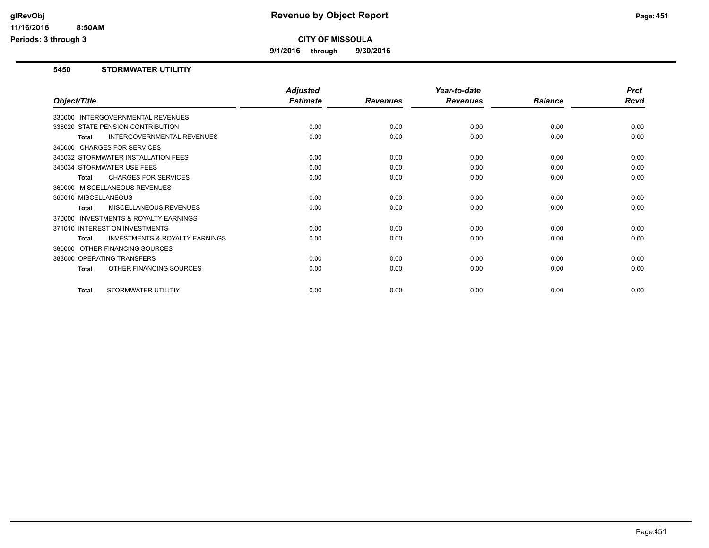**CITY OF MISSOULA**

**9/1/2016 through 9/30/2016**

#### **5450 STORMWATER UTILITIY**

 **8:50AM**

|                                                           | <b>Adjusted</b> |                 | Year-to-date    |                | <b>Prct</b> |
|-----------------------------------------------------------|-----------------|-----------------|-----------------|----------------|-------------|
| Object/Title                                              | <b>Estimate</b> | <b>Revenues</b> | <b>Revenues</b> | <b>Balance</b> | <b>Rcvd</b> |
| <b>INTERGOVERNMENTAL REVENUES</b><br>330000               |                 |                 |                 |                |             |
| 336020 STATE PENSION CONTRIBUTION                         | 0.00            | 0.00            | 0.00            | 0.00           | 0.00        |
| <b>INTERGOVERNMENTAL REVENUES</b><br><b>Total</b>         | 0.00            | 0.00            | 0.00            | 0.00           | 0.00        |
| 340000 CHARGES FOR SERVICES                               |                 |                 |                 |                |             |
| 345032 STORMWATER INSTALLATION FEES                       | 0.00            | 0.00            | 0.00            | 0.00           | 0.00        |
| 345034 STORMWATER USE FEES                                | 0.00            | 0.00            | 0.00            | 0.00           | 0.00        |
| <b>CHARGES FOR SERVICES</b><br><b>Total</b>               | 0.00            | 0.00            | 0.00            | 0.00           | 0.00        |
| 360000 MISCELLANEOUS REVENUES                             |                 |                 |                 |                |             |
| 360010 MISCELLANEOUS                                      | 0.00            | 0.00            | 0.00            | 0.00           | 0.00        |
| MISCELLANEOUS REVENUES<br><b>Total</b>                    | 0.00            | 0.00            | 0.00            | 0.00           | 0.00        |
| <b>INVESTMENTS &amp; ROYALTY EARNINGS</b><br>370000       |                 |                 |                 |                |             |
| 371010 INTEREST ON INVESTMENTS                            | 0.00            | 0.00            | 0.00            | 0.00           | 0.00        |
| <b>INVESTMENTS &amp; ROYALTY EARNINGS</b><br><b>Total</b> | 0.00            | 0.00            | 0.00            | 0.00           | 0.00        |
| OTHER FINANCING SOURCES<br>380000                         |                 |                 |                 |                |             |
| 383000 OPERATING TRANSFERS                                | 0.00            | 0.00            | 0.00            | 0.00           | 0.00        |
| OTHER FINANCING SOURCES<br><b>Total</b>                   | 0.00            | 0.00            | 0.00            | 0.00           | 0.00        |
| STORMWATER UTILITIY<br><b>Total</b>                       | 0.00            | 0.00            | 0.00            | 0.00           | 0.00        |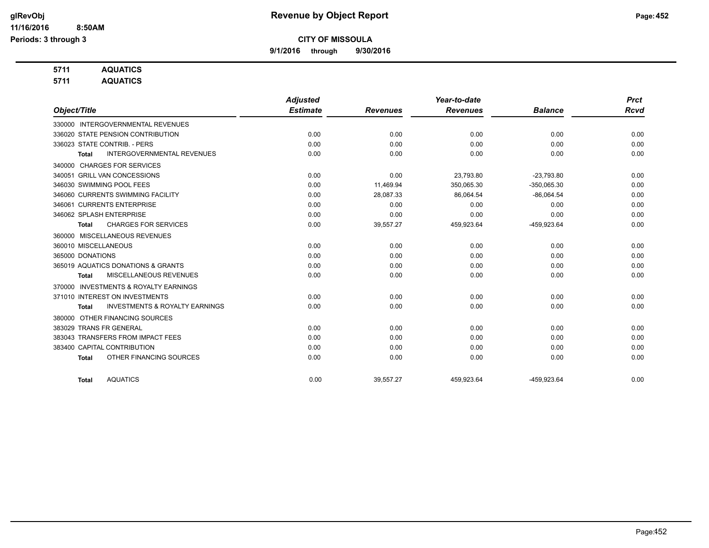**9/1/2016 through 9/30/2016**

### **5711 AQUATICS**

**5711 AQUATICS**

|                                                     | <b>Adjusted</b> |                 | Year-to-date    |                | <b>Prct</b> |
|-----------------------------------------------------|-----------------|-----------------|-----------------|----------------|-------------|
| Object/Title                                        | <b>Estimate</b> | <b>Revenues</b> | <b>Revenues</b> | <b>Balance</b> | <b>Rcvd</b> |
| 330000 INTERGOVERNMENTAL REVENUES                   |                 |                 |                 |                |             |
| 336020 STATE PENSION CONTRIBUTION                   | 0.00            | 0.00            | 0.00            | 0.00           | 0.00        |
| 336023 STATE CONTRIB. - PERS                        | 0.00            | 0.00            | 0.00            | 0.00           | 0.00        |
| <b>INTERGOVERNMENTAL REVENUES</b><br>Total          | 0.00            | 0.00            | 0.00            | 0.00           | 0.00        |
| <b>CHARGES FOR SERVICES</b><br>340000               |                 |                 |                 |                |             |
| 340051 GRILL VAN CONCESSIONS                        | 0.00            | 0.00            | 23,793.80       | $-23,793.80$   | 0.00        |
| 346030 SWIMMING POOL FEES                           | 0.00            | 11,469.94       | 350,065.30      | $-350,065.30$  | 0.00        |
| 346060 CURRENTS SWIMMING FACILITY                   | 0.00            | 28,087.33       | 86,064.54       | $-86,064.54$   | 0.00        |
| 346061 CURRENTS ENTERPRISE                          | 0.00            | 0.00            | 0.00            | 0.00           | 0.00        |
| 346062 SPLASH ENTERPRISE                            | 0.00            | 0.00            | 0.00            | 0.00           | 0.00        |
| <b>CHARGES FOR SERVICES</b><br><b>Total</b>         | 0.00            | 39,557.27       | 459,923.64      | -459,923.64    | 0.00        |
| 360000 MISCELLANEOUS REVENUES                       |                 |                 |                 |                |             |
| 360010 MISCELLANEOUS                                | 0.00            | 0.00            | 0.00            | 0.00           | 0.00        |
| 365000 DONATIONS                                    | 0.00            | 0.00            | 0.00            | 0.00           | 0.00        |
| 365019 AQUATICS DONATIONS & GRANTS                  | 0.00            | 0.00            | 0.00            | 0.00           | 0.00        |
| MISCELLANEOUS REVENUES<br><b>Total</b>              | 0.00            | 0.00            | 0.00            | 0.00           | 0.00        |
| <b>INVESTMENTS &amp; ROYALTY EARNINGS</b><br>370000 |                 |                 |                 |                |             |
| 371010 INTEREST ON INVESTMENTS                      | 0.00            | 0.00            | 0.00            | 0.00           | 0.00        |
| <b>INVESTMENTS &amp; ROYALTY EARNINGS</b><br>Total  | 0.00            | 0.00            | 0.00            | 0.00           | 0.00        |
| OTHER FINANCING SOURCES<br>380000                   |                 |                 |                 |                |             |
| 383029 TRANS FR GENERAL                             | 0.00            | 0.00            | 0.00            | 0.00           | 0.00        |
| 383043 TRANSFERS FROM IMPACT FEES                   | 0.00            | 0.00            | 0.00            | 0.00           | 0.00        |
| 383400 CAPITAL CONTRIBUTION                         | 0.00            | 0.00            | 0.00            | 0.00           | 0.00        |
| OTHER FINANCING SOURCES<br><b>Total</b>             | 0.00            | 0.00            | 0.00            | 0.00           | 0.00        |
|                                                     |                 |                 |                 |                |             |
| <b>AQUATICS</b><br><b>Total</b>                     | 0.00            | 39,557.27       | 459,923.64      | -459,923.64    | 0.00        |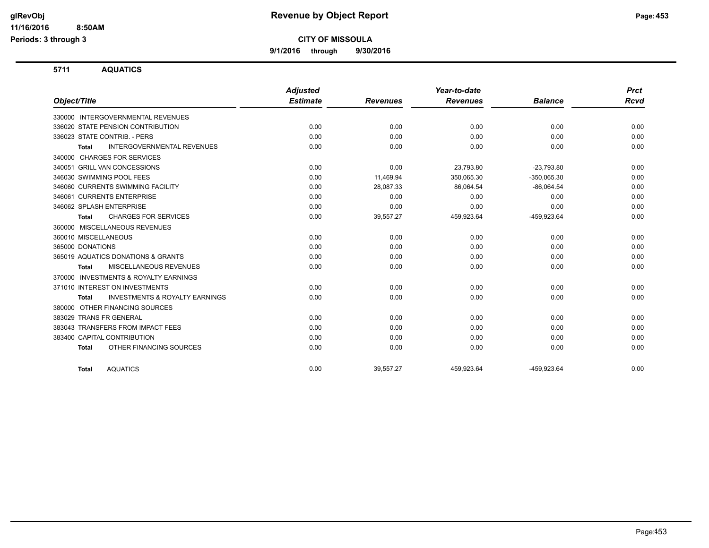#### **11/16/2016 8:50AM Periods: 3 through 3**

**CITY OF MISSOULA**

**9/1/2016 through 9/30/2016**

**5711 AQUATICS**

|                                                           | Adjusted        |                 | Year-to-date    |                | <b>Prct</b> |
|-----------------------------------------------------------|-----------------|-----------------|-----------------|----------------|-------------|
| Object/Title                                              | <b>Estimate</b> | <b>Revenues</b> | <b>Revenues</b> | <b>Balance</b> | <b>Rcvd</b> |
| 330000 INTERGOVERNMENTAL REVENUES                         |                 |                 |                 |                |             |
| 336020 STATE PENSION CONTRIBUTION                         | 0.00            | 0.00            | 0.00            | 0.00           | 0.00        |
| 336023 STATE CONTRIB. - PERS                              | 0.00            | 0.00            | 0.00            | 0.00           | 0.00        |
| <b>INTERGOVERNMENTAL REVENUES</b><br><b>Total</b>         | 0.00            | 0.00            | 0.00            | 0.00           | 0.00        |
| <b>CHARGES FOR SERVICES</b><br>340000                     |                 |                 |                 |                |             |
| 340051 GRILL VAN CONCESSIONS                              | 0.00            | 0.00            | 23,793.80       | $-23,793.80$   | 0.00        |
| 346030 SWIMMING POOL FEES                                 | 0.00            | 11,469.94       | 350,065.30      | $-350,065.30$  | 0.00        |
| 346060 CURRENTS SWIMMING FACILITY                         | 0.00            | 28,087.33       | 86,064.54       | $-86,064.54$   | 0.00        |
| 346061 CURRENTS ENTERPRISE                                | 0.00            | 0.00            | 0.00            | 0.00           | 0.00        |
| 346062 SPLASH ENTERPRISE                                  | 0.00            | 0.00            | 0.00            | 0.00           | 0.00        |
| <b>CHARGES FOR SERVICES</b><br><b>Total</b>               | 0.00            | 39,557.27       | 459,923.64      | -459,923.64    | 0.00        |
| 360000 MISCELLANEOUS REVENUES                             |                 |                 |                 |                |             |
| 360010 MISCELLANEOUS                                      | 0.00            | 0.00            | 0.00            | 0.00           | 0.00        |
| 365000 DONATIONS                                          | 0.00            | 0.00            | 0.00            | 0.00           | 0.00        |
| 365019 AQUATICS DONATIONS & GRANTS                        | 0.00            | 0.00            | 0.00            | 0.00           | 0.00        |
| <b>MISCELLANEOUS REVENUES</b><br><b>Total</b>             | 0.00            | 0.00            | 0.00            | 0.00           | 0.00        |
| <b>INVESTMENTS &amp; ROYALTY EARNINGS</b><br>370000       |                 |                 |                 |                |             |
| 371010 INTEREST ON INVESTMENTS                            | 0.00            | 0.00            | 0.00            | 0.00           | 0.00        |
| <b>INVESTMENTS &amp; ROYALTY EARNINGS</b><br><b>Total</b> | 0.00            | 0.00            | 0.00            | 0.00           | 0.00        |
| OTHER FINANCING SOURCES<br>380000                         |                 |                 |                 |                |             |
| 383029 TRANS FR GENERAL                                   | 0.00            | 0.00            | 0.00            | 0.00           | 0.00        |
| 383043 TRANSFERS FROM IMPACT FEES                         | 0.00            | 0.00            | 0.00            | 0.00           | 0.00        |
| 383400 CAPITAL CONTRIBUTION                               | 0.00            | 0.00            | 0.00            | 0.00           | 0.00        |
| OTHER FINANCING SOURCES<br><b>Total</b>                   | 0.00            | 0.00            | 0.00            | 0.00           | 0.00        |
| <b>AQUATICS</b><br><b>Total</b>                           | 0.00            | 39,557.27       | 459,923.64      | -459.923.64    | 0.00        |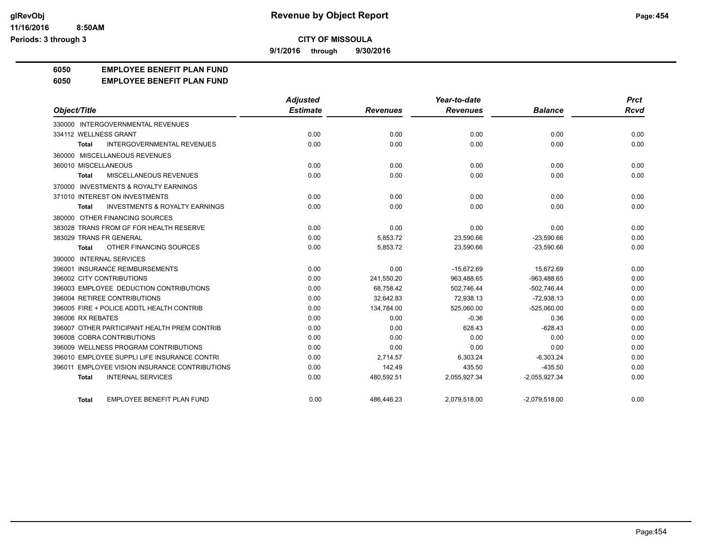**CITY OF MISSOULA**

**9/1/2016 through 9/30/2016**

### **6050 EMPLOYEE BENEFIT PLAN FUND**

 **8:50AM**

#### **6050 EMPLOYEE BENEFIT PLAN FUND**

|                                                           | <b>Adjusted</b> |                 | Year-to-date    |                 | <b>Prct</b> |
|-----------------------------------------------------------|-----------------|-----------------|-----------------|-----------------|-------------|
| Object/Title                                              | <b>Estimate</b> | <b>Revenues</b> | <b>Revenues</b> | <b>Balance</b>  | <b>Rcvd</b> |
| 330000 INTERGOVERNMENTAL REVENUES                         |                 |                 |                 |                 |             |
| 334112 WELLNESS GRANT                                     | 0.00            | 0.00            | 0.00            | 0.00            | 0.00        |
| <b>INTERGOVERNMENTAL REVENUES</b><br><b>Total</b>         | 0.00            | 0.00            | 0.00            | 0.00            | 0.00        |
| 360000 MISCELLANEOUS REVENUES                             |                 |                 |                 |                 |             |
| 360010 MISCELLANEOUS                                      | 0.00            | 0.00            | 0.00            | 0.00            | 0.00        |
| MISCELLANEOUS REVENUES<br>Total                           | 0.00            | 0.00            | 0.00            | 0.00            | 0.00        |
| 370000 INVESTMENTS & ROYALTY EARNINGS                     |                 |                 |                 |                 |             |
| 371010 INTEREST ON INVESTMENTS                            | 0.00            | 0.00            | 0.00            | 0.00            | 0.00        |
| <b>INVESTMENTS &amp; ROYALTY EARNINGS</b><br><b>Total</b> | 0.00            | 0.00            | 0.00            | 0.00            | 0.00        |
| 380000 OTHER FINANCING SOURCES                            |                 |                 |                 |                 |             |
| 383028 TRANS FROM GF FOR HEALTH RESERVE                   | 0.00            | 0.00            | 0.00            | 0.00            | 0.00        |
| 383029 TRANS FR GENERAL                                   | 0.00            | 5,853.72        | 23,590.66       | $-23,590.66$    | 0.00        |
| OTHER FINANCING SOURCES<br>Total                          | 0.00            | 5.853.72        | 23,590.66       | $-23.590.66$    | 0.00        |
| 390000 INTERNAL SERVICES                                  |                 |                 |                 |                 |             |
| 396001 INSURANCE REIMBURSEMENTS                           | 0.00            | 0.00            | $-15,672.69$    | 15.672.69       | 0.00        |
| 396002 CITY CONTRIBUTIONS                                 | 0.00            | 241,550.20      | 963,488.65      | $-963,488.65$   | 0.00        |
| 396003 EMPLOYEE DEDUCTION CONTRIBUTIONS                   | 0.00            | 68.758.42       | 502.746.44      | $-502.746.44$   | 0.00        |
| 396004 RETIREE CONTRIBUTIONS                              | 0.00            | 32,642.83       | 72,938.13       | $-72,938.13$    | 0.00        |
| 396005 FIRE + POLICE ADDTL HEALTH CONTRIB                 | 0.00            | 134,784.00      | 525.060.00      | $-525.060.00$   | 0.00        |
| 396006 RX REBATES                                         | 0.00            | 0.00            | $-0.36$         | 0.36            | 0.00        |
| 396007 OTHER PARTICIPANT HEALTH PREM CONTRIB              | 0.00            | 0.00            | 628.43          | $-628.43$       | 0.00        |
| 396008 COBRA CONTRIBUTIONS                                | 0.00            | 0.00            | 0.00            | 0.00            | 0.00        |
| 396009 WELLNESS PROGRAM CONTRIBUTIONS                     | 0.00            | 0.00            | 0.00            | 0.00            | 0.00        |
| 396010 EMPLOYEE SUPPLI LIFE INSURANCE CONTRI              | 0.00            | 2.714.57        | 6,303.24        | $-6,303.24$     | 0.00        |
| 396011 EMPLOYEE VISION INSURANCE CONTRIBUTIONS            | 0.00            | 142.49          | 435.50          | $-435.50$       | 0.00        |
| <b>INTERNAL SERVICES</b><br><b>Total</b>                  | 0.00            | 480,592.51      | 2,055,927.34    | $-2,055,927.34$ | 0.00        |
| <b>EMPLOYEE BENEFIT PLAN FUND</b><br><b>Total</b>         | 0.00            | 486,446.23      | 2,079,518.00    | $-2,079,518.00$ | 0.00        |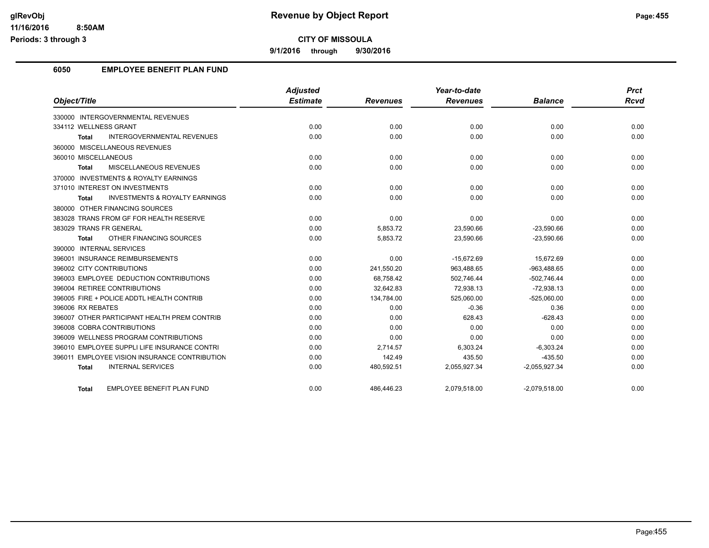**CITY OF MISSOULA**

**9/1/2016 through 9/30/2016**

#### **6050 EMPLOYEE BENEFIT PLAN FUND**

 **8:50AM**

|                                                    | <b>Adjusted</b> |                 | Year-to-date    |                 | <b>Prct</b> |
|----------------------------------------------------|-----------------|-----------------|-----------------|-----------------|-------------|
| Object/Title                                       | <b>Estimate</b> | <b>Revenues</b> | <b>Revenues</b> | <b>Balance</b>  | <b>Rcvd</b> |
| 330000 INTERGOVERNMENTAL REVENUES                  |                 |                 |                 |                 |             |
| 334112 WELLNESS GRANT                              | 0.00            | 0.00            | 0.00            | 0.00            | 0.00        |
| <b>INTERGOVERNMENTAL REVENUES</b><br>Total         | 0.00            | 0.00            | 0.00            | 0.00            | 0.00        |
| 360000 MISCELLANEOUS REVENUES                      |                 |                 |                 |                 |             |
| 360010 MISCELLANEOUS                               | 0.00            | 0.00            | 0.00            | 0.00            | 0.00        |
| <b>MISCELLANEOUS REVENUES</b><br><b>Total</b>      | 0.00            | 0.00            | 0.00            | 0.00            | 0.00        |
| 370000 INVESTMENTS & ROYALTY EARNINGS              |                 |                 |                 |                 |             |
| 371010 INTEREST ON INVESTMENTS                     | 0.00            | 0.00            | 0.00            | 0.00            | 0.00        |
| <b>INVESTMENTS &amp; ROYALTY EARNINGS</b><br>Total | 0.00            | 0.00            | 0.00            | 0.00            | 0.00        |
| 380000 OTHER FINANCING SOURCES                     |                 |                 |                 |                 |             |
| 383028 TRANS FROM GF FOR HEALTH RESERVE            | 0.00            | 0.00            | 0.00            | 0.00            | 0.00        |
| 383029 TRANS FR GENERAL                            | 0.00            | 5,853.72        | 23,590.66       | $-23,590.66$    | 0.00        |
| OTHER FINANCING SOURCES<br>Total                   | 0.00            | 5,853.72        | 23,590.66       | $-23,590.66$    | 0.00        |
| 390000 INTERNAL SERVICES                           |                 |                 |                 |                 |             |
| 396001 INSURANCE REIMBURSEMENTS                    | 0.00            | 0.00            | $-15,672.69$    | 15,672.69       | 0.00        |
| 396002 CITY CONTRIBUTIONS                          | 0.00            | 241,550.20      | 963,488.65      | $-963,488.65$   | 0.00        |
| 396003 EMPLOYEE DEDUCTION CONTRIBUTIONS            | 0.00            | 68,758.42       | 502,746.44      | $-502,746.44$   | 0.00        |
| 396004 RETIREE CONTRIBUTIONS                       | 0.00            | 32,642.83       | 72,938.13       | $-72,938.13$    | 0.00        |
| 396005 FIRE + POLICE ADDTL HEALTH CONTRIB          | 0.00            | 134,784.00      | 525,060.00      | $-525,060.00$   | 0.00        |
| 396006 RX REBATES                                  | 0.00            | 0.00            | $-0.36$         | 0.36            | 0.00        |
| 396007 OTHER PARTICIPANT HEALTH PREM CONTRIB       | 0.00            | 0.00            | 628.43          | $-628.43$       | 0.00        |
| 396008 COBRA CONTRIBUTIONS                         | 0.00            | 0.00            | 0.00            | 0.00            | 0.00        |
| 396009 WELLNESS PROGRAM CONTRIBUTIONS              | 0.00            | 0.00            | 0.00            | 0.00            | 0.00        |
| 396010 EMPLOYEE SUPPLI LIFE INSURANCE CONTRI       | 0.00            | 2,714.57        | 6,303.24        | $-6,303.24$     | 0.00        |
| 396011 EMPLOYEE VISION INSURANCE CONTRIBUTION      | 0.00            | 142.49          | 435.50          | $-435.50$       | 0.00        |
| <b>INTERNAL SERVICES</b><br><b>Total</b>           | 0.00            | 480,592.51      | 2,055,927.34    | $-2,055,927.34$ | 0.00        |
| <b>EMPLOYEE BENEFIT PLAN FUND</b><br><b>Total</b>  | 0.00            | 486.446.23      | 2,079,518.00    | $-2,079,518.00$ | 0.00        |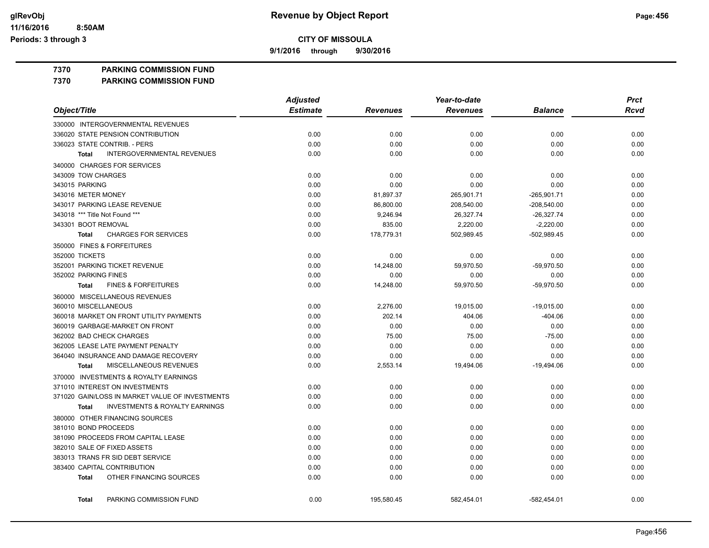**9/1/2016 through 9/30/2016**

**7370 PARKING COMMISSION FUND**

**7370 PARKING COMMISSION FUND**

|                                                    | <b>Adjusted</b> |                 | Year-to-date    |                |      |
|----------------------------------------------------|-----------------|-----------------|-----------------|----------------|------|
| Object/Title                                       | <b>Estimate</b> | <b>Revenues</b> | <b>Revenues</b> | <b>Balance</b> | Rcvd |
| 330000 INTERGOVERNMENTAL REVENUES                  |                 |                 |                 |                |      |
| 336020 STATE PENSION CONTRIBUTION                  | 0.00            | 0.00            | 0.00            | 0.00           | 0.00 |
| 336023 STATE CONTRIB. - PERS                       | 0.00            | 0.00            | 0.00            | 0.00           | 0.00 |
| <b>INTERGOVERNMENTAL REVENUES</b><br><b>Total</b>  | 0.00            | 0.00            | 0.00            | 0.00           | 0.00 |
| 340000 CHARGES FOR SERVICES                        |                 |                 |                 |                |      |
| 343009 TOW CHARGES                                 | 0.00            | 0.00            | 0.00            | 0.00           | 0.00 |
| 343015 PARKING                                     | 0.00            | 0.00            | 0.00            | 0.00           | 0.00 |
| 343016 METER MONEY                                 | 0.00            | 81,897.37       | 265,901.71      | -265,901.71    | 0.00 |
| 343017 PARKING LEASE REVENUE                       | 0.00            | 86,800.00       | 208,540.00      | $-208,540.00$  | 0.00 |
| 343018 *** Title Not Found ***                     | 0.00            | 9,246.94        | 26,327.74       | $-26,327.74$   | 0.00 |
| 343301 BOOT REMOVAL                                | 0.00            | 835.00          | 2,220.00        | $-2,220.00$    | 0.00 |
| <b>CHARGES FOR SERVICES</b><br><b>Total</b>        | 0.00            | 178,779.31      | 502,989.45      | $-502,989.45$  | 0.00 |
| 350000 FINES & FORFEITURES                         |                 |                 |                 |                |      |
| 352000 TICKETS                                     | 0.00            | 0.00            | 0.00            | 0.00           | 0.00 |
| 352001 PARKING TICKET REVENUE                      | 0.00            | 14,248.00       | 59.970.50       | -59.970.50     | 0.00 |
| 352002 PARKING FINES                               | 0.00            | 0.00            | 0.00            | 0.00           | 0.00 |
| <b>FINES &amp; FORFEITURES</b><br><b>Total</b>     | 0.00            | 14,248.00       | 59,970.50       | $-59,970.50$   | 0.00 |
| 360000 MISCELLANEOUS REVENUES                      |                 |                 |                 |                |      |
| 360010 MISCELLANEOUS                               | 0.00            | 2,276.00        | 19,015.00       | $-19,015.00$   | 0.00 |
| 360018 MARKET ON FRONT UTILITY PAYMENTS            | 0.00            | 202.14          | 404.06          | $-404.06$      | 0.00 |
| 360019 GARBAGE-MARKET ON FRONT                     | 0.00            | 0.00            | 0.00            | 0.00           | 0.00 |
| 362002 BAD CHECK CHARGES                           | 0.00            | 75.00           | 75.00           | $-75.00$       | 0.00 |
| 362005 LEASE LATE PAYMENT PENALTY                  | 0.00            | 0.00            | 0.00            | 0.00           | 0.00 |
| 364040 INSURANCE AND DAMAGE RECOVERY               | 0.00            | 0.00            | 0.00            | 0.00           | 0.00 |
| MISCELLANEOUS REVENUES<br>Total                    | 0.00            | 2,553.14        | 19,494.06       | $-19,494.06$   | 0.00 |
| 370000 INVESTMENTS & ROYALTY EARNINGS              |                 |                 |                 |                |      |
| 371010 INTEREST ON INVESTMENTS                     | 0.00            | 0.00            | 0.00            | 0.00           | 0.00 |
| 371020 GAIN/LOSS IN MARKET VALUE OF INVESTMENTS    | 0.00            | 0.00            | 0.00            | 0.00           | 0.00 |
| <b>INVESTMENTS &amp; ROYALTY EARNINGS</b><br>Total | 0.00            | 0.00            | 0.00            | 0.00           | 0.00 |
| 380000 OTHER FINANCING SOURCES                     |                 |                 |                 |                |      |
| 381010 BOND PROCEEDS                               | 0.00            | 0.00            | 0.00            | 0.00           | 0.00 |
| 381090 PROCEEDS FROM CAPITAL LEASE                 | 0.00            | 0.00            | 0.00            | 0.00           | 0.00 |
| 382010 SALE OF FIXED ASSETS                        | 0.00            | 0.00            | 0.00            | 0.00           | 0.00 |
| 383013 TRANS FR SID DEBT SERVICE                   | 0.00            | 0.00            | 0.00            | 0.00           | 0.00 |
| 383400 CAPITAL CONTRIBUTION                        | 0.00            | 0.00            | 0.00            | 0.00           | 0.00 |
| OTHER FINANCING SOURCES<br>Total                   | 0.00            | 0.00            | 0.00            | 0.00           | 0.00 |
| PARKING COMMISSION FUND<br><b>Total</b>            | 0.00            | 195,580.45      | 582,454.01      | $-582,454.01$  | 0.00 |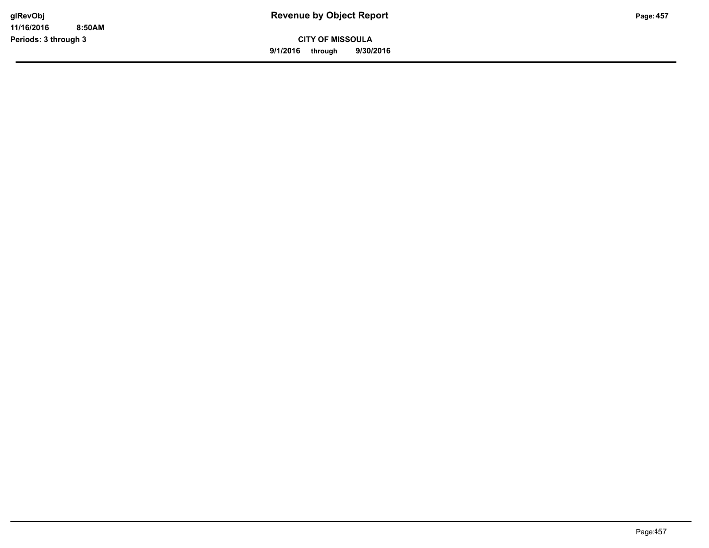**CITY OF MISSOULA 9/1/2016 through 9/30/2016**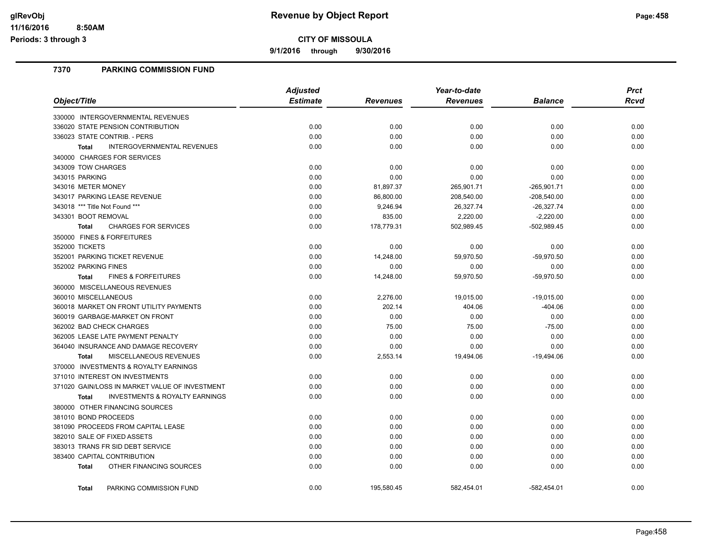**CITY OF MISSOULA**

**9/1/2016 through 9/30/2016**

#### **7370 PARKING COMMISSION FUND**

 **8:50AM**

|                                                           | <b>Adjusted</b> |                 | Year-to-date    |                | <b>Prct</b> |
|-----------------------------------------------------------|-----------------|-----------------|-----------------|----------------|-------------|
| Object/Title                                              | <b>Estimate</b> | <b>Revenues</b> | <b>Revenues</b> | <b>Balance</b> | Rcvd        |
| 330000 INTERGOVERNMENTAL REVENUES                         |                 |                 |                 |                |             |
| 336020 STATE PENSION CONTRIBUTION                         | 0.00            | 0.00            | 0.00            | 0.00           | 0.00        |
| 336023 STATE CONTRIB. - PERS                              | 0.00            | 0.00            | 0.00            | 0.00           | 0.00        |
| <b>INTERGOVERNMENTAL REVENUES</b><br><b>Total</b>         | 0.00            | 0.00            | 0.00            | 0.00           | 0.00        |
| 340000 CHARGES FOR SERVICES                               |                 |                 |                 |                |             |
| 343009 TOW CHARGES                                        | 0.00            | 0.00            | 0.00            | 0.00           | 0.00        |
| 343015 PARKING                                            | 0.00            | 0.00            | 0.00            | 0.00           | 0.00        |
| 343016 METER MONEY                                        | 0.00            | 81,897.37       | 265,901.71      | $-265,901.71$  | 0.00        |
| 343017 PARKING LEASE REVENUE                              | 0.00            | 86,800.00       | 208,540.00      | $-208,540.00$  | 0.00        |
| 343018 *** Title Not Found ***                            | 0.00            | 9,246.94        | 26,327.74       | $-26,327.74$   | 0.00        |
| 343301 BOOT REMOVAL                                       | 0.00            | 835.00          | 2,220.00        | $-2.220.00$    | 0.00        |
| <b>CHARGES FOR SERVICES</b><br><b>Total</b>               | 0.00            | 178,779.31      | 502,989.45      | $-502,989.45$  | 0.00        |
| 350000 FINES & FORFEITURES                                |                 |                 |                 |                |             |
| 352000 TICKETS                                            | 0.00            | 0.00            | 0.00            | 0.00           | 0.00        |
| 352001 PARKING TICKET REVENUE                             | 0.00            | 14,248.00       | 59,970.50       | $-59,970.50$   | 0.00        |
| 352002 PARKING FINES                                      | 0.00            | 0.00            | 0.00            | 0.00           | 0.00        |
| <b>FINES &amp; FORFEITURES</b><br><b>Total</b>            | 0.00            | 14,248.00       | 59,970.50       | $-59,970.50$   | 0.00        |
| 360000 MISCELLANEOUS REVENUES                             |                 |                 |                 |                |             |
| 360010 MISCELLANEOUS                                      | 0.00            | 2,276.00        | 19,015.00       | $-19,015.00$   | 0.00        |
| 360018 MARKET ON FRONT UTILITY PAYMENTS                   | 0.00            | 202.14          | 404.06          | $-404.06$      | 0.00        |
| 360019 GARBAGE-MARKET ON FRONT                            | 0.00            | 0.00            | 0.00            | 0.00           | 0.00        |
| 362002 BAD CHECK CHARGES                                  | 0.00            | 75.00           | 75.00           | $-75.00$       | 0.00        |
| 362005 LEASE LATE PAYMENT PENALTY                         | 0.00            | 0.00            | 0.00            | 0.00           | 0.00        |
| 364040 INSURANCE AND DAMAGE RECOVERY                      | 0.00            | 0.00            | 0.00            | 0.00           | 0.00        |
| MISCELLANEOUS REVENUES<br><b>Total</b>                    | 0.00            | 2,553.14        | 19,494.06       | $-19,494.06$   | 0.00        |
| 370000 INVESTMENTS & ROYALTY EARNINGS                     |                 |                 |                 |                |             |
| 371010 INTEREST ON INVESTMENTS                            | 0.00            | 0.00            | 0.00            | 0.00           | 0.00        |
| 371020 GAIN/LOSS IN MARKET VALUE OF INVESTMENT            | 0.00            | 0.00            | 0.00            | 0.00           | 0.00        |
| <b>INVESTMENTS &amp; ROYALTY EARNINGS</b><br><b>Total</b> | 0.00            | 0.00            | 0.00            | 0.00           | 0.00        |
| 380000 OTHER FINANCING SOURCES                            |                 |                 |                 |                |             |
| 381010 BOND PROCEEDS                                      | 0.00            | 0.00            | 0.00            | 0.00           | 0.00        |
| 381090 PROCEEDS FROM CAPITAL LEASE                        | 0.00            | 0.00            | 0.00            | 0.00           | 0.00        |
| 382010 SALE OF FIXED ASSETS                               | 0.00            | 0.00            | 0.00            | 0.00           | 0.00        |
| 383013 TRANS FR SID DEBT SERVICE                          | 0.00            | 0.00            | 0.00            | 0.00           | 0.00        |
| 383400 CAPITAL CONTRIBUTION                               | 0.00            | 0.00            | 0.00            | 0.00           | 0.00        |
| OTHER FINANCING SOURCES<br><b>Total</b>                   | 0.00            | 0.00            | 0.00            | 0.00           | 0.00        |
| PARKING COMMISSION FUND<br><b>Total</b>                   | 0.00            | 195.580.45      | 582.454.01      | -582.454.01    | 0.00        |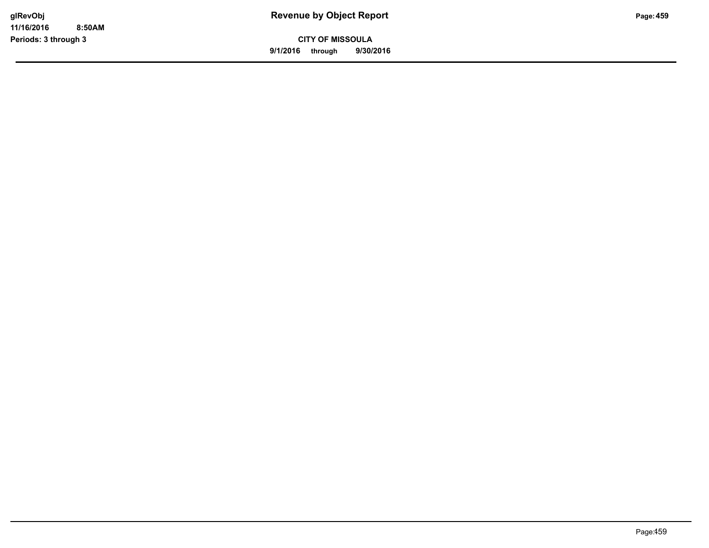**CITY OF MISSOULA 9/1/2016 through 9/30/2016**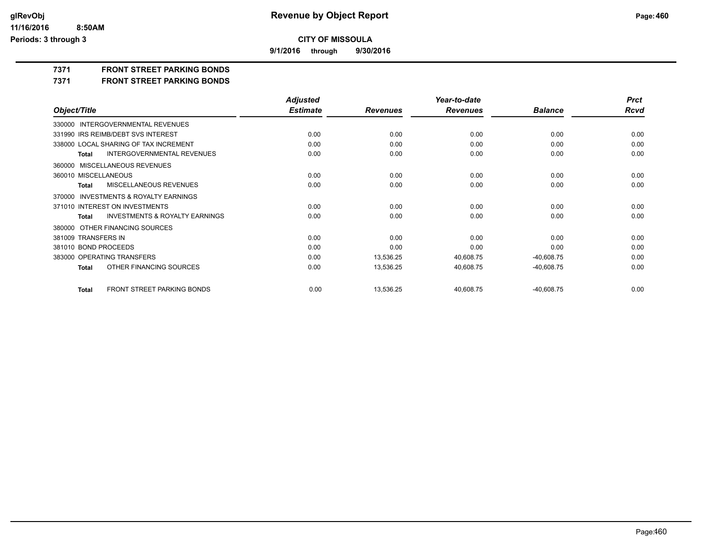**9/1/2016 through 9/30/2016**

**7371 FRONT STREET PARKING BONDS**

**7371 FRONT STREET PARKING BONDS**

|                                                     | <b>Adjusted</b> |                 | Year-to-date    |                | <b>Prct</b> |
|-----------------------------------------------------|-----------------|-----------------|-----------------|----------------|-------------|
| Object/Title                                        | <b>Estimate</b> | <b>Revenues</b> | <b>Revenues</b> | <b>Balance</b> | <b>Rcvd</b> |
| 330000 INTERGOVERNMENTAL REVENUES                   |                 |                 |                 |                |             |
| 331990 IRS REIMB/DEBT SVS INTEREST                  | 0.00            | 0.00            | 0.00            | 0.00           | 0.00        |
| 338000 LOCAL SHARING OF TAX INCREMENT               | 0.00            | 0.00            | 0.00            | 0.00           | 0.00        |
| <b>INTERGOVERNMENTAL REVENUES</b><br>Total          | 0.00            | 0.00            | 0.00            | 0.00           | 0.00        |
| 360000 MISCELLANEOUS REVENUES                       |                 |                 |                 |                |             |
| 360010 MISCELLANEOUS                                | 0.00            | 0.00            | 0.00            | 0.00           | 0.00        |
| MISCELLANEOUS REVENUES<br>Total                     | 0.00            | 0.00            | 0.00            | 0.00           | 0.00        |
| <b>INVESTMENTS &amp; ROYALTY EARNINGS</b><br>370000 |                 |                 |                 |                |             |
| 371010 INTEREST ON INVESTMENTS                      | 0.00            | 0.00            | 0.00            | 0.00           | 0.00        |
| <b>INVESTMENTS &amp; ROYALTY EARNINGS</b><br>Total  | 0.00            | 0.00            | 0.00            | 0.00           | 0.00        |
| 380000 OTHER FINANCING SOURCES                      |                 |                 |                 |                |             |
| 381009 TRANSFERS IN                                 | 0.00            | 0.00            | 0.00            | 0.00           | 0.00        |
| 381010 BOND PROCEEDS                                | 0.00            | 0.00            | 0.00            | 0.00           | 0.00        |
| 383000 OPERATING TRANSFERS                          | 0.00            | 13,536.25       | 40,608.75       | $-40,608.75$   | 0.00        |
| OTHER FINANCING SOURCES<br><b>Total</b>             | 0.00            | 13,536.25       | 40,608.75       | $-40,608.75$   | 0.00        |
| FRONT STREET PARKING BONDS<br>Total                 | 0.00            | 13,536.25       | 40,608.75       | $-40,608.75$   | 0.00        |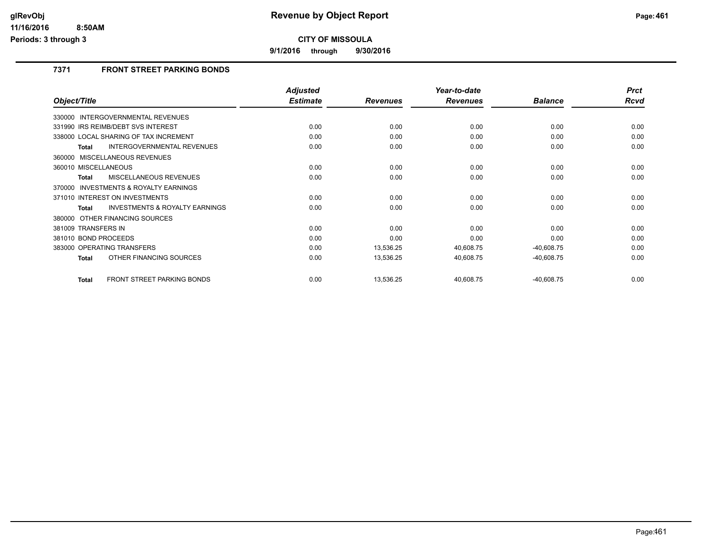**9/1/2016 through 9/30/2016**

#### **7371 FRONT STREET PARKING BONDS**

|                                                     | <b>Adjusted</b> |                 | Year-to-date    |                | <b>Prct</b> |
|-----------------------------------------------------|-----------------|-----------------|-----------------|----------------|-------------|
| Object/Title                                        | <b>Estimate</b> | <b>Revenues</b> | <b>Revenues</b> | <b>Balance</b> | Rcvd        |
| <b>INTERGOVERNMENTAL REVENUES</b><br>330000         |                 |                 |                 |                |             |
| 331990 IRS REIMB/DEBT SVS INTEREST                  | 0.00            | 0.00            | 0.00            | 0.00           | 0.00        |
| 338000 LOCAL SHARING OF TAX INCREMENT               | 0.00            | 0.00            | 0.00            | 0.00           | 0.00        |
| <b>INTERGOVERNMENTAL REVENUES</b><br>Total          | 0.00            | 0.00            | 0.00            | 0.00           | 0.00        |
| 360000 MISCELLANEOUS REVENUES                       |                 |                 |                 |                |             |
| 360010 MISCELLANEOUS                                | 0.00            | 0.00            | 0.00            | 0.00           | 0.00        |
| MISCELLANEOUS REVENUES<br>Total                     | 0.00            | 0.00            | 0.00            | 0.00           | 0.00        |
| <b>INVESTMENTS &amp; ROYALTY EARNINGS</b><br>370000 |                 |                 |                 |                |             |
| 371010 INTEREST ON INVESTMENTS                      | 0.00            | 0.00            | 0.00            | 0.00           | 0.00        |
| <b>INVESTMENTS &amp; ROYALTY EARNINGS</b><br>Total  | 0.00            | 0.00            | 0.00            | 0.00           | 0.00        |
| 380000 OTHER FINANCING SOURCES                      |                 |                 |                 |                |             |
| 381009 TRANSFERS IN                                 | 0.00            | 0.00            | 0.00            | 0.00           | 0.00        |
| 381010 BOND PROCEEDS                                | 0.00            | 0.00            | 0.00            | 0.00           | 0.00        |
| 383000 OPERATING TRANSFERS                          | 0.00            | 13,536.25       | 40,608.75       | $-40,608.75$   | 0.00        |
| OTHER FINANCING SOURCES<br><b>Total</b>             | 0.00            | 13,536.25       | 40,608.75       | $-40,608.75$   | 0.00        |
| <b>FRONT STREET PARKING BONDS</b><br><b>Total</b>   | 0.00            | 13,536.25       | 40,608.75       | $-40,608.75$   | 0.00        |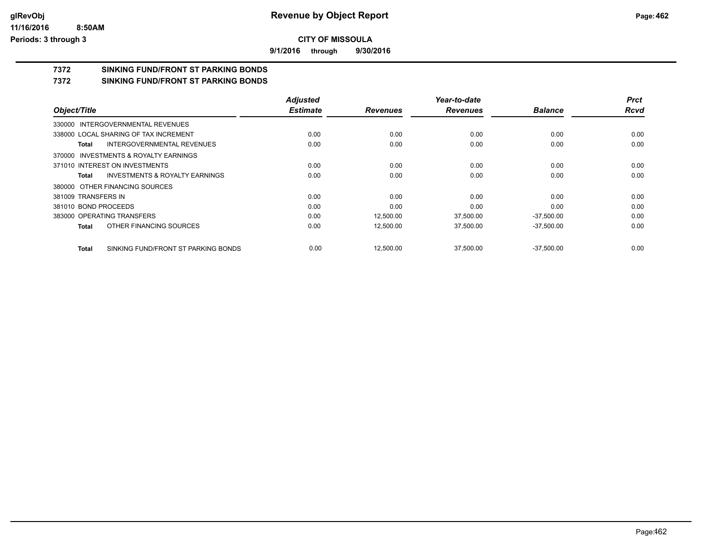**9/1/2016 through 9/30/2016**

### **7372 SINKING FUND/FRONT ST PARKING BONDS**

**7372 SINKING FUND/FRONT ST PARKING BONDS**

|                                                     | <b>Adjusted</b> |                 | Year-to-date    |                | <b>Prct</b> |
|-----------------------------------------------------|-----------------|-----------------|-----------------|----------------|-------------|
| Object/Title                                        | <b>Estimate</b> | <b>Revenues</b> | <b>Revenues</b> | <b>Balance</b> | <b>Rcvd</b> |
| 330000 INTERGOVERNMENTAL REVENUES                   |                 |                 |                 |                |             |
| 338000 LOCAL SHARING OF TAX INCREMENT               | 0.00            | 0.00            | 0.00            | 0.00           | 0.00        |
| INTERGOVERNMENTAL REVENUES<br>Total                 | 0.00            | 0.00            | 0.00            | 0.00           | 0.00        |
| 370000 INVESTMENTS & ROYALTY EARNINGS               |                 |                 |                 |                |             |
| 371010 INTEREST ON INVESTMENTS                      | 0.00            | 0.00            | 0.00            | 0.00           | 0.00        |
| <b>INVESTMENTS &amp; ROYALTY EARNINGS</b><br>Total  | 0.00            | 0.00            | 0.00            | 0.00           | 0.00        |
| 380000 OTHER FINANCING SOURCES                      |                 |                 |                 |                |             |
| 381009 TRANSFERS IN                                 | 0.00            | 0.00            | 0.00            | 0.00           | 0.00        |
| 381010 BOND PROCEEDS                                | 0.00            | 0.00            | 0.00            | 0.00           | 0.00        |
| 383000 OPERATING TRANSFERS                          | 0.00            | 12.500.00       | 37,500.00       | $-37,500.00$   | 0.00        |
| OTHER FINANCING SOURCES<br><b>Total</b>             | 0.00            | 12,500.00       | 37,500.00       | $-37,500.00$   | 0.00        |
| SINKING FUND/FRONT ST PARKING BONDS<br><b>Total</b> | 0.00            | 12.500.00       | 37.500.00       | $-37.500.00$   | 0.00        |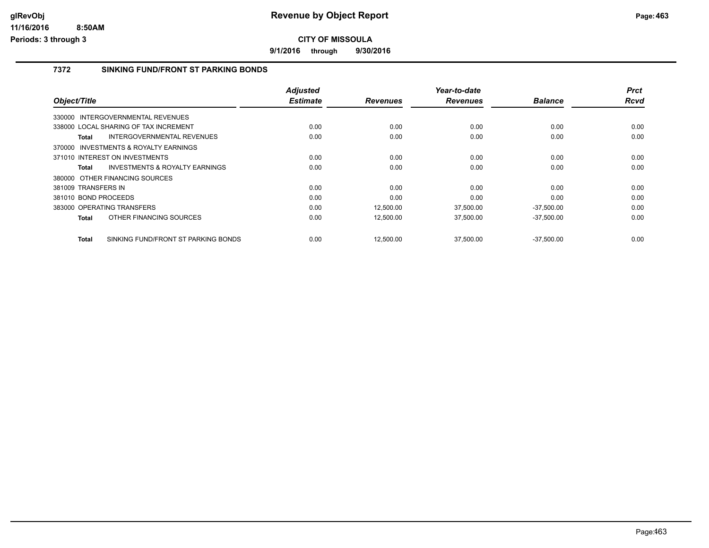**9/1/2016 through 9/30/2016**

#### **7372 SINKING FUND/FRONT ST PARKING BONDS**

| Object/Title                                        | <b>Adjusted</b><br><b>Estimate</b> | <b>Revenues</b> | Year-to-date<br><b>Revenues</b> | <b>Balance</b> | <b>Prct</b><br><b>Rcvd</b> |
|-----------------------------------------------------|------------------------------------|-----------------|---------------------------------|----------------|----------------------------|
|                                                     |                                    |                 |                                 |                |                            |
| 330000 INTERGOVERNMENTAL REVENUES                   |                                    |                 |                                 |                |                            |
| 338000 LOCAL SHARING OF TAX INCREMENT               | 0.00                               | 0.00            | 0.00                            | 0.00           | 0.00                       |
| INTERGOVERNMENTAL REVENUES<br><b>Total</b>          | 0.00                               | 0.00            | 0.00                            | 0.00           | 0.00                       |
| 370000 INVESTMENTS & ROYALTY EARNINGS               |                                    |                 |                                 |                |                            |
| 371010 INTEREST ON INVESTMENTS                      | 0.00                               | 0.00            | 0.00                            | 0.00           | 0.00                       |
| <b>INVESTMENTS &amp; ROYALTY EARNINGS</b><br>Total  | 0.00                               | 0.00            | 0.00                            | 0.00           | 0.00                       |
| 380000 OTHER FINANCING SOURCES                      |                                    |                 |                                 |                |                            |
| 381009 TRANSFERS IN                                 | 0.00                               | 0.00            | 0.00                            | 0.00           | 0.00                       |
| 381010 BOND PROCEEDS                                | 0.00                               | 0.00            | 0.00                            | 0.00           | 0.00                       |
| 383000 OPERATING TRANSFERS                          | 0.00                               | 12.500.00       | 37,500.00                       | $-37,500.00$   | 0.00                       |
| OTHER FINANCING SOURCES<br><b>Total</b>             | 0.00                               | 12.500.00       | 37,500.00                       | $-37,500.00$   | 0.00                       |
| SINKING FUND/FRONT ST PARKING BONDS<br><b>Total</b> | 0.00                               | 12,500.00       | 37,500.00                       | $-37,500.00$   | 0.00                       |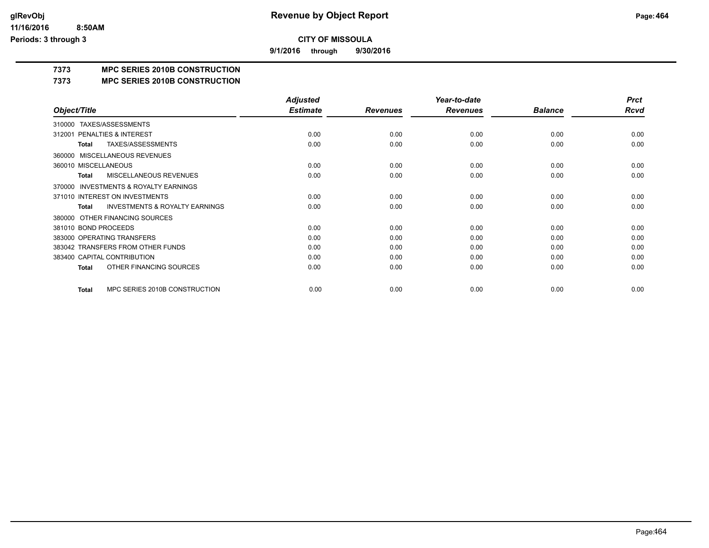**8:50AM**

**CITY OF MISSOULA**

**9/1/2016 through 9/30/2016**

#### **7373 MPC SERIES 2010B CONSTRUCTION**

#### **7373 MPC SERIES 2010B CONSTRUCTION**

|                                                     | <b>Adjusted</b> |                 | Year-to-date    |                | <b>Prct</b> |
|-----------------------------------------------------|-----------------|-----------------|-----------------|----------------|-------------|
| Object/Title                                        | <b>Estimate</b> | <b>Revenues</b> | <b>Revenues</b> | <b>Balance</b> | <b>Rcvd</b> |
| TAXES/ASSESSMENTS<br>310000                         |                 |                 |                 |                |             |
| PENALTIES & INTEREST<br>312001                      | 0.00            | 0.00            | 0.00            | 0.00           | 0.00        |
| TAXES/ASSESSMENTS<br><b>Total</b>                   | 0.00            | 0.00            | 0.00            | 0.00           | 0.00        |
| MISCELLANEOUS REVENUES<br>360000                    |                 |                 |                 |                |             |
| 360010 MISCELLANEOUS                                | 0.00            | 0.00            | 0.00            | 0.00           | 0.00        |
| <b>MISCELLANEOUS REVENUES</b><br>Total              | 0.00            | 0.00            | 0.00            | 0.00           | 0.00        |
| <b>INVESTMENTS &amp; ROYALTY EARNINGS</b><br>370000 |                 |                 |                 |                |             |
| 371010 INTEREST ON INVESTMENTS                      | 0.00            | 0.00            | 0.00            | 0.00           | 0.00        |
| <b>INVESTMENTS &amp; ROYALTY EARNINGS</b><br>Total  | 0.00            | 0.00            | 0.00            | 0.00           | 0.00        |
| OTHER FINANCING SOURCES<br>380000                   |                 |                 |                 |                |             |
| 381010 BOND PROCEEDS                                | 0.00            | 0.00            | 0.00            | 0.00           | 0.00        |
| 383000 OPERATING TRANSFERS                          | 0.00            | 0.00            | 0.00            | 0.00           | 0.00        |
| 383042 TRANSFERS FROM OTHER FUNDS                   | 0.00            | 0.00            | 0.00            | 0.00           | 0.00        |
| 383400 CAPITAL CONTRIBUTION                         | 0.00            | 0.00            | 0.00            | 0.00           | 0.00        |
| OTHER FINANCING SOURCES<br><b>Total</b>             | 0.00            | 0.00            | 0.00            | 0.00           | 0.00        |
|                                                     |                 |                 |                 |                |             |
| MPC SERIES 2010B CONSTRUCTION<br><b>Total</b>       | 0.00            | 0.00            | 0.00            | 0.00           | 0.00        |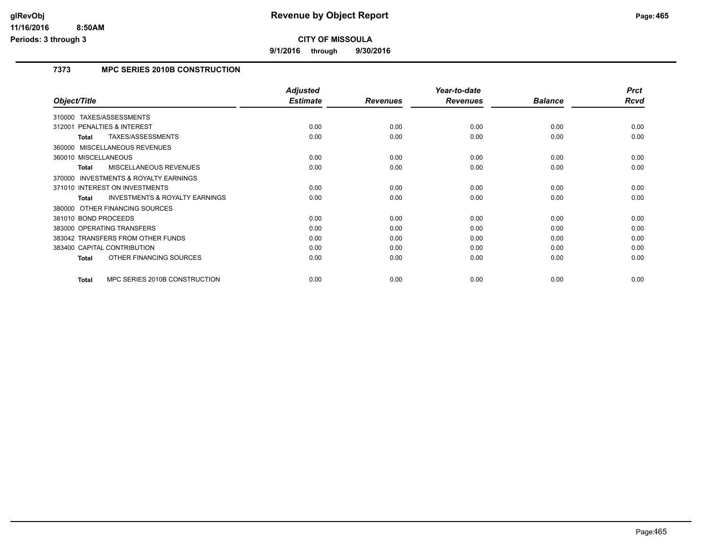**CITY OF MISSOULA**

**9/1/2016 through 9/30/2016**

#### **7373 MPC SERIES 2010B CONSTRUCTION**

|                                                    | <b>Adjusted</b> |                 | Year-to-date    |                | <b>Prct</b> |
|----------------------------------------------------|-----------------|-----------------|-----------------|----------------|-------------|
| Object/Title                                       | <b>Estimate</b> | <b>Revenues</b> | <b>Revenues</b> | <b>Balance</b> | <b>Rcvd</b> |
| TAXES/ASSESSMENTS<br>310000                        |                 |                 |                 |                |             |
| PENALTIES & INTEREST<br>312001                     | 0.00            | 0.00            | 0.00            | 0.00           | 0.00        |
| TAXES/ASSESSMENTS<br>Total                         | 0.00            | 0.00            | 0.00            | 0.00           | 0.00        |
| 360000 MISCELLANEOUS REVENUES                      |                 |                 |                 |                |             |
| 360010 MISCELLANEOUS                               | 0.00            | 0.00            | 0.00            | 0.00           | 0.00        |
| MISCELLANEOUS REVENUES<br>Total                    | 0.00            | 0.00            | 0.00            | 0.00           | 0.00        |
| 370000 INVESTMENTS & ROYALTY EARNINGS              |                 |                 |                 |                |             |
| 371010 INTEREST ON INVESTMENTS                     | 0.00            | 0.00            | 0.00            | 0.00           | 0.00        |
| <b>INVESTMENTS &amp; ROYALTY EARNINGS</b><br>Total | 0.00            | 0.00            | 0.00            | 0.00           | 0.00        |
| 380000 OTHER FINANCING SOURCES                     |                 |                 |                 |                |             |
| 381010 BOND PROCEEDS                               | 0.00            | 0.00            | 0.00            | 0.00           | 0.00        |
| 383000 OPERATING TRANSFERS                         | 0.00            | 0.00            | 0.00            | 0.00           | 0.00        |
| 383042 TRANSFERS FROM OTHER FUNDS                  | 0.00            | 0.00            | 0.00            | 0.00           | 0.00        |
| 383400 CAPITAL CONTRIBUTION                        | 0.00            | 0.00            | 0.00            | 0.00           | 0.00        |
| OTHER FINANCING SOURCES<br>Total                   | 0.00            | 0.00            | 0.00            | 0.00           | 0.00        |
|                                                    |                 |                 |                 |                |             |
| MPC SERIES 2010B CONSTRUCTION<br><b>Total</b>      | 0.00            | 0.00            | 0.00            | 0.00           | 0.00        |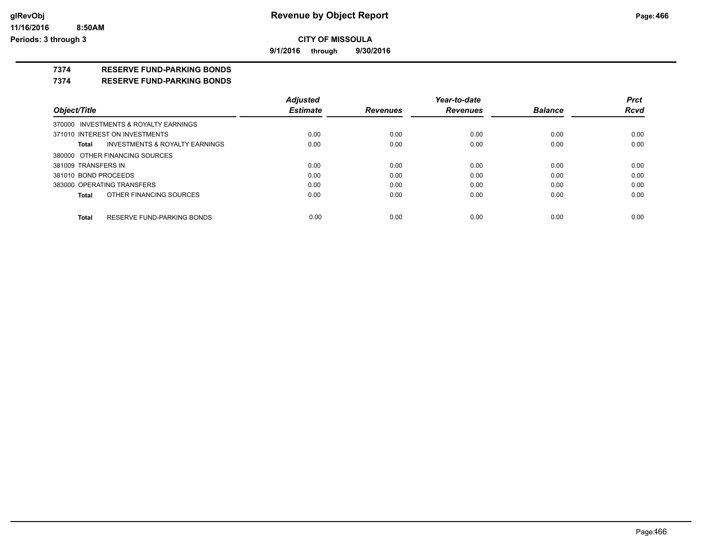**9/1/2016 through 9/30/2016**

#### **7374 RESERVE FUND-PARKING BONDS**

#### **7374 RESERVE FUND-PARKING BONDS**

|                      |                                           | <b>Adjusted</b> |                 | Year-to-date    |                | <b>Prct</b> |
|----------------------|-------------------------------------------|-----------------|-----------------|-----------------|----------------|-------------|
| Object/Title         |                                           | <b>Estimate</b> | <b>Revenues</b> | <b>Revenues</b> | <b>Balance</b> | <b>Rcvd</b> |
|                      | 370000 INVESTMENTS & ROYALTY EARNINGS     |                 |                 |                 |                |             |
|                      | 371010 INTEREST ON INVESTMENTS            | 0.00            | 0.00            | 0.00            | 0.00           | 0.00        |
| Total                | <b>INVESTMENTS &amp; ROYALTY EARNINGS</b> | 0.00            | 0.00            | 0.00            | 0.00           | 0.00        |
|                      | 380000 OTHER FINANCING SOURCES            |                 |                 |                 |                |             |
| 381009 TRANSFERS IN  |                                           | 0.00            | 0.00            | 0.00            | 0.00           | 0.00        |
| 381010 BOND PROCEEDS |                                           | 0.00            | 0.00            | 0.00            | 0.00           | 0.00        |
|                      | 383000 OPERATING TRANSFERS                | 0.00            | 0.00            | 0.00            | 0.00           | 0.00        |
| Total                | OTHER FINANCING SOURCES                   | 0.00            | 0.00            | 0.00            | 0.00           | 0.00        |
|                      |                                           |                 |                 |                 |                |             |
| <b>Total</b>         | RESERVE FUND-PARKING BONDS                | 0.00            | 0.00            | 0.00            | 0.00           | 0.00        |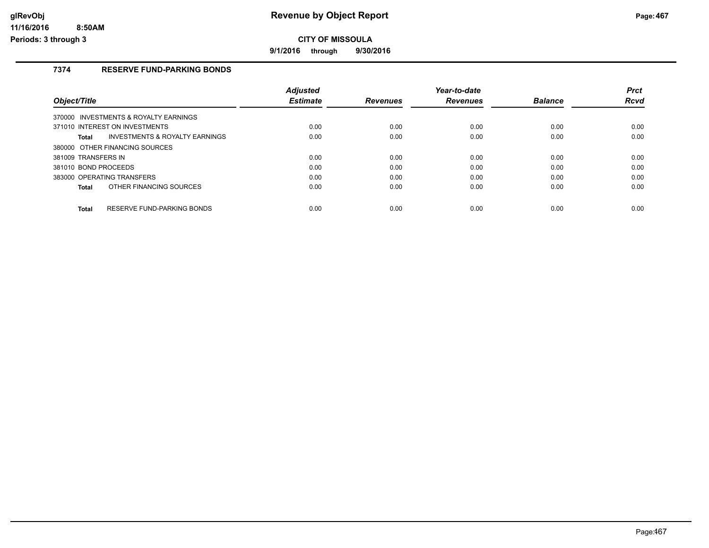**8:50AM**

**CITY OF MISSOULA**

**9/1/2016 through 9/30/2016**

#### **7374 RESERVE FUND-PARKING BONDS**

|                                            | <b>Adjusted</b> |                 | Year-to-date    |                | <b>Prct</b> |
|--------------------------------------------|-----------------|-----------------|-----------------|----------------|-------------|
| Object/Title                               | <b>Estimate</b> | <b>Revenues</b> | <b>Revenues</b> | <b>Balance</b> | <b>Rcvd</b> |
| 370000 INVESTMENTS & ROYALTY EARNINGS      |                 |                 |                 |                |             |
| 371010 INTEREST ON INVESTMENTS             | 0.00            | 0.00            | 0.00            | 0.00           | 0.00        |
| INVESTMENTS & ROYALTY EARNINGS<br>Total    | 0.00            | 0.00            | 0.00            | 0.00           | 0.00        |
| 380000 OTHER FINANCING SOURCES             |                 |                 |                 |                |             |
| 381009 TRANSFERS IN                        | 0.00            | 0.00            | 0.00            | 0.00           | 0.00        |
| 381010 BOND PROCEEDS                       | 0.00            | 0.00            | 0.00            | 0.00           | 0.00        |
| 383000 OPERATING TRANSFERS                 | 0.00            | 0.00            | 0.00            | 0.00           | 0.00        |
| OTHER FINANCING SOURCES<br>Total           | 0.00            | 0.00            | 0.00            | 0.00           | 0.00        |
| RESERVE FUND-PARKING BONDS<br><b>Total</b> | 0.00            | 0.00            | 0.00            | 0.00           | 0.00        |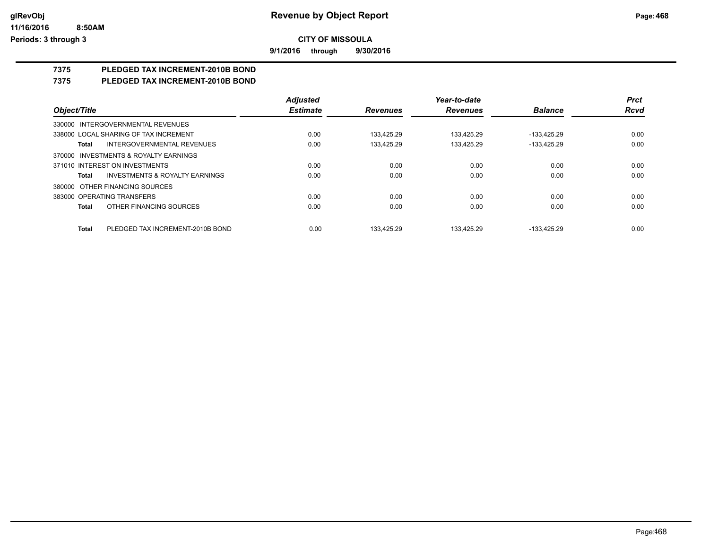**9/1/2016 through 9/30/2016**

## **7375 PLEDGED TAX INCREMENT-2010B BOND**

### **7375 PLEDGED TAX INCREMENT-2010B BOND**

|                                                    | <b>Adjusted</b> |                 | Year-to-date    |                | <b>Prct</b> |
|----------------------------------------------------|-----------------|-----------------|-----------------|----------------|-------------|
| Object/Title                                       | <b>Estimate</b> | <b>Revenues</b> | <b>Revenues</b> | <b>Balance</b> | <b>Rcvd</b> |
| 330000 INTERGOVERNMENTAL REVENUES                  |                 |                 |                 |                |             |
| 338000 LOCAL SHARING OF TAX INCREMENT              | 0.00            | 133.425.29      | 133.425.29      | -133.425.29    | 0.00        |
| <b>INTERGOVERNMENTAL REVENUES</b><br>Total         | 0.00            | 133.425.29      | 133.425.29      | $-133.425.29$  | 0.00        |
| 370000 INVESTMENTS & ROYALTY EARNINGS              |                 |                 |                 |                |             |
| 371010 INTEREST ON INVESTMENTS                     | 0.00            | 0.00            | 0.00            | 0.00           | 0.00        |
| <b>INVESTMENTS &amp; ROYALTY EARNINGS</b><br>Total | 0.00            | 0.00            | 0.00            | 0.00           | 0.00        |
| 380000 OTHER FINANCING SOURCES                     |                 |                 |                 |                |             |
| 383000 OPERATING TRANSFERS                         | 0.00            | 0.00            | 0.00            | 0.00           | 0.00        |
| OTHER FINANCING SOURCES<br><b>Total</b>            | 0.00            | 0.00            | 0.00            | 0.00           | 0.00        |
| PLEDGED TAX INCREMENT-2010B BOND<br><b>Total</b>   | 0.00            | 133.425.29      | 133.425.29      | $-133.425.29$  | 0.00        |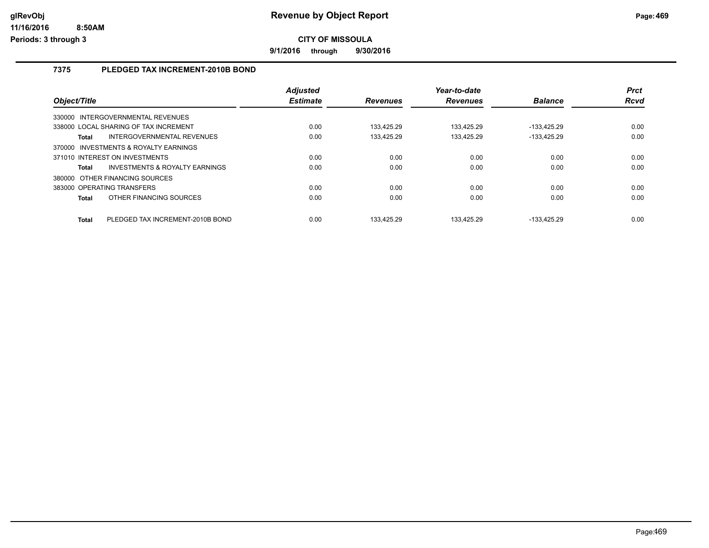**9/1/2016 through 9/30/2016**

# **7375 PLEDGED TAX INCREMENT-2010B BOND**

| Object/Title                                     | <b>Adjusted</b><br><b>Estimate</b> | <b>Revenues</b> | Year-to-date<br><b>Revenues</b> | <b>Balance</b> | <b>Prct</b><br><b>Rcvd</b> |
|--------------------------------------------------|------------------------------------|-----------------|---------------------------------|----------------|----------------------------|
| INTERGOVERNMENTAL REVENUES<br>330000             |                                    |                 |                                 |                |                            |
| 338000 LOCAL SHARING OF TAX INCREMENT            | 0.00                               | 133.425.29      | 133.425.29                      | -133.425.29    | 0.00                       |
| INTERGOVERNMENTAL REVENUES<br>Total              | 0.00                               | 133.425.29      | 133.425.29                      | $-133.425.29$  | 0.00                       |
| INVESTMENTS & ROYALTY EARNINGS<br>370000         |                                    |                 |                                 |                |                            |
| 371010 INTEREST ON INVESTMENTS                   | 0.00                               | 0.00            | 0.00                            | 0.00           | 0.00                       |
| INVESTMENTS & ROYALTY EARNINGS<br>Total          | 0.00                               | 0.00            | 0.00                            | 0.00           | 0.00                       |
| OTHER FINANCING SOURCES<br>380000                |                                    |                 |                                 |                |                            |
| 383000 OPERATING TRANSFERS                       | 0.00                               | 0.00            | 0.00                            | 0.00           | 0.00                       |
| OTHER FINANCING SOURCES<br><b>Total</b>          | 0.00                               | 0.00            | 0.00                            | 0.00           | 0.00                       |
| PLEDGED TAX INCREMENT-2010B BOND<br><b>Total</b> | 0.00                               | 133.425.29      | 133.425.29                      | $-133.425.29$  | 0.00                       |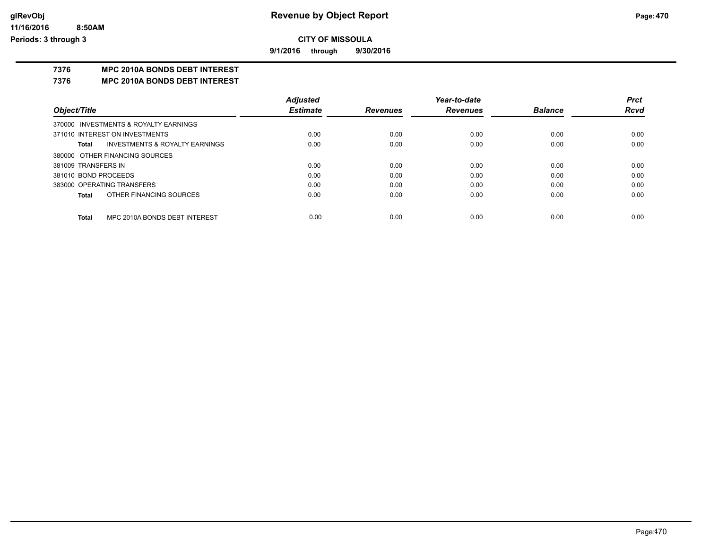**8:50AM**

**CITY OF MISSOULA**

**9/1/2016 through 9/30/2016**

# **7376 MPC 2010A BONDS DEBT INTEREST**

## **7376 MPC 2010A BONDS DEBT INTEREST**

|                      |                                       | <b>Adjusted</b> |                 | Year-to-date    |                | <b>Prct</b> |
|----------------------|---------------------------------------|-----------------|-----------------|-----------------|----------------|-------------|
| Object/Title         |                                       | <b>Estimate</b> | <b>Revenues</b> | <b>Revenues</b> | <b>Balance</b> | <b>Rcvd</b> |
|                      | 370000 INVESTMENTS & ROYALTY EARNINGS |                 |                 |                 |                |             |
|                      | 371010 INTEREST ON INVESTMENTS        | 0.00            | 0.00            | 0.00            | 0.00           | 0.00        |
| Total                | INVESTMENTS & ROYALTY EARNINGS        | 0.00            | 0.00            | 0.00            | 0.00           | 0.00        |
|                      | 380000 OTHER FINANCING SOURCES        |                 |                 |                 |                |             |
| 381009 TRANSFERS IN  |                                       | 0.00            | 0.00            | 0.00            | 0.00           | 0.00        |
| 381010 BOND PROCEEDS |                                       | 0.00            | 0.00            | 0.00            | 0.00           | 0.00        |
|                      | 383000 OPERATING TRANSFERS            | 0.00            | 0.00            | 0.00            | 0.00           | 0.00        |
| Total                | OTHER FINANCING SOURCES               | 0.00            | 0.00            | 0.00            | 0.00           | 0.00        |
| Total                | MPC 2010A BONDS DEBT INTEREST         | 0.00            | 0.00            | 0.00            | 0.00           | 0.00        |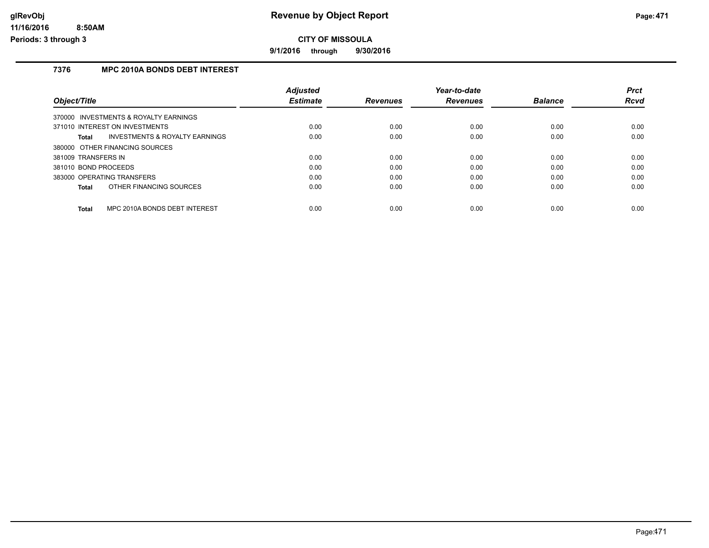**9/1/2016 through 9/30/2016**

# **7376 MPC 2010A BONDS DEBT INTEREST**

|                                                           | <b>Adjusted</b> |                 | Year-to-date    |                | <b>Prct</b> |
|-----------------------------------------------------------|-----------------|-----------------|-----------------|----------------|-------------|
| Object/Title                                              | <b>Estimate</b> | <b>Revenues</b> | <b>Revenues</b> | <b>Balance</b> | <b>Rcvd</b> |
| 370000 INVESTMENTS & ROYALTY EARNINGS                     |                 |                 |                 |                |             |
| 371010 INTEREST ON INVESTMENTS                            | 0.00            | 0.00            | 0.00            | 0.00           | 0.00        |
| <b>INVESTMENTS &amp; ROYALTY EARNINGS</b><br><b>Total</b> | 0.00            | 0.00            | 0.00            | 0.00           | 0.00        |
| 380000 OTHER FINANCING SOURCES                            |                 |                 |                 |                |             |
| 381009 TRANSFERS IN                                       | 0.00            | 0.00            | 0.00            | 0.00           | 0.00        |
| 381010 BOND PROCEEDS                                      | 0.00            | 0.00            | 0.00            | 0.00           | 0.00        |
| 383000 OPERATING TRANSFERS                                | 0.00            | 0.00            | 0.00            | 0.00           | 0.00        |
| OTHER FINANCING SOURCES<br><b>Total</b>                   | 0.00            | 0.00            | 0.00            | 0.00           | 0.00        |
| MPC 2010A BONDS DEBT INTEREST<br><b>Total</b>             | 0.00            | 0.00            | 0.00            | 0.00           | 0.00        |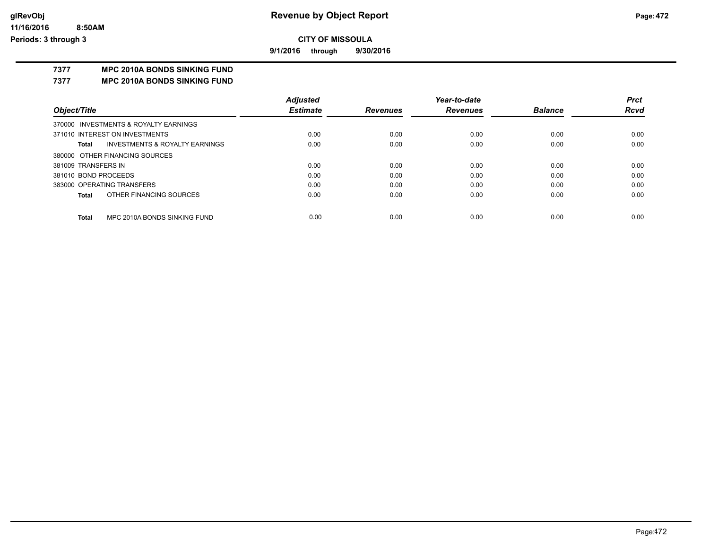**glRevObj Revenue by Object Report Page:472** 

**11/16/2016 8:50AM Periods: 3 through 3**

# **CITY OF MISSOULA**

**9/1/2016 through 9/30/2016**

# **7377 MPC 2010A BONDS SINKING FUND**

**7377 MPC 2010A BONDS SINKING FUND**

|                                                    | <b>Adjusted</b> |                 | Year-to-date    |                | <b>Prct</b> |
|----------------------------------------------------|-----------------|-----------------|-----------------|----------------|-------------|
| Object/Title                                       | <b>Estimate</b> | <b>Revenues</b> | <b>Revenues</b> | <b>Balance</b> | <b>Rcvd</b> |
| 370000 INVESTMENTS & ROYALTY EARNINGS              |                 |                 |                 |                |             |
| 371010 INTEREST ON INVESTMENTS                     | 0.00            | 0.00            | 0.00            | 0.00           | 0.00        |
| <b>INVESTMENTS &amp; ROYALTY EARNINGS</b><br>Total | 0.00            | 0.00            | 0.00            | 0.00           | 0.00        |
| 380000 OTHER FINANCING SOURCES                     |                 |                 |                 |                |             |
| 381009 TRANSFERS IN                                | 0.00            | 0.00            | 0.00            | 0.00           | 0.00        |
| 381010 BOND PROCEEDS                               | 0.00            | 0.00            | 0.00            | 0.00           | 0.00        |
| 383000 OPERATING TRANSFERS                         | 0.00            | 0.00            | 0.00            | 0.00           | 0.00        |
| OTHER FINANCING SOURCES<br><b>Total</b>            | 0.00            | 0.00            | 0.00            | 0.00           | 0.00        |
|                                                    |                 |                 |                 |                |             |
| MPC 2010A BONDS SINKING FUND<br><b>Total</b>       | 0.00            | 0.00            | 0.00            | 0.00           | 0.00        |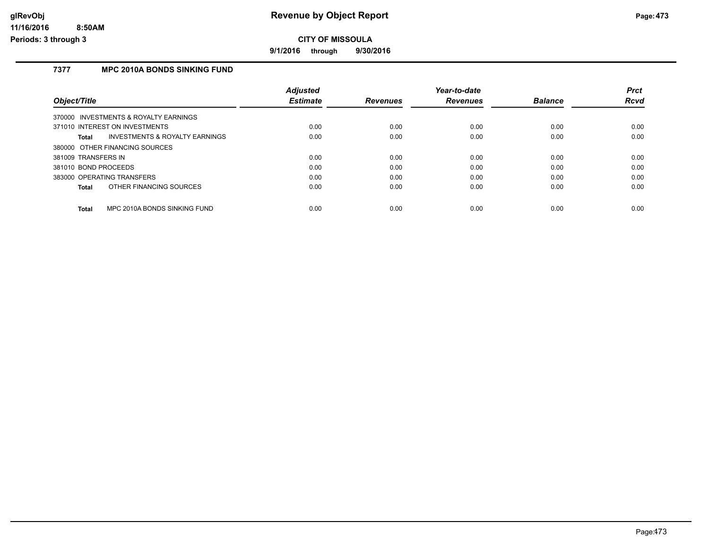**8:50AM**

**CITY OF MISSOULA**

**9/1/2016 through 9/30/2016**

# **7377 MPC 2010A BONDS SINKING FUND**

|                                              |                                | <b>Adjusted</b> |                 | Year-to-date    |                | <b>Prct</b> |
|----------------------------------------------|--------------------------------|-----------------|-----------------|-----------------|----------------|-------------|
| Object/Title                                 |                                | <b>Estimate</b> | <b>Revenues</b> | <b>Revenues</b> | <b>Balance</b> | <b>Rcvd</b> |
| 370000 INVESTMENTS & ROYALTY EARNINGS        |                                |                 |                 |                 |                |             |
| 371010 INTEREST ON INVESTMENTS               |                                | 0.00            | 0.00            | 0.00            | 0.00           | 0.00        |
| Total                                        | INVESTMENTS & ROYALTY EARNINGS | 0.00            | 0.00            | 0.00            | 0.00           | 0.00        |
| 380000 OTHER FINANCING SOURCES               |                                |                 |                 |                 |                |             |
| 381009 TRANSFERS IN                          |                                | 0.00            | 0.00            | 0.00            | 0.00           | 0.00        |
| 381010 BOND PROCEEDS                         |                                | 0.00            | 0.00            | 0.00            | 0.00           | 0.00        |
| 383000 OPERATING TRANSFERS                   |                                | 0.00            | 0.00            | 0.00            | 0.00           | 0.00        |
| OTHER FINANCING SOURCES<br><b>Total</b>      |                                | 0.00            | 0.00            | 0.00            | 0.00           | 0.00        |
| MPC 2010A BONDS SINKING FUND<br><b>Total</b> |                                | 0.00            | 0.00            | 0.00            | 0.00           | 0.00        |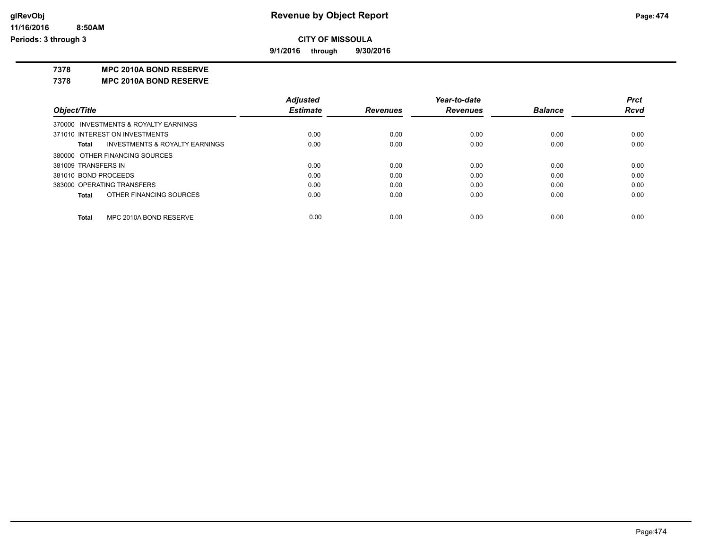**9/1/2016 through 9/30/2016**

**7378 MPC 2010A BOND RESERVE**

**7378 MPC 2010A BOND RESERVE**

|                      |                                           | <b>Adjusted</b> |                 | Year-to-date    |                | <b>Prct</b> |
|----------------------|-------------------------------------------|-----------------|-----------------|-----------------|----------------|-------------|
| Object/Title         |                                           | <b>Estimate</b> | <b>Revenues</b> | <b>Revenues</b> | <b>Balance</b> | Rcvd        |
|                      | 370000 INVESTMENTS & ROYALTY EARNINGS     |                 |                 |                 |                |             |
|                      | 371010 INTEREST ON INVESTMENTS            | 0.00            | 0.00            | 0.00            | 0.00           | 0.00        |
| Total                | <b>INVESTMENTS &amp; ROYALTY EARNINGS</b> | 0.00            | 0.00            | 0.00            | 0.00           | 0.00        |
|                      | 380000 OTHER FINANCING SOURCES            |                 |                 |                 |                |             |
| 381009 TRANSFERS IN  |                                           | 0.00            | 0.00            | 0.00            | 0.00           | 0.00        |
| 381010 BOND PROCEEDS |                                           | 0.00            | 0.00            | 0.00            | 0.00           | 0.00        |
|                      | 383000 OPERATING TRANSFERS                | 0.00            | 0.00            | 0.00            | 0.00           | 0.00        |
| Total                | OTHER FINANCING SOURCES                   | 0.00            | 0.00            | 0.00            | 0.00           | 0.00        |
| <b>Total</b>         | MPC 2010A BOND RESERVE                    | 0.00            | 0.00            | 0.00            | 0.00           | 0.00        |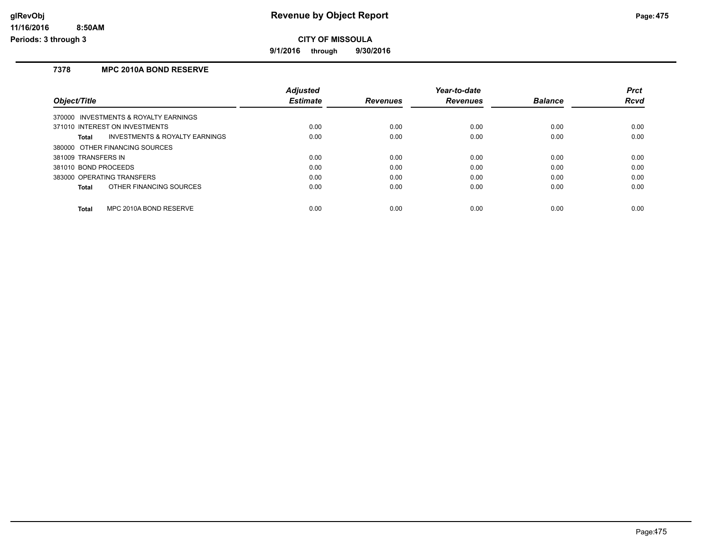**9/1/2016 through 9/30/2016**

# **7378 MPC 2010A BOND RESERVE**

|                                                | <b>Adjusted</b> |                 | Year-to-date    |                | <b>Prct</b> |
|------------------------------------------------|-----------------|-----------------|-----------------|----------------|-------------|
| Object/Title                                   | <b>Estimate</b> | <b>Revenues</b> | <b>Revenues</b> | <b>Balance</b> | <b>Rcvd</b> |
| 370000 INVESTMENTS & ROYALTY EARNINGS          |                 |                 |                 |                |             |
| 371010 INTEREST ON INVESTMENTS                 | 0.00            | 0.00            | 0.00            | 0.00           | 0.00        |
| INVESTMENTS & ROYALTY EARNINGS<br><b>Total</b> | 0.00            | 0.00            | 0.00            | 0.00           | 0.00        |
| 380000 OTHER FINANCING SOURCES                 |                 |                 |                 |                |             |
| 381009 TRANSFERS IN                            | 0.00            | 0.00            | 0.00            | 0.00           | 0.00        |
| 381010 BOND PROCEEDS                           | 0.00            | 0.00            | 0.00            | 0.00           | 0.00        |
| 383000 OPERATING TRANSFERS                     | 0.00            | 0.00            | 0.00            | 0.00           | 0.00        |
| OTHER FINANCING SOURCES<br><b>Total</b>        | 0.00            | 0.00            | 0.00            | 0.00           | 0.00        |
| MPC 2010A BOND RESERVE<br><b>Total</b>         | 0.00            | 0.00            | 0.00            | 0.00           | 0.00        |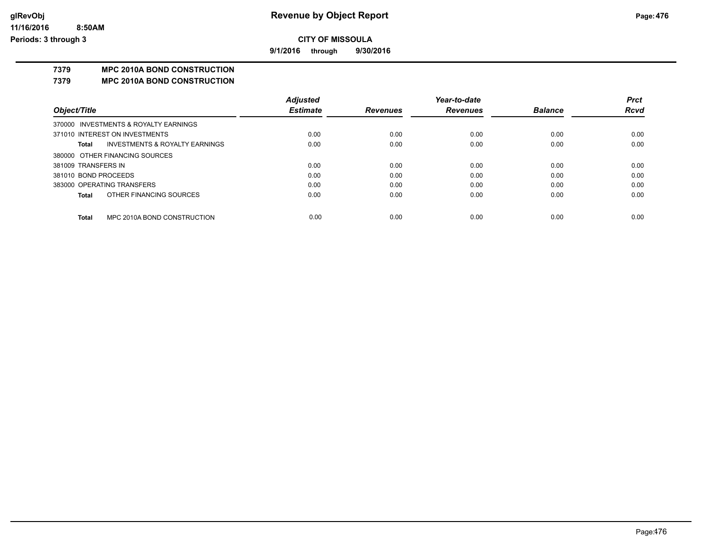**CITY OF MISSOULA**

**9/1/2016 through 9/30/2016**

## **7379 MPC 2010A BOND CONSTRUCTION**

 **8:50AM**

#### **7379 MPC 2010A BOND CONSTRUCTION**

|                                |                                           | <b>Adjusted</b> |                 | Year-to-date    |                | <b>Prct</b> |
|--------------------------------|-------------------------------------------|-----------------|-----------------|-----------------|----------------|-------------|
| Object/Title                   |                                           | <b>Estimate</b> | <b>Revenues</b> | <b>Revenues</b> | <b>Balance</b> | <b>Rcvd</b> |
|                                | 370000 INVESTMENTS & ROYALTY EARNINGS     |                 |                 |                 |                |             |
| 371010 INTEREST ON INVESTMENTS |                                           | 0.00            | 0.00            | 0.00            | 0.00           | 0.00        |
| Total                          | <b>INVESTMENTS &amp; ROYALTY EARNINGS</b> | 0.00            | 0.00            | 0.00            | 0.00           | 0.00        |
| 380000 OTHER FINANCING SOURCES |                                           |                 |                 |                 |                |             |
| 381009 TRANSFERS IN            |                                           | 0.00            | 0.00            | 0.00            | 0.00           | 0.00        |
| 381010 BOND PROCEEDS           |                                           | 0.00            | 0.00            | 0.00            | 0.00           | 0.00        |
| 383000 OPERATING TRANSFERS     |                                           | 0.00            | 0.00            | 0.00            | 0.00           | 0.00        |
| Total                          | OTHER FINANCING SOURCES                   | 0.00            | 0.00            | 0.00            | 0.00           | 0.00        |
|                                |                                           |                 |                 |                 |                |             |
| Total                          | MPC 2010A BOND CONSTRUCTION               | 0.00            | 0.00            | 0.00            | 0.00           | 0.00        |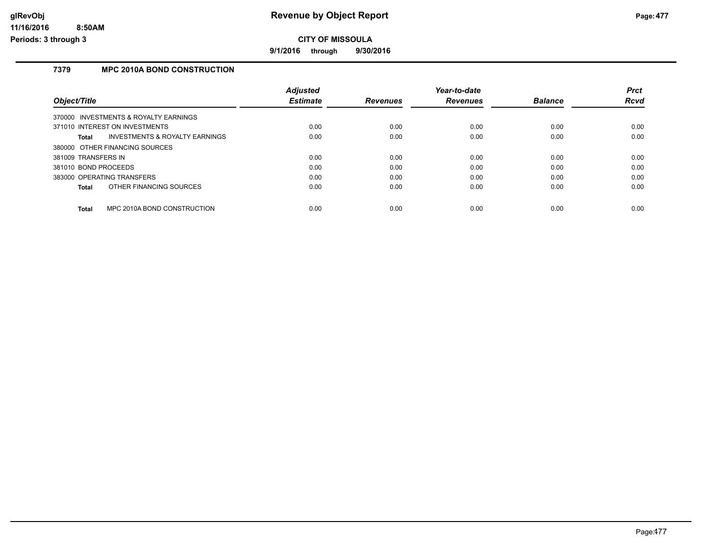**8:50AM**

**CITY OF MISSOULA**

**9/1/2016 through 9/30/2016**

# **7379 MPC 2010A BOND CONSTRUCTION**

|                                |                                       | <b>Adjusted</b> |                 | Year-to-date    |                | <b>Prct</b> |
|--------------------------------|---------------------------------------|-----------------|-----------------|-----------------|----------------|-------------|
| Object/Title                   |                                       | <b>Estimate</b> | <b>Revenues</b> | <b>Revenues</b> | <b>Balance</b> | <b>Rcvd</b> |
|                                | 370000 INVESTMENTS & ROYALTY EARNINGS |                 |                 |                 |                |             |
| 371010 INTEREST ON INVESTMENTS |                                       | 0.00            | 0.00            | 0.00            | 0.00           | 0.00        |
| Total                          | INVESTMENTS & ROYALTY EARNINGS        | 0.00            | 0.00            | 0.00            | 0.00           | 0.00        |
| 380000 OTHER FINANCING SOURCES |                                       |                 |                 |                 |                |             |
| 381009 TRANSFERS IN            |                                       | 0.00            | 0.00            | 0.00            | 0.00           | 0.00        |
| 381010 BOND PROCEEDS           |                                       | 0.00            | 0.00            | 0.00            | 0.00           | 0.00        |
| 383000 OPERATING TRANSFERS     |                                       | 0.00            | 0.00            | 0.00            | 0.00           | 0.00        |
| <b>Total</b>                   | OTHER FINANCING SOURCES               | 0.00            | 0.00            | 0.00            | 0.00           | 0.00        |
| <b>Total</b>                   | MPC 2010A BOND CONSTRUCTION           | 0.00            | 0.00            | 0.00            | 0.00           | 0.00        |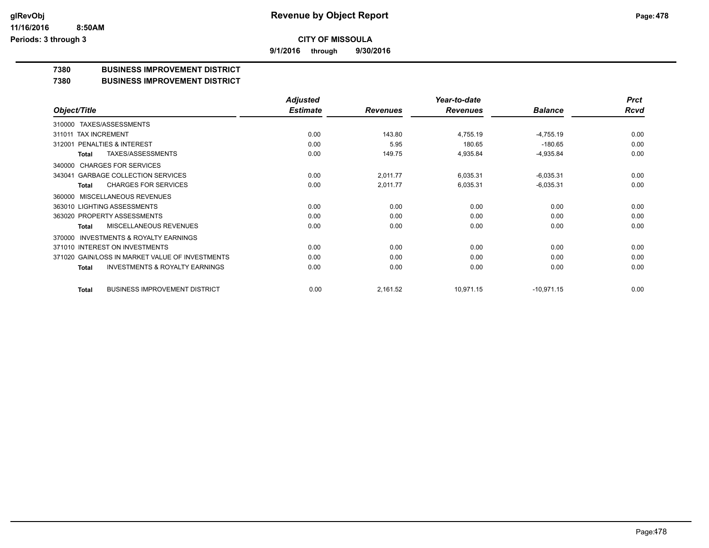**8:50AM**

**CITY OF MISSOULA**

**9/1/2016 through 9/30/2016**

# **7380 BUSINESS IMPROVEMENT DISTRICT**

## **7380 BUSINESS IMPROVEMENT DISTRICT**

|                                                           | <b>Adjusted</b> |                 | Year-to-date    |                | <b>Prct</b> |
|-----------------------------------------------------------|-----------------|-----------------|-----------------|----------------|-------------|
| Object/Title                                              | <b>Estimate</b> | <b>Revenues</b> | <b>Revenues</b> | <b>Balance</b> | Rcvd        |
| 310000 TAXES/ASSESSMENTS                                  |                 |                 |                 |                |             |
| <b>TAX INCREMENT</b><br>311011                            | 0.00            | 143.80          | 4,755.19        | $-4,755.19$    | 0.00        |
| PENALTIES & INTEREST<br>312001                            | 0.00            | 5.95            | 180.65          | $-180.65$      | 0.00        |
| TAXES/ASSESSMENTS<br><b>Total</b>                         | 0.00            | 149.75          | 4,935.84        | $-4,935.84$    | 0.00        |
| <b>CHARGES FOR SERVICES</b><br>340000                     |                 |                 |                 |                |             |
| 343041 GARBAGE COLLECTION SERVICES                        | 0.00            | 2,011.77        | 6,035.31        | $-6,035.31$    | 0.00        |
| <b>CHARGES FOR SERVICES</b><br><b>Total</b>               | 0.00            | 2,011.77        | 6,035.31        | $-6,035.31$    | 0.00        |
| MISCELLANEOUS REVENUES<br>360000                          |                 |                 |                 |                |             |
| 363010 LIGHTING ASSESSMENTS                               | 0.00            | 0.00            | 0.00            | 0.00           | 0.00        |
| 363020 PROPERTY ASSESSMENTS                               | 0.00            | 0.00            | 0.00            | 0.00           | 0.00        |
| <b>MISCELLANEOUS REVENUES</b><br><b>Total</b>             | 0.00            | 0.00            | 0.00            | 0.00           | 0.00        |
| <b>INVESTMENTS &amp; ROYALTY EARNINGS</b><br>370000       |                 |                 |                 |                |             |
| 371010 INTEREST ON INVESTMENTS                            | 0.00            | 0.00            | 0.00            | 0.00           | 0.00        |
| 371020 GAIN/LOSS IN MARKET VALUE OF INVESTMENTS           | 0.00            | 0.00            | 0.00            | 0.00           | 0.00        |
| <b>INVESTMENTS &amp; ROYALTY EARNINGS</b><br><b>Total</b> | 0.00            | 0.00            | 0.00            | 0.00           | 0.00        |
| <b>BUSINESS IMPROVEMENT DISTRICT</b><br><b>Total</b>      | 0.00            | 2,161.52        | 10,971.15       | $-10,971.15$   | 0.00        |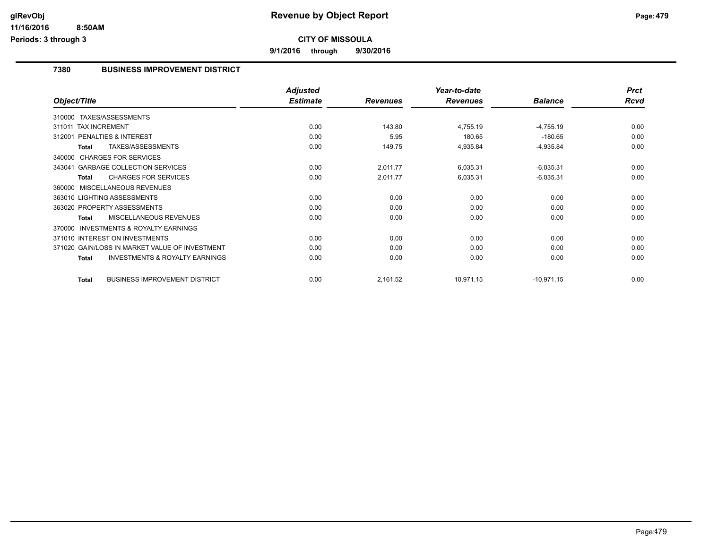**9/1/2016 through 9/30/2016**

# **7380 BUSINESS IMPROVEMENT DISTRICT**

|                                                           | <b>Adjusted</b> |                 | Year-to-date    |                | <b>Prct</b> |
|-----------------------------------------------------------|-----------------|-----------------|-----------------|----------------|-------------|
| Object/Title                                              | <b>Estimate</b> | <b>Revenues</b> | <b>Revenues</b> | <b>Balance</b> | <b>Rcvd</b> |
| 310000 TAXES/ASSESSMENTS                                  |                 |                 |                 |                |             |
| <b>TAX INCREMENT</b><br>311011                            | 0.00            | 143.80          | 4,755.19        | $-4,755.19$    | 0.00        |
| <b>PENALTIES &amp; INTEREST</b><br>312001                 | 0.00            | 5.95            | 180.65          | $-180.65$      | 0.00        |
| TAXES/ASSESSMENTS<br><b>Total</b>                         | 0.00            | 149.75          | 4,935.84        | $-4,935.84$    | 0.00        |
| <b>CHARGES FOR SERVICES</b><br>340000                     |                 |                 |                 |                |             |
| <b>GARBAGE COLLECTION SERVICES</b><br>343041              | 0.00            | 2,011.77        | 6,035.31        | $-6,035.31$    | 0.00        |
| <b>CHARGES FOR SERVICES</b><br><b>Total</b>               | 0.00            | 2,011.77        | 6,035.31        | $-6,035.31$    | 0.00        |
| MISCELLANEOUS REVENUES<br>360000                          |                 |                 |                 |                |             |
| 363010 LIGHTING ASSESSMENTS                               | 0.00            | 0.00            | 0.00            | 0.00           | 0.00        |
| 363020 PROPERTY ASSESSMENTS                               | 0.00            | 0.00            | 0.00            | 0.00           | 0.00        |
| MISCELLANEOUS REVENUES<br><b>Total</b>                    | 0.00            | 0.00            | 0.00            | 0.00           | 0.00        |
| INVESTMENTS & ROYALTY EARNINGS<br>370000                  |                 |                 |                 |                |             |
| 371010 INTEREST ON INVESTMENTS                            | 0.00            | 0.00            | 0.00            | 0.00           | 0.00        |
| 371020 GAIN/LOSS IN MARKET VALUE OF INVESTMENT            | 0.00            | 0.00            | 0.00            | 0.00           | 0.00        |
| <b>INVESTMENTS &amp; ROYALTY EARNINGS</b><br><b>Total</b> | 0.00            | 0.00            | 0.00            | 0.00           | 0.00        |
| <b>BUSINESS IMPROVEMENT DISTRICT</b><br><b>Total</b>      | 0.00            | 2,161.52        | 10,971.15       | $-10,971.15$   | 0.00        |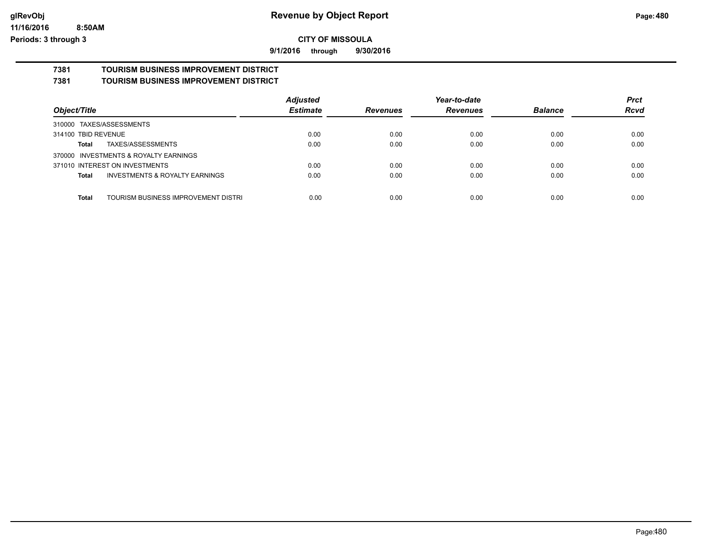**11/16/2016 8:50AM Periods: 3 through 3**

# **CITY OF MISSOULA**

**9/1/2016 through 9/30/2016**

# **7381 TOURISM BUSINESS IMPROVEMENT DISTRICT**

# **7381 TOURISM BUSINESS IMPROVEMENT DISTRICT**

|                                                     | <b>Adjusted</b> |                 | Year-to-date    |                | <b>Prct</b> |
|-----------------------------------------------------|-----------------|-----------------|-----------------|----------------|-------------|
| Object/Title                                        | <b>Estimate</b> | <b>Revenues</b> | <b>Revenues</b> | <b>Balance</b> | <b>Rcvd</b> |
| 310000 TAXES/ASSESSMENTS                            |                 |                 |                 |                |             |
| 314100 TBID REVENUE                                 | 0.00            | 0.00            | 0.00            | 0.00           | 0.00        |
| TAXES/ASSESSMENTS<br>Total                          | 0.00            | 0.00            | 0.00            | 0.00           | 0.00        |
| 370000 INVESTMENTS & ROYALTY EARNINGS               |                 |                 |                 |                |             |
| 371010 INTEREST ON INVESTMENTS                      | 0.00            | 0.00            | 0.00            | 0.00           | 0.00        |
| <b>INVESTMENTS &amp; ROYALTY EARNINGS</b><br>Total  | 0.00            | 0.00            | 0.00            | 0.00           | 0.00        |
|                                                     |                 |                 |                 |                |             |
| TOURISM BUSINESS IMPROVEMENT DISTRI<br><b>Total</b> | 0.00            | 0.00            | 0.00            | 0.00           | 0.00        |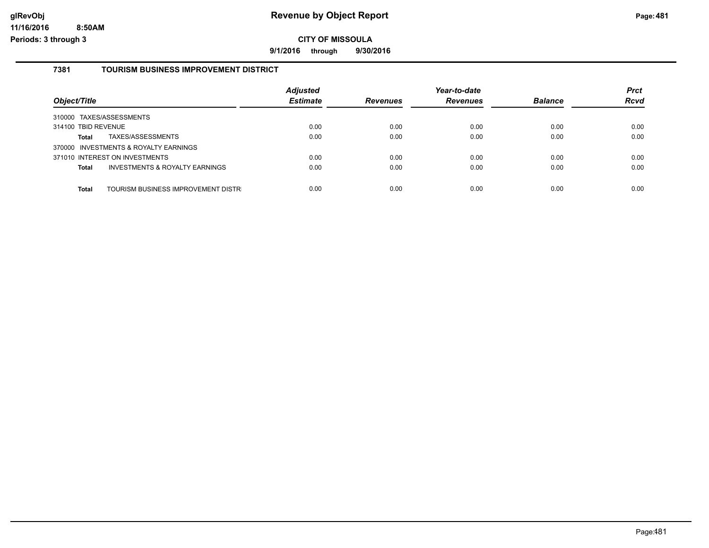**9/1/2016 through 9/30/2016**

## **7381 TOURISM BUSINESS IMPROVEMENT DISTRICT**

| Object/Title                                       | <b>Adjusted</b><br><b>Estimate</b> | <b>Revenues</b> | Year-to-date<br><b>Revenues</b> | <b>Balance</b> | <b>Prct</b><br><b>Rcvd</b> |
|----------------------------------------------------|------------------------------------|-----------------|---------------------------------|----------------|----------------------------|
| TAXES/ASSESSMENTS<br>310000                        |                                    |                 |                                 |                |                            |
| 314100 TBID REVENUE                                | 0.00                               | 0.00            | 0.00                            | 0.00           | 0.00                       |
| TAXES/ASSESSMENTS<br>Total                         | 0.00                               | 0.00            | 0.00                            | 0.00           | 0.00                       |
| 370000 INVESTMENTS & ROYALTY EARNINGS              |                                    |                 |                                 |                |                            |
| 371010 INTEREST ON INVESTMENTS                     | 0.00                               | 0.00            | 0.00                            | 0.00           | 0.00                       |
| INVESTMENTS & ROYALTY EARNINGS<br><b>Total</b>     | 0.00                               | 0.00            | 0.00                            | 0.00           | 0.00                       |
|                                                    |                                    |                 |                                 |                |                            |
| TOURISM BUSINESS IMPROVEMENT DISTR<br><b>Total</b> | 0.00                               | 0.00            | 0.00                            | 0.00           | 0.00                       |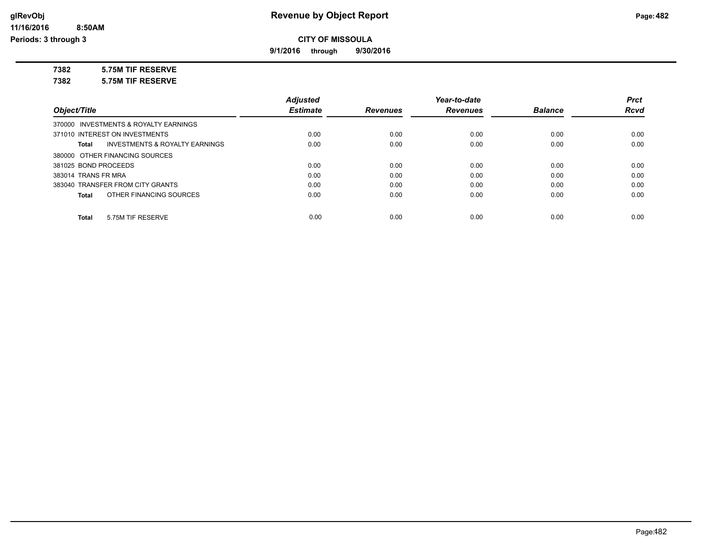**9/1/2016 through 9/30/2016**

**7382 5.75M TIF RESERVE**

**7382 5.75M TIF RESERVE**

|                                         | <b>Adjusted</b> |                 | Year-to-date    |                | <b>Prct</b> |
|-----------------------------------------|-----------------|-----------------|-----------------|----------------|-------------|
| Object/Title                            | <b>Estimate</b> | <b>Revenues</b> | <b>Revenues</b> | <b>Balance</b> | <b>Rcvd</b> |
| 370000 INVESTMENTS & ROYALTY EARNINGS   |                 |                 |                 |                |             |
| 371010 INTEREST ON INVESTMENTS          | 0.00            | 0.00            | 0.00            | 0.00           | 0.00        |
| INVESTMENTS & ROYALTY EARNINGS<br>Total | 0.00            | 0.00            | 0.00            | 0.00           | 0.00        |
| 380000 OTHER FINANCING SOURCES          |                 |                 |                 |                |             |
| 381025 BOND PROCEEDS                    | 0.00            | 0.00            | 0.00            | 0.00           | 0.00        |
| 383014 TRANS FR MRA                     | 0.00            | 0.00            | 0.00            | 0.00           | 0.00        |
| 383040 TRANSFER FROM CITY GRANTS        | 0.00            | 0.00            | 0.00            | 0.00           | 0.00        |
| OTHER FINANCING SOURCES<br>Total        | 0.00            | 0.00            | 0.00            | 0.00           | 0.00        |
|                                         |                 |                 |                 |                |             |
| 5.75M TIF RESERVE<br><b>Total</b>       | 0.00            | 0.00            | 0.00            | 0.00           | 0.00        |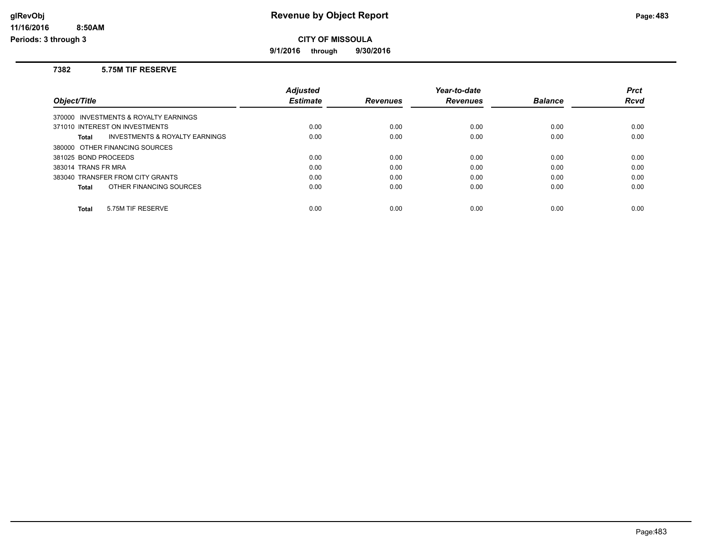**9/1/2016 through 9/30/2016**

#### **7382 5.75M TIF RESERVE**

|                                                    | <b>Adiusted</b> |                 | Year-to-date    |                | <b>Prct</b> |
|----------------------------------------------------|-----------------|-----------------|-----------------|----------------|-------------|
| Object/Title                                       | <b>Estimate</b> | <b>Revenues</b> | <b>Revenues</b> | <b>Balance</b> | <b>Rcvd</b> |
| 370000 INVESTMENTS & ROYALTY EARNINGS              |                 |                 |                 |                |             |
| 371010 INTEREST ON INVESTMENTS                     | 0.00            | 0.00            | 0.00            | 0.00           | 0.00        |
| <b>INVESTMENTS &amp; ROYALTY EARNINGS</b><br>Total | 0.00            | 0.00            | 0.00            | 0.00           | 0.00        |
| 380000 OTHER FINANCING SOURCES                     |                 |                 |                 |                |             |
| 381025 BOND PROCEEDS                               | 0.00            | 0.00            | 0.00            | 0.00           | 0.00        |
| 383014 TRANS FR MRA                                | 0.00            | 0.00            | 0.00            | 0.00           | 0.00        |
| 383040 TRANSFER FROM CITY GRANTS                   | 0.00            | 0.00            | 0.00            | 0.00           | 0.00        |
| OTHER FINANCING SOURCES<br>Total                   | 0.00            | 0.00            | 0.00            | 0.00           | 0.00        |
|                                                    |                 |                 |                 |                |             |
| 5.75M TIF RESERVE<br><b>Total</b>                  | 0.00            | 0.00            | 0.00            | 0.00           | 0.00        |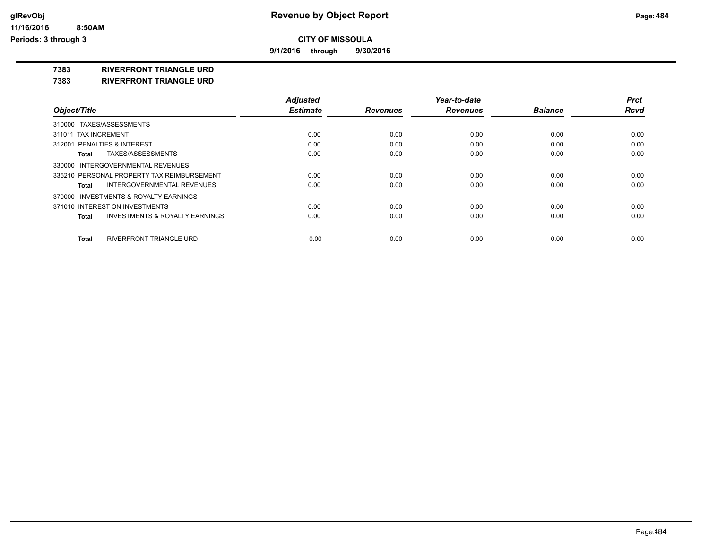**9/1/2016 through 9/30/2016**

#### **7383 RIVERFRONT TRIANGLE URD**

**7383 RIVERFRONT TRIANGLE URD**

|                                                    | <b>Adjusted</b> |                 | Year-to-date    |                | <b>Prct</b> |
|----------------------------------------------------|-----------------|-----------------|-----------------|----------------|-------------|
| Object/Title                                       | <b>Estimate</b> | <b>Revenues</b> | <b>Revenues</b> | <b>Balance</b> | <b>Rcvd</b> |
| 310000 TAXES/ASSESSMENTS                           |                 |                 |                 |                |             |
| 311011 TAX INCREMENT                               | 0.00            | 0.00            | 0.00            | 0.00           | 0.00        |
| 312001 PENALTIES & INTEREST                        | 0.00            | 0.00            | 0.00            | 0.00           | 0.00        |
| TAXES/ASSESSMENTS<br>Total                         | 0.00            | 0.00            | 0.00            | 0.00           | 0.00        |
| 330000 INTERGOVERNMENTAL REVENUES                  |                 |                 |                 |                |             |
| 335210 PERSONAL PROPERTY TAX REIMBURSEMENT         | 0.00            | 0.00            | 0.00            | 0.00           | 0.00        |
| <b>INTERGOVERNMENTAL REVENUES</b><br>Total         | 0.00            | 0.00            | 0.00            | 0.00           | 0.00        |
| 370000 INVESTMENTS & ROYALTY EARNINGS              |                 |                 |                 |                |             |
| 371010 INTEREST ON INVESTMENTS                     | 0.00            | 0.00            | 0.00            | 0.00           | 0.00        |
| <b>INVESTMENTS &amp; ROYALTY EARNINGS</b><br>Total | 0.00            | 0.00            | 0.00            | 0.00           | 0.00        |
| <b>RIVERFRONT TRIANGLE URD</b><br>Total            | 0.00            | 0.00            | 0.00            | 0.00           | 0.00        |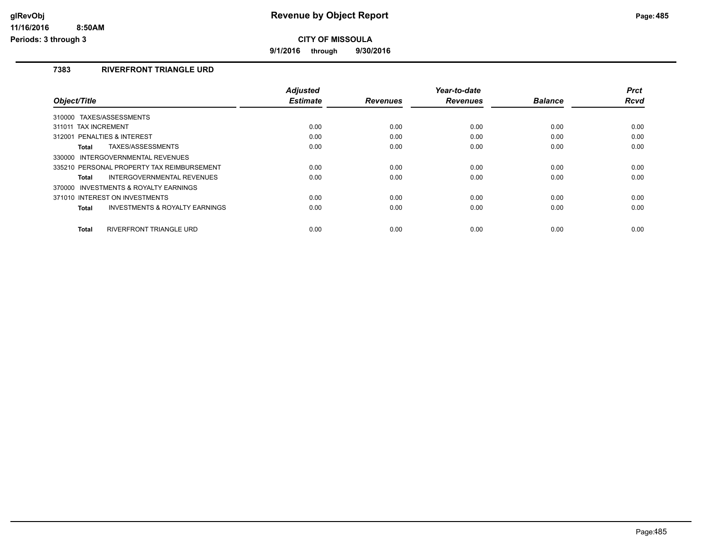**CITY OF MISSOULA**

**9/1/2016 through 9/30/2016**

# **7383 RIVERFRONT TRIANGLE URD**

|                                                    | <b>Adjusted</b> |                 | Year-to-date    |                | <b>Prct</b> |
|----------------------------------------------------|-----------------|-----------------|-----------------|----------------|-------------|
| Object/Title                                       | <b>Estimate</b> | <b>Revenues</b> | <b>Revenues</b> | <b>Balance</b> | <b>Rcvd</b> |
| 310000 TAXES/ASSESSMENTS                           |                 |                 |                 |                |             |
| 311011 TAX INCREMENT                               | 0.00            | 0.00            | 0.00            | 0.00           | 0.00        |
| PENALTIES & INTEREST<br>312001                     | 0.00            | 0.00            | 0.00            | 0.00           | 0.00        |
| TAXES/ASSESSMENTS<br>Total                         | 0.00            | 0.00            | 0.00            | 0.00           | 0.00        |
| 330000 INTERGOVERNMENTAL REVENUES                  |                 |                 |                 |                |             |
| 335210 PERSONAL PROPERTY TAX REIMBURSEMENT         | 0.00            | 0.00            | 0.00            | 0.00           | 0.00        |
| <b>INTERGOVERNMENTAL REVENUES</b><br>Total         | 0.00            | 0.00            | 0.00            | 0.00           | 0.00        |
| 370000 INVESTMENTS & ROYALTY EARNINGS              |                 |                 |                 |                |             |
| 371010 INTEREST ON INVESTMENTS                     | 0.00            | 0.00            | 0.00            | 0.00           | 0.00        |
| <b>INVESTMENTS &amp; ROYALTY EARNINGS</b><br>Total | 0.00            | 0.00            | 0.00            | 0.00           | 0.00        |
|                                                    |                 |                 |                 |                |             |
| <b>RIVERFRONT TRIANGLE URD</b><br><b>Total</b>     | 0.00            | 0.00            | 0.00            | 0.00           | 0.00        |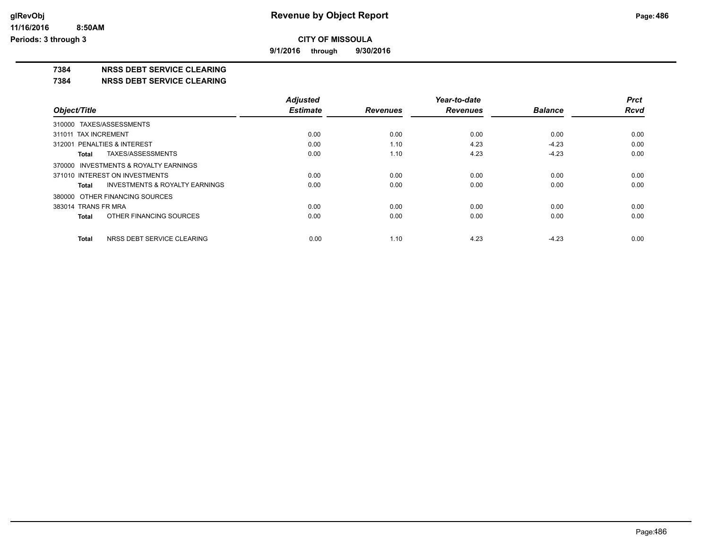**9/1/2016 through 9/30/2016**

# **7384 NRSS DEBT SERVICE CLEARING**

**7384 NRSS DEBT SERVICE CLEARING**

|                                                    | <b>Adjusted</b> |                 | Year-to-date    |                | <b>Prct</b> |
|----------------------------------------------------|-----------------|-----------------|-----------------|----------------|-------------|
| Object/Title                                       | <b>Estimate</b> | <b>Revenues</b> | <b>Revenues</b> | <b>Balance</b> | <b>Rcvd</b> |
| 310000 TAXES/ASSESSMENTS                           |                 |                 |                 |                |             |
| 311011 TAX INCREMENT                               | 0.00            | 0.00            | 0.00            | 0.00           | 0.00        |
| 312001 PENALTIES & INTEREST                        | 0.00            | 1.10            | 4.23            | $-4.23$        | 0.00        |
| TAXES/ASSESSMENTS<br>Total                         | 0.00            | 1.10            | 4.23            | $-4.23$        | 0.00        |
| 370000 INVESTMENTS & ROYALTY EARNINGS              |                 |                 |                 |                |             |
| 371010 INTEREST ON INVESTMENTS                     | 0.00            | 0.00            | 0.00            | 0.00           | 0.00        |
| <b>INVESTMENTS &amp; ROYALTY EARNINGS</b><br>Total | 0.00            | 0.00            | 0.00            | 0.00           | 0.00        |
| 380000 OTHER FINANCING SOURCES                     |                 |                 |                 |                |             |
| 383014 TRANS FR MRA                                | 0.00            | 0.00            | 0.00            | 0.00           | 0.00        |
| OTHER FINANCING SOURCES<br>Total                   | 0.00            | 0.00            | 0.00            | 0.00           | 0.00        |
| NRSS DEBT SERVICE CLEARING<br>Total                | 0.00            | 1.10            | 4.23            | $-4.23$        | 0.00        |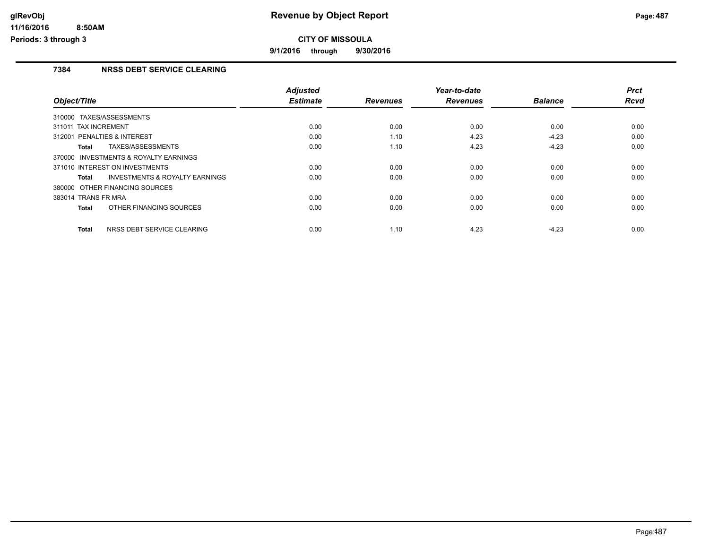**9/1/2016 through 9/30/2016**

# **7384 NRSS DEBT SERVICE CLEARING**

|                                                    | <b>Adjusted</b> |                 | Year-to-date    |                | <b>Prct</b> |
|----------------------------------------------------|-----------------|-----------------|-----------------|----------------|-------------|
| Object/Title                                       | <b>Estimate</b> | <b>Revenues</b> | <b>Revenues</b> | <b>Balance</b> | <b>Rcvd</b> |
| 310000 TAXES/ASSESSMENTS                           |                 |                 |                 |                |             |
| 311011 TAX INCREMENT                               | 0.00            | 0.00            | 0.00            | 0.00           | 0.00        |
| PENALTIES & INTEREST<br>312001                     | 0.00            | 1.10            | 4.23            | $-4.23$        | 0.00        |
| TAXES/ASSESSMENTS<br>Total                         | 0.00            | 1.10            | 4.23            | $-4.23$        | 0.00        |
| 370000 INVESTMENTS & ROYALTY EARNINGS              |                 |                 |                 |                |             |
| 371010 INTEREST ON INVESTMENTS                     | 0.00            | 0.00            | 0.00            | 0.00           | 0.00        |
| <b>INVESTMENTS &amp; ROYALTY EARNINGS</b><br>Total | 0.00            | 0.00            | 0.00            | 0.00           | 0.00        |
| 380000 OTHER FINANCING SOURCES                     |                 |                 |                 |                |             |
| 383014 TRANS FR MRA                                | 0.00            | 0.00            | 0.00            | 0.00           | 0.00        |
| OTHER FINANCING SOURCES<br>Total                   | 0.00            | 0.00            | 0.00            | 0.00           | 0.00        |
| NRSS DEBT SERVICE CLEARING<br><b>Total</b>         | 0.00            | 1.10            | 4.23            | $-4.23$        | 0.00        |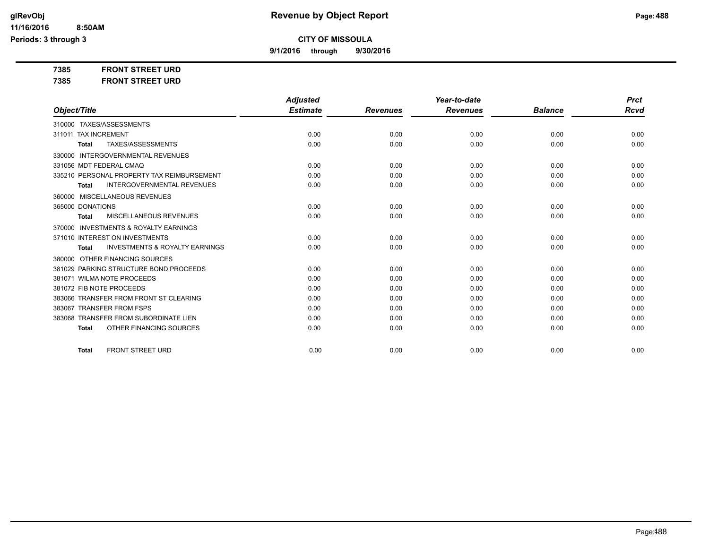**9/1/2016 through 9/30/2016**

**7385 FRONT STREET URD**

**7385 FRONT STREET URD**

|                                                           | <b>Adjusted</b> |                 | Year-to-date    |                | <b>Prct</b> |
|-----------------------------------------------------------|-----------------|-----------------|-----------------|----------------|-------------|
| Object/Title                                              | <b>Estimate</b> | <b>Revenues</b> | <b>Revenues</b> | <b>Balance</b> | <b>Rcvd</b> |
| 310000 TAXES/ASSESSMENTS                                  |                 |                 |                 |                |             |
| 311011 TAX INCREMENT                                      | 0.00            | 0.00            | 0.00            | 0.00           | 0.00        |
| TAXES/ASSESSMENTS<br>Total                                | 0.00            | 0.00            | 0.00            | 0.00           | 0.00        |
| 330000 INTERGOVERNMENTAL REVENUES                         |                 |                 |                 |                |             |
| 331056 MDT FEDERAL CMAQ                                   | 0.00            | 0.00            | 0.00            | 0.00           | 0.00        |
| 335210 PERSONAL PROPERTY TAX REIMBURSEMENT                | 0.00            | 0.00            | 0.00            | 0.00           | 0.00        |
| <b>INTERGOVERNMENTAL REVENUES</b><br><b>Total</b>         | 0.00            | 0.00            | 0.00            | 0.00           | 0.00        |
| 360000 MISCELLANEOUS REVENUES                             |                 |                 |                 |                |             |
| 365000 DONATIONS                                          | 0.00            | 0.00            | 0.00            | 0.00           | 0.00        |
| MISCELLANEOUS REVENUES<br><b>Total</b>                    | 0.00            | 0.00            | 0.00            | 0.00           | 0.00        |
| <b>INVESTMENTS &amp; ROYALTY EARNINGS</b><br>370000       |                 |                 |                 |                |             |
| 371010 INTEREST ON INVESTMENTS                            | 0.00            | 0.00            | 0.00            | 0.00           | 0.00        |
| <b>INVESTMENTS &amp; ROYALTY EARNINGS</b><br><b>Total</b> | 0.00            | 0.00            | 0.00            | 0.00           | 0.00        |
| 380000 OTHER FINANCING SOURCES                            |                 |                 |                 |                |             |
| 381029 PARKING STRUCTURE BOND PROCEEDS                    | 0.00            | 0.00            | 0.00            | 0.00           | 0.00        |
| 381071 WILMA NOTE PROCEEDS                                | 0.00            | 0.00            | 0.00            | 0.00           | 0.00        |
| 381072 FIB NOTE PROCEEDS                                  | 0.00            | 0.00            | 0.00            | 0.00           | 0.00        |
| 383066 TRANSFER FROM FRONT ST CLEARING                    | 0.00            | 0.00            | 0.00            | 0.00           | 0.00        |
| 383067 TRANSFER FROM FSPS                                 | 0.00            | 0.00            | 0.00            | 0.00           | 0.00        |
| 383068 TRANSFER FROM SUBORDINATE LIEN                     | 0.00            | 0.00            | 0.00            | 0.00           | 0.00        |
| OTHER FINANCING SOURCES<br><b>Total</b>                   | 0.00            | 0.00            | 0.00            | 0.00           | 0.00        |
| <b>FRONT STREET URD</b><br><b>Total</b>                   | 0.00            | 0.00            | 0.00            | 0.00           | 0.00        |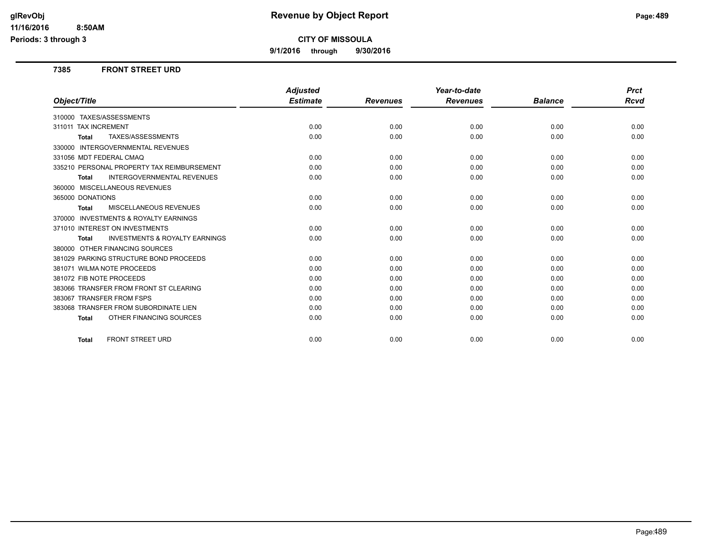**CITY OF MISSOULA**

**9/1/2016 through 9/30/2016**

#### **7385 FRONT STREET URD**

 **8:50AM**

|                                                    | <b>Adjusted</b> |                 | Year-to-date    |                | <b>Prct</b> |
|----------------------------------------------------|-----------------|-----------------|-----------------|----------------|-------------|
| Object/Title                                       | <b>Estimate</b> | <b>Revenues</b> | <b>Revenues</b> | <b>Balance</b> | <b>Rcvd</b> |
| 310000 TAXES/ASSESSMENTS                           |                 |                 |                 |                |             |
| 311011 TAX INCREMENT                               | 0.00            | 0.00            | 0.00            | 0.00           | 0.00        |
| <b>TAXES/ASSESSMENTS</b><br><b>Total</b>           | 0.00            | 0.00            | 0.00            | 0.00           | 0.00        |
| 330000 INTERGOVERNMENTAL REVENUES                  |                 |                 |                 |                |             |
| 331056 MDT FEDERAL CMAO                            | 0.00            | 0.00            | 0.00            | 0.00           | 0.00        |
| 335210 PERSONAL PROPERTY TAX REIMBURSEMENT         | 0.00            | 0.00            | 0.00            | 0.00           | 0.00        |
| <b>INTERGOVERNMENTAL REVENUES</b><br><b>Total</b>  | 0.00            | 0.00            | 0.00            | 0.00           | 0.00        |
| 360000 MISCELLANEOUS REVENUES                      |                 |                 |                 |                |             |
| 365000 DONATIONS                                   | 0.00            | 0.00            | 0.00            | 0.00           | 0.00        |
| <b>MISCELLANEOUS REVENUES</b><br><b>Total</b>      | 0.00            | 0.00            | 0.00            | 0.00           | 0.00        |
| 370000 INVESTMENTS & ROYALTY EARNINGS              |                 |                 |                 |                |             |
| 371010 INTEREST ON INVESTMENTS                     | 0.00            | 0.00            | 0.00            | 0.00           | 0.00        |
| <b>INVESTMENTS &amp; ROYALTY EARNINGS</b><br>Total | 0.00            | 0.00            | 0.00            | 0.00           | 0.00        |
| 380000 OTHER FINANCING SOURCES                     |                 |                 |                 |                |             |
| 381029 PARKING STRUCTURE BOND PROCEEDS             | 0.00            | 0.00            | 0.00            | 0.00           | 0.00        |
| 381071 WILMA NOTE PROCEEDS                         | 0.00            | 0.00            | 0.00            | 0.00           | 0.00        |
| 381072 FIB NOTE PROCEEDS                           | 0.00            | 0.00            | 0.00            | 0.00           | 0.00        |
| 383066 TRANSFER FROM FRONT ST CLEARING             | 0.00            | 0.00            | 0.00            | 0.00           | 0.00        |
| 383067 TRANSFER FROM FSPS                          | 0.00            | 0.00            | 0.00            | 0.00           | 0.00        |
| 383068 TRANSFER FROM SUBORDINATE LIEN              | 0.00            | 0.00            | 0.00            | 0.00           | 0.00        |
| OTHER FINANCING SOURCES<br><b>Total</b>            | 0.00            | 0.00            | 0.00            | 0.00           | 0.00        |
| <b>FRONT STREET URD</b><br><b>Total</b>            | 0.00            | 0.00            | 0.00            | 0.00           | 0.00        |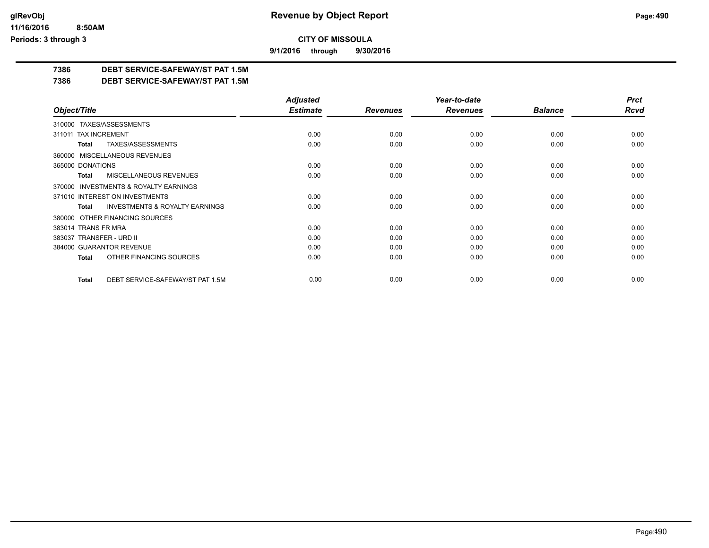**9/1/2016 through 9/30/2016**

# **7386 DEBT SERVICE-SAFEWAY/ST PAT 1.5M**

# **7386 DEBT SERVICE-SAFEWAY/ST PAT 1.5M**

|                                                     | <b>Adjusted</b> |                 | Year-to-date    |                | <b>Prct</b> |
|-----------------------------------------------------|-----------------|-----------------|-----------------|----------------|-------------|
| Object/Title                                        | <b>Estimate</b> | <b>Revenues</b> | <b>Revenues</b> | <b>Balance</b> | <b>Rcvd</b> |
| TAXES/ASSESSMENTS<br>310000                         |                 |                 |                 |                |             |
| 311011 TAX INCREMENT                                | 0.00            | 0.00            | 0.00            | 0.00           | 0.00        |
| TAXES/ASSESSMENTS<br>Total                          | 0.00            | 0.00            | 0.00            | 0.00           | 0.00        |
| <b>MISCELLANEOUS REVENUES</b><br>360000             |                 |                 |                 |                |             |
| 365000 DONATIONS                                    | 0.00            | 0.00            | 0.00            | 0.00           | 0.00        |
| <b>MISCELLANEOUS REVENUES</b><br>Total              | 0.00            | 0.00            | 0.00            | 0.00           | 0.00        |
| <b>INVESTMENTS &amp; ROYALTY EARNINGS</b><br>370000 |                 |                 |                 |                |             |
| 371010 INTEREST ON INVESTMENTS                      | 0.00            | 0.00            | 0.00            | 0.00           | 0.00        |
| <b>INVESTMENTS &amp; ROYALTY EARNINGS</b><br>Total  | 0.00            | 0.00            | 0.00            | 0.00           | 0.00        |
| 380000 OTHER FINANCING SOURCES                      |                 |                 |                 |                |             |
| 383014 TRANS FR MRA                                 | 0.00            | 0.00            | 0.00            | 0.00           | 0.00        |
| 383037 TRANSFER - URD II                            | 0.00            | 0.00            | 0.00            | 0.00           | 0.00        |
| 384000 GUARANTOR REVENUE                            | 0.00            | 0.00            | 0.00            | 0.00           | 0.00        |
| OTHER FINANCING SOURCES<br>Total                    | 0.00            | 0.00            | 0.00            | 0.00           | 0.00        |
| DEBT SERVICE-SAFEWAY/ST PAT 1.5M<br>Total           | 0.00            | 0.00            | 0.00            | 0.00           | 0.00        |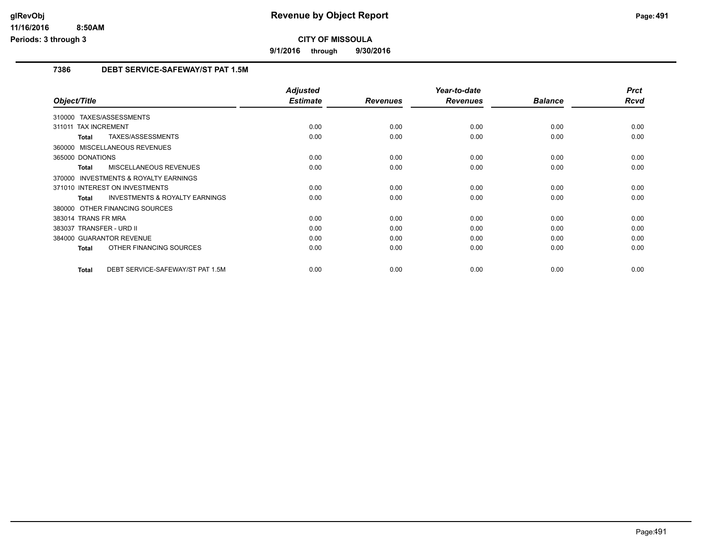**9/1/2016 through 9/30/2016**

# **7386 DEBT SERVICE-SAFEWAY/ST PAT 1.5M**

|                                                    | <b>Adjusted</b> |                 | Year-to-date    |                | <b>Prct</b> |
|----------------------------------------------------|-----------------|-----------------|-----------------|----------------|-------------|
| Object/Title                                       | <b>Estimate</b> | <b>Revenues</b> | <b>Revenues</b> | <b>Balance</b> | <b>Rcvd</b> |
| 310000 TAXES/ASSESSMENTS                           |                 |                 |                 |                |             |
| 311011 TAX INCREMENT                               | 0.00            | 0.00            | 0.00            | 0.00           | 0.00        |
| TAXES/ASSESSMENTS<br>Total                         | 0.00            | 0.00            | 0.00            | 0.00           | 0.00        |
| 360000 MISCELLANEOUS REVENUES                      |                 |                 |                 |                |             |
| 365000 DONATIONS                                   | 0.00            | 0.00            | 0.00            | 0.00           | 0.00        |
| MISCELLANEOUS REVENUES<br>Total                    | 0.00            | 0.00            | 0.00            | 0.00           | 0.00        |
| 370000 INVESTMENTS & ROYALTY EARNINGS              |                 |                 |                 |                |             |
| 371010 INTEREST ON INVESTMENTS                     | 0.00            | 0.00            | 0.00            | 0.00           | 0.00        |
| <b>INVESTMENTS &amp; ROYALTY EARNINGS</b><br>Total | 0.00            | 0.00            | 0.00            | 0.00           | 0.00        |
| 380000 OTHER FINANCING SOURCES                     |                 |                 |                 |                |             |
| 383014 TRANS FR MRA                                | 0.00            | 0.00            | 0.00            | 0.00           | 0.00        |
| 383037 TRANSFER - URD II                           | 0.00            | 0.00            | 0.00            | 0.00           | 0.00        |
| 384000 GUARANTOR REVENUE                           | 0.00            | 0.00            | 0.00            | 0.00           | 0.00        |
| OTHER FINANCING SOURCES<br>Total                   | 0.00            | 0.00            | 0.00            | 0.00           | 0.00        |
| DEBT SERVICE-SAFEWAY/ST PAT 1.5M<br><b>Total</b>   | 0.00            | 0.00            | 0.00            | 0.00           | 0.00        |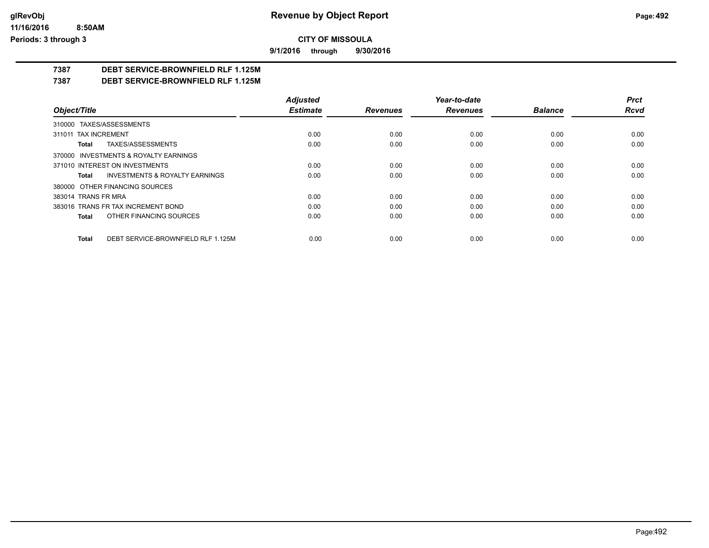**11/16/2016 8:50AM Periods: 3 through 3**

**CITY OF MISSOULA**

**9/1/2016 through 9/30/2016**

# **7387 DEBT SERVICE-BROWNFIELD RLF 1.125M**

**7387 DEBT SERVICE-BROWNFIELD RLF 1.125M**

|                                                    | <b>Adjusted</b> |                 | Year-to-date    |                | <b>Prct</b> |
|----------------------------------------------------|-----------------|-----------------|-----------------|----------------|-------------|
| Object/Title                                       | <b>Estimate</b> | <b>Revenues</b> | <b>Revenues</b> | <b>Balance</b> | <b>Rcvd</b> |
| TAXES/ASSESSMENTS<br>310000                        |                 |                 |                 |                |             |
| 311011 TAX INCREMENT                               | 0.00            | 0.00            | 0.00            | 0.00           | 0.00        |
| TAXES/ASSESSMENTS<br>Total                         | 0.00            | 0.00            | 0.00            | 0.00           | 0.00        |
| 370000 INVESTMENTS & ROYALTY EARNINGS              |                 |                 |                 |                |             |
| 371010 INTEREST ON INVESTMENTS                     | 0.00            | 0.00            | 0.00            | 0.00           | 0.00        |
| <b>INVESTMENTS &amp; ROYALTY EARNINGS</b><br>Total | 0.00            | 0.00            | 0.00            | 0.00           | 0.00        |
| 380000 OTHER FINANCING SOURCES                     |                 |                 |                 |                |             |
| 383014 TRANS FR MRA                                | 0.00            | 0.00            | 0.00            | 0.00           | 0.00        |
| 383016 TRANS FR TAX INCREMENT BOND                 | 0.00            | 0.00            | 0.00            | 0.00           | 0.00        |
| OTHER FINANCING SOURCES<br><b>Total</b>            | 0.00            | 0.00            | 0.00            | 0.00           | 0.00        |
| DEBT SERVICE-BROWNFIELD RLF 1.125M<br>Total        | 0.00            | 0.00            | 0.00            | 0.00           | 0.00        |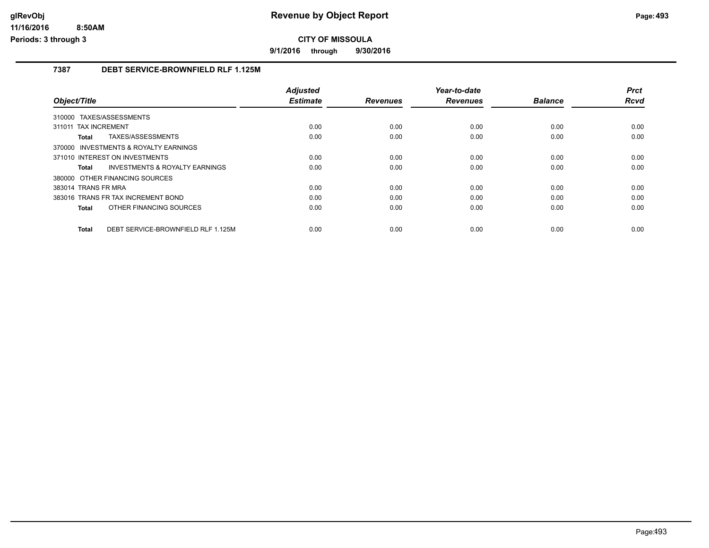**CITY OF MISSOULA**

**9/1/2016 through 9/30/2016**

# **7387 DEBT SERVICE-BROWNFIELD RLF 1.125M**

|                                                    | <b>Adjusted</b> |                 | Year-to-date    |                | <b>Prct</b> |
|----------------------------------------------------|-----------------|-----------------|-----------------|----------------|-------------|
| Object/Title                                       | <b>Estimate</b> | <b>Revenues</b> | <b>Revenues</b> | <b>Balance</b> | <b>Rcvd</b> |
| 310000 TAXES/ASSESSMENTS                           |                 |                 |                 |                |             |
| 311011 TAX INCREMENT                               | 0.00            | 0.00            | 0.00            | 0.00           | 0.00        |
| TAXES/ASSESSMENTS<br>Total                         | 0.00            | 0.00            | 0.00            | 0.00           | 0.00        |
| 370000 INVESTMENTS & ROYALTY EARNINGS              |                 |                 |                 |                |             |
| 371010 INTEREST ON INVESTMENTS                     | 0.00            | 0.00            | 0.00            | 0.00           | 0.00        |
| INVESTMENTS & ROYALTY EARNINGS<br>Total            | 0.00            | 0.00            | 0.00            | 0.00           | 0.00        |
| 380000 OTHER FINANCING SOURCES                     |                 |                 |                 |                |             |
| 383014 TRANS FR MRA                                | 0.00            | 0.00            | 0.00            | 0.00           | 0.00        |
| 383016 TRANS FR TAX INCREMENT BOND                 | 0.00            | 0.00            | 0.00            | 0.00           | 0.00        |
| OTHER FINANCING SOURCES<br>Total                   | 0.00            | 0.00            | 0.00            | 0.00           | 0.00        |
| DEBT SERVICE-BROWNFIELD RLF 1.125M<br><b>Total</b> | 0.00            | 0.00            | 0.00            | 0.00           | 0.00        |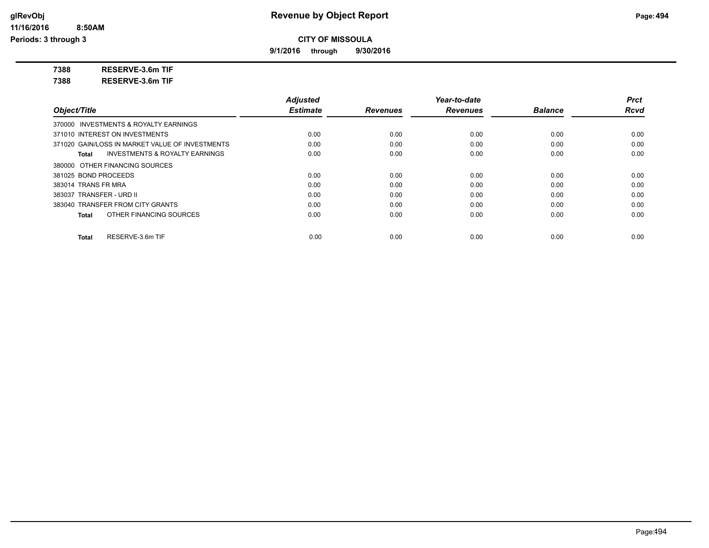**9/1/2016 through 9/30/2016**

**7388 RESERVE-3.6m TIF**

**7388 RESERVE-3.6m TIF**

|                                                    | <b>Adjusted</b> |                 | Year-to-date    |                | <b>Prct</b> |
|----------------------------------------------------|-----------------|-----------------|-----------------|----------------|-------------|
| Object/Title                                       | <b>Estimate</b> | <b>Revenues</b> | <b>Revenues</b> | <b>Balance</b> | <b>Rcvd</b> |
| 370000 INVESTMENTS & ROYALTY EARNINGS              |                 |                 |                 |                |             |
| 371010 INTEREST ON INVESTMENTS                     | 0.00            | 0.00            | 0.00            | 0.00           | 0.00        |
| 371020 GAIN/LOSS IN MARKET VALUE OF INVESTMENTS    | 0.00            | 0.00            | 0.00            | 0.00           | 0.00        |
| <b>INVESTMENTS &amp; ROYALTY EARNINGS</b><br>Total | 0.00            | 0.00            | 0.00            | 0.00           | 0.00        |
| 380000 OTHER FINANCING SOURCES                     |                 |                 |                 |                |             |
| 381025 BOND PROCEEDS                               | 0.00            | 0.00            | 0.00            | 0.00           | 0.00        |
| 383014 TRANS FR MRA                                | 0.00            | 0.00            | 0.00            | 0.00           | 0.00        |
| 383037 TRANSFER - URD II                           | 0.00            | 0.00            | 0.00            | 0.00           | 0.00        |
| 383040 TRANSFER FROM CITY GRANTS                   | 0.00            | 0.00            | 0.00            | 0.00           | 0.00        |
| OTHER FINANCING SOURCES<br>Total                   | 0.00            | 0.00            | 0.00            | 0.00           | 0.00        |
| RESERVE-3.6m TIF<br>Total                          | 0.00            | 0.00            | 0.00            | 0.00           | 0.00        |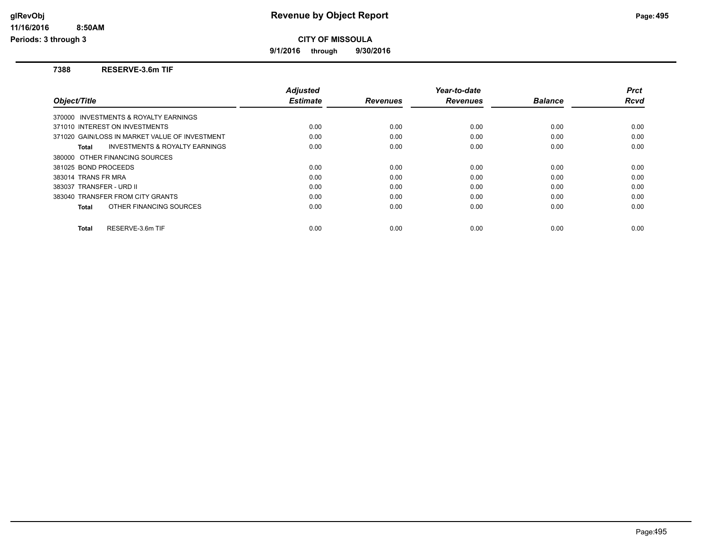**glRevObj Revenue by Object Report Page:495** 

**CITY OF MISSOULA**

**9/1/2016 through 9/30/2016**

#### **7388 RESERVE-3.6m TIF**

 **8:50AM**

|                                                    | <b>Adjusted</b> |                 | Year-to-date    |                | <b>Prct</b> |
|----------------------------------------------------|-----------------|-----------------|-----------------|----------------|-------------|
| Object/Title                                       | <b>Estimate</b> | <b>Revenues</b> | <b>Revenues</b> | <b>Balance</b> | Rcvd        |
| 370000 INVESTMENTS & ROYALTY EARNINGS              |                 |                 |                 |                |             |
| 371010 INTEREST ON INVESTMENTS                     | 0.00            | 0.00            | 0.00            | 0.00           | 0.00        |
| 371020 GAIN/LOSS IN MARKET VALUE OF INVESTMENT     | 0.00            | 0.00            | 0.00            | 0.00           | 0.00        |
| <b>INVESTMENTS &amp; ROYALTY EARNINGS</b><br>Total | 0.00            | 0.00            | 0.00            | 0.00           | 0.00        |
| 380000 OTHER FINANCING SOURCES                     |                 |                 |                 |                |             |
| 381025 BOND PROCEEDS                               | 0.00            | 0.00            | 0.00            | 0.00           | 0.00        |
| 383014 TRANS FR MRA                                | 0.00            | 0.00            | 0.00            | 0.00           | 0.00        |
| 383037 TRANSFER - URD II                           | 0.00            | 0.00            | 0.00            | 0.00           | 0.00        |
| 383040 TRANSFER FROM CITY GRANTS                   | 0.00            | 0.00            | 0.00            | 0.00           | 0.00        |
| OTHER FINANCING SOURCES<br>Total                   | 0.00            | 0.00            | 0.00            | 0.00           | 0.00        |
| RESERVE-3.6m TIF<br><b>Total</b>                   | 0.00            | 0.00            | 0.00            | 0.00           | 0.00        |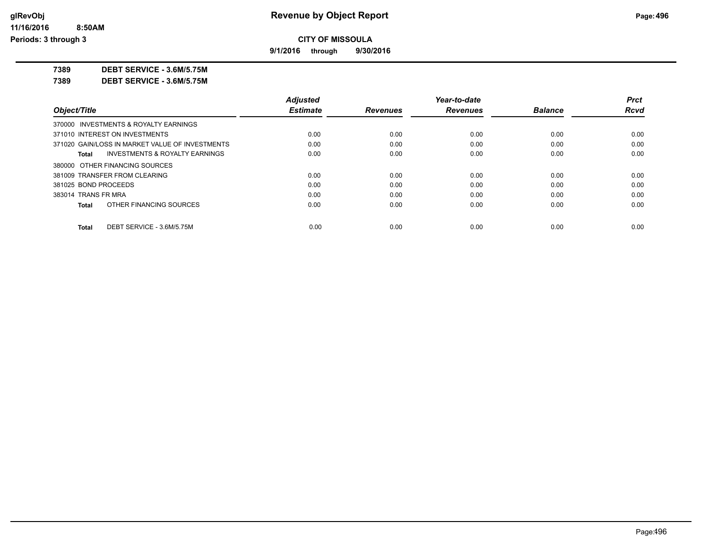**9/1/2016 through 9/30/2016**

**7389 DEBT SERVICE - 3.6M/5.75M**

**7389 DEBT SERVICE - 3.6M/5.75M**

|                                                 |                                           | <b>Adjusted</b> |                 | Year-to-date    |                | <b>Prct</b> |
|-------------------------------------------------|-------------------------------------------|-----------------|-----------------|-----------------|----------------|-------------|
| Object/Title                                    |                                           | <b>Estimate</b> | <b>Revenues</b> | <b>Revenues</b> | <b>Balance</b> | <b>Rcvd</b> |
| 370000 INVESTMENTS & ROYALTY EARNINGS           |                                           |                 |                 |                 |                |             |
| 371010 INTEREST ON INVESTMENTS                  |                                           | 0.00            | 0.00            | 0.00            | 0.00           | 0.00        |
| 371020 GAIN/LOSS IN MARKET VALUE OF INVESTMENTS |                                           | 0.00            | 0.00            | 0.00            | 0.00           | 0.00        |
| Total                                           | <b>INVESTMENTS &amp; ROYALTY EARNINGS</b> | 0.00            | 0.00            | 0.00            | 0.00           | 0.00        |
| 380000 OTHER FINANCING SOURCES                  |                                           |                 |                 |                 |                |             |
| 381009 TRANSFER FROM CLEARING                   |                                           | 0.00            | 0.00            | 0.00            | 0.00           | 0.00        |
| 381025 BOND PROCEEDS                            |                                           | 0.00            | 0.00            | 0.00            | 0.00           | 0.00        |
| 383014 TRANS FR MRA                             |                                           | 0.00            | 0.00            | 0.00            | 0.00           | 0.00        |
| OTHER FINANCING SOURCES<br><b>Total</b>         |                                           | 0.00            | 0.00            | 0.00            | 0.00           | 0.00        |
| DEBT SERVICE - 3.6M/5.75M<br><b>Total</b>       |                                           | 0.00            | 0.00            | 0.00            | 0.00           | 0.00        |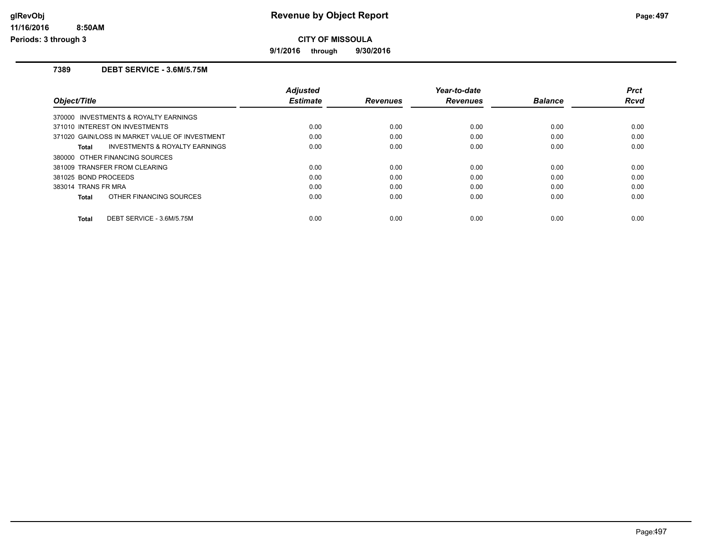**CITY OF MISSOULA**

**9/1/2016 through 9/30/2016**

## **7389 DEBT SERVICE - 3.6M/5.75M**

 **8:50AM**

| Object/Title                                       | <b>Adjusted</b><br><b>Estimate</b> | <b>Revenues</b> | Year-to-date<br><b>Revenues</b> | <b>Balance</b> | <b>Prct</b><br><b>Rcvd</b> |
|----------------------------------------------------|------------------------------------|-----------------|---------------------------------|----------------|----------------------------|
| 370000 INVESTMENTS & ROYALTY EARNINGS              |                                    |                 |                                 |                |                            |
| 371010 INTEREST ON INVESTMENTS                     | 0.00                               | 0.00            | 0.00                            | 0.00           | 0.00                       |
| 371020 GAIN/LOSS IN MARKET VALUE OF INVESTMENT     | 0.00                               | 0.00            | 0.00                            | 0.00           | 0.00                       |
| <b>INVESTMENTS &amp; ROYALTY EARNINGS</b><br>Total | 0.00                               | 0.00            | 0.00                            | 0.00           | 0.00                       |
| 380000 OTHER FINANCING SOURCES                     |                                    |                 |                                 |                |                            |
| 381009 TRANSFER FROM CLEARING                      | 0.00                               | 0.00            | 0.00                            | 0.00           | 0.00                       |
| 381025 BOND PROCEEDS                               | 0.00                               | 0.00            | 0.00                            | 0.00           | 0.00                       |
| 383014 TRANS FR MRA                                | 0.00                               | 0.00            | 0.00                            | 0.00           | 0.00                       |
| OTHER FINANCING SOURCES<br>Total                   | 0.00                               | 0.00            | 0.00                            | 0.00           | 0.00                       |
| DEBT SERVICE - 3.6M/5.75M<br>Total                 | 0.00                               | 0.00            | 0.00                            | 0.00           | 0.00                       |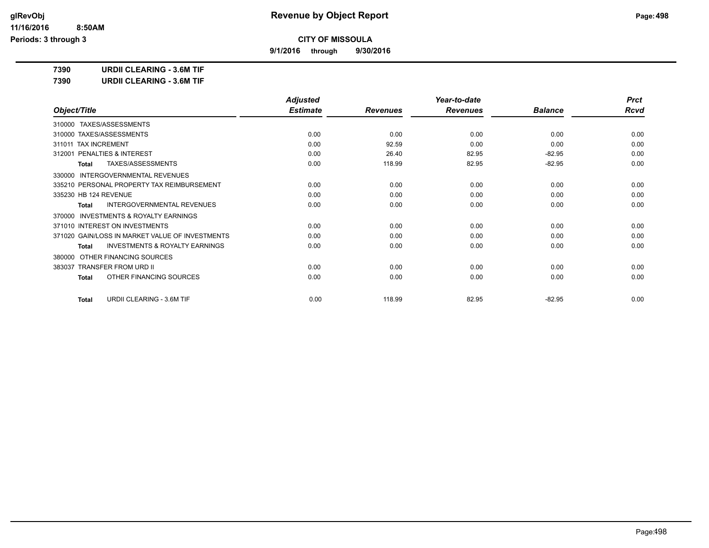**9/1/2016 through 9/30/2016**

**7390 URDII CLEARING - 3.6M TIF**

**7390 URDII CLEARING - 3.6M TIF**

|                                                           | <b>Adjusted</b> |                 | Year-to-date    |                | <b>Prct</b> |
|-----------------------------------------------------------|-----------------|-----------------|-----------------|----------------|-------------|
| Object/Title                                              | <b>Estimate</b> | <b>Revenues</b> | <b>Revenues</b> | <b>Balance</b> | <b>Rcvd</b> |
| 310000 TAXES/ASSESSMENTS                                  |                 |                 |                 |                |             |
| 310000 TAXES/ASSESSMENTS                                  | 0.00            | 0.00            | 0.00            | 0.00           | 0.00        |
| 311011 TAX INCREMENT                                      | 0.00            | 92.59           | 0.00            | 0.00           | 0.00        |
| PENALTIES & INTEREST<br>312001                            | 0.00            | 26.40           | 82.95           | $-82.95$       | 0.00        |
| TAXES/ASSESSMENTS<br><b>Total</b>                         | 0.00            | 118.99          | 82.95           | $-82.95$       | 0.00        |
| INTERGOVERNMENTAL REVENUES<br>330000                      |                 |                 |                 |                |             |
| 335210 PERSONAL PROPERTY TAX REIMBURSEMENT                | 0.00            | 0.00            | 0.00            | 0.00           | 0.00        |
| 335230 HB 124 REVENUE                                     | 0.00            | 0.00            | 0.00            | 0.00           | 0.00        |
| <b>INTERGOVERNMENTAL REVENUES</b><br><b>Total</b>         | 0.00            | 0.00            | 0.00            | 0.00           | 0.00        |
| <b>INVESTMENTS &amp; ROYALTY EARNINGS</b><br>370000       |                 |                 |                 |                |             |
| 371010 INTEREST ON INVESTMENTS                            | 0.00            | 0.00            | 0.00            | 0.00           | 0.00        |
| 371020 GAIN/LOSS IN MARKET VALUE OF INVESTMENTS           | 0.00            | 0.00            | 0.00            | 0.00           | 0.00        |
| <b>INVESTMENTS &amp; ROYALTY EARNINGS</b><br><b>Total</b> | 0.00            | 0.00            | 0.00            | 0.00           | 0.00        |
| OTHER FINANCING SOURCES<br>380000                         |                 |                 |                 |                |             |
| 383037 TRANSFER FROM URD II                               | 0.00            | 0.00            | 0.00            | 0.00           | 0.00        |
| OTHER FINANCING SOURCES<br><b>Total</b>                   | 0.00            | 0.00            | 0.00            | 0.00           | 0.00        |
| URDII CLEARING - 3.6M TIF<br><b>Total</b>                 | 0.00            | 118.99          | 82.95           | $-82.95$       | 0.00        |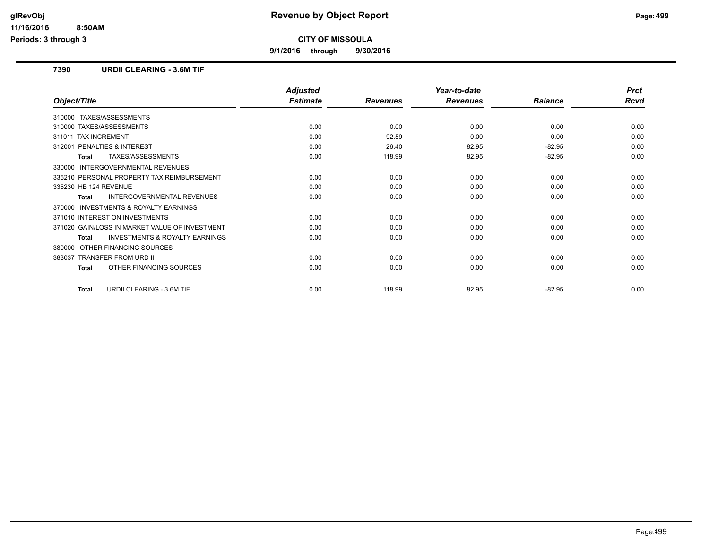**CITY OF MISSOULA**

**9/1/2016 through 9/30/2016**

#### **7390 URDII CLEARING - 3.6M TIF**

 **8:50AM**

|                                                           | <b>Adjusted</b> |                 | Year-to-date    |                | <b>Prct</b> |
|-----------------------------------------------------------|-----------------|-----------------|-----------------|----------------|-------------|
| Object/Title                                              | <b>Estimate</b> | <b>Revenues</b> | <b>Revenues</b> | <b>Balance</b> | <b>Rcvd</b> |
| TAXES/ASSESSMENTS<br>310000                               |                 |                 |                 |                |             |
| 310000 TAXES/ASSESSMENTS                                  | 0.00            | 0.00            | 0.00            | 0.00           | 0.00        |
| <b>TAX INCREMENT</b><br>311011                            | 0.00            | 92.59           | 0.00            | 0.00           | 0.00        |
| 312001 PENALTIES & INTEREST                               | 0.00            | 26.40           | 82.95           | $-82.95$       | 0.00        |
| TAXES/ASSESSMENTS<br><b>Total</b>                         | 0.00            | 118.99          | 82.95           | $-82.95$       | 0.00        |
| <b>INTERGOVERNMENTAL REVENUES</b><br>330000               |                 |                 |                 |                |             |
| 335210 PERSONAL PROPERTY TAX REIMBURSEMENT                | 0.00            | 0.00            | 0.00            | 0.00           | 0.00        |
| 335230 HB 124 REVENUE                                     | 0.00            | 0.00            | 0.00            | 0.00           | 0.00        |
| <b>INTERGOVERNMENTAL REVENUES</b><br><b>Total</b>         | 0.00            | 0.00            | 0.00            | 0.00           | 0.00        |
| <b>INVESTMENTS &amp; ROYALTY EARNINGS</b><br>370000       |                 |                 |                 |                |             |
| 371010 INTEREST ON INVESTMENTS                            | 0.00            | 0.00            | 0.00            | 0.00           | 0.00        |
| 371020 GAIN/LOSS IN MARKET VALUE OF INVESTMENT            | 0.00            | 0.00            | 0.00            | 0.00           | 0.00        |
| <b>INVESTMENTS &amp; ROYALTY EARNINGS</b><br><b>Total</b> | 0.00            | 0.00            | 0.00            | 0.00           | 0.00        |
| OTHER FINANCING SOURCES<br>380000                         |                 |                 |                 |                |             |
| 383037 TRANSFER FROM URD II                               | 0.00            | 0.00            | 0.00            | 0.00           | 0.00        |
| OTHER FINANCING SOURCES<br><b>Total</b>                   | 0.00            | 0.00            | 0.00            | 0.00           | 0.00        |
| URDII CLEARING - 3.6M TIF<br><b>Total</b>                 | 0.00            | 118.99          | 82.95           | $-82.95$       | 0.00        |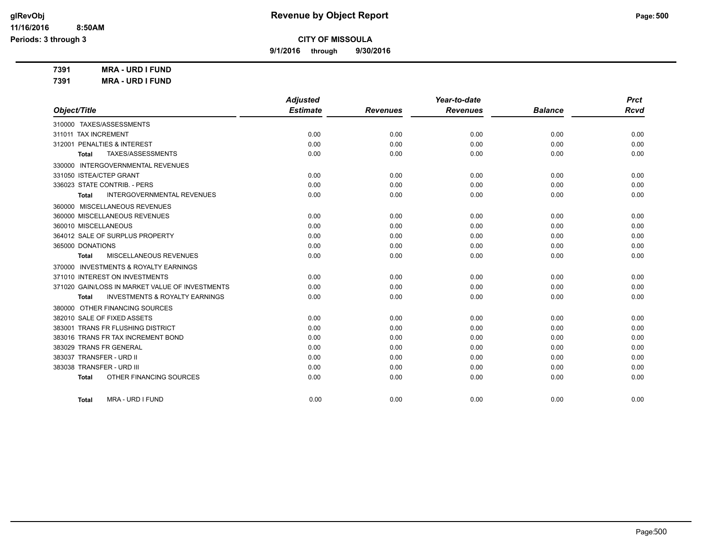**9/1/2016 through 9/30/2016**

**Periods: 3 through 3**

# **7391 MRA - URD I FUND**

**7391 MRA - URD I FUND**

 **8:50AM**

|                                                     | <b>Adjusted</b> |                 | Year-to-date    |                | <b>Prct</b> |
|-----------------------------------------------------|-----------------|-----------------|-----------------|----------------|-------------|
| Object/Title                                        | <b>Estimate</b> | <b>Revenues</b> | <b>Revenues</b> | <b>Balance</b> | <b>Rcvd</b> |
| 310000 TAXES/ASSESSMENTS                            |                 |                 |                 |                |             |
| 311011 TAX INCREMENT                                | 0.00            | 0.00            | 0.00            | 0.00           | 0.00        |
| 312001 PENALTIES & INTEREST                         | 0.00            | 0.00            | 0.00            | 0.00           | 0.00        |
| TAXES/ASSESSMENTS<br><b>Total</b>                   | 0.00            | 0.00            | 0.00            | 0.00           | 0.00        |
| 330000 INTERGOVERNMENTAL REVENUES                   |                 |                 |                 |                |             |
| 331050 ISTEA/CTEP GRANT                             | 0.00            | 0.00            | 0.00            | 0.00           | 0.00        |
| 336023 STATE CONTRIB. - PERS                        | 0.00            | 0.00            | 0.00            | 0.00           | 0.00        |
| <b>INTERGOVERNMENTAL REVENUES</b><br><b>Total</b>   | 0.00            | 0.00            | 0.00            | 0.00           | 0.00        |
| 360000 MISCELLANEOUS REVENUES                       |                 |                 |                 |                |             |
| 360000 MISCELLANEOUS REVENUES                       | 0.00            | 0.00            | 0.00            | 0.00           | 0.00        |
| 360010 MISCELLANEOUS                                | 0.00            | 0.00            | 0.00            | 0.00           | 0.00        |
| 364012 SALE OF SURPLUS PROPERTY                     | 0.00            | 0.00            | 0.00            | 0.00           | 0.00        |
| 365000 DONATIONS                                    | 0.00            | 0.00            | 0.00            | 0.00           | 0.00        |
| MISCELLANEOUS REVENUES<br>Total                     | 0.00            | 0.00            | 0.00            | 0.00           | 0.00        |
| <b>INVESTMENTS &amp; ROYALTY EARNINGS</b><br>370000 |                 |                 |                 |                |             |
| 371010 INTEREST ON INVESTMENTS                      | 0.00            | 0.00            | 0.00            | 0.00           | 0.00        |
| 371020 GAIN/LOSS IN MARKET VALUE OF INVESTMENTS     | 0.00            | 0.00            | 0.00            | 0.00           | 0.00        |
| <b>INVESTMENTS &amp; ROYALTY EARNINGS</b><br>Total  | 0.00            | 0.00            | 0.00            | 0.00           | 0.00        |
| 380000 OTHER FINANCING SOURCES                      |                 |                 |                 |                |             |
| 382010 SALE OF FIXED ASSETS                         | 0.00            | 0.00            | 0.00            | 0.00           | 0.00        |
| 383001 TRANS FR FLUSHING DISTRICT                   | 0.00            | 0.00            | 0.00            | 0.00           | 0.00        |
| 383016 TRANS FR TAX INCREMENT BOND                  | 0.00            | 0.00            | 0.00            | 0.00           | 0.00        |
| 383029 TRANS FR GENERAL                             | 0.00            | 0.00            | 0.00            | 0.00           | 0.00        |
| 383037 TRANSFER - URD II                            | 0.00            | 0.00            | 0.00            | 0.00           | 0.00        |
| 383038 TRANSFER - URD III                           | 0.00            | 0.00            | 0.00            | 0.00           | 0.00        |
| OTHER FINANCING SOURCES<br><b>Total</b>             | 0.00            | 0.00            | 0.00            | 0.00           | 0.00        |
|                                                     |                 |                 |                 |                |             |
| MRA - URD I FUND<br>Total                           | 0.00            | 0.00            | 0.00            | 0.00           | 0.00        |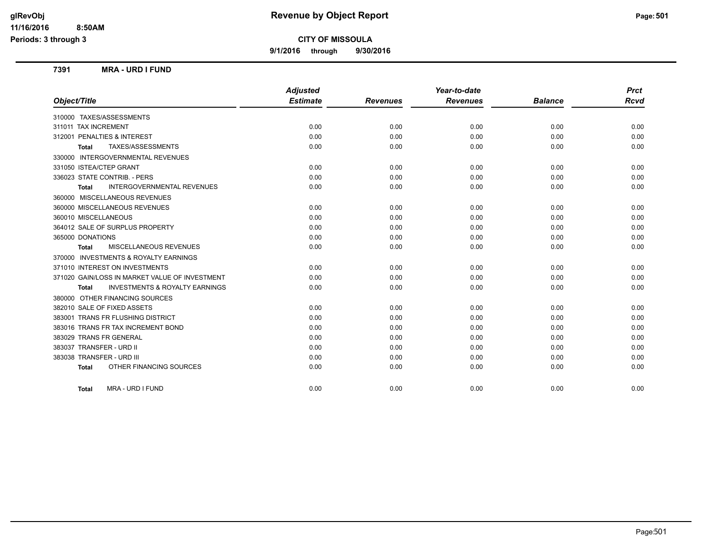**11/16/2016 8:50AM Periods: 3 through 3**

**CITY OF MISSOULA**

**9/1/2016 through 9/30/2016**

#### **7391 MRA - URD I FUND**

|                                                           | <b>Adjusted</b> |                 | Year-to-date    |                | <b>Prct</b> |
|-----------------------------------------------------------|-----------------|-----------------|-----------------|----------------|-------------|
| Object/Title                                              | <b>Estimate</b> | <b>Revenues</b> | <b>Revenues</b> | <b>Balance</b> | <b>Rcvd</b> |
| 310000 TAXES/ASSESSMENTS                                  |                 |                 |                 |                |             |
| 311011 TAX INCREMENT                                      | 0.00            | 0.00            | 0.00            | 0.00           | 0.00        |
| 312001 PENALTIES & INTEREST                               | 0.00            | 0.00            | 0.00            | 0.00           | 0.00        |
| TAXES/ASSESSMENTS<br><b>Total</b>                         | 0.00            | 0.00            | 0.00            | 0.00           | 0.00        |
| 330000 INTERGOVERNMENTAL REVENUES                         |                 |                 |                 |                |             |
| 331050 ISTEA/CTEP GRANT                                   | 0.00            | 0.00            | 0.00            | 0.00           | 0.00        |
| 336023 STATE CONTRIB. - PERS                              | 0.00            | 0.00            | 0.00            | 0.00           | 0.00        |
| <b>INTERGOVERNMENTAL REVENUES</b><br><b>Total</b>         | 0.00            | 0.00            | 0.00            | 0.00           | 0.00        |
| 360000 MISCELLANEOUS REVENUES                             |                 |                 |                 |                |             |
| 360000 MISCELLANEOUS REVENUES                             | 0.00            | 0.00            | 0.00            | 0.00           | 0.00        |
| 360010 MISCELLANEOUS                                      | 0.00            | 0.00            | 0.00            | 0.00           | 0.00        |
| 364012 SALE OF SURPLUS PROPERTY                           | 0.00            | 0.00            | 0.00            | 0.00           | 0.00        |
| 365000 DONATIONS                                          | 0.00            | 0.00            | 0.00            | 0.00           | 0.00        |
| <b>MISCELLANEOUS REVENUES</b><br><b>Total</b>             | 0.00            | 0.00            | 0.00            | 0.00           | 0.00        |
| 370000 INVESTMENTS & ROYALTY EARNINGS                     |                 |                 |                 |                |             |
| 371010 INTEREST ON INVESTMENTS                            | 0.00            | 0.00            | 0.00            | 0.00           | 0.00        |
| 371020 GAIN/LOSS IN MARKET VALUE OF INVESTMENT            | 0.00            | 0.00            | 0.00            | 0.00           | 0.00        |
| <b>INVESTMENTS &amp; ROYALTY EARNINGS</b><br><b>Total</b> | 0.00            | 0.00            | 0.00            | 0.00           | 0.00        |
| 380000 OTHER FINANCING SOURCES                            |                 |                 |                 |                |             |
| 382010 SALE OF FIXED ASSETS                               | 0.00            | 0.00            | 0.00            | 0.00           | 0.00        |
| 383001 TRANS FR FLUSHING DISTRICT                         | 0.00            | 0.00            | 0.00            | 0.00           | 0.00        |
| 383016 TRANS FR TAX INCREMENT BOND                        | 0.00            | 0.00            | 0.00            | 0.00           | 0.00        |
| 383029 TRANS FR GENERAL                                   | 0.00            | 0.00            | 0.00            | 0.00           | 0.00        |
| 383037 TRANSFER - URD II                                  | 0.00            | 0.00            | 0.00            | 0.00           | 0.00        |
| 383038 TRANSFER - URD III                                 | 0.00            | 0.00            | 0.00            | 0.00           | 0.00        |
| OTHER FINANCING SOURCES<br><b>Total</b>                   | 0.00            | 0.00            | 0.00            | 0.00           | 0.00        |
| MRA - URD I FUND<br>Total                                 | 0.00            | 0.00            | 0.00            | 0.00           | 0.00        |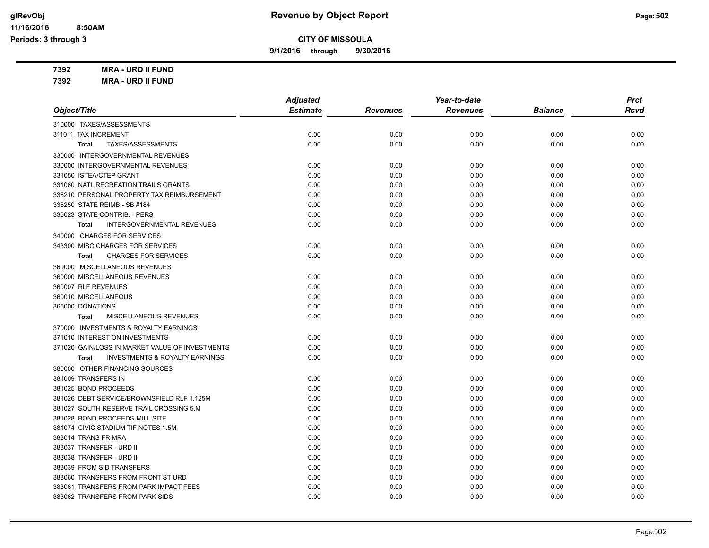**CITY OF MISSOULA**

**9/1/2016 through 9/30/2016**

 **8:50AM**

**7392 MRA - URD II FUND**

**7392 MRA - URD II FUND**

|                                                           | <b>Adjusted</b> |                 | Year-to-date    |                | <b>Prct</b> |
|-----------------------------------------------------------|-----------------|-----------------|-----------------|----------------|-------------|
| Object/Title                                              | <b>Estimate</b> | <b>Revenues</b> | <b>Revenues</b> | <b>Balance</b> | Rcvd        |
| 310000 TAXES/ASSESSMENTS                                  |                 |                 |                 |                |             |
| 311011 TAX INCREMENT                                      | 0.00            | 0.00            | 0.00            | 0.00           | 0.00        |
| TAXES/ASSESSMENTS<br><b>Total</b>                         | 0.00            | 0.00            | 0.00            | 0.00           | 0.00        |
| 330000 INTERGOVERNMENTAL REVENUES                         |                 |                 |                 |                |             |
| 330000 INTERGOVERNMENTAL REVENUES                         | 0.00            | 0.00            | 0.00            | 0.00           | 0.00        |
| 331050 ISTEA/CTEP GRANT                                   | 0.00            | 0.00            | 0.00            | 0.00           | 0.00        |
| 331060 NATL RECREATION TRAILS GRANTS                      | 0.00            | 0.00            | 0.00            | 0.00           | 0.00        |
| 335210 PERSONAL PROPERTY TAX REIMBURSEMENT                | 0.00            | 0.00            | 0.00            | 0.00           | 0.00        |
| 335250 STATE REIMB - SB #184                              | 0.00            | 0.00            | 0.00            | 0.00           | 0.00        |
| 336023 STATE CONTRIB. - PERS                              | 0.00            | 0.00            | 0.00            | 0.00           | 0.00        |
| <b>INTERGOVERNMENTAL REVENUES</b><br><b>Total</b>         | 0.00            | 0.00            | 0.00            | 0.00           | 0.00        |
| 340000 CHARGES FOR SERVICES                               |                 |                 |                 |                |             |
| 343300 MISC CHARGES FOR SERVICES                          | 0.00            | 0.00            | 0.00            | 0.00           | 0.00        |
| <b>CHARGES FOR SERVICES</b><br>Total                      | 0.00            | 0.00            | 0.00            | 0.00           | 0.00        |
| 360000 MISCELLANEOUS REVENUES                             |                 |                 |                 |                |             |
| 360000 MISCELLANEOUS REVENUES                             | 0.00            | 0.00            | 0.00            | 0.00           | 0.00        |
| 360007 RLF REVENUES                                       | 0.00            | 0.00            | 0.00            | 0.00           | 0.00        |
| 360010 MISCELLANEOUS                                      | 0.00            | 0.00            | 0.00            | 0.00           | 0.00        |
| 365000 DONATIONS                                          | 0.00            | 0.00            | 0.00            | 0.00           | 0.00        |
| MISCELLANEOUS REVENUES<br><b>Total</b>                    | 0.00            | 0.00            | 0.00            | 0.00           | 0.00        |
| 370000 INVESTMENTS & ROYALTY EARNINGS                     |                 |                 |                 |                |             |
| 371010 INTEREST ON INVESTMENTS                            | 0.00            | 0.00            | 0.00            | 0.00           | 0.00        |
| 371020 GAIN/LOSS IN MARKET VALUE OF INVESTMENTS           | 0.00            | 0.00            | 0.00            | 0.00           | 0.00        |
| <b>INVESTMENTS &amp; ROYALTY EARNINGS</b><br><b>Total</b> | 0.00            | 0.00            | 0.00            | 0.00           | 0.00        |
| 380000 OTHER FINANCING SOURCES                            |                 |                 |                 |                |             |
| 381009 TRANSFERS IN                                       | 0.00            | 0.00            | 0.00            | 0.00           | 0.00        |
| 381025 BOND PROCEEDS                                      | 0.00            | 0.00            | 0.00            | 0.00           | 0.00        |
| 381026 DEBT SERVICE/BROWNSFIELD RLF 1.125M                | 0.00            | 0.00            | 0.00            | 0.00           | 0.00        |
| 381027 SOUTH RESERVE TRAIL CROSSING 5.M                   | 0.00            | 0.00            | 0.00            | 0.00           | 0.00        |
| 381028 BOND PROCEEDS-MILL SITE                            | 0.00            | 0.00            | 0.00            | 0.00           | 0.00        |
| 381074 CIVIC STADIUM TIF NOTES 1.5M                       | 0.00            | 0.00            | 0.00            | 0.00           | 0.00        |
| 383014 TRANS FR MRA                                       | 0.00            | 0.00            | 0.00            | 0.00           | 0.00        |
| 383037 TRANSFER - URD II                                  | 0.00            | 0.00            | 0.00            | 0.00           | 0.00        |
| 383038 TRANSFER - URD III                                 | 0.00            | 0.00            | 0.00            | 0.00           | 0.00        |
| 383039 FROM SID TRANSFERS                                 | 0.00            | 0.00            | 0.00            | 0.00           | 0.00        |
| 383060 TRANSFERS FROM FRONT ST URD                        | 0.00            | 0.00            | 0.00            | 0.00           | 0.00        |
| 383061 TRANSFERS FROM PARK IMPACT FEES                    | 0.00            | 0.00            | 0.00            | 0.00           | 0.00        |
| 383062 TRANSFERS FROM PARK SIDS                           | 0.00            | 0.00            | 0.00            | 0.00           | 0.00        |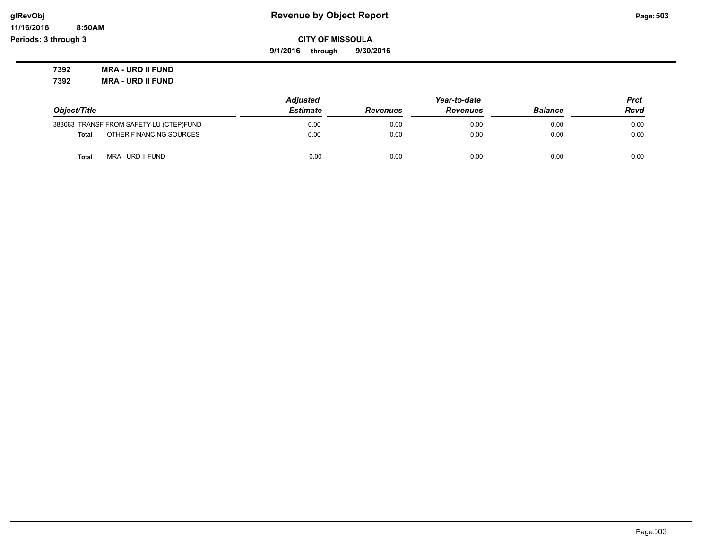**11/16/2016 Periods: 3 through 3**

# **CITY OF MISSOULA**

**9/1/2016 through 9/30/2016**

**7392 MRA - URD II FUND 7392 MRA - URD II FUND**

 **8:50AM**

|                                         | <b>Adjusted</b> | Year-to-date                       |      |                | <b>Prct</b> |
|-----------------------------------------|-----------------|------------------------------------|------|----------------|-------------|
| Object/Title                            | <b>Estimate</b> | <b>Revenues</b><br><b>Revenues</b> |      | <b>Balance</b> | <b>Rcvd</b> |
| 383063 TRANSF FROM SAFETY-LU (CTEP)FUND | 0.00            | 0.00                               | 0.00 | 0.00           | 0.00        |
| OTHER FINANCING SOURCES<br>Total        | 0.00            | 0.00                               | 0.00 | 0.00           | 0.00        |
| MRA - URD II FUND<br>Tota               | 0.00            | 0.00                               | 0.00 | 0.00           | 0.00        |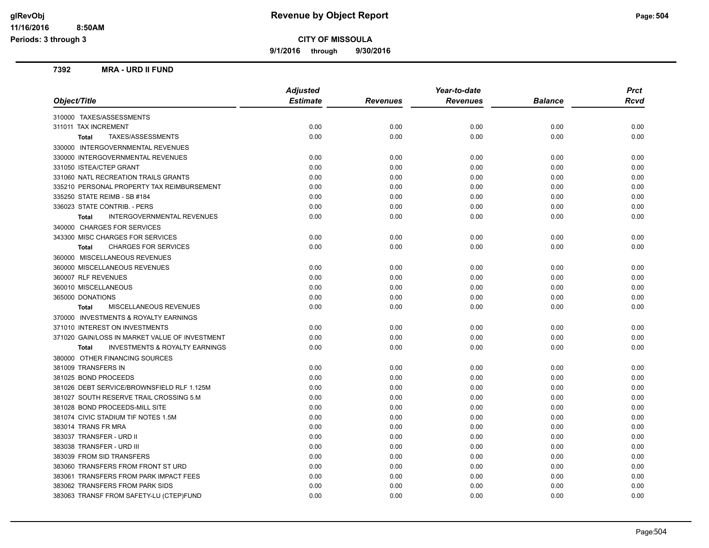**CITY OF MISSOULA**

**9/1/2016 through 9/30/2016**

#### **7392 MRA - URD II FUND**

 **8:50AM**

| Object/Title                                       | <b>Adjusted</b> |                 | Year-to-date    |                |      |
|----------------------------------------------------|-----------------|-----------------|-----------------|----------------|------|
|                                                    | <b>Estimate</b> | <b>Revenues</b> | <b>Revenues</b> | <b>Balance</b> | Rcvd |
| 310000 TAXES/ASSESSMENTS                           |                 |                 |                 |                |      |
| 311011 TAX INCREMENT                               | 0.00            | 0.00            | 0.00            | 0.00           | 0.00 |
| TAXES/ASSESSMENTS<br>Total                         | 0.00            | 0.00            | 0.00            | 0.00           | 0.00 |
| 330000 INTERGOVERNMENTAL REVENUES                  |                 |                 |                 |                |      |
| 330000 INTERGOVERNMENTAL REVENUES                  | 0.00            | 0.00            | 0.00            | 0.00           | 0.00 |
| 331050 ISTEA/CTEP GRANT                            | 0.00            | 0.00            | 0.00            | 0.00           | 0.00 |
| 331060 NATL RECREATION TRAILS GRANTS               | 0.00            | 0.00            | 0.00            | 0.00           | 0.00 |
| 335210 PERSONAL PROPERTY TAX REIMBURSEMENT         | 0.00            | 0.00            | 0.00            | 0.00           | 0.00 |
| 335250 STATE REIMB - SB #184                       | 0.00            | 0.00            | 0.00            | 0.00           | 0.00 |
| 336023 STATE CONTRIB. - PERS                       | 0.00            | 0.00            | 0.00            | 0.00           | 0.00 |
| <b>INTERGOVERNMENTAL REVENUES</b><br><b>Total</b>  | 0.00            | 0.00            | 0.00            | 0.00           | 0.00 |
| 340000 CHARGES FOR SERVICES                        |                 |                 |                 |                |      |
| 343300 MISC CHARGES FOR SERVICES                   | 0.00            | 0.00            | 0.00            | 0.00           | 0.00 |
| <b>CHARGES FOR SERVICES</b><br>Total               | 0.00            | 0.00            | 0.00            | 0.00           | 0.00 |
| 360000 MISCELLANEOUS REVENUES                      |                 |                 |                 |                |      |
| 360000 MISCELLANEOUS REVENUES                      | 0.00            | 0.00            | 0.00            | 0.00           | 0.00 |
| 360007 RLF REVENUES                                | 0.00            | 0.00            | 0.00            | 0.00           | 0.00 |
| 360010 MISCELLANEOUS                               | 0.00            | 0.00            | 0.00            | 0.00           | 0.00 |
| 365000 DONATIONS                                   | 0.00            | 0.00            | 0.00            | 0.00           | 0.00 |
| MISCELLANEOUS REVENUES<br><b>Total</b>             | 0.00            | 0.00            | 0.00            | 0.00           | 0.00 |
| 370000 INVESTMENTS & ROYALTY EARNINGS              |                 |                 |                 |                |      |
| 371010 INTEREST ON INVESTMENTS                     | 0.00            | 0.00            | 0.00            | 0.00           | 0.00 |
| 371020 GAIN/LOSS IN MARKET VALUE OF INVESTMENT     | 0.00            | 0.00            | 0.00            | 0.00           | 0.00 |
| <b>INVESTMENTS &amp; ROYALTY EARNINGS</b><br>Total | 0.00            | 0.00            | 0.00            | 0.00           | 0.00 |
| 380000 OTHER FINANCING SOURCES                     |                 |                 |                 |                |      |
| 381009 TRANSFERS IN                                | 0.00            | 0.00            | 0.00            | 0.00           | 0.00 |
| 381025 BOND PROCEEDS                               | 0.00            | 0.00            | 0.00            | 0.00           | 0.00 |
| 381026 DEBT SERVICE/BROWNSFIELD RLF 1.125M         | 0.00            | 0.00            | 0.00            | 0.00           | 0.00 |
| 381027 SOUTH RESERVE TRAIL CROSSING 5.M            | 0.00            | 0.00            | 0.00            | 0.00           | 0.00 |
| 381028 BOND PROCEEDS-MILL SITE                     | 0.00            | 0.00            | 0.00            | 0.00           | 0.00 |
| 381074 CIVIC STADIUM TIF NOTES 1.5M                | 0.00            | 0.00            | 0.00            | 0.00           | 0.00 |
| 383014 TRANS FR MRA                                | 0.00            | 0.00            | 0.00            | 0.00           | 0.00 |
| 383037 TRANSFER - URD II                           | 0.00            | 0.00            | 0.00            | 0.00           | 0.00 |
| 383038 TRANSFER - URD III                          | 0.00            | 0.00            | 0.00            | 0.00           | 0.00 |
| 383039 FROM SID TRANSFERS                          | 0.00            | 0.00            | 0.00            | 0.00           | 0.00 |
| 383060 TRANSFERS FROM FRONT ST URD                 | 0.00            | 0.00            | 0.00            | 0.00           | 0.00 |
| 383061 TRANSFERS FROM PARK IMPACT FEES             | 0.00            | 0.00            | 0.00            | 0.00           | 0.00 |
| 383062 TRANSFERS FROM PARK SIDS                    | 0.00            | 0.00            | 0.00            | 0.00           | 0.00 |
| 383063 TRANSF FROM SAFETY-LU (CTEP)FUND            | 0.00            | 0.00            | 0.00            | 0.00           | 0.00 |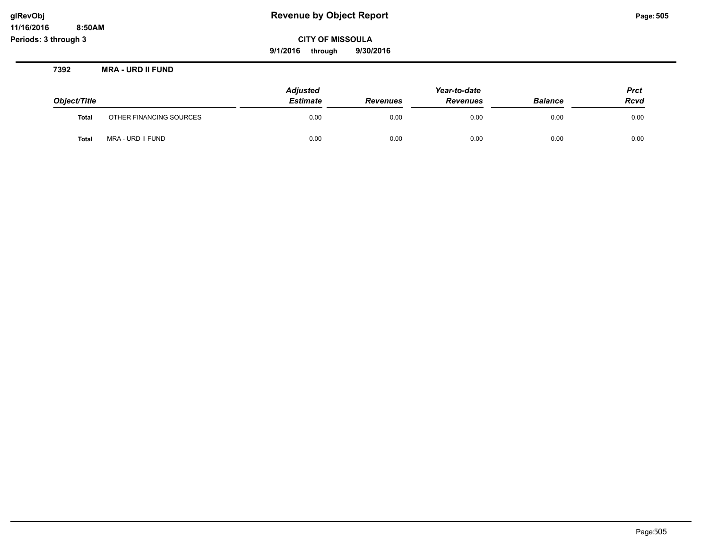**11/16/2016 8:50AM Periods: 3 through 3**

**CITY OF MISSOULA**

**9/1/2016 through 9/30/2016**

**7392 MRA - URD II FUND**

|              |                         | <b>Adjusted</b> |                 | Year-to-date    |                | <b>Prct</b> |
|--------------|-------------------------|-----------------|-----------------|-----------------|----------------|-------------|
| Object/Title |                         | Estimate        | <b>Revenues</b> | <b>Revenues</b> | <b>Balance</b> | <b>Rcvd</b> |
| <b>Total</b> | OTHER FINANCING SOURCES | 0.00            | 0.00            | 0.00            | 0.00           | 0.00        |
| <b>Total</b> | MRA - URD II FUND       | 0.00            | 0.00            | 0.00            | 0.00           | 0.00        |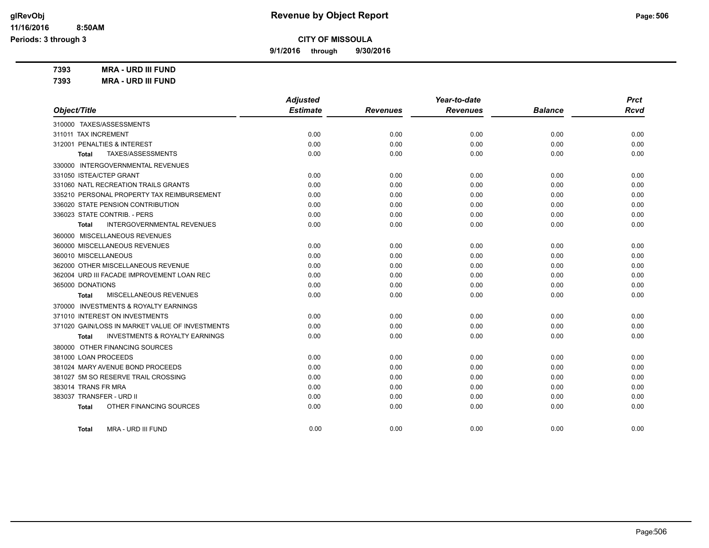**CITY OF MISSOULA**

**9/1/2016 through 9/30/2016**

**7393 MRA - URD III FUND**

**7393 MRA - URD III FUND**

|                                                    | <b>Adjusted</b> |                 | Year-to-date    |                | <b>Prct</b> |
|----------------------------------------------------|-----------------|-----------------|-----------------|----------------|-------------|
| Object/Title                                       | <b>Estimate</b> | <b>Revenues</b> | <b>Revenues</b> | <b>Balance</b> | <b>Rcvd</b> |
| 310000 TAXES/ASSESSMENTS                           |                 |                 |                 |                |             |
| 311011 TAX INCREMENT                               | 0.00            | 0.00            | 0.00            | 0.00           | 0.00        |
| 312001 PENALTIES & INTEREST                        | 0.00            | 0.00            | 0.00            | 0.00           | 0.00        |
| TAXES/ASSESSMENTS<br><b>Total</b>                  | 0.00            | 0.00            | 0.00            | 0.00           | 0.00        |
| 330000 INTERGOVERNMENTAL REVENUES                  |                 |                 |                 |                |             |
| 331050 ISTEA/CTEP GRANT                            | 0.00            | 0.00            | 0.00            | 0.00           | 0.00        |
| 331060 NATL RECREATION TRAILS GRANTS               | 0.00            | 0.00            | 0.00            | 0.00           | 0.00        |
| 335210 PERSONAL PROPERTY TAX REIMBURSEMENT         | 0.00            | 0.00            | 0.00            | 0.00           | 0.00        |
| 336020 STATE PENSION CONTRIBUTION                  | 0.00            | 0.00            | 0.00            | 0.00           | 0.00        |
| 336023 STATE CONTRIB. - PERS                       | 0.00            | 0.00            | 0.00            | 0.00           | 0.00        |
| <b>INTERGOVERNMENTAL REVENUES</b><br><b>Total</b>  | 0.00            | 0.00            | 0.00            | 0.00           | 0.00        |
| 360000 MISCELLANEOUS REVENUES                      |                 |                 |                 |                |             |
| 360000 MISCELLANEOUS REVENUES                      | 0.00            | 0.00            | 0.00            | 0.00           | 0.00        |
| 360010 MISCELLANEOUS                               | 0.00            | 0.00            | 0.00            | 0.00           | 0.00        |
| 362000 OTHER MISCELLANEOUS REVENUE                 | 0.00            | 0.00            | 0.00            | 0.00           | 0.00        |
| 362004 URD III FACADE IMPROVEMENT LOAN REC         | 0.00            | 0.00            | 0.00            | 0.00           | 0.00        |
| 365000 DONATIONS                                   | 0.00            | 0.00            | 0.00            | 0.00           | 0.00        |
| MISCELLANEOUS REVENUES<br>Total                    | 0.00            | 0.00            | 0.00            | 0.00           | 0.00        |
| 370000 INVESTMENTS & ROYALTY EARNINGS              |                 |                 |                 |                |             |
| 371010 INTEREST ON INVESTMENTS                     | 0.00            | 0.00            | 0.00            | 0.00           | 0.00        |
| 371020 GAIN/LOSS IN MARKET VALUE OF INVESTMENTS    | 0.00            | 0.00            | 0.00            | 0.00           | 0.00        |
| <b>INVESTMENTS &amp; ROYALTY EARNINGS</b><br>Total | 0.00            | 0.00            | 0.00            | 0.00           | 0.00        |
| 380000 OTHER FINANCING SOURCES                     |                 |                 |                 |                |             |
| 381000 LOAN PROCEEDS                               | 0.00            | 0.00            | 0.00            | 0.00           | 0.00        |
| 381024 MARY AVENUE BOND PROCEEDS                   | 0.00            | 0.00            | 0.00            | 0.00           | 0.00        |
| 381027 5M SO RESERVE TRAIL CROSSING                | 0.00            | 0.00            | 0.00            | 0.00           | 0.00        |
| 383014 TRANS FR MRA                                | 0.00            | 0.00            | 0.00            | 0.00           | 0.00        |
| 383037 TRANSFER - URD II                           | 0.00            | 0.00            | 0.00            | 0.00           | 0.00        |
| OTHER FINANCING SOURCES<br><b>Total</b>            | 0.00            | 0.00            | 0.00            | 0.00           | 0.00        |
| MRA - URD III FUND<br>Total                        | 0.00            | 0.00            | 0.00            | 0.00           | 0.00        |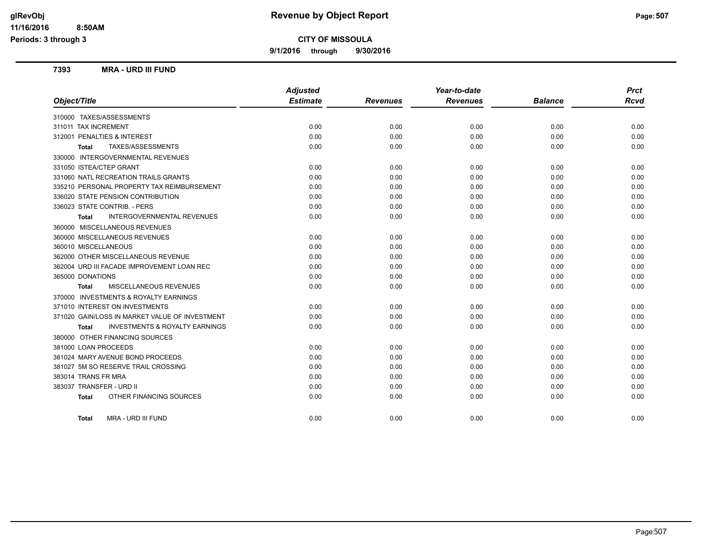**CITY OF MISSOULA**

**9/1/2016 through 9/30/2016**

# **7393 MRA - URD III FUND**

| Object/Title                                       | <b>Adjusted</b><br><b>Estimate</b> | <b>Revenues</b> | Year-to-date<br><b>Revenues</b> | <b>Balance</b> | <b>Prct</b><br><b>Rcvd</b> |
|----------------------------------------------------|------------------------------------|-----------------|---------------------------------|----------------|----------------------------|
| 310000 TAXES/ASSESSMENTS                           |                                    |                 |                                 |                |                            |
| 311011 TAX INCREMENT                               | 0.00                               | 0.00            | 0.00                            | 0.00           | 0.00                       |
| 312001 PENALTIES & INTEREST                        | 0.00                               | 0.00            | 0.00                            | 0.00           | 0.00                       |
| TAXES/ASSESSMENTS<br>Total                         | 0.00                               | 0.00            | 0.00                            | 0.00           | 0.00                       |
| 330000 INTERGOVERNMENTAL REVENUES                  |                                    |                 |                                 |                |                            |
| 331050 ISTEA/CTEP GRANT                            | 0.00                               | 0.00            | 0.00                            | 0.00           | 0.00                       |
| 331060 NATL RECREATION TRAILS GRANTS               | 0.00                               | 0.00            | 0.00                            | 0.00           | 0.00                       |
| 335210 PERSONAL PROPERTY TAX REIMBURSEMENT         | 0.00                               | 0.00            | 0.00                            | 0.00           | 0.00                       |
| 336020 STATE PENSION CONTRIBUTION                  | 0.00                               | 0.00            | 0.00                            | 0.00           | 0.00                       |
| 336023 STATE CONTRIB. - PERS                       | 0.00                               | 0.00            | 0.00                            | 0.00           | 0.00                       |
| <b>INTERGOVERNMENTAL REVENUES</b><br>Total         | 0.00                               | 0.00            | 0.00                            | 0.00           | 0.00                       |
| 360000 MISCELLANEOUS REVENUES                      |                                    |                 |                                 |                |                            |
| 360000 MISCELLANEOUS REVENUES                      | 0.00                               | 0.00            | 0.00                            | 0.00           | 0.00                       |
| 360010 MISCELLANEOUS                               | 0.00                               | 0.00            | 0.00                            | 0.00           | 0.00                       |
| 362000 OTHER MISCELLANEOUS REVENUE                 | 0.00                               | 0.00            | 0.00                            | 0.00           | 0.00                       |
| 362004 URD III FACADE IMPROVEMENT LOAN REC         | 0.00                               | 0.00            | 0.00                            | 0.00           | 0.00                       |
| 365000 DONATIONS                                   | 0.00                               | 0.00            | 0.00                            | 0.00           | 0.00                       |
| MISCELLANEOUS REVENUES<br><b>Total</b>             | 0.00                               | 0.00            | 0.00                            | 0.00           | 0.00                       |
| 370000 INVESTMENTS & ROYALTY EARNINGS              |                                    |                 |                                 |                |                            |
| 371010 INTEREST ON INVESTMENTS                     | 0.00                               | 0.00            | 0.00                            | 0.00           | 0.00                       |
| 371020 GAIN/LOSS IN MARKET VALUE OF INVESTMENT     | 0.00                               | 0.00            | 0.00                            | 0.00           | 0.00                       |
| <b>INVESTMENTS &amp; ROYALTY EARNINGS</b><br>Total | 0.00                               | 0.00            | 0.00                            | 0.00           | 0.00                       |
| 380000 OTHER FINANCING SOURCES                     |                                    |                 |                                 |                |                            |
| 381000 LOAN PROCEEDS                               | 0.00                               | 0.00            | 0.00                            | 0.00           | 0.00                       |
| 381024 MARY AVENUE BOND PROCEEDS                   | 0.00                               | 0.00            | 0.00                            | 0.00           | 0.00                       |
| 381027 5M SO RESERVE TRAIL CROSSING                | 0.00                               | 0.00            | 0.00                            | 0.00           | 0.00                       |
| 383014 TRANS FR MRA                                | 0.00                               | 0.00            | 0.00                            | 0.00           | 0.00                       |
| 383037 TRANSFER - URD II                           | 0.00                               | 0.00            | 0.00                            | 0.00           | 0.00                       |
| OTHER FINANCING SOURCES<br>Total                   | 0.00                               | 0.00            | 0.00                            | 0.00           | 0.00                       |
| MRA - URD III FUND<br>Total                        | 0.00                               | 0.00            | 0.00                            | 0.00           | 0.00                       |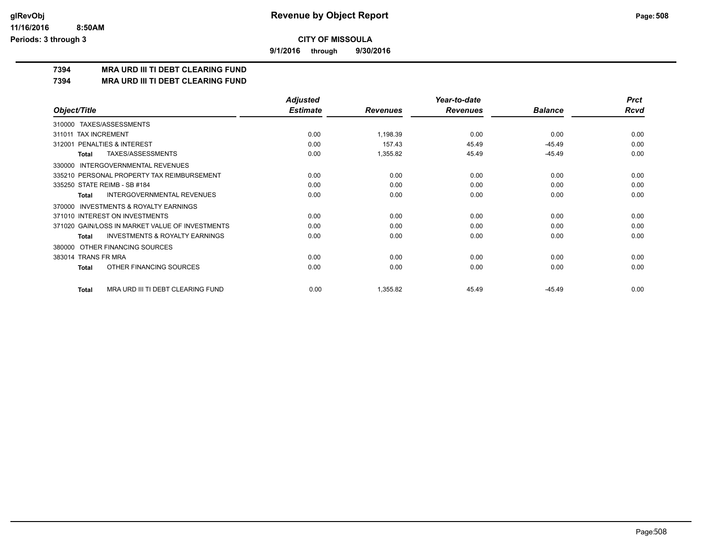**9/1/2016 through 9/30/2016**

### **7394 MRA URD III TI DEBT CLEARING FUND**

**7394 MRA URD III TI DEBT CLEARING FUND**

|                                                     | <b>Adjusted</b> |                 | Year-to-date    |                | <b>Prct</b> |
|-----------------------------------------------------|-----------------|-----------------|-----------------|----------------|-------------|
| Object/Title                                        | <b>Estimate</b> | <b>Revenues</b> | <b>Revenues</b> | <b>Balance</b> | <b>Rcvd</b> |
| 310000 TAXES/ASSESSMENTS                            |                 |                 |                 |                |             |
| <b>TAX INCREMENT</b><br>311011                      | 0.00            | 1,198.39        | 0.00            | 0.00           | 0.00        |
| <b>PENALTIES &amp; INTEREST</b><br>312001           | 0.00            | 157.43          | 45.49           | $-45.49$       | 0.00        |
| TAXES/ASSESSMENTS<br><b>Total</b>                   | 0.00            | 1,355.82        | 45.49           | $-45.49$       | 0.00        |
| INTERGOVERNMENTAL REVENUES<br>330000                |                 |                 |                 |                |             |
| 335210 PERSONAL PROPERTY TAX REIMBURSEMENT          | 0.00            | 0.00            | 0.00            | 0.00           | 0.00        |
| 335250 STATE REIMB - SB #184                        | 0.00            | 0.00            | 0.00            | 0.00           | 0.00        |
| <b>INTERGOVERNMENTAL REVENUES</b><br><b>Total</b>   | 0.00            | 0.00            | 0.00            | 0.00           | 0.00        |
| <b>INVESTMENTS &amp; ROYALTY EARNINGS</b><br>370000 |                 |                 |                 |                |             |
| 371010 INTEREST ON INVESTMENTS                      | 0.00            | 0.00            | 0.00            | 0.00           | 0.00        |
| 371020 GAIN/LOSS IN MARKET VALUE OF INVESTMENTS     | 0.00            | 0.00            | 0.00            | 0.00           | 0.00        |
| <b>INVESTMENTS &amp; ROYALTY EARNINGS</b><br>Total  | 0.00            | 0.00            | 0.00            | 0.00           | 0.00        |
| OTHER FINANCING SOURCES<br>380000                   |                 |                 |                 |                |             |
| 383014 TRANS FR MRA                                 | 0.00            | 0.00            | 0.00            | 0.00           | 0.00        |
| OTHER FINANCING SOURCES<br><b>Total</b>             | 0.00            | 0.00            | 0.00            | 0.00           | 0.00        |
| MRA URD III TI DEBT CLEARING FUND<br><b>Total</b>   | 0.00            | 1,355.82        | 45.49           | $-45.49$       | 0.00        |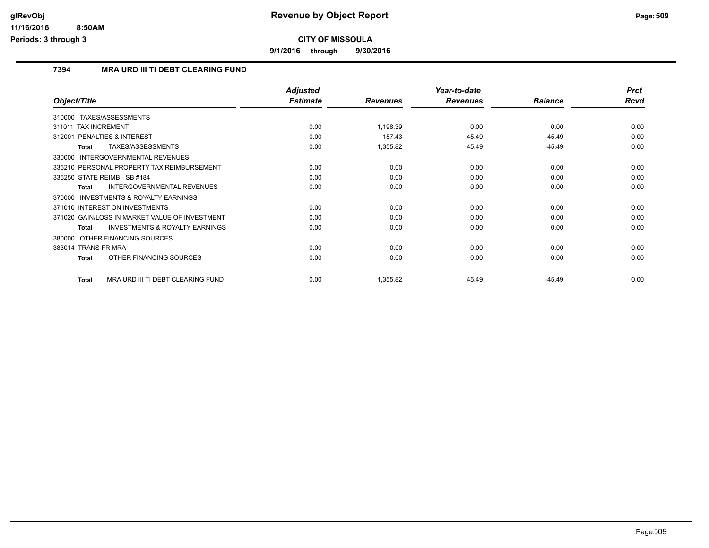**CITY OF MISSOULA**

**9/1/2016 through 9/30/2016**

### **7394 MRA URD III TI DEBT CLEARING FUND**

|                                                           | <b>Adjusted</b> |                 | Year-to-date    |                | <b>Prct</b> |
|-----------------------------------------------------------|-----------------|-----------------|-----------------|----------------|-------------|
| Object/Title                                              | <b>Estimate</b> | <b>Revenues</b> | <b>Revenues</b> | <b>Balance</b> | Rcvd        |
| TAXES/ASSESSMENTS<br>310000                               |                 |                 |                 |                |             |
| 311011 TAX INCREMENT                                      | 0.00            | 1,198.39        | 0.00            | 0.00           | 0.00        |
| 312001 PENALTIES & INTEREST                               | 0.00            | 157.43          | 45.49           | $-45.49$       | 0.00        |
| TAXES/ASSESSMENTS<br><b>Total</b>                         | 0.00            | 1,355.82        | 45.49           | $-45.49$       | 0.00        |
| 330000 INTERGOVERNMENTAL REVENUES                         |                 |                 |                 |                |             |
| 335210 PERSONAL PROPERTY TAX REIMBURSEMENT                | 0.00            | 0.00            | 0.00            | 0.00           | 0.00        |
| 335250 STATE REIMB - SB #184                              | 0.00            | 0.00            | 0.00            | 0.00           | 0.00        |
| <b>INTERGOVERNMENTAL REVENUES</b><br><b>Total</b>         | 0.00            | 0.00            | 0.00            | 0.00           | 0.00        |
| <b>INVESTMENTS &amp; ROYALTY EARNINGS</b><br>370000       |                 |                 |                 |                |             |
| 371010 INTEREST ON INVESTMENTS                            | 0.00            | 0.00            | 0.00            | 0.00           | 0.00        |
| 371020 GAIN/LOSS IN MARKET VALUE OF INVESTMENT            | 0.00            | 0.00            | 0.00            | 0.00           | 0.00        |
| <b>INVESTMENTS &amp; ROYALTY EARNINGS</b><br><b>Total</b> | 0.00            | 0.00            | 0.00            | 0.00           | 0.00        |
| 380000 OTHER FINANCING SOURCES                            |                 |                 |                 |                |             |
| 383014 TRANS FR MRA                                       | 0.00            | 0.00            | 0.00            | 0.00           | 0.00        |
| OTHER FINANCING SOURCES<br>Total                          | 0.00            | 0.00            | 0.00            | 0.00           | 0.00        |
| MRA URD III TI DEBT CLEARING FUND<br>Total                | 0.00            | 1,355.82        | 45.49           | $-45.49$       | 0.00        |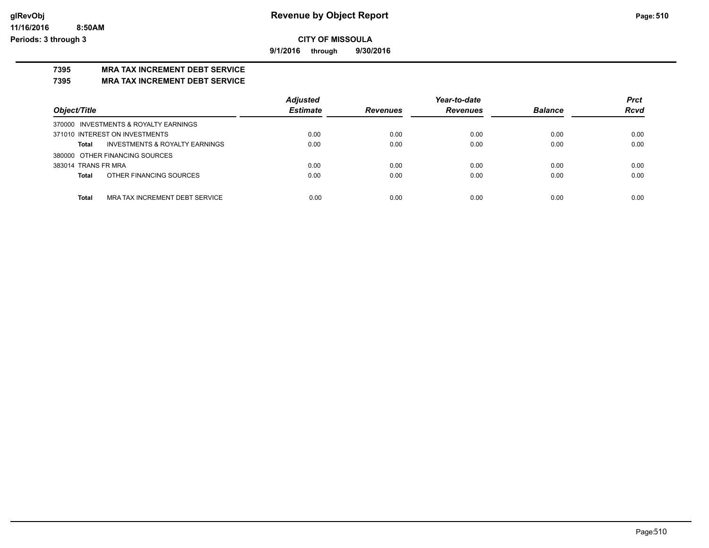**11/16/2016 8:50AM**

**Periods: 3 through 3**

**CITY OF MISSOULA**

**9/1/2016 through 9/30/2016**

# **7395 MRA TAX INCREMENT DEBT SERVICE**

### **7395 MRA TAX INCREMENT DEBT SERVICE**

|                                                    | <b>Adjusted</b> |                 | Year-to-date    |                | <b>Prct</b> |
|----------------------------------------------------|-----------------|-----------------|-----------------|----------------|-------------|
| Object/Title                                       | <b>Estimate</b> | <b>Revenues</b> | <b>Revenues</b> | <b>Balance</b> | <b>Rcvd</b> |
| 370000 INVESTMENTS & ROYALTY EARNINGS              |                 |                 |                 |                |             |
| 371010 INTEREST ON INVESTMENTS                     | 0.00            | 0.00            | 0.00            | 0.00           | 0.00        |
| <b>INVESTMENTS &amp; ROYALTY EARNINGS</b><br>Total | 0.00            | 0.00            | 0.00            | 0.00           | 0.00        |
| 380000 OTHER FINANCING SOURCES                     |                 |                 |                 |                |             |
| 383014 TRANS FR MRA                                | 0.00            | 0.00            | 0.00            | 0.00           | 0.00        |
| OTHER FINANCING SOURCES<br>Total                   | 0.00            | 0.00            | 0.00            | 0.00           | 0.00        |
|                                                    |                 |                 |                 |                |             |
| MRA TAX INCREMENT DEBT SERVICE<br>Total            | 0.00            | 0.00            | 0.00            | 0.00           | 0.00        |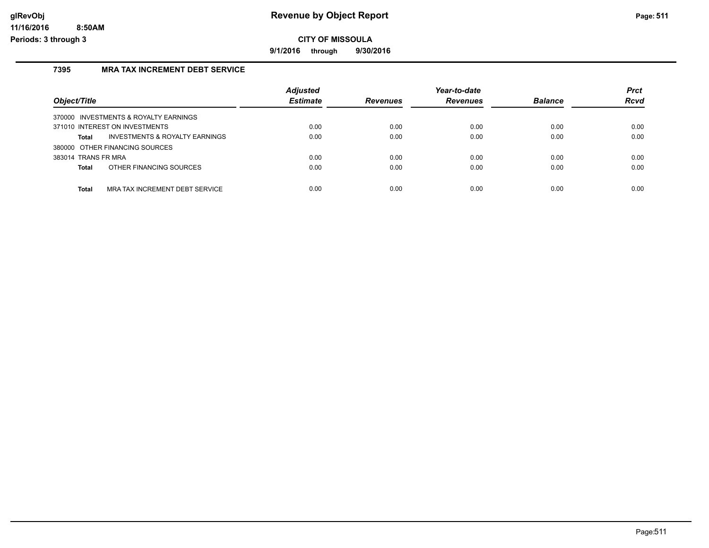**CITY OF MISSOULA**

**9/1/2016 through 9/30/2016**

### **7395 MRA TAX INCREMENT DEBT SERVICE**

|                                                | <b>Adjusted</b><br><b>Estimate</b> | <b>Revenues</b> | Year-to-date<br><b>Revenues</b> | <b>Balance</b> | <b>Prct</b><br><b>Rcvd</b> |
|------------------------------------------------|------------------------------------|-----------------|---------------------------------|----------------|----------------------------|
| Object/Title                                   |                                    |                 |                                 |                |                            |
| 370000 INVESTMENTS & ROYALTY EARNINGS          |                                    |                 |                                 |                |                            |
| 371010 INTEREST ON INVESTMENTS                 | 0.00                               | 0.00            | 0.00                            | 0.00           | 0.00                       |
| INVESTMENTS & ROYALTY EARNINGS<br>Total        | 0.00                               | 0.00            | 0.00                            | 0.00           | 0.00                       |
| 380000 OTHER FINANCING SOURCES                 |                                    |                 |                                 |                |                            |
| 383014 TRANS FR MRA                            | 0.00                               | 0.00            | 0.00                            | 0.00           | 0.00                       |
| OTHER FINANCING SOURCES<br><b>Total</b>        | 0.00                               | 0.00            | 0.00                            | 0.00           | 0.00                       |
|                                                |                                    |                 |                                 |                |                            |
| MRA TAX INCREMENT DEBT SERVICE<br><b>Total</b> | 0.00                               | 0.00            | 0.00                            | 0.00           | 0.00                       |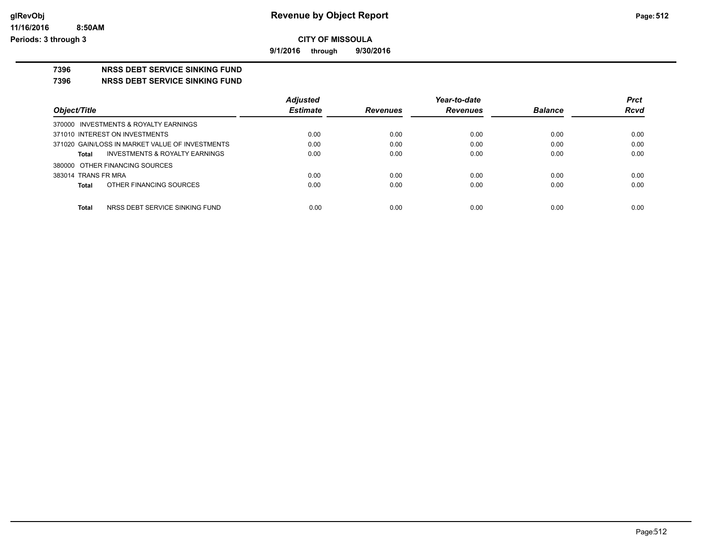**9/1/2016 through 9/30/2016**

## **7396 NRSS DEBT SERVICE SINKING FUND**

**7396 NRSS DEBT SERVICE SINKING FUND**

|                                                 | <b>Adjusted</b> |                 | Year-to-date    |                | <b>Prct</b> |
|-------------------------------------------------|-----------------|-----------------|-----------------|----------------|-------------|
| Object/Title                                    | <b>Estimate</b> | <b>Revenues</b> | <b>Revenues</b> | <b>Balance</b> | <b>Rcvd</b> |
| 370000 INVESTMENTS & ROYALTY EARNINGS           |                 |                 |                 |                |             |
| 371010 INTEREST ON INVESTMENTS                  | 0.00            | 0.00            | 0.00            | 0.00           | 0.00        |
| 371020 GAIN/LOSS IN MARKET VALUE OF INVESTMENTS | 0.00            | 0.00            | 0.00            | 0.00           | 0.00        |
| INVESTMENTS & ROYALTY EARNINGS<br><b>Total</b>  | 0.00            | 0.00            | 0.00            | 0.00           | 0.00        |
| 380000 OTHER FINANCING SOURCES                  |                 |                 |                 |                |             |
| 383014 TRANS FR MRA                             | 0.00            | 0.00            | 0.00            | 0.00           | 0.00        |
| OTHER FINANCING SOURCES<br><b>Total</b>         | 0.00            | 0.00            | 0.00            | 0.00           | 0.00        |
|                                                 |                 |                 |                 |                |             |
| <b>Total</b><br>NRSS DEBT SERVICE SINKING FUND  | 0.00            | 0.00            | 0.00            | 0.00           | 0.00        |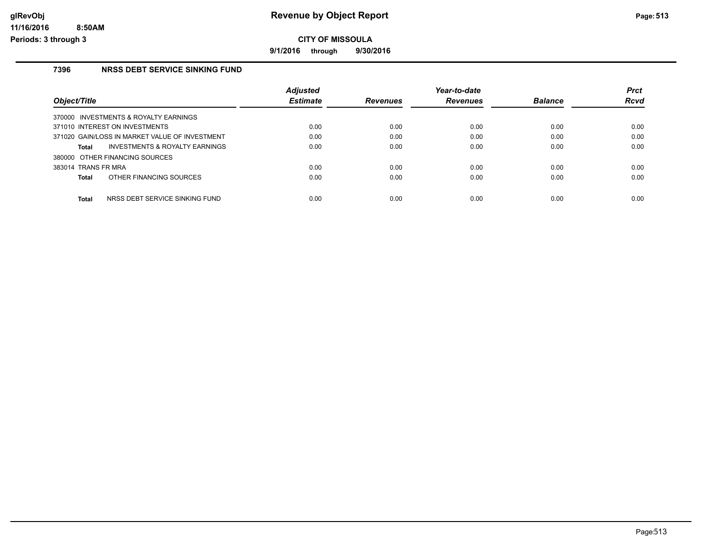**9/1/2016 through 9/30/2016**

### **7396 NRSS DEBT SERVICE SINKING FUND**

|                                                | <b>Adjusted</b> |                 | Year-to-date    |                | <b>Prct</b> |
|------------------------------------------------|-----------------|-----------------|-----------------|----------------|-------------|
| Object/Title                                   | <b>Estimate</b> | <b>Revenues</b> | <b>Revenues</b> | <b>Balance</b> | <b>Rcvd</b> |
| 370000 INVESTMENTS & ROYALTY EARNINGS          |                 |                 |                 |                |             |
| 371010 INTEREST ON INVESTMENTS                 | 0.00            | 0.00            | 0.00            | 0.00           | 0.00        |
| 371020 GAIN/LOSS IN MARKET VALUE OF INVESTMENT | 0.00            | 0.00            | 0.00            | 0.00           | 0.00        |
| INVESTMENTS & ROYALTY EARNINGS<br>Total        | 0.00            | 0.00            | 0.00            | 0.00           | 0.00        |
| 380000 OTHER FINANCING SOURCES                 |                 |                 |                 |                |             |
| 383014 TRANS FR MRA                            | 0.00            | 0.00            | 0.00            | 0.00           | 0.00        |
| OTHER FINANCING SOURCES<br>Total               | 0.00            | 0.00            | 0.00            | 0.00           | 0.00        |
|                                                |                 |                 |                 |                |             |
| Total<br>NRSS DEBT SERVICE SINKING FUND        | 0.00            | 0.00            | 0.00            | 0.00           | 0.00        |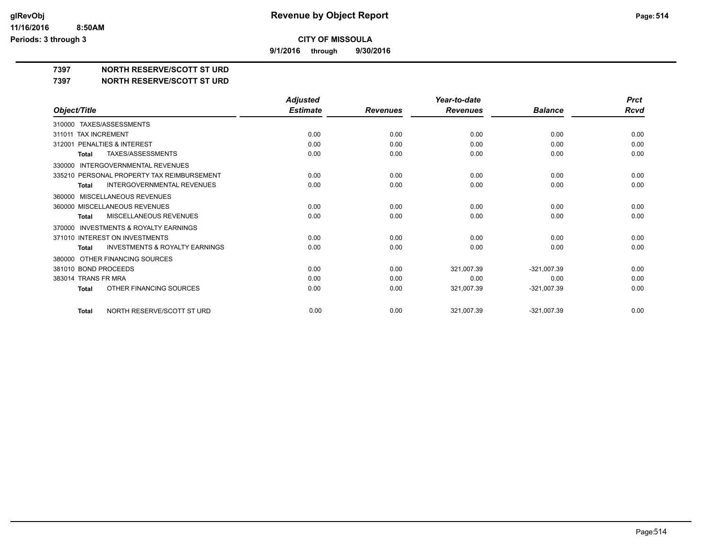**9/1/2016 through 9/30/2016**

**7397 NORTH RESERVE/SCOTT ST URD**

**7397 NORTH RESERVE/SCOTT ST URD**

|                                                           | <b>Adjusted</b> |                 | Year-to-date    |                | <b>Prct</b> |
|-----------------------------------------------------------|-----------------|-----------------|-----------------|----------------|-------------|
| Object/Title                                              | <b>Estimate</b> | <b>Revenues</b> | <b>Revenues</b> | <b>Balance</b> | <b>Rcvd</b> |
| TAXES/ASSESSMENTS<br>310000                               |                 |                 |                 |                |             |
| 311011 TAX INCREMENT                                      | 0.00            | 0.00            | 0.00            | 0.00           | 0.00        |
| PENALTIES & INTEREST<br>312001                            | 0.00            | 0.00            | 0.00            | 0.00           | 0.00        |
| TAXES/ASSESSMENTS<br>Total                                | 0.00            | 0.00            | 0.00            | 0.00           | 0.00        |
| <b>INTERGOVERNMENTAL REVENUES</b><br>330000               |                 |                 |                 |                |             |
| 335210 PERSONAL PROPERTY TAX REIMBURSEMENT                | 0.00            | 0.00            | 0.00            | 0.00           | 0.00        |
| <b>INTERGOVERNMENTAL REVENUES</b><br><b>Total</b>         | 0.00            | 0.00            | 0.00            | 0.00           | 0.00        |
| MISCELLANEOUS REVENUES<br>360000                          |                 |                 |                 |                |             |
| 360000 MISCELLANEOUS REVENUES                             | 0.00            | 0.00            | 0.00            | 0.00           | 0.00        |
| <b>MISCELLANEOUS REVENUES</b><br><b>Total</b>             | 0.00            | 0.00            | 0.00            | 0.00           | 0.00        |
| <b>INVESTMENTS &amp; ROYALTY EARNINGS</b><br>370000       |                 |                 |                 |                |             |
| 371010 INTEREST ON INVESTMENTS                            | 0.00            | 0.00            | 0.00            | 0.00           | 0.00        |
| <b>INVESTMENTS &amp; ROYALTY EARNINGS</b><br><b>Total</b> | 0.00            | 0.00            | 0.00            | 0.00           | 0.00        |
| OTHER FINANCING SOURCES<br>380000                         |                 |                 |                 |                |             |
| 381010 BOND PROCEEDS                                      | 0.00            | 0.00            | 321,007.39      | $-321,007.39$  | 0.00        |
| 383014 TRANS FR MRA                                       | 0.00            | 0.00            | 0.00            | 0.00           | 0.00        |
| OTHER FINANCING SOURCES<br><b>Total</b>                   | 0.00            | 0.00            | 321,007.39      | $-321,007.39$  | 0.00        |
| NORTH RESERVE/SCOTT ST URD<br><b>Total</b>                | 0.00            | 0.00            | 321,007.39      | $-321,007.39$  | 0.00        |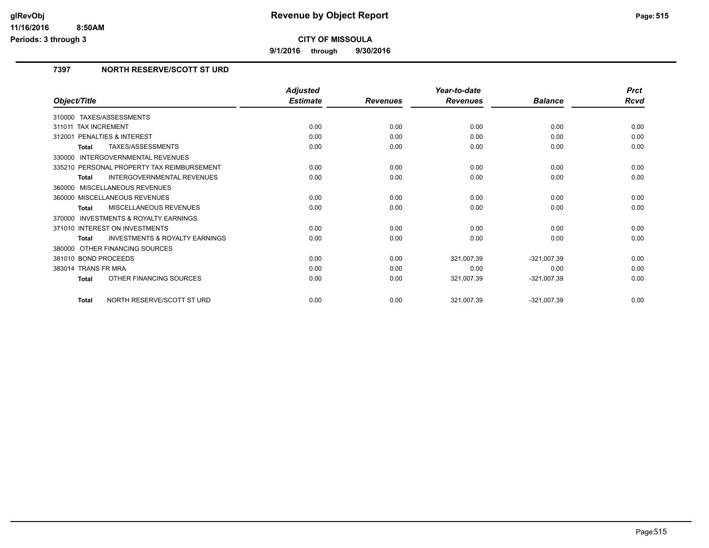**8:50AM**

**CITY OF MISSOULA**

**9/1/2016 through 9/30/2016**

### **7397 NORTH RESERVE/SCOTT ST URD**

|                                                           | <b>Adjusted</b> |                 | Year-to-date    |                | <b>Prct</b> |
|-----------------------------------------------------------|-----------------|-----------------|-----------------|----------------|-------------|
| Object/Title                                              | <b>Estimate</b> | <b>Revenues</b> | <b>Revenues</b> | <b>Balance</b> | Rcvd        |
| 310000 TAXES/ASSESSMENTS                                  |                 |                 |                 |                |             |
| 311011 TAX INCREMENT                                      | 0.00            | 0.00            | 0.00            | 0.00           | 0.00        |
| PENALTIES & INTEREST<br>312001                            | 0.00            | 0.00            | 0.00            | 0.00           | 0.00        |
| TAXES/ASSESSMENTS<br><b>Total</b>                         | 0.00            | 0.00            | 0.00            | 0.00           | 0.00        |
| INTERGOVERNMENTAL REVENUES<br>330000                      |                 |                 |                 |                |             |
| 335210 PERSONAL PROPERTY TAX REIMBURSEMENT                | 0.00            | 0.00            | 0.00            | 0.00           | 0.00        |
| <b>INTERGOVERNMENTAL REVENUES</b><br><b>Total</b>         | 0.00            | 0.00            | 0.00            | 0.00           | 0.00        |
| 360000 MISCELLANEOUS REVENUES                             |                 |                 |                 |                |             |
| 360000 MISCELLANEOUS REVENUES                             | 0.00            | 0.00            | 0.00            | 0.00           | 0.00        |
| <b>MISCELLANEOUS REVENUES</b><br><b>Total</b>             | 0.00            | 0.00            | 0.00            | 0.00           | 0.00        |
| 370000 INVESTMENTS & ROYALTY EARNINGS                     |                 |                 |                 |                |             |
| 371010 INTEREST ON INVESTMENTS                            | 0.00            | 0.00            | 0.00            | 0.00           | 0.00        |
| <b>INVESTMENTS &amp; ROYALTY EARNINGS</b><br><b>Total</b> | 0.00            | 0.00            | 0.00            | 0.00           | 0.00        |
| 380000 OTHER FINANCING SOURCES                            |                 |                 |                 |                |             |
| 381010 BOND PROCEEDS                                      | 0.00            | 0.00            | 321,007.39      | $-321,007.39$  | 0.00        |
| 383014 TRANS FR MRA                                       | 0.00            | 0.00            | 0.00            | 0.00           | 0.00        |
| OTHER FINANCING SOURCES<br><b>Total</b>                   | 0.00            | 0.00            | 321,007.39      | $-321,007.39$  | 0.00        |
| NORTH RESERVE/SCOTT ST URD<br><b>Total</b>                | 0.00            | 0.00            | 321,007.39      | $-321,007.39$  | 0.00        |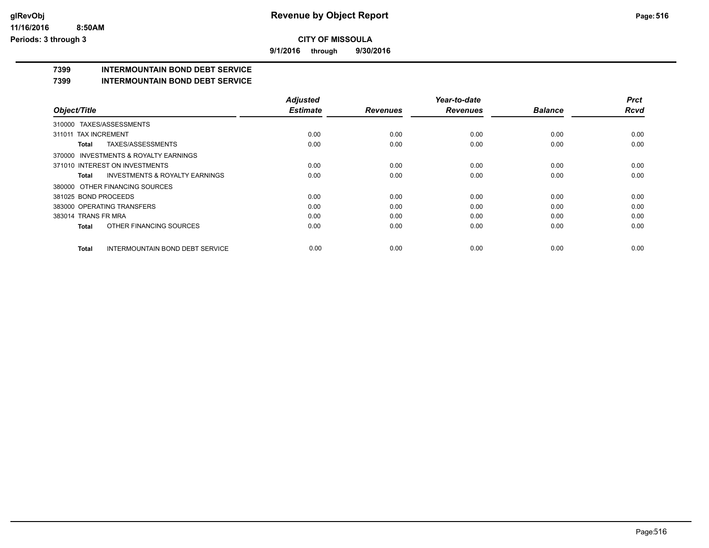**glRevObj Revenue by Object Report Page:516** 

**11/16/2016 8:50AM Periods: 3 through 3**

**CITY OF MISSOULA**

**9/1/2016 through 9/30/2016**

# **7399 INTERMOUNTAIN BOND DEBT SERVICE**

### **7399 INTERMOUNTAIN BOND DEBT SERVICE**

|                                |                                           | <b>Adjusted</b> |                 | Year-to-date    |                | <b>Prct</b> |
|--------------------------------|-------------------------------------------|-----------------|-----------------|-----------------|----------------|-------------|
| Object/Title                   |                                           | <b>Estimate</b> | <b>Revenues</b> | <b>Revenues</b> | <b>Balance</b> | <b>Rcvd</b> |
| TAXES/ASSESSMENTS<br>310000    |                                           |                 |                 |                 |                |             |
| 311011 TAX INCREMENT           |                                           | 0.00            | 0.00            | 0.00            | 0.00           | 0.00        |
| <b>Total</b>                   | TAXES/ASSESSMENTS                         | 0.00            | 0.00            | 0.00            | 0.00           | 0.00        |
|                                | 370000 INVESTMENTS & ROYALTY EARNINGS     |                 |                 |                 |                |             |
| 371010 INTEREST ON INVESTMENTS |                                           | 0.00            | 0.00            | 0.00            | 0.00           | 0.00        |
| Total                          | <b>INVESTMENTS &amp; ROYALTY EARNINGS</b> | 0.00            | 0.00            | 0.00            | 0.00           | 0.00        |
| 380000 OTHER FINANCING SOURCES |                                           |                 |                 |                 |                |             |
| 381025 BOND PROCEEDS           |                                           | 0.00            | 0.00            | 0.00            | 0.00           | 0.00        |
| 383000 OPERATING TRANSFERS     |                                           | 0.00            | 0.00            | 0.00            | 0.00           | 0.00        |
| 383014 TRANS FR MRA            |                                           | 0.00            | 0.00            | 0.00            | 0.00           | 0.00        |
| Total                          | OTHER FINANCING SOURCES                   | 0.00            | 0.00            | 0.00            | 0.00           | 0.00        |
| <b>Total</b>                   | <b>INTERMOUNTAIN BOND DEBT SERVICE</b>    | 0.00            | 0.00            | 0.00            | 0.00           | 0.00        |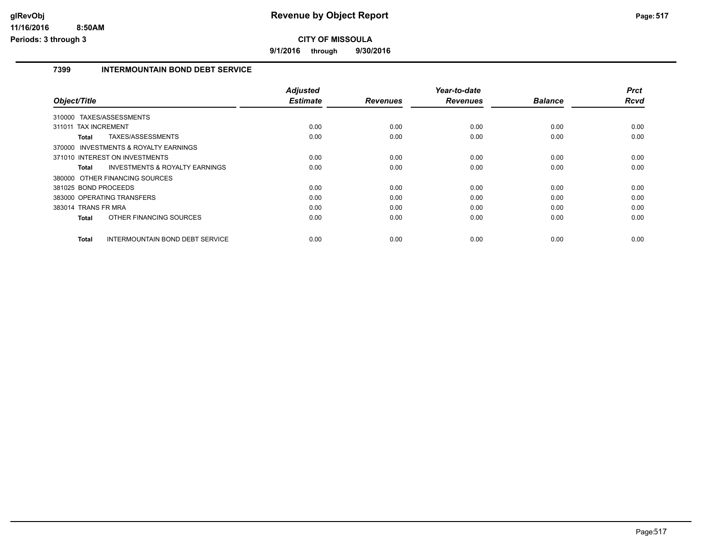**8:50AM**

**CITY OF MISSOULA**

**9/1/2016 through 9/30/2016**

### **7399 INTERMOUNTAIN BOND DEBT SERVICE**

| Object/Title                                       | <b>Adjusted</b><br><b>Estimate</b> | <b>Revenues</b> | Year-to-date<br><b>Revenues</b> | <b>Balance</b> | <b>Prct</b><br><b>Rcvd</b> |
|----------------------------------------------------|------------------------------------|-----------------|---------------------------------|----------------|----------------------------|
|                                                    |                                    |                 |                                 |                |                            |
| 310000 TAXES/ASSESSMENTS                           |                                    |                 |                                 |                |                            |
| 311011 TAX INCREMENT                               | 0.00                               | 0.00            | 0.00                            | 0.00           | 0.00                       |
| TAXES/ASSESSMENTS<br><b>Total</b>                  | 0.00                               | 0.00            | 0.00                            | 0.00           | 0.00                       |
| 370000 INVESTMENTS & ROYALTY EARNINGS              |                                    |                 |                                 |                |                            |
| 371010 INTEREST ON INVESTMENTS                     | 0.00                               | 0.00            | 0.00                            | 0.00           | 0.00                       |
| <b>INVESTMENTS &amp; ROYALTY EARNINGS</b><br>Total | 0.00                               | 0.00            | 0.00                            | 0.00           | 0.00                       |
| 380000 OTHER FINANCING SOURCES                     |                                    |                 |                                 |                |                            |
| 381025 BOND PROCEEDS                               | 0.00                               | 0.00            | 0.00                            | 0.00           | 0.00                       |
| 383000 OPERATING TRANSFERS                         | 0.00                               | 0.00            | 0.00                            | 0.00           | 0.00                       |
| 383014 TRANS FR MRA                                | 0.00                               | 0.00            | 0.00                            | 0.00           | 0.00                       |
| OTHER FINANCING SOURCES<br><b>Total</b>            | 0.00                               | 0.00            | 0.00                            | 0.00           | 0.00                       |
| INTERMOUNTAIN BOND DEBT SERVICE<br><b>Total</b>    | 0.00                               | 0.00            | 0.00                            | 0.00           | 0.00                       |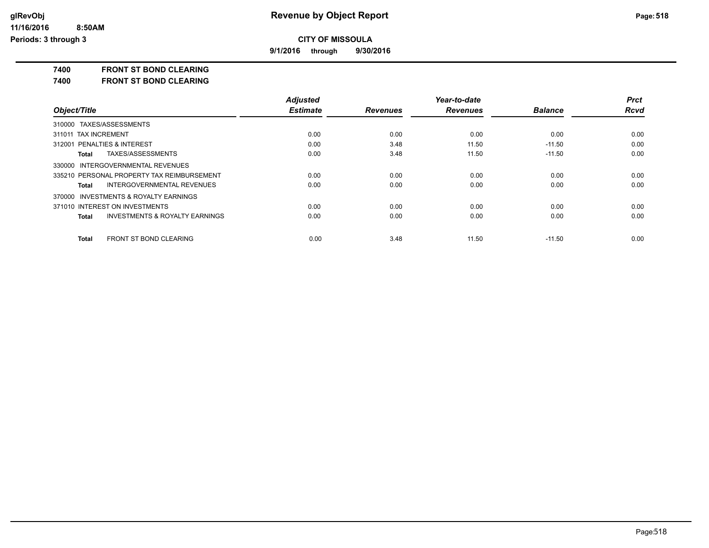**9/1/2016 through 9/30/2016**

**7400 FRONT ST BOND CLEARING**

**7400 FRONT ST BOND CLEARING**

|                                                    | <b>Adjusted</b> |                 | Year-to-date    |                | <b>Prct</b> |
|----------------------------------------------------|-----------------|-----------------|-----------------|----------------|-------------|
| Object/Title                                       | <b>Estimate</b> | <b>Revenues</b> | <b>Revenues</b> | <b>Balance</b> | <b>Rcvd</b> |
| 310000 TAXES/ASSESSMENTS                           |                 |                 |                 |                |             |
| 311011 TAX INCREMENT                               | 0.00            | 0.00            | 0.00            | 0.00           | 0.00        |
| 312001 PENALTIES & INTEREST                        | 0.00            | 3.48            | 11.50           | $-11.50$       | 0.00        |
| TAXES/ASSESSMENTS<br>Total                         | 0.00            | 3.48            | 11.50           | $-11.50$       | 0.00        |
| 330000 INTERGOVERNMENTAL REVENUES                  |                 |                 |                 |                |             |
| 335210 PERSONAL PROPERTY TAX REIMBURSEMENT         | 0.00            | 0.00            | 0.00            | 0.00           | 0.00        |
| <b>INTERGOVERNMENTAL REVENUES</b><br>Total         | 0.00            | 0.00            | 0.00            | 0.00           | 0.00        |
| 370000 INVESTMENTS & ROYALTY EARNINGS              |                 |                 |                 |                |             |
| 371010 INTEREST ON INVESTMENTS                     | 0.00            | 0.00            | 0.00            | 0.00           | 0.00        |
| <b>INVESTMENTS &amp; ROYALTY EARNINGS</b><br>Total | 0.00            | 0.00            | 0.00            | 0.00           | 0.00        |
| <b>FRONT ST BOND CLEARING</b><br>Total             | 0.00            | 3.48            | 11.50           | $-11.50$       | 0.00        |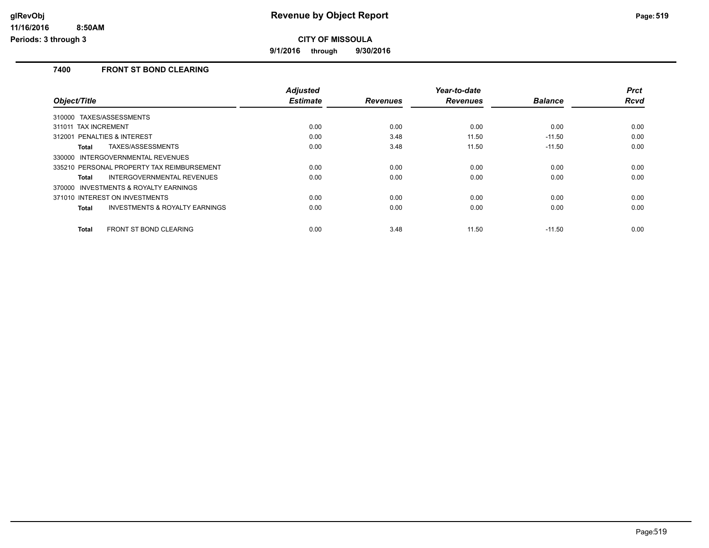**CITY OF MISSOULA**

**9/1/2016 through 9/30/2016**

#### **7400 FRONT ST BOND CLEARING**

|                                                    | <b>Adjusted</b> |                 | Year-to-date    |                | <b>Prct</b> |
|----------------------------------------------------|-----------------|-----------------|-----------------|----------------|-------------|
| Object/Title                                       | <b>Estimate</b> | <b>Revenues</b> | <b>Revenues</b> | <b>Balance</b> | <b>Rcvd</b> |
| 310000 TAXES/ASSESSMENTS                           |                 |                 |                 |                |             |
| 311011 TAX INCREMENT                               | 0.00            | 0.00            | 0.00            | 0.00           | 0.00        |
| PENALTIES & INTEREST<br>312001                     | 0.00            | 3.48            | 11.50           | $-11.50$       | 0.00        |
| TAXES/ASSESSMENTS<br>Total                         | 0.00            | 3.48            | 11.50           | $-11.50$       | 0.00        |
| 330000 INTERGOVERNMENTAL REVENUES                  |                 |                 |                 |                |             |
| 335210 PERSONAL PROPERTY TAX REIMBURSEMENT         | 0.00            | 0.00            | 0.00            | 0.00           | 0.00        |
| INTERGOVERNMENTAL REVENUES<br>Total                | 0.00            | 0.00            | 0.00            | 0.00           | 0.00        |
| 370000 INVESTMENTS & ROYALTY EARNINGS              |                 |                 |                 |                |             |
| 371010 INTEREST ON INVESTMENTS                     | 0.00            | 0.00            | 0.00            | 0.00           | 0.00        |
| <b>INVESTMENTS &amp; ROYALTY EARNINGS</b><br>Total | 0.00            | 0.00            | 0.00            | 0.00           | 0.00        |
| FRONT ST BOND CLEARING<br><b>Total</b>             | 0.00            | 3.48            | 11.50           | $-11.50$       | 0.00        |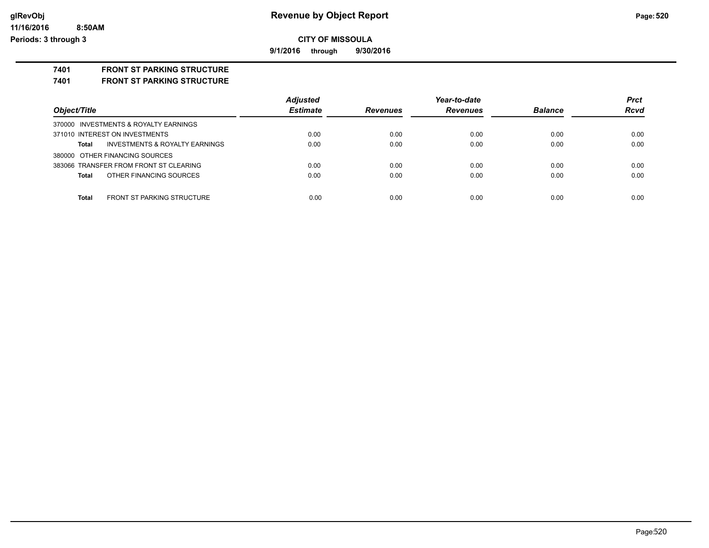**9/1/2016 through 9/30/2016**

# **7401 FRONT ST PARKING STRUCTURE**

**7401 FRONT ST PARKING STRUCTURE**

|                                                           | <b>Adjusted</b> |                 | Year-to-date    |                | <b>Prct</b> |
|-----------------------------------------------------------|-----------------|-----------------|-----------------|----------------|-------------|
| Object/Title                                              | <b>Estimate</b> | <b>Revenues</b> | <b>Revenues</b> | <b>Balance</b> | <b>Rcvd</b> |
| 370000 INVESTMENTS & ROYALTY EARNINGS                     |                 |                 |                 |                |             |
| 371010 INTEREST ON INVESTMENTS                            | 0.00            | 0.00            | 0.00            | 0.00           | 0.00        |
| <b>INVESTMENTS &amp; ROYALTY EARNINGS</b><br><b>Total</b> | 0.00            | 0.00            | 0.00            | 0.00           | 0.00        |
| 380000 OTHER FINANCING SOURCES                            |                 |                 |                 |                |             |
| 383066 TRANSFER FROM FRONT ST CLEARING                    | 0.00            | 0.00            | 0.00            | 0.00           | 0.00        |
| OTHER FINANCING SOURCES<br><b>Total</b>                   | 0.00            | 0.00            | 0.00            | 0.00           | 0.00        |
|                                                           |                 |                 |                 |                |             |
| <b>FRONT ST PARKING STRUCTURE</b><br><b>Total</b>         | 0.00            | 0.00            | 0.00            | 0.00           | 0.00        |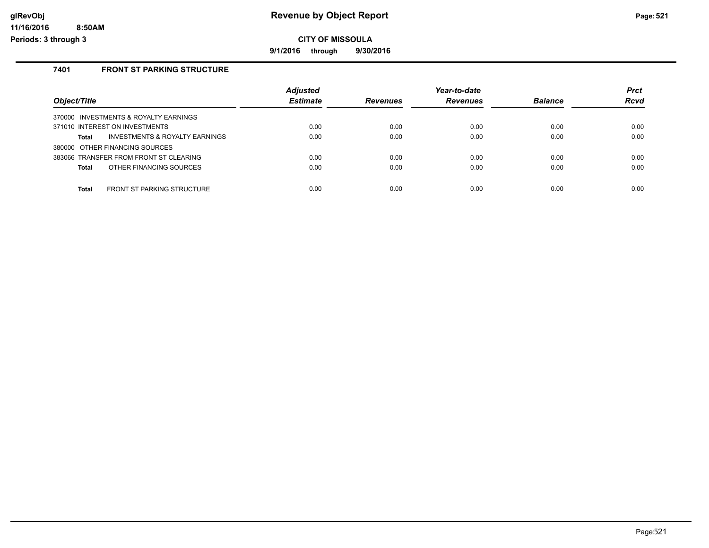**8:50AM**

**CITY OF MISSOULA**

**9/1/2016 through 9/30/2016**

### **7401 FRONT ST PARKING STRUCTURE**

| Object/Title                                      | <b>Adjusted</b><br><b>Estimate</b> | <b>Revenues</b> | Year-to-date<br><b>Revenues</b> | <b>Balance</b> | <b>Prct</b><br><b>Rcvd</b> |
|---------------------------------------------------|------------------------------------|-----------------|---------------------------------|----------------|----------------------------|
| 370000 INVESTMENTS & ROYALTY EARNINGS             |                                    |                 |                                 |                |                            |
| 371010 INTEREST ON INVESTMENTS                    | 0.00                               | 0.00            | 0.00                            | 0.00           | 0.00                       |
| INVESTMENTS & ROYALTY EARNINGS<br>Total           | 0.00                               | 0.00            | 0.00                            | 0.00           | 0.00                       |
| 380000 OTHER FINANCING SOURCES                    |                                    |                 |                                 |                |                            |
| 383066 TRANSFER FROM FRONT ST CLEARING            | 0.00                               | 0.00            | 0.00                            | 0.00           | 0.00                       |
| OTHER FINANCING SOURCES<br><b>Total</b>           | 0.00                               | 0.00            | 0.00                            | 0.00           | 0.00                       |
|                                                   |                                    |                 |                                 |                |                            |
| <b>FRONT ST PARKING STRUCTURE</b><br><b>Total</b> | 0.00                               | 0.00            | 0.00                            | 0.00           | 0.00                       |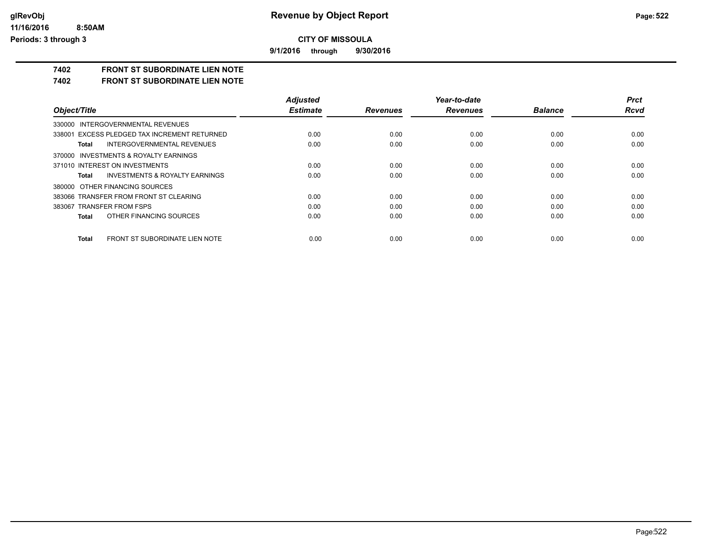**9/1/2016 through 9/30/2016**

# **7402 FRONT ST SUBORDINATE LIEN NOTE**

**7402 FRONT ST SUBORDINATE LIEN NOTE**

|                                                    | <b>Adjusted</b> |                 | Year-to-date    |                | <b>Prct</b> |
|----------------------------------------------------|-----------------|-----------------|-----------------|----------------|-------------|
| Object/Title                                       | <b>Estimate</b> | <b>Revenues</b> | <b>Revenues</b> | <b>Balance</b> | <b>Rcvd</b> |
| 330000 INTERGOVERNMENTAL REVENUES                  |                 |                 |                 |                |             |
| 338001 EXCESS PLEDGED TAX INCREMENT RETURNED       | 0.00            | 0.00            | 0.00            | 0.00           | 0.00        |
| INTERGOVERNMENTAL REVENUES<br>Total                | 0.00            | 0.00            | 0.00            | 0.00           | 0.00        |
| 370000 INVESTMENTS & ROYALTY EARNINGS              |                 |                 |                 |                |             |
| 371010 INTEREST ON INVESTMENTS                     | 0.00            | 0.00            | 0.00            | 0.00           | 0.00        |
| <b>INVESTMENTS &amp; ROYALTY EARNINGS</b><br>Total | 0.00            | 0.00            | 0.00            | 0.00           | 0.00        |
| 380000 OTHER FINANCING SOURCES                     |                 |                 |                 |                |             |
| 383066 TRANSFER FROM FRONT ST CLEARING             | 0.00            | 0.00            | 0.00            | 0.00           | 0.00        |
| 383067 TRANSFER FROM FSPS                          | 0.00            | 0.00            | 0.00            | 0.00           | 0.00        |
| OTHER FINANCING SOURCES<br>Total                   | 0.00            | 0.00            | 0.00            | 0.00           | 0.00        |
| FRONT ST SUBORDINATE LIEN NOTE<br>Total            | 0.00            | 0.00            | 0.00            | 0.00           | 0.00        |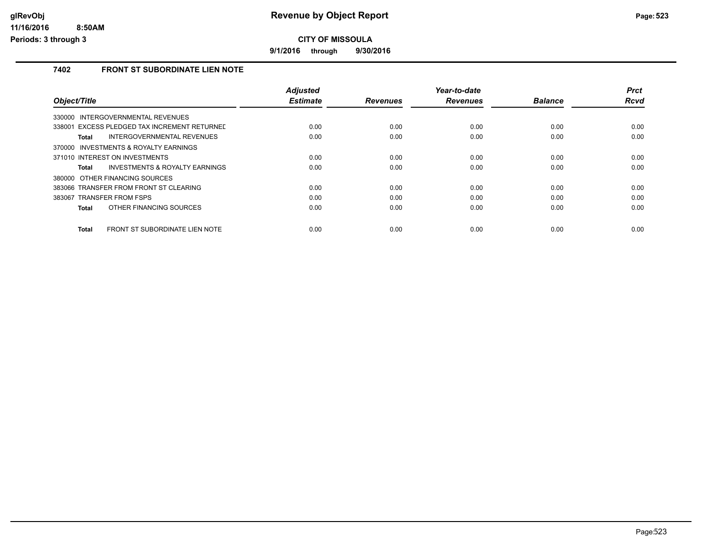**9/1/2016 through 9/30/2016**

### **7402 FRONT ST SUBORDINATE LIEN NOTE**

| Object/Title                                   | <b>Adjusted</b><br><b>Estimate</b> | <b>Revenues</b> | Year-to-date<br><b>Revenues</b> | <b>Balance</b> | <b>Prct</b><br><b>Rcvd</b> |
|------------------------------------------------|------------------------------------|-----------------|---------------------------------|----------------|----------------------------|
|                                                |                                    |                 |                                 |                |                            |
| INTERGOVERNMENTAL REVENUES<br>330000           |                                    |                 |                                 |                |                            |
| 338001 EXCESS PLEDGED TAX INCREMENT RETURNED   | 0.00                               | 0.00            | 0.00                            | 0.00           | 0.00                       |
| INTERGOVERNMENTAL REVENUES<br>Total            | 0.00                               | 0.00            | 0.00                            | 0.00           | 0.00                       |
| 370000 INVESTMENTS & ROYALTY EARNINGS          |                                    |                 |                                 |                |                            |
| 371010 INTEREST ON INVESTMENTS                 | 0.00                               | 0.00            | 0.00                            | 0.00           | 0.00                       |
| INVESTMENTS & ROYALTY EARNINGS<br>Total        | 0.00                               | 0.00            | 0.00                            | 0.00           | 0.00                       |
| 380000 OTHER FINANCING SOURCES                 |                                    |                 |                                 |                |                            |
| 383066 TRANSFER FROM FRONT ST CLEARING         | 0.00                               | 0.00            | 0.00                            | 0.00           | 0.00                       |
| 383067 TRANSFER FROM FSPS                      | 0.00                               | 0.00            | 0.00                            | 0.00           | 0.00                       |
| OTHER FINANCING SOURCES<br>Total               | 0.00                               | 0.00            | 0.00                            | 0.00           | 0.00                       |
|                                                |                                    |                 |                                 |                |                            |
| FRONT ST SUBORDINATE LIEN NOTE<br><b>Total</b> | 0.00                               | 0.00            | 0.00                            | 0.00           | 0.00                       |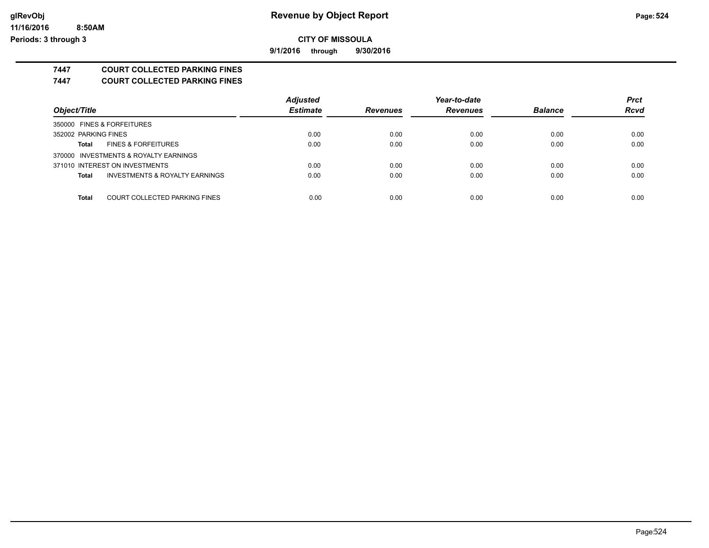**9/1/2016 through 9/30/2016**

# **7447 COURT COLLECTED PARKING FINES**

**7447 COURT COLLECTED PARKING FINES**

|                                         | <b>Adjusted</b> |                 | Year-to-date    |                | <b>Prct</b> |
|-----------------------------------------|-----------------|-----------------|-----------------|----------------|-------------|
| Object/Title                            | <b>Estimate</b> | <b>Revenues</b> | <b>Revenues</b> | <b>Balance</b> | <b>Rcvd</b> |
| 350000 FINES & FORFEITURES              |                 |                 |                 |                |             |
| 352002 PARKING FINES                    | 0.00            | 0.00            | 0.00            | 0.00           | 0.00        |
| <b>FINES &amp; FORFEITURES</b><br>Total | 0.00            | 0.00            | 0.00            | 0.00           | 0.00        |
| 370000 INVESTMENTS & ROYALTY EARNINGS   |                 |                 |                 |                |             |
| 371010 INTEREST ON INVESTMENTS          | 0.00            | 0.00            | 0.00            | 0.00           | 0.00        |
| INVESTMENTS & ROYALTY EARNINGS<br>Total | 0.00            | 0.00            | 0.00            | 0.00           | 0.00        |
|                                         |                 |                 |                 |                |             |
| COURT COLLECTED PARKING FINES<br>Total  | 0.00            | 0.00            | 0.00            | 0.00           | 0.00        |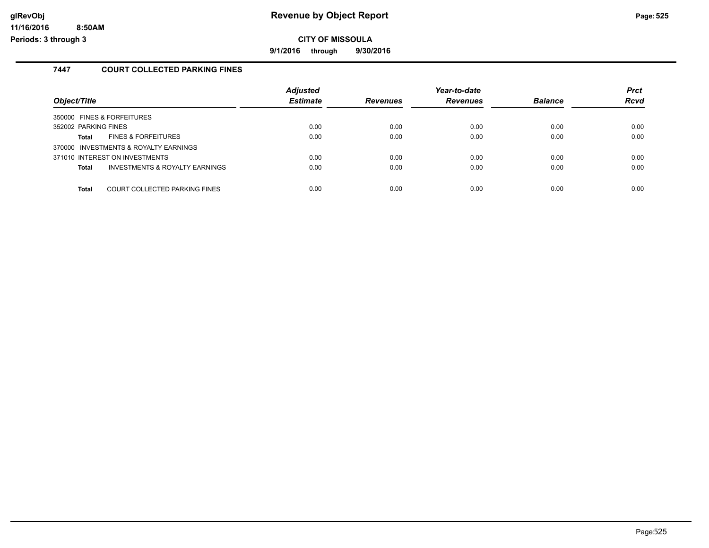**8:50AM**

**CITY OF MISSOULA**

**9/1/2016 through 9/30/2016**

#### **7447 COURT COLLECTED PARKING FINES**

| Object/Title                                         | <b>Adjusted</b><br><b>Estimate</b> | <b>Revenues</b> | Year-to-date<br><b>Revenues</b> | <b>Balance</b> | <b>Prct</b><br><b>Rcvd</b> |
|------------------------------------------------------|------------------------------------|-----------------|---------------------------------|----------------|----------------------------|
| 350000 FINES & FORFEITURES                           |                                    |                 |                                 |                |                            |
| 352002 PARKING FINES                                 | 0.00                               | 0.00            | 0.00                            | 0.00           | 0.00                       |
| <b>FINES &amp; FORFEITURES</b><br>Total              | 0.00                               | 0.00            | 0.00                            | 0.00           | 0.00                       |
| 370000 INVESTMENTS & ROYALTY EARNINGS                |                                    |                 |                                 |                |                            |
| 371010 INTEREST ON INVESTMENTS                       | 0.00                               | 0.00            | 0.00                            | 0.00           | 0.00                       |
| INVESTMENTS & ROYALTY EARNINGS<br><b>Total</b>       | 0.00                               | 0.00            | 0.00                            | 0.00           | 0.00                       |
|                                                      |                                    |                 |                                 |                |                            |
| <b>COURT COLLECTED PARKING FINES</b><br><b>Total</b> | 0.00                               | 0.00            | 0.00                            | 0.00           | 0.00                       |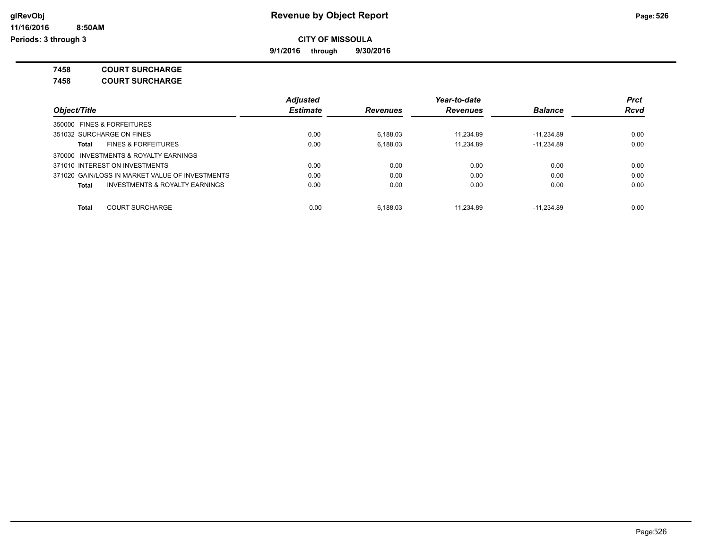**9/1/2016 through 9/30/2016**

**7458 COURT SURCHARGE**

**7458 COURT SURCHARGE**

|                                                           | <b>Adjusted</b> |                 | Year-to-date    |                | <b>Prct</b> |
|-----------------------------------------------------------|-----------------|-----------------|-----------------|----------------|-------------|
| Object/Title                                              | <b>Estimate</b> | <b>Revenues</b> | <b>Revenues</b> | <b>Balance</b> | Rcvd        |
| 350000 FINES & FORFEITURES                                |                 |                 |                 |                |             |
| 351032 SURCHARGE ON FINES                                 | 0.00            | 6.188.03        | 11.234.89       | $-11.234.89$   | 0.00        |
| <b>FINES &amp; FORFEITURES</b><br>Total                   | 0.00            | 6.188.03        | 11.234.89       | $-11.234.89$   | 0.00        |
| 370000 INVESTMENTS & ROYALTY EARNINGS                     |                 |                 |                 |                |             |
| 371010 INTEREST ON INVESTMENTS                            | 0.00            | 0.00            | 0.00            | 0.00           | 0.00        |
| 371020 GAIN/LOSS IN MARKET VALUE OF INVESTMENTS           | 0.00            | 0.00            | 0.00            | 0.00           | 0.00        |
| <b>INVESTMENTS &amp; ROYALTY EARNINGS</b><br><b>Total</b> | 0.00            | 0.00            | 0.00            | 0.00           | 0.00        |
| <b>COURT SURCHARGE</b><br><b>Total</b>                    | 0.00            | 6.188.03        | 11.234.89       | $-11.234.89$   | 0.00        |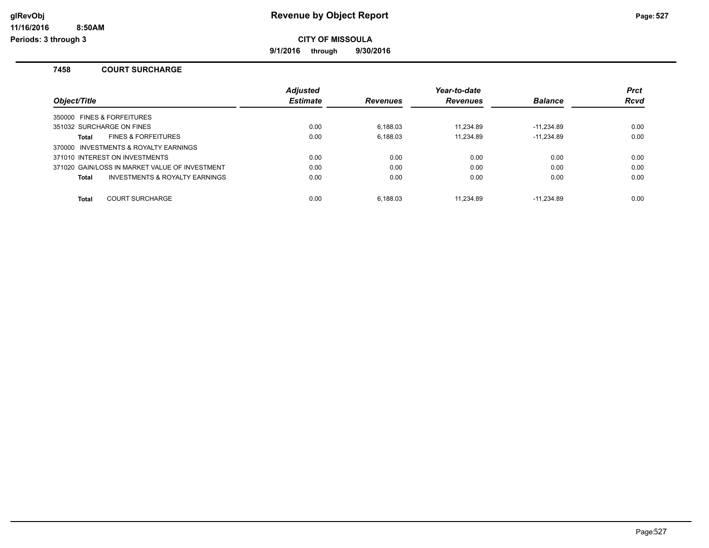**CITY OF MISSOULA**

**9/1/2016 through 9/30/2016**

#### **7458 COURT SURCHARGE**

| Object/Title                                   | <b>Adjusted</b><br><b>Estimate</b> | <b>Revenues</b> | Year-to-date<br><b>Revenues</b> | <b>Balance</b> | <b>Prct</b><br><b>Rcvd</b> |
|------------------------------------------------|------------------------------------|-----------------|---------------------------------|----------------|----------------------------|
| 350000 FINES & FORFEITURES                     |                                    |                 |                                 |                |                            |
| 351032 SURCHARGE ON FINES                      | 0.00                               | 6.188.03        | 11.234.89                       | $-11.234.89$   | 0.00                       |
| <b>FINES &amp; FORFEITURES</b><br>Total        | 0.00                               | 6.188.03        | 11.234.89                       | $-11.234.89$   | 0.00                       |
| 370000 INVESTMENTS & ROYALTY EARNINGS          |                                    |                 |                                 |                |                            |
| 371010 INTEREST ON INVESTMENTS                 | 0.00                               | 0.00            | 0.00                            | 0.00           | 0.00                       |
| 371020 GAIN/LOSS IN MARKET VALUE OF INVESTMENT | 0.00                               | 0.00            | 0.00                            | 0.00           | 0.00                       |
| INVESTMENTS & ROYALTY EARNINGS<br><b>Total</b> | 0.00                               | 0.00            | 0.00                            | 0.00           | 0.00                       |
| <b>COURT SURCHARGE</b><br><b>Total</b>         | 0.00                               | 6.188.03        | 11.234.89                       | $-11.234.89$   | 0.00                       |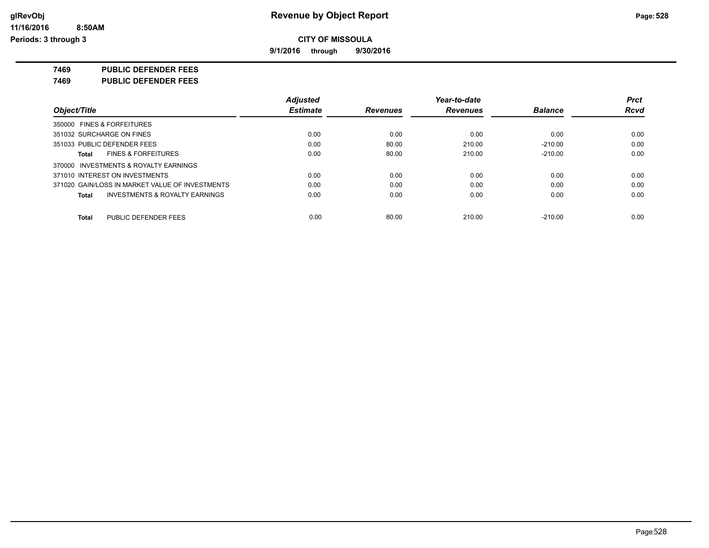**9/1/2016 through 9/30/2016**

**7469 PUBLIC DEFENDER FEES**

**7469 PUBLIC DEFENDER FEES**

|                                                    | <b>Adjusted</b> |                 | Year-to-date    |                | <b>Prct</b> |
|----------------------------------------------------|-----------------|-----------------|-----------------|----------------|-------------|
| Object/Title                                       | <b>Estimate</b> | <b>Revenues</b> | <b>Revenues</b> | <b>Balance</b> | <b>Rcvd</b> |
| 350000 FINES & FORFEITURES                         |                 |                 |                 |                |             |
| 351032 SURCHARGE ON FINES                          | 0.00            | 0.00            | 0.00            | 0.00           | 0.00        |
| 351033 PUBLIC DEFENDER FEES                        | 0.00            | 80.00           | 210.00          | $-210.00$      | 0.00        |
| <b>FINES &amp; FORFEITURES</b><br>Total            | 0.00            | 80.00           | 210.00          | $-210.00$      | 0.00        |
| 370000 INVESTMENTS & ROYALTY EARNINGS              |                 |                 |                 |                |             |
| 371010 INTEREST ON INVESTMENTS                     | 0.00            | 0.00            | 0.00            | 0.00           | 0.00        |
| 371020 GAIN/LOSS IN MARKET VALUE OF INVESTMENTS    | 0.00            | 0.00            | 0.00            | 0.00           | 0.00        |
| <b>INVESTMENTS &amp; ROYALTY EARNINGS</b><br>Total | 0.00            | 0.00            | 0.00            | 0.00           | 0.00        |
| PUBLIC DEFENDER FEES<br>Total                      | 0.00            | 80.00           | 210.00          | $-210.00$      | 0.00        |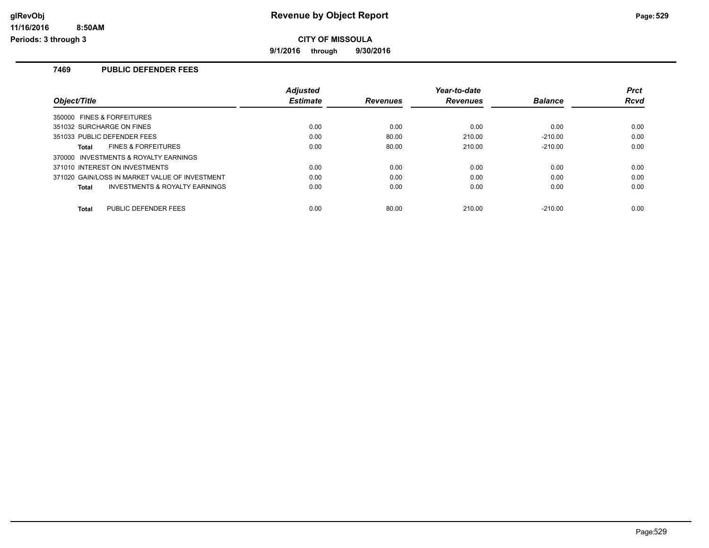**glRevObj Revenue by Object Report Page:529** 

**CITY OF MISSOULA**

**9/1/2016 through 9/30/2016**

#### **7469 PUBLIC DEFENDER FEES**

|                                                | <b>Adjusted</b> |                 | Year-to-date    |                | <b>Prct</b> |
|------------------------------------------------|-----------------|-----------------|-----------------|----------------|-------------|
| Object/Title                                   | <b>Estimate</b> | <b>Revenues</b> | <b>Revenues</b> | <b>Balance</b> | Rcvd        |
| 350000 FINES & FORFEITURES                     |                 |                 |                 |                |             |
| 351032 SURCHARGE ON FINES                      | 0.00            | 0.00            | 0.00            | 0.00           | 0.00        |
| 351033 PUBLIC DEFENDER FEES                    | 0.00            | 80.00           | 210.00          | $-210.00$      | 0.00        |
| <b>FINES &amp; FORFEITURES</b><br><b>Total</b> | 0.00            | 80.00           | 210.00          | $-210.00$      | 0.00        |
| 370000 INVESTMENTS & ROYALTY EARNINGS          |                 |                 |                 |                |             |
| 371010 INTEREST ON INVESTMENTS                 | 0.00            | 0.00            | 0.00            | 0.00           | 0.00        |
| 371020 GAIN/LOSS IN MARKET VALUE OF INVESTMENT | 0.00            | 0.00            | 0.00            | 0.00           | 0.00        |
| INVESTMENTS & ROYALTY EARNINGS<br><b>Total</b> | 0.00            | 0.00            | 0.00            | 0.00           | 0.00        |
| PUBLIC DEFENDER FEES<br><b>Total</b>           | 0.00            | 80.00           | 210.00          | $-210.00$      | 0.00        |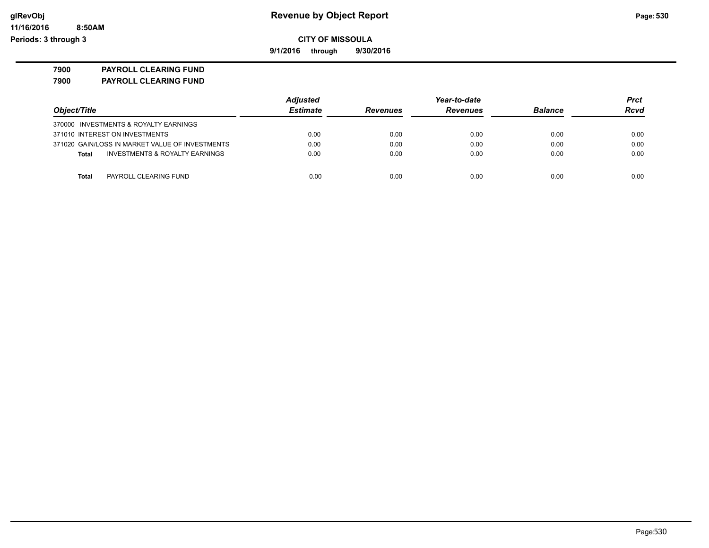**9/1/2016 through 9/30/2016**

**7900 PAYROLL CLEARING FUND**

**7900 PAYROLL CLEARING FUND**

|                                                    | <b>Adjusted</b> |                 | Year-to-date    |                | Prct |
|----------------------------------------------------|-----------------|-----------------|-----------------|----------------|------|
| Object/Title                                       | <b>Estimate</b> | <b>Revenues</b> | <b>Revenues</b> | <b>Balance</b> | Rcvd |
| 370000 INVESTMENTS & ROYALTY EARNINGS              |                 |                 |                 |                |      |
| 371010 INTEREST ON INVESTMENTS                     | 0.00            | 0.00            | 0.00            | 0.00           | 0.00 |
| 371020 GAIN/LOSS IN MARKET VALUE OF INVESTMENTS    | 0.00            | 0.00            | 0.00            | 0.00           | 0.00 |
| <b>INVESTMENTS &amp; ROYALTY EARNINGS</b><br>Total | 0.00            | 0.00            | 0.00            | 0.00           | 0.00 |
| PAYROLL CLEARING FUND<br>Total                     | 0.00            | 0.00            | 0.00            | 0.00           | 0.00 |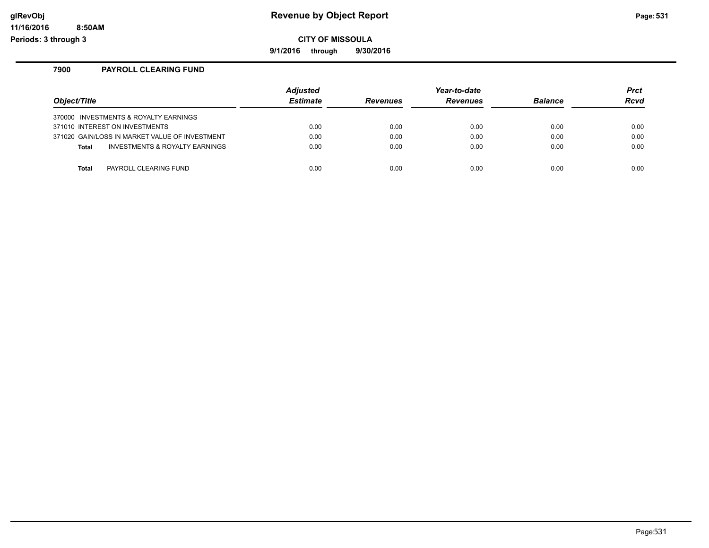**CITY OF MISSOULA**

**9/1/2016 through 9/30/2016**

#### **7900 PAYROLL CLEARING FUND**

| Object/Title                                   | <b>Adjusted</b><br><b>Estimate</b> | <b>Revenues</b> | Year-to-date<br><b>Revenues</b> | <b>Balance</b> | <b>Prct</b><br><b>Rcvd</b> |
|------------------------------------------------|------------------------------------|-----------------|---------------------------------|----------------|----------------------------|
| 370000 INVESTMENTS & ROYALTY EARNINGS          |                                    |                 |                                 |                |                            |
| 371010 INTEREST ON INVESTMENTS                 | 0.00                               | 0.00            | 0.00                            | 0.00           | 0.00                       |
| 371020 GAIN/LOSS IN MARKET VALUE OF INVESTMENT | 0.00                               | 0.00            | 0.00                            | 0.00           | 0.00                       |
| INVESTMENTS & ROYALTY EARNINGS<br><b>Total</b> | 0.00                               | 0.00            | 0.00                            | 0.00           | 0.00                       |
|                                                |                                    |                 |                                 |                |                            |
| PAYROLL CLEARING FUND<br>Total                 | 0.00                               | 0.00            | 0.00                            | 0.00           | 0.00                       |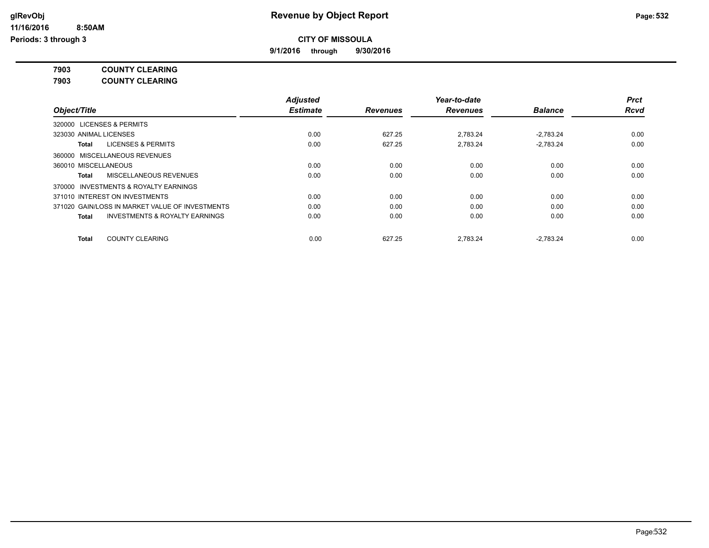**9/1/2016 through 9/30/2016**

**7903 COUNTY CLEARING**

**7903 COUNTY CLEARING**

|                                                    | <b>Adjusted</b> |                 | Year-to-date    |                | <b>Prct</b> |
|----------------------------------------------------|-----------------|-----------------|-----------------|----------------|-------------|
| Object/Title                                       | <b>Estimate</b> | <b>Revenues</b> | <b>Revenues</b> | <b>Balance</b> | <b>Rcvd</b> |
| <b>LICENSES &amp; PERMITS</b><br>320000            |                 |                 |                 |                |             |
| 323030 ANIMAL LICENSES                             | 0.00            | 627.25          | 2.783.24        | $-2.783.24$    | 0.00        |
| <b>LICENSES &amp; PERMITS</b><br>Total             | 0.00            | 627.25          | 2.783.24        | $-2.783.24$    | 0.00        |
| 360000 MISCELLANEOUS REVENUES                      |                 |                 |                 |                |             |
| 360010 MISCELLANEOUS                               | 0.00            | 0.00            | 0.00            | 0.00           | 0.00        |
| MISCELLANEOUS REVENUES<br>Total                    | 0.00            | 0.00            | 0.00            | 0.00           | 0.00        |
| INVESTMENTS & ROYALTY EARNINGS<br>370000           |                 |                 |                 |                |             |
| 371010 INTEREST ON INVESTMENTS                     | 0.00            | 0.00            | 0.00            | 0.00           | 0.00        |
| 371020 GAIN/LOSS IN MARKET VALUE OF INVESTMENTS    | 0.00            | 0.00            | 0.00            | 0.00           | 0.00        |
| <b>INVESTMENTS &amp; ROYALTY EARNINGS</b><br>Total | 0.00            | 0.00            | 0.00            | 0.00           | 0.00        |
| <b>COUNTY CLEARING</b><br><b>Total</b>             | 0.00            | 627.25          | 2.783.24        | $-2.783.24$    | 0.00        |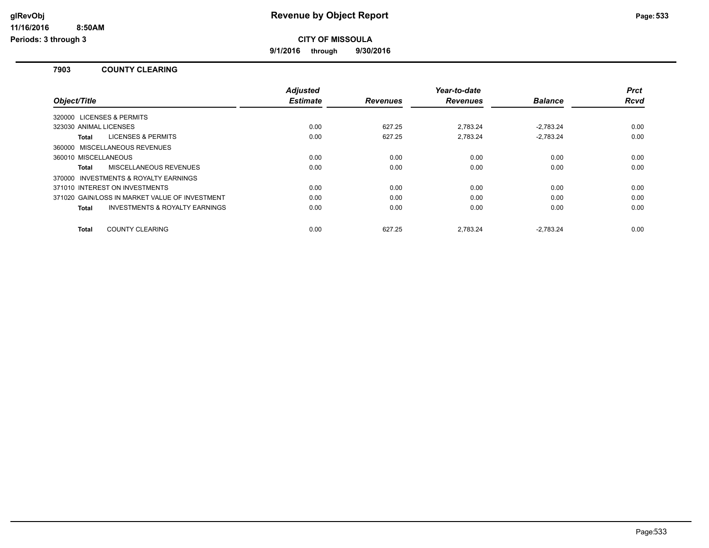**CITY OF MISSOULA**

**9/1/2016 through 9/30/2016**

#### **7903 COUNTY CLEARING**

|                                                           | <b>Adjusted</b> |                 | Year-to-date    |                | <b>Prct</b> |
|-----------------------------------------------------------|-----------------|-----------------|-----------------|----------------|-------------|
| Object/Title                                              | <b>Estimate</b> | <b>Revenues</b> | <b>Revenues</b> | <b>Balance</b> | <b>Rcvd</b> |
| 320000 LICENSES & PERMITS                                 |                 |                 |                 |                |             |
| 323030 ANIMAL LICENSES                                    | 0.00            | 627.25          | 2.783.24        | $-2.783.24$    | 0.00        |
| <b>LICENSES &amp; PERMITS</b><br>Total                    | 0.00            | 627.25          | 2.783.24        | $-2.783.24$    | 0.00        |
| 360000 MISCELLANEOUS REVENUES                             |                 |                 |                 |                |             |
| 360010 MISCELLANEOUS                                      | 0.00            | 0.00            | 0.00            | 0.00           | 0.00        |
| MISCELLANEOUS REVENUES<br>Total                           | 0.00            | 0.00            | 0.00            | 0.00           | 0.00        |
| 370000 INVESTMENTS & ROYALTY EARNINGS                     |                 |                 |                 |                |             |
| 371010 INTEREST ON INVESTMENTS                            | 0.00            | 0.00            | 0.00            | 0.00           | 0.00        |
| 371020 GAIN/LOSS IN MARKET VALUE OF INVESTMENT            | 0.00            | 0.00            | 0.00            | 0.00           | 0.00        |
| <b>INVESTMENTS &amp; ROYALTY EARNINGS</b><br><b>Total</b> | 0.00            | 0.00            | 0.00            | 0.00           | 0.00        |
| <b>COUNTY CLEARING</b><br><b>Total</b>                    | 0.00            | 627.25          | 2.783.24        | $-2.783.24$    | 0.00        |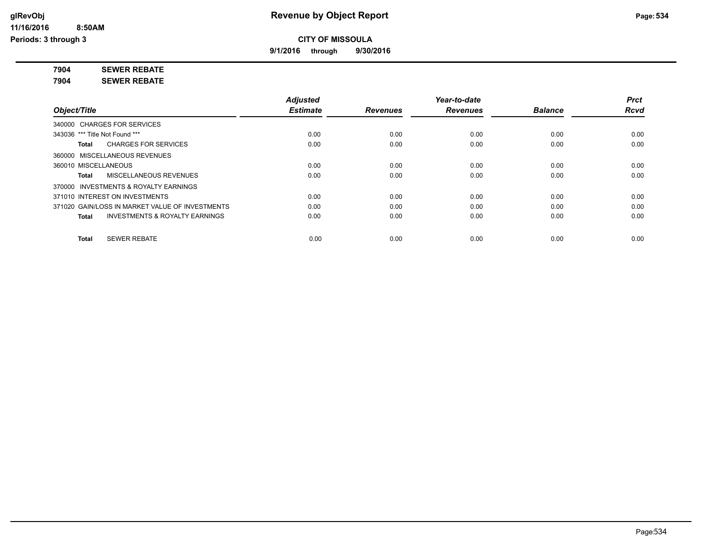**9/1/2016 through 9/30/2016**

**7904 SEWER REBATE**

**7904 SEWER REBATE**

|                                                    | <b>Adjusted</b> |                 | Year-to-date    |                | <b>Prct</b> |
|----------------------------------------------------|-----------------|-----------------|-----------------|----------------|-------------|
| Object/Title                                       | <b>Estimate</b> | <b>Revenues</b> | <b>Revenues</b> | <b>Balance</b> | <b>Rcvd</b> |
| 340000 CHARGES FOR SERVICES                        |                 |                 |                 |                |             |
| 343036 *** Title Not Found ***                     | 0.00            | 0.00            | 0.00            | 0.00           | 0.00        |
| <b>CHARGES FOR SERVICES</b><br>Total               | 0.00            | 0.00            | 0.00            | 0.00           | 0.00        |
| MISCELLANEOUS REVENUES<br>360000                   |                 |                 |                 |                |             |
| 360010 MISCELLANEOUS                               | 0.00            | 0.00            | 0.00            | 0.00           | 0.00        |
| MISCELLANEOUS REVENUES<br>Total                    | 0.00            | 0.00            | 0.00            | 0.00           | 0.00        |
| 370000 INVESTMENTS & ROYALTY EARNINGS              |                 |                 |                 |                |             |
| 371010 INTEREST ON INVESTMENTS                     | 0.00            | 0.00            | 0.00            | 0.00           | 0.00        |
| 371020 GAIN/LOSS IN MARKET VALUE OF INVESTMENTS    | 0.00            | 0.00            | 0.00            | 0.00           | 0.00        |
| <b>INVESTMENTS &amp; ROYALTY EARNINGS</b><br>Total | 0.00            | 0.00            | 0.00            | 0.00           | 0.00        |
| <b>SEWER REBATE</b><br><b>Total</b>                | 0.00            | 0.00            | 0.00            | 0.00           | 0.00        |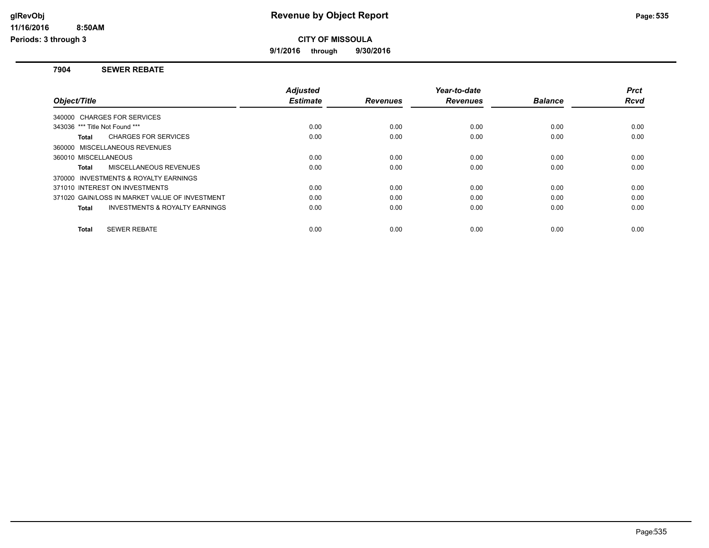**CITY OF MISSOULA**

**9/1/2016 through 9/30/2016**

#### **7904 SEWER REBATE**

|                                                    | <b>Adjusted</b> |                 | Year-to-date    |                | <b>Prct</b> |
|----------------------------------------------------|-----------------|-----------------|-----------------|----------------|-------------|
| Object/Title                                       | <b>Estimate</b> | <b>Revenues</b> | <b>Revenues</b> | <b>Balance</b> | <b>Rcvd</b> |
| 340000 CHARGES FOR SERVICES                        |                 |                 |                 |                |             |
| 343036 *** Title Not Found ***                     | 0.00            | 0.00            | 0.00            | 0.00           | 0.00        |
| <b>CHARGES FOR SERVICES</b><br>Total               | 0.00            | 0.00            | 0.00            | 0.00           | 0.00        |
| 360000 MISCELLANEOUS REVENUES                      |                 |                 |                 |                |             |
| 360010 MISCELLANEOUS                               | 0.00            | 0.00            | 0.00            | 0.00           | 0.00        |
| MISCELLANEOUS REVENUES<br>Total                    | 0.00            | 0.00            | 0.00            | 0.00           | 0.00        |
| 370000 INVESTMENTS & ROYALTY EARNINGS              |                 |                 |                 |                |             |
| 371010 INTEREST ON INVESTMENTS                     | 0.00            | 0.00            | 0.00            | 0.00           | 0.00        |
| 371020 GAIN/LOSS IN MARKET VALUE OF INVESTMENT     | 0.00            | 0.00            | 0.00            | 0.00           | 0.00        |
| <b>INVESTMENTS &amp; ROYALTY EARNINGS</b><br>Total | 0.00            | 0.00            | 0.00            | 0.00           | 0.00        |
|                                                    |                 |                 |                 |                |             |
| <b>SEWER REBATE</b><br><b>Total</b>                | 0.00            | 0.00            | 0.00            | 0.00           | 0.00        |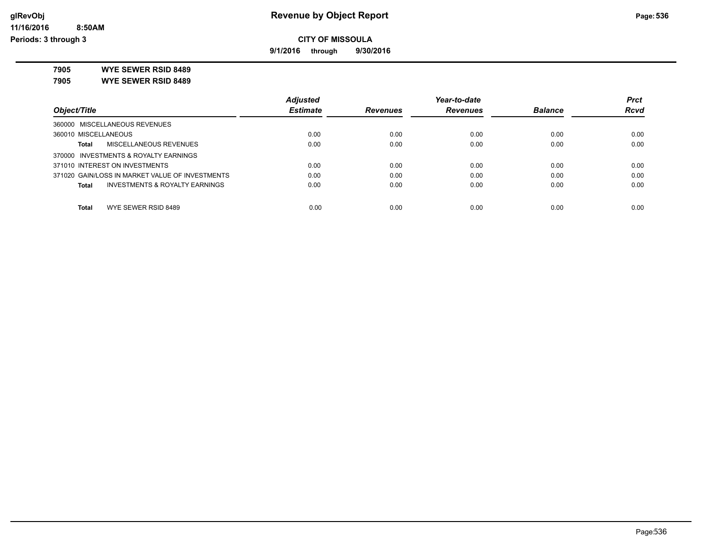**9/1/2016 through 9/30/2016**

**7905 WYE SEWER RSID 8489**

**7905 WYE SEWER RSID 8489**

|                                                 | <b>Adjusted</b> |                 | Year-to-date    |                | <b>Prct</b> |
|-------------------------------------------------|-----------------|-----------------|-----------------|----------------|-------------|
| Object/Title                                    | <b>Estimate</b> | <b>Revenues</b> | <b>Revenues</b> | <b>Balance</b> | <b>Rcvd</b> |
| 360000 MISCELLANEOUS REVENUES                   |                 |                 |                 |                |             |
| 360010 MISCELLANEOUS                            | 0.00            | 0.00            | 0.00            | 0.00           | 0.00        |
| MISCELLANEOUS REVENUES<br>Total                 | 0.00            | 0.00            | 0.00            | 0.00           | 0.00        |
| 370000 INVESTMENTS & ROYALTY EARNINGS           |                 |                 |                 |                |             |
| 371010 INTEREST ON INVESTMENTS                  | 0.00            | 0.00            | 0.00            | 0.00           | 0.00        |
| 371020 GAIN/LOSS IN MARKET VALUE OF INVESTMENTS | 0.00            | 0.00            | 0.00            | 0.00           | 0.00        |
| INVESTMENTS & ROYALTY EARNINGS<br>Total         | 0.00            | 0.00            | 0.00            | 0.00           | 0.00        |
|                                                 |                 |                 |                 |                |             |
| WYE SEWER RSID 8489<br>Total                    | 0.00            | 0.00            | 0.00            | 0.00           | 0.00        |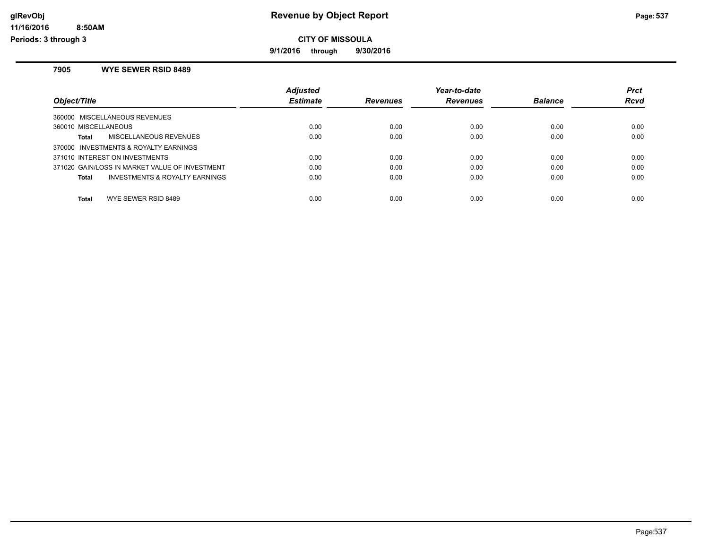**CITY OF MISSOULA**

**9/1/2016 through 9/30/2016**

#### **7905 WYE SEWER RSID 8489**

|                                                | <b>Adjusted</b> |                 | Year-to-date    |                | <b>Prct</b> |
|------------------------------------------------|-----------------|-----------------|-----------------|----------------|-------------|
| Object/Title                                   | <b>Estimate</b> | <b>Revenues</b> | <b>Revenues</b> | <b>Balance</b> | <b>Rcvd</b> |
| 360000 MISCELLANEOUS REVENUES                  |                 |                 |                 |                |             |
| 360010 MISCELLANEOUS                           | 0.00            | 0.00            | 0.00            | 0.00           | 0.00        |
| MISCELLANEOUS REVENUES<br>Total                | 0.00            | 0.00            | 0.00            | 0.00           | 0.00        |
| 370000 INVESTMENTS & ROYALTY EARNINGS          |                 |                 |                 |                |             |
| 371010 INTEREST ON INVESTMENTS                 | 0.00            | 0.00            | 0.00            | 0.00           | 0.00        |
| 371020 GAIN/LOSS IN MARKET VALUE OF INVESTMENT | 0.00            | 0.00            | 0.00            | 0.00           | 0.00        |
| INVESTMENTS & ROYALTY EARNINGS<br>Total        | 0.00            | 0.00            | 0.00            | 0.00           | 0.00        |
|                                                |                 |                 |                 |                |             |
| Total<br>WYE SEWER RSID 8489                   | 0.00            | 0.00            | 0.00            | 0.00           | 0.00        |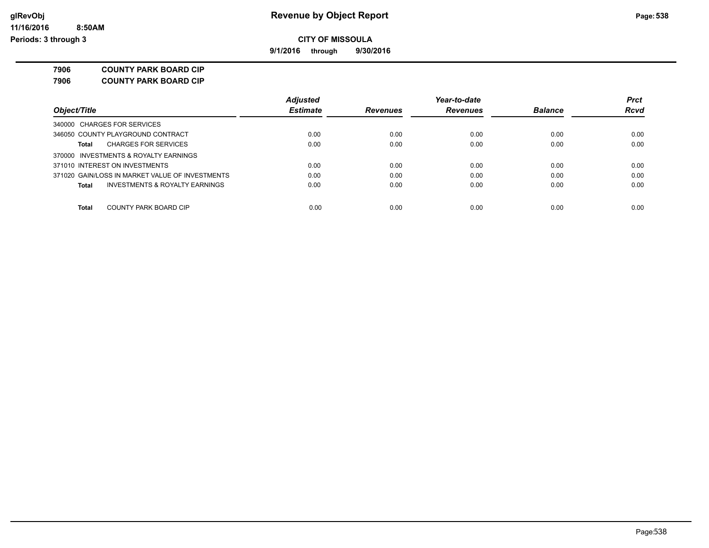**9/1/2016 through 9/30/2016**

**7906 COUNTY PARK BOARD CIP**

**7906 COUNTY PARK BOARD CIP**

|                                                 | <b>Adjusted</b> |                 | Year-to-date    |                | <b>Prct</b> |
|-------------------------------------------------|-----------------|-----------------|-----------------|----------------|-------------|
| Object/Title                                    | <b>Estimate</b> | <b>Revenues</b> | <b>Revenues</b> | <b>Balance</b> | <b>Rcvd</b> |
| 340000 CHARGES FOR SERVICES                     |                 |                 |                 |                |             |
| 346050 COUNTY PLAYGROUND CONTRACT               | 0.00            | 0.00            | 0.00            | 0.00           | 0.00        |
| <b>CHARGES FOR SERVICES</b><br>Total            | 0.00            | 0.00            | 0.00            | 0.00           | 0.00        |
| 370000 INVESTMENTS & ROYALTY EARNINGS           |                 |                 |                 |                |             |
| 371010 INTEREST ON INVESTMENTS                  | 0.00            | 0.00            | 0.00            | 0.00           | 0.00        |
| 371020 GAIN/LOSS IN MARKET VALUE OF INVESTMENTS | 0.00            | 0.00            | 0.00            | 0.00           | 0.00        |
| INVESTMENTS & ROYALTY EARNINGS<br>Total         | 0.00            | 0.00            | 0.00            | 0.00           | 0.00        |
|                                                 |                 |                 |                 |                |             |
| COUNTY PARK BOARD CIP<br>Total                  | 0.00            | 0.00            | 0.00            | 0.00           | 0.00        |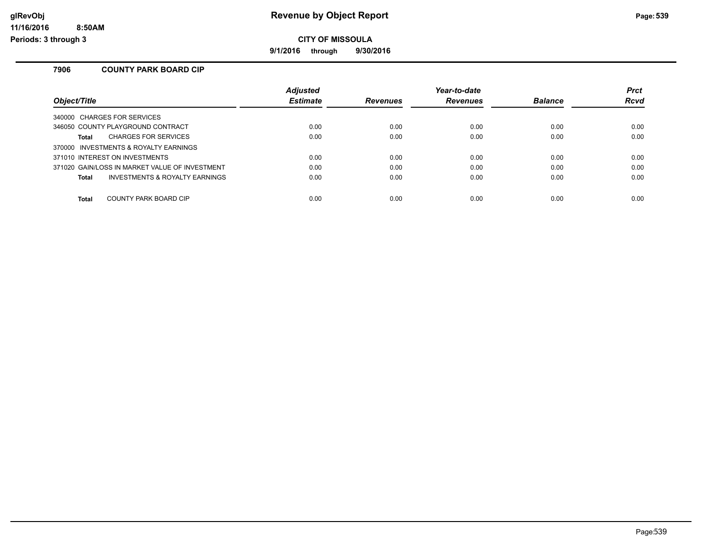**CITY OF MISSOULA**

**9/1/2016 through 9/30/2016**

#### **7906 COUNTY PARK BOARD CIP**

|                                                    | <b>Adjusted</b> |                 | Year-to-date    |                | <b>Prct</b> |
|----------------------------------------------------|-----------------|-----------------|-----------------|----------------|-------------|
| Object/Title                                       | <b>Estimate</b> | <b>Revenues</b> | <b>Revenues</b> | <b>Balance</b> | <b>Rcvd</b> |
| 340000 CHARGES FOR SERVICES                        |                 |                 |                 |                |             |
| 346050 COUNTY PLAYGROUND CONTRACT                  | 0.00            | 0.00            | 0.00            | 0.00           | 0.00        |
| <b>CHARGES FOR SERVICES</b><br>Total               | 0.00            | 0.00            | 0.00            | 0.00           | 0.00        |
| 370000 INVESTMENTS & ROYALTY EARNINGS              |                 |                 |                 |                |             |
| 371010 INTEREST ON INVESTMENTS                     | 0.00            | 0.00            | 0.00            | 0.00           | 0.00        |
| 371020 GAIN/LOSS IN MARKET VALUE OF INVESTMENT     | 0.00            | 0.00            | 0.00            | 0.00           | 0.00        |
| <b>INVESTMENTS &amp; ROYALTY EARNINGS</b><br>Total | 0.00            | 0.00            | 0.00            | 0.00           | 0.00        |
|                                                    |                 |                 |                 |                |             |
| Total<br>COUNTY PARK BOARD CIP                     | 0.00            | 0.00            | 0.00            | 0.00           | 0.00        |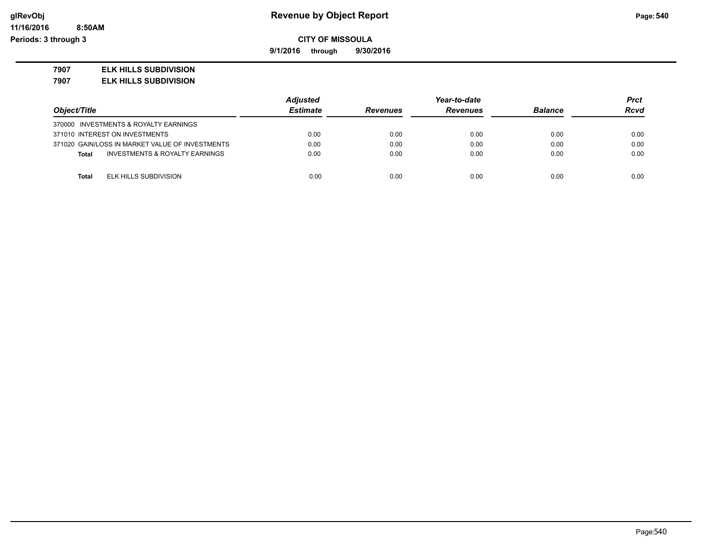**9/1/2016 through 9/30/2016**

#### **7907 ELK HILLS SUBDIVISION**

**7907 ELK HILLS SUBDIVISION**

|                                                           | <b>Adjusted</b> |                 | Year-to-date    |                | Prct |
|-----------------------------------------------------------|-----------------|-----------------|-----------------|----------------|------|
| Object/Title                                              | <b>Estimate</b> | <b>Revenues</b> | <b>Revenues</b> | <b>Balance</b> | Rcvd |
| 370000 INVESTMENTS & ROYALTY EARNINGS                     |                 |                 |                 |                |      |
| 371010 INTEREST ON INVESTMENTS                            | 0.00            | 0.00            | 0.00            | 0.00           | 0.00 |
| 371020 GAIN/LOSS IN MARKET VALUE OF INVESTMENTS           | 0.00            | 0.00            | 0.00            | 0.00           | 0.00 |
| <b>INVESTMENTS &amp; ROYALTY EARNINGS</b><br><b>Total</b> | 0.00            | 0.00            | 0.00            | 0.00           | 0.00 |
|                                                           |                 |                 |                 |                |      |
| <b>Total</b><br>ELK HILLS SUBDIVISION                     | 0.00            | 0.00            | 0.00            | 0.00           | 0.00 |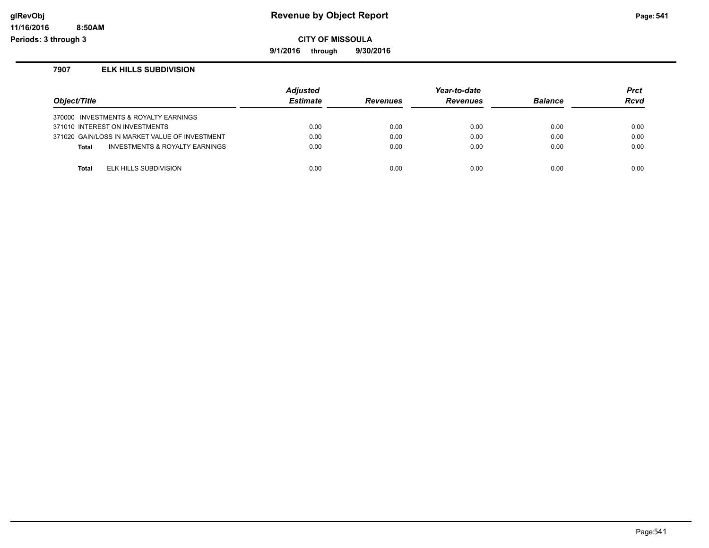**CITY OF MISSOULA**

**9/1/2016 through 9/30/2016**

#### **7907 ELK HILLS SUBDIVISION**

 **8:50AM**

| Object/Title |                                                | <b>Adjusted</b><br><b>Estimate</b> | <b>Revenues</b> | Year-to-date<br><b>Revenues</b> | <b>Balance</b> | <b>Prct</b><br><b>Rcvd</b> |
|--------------|------------------------------------------------|------------------------------------|-----------------|---------------------------------|----------------|----------------------------|
|              | 370000 INVESTMENTS & ROYALTY EARNINGS          |                                    |                 |                                 |                |                            |
|              | 371010 INTEREST ON INVESTMENTS                 | 0.00                               | 0.00            | 0.00                            | 0.00           | 0.00                       |
|              | 371020 GAIN/LOSS IN MARKET VALUE OF INVESTMENT | 0.00                               | 0.00            | 0.00                            | 0.00           | 0.00                       |
| <b>Total</b> | INVESTMENTS & ROYALTY EARNINGS                 | 0.00                               | 0.00            | 0.00                            | 0.00           | 0.00                       |
|              |                                                |                                    |                 |                                 |                |                            |
| Total        | ELK HILLS SUBDIVISION                          | 0.00                               | 0.00            | 0.00                            | 0.00           | 0.00                       |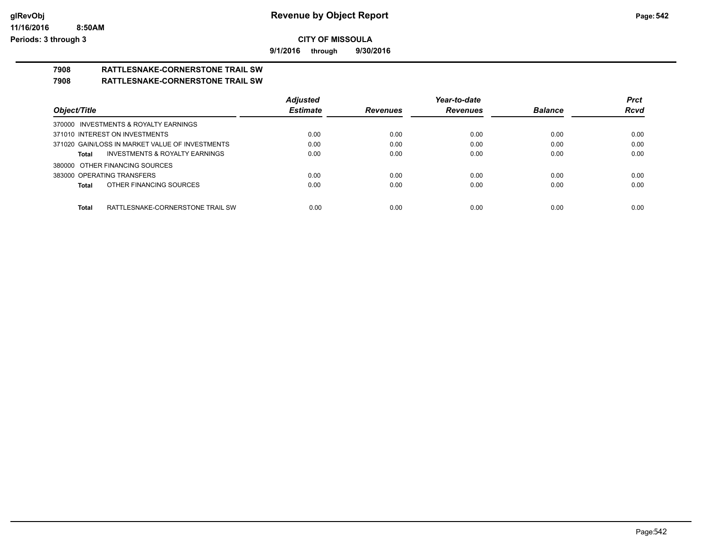**9/1/2016 through 9/30/2016**

# **7908 RATTLESNAKE-CORNERSTONE TRAIL SW**

## **7908 RATTLESNAKE-CORNERSTONE TRAIL SW**

|                                                 | <b>Adjusted</b> |                 | Year-to-date    |                | <b>Prct</b> |
|-------------------------------------------------|-----------------|-----------------|-----------------|----------------|-------------|
| Object/Title                                    | <b>Estimate</b> | <b>Revenues</b> | <b>Revenues</b> | <b>Balance</b> | <b>Rcvd</b> |
| 370000 INVESTMENTS & ROYALTY EARNINGS           |                 |                 |                 |                |             |
| 371010 INTEREST ON INVESTMENTS                  | 0.00            | 0.00            | 0.00            | 0.00           | 0.00        |
| 371020 GAIN/LOSS IN MARKET VALUE OF INVESTMENTS | 0.00            | 0.00            | 0.00            | 0.00           | 0.00        |
| INVESTMENTS & ROYALTY EARNINGS<br>Total         | 0.00            | 0.00            | 0.00            | 0.00           | 0.00        |
| 380000 OTHER FINANCING SOURCES                  |                 |                 |                 |                |             |
| 383000 OPERATING TRANSFERS                      | 0.00            | 0.00            | 0.00            | 0.00           | 0.00        |
| OTHER FINANCING SOURCES<br>Total                | 0.00            | 0.00            | 0.00            | 0.00           | 0.00        |
|                                                 |                 |                 |                 |                |             |
| Total<br>RATTLESNAKE-CORNERSTONE TRAIL SW       | 0.00            | 0.00            | 0.00            | 0.00           | 0.00        |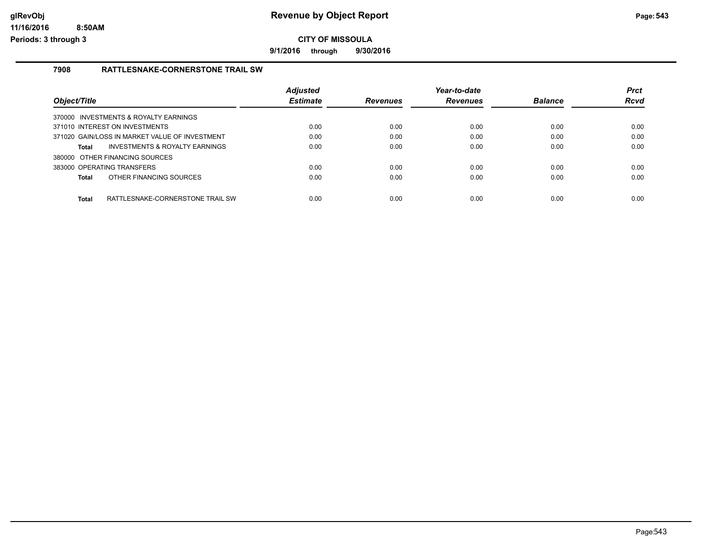**9/1/2016 through 9/30/2016**

### **7908 RATTLESNAKE-CORNERSTONE TRAIL SW**

| Object/Title                                   | <b>Adjusted</b><br><b>Estimate</b> | <b>Revenues</b> | Year-to-date<br><b>Revenues</b> | <b>Balance</b> | <b>Prct</b><br><b>Rcvd</b> |
|------------------------------------------------|------------------------------------|-----------------|---------------------------------|----------------|----------------------------|
|                                                |                                    |                 |                                 |                |                            |
| 370000 INVESTMENTS & ROYALTY EARNINGS          |                                    |                 |                                 |                |                            |
| 371010 INTEREST ON INVESTMENTS                 | 0.00                               | 0.00            | 0.00                            | 0.00           | 0.00                       |
| 371020 GAIN/LOSS IN MARKET VALUE OF INVESTMENT | 0.00                               | 0.00            | 0.00                            | 0.00           | 0.00                       |
| INVESTMENTS & ROYALTY EARNINGS<br>Total        | 0.00                               | 0.00            | 0.00                            | 0.00           | 0.00                       |
| 380000 OTHER FINANCING SOURCES                 |                                    |                 |                                 |                |                            |
| 383000 OPERATING TRANSFERS                     | 0.00                               | 0.00            | 0.00                            | 0.00           | 0.00                       |
| OTHER FINANCING SOURCES<br>Total               | 0.00                               | 0.00            | 0.00                            | 0.00           | 0.00                       |
|                                                |                                    |                 |                                 |                |                            |
| Total<br>RATTLESNAKE-CORNERSTONE TRAIL SW      | 0.00                               | 0.00            | 0.00                            | 0.00           | 0.00                       |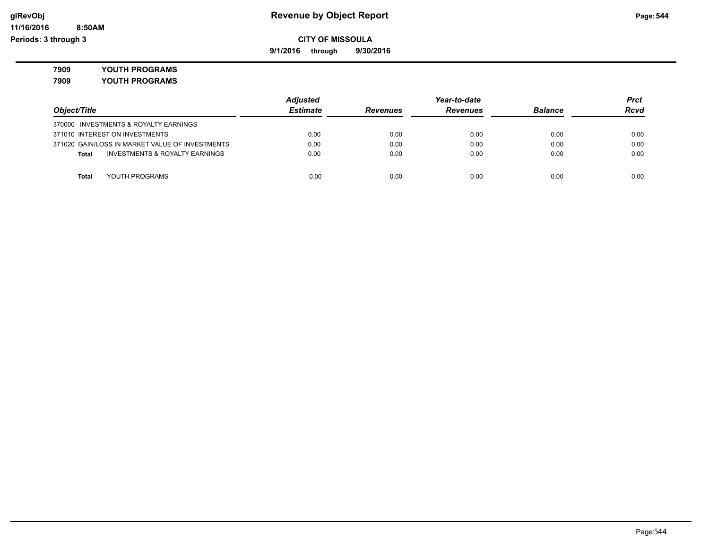**9/1/2016 through 9/30/2016**

**7909 YOUTH PROGRAMS**

**7909 YOUTH PROGRAMS**

|                                                 | <b>Adjusted</b> |                                    | Year-to-date |                |      |
|-------------------------------------------------|-----------------|------------------------------------|--------------|----------------|------|
| Object/Title                                    | <b>Estimate</b> | <b>Revenues</b><br><b>Revenues</b> |              | <b>Balance</b> | Rcvd |
| 370000 INVESTMENTS & ROYALTY EARNINGS           |                 |                                    |              |                |      |
| 371010 INTEREST ON INVESTMENTS                  | 0.00            | 0.00                               | 0.00         | 0.00           | 0.00 |
| 371020 GAIN/LOSS IN MARKET VALUE OF INVESTMENTS | 0.00            | 0.00                               | 0.00         | 0.00           | 0.00 |
| INVESTMENTS & ROYALTY EARNINGS<br><b>Total</b>  | 0.00            | 0.00                               | 0.00         | 0.00           | 0.00 |
|                                                 |                 |                                    |              |                |      |
| YOUTH PROGRAMS<br>Total                         | 0.00            | 0.00                               | 0.00         | 0.00           | 0.00 |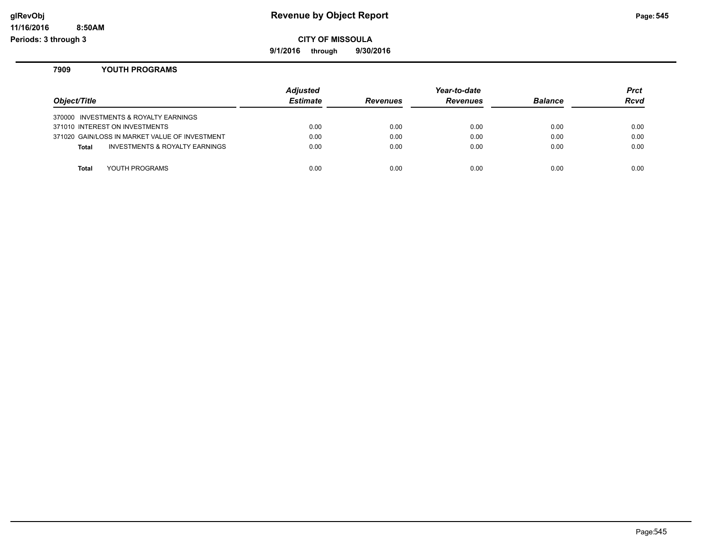**CITY OF MISSOULA**

**9/1/2016 through 9/30/2016**

#### **7909 YOUTH PROGRAMS**

 **8:50AM**

|                                                           | Adjusted        | Year-to-date    |                 |                | <b>Prct</b> |
|-----------------------------------------------------------|-----------------|-----------------|-----------------|----------------|-------------|
| Object/Title                                              | <b>Estimate</b> | <b>Revenues</b> | <b>Revenues</b> | <b>Balance</b> | <b>Rcvd</b> |
| 370000 INVESTMENTS & ROYALTY EARNINGS                     |                 |                 |                 |                |             |
| 371010 INTEREST ON INVESTMENTS                            | 0.00            | 0.00            | 0.00            | 0.00           | 0.00        |
| 371020 GAIN/LOSS IN MARKET VALUE OF INVESTMENT            | 0.00            | 0.00            | 0.00            | 0.00           | 0.00        |
| <b>INVESTMENTS &amp; ROYALTY EARNINGS</b><br><b>Total</b> | 0.00            | 0.00            | 0.00            | 0.00           | 0.00        |
|                                                           |                 |                 |                 |                |             |
| YOUTH PROGRAMS<br>Total                                   | 0.00            | 0.00            | 0.00            | 0.00           | 0.00        |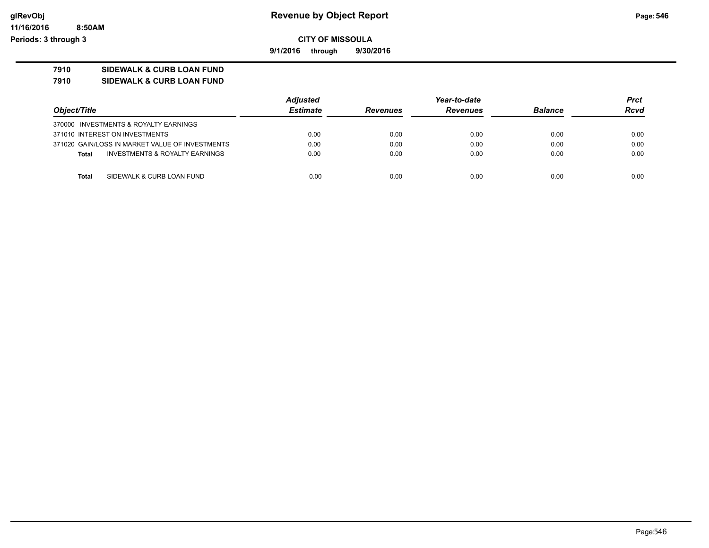**9/1/2016 through 9/30/2016**

## **7910 SIDEWALK & CURB LOAN FUND**

#### **7910 SIDEWALK & CURB LOAN FUND**

|                                                           | <b>Adjusted</b> |                 | Year-to-date    |                | Prct |  |
|-----------------------------------------------------------|-----------------|-----------------|-----------------|----------------|------|--|
| Object/Title                                              | <b>Estimate</b> | <b>Revenues</b> | <b>Revenues</b> | <b>Balance</b> | Rcvd |  |
| 370000 INVESTMENTS & ROYALTY EARNINGS                     |                 |                 |                 |                |      |  |
| 371010 INTEREST ON INVESTMENTS                            | 0.00            | 0.00            | 0.00            | 0.00           | 0.00 |  |
| 371020 GAIN/LOSS IN MARKET VALUE OF INVESTMENTS           | 0.00            | 0.00            | 0.00            | 0.00           | 0.00 |  |
| <b>INVESTMENTS &amp; ROYALTY EARNINGS</b><br><b>Total</b> | 0.00            | 0.00            | 0.00            | 0.00           | 0.00 |  |
|                                                           |                 |                 |                 |                |      |  |
| <b>Total</b><br>SIDEWALK & CURB LOAN FUND                 | 0.00            | 0.00            | 0.00            | 0.00           | 0.00 |  |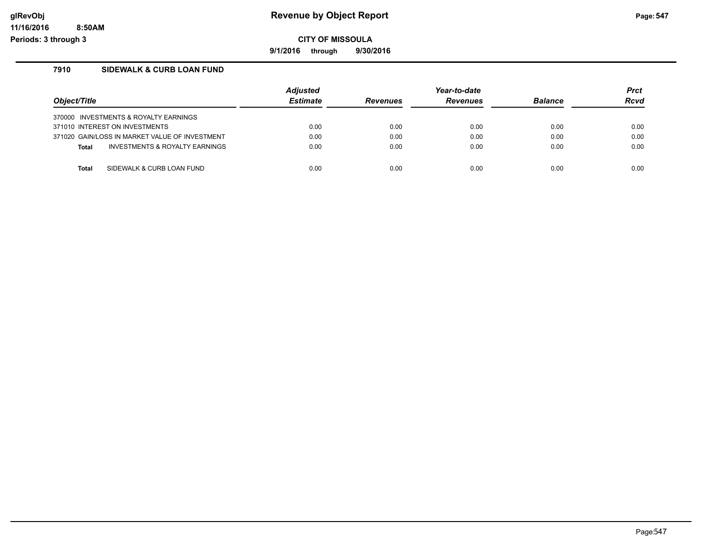**CITY OF MISSOULA**

**9/1/2016 through 9/30/2016**

### **7910 SIDEWALK & CURB LOAN FUND**

 **8:50AM**

| Object/Title                                       | <b>Adjusted</b><br><b>Estimate</b> | <b>Revenues</b> | Year-to-date<br><b>Revenues</b> | <b>Balance</b> | <b>Prct</b><br>Rcvd |
|----------------------------------------------------|------------------------------------|-----------------|---------------------------------|----------------|---------------------|
| 370000 INVESTMENTS & ROYALTY EARNINGS              |                                    |                 |                                 |                |                     |
| 371010 INTEREST ON INVESTMENTS                     | 0.00                               | 0.00            | 0.00                            | 0.00           | 0.00                |
| 371020 GAIN/LOSS IN MARKET VALUE OF INVESTMENT     | 0.00                               | 0.00            | 0.00                            | 0.00           | 0.00                |
| <b>INVESTMENTS &amp; ROYALTY EARNINGS</b><br>Total | 0.00                               | 0.00            | 0.00                            | 0.00           | 0.00                |
|                                                    |                                    |                 |                                 |                |                     |
| SIDEWALK & CURB LOAN FUND<br><b>Total</b>          | 0.00                               | 0.00            | 0.00                            | 0.00           | 0.00                |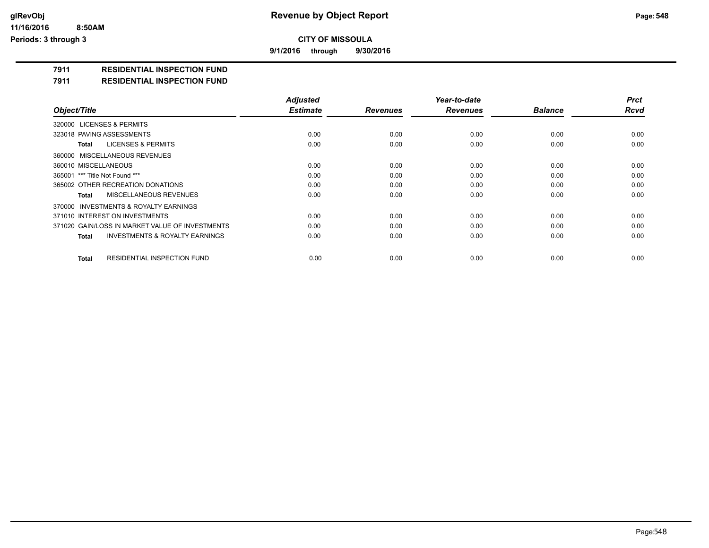**CITY OF MISSOULA**

**9/1/2016 through 9/30/2016**

**7911 RESIDENTIAL INSPECTION FUND**

**7911 RESIDENTIAL INSPECTION FUND**

|                                                    | <b>Adjusted</b> |                 | Year-to-date    |                | <b>Prct</b> |
|----------------------------------------------------|-----------------|-----------------|-----------------|----------------|-------------|
| Object/Title                                       | <b>Estimate</b> | <b>Revenues</b> | <b>Revenues</b> | <b>Balance</b> | <b>Rcvd</b> |
| 320000 LICENSES & PERMITS                          |                 |                 |                 |                |             |
| 323018 PAVING ASSESSMENTS                          | 0.00            | 0.00            | 0.00            | 0.00           | 0.00        |
| <b>LICENSES &amp; PERMITS</b><br>Total             | 0.00            | 0.00            | 0.00            | 0.00           | 0.00        |
| 360000 MISCELLANEOUS REVENUES                      |                 |                 |                 |                |             |
| 360010 MISCELLANEOUS                               | 0.00            | 0.00            | 0.00            | 0.00           | 0.00        |
| 365001 *** Title Not Found ***                     | 0.00            | 0.00            | 0.00            | 0.00           | 0.00        |
| 365002 OTHER RECREATION DONATIONS                  | 0.00            | 0.00            | 0.00            | 0.00           | 0.00        |
| MISCELLANEOUS REVENUES<br>Total                    | 0.00            | 0.00            | 0.00            | 0.00           | 0.00        |
| 370000 INVESTMENTS & ROYALTY EARNINGS              |                 |                 |                 |                |             |
| 371010 INTEREST ON INVESTMENTS                     | 0.00            | 0.00            | 0.00            | 0.00           | 0.00        |
| 371020 GAIN/LOSS IN MARKET VALUE OF INVESTMENTS    | 0.00            | 0.00            | 0.00            | 0.00           | 0.00        |
| <b>INVESTMENTS &amp; ROYALTY EARNINGS</b><br>Total | 0.00            | 0.00            | 0.00            | 0.00           | 0.00        |
| <b>RESIDENTIAL INSPECTION FUND</b><br>Total        | 0.00            | 0.00            | 0.00            | 0.00           | 0.00        |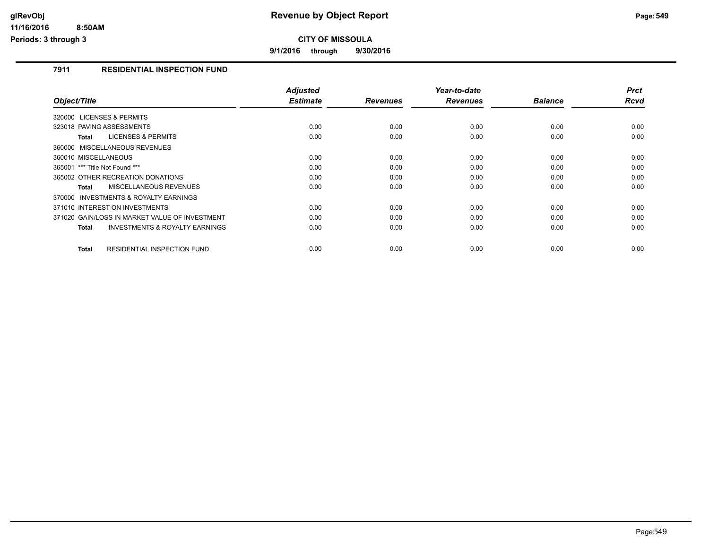**8:50AM**

**CITY OF MISSOULA**

**9/1/2016 through 9/30/2016**

#### **7911 RESIDENTIAL INSPECTION FUND**

|                                                           | <b>Adjusted</b><br><b>Estimate</b> | <b>Revenues</b> | Year-to-date<br><b>Revenues</b> | <b>Balance</b> | <b>Prct</b><br><b>Rcvd</b> |
|-----------------------------------------------------------|------------------------------------|-----------------|---------------------------------|----------------|----------------------------|
| Object/Title                                              |                                    |                 |                                 |                |                            |
| 320000 LICENSES & PERMITS                                 |                                    |                 |                                 |                |                            |
| 323018 PAVING ASSESSMENTS                                 | 0.00                               | 0.00            | 0.00                            | 0.00           | 0.00                       |
| <b>LICENSES &amp; PERMITS</b><br>Total                    | 0.00                               | 0.00            | 0.00                            | 0.00           | 0.00                       |
| 360000 MISCELLANEOUS REVENUES                             |                                    |                 |                                 |                |                            |
| 360010 MISCELLANEOUS                                      | 0.00                               | 0.00            | 0.00                            | 0.00           | 0.00                       |
| 365001 *** Title Not Found ***                            | 0.00                               | 0.00            | 0.00                            | 0.00           | 0.00                       |
| 365002 OTHER RECREATION DONATIONS                         | 0.00                               | 0.00            | 0.00                            | 0.00           | 0.00                       |
| MISCELLANEOUS REVENUES<br>Total                           | 0.00                               | 0.00            | 0.00                            | 0.00           | 0.00                       |
| 370000 INVESTMENTS & ROYALTY EARNINGS                     |                                    |                 |                                 |                |                            |
| 371010 INTEREST ON INVESTMENTS                            | 0.00                               | 0.00            | 0.00                            | 0.00           | 0.00                       |
| 371020 GAIN/LOSS IN MARKET VALUE OF INVESTMENT            | 0.00                               | 0.00            | 0.00                            | 0.00           | 0.00                       |
| <b>INVESTMENTS &amp; ROYALTY EARNINGS</b><br><b>Total</b> | 0.00                               | 0.00            | 0.00                            | 0.00           | 0.00                       |
|                                                           |                                    |                 |                                 |                |                            |
| <b>RESIDENTIAL INSPECTION FUND</b><br><b>Total</b>        | 0.00                               | 0.00            | 0.00                            | 0.00           | 0.00                       |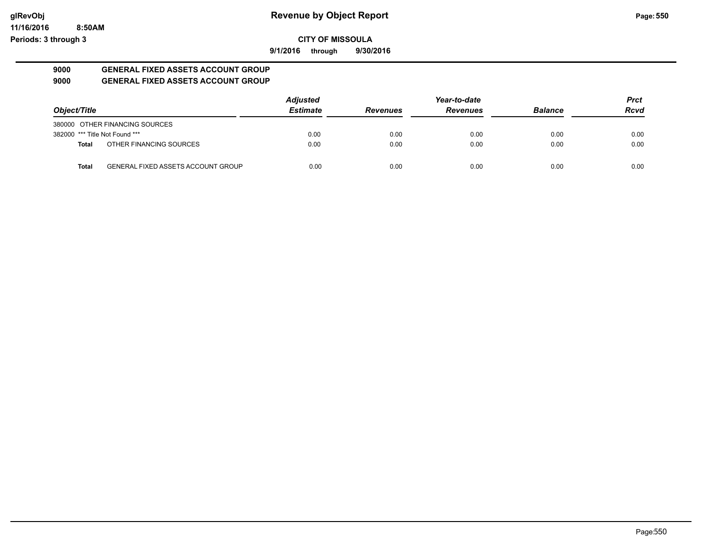**11/16/2016 8:50AM Periods: 3 through 3**

### **CITY OF MISSOULA**

**9/1/2016 through 9/30/2016**

#### **9000 GENERAL FIXED ASSETS ACCOUNT GROUP 9000 GENERAL FIXED ASSETS ACCOUNT GROUP**

|                                |                                           | <b>Adjusted</b> |                 | Year-to-date    |                | Prct |
|--------------------------------|-------------------------------------------|-----------------|-----------------|-----------------|----------------|------|
| Object/Title                   |                                           | <b>Estimate</b> | <b>Revenues</b> | <b>Revenues</b> | <b>Balance</b> | Rcvd |
|                                | 380000 OTHER FINANCING SOURCES            |                 |                 |                 |                |      |
| 382000 *** Title Not Found *** |                                           | 0.00            | 0.00            | 0.00            | 0.00           | 0.00 |
| Total                          | OTHER FINANCING SOURCES                   | 0.00            | 0.00            | 0.00            | 0.00           | 0.00 |
| Total                          | <b>GENERAL FIXED ASSETS ACCOUNT GROUP</b> | 0.00            | 0.00            | 0.00            | 0.00           | 0.00 |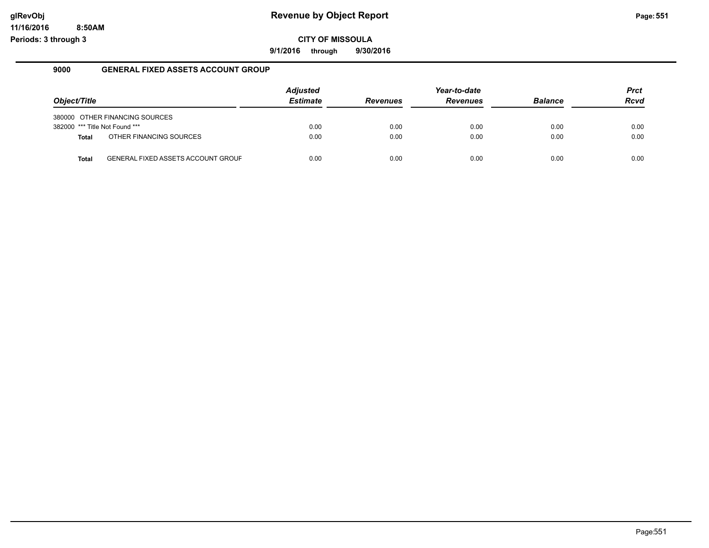**8:50AM**

**glRevObj Revenue by Object Report Page:551** 

**CITY OF MISSOULA**

**9/1/2016 through 9/30/2016**

#### **9000 GENERAL FIXED ASSETS ACCOUNT GROUP**

| Object/Title                   |                                           | <b>Adjusted</b><br><b>Estimate</b> | <b>Revenues</b> | Year-to-date<br><b>Revenues</b> | <b>Balance</b> | <b>Prct</b><br><b>Rcvd</b> |
|--------------------------------|-------------------------------------------|------------------------------------|-----------------|---------------------------------|----------------|----------------------------|
|                                | 380000 OTHER FINANCING SOURCES            |                                    |                 |                                 |                |                            |
| 382000 *** Title Not Found *** |                                           | 0.00                               | 0.00            | 0.00                            | 0.00           | 0.00                       |
| <b>Total</b>                   | OTHER FINANCING SOURCES                   | 0.00                               | 0.00            | 0.00                            | 0.00           | 0.00                       |
| <b>Total</b>                   | <b>GENERAL FIXED ASSETS ACCOUNT GROUF</b> | 0.00                               | 0.00            | 0.00                            | 0.00           | 0.00                       |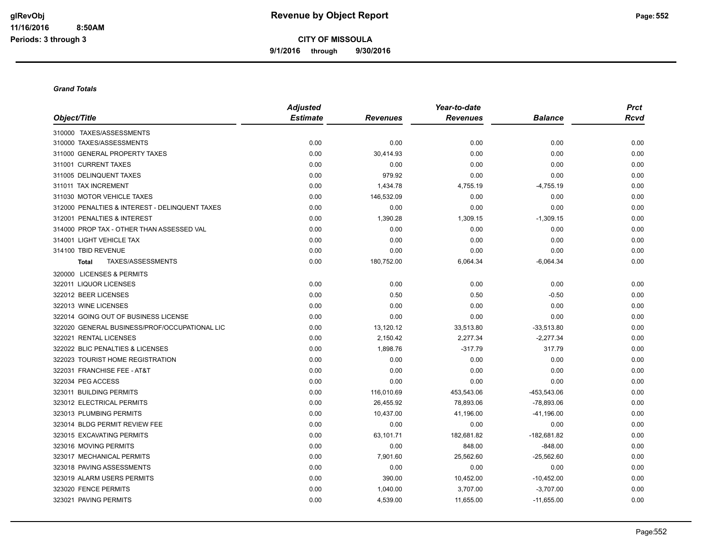**CITY OF MISSOULA 9/1/2016 through 9/30/2016**

#### *Grand Totals*

|                                                | <b>Adjusted</b> |                 | Year-to-date    |                | <b>Prct</b> |
|------------------------------------------------|-----------------|-----------------|-----------------|----------------|-------------|
| Object/Title                                   | <b>Estimate</b> | <b>Revenues</b> | <b>Revenues</b> | <b>Balance</b> | <b>Rcvd</b> |
| 310000 TAXES/ASSESSMENTS                       |                 |                 |                 |                |             |
| 310000 TAXES/ASSESSMENTS                       | 0.00            | 0.00            | 0.00            | 0.00           | 0.00        |
| 311000 GENERAL PROPERTY TAXES                  | 0.00            | 30,414.93       | 0.00            | 0.00           | 0.00        |
| 311001 CURRENT TAXES                           | 0.00            | 0.00            | 0.00            | 0.00           | 0.00        |
| 311005 DELINQUENT TAXES                        | 0.00            | 979.92          | 0.00            | 0.00           | 0.00        |
| 311011 TAX INCREMENT                           | 0.00            | 1,434.78        | 4,755.19        | $-4,755.19$    | 0.00        |
| 311030 MOTOR VEHICLE TAXES                     | 0.00            | 146,532.09      | 0.00            | 0.00           | 0.00        |
| 312000 PENALTIES & INTEREST - DELINQUENT TAXES | 0.00            | 0.00            | 0.00            | 0.00           | 0.00        |
| 312001 PENALTIES & INTEREST                    | 0.00            | 1,390.28        | 1,309.15        | $-1,309.15$    | 0.00        |
| 314000 PROP TAX - OTHER THAN ASSESSED VAL      | 0.00            | 0.00            | 0.00            | 0.00           | 0.00        |
| 314001 LIGHT VEHICLE TAX                       | 0.00            | 0.00            | 0.00            | 0.00           | 0.00        |
| 314100 TBID REVENUE                            | 0.00            | 0.00            | 0.00            | 0.00           | 0.00        |
| TAXES/ASSESSMENTS<br><b>Total</b>              | 0.00            | 180,752.00      | 6,064.34        | $-6,064.34$    | 0.00        |
| 320000 LICENSES & PERMITS                      |                 |                 |                 |                |             |
| 322011 LIQUOR LICENSES                         | 0.00            | 0.00            | 0.00            | 0.00           | 0.00        |
| 322012 BEER LICENSES                           | 0.00            | 0.50            | 0.50            | $-0.50$        | 0.00        |
| 322013 WINE LICENSES                           | 0.00            | 0.00            | 0.00            | 0.00           | 0.00        |
| 322014 GOING OUT OF BUSINESS LICENSE           | 0.00            | 0.00            | 0.00            | 0.00           | 0.00        |
| 322020 GENERAL BUSINESS/PROF/OCCUPATIONAL LIC  | 0.00            | 13,120.12       | 33,513.80       | $-33,513.80$   | 0.00        |
| 322021 RENTAL LICENSES                         | 0.00            | 2,150.42        | 2,277.34        | $-2,277.34$    | 0.00        |
| 322022 BLIC PENALTIES & LICENSES               | 0.00            | 1,898.76        | $-317.79$       | 317.79         | 0.00        |
| 322023 TOURIST HOME REGISTRATION               | 0.00            | 0.00            | 0.00            | 0.00           | 0.00        |
| 322031 FRANCHISE FEE - AT&T                    | 0.00            | 0.00            | 0.00            | 0.00           | 0.00        |
| 322034 PEG ACCESS                              | 0.00            | 0.00            | 0.00            | 0.00           | 0.00        |
| 323011 BUILDING PERMITS                        | 0.00            | 116,010.69      | 453,543.06      | -453,543.06    | 0.00        |
| 323012 ELECTRICAL PERMITS                      | 0.00            | 26,455.92       | 78,893.06       | $-78,893.06$   | 0.00        |
| 323013 PLUMBING PERMITS                        | 0.00            | 10,437.00       | 41,196.00       | $-41,196.00$   | 0.00        |
| 323014 BLDG PERMIT REVIEW FEE                  | 0.00            | 0.00            | 0.00            | 0.00           | 0.00        |
| 323015 EXCAVATING PERMITS                      | 0.00            | 63,101.71       | 182,681.82      | $-182,681.82$  | 0.00        |
| 323016 MOVING PERMITS                          | 0.00            | 0.00            | 848.00          | $-848.00$      | 0.00        |
| 323017 MECHANICAL PERMITS                      | 0.00            | 7,901.60        | 25,562.60       | $-25,562.60$   | 0.00        |
| 323018 PAVING ASSESSMENTS                      | 0.00            | 0.00            | 0.00            | 0.00           | 0.00        |
| 323019 ALARM USERS PERMITS                     | 0.00            | 390.00          | 10,452.00       | $-10,452.00$   | 0.00        |
| 323020 FENCE PERMITS                           | 0.00            | 1,040.00        | 3,707.00        | $-3,707.00$    | 0.00        |
| 323021 PAVING PERMITS                          | 0.00            | 4,539.00        | 11,655.00       | $-11,655.00$   | 0.00        |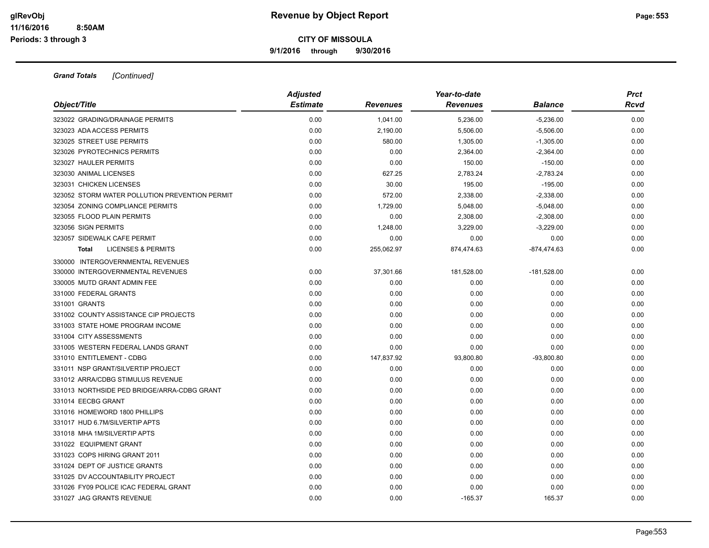**9/1/2016 through 9/30/2016**

| Object/Title                                   | <b>Adjusted</b><br><b>Estimate</b> | <b>Revenues</b> | Year-to-date<br><b>Revenues</b> | <b>Balance</b> | <b>Prct</b><br><b>Rcvd</b> |
|------------------------------------------------|------------------------------------|-----------------|---------------------------------|----------------|----------------------------|
| 323022 GRADING/DRAINAGE PERMITS                | 0.00                               | 1,041.00        | 5,236.00                        | $-5,236.00$    | 0.00                       |
| 323023 ADA ACCESS PERMITS                      | 0.00                               | 2,190.00        | 5,506.00                        | $-5,506.00$    | 0.00                       |
| 323025 STREET USE PERMITS                      | 0.00                               | 580.00          | 1,305.00                        | $-1,305.00$    | 0.00                       |
| 323026 PYROTECHNICS PERMITS                    | 0.00                               | 0.00            | 2,364.00                        | $-2,364.00$    | 0.00                       |
| 323027 HAULER PERMITS                          | 0.00                               | 0.00            | 150.00                          | $-150.00$      | 0.00                       |
| 323030 ANIMAL LICENSES                         | 0.00                               | 627.25          | 2,783.24                        | $-2,783.24$    | 0.00                       |
| 323031 CHICKEN LICENSES                        | 0.00                               | 30.00           | 195.00                          | $-195.00$      | 0.00                       |
| 323052 STORM WATER POLLUTION PREVENTION PERMIT | 0.00                               | 572.00          | 2,338.00                        | $-2,338.00$    | 0.00                       |
| 323054 ZONING COMPLIANCE PERMITS               | 0.00                               | 1,729.00        | 5,048.00                        | $-5,048.00$    | 0.00                       |
| 323055 FLOOD PLAIN PERMITS                     | 0.00                               | 0.00            | 2,308.00                        | $-2,308.00$    | 0.00                       |
| 323056 SIGN PERMITS                            | 0.00                               | 1,248.00        | 3,229.00                        | $-3,229.00$    | 0.00                       |
| 323057 SIDEWALK CAFE PERMIT                    | 0.00                               | 0.00            | 0.00                            | 0.00           | 0.00                       |
| <b>LICENSES &amp; PERMITS</b><br>Total         | 0.00                               | 255,062.97      | 874,474.63                      | $-874,474.63$  | 0.00                       |
| 330000 INTERGOVERNMENTAL REVENUES              |                                    |                 |                                 |                |                            |
| 330000 INTERGOVERNMENTAL REVENUES              | 0.00                               | 37,301.66       | 181,528.00                      | $-181,528.00$  | 0.00                       |
| 330005 MUTD GRANT ADMIN FEE                    | 0.00                               | 0.00            | 0.00                            | 0.00           | 0.00                       |
| 331000 FEDERAL GRANTS                          | 0.00                               | 0.00            | 0.00                            | 0.00           | 0.00                       |
| 331001 GRANTS                                  | 0.00                               | 0.00            | 0.00                            | 0.00           | 0.00                       |
| 331002 COUNTY ASSISTANCE CIP PROJECTS          | 0.00                               | 0.00            | 0.00                            | 0.00           | 0.00                       |
| 331003 STATE HOME PROGRAM INCOME               | 0.00                               | 0.00            | 0.00                            | 0.00           | 0.00                       |
| 331004 CITY ASSESSMENTS                        | 0.00                               | 0.00            | 0.00                            | 0.00           | 0.00                       |
| 331005 WESTERN FEDERAL LANDS GRANT             | 0.00                               | 0.00            | 0.00                            | 0.00           | 0.00                       |
| 331010 ENTITLEMENT - CDBG                      | 0.00                               | 147,837.92      | 93,800.80                       | $-93,800.80$   | 0.00                       |
| 331011 NSP GRANT/SILVERTIP PROJECT             | 0.00                               | 0.00            | 0.00                            | 0.00           | 0.00                       |
| 331012 ARRA/CDBG STIMULUS REVENUE              | 0.00                               | 0.00            | 0.00                            | 0.00           | 0.00                       |
| 331013 NORTHSIDE PED BRIDGE/ARRA-CDBG GRANT    | 0.00                               | 0.00            | 0.00                            | 0.00           | 0.00                       |
| 331014 EECBG GRANT                             | 0.00                               | 0.00            | 0.00                            | 0.00           | 0.00                       |
| 331016 HOMEWORD 1800 PHILLIPS                  | 0.00                               | 0.00            | 0.00                            | 0.00           | 0.00                       |
| 331017 HUD 6.7M/SILVERTIP APTS                 | 0.00                               | 0.00            | 0.00                            | 0.00           | 0.00                       |
| 331018 MHA 1M/SILVERTIP APTS                   | 0.00                               | 0.00            | 0.00                            | 0.00           | 0.00                       |
| 331022 EQUIPMENT GRANT                         | 0.00                               | 0.00            | 0.00                            | 0.00           | 0.00                       |
| 331023 COPS HIRING GRANT 2011                  | 0.00                               | 0.00            | 0.00                            | 0.00           | 0.00                       |
| 331024 DEPT OF JUSTICE GRANTS                  | 0.00                               | 0.00            | 0.00                            | 0.00           | 0.00                       |
| 331025 DV ACCOUNTABILITY PROJECT               | 0.00                               | 0.00            | 0.00                            | 0.00           | 0.00                       |
| 331026 FY09 POLICE ICAC FEDERAL GRANT          | 0.00                               | 0.00            | 0.00                            | 0.00           | 0.00                       |
| 331027 JAG GRANTS REVENUE                      | 0.00                               | 0.00            | $-165.37$                       | 165.37         | 0.00                       |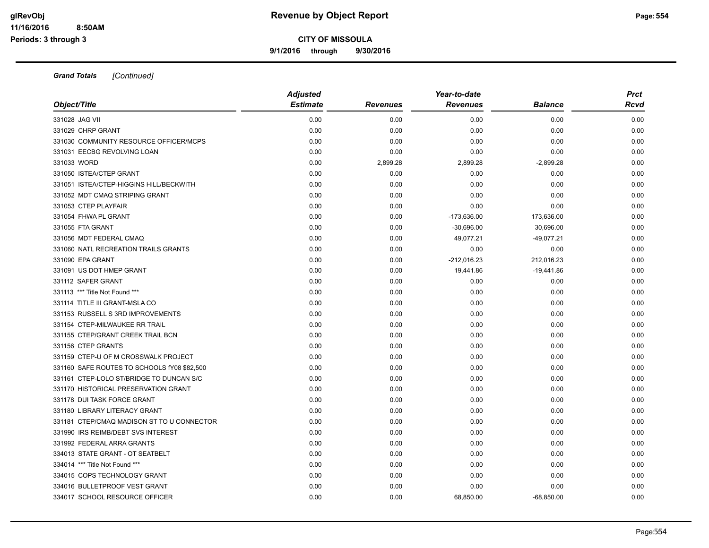**9/1/2016 through 9/30/2016**

| 0.00<br>331028 JAG VII<br>0.00<br>0.00<br>0.00<br>0.00<br>331029 CHRP GRANT<br>0.00<br>0.00<br>0.00<br>0.00<br>0.00<br>331030 COMMUNITY RESOURCE OFFICER/MCPS<br>0.00<br>0.00<br>0.00<br>0.00<br>0.00<br>331031 EECBG REVOLVING LOAN<br>0.00<br>0.00<br>0.00<br>0.00<br>0.00<br>331033 WORD<br>0.00<br>2,899.28<br>2,899.28<br>$-2,899.28$<br>0.00<br>331050 ISTEA/CTEP GRANT<br>0.00<br>0.00<br>0.00<br>0.00<br>0.00<br>331051 ISTEA/CTEP-HIGGINS HILL/BECKWITH<br>0.00<br>0.00<br>0.00<br>0.00<br>0.00<br>331052 MDT CMAQ STRIPING GRANT<br>0.00<br>0.00<br>0.00<br>0.00<br>0.00<br>331053 CTEP PLAYFAIR<br>0.00<br>0.00<br>0.00<br>0.00<br>0.00<br>331054 FHWA PL GRANT<br>0.00<br>0.00<br>$-173,636.00$<br>173,636.00<br>0.00<br>0.00<br>331055 FTA GRANT<br>0.00<br>$-30,696.00$<br>30,696.00<br>0.00<br>331056 MDT FEDERAL CMAQ<br>0.00<br>0.00<br>49,077.21<br>$-49,077.21$<br>0.00<br>331060 NATL RECREATION TRAILS GRANTS<br>0.00<br>0.00<br>0.00<br>0.00<br>0.00<br>331090 EPA GRANT<br>0.00<br>0.00<br>$-212,016.23$<br>212,016.23<br>0.00<br>331091 US DOT HMEP GRANT<br>0.00<br>0.00<br>19,441.86<br>0.00<br>$-19,441.86$<br>331112 SAFER GRANT<br>0.00<br>0.00<br>0.00<br>0.00<br>0.00<br>331113 *** Title Not Found ***<br>0.00<br>0.00<br>0.00<br>0.00<br>0.00<br>331114 TITLE III GRANT-MSLA CO<br>0.00<br>0.00<br>0.00<br>0.00<br>0.00<br>331153 RUSSELL S 3RD IMPROVEMENTS<br>0.00<br>0.00<br>0.00<br>0.00<br>0.00<br>331154 CTEP-MILWAUKEE RR TRAIL<br>0.00<br>0.00<br>0.00<br>0.00<br>0.00<br>331155 CTEP/GRANT CREEK TRAIL BCN<br>0.00<br>0.00<br>0.00<br>0.00<br>0.00<br>331156 CTEP GRANTS<br>0.00<br>0.00<br>0.00<br>0.00<br>0.00<br>331159 CTEP-U OF M CROSSWALK PROJECT<br>0.00<br>0.00<br>0.00<br>0.00<br>0.00<br>331160 SAFE ROUTES TO SCHOOLS fY08 \$82,500<br>0.00<br>0.00<br>0.00<br>0.00<br>0.00<br>331161 CTEP-LOLO ST/BRIDGE TO DUNCAN S/C<br>0.00<br>0.00<br>0.00<br>0.00<br>0.00<br>331170 HISTORICAL PRESERVATION GRANT<br>0.00<br>0.00<br>0.00<br>0.00<br>0.00<br>331178 DUI TASK FORCE GRANT<br>0.00<br>0.00<br>0.00<br>0.00<br>0.00<br>331180 LIBRARY LITERACY GRANT<br>0.00<br>0.00<br>0.00<br>0.00<br>0.00<br>331181 CTEP/CMAQ MADISON ST TO U CONNECTOR<br>0.00<br>0.00<br>0.00<br>0.00<br>0.00<br>331990 IRS REIMB/DEBT SVS INTEREST<br>0.00<br>0.00<br>0.00<br>0.00<br>0.00<br>331992 FEDERAL ARRA GRANTS<br>0.00<br>0.00<br>0.00<br>0.00<br>0.00<br>334013 STATE GRANT - OT SEATBELT<br>0.00<br>0.00<br>0.00<br>0.00<br>0.00<br>334014 *** Title Not Found ***<br>0.00<br>0.00<br>0.00<br>0.00<br>0.00<br>334015 COPS TECHNOLOGY GRANT<br>0.00<br>0.00<br>0.00<br>0.00<br>0.00<br>334016 BULLETPROOF VEST GRANT<br>0.00<br>0.00<br>0.00<br>0.00<br>0.00 | Object/Title                   | <b>Adjusted</b><br><b>Estimate</b> | <b>Revenues</b> | Year-to-date<br><b>Revenues</b> | <b>Balance</b> | <b>Prct</b><br><b>Rcvd</b> |
|--------------------------------------------------------------------------------------------------------------------------------------------------------------------------------------------------------------------------------------------------------------------------------------------------------------------------------------------------------------------------------------------------------------------------------------------------------------------------------------------------------------------------------------------------------------------------------------------------------------------------------------------------------------------------------------------------------------------------------------------------------------------------------------------------------------------------------------------------------------------------------------------------------------------------------------------------------------------------------------------------------------------------------------------------------------------------------------------------------------------------------------------------------------------------------------------------------------------------------------------------------------------------------------------------------------------------------------------------------------------------------------------------------------------------------------------------------------------------------------------------------------------------------------------------------------------------------------------------------------------------------------------------------------------------------------------------------------------------------------------------------------------------------------------------------------------------------------------------------------------------------------------------------------------------------------------------------------------------------------------------------------------------------------------------------------------------------------------------------------------------------------------------------------------------------------------------------------------------------------------------------------------------------------------------------------------------------------------------------------------------------------------------------------------------------------------------------------------------------------------------------------------------------------------------------------------------------------------------------------------------------------------------------------------------------------------------------|--------------------------------|------------------------------------|-----------------|---------------------------------|----------------|----------------------------|
|                                                                                                                                                                                                                                                                                                                                                                                                                                                                                                                                                                                                                                                                                                                                                                                                                                                                                                                                                                                                                                                                                                                                                                                                                                                                                                                                                                                                                                                                                                                                                                                                                                                                                                                                                                                                                                                                                                                                                                                                                                                                                                                                                                                                                                                                                                                                                                                                                                                                                                                                                                                                                                                                                                        |                                |                                    |                 |                                 |                |                            |
|                                                                                                                                                                                                                                                                                                                                                                                                                                                                                                                                                                                                                                                                                                                                                                                                                                                                                                                                                                                                                                                                                                                                                                                                                                                                                                                                                                                                                                                                                                                                                                                                                                                                                                                                                                                                                                                                                                                                                                                                                                                                                                                                                                                                                                                                                                                                                                                                                                                                                                                                                                                                                                                                                                        |                                |                                    |                 |                                 |                |                            |
|                                                                                                                                                                                                                                                                                                                                                                                                                                                                                                                                                                                                                                                                                                                                                                                                                                                                                                                                                                                                                                                                                                                                                                                                                                                                                                                                                                                                                                                                                                                                                                                                                                                                                                                                                                                                                                                                                                                                                                                                                                                                                                                                                                                                                                                                                                                                                                                                                                                                                                                                                                                                                                                                                                        |                                |                                    |                 |                                 |                |                            |
|                                                                                                                                                                                                                                                                                                                                                                                                                                                                                                                                                                                                                                                                                                                                                                                                                                                                                                                                                                                                                                                                                                                                                                                                                                                                                                                                                                                                                                                                                                                                                                                                                                                                                                                                                                                                                                                                                                                                                                                                                                                                                                                                                                                                                                                                                                                                                                                                                                                                                                                                                                                                                                                                                                        |                                |                                    |                 |                                 |                |                            |
|                                                                                                                                                                                                                                                                                                                                                                                                                                                                                                                                                                                                                                                                                                                                                                                                                                                                                                                                                                                                                                                                                                                                                                                                                                                                                                                                                                                                                                                                                                                                                                                                                                                                                                                                                                                                                                                                                                                                                                                                                                                                                                                                                                                                                                                                                                                                                                                                                                                                                                                                                                                                                                                                                                        |                                |                                    |                 |                                 |                |                            |
|                                                                                                                                                                                                                                                                                                                                                                                                                                                                                                                                                                                                                                                                                                                                                                                                                                                                                                                                                                                                                                                                                                                                                                                                                                                                                                                                                                                                                                                                                                                                                                                                                                                                                                                                                                                                                                                                                                                                                                                                                                                                                                                                                                                                                                                                                                                                                                                                                                                                                                                                                                                                                                                                                                        |                                |                                    |                 |                                 |                |                            |
|                                                                                                                                                                                                                                                                                                                                                                                                                                                                                                                                                                                                                                                                                                                                                                                                                                                                                                                                                                                                                                                                                                                                                                                                                                                                                                                                                                                                                                                                                                                                                                                                                                                                                                                                                                                                                                                                                                                                                                                                                                                                                                                                                                                                                                                                                                                                                                                                                                                                                                                                                                                                                                                                                                        |                                |                                    |                 |                                 |                |                            |
|                                                                                                                                                                                                                                                                                                                                                                                                                                                                                                                                                                                                                                                                                                                                                                                                                                                                                                                                                                                                                                                                                                                                                                                                                                                                                                                                                                                                                                                                                                                                                                                                                                                                                                                                                                                                                                                                                                                                                                                                                                                                                                                                                                                                                                                                                                                                                                                                                                                                                                                                                                                                                                                                                                        |                                |                                    |                 |                                 |                |                            |
|                                                                                                                                                                                                                                                                                                                                                                                                                                                                                                                                                                                                                                                                                                                                                                                                                                                                                                                                                                                                                                                                                                                                                                                                                                                                                                                                                                                                                                                                                                                                                                                                                                                                                                                                                                                                                                                                                                                                                                                                                                                                                                                                                                                                                                                                                                                                                                                                                                                                                                                                                                                                                                                                                                        |                                |                                    |                 |                                 |                |                            |
|                                                                                                                                                                                                                                                                                                                                                                                                                                                                                                                                                                                                                                                                                                                                                                                                                                                                                                                                                                                                                                                                                                                                                                                                                                                                                                                                                                                                                                                                                                                                                                                                                                                                                                                                                                                                                                                                                                                                                                                                                                                                                                                                                                                                                                                                                                                                                                                                                                                                                                                                                                                                                                                                                                        |                                |                                    |                 |                                 |                |                            |
|                                                                                                                                                                                                                                                                                                                                                                                                                                                                                                                                                                                                                                                                                                                                                                                                                                                                                                                                                                                                                                                                                                                                                                                                                                                                                                                                                                                                                                                                                                                                                                                                                                                                                                                                                                                                                                                                                                                                                                                                                                                                                                                                                                                                                                                                                                                                                                                                                                                                                                                                                                                                                                                                                                        |                                |                                    |                 |                                 |                |                            |
|                                                                                                                                                                                                                                                                                                                                                                                                                                                                                                                                                                                                                                                                                                                                                                                                                                                                                                                                                                                                                                                                                                                                                                                                                                                                                                                                                                                                                                                                                                                                                                                                                                                                                                                                                                                                                                                                                                                                                                                                                                                                                                                                                                                                                                                                                                                                                                                                                                                                                                                                                                                                                                                                                                        |                                |                                    |                 |                                 |                |                            |
|                                                                                                                                                                                                                                                                                                                                                                                                                                                                                                                                                                                                                                                                                                                                                                                                                                                                                                                                                                                                                                                                                                                                                                                                                                                                                                                                                                                                                                                                                                                                                                                                                                                                                                                                                                                                                                                                                                                                                                                                                                                                                                                                                                                                                                                                                                                                                                                                                                                                                                                                                                                                                                                                                                        |                                |                                    |                 |                                 |                |                            |
|                                                                                                                                                                                                                                                                                                                                                                                                                                                                                                                                                                                                                                                                                                                                                                                                                                                                                                                                                                                                                                                                                                                                                                                                                                                                                                                                                                                                                                                                                                                                                                                                                                                                                                                                                                                                                                                                                                                                                                                                                                                                                                                                                                                                                                                                                                                                                                                                                                                                                                                                                                                                                                                                                                        |                                |                                    |                 |                                 |                |                            |
|                                                                                                                                                                                                                                                                                                                                                                                                                                                                                                                                                                                                                                                                                                                                                                                                                                                                                                                                                                                                                                                                                                                                                                                                                                                                                                                                                                                                                                                                                                                                                                                                                                                                                                                                                                                                                                                                                                                                                                                                                                                                                                                                                                                                                                                                                                                                                                                                                                                                                                                                                                                                                                                                                                        |                                |                                    |                 |                                 |                |                            |
|                                                                                                                                                                                                                                                                                                                                                                                                                                                                                                                                                                                                                                                                                                                                                                                                                                                                                                                                                                                                                                                                                                                                                                                                                                                                                                                                                                                                                                                                                                                                                                                                                                                                                                                                                                                                                                                                                                                                                                                                                                                                                                                                                                                                                                                                                                                                                                                                                                                                                                                                                                                                                                                                                                        |                                |                                    |                 |                                 |                |                            |
|                                                                                                                                                                                                                                                                                                                                                                                                                                                                                                                                                                                                                                                                                                                                                                                                                                                                                                                                                                                                                                                                                                                                                                                                                                                                                                                                                                                                                                                                                                                                                                                                                                                                                                                                                                                                                                                                                                                                                                                                                                                                                                                                                                                                                                                                                                                                                                                                                                                                                                                                                                                                                                                                                                        |                                |                                    |                 |                                 |                |                            |
|                                                                                                                                                                                                                                                                                                                                                                                                                                                                                                                                                                                                                                                                                                                                                                                                                                                                                                                                                                                                                                                                                                                                                                                                                                                                                                                                                                                                                                                                                                                                                                                                                                                                                                                                                                                                                                                                                                                                                                                                                                                                                                                                                                                                                                                                                                                                                                                                                                                                                                                                                                                                                                                                                                        |                                |                                    |                 |                                 |                |                            |
|                                                                                                                                                                                                                                                                                                                                                                                                                                                                                                                                                                                                                                                                                                                                                                                                                                                                                                                                                                                                                                                                                                                                                                                                                                                                                                                                                                                                                                                                                                                                                                                                                                                                                                                                                                                                                                                                                                                                                                                                                                                                                                                                                                                                                                                                                                                                                                                                                                                                                                                                                                                                                                                                                                        |                                |                                    |                 |                                 |                |                            |
|                                                                                                                                                                                                                                                                                                                                                                                                                                                                                                                                                                                                                                                                                                                                                                                                                                                                                                                                                                                                                                                                                                                                                                                                                                                                                                                                                                                                                                                                                                                                                                                                                                                                                                                                                                                                                                                                                                                                                                                                                                                                                                                                                                                                                                                                                                                                                                                                                                                                                                                                                                                                                                                                                                        |                                |                                    |                 |                                 |                |                            |
|                                                                                                                                                                                                                                                                                                                                                                                                                                                                                                                                                                                                                                                                                                                                                                                                                                                                                                                                                                                                                                                                                                                                                                                                                                                                                                                                                                                                                                                                                                                                                                                                                                                                                                                                                                                                                                                                                                                                                                                                                                                                                                                                                                                                                                                                                                                                                                                                                                                                                                                                                                                                                                                                                                        |                                |                                    |                 |                                 |                |                            |
|                                                                                                                                                                                                                                                                                                                                                                                                                                                                                                                                                                                                                                                                                                                                                                                                                                                                                                                                                                                                                                                                                                                                                                                                                                                                                                                                                                                                                                                                                                                                                                                                                                                                                                                                                                                                                                                                                                                                                                                                                                                                                                                                                                                                                                                                                                                                                                                                                                                                                                                                                                                                                                                                                                        |                                |                                    |                 |                                 |                |                            |
|                                                                                                                                                                                                                                                                                                                                                                                                                                                                                                                                                                                                                                                                                                                                                                                                                                                                                                                                                                                                                                                                                                                                                                                                                                                                                                                                                                                                                                                                                                                                                                                                                                                                                                                                                                                                                                                                                                                                                                                                                                                                                                                                                                                                                                                                                                                                                                                                                                                                                                                                                                                                                                                                                                        |                                |                                    |                 |                                 |                |                            |
|                                                                                                                                                                                                                                                                                                                                                                                                                                                                                                                                                                                                                                                                                                                                                                                                                                                                                                                                                                                                                                                                                                                                                                                                                                                                                                                                                                                                                                                                                                                                                                                                                                                                                                                                                                                                                                                                                                                                                                                                                                                                                                                                                                                                                                                                                                                                                                                                                                                                                                                                                                                                                                                                                                        |                                |                                    |                 |                                 |                |                            |
|                                                                                                                                                                                                                                                                                                                                                                                                                                                                                                                                                                                                                                                                                                                                                                                                                                                                                                                                                                                                                                                                                                                                                                                                                                                                                                                                                                                                                                                                                                                                                                                                                                                                                                                                                                                                                                                                                                                                                                                                                                                                                                                                                                                                                                                                                                                                                                                                                                                                                                                                                                                                                                                                                                        |                                |                                    |                 |                                 |                |                            |
|                                                                                                                                                                                                                                                                                                                                                                                                                                                                                                                                                                                                                                                                                                                                                                                                                                                                                                                                                                                                                                                                                                                                                                                                                                                                                                                                                                                                                                                                                                                                                                                                                                                                                                                                                                                                                                                                                                                                                                                                                                                                                                                                                                                                                                                                                                                                                                                                                                                                                                                                                                                                                                                                                                        |                                |                                    |                 |                                 |                |                            |
|                                                                                                                                                                                                                                                                                                                                                                                                                                                                                                                                                                                                                                                                                                                                                                                                                                                                                                                                                                                                                                                                                                                                                                                                                                                                                                                                                                                                                                                                                                                                                                                                                                                                                                                                                                                                                                                                                                                                                                                                                                                                                                                                                                                                                                                                                                                                                                                                                                                                                                                                                                                                                                                                                                        |                                |                                    |                 |                                 |                |                            |
|                                                                                                                                                                                                                                                                                                                                                                                                                                                                                                                                                                                                                                                                                                                                                                                                                                                                                                                                                                                                                                                                                                                                                                                                                                                                                                                                                                                                                                                                                                                                                                                                                                                                                                                                                                                                                                                                                                                                                                                                                                                                                                                                                                                                                                                                                                                                                                                                                                                                                                                                                                                                                                                                                                        |                                |                                    |                 |                                 |                |                            |
|                                                                                                                                                                                                                                                                                                                                                                                                                                                                                                                                                                                                                                                                                                                                                                                                                                                                                                                                                                                                                                                                                                                                                                                                                                                                                                                                                                                                                                                                                                                                                                                                                                                                                                                                                                                                                                                                                                                                                                                                                                                                                                                                                                                                                                                                                                                                                                                                                                                                                                                                                                                                                                                                                                        |                                |                                    |                 |                                 |                |                            |
|                                                                                                                                                                                                                                                                                                                                                                                                                                                                                                                                                                                                                                                                                                                                                                                                                                                                                                                                                                                                                                                                                                                                                                                                                                                                                                                                                                                                                                                                                                                                                                                                                                                                                                                                                                                                                                                                                                                                                                                                                                                                                                                                                                                                                                                                                                                                                                                                                                                                                                                                                                                                                                                                                                        |                                |                                    |                 |                                 |                |                            |
|                                                                                                                                                                                                                                                                                                                                                                                                                                                                                                                                                                                                                                                                                                                                                                                                                                                                                                                                                                                                                                                                                                                                                                                                                                                                                                                                                                                                                                                                                                                                                                                                                                                                                                                                                                                                                                                                                                                                                                                                                                                                                                                                                                                                                                                                                                                                                                                                                                                                                                                                                                                                                                                                                                        |                                |                                    |                 |                                 |                |                            |
|                                                                                                                                                                                                                                                                                                                                                                                                                                                                                                                                                                                                                                                                                                                                                                                                                                                                                                                                                                                                                                                                                                                                                                                                                                                                                                                                                                                                                                                                                                                                                                                                                                                                                                                                                                                                                                                                                                                                                                                                                                                                                                                                                                                                                                                                                                                                                                                                                                                                                                                                                                                                                                                                                                        |                                |                                    |                 |                                 |                |                            |
|                                                                                                                                                                                                                                                                                                                                                                                                                                                                                                                                                                                                                                                                                                                                                                                                                                                                                                                                                                                                                                                                                                                                                                                                                                                                                                                                                                                                                                                                                                                                                                                                                                                                                                                                                                                                                                                                                                                                                                                                                                                                                                                                                                                                                                                                                                                                                                                                                                                                                                                                                                                                                                                                                                        |                                |                                    |                 |                                 |                |                            |
|                                                                                                                                                                                                                                                                                                                                                                                                                                                                                                                                                                                                                                                                                                                                                                                                                                                                                                                                                                                                                                                                                                                                                                                                                                                                                                                                                                                                                                                                                                                                                                                                                                                                                                                                                                                                                                                                                                                                                                                                                                                                                                                                                                                                                                                                                                                                                                                                                                                                                                                                                                                                                                                                                                        |                                |                                    |                 |                                 |                |                            |
|                                                                                                                                                                                                                                                                                                                                                                                                                                                                                                                                                                                                                                                                                                                                                                                                                                                                                                                                                                                                                                                                                                                                                                                                                                                                                                                                                                                                                                                                                                                                                                                                                                                                                                                                                                                                                                                                                                                                                                                                                                                                                                                                                                                                                                                                                                                                                                                                                                                                                                                                                                                                                                                                                                        |                                |                                    |                 |                                 |                |                            |
|                                                                                                                                                                                                                                                                                                                                                                                                                                                                                                                                                                                                                                                                                                                                                                                                                                                                                                                                                                                                                                                                                                                                                                                                                                                                                                                                                                                                                                                                                                                                                                                                                                                                                                                                                                                                                                                                                                                                                                                                                                                                                                                                                                                                                                                                                                                                                                                                                                                                                                                                                                                                                                                                                                        | 334017 SCHOOL RESOURCE OFFICER | 0.00                               | 0.00            | 68,850.00                       | $-68,850.00$   | 0.00                       |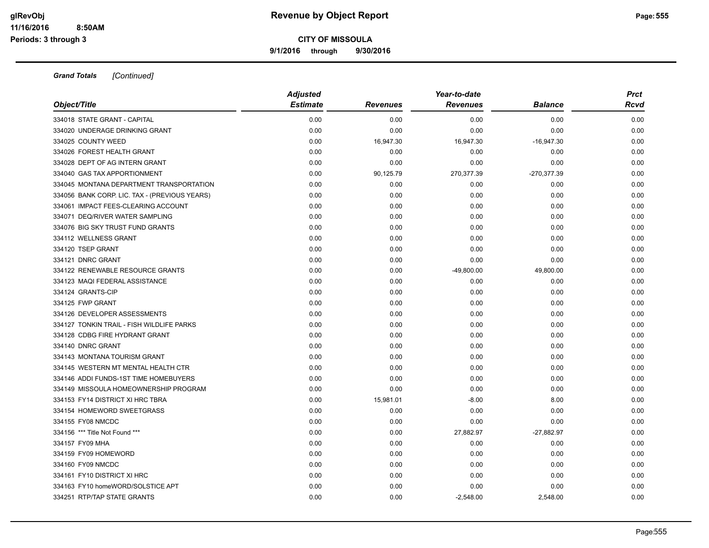**9/1/2016 through 9/30/2016**

|                                               | <b>Adjusted</b> |                 | Year-to-date    |                |             |  |
|-----------------------------------------------|-----------------|-----------------|-----------------|----------------|-------------|--|
| Object/Title                                  | <b>Estimate</b> | <b>Revenues</b> | <b>Revenues</b> | <b>Balance</b> | <b>Rcvd</b> |  |
| 334018 STATE GRANT - CAPITAL                  | 0.00            | 0.00            | 0.00            | 0.00           | 0.00        |  |
| 334020 UNDERAGE DRINKING GRANT                | 0.00            | 0.00            | 0.00            | 0.00           | 0.00        |  |
| 334025 COUNTY WEED                            | 0.00            | 16,947.30       | 16,947.30       | $-16,947.30$   | 0.00        |  |
| 334026 FOREST HEALTH GRANT                    | 0.00            | 0.00            | 0.00            | 0.00           | 0.00        |  |
| 334028 DEPT OF AG INTERN GRANT                | 0.00            | 0.00            | 0.00            | 0.00           | 0.00        |  |
| 334040 GAS TAX APPORTIONMENT                  | 0.00            | 90,125.79       | 270,377.39      | -270,377.39    | 0.00        |  |
| 334045 MONTANA DEPARTMENT TRANSPORTATION      | 0.00            | 0.00            | 0.00            | 0.00           | 0.00        |  |
| 334056 BANK CORP. LIC. TAX - (PREVIOUS YEARS) | 0.00            | 0.00            | 0.00            | 0.00           | 0.00        |  |
| 334061 IMPACT FEES-CLEARING ACCOUNT           | 0.00            | 0.00            | 0.00            | 0.00           | 0.00        |  |
| 334071 DEQ/RIVER WATER SAMPLING               | 0.00            | 0.00            | 0.00            | 0.00           | 0.00        |  |
| 334076 BIG SKY TRUST FUND GRANTS              | 0.00            | 0.00            | 0.00            | 0.00           | 0.00        |  |
| 334112 WELLNESS GRANT                         | 0.00            | 0.00            | 0.00            | 0.00           | 0.00        |  |
| 334120 TSEP GRANT                             | 0.00            | 0.00            | 0.00            | 0.00           | 0.00        |  |
| 334121 DNRC GRANT                             | 0.00            | 0.00            | 0.00            | 0.00           | 0.00        |  |
| 334122 RENEWABLE RESOURCE GRANTS              | 0.00            | 0.00            | $-49,800.00$    | 49,800.00      | 0.00        |  |
| 334123 MAQI FEDERAL ASSISTANCE                | 0.00            | 0.00            | 0.00            | 0.00           | 0.00        |  |
| 334124 GRANTS-CIP                             | 0.00            | 0.00            | 0.00            | 0.00           | 0.00        |  |
| 334125 FWP GRANT                              | 0.00            | 0.00            | 0.00            | 0.00           | 0.00        |  |
| 334126 DEVELOPER ASSESSMENTS                  | 0.00            | 0.00            | 0.00            | 0.00           | 0.00        |  |
| 334127 TONKIN TRAIL - FISH WILDLIFE PARKS     | 0.00            | 0.00            | 0.00            | 0.00           | 0.00        |  |
| 334128 CDBG FIRE HYDRANT GRANT                | 0.00            | 0.00            | 0.00            | 0.00           | 0.00        |  |
| 334140 DNRC GRANT                             | 0.00            | 0.00            | 0.00            | 0.00           | 0.00        |  |
| 334143 MONTANA TOURISM GRANT                  | 0.00            | 0.00            | 0.00            | 0.00           | 0.00        |  |
| 334145 WESTERN MT MENTAL HEALTH CTR           | 0.00            | 0.00            | 0.00            | 0.00           | 0.00        |  |
| 334146 ADDI FUNDS-1ST TIME HOMEBUYERS         | 0.00            | 0.00            | 0.00            | 0.00           | 0.00        |  |
| 334149 MISSOULA HOMEOWNERSHIP PROGRAM         | 0.00            | 0.00            | 0.00            | 0.00           | 0.00        |  |
| 334153 FY14 DISTRICT XI HRC TBRA              | 0.00            | 15,981.01       | $-8.00$         | 8.00           | 0.00        |  |
| 334154 HOMEWORD SWEETGRASS                    | 0.00            | 0.00            | 0.00            | 0.00           | 0.00        |  |
| 334155 FY08 NMCDC                             | 0.00            | 0.00            | 0.00            | 0.00           | 0.00        |  |
| 334156 *** Title Not Found ***                | 0.00            | 0.00            | 27,882.97       | $-27,882.97$   | 0.00        |  |
| 334157 FY09 MHA                               | 0.00            | 0.00            | 0.00            | 0.00           | 0.00        |  |
| 334159 FY09 HOMEWORD                          | 0.00            | 0.00            | 0.00            | 0.00           | 0.00        |  |
| 334160 FY09 NMCDC                             | 0.00            | 0.00            | 0.00            | 0.00           | 0.00        |  |
| 334161 FY10 DISTRICT XI HRC                   | 0.00            | 0.00            | 0.00            | 0.00           | 0.00        |  |
| 334163 FY10 homeWORD/SOLSTICE APT             | 0.00            | 0.00            | 0.00            | 0.00           | 0.00        |  |
| 334251 RTP/TAP STATE GRANTS                   | 0.00            | 0.00            | $-2,548.00$     | 2,548.00       | 0.00        |  |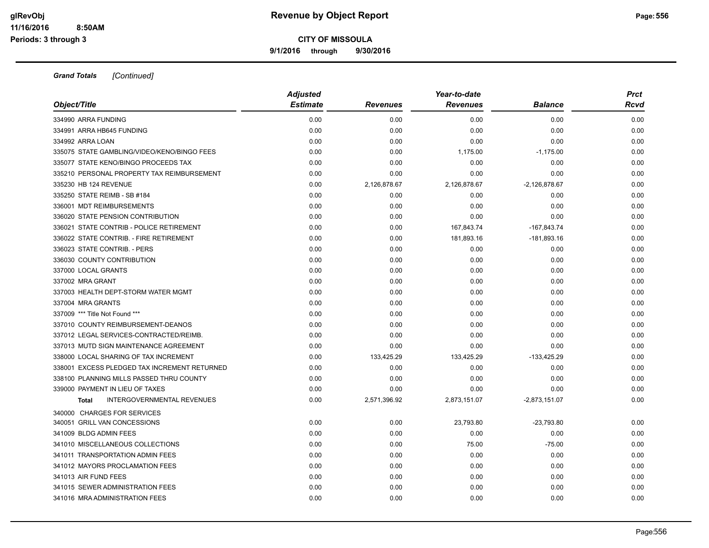**9/1/2016 through 9/30/2016**

| Object/Title                                      | <b>Adjusted</b><br><b>Estimate</b> | <b>Revenues</b> | Year-to-date<br><b>Revenues</b> | <b>Balance</b>  | <b>Prct</b><br>Rcvd |
|---------------------------------------------------|------------------------------------|-----------------|---------------------------------|-----------------|---------------------|
| 334990 ARRA FUNDING                               | 0.00                               | 0.00            | 0.00                            | 0.00            | 0.00                |
| 334991 ARRA HB645 FUNDING                         | 0.00                               | 0.00            | 0.00                            | 0.00            | 0.00                |
| 334992 ARRA LOAN                                  | 0.00                               | 0.00            | 0.00                            | 0.00            | 0.00                |
| 335075 STATE GAMBLING/VIDEO/KENO/BINGO FEES       | 0.00                               | 0.00            | 1,175.00                        | $-1,175.00$     | 0.00                |
| 335077 STATE KENO/BINGO PROCEEDS TAX              | 0.00                               | 0.00            | 0.00                            | 0.00            | 0.00                |
| 335210 PERSONAL PROPERTY TAX REIMBURSEMENT        | 0.00                               | 0.00            | 0.00                            | 0.00            | 0.00                |
| 335230 HB 124 REVENUE                             | 0.00                               | 2,126,878.67    | 2,126,878.67                    | $-2,126,878.67$ | 0.00                |
| 335250 STATE REIMB - SB #184                      | 0.00                               | 0.00            | 0.00                            | 0.00            | 0.00                |
| 336001 MDT REIMBURSEMENTS                         | 0.00                               | 0.00            | 0.00                            | 0.00            | 0.00                |
| 336020 STATE PENSION CONTRIBUTION                 | 0.00                               | 0.00            | 0.00                            | 0.00            | 0.00                |
| 336021 STATE CONTRIB - POLICE RETIREMENT          | 0.00                               | 0.00            | 167,843.74                      | $-167,843.74$   | 0.00                |
| 336022 STATE CONTRIB. - FIRE RETIREMENT           | 0.00                               | 0.00            | 181,893.16                      | -181,893.16     | 0.00                |
| 336023 STATE CONTRIB. - PERS                      | 0.00                               | 0.00            | 0.00                            | 0.00            | 0.00                |
| 336030 COUNTY CONTRIBUTION                        | 0.00                               | 0.00            | 0.00                            | 0.00            | 0.00                |
| 337000 LOCAL GRANTS                               | 0.00                               | 0.00            | 0.00                            | 0.00            | 0.00                |
| 337002 MRA GRANT                                  | 0.00                               | 0.00            | 0.00                            | 0.00            | 0.00                |
| 337003 HEALTH DEPT-STORM WATER MGMT               | 0.00                               | 0.00            | 0.00                            | 0.00            | 0.00                |
| 337004 MRA GRANTS                                 | 0.00                               | 0.00            | 0.00                            | 0.00            | 0.00                |
| 337009 *** Title Not Found ***                    | 0.00                               | 0.00            | 0.00                            | 0.00            | 0.00                |
| 337010 COUNTY REIMBURSEMENT-DEANOS                | 0.00                               | 0.00            | 0.00                            | 0.00            | 0.00                |
| 337012 LEGAL SERVICES-CONTRACTED/REIMB.           | 0.00                               | 0.00            | 0.00                            | 0.00            | 0.00                |
| 337013 MUTD SIGN MAINTENANCE AGREEMENT            | 0.00                               | 0.00            | 0.00                            | 0.00            | 0.00                |
| 338000 LOCAL SHARING OF TAX INCREMENT             | 0.00                               | 133,425.29      | 133,425.29                      | $-133,425.29$   | 0.00                |
| 338001 EXCESS PLEDGED TAX INCREMENT RETURNED      | 0.00                               | 0.00            | 0.00                            | 0.00            | 0.00                |
| 338100 PLANNING MILLS PASSED THRU COUNTY          | 0.00                               | 0.00            | 0.00                            | 0.00            | 0.00                |
| 339000 PAYMENT IN LIEU OF TAXES                   | 0.00                               | 0.00            | 0.00                            | 0.00            | 0.00                |
| <b>INTERGOVERNMENTAL REVENUES</b><br><b>Total</b> | 0.00                               | 2,571,396.92    | 2,873,151.07                    | $-2,873,151.07$ | 0.00                |
| 340000 CHARGES FOR SERVICES                       |                                    |                 |                                 |                 |                     |
| 340051 GRILL VAN CONCESSIONS                      | 0.00                               | 0.00            | 23,793.80                       | $-23,793.80$    | 0.00                |
| 341009 BLDG ADMIN FEES                            | 0.00                               | 0.00            | 0.00                            | 0.00            | 0.00                |
| 341010 MISCELLANEOUS COLLECTIONS                  | 0.00                               | 0.00            | 75.00                           | $-75.00$        | 0.00                |
| 341011 TRANSPORTATION ADMIN FEES                  | 0.00                               | 0.00            | 0.00                            | 0.00            | 0.00                |
| 341012 MAYORS PROCLAMATION FEES                   | 0.00                               | 0.00            | 0.00                            | 0.00            | 0.00                |
| 341013 AIR FUND FEES                              | 0.00                               | 0.00            | 0.00                            | 0.00            | 0.00                |
| 341015 SEWER ADMINISTRATION FEES                  | 0.00                               | 0.00            | 0.00                            | 0.00            | 0.00                |
| 341016 MRA ADMINISTRATION FEES                    | 0.00                               | 0.00            | 0.00                            | 0.00            | 0.00                |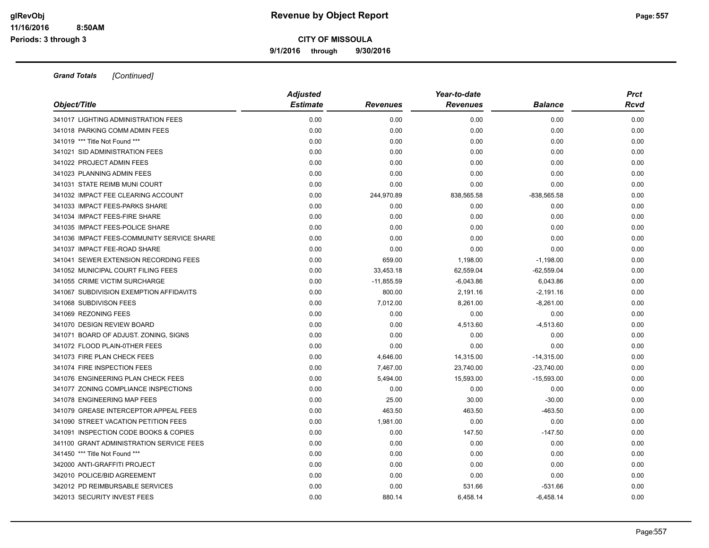**9/1/2016 through 9/30/2016**

| Object/Title                               | <b>Adjusted</b><br><b>Estimate</b> | <b>Revenues</b> | Year-to-date<br><b>Revenues</b> | <b>Balance</b> | <b>Prct</b><br>Rcvd |
|--------------------------------------------|------------------------------------|-----------------|---------------------------------|----------------|---------------------|
| 341017 LIGHTING ADMINISTRATION FEES        | 0.00                               | 0.00            | 0.00                            | 0.00           | 0.00                |
| 341018 PARKING COMM ADMIN FEES             | 0.00                               | 0.00            | 0.00                            | 0.00           | 0.00                |
| 341019 *** Title Not Found ***             | 0.00                               | 0.00            | 0.00                            | 0.00           | 0.00                |
| 341021 SID ADMINISTRATION FEES             | 0.00                               | 0.00            | 0.00                            | 0.00           | 0.00                |
| 341022 PROJECT ADMIN FEES                  | 0.00                               | 0.00            | 0.00                            | 0.00           | 0.00                |
| 341023 PLANNING ADMIN FEES                 | 0.00                               | 0.00            | 0.00                            | 0.00           | 0.00                |
| 341031 STATE REIMB MUNI COURT              | 0.00                               | 0.00            | 0.00                            | 0.00           | 0.00                |
| 341032 IMPACT FEE CLEARING ACCOUNT         | 0.00                               | 244,970.89      | 838,565.58                      | $-838,565.58$  | 0.00                |
| 341033 IMPACT FEES-PARKS SHARE             | 0.00                               | 0.00            | 0.00                            | 0.00           | 0.00                |
| 341034 IMPACT FEES-FIRE SHARE              | 0.00                               | 0.00            | 0.00                            | 0.00           | 0.00                |
| 341035 IMPACT FEES-POLICE SHARE            | 0.00                               | 0.00            | 0.00                            | 0.00           | 0.00                |
| 341036 IMPACT FEES-COMMUNITY SERVICE SHARE | 0.00                               | 0.00            | 0.00                            | 0.00           | 0.00                |
| 341037 IMPACT FEE-ROAD SHARE               | 0.00                               | 0.00            | 0.00                            | 0.00           | 0.00                |
| 341041 SEWER EXTENSION RECORDING FEES      | 0.00                               | 659.00          | 1,198.00                        | $-1,198.00$    | 0.00                |
| 341052 MUNICIPAL COURT FILING FEES         | 0.00                               | 33,453.18       | 62,559.04                       | $-62,559.04$   | 0.00                |
| 341055 CRIME VICTIM SURCHARGE              | 0.00                               | $-11,855.59$    | $-6,043.86$                     | 6,043.86       | 0.00                |
| 341067 SUBDIVISION EXEMPTION AFFIDAVITS    | 0.00                               | 800.00          | 2,191.16                        | $-2,191.16$    | 0.00                |
| 341068 SUBDIVISON FEES                     | 0.00                               | 7,012.00        | 8,261.00                        | $-8,261.00$    | 0.00                |
| 341069 REZONING FEES                       | 0.00                               | 0.00            | 0.00                            | 0.00           | 0.00                |
| 341070 DESIGN REVIEW BOARD                 | 0.00                               | 0.00            | 4,513.60                        | $-4,513.60$    | 0.00                |
| 341071 BOARD OF ADJUST, ZONING, SIGNS      | 0.00                               | 0.00            | 0.00                            | 0.00           | 0.00                |
| 341072 FLOOD PLAIN-0THER FEES              | 0.00                               | 0.00            | 0.00                            | 0.00           | 0.00                |
| 341073 FIRE PLAN CHECK FEES                | 0.00                               | 4,646.00        | 14,315.00                       | $-14,315.00$   | 0.00                |
| 341074 FIRE INSPECTION FEES                | 0.00                               | 7,467.00        | 23,740.00                       | $-23,740.00$   | 0.00                |
| 341076 ENGINEERING PLAN CHECK FEES         | 0.00                               | 5,494.00        | 15,593.00                       | $-15,593.00$   | 0.00                |
| 341077 ZONING COMPLIANCE INSPECTIONS       | 0.00                               | 0.00            | 0.00                            | 0.00           | 0.00                |
| 341078 ENGINEERING MAP FEES                | 0.00                               | 25.00           | 30.00                           | $-30.00$       | 0.00                |
| 341079 GREASE INTERCEPTOR APPEAL FEES      | 0.00                               | 463.50          | 463.50                          | $-463.50$      | 0.00                |
| 341090 STREET VACATION PETITION FEES       | 0.00                               | 1,981.00        | 0.00                            | 0.00           | 0.00                |
| 341091 INSPECTION CODE BOOKS & COPIES      | 0.00                               | 0.00            | 147.50                          | $-147.50$      | 0.00                |
| 341100 GRANT ADMINISTRATION SERVICE FEES   | 0.00                               | 0.00            | 0.00                            | 0.00           | 0.00                |
| 341450 *** Title Not Found ***             | 0.00                               | 0.00            | 0.00                            | 0.00           | 0.00                |
| 342000 ANTI-GRAFFITI PROJECT               | 0.00                               | 0.00            | 0.00                            | 0.00           | 0.00                |
| 342010 POLICE/BID AGREEMENT                | 0.00                               | 0.00            | 0.00                            | 0.00           | 0.00                |
| 342012 PD REIMBURSABLE SERVICES            | 0.00                               | 0.00            | 531.66                          | $-531.66$      | 0.00                |
| 342013 SECURITY INVEST FEES                | 0.00                               | 880.14          | 6,458.14                        | $-6,458.14$    | 0.00                |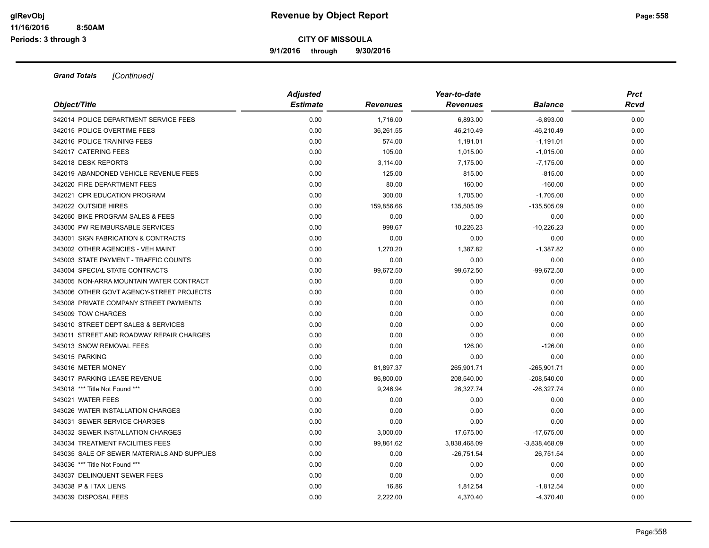**9/1/2016 through 9/30/2016**

| Object/Title                                | <b>Adjusted</b> |                 | Year-to-date    |                 | <b>Prct</b> |  |
|---------------------------------------------|-----------------|-----------------|-----------------|-----------------|-------------|--|
|                                             | <b>Estimate</b> | <b>Revenues</b> | <b>Revenues</b> | <b>Balance</b>  | Rcvd        |  |
| 342014 POLICE DEPARTMENT SERVICE FEES       | 0.00            | 1,716.00        | 6,893.00        | $-6,893.00$     | 0.00        |  |
| 342015 POLICE OVERTIME FEES                 | 0.00            | 36,261.55       | 46,210.49       | $-46,210.49$    | 0.00        |  |
| 342016 POLICE TRAINING FEES                 | 0.00            | 574.00          | 1,191.01        | $-1,191.01$     | 0.00        |  |
| 342017 CATERING FEES                        | 0.00            | 105.00          | 1,015.00        | $-1,015.00$     | 0.00        |  |
| 342018 DESK REPORTS                         | 0.00            | 3,114.00        | 7,175.00        | $-7,175.00$     | 0.00        |  |
| 342019 ABANDONED VEHICLE REVENUE FEES       | 0.00            | 125.00          | 815.00          | $-815.00$       | 0.00        |  |
| 342020 FIRE DEPARTMENT FEES                 | 0.00            | 80.00           | 160.00          | $-160.00$       | 0.00        |  |
| 342021 CPR EDUCATION PROGRAM                | 0.00            | 300.00          | 1,705.00        | $-1,705.00$     | 0.00        |  |
| 342022 OUTSIDE HIRES                        | 0.00            | 159,856.66      | 135,505.09      | $-135,505.09$   | 0.00        |  |
| 342060 BIKE PROGRAM SALES & FEES            | 0.00            | 0.00            | 0.00            | 0.00            | 0.00        |  |
| 343000 PW REIMBURSABLE SERVICES             | 0.00            | 998.67          | 10,226.23       | $-10,226.23$    | 0.00        |  |
| 343001 SIGN FABRICATION & CONTRACTS         | 0.00            | 0.00            | 0.00            | 0.00            | 0.00        |  |
| 343002 OTHER AGENCIES - VEH MAINT           | 0.00            | 1,270.20        | 1,387.82        | $-1,387.82$     | 0.00        |  |
| 343003 STATE PAYMENT - TRAFFIC COUNTS       | 0.00            | 0.00            | 0.00            | 0.00            | 0.00        |  |
| 343004 SPECIAL STATE CONTRACTS              | 0.00            | 99,672.50       | 99,672.50       | $-99,672.50$    | 0.00        |  |
| 343005 NON-ARRA MOUNTAIN WATER CONTRACT     | 0.00            | 0.00            | 0.00            | 0.00            | 0.00        |  |
| 343006 OTHER GOVT AGENCY-STREET PROJECTS    | 0.00            | 0.00            | 0.00            | 0.00            | 0.00        |  |
| 343008 PRIVATE COMPANY STREET PAYMENTS      | 0.00            | 0.00            | 0.00            | 0.00            | 0.00        |  |
| 343009 TOW CHARGES                          | 0.00            | 0.00            | 0.00            | 0.00            | 0.00        |  |
| 343010 STREET DEPT SALES & SERVICES         | 0.00            | 0.00            | 0.00            | 0.00            | 0.00        |  |
| 343011 STREET AND ROADWAY REPAIR CHARGES    | 0.00            | 0.00            | 0.00            | 0.00            | 0.00        |  |
| 343013 SNOW REMOVAL FEES                    | 0.00            | 0.00            | 126.00          | $-126.00$       | 0.00        |  |
| 343015 PARKING                              | 0.00            | 0.00            | 0.00            | 0.00            | 0.00        |  |
| 343016 METER MONEY                          | 0.00            | 81,897.37       | 265,901.71      | $-265,901.71$   | 0.00        |  |
| 343017 PARKING LEASE REVENUE                | 0.00            | 86,800.00       | 208,540.00      | $-208,540.00$   | 0.00        |  |
| 343018 *** Title Not Found ***              | 0.00            | 9,246.94        | 26,327.74       | $-26,327.74$    | 0.00        |  |
| 343021 WATER FEES                           | 0.00            | 0.00            | 0.00            | 0.00            | 0.00        |  |
| 343026 WATER INSTALLATION CHARGES           | 0.00            | 0.00            | 0.00            | 0.00            | 0.00        |  |
| 343031 SEWER SERVICE CHARGES                | 0.00            | 0.00            | 0.00            | 0.00            | 0.00        |  |
| 343032 SEWER INSTALLATION CHARGES           | 0.00            | 3,000.00        | 17,675.00       | $-17,675.00$    | 0.00        |  |
| 343034 TREATMENT FACILITIES FEES            | 0.00            | 99,861.62       | 3,838,468.09    | $-3,838,468.09$ | 0.00        |  |
| 343035 SALE OF SEWER MATERIALS AND SUPPLIES | 0.00            | 0.00            | $-26,751.54$    | 26,751.54       | 0.00        |  |
| 343036 *** Title Not Found ***              | 0.00            | 0.00            | 0.00            | 0.00            | 0.00        |  |
| 343037 DELINQUENT SEWER FEES                | 0.00            | 0.00            | 0.00            | 0.00            | 0.00        |  |
| 343038 P & I TAX LIENS                      | 0.00            | 16.86           | 1,812.54        | $-1,812.54$     | 0.00        |  |
| 343039 DISPOSAL FEES                        | 0.00            | 2,222.00        | 4,370.40        | $-4,370.40$     | 0.00        |  |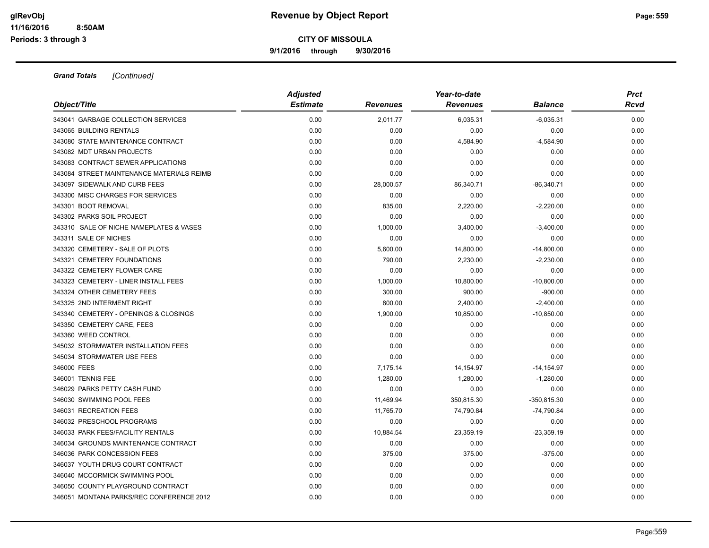**9/1/2016 through 9/30/2016**

| Object/Title                              | <b>Adjusted</b><br><b>Estimate</b> | <b>Revenues</b> | Year-to-date<br><b>Revenues</b> | <b>Balance</b> | <b>Prct</b><br>Rcvd |
|-------------------------------------------|------------------------------------|-----------------|---------------------------------|----------------|---------------------|
| 343041 GARBAGE COLLECTION SERVICES        | 0.00                               | 2,011.77        | 6,035.31                        | $-6,035.31$    | 0.00                |
| 343065 BUILDING RENTALS                   | 0.00                               | 0.00            | 0.00                            | 0.00           | 0.00                |
| 343080 STATE MAINTENANCE CONTRACT         | 0.00                               | 0.00            | 4,584.90                        | $-4,584.90$    | 0.00                |
| 343082 MDT URBAN PROJECTS                 | 0.00                               | 0.00            | 0.00                            | 0.00           | 0.00                |
| 343083 CONTRACT SEWER APPLICATIONS        | 0.00                               | 0.00            | 0.00                            | 0.00           | 0.00                |
| 343084 STREET MAINTENANCE MATERIALS REIMB | 0.00                               | 0.00            | 0.00                            | 0.00           | 0.00                |
| 343097 SIDEWALK AND CURB FEES             | 0.00                               | 28,000.57       | 86,340.71                       | $-86,340.71$   | 0.00                |
| 343300 MISC CHARGES FOR SERVICES          | 0.00                               | 0.00            | 0.00                            | 0.00           | 0.00                |
| 343301 BOOT REMOVAL                       | 0.00                               | 835.00          | 2,220.00                        | $-2,220.00$    | 0.00                |
| 343302 PARKS SOIL PROJECT                 | 0.00                               | 0.00            | 0.00                            | 0.00           | 0.00                |
| 343310 SALE OF NICHE NAMEPLATES & VASES   | 0.00                               | 1,000.00        | 3,400.00                        | $-3,400.00$    | 0.00                |
| 343311 SALE OF NICHES                     | 0.00                               | 0.00            | 0.00                            | 0.00           | 0.00                |
| 343320 CEMETERY - SALE OF PLOTS           | 0.00                               | 5,600.00        | 14,800.00                       | $-14,800.00$   | 0.00                |
| 343321 CEMETERY FOUNDATIONS               | 0.00                               | 790.00          | 2,230.00                        | $-2,230.00$    | 0.00                |
| 343322 CEMETERY FLOWER CARE               | 0.00                               | 0.00            | 0.00                            | 0.00           | 0.00                |
| 343323 CEMETERY - LINER INSTALL FEES      | 0.00                               | 1,000.00        | 10,800.00                       | $-10,800.00$   | 0.00                |
| 343324 OTHER CEMETERY FEES                | 0.00                               | 300.00          | 900.00                          | $-900.00$      | 0.00                |
| 343325 2ND INTERMENT RIGHT                | 0.00                               | 800.00          | 2,400.00                        | $-2,400.00$    | 0.00                |
| 343340 CEMETERY - OPENINGS & CLOSINGS     | 0.00                               | 1,900.00        | 10,850.00                       | $-10,850.00$   | 0.00                |
| 343350 CEMETERY CARE, FEES                | 0.00                               | 0.00            | 0.00                            | 0.00           | 0.00                |
| 343360 WEED CONTROL                       | 0.00                               | 0.00            | 0.00                            | 0.00           | 0.00                |
| 345032 STORMWATER INSTALLATION FEES       | 0.00                               | 0.00            | 0.00                            | 0.00           | 0.00                |
| 345034 STORMWATER USE FEES                | 0.00                               | 0.00            | 0.00                            | 0.00           | 0.00                |
| 346000 FEES                               | 0.00                               | 7,175.14        | 14,154.97                       | $-14, 154.97$  | 0.00                |
| 346001 TENNIS FEE                         | 0.00                               | 1,280.00        | 1,280.00                        | $-1,280.00$    | 0.00                |
| 346029 PARKS PETTY CASH FUND              | 0.00                               | 0.00            | 0.00                            | 0.00           | 0.00                |
| 346030 SWIMMING POOL FEES                 | 0.00                               | 11,469.94       | 350,815.30                      | -350,815.30    | 0.00                |
| 346031 RECREATION FEES                    | 0.00                               | 11,765.70       | 74,790.84                       | $-74,790.84$   | 0.00                |
| 346032 PRESCHOOL PROGRAMS                 | 0.00                               | 0.00            | 0.00                            | 0.00           | 0.00                |
| 346033 PARK FEES/FACILITY RENTALS         | 0.00                               | 10,884.54       | 23,359.19                       | $-23,359.19$   | 0.00                |
| 346034 GROUNDS MAINTENANCE CONTRACT       | 0.00                               | 0.00            | 0.00                            | 0.00           | 0.00                |
| 346036 PARK CONCESSION FEES               | 0.00                               | 375.00          | 375.00                          | $-375.00$      | 0.00                |
| 346037 YOUTH DRUG COURT CONTRACT          | 0.00                               | 0.00            | 0.00                            | 0.00           | 0.00                |
| 346040 MCCORMICK SWIMMING POOL            | 0.00                               | 0.00            | 0.00                            | 0.00           | 0.00                |
| 346050 COUNTY PLAYGROUND CONTRACT         | 0.00                               | 0.00            | 0.00                            | 0.00           | 0.00                |
| 346051 MONTANA PARKS/REC CONFERENCE 2012  | 0.00                               | 0.00            | 0.00                            | 0.00           | 0.00                |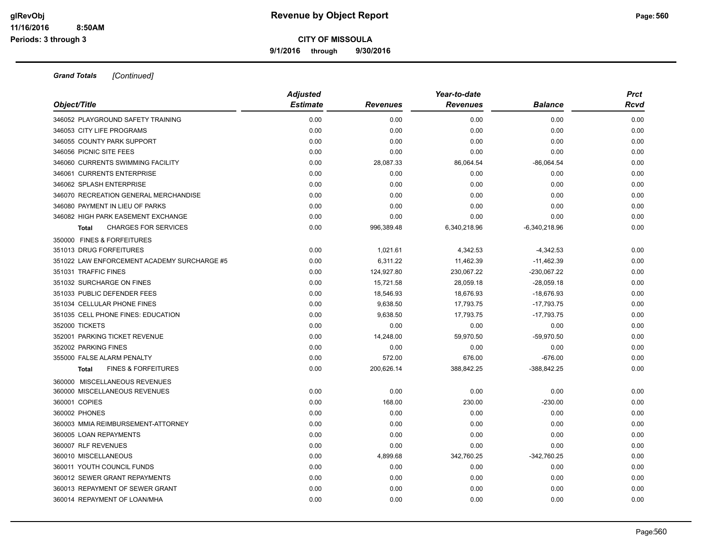**9/1/2016 through 9/30/2016**

| Object/Title                                   | <b>Adjusted</b><br><b>Estimate</b> | <b>Revenues</b> | Year-to-date<br><b>Revenues</b> | <b>Balance</b>  | <b>Prct</b><br>Rcvd |
|------------------------------------------------|------------------------------------|-----------------|---------------------------------|-----------------|---------------------|
|                                                |                                    |                 |                                 |                 |                     |
| 346052 PLAYGROUND SAFETY TRAINING              | 0.00                               | 0.00            | 0.00                            | 0.00            | 0.00                |
| 346053 CITY LIFE PROGRAMS                      | 0.00                               | 0.00            | 0.00                            | 0.00            | 0.00                |
| 346055 COUNTY PARK SUPPORT                     | 0.00                               | 0.00            | 0.00                            | 0.00            | 0.00                |
| 346056 PICNIC SITE FEES                        | 0.00                               | 0.00            | 0.00                            | 0.00            | 0.00                |
| 346060 CURRENTS SWIMMING FACILITY              | 0.00                               | 28,087.33       | 86,064.54                       | $-86,064.54$    | 0.00                |
| 346061 CURRENTS ENTERPRISE                     | 0.00                               | 0.00            | 0.00                            | 0.00            | 0.00                |
| 346062 SPLASH ENTERPRISE                       | 0.00                               | 0.00            | 0.00                            | 0.00            | 0.00                |
| 346070 RECREATION GENERAL MERCHANDISE          | 0.00                               | 0.00            | 0.00                            | 0.00            | 0.00                |
| 346080 PAYMENT IN LIEU OF PARKS                | 0.00                               | 0.00            | 0.00                            | 0.00            | 0.00                |
| 346082 HIGH PARK EASEMENT EXCHANGE             | 0.00                               | 0.00            | 0.00                            | 0.00            | 0.00                |
| <b>CHARGES FOR SERVICES</b><br><b>Total</b>    | 0.00                               | 996,389.48      | 6,340,218.96                    | $-6,340,218.96$ | 0.00                |
| 350000 FINES & FORFEITURES                     |                                    |                 |                                 |                 |                     |
| 351013 DRUG FORFEITURES                        | 0.00                               | 1,021.61        | 4,342.53                        | $-4,342.53$     | 0.00                |
| 351022 LAW ENFORCEMENT ACADEMY SURCHARGE #5    | 0.00                               | 6,311.22        | 11,462.39                       | $-11,462.39$    | 0.00                |
| 351031 TRAFFIC FINES                           | 0.00                               | 124,927.80      | 230,067.22                      | $-230,067.22$   | 0.00                |
| 351032 SURCHARGE ON FINES                      | 0.00                               | 15,721.58       | 28,059.18                       | $-28,059.18$    | 0.00                |
| 351033 PUBLIC DEFENDER FEES                    | 0.00                               | 18,546.93       | 18,676.93                       | $-18,676.93$    | 0.00                |
| 351034 CELLULAR PHONE FINES                    | 0.00                               | 9,638.50        | 17,793.75                       | $-17,793.75$    | 0.00                |
| 351035 CELL PHONE FINES: EDUCATION             | 0.00                               | 9,638.50        | 17,793.75                       | $-17,793.75$    | 0.00                |
| 352000 TICKETS                                 | 0.00                               | 0.00            | 0.00                            | 0.00            | 0.00                |
| 352001 PARKING TICKET REVENUE                  | 0.00                               | 14,248.00       | 59,970.50                       | $-59,970.50$    | 0.00                |
| 352002 PARKING FINES                           | 0.00                               | 0.00            | 0.00                            | 0.00            | 0.00                |
| 355000 FALSE ALARM PENALTY                     | 0.00                               | 572.00          | 676.00                          | $-676.00$       | 0.00                |
| <b>FINES &amp; FORFEITURES</b><br><b>Total</b> | 0.00                               | 200,626.14      | 388,842.25                      | $-388,842.25$   | 0.00                |
| 360000 MISCELLANEOUS REVENUES                  |                                    |                 |                                 |                 |                     |
| 360000 MISCELLANEOUS REVENUES                  | 0.00                               | 0.00            | 0.00                            | 0.00            | 0.00                |
| 360001 COPIES                                  | 0.00                               | 168.00          | 230.00                          | $-230.00$       | 0.00                |
| 360002 PHONES                                  | 0.00                               | 0.00            | 0.00                            | 0.00            | 0.00                |
| 360003 MMIA REIMBURSEMENT-ATTORNEY             | 0.00                               | 0.00            | 0.00                            | 0.00            | 0.00                |
| 360005 LOAN REPAYMENTS                         | 0.00                               | 0.00            | 0.00                            | 0.00            | 0.00                |
| 360007 RLF REVENUES                            | 0.00                               | 0.00            | 0.00                            | 0.00            | 0.00                |
| 360010 MISCELLANEOUS                           | 0.00                               | 4,899.68        | 342,760.25                      | $-342,760.25$   | 0.00                |
| 360011 YOUTH COUNCIL FUNDS                     | 0.00                               | 0.00            | 0.00                            | 0.00            | 0.00                |
| 360012 SEWER GRANT REPAYMENTS                  | 0.00                               | 0.00            | 0.00                            | 0.00            | 0.00                |
| 360013 REPAYMENT OF SEWER GRANT                | 0.00                               | 0.00            | 0.00                            | 0.00            | 0.00                |
| 360014 REPAYMENT OF LOAN/MHA                   | 0.00                               | 0.00            | 0.00                            | 0.00            | 0.00                |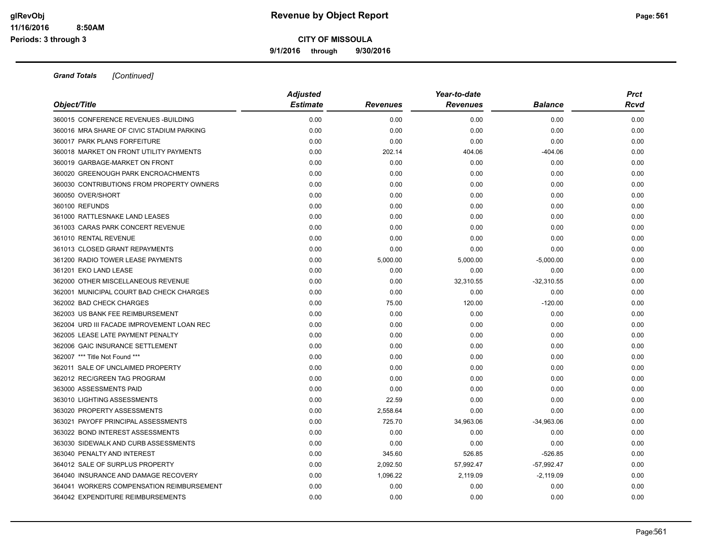**9/1/2016 through 9/30/2016**

| Object/Title                               | <b>Adjusted</b><br><b>Estimate</b> | <b>Revenues</b> | Year-to-date<br><b>Revenues</b> | <b>Balance</b> | <b>Prct</b><br>Rcvd |
|--------------------------------------------|------------------------------------|-----------------|---------------------------------|----------------|---------------------|
| 360015 CONFERENCE REVENUES - BUILDING      | 0.00                               | 0.00            | 0.00                            | 0.00           | 0.00                |
| 360016 MRA SHARE OF CIVIC STADIUM PARKING  | 0.00                               | 0.00            | 0.00                            | 0.00           | 0.00                |
| 360017 PARK PLANS FORFEITURE               | 0.00                               | 0.00            | 0.00                            | 0.00           | 0.00                |
| 360018 MARKET ON FRONT UTILITY PAYMENTS    | 0.00                               | 202.14          | 404.06                          | $-404.06$      | 0.00                |
| 360019 GARBAGE-MARKET ON FRONT             | 0.00                               | 0.00            | 0.00                            | 0.00           | 0.00                |
| 360020 GREENOUGH PARK ENCROACHMENTS        | 0.00                               | 0.00            | 0.00                            | 0.00           | 0.00                |
| 360030 CONTRIBUTIONS FROM PROPERTY OWNERS  | 0.00                               | 0.00            | 0.00                            | 0.00           | 0.00                |
| 360050 OVER/SHORT                          | 0.00                               | 0.00            | 0.00                            | 0.00           | 0.00                |
| 360100 REFUNDS                             | 0.00                               | 0.00            | 0.00                            | 0.00           | 0.00                |
| 361000 RATTLESNAKE LAND LEASES             | 0.00                               | 0.00            | 0.00                            | 0.00           | 0.00                |
| 361003 CARAS PARK CONCERT REVENUE          | 0.00                               | 0.00            | 0.00                            | 0.00           | 0.00                |
| 361010 RENTAL REVENUE                      | 0.00                               | 0.00            | 0.00                            | 0.00           | 0.00                |
| 361013 CLOSED GRANT REPAYMENTS             | 0.00                               | 0.00            | 0.00                            | 0.00           | 0.00                |
| 361200 RADIO TOWER LEASE PAYMENTS          | 0.00                               | 5,000.00        | 5,000.00                        | $-5,000.00$    | 0.00                |
| 361201 EKO LAND LEASE                      | 0.00                               | 0.00            | 0.00                            | 0.00           | 0.00                |
| 362000 OTHER MISCELLANEOUS REVENUE         | 0.00                               | 0.00            | 32,310.55                       | $-32,310.55$   | 0.00                |
| 362001 MUNICIPAL COURT BAD CHECK CHARGES   | 0.00                               | 0.00            | 0.00                            | 0.00           | 0.00                |
| 362002 BAD CHECK CHARGES                   | 0.00                               | 75.00           | 120.00                          | $-120.00$      | 0.00                |
| 362003 US BANK FEE REIMBURSEMENT           | 0.00                               | 0.00            | 0.00                            | 0.00           | 0.00                |
| 362004 URD III FACADE IMPROVEMENT LOAN REC | 0.00                               | 0.00            | 0.00                            | 0.00           | 0.00                |
| 362005 LEASE LATE PAYMENT PENALTY          | 0.00                               | 0.00            | 0.00                            | 0.00           | 0.00                |
| 362006 GAIC INSURANCE SETTLEMENT           | 0.00                               | 0.00            | 0.00                            | 0.00           | 0.00                |
| 362007 *** Title Not Found ***             | 0.00                               | 0.00            | 0.00                            | 0.00           | 0.00                |
| 362011 SALE OF UNCLAIMED PROPERTY          | 0.00                               | 0.00            | 0.00                            | 0.00           | 0.00                |
| 362012 REC/GREEN TAG PROGRAM               | 0.00                               | 0.00            | 0.00                            | 0.00           | 0.00                |
| 363000 ASSESSMENTS PAID                    | 0.00                               | 0.00            | 0.00                            | 0.00           | 0.00                |
| 363010 LIGHTING ASSESSMENTS                | 0.00                               | 22.59           | 0.00                            | 0.00           | 0.00                |
| 363020 PROPERTY ASSESSMENTS                | 0.00                               | 2,558.64        | 0.00                            | 0.00           | 0.00                |
| 363021 PAYOFF PRINCIPAL ASSESSMENTS        | 0.00                               | 725.70          | 34,963.06                       | $-34,963.06$   | 0.00                |
| 363022 BOND INTEREST ASSESSMENTS           | 0.00                               | 0.00            | 0.00                            | 0.00           | 0.00                |
| 363030 SIDEWALK AND CURB ASSESSMENTS       | 0.00                               | 0.00            | 0.00                            | 0.00           | 0.00                |
| 363040 PENALTY AND INTEREST                | 0.00                               | 345.60          | 526.85                          | $-526.85$      | 0.00                |
| 364012 SALE OF SURPLUS PROPERTY            | 0.00                               | 2,092.50        | 57,992.47                       | $-57,992.47$   | 0.00                |
| 364040 INSURANCE AND DAMAGE RECOVERY       | 0.00                               | 1,096.22        | 2,119.09                        | $-2,119.09$    | 0.00                |
| 364041 WORKERS COMPENSATION REIMBURSEMENT  | 0.00                               | 0.00            | 0.00                            | 0.00           | 0.00                |
| 364042 EXPENDITURE REIMBURSEMENTS          | 0.00                               | 0.00            | 0.00                            | 0.00           | 0.00                |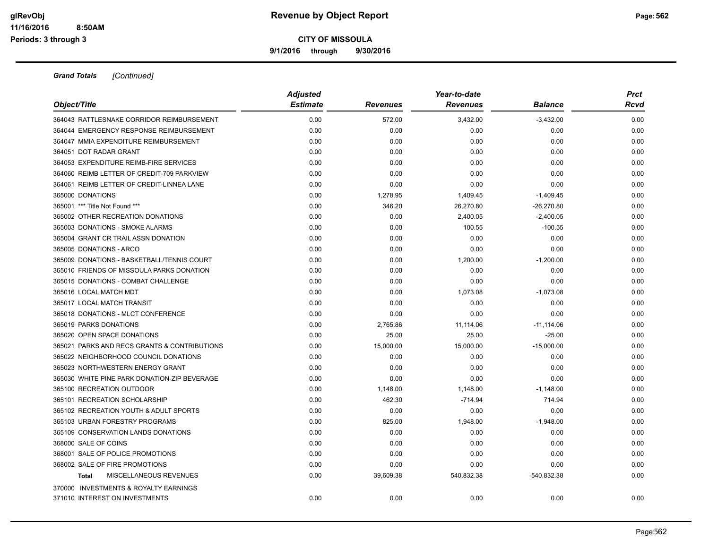**9/1/2016 through 9/30/2016**

| Object/Title                                 | <b>Adjusted</b> |                 | Year-to-date    |                | <b>Prct</b> |  |
|----------------------------------------------|-----------------|-----------------|-----------------|----------------|-------------|--|
|                                              | <b>Estimate</b> | <b>Revenues</b> | <b>Revenues</b> | <b>Balance</b> | Rcvd        |  |
| 364043 RATTLESNAKE CORRIDOR REIMBURSEMENT    | 0.00            | 572.00          | 3,432.00        | $-3,432.00$    | 0.00        |  |
| 364044 EMERGENCY RESPONSE REIMBURSEMENT      | 0.00            | 0.00            | 0.00            | 0.00           | 0.00        |  |
| 364047 MMIA EXPENDITURE REIMBURSEMENT        | 0.00            | 0.00            | 0.00            | 0.00           | 0.00        |  |
| 364051 DOT RADAR GRANT                       | 0.00            | 0.00            | 0.00            | 0.00           | 0.00        |  |
| 364053 EXPENDITURE REIMB-FIRE SERVICES       | 0.00            | 0.00            | 0.00            | 0.00           | 0.00        |  |
| 364060 REIMB LETTER OF CREDIT-709 PARKVIEW   | 0.00            | 0.00            | 0.00            | 0.00           | 0.00        |  |
| 364061 REIMB LETTER OF CREDIT-LINNEA LANE    | 0.00            | 0.00            | 0.00            | 0.00           | 0.00        |  |
| 365000 DONATIONS                             | 0.00            | 1,278.95        | 1,409.45        | $-1,409.45$    | 0.00        |  |
| 365001 *** Title Not Found ***               | 0.00            | 346.20          | 26,270.80       | $-26,270.80$   | 0.00        |  |
| 365002 OTHER RECREATION DONATIONS            | 0.00            | 0.00            | 2,400.05        | $-2,400.05$    | 0.00        |  |
| 365003 DONATIONS - SMOKE ALARMS              | 0.00            | 0.00            | 100.55          | $-100.55$      | 0.00        |  |
| 365004 GRANT CR TRAIL ASSN DONATION          | 0.00            | 0.00            | 0.00            | 0.00           | 0.00        |  |
| 365005 DONATIONS - ARCO                      | 0.00            | 0.00            | 0.00            | 0.00           | 0.00        |  |
| 365009 DONATIONS - BASKETBALL/TENNIS COURT   | 0.00            | 0.00            | 1,200.00        | $-1,200.00$    | 0.00        |  |
| 365010 FRIENDS OF MISSOULA PARKS DONATION    | 0.00            | 0.00            | 0.00            | 0.00           | 0.00        |  |
| 365015 DONATIONS - COMBAT CHALLENGE          | 0.00            | 0.00            | 0.00            | 0.00           | 0.00        |  |
| 365016 LOCAL MATCH MDT                       | 0.00            | 0.00            | 1,073.08        | $-1,073.08$    | 0.00        |  |
| 365017 LOCAL MATCH TRANSIT                   | 0.00            | 0.00            | 0.00            | 0.00           | 0.00        |  |
| 365018 DONATIONS - MLCT CONFERENCE           | 0.00            | 0.00            | 0.00            | 0.00           | 0.00        |  |
| 365019 PARKS DONATIONS                       | 0.00            | 2,765.86        | 11,114.06       | $-11,114.06$   | 0.00        |  |
| 365020 OPEN SPACE DONATIONS                  | 0.00            | 25.00           | 25.00           | $-25.00$       | 0.00        |  |
| 365021 PARKS AND RECS GRANTS & CONTRIBUTIONS | 0.00            | 15,000.00       | 15,000.00       | $-15,000.00$   | 0.00        |  |
| 365022 NEIGHBORHOOD COUNCIL DONATIONS        | 0.00            | 0.00            | 0.00            | 0.00           | 0.00        |  |
| 365023 NORTHWESTERN ENERGY GRANT             | 0.00            | 0.00            | 0.00            | 0.00           | 0.00        |  |
| 365030 WHITE PINE PARK DONATION-ZIP BEVERAGE | 0.00            | 0.00            | 0.00            | 0.00           | 0.00        |  |
| 365100 RECREATION OUTDOOR                    | 0.00            | 1,148.00        | 1,148.00        | $-1,148.00$    | 0.00        |  |
| 365101 RECREATION SCHOLARSHIP                | 0.00            | 462.30          | $-714.94$       | 714.94         | 0.00        |  |
| 365102 RECREATION YOUTH & ADULT SPORTS       | 0.00            | 0.00            | 0.00            | 0.00           | 0.00        |  |
| 365103 URBAN FORESTRY PROGRAMS               | 0.00            | 825.00          | 1,948.00        | $-1,948.00$    | 0.00        |  |
| 365109 CONSERVATION LANDS DONATIONS          | 0.00            | 0.00            | 0.00            | 0.00           | 0.00        |  |
| 368000 SALE OF COINS                         | 0.00            | 0.00            | 0.00            | 0.00           | 0.00        |  |
| 368001 SALE OF POLICE PROMOTIONS             | 0.00            | 0.00            | 0.00            | 0.00           | 0.00        |  |
| 368002 SALE OF FIRE PROMOTIONS               | 0.00            | 0.00            | 0.00            | 0.00           | 0.00        |  |
| MISCELLANEOUS REVENUES<br><b>Total</b>       | 0.00            | 39,609.38       | 540,832.38      | $-540,832.38$  | 0.00        |  |
| 370000 INVESTMENTS & ROYALTY EARNINGS        |                 |                 |                 |                |             |  |
| 371010 INTEREST ON INVESTMENTS               | 0.00            | 0.00            | 0.00            | 0.00           | 0.00        |  |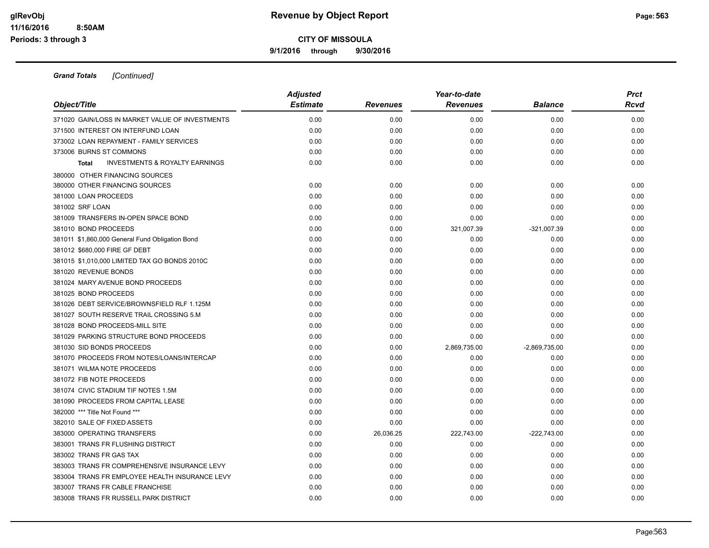**9/1/2016 through 9/30/2016**

| Object/Title                                                     | <b>Adjusted</b><br><b>Estimate</b> | <b>Revenues</b> | Year-to-date<br><b>Revenues</b> | <b>Balance</b>  | <b>Prct</b><br>Rcvd |
|------------------------------------------------------------------|------------------------------------|-----------------|---------------------------------|-----------------|---------------------|
| 371020 GAIN/LOSS IN MARKET VALUE OF INVESTMENTS                  | 0.00                               | 0.00            | 0.00                            | 0.00            | 0.00                |
| 371500 INTEREST ON INTERFUND LOAN                                | 0.00                               | 0.00            | 0.00                            | 0.00            | 0.00                |
| 373002 LOAN REPAYMENT - FAMILY SERVICES                          | 0.00                               | 0.00            | 0.00                            | 0.00            | 0.00                |
| 373006 BURNS ST COMMONS                                          | 0.00                               | 0.00            | 0.00                            | 0.00            | 0.00                |
| <b>INVESTMENTS &amp; ROYALTY EARNINGS</b><br><b>Total</b>        | 0.00                               | 0.00            | 0.00                            | 0.00            | 0.00                |
|                                                                  |                                    |                 |                                 |                 |                     |
| 380000 OTHER FINANCING SOURCES<br>380000 OTHER FINANCING SOURCES | 0.00                               | 0.00            | 0.00                            | 0.00            | 0.00                |
| 381000 LOAN PROCEEDS                                             | 0.00                               | 0.00            | 0.00                            | 0.00            | 0.00                |
| 381002 SRF LOAN                                                  | 0.00                               | 0.00            | 0.00                            | 0.00            | 0.00                |
| 381009 TRANSFERS IN-OPEN SPACE BOND                              | 0.00                               | 0.00            | 0.00                            | 0.00            | 0.00                |
| 381010 BOND PROCEEDS                                             | 0.00                               | 0.00            | 321,007.39                      | $-321,007.39$   | 0.00                |
| 381011 \$1,860,000 General Fund Obligation Bond                  | 0.00                               | 0.00            | 0.00                            | 0.00            | 0.00                |
| 381012 \$680,000 FIRE GF DEBT                                    | 0.00                               | 0.00            | 0.00                            | 0.00            | 0.00                |
| 381015 \$1,010,000 LIMITED TAX GO BONDS 2010C                    | 0.00                               | 0.00            | 0.00                            | 0.00            | 0.00                |
| 381020 REVENUE BONDS                                             | 0.00                               | 0.00            | 0.00                            | 0.00            | 0.00                |
| 381024 MARY AVENUE BOND PROCEEDS                                 | 0.00                               | 0.00            | 0.00                            | 0.00            | 0.00                |
| 381025 BOND PROCEEDS                                             | 0.00                               | 0.00            | 0.00                            | 0.00            | 0.00                |
| 381026 DEBT SERVICE/BROWNSFIELD RLF 1.125M                       | 0.00                               | 0.00            | 0.00                            | 0.00            | 0.00                |
| 381027 SOUTH RESERVE TRAIL CROSSING 5.M                          | 0.00                               | 0.00            | 0.00                            | 0.00            | 0.00                |
| 381028 BOND PROCEEDS-MILL SITE                                   | 0.00                               | 0.00            | 0.00                            | 0.00            | 0.00                |
| 381029 PARKING STRUCTURE BOND PROCEEDS                           | 0.00                               | 0.00            | 0.00                            | 0.00            | 0.00                |
| 381030 SID BONDS PROCEEDS                                        | 0.00                               | 0.00            | 2,869,735.00                    | $-2,869,735.00$ | 0.00                |
| 381070 PROCEEDS FROM NOTES/LOANS/INTERCAP                        | 0.00                               | 0.00            | 0.00                            | 0.00            | 0.00                |
| 381071 WILMA NOTE PROCEEDS                                       | 0.00                               | 0.00            | 0.00                            | 0.00            | 0.00                |
| 381072 FIB NOTE PROCEEDS                                         | 0.00                               | 0.00            | 0.00                            | 0.00            | 0.00                |
| 381074 CIVIC STADIUM TIF NOTES 1.5M                              | 0.00                               | 0.00            | 0.00                            | 0.00            | 0.00                |
| 381090 PROCEEDS FROM CAPITAL LEASE                               | 0.00                               | 0.00            | 0.00                            | 0.00            | 0.00                |
| 382000 *** Title Not Found ***                                   | 0.00                               | 0.00            | 0.00                            | 0.00            | 0.00                |
| 382010 SALE OF FIXED ASSETS                                      | 0.00                               | 0.00            | 0.00                            | 0.00            | 0.00                |
| 383000 OPERATING TRANSFERS                                       | 0.00                               | 26,036.25       | 222,743.00                      | $-222,743.00$   | 0.00                |
| 383001 TRANS FR FLUSHING DISTRICT                                | 0.00                               | 0.00            | 0.00                            | 0.00            | 0.00                |
| 383002 TRANS FR GAS TAX                                          | 0.00                               | 0.00            | 0.00                            | 0.00            | 0.00                |
| 383003 TRANS FR COMPREHENSIVE INSURANCE LEVY                     | 0.00                               | 0.00            | 0.00                            | 0.00            | 0.00                |
| 383004 TRANS FR EMPLOYEE HEALTH INSURANCE LEVY                   | 0.00                               | 0.00            | 0.00                            | 0.00            | 0.00                |
| 383007 TRANS FR CABLE FRANCHISE                                  | 0.00                               | 0.00            | 0.00                            | 0.00            | 0.00                |
| 383008 TRANS FR RUSSELL PARK DISTRICT                            | 0.00                               | 0.00            | 0.00                            | 0.00            | 0.00                |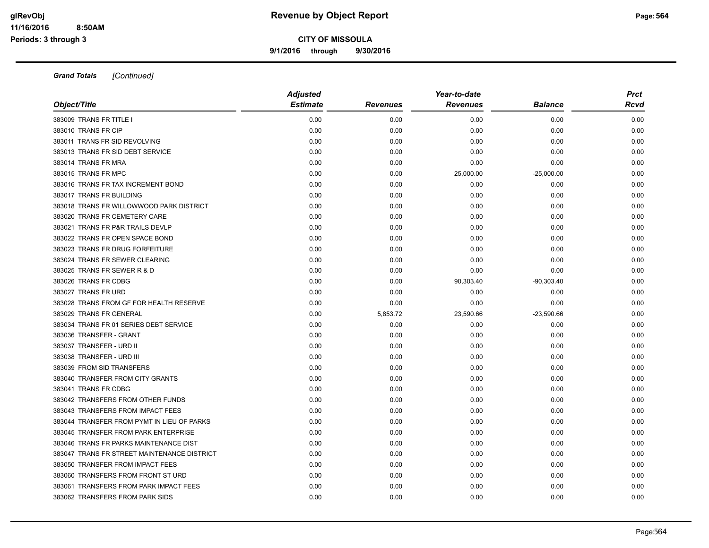**9/1/2016 through 9/30/2016**

| Object/Title                                         | <b>Adjusted</b><br><b>Estimate</b> | <b>Revenues</b> | Year-to-date<br><b>Revenues</b> | <b>Balance</b> | <b>Prct</b><br>Rcvd |
|------------------------------------------------------|------------------------------------|-----------------|---------------------------------|----------------|---------------------|
|                                                      | 0.00                               |                 |                                 |                |                     |
| 383009 TRANS FR TITLE I                              |                                    | 0.00            | 0.00                            | 0.00           | 0.00                |
| 383010 TRANS FR CIP<br>383011 TRANS FR SID REVOLVING | 0.00<br>0.00                       | 0.00<br>0.00    | 0.00<br>0.00                    | 0.00<br>0.00   | 0.00<br>0.00        |
| 383013 TRANS FR SID DEBT SERVICE                     | 0.00                               | 0.00            | 0.00                            | 0.00           | 0.00                |
| 383014 TRANS FR MRA                                  |                                    |                 | 0.00                            | 0.00           |                     |
|                                                      | 0.00                               | 0.00            |                                 |                | 0.00                |
| 383015 TRANS FR MPC                                  | 0.00                               | 0.00            | 25,000.00                       | $-25,000.00$   | 0.00                |
| 383016 TRANS FR TAX INCREMENT BOND                   | 0.00                               | 0.00            | 0.00                            | 0.00           | 0.00                |
| 383017 TRANS FR BUILDING                             | 0.00                               | 0.00            | 0.00                            | 0.00           | 0.00                |
| 383018 TRANS FR WILLOWWOOD PARK DISTRICT             | 0.00                               | 0.00            | 0.00                            | 0.00           | 0.00                |
| 383020 TRANS FR CEMETERY CARE                        | 0.00                               | 0.00            | 0.00                            | 0.00           | 0.00                |
| 383021 TRANS FR P&R TRAILS DEVLP                     | 0.00                               | 0.00            | 0.00                            | 0.00           | 0.00                |
| 383022 TRANS FR OPEN SPACE BOND                      | 0.00                               | 0.00            | 0.00                            | 0.00           | 0.00                |
| 383023 TRANS FR DRUG FORFEITURE                      | 0.00                               | 0.00            | 0.00                            | 0.00           | 0.00                |
| 383024 TRANS FR SEWER CLEARING                       | 0.00                               | 0.00            | 0.00                            | 0.00           | 0.00                |
| 383025 TRANS FR SEWER R & D                          | 0.00                               | 0.00            | 0.00                            | 0.00           | 0.00                |
| 383026 TRANS FR CDBG                                 | 0.00                               | 0.00            | 90,303.40                       | $-90,303.40$   | 0.00                |
| 383027 TRANS FR URD                                  | 0.00                               | 0.00            | 0.00                            | 0.00           | 0.00                |
| 383028 TRANS FROM GF FOR HEALTH RESERVE              | 0.00                               | 0.00            | 0.00                            | 0.00           | 0.00                |
| 383029 TRANS FR GENERAL                              | 0.00                               | 5,853.72        | 23,590.66                       | $-23,590.66$   | 0.00                |
| 383034 TRANS FR 01 SERIES DEBT SERVICE               | 0.00                               | 0.00            | 0.00                            | 0.00           | 0.00                |
| 383036 TRANSFER - GRANT                              | 0.00                               | 0.00            | 0.00                            | 0.00           | 0.00                |
| 383037 TRANSFER - URD II                             | 0.00                               | 0.00            | 0.00                            | 0.00           | 0.00                |
| 383038 TRANSFER - URD III                            | 0.00                               | 0.00            | 0.00                            | 0.00           | 0.00                |
| 383039 FROM SID TRANSFERS                            | 0.00                               | 0.00            | 0.00                            | 0.00           | 0.00                |
| 383040 TRANSFER FROM CITY GRANTS                     | 0.00                               | 0.00            | 0.00                            | 0.00           | 0.00                |
| 383041 TRANS FR CDBG                                 | 0.00                               | 0.00            | 0.00                            | 0.00           | 0.00                |
| 383042 TRANSFERS FROM OTHER FUNDS                    | 0.00                               | 0.00            | 0.00                            | 0.00           | 0.00                |
| 383043 TRANSFERS FROM IMPACT FEES                    | 0.00                               | 0.00            | 0.00                            | 0.00           | 0.00                |
| 383044 TRANSFER FROM PYMT IN LIEU OF PARKS           | 0.00                               | 0.00            | 0.00                            | 0.00           | 0.00                |
| 383045 TRANSFER FROM PARK ENTERPRISE                 | 0.00                               | 0.00            | 0.00                            | 0.00           | 0.00                |
| 383046 TRANS FR PARKS MAINTENANCE DIST               | 0.00                               | 0.00            | 0.00                            | 0.00           | 0.00                |
| 383047 TRANS FR STREET MAINTENANCE DISTRICT          | 0.00                               | 0.00            | 0.00                            | 0.00           | 0.00                |
| 383050 TRANSFER FROM IMPACT FEES                     | 0.00                               | 0.00            | 0.00                            | 0.00           | 0.00                |
| 383060 TRANSFERS FROM FRONT ST URD                   | 0.00                               | 0.00            | 0.00                            | 0.00           | 0.00                |
| 383061 TRANSFERS FROM PARK IMPACT FEES               | 0.00                               | 0.00            | 0.00                            | 0.00           | 0.00                |
| 383062 TRANSFERS FROM PARK SIDS                      | 0.00                               | 0.00            | 0.00                            | 0.00           | 0.00                |